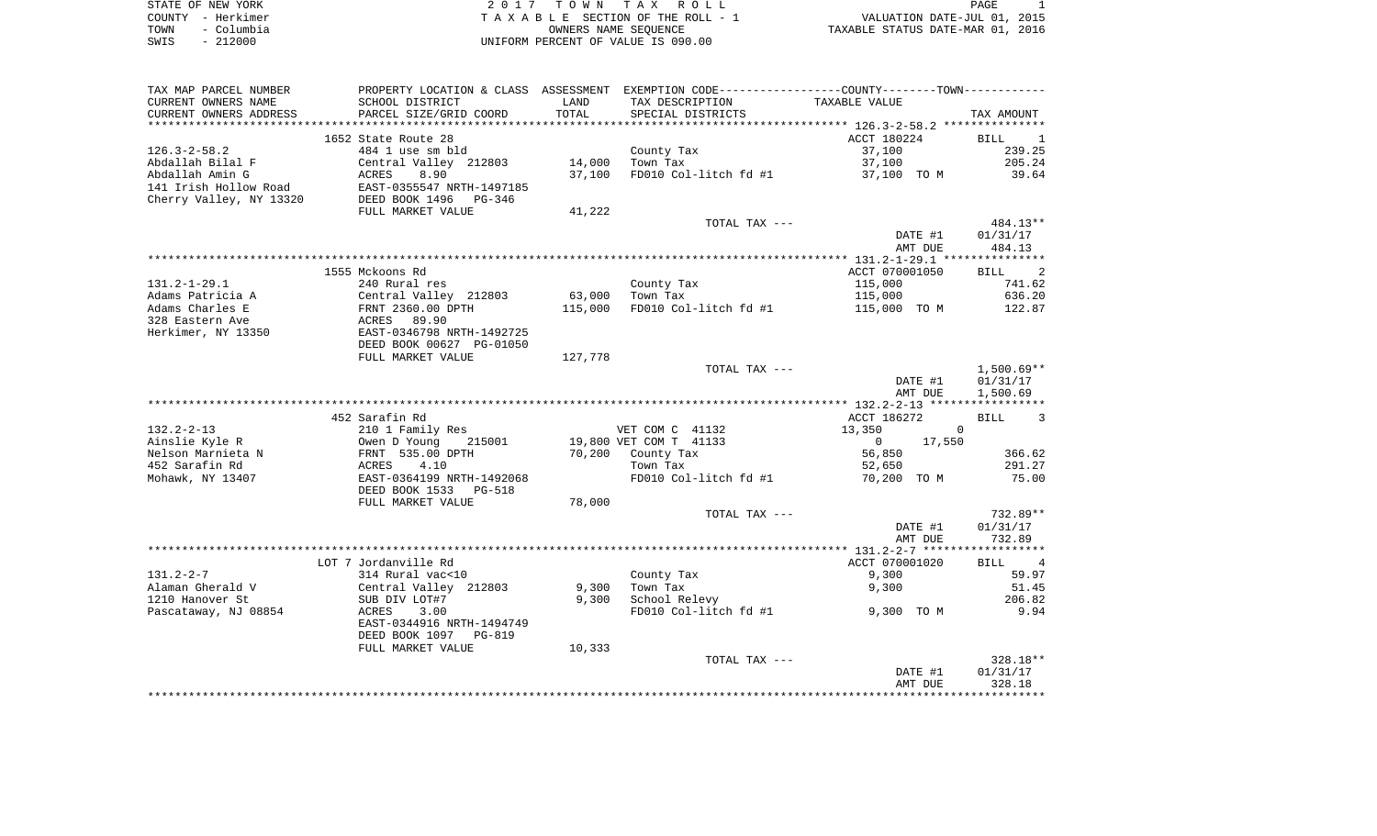| STATE OF NEW YORK  | 2017 TOWN TAX ROLL                 | PAGE                             |
|--------------------|------------------------------------|----------------------------------|
| COUNTY - Herkimer  | TAXABLE SECTION OF THE ROLL - 1    | VALUATION DATE-JUL 01, 2015      |
| - Columbia<br>TOWN | OWNERS NAME SEOUENCE               | TAXABLE STATUS DATE-MAR 01, 2016 |
| $-212000$<br>SWIS  | UNIFORM PERCENT OF VALUE IS 090.00 |                                  |

| TAX MAP PARCEL NUMBER   | PROPERTY LOCATION & CLASS ASSESSMENT EXEMPTION CODE----------------COUNTY--------TOWN----------- |         |                        |                          |                                         |
|-------------------------|--------------------------------------------------------------------------------------------------|---------|------------------------|--------------------------|-----------------------------------------|
| CURRENT OWNERS NAME     | SCHOOL DISTRICT                                                                                  | LAND    | TAX DESCRIPTION        | TAXABLE VALUE            |                                         |
| CURRENT OWNERS ADDRESS  | PARCEL SIZE/GRID COORD                                                                           | TOTAL   | SPECIAL DISTRICTS      |                          | TAX AMOUNT                              |
| **********************  | *****************************                                                                    |         |                        |                          |                                         |
|                         | 1652 State Route 28                                                                              |         |                        | ACCT 180224              | <b>BILL</b><br>$\overline{\phantom{0}}$ |
| $126.3 - 2 - 58.2$      | 484 1 use sm bld                                                                                 |         | County Tax             | 37,100                   | 239.25                                  |
| Abdallah Bilal F        | Central Valley 212803                                                                            | 14,000  | Town Tax               | 37,100                   | 205.24                                  |
| Abdallah Amin G         | 8.90<br>ACRES                                                                                    | 37,100  | FD010 Col-litch fd #1  | 37,100 TO M              | 39.64                                   |
| 141 Irish Hollow Road   | EAST-0355547 NRTH-1497185                                                                        |         |                        |                          |                                         |
| Cherry Valley, NY 13320 | DEED BOOK 1496 PG-346                                                                            |         |                        |                          |                                         |
|                         | FULL MARKET VALUE                                                                                | 41,222  |                        |                          |                                         |
|                         |                                                                                                  |         | TOTAL TAX ---          |                          | 484.13**                                |
|                         |                                                                                                  |         |                        | DATE #1                  | 01/31/17                                |
|                         |                                                                                                  |         |                        | AMT DUE                  | 484.13                                  |
|                         |                                                                                                  |         |                        |                          |                                         |
|                         | 1555 Mckoons Rd                                                                                  |         |                        | ACCT 070001050           | $\overline{\phantom{a}}$<br><b>BILL</b> |
| $131.2 - 1 - 29.1$      | 240 Rural res                                                                                    |         | County Tax             | 115,000                  | 741.62                                  |
| Adams Patricia A        | Central Valley 212803                                                                            | 63,000  | Town Tax               | 115,000                  | 636.20                                  |
| Adams Charles E         | FRNT 2360.00 DPTH                                                                                | 115,000 | FD010 Col-litch fd #1  | 115,000 TO M             | 122.87                                  |
| 328 Eastern Ave         | ACRES 89.90                                                                                      |         |                        |                          |                                         |
| Herkimer, NY 13350      | EAST-0346798 NRTH-1492725                                                                        |         |                        |                          |                                         |
|                         | DEED BOOK 00627 PG-01050                                                                         |         |                        |                          |                                         |
|                         | FULL MARKET VALUE                                                                                | 127,778 |                        |                          |                                         |
|                         |                                                                                                  |         | TOTAL TAX ---          |                          | $1,500.69**$                            |
|                         |                                                                                                  |         |                        | DATE #1                  | 01/31/17                                |
|                         |                                                                                                  |         |                        | AMT DUE                  | 1,500.69                                |
|                         |                                                                                                  |         |                        |                          |                                         |
|                         | 452 Sarafin Rd                                                                                   |         |                        | ACCT 186272              | <b>BILL</b><br>$\overline{3}$           |
| $132.2 - 2 - 13$        | 210 1 Family Res                                                                                 |         | VET COM C 41132        | 13,350                   | $\mathbf 0$                             |
| Ainslie Kyle R          | Owen D Young<br>215001                                                                           |         | 19,800 VET COM T 41133 | 17,550<br>$\overline{0}$ |                                         |
| Nelson Marnieta N       | FRNT 535.00 DPTH                                                                                 |         | 70,200 County Tax      | 56,850                   | 366.62                                  |
| 452 Sarafin Rd          | 4.10<br>ACRES                                                                                    |         | Town Tax               | 52,650                   | 291.27                                  |
| Mohawk, NY 13407        | EAST-0364199 NRTH-1492068                                                                        |         | FD010 Col-litch fd #1  | 70,200 TO M              | 75.00                                   |
|                         | DEED BOOK 1533 PG-518                                                                            |         |                        |                          |                                         |
|                         | FULL MARKET VALUE                                                                                | 78,000  |                        |                          |                                         |
|                         |                                                                                                  |         | TOTAL TAX ---          |                          | 732.89**                                |
|                         |                                                                                                  |         |                        | DATE #1                  | 01/31/17                                |
|                         |                                                                                                  |         |                        | AMT DUE                  | 732.89                                  |
|                         |                                                                                                  |         |                        |                          |                                         |
|                         | LOT 7 Jordanville Rd                                                                             |         |                        | ACCT 070001020           | BILL 4                                  |
| $131.2 - 2 - 7$         | 314 Rural vac<10                                                                                 |         | County Tax             | 9,300                    | 59.97                                   |
| Alaman Gherald V        | Central Valley 212803                                                                            | 9,300   | Town Tax               | 9,300                    | 51.45                                   |
| 1210 Hanover St         | SUB DIV LOT#7                                                                                    | 9,300   | School Relevy          |                          | 206.82                                  |
| Pascataway, NJ 08854    | ACRES<br>3.00                                                                                    |         | FD010 Col-litch fd #1  | 9,300 TO M               | 9.94                                    |
|                         | EAST-0344916 NRTH-1494749                                                                        |         |                        |                          |                                         |
|                         | DEED BOOK 1097 PG-819                                                                            |         |                        |                          |                                         |
|                         | FULL MARKET VALUE                                                                                | 10,333  |                        |                          |                                         |
|                         |                                                                                                  |         | TOTAL TAX ---          |                          | 328.18**                                |
|                         |                                                                                                  |         |                        | DATE #1                  | 01/31/17                                |
|                         |                                                                                                  |         |                        | AMT DUE                  | 328.18                                  |
|                         |                                                                                                  |         |                        |                          |                                         |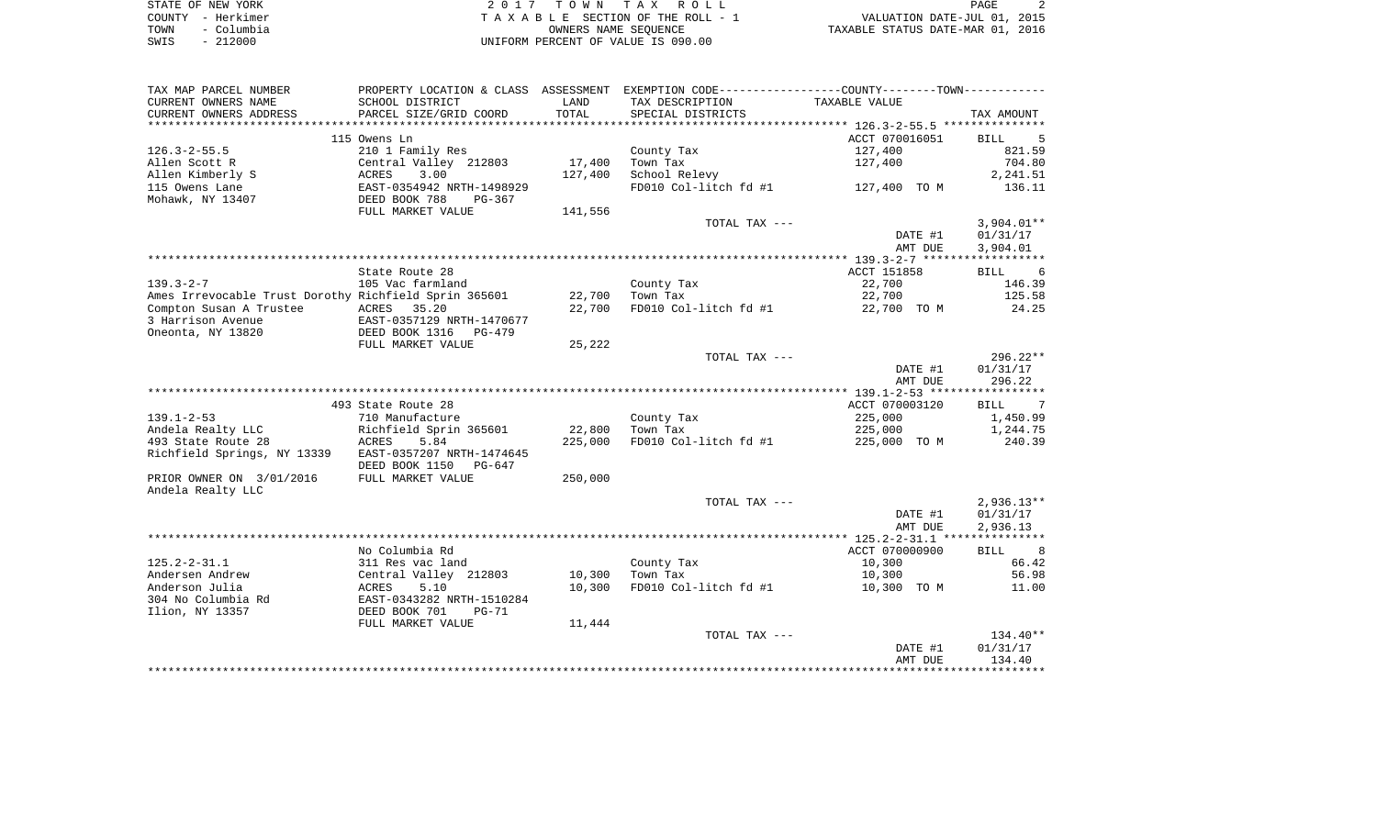| STATE OF NEW YORK  | 2017 TOWN TAX ROLL                 | PAGE                             |
|--------------------|------------------------------------|----------------------------------|
| COUNTY - Herkimer  | TAXABLE SECTION OF THE ROLL - 1    | VALUATION DATE-JUL 01, 2015      |
| – Columbia<br>TOWN | OWNERS NAME SEOUENCE               | TAXABLE STATUS DATE-MAR 01, 2016 |
| $-212000$<br>SWIS  | UNIFORM PERCENT OF VALUE IS 090.00 |                                  |

| TAX MAP PARCEL NUMBER                                 | PROPERTY LOCATION & CLASS ASSESSMENT                 |               | EXEMPTION CODE-----------------COUNTY-------TOWN----------- |                |                               |
|-------------------------------------------------------|------------------------------------------------------|---------------|-------------------------------------------------------------|----------------|-------------------------------|
| CURRENT OWNERS NAME<br>CURRENT OWNERS ADDRESS         | SCHOOL DISTRICT<br>PARCEL SIZE/GRID COORD            | LAND<br>TOTAL | TAX DESCRIPTION<br>SPECIAL DISTRICTS                        | TAXABLE VALUE  | TAX AMOUNT                    |
| *************************                             |                                                      |               |                                                             |                |                               |
|                                                       | 115 Owens Ln                                         |               |                                                             | ACCT 070016051 | BILL<br>5                     |
| $126.3 - 2 - 55.5$                                    | 210 1 Family Res                                     |               | County Tax                                                  | 127,400        | 821.59                        |
| Allen Scott R                                         | Central Valley 212803                                | 17,400        | Town Tax                                                    | 127,400        | 704.80                        |
| Allen Kimberly S                                      | 3.00<br>ACRES                                        | 127,400       | School Relevy                                               |                | 2,241.51                      |
| 115 Owens Lane<br>Mohawk, NY 13407                    | EAST-0354942 NRTH-1498929<br>DEED BOOK 788<br>PG-367 |               | FD010 Col-litch fd #1                                       | 127,400 TO M   | 136.11                        |
|                                                       | FULL MARKET VALUE                                    | 141,556       |                                                             |                |                               |
|                                                       |                                                      |               | TOTAL TAX ---                                               |                | $3,904.01**$                  |
|                                                       |                                                      |               |                                                             | DATE #1        | 01/31/17                      |
|                                                       |                                                      |               |                                                             | AMT DUE        | 3,904.01                      |
|                                                       |                                                      |               |                                                             |                |                               |
|                                                       | State Route 28                                       |               |                                                             | ACCT 151858    | BILL<br>6                     |
| $139.3 - 2 - 7$                                       | 105 Vac farmland                                     |               | County Tax                                                  | 22,700         | 146.39                        |
| Ames Irrevocable Trust Dorothy Richfield Sprin 365601 |                                                      | 22,700        | Town Tax                                                    | 22,700         | 125.58                        |
| Compton Susan A Trustee                               | ACRES<br>35.20                                       | 22,700        | FD010 Col-litch fd #1                                       | 22,700 TO M    | 24.25                         |
| 3 Harrison Avenue                                     | EAST-0357129 NRTH-1470677                            |               |                                                             |                |                               |
| Oneonta, NY 13820                                     | DEED BOOK 1316<br>PG-479                             |               |                                                             |                |                               |
|                                                       | FULL MARKET VALUE                                    | 25,222        | TOTAL TAX ---                                               |                | $296.22**$                    |
|                                                       |                                                      |               |                                                             | DATE #1        | 01/31/17                      |
|                                                       |                                                      |               |                                                             | AMT DUE        | 296.22                        |
|                                                       |                                                      |               |                                                             |                |                               |
|                                                       | 493 State Route 28                                   |               |                                                             | ACCT 070003120 | $\overline{7}$<br>BILL        |
| $139.1 - 2 - 53$                                      | 710 Manufacture                                      |               | County Tax                                                  | 225,000        | 1,450.99                      |
| Andela Realty LLC                                     | Richfield Sprin 365601                               | 22,800        | Town Tax                                                    | 225,000        | 1,244.75                      |
| 493 State Route 28                                    | ACRES<br>5.84                                        | 225,000       | FD010 Col-litch fd #1                                       | 225,000 TO M   | 240.39                        |
| Richfield Springs, NY 13339                           | EAST-0357207 NRTH-1474645                            |               |                                                             |                |                               |
|                                                       | DEED BOOK 1150<br>PG-647                             |               |                                                             |                |                               |
| PRIOR OWNER ON 3/01/2016<br>Andela Realty LLC         | FULL MARKET VALUE                                    | 250,000       |                                                             |                |                               |
|                                                       |                                                      |               | TOTAL TAX ---                                               |                | $2,936.13**$                  |
|                                                       |                                                      |               |                                                             | DATE #1        | 01/31/17                      |
|                                                       |                                                      |               |                                                             | AMT DUE        | 2,936.13                      |
|                                                       |                                                      |               |                                                             |                |                               |
|                                                       | No Columbia Rd                                       |               |                                                             | ACCT 070000900 | 8 <sup>8</sup><br><b>BILL</b> |
| $125.2 - 2 - 31.1$                                    | 311 Res vac land                                     |               | County Tax                                                  | 10,300         | 66.42                         |
| Andersen Andrew                                       | Central Valley 212803                                | 10,300        | Town Tax                                                    | 10,300         | 56.98                         |
| Anderson Julia                                        | 5.10<br>ACRES                                        | 10,300        | FD010 Col-litch fd #1                                       | 10,300 TO M    | 11.00                         |
| 304 No Columbia Rd                                    | EAST-0343282 NRTH-1510284                            |               |                                                             |                |                               |
| Ilion, NY 13357                                       | DEED BOOK 701<br>$PG-71$                             |               |                                                             |                |                               |
|                                                       | FULL MARKET VALUE                                    | 11,444        |                                                             |                |                               |
|                                                       |                                                      |               | TOTAL TAX ---                                               |                | 134.40**                      |
|                                                       |                                                      |               |                                                             | DATE #1        | 01/31/17                      |
|                                                       |                                                      |               |                                                             | AMT DUE        | 134.40                        |
|                                                       |                                                      |               |                                                             |                |                               |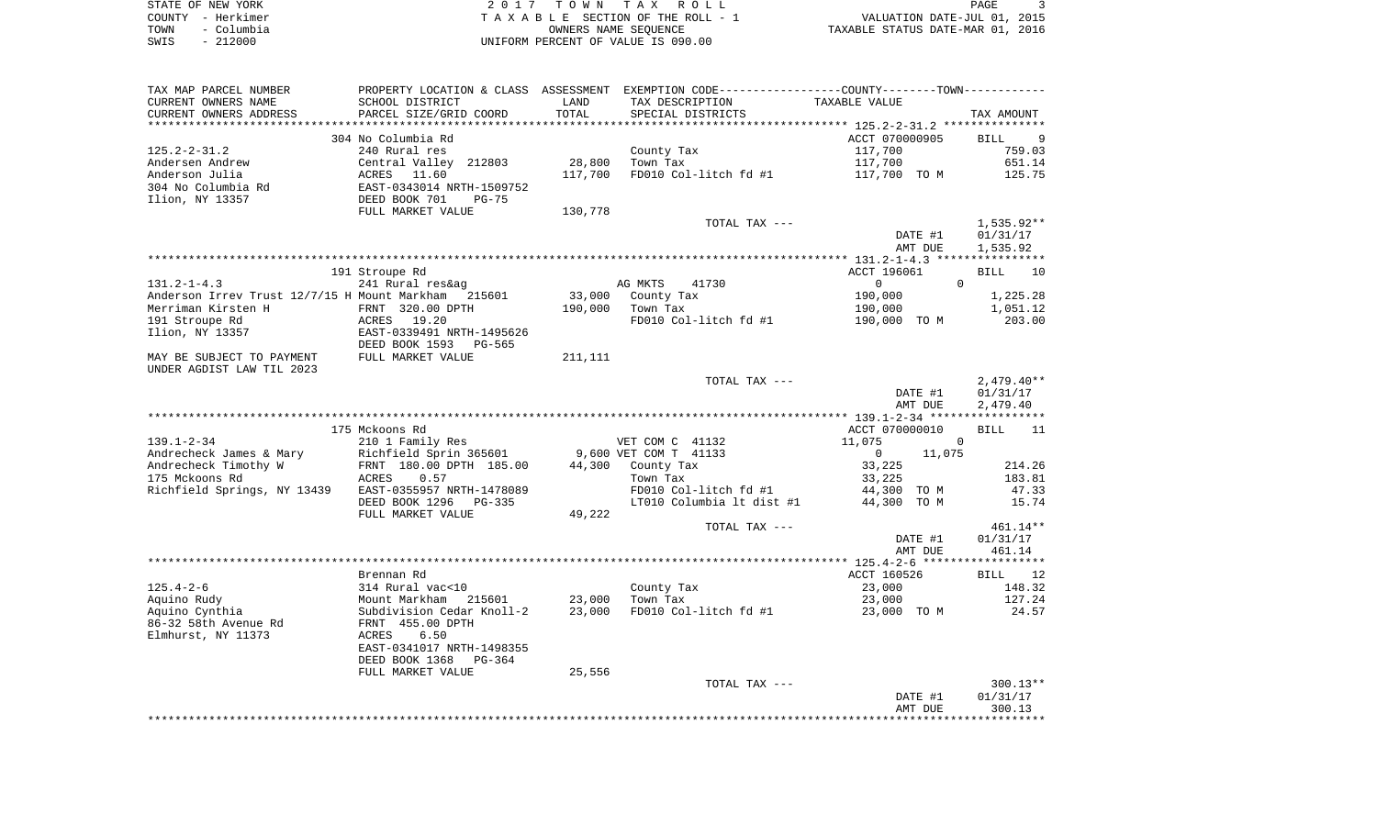|      | STATE OF NEW YORK | 2017 TOWN TAX ROLL                 |                                  | PAGE                        |  |
|------|-------------------|------------------------------------|----------------------------------|-----------------------------|--|
|      | COUNTY - Herkimer | TAXABLE SECTION OF THE ROLL - 1    |                                  | VALUATION DATE-JUL 01, 2015 |  |
| TOWN | - Columbia        | OWNERS NAME SEOUENCE               | TAXABLE STATUS DATE-MAR 01, 2016 |                             |  |
| SWIS | $-212000$         | UNIFORM PERCENT OF VALUE IS 090.00 |                                  |                             |  |

| CURRENT OWNERS NAME<br>TAXABLE VALUE<br>SCHOOL DISTRICT<br>LAND<br>TAX DESCRIPTION<br>PARCEL SIZE/GRID COORD<br>TOTAL<br>CURRENT OWNERS ADDRESS<br>SPECIAL DISTRICTS                                                                                                                            |              |
|-------------------------------------------------------------------------------------------------------------------------------------------------------------------------------------------------------------------------------------------------------------------------------------------------|--------------|
|                                                                                                                                                                                                                                                                                                 |              |
|                                                                                                                                                                                                                                                                                                 | TAX AMOUNT   |
|                                                                                                                                                                                                                                                                                                 |              |
| ACCT 070000905<br>304 No Columbia Rd                                                                                                                                                                                                                                                            | BILL 9       |
| 125.2-2-31.2<br>County Tax<br>240 Rural res<br>117,700                                                                                                                                                                                                                                          | 759.03       |
| 28,800<br>125.2-2 J<br>Andersen Andrew<br>Tilia<br>117,700<br>Town Tax                                                                                                                                                                                                                          | 651.14       |
| Central Valley 212803<br>ACRES 11.60<br>EAST-0343014 NRTH-1509752<br>DEED BOOK 701 PG-75<br>NYT WOOK 701 PG-75<br>117,700 TO M<br>117,700<br>FD010 Col-litch fd #1                                                                                                                              | 125.75       |
| 304 No Columbia Rd<br>Ilion, NY 13357                                                                                                                                                                                                                                                           |              |
| Ilion, NY 13357                                                                                                                                                                                                                                                                                 |              |
| FULL MARKET VALUE<br>130,778                                                                                                                                                                                                                                                                    |              |
| TOTAL TAX ---                                                                                                                                                                                                                                                                                   | 1,535.92**   |
| DATE #1                                                                                                                                                                                                                                                                                         | 01/31/17     |
| AMT DUE                                                                                                                                                                                                                                                                                         | 1,535.92     |
| 191 Stroupe Rd<br>ACCT 196061                                                                                                                                                                                                                                                                   | BILL 10      |
| 131.2-1-4.3<br>241 Rural res&ag<br>AG MKTS 41730<br>$\overline{0}$<br>$\overline{0}$                                                                                                                                                                                                            |              |
| Anderson Irrev Trust 12/7/15 H Mount Markham 215601<br>33,000 County Tax<br>190,000                                                                                                                                                                                                             | 1,225.28     |
| 190,000 Town Tax<br>190,000                                                                                                                                                                                                                                                                     | 1,051.12     |
| FD010 Col-litch fd #1 190,000 TO M 203.00                                                                                                                                                                                                                                                       |              |
|                                                                                                                                                                                                                                                                                                 |              |
|                                                                                                                                                                                                                                                                                                 |              |
| Merriman Kirsten H<br>Merriman Kirsten H<br>191 Stroupe Rd<br>191 Stroupe Rd<br>191 Stroupe Rd<br>1920<br>1920<br>1920<br>1920<br>1920<br>1920<br>1920<br>1920<br>1920<br>1920<br>1920<br>1920<br>1920<br>1920<br>1920<br>1920<br>1920<br>1920<br>1920<br>1920<br>1920<br>1920<br>19<br>211,111 |              |
| UNDER AGDIST LAW TIL 2023                                                                                                                                                                                                                                                                       |              |
| TOTAL TAX ---                                                                                                                                                                                                                                                                                   | $2,479.40**$ |
| DATE #1                                                                                                                                                                                                                                                                                         | 01/31/17     |
| AMT DUE                                                                                                                                                                                                                                                                                         | 2,479.40     |
|                                                                                                                                                                                                                                                                                                 |              |
|                                                                                                                                                                                                                                                                                                 |              |
| 175 Mckoons Rd<br>ACCT 070000010                                                                                                                                                                                                                                                                | BILL 11      |
| 139.1-2-34<br>210 1 Family Res<br>VET COM C 41132<br>11,075<br>$\overline{0}$                                                                                                                                                                                                                   |              |
| $\overline{0}$<br>11,075                                                                                                                                                                                                                                                                        |              |
|                                                                                                                                                                                                                                                                                                 | 214.26       |
| 33,225                                                                                                                                                                                                                                                                                          | 183.81       |
| 139.1-2-34 210 1 Family Res VET COM C 41132<br>Andrecheck James & Mary Richfield Sprin 365601 9,600 VET COM T 41133<br>Andrecheck Timothy W FRNT 180.00 DPTH 185.00 44,300 County Tax<br>175 Mckoons Rd ACRES 0.57 Town Tax<br>Richfie<br>FD010 Col-litch fd #1<br>44,300 TO M                  | 47.33        |
| LT010 Columbia lt dist #1 44,300 TO M<br>DEED BOOK 1296 PG-335                                                                                                                                                                                                                                  | 15.74        |
| 49,222<br>FULL MARKET VALUE                                                                                                                                                                                                                                                                     |              |
| TOTAL TAX ---                                                                                                                                                                                                                                                                                   | 461.14**     |
| DATE #1                                                                                                                                                                                                                                                                                         | 01/31/17     |
| AMT DUE                                                                                                                                                                                                                                                                                         | 461.14       |
|                                                                                                                                                                                                                                                                                                 |              |
| Brennan Rd<br>ACCT 160526                                                                                                                                                                                                                                                                       | BILL 12      |
| 23,000                                                                                                                                                                                                                                                                                          | 148.32       |
| County Tax $\overline{ }$<br>23,000                                                                                                                                                                                                                                                             | 127.24       |
| FD010 Col-litch fd #1<br>23,000 TO M                                                                                                                                                                                                                                                            | 24.57        |
|                                                                                                                                                                                                                                                                                                 |              |
| EAST-0341017 NRTH-1498355                                                                                                                                                                                                                                                                       |              |
| DEED BOOK 1368 PG-364                                                                                                                                                                                                                                                                           |              |
| 25,556<br>FULL MARKET VALUE                                                                                                                                                                                                                                                                     |              |
| TOTAL TAX ---                                                                                                                                                                                                                                                                                   | $300.13**$   |
| DATE #1                                                                                                                                                                                                                                                                                         | 01/31/17     |
| AMT DUE                                                                                                                                                                                                                                                                                         | 300.13       |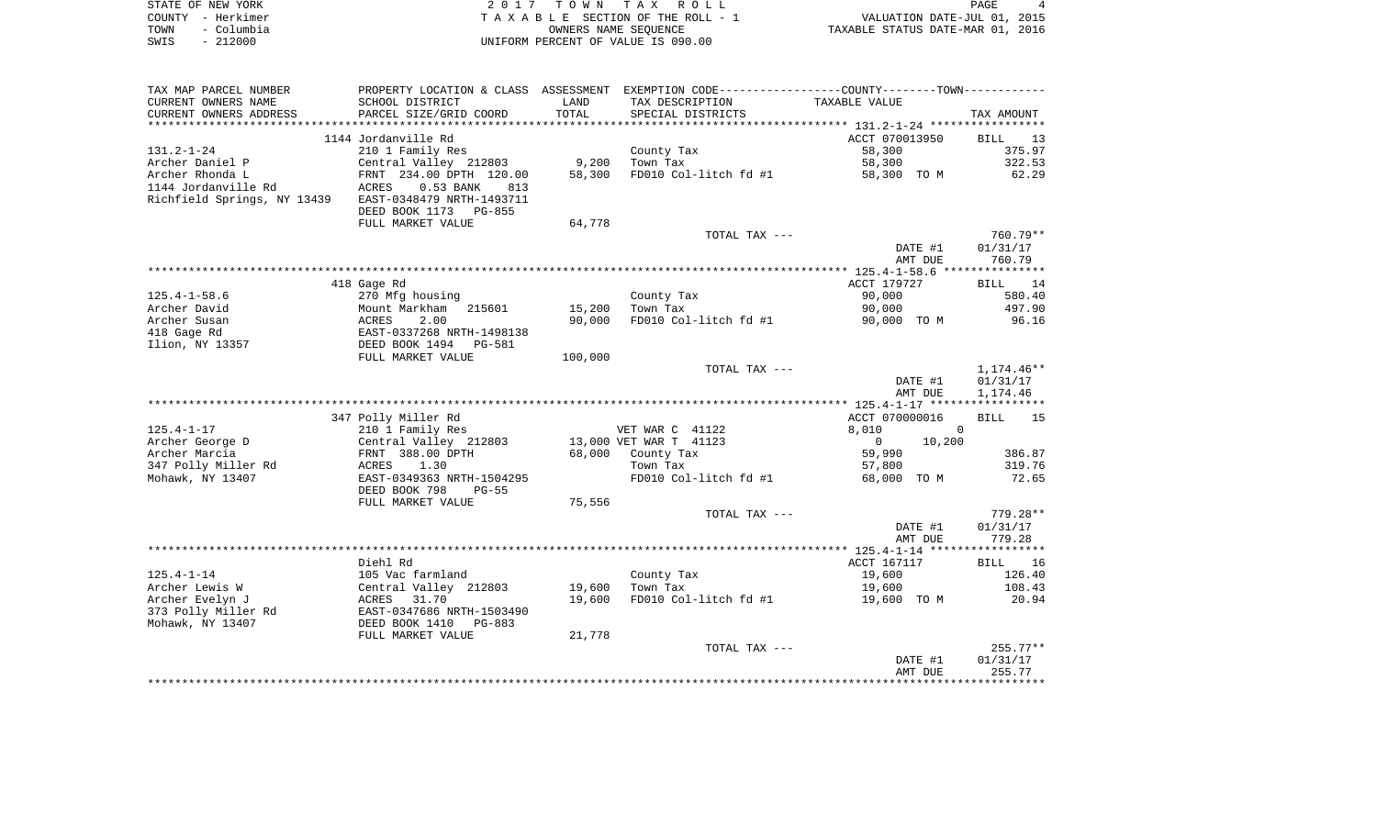| STATE OF NEW YORK  | 2017 TOWN TAX ROLL                 | <b>PAGE</b>                      |
|--------------------|------------------------------------|----------------------------------|
| COUNTY - Herkimer  | TAXABLE SECTION OF THE ROLL - 1    | VALUATION DATE-JUL 01, 2015      |
| – Columbia<br>TOWN | OWNERS NAME SEOUENCE               | TAXABLE STATUS DATE-MAR 01, 2016 |
| $-212000$<br>SWIS  | UNIFORM PERCENT OF VALUE IS 090.00 |                                  |

| TAX MAP PARCEL NUMBER       | PROPERTY LOCATION & CLASS ASSESSMENT EXEMPTION CODE---------------COUNTY-------TOWN---------- |         |                        |                          |                        |
|-----------------------------|-----------------------------------------------------------------------------------------------|---------|------------------------|--------------------------|------------------------|
| CURRENT OWNERS NAME         | SCHOOL DISTRICT                                                                               | LAND    | TAX DESCRIPTION        | TAXABLE VALUE            |                        |
| CURRENT OWNERS ADDRESS      | PARCEL SIZE/GRID COORD                                                                        | TOTAL   | SPECIAL DISTRICTS      |                          | TAX AMOUNT             |
|                             |                                                                                               |         |                        |                          |                        |
|                             | 1144 Jordanville Rd                                                                           |         |                        | ACCT 070013950           | <b>BILL</b><br>13      |
| $131.2 - 1 - 24$            | 210 1 Family Res                                                                              |         | County Tax             | 58,300                   | 375.97                 |
| Archer Daniel P             | Central Valley 212803                                                                         | 9,200   | Town Tax               | 58,300                   | 322.53                 |
| Archer Rhonda L             | FRNT 234.00 DPTH 120.00                                                                       | 58,300  | FD010 Col-litch fd #1  | 58,300 TO M              | 62.29                  |
| 1144 Jordanville Rd         | <b>ACRES</b><br>0.53 BANK<br>813                                                              |         |                        |                          |                        |
| Richfield Springs, NY 13439 | EAST-0348479 NRTH-1493711                                                                     |         |                        |                          |                        |
|                             | DEED BOOK 1173 PG-855                                                                         |         |                        |                          |                        |
|                             | FULL MARKET VALUE                                                                             | 64,778  |                        |                          |                        |
|                             |                                                                                               |         | TOTAL TAX ---          |                          | 760.79**               |
|                             |                                                                                               |         |                        | DATE #1                  | 01/31/17               |
|                             |                                                                                               |         |                        | AMT DUE                  | 760.79                 |
|                             |                                                                                               |         |                        |                          |                        |
|                             | 418 Gage Rd                                                                                   |         |                        | ACCT 179727              | 14<br>BILL             |
| $125.4 - 1 - 58.6$          | 270 Mfg housing                                                                               |         | County Tax             | 90,000                   | 580.40                 |
| Archer David                | Mount Markham 215601                                                                          | 15,200  | Town Tax               | 90,000                   | 497.90                 |
| Archer Susan                | ACRES<br>2.00                                                                                 | 90,000  | FD010 Col-litch fd #1  | 90,000 TO M              | 96.16                  |
| 418 Gage Rd                 | EAST-0337268 NRTH-1498138                                                                     |         |                        |                          |                        |
| Ilion, NY 13357             | DEED BOOK 1494 PG-581                                                                         |         |                        |                          |                        |
|                             | FULL MARKET VALUE                                                                             | 100,000 |                        |                          |                        |
|                             |                                                                                               |         | TOTAL TAX ---          | DATE #1                  | 1,174.46**<br>01/31/17 |
|                             |                                                                                               |         |                        | AMT DUE                  | 1,174.46               |
|                             |                                                                                               |         |                        |                          |                        |
|                             | 347 Polly Miller Rd                                                                           |         |                        | ACCT 070000016           | 15<br><b>BILL</b>      |
| $125.4 - 1 - 17$            | 210 1 Family Res                                                                              |         | VET WAR C 41122        | 8,010<br>$\Omega$        |                        |
| Archer George D             | Central Valley 212803                                                                         |         | 13,000 VET WAR T 41123 | 10,200<br>$\overline{0}$ |                        |
| Archer Marcia               | FRNT 388.00 DPTH                                                                              | 68,000  | County Tax             | 59,990                   | 386.87                 |
| 347 Polly Miller Rd         | 1.30<br>ACRES                                                                                 |         | Town Tax               | 57,800                   | 319.76                 |
| Mohawk, NY 13407            | EAST-0349363 NRTH-1504295                                                                     |         | FD010 Col-litch fd #1  | 68,000 TO M              | 72.65                  |
|                             | DEED BOOK 798<br>$PG-55$                                                                      |         |                        |                          |                        |
|                             | FULL MARKET VALUE                                                                             | 75,556  |                        |                          |                        |
|                             |                                                                                               |         | TOTAL TAX ---          |                          | $779.28**$             |
|                             |                                                                                               |         |                        | DATE #1                  | 01/31/17               |
|                             |                                                                                               |         |                        | AMT DUE                  | 779.28                 |
|                             |                                                                                               |         |                        |                          |                        |
|                             | Diehl Rd                                                                                      |         |                        | ACCT 167117              | 16<br>BILL             |
| $125.4 - 1 - 14$            | 105 Vac farmland                                                                              |         | County Tax             | 19,600                   | 126.40                 |
| Archer Lewis W              | Central Valley 212803                                                                         | 19,600  | Town Tax               | 19,600                   | 108.43                 |
| Archer Evelyn J             | 31.70<br>ACRES                                                                                | 19,600  | FD010 Col-litch fd #1  | 19,600 TO M              | 20.94                  |
| 373 Polly Miller Rd         | EAST-0347686 NRTH-1503490                                                                     |         |                        |                          |                        |
| Mohawk, NY 13407            | DEED BOOK 1410 PG-883                                                                         |         |                        |                          |                        |
|                             | FULL MARKET VALUE                                                                             | 21,778  |                        |                          |                        |
|                             |                                                                                               |         | TOTAL TAX ---          |                          | $255.77**$             |
|                             |                                                                                               |         |                        | DATE #1                  | 01/31/17               |
|                             |                                                                                               |         |                        | AMT DUE                  | 255.77                 |
|                             |                                                                                               |         |                        |                          |                        |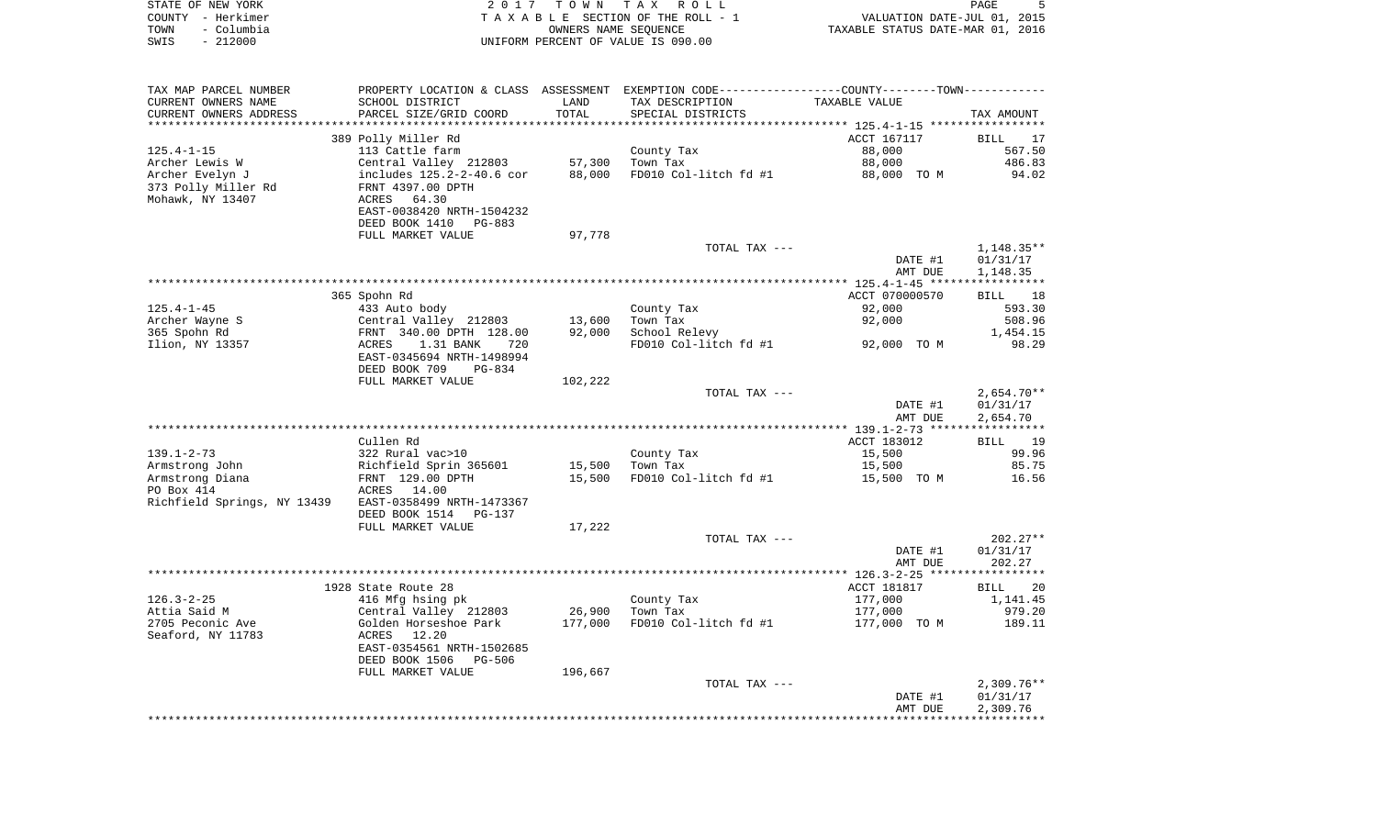|      | STATE OF NEW YORK | 2017 TOWN TAX ROLL                                       | PAGE                        |  |
|------|-------------------|----------------------------------------------------------|-----------------------------|--|
|      | COUNTY - Herkimer | TAXABLE SECTION OF THE ROLL - 1                          | VALUATION DATE-JUL 01, 2015 |  |
| TOWN | - Columbia        | TAXABLE STATUS DATE-MAR 01, 2016<br>OWNERS NAME SEOUENCE |                             |  |
| SWIS | - 212000          | UNIFORM PERCENT OF VALUE IS 090.00                       |                             |  |

| TAX MAP PARCEL NUMBER       |                                                        |         | PROPERTY LOCATION & CLASS ASSESSMENT EXEMPTION CODE---------------COUNTY-------TOWN---------- |                                                    |                      |
|-----------------------------|--------------------------------------------------------|---------|-----------------------------------------------------------------------------------------------|----------------------------------------------------|----------------------|
| CURRENT OWNERS NAME         | SCHOOL DISTRICT                                        | LAND    | TAX DESCRIPTION                                                                               | TAXABLE VALUE                                      |                      |
| CURRENT OWNERS ADDRESS      | PARCEL SIZE/GRID COORD                                 | TOTAL   | SPECIAL DISTRICTS                                                                             |                                                    | TAX AMOUNT           |
|                             |                                                        |         |                                                                                               | ******************** 125.4-1-15 ****************** |                      |
|                             | 389 Polly Miller Rd                                    |         |                                                                                               | ACCT 167117                                        | BILL 17              |
| $125.4 - 1 - 15$            | 113 Cattle farm                                        |         | County Tax                                                                                    | 88,000                                             | 567.50               |
| Archer Lewis W              | Central Valley 212803                                  | 57,300  | Town Tax                                                                                      | 88,000                                             | 486.83               |
| Archer Evelyn J             | includes 125.2-2-40.6 cor                              | 88,000  | FD010 Col-litch fd #1                                                                         | 88,000 TO M                                        | 94.02                |
| 373 Polly Miller Rd         | FRNT 4397.00 DPTH                                      |         |                                                                                               |                                                    |                      |
| Mohawk, NY 13407            | ACRES 64.30                                            |         |                                                                                               |                                                    |                      |
|                             | EAST-0038420 NRTH-1504232                              |         |                                                                                               |                                                    |                      |
|                             | DEED BOOK 1410<br>PG-883                               |         |                                                                                               |                                                    |                      |
|                             | FULL MARKET VALUE                                      | 97,778  |                                                                                               |                                                    |                      |
|                             |                                                        |         | TOTAL TAX ---                                                                                 |                                                    | 1,148.35**           |
|                             |                                                        |         |                                                                                               | DATE #1                                            | 01/31/17             |
|                             |                                                        |         |                                                                                               | AMT DUE                                            | 1,148.35             |
|                             |                                                        |         |                                                                                               |                                                    |                      |
|                             | 365 Spohn Rd                                           |         |                                                                                               | ACCT 070000570                                     | BILL 18              |
| $125.4 - 1 - 45$            | 433 Auto body                                          |         | County Tax                                                                                    | 92,000                                             | 593.30               |
| Archer Wayne S              | Central Valley 212803                                  | 13,600  | Town Tax                                                                                      | 92,000                                             | 508.96               |
| 365 Spohn Rd                | FRNT 340.00 DPTH 128.00                                | 92,000  | School Relevy                                                                                 |                                                    | 1,454.15             |
| Ilion, NY 13357             | ACRES<br>1.31 BANK<br>720<br>EAST-0345694 NRTH-1498994 |         | FD010 Col-litch fd #1                                                                         | 92,000 TO M                                        | 98.29                |
|                             | DEED BOOK 709<br>PG-834                                |         |                                                                                               |                                                    |                      |
|                             | FULL MARKET VALUE                                      | 102,222 |                                                                                               |                                                    |                      |
|                             |                                                        |         | TOTAL TAX ---                                                                                 |                                                    | $2,654.70**$         |
|                             |                                                        |         |                                                                                               | DATE #1                                            | 01/31/17             |
|                             |                                                        |         |                                                                                               | AMT DUE                                            | 2,654.70             |
|                             |                                                        |         |                                                                                               |                                                    |                      |
|                             | Cullen Rd                                              |         |                                                                                               | ACCT 183012                                        | BILL 19              |
| $139.1 - 2 - 73$            | 322 Rural vac>10                                       |         | County Tax                                                                                    | 15,500                                             | 99.96                |
| Armstrong John              | Richfield Sprin 365601                                 | 15,500  | Town Tax                                                                                      | 15,500                                             | 85.75                |
| Armstrong Diana             | FRNT 129.00 DPTH                                       | 15,500  | FD010 Col-litch fd #1                                                                         | 15,500 TO M                                        | 16.56                |
| PO Box 414                  | ACRES 14.00                                            |         |                                                                                               |                                                    |                      |
| Richfield Springs, NY 13439 | EAST-0358499 NRTH-1473367                              |         |                                                                                               |                                                    |                      |
|                             | DEED BOOK 1514<br>PG-137                               |         |                                                                                               |                                                    |                      |
|                             | FULL MARKET VALUE                                      | 17,222  |                                                                                               |                                                    |                      |
|                             |                                                        |         | TOTAL TAX ---                                                                                 |                                                    | $202.27**$           |
|                             |                                                        |         |                                                                                               | DATE #1                                            | 01/31/17             |
|                             |                                                        |         |                                                                                               | AMT DUE                                            | 202.27               |
|                             |                                                        |         |                                                                                               |                                                    |                      |
|                             | 1928 State Route 28                                    |         |                                                                                               | ACCT 181817                                        | BILL 20              |
| $126.3 - 2 - 25$            | 416 Mfg hsing pk                                       |         | County Tax                                                                                    | 177,000                                            | 1,141.45             |
| Attia Said M                | Central Valley 212803                                  | 26,900  | Town Tax                                                                                      | 177,000                                            | 979.20               |
| 2705 Peconic Ave            | Golden Horseshoe Park                                  | 177,000 | FD010 Col-litch fd #1                                                                         | 177,000 TO M                                       | 189.11               |
| Seaford, NY 11783           | ACRES<br>12.20                                         |         |                                                                                               |                                                    |                      |
|                             | EAST-0354561 NRTH-1502685                              |         |                                                                                               |                                                    |                      |
|                             | DEED BOOK 1506<br>PG-506                               |         |                                                                                               |                                                    |                      |
|                             | FULL MARKET VALUE                                      | 196,667 |                                                                                               |                                                    |                      |
|                             |                                                        |         | TOTAL TAX ---                                                                                 |                                                    | $2,309.76**$         |
|                             |                                                        |         |                                                                                               | DATE #1<br>AMT DUE                                 | 01/31/17<br>2,309.76 |
|                             |                                                        |         |                                                                                               |                                                    |                      |
|                             |                                                        |         |                                                                                               |                                                    |                      |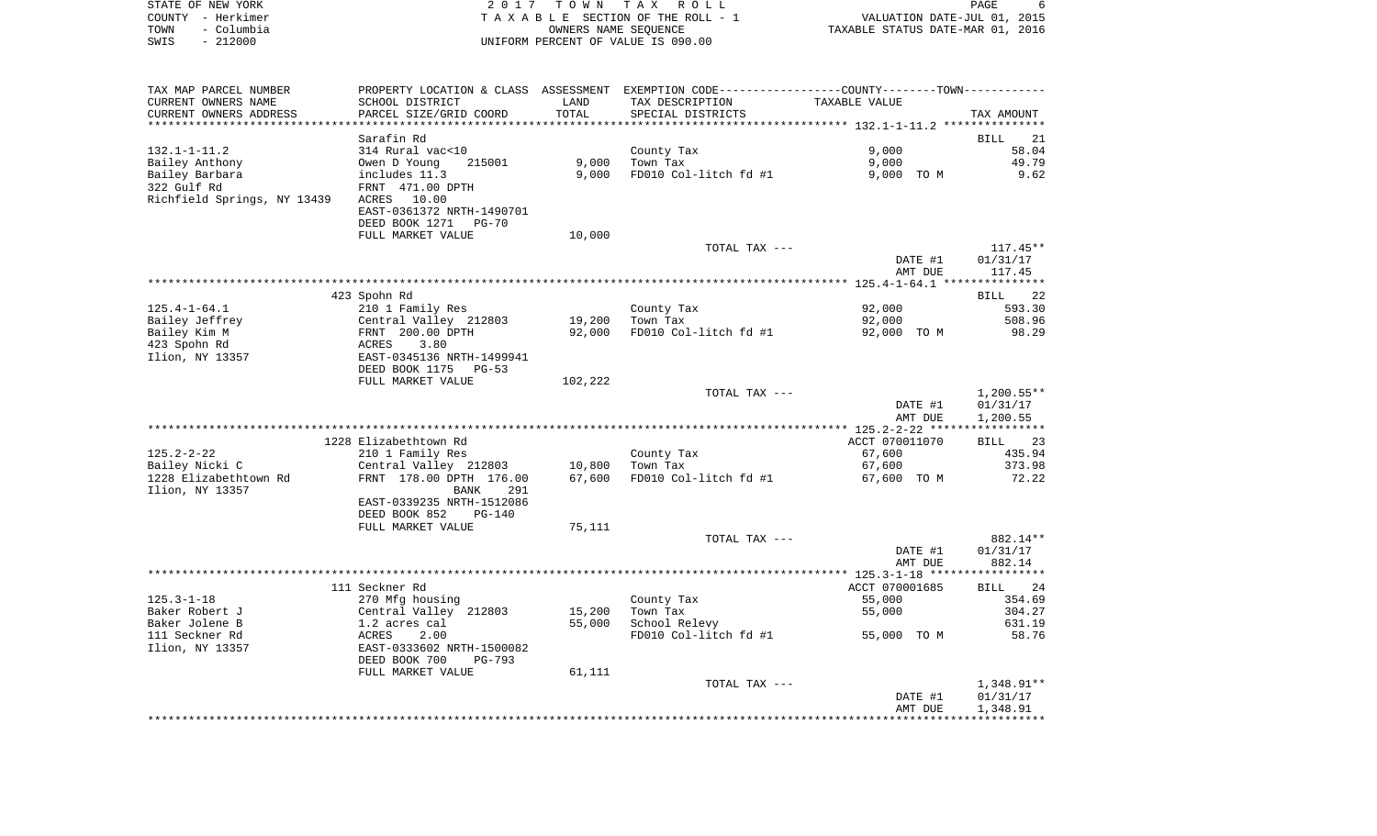|      | STATE OF NEW YORK | 2017 TOWN TAX ROLL                 |                                  | PAGE |  |
|------|-------------------|------------------------------------|----------------------------------|------|--|
|      | COUNTY - Herkimer | TAXABLE SECTION OF THE ROLL - 1    | VALUATION DATE-JUL 01, 2015      |      |  |
| TOWN | - Columbia        | OWNERS NAME SEOUENCE               | TAXABLE STATUS DATE-MAR 01, 2016 |      |  |
| SWIS | - 212000          | UNIFORM PERCENT OF VALUE IS 090.00 |                                  |      |  |

| TAX MAP PARCEL NUMBER       | PROPERTY LOCATION & CLASS ASSESSMENT EXEMPTION CODE---------------COUNTY-------TOWN---------- |         |                       |                |                   |
|-----------------------------|-----------------------------------------------------------------------------------------------|---------|-----------------------|----------------|-------------------|
| CURRENT OWNERS NAME         | SCHOOL DISTRICT                                                                               | LAND    | TAX DESCRIPTION       | TAXABLE VALUE  |                   |
| CURRENT OWNERS ADDRESS      | PARCEL SIZE/GRID COORD                                                                        | TOTAL   | SPECIAL DISTRICTS     |                | TAX AMOUNT        |
|                             |                                                                                               |         |                       |                |                   |
|                             | Sarafin Rd                                                                                    |         |                       |                | BILL<br>21        |
| $132.1 - 1 - 11.2$          | 314 Rural vac<10                                                                              |         | County Tax            | 9,000          | 58.04             |
| Bailey Anthony              | Owen D Young<br>215001                                                                        | 9,000   | Town Tax              | 9,000          | 49.79             |
| Bailey Barbara              | includes 11.3                                                                                 | 9,000   | FD010 Col-litch fd #1 | 9,000 TO M     | 9.62              |
| 322 Gulf Rd                 | FRNT 471.00 DPTH                                                                              |         |                       |                |                   |
| Richfield Springs, NY 13439 | 10.00<br>ACRES                                                                                |         |                       |                |                   |
|                             | EAST-0361372 NRTH-1490701                                                                     |         |                       |                |                   |
|                             | DEED BOOK 1271<br><b>PG-70</b>                                                                |         |                       |                |                   |
|                             | FULL MARKET VALUE                                                                             | 10,000  |                       |                |                   |
|                             |                                                                                               |         | TOTAL TAX ---         |                | $117.45**$        |
|                             |                                                                                               |         |                       | DATE #1        | 01/31/17          |
|                             |                                                                                               |         |                       |                |                   |
|                             |                                                                                               |         |                       | AMT DUE        | 117.45            |
|                             |                                                                                               |         |                       |                |                   |
|                             | 423 Spohn Rd                                                                                  |         |                       |                | <b>BILL</b><br>22 |
| $125.4 - 1 - 64.1$          | 210 1 Family Res                                                                              |         | County Tax            | 92,000         | 593.30            |
| Bailey Jeffrey              | Central Valley 212803                                                                         | 19,200  | Town Tax              | 92,000         | 508.96            |
| Bailey Kim M                | FRNT 200.00 DPTH                                                                              | 92,000  | FD010 Col-litch fd #1 | 92,000 TO M    | 98.29             |
| 423 Spohn Rd                | ACRES<br>3.80                                                                                 |         |                       |                |                   |
| Ilion, NY 13357             | EAST-0345136 NRTH-1499941                                                                     |         |                       |                |                   |
|                             | DEED BOOK 1175<br>PG-53                                                                       |         |                       |                |                   |
|                             | FULL MARKET VALUE                                                                             | 102,222 |                       |                |                   |
|                             |                                                                                               |         | TOTAL TAX ---         |                | $1,200.55**$      |
|                             |                                                                                               |         |                       | DATE #1        | 01/31/17          |
|                             |                                                                                               |         |                       | AMT DUE        | 1,200.55          |
|                             |                                                                                               |         |                       |                |                   |
|                             | 1228 Elizabethtown Rd                                                                         |         |                       | ACCT 070011070 | 23<br>BILL        |
| $125.2 - 2 - 22$            | 210 1 Family Res                                                                              |         | County Tax            | 67,600         | 435.94            |
| Bailey Nicki C              | Central Valley 212803                                                                         | 10,800  | Town Tax              | 67,600         | 373.98            |
| 1228 Elizabethtown Rd       | FRNT 178.00 DPTH 176.00                                                                       | 67,600  | FD010 Col-litch fd #1 | 67,600 TO M    | 72.22             |
| Ilion, NY 13357             | BANK<br>291                                                                                   |         |                       |                |                   |
|                             | EAST-0339235 NRTH-1512086                                                                     |         |                       |                |                   |
|                             | DEED BOOK 852<br>$PG-140$                                                                     |         |                       |                |                   |
|                             | FULL MARKET VALUE                                                                             | 75,111  |                       |                |                   |
|                             |                                                                                               |         | TOTAL TAX ---         |                | 882.14**          |
|                             |                                                                                               |         |                       | DATE #1        | 01/31/17          |
|                             |                                                                                               |         |                       | AMT DUE        | 882.14            |
|                             |                                                                                               |         |                       |                |                   |
|                             | 111 Seckner Rd                                                                                |         |                       | ACCT 070001685 | BILL<br>24        |
| $125.3 - 1 - 18$            | 270 Mfg housing                                                                               |         | County Tax            | 55,000         | 354.69            |
| Baker Robert J              | Central Valley 212803                                                                         | 15,200  | Town Tax              | 55,000         | 304.27            |
| Baker Jolene B              | 1.2 acres cal                                                                                 | 55,000  | School Relevy         |                | 631.19            |
| 111 Seckner Rd              | ACRES<br>2.00                                                                                 |         | FD010 Col-litch fd #1 | 55,000 TO M    | 58.76             |
| Ilion, NY 13357             | EAST-0333602 NRTH-1500082                                                                     |         |                       |                |                   |
|                             | DEED BOOK 700<br><b>PG-793</b>                                                                |         |                       |                |                   |
|                             | FULL MARKET VALUE                                                                             | 61,111  |                       |                |                   |
|                             |                                                                                               |         | TOTAL TAX ---         |                | 1,348.91**        |
|                             |                                                                                               |         |                       | DATE #1        | 01/31/17          |
|                             |                                                                                               |         |                       | AMT DUE        | 1,348.91          |
|                             |                                                                                               |         |                       |                |                   |
|                             |                                                                                               |         |                       |                |                   |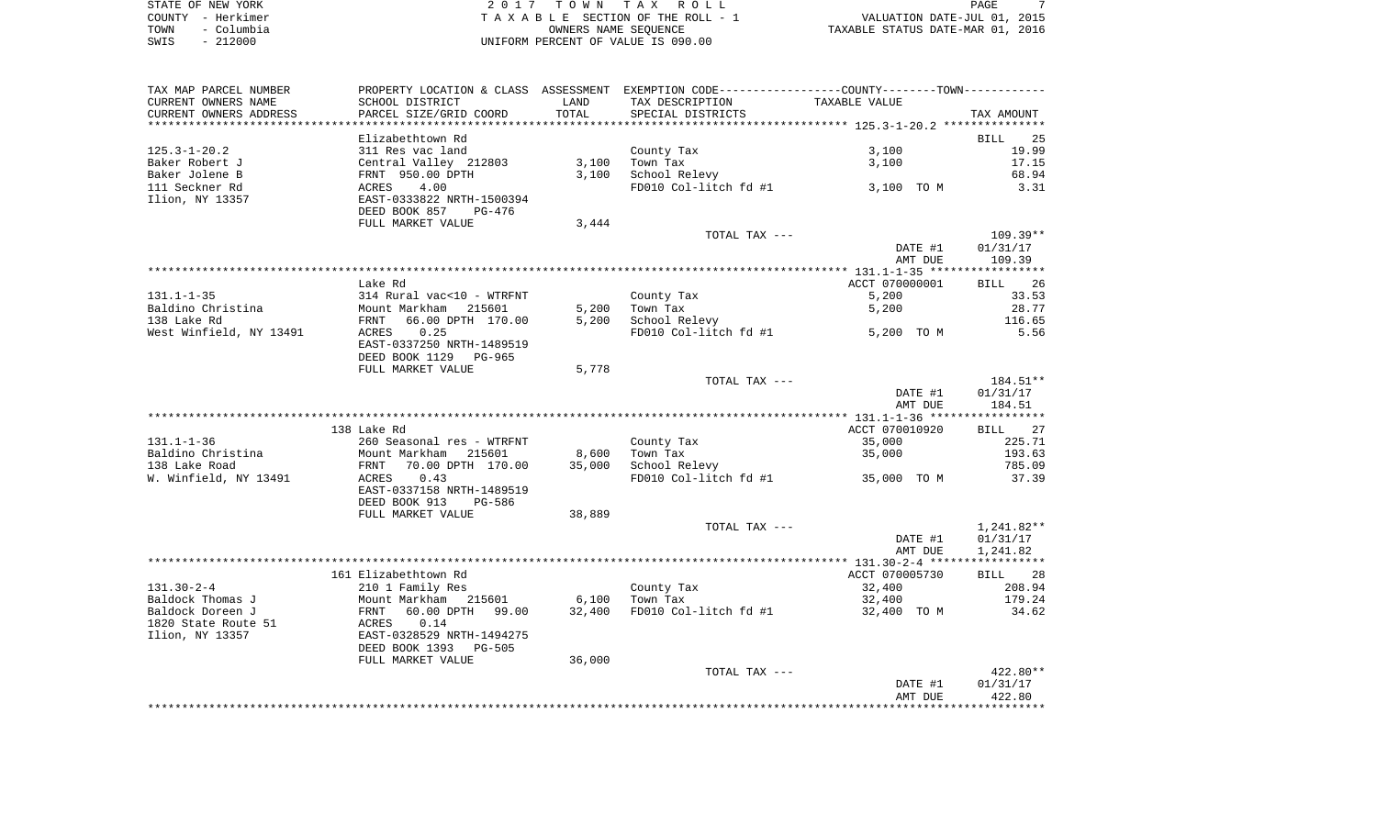| STATE OF NEW YORK  | 2017 TOWN TAX ROLL                 | PAGE                             |
|--------------------|------------------------------------|----------------------------------|
| COUNTY - Herkimer  | TAXABLE SECTION OF THE ROLL - 1    | VALUATION DATE-JUL 01, 2015      |
| TOWN<br>– Columbia | OWNERS NAME SEOUENCE               | TAXABLE STATUS DATE-MAR 01, 2016 |
| $-212000$<br>SWIS  | UNIFORM PERCENT OF VALUE IS 090.00 |                                  |

| TAX MAP PARCEL NUMBER   | PROPERTY LOCATION & CLASS ASSESSMENT EXEMPTION CODE---------------COUNTY-------TOWN---------- |        |                                                     |                |                   |
|-------------------------|-----------------------------------------------------------------------------------------------|--------|-----------------------------------------------------|----------------|-------------------|
| CURRENT OWNERS NAME     | SCHOOL DISTRICT                                                                               | LAND   | TAX DESCRIPTION                                     | TAXABLE VALUE  |                   |
| CURRENT OWNERS ADDRESS  | PARCEL SIZE/GRID COORD                                                                        | TOTAL  | SPECIAL DISTRICTS                                   |                | TAX AMOUNT        |
|                         |                                                                                               |        |                                                     |                |                   |
|                         | Elizabethtown Rd                                                                              |        |                                                     |                | <b>BILL</b><br>25 |
| $125.3 - 1 - 20.2$      | 311 Res vac land                                                                              |        | County Tax                                          | 3,100          | 19.99             |
| Baker Robert J          | Central Valley 212803                                                                         | 3,100  | Town Tax                                            | 3,100          | 17.15             |
|                         | FRNT 950.00 DPTH                                                                              |        |                                                     |                |                   |
| Baker Jolene B          |                                                                                               | 3,100  | School Relevy                                       |                | 68.94             |
| 111 Seckner Rd          | 4.00<br>ACRES                                                                                 |        | FD010 Col-litch $f d$ #1 $\qquad \qquad$ 3,100 TO M |                | 3.31              |
| Ilion, NY 13357         | EAST-0333822 NRTH-1500394                                                                     |        |                                                     |                |                   |
|                         | DEED BOOK 857<br>PG-476                                                                       |        |                                                     |                |                   |
|                         | FULL MARKET VALUE                                                                             | 3,444  |                                                     |                |                   |
|                         |                                                                                               |        | TOTAL TAX ---                                       |                | $109.39**$        |
|                         |                                                                                               |        |                                                     | DATE #1        | 01/31/17          |
|                         |                                                                                               |        |                                                     | AMT DUE        | 109.39            |
|                         |                                                                                               |        |                                                     |                |                   |
|                         | Lake Rd                                                                                       |        |                                                     | ACCT 070000001 | BILL 26           |
| $131.1 - 1 - 35$        | 314 Rural vac<10 - WTRFNT                                                                     |        | County Tax                                          | 5,200          | 33.53             |
| Baldino Christina       | 215601                                                                                        | 5,200  | Town Tax                                            | 5,200          | 28.77             |
| 138 Lake Rd             | Mount Markham<br>FRNT 66.00 I<br>66.00 DPTH 170.00                                            |        | 5,200 School Relevy                                 |                | 116.65            |
|                         | <b>ACRES</b><br>0.25                                                                          |        | FD010 Col-litch fd #1                               | 5,200 TO M     | 5.56              |
| West Winfield, NY 13491 |                                                                                               |        |                                                     |                |                   |
|                         | EAST-0337250 NRTH-1489519                                                                     |        |                                                     |                |                   |
|                         | DEED BOOK 1129<br>PG-965                                                                      |        |                                                     |                |                   |
|                         | FULL MARKET VALUE                                                                             | 5,778  |                                                     |                |                   |
|                         |                                                                                               |        | TOTAL TAX ---                                       |                | $184.51***$       |
|                         |                                                                                               |        |                                                     | DATE #1        | 01/31/17          |
|                         |                                                                                               |        |                                                     | AMT DUE        | 184.51            |
|                         |                                                                                               |        |                                                     |                |                   |
|                         | 138 Lake Rd                                                                                   |        |                                                     | ACCT 070010920 | BILL 27           |
| $131.1 - 1 - 36$        |                                                                                               |        | County Tax                                          | 35,000         | 225.71            |
| Baldino Christina       |                                                                                               | 8,600  | Town Tax                                            | 35,000         | 193.63            |
| 138 Lake Road           | 260 Seasonal res - WTRFNT<br>Mount Markham - 215601<br>FRNT - 70.00 DPTH - 170.00             | 35,000 | School Relevy                                       |                | 785.09            |
| W. Winfield, NY 13491   | <b>ACRES</b><br>0.43                                                                          |        | FD010 Col-litch fd #1 35,000 TO M                   |                | 37.39             |
|                         | EAST-0337158 NRTH-1489519                                                                     |        |                                                     |                |                   |
|                         | DEED BOOK 913<br>PG-586                                                                       |        |                                                     |                |                   |
|                         | FULL MARKET VALUE                                                                             | 38,889 |                                                     |                |                   |
|                         |                                                                                               |        |                                                     |                |                   |
|                         |                                                                                               |        | TOTAL TAX ---                                       |                | 1,241.82**        |
|                         |                                                                                               |        |                                                     | DATE #1        | 01/31/17          |
|                         |                                                                                               |        |                                                     | AMT DUE        | 1,241.82          |
|                         |                                                                                               |        |                                                     |                |                   |
|                         | 161 Elizabethtown Rd                                                                          |        |                                                     | ACCT 070005730 | BILL 28           |
| $131.30 - 2 - 4$        | 210 1 Family Res                                                                              |        | County Tax                                          | 32,400         | 208.94            |
| Baldock Thomas J        |                                                                                               | 6,100  | Town Tax                                            | 32,400         | 179.24            |
| Baldock Doreen J        |                                                                                               | 32,400 | FD010 Col-litch $fd$ #1 32,400 TO M                 |                | 34.62             |
| 1820 State Route 51     |                                                                                               |        |                                                     |                |                   |
| Ilion, NY 13357         |                                                                                               |        |                                                     |                |                   |
|                         | DEED BOOK 1393 PG-505                                                                         |        |                                                     |                |                   |
|                         | FULL MARKET VALUE                                                                             | 36,000 |                                                     |                |                   |
|                         |                                                                                               |        | TOTAL TAX ---                                       |                | $422.80**$        |
|                         |                                                                                               |        |                                                     | DATE #1        | 01/31/17          |
|                         |                                                                                               |        |                                                     | AMT DUE        | 422.80            |
|                         |                                                                                               |        |                                                     |                |                   |
|                         |                                                                                               |        |                                                     |                |                   |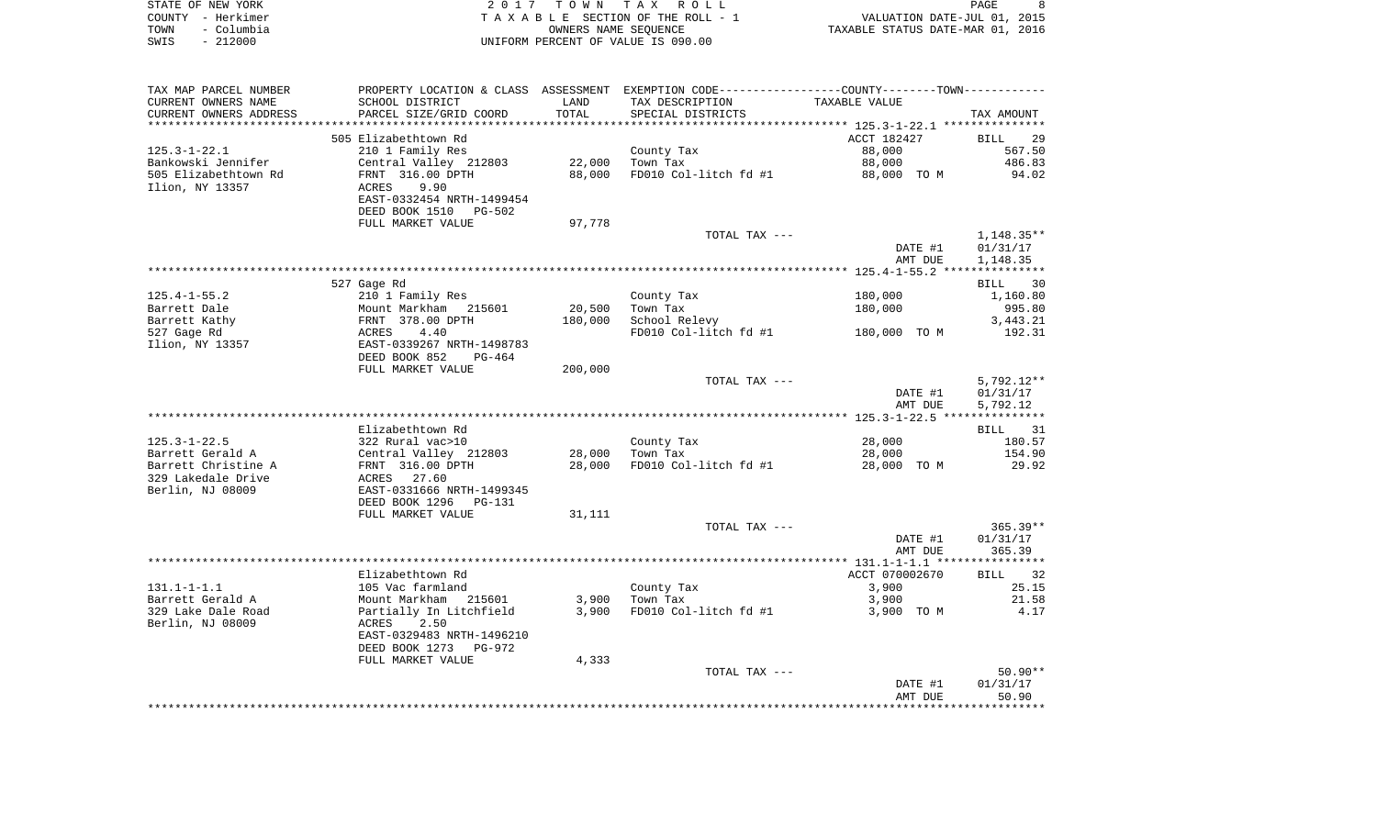| STATE OF NEW YORK  | 2017 TOWN TAX ROLL                 |                                  | PAGE |  |
|--------------------|------------------------------------|----------------------------------|------|--|
| COUNTY – Herkimer  | TAXABLE SECTION OF THE ROLL - 1    | VALUATION DATE-JUL 01, 2015      |      |  |
| - Columbia<br>TOWN | OWNERS NAME SEOUENCE               | TAXABLE STATUS DATE-MAR 01, 2016 |      |  |
| - 212000<br>SWIS   | UNIFORM PERCENT OF VALUE IS 090.00 |                                  |      |  |

| TAX MAP PARCEL NUMBER  | PROPERTY LOCATION & CLASS ASSESSMENT EXEMPTION CODE---------------COUNTY-------TOWN---------- |         |                                    |                |              |
|------------------------|-----------------------------------------------------------------------------------------------|---------|------------------------------------|----------------|--------------|
| CURRENT OWNERS NAME    | SCHOOL DISTRICT                                                                               | LAND    | TAX DESCRIPTION                    | TAXABLE VALUE  |              |
| CURRENT OWNERS ADDRESS | PARCEL SIZE/GRID COORD                                                                        | TOTAL   | SPECIAL DISTRICTS                  |                | TAX AMOUNT   |
|                        | ******************************                                                                |         |                                    |                |              |
|                        | 505 Elizabethtown Rd                                                                          |         |                                    | ACCT 182427    | BILL<br>29   |
| $125.3 - 1 - 22.1$     | 210 1 Family Res                                                                              |         | County Tax                         | 88,000         | 567.50       |
| Bankowski Jennifer     | Central Valley 212803                                                                         | 22,000  | Town Tax                           | 88,000         | 486.83       |
| 505 Elizabethtown Rd   | FRNT 316.00 DPTH                                                                              | 88,000  | FD010 Col-litch fd #1              | 88,000 TO M    | 94.02        |
| Ilion, NY 13357        | 9.90<br>ACRES                                                                                 |         |                                    |                |              |
|                        | EAST-0332454 NRTH-1499454                                                                     |         |                                    |                |              |
|                        |                                                                                               |         |                                    |                |              |
|                        | DEED BOOK 1510 PG-502                                                                         |         |                                    |                |              |
|                        | FULL MARKET VALUE                                                                             | 97,778  |                                    |                |              |
|                        |                                                                                               |         | TOTAL TAX ---                      |                | 1,148.35**   |
|                        |                                                                                               |         |                                    | DATE #1        | 01/31/17     |
|                        |                                                                                               |         |                                    | AMT DUE        | 1,148.35     |
|                        |                                                                                               |         |                                    |                |              |
|                        | 527 Gage Rd                                                                                   |         |                                    |                | BILL 30      |
| $125.4 - 1 - 55.2$     | 210 1 Family Res                                                                              |         | County Tax                         | 180,000        | 1,160.80     |
| Barrett Dale           | Mount Markham 215601                                                                          | 20,500  | Town Tax                           | 180,000        | 995.80       |
| Barrett Kathy          | FRNT 378.00 DPTH                                                                              | 180,000 | School Relevy                      |                | 3,443.21     |
| 527 Gage Rd            |                                                                                               |         | FD010 Col-litch fd #1 180,000 TO M |                | 192.31       |
| Ilion, NY 13357        | ACRES 4.40<br>EAST-0339267 NRTH-1498783                                                       |         |                                    |                |              |
|                        | DEED BOOK 852<br>PG-464                                                                       |         |                                    |                |              |
|                        | FULL MARKET VALUE                                                                             | 200,000 |                                    |                |              |
|                        |                                                                                               |         |                                    |                |              |
|                        |                                                                                               |         | TOTAL TAX ---                      |                | $5,792.12**$ |
|                        |                                                                                               |         |                                    | DATE #1        | 01/31/17     |
|                        |                                                                                               |         |                                    | AMT DUE        | 5,792.12     |
|                        |                                                                                               |         |                                    |                |              |
|                        | Elizabethtown Rd                                                                              |         |                                    |                | 31<br>BILL   |
| $125.3 - 1 - 22.5$     | 322 Rural vac>10                                                                              |         | County Tax                         | 28,000         | 180.57       |
| Barrett Gerald A       | Central Valley 212803                                                                         | 28,000  | Town Tax                           | 28,000         | 154.90       |
| Barrett Christine A    | FRNT 316.00 DPTH                                                                              | 28,000  | FD010 Col-litch fd #1              | 28,000 TO M    | 29.92        |
| 329 Lakedale Drive     | ACRES<br>27.60                                                                                |         |                                    |                |              |
| Berlin, NJ 08009       | EAST-0331666 NRTH-1499345                                                                     |         |                                    |                |              |
|                        | DEED BOOK 1296<br>PG-131                                                                      |         |                                    |                |              |
|                        | FULL MARKET VALUE                                                                             | 31,111  |                                    |                |              |
|                        |                                                                                               |         | TOTAL TAX ---                      |                | $365.39**$   |
|                        |                                                                                               |         |                                    | DATE #1        | 01/31/17     |
|                        |                                                                                               |         |                                    | AMT DUE        | 365.39       |
|                        |                                                                                               |         |                                    |                |              |
|                        | Elizabethtown Rd                                                                              |         |                                    | ACCT 070002670 | BILL 32      |
| $131.1 - 1 - 1.1$      |                                                                                               |         |                                    |                |              |
|                        | 105 Vac farmland                                                                              |         | County Tax                         | 3,900          | 25.15        |
| Barrett Gerald A       | Mount Markham 215601                                                                          | 3,900   | Town Tax                           | 3,900          | 21.58        |
| 329 Lake Dale Road     | Partially In Litchfield                                                                       | 3,900   | FD010 Col-litch fd #1              | 3,900 TO M     | 4.17         |
| Berlin, NJ 08009       | ACRES<br>2.50                                                                                 |         |                                    |                |              |
|                        | EAST-0329483 NRTH-1496210                                                                     |         |                                    |                |              |
|                        | DEED BOOK 1273 PG-972                                                                         |         |                                    |                |              |
|                        | FULL MARKET VALUE                                                                             | 4,333   |                                    |                |              |
|                        |                                                                                               |         | TOTAL TAX ---                      |                | 50.90**      |
|                        |                                                                                               |         |                                    | DATE #1        | 01/31/17     |
|                        |                                                                                               |         |                                    | AMT DUE        | 50.90        |
|                        |                                                                                               |         |                                    |                |              |
|                        |                                                                                               |         |                                    |                |              |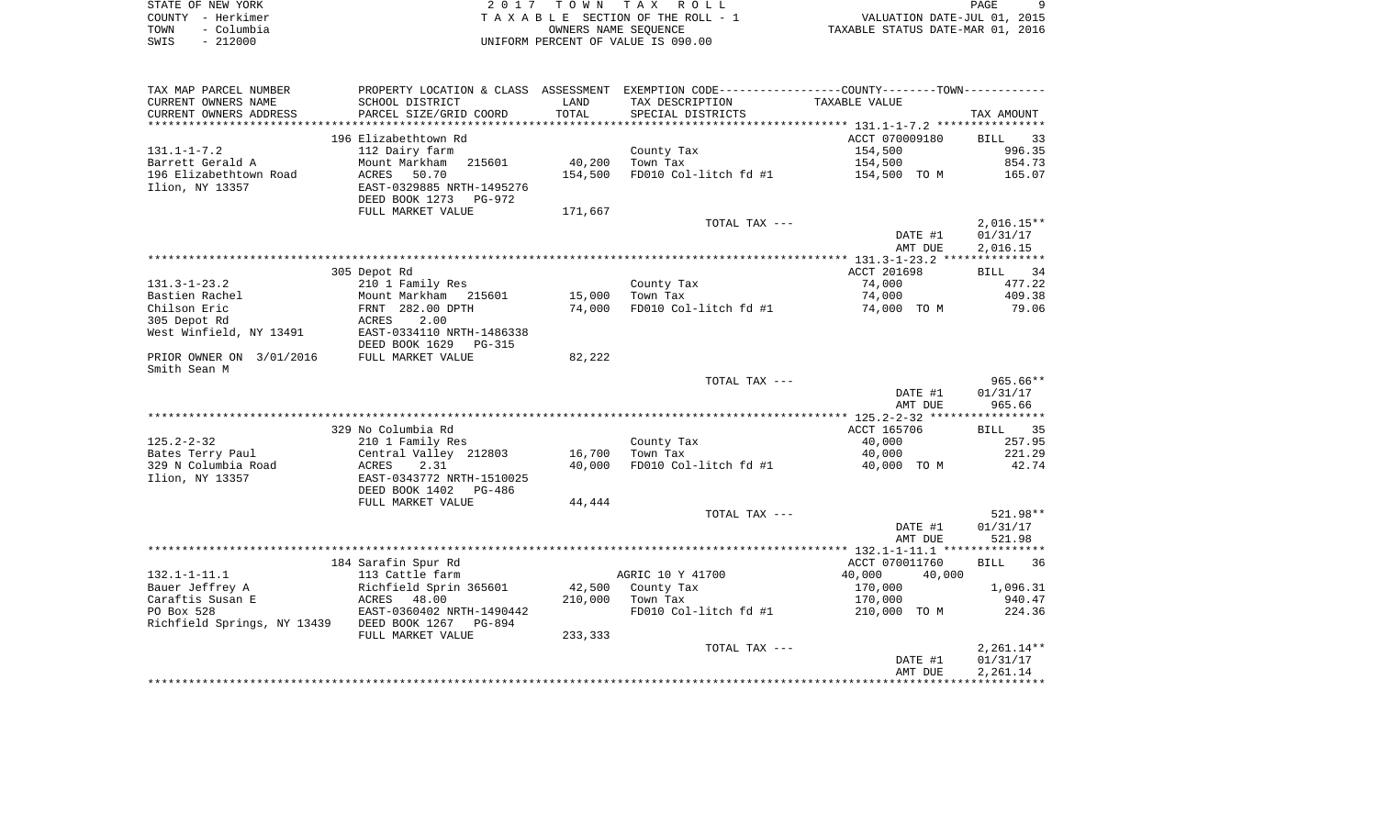|      | STATE OF NEW YORK | 2017 TOWN TAX ROLL                 |                                  | PAGE |  |
|------|-------------------|------------------------------------|----------------------------------|------|--|
|      | COUNTY - Herkimer | TAXABLE SECTION OF THE ROLL - 1    | VALUATION DATE-JUL 01, 2015      |      |  |
| TOWN | - Columbia        | OWNERS NAME SEOUENCE               | TAXABLE STATUS DATE-MAR 01, 2016 |      |  |
| SWIS | - 212000          | UNIFORM PERCENT OF VALUE IS 090.00 |                                  |      |  |

| TAX MAP PARCEL NUMBER                             |                                      |         | PROPERTY LOCATION & CLASS ASSESSMENT EXEMPTION CODE----------------COUNTY--------TOWN----------- |                  |                   |
|---------------------------------------------------|--------------------------------------|---------|--------------------------------------------------------------------------------------------------|------------------|-------------------|
| CURRENT OWNERS NAME                               | SCHOOL DISTRICT                      | LAND    | TAX DESCRIPTION                                                                                  | TAXABLE VALUE    |                   |
| CURRENT OWNERS ADDRESS                            | PARCEL SIZE/GRID COORD               | TOTAL   | SPECIAL DISTRICTS                                                                                |                  | TAX AMOUNT        |
|                                                   |                                      |         |                                                                                                  |                  |                   |
|                                                   | 196 Elizabethtown Rd                 |         |                                                                                                  | ACCT 070009180   | BILL 33           |
| $131.1 - 1 - 7.2$                                 | 112 Dairy farm                       |         | County Tax                                                                                       | 154,500          | 996.35            |
| Barrett Gerald A                                  | 215601<br>Mount Markham              | 40,200  | Town Tax                                                                                         | 154,500          | 854.73            |
| 196 Elizabethtown Road                            | ACRES<br>50.70                       | 154,500 | FD010 Col-litch fd #1                                                                            | 154,500 TO M     | 165.07            |
| Ilion, NY 13357                                   | EAST-0329885 NRTH-1495276            |         |                                                                                                  |                  |                   |
|                                                   | DEED BOOK 1273<br>PG-972             |         |                                                                                                  |                  |                   |
|                                                   | FULL MARKET VALUE                    | 171,667 |                                                                                                  |                  |                   |
|                                                   |                                      |         | TOTAL TAX ---                                                                                    |                  | $2,016.15**$      |
|                                                   |                                      |         |                                                                                                  | DATE #1          | 01/31/17          |
|                                                   |                                      |         |                                                                                                  | AMT DUE          | 2,016.15          |
|                                                   |                                      |         |                                                                                                  |                  |                   |
|                                                   | 305 Depot Rd                         |         |                                                                                                  | ACCT 201698      | BILL 34           |
| 131.3-1-23.2                                      | 210 1 Family Res                     |         | County Tax                                                                                       | 74,000           | 477.22            |
| Bastien Rachel                                    | Mount Markham 215601                 | 15,000  | Town Tax                                                                                         | 74,000           | 409.38            |
| Chilson Eric                                      | Mount Marknam 21<br>FRNT 282.00 DPTH | 74,000  | FD010 Col-litch fd #1                                                                            | 74,000 TO M      | 79.06             |
| 305 Depot Rd                                      | ACRES<br>2.00                        |         |                                                                                                  |                  |                   |
| West Winfield, NY 13491                           | EAST-0334110 NRTH-1486338            |         |                                                                                                  |                  |                   |
|                                                   | DEED BOOK 1629<br>PG-315             |         |                                                                                                  |                  |                   |
| PRIOR OWNER ON 3/01/2016                          | FULL MARKET VALUE                    | 82,222  |                                                                                                  |                  |                   |
| Smith Sean M                                      |                                      |         |                                                                                                  |                  |                   |
|                                                   |                                      |         | TOTAL TAX ---                                                                                    |                  | 965.66**          |
|                                                   |                                      |         |                                                                                                  | DATE #1          | 01/31/17          |
|                                                   |                                      |         |                                                                                                  | AMT DUE          | 965.66            |
|                                                   |                                      |         |                                                                                                  |                  |                   |
|                                                   | 329 No Columbia Rd                   |         |                                                                                                  | ACCT 165706      | BILL 35           |
| $125.2 - 2 - 32$                                  | 210 1 Family Res                     |         | County Tax                                                                                       | 40,000           | 257.95            |
| Bates Terry Paul                                  | Central Valley 212803                | 16,700  | Town Tax                                                                                         | 40,000           | 221.29            |
| 329 N Columbia Road                               | 2.31<br>ACRES                        | 40,000  | FD010 Col-litch fd #1                                                                            | 40,000 TO M      | 42.74             |
| Ilion, NY 13357                                   | EAST-0343772 NRTH-1510025            |         |                                                                                                  |                  |                   |
|                                                   | DEED BOOK 1402<br>PG-486             |         |                                                                                                  |                  |                   |
|                                                   | FULL MARKET VALUE                    | 44,444  |                                                                                                  |                  |                   |
|                                                   |                                      |         | TOTAL TAX ---                                                                                    |                  | 521.98**          |
|                                                   |                                      |         |                                                                                                  | DATE #1          | 01/31/17          |
|                                                   |                                      |         |                                                                                                  | AMT DUE          | 521.98            |
|                                                   |                                      |         |                                                                                                  |                  |                   |
|                                                   | 184 Sarafin Spur Rd                  |         |                                                                                                  | ACCT 070011760   | <b>BILL</b><br>36 |
| $132.1 - 1 - 11.1$                                | 113 Cattle farm                      |         | AGRIC 10 Y 41700                                                                                 | 40,000<br>40,000 |                   |
| Bauer Jeffrey A                                   | Richfield Sprin 365601               |         | 42,500 County Tax                                                                                | 170,000          | 1,096.31          |
| Caraftis Susan E                                  | ACRES<br>48.00                       | 210,000 | Town Tax                                                                                         | 170,000          | 940.47            |
| PO Box 528                                        | EAST-0360402 NRTH-1490442            |         | FD010 Col-litch fd #1                                                                            | 210,000 TO M     | 224.36            |
| Richfield Springs, NY 13439 DEED BOOK 1267 PG-894 |                                      |         |                                                                                                  |                  |                   |
|                                                   | FULL MARKET VALUE                    | 233,333 |                                                                                                  |                  |                   |
|                                                   |                                      |         | TOTAL TAX ---                                                                                    |                  | $2,261.14**$      |
|                                                   |                                      |         |                                                                                                  | DATE #1          | 01/31/17          |
|                                                   |                                      |         |                                                                                                  | AMT DUE          | 2,261.14          |
|                                                   |                                      |         |                                                                                                  |                  |                   |
|                                                   |                                      |         |                                                                                                  |                  |                   |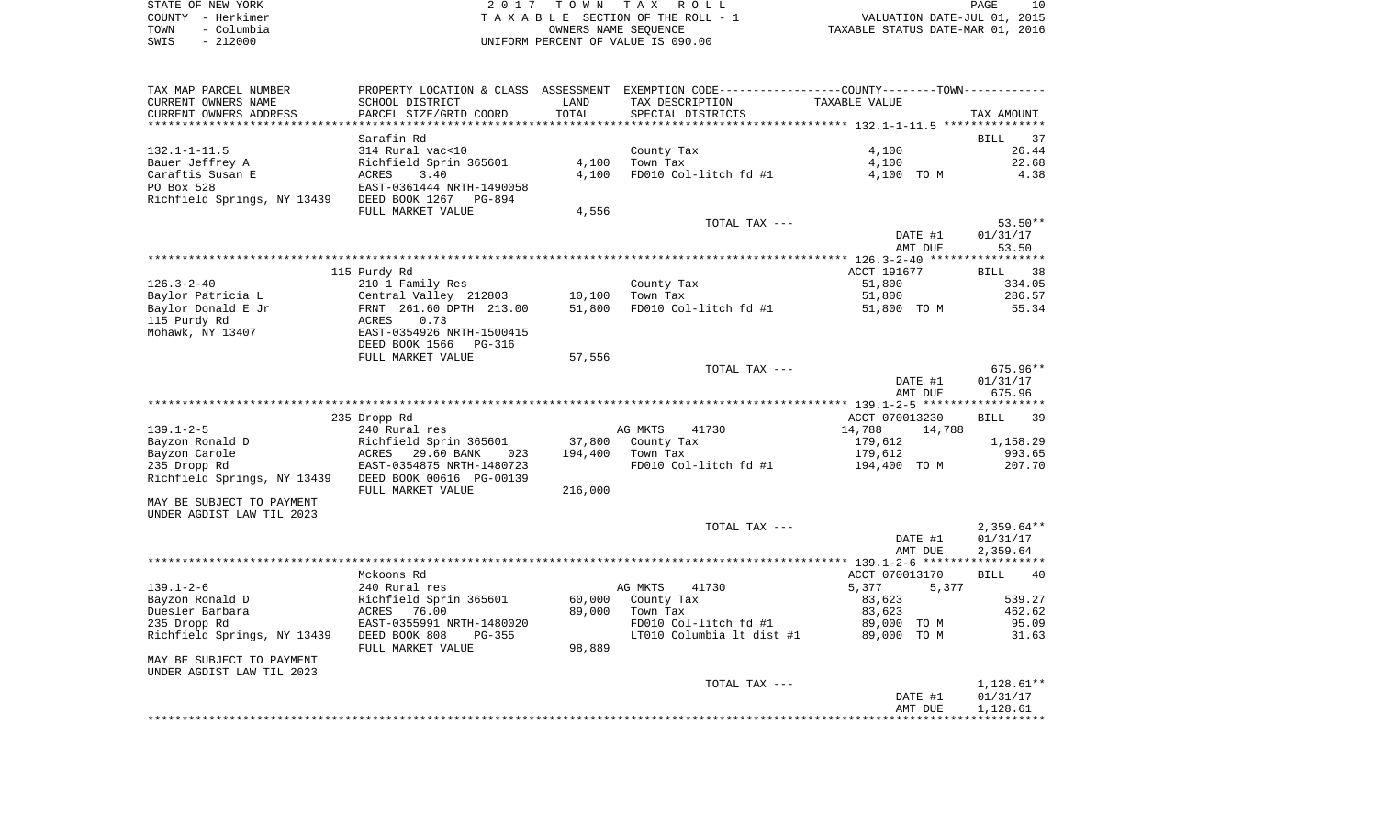| STATE OF NEW YORK  | 2017 TOWN TAX ROLL                 | PAGE                             |
|--------------------|------------------------------------|----------------------------------|
| COUNTY - Herkimer  | TAXABLE SECTION OF THE ROLL - 1    | VALUATION DATE-JUL 01, 2015      |
| - Columbia<br>TOWN | OWNERS NAME SEOUENCE               | TAXABLE STATUS DATE-MAR 01, 2016 |
| $-212000$<br>SWIS  | UNIFORM PERCENT OF VALUE IS 090.00 |                                  |

| TAX MAP PARCEL NUMBER                                |                                                                             |         | PROPERTY LOCATION & CLASS ASSESSMENT EXEMPTION CODE----------------COUNTY--------TOWN----------- |                    |                      |
|------------------------------------------------------|-----------------------------------------------------------------------------|---------|--------------------------------------------------------------------------------------------------|--------------------|----------------------|
| CURRENT OWNERS NAME                                  | SCHOOL DISTRICT                                                             | LAND    | TAX DESCRIPTION                                                                                  | TAXABLE VALUE      |                      |
| CURRENT OWNERS ADDRESS                               | PARCEL SIZE/GRID COORD                                                      | TOTAL   | SPECIAL DISTRICTS                                                                                |                    | TAX AMOUNT           |
|                                                      | Sarafin Rd                                                                  |         |                                                                                                  |                    | BILL<br>37           |
| $132.1 - 1 - 11.5$                                   | 314 Rural vac<10                                                            |         | County Tax                                                                                       | 4,100              | 26.44                |
| Bauer Jeffrey A                                      | Richfield Sprin 365601                                                      | 4,100   | Town Tax                                                                                         | 4,100              | 22.68                |
| Caraftis Susan E                                     | ACRES<br>3.40                                                               | 4,100   | FD010 Col-litch fd #1                                                                            | 4,100 TO M         | 4.38                 |
| PO Box 528                                           | EAST-0361444 NRTH-1490058                                                   |         |                                                                                                  |                    |                      |
| Richfield Springs, NY 13439 DEED BOOK 1267 PG-894    |                                                                             |         |                                                                                                  |                    |                      |
|                                                      | FULL MARKET VALUE                                                           | 4,556   |                                                                                                  |                    |                      |
|                                                      |                                                                             |         | TOTAL TAX ---                                                                                    |                    | $53.50**$            |
|                                                      |                                                                             |         |                                                                                                  | DATE #1            | 01/31/17             |
|                                                      |                                                                             |         |                                                                                                  | AMT DUE            | 53.50                |
|                                                      |                                                                             |         |                                                                                                  |                    |                      |
|                                                      | 115 Purdy Rd                                                                |         |                                                                                                  | ACCT 191677        | BILL 38              |
| $126.3 - 2 - 40$                                     | 210 1 Family Res                                                            |         | County Tax                                                                                       | 51,800             | 334.05               |
| Baylor Patricia L                                    | Central Valley 212803                                                       | 10,100  | Town Tax                                                                                         | 51,800             | 286.57               |
| Baylor Donald E Jr                                   | FRNT 261.60 DPTH 213.00                                                     | 51,800  | FD010 Col-litch fd #1                                                                            | 51,800 TO M        | 55.34                |
| 115 Purdy Rd                                         | ACRES 0.73<br>EAST-0354926 NRTH-1500415                                     |         |                                                                                                  |                    |                      |
| Mohawk, NY 13407                                     | DEED BOOK 1566<br>PG-316                                                    |         |                                                                                                  |                    |                      |
|                                                      | FULL MARKET VALUE                                                           | 57,556  |                                                                                                  |                    |                      |
|                                                      |                                                                             |         | TOTAL TAX ---                                                                                    |                    | 675.96**             |
|                                                      |                                                                             |         |                                                                                                  | DATE #1            | 01/31/17             |
|                                                      |                                                                             |         |                                                                                                  | AMT DUE            | 675.96               |
|                                                      |                                                                             |         |                                                                                                  |                    |                      |
|                                                      | 235 Dropp Rd                                                                |         |                                                                                                  | ACCT 070013230     | <b>BILL</b><br>39    |
| $139.1 - 2 - 5$                                      | 240 Rural res                                                               |         | 41730<br>AG MKTS                                                                                 | 14,788<br>14,788   |                      |
| Bayzon Ronald D                                      | Richfield Sprin 365601<br>ACRES 29.60 BANK 023<br>EAST-0354875 NRTH-1480723 | 37,800  | County Tax                                                                                       | 179,612            | 1,158.29             |
| Bayzon Carole                                        |                                                                             | 194,400 | Town Tax                                                                                         | 179,612            | 993.65               |
| 235 Dropp Rd                                         |                                                                             |         | FD010 Col-litch fd #1                                                                            | 194,400 TO M       | 207.70               |
| Richfield Springs, NY 13439 DEED BOOK 00616 PG-00139 |                                                                             |         |                                                                                                  |                    |                      |
|                                                      | FULL MARKET VALUE                                                           | 216,000 |                                                                                                  |                    |                      |
| MAY BE SUBJECT TO PAYMENT                            |                                                                             |         |                                                                                                  |                    |                      |
| UNDER AGDIST LAW TIL 2023                            |                                                                             |         | TOTAL TAX ---                                                                                    |                    | $2,359.64**$         |
|                                                      |                                                                             |         |                                                                                                  | DATE #1            | 01/31/17             |
|                                                      |                                                                             |         |                                                                                                  | AMT DUE            | 2,359.64             |
|                                                      |                                                                             |         |                                                                                                  |                    |                      |
|                                                      | Mckoons Rd                                                                  |         |                                                                                                  | ACCT 070013170     | <b>BILL</b><br>40    |
| 139.1-2-6                                            | 240 Rural res                                                               |         | 41730<br>AG MKTS                                                                                 | 5,377<br>5,377     |                      |
| Bayzon Ronald D                                      | Richfield Sprin 365601                                                      | 60,000  | County Tax                                                                                       | 83,623             | 539.27               |
| Duesler Barbara                                      | ACRES 76.00                                                                 | 89,000  | Town Tax                                                                                         | 83,623             | 462.62               |
| 235 Dropp Rd                                         | EAST-0355991 NRTH-1480020                                                   |         | FD010 Col-litch fd #1                                                                            | 89,000 TO M        | 95.09                |
| Richfield Springs, NY 13439 DEED BOOK 808            | $PG-355$                                                                    |         | LT010 Columbia lt dist #1                                                                        | 89,000 TO M        | 31.63                |
|                                                      | FULL MARKET VALUE                                                           | 98,889  |                                                                                                  |                    |                      |
| MAY BE SUBJECT TO PAYMENT                            |                                                                             |         |                                                                                                  |                    |                      |
| UNDER AGDIST LAW TIL 2023                            |                                                                             |         |                                                                                                  |                    |                      |
|                                                      |                                                                             |         | TOTAL TAX ---                                                                                    |                    | $1,128.61**$         |
|                                                      |                                                                             |         |                                                                                                  | DATE #1<br>AMT DUE | 01/31/17<br>1,128.61 |
|                                                      |                                                                             |         |                                                                                                  |                    |                      |
|                                                      |                                                                             |         |                                                                                                  |                    |                      |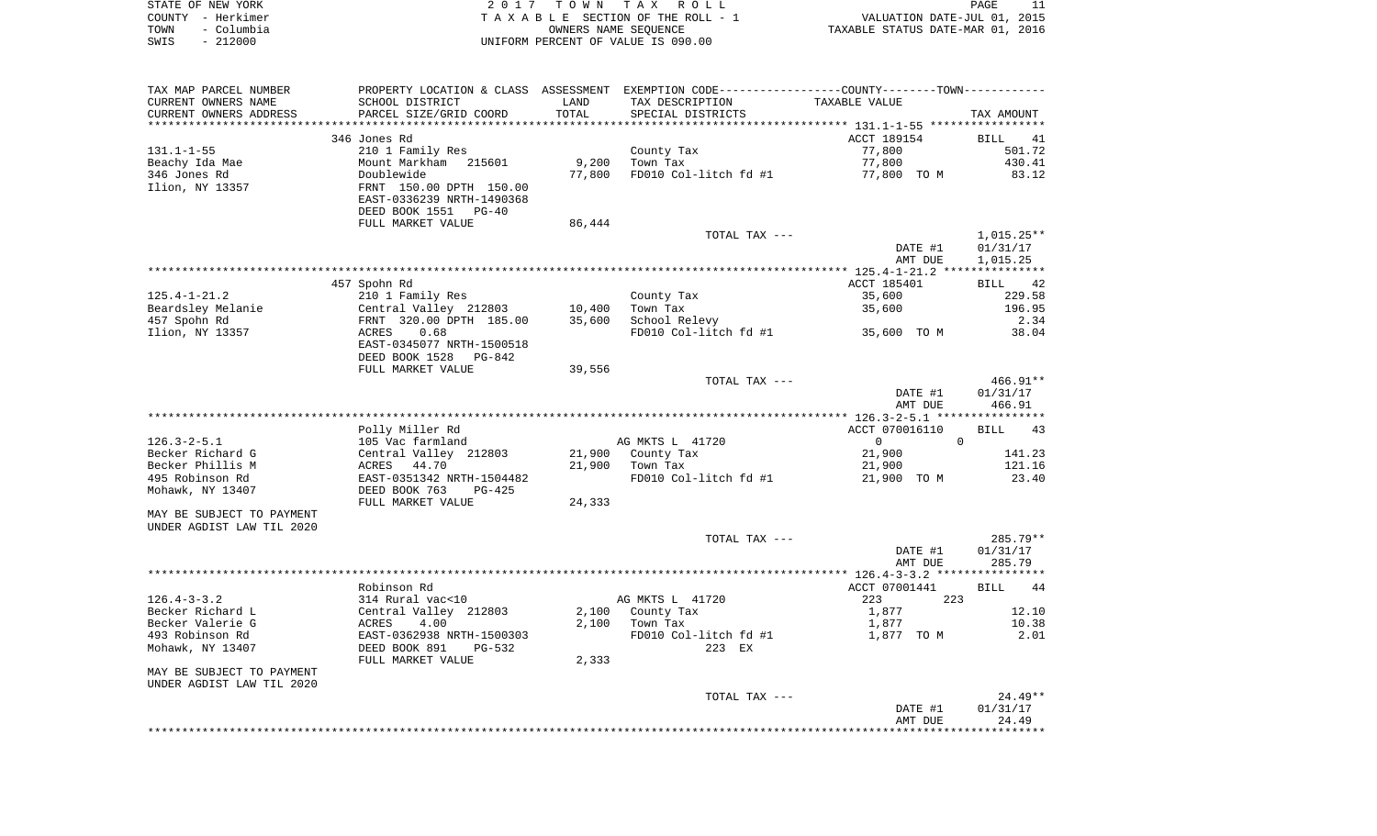|      | STATE OF NEW YORK | 2017 TOWN TAX ROLL                 | PAGE                             |  |
|------|-------------------|------------------------------------|----------------------------------|--|
|      | COUNTY - Herkimer | TAXABLE SECTION OF THE ROLL - 1    | VALUATION DATE-JUL 01, 2015      |  |
| TOWN | - Columbia        | OWNERS NAME SEOUENCE               | TAXABLE STATUS DATE-MAR 01, 2016 |  |
| SWIS | $-212000$         | UNIFORM PERCENT OF VALUE IS 090.00 |                                  |  |

| TAX MAP PARCEL NUMBER<br>CURRENT OWNERS NAME<br>CURRENT OWNERS ADDRESS | SCHOOL DISTRICT<br>PARCEL SIZE/GRID COORD                                                         | LAND<br>TOTAL    | PROPERTY LOCATION & CLASS ASSESSMENT EXEMPTION CODE---------------COUNTY-------TOWN----------<br>TAX DESCRIPTION<br>SPECIAL DISTRICTS | <b>TAXABLE VALUE</b>  | TAX AMOUNT        |
|------------------------------------------------------------------------|---------------------------------------------------------------------------------------------------|------------------|---------------------------------------------------------------------------------------------------------------------------------------|-----------------------|-------------------|
|                                                                        |                                                                                                   |                  |                                                                                                                                       |                       |                   |
|                                                                        | 346 Jones Rd                                                                                      |                  |                                                                                                                                       | ACCT 189154           | <b>BILL</b><br>41 |
| $131.1 - 1 - 55$                                                       | 210 1 Family Res                                                                                  |                  | County Tax                                                                                                                            | 77,800                | 501.72            |
| Beachy Ida Mae                                                         | Mount Markham<br>215601                                                                           | 9,200            | Town Tax                                                                                                                              | 77,800                | 430.41            |
| 346 Jones Rd                                                           | Doublewide                                                                                        | 77,800           | FD010 Col-litch fd #1                                                                                                                 | 77,800 TO M           | 83.12             |
| Ilion, NY 13357                                                        | FRNT 150.00 DPTH 150.00<br>EAST-0336239 NRTH-1490368<br>DEED BOOK 1551 PG-40<br>FULL MARKET VALUE | 86,444           |                                                                                                                                       |                       |                   |
|                                                                        |                                                                                                   |                  | TOTAL TAX ---                                                                                                                         |                       | $1,015.25**$      |
|                                                                        |                                                                                                   |                  |                                                                                                                                       | DATE #1               | 01/31/17          |
|                                                                        |                                                                                                   |                  |                                                                                                                                       | AMT DUE               | 1,015.25          |
|                                                                        |                                                                                                   |                  |                                                                                                                                       |                       |                   |
|                                                                        | 457 Spohn Rd                                                                                      |                  |                                                                                                                                       | ACCT 185401           | 42<br><b>BILL</b> |
| $125.4 - 1 - 21.2$                                                     | 210 1 Family Res                                                                                  |                  | County Tax                                                                                                                            | 35,600                | 229.58            |
| Beardsley Melanie                                                      | Central Valley 212803                                                                             | 10,400           | Town Tax                                                                                                                              | 35,600                | 196.95            |
| 457 Spohn Rd                                                           | FRNT 320.00 DPTH 185.00                                                                           | 35,600           | School Relevy                                                                                                                         |                       | 2.34              |
| Ilion, NY 13357                                                        | 0.68<br>ACRES                                                                                     |                  | FD010 Col-litch fd #1                                                                                                                 | 35,600 TO M           | 38.04             |
|                                                                        | EAST-0345077 NRTH-1500518<br>DEED BOOK 1528<br>PG-842                                             |                  |                                                                                                                                       |                       |                   |
|                                                                        | FULL MARKET VALUE                                                                                 | 39,556           |                                                                                                                                       |                       |                   |
|                                                                        |                                                                                                   |                  | TOTAL TAX ---                                                                                                                         |                       | $466.91**$        |
|                                                                        |                                                                                                   |                  |                                                                                                                                       | DATE #1               | 01/31/17          |
|                                                                        |                                                                                                   |                  |                                                                                                                                       | AMT DUE               | 466.91            |
|                                                                        |                                                                                                   |                  |                                                                                                                                       |                       |                   |
|                                                                        | Polly Miller Rd                                                                                   |                  |                                                                                                                                       | ACCT 070016110        | <b>BILL</b><br>43 |
| $126.3 - 2 - 5.1$                                                      | 105 Vac farmland                                                                                  |                  | AG MKTS L 41720                                                                                                                       | $\mathbf 0$           | $\Omega$          |
| Becker Richard G<br>Becker Phillis M                                   | Central Valley 212803<br>44.70                                                                    | 21,900<br>21,900 | County Tax                                                                                                                            | 21,900                | 141.23            |
| 495 Robinson Rd                                                        | ACRES<br>EAST-0351342 NRTH-1504482                                                                |                  | Town Tax<br>FD010 Col-litch fd #1                                                                                                     | 21,900<br>21,900 TO M | 121.16<br>23.40   |
| Mohawk, NY 13407                                                       | DEED BOOK 763<br>$PG-425$                                                                         |                  |                                                                                                                                       |                       |                   |
|                                                                        | FULL MARKET VALUE                                                                                 | 24,333           |                                                                                                                                       |                       |                   |
| MAY BE SUBJECT TO PAYMENT                                              |                                                                                                   |                  |                                                                                                                                       |                       |                   |
| UNDER AGDIST LAW TIL 2020                                              |                                                                                                   |                  |                                                                                                                                       |                       |                   |
|                                                                        |                                                                                                   |                  | TOTAL TAX ---                                                                                                                         |                       | $285.79**$        |
|                                                                        |                                                                                                   |                  |                                                                                                                                       | DATE #1               | 01/31/17          |
|                                                                        |                                                                                                   |                  |                                                                                                                                       | AMT DUE               | 285.79            |
|                                                                        |                                                                                                   |                  |                                                                                                                                       |                       |                   |
|                                                                        | Robinson Rd                                                                                       |                  |                                                                                                                                       | ACCT 07001441         | <b>BILL</b><br>44 |
| $126.4 - 3 - 3.2$                                                      | 314 Rural vac<10                                                                                  |                  | AG MKTS L 41720                                                                                                                       | 223<br>223            |                   |
| Becker Richard L                                                       | Central Valley 212803                                                                             | 2,100            | County Tax                                                                                                                            | 1,877                 | 12.10             |
| Becker Valerie G                                                       | 4.00<br>ACRES                                                                                     | 2,100            | Town Tax                                                                                                                              | 1,877                 | 10.38             |
| 493 Robinson Rd                                                        | EAST-0362938 NRTH-1500303                                                                         |                  | FD010 Col-litch fd #1                                                                                                                 | 1,877 TO M            | 2.01              |
| Mohawk, NY 13407                                                       | DEED BOOK 891<br>PG-532<br>FULL MARKET VALUE                                                      | 2,333            | 223 EX                                                                                                                                |                       |                   |
| MAY BE SUBJECT TO PAYMENT<br>UNDER AGDIST LAW TIL 2020                 |                                                                                                   |                  |                                                                                                                                       |                       |                   |
|                                                                        |                                                                                                   |                  | TOTAL TAX ---                                                                                                                         |                       | $24.49**$         |
|                                                                        |                                                                                                   |                  |                                                                                                                                       | DATE #1               | 01/31/17          |
|                                                                        |                                                                                                   |                  |                                                                                                                                       | AMT DUE               | 24.49             |
|                                                                        |                                                                                                   |                  |                                                                                                                                       |                       |                   |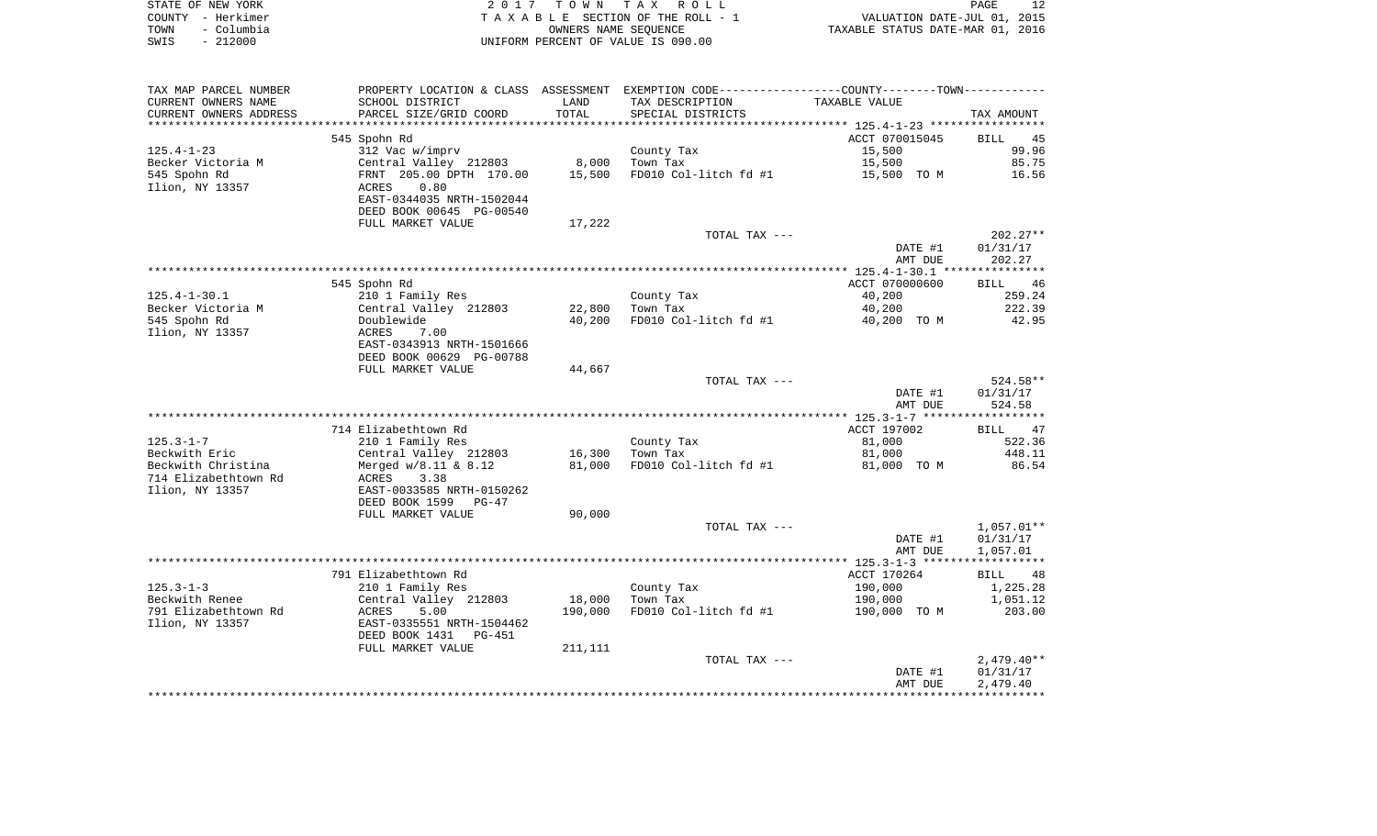|      | STATE OF NEW YORK | 2017 TOWN TAX ROLL                 | PAGE                             |  |
|------|-------------------|------------------------------------|----------------------------------|--|
|      | COUNTY - Herkimer | TAXABLE SECTION OF THE ROLL - 1    | VALUATION DATE-JUL 01, 2015      |  |
| TOWN | – Columbia        | OWNERS NAME SEOUENCE               | TAXABLE STATUS DATE-MAR 01, 2016 |  |
| SWIS | - 212000          | UNIFORM PERCENT OF VALUE IS 090.00 |                                  |  |

| TAX MAP PARCEL NUMBER  | PROPERTY LOCATION & CLASS ASSESSMENT EXEMPTION CODE---------------COUNTY-------TOWN---------- |         |                       |                |                    |
|------------------------|-----------------------------------------------------------------------------------------------|---------|-----------------------|----------------|--------------------|
| CURRENT OWNERS NAME    | SCHOOL DISTRICT                                                                               | LAND    | TAX DESCRIPTION       | TAXABLE VALUE  |                    |
| CURRENT OWNERS ADDRESS | PARCEL SIZE/GRID COORD                                                                        | TOTAL   | SPECIAL DISTRICTS     |                | TAX AMOUNT         |
|                        |                                                                                               |         |                       |                |                    |
|                        | 545 Spohn Rd                                                                                  |         |                       | ACCT 070015045 | 45<br>BILL         |
| $125.4 - 1 - 23$       | 312 Vac w/imprv                                                                               |         | County Tax            | 15,500         | 99.96              |
| Becker Victoria M      | Central Valley 212803                                                                         | 8,000   | Town Tax              | 15,500         | 85.75              |
| 545 Spohn Rd           | FRNT 205.00 DPTH 170.00                                                                       | 15,500  | FD010 Col-litch fd #1 | 15,500 TO M    | 16.56              |
| Ilion, NY 13357        | 0.80<br>ACRES                                                                                 |         |                       |                |                    |
|                        | EAST-0344035 NRTH-1502044                                                                     |         |                       |                |                    |
|                        | DEED BOOK 00645 PG-00540                                                                      |         |                       |                |                    |
|                        | FULL MARKET VALUE                                                                             | 17,222  |                       |                |                    |
|                        |                                                                                               |         | TOTAL TAX ---         |                | $202.27**$         |
|                        |                                                                                               |         |                       | DATE #1        | 01/31/17           |
|                        |                                                                                               |         |                       | AMT DUE        | 202.27             |
|                        |                                                                                               |         |                       |                |                    |
|                        | 545 Spohn Rd                                                                                  |         |                       | ACCT 070000600 | BILL 46            |
| $125.4 - 1 - 30.1$     | 210 1 Family Res                                                                              |         | County Tax            | 40,200         | 259.24             |
| Becker Victoria M      | Central Valley 212803                                                                         | 22,800  | Town Tax              | 40,200         | 222.39             |
| 545 Spohn Rd           | Doublewide                                                                                    | 40,200  | FD010 Col-litch fd #1 | 40,200 TO M    | 42.95              |
| Ilion, NY 13357        | ACRES<br>7.00                                                                                 |         |                       |                |                    |
|                        | EAST-0343913 NRTH-1501666                                                                     |         |                       |                |                    |
|                        | DEED BOOK 00629 PG-00788                                                                      |         |                       |                |                    |
|                        | FULL MARKET VALUE                                                                             | 44,667  |                       |                |                    |
|                        |                                                                                               |         | TOTAL TAX ---         | DATE #1        | 524.58**           |
|                        |                                                                                               |         |                       | AMT DUE        | 01/31/17<br>524.58 |
|                        |                                                                                               |         |                       |                |                    |
|                        | 714 Elizabethtown Rd                                                                          |         |                       | ACCT 197002    | BILL<br>47         |
| 125.3-1-7              | 210 1 Family Res                                                                              |         | County Tax            | 81,000         | 522.36             |
| Beckwith Eric          | Central Valley 212803                                                                         | 16,300  | Town Tax              | 81,000         | 448.11             |
| Beckwith Christina     | Merged $w/8.11$ & $8.12$                                                                      | 81,000  | FD010 Col-litch fd #1 | 81,000 TO M    | 86.54              |
| 714 Elizabethtown Rd   | ACRES<br>3.38                                                                                 |         |                       |                |                    |
| Ilion, NY 13357        | EAST-0033585 NRTH-0150262                                                                     |         |                       |                |                    |
|                        | DEED BOOK 1599<br>PG-47                                                                       |         |                       |                |                    |
|                        | FULL MARKET VALUE                                                                             | 90,000  |                       |                |                    |
|                        |                                                                                               |         | TOTAL TAX ---         |                | 1,057.01**         |
|                        |                                                                                               |         |                       | DATE #1        | 01/31/17           |
|                        |                                                                                               |         |                       | AMT DUE        | 1,057.01           |
|                        |                                                                                               |         |                       |                |                    |
|                        | 791 Elizabethtown Rd                                                                          |         |                       | ACCT 170264    | <b>BILL</b><br>48  |
| $125.3 - 1 - 3$        | 210 1 Family Res                                                                              |         | County Tax            | 190,000        | 1,225.28           |
| Beckwith Renee         | Central Valley 212803                                                                         | 18,000  | Town Tax              | 190,000        | 1,051.12           |
| 791 Elizabethtown Rd   | 5.00<br>ACRES                                                                                 | 190,000 | FD010 Col-litch fd #1 | 190,000 TO M   | 203.00             |
| Ilion, NY 13357        | EAST-0335551 NRTH-1504462                                                                     |         |                       |                |                    |
|                        | DEED BOOK 1431<br>PG-451                                                                      |         |                       |                |                    |
|                        | FULL MARKET VALUE                                                                             | 211,111 |                       |                |                    |
|                        |                                                                                               |         | TOTAL TAX ---         |                | $2,479.40**$       |
|                        |                                                                                               |         |                       | DATE #1        | 01/31/17           |
|                        |                                                                                               |         |                       | AMT DUE        | 2,479.40           |
|                        |                                                                                               |         |                       |                |                    |
|                        |                                                                                               |         |                       |                |                    |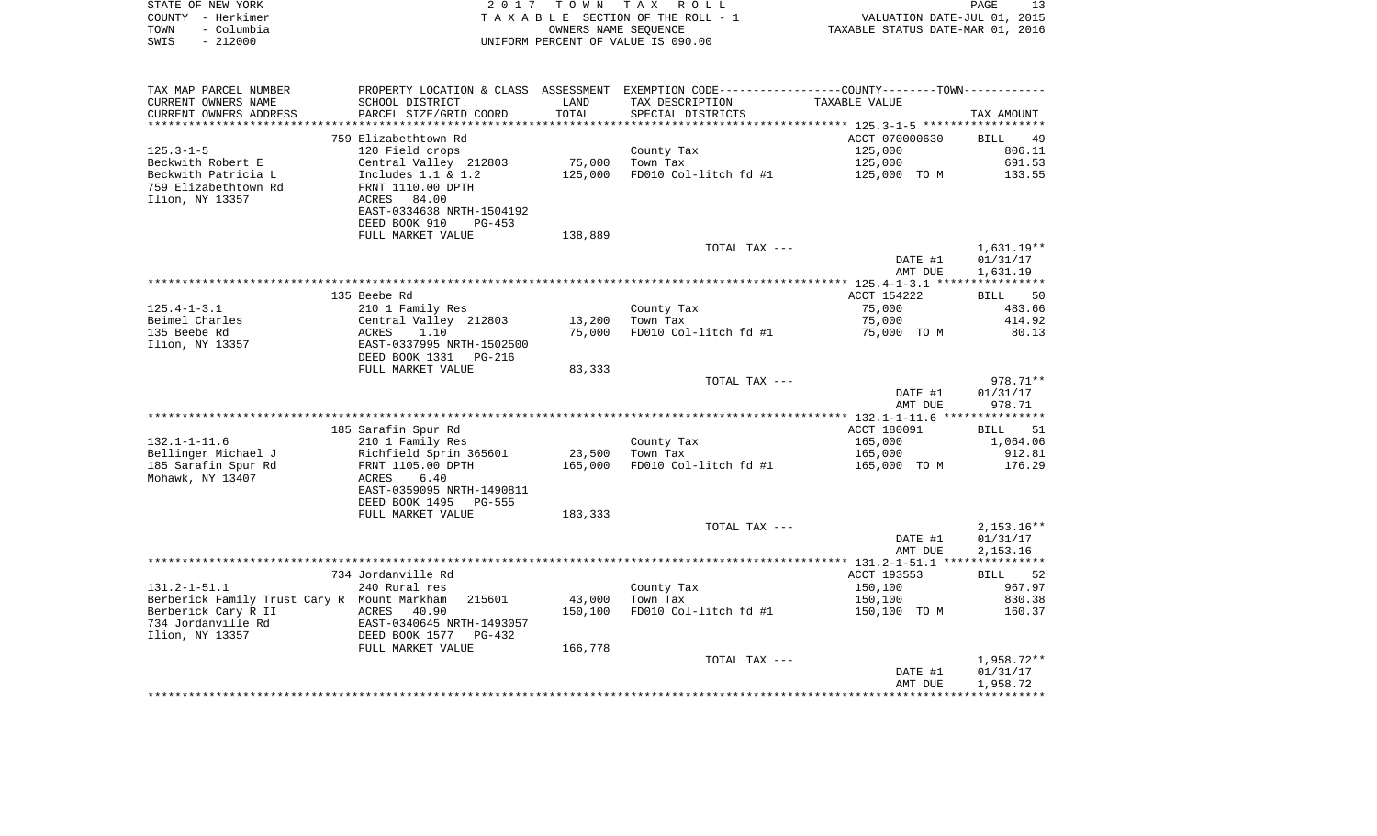|      | STATE OF NEW YORK | 2017 TOWN TAX ROLL                 | PAGE                             |
|------|-------------------|------------------------------------|----------------------------------|
|      | COUNTY - Herkimer | TAXABLE SECTION OF THE ROLL - 1    | VALUATION DATE-JUL 01, 2015      |
| TOWN | - Columbia        | OWNERS NAME SEOUENCE               | TAXABLE STATUS DATE-MAR 01, 2016 |
| SWIS | - 212000          | UNIFORM PERCENT OF VALUE IS 090.00 |                                  |

| TAX MAP PARCEL NUMBER                       | PROPERTY LOCATION & CLASS ASSESSMENT EXEMPTION CODE-----------------COUNTY--------TOWN--------- |         |                        |                |                      |
|---------------------------------------------|-------------------------------------------------------------------------------------------------|---------|------------------------|----------------|----------------------|
| CURRENT OWNERS NAME                         | SCHOOL DISTRICT                                                                                 | LAND    | TAX DESCRIPTION        | TAXABLE VALUE  |                      |
| CURRENT OWNERS ADDRESS                      | PARCEL SIZE/GRID COORD                                                                          | TOTAL   | SPECIAL DISTRICTS      |                | TAX AMOUNT           |
|                                             |                                                                                                 |         |                        |                |                      |
|                                             | 759 Elizabethtown Rd                                                                            |         |                        | ACCT 070000630 | 49<br>BILL           |
| $125.3 - 1 - 5$                             | 120 Field crops                                                                                 |         | County Tax             | 125,000        | 806.11               |
| Beckwith Robert E                           | Central Valley 212803                                                                           | 75,000  | Town Tax               | 125,000        | 691.53               |
| Beckwith Patricia L                         | Includes $1.1 \& 1.2$                                                                           | 125,000 | FD010 Col-litch fd #1  | 125,000 TO M   | 133.55               |
| 759 Elizabethtown Rd                        | FRNT 1110.00 DPTH                                                                               |         |                        |                |                      |
| Ilion, NY 13357                             | 84.00<br>ACRES                                                                                  |         |                        |                |                      |
|                                             | EAST-0334638 NRTH-1504192                                                                       |         |                        |                |                      |
|                                             | DEED BOOK 910<br>$PG-453$                                                                       |         |                        |                |                      |
|                                             | FULL MARKET VALUE                                                                               | 138,889 |                        |                |                      |
|                                             |                                                                                                 |         | TOTAL TAX ---          |                | $1,631.19**$         |
|                                             |                                                                                                 |         |                        | DATE #1        | 01/31/17             |
|                                             |                                                                                                 |         |                        | AMT DUE        | 1,631.19             |
|                                             |                                                                                                 |         |                        |                |                      |
|                                             | 135 Beebe Rd                                                                                    |         |                        | ACCT 154222    | 50<br><b>BILL</b>    |
| $125.4 - 1 - 3.1$                           | 210 1 Family Res                                                                                |         | County Tax             | 75,000         | 483.66               |
| Beimel Charles                              | Central Valley 212803                                                                           | 13,200  | Town Tax               | 75,000         | 414.92               |
| 135 Beebe Rd                                | 1.10<br>ACRES                                                                                   | 75,000  | FD010 Col-litch fd #1  | 75,000 TO M    | 80.13                |
| Ilion, NY 13357                             | EAST-0337995 NRTH-1502500                                                                       |         |                        |                |                      |
|                                             | DEED BOOK 1331<br>PG-216                                                                        |         |                        |                |                      |
|                                             | FULL MARKET VALUE                                                                               | 83,333  |                        |                |                      |
|                                             |                                                                                                 |         | TOTAL TAX ---          |                | 978.71**             |
|                                             |                                                                                                 |         |                        | DATE #1        | 01/31/17             |
|                                             |                                                                                                 |         |                        | AMT DUE        | 978.71               |
|                                             |                                                                                                 |         |                        |                |                      |
|                                             | 185 Sarafin Spur Rd                                                                             |         |                        | ACCT 180091    | 51<br><b>BILL</b>    |
| $132.1 - 1 - 11.6$                          | 210 1 Family Res                                                                                |         | County Tax             | 165,000        | 1,064.06             |
| Bellinger Michael J                         | Richfield Sprin 365601                                                                          | 23,500  | Town Tax               | 165,000        | 912.81               |
| 185 Sarafin Spur Rd                         | FRNT 1105.00 DPTH                                                                               | 165,000 | FD010 Col-litch fd #1  | 165,000 TO M   | 176.29               |
| Mohawk, NY 13407                            | ACRES<br>6.40                                                                                   |         |                        |                |                      |
|                                             | EAST-0359095 NRTH-1490811                                                                       |         |                        |                |                      |
|                                             | DEED BOOK 1495<br><b>PG-555</b>                                                                 |         |                        |                |                      |
|                                             |                                                                                                 | 183,333 |                        |                |                      |
|                                             | FULL MARKET VALUE                                                                               |         | TOTAL TAX ---          |                | $2,153.16**$         |
|                                             |                                                                                                 |         |                        | DATE #1        | 01/31/17             |
|                                             |                                                                                                 |         |                        | AMT DUE        | 2,153.16             |
|                                             |                                                                                                 |         |                        |                |                      |
|                                             | 734 Jordanville Rd                                                                              |         |                        | ACCT 193553    |                      |
| $131.2 - 1 - 51.1$                          | 240 Rural res                                                                                   |         |                        | 150,100        | 52<br>BILL<br>967.97 |
| Berberick Family Trust Cary R Mount Markham | 215601                                                                                          | 43,000  | County Tax<br>Town Tax | 150,100        | 830.38               |
|                                             | 40.90                                                                                           |         |                        |                |                      |
| Berberick Cary R II<br>734 Jordanville Rd   | ACRES<br>EAST-0340645 NRTH-1493057                                                              | 150,100 | FD010 Col-litch fd #1  | 150,100 TO M   | 160.37               |
|                                             |                                                                                                 |         |                        |                |                      |
| Ilion, NY 13357                             | DEED BOOK 1577 PG-432                                                                           |         |                        |                |                      |
|                                             | FULL MARKET VALUE                                                                               | 166,778 |                        |                |                      |
|                                             |                                                                                                 |         | TOTAL TAX ---          |                | 1,958.72**           |
|                                             |                                                                                                 |         |                        | DATE #1        | 01/31/17             |
|                                             |                                                                                                 |         |                        | AMT DUE        | 1,958.72             |
|                                             |                                                                                                 |         |                        |                |                      |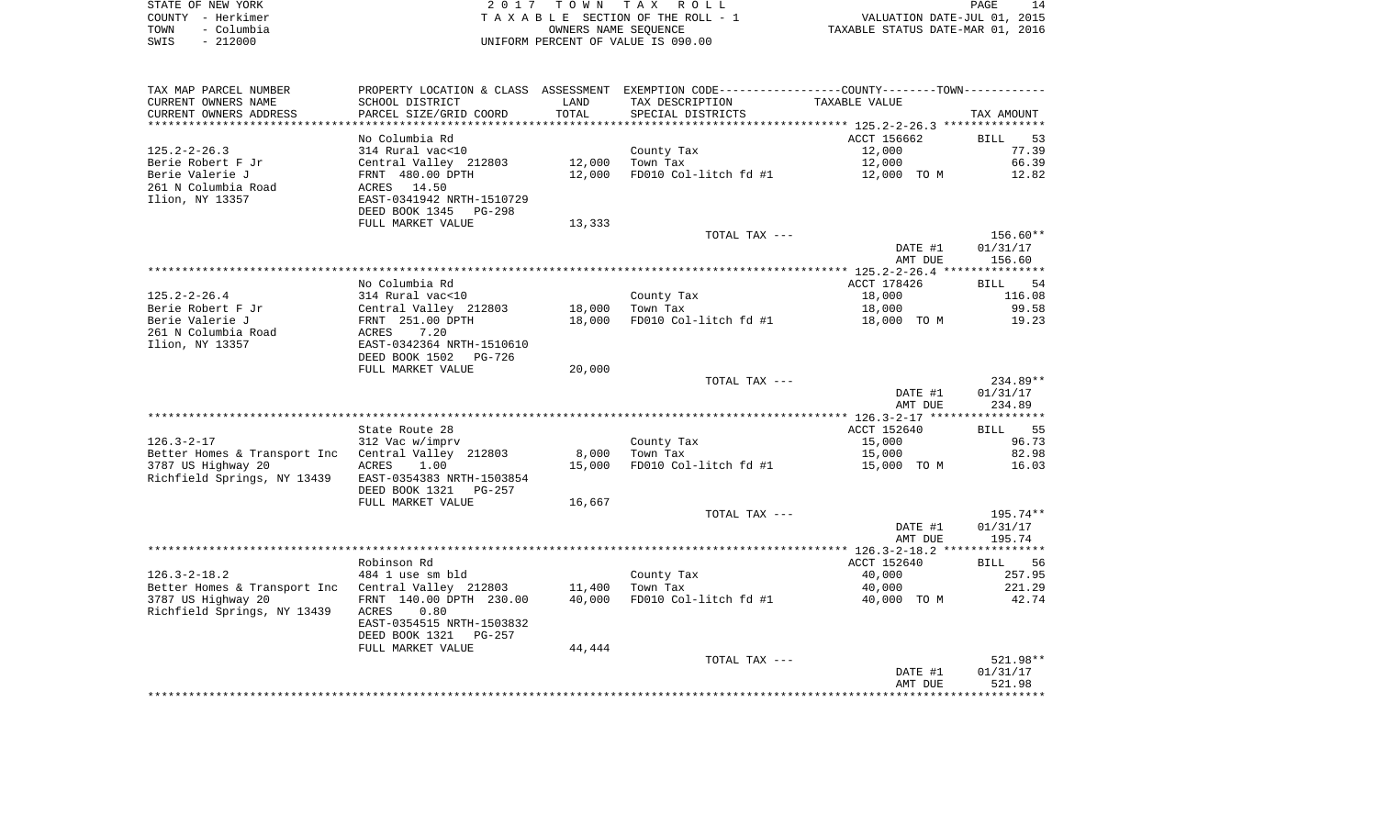| STATE OF NEW YORK  | 2017 TOWN TAX ROLL                 | 14<br><b>PAGE</b>                |
|--------------------|------------------------------------|----------------------------------|
| COUNTY - Herkimer  | TAXABLE SECTION OF THE ROLL - 1    | VALUATION DATE-JUL 01, 2015      |
| – Columbia<br>TOWN | OWNERS NAME SEOUENCE               | TAXABLE STATUS DATE-MAR 01, 2016 |
| $-212000$<br>SWIS  | UNIFORM PERCENT OF VALUE IS 090.00 |                                  |

| CURRENT OWNERS NAME<br>SCHOOL DISTRICT<br>LAND<br>TAX DESCRIPTION<br>TAXABLE VALUE<br>CURRENT OWNERS ADDRESS<br>PARCEL SIZE/GRID COORD<br>TOTAL<br>SPECIAL DISTRICTS<br>TAX AMOUNT<br>*******************************<br>No Columbia Rd<br>ACCT 156662<br><b>BILL</b><br>53<br>$125.2 - 2 - 26.3$<br>314 Rural vac<10<br>12,000<br>77.39<br>County Tax<br>Central Valley 212803<br>12,000 Town Tax<br>12,000<br>Berie Robert F Jr<br>66.39<br>Berie Valerie J<br>FRNT 480.00 DPTH<br>ACRES 14.50<br>12,000<br>FD010 Col-litch fd #1 12,000 TO M<br>12.82<br>261 N Columbia Road<br>EAST-0341942 NRTH-1510729<br>DEED BOOK 1345 PG-298<br>FULL MARKET VALUE<br>13,333<br>156.60**<br>TOTAL TAX ---<br>DATE #1<br>01/31/17<br>AMT DUE<br>156.60<br>No Columbia Rd<br>ACCT 178426<br>BILL 54<br>125.2-2-26.4<br>18,000<br>314 Rural vac<10<br>County Tax<br>116.08<br>Central Valley 212803<br>FRNT 251.00 DPTH<br>99.58<br>Berie Robert F Jr<br>18,000<br>Town Tax<br>18,000<br>18,000 TO M<br>Berie Valerie J<br>18,000<br>FD010 Col-litch fd #1<br>19.23<br>261 N Columbia Road<br>ACRES 7.20<br>EAST-0342364 NRTH-1510610<br>DEED BOOK 1502 PG-726<br>FULL MARKET VALUE<br>20,000<br>TOTAL TAX ---<br>DATE #1<br>01/31/17<br>AMT DUE<br>234.89<br>ACCT 152640<br>BILL 55<br>State Route 28<br>126.3-2-17<br>County Tax<br>Town Tax<br>15,000<br>96.73<br>312 Vac w/imprv<br>Better Homes & Transport Inc Central Valley 212803<br>15,000<br>8,000<br>Town Tax<br>82.98<br>3787 US Highway 20<br>15,000<br>FD010 Col-litch fd #1<br>ACRES 1.00<br>15,000 TO M<br>16.03<br>Richfield Springs, NY 13439 EAST-0354383 NRTH-1503854<br>DEED BOOK 1321 PG-257<br>FULL MARKET VALUE<br>16,667<br>TOTAL TAX ---<br>DATE #1<br>01/31/17<br>AMT DUE<br>195.74<br>BILL 56<br>ACCT 152640<br>Robinson Rd<br>$126.3 - 2 - 18.2$<br>40,000<br>257.95<br>484 1 use sm bld<br>County Tax<br>Town Tax<br>Better Homes & Transport Inc Central Valley 212803 11,400<br>221.29<br>40,000<br>3787 US Highway 20<br>FRNT 140.00 DPTH 230.00<br>40,000<br>FD010 Col-litch fd #1<br>42.74<br>40,000 TO M<br>Richfield Springs, NY 13439 ACRES<br>0.80<br>EAST-0354515 NRTH-1503832<br>DEED BOOK 1321 PG-257<br>FULL MARKET VALUE<br>44,444<br>TOTAL TAX ---<br>01/31/17<br>DATE #1<br>AMT DUE<br>521.98 | TAX MAP PARCEL NUMBER  | PROPERTY LOCATION & CLASS ASSESSMENT EXEMPTION CODE----------------COUNTY--------TOWN---------- |  |          |
|-----------------------------------------------------------------------------------------------------------------------------------------------------------------------------------------------------------------------------------------------------------------------------------------------------------------------------------------------------------------------------------------------------------------------------------------------------------------------------------------------------------------------------------------------------------------------------------------------------------------------------------------------------------------------------------------------------------------------------------------------------------------------------------------------------------------------------------------------------------------------------------------------------------------------------------------------------------------------------------------------------------------------------------------------------------------------------------------------------------------------------------------------------------------------------------------------------------------------------------------------------------------------------------------------------------------------------------------------------------------------------------------------------------------------------------------------------------------------------------------------------------------------------------------------------------------------------------------------------------------------------------------------------------------------------------------------------------------------------------------------------------------------------------------------------------------------------------------------------------------------------------------------------------------------------------------------------------------------------------------------------------------------------------------------------------------------------------------------------------------------------------------------------------------------------------------------------------------------------------------------------------------------------------|------------------------|-------------------------------------------------------------------------------------------------|--|----------|
|                                                                                                                                                                                                                                                                                                                                                                                                                                                                                                                                                                                                                                                                                                                                                                                                                                                                                                                                                                                                                                                                                                                                                                                                                                                                                                                                                                                                                                                                                                                                                                                                                                                                                                                                                                                                                                                                                                                                                                                                                                                                                                                                                                                                                                                                                   |                        |                                                                                                 |  |          |
|                                                                                                                                                                                                                                                                                                                                                                                                                                                                                                                                                                                                                                                                                                                                                                                                                                                                                                                                                                                                                                                                                                                                                                                                                                                                                                                                                                                                                                                                                                                                                                                                                                                                                                                                                                                                                                                                                                                                                                                                                                                                                                                                                                                                                                                                                   | ********************** |                                                                                                 |  |          |
|                                                                                                                                                                                                                                                                                                                                                                                                                                                                                                                                                                                                                                                                                                                                                                                                                                                                                                                                                                                                                                                                                                                                                                                                                                                                                                                                                                                                                                                                                                                                                                                                                                                                                                                                                                                                                                                                                                                                                                                                                                                                                                                                                                                                                                                                                   |                        |                                                                                                 |  |          |
|                                                                                                                                                                                                                                                                                                                                                                                                                                                                                                                                                                                                                                                                                                                                                                                                                                                                                                                                                                                                                                                                                                                                                                                                                                                                                                                                                                                                                                                                                                                                                                                                                                                                                                                                                                                                                                                                                                                                                                                                                                                                                                                                                                                                                                                                                   |                        |                                                                                                 |  |          |
|                                                                                                                                                                                                                                                                                                                                                                                                                                                                                                                                                                                                                                                                                                                                                                                                                                                                                                                                                                                                                                                                                                                                                                                                                                                                                                                                                                                                                                                                                                                                                                                                                                                                                                                                                                                                                                                                                                                                                                                                                                                                                                                                                                                                                                                                                   |                        |                                                                                                 |  |          |
|                                                                                                                                                                                                                                                                                                                                                                                                                                                                                                                                                                                                                                                                                                                                                                                                                                                                                                                                                                                                                                                                                                                                                                                                                                                                                                                                                                                                                                                                                                                                                                                                                                                                                                                                                                                                                                                                                                                                                                                                                                                                                                                                                                                                                                                                                   |                        |                                                                                                 |  |          |
|                                                                                                                                                                                                                                                                                                                                                                                                                                                                                                                                                                                                                                                                                                                                                                                                                                                                                                                                                                                                                                                                                                                                                                                                                                                                                                                                                                                                                                                                                                                                                                                                                                                                                                                                                                                                                                                                                                                                                                                                                                                                                                                                                                                                                                                                                   |                        |                                                                                                 |  |          |
|                                                                                                                                                                                                                                                                                                                                                                                                                                                                                                                                                                                                                                                                                                                                                                                                                                                                                                                                                                                                                                                                                                                                                                                                                                                                                                                                                                                                                                                                                                                                                                                                                                                                                                                                                                                                                                                                                                                                                                                                                                                                                                                                                                                                                                                                                   | Ilion, NY 13357        |                                                                                                 |  |          |
|                                                                                                                                                                                                                                                                                                                                                                                                                                                                                                                                                                                                                                                                                                                                                                                                                                                                                                                                                                                                                                                                                                                                                                                                                                                                                                                                                                                                                                                                                                                                                                                                                                                                                                                                                                                                                                                                                                                                                                                                                                                                                                                                                                                                                                                                                   |                        |                                                                                                 |  |          |
|                                                                                                                                                                                                                                                                                                                                                                                                                                                                                                                                                                                                                                                                                                                                                                                                                                                                                                                                                                                                                                                                                                                                                                                                                                                                                                                                                                                                                                                                                                                                                                                                                                                                                                                                                                                                                                                                                                                                                                                                                                                                                                                                                                                                                                                                                   |                        |                                                                                                 |  |          |
|                                                                                                                                                                                                                                                                                                                                                                                                                                                                                                                                                                                                                                                                                                                                                                                                                                                                                                                                                                                                                                                                                                                                                                                                                                                                                                                                                                                                                                                                                                                                                                                                                                                                                                                                                                                                                                                                                                                                                                                                                                                                                                                                                                                                                                                                                   |                        |                                                                                                 |  |          |
|                                                                                                                                                                                                                                                                                                                                                                                                                                                                                                                                                                                                                                                                                                                                                                                                                                                                                                                                                                                                                                                                                                                                                                                                                                                                                                                                                                                                                                                                                                                                                                                                                                                                                                                                                                                                                                                                                                                                                                                                                                                                                                                                                                                                                                                                                   |                        |                                                                                                 |  |          |
|                                                                                                                                                                                                                                                                                                                                                                                                                                                                                                                                                                                                                                                                                                                                                                                                                                                                                                                                                                                                                                                                                                                                                                                                                                                                                                                                                                                                                                                                                                                                                                                                                                                                                                                                                                                                                                                                                                                                                                                                                                                                                                                                                                                                                                                                                   |                        |                                                                                                 |  |          |
|                                                                                                                                                                                                                                                                                                                                                                                                                                                                                                                                                                                                                                                                                                                                                                                                                                                                                                                                                                                                                                                                                                                                                                                                                                                                                                                                                                                                                                                                                                                                                                                                                                                                                                                                                                                                                                                                                                                                                                                                                                                                                                                                                                                                                                                                                   |                        |                                                                                                 |  |          |
|                                                                                                                                                                                                                                                                                                                                                                                                                                                                                                                                                                                                                                                                                                                                                                                                                                                                                                                                                                                                                                                                                                                                                                                                                                                                                                                                                                                                                                                                                                                                                                                                                                                                                                                                                                                                                                                                                                                                                                                                                                                                                                                                                                                                                                                                                   |                        |                                                                                                 |  |          |
|                                                                                                                                                                                                                                                                                                                                                                                                                                                                                                                                                                                                                                                                                                                                                                                                                                                                                                                                                                                                                                                                                                                                                                                                                                                                                                                                                                                                                                                                                                                                                                                                                                                                                                                                                                                                                                                                                                                                                                                                                                                                                                                                                                                                                                                                                   |                        |                                                                                                 |  |          |
|                                                                                                                                                                                                                                                                                                                                                                                                                                                                                                                                                                                                                                                                                                                                                                                                                                                                                                                                                                                                                                                                                                                                                                                                                                                                                                                                                                                                                                                                                                                                                                                                                                                                                                                                                                                                                                                                                                                                                                                                                                                                                                                                                                                                                                                                                   |                        |                                                                                                 |  |          |
|                                                                                                                                                                                                                                                                                                                                                                                                                                                                                                                                                                                                                                                                                                                                                                                                                                                                                                                                                                                                                                                                                                                                                                                                                                                                                                                                                                                                                                                                                                                                                                                                                                                                                                                                                                                                                                                                                                                                                                                                                                                                                                                                                                                                                                                                                   |                        |                                                                                                 |  |          |
|                                                                                                                                                                                                                                                                                                                                                                                                                                                                                                                                                                                                                                                                                                                                                                                                                                                                                                                                                                                                                                                                                                                                                                                                                                                                                                                                                                                                                                                                                                                                                                                                                                                                                                                                                                                                                                                                                                                                                                                                                                                                                                                                                                                                                                                                                   | Ilion, NY 13357        |                                                                                                 |  |          |
|                                                                                                                                                                                                                                                                                                                                                                                                                                                                                                                                                                                                                                                                                                                                                                                                                                                                                                                                                                                                                                                                                                                                                                                                                                                                                                                                                                                                                                                                                                                                                                                                                                                                                                                                                                                                                                                                                                                                                                                                                                                                                                                                                                                                                                                                                   |                        |                                                                                                 |  |          |
|                                                                                                                                                                                                                                                                                                                                                                                                                                                                                                                                                                                                                                                                                                                                                                                                                                                                                                                                                                                                                                                                                                                                                                                                                                                                                                                                                                                                                                                                                                                                                                                                                                                                                                                                                                                                                                                                                                                                                                                                                                                                                                                                                                                                                                                                                   |                        |                                                                                                 |  |          |
|                                                                                                                                                                                                                                                                                                                                                                                                                                                                                                                                                                                                                                                                                                                                                                                                                                                                                                                                                                                                                                                                                                                                                                                                                                                                                                                                                                                                                                                                                                                                                                                                                                                                                                                                                                                                                                                                                                                                                                                                                                                                                                                                                                                                                                                                                   |                        |                                                                                                 |  | 234.89** |
|                                                                                                                                                                                                                                                                                                                                                                                                                                                                                                                                                                                                                                                                                                                                                                                                                                                                                                                                                                                                                                                                                                                                                                                                                                                                                                                                                                                                                                                                                                                                                                                                                                                                                                                                                                                                                                                                                                                                                                                                                                                                                                                                                                                                                                                                                   |                        |                                                                                                 |  |          |
|                                                                                                                                                                                                                                                                                                                                                                                                                                                                                                                                                                                                                                                                                                                                                                                                                                                                                                                                                                                                                                                                                                                                                                                                                                                                                                                                                                                                                                                                                                                                                                                                                                                                                                                                                                                                                                                                                                                                                                                                                                                                                                                                                                                                                                                                                   |                        |                                                                                                 |  |          |
|                                                                                                                                                                                                                                                                                                                                                                                                                                                                                                                                                                                                                                                                                                                                                                                                                                                                                                                                                                                                                                                                                                                                                                                                                                                                                                                                                                                                                                                                                                                                                                                                                                                                                                                                                                                                                                                                                                                                                                                                                                                                                                                                                                                                                                                                                   |                        |                                                                                                 |  |          |
|                                                                                                                                                                                                                                                                                                                                                                                                                                                                                                                                                                                                                                                                                                                                                                                                                                                                                                                                                                                                                                                                                                                                                                                                                                                                                                                                                                                                                                                                                                                                                                                                                                                                                                                                                                                                                                                                                                                                                                                                                                                                                                                                                                                                                                                                                   |                        |                                                                                                 |  |          |
|                                                                                                                                                                                                                                                                                                                                                                                                                                                                                                                                                                                                                                                                                                                                                                                                                                                                                                                                                                                                                                                                                                                                                                                                                                                                                                                                                                                                                                                                                                                                                                                                                                                                                                                                                                                                                                                                                                                                                                                                                                                                                                                                                                                                                                                                                   |                        |                                                                                                 |  |          |
|                                                                                                                                                                                                                                                                                                                                                                                                                                                                                                                                                                                                                                                                                                                                                                                                                                                                                                                                                                                                                                                                                                                                                                                                                                                                                                                                                                                                                                                                                                                                                                                                                                                                                                                                                                                                                                                                                                                                                                                                                                                                                                                                                                                                                                                                                   |                        |                                                                                                 |  |          |
|                                                                                                                                                                                                                                                                                                                                                                                                                                                                                                                                                                                                                                                                                                                                                                                                                                                                                                                                                                                                                                                                                                                                                                                                                                                                                                                                                                                                                                                                                                                                                                                                                                                                                                                                                                                                                                                                                                                                                                                                                                                                                                                                                                                                                                                                                   |                        |                                                                                                 |  |          |
|                                                                                                                                                                                                                                                                                                                                                                                                                                                                                                                                                                                                                                                                                                                                                                                                                                                                                                                                                                                                                                                                                                                                                                                                                                                                                                                                                                                                                                                                                                                                                                                                                                                                                                                                                                                                                                                                                                                                                                                                                                                                                                                                                                                                                                                                                   |                        |                                                                                                 |  |          |
|                                                                                                                                                                                                                                                                                                                                                                                                                                                                                                                                                                                                                                                                                                                                                                                                                                                                                                                                                                                                                                                                                                                                                                                                                                                                                                                                                                                                                                                                                                                                                                                                                                                                                                                                                                                                                                                                                                                                                                                                                                                                                                                                                                                                                                                                                   |                        |                                                                                                 |  |          |
|                                                                                                                                                                                                                                                                                                                                                                                                                                                                                                                                                                                                                                                                                                                                                                                                                                                                                                                                                                                                                                                                                                                                                                                                                                                                                                                                                                                                                                                                                                                                                                                                                                                                                                                                                                                                                                                                                                                                                                                                                                                                                                                                                                                                                                                                                   |                        |                                                                                                 |  | 195.74** |
|                                                                                                                                                                                                                                                                                                                                                                                                                                                                                                                                                                                                                                                                                                                                                                                                                                                                                                                                                                                                                                                                                                                                                                                                                                                                                                                                                                                                                                                                                                                                                                                                                                                                                                                                                                                                                                                                                                                                                                                                                                                                                                                                                                                                                                                                                   |                        |                                                                                                 |  |          |
|                                                                                                                                                                                                                                                                                                                                                                                                                                                                                                                                                                                                                                                                                                                                                                                                                                                                                                                                                                                                                                                                                                                                                                                                                                                                                                                                                                                                                                                                                                                                                                                                                                                                                                                                                                                                                                                                                                                                                                                                                                                                                                                                                                                                                                                                                   |                        |                                                                                                 |  |          |
|                                                                                                                                                                                                                                                                                                                                                                                                                                                                                                                                                                                                                                                                                                                                                                                                                                                                                                                                                                                                                                                                                                                                                                                                                                                                                                                                                                                                                                                                                                                                                                                                                                                                                                                                                                                                                                                                                                                                                                                                                                                                                                                                                                                                                                                                                   |                        |                                                                                                 |  |          |
|                                                                                                                                                                                                                                                                                                                                                                                                                                                                                                                                                                                                                                                                                                                                                                                                                                                                                                                                                                                                                                                                                                                                                                                                                                                                                                                                                                                                                                                                                                                                                                                                                                                                                                                                                                                                                                                                                                                                                                                                                                                                                                                                                                                                                                                                                   |                        |                                                                                                 |  |          |
|                                                                                                                                                                                                                                                                                                                                                                                                                                                                                                                                                                                                                                                                                                                                                                                                                                                                                                                                                                                                                                                                                                                                                                                                                                                                                                                                                                                                                                                                                                                                                                                                                                                                                                                                                                                                                                                                                                                                                                                                                                                                                                                                                                                                                                                                                   |                        |                                                                                                 |  |          |
|                                                                                                                                                                                                                                                                                                                                                                                                                                                                                                                                                                                                                                                                                                                                                                                                                                                                                                                                                                                                                                                                                                                                                                                                                                                                                                                                                                                                                                                                                                                                                                                                                                                                                                                                                                                                                                                                                                                                                                                                                                                                                                                                                                                                                                                                                   |                        |                                                                                                 |  |          |
|                                                                                                                                                                                                                                                                                                                                                                                                                                                                                                                                                                                                                                                                                                                                                                                                                                                                                                                                                                                                                                                                                                                                                                                                                                                                                                                                                                                                                                                                                                                                                                                                                                                                                                                                                                                                                                                                                                                                                                                                                                                                                                                                                                                                                                                                                   |                        |                                                                                                 |  |          |
|                                                                                                                                                                                                                                                                                                                                                                                                                                                                                                                                                                                                                                                                                                                                                                                                                                                                                                                                                                                                                                                                                                                                                                                                                                                                                                                                                                                                                                                                                                                                                                                                                                                                                                                                                                                                                                                                                                                                                                                                                                                                                                                                                                                                                                                                                   |                        |                                                                                                 |  |          |
|                                                                                                                                                                                                                                                                                                                                                                                                                                                                                                                                                                                                                                                                                                                                                                                                                                                                                                                                                                                                                                                                                                                                                                                                                                                                                                                                                                                                                                                                                                                                                                                                                                                                                                                                                                                                                                                                                                                                                                                                                                                                                                                                                                                                                                                                                   |                        |                                                                                                 |  |          |
|                                                                                                                                                                                                                                                                                                                                                                                                                                                                                                                                                                                                                                                                                                                                                                                                                                                                                                                                                                                                                                                                                                                                                                                                                                                                                                                                                                                                                                                                                                                                                                                                                                                                                                                                                                                                                                                                                                                                                                                                                                                                                                                                                                                                                                                                                   |                        |                                                                                                 |  |          |
|                                                                                                                                                                                                                                                                                                                                                                                                                                                                                                                                                                                                                                                                                                                                                                                                                                                                                                                                                                                                                                                                                                                                                                                                                                                                                                                                                                                                                                                                                                                                                                                                                                                                                                                                                                                                                                                                                                                                                                                                                                                                                                                                                                                                                                                                                   |                        |                                                                                                 |  | 521.98** |
|                                                                                                                                                                                                                                                                                                                                                                                                                                                                                                                                                                                                                                                                                                                                                                                                                                                                                                                                                                                                                                                                                                                                                                                                                                                                                                                                                                                                                                                                                                                                                                                                                                                                                                                                                                                                                                                                                                                                                                                                                                                                                                                                                                                                                                                                                   |                        |                                                                                                 |  |          |
|                                                                                                                                                                                                                                                                                                                                                                                                                                                                                                                                                                                                                                                                                                                                                                                                                                                                                                                                                                                                                                                                                                                                                                                                                                                                                                                                                                                                                                                                                                                                                                                                                                                                                                                                                                                                                                                                                                                                                                                                                                                                                                                                                                                                                                                                                   |                        |                                                                                                 |  |          |
|                                                                                                                                                                                                                                                                                                                                                                                                                                                                                                                                                                                                                                                                                                                                                                                                                                                                                                                                                                                                                                                                                                                                                                                                                                                                                                                                                                                                                                                                                                                                                                                                                                                                                                                                                                                                                                                                                                                                                                                                                                                                                                                                                                                                                                                                                   |                        |                                                                                                 |  |          |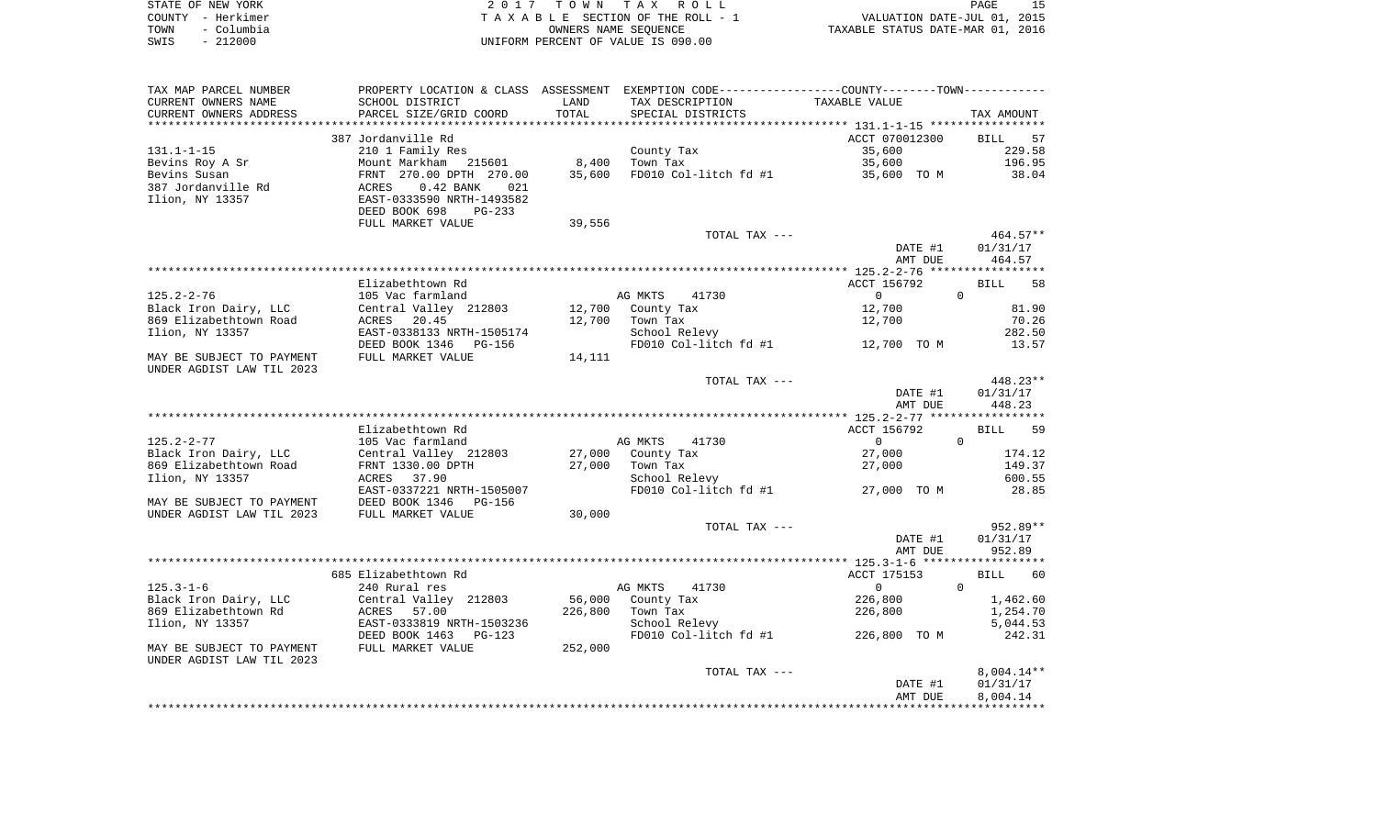|      | STATE OF NEW YORK | 2017 TOWN TAX ROLL                 | PAGE                             |
|------|-------------------|------------------------------------|----------------------------------|
|      | COUNTY - Herkimer | TAXABLE SECTION OF THE ROLL - 1    | VALUATION DATE-JUL 01, 2015      |
| TOWN | – Columbia        | OWNERS NAME SEOUENCE               | TAXABLE STATUS DATE-MAR 01, 2016 |
| SWIS | $-212000$         | UNIFORM PERCENT OF VALUE IS 090.00 |                                  |

| TAX MAP PARCEL NUMBER<br>CURRENT OWNERS NAME | PROPERTY LOCATION & CLASS ASSESSMENT<br>SCHOOL DISTRICT | LAND      | TAX DESCRIPTION           | EXEMPTION CODE-----------------COUNTY--------TOWN-----------<br>TAXABLE VALUE |                   |
|----------------------------------------------|---------------------------------------------------------|-----------|---------------------------|-------------------------------------------------------------------------------|-------------------|
| CURRENT OWNERS ADDRESS                       | PARCEL SIZE/GRID COORD                                  | TOTAL     | SPECIAL DISTRICTS         |                                                                               | TAX AMOUNT        |
|                                              |                                                         | ********* |                           |                                                                               |                   |
|                                              | 387 Jordanville Rd                                      |           |                           | ACCT 070012300                                                                | 57<br><b>BILL</b> |
| $131.1 - 1 - 15$                             | 210 1 Family Res                                        |           | County Tax                | 35,600                                                                        | 229.58            |
| Bevins Roy A Sr                              | Mount Markham<br>215601                                 | 8,400     | Town Tax                  | 35,600                                                                        | 196.95            |
| Bevins Susan                                 | FRNT 270.00 DPTH 270.00                                 | 35,600    | FD010 Col-litch fd #1     | 35,600 TO M                                                                   | 38.04             |
| 387 Jordanville Rd                           | 0.42 BANK<br>ACRES<br>021                               |           |                           |                                                                               |                   |
| Ilion, NY 13357                              | EAST-0333590 NRTH-1493582                               |           |                           |                                                                               |                   |
|                                              | DEED BOOK 698<br>$PG-233$                               |           |                           |                                                                               |                   |
|                                              | FULL MARKET VALUE                                       | 39,556    |                           |                                                                               |                   |
|                                              |                                                         |           | TOTAL TAX ---             |                                                                               | $464.57**$        |
|                                              |                                                         |           |                           | DATE #1                                                                       | 01/31/17          |
|                                              |                                                         |           |                           | AMT DUE                                                                       | 464.57            |
|                                              |                                                         |           |                           |                                                                               |                   |
|                                              | Elizabethtown Rd                                        |           |                           | ACCT 156792                                                                   | <b>BILL</b><br>58 |
| $125.2 - 2 - 76$                             | 105 Vac farmland                                        |           | AG MKTS<br>41730          | $\Omega$<br>0                                                                 |                   |
| Black Iron Dairy, LLC                        | Central Valley 212803                                   | 12,700    | County Tax                | 12,700                                                                        | 81.90             |
| 869 Elizabethtown Road<br>Ilion, NY 13357    | ACRES<br>20.45<br>EAST-0338133 NRTH-1505174             | 12,700    | Town Tax<br>School Relevy | 12,700                                                                        | 70.26<br>282.50   |
|                                              | DEED BOOK 1346<br>PG-156                                |           | FD010 Col-litch fd #1     | 12,700 TO M                                                                   | 13.57             |
| MAY BE SUBJECT TO PAYMENT                    | FULL MARKET VALUE                                       | 14,111    |                           |                                                                               |                   |
| UNDER AGDIST LAW TIL 2023                    |                                                         |           |                           |                                                                               |                   |
|                                              |                                                         |           | TOTAL TAX ---             |                                                                               | 448.23**          |
|                                              |                                                         |           |                           | DATE #1                                                                       | 01/31/17          |
|                                              |                                                         |           |                           | AMT DUE                                                                       | 448.23            |
|                                              |                                                         |           |                           |                                                                               |                   |
|                                              | Elizabethtown Rd                                        |           |                           | ACCT 156792                                                                   | 59<br><b>BILL</b> |
| $125.2 - 2 - 77$                             | 105 Vac farmland                                        |           | AG MKTS<br>41730          | $\mathbf{0}$<br>$\Omega$                                                      |                   |
| Black Iron Dairy, LLC                        | Central Valley 212803                                   | 27,000    | County Tax                | 27,000                                                                        | 174.12            |
| 869 Elizabethtown Road                       | FRNT 1330.00 DPTH                                       | 27,000    | Town Tax                  | 27,000                                                                        | 149.37            |
| Ilion, NY 13357                              | ACRES 37.90                                             |           | School Relevy             |                                                                               | 600.55            |
|                                              | EAST-0337221 NRTH-1505007                               |           | FD010 Col-litch fd #1     | 27,000 TO M                                                                   | 28.85             |
| MAY BE SUBJECT TO PAYMENT                    | DEED BOOK 1346<br>$PG-156$                              |           |                           |                                                                               |                   |
| UNDER AGDIST LAW TIL 2023                    | FULL MARKET VALUE                                       | 30,000    |                           |                                                                               |                   |
|                                              |                                                         |           | TOTAL TAX ---             |                                                                               | 952.89**          |
|                                              |                                                         |           |                           | DATE #1                                                                       | 01/31/17          |
|                                              |                                                         |           |                           | AMT DUE                                                                       | 952.89            |
|                                              | 685 Elizabethtown Rd                                    |           |                           | ACCT 175153                                                                   | 60<br>BILL        |
| $125.3 - 1 - 6$                              | 240 Rural res                                           |           | AG MKTS<br>41730          | $\overline{0}$<br>$\Omega$                                                    |                   |
| Black Iron Dairy, LLC                        | Central Valley 212803                                   | 56,000    | County Tax                | 226,800                                                                       | 1,462.60          |
| 869 Elizabethtown Rd                         | 57.00<br>ACRES                                          | 226,800   | Town Tax                  | 226,800                                                                       | 1,254.70          |
| Ilion, NY 13357                              | EAST-0333819 NRTH-1503236                               |           | School Relevy             |                                                                               | 5,044.53          |
|                                              | DEED BOOK 1463<br>$PG-123$                              |           | FD010 Col-litch fd #1     | 226,800 TO M                                                                  | 242.31            |
| MAY BE SUBJECT TO PAYMENT                    | FULL MARKET VALUE                                       | 252,000   |                           |                                                                               |                   |
| UNDER AGDIST LAW TIL 2023                    |                                                         |           |                           |                                                                               |                   |
|                                              |                                                         |           | TOTAL TAX ---             |                                                                               | $8,004.14**$      |
|                                              |                                                         |           |                           | DATE #1                                                                       | 01/31/17          |
|                                              |                                                         |           |                           |                                                                               |                   |
|                                              |                                                         |           |                           | AMT DUE                                                                       | 8,004.14          |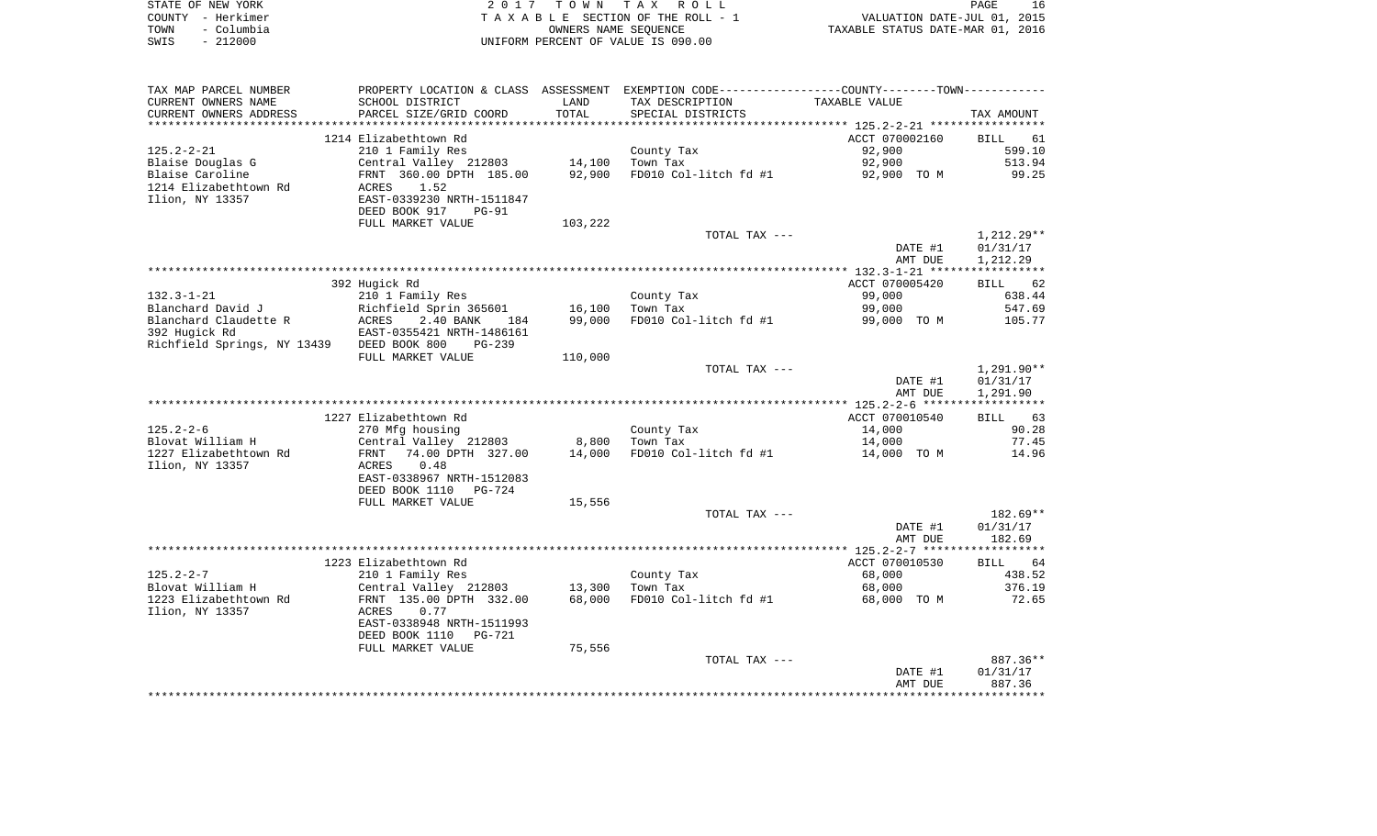| STATE OF NEW YORK |                   | 2017 TOWN TAX ROLL                 | 16<br>PAGE                       |
|-------------------|-------------------|------------------------------------|----------------------------------|
|                   | COUNTY - Herkimer | TAXABLE SECTION OF THE ROLL - 1    | VALUATION DATE-JUL 01, 2015      |
| TOWN              | – Columbia        | OWNERS NAME SEOUENCE               | TAXABLE STATUS DATE-MAR 01, 2016 |
| SWIS              | - 212000          | UNIFORM PERCENT OF VALUE IS 090.00 |                                  |

| TAX MAP PARCEL NUMBER                     | PROPERTY LOCATION & CLASS ASSESSMENT     |         | EXEMPTION CODE-----------------COUNTY-------TOWN----------- |                |                   |
|-------------------------------------------|------------------------------------------|---------|-------------------------------------------------------------|----------------|-------------------|
| CURRENT OWNERS NAME                       | SCHOOL DISTRICT                          | LAND    | TAX DESCRIPTION                                             | TAXABLE VALUE  |                   |
| CURRENT OWNERS ADDRESS                    | PARCEL SIZE/GRID COORD                   | TOTAL   | SPECIAL DISTRICTS                                           |                | TAX AMOUNT        |
|                                           |                                          |         |                                                             |                |                   |
|                                           | 1214 Elizabethtown Rd                    |         |                                                             | ACCT 070002160 | BILL<br>61        |
| $125.2 - 2 - 21$                          | 210 1 Family Res                         |         | County Tax                                                  | 92,900         | 599.10            |
| Blaise Douglas G                          | Central Valley 212803                    | 14,100  | Town Tax                                                    | 92,900         | 513.94            |
| Blaise Caroline                           | FRNT 360.00 DPTH 185.00                  | 92,900  | FD010 Col-litch fd #1                                       | 92,900 TO M    | 99.25             |
| 1214 Elizabethtown Rd                     | 1.52<br>ACRES                            |         |                                                             |                |                   |
| Ilion, NY 13357                           | EAST-0339230 NRTH-1511847                |         |                                                             |                |                   |
|                                           | DEED BOOK 917<br><b>PG-91</b>            |         |                                                             |                |                   |
|                                           | FULL MARKET VALUE                        | 103,222 |                                                             |                |                   |
|                                           |                                          |         | TOTAL TAX ---                                               |                | $1,212.29**$      |
|                                           |                                          |         |                                                             | DATE #1        | 01/31/17          |
|                                           |                                          |         |                                                             | AMT DUE        | 1,212.29          |
|                                           |                                          |         |                                                             |                |                   |
|                                           | 392 Hugick Rd                            |         |                                                             | ACCT 070005420 | <b>BILL</b><br>62 |
| $132.3 - 1 - 21$                          | 210 1 Family Res                         |         | County Tax                                                  | 99,000         | 638.44            |
| Blanchard David J                         | Richfield Sprin 365601                   | 16,100  | Town Tax                                                    | 99,000         | 547.69            |
| Blanchard Claudette R                     | ACRES<br>2.40 BANK<br>184                | 99,000  | FD010 Col-litch fd #1                                       | 99,000 TO M    | 105.77            |
| 392 Hugick Rd                             | EAST-0355421 NRTH-1486161                |         |                                                             |                |                   |
| Richfield Springs, NY 13439 DEED BOOK 800 | $PG-239$                                 |         |                                                             |                |                   |
|                                           | FULL MARKET VALUE                        | 110,000 |                                                             |                |                   |
|                                           |                                          |         | TOTAL TAX ---                                               |                | $1,291.90**$      |
|                                           |                                          |         |                                                             | DATE #1        | 01/31/17          |
|                                           |                                          |         |                                                             | AMT DUE        | 1,291.90          |
|                                           | 1227 Elizabethtown Rd                    |         |                                                             | ACCT 070010540 | BILL 63           |
| $125.2 - 2 - 6$                           |                                          |         | County Tax                                                  | 14,000         | 90.28             |
| Blovat William H                          | 270 Mfg housing<br>Central Valley 212803 | 8,800   | Town Tax                                                    | 14,000         | 77.45             |
| 1227 Elizabethtown Rd                     | 74.00 DPTH 327.00<br>FRNT                | 14,000  | FD010 Col-litch fd #1                                       | 14,000 TO M    | 14.96             |
| Ilion, NY 13357                           | 0.48<br>ACRES                            |         |                                                             |                |                   |
|                                           | EAST-0338967 NRTH-1512083                |         |                                                             |                |                   |
|                                           | DEED BOOK 1110<br>PG-724                 |         |                                                             |                |                   |
|                                           | FULL MARKET VALUE                        | 15,556  |                                                             |                |                   |
|                                           |                                          |         | TOTAL TAX ---                                               |                | 182.69**          |
|                                           |                                          |         |                                                             | DATE #1        | 01/31/17          |
|                                           |                                          |         |                                                             | AMT DUE        | 182.69            |
|                                           |                                          |         |                                                             |                |                   |
|                                           | 1223 Elizabethtown Rd                    |         |                                                             | ACCT 070010530 | 64<br>BILL        |
| $125.2 - 2 - 7$                           | 210 1 Family Res                         |         | County Tax                                                  | 68,000         | 438.52            |
| Blovat William H                          | Central Valley 212803                    | 13,300  | Town Tax                                                    | 68,000         | 376.19            |
| 1223 Elizabethtown Rd                     | FRNT 135.00 DPTH 332.00                  | 68,000  | FD010 Col-litch fd #1                                       | 68,000 TO M    | 72.65             |
| Ilion, NY 13357                           | 0.77<br>ACRES                            |         |                                                             |                |                   |
|                                           | EAST-0338948 NRTH-1511993                |         |                                                             |                |                   |
|                                           | DEED BOOK 1110<br>PG-721                 |         |                                                             |                |                   |
|                                           | FULL MARKET VALUE                        | 75,556  |                                                             |                |                   |
|                                           |                                          |         | TOTAL TAX ---                                               |                | 887.36**          |
|                                           |                                          |         |                                                             | DATE #1        | 01/31/17          |
|                                           |                                          |         |                                                             | AMT DUE        | 887.36            |
|                                           |                                          |         |                                                             |                |                   |
|                                           |                                          |         |                                                             |                |                   |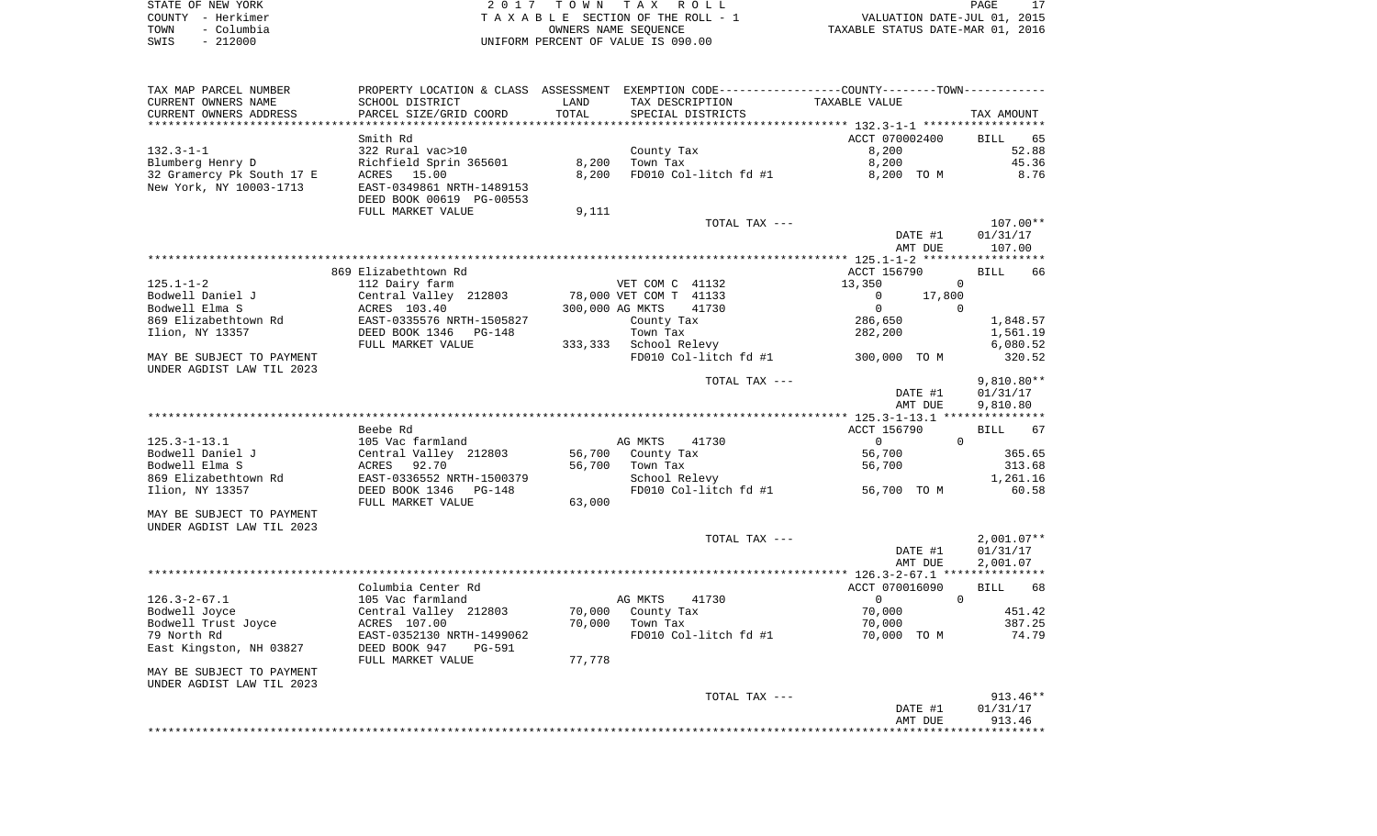|      | STATE OF NEW YORK | 2017 TOWN TAX ROLL                 | PAGE                             |
|------|-------------------|------------------------------------|----------------------------------|
|      | COUNTY - Herkimer | TAXABLE SECTION OF THE ROLL - 1    | VALUATION DATE-JUL 01, 2015      |
| TOWN | - Columbia        | OWNERS NAME SEOUENCE               | TAXABLE STATUS DATE-MAR 01, 2016 |
| SWIS | $-212000$         | UNIFORM PERCENT OF VALUE IS 090.00 |                                  |

| TAX MAP PARCEL NUMBER     |                                           |                 | PROPERTY LOCATION & CLASS ASSESSMENT EXEMPTION CODE---------------COUNTY-------TOWN---------- |                            |                   |
|---------------------------|-------------------------------------------|-----------------|-----------------------------------------------------------------------------------------------|----------------------------|-------------------|
| CURRENT OWNERS NAME       | SCHOOL DISTRICT                           | LAND            | TAX DESCRIPTION                                                                               | TAXABLE VALUE              |                   |
| CURRENT OWNERS ADDRESS    | PARCEL SIZE/GRID COORD                    | TOTAL           | SPECIAL DISTRICTS                                                                             |                            | TAX AMOUNT        |
|                           |                                           |                 |                                                                                               |                            |                   |
|                           | Smith Rd                                  |                 |                                                                                               | ACCT 070002400             | 65<br><b>BILL</b> |
| $132.3 - 1 - 1$           | 322 Rural vac>10                          |                 | County Tax                                                                                    | 8,200                      | 52.88             |
| Blumberg Henry D          | Richfield Sprin 365601                    | 8,200           | Town Tax                                                                                      | 8,200                      | 45.36             |
| 32 Gramercy Pk South 17 E | ACRES 15.00                               | 8,200           | FD010 Col-litch fd #1                                                                         | 8,200 TO M                 | 8.76              |
| New York, NY 10003-1713   | EAST-0349861 NRTH-1489153                 |                 |                                                                                               |                            |                   |
|                           | DEED BOOK 00619 PG-00553                  |                 |                                                                                               |                            |                   |
|                           | FULL MARKET VALUE                         | 9,111           |                                                                                               |                            |                   |
|                           |                                           |                 | TOTAL TAX ---                                                                                 |                            | $107.00**$        |
|                           |                                           |                 |                                                                                               | DATE #1                    | 01/31/17          |
|                           |                                           |                 |                                                                                               | AMT DUE                    | 107.00            |
|                           |                                           |                 |                                                                                               |                            |                   |
|                           | 869 Elizabethtown Rd                      |                 |                                                                                               | ACCT 156790                | <b>BILL</b><br>66 |
| $125.1 - 1 - 2$           | 112 Dairy farm                            |                 | VET COM C 41132                                                                               | 13,350<br>0                |                   |
| Bodwell Daniel J          | Central Valley 212803                     |                 | 78,000 VET COM T 41133                                                                        | $\mathbf{0}$<br>17,800     |                   |
| Bodwell Elma S            | ACRES 103.40                              | 300,000 AG MKTS | 41730                                                                                         | $\mathbf{0}$<br>$\Omega$   |                   |
| 869 Elizabethtown Rd      | EAST-0335576 NRTH-1505827                 |                 | County Tax                                                                                    | 286,650                    | 1,848.57          |
| Ilion, NY 13357           | DEED BOOK 1346<br>PG-148                  |                 | Town Tax                                                                                      | 282,200                    | 1,561.19          |
|                           | FULL MARKET VALUE                         |                 | 333,333 School Relevy                                                                         |                            | 6,080.52          |
| MAY BE SUBJECT TO PAYMENT |                                           |                 | FD010 Col-litch fd #1                                                                         | 300,000 TO M               | 320.52            |
| UNDER AGDIST LAW TIL 2023 |                                           |                 |                                                                                               |                            |                   |
|                           |                                           |                 | TOTAL TAX ---                                                                                 |                            | $9,810.80**$      |
|                           |                                           |                 |                                                                                               | DATE #1                    | 01/31/17          |
|                           |                                           |                 |                                                                                               | AMT DUE                    | 9,810.80          |
|                           | Beebe Rd                                  |                 |                                                                                               | ACCT 156790                | <b>BILL</b><br>67 |
| $125.3 - 1 - 13.1$        |                                           |                 | AG MKTS<br>41730                                                                              | $\Omega$<br>$\Omega$       |                   |
| Bodwell Daniel J          | 105 Vac farmland<br>Central Valley 212803 |                 | 56,700 County Tax                                                                             | 56,700                     | 365.65            |
| Bodwell Elma S            | 92.70<br>ACRES                            | 56,700          | Town Tax                                                                                      | 56,700                     | 313.68            |
| 869 Elizabethtown Rd      | EAST-0336552 NRTH-1500379                 |                 | School Relevy                                                                                 |                            | 1,261.16          |
| Ilion, NY 13357           | DEED BOOK 1346<br>PG-148                  |                 | FD010 Col-litch fd #1                                                                         | 56,700 TO M                | 60.58             |
|                           | FULL MARKET VALUE                         | 63,000          |                                                                                               |                            |                   |
| MAY BE SUBJECT TO PAYMENT |                                           |                 |                                                                                               |                            |                   |
| UNDER AGDIST LAW TIL 2023 |                                           |                 |                                                                                               |                            |                   |
|                           |                                           |                 | TOTAL TAX ---                                                                                 |                            | $2,001.07**$      |
|                           |                                           |                 |                                                                                               | DATE #1                    | 01/31/17          |
|                           |                                           |                 |                                                                                               | AMT DUE                    | 2,001.07          |
|                           |                                           |                 |                                                                                               |                            |                   |
|                           | Columbia Center Rd                        |                 |                                                                                               | ACCT 070016090             | BILL<br>68        |
| $126.3 - 2 - 67.1$        | 105 Vac farmland                          |                 | AG MKTS<br>41730                                                                              | $\Omega$<br>$\overline{0}$ |                   |
| Bodwell Joyce             | Central Valley 212803                     | 70,000          | County Tax                                                                                    | 70,000                     | 451.42            |
| Bodwell Trust Joyce       | ACRES 107.00                              |                 | 70,000 Town Tax                                                                               | 70,000                     | 387.25            |
| 79 North Rd               | EAST-0352130 NRTH-1499062                 |                 | FD010 Col-litch fd #1                                                                         | 70,000 TO M                | 74.79             |
| East Kingston, NH 03827   | DEED BOOK 947<br><b>PG-591</b>            |                 |                                                                                               |                            |                   |
|                           | FULL MARKET VALUE                         | 77,778          |                                                                                               |                            |                   |
| MAY BE SUBJECT TO PAYMENT |                                           |                 |                                                                                               |                            |                   |
| UNDER AGDIST LAW TIL 2023 |                                           |                 |                                                                                               |                            |                   |
|                           |                                           |                 | TOTAL TAX ---                                                                                 |                            | $913.46**$        |
|                           |                                           |                 |                                                                                               | DATE #1                    | 01/31/17          |

 AMT DUE 913.46\*\*\*\*\*\*\*\*\*\*\*\*\*\*\*\*\*\*\*\*\*\*\*\*\*\*\*\*\*\*\*\*\*\*\*\*\*\*\*\*\*\*\*\*\*\*\*\*\*\*\*\*\*\*\*\*\*\*\*\*\*\*\*\*\*\*\*\*\*\*\*\*\*\*\*\*\*\*\*\*\*\*\*\*\*\*\*\*\*\*\*\*\*\*\*\*\*\*\*\*\*\*\*\*\*\*\*\*\*\*\*\*\*\*\*\*\*\*\*\*\*\*\*\*\*\*\*\*\*\*\*\*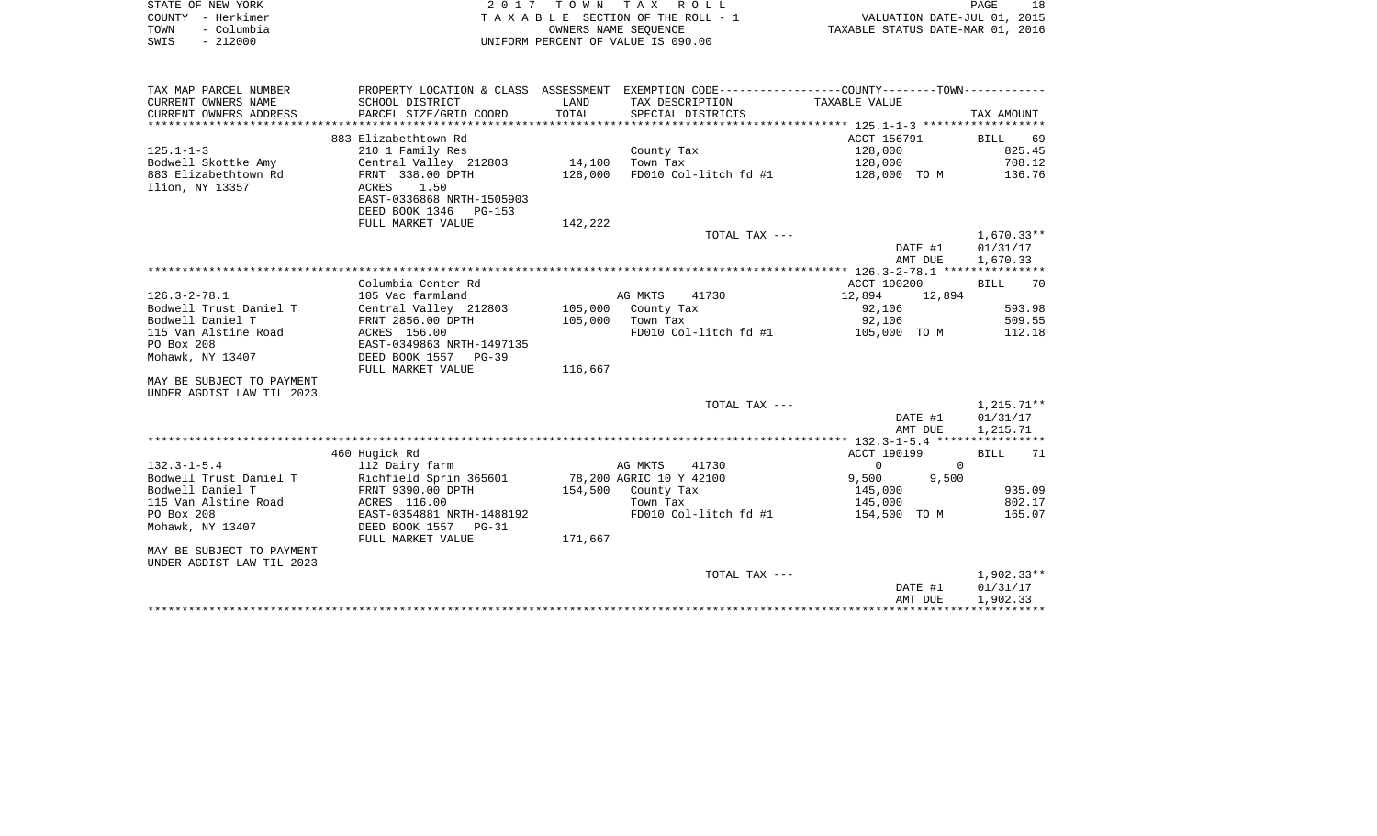| STATE OF NEW YORK  | 2017 TOWN TAX ROLL                 | 18<br>PAGE                       |
|--------------------|------------------------------------|----------------------------------|
| COUNTY - Herkimer  | TAXABLE SECTION OF THE ROLL - 1    | VALUATION DATE-JUL 01, 2015      |
| - Columbia<br>TOWN | OWNERS NAME SEOUENCE               | TAXABLE STATUS DATE-MAR 01, 2016 |
| $-212000$<br>SWIS  | UNIFORM PERCENT OF VALUE IS 090.00 |                                  |

| TAX MAP PARCEL NUMBER                                  | PROPERTY LOCATION & CLASS ASSESSMENT EXEMPTION CODE----------------COUNTY--------TOWN---------- |         |                         |                          |            |
|--------------------------------------------------------|-------------------------------------------------------------------------------------------------|---------|-------------------------|--------------------------|------------|
| CURRENT OWNERS NAME                                    | SCHOOL DISTRICT                                                                                 | LAND    | TAX DESCRIPTION         | TAXABLE VALUE            |            |
| CURRENT OWNERS ADDRESS                                 | PARCEL SIZE/GRID COORD                                                                          | TOTAL   | SPECIAL DISTRICTS       |                          | TAX AMOUNT |
|                                                        |                                                                                                 |         |                         |                          |            |
|                                                        | 883 Elizabethtown Rd                                                                            |         |                         | ACCT 156791              | BILL 69    |
| $125.1 - 1 - 3$                                        | 210 1 Family Res                                                                                |         | County Tax              | 128,000                  | 825.45     |
| Bodwell Skottke Amy                                    | Central Valley 212803                                                                           | 14,100  | Town Tax                | 128,000                  | 708.12     |
| 883 Elizabethtown Rd                                   | FRNT 338.00 DPTH                                                                                | 128,000 | FD010 Col-litch fd #1   | 128,000 TO M             | 136.76     |
| Ilion, NY 13357                                        | 1.50<br>ACRES                                                                                   |         |                         |                          |            |
|                                                        | EAST-0336868 NRTH-1505903                                                                       |         |                         |                          |            |
|                                                        | DEED BOOK 1346<br>PG-153                                                                        |         |                         |                          |            |
|                                                        | FULL MARKET VALUE                                                                               | 142,222 |                         |                          |            |
|                                                        |                                                                                                 |         | TOTAL TAX ---           |                          | 1,670.33** |
|                                                        |                                                                                                 |         |                         | DATE #1                  | 01/31/17   |
|                                                        |                                                                                                 |         |                         | AMT DUE                  | 1,670.33   |
|                                                        |                                                                                                 |         |                         |                          |            |
|                                                        | Columbia Center Rd                                                                              |         |                         | ACCT 190200              | BILL<br>70 |
| $126.3 - 2 - 78.1$                                     | 105 Vac farmland                                                                                |         | AG MKTS<br>41730        | 12,894<br>12,894         |            |
| Bodwell Trust Daniel T                                 | Central Valley 212803                                                                           |         | 105,000 County Tax      | 92,106                   | 593.98     |
| Bodwell Daniel T                                       | FRNT 2856.00 DPTH                                                                               | 105,000 | Town Tax                | 92,106                   | 509.55     |
| 115 Van Alstine Road                                   | ACRES 156.00                                                                                    |         | FD010 Col-litch fd #1   | 105,000 TO M             | 112.18     |
| PO Box 208                                             | EAST-0349863 NRTH-1497135                                                                       |         |                         |                          |            |
| Mohawk, NY 13407                                       | DEED BOOK 1557 PG-39                                                                            |         |                         |                          |            |
|                                                        |                                                                                                 | 116,667 |                         |                          |            |
|                                                        | FULL MARKET VALUE                                                                               |         |                         |                          |            |
| MAY BE SUBJECT TO PAYMENT<br>UNDER AGDIST LAW TIL 2023 |                                                                                                 |         |                         |                          |            |
|                                                        |                                                                                                 |         |                         |                          | 1,215.71** |
|                                                        |                                                                                                 |         | TOTAL TAX ---           |                          |            |
|                                                        |                                                                                                 |         |                         | DATE #1                  | 01/31/17   |
|                                                        |                                                                                                 |         |                         | AMT DUE                  | 1,215.71   |
|                                                        | 460 Hugick Rd                                                                                   |         |                         | ACCT 190199              | BILL<br>71 |
| $132.3 - 1 - 5.4$                                      | 112 Dairy farm                                                                                  |         | AG MKTS<br>41730        | $\mathbf{0}$<br>$\Omega$ |            |
| Bodwell Trust Daniel T                                 | Richfield Sprin 365601                                                                          |         | 78,200 AGRIC 10 Y 42100 | 9,500<br>9,500           |            |
| Bodwell Daniel T                                       | FRNT 9390.00 DPTH                                                                               | 154,500 |                         |                          | 935.09     |
|                                                        | ACRES 116.00                                                                                    |         | County Tax<br>Town Tax  | 145,000                  | 802.17     |
| 115 Van Alstine Road<br>PO Box 208                     | EAST-0354881 NRTH-1488192                                                                       |         | FD010 Col-litch fd #1   | 145,000<br>154,500 TO M  | 165.07     |
|                                                        |                                                                                                 |         |                         |                          |            |
| Mohawk, NY 13407                                       | DEED BOOK 1557 PG-31                                                                            |         |                         |                          |            |
|                                                        | FULL MARKET VALUE                                                                               | 171,667 |                         |                          |            |
| MAY BE SUBJECT TO PAYMENT                              |                                                                                                 |         |                         |                          |            |
| UNDER AGDIST LAW TIL 2023                              |                                                                                                 |         |                         |                          |            |
|                                                        |                                                                                                 |         | TOTAL TAX ---           |                          | 1,902.33** |
|                                                        |                                                                                                 |         |                         | DATE #1                  | 01/31/17   |
|                                                        |                                                                                                 |         |                         | AMT DUE                  | 1,902.33   |
|                                                        |                                                                                                 |         |                         |                          |            |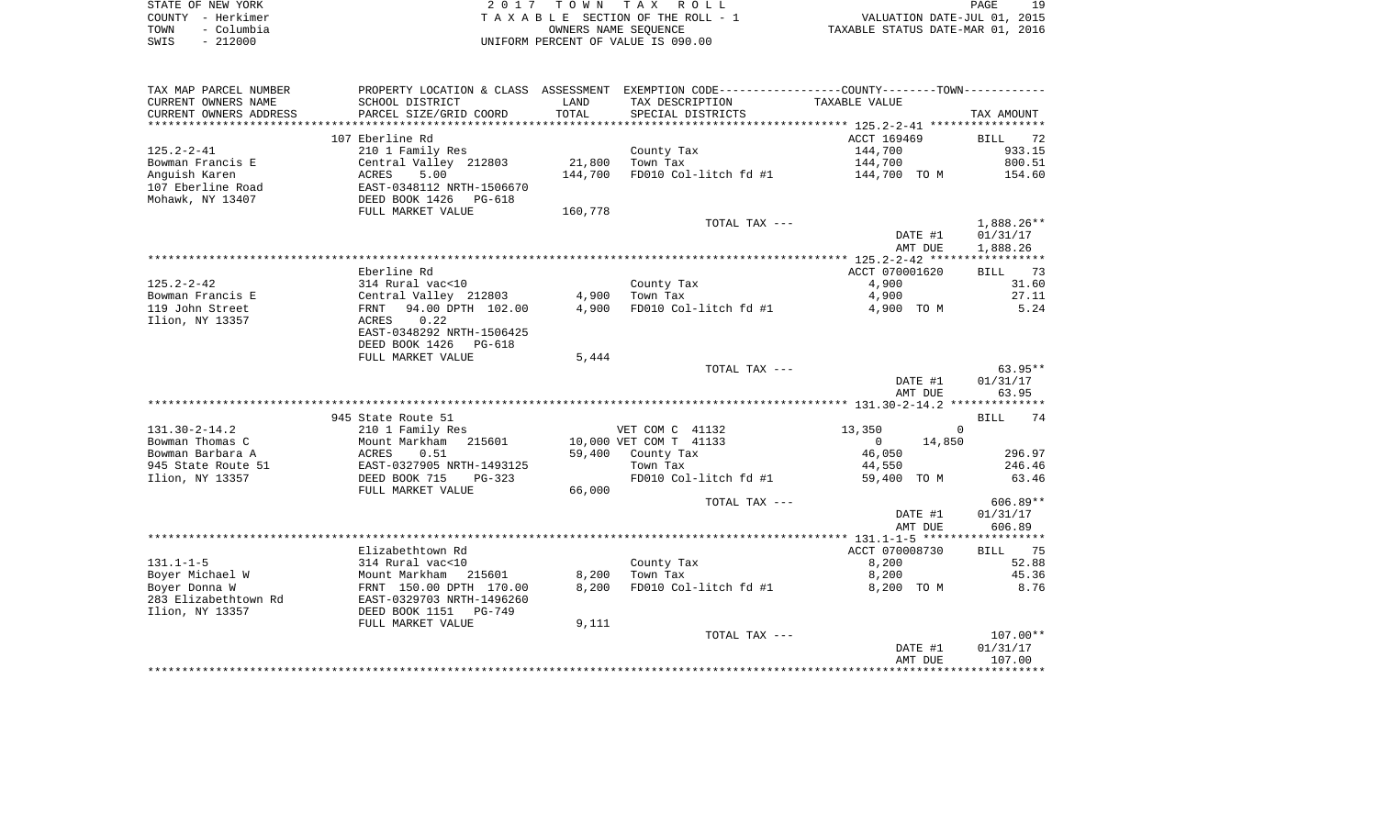|      | STATE OF NEW YORK | 2017 TOWN TAX ROLL                 | 1 Q<br>PAGE                      |
|------|-------------------|------------------------------------|----------------------------------|
|      | COUNTY - Herkimer | TAXABLE SECTION OF THE ROLL - 1    | VALUATION DATE-JUL 01, 2015      |
| TOWN | – Columbia        | OWNERS NAME SEOUENCE               | TAXABLE STATUS DATE-MAR 01, 2016 |
| SWIS | $-212000$         | UNIFORM PERCENT OF VALUE IS 090.00 |                                  |

| TAX MAP PARCEL NUMBER  | PROPERTY LOCATION & CLASS ASSESSMENT |             | EXEMPTION CODE----------------COUNTY-------TOWN----------- |                          |                   |
|------------------------|--------------------------------------|-------------|------------------------------------------------------------|--------------------------|-------------------|
| CURRENT OWNERS NAME    | SCHOOL DISTRICT                      | LAND        | TAX DESCRIPTION                                            | TAXABLE VALUE            |                   |
| CURRENT OWNERS ADDRESS | PARCEL SIZE/GRID COORD               | TOTAL       | SPECIAL DISTRICTS                                          |                          | TAX AMOUNT        |
|                        |                                      | *********** |                                                            |                          |                   |
|                        | 107 Eberline Rd                      |             |                                                            | ACCT 169469              | <b>BILL</b><br>72 |
| $125.2 - 2 - 41$       | 210 1 Family Res                     |             | County Tax                                                 | 144,700                  | 933.15            |
| Bowman Francis E       | Central Valley 212803                | 21,800      | Town Tax                                                   | 144,700                  | 800.51            |
| Anguish Karen          | 5.00<br>ACRES                        | 144,700     | FD010 Col-litch fd #1                                      | 144,700 TO M             | 154.60            |
| 107 Eberline Road      | EAST-0348112 NRTH-1506670            |             |                                                            |                          |                   |
| Mohawk, NY 13407       | DEED BOOK 1426 PG-618                |             |                                                            |                          |                   |
|                        | FULL MARKET VALUE                    | 160,778     |                                                            |                          |                   |
|                        |                                      |             | TOTAL TAX ---                                              |                          | 1,888.26**        |
|                        |                                      |             |                                                            | DATE #1                  | 01/31/17          |
|                        |                                      |             |                                                            | AMT DUE                  | 1,888.26          |
|                        |                                      |             |                                                            |                          |                   |
|                        | Eberline Rd                          |             |                                                            | ACCT 070001620           | 73<br>BILL        |
| $125.2 - 2 - 42$       | 314 Rural vac<10                     |             | County Tax                                                 | 4,900                    | 31.60             |
| Bowman Francis E       | Central Valley 212803                | 4,900       | Town Tax                                                   | 4,900                    | 27.11             |
| 119 John Street        | 94.00 DPTH 102.00<br>FRNT            | 4,900       | FD010 Col-litch fd #1                                      | 4,900 TO M               | 5.24              |
| Ilion, NY 13357        | 0.22<br>ACRES                        |             |                                                            |                          |                   |
|                        | EAST-0348292 NRTH-1506425            |             |                                                            |                          |                   |
|                        | DEED BOOK 1426 PG-618                |             |                                                            |                          |                   |
|                        | FULL MARKET VALUE                    | 5,444       |                                                            |                          |                   |
|                        |                                      |             | TOTAL TAX ---                                              |                          | $63.95**$         |
|                        |                                      |             |                                                            | DATE #1                  | 01/31/17          |
|                        |                                      |             |                                                            | AMT DUE                  | 63.95             |
|                        |                                      |             |                                                            |                          |                   |
|                        | 945 State Route 51                   |             |                                                            |                          | BILL 74           |
| $131.30 - 2 - 14.2$    | 210 1 Family Res                     |             | VET COM C 41132                                            | 13,350                   | $\Omega$          |
| Bowman Thomas C        | Mount Markham<br>215601              |             | 10,000 VET COM T 41133                                     | 14,850<br>$\overline{0}$ |                   |
| Bowman Barbara A       | ACRES<br>0.51                        | 59,400      | County Tax                                                 | 46,050                   | 296.97            |
| 945 State Route 51     | EAST-0327905 NRTH-1493125            |             | Town Tax                                                   | 44,550                   | 246.46            |
| Ilion, NY 13357        | DEED BOOK 715<br>$PG-323$            |             | FD010 Col-litch fd #1                                      | 59,400 TO M              | 63.46             |
|                        | FULL MARKET VALUE                    | 66,000      |                                                            |                          |                   |
|                        |                                      |             | TOTAL TAX ---                                              |                          | $606.89**$        |
|                        |                                      |             |                                                            | DATE #1                  | 01/31/17          |
|                        |                                      |             |                                                            | AMT DUE                  | 606.89            |
|                        |                                      |             |                                                            |                          |                   |
|                        | Elizabethtown Rd                     |             |                                                            | ACCT 070008730           | 75<br>BILL        |
| $131.1 - 1 - 5$        | 314 Rural vac<10                     |             | County Tax                                                 | 8,200                    | 52.88             |
| Boyer Michael W        | Mount Markham 215601                 | 8,200       | Town Tax                                                   | 8,200                    | 45.36             |
| Boyer Donna W          | FRNT 150.00 DPTH 170.00              | 8,200       | FD010 Col-litch fd #1                                      | 8,200 TO M               | 8.76              |
| 283 Elizabethtown Rd   | EAST-0329703 NRTH-1496260            |             |                                                            |                          |                   |
| Ilion, NY 13357        | DEED BOOK 1151 PG-749                |             |                                                            |                          |                   |
|                        | FULL MARKET VALUE                    | 9,111       |                                                            |                          |                   |
|                        |                                      |             | TOTAL TAX ---                                              |                          | $107.00**$        |
|                        |                                      |             |                                                            | DATE #1                  | 01/31/17          |
|                        |                                      |             |                                                            | AMT DUE                  | 107.00            |
|                        |                                      |             |                                                            |                          |                   |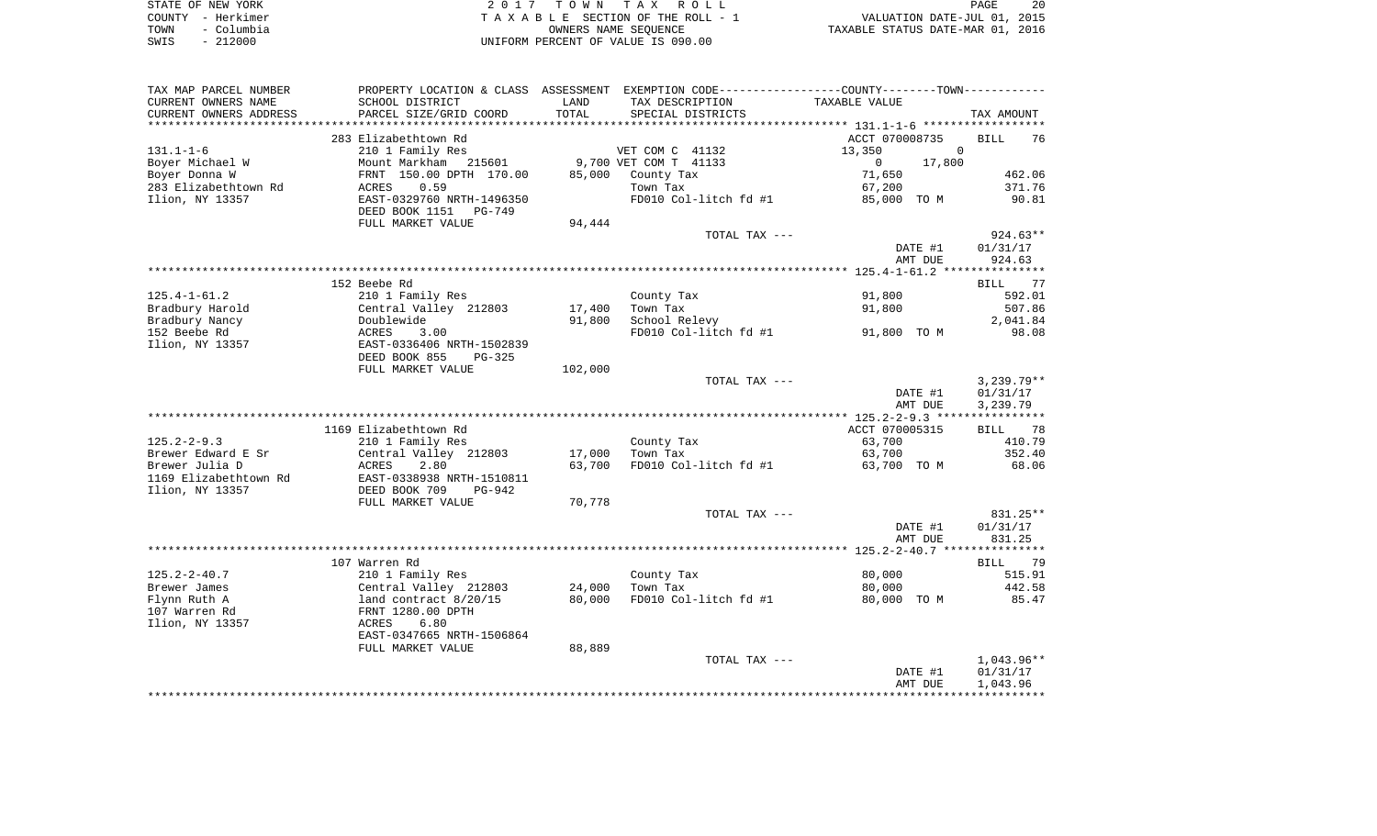| STATE OF NEW YORK  | 2017 TOWN TAX ROLL                 | -20<br>PAGE                      |
|--------------------|------------------------------------|----------------------------------|
| COUNTY - Herkimer  | TAXABLE SECTION OF THE ROLL - 1    | VALUATION DATE-JUL 01, 2015      |
| - Columbia<br>TOWN | OWNERS NAME SEOUENCE               | TAXABLE STATUS DATE-MAR 01, 2016 |
| - 212000<br>SWIS   | UNIFORM PERCENT OF VALUE IS 090.00 |                                  |

| TAX MAP PARCEL NUMBER  | PROPERTY LOCATION & CLASS ASSESSMENT EXEMPTION CODE----------------COUNTY--------TOWN---------- |         |                       |                          |                   |
|------------------------|-------------------------------------------------------------------------------------------------|---------|-----------------------|--------------------------|-------------------|
| CURRENT OWNERS NAME    | SCHOOL DISTRICT                                                                                 | LAND    | TAX DESCRIPTION       | TAXABLE VALUE            |                   |
| CURRENT OWNERS ADDRESS | PARCEL SIZE/GRID COORD                                                                          | TOTAL   | SPECIAL DISTRICTS     |                          | TAX AMOUNT        |
| *******************    | *****************************                                                                   |         |                       |                          |                   |
|                        | 283 Elizabethtown Rd                                                                            |         |                       | ACCT 070008735           | <b>BILL</b><br>76 |
| $131.1 - 1 - 6$        | 210 1 Family Res                                                                                |         | VET COM C 41132       | 13,350<br>0              |                   |
| Boyer Michael W        | Mount Markham 215601                                                                            |         | 9,700 VET COM T 41133 | $\overline{0}$<br>17,800 |                   |
| Boyer Donna W          | FRNT 150.00 DPTH 170.00                                                                         | 85,000  | County Tax            | 71,650                   | 462.06            |
| 283 Elizabethtown Rd   | 0.59<br>ACRES                                                                                   |         | Town Tax              | 67,200                   | 371.76            |
| Ilion, NY 13357        | EAST-0329760 NRTH-1496350                                                                       |         | FD010 Col-litch fd #1 | 85,000 TO M              | 90.81             |
|                        | DEED BOOK 1151<br>PG-749                                                                        |         |                       |                          |                   |
|                        | FULL MARKET VALUE                                                                               | 94,444  |                       |                          |                   |
|                        |                                                                                                 |         | TOTAL TAX ---         |                          | $924.63**$        |
|                        |                                                                                                 |         |                       | DATE #1                  | 01/31/17          |
|                        |                                                                                                 |         |                       | AMT DUE                  | 924.63            |
|                        |                                                                                                 |         |                       |                          |                   |
|                        | 152 Beebe Rd                                                                                    |         |                       |                          | 77<br>BILL        |
| $125.4 - 1 - 61.2$     | 210 1 Family Res                                                                                |         | County Tax            | 91,800                   | 592.01            |
| Bradbury Harold        | Central Valley 212803                                                                           | 17,400  | Town Tax              | 91,800                   | 507.86            |
| Bradbury Nancy         | Doublewide                                                                                      | 91,800  | School Relevy         |                          | 2,041.84          |
| 152 Beebe Rd           | 3.00<br>ACRES                                                                                   |         | FD010 Col-litch fd #1 | 91,800 TO M              | 98.08             |
| Ilion, NY 13357        | EAST-0336406 NRTH-1502839                                                                       |         |                       |                          |                   |
|                        | DEED BOOK 855<br>$PG-325$                                                                       |         |                       |                          |                   |
|                        | FULL MARKET VALUE                                                                               | 102,000 |                       |                          |                   |
|                        |                                                                                                 |         | TOTAL TAX ---         |                          | $3,239.79**$      |
|                        |                                                                                                 |         |                       | DATE #1                  | 01/31/17          |
|                        |                                                                                                 |         |                       | AMT DUE                  | 3,239.79          |
|                        |                                                                                                 |         |                       |                          |                   |
|                        | 1169 Elizabethtown Rd                                                                           |         |                       | ACCT 070005315           | BILL<br>78        |
| $125.2 - 2 - 9.3$      | 210 1 Family Res                                                                                |         | County Tax            | 63,700                   | 410.79            |
| Brewer Edward E Sr     | Central Valley 212803                                                                           | 17,000  | Town Tax              | 63,700                   | 352.40            |
| Brewer Julia D         | ACRES<br>2.80                                                                                   | 63,700  | FD010 Col-litch fd #1 | 63,700 TO M              | 68.06             |
| 1169 Elizabethtown Rd  | EAST-0338938 NRTH-1510811                                                                       |         |                       |                          |                   |
| Ilion, NY 13357        | DEED BOOK 709<br>PG-942                                                                         |         |                       |                          |                   |
|                        | FULL MARKET VALUE                                                                               | 70,778  |                       |                          |                   |
|                        |                                                                                                 |         | TOTAL TAX ---         |                          | 831.25**          |
|                        |                                                                                                 |         |                       | DATE #1                  | 01/31/17          |
|                        |                                                                                                 |         |                       | AMT DUE                  | 831.25            |
|                        |                                                                                                 |         |                       |                          |                   |
|                        | 107 Warren Rd                                                                                   |         |                       |                          | BILL 79           |
| $125.2 - 2 - 40.7$     | 210 1 Family Res                                                                                |         | County Tax            | 80,000                   | 515.91            |
| Brewer James           | Central Valley 212803                                                                           | 24,000  | Town Tax              | 80,000                   | 442.58            |
| Flynn Ruth A           | land contract 8/20/15                                                                           | 80,000  | FD010 Col-litch fd #1 | 80,000 TO M              | 85.47             |
| 107 Warren Rd          | FRNT 1280.00 DPTH                                                                               |         |                       |                          |                   |
| Ilion, NY 13357        | ACRES<br>6.80                                                                                   |         |                       |                          |                   |
|                        | EAST-0347665 NRTH-1506864                                                                       |         |                       |                          |                   |
|                        | FULL MARKET VALUE                                                                               | 88,889  |                       |                          |                   |
|                        |                                                                                                 |         | TOTAL TAX ---         |                          | $1,043.96**$      |
|                        |                                                                                                 |         |                       | DATE #1                  | 01/31/17          |
|                        |                                                                                                 |         |                       | AMT DUE                  | 1,043.96          |
|                        |                                                                                                 |         |                       |                          |                   |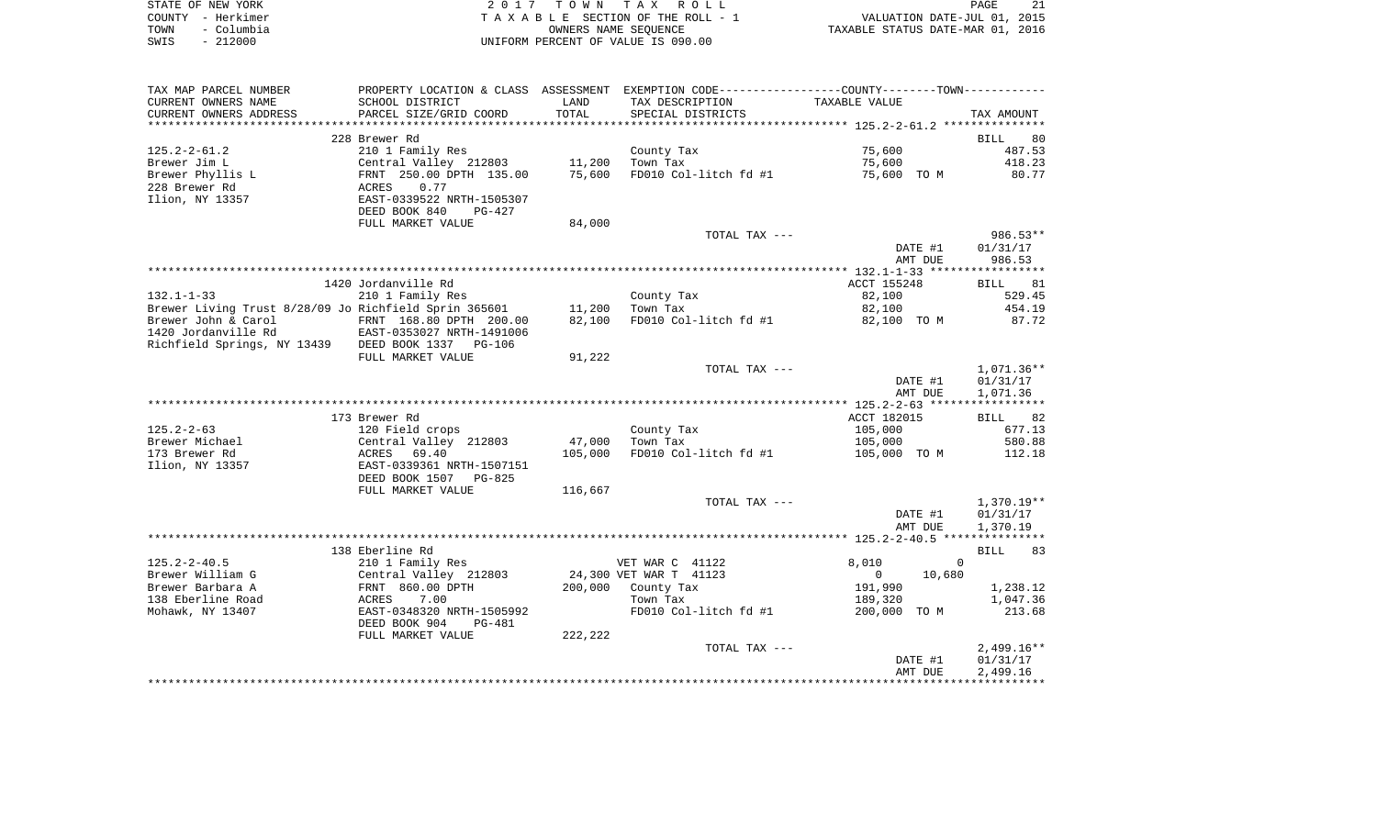| STATE OF NEW YORK  | 2017 TOWN TAX ROLL                 | 21<br><b>PAGE</b>                |
|--------------------|------------------------------------|----------------------------------|
| COUNTY - Herkimer  | TAXABLE SECTION OF THE ROLL - 1    | VALUATION DATE-JUL 01, 2015      |
| – Columbia<br>TOWN | OWNERS NAME SEOUENCE               | TAXABLE STATUS DATE-MAR 01, 2016 |
| $-212000$<br>SWIS  | UNIFORM PERCENT OF VALUE IS 090.00 |                                  |

| TAX MAP PARCEL NUMBER                                 | PROPERTY LOCATION & CLASS ASSESSMENT EXEMPTION CODE---------------COUNTY-------TOWN---------- |         |                        |                          |                        |
|-------------------------------------------------------|-----------------------------------------------------------------------------------------------|---------|------------------------|--------------------------|------------------------|
| CURRENT OWNERS NAME                                   | SCHOOL DISTRICT                                                                               | LAND    | TAX DESCRIPTION        | TAXABLE VALUE            |                        |
| CURRENT OWNERS ADDRESS                                | PARCEL SIZE/GRID COORD                                                                        | TOTAL   | SPECIAL DISTRICTS      |                          | TAX AMOUNT             |
| ********************                                  |                                                                                               |         |                        |                          |                        |
|                                                       | 228 Brewer Rd                                                                                 |         |                        |                          | BILL<br>80             |
| $125.2 - 2 - 61.2$                                    | 210 1 Family Res                                                                              |         | County Tax             | 75,600                   | 487.53                 |
| Brewer Jim L                                          | Central Valley 212803                                                                         | 11,200  | Town Tax               | 75,600                   | 418.23                 |
| Brewer Phyllis L                                      | FRNT 250.00 DPTH 135.00                                                                       | 75,600  | FD010 Col-litch fd #1  | 75,600 TO M              | 80.77                  |
| 228 Brewer Rd                                         | 0.77<br>ACRES                                                                                 |         |                        |                          |                        |
| Ilion, NY 13357                                       | EAST-0339522 NRTH-1505307                                                                     |         |                        |                          |                        |
|                                                       | DEED BOOK 840<br>PG-427                                                                       |         |                        |                          |                        |
|                                                       | FULL MARKET VALUE                                                                             | 84,000  |                        |                          |                        |
|                                                       |                                                                                               |         | TOTAL TAX ---          |                          | $986.53**$             |
|                                                       |                                                                                               |         |                        | DATE #1                  | 01/31/17               |
|                                                       |                                                                                               |         |                        | AMT DUE                  | 986.53                 |
|                                                       |                                                                                               |         |                        |                          |                        |
|                                                       | 1420 Jordanville Rd                                                                           |         |                        | ACCT 155248              | 81<br>BILL             |
| $132.1 - 1 - 33$                                      | 210 1 Family Res                                                                              |         | County Tax             | 82,100                   | 529.45                 |
| Brewer Living Trust 8/28/09 Jo Richfield Sprin 365601 |                                                                                               | 11,200  | Town Tax               | 82,100                   | 454.19                 |
| Brewer John & Carol                                   | FRNT 168.80 DPTH 200.00                                                                       | 82,100  | FD010 Col-litch fd #1  | 82,100 TO M              | 87.72                  |
| 1420 Jordanville Rd                                   | EAST-0353027 NRTH-1491006                                                                     |         |                        |                          |                        |
| Richfield Springs, NY 13439 DEED BOOK 1337 PG-106     |                                                                                               |         |                        |                          |                        |
|                                                       | FULL MARKET VALUE                                                                             | 91,222  |                        |                          |                        |
|                                                       |                                                                                               |         | TOTAL TAX ---          |                          | 1,071.36**             |
|                                                       |                                                                                               |         |                        | DATE #1                  | 01/31/17               |
|                                                       |                                                                                               |         |                        | AMT DUE                  | 1,071.36               |
|                                                       |                                                                                               |         |                        |                          |                        |
|                                                       | 173 Brewer Rd                                                                                 |         |                        | ACCT 182015              | 82<br>BILL             |
| $125.2 - 2 - 63$                                      | 120 Field crops                                                                               |         | County Tax             | 105,000                  | 677.13                 |
| Brewer Michael                                        | Central Valley 212803                                                                         | 47,000  | Town Tax               | 105,000                  | 580.88                 |
| 173 Brewer Rd                                         | 69.40<br>ACRES                                                                                | 105,000 | FD010 Col-litch fd #1  | 105,000 TO M             | 112.18                 |
| Ilion, NY 13357                                       | EAST-0339361 NRTH-1507151                                                                     |         |                        |                          |                        |
|                                                       | DEED BOOK 1507 PG-825                                                                         |         |                        |                          |                        |
|                                                       | FULL MARKET VALUE                                                                             | 116,667 |                        |                          |                        |
|                                                       |                                                                                               |         | TOTAL TAX ---          | DATE #1                  | 1,370.19**<br>01/31/17 |
|                                                       |                                                                                               |         |                        | AMT DUE                  | 1,370.19               |
|                                                       |                                                                                               |         |                        |                          |                        |
|                                                       | 138 Eberline Rd                                                                               |         |                        |                          | <b>BILL</b><br>83      |
| $125.2 - 2 - 40.5$                                    | 210 1 Family Res                                                                              |         | VET WAR C 41122        | $\Omega$<br>8,010        |                        |
| Brewer William G                                      | Central Valley 212803                                                                         |         | 24,300 VET WAR T 41123 | 10,680<br>$\overline{0}$ |                        |
| Brewer Barbara A                                      | FRNT 860.00 DPTH                                                                              |         | 200,000 County Tax     | 191,990                  | 1,238.12               |
| 138 Eberline Road                                     | ACRES<br>7.00                                                                                 |         | Town Tax               | 189,320                  | 1,047.36               |
| Mohawk, NY 13407                                      | EAST-0348320 NRTH-1505992                                                                     |         | FD010 Col-litch fd #1  | 200,000 TO M             | 213.68                 |
|                                                       | DEED BOOK 904<br>PG-481                                                                       |         |                        |                          |                        |
|                                                       | FULL MARKET VALUE                                                                             | 222,222 |                        |                          |                        |
|                                                       |                                                                                               |         | TOTAL TAX ---          |                          | $2,499.16**$           |
|                                                       |                                                                                               |         |                        | DATE #1                  | 01/31/17               |
|                                                       |                                                                                               |         |                        | AMT DUE                  | 2,499.16               |
|                                                       |                                                                                               |         |                        |                          |                        |
|                                                       |                                                                                               |         |                        |                          |                        |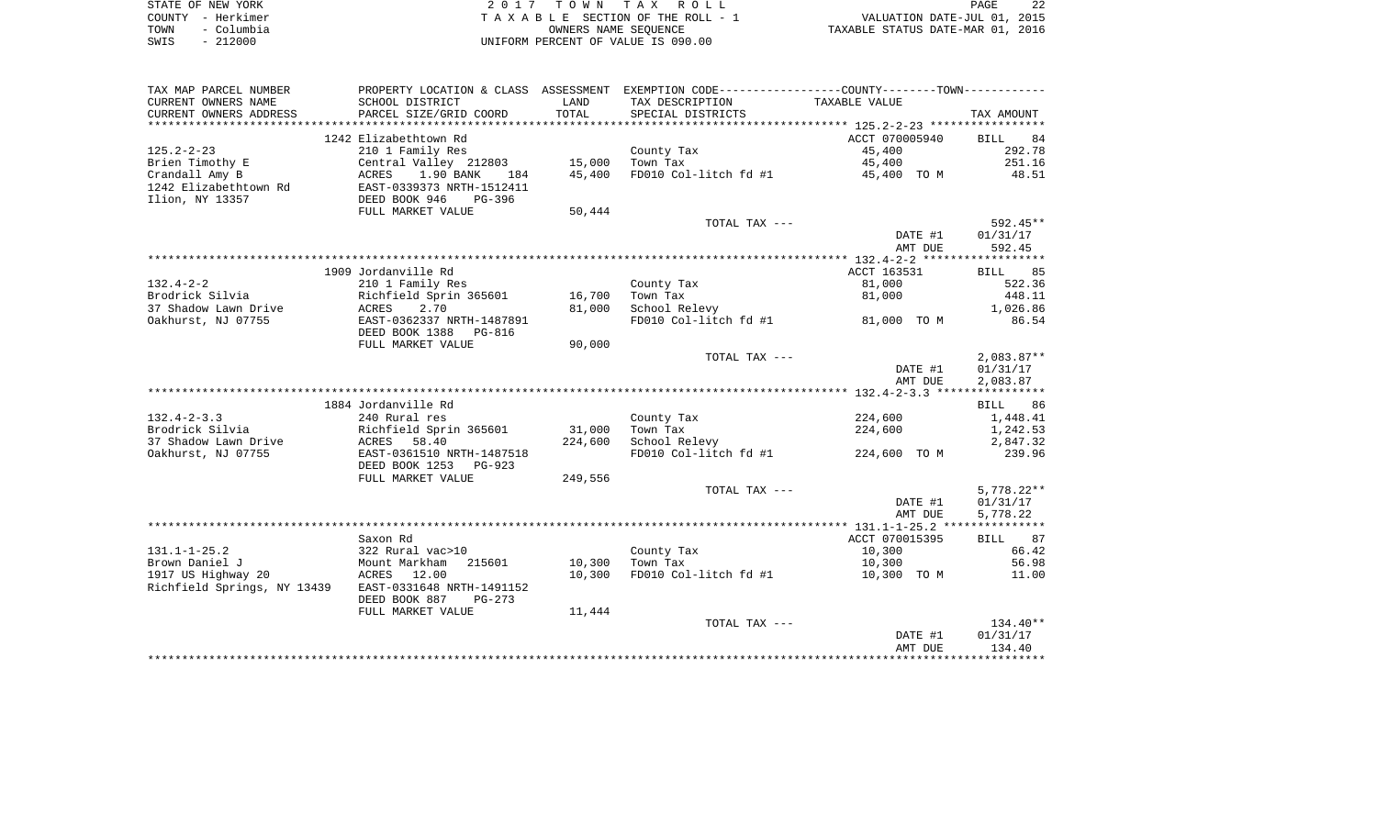| STATE OF NEW YORK |            | 2017 TOWN TAX ROLL                 | PAGE                             |
|-------------------|------------|------------------------------------|----------------------------------|
| COUNTY - Herkimer |            | TAXABLE SECTION OF THE ROLL - 1    | VALUATION DATE-JUL 01, 2015      |
| TOWN              | - Columbia | OWNERS NAME SEOUENCE               | TAXABLE STATUS DATE-MAR 01, 2016 |
| SWIS              | $-212000$  | UNIFORM PERCENT OF VALUE IS 090.00 |                                  |

| TAX MAP PARCEL NUMBER       | PROPERTY LOCATION & CLASS ASSESSMENT EXEMPTION CODE---------------COUNTY--------TOWN---------- |         |                       |                          |                     |
|-----------------------------|------------------------------------------------------------------------------------------------|---------|-----------------------|--------------------------|---------------------|
| CURRENT OWNERS NAME         | SCHOOL DISTRICT                                                                                | LAND    | TAX DESCRIPTION       | TAXABLE VALUE            |                     |
| CURRENT OWNERS ADDRESS      | PARCEL SIZE/GRID COORD                                                                         | TOTAL   | SPECIAL DISTRICTS     |                          | TAX AMOUNT          |
|                             |                                                                                                |         |                       |                          |                     |
|                             | 1242 Elizabethtown Rd                                                                          |         |                       | ACCT 070005940           | <b>BILL</b><br>84   |
| $125.2 - 2 - 23$            | 210 1 Family Res                                                                               |         | County Tax            | 45,400                   | 292.78              |
| Brien Timothy E             | Central Valley 212803                                                                          | 15,000  | Town Tax              | 45,400                   | 251.16              |
| Crandall Amy B              | ACRES<br>1.90 BANK<br>184                                                                      | 45,400  | FD010 Col-litch fd #1 | 45,400 TO M              | 48.51               |
| 1242 Elizabethtown Rd       | EAST-0339373 NRTH-1512411                                                                      |         |                       |                          |                     |
| Ilion, NY 13357             | DEED BOOK 946<br>$PG-396$                                                                      |         |                       |                          |                     |
|                             | FULL MARKET VALUE                                                                              | 50,444  |                       |                          |                     |
|                             |                                                                                                |         | TOTAL TAX ---         |                          | 592.45**            |
|                             |                                                                                                |         |                       | DATE #1                  | 01/31/17            |
|                             |                                                                                                |         |                       | AMT DUE                  | 592.45              |
|                             | 1909 Jordanville Rd                                                                            |         |                       | ACCT 163531              | BILL 85             |
| $132.4 - 2 - 2$             | 210 1 Family Res                                                                               |         | County Tax            | 81,000                   | 522.36              |
| Brodrick Silvia             | Richfield Sprin 365601                                                                         | 16,700  | Town Tax              | 81,000                   | 448.11              |
| 37 Shadow Lawn Drive        | ACRES<br>2.70                                                                                  | 81,000  | School Relevy         |                          | 1,026.86            |
| Oakhurst, NJ 07755          | EAST-0362337 NRTH-1487891                                                                      |         | FD010 Col-litch fd #1 | 81,000 TO M              | 86.54               |
|                             | DEED BOOK 1388<br>PG-816                                                                       |         |                       |                          |                     |
|                             | FULL MARKET VALUE                                                                              | 90,000  |                       |                          |                     |
|                             |                                                                                                |         | TOTAL TAX ---         |                          | $2,083.87**$        |
|                             |                                                                                                |         |                       | DATE #1                  | 01/31/17            |
|                             |                                                                                                |         |                       | AMT DUE                  | 2,083.87            |
|                             |                                                                                                |         |                       |                          |                     |
|                             | 1884 Jordanville Rd                                                                            |         |                       |                          | 86<br>BILL          |
| $132.4 - 2 - 3.3$           | 240 Rural res                                                                                  |         | County Tax            | 224,600                  | 1,448.41            |
| Brodrick Silvia             | Richfield Sprin 365601                                                                         | 31,000  | Town Tax              | 224,600                  | 1,242.53            |
| 37 Shadow Lawn Drive        | ACRES 58.40                                                                                    | 224,600 | School Relevy         |                          | 2,847.32            |
| Oakhurst, NJ 07755          | EAST-0361510 NRTH-1487518                                                                      |         | FD010 Col-litch fd #1 | 224,600 TO M             | 239.96              |
|                             | DEED BOOK 1253<br>PG-923                                                                       |         |                       |                          |                     |
|                             | FULL MARKET VALUE                                                                              | 249,556 |                       |                          |                     |
|                             |                                                                                                |         | TOTAL TAX ---         |                          | $5,778.22**$        |
|                             |                                                                                                |         |                       | DATE #1                  | 01/31/17            |
|                             |                                                                                                |         |                       | AMT DUE                  | 5,778.22            |
|                             |                                                                                                |         |                       |                          |                     |
| $131.1 - 1 - 25.2$          | Saxon Rd<br>322 Rural vac>10                                                                   |         | County Tax            | ACCT 070015395<br>10,300 | 87<br>BILL<br>66.42 |
| Brown Daniel J              | Mount Markham<br>215601                                                                        | 10,300  | Town Tax              | 10,300                   | 56.98               |
| 1917 US Highway 20          | ACRES<br>12.00                                                                                 | 10,300  | FD010 Col-litch fd #1 | 10,300 TO M              | 11.00               |
| Richfield Springs, NY 13439 | EAST-0331648 NRTH-1491152                                                                      |         |                       |                          |                     |
|                             | DEED BOOK 887<br>$PG-273$                                                                      |         |                       |                          |                     |
|                             | FULL MARKET VALUE                                                                              | 11,444  |                       |                          |                     |
|                             |                                                                                                |         | TOTAL TAX ---         |                          | $134.40**$          |
|                             |                                                                                                |         |                       | DATE #1                  | 01/31/17            |
|                             |                                                                                                |         |                       | AMT DUE                  | 134.40              |
|                             |                                                                                                |         |                       |                          |                     |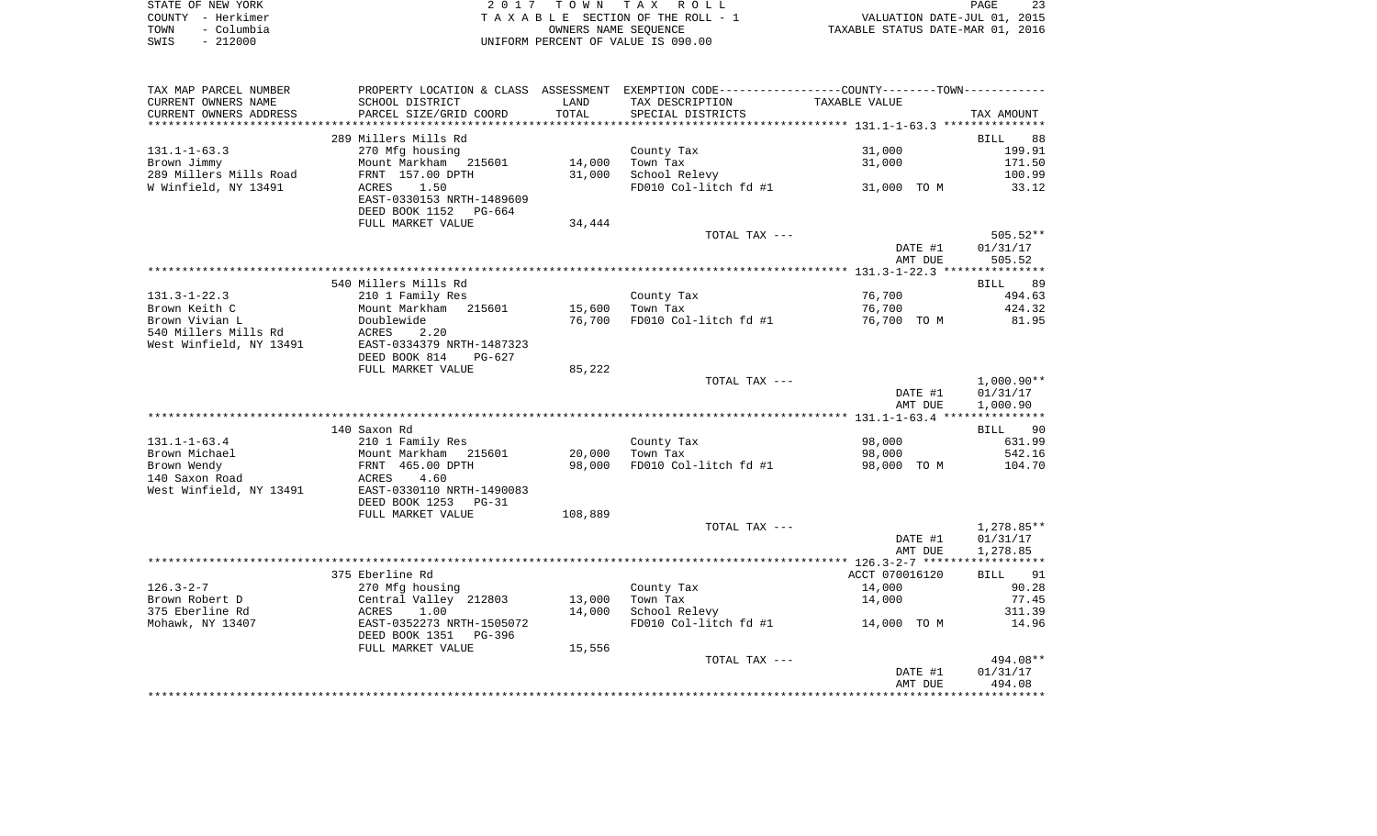| STATE OF NEW YORK  | 2017 TOWN TAX ROLL                 | 23<br>PAGE                       |
|--------------------|------------------------------------|----------------------------------|
| COUNTY – Herkimer  | TAXABLE SECTION OF THE ROLL - 1    | VALUATION DATE-JUL 01, 2015      |
| – Columbia<br>TOWN | OWNERS NAME SEOUENCE               | TAXABLE STATUS DATE-MAR 01, 2016 |
| $-212000$<br>SWIS  | UNIFORM PERCENT OF VALUE IS 090.00 |                                  |

| TAX MAP PARCEL NUMBER   |                           |         | PROPERTY LOCATION & CLASS ASSESSMENT EXEMPTION CODE----------------COUNTY--------TOWN---------- |                |              |
|-------------------------|---------------------------|---------|-------------------------------------------------------------------------------------------------|----------------|--------------|
| CURRENT OWNERS NAME     | SCHOOL DISTRICT           | LAND    | TAX DESCRIPTION                                                                                 | TAXABLE VALUE  |              |
| CURRENT OWNERS ADDRESS  | PARCEL SIZE/GRID COORD    | TOTAL   | SPECIAL DISTRICTS                                                                               |                | TAX AMOUNT   |
|                         |                           |         |                                                                                                 |                |              |
|                         | 289 Millers Mills Rd      |         |                                                                                                 |                | BILL<br>88   |
| $131.1 - 1 - 63.3$      | 270 Mfg housing           |         | County Tax                                                                                      | 31,000         | 199.91       |
| Brown Jimmy             | Mount Markham 215601      | 14,000  | Town Tax                                                                                        | 31,000         | 171.50       |
| 289 Millers Mills Road  | FRNT 157.00 DPTH          | 31,000  | School Relevy                                                                                   |                | 100.99       |
| W Winfield, NY 13491    | ACRES<br>1.50             |         | FD010 Col-litch fd #1 31,000 TO M                                                               |                | 33.12        |
|                         | EAST-0330153 NRTH-1489609 |         |                                                                                                 |                |              |
|                         | DEED BOOK 1152<br>PG-664  |         |                                                                                                 |                |              |
|                         | FULL MARKET VALUE         | 34,444  |                                                                                                 |                |              |
|                         |                           |         | TOTAL TAX ---                                                                                   |                | 505.52**     |
|                         |                           |         |                                                                                                 | DATE #1        | 01/31/17     |
|                         |                           |         |                                                                                                 | AMT DUE        | 505.52       |
|                         |                           |         |                                                                                                 |                |              |
|                         | 540 Millers Mills Rd      |         |                                                                                                 |                | BILL 89      |
| $131.3 - 1 - 22.3$      | 210 1 Family Res          |         | County Tax                                                                                      | 76,700         | 494.63       |
| Brown Keith C           | Mount Markham 215601      | 15,600  | Town Tax                                                                                        | 76,700         | 424.32       |
| Brown Vivian L          | Doublewide                | 76,700  | FD010 Col-litch fd #1                                                                           | 76,700 TO M    | 81.95        |
| 540 Millers Mills Rd    | 2.20<br>ACRES             |         |                                                                                                 |                |              |
| West Winfield, NY 13491 | EAST-0334379 NRTH-1487323 |         |                                                                                                 |                |              |
|                         | DEED BOOK 814<br>$PG-627$ |         |                                                                                                 |                |              |
|                         | FULL MARKET VALUE         | 85,222  |                                                                                                 |                |              |
|                         |                           |         | TOTAL TAX ---                                                                                   |                | $1,000.90**$ |
|                         |                           |         |                                                                                                 | DATE #1        | 01/31/17     |
|                         |                           |         |                                                                                                 | AMT DUE        | 1,000.90     |
|                         |                           |         |                                                                                                 |                |              |
|                         | 140 Saxon Rd              |         |                                                                                                 |                | BILL 90      |
| $131.1 - 1 - 63.4$      | 210 1 Family Res          |         | County Tax                                                                                      | 98,000         | 631.99       |
| Brown Michael           | Mount Markham 215601      | 20,000  | Town Tax                                                                                        | 98,000         | 542.16       |
| Brown Wendy             | FRNT 465.00 DPTH          | 98,000  | FD010 Col-litch fd #1                                                                           | 98,000 TO M    | 104.70       |
| 140 Saxon Road          | 4.60<br>ACRES             |         |                                                                                                 |                |              |
| West Winfield, NY 13491 | EAST-0330110 NRTH-1490083 |         |                                                                                                 |                |              |
|                         | DEED BOOK 1253<br>$PG-31$ |         |                                                                                                 |                |              |
|                         | FULL MARKET VALUE         | 108,889 |                                                                                                 |                |              |
|                         |                           |         | TOTAL TAX ---                                                                                   |                | $1,278.85**$ |
|                         |                           |         |                                                                                                 | DATE #1        | 01/31/17     |
|                         |                           |         |                                                                                                 | AMT DUE        | 1,278.85     |
|                         |                           |         |                                                                                                 |                |              |
|                         | 375 Eberline Rd           |         |                                                                                                 | ACCT 070016120 | BILL 91      |
| $126.3 - 2 - 7$         | 270 Mfg housing           |         | County Tax                                                                                      | 14,000         | 90.28        |
| Brown Robert D          | Central Valley 212803     | 13,000  | Town Tax                                                                                        | 14,000         | 77.45        |
| 375 Eberline Rd         | ACRES<br>1.00             | 14,000  | School Relevy                                                                                   |                | 311.39       |
| Mohawk, NY 13407        | EAST-0352273 NRTH-1505072 |         | FD010 Col-litch fd #1                                                                           | 14,000 TO M    | 14.96        |
|                         | DEED BOOK 1351<br>PG-396  |         |                                                                                                 |                |              |
|                         | FULL MARKET VALUE         | 15,556  |                                                                                                 |                |              |
|                         |                           |         | TOTAL TAX ---                                                                                   |                | 494.08**     |
|                         |                           |         |                                                                                                 | DATE #1        | 01/31/17     |
|                         |                           |         |                                                                                                 | AMT DUE        | 494.08       |
|                         |                           |         |                                                                                                 |                |              |
|                         |                           |         |                                                                                                 |                |              |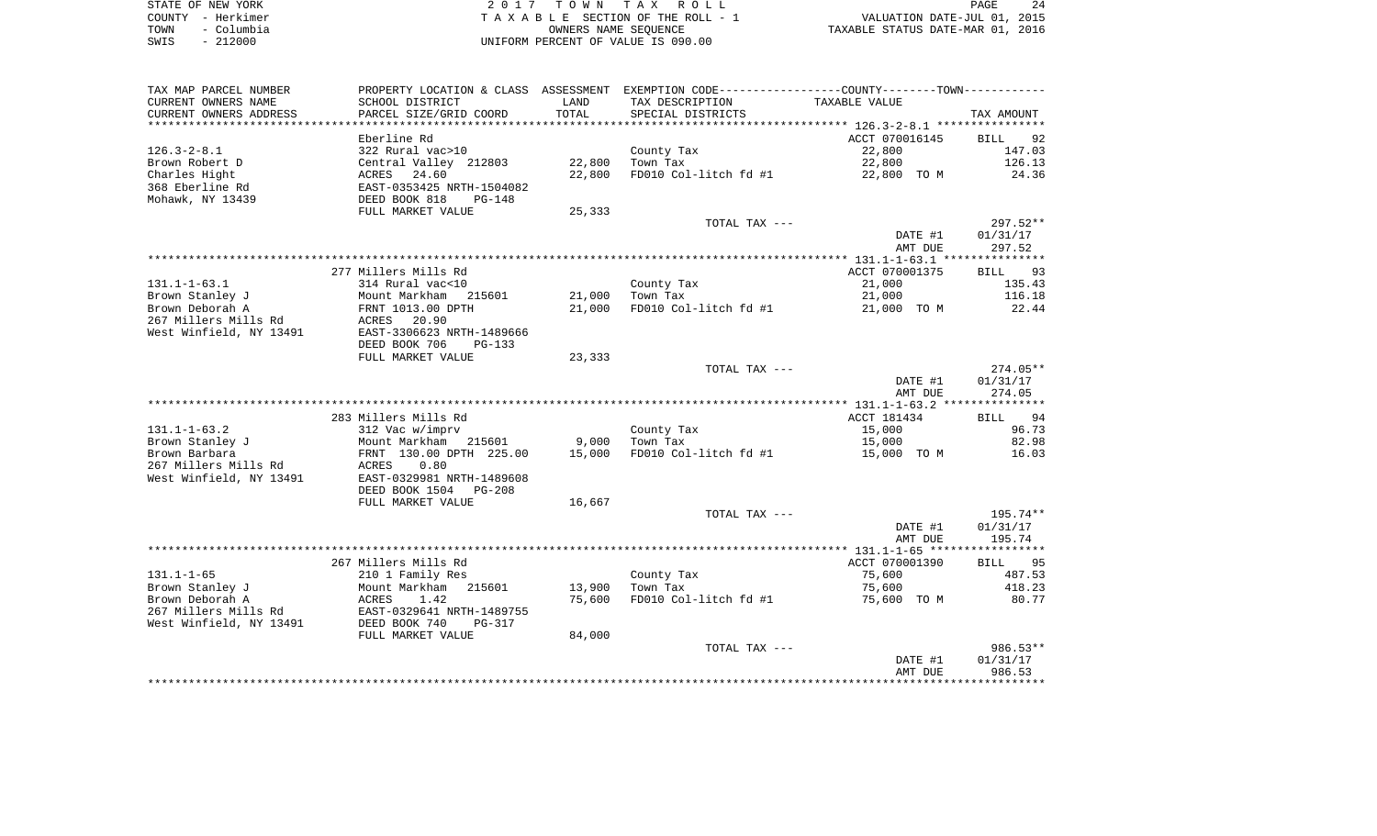| STATE OF NEW YORK  | 2017 TOWN TAX ROLL                 | 24<br>PAGE                       |
|--------------------|------------------------------------|----------------------------------|
| COUNTY - Herkimer  | TAXABLE SECTION OF THE ROLL - 1    | VALUATION DATE-JUL 01, 2015      |
| - Columbia<br>TOWN | OWNERS NAME SEOUENCE               | TAXABLE STATUS DATE-MAR 01, 2016 |
| $-212000$<br>SWIS  | UNIFORM PERCENT OF VALUE IS 090.00 |                                  |

| TAX MAP PARCEL NUMBER                           |                                            |             | PROPERTY LOCATION & CLASS ASSESSMENT EXEMPTION CODE---------------COUNTY-------TOWN---------- |                |                   |
|-------------------------------------------------|--------------------------------------------|-------------|-----------------------------------------------------------------------------------------------|----------------|-------------------|
| CURRENT OWNERS NAME                             | SCHOOL DISTRICT                            | LAND        | TAX DESCRIPTION                                                                               | TAXABLE VALUE  |                   |
| CURRENT OWNERS ADDRESS                          | PARCEL SIZE/GRID COORD                     | TOTAL       | SPECIAL DISTRICTS                                                                             |                | TAX AMOUNT        |
| *******************                             |                                            | *********** |                                                                                               |                |                   |
|                                                 | Eberline Rd                                |             |                                                                                               | ACCT 070016145 | <b>BILL</b><br>92 |
| $126.3 - 2 - 8.1$                               | 322 Rural vac>10                           |             | County Tax                                                                                    | 22,800         | 147.03            |
| Brown Robert D                                  | Central Valley 212803                      | 22,800      | Town Tax                                                                                      | 22,800         | 126.13            |
| Charles Hight                                   | ACRES<br>24.60                             | 22,800      | FD010 Col-litch fd #1                                                                         | 22,800 TO M    | 24.36             |
| 368 Eberline Rd                                 | EAST-0353425 NRTH-1504082                  |             |                                                                                               |                |                   |
| Mohawk, NY 13439                                | DEED BOOK 818<br><b>PG-148</b>             |             |                                                                                               |                |                   |
|                                                 | FULL MARKET VALUE                          | 25,333      |                                                                                               |                |                   |
|                                                 |                                            |             | TOTAL TAX ---                                                                                 |                | $297.52**$        |
|                                                 |                                            |             |                                                                                               | DATE #1        | 01/31/17          |
|                                                 |                                            |             |                                                                                               | AMT DUE        | 297.52            |
|                                                 |                                            |             |                                                                                               |                |                   |
|                                                 | 277 Millers Mills Rd                       |             |                                                                                               | ACCT 070001375 | <b>BILL</b><br>93 |
| $131.1 - 1 - 63.1$                              | 314 Rural vac<10                           |             | County Tax                                                                                    | 21,000         | 135.43            |
| Brown Stanley J                                 | Mount Markham<br>215601                    | 21,000      | Town Tax                                                                                      | 21,000         | 116.18            |
| Brown Deborah A                                 | FRNT 1013.00 DPTH                          | 21,000      | FD010 Col-litch fd #1                                                                         | 21,000 TO M    | 22.44             |
| 267 Millers Mills Rd                            | ACRES<br>20.90                             |             |                                                                                               |                |                   |
| West Winfield, NY 13491                         | EAST-3306623 NRTH-1489666                  |             |                                                                                               |                |                   |
|                                                 | DEED BOOK 706<br>$PG-133$                  |             |                                                                                               |                |                   |
|                                                 | FULL MARKET VALUE                          | 23,333      |                                                                                               |                |                   |
|                                                 |                                            |             | TOTAL TAX ---                                                                                 |                | $274.05**$        |
|                                                 |                                            |             |                                                                                               | DATE #1        | 01/31/17          |
|                                                 |                                            |             |                                                                                               | AMT DUE        | 274.05            |
|                                                 |                                            |             |                                                                                               |                |                   |
|                                                 | 283 Millers Mills Rd                       |             |                                                                                               | ACCT 181434    | 94<br>BILL        |
| $131.1 - 1 - 63.2$                              | 312 Vac w/imprv                            |             | County Tax                                                                                    | 15,000         | 96.73             |
| Brown Stanley J                                 | Mount Markham 215601                       | 9,000       | Town Tax                                                                                      | 15,000         | 82.98             |
| Brown Barbara                                   | FRNT 130.00 DPTH 225.00                    | 15,000      | FD010 Col-litch fd #1                                                                         | 15,000 TO M    | 16.03             |
| 267 Millers Mills Rd<br>West Winfield, NY 13491 | ACRES<br>0.80<br>EAST-0329981 NRTH-1489608 |             |                                                                                               |                |                   |
|                                                 |                                            |             |                                                                                               |                |                   |
|                                                 | DEED BOOK 1504<br><b>PG-208</b>            |             |                                                                                               |                |                   |
|                                                 | FULL MARKET VALUE                          | 16,667      | TOTAL TAX ---                                                                                 |                | $195.74**$        |
|                                                 |                                            |             |                                                                                               | DATE #1        | 01/31/17          |
|                                                 |                                            |             |                                                                                               | AMT DUE        | 195.74            |
|                                                 |                                            |             |                                                                                               |                |                   |
|                                                 | 267 Millers Mills Rd                       |             |                                                                                               | ACCT 070001390 | 95<br>BILL        |
| $131.1 - 1 - 65$                                | 210 1 Family Res                           |             | County Tax                                                                                    | 75,600         | 487.53            |
| Brown Stanley J                                 | Mount Markham<br>215601                    | 13,900      | Town Tax                                                                                      | 75,600         | 418.23            |
| Brown Deborah A                                 | ACRES<br>1.42                              | 75,600      | FD010 Col-litch fd #1                                                                         | 75,600 TO M    | 80.77             |
| 267 Millers Mills Rd                            | EAST-0329641 NRTH-1489755                  |             |                                                                                               |                |                   |
| West Winfield, NY 13491                         | DEED BOOK 740<br><b>PG-317</b>             |             |                                                                                               |                |                   |
|                                                 | FULL MARKET VALUE                          | 84,000      |                                                                                               |                |                   |
|                                                 |                                            |             | TOTAL TAX ---                                                                                 |                | 986.53**          |
|                                                 |                                            |             |                                                                                               | DATE #1        | 01/31/17          |
|                                                 |                                            |             |                                                                                               | AMT DUE        | 986.53            |
|                                                 |                                            |             |                                                                                               |                |                   |
|                                                 |                                            |             |                                                                                               |                |                   |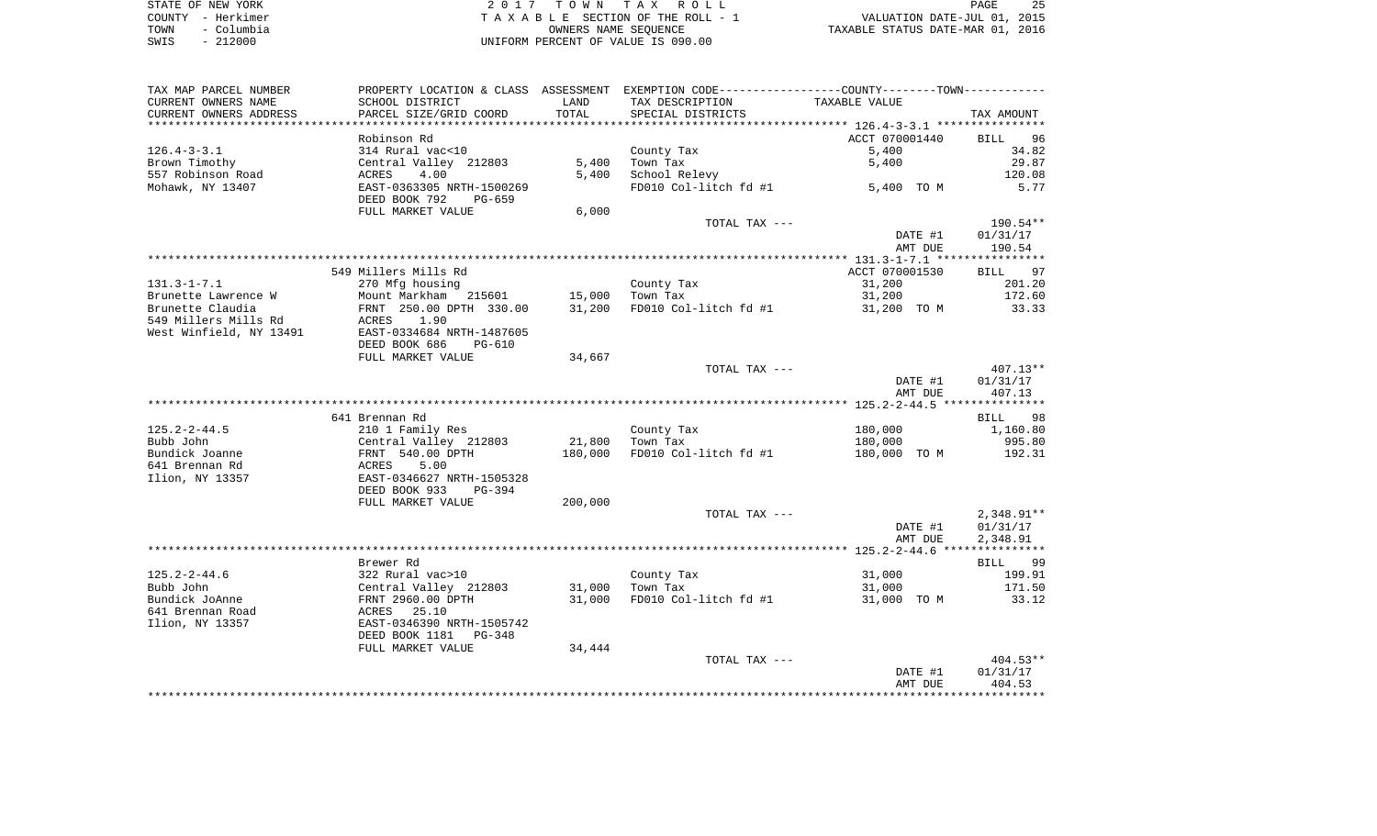| STATE OF NEW YORK |            | 2017 TOWN TAX ROLL                 |                                  | PAGE | 25 |
|-------------------|------------|------------------------------------|----------------------------------|------|----|
| COUNTY - Herkimer |            | TAXABLE SECTION OF THE ROLL - 1    | VALUATION DATE-JUL 01, 2015      |      |    |
| TOWN              | - Columbia | OWNERS NAME SEOUENCE               | TAXABLE STATUS DATE-MAR 01, 2016 |      |    |
| SWIS              | $-212000$  | UNIFORM PERCENT OF VALUE IS 090.00 |                                  |      |    |

| TAX MAP PARCEL NUMBER   | PROPERTY LOCATION & CLASS ASSESSMENT EXEMPTION CODE---------------COUNTY-------TOWN---------- |         |                       |                |              |
|-------------------------|-----------------------------------------------------------------------------------------------|---------|-----------------------|----------------|--------------|
| CURRENT OWNERS NAME     | SCHOOL DISTRICT                                                                               | LAND    | TAX DESCRIPTION       | TAXABLE VALUE  |              |
| CURRENT OWNERS ADDRESS  | PARCEL SIZE/GRID COORD                                                                        | TOTAL   | SPECIAL DISTRICTS     |                | TAX AMOUNT   |
|                         |                                                                                               |         |                       |                |              |
|                         | Robinson Rd                                                                                   |         |                       | ACCT 070001440 | BILL<br>96   |
| $126.4 - 3 - 3.1$       | 314 Rural vac<10                                                                              |         | County Tax            | 5,400          | 34.82        |
| Brown Timothy           | Central Valley 212803                                                                         | 5,400   | Town Tax              | 5,400          | 29.87        |
| 557 Robinson Road       | 4.00<br>ACRES                                                                                 | 5,400   | School Relevy         |                | 120.08       |
| Mohawk, NY 13407        | EAST-0363305 NRTH-1500269                                                                     |         | FD010 Col-litch fd #1 | 5,400 TO M     | 5.77         |
|                         | DEED BOOK 792<br>PG-659                                                                       |         |                       |                |              |
|                         | FULL MARKET VALUE                                                                             | 6,000   |                       |                |              |
|                         |                                                                                               |         | TOTAL TAX ---         |                | 190.54**     |
|                         |                                                                                               |         |                       | DATE #1        | 01/31/17     |
|                         |                                                                                               |         |                       | AMT DUE        | 190.54       |
|                         |                                                                                               |         |                       |                |              |
|                         | 549 Millers Mills Rd                                                                          |         |                       | ACCT 070001530 | BILL 97      |
| $131.3 - 1 - 7.1$       | 270 Mfg housing                                                                               |         | County Tax            | 31,200         | 201.20       |
| Brunette Lawrence W     | Mount Markham 215601                                                                          | 15,000  | Town Tax              | 31,200         | 172.60       |
| Brunette Claudia        | FRNT 250.00 DPTH 330.00<br>ACRES 1.90                                                         | 31,200  | FD010 Col-litch fd #1 | 31,200 TO M    | 33.33        |
| 549 Millers Mills Rd    |                                                                                               |         |                       |                |              |
| West Winfield, NY 13491 | EAST-0334684 NRTH-1487605                                                                     |         |                       |                |              |
|                         | DEED BOOK 686<br>PG-610                                                                       |         |                       |                |              |
|                         | FULL MARKET VALUE                                                                             | 34,667  |                       |                |              |
|                         |                                                                                               |         | TOTAL TAX ---         |                | 407.13**     |
|                         |                                                                                               |         |                       | DATE #1        | 01/31/17     |
|                         |                                                                                               |         |                       | AMT DUE        | 407.13       |
|                         |                                                                                               |         |                       |                |              |
|                         | 641 Brennan Rd                                                                                |         |                       |                | BILL 98      |
| $125.2 - 2 - 44.5$      | 210 1 Family Res                                                                              |         | County Tax            | 180,000        | 1,160.80     |
| Bubb John               | Central Valley 212803<br>FRNT 540.00 DPTH<br>ACRES 5.00<br>EAST-0346627 NRTH-1505328          | 21,800  | Town Tax              | 180,000        | 995.80       |
| Bundick Joanne          |                                                                                               | 180,000 | FD010 Col-litch fd #1 | 180,000 TO M   | 192.31       |
| 641 Brennan Rd          |                                                                                               |         |                       |                |              |
| Ilion, NY 13357         |                                                                                               |         |                       |                |              |
|                         | DEED BOOK 933<br>$PG-394$<br>FULL MARKET VALUE                                                | 200,000 |                       |                |              |
|                         |                                                                                               |         | TOTAL TAX ---         |                | $2,348.91**$ |
|                         |                                                                                               |         |                       | DATE #1        | 01/31/17     |
|                         |                                                                                               |         |                       | AMT DUE        | 2,348.91     |
|                         |                                                                                               |         |                       |                |              |
|                         | Brewer Rd                                                                                     |         |                       |                | BILL 99      |
| $125.2 - 2 - 44.6$      |                                                                                               |         | County Tax            | 31,000         | 199.91       |
| Bubb John               | 322 Rural vac>10<br>Central Valley 212803                                                     | 31,000  | Town Tax              | 31,000         | 171.50       |
| Bundick JoAnne          | FRNT 2960.00 DPTH                                                                             | 31,000  | FD010 Col-litch fd #1 | 31,000 TO M    | 33.12        |
| 641 Brennan Road        | ACRES 25.10                                                                                   |         |                       |                |              |
| Ilion, NY 13357         | EAST-0346390 NRTH-1505742                                                                     |         |                       |                |              |
|                         | DEED BOOK 1181<br>PG-348                                                                      |         |                       |                |              |
|                         | FULL MARKET VALUE                                                                             | 34,444  |                       |                |              |
|                         |                                                                                               |         | TOTAL TAX ---         |                | 404.53**     |
|                         |                                                                                               |         |                       | DATE #1        | 01/31/17     |
|                         |                                                                                               |         |                       | AMT DUE        | 404.53       |
|                         |                                                                                               |         |                       |                |              |
|                         |                                                                                               |         |                       |                |              |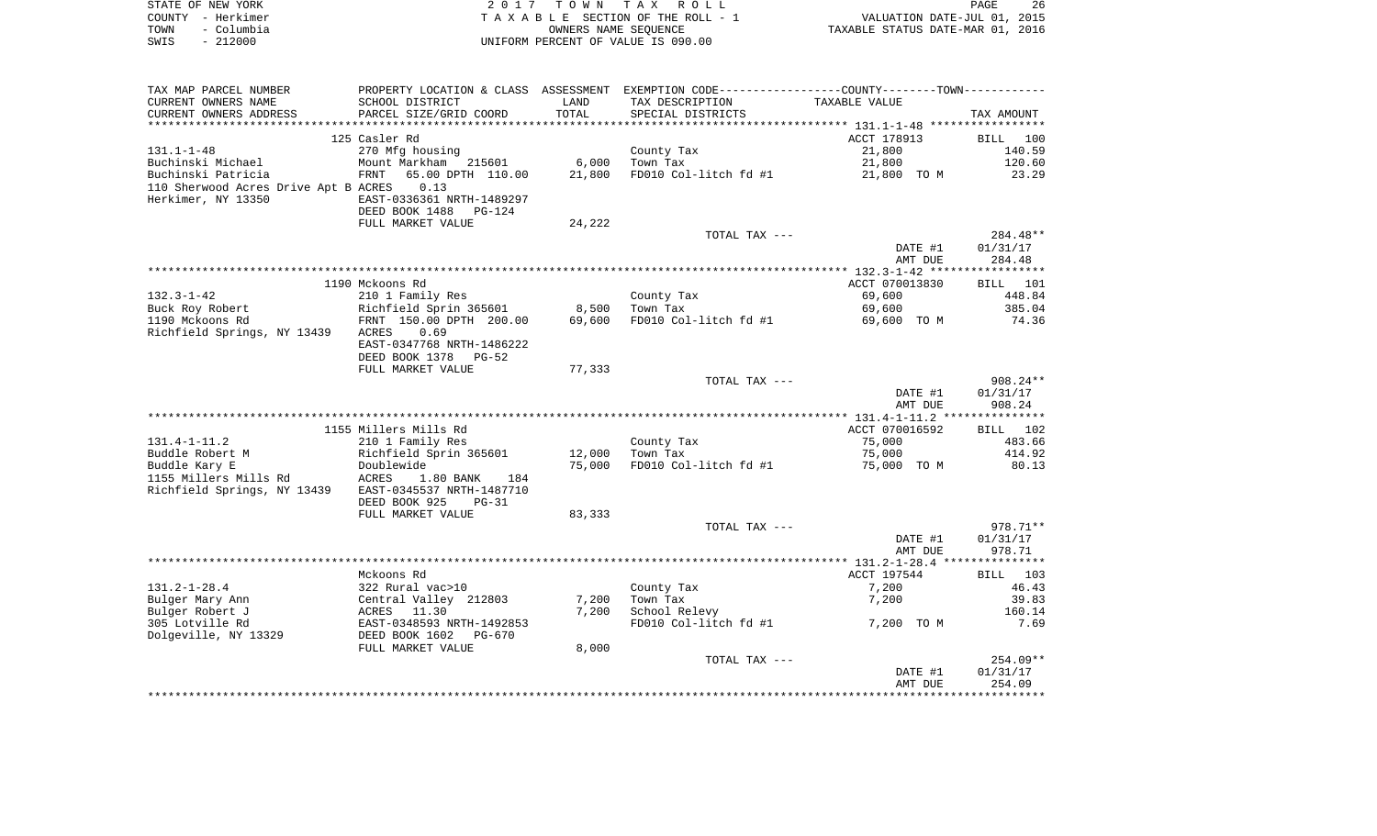| STATE OF NEW YORK  | 2017 TOWN TAX ROLL                 | 26<br>PAGE                       |
|--------------------|------------------------------------|----------------------------------|
| COUNTY – Herkimer  | TAXABLE SECTION OF THE ROLL - 1    | VALUATION DATE-JUL 01, 2015      |
| – Columbia<br>TOWN | OWNERS NAME SEOUENCE               | TAXABLE STATUS DATE-MAR 01, 2016 |
| $-212000$<br>SWIS  | UNIFORM PERCENT OF VALUE IS 090.00 |                                  |

| TAX MAP PARCEL NUMBER                                 |                                             |        | PROPERTY LOCATION & CLASS ASSESSMENT EXEMPTION CODE----------------COUNTY--------TOWN----------- |                    |            |
|-------------------------------------------------------|---------------------------------------------|--------|--------------------------------------------------------------------------------------------------|--------------------|------------|
| CURRENT OWNERS NAME                                   | SCHOOL DISTRICT                             | LAND   | TAX DESCRIPTION                                                                                  | TAXABLE VALUE      |            |
| CURRENT OWNERS ADDRESS                                | PARCEL SIZE/GRID COORD                      | TOTAL  | SPECIAL DISTRICTS                                                                                |                    | TAX AMOUNT |
| ************************                              |                                             |        |                                                                                                  |                    |            |
|                                                       | 125 Casler Rd                               |        |                                                                                                  | ACCT 178913        | BILL 100   |
| 131.1-1-48                                            | 270 Mfg housing                             |        | County Tax                                                                                       | 21,800             | 140.59     |
| Buchinski Michael                                     | Mount Markham 215601                        | 6,000  | Town Tax                                                                                         | 21,800             | 120.60     |
| Buchinski Patricia                                    | 65.00 DPTH 110.00<br>FRNT                   | 21,800 | FD010 Col-litch fd #1                                                                            | 21,800 TO M        | 23.29      |
| 110 Sherwood Acres Drive Apt B ACRES                  | 0.13                                        |        |                                                                                                  |                    |            |
| Herkimer, NY 13350                                    | EAST-0336361 NRTH-1489297<br>DEED BOOK 1488 |        |                                                                                                  |                    |            |
|                                                       | PG-124<br>FULL MARKET VALUE                 | 24,222 |                                                                                                  |                    |            |
|                                                       |                                             |        | TOTAL TAX ---                                                                                    |                    | 284.48**   |
|                                                       |                                             |        |                                                                                                  | DATE #1            | 01/31/17   |
|                                                       |                                             |        |                                                                                                  | AMT DUE            | 284.48     |
|                                                       |                                             |        |                                                                                                  |                    |            |
|                                                       | 1190 Mckoons Rd                             |        |                                                                                                  | ACCT 070013830     | BILL 101   |
| $132.3 - 1 - 42$                                      | 210 1 Family Res                            |        | County Tax                                                                                       | 69,600             | 448.84     |
| Buck Roy Robert                                       | Richfield Sprin 365601                      | 8,500  | Town Tax                                                                                         | 69,600             | 385.04     |
| 1190 Mckoons Rd                                       | FRNT 150.00 DPTH 200.00                     | 69,600 | FD010 Col-litch fd #1                                                                            | 69,600 TO M        | 74.36      |
| Richfield Springs, NY 13439 ACRES                     | 0.69                                        |        |                                                                                                  |                    |            |
|                                                       | EAST-0347768 NRTH-1486222                   |        |                                                                                                  |                    |            |
|                                                       | DEED BOOK 1378<br>PG-52                     |        |                                                                                                  |                    |            |
|                                                       | FULL MARKET VALUE                           | 77,333 |                                                                                                  |                    |            |
|                                                       |                                             |        | TOTAL TAX ---                                                                                    |                    | $908.24**$ |
|                                                       |                                             |        |                                                                                                  | DATE #1            | 01/31/17   |
|                                                       |                                             |        |                                                                                                  | AMT DUE            | 908.24     |
|                                                       |                                             |        |                                                                                                  |                    |            |
|                                                       | 1155 Millers Mills Rd                       |        |                                                                                                  | ACCT 070016592     | BILL 102   |
| $131.4 - 1 - 11.2$                                    | 210 1 Family Res                            |        | County Tax                                                                                       | 75,000             | 483.66     |
| Buddle Robert M                                       | Richfield Sprin 365601                      | 12,000 | Town Tax                                                                                         | 75,000             | 414.92     |
| Buddle Kary E                                         | Doublewide                                  | 75,000 | FD010 Col-litch fd #1                                                                            | 75,000 TO M        | 80.13      |
| 1155 Millers Mills Rd                                 | ACRES<br>$1.80$ BANK<br>184                 |        |                                                                                                  |                    |            |
| Richfield Springs, NY 13439 EAST-0345537 NRTH-1487710 |                                             |        |                                                                                                  |                    |            |
|                                                       | DEED BOOK 925<br>$PG-31$                    |        |                                                                                                  |                    |            |
|                                                       | FULL MARKET VALUE                           | 83,333 |                                                                                                  |                    |            |
|                                                       |                                             |        | TOTAL TAX ---                                                                                    |                    | 978.71**   |
|                                                       |                                             |        |                                                                                                  | DATE #1<br>AMT DUE | 01/31/17   |
|                                                       |                                             |        |                                                                                                  |                    | 978.71     |
|                                                       | Mckoons Rd                                  |        |                                                                                                  | ACCT 197544        | BILL 103   |
| $131.2 - 1 - 28.4$                                    | 322 Rural vac>10                            |        | County Tax                                                                                       | 7,200              | 46.43      |
| Bulger Mary Ann                                       | Central Valley 212803                       | 7,200  | Town Tax                                                                                         | 7,200              | 39.83      |
| Bulger Robert J                                       | ACRES 11.30                                 | 7,200  | School Relevy                                                                                    |                    | 160.14     |
| 305 Lotville Rd                                       | EAST-0348593 NRTH-1492853                   |        | FD010 Col-litch fd #1                                                                            | 7,200 TO M         | 7.69       |
| Dolgeville, NY 13329                                  | DEED BOOK 1602<br>PG-670                    |        |                                                                                                  |                    |            |
|                                                       | FULL MARKET VALUE                           | 8,000  |                                                                                                  |                    |            |
|                                                       |                                             |        | TOTAL TAX ---                                                                                    |                    | 254.09**   |
|                                                       |                                             |        |                                                                                                  | DATE #1            | 01/31/17   |
|                                                       |                                             |        |                                                                                                  | AMT DUE            | 254.09     |
|                                                       |                                             |        |                                                                                                  |                    |            |
|                                                       |                                             |        |                                                                                                  |                    |            |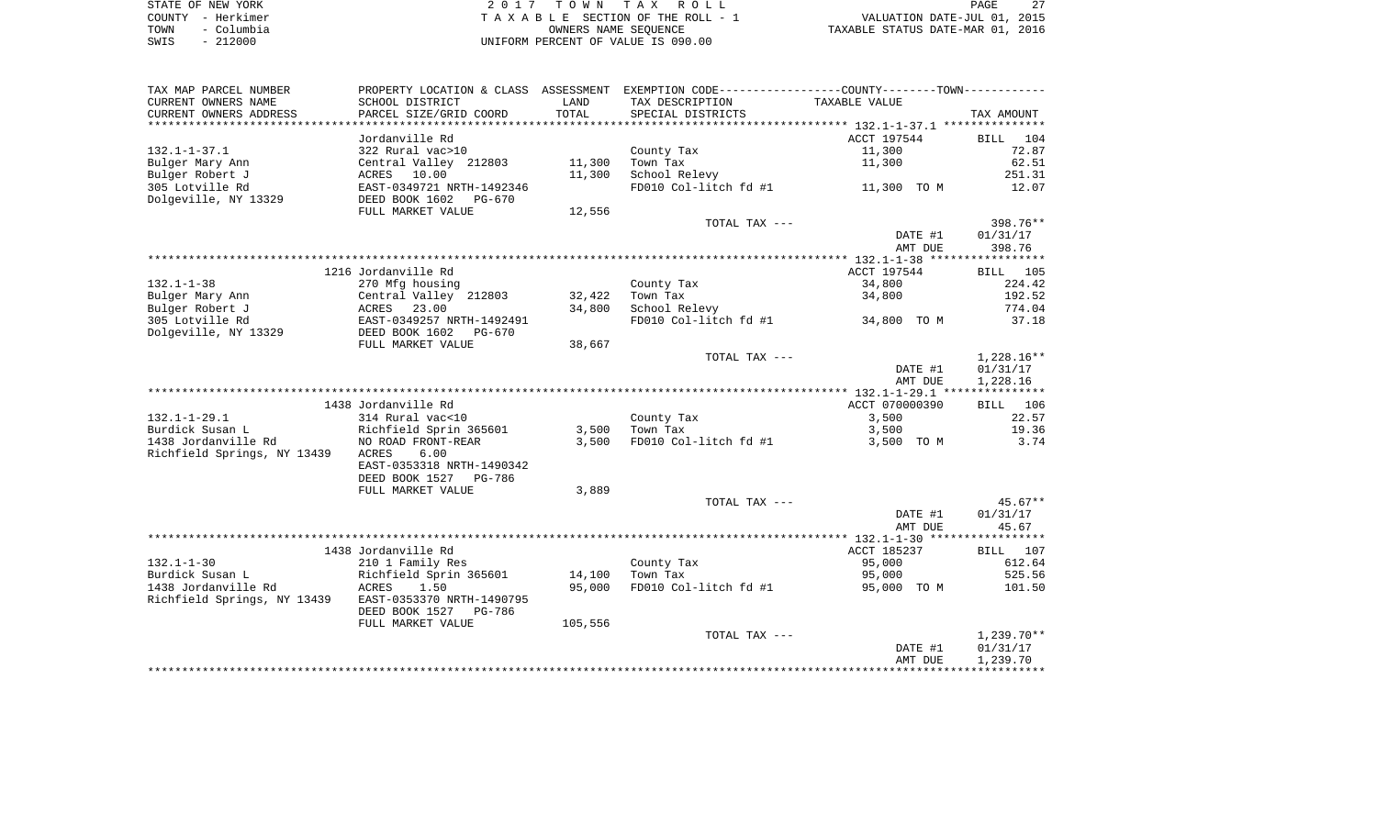| STATE OF NEW YORK  | 2017 TOWN TAX ROLL                 | 27<br>PAGE                       |
|--------------------|------------------------------------|----------------------------------|
| COUNTY - Herkimer  | TAXABLE SECTION OF THE ROLL - 1    | VALUATION DATE-JUL 01, 2015      |
| - Columbia<br>TOWN | OWNERS NAME SEOUENCE               | TAXABLE STATUS DATE-MAR 01, 2016 |
| 212000<br>SWIS     | UNIFORM PERCENT OF VALUE IS 090.00 |                                  |

| TAX MAP PARCEL NUMBER                                 |                                           |                | PROPERTY LOCATION & CLASS ASSESSMENT EXEMPTION CODE---------------COUNTY-------TOWN---------- |                |              |
|-------------------------------------------------------|-------------------------------------------|----------------|-----------------------------------------------------------------------------------------------|----------------|--------------|
| CURRENT OWNERS NAME                                   | SCHOOL DISTRICT                           | LAND           | TAX DESCRIPTION                                                                               | TAXABLE VALUE  |              |
| CURRENT OWNERS ADDRESS                                | PARCEL SIZE/GRID COORD                    | TOTAL          | SPECIAL DISTRICTS                                                                             |                | TAX AMOUNT   |
| **************                                        | ********************                      | ************** |                                                                                               |                |              |
|                                                       | Jordanville Rd                            |                |                                                                                               | ACCT 197544    | BILL 104     |
| $132.1 - 1 - 37.1$                                    | 322 Rural vac>10                          |                | County Tax                                                                                    | 11,300         | 72.87        |
| Bulger Mary Ann                                       | Central Valley 212803                     | 11,300         | Town Tax                                                                                      | 11,300         | 62.51        |
| Bulger Robert J                                       | ACRES 10.00                               | 11,300         | School Relevy                                                                                 |                | 251.31       |
| 305 Lotville Rd                                       | EAST-0349721 NRTH-1492346                 |                | FD010 Col-litch fd #1                                                                         | 11,300 TO M    | 12.07        |
| Dolgeville, NY 13329                                  | DEED BOOK 1602<br>PG-670                  |                |                                                                                               |                |              |
|                                                       | FULL MARKET VALUE                         | 12,556         |                                                                                               |                |              |
|                                                       |                                           |                | TOTAL TAX ---                                                                                 |                | 398.76**     |
|                                                       |                                           |                |                                                                                               | DATE #1        | 01/31/17     |
|                                                       |                                           |                |                                                                                               | AMT DUE        | 398.76       |
|                                                       |                                           |                |                                                                                               |                |              |
|                                                       | 1216 Jordanville Rd                       |                |                                                                                               | ACCT 197544    | BILL 105     |
| $132.1 - 1 - 38$                                      | 270 Mfg housing                           |                | County Tax                                                                                    | 34,800         | 224.42       |
| Bulger Mary Ann                                       | Central Valley 212803                     | 32,422         | Town Tax                                                                                      | 34,800         | 192.52       |
| Bulger Robert J                                       | ACRES<br>23.00                            | 34,800         | School Relevy                                                                                 |                | 774.04       |
| 305 Lotville Rd                                       | ACRES 20.000<br>EAST-0349257 NRTH-1492491 |                | FD010 Col-litch fd #1                                                                         | 34,800 TO M    | 37.18        |
| Dolgeville, NY 13329                                  | DEED BOOK 1602<br>PG-670                  |                |                                                                                               |                |              |
|                                                       | FULL MARKET VALUE                         | 38,667         |                                                                                               |                |              |
|                                                       |                                           |                | TOTAL TAX ---                                                                                 |                | $1,228.16**$ |
|                                                       |                                           |                |                                                                                               | DATE #1        | 01/31/17     |
|                                                       |                                           |                |                                                                                               | AMT DUE        | 1,228.16     |
|                                                       |                                           |                |                                                                                               |                |              |
|                                                       | 1438 Jordanville Rd                       |                |                                                                                               | ACCT 070000390 | BILL 106     |
| $132.1 - 1 - 29.1$                                    | 314 Rural vac<10                          |                | County Tax                                                                                    | 3,500          | 22.57        |
| Burdick Susan L                                       |                                           | 3,500          | Town Tax                                                                                      | 3,500          | 19.36        |
| 1438 Jordanville Rd                                   |                                           | 3,500          | FD010 Col-litch fd #1                                                                         | 3,500 TO M     | 3.74         |
| Richfield Springs, NY 13439 ACRES                     | 6.00                                      |                |                                                                                               |                |              |
|                                                       | EAST-0353318 NRTH-1490342                 |                |                                                                                               |                |              |
|                                                       | DEED BOOK 1527<br>PG-786                  |                |                                                                                               |                |              |
|                                                       | FULL MARKET VALUE                         | 3,889          |                                                                                               |                |              |
|                                                       |                                           |                | TOTAL TAX ---                                                                                 |                | 45.67**      |
|                                                       |                                           |                |                                                                                               | DATE #1        | 01/31/17     |
|                                                       |                                           |                |                                                                                               | AMT DUE        | 45.67        |
|                                                       |                                           |                |                                                                                               |                |              |
|                                                       | 1438 Jordanville Rd                       |                |                                                                                               | ACCT 185237    | BILL 107     |
| $132.1 - 1 - 30$                                      | 210 1 Family Res                          |                | County Tax                                                                                    | 95,000         | 612.64       |
| Burdick Susan L                                       | Richfield Sprin 365601                    | 14,100         | Town Tax                                                                                      | 95,000         | 525.56       |
| 1438 Jordanville Rd                                   | ACRES<br>1.50                             | 95,000         | FD010 Col-litch fd #1                                                                         | 95,000 TO M    | 101.50       |
| Richfield Springs, NY 13439 EAST-0353370 NRTH-1490795 |                                           |                |                                                                                               |                |              |
|                                                       | DEED BOOK 1527<br>PG-786                  |                |                                                                                               |                |              |
|                                                       | FULL MARKET VALUE                         | 105,556        |                                                                                               |                |              |
|                                                       |                                           |                | TOTAL TAX ---                                                                                 |                | 1,239.70**   |
|                                                       |                                           |                |                                                                                               | DATE #1        | 01/31/17     |
|                                                       |                                           |                |                                                                                               | AMT DUE        | 1,239.70     |
|                                                       |                                           |                |                                                                                               |                |              |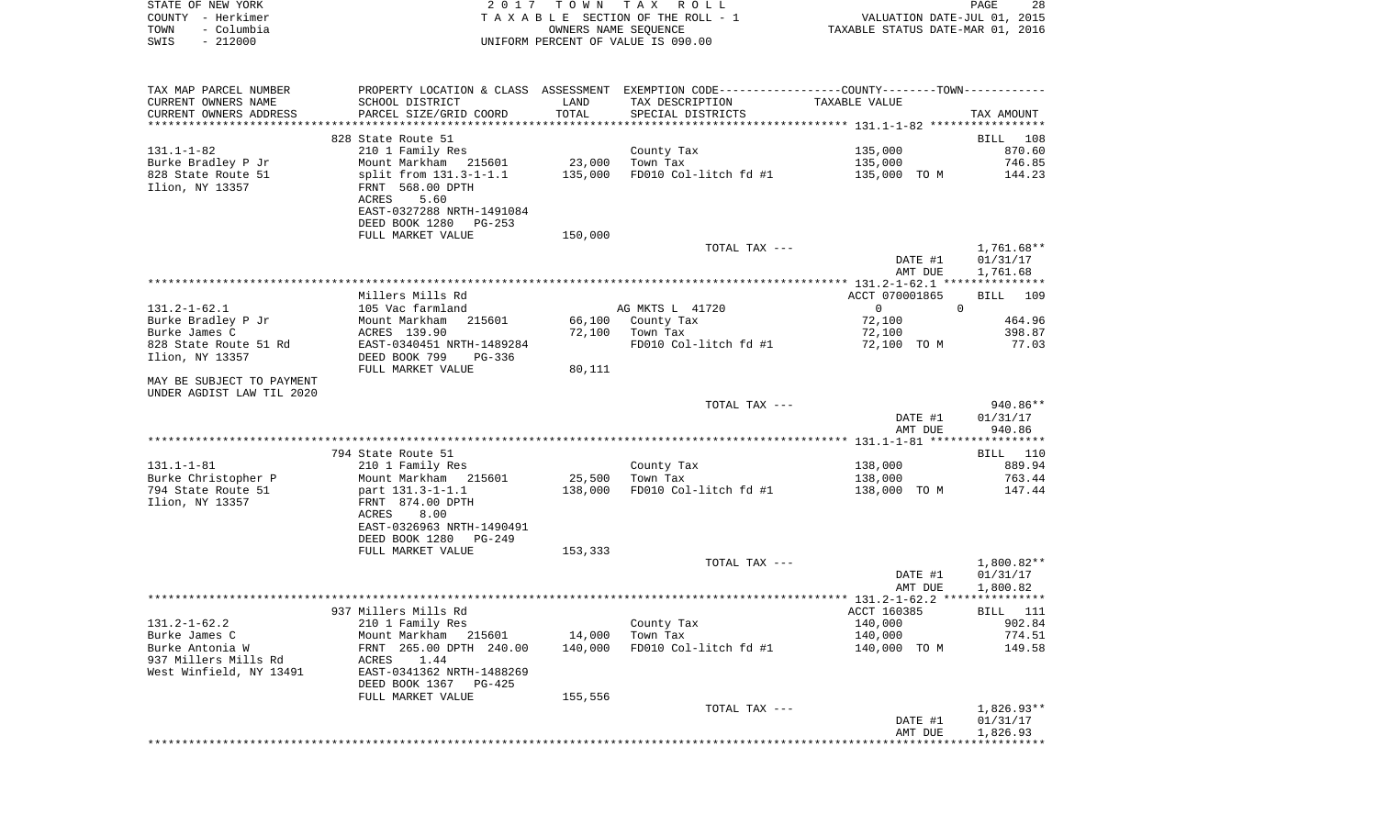| STATE OF NEW YORK  | 2017 TOWN TAX ROLL                 | 28<br>PAGE                       |
|--------------------|------------------------------------|----------------------------------|
| COUNTY – Herkimer  | TAXABLE SECTION OF THE ROLL - 1    | VALUATION DATE-JUL 01, 2015      |
| - Columbia<br>TOWN | OWNERS NAME SEOUENCE               | TAXABLE STATUS DATE-MAR 01, 2016 |
| - 212000<br>SWIS   | UNIFORM PERCENT OF VALUE IS 090.00 |                                  |

| TAX MAP PARCEL NUMBER     |                            |         | PROPERTY LOCATION & CLASS ASSESSMENT EXEMPTION CODE---------------COUNTY-------TOWN---------- |                   |                 |
|---------------------------|----------------------------|---------|-----------------------------------------------------------------------------------------------|-------------------|-----------------|
| CURRENT OWNERS NAME       | SCHOOL DISTRICT            | LAND    | TAX DESCRIPTION                                                                               | TAXABLE VALUE     |                 |
| CURRENT OWNERS ADDRESS    | PARCEL SIZE/GRID COORD     | TOTAL   | SPECIAL DISTRICTS                                                                             |                   | TAX AMOUNT      |
|                           |                            |         |                                                                                               |                   |                 |
|                           | 828 State Route 51         |         |                                                                                               |                   | BILL 108        |
| $131.1 - 1 - 82$          | 210 1 Family Res           |         | County Tax                                                                                    | 135,000           | 870.60          |
| Burke Bradley P Jr        | Mount Markham 215601       | 23,000  | Town Tax                                                                                      | 135,000           | 746.85          |
| 828 State Route 51        | split from 131.3-1-1.1     | 135,000 | FD010 Col-litch fd #1                                                                         | 135,000 TO M      | 144.23          |
| Ilion, NY 13357           | FRNT 568.00 DPTH           |         |                                                                                               |                   |                 |
|                           | 5.60<br>ACRES              |         |                                                                                               |                   |                 |
|                           | EAST-0327288 NRTH-1491084  |         |                                                                                               |                   |                 |
|                           | DEED BOOK 1280<br>PG-253   |         |                                                                                               |                   |                 |
|                           | FULL MARKET VALUE          | 150,000 |                                                                                               |                   |                 |
|                           |                            |         | TOTAL TAX ---                                                                                 |                   | $1,761.68**$    |
|                           |                            |         |                                                                                               | DATE #1           | 01/31/17        |
|                           |                            |         |                                                                                               | AMT DUE           | 1,761.68        |
|                           |                            |         |                                                                                               |                   |                 |
|                           | Millers Mills Rd           |         |                                                                                               | ACCT 070001865    | BILL 109        |
| $131.2 - 1 - 62.1$        | 105 Vac farmland           |         | AG MKTS L 41720                                                                               | $0 \qquad \qquad$ | $\Omega$        |
| Burke Bradley P Jr        | Mount Markham 215601       |         | 66,100 County Tax                                                                             | 72,100            | 464.96          |
| Burke James C             | ACRES 139.90               |         | 72,100 Town Tax                                                                               | 72,100            | 398.87          |
| 828 State Route 51 Rd     | EAST-0340451 NRTH-1489284  |         | FD010 Col-litch fd #1                                                                         | 72,100 TO M       | 77.03           |
| Ilion, NY 13357           | DEED BOOK 799<br>PG-336    |         |                                                                                               |                   |                 |
|                           | FULL MARKET VALUE          | 80,111  |                                                                                               |                   |                 |
| MAY BE SUBJECT TO PAYMENT |                            |         |                                                                                               |                   |                 |
| UNDER AGDIST LAW TIL 2020 |                            |         |                                                                                               |                   |                 |
|                           |                            |         | TOTAL TAX ---                                                                                 |                   | 940.86**        |
|                           |                            |         |                                                                                               | DATE #1           | 01/31/17        |
|                           |                            |         |                                                                                               | AMT DUE           | 940.86          |
|                           |                            |         |                                                                                               |                   |                 |
|                           | 794 State Route 51         |         |                                                                                               |                   | BILL 110        |
| $131.1 - 1 - 81$          | 210 1 Family Res           |         | County Tax                                                                                    | 138,000           | 889.94          |
| Burke Christopher P       | Mount Markham 215601       |         | 25,500 Town Tax                                                                               | 138,000           | 763.44          |
| 794 State Route 51        | part 131.3-1-1.1           | 138,000 | FD010 Col-litch fd #1                                                                         | 138,000 TO M      | 147.44          |
| Ilion, NY 13357           | FRNT 874.00 DPTH           |         |                                                                                               |                   |                 |
|                           | 8.00<br>ACRES              |         |                                                                                               |                   |                 |
|                           | EAST-0326963 NRTH-1490491  |         |                                                                                               |                   |                 |
|                           | DEED BOOK 1280<br>$PG-249$ |         |                                                                                               |                   |                 |
|                           | FULL MARKET VALUE          | 153,333 |                                                                                               |                   |                 |
|                           |                            |         | TOTAL TAX ---                                                                                 |                   | $1,800.82**$    |
|                           |                            |         |                                                                                               | DATE #1           | 01/31/17        |
|                           |                            |         |                                                                                               | AMT DUE           | 1,800.82        |
|                           |                            |         |                                                                                               |                   |                 |
|                           | 937 Millers Mills Rd       |         |                                                                                               | ACCT 160385       | <b>BILL</b> 111 |
| $131.2 - 1 - 62.2$        | 210 1 Family Res           |         | County Tax                                                                                    | 140,000           | 902.84          |
| Burke James C             | Mount Markham 215601       |         | 14,000 Town Tax                                                                               | 140,000           | 774.51          |
| Burke Antonia W           | FRNT 265.00 DPTH 240.00    | 140,000 | FD010 Col-litch fd #1                                                                         | 140,000 TO M      | 149.58          |
| 937 Millers Mills Rd      | ACRES 1.44                 |         |                                                                                               |                   |                 |
| West Winfield, NY 13491   | EAST-0341362 NRTH-1488269  |         |                                                                                               |                   |                 |
|                           | DEED BOOK 1367 PG-425      |         |                                                                                               |                   |                 |
|                           | FULL MARKET VALUE          | 155,556 |                                                                                               |                   |                 |
|                           |                            |         | TOTAL TAX ---                                                                                 |                   | 1,826.93**      |
|                           |                            |         |                                                                                               | DATE #1           | 01/31/17        |
|                           |                            |         |                                                                                               | AMT DUE           | 1,826.93        |
|                           |                            |         |                                                                                               |                   |                 |
|                           |                            |         |                                                                                               |                   |                 |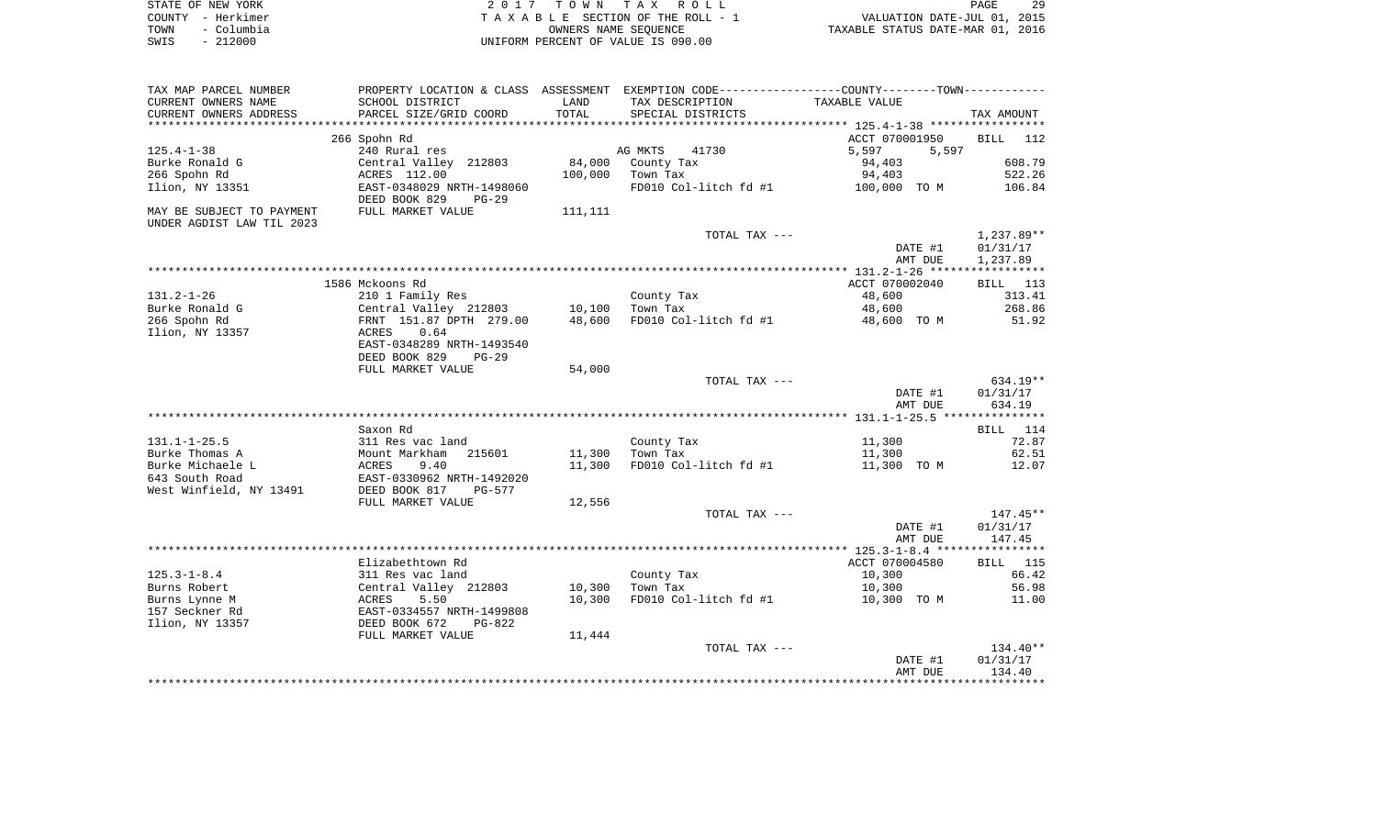| STATE OF NEW YORK  | 2017 TOWN TAX ROLL                 | 29<br>PAGE                       |
|--------------------|------------------------------------|----------------------------------|
| COUNTY - Herkimer  | TAXABLE SECTION OF THE ROLL - 1    | VALUATION DATE-JUL 01, 2015      |
| - Columbia<br>TOWN | OWNERS NAME SEOUENCE               | TAXABLE STATUS DATE-MAR 01, 2016 |
| - 212000<br>SWIS   | UNIFORM PERCENT OF VALUE IS 090.00 |                                  |

| TAX MAP PARCEL NUMBER     |                                                                        |         | PROPERTY LOCATION & CLASS ASSESSMENT EXEMPTION CODE---------------COUNTY-------TOWN---------- |                    |                                    |
|---------------------------|------------------------------------------------------------------------|---------|-----------------------------------------------------------------------------------------------|--------------------|------------------------------------|
| CURRENT OWNERS NAME       | SCHOOL DISTRICT                                                        | LAND    | TAX DESCRIPTION                                                                               | TAXABLE VALUE      |                                    |
| CURRENT OWNERS ADDRESS    | PARCEL SIZE/GRID COORD                                                 | TOTAL   | SPECIAL DISTRICTS                                                                             |                    | TAX AMOUNT                         |
| *********************     | **************************                                             |         |                                                                                               |                    |                                    |
|                           | 266 Spohn Rd                                                           |         |                                                                                               | ACCT 070001950     | <b>BILL</b><br>112                 |
| $125.4 - 1 - 38$          | 240 Rural res                                                          |         | AG MKTS<br>41730                                                                              | 5,597<br>5,597     |                                    |
| Burke Ronald G            | Central Valley 212803                                                  | 84,000  | County Tax                                                                                    | 94,403             | 608.79                             |
| 266 Spohn Rd              | ACRES 112.00                                                           | 100,000 | Town Tax                                                                                      | 94,403             | 522.26                             |
| Ilion, NY 13351           | EAST-0348029 NRTH-1498060<br>DEED BOOK 829<br>$PG-29$                  |         | FD010 Col-litch fd #1                                                                         | 100,000 TO M       | 106.84                             |
| MAY BE SUBJECT TO PAYMENT | FULL MARKET VALUE                                                      | 111,111 |                                                                                               |                    |                                    |
| UNDER AGDIST LAW TIL 2023 |                                                                        |         |                                                                                               |                    |                                    |
|                           |                                                                        |         | TOTAL TAX ---                                                                                 | DATE #1<br>AMT DUE | 1,237.89**<br>01/31/17<br>1,237.89 |
|                           |                                                                        |         |                                                                                               |                    |                                    |
|                           | 1586 Mckoons Rd                                                        |         |                                                                                               | ACCT 070002040     | BILL 113                           |
| $131.2 - 1 - 26$          | 210 1 Family Res                                                       |         | County Tax                                                                                    | 48,600             | 313.41                             |
| Burke Ronald G            | Central Valley 212803                                                  | 10,100  | Town Tax                                                                                      | 48,600             | 268.86                             |
| 266 Spohn Rd              | FRNT 151.87 DPTH 279.00                                                | 48,600  | FD010 Col-litch fd #1                                                                         | 48,600 TO M        | 51.92                              |
| Ilion, NY 13357           | 0.64<br>ACRES<br>EAST-0348289 NRTH-1493540<br>DEED BOOK 829<br>$PG-29$ |         |                                                                                               |                    |                                    |
|                           | FULL MARKET VALUE                                                      | 54,000  |                                                                                               |                    |                                    |
|                           |                                                                        |         | TOTAL TAX ---                                                                                 |                    | $634.19**$                         |
|                           |                                                                        |         |                                                                                               | DATE #1            | 01/31/17                           |
|                           |                                                                        |         |                                                                                               | AMT DUE            | 634.19                             |
|                           |                                                                        |         |                                                                                               |                    |                                    |
|                           | Saxon Rd                                                               |         |                                                                                               |                    | BILL 114                           |
| $131.1 - 1 - 25.5$        | 311 Res vac land                                                       |         | County Tax                                                                                    | 11,300             | 72.87                              |
| Burke Thomas A            | Mount Markham<br>215601                                                | 11,300  | Town Tax                                                                                      | 11,300             | 62.51                              |
| Burke Michaele L          | ACRES<br>9.40                                                          | 11,300  | FD010 Col-litch fd #1                                                                         | 11,300 TO M        | 12.07                              |
| 643 South Road            | EAST-0330962 NRTH-1492020                                              |         |                                                                                               |                    |                                    |
| West Winfield, NY 13491   | DEED BOOK 817<br><b>PG-577</b>                                         |         |                                                                                               |                    |                                    |
|                           | FULL MARKET VALUE                                                      | 12,556  |                                                                                               |                    |                                    |
|                           |                                                                        |         | TOTAL TAX ---                                                                                 |                    | $147.45**$                         |
|                           |                                                                        |         |                                                                                               | DATE #1            | 01/31/17                           |
|                           |                                                                        |         |                                                                                               | AMT DUE            | 147.45                             |
|                           |                                                                        |         |                                                                                               |                    |                                    |
|                           | Elizabethtown Rd                                                       |         |                                                                                               | ACCT 070004580     | BILL 115                           |
| $125.3 - 1 - 8.4$         | 311 Res vac land                                                       |         | County Tax                                                                                    | 10,300             | 66.42                              |
| Burns Robert              | Central Valley 212803                                                  | 10,300  | Town Tax                                                                                      | 10,300             | 56.98                              |
| Burns Lynne M             | 5.50<br>ACRES                                                          | 10,300  | FD010 Col-litch fd #1                                                                         | 10,300 TO M        | 11.00                              |
| 157 Seckner Rd            | EAST-0334557 NRTH-1499808                                              |         |                                                                                               |                    |                                    |
| Ilion, NY 13357           | DEED BOOK 672<br>$PG-822$                                              |         |                                                                                               |                    |                                    |
|                           | FULL MARKET VALUE                                                      | 11,444  |                                                                                               |                    |                                    |
|                           |                                                                        |         | TOTAL TAX ---                                                                                 |                    | 134.40**                           |
|                           |                                                                        |         |                                                                                               | DATE #1            | 01/31/17                           |
|                           |                                                                        |         |                                                                                               | AMT DUE            | 134.40                             |
|                           |                                                                        |         |                                                                                               |                    |                                    |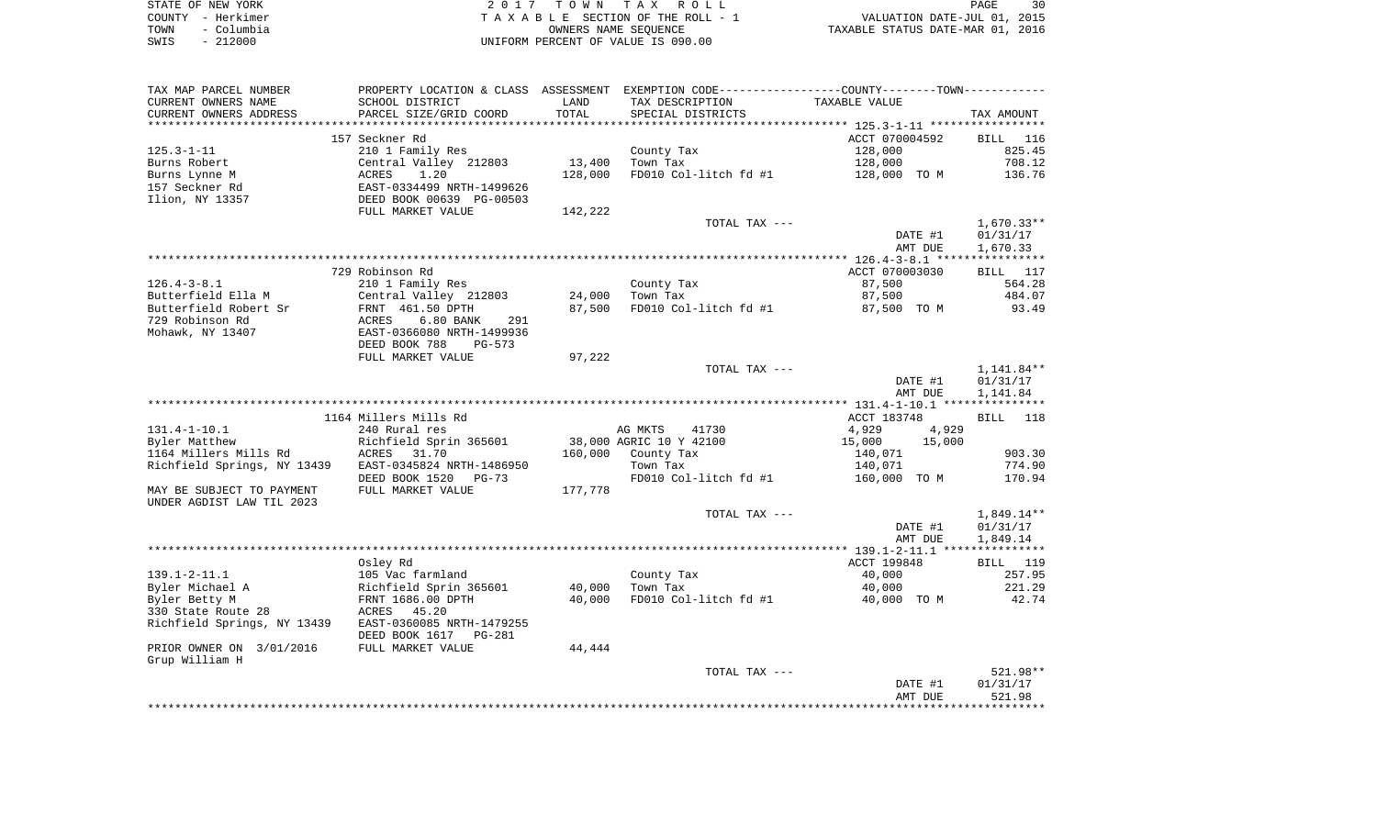|      | STATE OF NEW YORK | 2017 TOWN TAX ROLL                 | PAGE                             |  |
|------|-------------------|------------------------------------|----------------------------------|--|
|      | COUNTY - Herkimer | TAXABLE SECTION OF THE ROLL - 1    | VALUATION DATE-JUL 01, 2015      |  |
| TOWN | - Columbia        | OWNERS NAME SEOUENCE               | TAXABLE STATUS DATE-MAR 01, 2016 |  |
| SWIS | $-212000$         | UNIFORM PERCENT OF VALUE IS 090.00 |                                  |  |

|                                                                                                                                                           | Osley Rd<br>105 Vac farmland<br>Richfield Sprin 365601<br>FRNT 1686.00 DPTH<br>ACRES<br>45.20<br>EAST-0360085 NRTH-1479255<br>DEED BOOK 1617<br>PG-281<br>FULL MARKET VALUE | 40,000<br>40,000<br>44,444 | County Tax<br>Town Tax<br>FD010 Col-litch fd #1<br>TOTAL TAX --- | ACCT 199848<br>40,000<br>40,000<br>40,000 TO M<br>DATE #1<br>AMT DUE                             | BILL 119<br>257.95<br>221.29<br>42.74<br>521.98**<br>01/31/17<br>521.98 |
|-----------------------------------------------------------------------------------------------------------------------------------------------------------|-----------------------------------------------------------------------------------------------------------------------------------------------------------------------------|----------------------------|------------------------------------------------------------------|--------------------------------------------------------------------------------------------------|-------------------------------------------------------------------------|
| $139.1 - 2 - 11.1$<br>Byler Michael A<br>Byler Betty M<br>330 State Route 28<br>Richfield Springs, NY 13439<br>PRIOR OWNER ON 3/01/2016<br>Grup William H |                                                                                                                                                                             |                            |                                                                  |                                                                                                  |                                                                         |
|                                                                                                                                                           |                                                                                                                                                                             |                            |                                                                  |                                                                                                  |                                                                         |
|                                                                                                                                                           |                                                                                                                                                                             |                            |                                                                  |                                                                                                  |                                                                         |
|                                                                                                                                                           |                                                                                                                                                                             |                            |                                                                  |                                                                                                  |                                                                         |
|                                                                                                                                                           |                                                                                                                                                                             |                            |                                                                  |                                                                                                  |                                                                         |
|                                                                                                                                                           |                                                                                                                                                                             |                            |                                                                  |                                                                                                  |                                                                         |
|                                                                                                                                                           |                                                                                                                                                                             |                            |                                                                  |                                                                                                  |                                                                         |
|                                                                                                                                                           |                                                                                                                                                                             |                            |                                                                  |                                                                                                  |                                                                         |
|                                                                                                                                                           |                                                                                                                                                                             |                            |                                                                  |                                                                                                  |                                                                         |
|                                                                                                                                                           |                                                                                                                                                                             |                            |                                                                  |                                                                                                  |                                                                         |
|                                                                                                                                                           |                                                                                                                                                                             |                            |                                                                  |                                                                                                  |                                                                         |
|                                                                                                                                                           |                                                                                                                                                                             |                            |                                                                  | AMT DUE                                                                                          | 1,849.14                                                                |
|                                                                                                                                                           |                                                                                                                                                                             |                            |                                                                  | DATE #1                                                                                          | 01/31/17                                                                |
|                                                                                                                                                           |                                                                                                                                                                             |                            | TOTAL TAX ---                                                    |                                                                                                  | 1,849.14**                                                              |
| UNDER AGDIST LAW TIL 2023                                                                                                                                 |                                                                                                                                                                             |                            |                                                                  |                                                                                                  |                                                                         |
| MAY BE SUBJECT TO PAYMENT                                                                                                                                 | FULL MARKET VALUE                                                                                                                                                           | 177,778                    |                                                                  |                                                                                                  |                                                                         |
|                                                                                                                                                           | DEED BOOK 1520<br>$PG-73$                                                                                                                                                   |                            | FD010 Col-litch fd #1                                            | 160,000 TO M                                                                                     | 170.94                                                                  |
| Richfield Springs, NY 13439                                                                                                                               | EAST-0345824 NRTH-1486950                                                                                                                                                   |                            | Town Tax                                                         | 140,071                                                                                          | 774.90                                                                  |
| 1164 Millers Mills Rd                                                                                                                                     | Richfield Sprin 365601<br>ACRES 31.70                                                                                                                                       |                            | 160,000 County Tax                                               | 140,071                                                                                          | 903.30                                                                  |
| Byler Matthew                                                                                                                                             |                                                                                                                                                                             |                            | 38,000 AGRIC 10 Y 42100                                          | 15,000<br>15,000                                                                                 |                                                                         |
| $131.4 - 1 - 10.1$                                                                                                                                        | 240 Rural res                                                                                                                                                               |                            | AG MKTS<br>41730                                                 | 4,929<br>4,929                                                                                   |                                                                         |
|                                                                                                                                                           | 1164 Millers Mills Rd                                                                                                                                                       |                            |                                                                  | ACCT 183748                                                                                      | BILL 118                                                                |
|                                                                                                                                                           |                                                                                                                                                                             |                            |                                                                  |                                                                                                  |                                                                         |
|                                                                                                                                                           |                                                                                                                                                                             |                            |                                                                  | AMT DUE                                                                                          | 1,141.84                                                                |
|                                                                                                                                                           |                                                                                                                                                                             |                            |                                                                  | DATE #1                                                                                          | 01/31/17                                                                |
|                                                                                                                                                           |                                                                                                                                                                             |                            | TOTAL TAX ---                                                    |                                                                                                  | 1,141.84**                                                              |
|                                                                                                                                                           | FULL MARKET VALUE                                                                                                                                                           | 97,222                     |                                                                  |                                                                                                  |                                                                         |
|                                                                                                                                                           | DEED BOOK 788<br>$PG-573$                                                                                                                                                   |                            |                                                                  |                                                                                                  |                                                                         |
| Mohawk, NY 13407                                                                                                                                          | EAST-0366080 NRTH-1499936                                                                                                                                                   |                            |                                                                  |                                                                                                  |                                                                         |
| 729 Robinson Rd                                                                                                                                           | ACRES<br>6.80 BANK<br>291                                                                                                                                                   |                            |                                                                  |                                                                                                  |                                                                         |
| Butterfield Robert Sr                                                                                                                                     | FRNT 461.50 DPTH                                                                                                                                                            | 87,500                     | FD010 Col-litch fd #1                                            | 87,500 TO M                                                                                      | 93.49                                                                   |
| Butterfield Ella M                                                                                                                                        | Central Valley 212803                                                                                                                                                       | 24,000                     | Town Tax                                                         | 87,500                                                                                           | 484.07                                                                  |
| $126.4 - 3 - 8.1$                                                                                                                                         | 210 1 Family Res                                                                                                                                                            |                            | County Tax                                                       | 87,500                                                                                           | 564.28                                                                  |
|                                                                                                                                                           | 729 Robinson Rd                                                                                                                                                             |                            |                                                                  | ACCT 070003030                                                                                   | BILL 117                                                                |
|                                                                                                                                                           |                                                                                                                                                                             |                            |                                                                  |                                                                                                  |                                                                         |
|                                                                                                                                                           |                                                                                                                                                                             |                            |                                                                  | DATE #1<br>AMT DUE                                                                               | 1,670.33                                                                |
|                                                                                                                                                           |                                                                                                                                                                             |                            | TOTAL TAX ---                                                    |                                                                                                  | $1,670.33**$<br>01/31/17                                                |
|                                                                                                                                                           | FULL MARKET VALUE                                                                                                                                                           | 142,222                    |                                                                  |                                                                                                  |                                                                         |
| Ilion, NY 13357                                                                                                                                           | DEED BOOK 00639 PG-00503                                                                                                                                                    |                            |                                                                  |                                                                                                  |                                                                         |
| 157 Seckner Rd                                                                                                                                            | EAST-0334499 NRTH-1499626                                                                                                                                                   |                            |                                                                  |                                                                                                  |                                                                         |
| Burns Lynne M                                                                                                                                             | ACRES<br>1.20                                                                                                                                                               | 128,000                    | FD010 Col-litch fd #1                                            | 128,000 TO M                                                                                     | 136.76                                                                  |
| Burns Robert                                                                                                                                              | Central Valley 212803                                                                                                                                                       | 13,400                     | Town Tax                                                         | 128,000                                                                                          | 708.12                                                                  |
| 125.3-1-11                                                                                                                                                | 210 1 Family Res                                                                                                                                                            |                            | County Tax                                                       | 128,000                                                                                          | 825.45                                                                  |
|                                                                                                                                                           | 157 Seckner Rd                                                                                                                                                              |                            |                                                                  | ACCT 070004592                                                                                   | BILL 116                                                                |
|                                                                                                                                                           |                                                                                                                                                                             |                            |                                                                  |                                                                                                  |                                                                         |
|                                                                                                                                                           | PARCEL SIZE/GRID COORD                                                                                                                                                      | TOTAL                      | SPECIAL DISTRICTS                                                |                                                                                                  | TAX AMOUNT                                                              |
|                                                                                                                                                           | SCHOOL DISTRICT                                                                                                                                                             | LAND                       | TAX DESCRIPTION                                                  | TAXABLE VALUE                                                                                    |                                                                         |
| CURRENT OWNERS NAME<br>CURRENT OWNERS ADDRESS                                                                                                             |                                                                                                                                                                             |                            |                                                                  | PROPERTY LOCATION & CLASS ASSESSMENT EXEMPTION CODE----------------COUNTY--------TOWN----------- |                                                                         |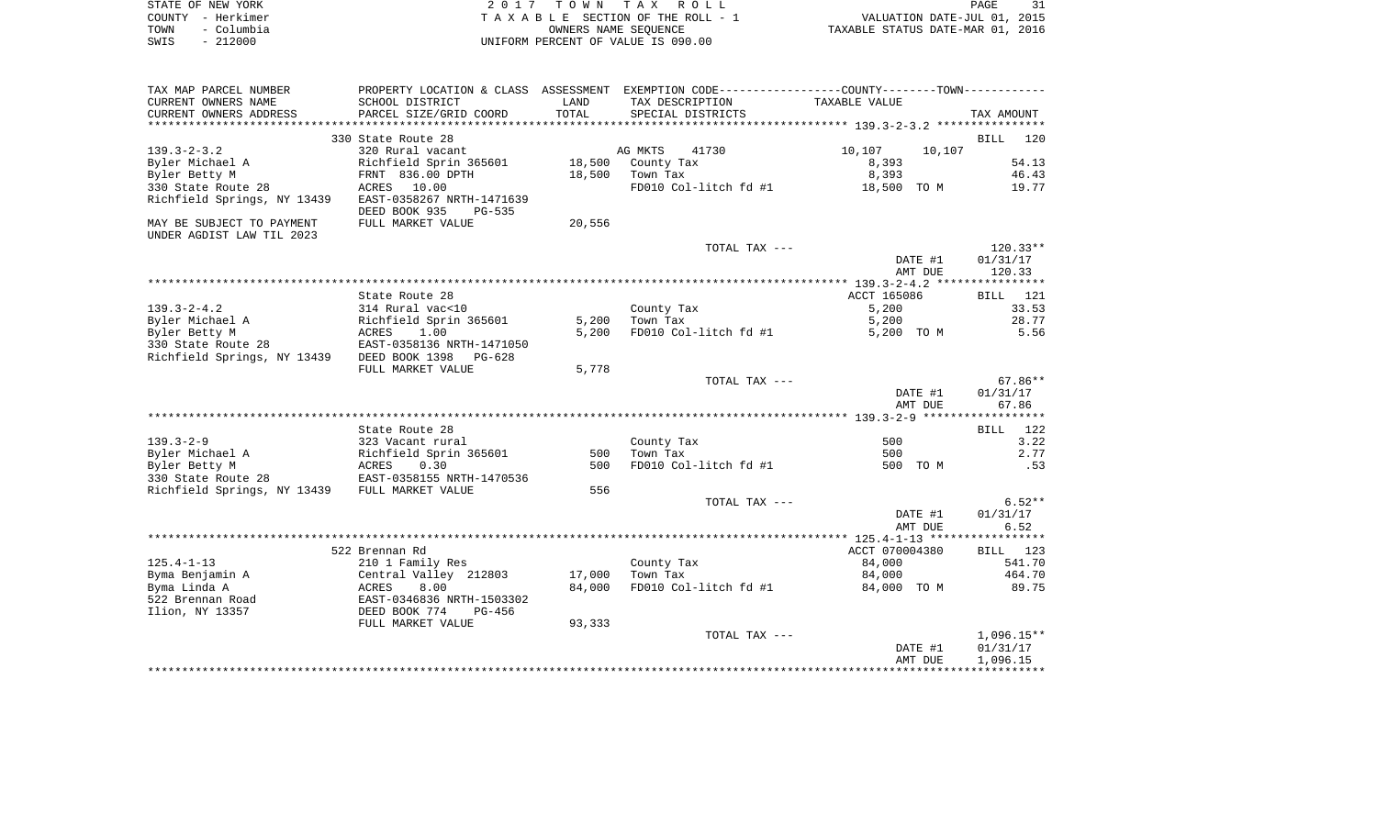|      | STATE OF NEW YORK | 2017 TOWN TAX ROLL                 | PAGE                             |  |
|------|-------------------|------------------------------------|----------------------------------|--|
|      | COUNTY - Herkimer | TAXABLE SECTION OF THE ROLL - 1    | VALUATION DATE-JUL 01, 2015      |  |
| TOWN | - Columbia        | OWNERS NAME SEOUENCE               | TAXABLE STATUS DATE-MAR 01, 2016 |  |
| SWIS | $-212000$         | UNIFORM PERCENT OF VALUE IS 090.00 |                                  |  |

| TAX MAP PARCEL NUMBER       | PROPERTY LOCATION & CLASS ASSESSMENT EXEMPTION CODE---------------COUNTY-------TOWN---------- |        |                       |                  |              |
|-----------------------------|-----------------------------------------------------------------------------------------------|--------|-----------------------|------------------|--------------|
| CURRENT OWNERS NAME         | SCHOOL DISTRICT                                                                               | LAND   | TAX DESCRIPTION       | TAXABLE VALUE    |              |
| CURRENT OWNERS ADDRESS      | PARCEL SIZE/GRID COORD                                                                        | TOTAL  | SPECIAL DISTRICTS     |                  | TAX AMOUNT   |
| ***********************     | ******************************                                                                |        |                       |                  |              |
|                             | 330 State Route 28                                                                            |        |                       |                  | BILL<br>120  |
| $139.3 - 2 - 3.2$           | 320 Rural vacant                                                                              |        | AG MKTS<br>41730      | 10,107<br>10,107 |              |
| Byler Michael A             | Richfield Sprin 365601                                                                        | 18,500 | County Tax            | 8,393            | 54.13        |
| Byler Betty M               | FRNT 836.00 DPTH                                                                              | 18,500 | Town Tax              | 8,393            | 46.43        |
| 330 State Route 28          | ACRES 10.00                                                                                   |        | FD010 Col-litch fd #1 | 18,500 TO M      | 19.77        |
| Richfield Springs, NY 13439 | EAST-0358267 NRTH-1471639                                                                     |        |                       |                  |              |
|                             | DEED BOOK 935<br>PG-535                                                                       |        |                       |                  |              |
|                             | FULL MARKET VALUE                                                                             | 20,556 |                       |                  |              |
| MAY BE SUBJECT TO PAYMENT   |                                                                                               |        |                       |                  |              |
| UNDER AGDIST LAW TIL 2023   |                                                                                               |        |                       |                  |              |
|                             |                                                                                               |        | TOTAL TAX ---         |                  | $120.33**$   |
|                             |                                                                                               |        |                       | DATE #1          | 01/31/17     |
|                             |                                                                                               |        |                       | AMT DUE          | 120.33       |
|                             |                                                                                               |        |                       |                  |              |
|                             | State Route 28                                                                                |        |                       | ACCT 165086      | BILL 121     |
| $139.3 - 2 - 4.2$           | 314 Rural vac<10                                                                              |        | County Tax            | 5,200            | 33.53        |
| Byler Michael A             | Richfield Sprin 365601                                                                        | 5,200  | Town Tax              | 5,200            | 28.77        |
| Byler Betty M               | 1.00<br>ACRES                                                                                 | 5,200  | FD010 Col-litch fd #1 | 5,200 TO M       | 5.56         |
| 330 State Route 28          | EAST-0358136 NRTH-1471050                                                                     |        |                       |                  |              |
| Richfield Springs, NY 13439 | DEED BOOK 1398<br>$PG-628$                                                                    |        |                       |                  |              |
|                             | FULL MARKET VALUE                                                                             | 5,778  |                       |                  |              |
|                             |                                                                                               |        | TOTAL TAX ---         |                  | $67.86**$    |
|                             |                                                                                               |        |                       | DATE #1          | 01/31/17     |
|                             |                                                                                               |        |                       | AMT DUE          | 67.86        |
|                             |                                                                                               |        |                       |                  |              |
|                             | State Route 28                                                                                |        |                       |                  | BILL 122     |
| $139.3 - 2 - 9$             | 323 Vacant rural                                                                              |        | County Tax            | 500              | 3.22         |
| Byler Michael A             | Richfield Sprin 365601                                                                        | 500    | Town Tax              | 500              | 2.77         |
| Byler Betty M               | 0.30<br>ACRES                                                                                 | 500    | FD010 Col-litch fd #1 | 500 TO M         | .53          |
| 330 State Route 28          | EAST-0358155 NRTH-1470536                                                                     |        |                       |                  |              |
|                             |                                                                                               |        |                       |                  |              |
| Richfield Springs, NY 13439 | FULL MARKET VALUE                                                                             | 556    |                       |                  |              |
|                             |                                                                                               |        | TOTAL TAX ---         |                  | $6.52**$     |
|                             |                                                                                               |        |                       | DATE #1          | 01/31/17     |
|                             |                                                                                               |        |                       | AMT DUE          | 6.52         |
|                             |                                                                                               |        |                       |                  |              |
|                             | 522 Brennan Rd                                                                                |        |                       | ACCT 070004380   | BILL 123     |
| $125.4 - 1 - 13$            | 210 1 Family Res                                                                              |        | County Tax            | 84,000           | 541.70       |
| Byma Benjamin A             | Central Valley 212803                                                                         | 17,000 | Town Tax              | 84,000           | 464.70       |
| Byma Linda A                | 8.00<br>ACRES                                                                                 | 84,000 | FD010 Col-litch fd #1 | 84,000 TO M      | 89.75        |
| 522 Brennan Road            | EAST-0346836 NRTH-1503302                                                                     |        |                       |                  |              |
| Ilion, NY 13357             | DEED BOOK 774<br>$PG-456$                                                                     |        |                       |                  |              |
|                             | FULL MARKET VALUE                                                                             | 93,333 |                       |                  |              |
|                             |                                                                                               |        | TOTAL TAX ---         |                  | $1,096.15**$ |
|                             |                                                                                               |        |                       | DATE #1          | 01/31/17     |
|                             |                                                                                               |        |                       | AMT DUE          | 1,096.15     |
|                             |                                                                                               |        |                       |                  |              |
|                             |                                                                                               |        |                       |                  |              |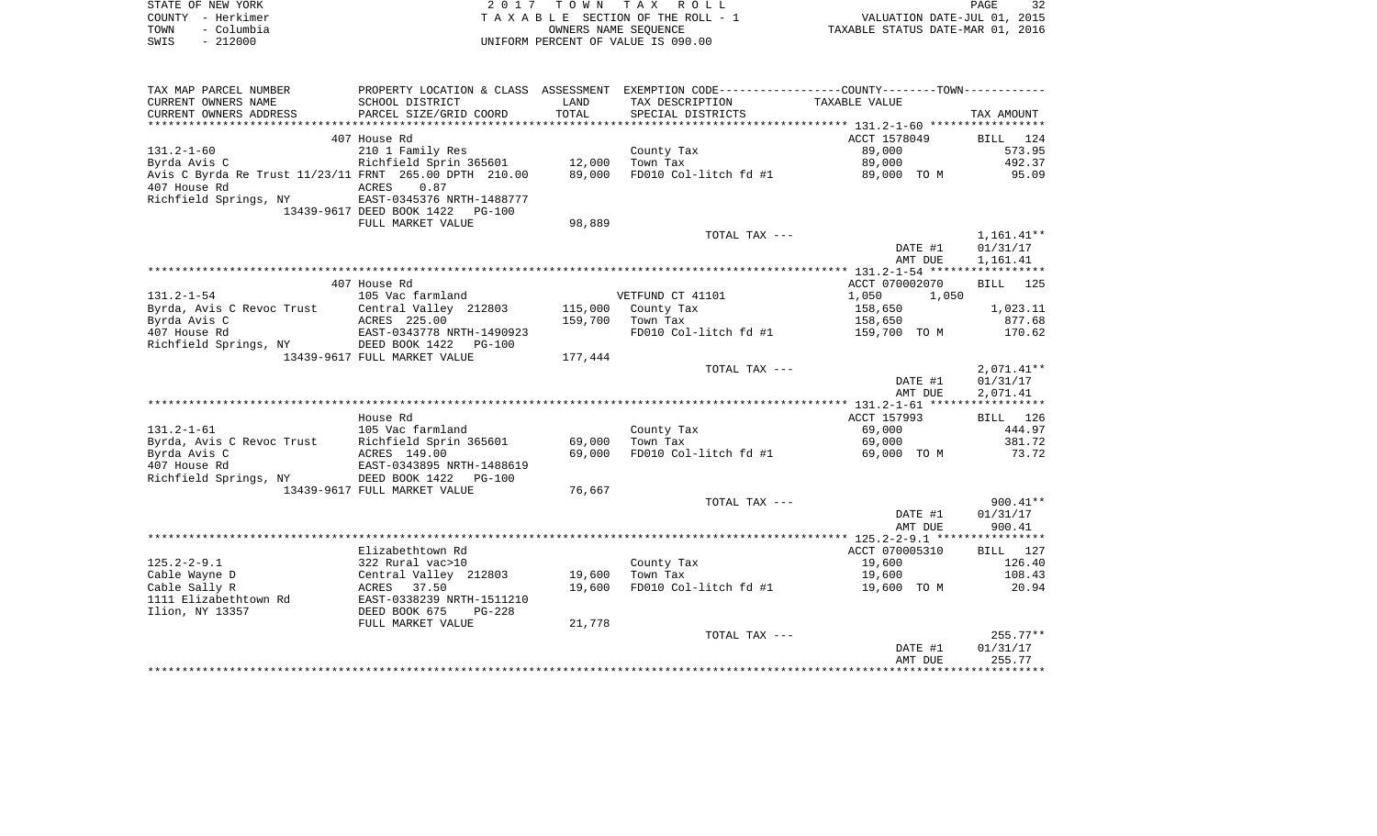| STATE OF NEW YORK  | 2017 TOWN TAX ROLL                 | 32<br>PAGE                       |
|--------------------|------------------------------------|----------------------------------|
| COUNTY – Herkimer  | TAXABLE SECTION OF THE ROLL - 1    | VALUATION DATE-JUL 01, 2015      |
| – Columbia<br>TOWN | OWNERS NAME SEOUENCE               | TAXABLE STATUS DATE-MAR 01, 2016 |
| $-212000$<br>SWIS  | UNIFORM PERCENT OF VALUE IS 090.00 |                                  |

| TAX MAP PARCEL NUMBER                                  | PROPERTY LOCATION & CLASS ASSESSMENT  |         | EXEMPTION CODE-----------------COUNTY-------TOWN----------- |                |              |
|--------------------------------------------------------|---------------------------------------|---------|-------------------------------------------------------------|----------------|--------------|
| CURRENT OWNERS NAME                                    | SCHOOL DISTRICT                       | LAND    | TAX DESCRIPTION                                             | TAXABLE VALUE  |              |
| CURRENT OWNERS ADDRESS                                 | PARCEL SIZE/GRID COORD                | TOTAL   | SPECIAL DISTRICTS                                           |                | TAX AMOUNT   |
| ************************                               | **********************                |         |                                                             |                |              |
|                                                        | 407 House Rd                          |         |                                                             | ACCT 1578049   | BILL<br>124  |
| $131.2 - 1 - 60$                                       | 210 1 Family Res                      |         | County Tax                                                  | 89,000         | 573.95       |
| Byrda Avis C                                           | Richfield Sprin 365601                | 12,000  | Town Tax                                                    | 89,000         | 492.37       |
| Avis C Byrda Re Trust 11/23/11 FRNT 265.00 DPTH 210.00 |                                       | 89,000  | FD010 Col-litch fd #1                                       | 89,000 TO M    | 95.09        |
| 407 House Rd                                           | ACRES<br>0.87                         |         |                                                             |                |              |
| Richfield Springs, NY                                  | EAST-0345376 NRTH-1488777             |         |                                                             |                |              |
|                                                        | 13439-9617 DEED BOOK 1422 PG-100      |         |                                                             |                |              |
|                                                        | FULL MARKET VALUE                     | 98,889  |                                                             |                |              |
|                                                        |                                       |         | TOTAL TAX ---                                               |                | 1,161.41**   |
|                                                        |                                       |         |                                                             | DATE #1        | 01/31/17     |
|                                                        |                                       |         |                                                             | AMT DUE        | 1,161.41     |
|                                                        |                                       |         |                                                             |                |              |
|                                                        | 407 House Rd                          |         |                                                             | ACCT 070002070 | 125<br>BILL  |
| $131.2 - 1 - 54$                                       | 105 Vac farmland                      |         | VETFUND CT 41101                                            | 1,050<br>1,050 |              |
|                                                        |                                       |         |                                                             |                | 1,023.11     |
| Byrda, Avis C Revoc Trust                              | Central Valley 212803<br>ACRES 225.00 | 115,000 | County Tax                                                  | 158,650        | 877.68       |
| Byrda Avis C                                           |                                       | 159,700 | Town Tax                                                    | 158,650        |              |
| 407 House Rd                                           | EAST-0343778 NRTH-1490923             |         | FD010 Col-litch fd #1                                       | 159,700 TO M   | 170.62       |
| Richfield Springs, NY                                  | DEED BOOK 1422<br>PG-100              |         |                                                             |                |              |
|                                                        | 13439-9617 FULL MARKET VALUE          | 177,444 |                                                             |                |              |
|                                                        |                                       |         | TOTAL TAX ---                                               |                | $2,071.41**$ |
|                                                        |                                       |         |                                                             | DATE #1        | 01/31/17     |
|                                                        |                                       |         |                                                             | AMT DUE        | 2,071.41     |
|                                                        |                                       |         |                                                             |                |              |
|                                                        | House Rd                              |         |                                                             | ACCT 157993    | BILL 126     |
| $131.2 - 1 - 61$                                       | 105 Vac farmland                      |         | County Tax                                                  | 69,000         | 444.97       |
| Byrda, Avis C Revoc Trust                              | Richfield Sprin 365601                | 69,000  | Town Tax                                                    | 69,000         | 381.72       |
| Byrda Avis C                                           | ACRES 149.00                          | 69,000  | FD010 Col-litch fd #1                                       | 69,000 TO M    | 73.72        |
| 407 House Rd                                           | EAST-0343895 NRTH-1488619             |         |                                                             |                |              |
| Richfield Springs, NY                                  | DEED BOOK 1422 PG-100                 |         |                                                             |                |              |
|                                                        | 13439-9617 FULL MARKET VALUE          | 76,667  |                                                             |                |              |
|                                                        |                                       |         | TOTAL TAX ---                                               |                | $900.41**$   |
|                                                        |                                       |         |                                                             | DATE #1        | 01/31/17     |
|                                                        |                                       |         |                                                             | AMT DUE        | 900.41       |
|                                                        |                                       |         |                                                             |                |              |
|                                                        | Elizabethtown Rd                      |         |                                                             | ACCT 070005310 | BILL 127     |
| $125.2 - 2 - 9.1$                                      | 322 Rural vac>10                      |         | County Tax                                                  | 19,600         | 126.40       |
| Cable Wayne D                                          | Central Valley 212803                 | 19,600  | Town Tax                                                    | 19,600         | 108.43       |
| Cable Sally R                                          | ACRES 37.50                           | 19,600  | FD010 Col-litch fd #1                                       | 19,600 TO M    | 20.94        |
| 1111 Elizabethtown Rd                                  | EAST-0338239 NRTH-1511210             |         |                                                             |                |              |
| Ilion, NY 13357                                        | DEED BOOK 675<br>$PG-228$             |         |                                                             |                |              |
|                                                        | FULL MARKET VALUE                     | 21,778  |                                                             |                |              |
|                                                        |                                       |         | TOTAL TAX ---                                               |                | $255.77**$   |
|                                                        |                                       |         |                                                             | DATE #1        | 01/31/17     |
|                                                        |                                       |         |                                                             | AMT DUE        | 255.77       |
|                                                        |                                       |         |                                                             |                |              |
|                                                        |                                       |         |                                                             |                |              |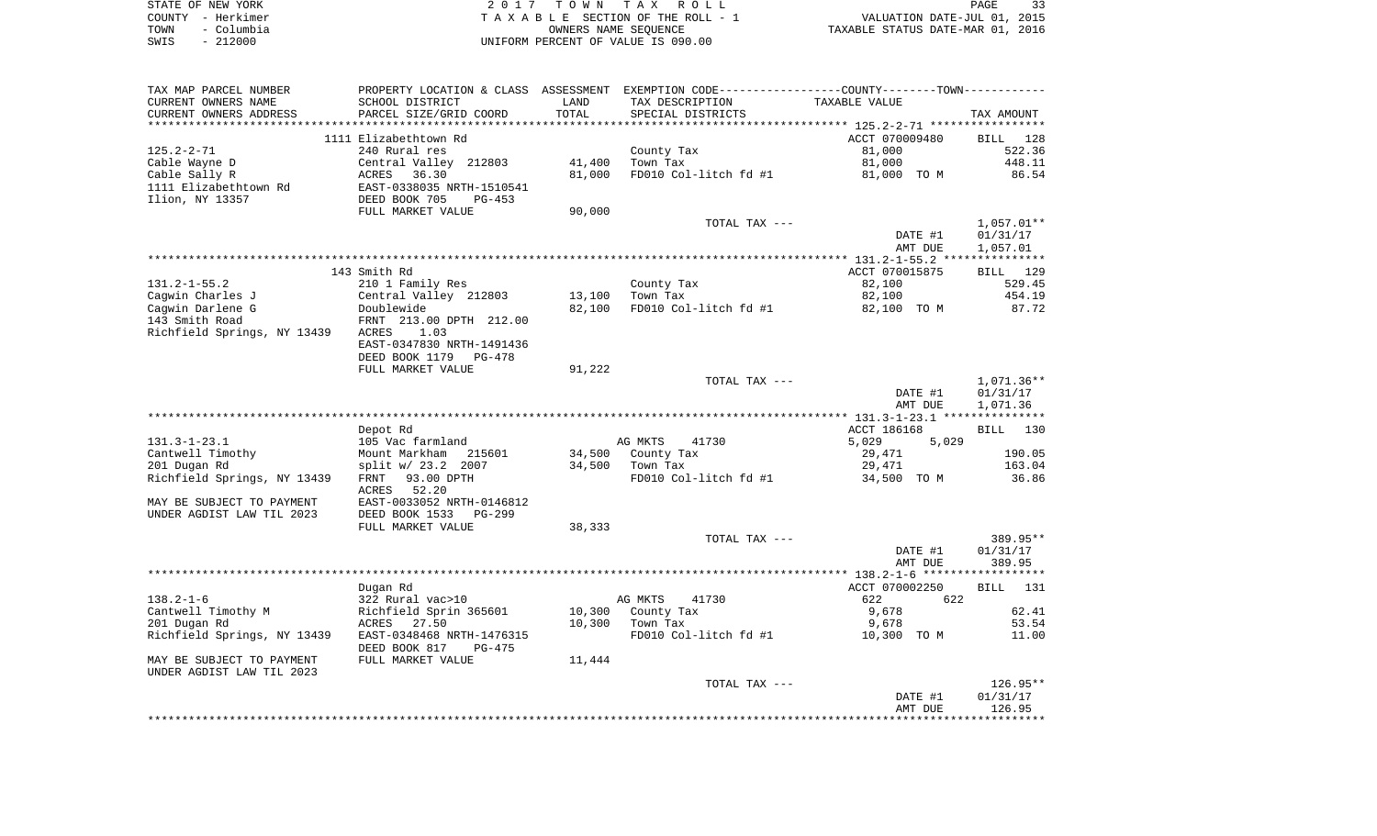| STATE OF NEW YORK  | 2017 TOWN TAX ROLL                 | PAGE                             |
|--------------------|------------------------------------|----------------------------------|
| COUNTY - Herkimer  | TAXABLE SECTION OF THE ROLL - 1    | VALUATION DATE-JUL 01, 2015      |
| - Columbia<br>TOWN | OWNERS NAME SEOUENCE               | TAXABLE STATUS DATE-MAR 01, 2016 |
| - 212000<br>SWIS   | UNIFORM PERCENT OF VALUE IS 090.00 |                                  |

| TAX MAP PARCEL NUMBER              | PROPERTY LOCATION & CLASS ASSESSMENT EXEMPTION CODE---------------COUNTY--------TOWN---------- |                  |                        |                |                    |
|------------------------------------|------------------------------------------------------------------------------------------------|------------------|------------------------|----------------|--------------------|
| CURRENT OWNERS NAME                | SCHOOL DISTRICT                                                                                | LAND             | TAX DESCRIPTION        | TAXABLE VALUE  |                    |
| CURRENT OWNERS ADDRESS             | PARCEL SIZE/GRID COORD                                                                         | TOTAL            | SPECIAL DISTRICTS      |                | TAX AMOUNT         |
|                                    |                                                                                                |                  |                        |                |                    |
|                                    | 1111 Elizabethtown Rd                                                                          |                  |                        | ACCT 070009480 | BILL 128           |
| $125.2 - 2 - 71$                   | 240 Rural res                                                                                  |                  | County Tax             | 81,000         | 522.36             |
| Cable Wayne D                      | Central Valley 212803                                                                          | 41,400           | Town Tax               | 81,000         | 448.11             |
| Cable Sally R                      | ACRES<br>36.30                                                                                 | 81,000           | FD010 Col-litch fd #1  | 81,000 TO M    | 86.54              |
| 1111 Elizabethtown Rd              | EAST-0338035 NRTH-1510541                                                                      |                  |                        |                |                    |
| Ilion, NY 13357                    | DEED BOOK 705<br>$PG-453$                                                                      |                  |                        |                |                    |
|                                    | FULL MARKET VALUE                                                                              | 90,000           |                        |                |                    |
|                                    |                                                                                                |                  | TOTAL TAX ---          |                | $1,057.01**$       |
|                                    |                                                                                                |                  |                        | DATE #1        | 01/31/17           |
|                                    |                                                                                                |                  |                        | AMT DUE        | 1,057.01           |
|                                    | 143 Smith Rd                                                                                   |                  |                        | ACCT 070015875 | BILL 129           |
| $131.2 - 1 - 55.2$                 | 210 1 Family Res                                                                               |                  | County Tax             | 82,100         | 529.45             |
| Caqwin Charles J                   | Central Valley 212803                                                                          | 13,100           | Town Tax               | 82,100         | 454.19             |
| Cagwin Darlene G                   | Doublewide                                                                                     | 82,100           | FD010 Col-litch fd #1  | 82,100 TO M    | 87.72              |
| 143 Smith Road                     | FRNT 213.00 DPTH 212.00                                                                        |                  |                        |                |                    |
| Richfield Springs, NY 13439        | ACRES<br>1.03                                                                                  |                  |                        |                |                    |
|                                    | EAST-0347830 NRTH-1491436                                                                      |                  |                        |                |                    |
|                                    | DEED BOOK 1179<br>PG-478                                                                       |                  |                        |                |                    |
|                                    | FULL MARKET VALUE                                                                              | 91,222           |                        |                |                    |
|                                    |                                                                                                |                  | TOTAL TAX ---          |                | 1,071.36**         |
|                                    |                                                                                                |                  |                        | DATE #1        | 01/31/17           |
|                                    |                                                                                                |                  |                        | AMT DUE        | 1,071.36           |
|                                    |                                                                                                |                  |                        | ACCT 186168    | 130                |
| $131.3 - 1 - 23.1$                 | Depot Rd<br>105 Vac farmland                                                                   |                  | AG MKTS<br>41730       | 5,029<br>5,029 | BILL               |
| Cantwell Timothy                   | Mount Markham 215601                                                                           | 34,500           | County Tax             | 29,471         | 190.05             |
| 201 Dugan Rd                       | split w/ 23.2 2007                                                                             | 34,500           | Town Tax               | 29,471         | 163.04             |
| Richfield Springs, NY 13439        | 93.00 DPTH<br>FRNT                                                                             |                  | FD010 Col-litch fd #1  | 34,500 TO M    | 36.86              |
|                                    | ACRES<br>52.20                                                                                 |                  |                        |                |                    |
| MAY BE SUBJECT TO PAYMENT          | EAST-0033052 NRTH-0146812                                                                      |                  |                        |                |                    |
| UNDER AGDIST LAW TIL 2023          | DEED BOOK 1533<br>PG-299                                                                       |                  |                        |                |                    |
|                                    | FULL MARKET VALUE                                                                              | 38,333           |                        |                |                    |
|                                    |                                                                                                |                  | TOTAL TAX ---          |                | 389.95**           |
|                                    |                                                                                                |                  |                        | DATE #1        | 01/31/17           |
|                                    |                                                                                                |                  |                        | AMT DUE        | 389.95             |
|                                    |                                                                                                |                  |                        |                |                    |
|                                    | Dugan Rd                                                                                       |                  |                        | ACCT 070002250 | <b>BILL</b><br>131 |
| $138.2 - 1 - 6$                    | 322 Rural vac>10                                                                               |                  | AG MKTS<br>41730       | 622<br>622     |                    |
| Cantwell Timothy M<br>201 Dugan Rd | Richfield Sprin 365601<br>ACRES<br>27.50                                                       | 10,300<br>10,300 | County Tax<br>Town Tax | 9,678<br>9,678 | 62.41<br>53.54     |
| Richfield Springs, NY 13439        | EAST-0348468 NRTH-1476315                                                                      |                  | FD010 Col-litch fd #1  | 10,300 TO M    | 11.00              |
|                                    | DEED BOOK 817<br>PG-475                                                                        |                  |                        |                |                    |
| MAY BE SUBJECT TO PAYMENT          | FULL MARKET VALUE                                                                              | 11,444           |                        |                |                    |
| UNDER AGDIST LAW TIL 2023          |                                                                                                |                  |                        |                |                    |
|                                    |                                                                                                |                  | TOTAL TAX ---          |                | $126.95**$         |
|                                    |                                                                                                |                  |                        | DATE #1        | 01/31/17           |
|                                    |                                                                                                |                  |                        | AMT DUE        | 126.95             |
|                                    |                                                                                                |                  |                        |                |                    |
|                                    |                                                                                                |                  |                        |                |                    |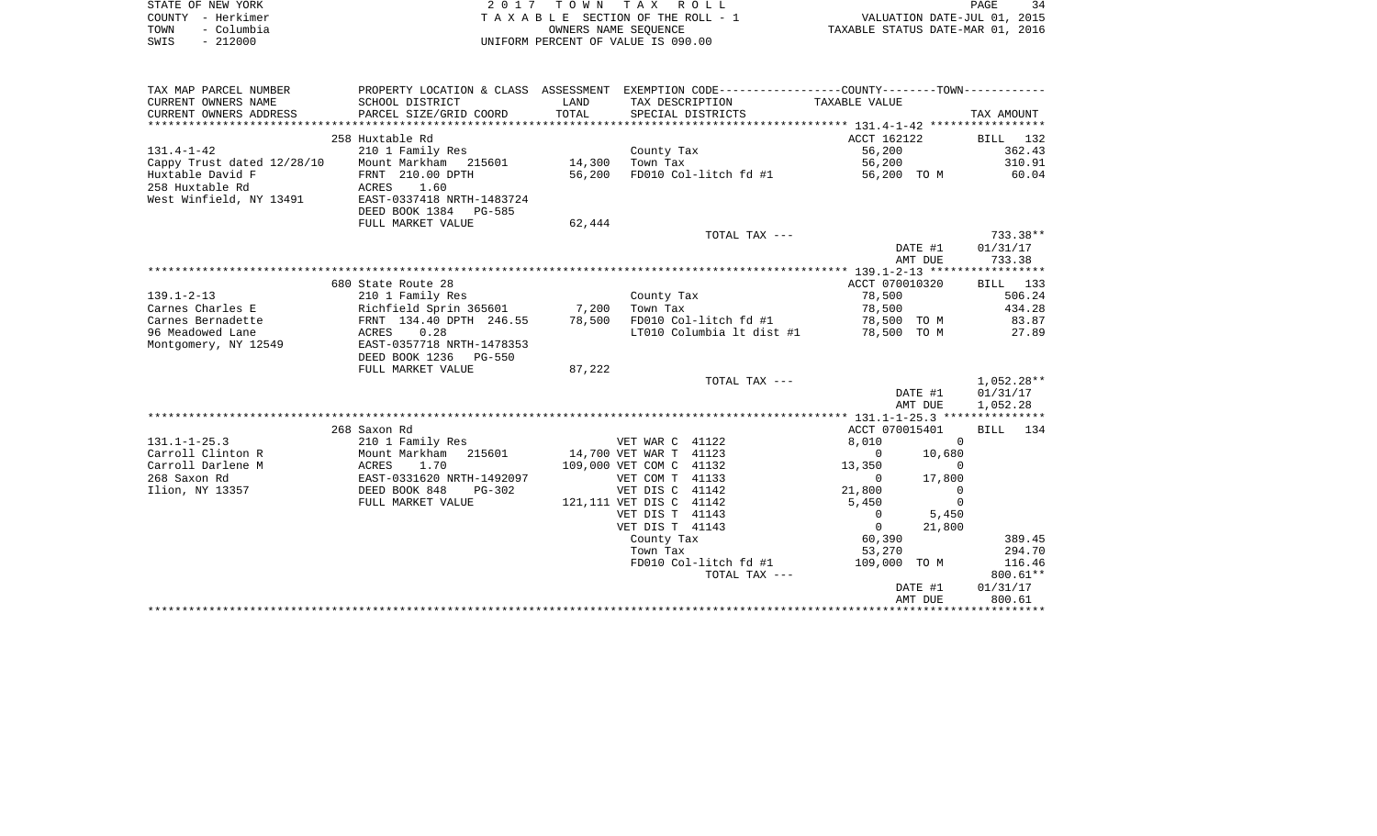|      | STATE OF NEW YORK | 2017 TOWN TAX ROLL                 | 34<br>PAGE                       |  |
|------|-------------------|------------------------------------|----------------------------------|--|
|      | COUNTY - Herkimer | TAXABLE SECTION OF THE ROLL - 1    | VALUATION DATE-JUL 01, 2015      |  |
| TOWN | - Columbia        | OWNERS NAME SEOUENCE               | TAXABLE STATUS DATE-MAR 01, 2016 |  |
| SWIS | - 212000          | UNIFORM PERCENT OF VALUE IS 090.00 |                                  |  |

| TAX MAP PARCEL NUMBER                  | PROPERTY LOCATION & CLASS ASSESSMENT EXEMPTION CODE---------------COUNTY-------TOWN----------                                                               |        |                                                   |                          |                            |
|----------------------------------------|-------------------------------------------------------------------------------------------------------------------------------------------------------------|--------|---------------------------------------------------|--------------------------|----------------------------|
| CURRENT OWNERS NAME                    | SCHOOL DISTRICT                                                                                                                                             | LAND   | TAX DESCRIPTION                                   | TAXABLE VALUE            |                            |
| CURRENT OWNERS ADDRESS                 | PARCEL SIZE/GRID COORD                                                                                                                                      | TOTAL  | SPECIAL DISTRICTS                                 |                          | TAX AMOUNT                 |
|                                        |                                                                                                                                                             |        |                                                   |                          |                            |
|                                        | 258 Huxtable Rd                                                                                                                                             |        |                                                   | ACCT 162122              | BILL 132                   |
| $131.4 - 1 - 42$                       | 210 1 Family Res                                                                                                                                            |        | County Tax                                        | 56,200                   | 362.43                     |
|                                        | Cappy Trust dated 12/28/10 Mount Markham 215601                                                                                                             | 14,300 | Town Tax                                          | 56,200                   | 310.91                     |
| Huxtable David F                       | FRNT 210.00 DPTH                                                                                                                                            | 56,200 | FD010 Col-litch fd #1                             | 56,200 TO M              | 60.04                      |
| 258 Huxtable Rd                        | ACRES 1.60                                                                                                                                                  |        |                                                   |                          |                            |
| West Winfield, NY 13491                | EAST-0337418 NRTH-1483724                                                                                                                                   |        |                                                   |                          |                            |
|                                        | DEED BOOK 1384 PG-585                                                                                                                                       |        |                                                   |                          |                            |
|                                        | FULL MARKET VALUE                                                                                                                                           | 62,444 |                                                   |                          |                            |
|                                        |                                                                                                                                                             |        | TOTAL TAX ---                                     |                          | 733.38**                   |
|                                        |                                                                                                                                                             |        |                                                   |                          | DATE #1<br>01/31/17        |
|                                        |                                                                                                                                                             |        |                                                   |                          | 733.38<br>AMT DUE          |
|                                        |                                                                                                                                                             |        |                                                   |                          |                            |
|                                        | 680 State Route 28                                                                                                                                          |        |                                                   | ACCT 070010320           | BILL 133                   |
| $139.1 - 2 - 13$                       | 210 1 Family Res                                                                                                                                            |        | County Tax                                        | 78,500                   | 506.24                     |
| Carnes Charles E                       | Richfield Sprin 365601 7,200                                                                                                                                |        | Town Tax                                          | 78,500                   | 434.28                     |
|                                        | Carnes Bernadette $\begin{array}{cccc}\n\text{FRNT} & 134.40 \text{ DPTH} & 246.55 & 78,500 \\ 96 \text{ Meadowed Lane} & \text{ACRES} & 0.28\n\end{array}$ |        | FD010 Col-litch fd #1                             | 78,500 TO M              | 83.87                      |
|                                        |                                                                                                                                                             |        | LT010 Columbia lt dist #1                         | 78,500 TO M              | 27.89                      |
| Montgomery, NY 12549                   | EAST-0357718 NRTH-1478353                                                                                                                                   |        |                                                   |                          |                            |
|                                        | DEED BOOK 1236<br>PG-550                                                                                                                                    |        |                                                   |                          |                            |
|                                        | FULL MARKET VALUE                                                                                                                                           | 87,222 |                                                   |                          |                            |
|                                        |                                                                                                                                                             |        | TOTAL TAX ---                                     |                          | 1,052.28**                 |
|                                        |                                                                                                                                                             |        |                                                   |                          | DATE #1<br>01/31/17        |
|                                        |                                                                                                                                                             |        |                                                   |                          | AMT DUE<br>1,052.28        |
|                                        |                                                                                                                                                             |        |                                                   |                          |                            |
|                                        | 268 Saxon Rd                                                                                                                                                |        |                                                   | ACCT 070015401           | BILL 134                   |
| $131.1 - 1 - 25.3$                     | 210 1 Family Res                                                                                                                                            |        | VET WAR C 41122                                   | 8,010                    | $\Omega$                   |
| Carroll Clinton R<br>Carroll Darlene M | Mount Markham 215601<br>ACRES 1.70<br>EAST-0331620 NRTH-1492097                                                                                             |        | 14,700 VET WAR T 41123<br>109,000 VET COM C 41132 | $\overline{0}$<br>13,350 | 10,680<br>0                |
| 268 Saxon Rd                           |                                                                                                                                                             |        | VET COM T 41133                                   | $\overline{0}$           | 17,800                     |
| Ilion, NY 13357                        | DEED BOOK 848<br>PG-302                                                                                                                                     |        | VET DIS C 41142                                   | 21,800                   |                            |
|                                        | FULL MARKET VALUE                                                                                                                                           |        | 121, 111 VET DIS C 41142                          | 5,450                    | $\overline{0}$<br>$\Omega$ |
|                                        |                                                                                                                                                             |        | VET DIS T 41143                                   | $\overline{0}$           | 5,450                      |
|                                        |                                                                                                                                                             |        | VET DIS T 41143                                   | $\overline{0}$           | 21,800                     |
|                                        |                                                                                                                                                             |        | County Tax                                        | 60,390                   | 389.45                     |
|                                        |                                                                                                                                                             |        | Town Tax                                          | 53,270                   | 294.70                     |
|                                        |                                                                                                                                                             |        | FD010 Col-litch fd #1                             | 109,000 TO M             | 116.46                     |
|                                        |                                                                                                                                                             |        | TOTAL TAX ---                                     |                          | 800.61**                   |
|                                        |                                                                                                                                                             |        |                                                   |                          | DATE #1<br>01/31/17        |
|                                        |                                                                                                                                                             |        |                                                   |                          | AMT DUE<br>800.61          |
|                                        |                                                                                                                                                             |        |                                                   |                          |                            |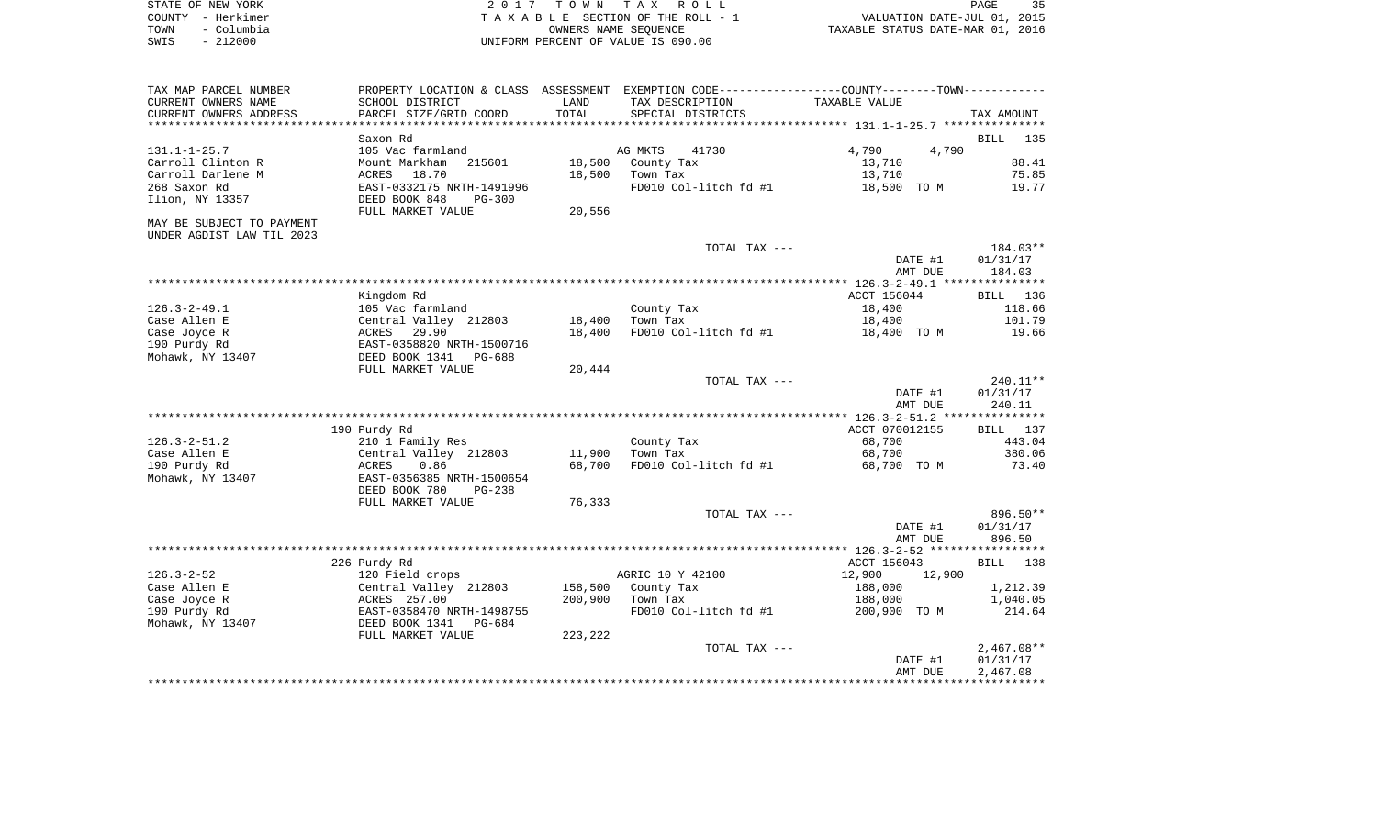| STATE OF NEW YORK  | 2017 TOWN TAX ROLL                 | 35<br>PAGE                       |
|--------------------|------------------------------------|----------------------------------|
| COUNTY – Herkimer  | TAXABLE SECTION OF THE ROLL - 1    | VALUATION DATE-JUL 01, 2015      |
| – Columbia<br>TOWN | OWNERS NAME SEOUENCE               | TAXABLE STATUS DATE-MAR 01, 2016 |
| $-212000$<br>SWIS  | UNIFORM PERCENT OF VALUE IS 090.00 |                                  |

| CURRENT OWNERS NAME<br>SCHOOL DISTRICT<br>LAND<br>TAX DESCRIPTION<br>TAXABLE VALUE<br>TOTAL<br>CURRENT OWNERS ADDRESS<br>PARCEL SIZE/GRID COORD<br>SPECIAL DISTRICTS<br>TAX AMOUNT<br>**************************<br><b>BILL</b><br>Saxon Rd<br>4,790<br>4,790<br>AG MKTS<br>105 Vac farmland<br>41730<br>Carroll Clinton R<br>18,500<br>Mount Markham<br>215601<br>County Tax<br>13,710<br>Carroll Darlene M<br>ACRES<br>18.70<br>18,500<br>13,710<br>Town Tax<br>268 Saxon Rd<br>EAST-0332175 NRTH-1491996<br>FD010 Col-litch fd #1<br>18,500 TO M<br>DEED BOOK 848<br>$PG-300$<br>20,556<br>FULL MARKET VALUE<br>TOTAL TAX ---<br>184.03**<br>DATE #1<br>01/31/17<br>184.03<br>AMT DUE<br>ACCT 156044<br>Kingdom Rd<br>BILL 136<br>105 Vac farmland<br>County Tax<br>18,400<br>Central Valley 212803<br>18,400<br>Town Tax<br>18,400<br>29.90<br>18,400<br>FD010 Col-litch fd #1<br>ACRES<br>18,400 TO M<br>EAST-0358820 NRTH-1500716<br>DEED BOOK 1341<br>PG-688<br>FULL MARKET VALUE<br>20,444<br>240.11**<br>TOTAL TAX ---<br>01/31/17<br>DATE #1<br>240.11<br>AMT DUE | 135<br>88.41<br>75.85<br>19.77<br>118.66<br>101.79<br>19.66 |
|-----------------------------------------------------------------------------------------------------------------------------------------------------------------------------------------------------------------------------------------------------------------------------------------------------------------------------------------------------------------------------------------------------------------------------------------------------------------------------------------------------------------------------------------------------------------------------------------------------------------------------------------------------------------------------------------------------------------------------------------------------------------------------------------------------------------------------------------------------------------------------------------------------------------------------------------------------------------------------------------------------------------------------------------------------------------------------|-------------------------------------------------------------|
| $131.1 - 1 - 25.7$<br>Ilion, NY 13357<br>MAY BE SUBJECT TO PAYMENT<br>UNDER AGDIST LAW TIL 2023<br>$126.3 - 2 - 49.1$<br>Case Allen E<br>Case Joyce R<br>190 Purdy Rd<br>Mohawk, NY 13407                                                                                                                                                                                                                                                                                                                                                                                                                                                                                                                                                                                                                                                                                                                                                                                                                                                                                   |                                                             |
|                                                                                                                                                                                                                                                                                                                                                                                                                                                                                                                                                                                                                                                                                                                                                                                                                                                                                                                                                                                                                                                                             |                                                             |
|                                                                                                                                                                                                                                                                                                                                                                                                                                                                                                                                                                                                                                                                                                                                                                                                                                                                                                                                                                                                                                                                             |                                                             |
|                                                                                                                                                                                                                                                                                                                                                                                                                                                                                                                                                                                                                                                                                                                                                                                                                                                                                                                                                                                                                                                                             |                                                             |
|                                                                                                                                                                                                                                                                                                                                                                                                                                                                                                                                                                                                                                                                                                                                                                                                                                                                                                                                                                                                                                                                             |                                                             |
|                                                                                                                                                                                                                                                                                                                                                                                                                                                                                                                                                                                                                                                                                                                                                                                                                                                                                                                                                                                                                                                                             |                                                             |
|                                                                                                                                                                                                                                                                                                                                                                                                                                                                                                                                                                                                                                                                                                                                                                                                                                                                                                                                                                                                                                                                             |                                                             |
|                                                                                                                                                                                                                                                                                                                                                                                                                                                                                                                                                                                                                                                                                                                                                                                                                                                                                                                                                                                                                                                                             |                                                             |
|                                                                                                                                                                                                                                                                                                                                                                                                                                                                                                                                                                                                                                                                                                                                                                                                                                                                                                                                                                                                                                                                             |                                                             |
|                                                                                                                                                                                                                                                                                                                                                                                                                                                                                                                                                                                                                                                                                                                                                                                                                                                                                                                                                                                                                                                                             |                                                             |
|                                                                                                                                                                                                                                                                                                                                                                                                                                                                                                                                                                                                                                                                                                                                                                                                                                                                                                                                                                                                                                                                             |                                                             |
|                                                                                                                                                                                                                                                                                                                                                                                                                                                                                                                                                                                                                                                                                                                                                                                                                                                                                                                                                                                                                                                                             |                                                             |
|                                                                                                                                                                                                                                                                                                                                                                                                                                                                                                                                                                                                                                                                                                                                                                                                                                                                                                                                                                                                                                                                             |                                                             |
|                                                                                                                                                                                                                                                                                                                                                                                                                                                                                                                                                                                                                                                                                                                                                                                                                                                                                                                                                                                                                                                                             |                                                             |
|                                                                                                                                                                                                                                                                                                                                                                                                                                                                                                                                                                                                                                                                                                                                                                                                                                                                                                                                                                                                                                                                             |                                                             |
|                                                                                                                                                                                                                                                                                                                                                                                                                                                                                                                                                                                                                                                                                                                                                                                                                                                                                                                                                                                                                                                                             |                                                             |
|                                                                                                                                                                                                                                                                                                                                                                                                                                                                                                                                                                                                                                                                                                                                                                                                                                                                                                                                                                                                                                                                             |                                                             |
|                                                                                                                                                                                                                                                                                                                                                                                                                                                                                                                                                                                                                                                                                                                                                                                                                                                                                                                                                                                                                                                                             |                                                             |
|                                                                                                                                                                                                                                                                                                                                                                                                                                                                                                                                                                                                                                                                                                                                                                                                                                                                                                                                                                                                                                                                             |                                                             |
|                                                                                                                                                                                                                                                                                                                                                                                                                                                                                                                                                                                                                                                                                                                                                                                                                                                                                                                                                                                                                                                                             |                                                             |
|                                                                                                                                                                                                                                                                                                                                                                                                                                                                                                                                                                                                                                                                                                                                                                                                                                                                                                                                                                                                                                                                             |                                                             |
|                                                                                                                                                                                                                                                                                                                                                                                                                                                                                                                                                                                                                                                                                                                                                                                                                                                                                                                                                                                                                                                                             |                                                             |
|                                                                                                                                                                                                                                                                                                                                                                                                                                                                                                                                                                                                                                                                                                                                                                                                                                                                                                                                                                                                                                                                             |                                                             |
|                                                                                                                                                                                                                                                                                                                                                                                                                                                                                                                                                                                                                                                                                                                                                                                                                                                                                                                                                                                                                                                                             |                                                             |
|                                                                                                                                                                                                                                                                                                                                                                                                                                                                                                                                                                                                                                                                                                                                                                                                                                                                                                                                                                                                                                                                             |                                                             |
|                                                                                                                                                                                                                                                                                                                                                                                                                                                                                                                                                                                                                                                                                                                                                                                                                                                                                                                                                                                                                                                                             |                                                             |
| ACCT 070012155<br>190 Purdy Rd<br>BILL 137                                                                                                                                                                                                                                                                                                                                                                                                                                                                                                                                                                                                                                                                                                                                                                                                                                                                                                                                                                                                                                  |                                                             |
| $126.3 - 2 - 51.2$<br>210 1 Family Res<br>County Tax<br>68,700                                                                                                                                                                                                                                                                                                                                                                                                                                                                                                                                                                                                                                                                                                                                                                                                                                                                                                                                                                                                              | 443.04                                                      |
| Case Allen E<br>Central Valley 212803<br>11,900<br>68,700<br>Town Tax                                                                                                                                                                                                                                                                                                                                                                                                                                                                                                                                                                                                                                                                                                                                                                                                                                                                                                                                                                                                       | 380.06                                                      |
| 190 Purdy Rd<br>0.86<br>68,700<br>FD010 Col-litch fd #1<br>ACRES<br>68,700 TO M                                                                                                                                                                                                                                                                                                                                                                                                                                                                                                                                                                                                                                                                                                                                                                                                                                                                                                                                                                                             | 73.40                                                       |
| Mohawk, NY 13407<br>EAST-0356385 NRTH-1500654                                                                                                                                                                                                                                                                                                                                                                                                                                                                                                                                                                                                                                                                                                                                                                                                                                                                                                                                                                                                                               |                                                             |
| DEED BOOK 780<br>$PG-238$                                                                                                                                                                                                                                                                                                                                                                                                                                                                                                                                                                                                                                                                                                                                                                                                                                                                                                                                                                                                                                                   |                                                             |
| 76,333<br>FULL MARKET VALUE<br>896.50**<br>TOTAL TAX ---                                                                                                                                                                                                                                                                                                                                                                                                                                                                                                                                                                                                                                                                                                                                                                                                                                                                                                                                                                                                                    |                                                             |
| 01/31/17<br>DATE #1                                                                                                                                                                                                                                                                                                                                                                                                                                                                                                                                                                                                                                                                                                                                                                                                                                                                                                                                                                                                                                                         |                                                             |
| AMT DUE<br>896.50                                                                                                                                                                                                                                                                                                                                                                                                                                                                                                                                                                                                                                                                                                                                                                                                                                                                                                                                                                                                                                                           |                                                             |
|                                                                                                                                                                                                                                                                                                                                                                                                                                                                                                                                                                                                                                                                                                                                                                                                                                                                                                                                                                                                                                                                             |                                                             |
| 226 Purdy Rd<br>ACCT 156043<br>BILL 138                                                                                                                                                                                                                                                                                                                                                                                                                                                                                                                                                                                                                                                                                                                                                                                                                                                                                                                                                                                                                                     |                                                             |
| $126.3 - 2 - 52$<br>AGRIC 10 Y 42100<br>12,900<br>120 Field crops<br>12,900                                                                                                                                                                                                                                                                                                                                                                                                                                                                                                                                                                                                                                                                                                                                                                                                                                                                                                                                                                                                 |                                                             |
| Case Allen E<br>158,500<br>1,212.39<br>Central Valley 212803<br>County Tax<br>188,000                                                                                                                                                                                                                                                                                                                                                                                                                                                                                                                                                                                                                                                                                                                                                                                                                                                                                                                                                                                       |                                                             |
| Case Joyce R<br>ACRES 257.00<br>200,900<br>Town Tax<br>188,000<br>1,040.05                                                                                                                                                                                                                                                                                                                                                                                                                                                                                                                                                                                                                                                                                                                                                                                                                                                                                                                                                                                                  |                                                             |
| 190 Purdy Rd<br>EAST-0358470 NRTH-1498755<br>FD010 Col-litch fd #1<br>200,900 TO M                                                                                                                                                                                                                                                                                                                                                                                                                                                                                                                                                                                                                                                                                                                                                                                                                                                                                                                                                                                          | 214.64                                                      |
| Mohawk, NY 13407<br>DEED BOOK 1341<br>$PG-684$                                                                                                                                                                                                                                                                                                                                                                                                                                                                                                                                                                                                                                                                                                                                                                                                                                                                                                                                                                                                                              |                                                             |
| 223,222<br>FULL MARKET VALUE                                                                                                                                                                                                                                                                                                                                                                                                                                                                                                                                                                                                                                                                                                                                                                                                                                                                                                                                                                                                                                                |                                                             |
| $2,467.08**$<br>TOTAL TAX ---                                                                                                                                                                                                                                                                                                                                                                                                                                                                                                                                                                                                                                                                                                                                                                                                                                                                                                                                                                                                                                               |                                                             |
| DATE #1<br>01/31/17                                                                                                                                                                                                                                                                                                                                                                                                                                                                                                                                                                                                                                                                                                                                                                                                                                                                                                                                                                                                                                                         |                                                             |
| 2,467.08<br>AMT DUE                                                                                                                                                                                                                                                                                                                                                                                                                                                                                                                                                                                                                                                                                                                                                                                                                                                                                                                                                                                                                                                         |                                                             |
|                                                                                                                                                                                                                                                                                                                                                                                                                                                                                                                                                                                                                                                                                                                                                                                                                                                                                                                                                                                                                                                                             |                                                             |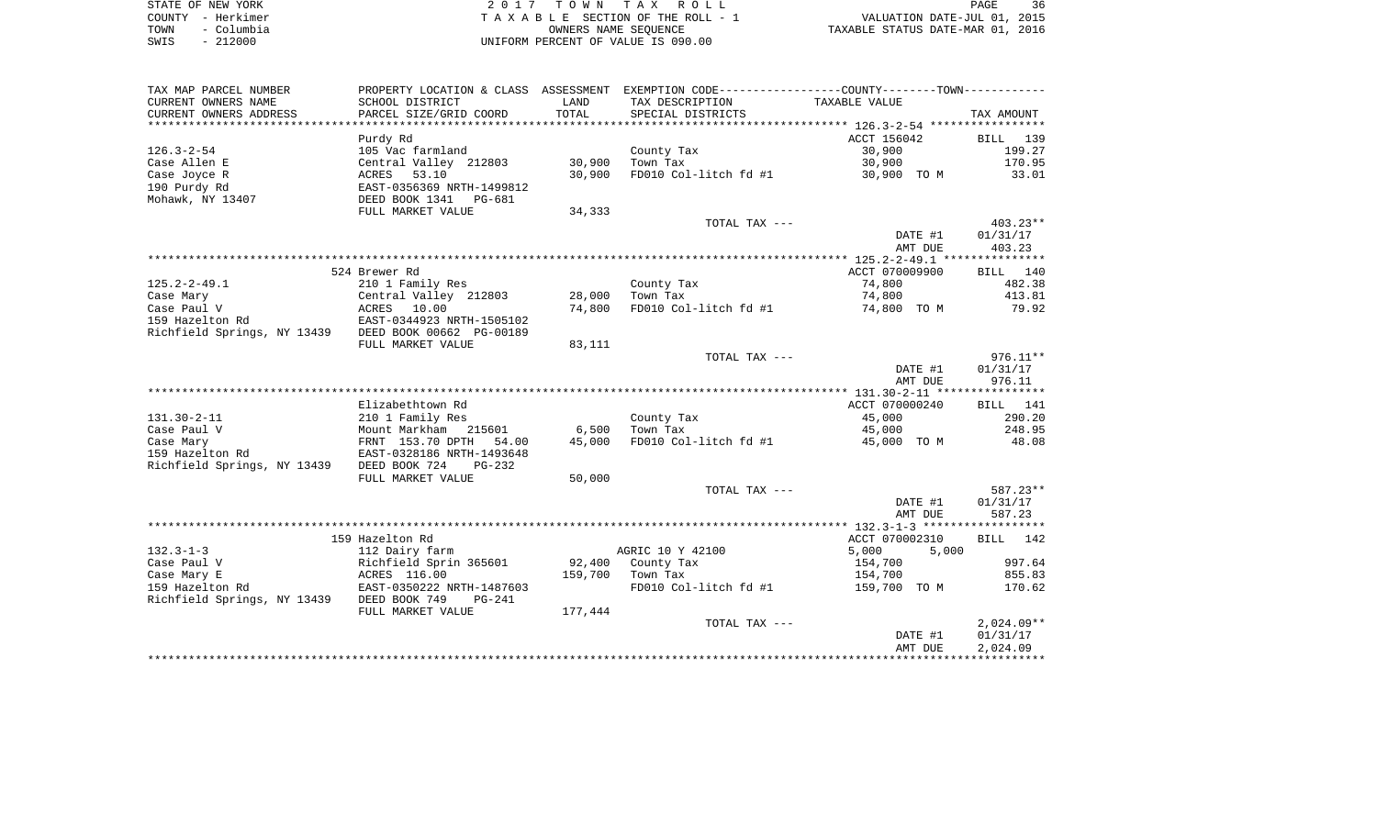| STATE OF NEW YORK |            | 2017 TOWN TAX ROLL                 | 36<br>PAGE                       |
|-------------------|------------|------------------------------------|----------------------------------|
| COUNTY - Herkimer |            | TAXABLE SECTION OF THE ROLL - 1    | VALUATION DATE-JUL 01, 2015      |
| TOWN              | – Columbia | OWNERS NAME SEOUENCE               | TAXABLE STATUS DATE-MAR 01, 2016 |
| $-212000$<br>SWIS |            | UNIFORM PERCENT OF VALUE IS 090.00 |                                  |

| TAX MAP PARCEL NUMBER                          | PROPERTY LOCATION & CLASS ASSESSMENT                   |               | EXEMPTION CODE-----------------COUNTY-------TOWN----------- |                                  |                    |
|------------------------------------------------|--------------------------------------------------------|---------------|-------------------------------------------------------------|----------------------------------|--------------------|
| CURRENT OWNERS NAME                            | SCHOOL DISTRICT                                        | LAND<br>TOTAL | TAX DESCRIPTION                                             | TAXABLE VALUE                    |                    |
| CURRENT OWNERS ADDRESS                         | PARCEL SIZE/GRID COORD                                 |               | SPECIAL DISTRICTS                                           |                                  | TAX AMOUNT         |
|                                                | Purdy Rd                                               |               |                                                             | ACCT 156042                      | BILL 139           |
| $126.3 - 2 - 54$                               | 105 Vac farmland                                       |               | County Tax                                                  | 30,900                           | 199.27             |
| Case Allen E                                   | Central Valley 212803                                  | 30,900        | Town Tax                                                    | 30,900                           | 170.95             |
| Case Joyce R                                   | ACRES 53.10                                            | 30,900        | FD010 Col-litch fd #1                                       | 30,900 TO M                      | 33.01              |
| 190 Purdy Rd<br>Mohawk, NY 13407               | EAST-0356369 NRTH-1499812<br>DEED BOOK 1341            |               |                                                             |                                  |                    |
|                                                | PG-681<br>FULL MARKET VALUE                            | 34,333        |                                                             |                                  |                    |
|                                                |                                                        |               | TOTAL TAX ---                                               |                                  | $403.23**$         |
|                                                |                                                        |               |                                                             | DATE #1                          | 01/31/17           |
|                                                |                                                        |               |                                                             | AMT DUE                          | 403.23             |
|                                                |                                                        |               |                                                             |                                  |                    |
| $125.2 - 2 - 49.1$                             | 524 Brewer Rd                                          |               |                                                             | ACCT 070009900                   | BILL 140           |
| Case Mary                                      | 210 1 Family Res<br>Central Valley 212803              | 28,000        | County Tax<br>Town Tax                                      | 74,800<br>74,800                 | 482.38<br>413.81   |
| Case Paul V                                    | ACRES 10.00                                            | 74,800        | FD010 Col-litch fd #1                                       | 74,800 TO M                      | 79.92              |
| 159 Hazelton Rd                                | EAST-0344923 NRTH-1505102                              |               |                                                             |                                  |                    |
| Richfield Springs, NY 13439                    | DEED BOOK 00662 PG-00189                               |               |                                                             |                                  |                    |
|                                                | FULL MARKET VALUE                                      | 83,111        |                                                             |                                  |                    |
|                                                |                                                        |               | TOTAL TAX ---                                               |                                  | $976.11**$         |
|                                                |                                                        |               |                                                             | DATE #1<br>AMT DUE               | 01/31/17<br>976.11 |
|                                                |                                                        |               |                                                             |                                  |                    |
|                                                | Elizabethtown Rd                                       |               |                                                             | ACCT 070000240                   | <b>BILL</b> 141    |
| $131.30 - 2 - 11$                              | 210 1 Family Res                                       |               | County Tax                                                  | 45,000                           | 290.20             |
| Case Paul V                                    | Mount Markham 215601                                   | 6,500         | Town Tax                                                    | 45,000                           | 248.95             |
| Case Mary                                      | FRNT 153.70 DPTH<br>54.00                              | 45,000        | FD010 Col-litch $fd$ #1 $45,000$ TO M                       |                                  | 48.08              |
| 159 Hazelton Rd<br>Richfield Springs, NY 13439 | EAST-0328186 NRTH-1493648<br>DEED BOOK 724<br>$PG-232$ |               |                                                             |                                  |                    |
|                                                | FULL MARKET VALUE                                      | 50,000        |                                                             |                                  |                    |
|                                                |                                                        |               | TOTAL TAX ---                                               |                                  | 587.23**           |
|                                                |                                                        |               |                                                             | DATE #1                          | 01/31/17           |
|                                                |                                                        |               |                                                             | AMT DUE                          | 587.23             |
|                                                |                                                        |               |                                                             |                                  |                    |
| $132.3 - 1 - 3$                                | 159 Hazelton Rd<br>112 Dairy farm                      |               | AGRIC 10 Y 42100                                            | ACCT 070002310<br>5,000<br>5,000 | <b>BILL</b><br>142 |
| Case Paul V                                    | Richfield Sprin 365601                                 |               | 92,400 County Tax                                           | 154,700                          | 997.64             |
| Case Mary E                                    | ACRES 116.00                                           | 159,700       | Town Tax                                                    | 154,700                          | 855.83             |
| 159 Hazelton Rd                                | EAST-0350222 NRTH-1487603                              |               | FD010 Col-litch fd #1                                       | 159,700 TO M                     | 170.62             |
| Richfield Springs, NY 13439                    | DEED BOOK 749<br>$PG-241$                              |               |                                                             |                                  |                    |
|                                                | FULL MARKET VALUE                                      | 177,444       |                                                             |                                  | $2,024.09**$       |
|                                                |                                                        |               | TOTAL TAX ---                                               | DATE #1                          | 01/31/17           |
|                                                |                                                        |               |                                                             | AMT DUE                          | 2,024.09           |
|                                                |                                                        |               |                                                             |                                  |                    |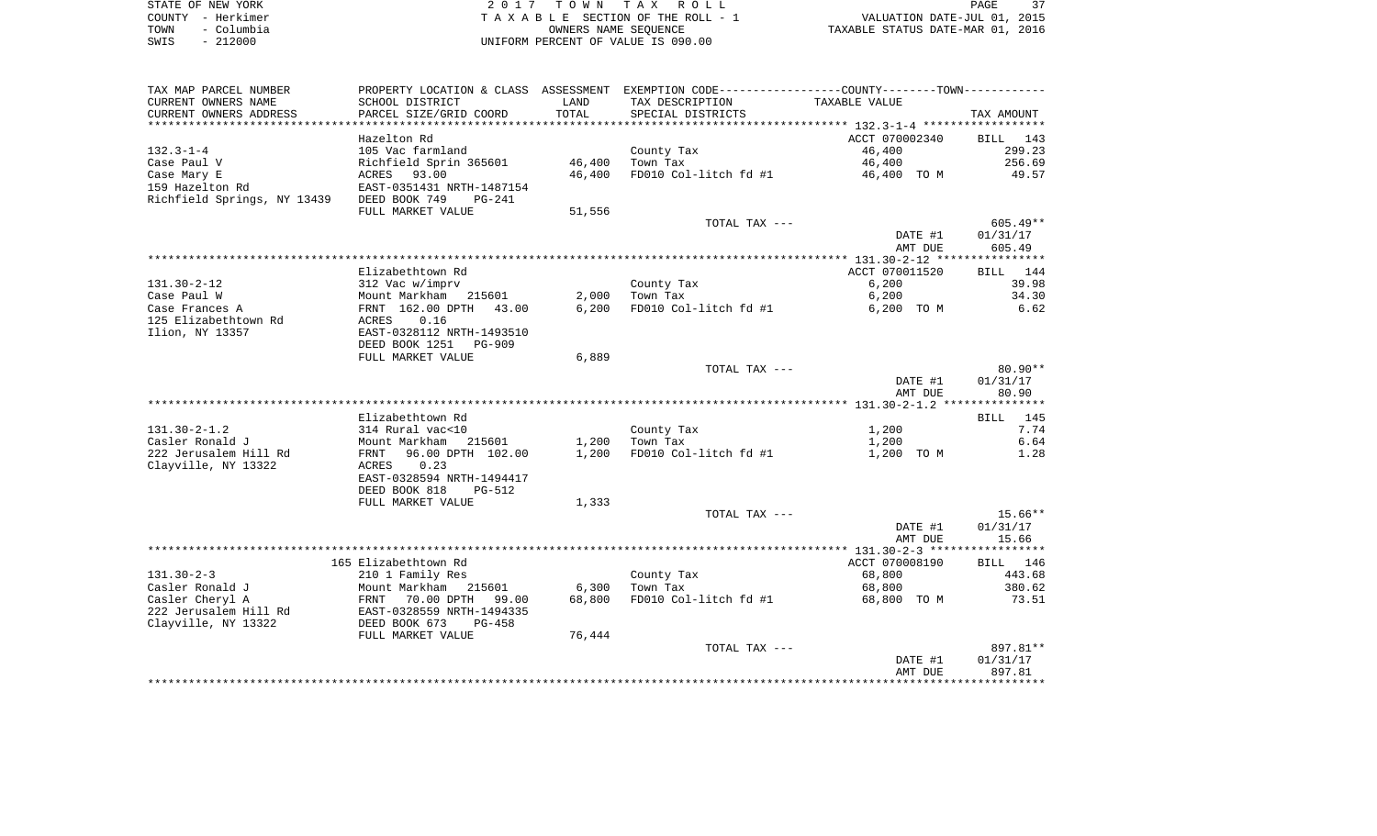| STATE OF NEW YORK  | 2017 TOWN TAX ROLL                 | PAGE                             |
|--------------------|------------------------------------|----------------------------------|
| COUNTY - Herkimer  | TAXABLE SECTION OF THE ROLL - 1    | VALUATION DATE-JUL 01, 2015      |
| – Columbia<br>TOWN | OWNERS NAME SEOUENCE               | TAXABLE STATUS DATE-MAR 01, 2016 |
| $-212000$<br>SWIS  | UNIFORM PERCENT OF VALUE IS 090.00 |                                  |

| SCHOOL DISTRICT<br>TAX DESCRIPTION<br>TAXABLE VALUE<br>LAND<br>TOTAL<br>PARCEL SIZE/GRID COORD<br>SPECIAL DISTRICTS<br>TAX AMOUNT<br>***********************<br>Hazelton Rd<br>ACCT 070002340<br>BILL<br>143<br>105 Vac farmland<br>299.23<br>County Tax<br>46,400<br>46,400<br>256.69<br>Richfield Sprin 365601<br>Town Tax<br>46,400<br>46,400<br>FD010 Col-litch fd #1<br>49.57<br>ACRES 93.00<br>46,400 TO M<br>EAST-0351431 NRTH-1487154<br>DEED BOOK 749<br>PG-241<br>FULL MARKET VALUE<br>51,556<br>$605.49**$<br>TOTAL TAX ---<br>01/31/17<br>DATE #1<br>AMT DUE<br>605.49<br>Elizabethtown Rd<br>ACCT 070011520<br>144<br>BILL<br>6,200<br>39.98<br>312 Vac w/imprv<br>County Tax<br>34.30<br>Mount Markham 215601<br>2,000<br>Town Tax<br>6,200<br>FRNT 162.00 DPTH<br>6.62<br>6,200<br>FD010 Col-litch fd #1<br>6,200 TO M<br>43.00<br>0.16<br>ACRES<br>EAST-0328112 NRTH-1493510<br>DEED BOOK 1251<br><b>PG-909</b><br>6,889<br>FULL MARKET VALUE<br>$80.90**$<br>TOTAL TAX ---<br>01/31/17<br>DATE #1<br>AMT DUE<br>80.90<br>Elizabethtown Rd<br>145<br>BILL<br>7.74<br>314 Rural vac<10<br>County Tax<br>1,200<br>6.64<br>Mount Markham<br>215601<br>1,200<br>Town Tax<br>1,200<br>96.00 DPTH 102.00<br>1,200<br>FD010 Col-litch fd #1<br>1.28<br>FRNT<br>1,200 TO M<br>0.23<br>ACRES<br>EAST-0328594 NRTH-1494417<br>DEED BOOK 818<br>PG-512<br>FULL MARKET VALUE<br>1,333<br>TOTAL TAX ---<br>$15.66**$<br>01/31/17<br>DATE #1<br>AMT DUE<br>15.66<br>165 Elizabethtown Rd<br>ACCT 070008190<br>BILL 146<br>68,800<br>443.68<br>210 1 Family Res<br>County Tax<br>Mount Markham 215601<br>6,300<br>Town Tax<br>68,800<br>380.62<br>FRNT<br>70.00 DPTH<br>68,800<br>FD010 Col-litch fd #1<br>68,800 TO M<br>73.51<br>99.00<br>EAST-0328559 NRTH-1494335<br>DEED BOOK 673<br>$PG-458$<br>FULL MARKET VALUE<br>76,444<br>897.81**<br>TOTAL TAX ---<br>DATE #1<br>01/31/17<br>AMT DUE<br>897.81 | TAX MAP PARCEL NUMBER       | PROPERTY LOCATION & CLASS ASSESSMENT EXEMPTION CODE---------------COUNTY-------TOWN---------- |  |  |
|-------------------------------------------------------------------------------------------------------------------------------------------------------------------------------------------------------------------------------------------------------------------------------------------------------------------------------------------------------------------------------------------------------------------------------------------------------------------------------------------------------------------------------------------------------------------------------------------------------------------------------------------------------------------------------------------------------------------------------------------------------------------------------------------------------------------------------------------------------------------------------------------------------------------------------------------------------------------------------------------------------------------------------------------------------------------------------------------------------------------------------------------------------------------------------------------------------------------------------------------------------------------------------------------------------------------------------------------------------------------------------------------------------------------------------------------------------------------------------------------------------------------------------------------------------------------------------------------------------------------------------------------------------------------------------------------------------------------------------------------------------------------------------------------------------------------------------------------------------------------------------------------------------------|-----------------------------|-----------------------------------------------------------------------------------------------|--|--|
|                                                                                                                                                                                                                                                                                                                                                                                                                                                                                                                                                                                                                                                                                                                                                                                                                                                                                                                                                                                                                                                                                                                                                                                                                                                                                                                                                                                                                                                                                                                                                                                                                                                                                                                                                                                                                                                                                                             | CURRENT OWNERS NAME         |                                                                                               |  |  |
|                                                                                                                                                                                                                                                                                                                                                                                                                                                                                                                                                                                                                                                                                                                                                                                                                                                                                                                                                                                                                                                                                                                                                                                                                                                                                                                                                                                                                                                                                                                                                                                                                                                                                                                                                                                                                                                                                                             | CURRENT OWNERS ADDRESS      |                                                                                               |  |  |
|                                                                                                                                                                                                                                                                                                                                                                                                                                                                                                                                                                                                                                                                                                                                                                                                                                                                                                                                                                                                                                                                                                                                                                                                                                                                                                                                                                                                                                                                                                                                                                                                                                                                                                                                                                                                                                                                                                             |                             |                                                                                               |  |  |
|                                                                                                                                                                                                                                                                                                                                                                                                                                                                                                                                                                                                                                                                                                                                                                                                                                                                                                                                                                                                                                                                                                                                                                                                                                                                                                                                                                                                                                                                                                                                                                                                                                                                                                                                                                                                                                                                                                             |                             |                                                                                               |  |  |
|                                                                                                                                                                                                                                                                                                                                                                                                                                                                                                                                                                                                                                                                                                                                                                                                                                                                                                                                                                                                                                                                                                                                                                                                                                                                                                                                                                                                                                                                                                                                                                                                                                                                                                                                                                                                                                                                                                             | $132.3 - 1 - 4$             |                                                                                               |  |  |
|                                                                                                                                                                                                                                                                                                                                                                                                                                                                                                                                                                                                                                                                                                                                                                                                                                                                                                                                                                                                                                                                                                                                                                                                                                                                                                                                                                                                                                                                                                                                                                                                                                                                                                                                                                                                                                                                                                             | Case Paul V                 |                                                                                               |  |  |
|                                                                                                                                                                                                                                                                                                                                                                                                                                                                                                                                                                                                                                                                                                                                                                                                                                                                                                                                                                                                                                                                                                                                                                                                                                                                                                                                                                                                                                                                                                                                                                                                                                                                                                                                                                                                                                                                                                             | Case Mary E                 |                                                                                               |  |  |
|                                                                                                                                                                                                                                                                                                                                                                                                                                                                                                                                                                                                                                                                                                                                                                                                                                                                                                                                                                                                                                                                                                                                                                                                                                                                                                                                                                                                                                                                                                                                                                                                                                                                                                                                                                                                                                                                                                             | 159 Hazelton Rd             |                                                                                               |  |  |
|                                                                                                                                                                                                                                                                                                                                                                                                                                                                                                                                                                                                                                                                                                                                                                                                                                                                                                                                                                                                                                                                                                                                                                                                                                                                                                                                                                                                                                                                                                                                                                                                                                                                                                                                                                                                                                                                                                             | Richfield Springs, NY 13439 |                                                                                               |  |  |
|                                                                                                                                                                                                                                                                                                                                                                                                                                                                                                                                                                                                                                                                                                                                                                                                                                                                                                                                                                                                                                                                                                                                                                                                                                                                                                                                                                                                                                                                                                                                                                                                                                                                                                                                                                                                                                                                                                             |                             |                                                                                               |  |  |
|                                                                                                                                                                                                                                                                                                                                                                                                                                                                                                                                                                                                                                                                                                                                                                                                                                                                                                                                                                                                                                                                                                                                                                                                                                                                                                                                                                                                                                                                                                                                                                                                                                                                                                                                                                                                                                                                                                             |                             |                                                                                               |  |  |
|                                                                                                                                                                                                                                                                                                                                                                                                                                                                                                                                                                                                                                                                                                                                                                                                                                                                                                                                                                                                                                                                                                                                                                                                                                                                                                                                                                                                                                                                                                                                                                                                                                                                                                                                                                                                                                                                                                             |                             |                                                                                               |  |  |
|                                                                                                                                                                                                                                                                                                                                                                                                                                                                                                                                                                                                                                                                                                                                                                                                                                                                                                                                                                                                                                                                                                                                                                                                                                                                                                                                                                                                                                                                                                                                                                                                                                                                                                                                                                                                                                                                                                             |                             |                                                                                               |  |  |
|                                                                                                                                                                                                                                                                                                                                                                                                                                                                                                                                                                                                                                                                                                                                                                                                                                                                                                                                                                                                                                                                                                                                                                                                                                                                                                                                                                                                                                                                                                                                                                                                                                                                                                                                                                                                                                                                                                             |                             |                                                                                               |  |  |
|                                                                                                                                                                                                                                                                                                                                                                                                                                                                                                                                                                                                                                                                                                                                                                                                                                                                                                                                                                                                                                                                                                                                                                                                                                                                                                                                                                                                                                                                                                                                                                                                                                                                                                                                                                                                                                                                                                             |                             |                                                                                               |  |  |
|                                                                                                                                                                                                                                                                                                                                                                                                                                                                                                                                                                                                                                                                                                                                                                                                                                                                                                                                                                                                                                                                                                                                                                                                                                                                                                                                                                                                                                                                                                                                                                                                                                                                                                                                                                                                                                                                                                             | $131.30 - 2 - 12$           |                                                                                               |  |  |
|                                                                                                                                                                                                                                                                                                                                                                                                                                                                                                                                                                                                                                                                                                                                                                                                                                                                                                                                                                                                                                                                                                                                                                                                                                                                                                                                                                                                                                                                                                                                                                                                                                                                                                                                                                                                                                                                                                             | Case Paul W                 |                                                                                               |  |  |
|                                                                                                                                                                                                                                                                                                                                                                                                                                                                                                                                                                                                                                                                                                                                                                                                                                                                                                                                                                                                                                                                                                                                                                                                                                                                                                                                                                                                                                                                                                                                                                                                                                                                                                                                                                                                                                                                                                             | Case Frances A              |                                                                                               |  |  |
|                                                                                                                                                                                                                                                                                                                                                                                                                                                                                                                                                                                                                                                                                                                                                                                                                                                                                                                                                                                                                                                                                                                                                                                                                                                                                                                                                                                                                                                                                                                                                                                                                                                                                                                                                                                                                                                                                                             | 125 Elizabethtown Rd        |                                                                                               |  |  |
|                                                                                                                                                                                                                                                                                                                                                                                                                                                                                                                                                                                                                                                                                                                                                                                                                                                                                                                                                                                                                                                                                                                                                                                                                                                                                                                                                                                                                                                                                                                                                                                                                                                                                                                                                                                                                                                                                                             | Ilion, NY 13357             |                                                                                               |  |  |
|                                                                                                                                                                                                                                                                                                                                                                                                                                                                                                                                                                                                                                                                                                                                                                                                                                                                                                                                                                                                                                                                                                                                                                                                                                                                                                                                                                                                                                                                                                                                                                                                                                                                                                                                                                                                                                                                                                             |                             |                                                                                               |  |  |
|                                                                                                                                                                                                                                                                                                                                                                                                                                                                                                                                                                                                                                                                                                                                                                                                                                                                                                                                                                                                                                                                                                                                                                                                                                                                                                                                                                                                                                                                                                                                                                                                                                                                                                                                                                                                                                                                                                             |                             |                                                                                               |  |  |
|                                                                                                                                                                                                                                                                                                                                                                                                                                                                                                                                                                                                                                                                                                                                                                                                                                                                                                                                                                                                                                                                                                                                                                                                                                                                                                                                                                                                                                                                                                                                                                                                                                                                                                                                                                                                                                                                                                             |                             |                                                                                               |  |  |
|                                                                                                                                                                                                                                                                                                                                                                                                                                                                                                                                                                                                                                                                                                                                                                                                                                                                                                                                                                                                                                                                                                                                                                                                                                                                                                                                                                                                                                                                                                                                                                                                                                                                                                                                                                                                                                                                                                             |                             |                                                                                               |  |  |
|                                                                                                                                                                                                                                                                                                                                                                                                                                                                                                                                                                                                                                                                                                                                                                                                                                                                                                                                                                                                                                                                                                                                                                                                                                                                                                                                                                                                                                                                                                                                                                                                                                                                                                                                                                                                                                                                                                             |                             |                                                                                               |  |  |
|                                                                                                                                                                                                                                                                                                                                                                                                                                                                                                                                                                                                                                                                                                                                                                                                                                                                                                                                                                                                                                                                                                                                                                                                                                                                                                                                                                                                                                                                                                                                                                                                                                                                                                                                                                                                                                                                                                             |                             |                                                                                               |  |  |
|                                                                                                                                                                                                                                                                                                                                                                                                                                                                                                                                                                                                                                                                                                                                                                                                                                                                                                                                                                                                                                                                                                                                                                                                                                                                                                                                                                                                                                                                                                                                                                                                                                                                                                                                                                                                                                                                                                             |                             |                                                                                               |  |  |
|                                                                                                                                                                                                                                                                                                                                                                                                                                                                                                                                                                                                                                                                                                                                                                                                                                                                                                                                                                                                                                                                                                                                                                                                                                                                                                                                                                                                                                                                                                                                                                                                                                                                                                                                                                                                                                                                                                             | $131.30 - 2 - 1.2$          |                                                                                               |  |  |
|                                                                                                                                                                                                                                                                                                                                                                                                                                                                                                                                                                                                                                                                                                                                                                                                                                                                                                                                                                                                                                                                                                                                                                                                                                                                                                                                                                                                                                                                                                                                                                                                                                                                                                                                                                                                                                                                                                             | Casler Ronald J             |                                                                                               |  |  |
|                                                                                                                                                                                                                                                                                                                                                                                                                                                                                                                                                                                                                                                                                                                                                                                                                                                                                                                                                                                                                                                                                                                                                                                                                                                                                                                                                                                                                                                                                                                                                                                                                                                                                                                                                                                                                                                                                                             | 222 Jerusalem Hill Rd       |                                                                                               |  |  |
|                                                                                                                                                                                                                                                                                                                                                                                                                                                                                                                                                                                                                                                                                                                                                                                                                                                                                                                                                                                                                                                                                                                                                                                                                                                                                                                                                                                                                                                                                                                                                                                                                                                                                                                                                                                                                                                                                                             | Clayville, NY 13322         |                                                                                               |  |  |
|                                                                                                                                                                                                                                                                                                                                                                                                                                                                                                                                                                                                                                                                                                                                                                                                                                                                                                                                                                                                                                                                                                                                                                                                                                                                                                                                                                                                                                                                                                                                                                                                                                                                                                                                                                                                                                                                                                             |                             |                                                                                               |  |  |
|                                                                                                                                                                                                                                                                                                                                                                                                                                                                                                                                                                                                                                                                                                                                                                                                                                                                                                                                                                                                                                                                                                                                                                                                                                                                                                                                                                                                                                                                                                                                                                                                                                                                                                                                                                                                                                                                                                             |                             |                                                                                               |  |  |
|                                                                                                                                                                                                                                                                                                                                                                                                                                                                                                                                                                                                                                                                                                                                                                                                                                                                                                                                                                                                                                                                                                                                                                                                                                                                                                                                                                                                                                                                                                                                                                                                                                                                                                                                                                                                                                                                                                             |                             |                                                                                               |  |  |
|                                                                                                                                                                                                                                                                                                                                                                                                                                                                                                                                                                                                                                                                                                                                                                                                                                                                                                                                                                                                                                                                                                                                                                                                                                                                                                                                                                                                                                                                                                                                                                                                                                                                                                                                                                                                                                                                                                             |                             |                                                                                               |  |  |
|                                                                                                                                                                                                                                                                                                                                                                                                                                                                                                                                                                                                                                                                                                                                                                                                                                                                                                                                                                                                                                                                                                                                                                                                                                                                                                                                                                                                                                                                                                                                                                                                                                                                                                                                                                                                                                                                                                             |                             |                                                                                               |  |  |
|                                                                                                                                                                                                                                                                                                                                                                                                                                                                                                                                                                                                                                                                                                                                                                                                                                                                                                                                                                                                                                                                                                                                                                                                                                                                                                                                                                                                                                                                                                                                                                                                                                                                                                                                                                                                                                                                                                             |                             |                                                                                               |  |  |
|                                                                                                                                                                                                                                                                                                                                                                                                                                                                                                                                                                                                                                                                                                                                                                                                                                                                                                                                                                                                                                                                                                                                                                                                                                                                                                                                                                                                                                                                                                                                                                                                                                                                                                                                                                                                                                                                                                             |                             |                                                                                               |  |  |
|                                                                                                                                                                                                                                                                                                                                                                                                                                                                                                                                                                                                                                                                                                                                                                                                                                                                                                                                                                                                                                                                                                                                                                                                                                                                                                                                                                                                                                                                                                                                                                                                                                                                                                                                                                                                                                                                                                             |                             |                                                                                               |  |  |
|                                                                                                                                                                                                                                                                                                                                                                                                                                                                                                                                                                                                                                                                                                                                                                                                                                                                                                                                                                                                                                                                                                                                                                                                                                                                                                                                                                                                                                                                                                                                                                                                                                                                                                                                                                                                                                                                                                             | $131.30 - 2 - 3$            |                                                                                               |  |  |
|                                                                                                                                                                                                                                                                                                                                                                                                                                                                                                                                                                                                                                                                                                                                                                                                                                                                                                                                                                                                                                                                                                                                                                                                                                                                                                                                                                                                                                                                                                                                                                                                                                                                                                                                                                                                                                                                                                             | Casler Ronald J             |                                                                                               |  |  |
|                                                                                                                                                                                                                                                                                                                                                                                                                                                                                                                                                                                                                                                                                                                                                                                                                                                                                                                                                                                                                                                                                                                                                                                                                                                                                                                                                                                                                                                                                                                                                                                                                                                                                                                                                                                                                                                                                                             | Casler Cheryl A             |                                                                                               |  |  |
|                                                                                                                                                                                                                                                                                                                                                                                                                                                                                                                                                                                                                                                                                                                                                                                                                                                                                                                                                                                                                                                                                                                                                                                                                                                                                                                                                                                                                                                                                                                                                                                                                                                                                                                                                                                                                                                                                                             | 222 Jerusalem Hill Rd       |                                                                                               |  |  |
|                                                                                                                                                                                                                                                                                                                                                                                                                                                                                                                                                                                                                                                                                                                                                                                                                                                                                                                                                                                                                                                                                                                                                                                                                                                                                                                                                                                                                                                                                                                                                                                                                                                                                                                                                                                                                                                                                                             | Clayville, NY 13322         |                                                                                               |  |  |
|                                                                                                                                                                                                                                                                                                                                                                                                                                                                                                                                                                                                                                                                                                                                                                                                                                                                                                                                                                                                                                                                                                                                                                                                                                                                                                                                                                                                                                                                                                                                                                                                                                                                                                                                                                                                                                                                                                             |                             |                                                                                               |  |  |
|                                                                                                                                                                                                                                                                                                                                                                                                                                                                                                                                                                                                                                                                                                                                                                                                                                                                                                                                                                                                                                                                                                                                                                                                                                                                                                                                                                                                                                                                                                                                                                                                                                                                                                                                                                                                                                                                                                             |                             |                                                                                               |  |  |
|                                                                                                                                                                                                                                                                                                                                                                                                                                                                                                                                                                                                                                                                                                                                                                                                                                                                                                                                                                                                                                                                                                                                                                                                                                                                                                                                                                                                                                                                                                                                                                                                                                                                                                                                                                                                                                                                                                             |                             |                                                                                               |  |  |
|                                                                                                                                                                                                                                                                                                                                                                                                                                                                                                                                                                                                                                                                                                                                                                                                                                                                                                                                                                                                                                                                                                                                                                                                                                                                                                                                                                                                                                                                                                                                                                                                                                                                                                                                                                                                                                                                                                             |                             |                                                                                               |  |  |
|                                                                                                                                                                                                                                                                                                                                                                                                                                                                                                                                                                                                                                                                                                                                                                                                                                                                                                                                                                                                                                                                                                                                                                                                                                                                                                                                                                                                                                                                                                                                                                                                                                                                                                                                                                                                                                                                                                             |                             |                                                                                               |  |  |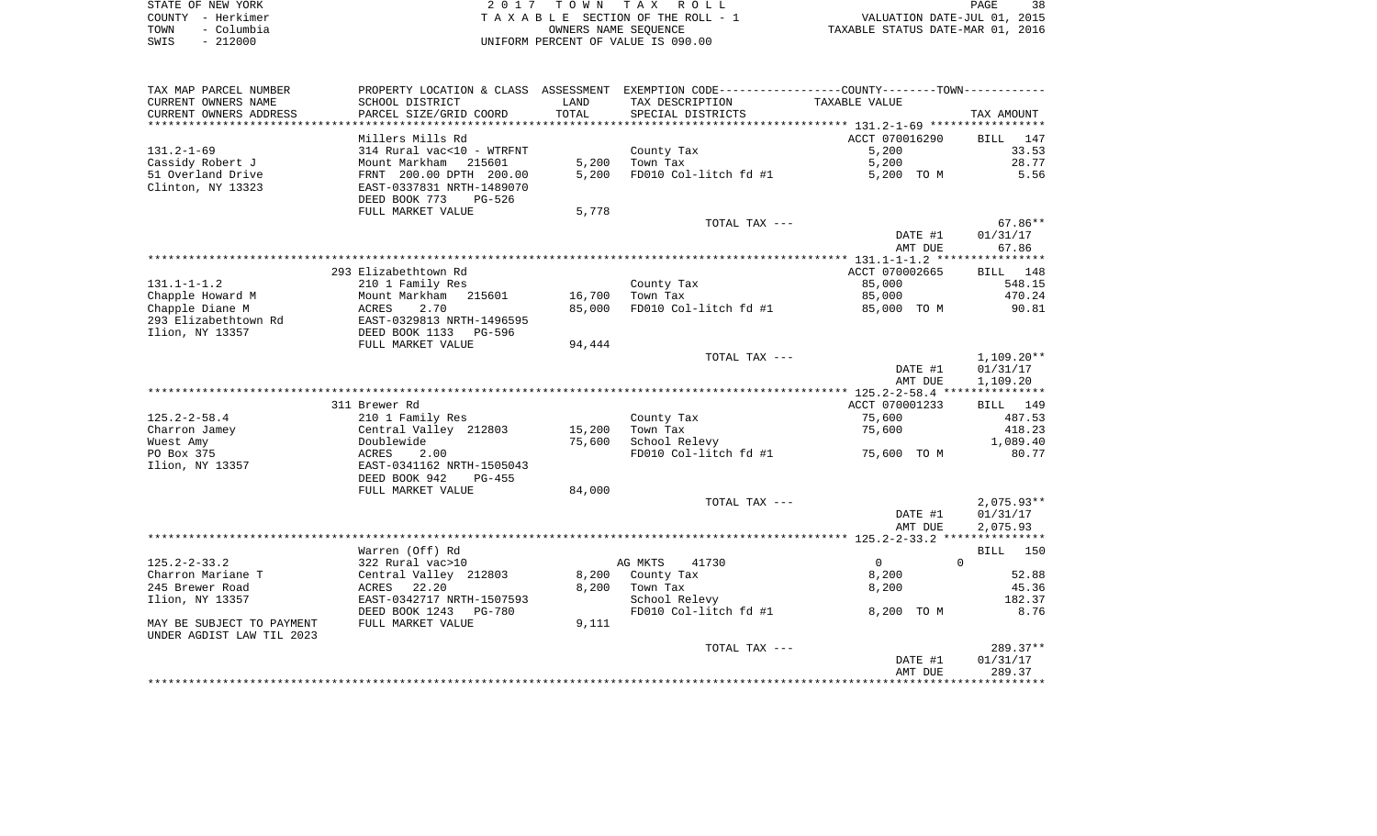| STATE OF NEW YORK  | 2017 TOWN TAX ROLL                 | 38<br>PAGE                       |
|--------------------|------------------------------------|----------------------------------|
| COUNTY - Herkimer  | TAXABLE SECTION OF THE ROLL - 1    | VALUATION DATE-JUL 01, 2015      |
| – Columbia<br>TOWN | OWNERS NAME SEOUENCE               | TAXABLE STATUS DATE-MAR 01, 2016 |
| $-212000$<br>SWIS  | UNIFORM PERCENT OF VALUE IS 090.00 |                                  |

| TAX MAP PARCEL NUMBER     | PROPERTY LOCATION & CLASS ASSESSMENT                   |        | EXEMPTION CODE-----------------COUNTY-------TOWN----------- |                |                          |
|---------------------------|--------------------------------------------------------|--------|-------------------------------------------------------------|----------------|--------------------------|
| CURRENT OWNERS NAME       | SCHOOL DISTRICT                                        | LAND   | TAX DESCRIPTION                                             | TAXABLE VALUE  |                          |
| CURRENT OWNERS ADDRESS    | PARCEL SIZE/GRID COORD                                 | TOTAL  | SPECIAL DISTRICTS                                           |                | TAX AMOUNT               |
| *********************     |                                                        |        |                                                             |                |                          |
|                           | Millers Mills Rd                                       |        |                                                             | ACCT 070016290 | <b>BILL</b><br>147       |
| $131.2 - 1 - 69$          | 314 Rural vac<10 - WTRFNT                              |        | County Tax                                                  | 5,200          | 33.53                    |
| Cassidy Robert J          | Mount Markham<br>215601                                | 5,200  | Town Tax                                                    | 5,200          | 28.77                    |
| 51 Overland Drive         | FRNT 200.00 DPTH 200.00                                | 5,200  | FD010 Col-litch fd #1                                       | 5,200 TO M     | 5.56                     |
| Clinton, NY 13323         | EAST-0337831 NRTH-1489070                              |        |                                                             |                |                          |
|                           | DEED BOOK 773<br><b>PG-526</b>                         |        |                                                             |                |                          |
|                           | FULL MARKET VALUE                                      | 5,778  |                                                             |                |                          |
|                           |                                                        |        | TOTAL TAX ---                                               |                | $67.86**$                |
|                           |                                                        |        |                                                             | DATE #1        | 01/31/17                 |
|                           |                                                        |        |                                                             | AMT DUE        | 67.86                    |
|                           |                                                        |        |                                                             |                | ***********              |
|                           | 293 Elizabethtown Rd                                   |        |                                                             | ACCT 070002665 | BILL 148                 |
| $131.1 - 1 - 1.2$         | 210 1 Family Res                                       |        | County Tax                                                  | 85,000         | 548.15                   |
| Chapple Howard M          | Mount Markham<br>215601                                | 16,700 | Town Tax                                                    | 85,000         | 470.24                   |
| Chapple Diane M           | 2.70<br>ACRES                                          | 85,000 | FD010 Col-litch fd #1                                       | 85,000 TO M    | 90.81                    |
| 293 Elizabethtown Rd      | EAST-0329813 NRTH-1496595                              |        |                                                             |                |                          |
| Ilion, NY 13357           | DEED BOOK 1133<br>PG-596                               |        |                                                             |                |                          |
|                           | FULL MARKET VALUE                                      | 94,444 |                                                             |                |                          |
|                           |                                                        |        | TOTAL TAX ---                                               |                | $1,109.20**$             |
|                           |                                                        |        |                                                             | DATE #1        | 01/31/17                 |
|                           |                                                        |        |                                                             | AMT DUE        | 1,109.20                 |
|                           |                                                        |        |                                                             |                |                          |
|                           | 311 Brewer Rd                                          |        |                                                             | ACCT 070001233 | BILL 149                 |
| $125.2 - 2 - 58.4$        | 210 1 Family Res                                       |        | County Tax                                                  | 75,600         | 487.53                   |
| Charron Jamey             | Central Valley 212803                                  | 15,200 | Town Tax                                                    | 75,600         | 418.23                   |
| Wuest Amy                 | Doublewide                                             | 75,600 | School Relevy                                               |                | 1,089.40                 |
| PO Box 375                | 2.00<br>ACRES                                          |        | FD010 Col-litch fd #1                                       | 75,600 TO M    | 80.77                    |
| Ilion, NY 13357           | EAST-0341162 NRTH-1505043<br>DEED BOOK 942<br>$PG-455$ |        |                                                             |                |                          |
|                           |                                                        |        |                                                             |                |                          |
|                           | FULL MARKET VALUE                                      | 84,000 | TOTAL TAX ---                                               |                |                          |
|                           |                                                        |        |                                                             | DATE #1        | $2,075.93**$<br>01/31/17 |
|                           |                                                        |        |                                                             | AMT DUE        | 2,075.93                 |
|                           |                                                        |        |                                                             |                |                          |
|                           | Warren (Off) Rd                                        |        |                                                             |                | 150<br><b>BILL</b>       |
| $125.2 - 2 - 33.2$        | 322 Rural vac>10                                       |        | AG MKTS<br>41730                                            | $\Omega$       | $\Omega$                 |
| Charron Mariane T         | Central Valley 212803                                  | 8,200  | County Tax                                                  | 8,200          | 52.88                    |
| 245 Brewer Road           | ACRES 22.20                                            | 8,200  | Town Tax                                                    | 8,200          | 45.36                    |
| Ilion, NY 13357           | EAST-0342717 NRTH-1507593                              |        | School Relevy                                               |                | 182.37                   |
|                           | DEED BOOK 1243<br><b>PG-780</b>                        |        | FD010 Col-litch fd #1                                       | 8,200 TO M     | 8.76                     |
| MAY BE SUBJECT TO PAYMENT | FULL MARKET VALUE                                      | 9,111  |                                                             |                |                          |
| UNDER AGDIST LAW TIL 2023 |                                                        |        |                                                             |                |                          |
|                           |                                                        |        | TOTAL TAX ---                                               |                | $289.37**$               |
|                           |                                                        |        |                                                             | DATE #1        | 01/31/17                 |
|                           |                                                        |        |                                                             | AMT DUE        | 289.37                   |
|                           |                                                        |        |                                                             |                |                          |
|                           |                                                        |        |                                                             |                |                          |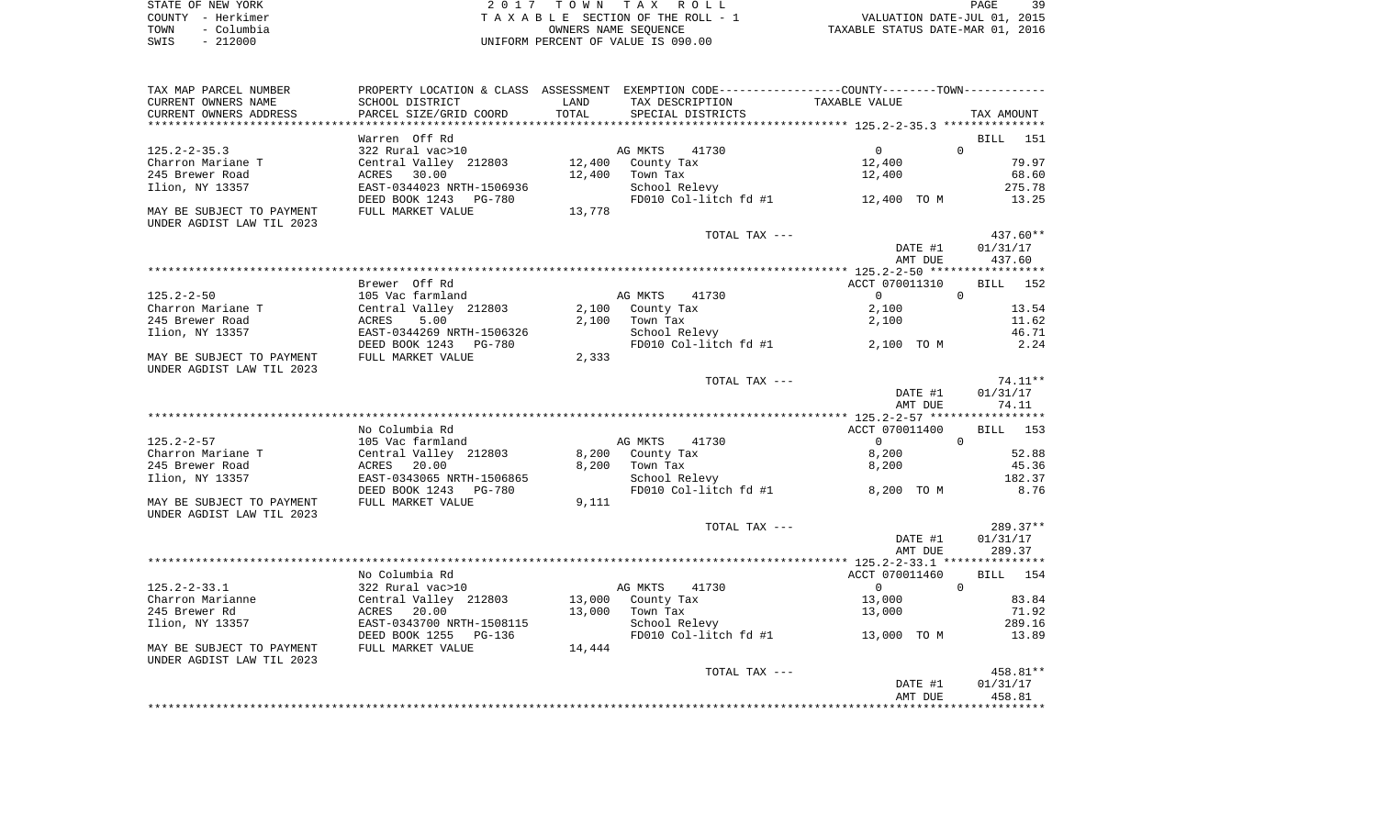|      | STATE OF NEW YORK | 2017 TOWN TAX ROLL                 | 39<br>PAGE                       |
|------|-------------------|------------------------------------|----------------------------------|
|      | COUNTY - Herkimer | TAXABLE SECTION OF THE ROLL - 1    | VALUATION DATE-JUL 01, 2015      |
| TOWN | – Columbia        | OWNERS NAME SEOUENCE               | TAXABLE STATUS DATE-MAR 01, 2016 |
| SWIS | $-212000$         | UNIFORM PERCENT OF VALUE IS 090.00 |                                  |

| UNDER AGDIST LAW TIL 2023                                                  | No Columbia Rd<br>322 Rural vac>10<br>Central Valley 212803<br>ACRES<br>20.00<br>EAST-0343700 NRTH-1508115<br>DEED BOOK 1255<br>PG-136<br>FULL MARKET VALUE | 13,000<br>13,000<br>14,444 | AG MKTS<br>41730<br>County Tax<br>Town Tax<br>School Relevy<br>FD010 Col-litch fd #1<br>TOTAL TAX --- | ACCT 070011460<br>0<br>13,000<br>13,000<br>13,000 TO M<br>DATE #1<br>AMT DUE                 | BILL<br>154<br>$\Omega$<br>83.84<br>71.92<br>289.16<br>13.89<br>458.81**<br>01/31/17<br>458.81 |
|----------------------------------------------------------------------------|-------------------------------------------------------------------------------------------------------------------------------------------------------------|----------------------------|-------------------------------------------------------------------------------------------------------|----------------------------------------------------------------------------------------------|------------------------------------------------------------------------------------------------|
|                                                                            |                                                                                                                                                             |                            |                                                                                                       |                                                                                              |                                                                                                |
| MAY BE SUBJECT TO PAYMENT                                                  |                                                                                                                                                             |                            |                                                                                                       |                                                                                              |                                                                                                |
| $125.2 - 2 - 33.1$<br>Charron Marianne<br>245 Brewer Rd<br>Ilion, NY 13357 |                                                                                                                                                             |                            |                                                                                                       |                                                                                              |                                                                                                |
|                                                                            |                                                                                                                                                             |                            |                                                                                                       |                                                                                              |                                                                                                |
|                                                                            |                                                                                                                                                             |                            |                                                                                                       |                                                                                              |                                                                                                |
|                                                                            |                                                                                                                                                             |                            |                                                                                                       |                                                                                              |                                                                                                |
|                                                                            |                                                                                                                                                             |                            |                                                                                                       |                                                                                              |                                                                                                |
|                                                                            |                                                                                                                                                             |                            |                                                                                                       |                                                                                              |                                                                                                |
|                                                                            |                                                                                                                                                             |                            |                                                                                                       |                                                                                              |                                                                                                |
|                                                                            |                                                                                                                                                             |                            |                                                                                                       |                                                                                              |                                                                                                |
|                                                                            |                                                                                                                                                             |                            |                                                                                                       | AMT DUE                                                                                      | 289.37                                                                                         |
|                                                                            |                                                                                                                                                             |                            |                                                                                                       | DATE #1                                                                                      | 01/31/17                                                                                       |
|                                                                            |                                                                                                                                                             |                            | TOTAL TAX ---                                                                                         |                                                                                              | 289.37**                                                                                       |
| UNDER AGDIST LAW TIL 2023                                                  |                                                                                                                                                             |                            |                                                                                                       |                                                                                              |                                                                                                |
| MAY BE SUBJECT TO PAYMENT                                                  | FULL MARKET VALUE                                                                                                                                           | 9,111                      |                                                                                                       |                                                                                              |                                                                                                |
|                                                                            | DEED BOOK 1243<br><b>PG-780</b>                                                                                                                             |                            | FD010 Col-litch fd #1                                                                                 | 8,200 TO M                                                                                   | 8.76                                                                                           |
| Ilion, NY 13357                                                            | EAST-0343065 NRTH-1506865                                                                                                                                   |                            | School Relevy                                                                                         |                                                                                              | 182.37                                                                                         |
| 245 Brewer Road                                                            | ACRES 20.00                                                                                                                                                 | 8,200                      | Town Tax                                                                                              | 8,200                                                                                        | 45.36                                                                                          |
| Charron Mariane T                                                          | Central Valley 212803                                                                                                                                       | 8,200                      | County Tax                                                                                            | 8,200                                                                                        | 52.88                                                                                          |
| $125.2 - 2 - 57$                                                           | 105 Vac farmland                                                                                                                                            |                            | AG MKTS<br>41730                                                                                      | $\Omega$                                                                                     | $\mathbf{0}$                                                                                   |
|                                                                            | No Columbia Rd                                                                                                                                              |                            |                                                                                                       | ACCT 070011400                                                                               | BILL<br>153                                                                                    |
|                                                                            |                                                                                                                                                             |                            |                                                                                                       |                                                                                              |                                                                                                |
|                                                                            |                                                                                                                                                             |                            |                                                                                                       | AMT DUE                                                                                      | 74.11<br>**********                                                                            |
|                                                                            |                                                                                                                                                             |                            |                                                                                                       | DATE #1                                                                                      | 01/31/17                                                                                       |
|                                                                            |                                                                                                                                                             |                            | TOTAL TAX ---                                                                                         |                                                                                              | $74.11**$                                                                                      |
| UNDER AGDIST LAW TIL 2023                                                  |                                                                                                                                                             |                            |                                                                                                       |                                                                                              |                                                                                                |
| MAY BE SUBJECT TO PAYMENT                                                  | FULL MARKET VALUE                                                                                                                                           | 2,333                      |                                                                                                       |                                                                                              |                                                                                                |
|                                                                            | DEED BOOK 1243<br>PG-780                                                                                                                                    |                            | FD010 Col-litch fd #1                                                                                 | 2,100 TO M                                                                                   | 2.24                                                                                           |
| Ilion, NY 13357                                                            | EAST-0344269 NRTH-1506326                                                                                                                                   |                            | School Relevy                                                                                         |                                                                                              | 46.71                                                                                          |
| 245 Brewer Road                                                            | 5.00<br>ACRES                                                                                                                                               | 2,100                      | Town Tax                                                                                              | 2,100                                                                                        | 11.62                                                                                          |
| Charron Mariane T                                                          | Central Valley 212803                                                                                                                                       | 2,100                      | County Tax                                                                                            | 2,100                                                                                        | 13.54                                                                                          |
| $125.2 - 2 - 50$                                                           | 105 Vac farmland                                                                                                                                            |                            | AG MKTS<br>41730                                                                                      | $\overline{0}$                                                                               |                                                                                                |
|                                                                            |                                                                                                                                                             |                            |                                                                                                       |                                                                                              | $\Omega$                                                                                       |
|                                                                            | Brewer Off Rd                                                                                                                                               |                            |                                                                                                       | ACCT 070011310                                                                               | 152<br>BILL                                                                                    |
|                                                                            |                                                                                                                                                             |                            |                                                                                                       |                                                                                              |                                                                                                |
|                                                                            |                                                                                                                                                             |                            |                                                                                                       | AMT DUE                                                                                      | 437.60                                                                                         |
|                                                                            |                                                                                                                                                             |                            |                                                                                                       | DATE #1                                                                                      | 01/31/17                                                                                       |
|                                                                            |                                                                                                                                                             |                            | TOTAL TAX ---                                                                                         |                                                                                              | $437.60**$                                                                                     |
| UNDER AGDIST LAW TIL 2023                                                  |                                                                                                                                                             |                            |                                                                                                       |                                                                                              |                                                                                                |
| MAY BE SUBJECT TO PAYMENT                                                  | FULL MARKET VALUE                                                                                                                                           | 13,778                     |                                                                                                       |                                                                                              |                                                                                                |
|                                                                            | DEED BOOK 1243<br><b>PG-780</b>                                                                                                                             |                            | FD010 Col-litch fd #1                                                                                 | 12,400 TO M                                                                                  | 13.25                                                                                          |
| Ilion, NY 13357                                                            | EAST-0344023 NRTH-1506936                                                                                                                                   |                            | School Relevy                                                                                         |                                                                                              | 275.78                                                                                         |
| 245 Brewer Road                                                            | ACRES 30.00                                                                                                                                                 | 12,400                     | Town Tax                                                                                              | 12,400                                                                                       | 68.60                                                                                          |
| Charron Mariane T                                                          | Central Valley 212803                                                                                                                                       | 12,400                     | County Tax                                                                                            | 12,400                                                                                       | 79.97                                                                                          |
| $125.2 - 2 - 35.3$                                                         | 322 Rural vac>10                                                                                                                                            |                            | AG MKTS<br>41730                                                                                      | $\Omega$                                                                                     | $\Omega$                                                                                       |
|                                                                            | Warren Off Rd                                                                                                                                               |                            |                                                                                                       |                                                                                              | <b>BILL</b><br>151                                                                             |
| ********************                                                       |                                                                                                                                                             |                            |                                                                                                       |                                                                                              |                                                                                                |
|                                                                            | PARCEL SIZE/GRID COORD                                                                                                                                      | TOTAL                      | SPECIAL DISTRICTS                                                                                     |                                                                                              | TAX AMOUNT                                                                                     |
| CURRENT OWNERS ADDRESS                                                     |                                                                                                                                                             | LAND                       | TAX DESCRIPTION                                                                                       | TAXABLE VALUE                                                                                |                                                                                                |
| CURRENT OWNERS NAME                                                        | SCHOOL DISTRICT                                                                                                                                             |                            |                                                                                                       | PROPERTY LOCATION & CLASS ASSESSMENT EXEMPTION CODE---------------COUNTY-------TOWN--------- |                                                                                                |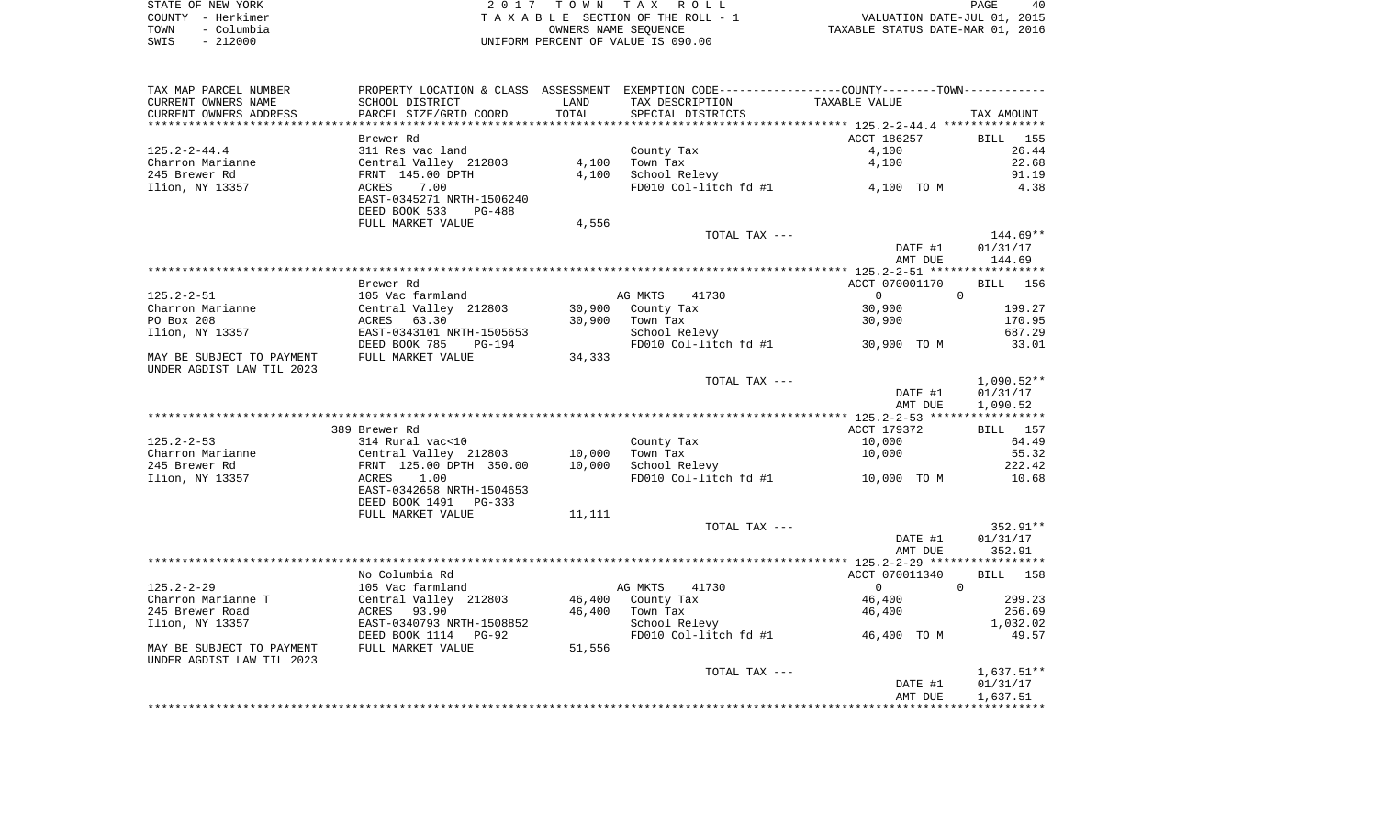|      | STATE OF NEW YORK | 2017 TOWN TAX ROLL                 | 40<br>PAGE                       |
|------|-------------------|------------------------------------|----------------------------------|
|      | COUNTY - Herkimer | TAXABLE SECTION OF THE ROLL - 1    | VALUATION DATE-JUL 01, 2015      |
| TOWN | – Columbia        | OWNERS NAME SEOUENCE               | TAXABLE STATUS DATE-MAR 01, 2016 |
| SWIS | $-212000$         | UNIFORM PERCENT OF VALUE IS 090.00 |                                  |

| TAX MAP PARCEL NUMBER     | PROPERTY LOCATION & CLASS ASSESSMENT EXEMPTION CODE---------------COUNTY-------TOWN---------- |        |                       |                                   |                 |
|---------------------------|-----------------------------------------------------------------------------------------------|--------|-----------------------|-----------------------------------|-----------------|
| CURRENT OWNERS NAME       | SCHOOL DISTRICT                                                                               | LAND   | TAX DESCRIPTION       | TAXABLE VALUE                     |                 |
| CURRENT OWNERS ADDRESS    | PARCEL SIZE/GRID COORD                                                                        | TOTAL  | SPECIAL DISTRICTS     |                                   | TAX AMOUNT      |
|                           |                                                                                               |        |                       |                                   |                 |
|                           | Brewer Rd                                                                                     |        |                       | ACCT 186257                       | <b>BILL</b> 155 |
| $125.2 - 2 - 44.4$        | 311 Res vac land                                                                              |        | County Tax            | 4,100                             | 26.44           |
| Charron Marianne          | Central Valley 212803                                                                         | 4,100  | Town Tax              | 4,100                             | 22.68           |
| 245 Brewer Rd             | FRNT 145.00 DPTH                                                                              | 4,100  | School Relevy         |                                   | 91.19           |
| Ilion, NY 13357           | ACRES<br>7.00                                                                                 |        | FD010 Col-litch fd #1 | 4,100 TO M                        | 4.38            |
|                           | EAST-0345271 NRTH-1506240                                                                     |        |                       |                                   |                 |
|                           | DEED BOOK 533<br>PG-488                                                                       |        |                       |                                   |                 |
|                           | FULL MARKET VALUE                                                                             | 4,556  |                       |                                   |                 |
|                           |                                                                                               |        | TOTAL TAX ---         |                                   | 144.69**        |
|                           |                                                                                               |        |                       | DATE #1                           | 01/31/17        |
|                           |                                                                                               |        |                       | AMT DUE                           | 144.69          |
|                           |                                                                                               |        |                       |                                   |                 |
|                           | Brewer Rd                                                                                     |        |                       | ACCT 070001170                    | BILL 156        |
| $125.2 - 2 - 51$          | 105 Vac farmland                                                                              |        | AG MKTS 41730         | $\Omega$                          | $\Omega$        |
| Charron Marianne          | Central Valley 212803                                                                         |        | 30,900 County Tax     | 30,900                            | 199.27          |
| PO Box 208                | ACRES 63.30                                                                                   | 30,900 | Town Tax              | 30,900                            | 170.95          |
| Ilion, NY 13357           | EAST-0343101 NRTH-1505653                                                                     |        | School Relevy         |                                   | 687.29          |
|                           | DEED BOOK 785 PG-194                                                                          |        | FD010 Col-litch fd #1 | 30,900 TO M                       | 33.01           |
| MAY BE SUBJECT TO PAYMENT | FULL MARKET VALUE                                                                             | 34,333 |                       |                                   |                 |
| UNDER AGDIST LAW TIL 2023 |                                                                                               |        |                       |                                   |                 |
|                           |                                                                                               |        | TOTAL TAX ---         |                                   | $1,090.52**$    |
|                           |                                                                                               |        |                       | DATE #1                           | 01/31/17        |
|                           |                                                                                               |        |                       | AMT DUE                           | 1,090.52        |
|                           |                                                                                               |        |                       |                                   |                 |
|                           | 389 Brewer Rd                                                                                 |        |                       | ACCT 179372                       | BILL 157        |
| 125.2-2-53                | 314 Rural vac<10                                                                              |        | County Tax            | 10,000                            | 64.49           |
| Charron Marianne          |                                                                                               | 10,000 | Town Tax              | 10,000                            | 55.32           |
| 245 Brewer Rd             | Central Valley 212803<br>FRNT 125.00 DPTH 350.00                                              | 10,000 | School Relevy         |                                   | 222.42          |
| Ilion, NY 13357           | ACRES<br>1.00                                                                                 |        | FD010 Col-litch fd #1 | 10,000 TO M                       | 10.68           |
|                           | EAST-0342658 NRTH-1504653                                                                     |        |                       |                                   |                 |
|                           | DEED BOOK 1491 PG-333                                                                         |        |                       |                                   |                 |
|                           | FULL MARKET VALUE                                                                             | 11,111 |                       |                                   |                 |
|                           |                                                                                               |        | TOTAL TAX ---         |                                   | 352.91**        |
|                           |                                                                                               |        |                       | DATE #1                           | 01/31/17        |
|                           |                                                                                               |        |                       | AMT DUE                           | 352.91          |
|                           |                                                                                               |        |                       |                                   |                 |
|                           | No Columbia Rd                                                                                |        |                       | ACCT 070011340                    | BILL 158        |
| $125.2 - 2 - 29$          | 105 Vac farmland                                                                              |        | AG MKTS<br>41730      | $\overline{0}$                    | $\Omega$        |
| Charron Marianne T        | Central Valley 212803                                                                         |        | 46,400 County Tax     | 46,400                            | 299.23          |
| 245 Brewer Road           | ACRES<br>93.90                                                                                | 46,400 | Town Tax              | 46,400                            | 256.69          |
| Ilion, NY 13357           | EAST-0340793 NRTH-1508852                                                                     |        | School Relevy         |                                   | 1,032.02        |
|                           | DEED BOOK 1114 PG-92                                                                          |        |                       | FD010 Col-litch fd #1 46,400 TO M | 49.57           |
| MAY BE SUBJECT TO PAYMENT | FULL MARKET VALUE                                                                             | 51,556 |                       |                                   |                 |
|                           |                                                                                               |        |                       |                                   |                 |
| UNDER AGDIST LAW TIL 2023 |                                                                                               |        | TOTAL TAX ---         |                                   | 1,637.51**      |
|                           |                                                                                               |        |                       | DATE #1                           | 01/31/17        |
|                           |                                                                                               |        |                       | AMT DUE                           | 1,637.51        |
|                           |                                                                                               |        |                       |                                   |                 |
|                           |                                                                                               |        |                       |                                   |                 |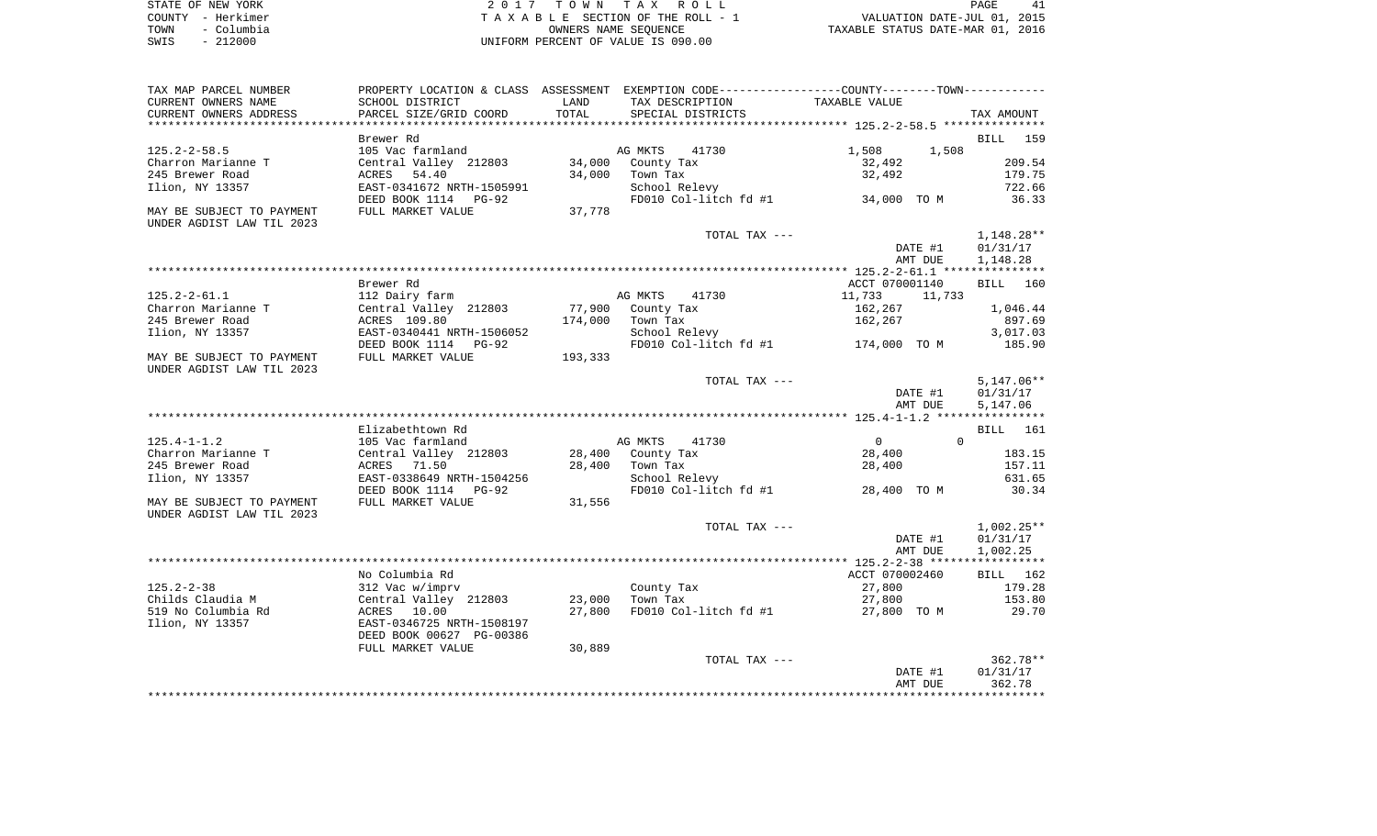| STATE OF NEW YORK  | 2017 TOWN TAX ROLL                 | 41<br>PAGE                       |
|--------------------|------------------------------------|----------------------------------|
| COUNTY - Herkimer  | TAXABLE SECTION OF THE ROLL - 1    | VALUATION DATE-JUL 01, 2015      |
| – Columbia<br>TOWN | OWNERS NAME SEOUENCE               | TAXABLE STATUS DATE-MAR 01, 2016 |
| $-212000$<br>SWIS  | UNIFORM PERCENT OF VALUE IS 090.00 |                                  |

| TAX MAP PARCEL NUMBER     |                                          |         |                        | PROPERTY LOCATION & CLASS ASSESSMENT EXEMPTION CODE----------------COUNTY--------TOWN----------- |                    |
|---------------------------|------------------------------------------|---------|------------------------|--------------------------------------------------------------------------------------------------|--------------------|
| CURRENT OWNERS NAME       | SCHOOL DISTRICT                          | LAND    | TAX DESCRIPTION        | TAXABLE VALUE                                                                                    |                    |
| CURRENT OWNERS ADDRESS    | PARCEL SIZE/GRID COORD                   | TOTAL   | SPECIAL DISTRICTS      |                                                                                                  | TAX AMOUNT         |
|                           |                                          |         |                        |                                                                                                  |                    |
|                           | Brewer Rd                                |         |                        |                                                                                                  | <b>BILL</b><br>159 |
| $125.2 - 2 - 58.5$        | 105 Vac farmland                         |         | AG MKTS<br>41730       | 1,508<br>1,508                                                                                   |                    |
| Charron Marianne T        | Central Valley 212803                    | 34,000  | County Tax             | 32,492                                                                                           | 209.54             |
| 245 Brewer Road           | ACRES<br>54.40                           | 34,000  | Town Tax               | 32,492                                                                                           | 179.75             |
| Ilion, NY 13357           | EAST-0341672 NRTH-1505991                |         | School Relevy          |                                                                                                  | 722.66             |
|                           | DEED BOOK 1114<br>PG-92                  |         | FD010 Col-litch fd #1  | 34,000 TO M                                                                                      | 36.33              |
| MAY BE SUBJECT TO PAYMENT | FULL MARKET VALUE                        | 37,778  |                        |                                                                                                  |                    |
| UNDER AGDIST LAW TIL 2023 |                                          |         |                        |                                                                                                  |                    |
|                           |                                          |         | TOTAL TAX ---          |                                                                                                  | 1,148.28**         |
|                           |                                          |         |                        | DATE #1                                                                                          | 01/31/17           |
|                           |                                          |         |                        | AMT DUE                                                                                          | 1,148.28           |
|                           | Brewer Rd                                |         |                        | ACCT 070001140                                                                                   | BILL 160           |
| $125.2 - 2 - 61.1$        | 112 Dairy farm                           |         | AG MKTS<br>41730       | 11,733<br>11,733                                                                                 |                    |
| Charron Marianne T        | Central Valley 212803                    | 77,900  | County Tax             | 162,267                                                                                          | 1,046.44           |
| 245 Brewer Road           | ACRES 109.80                             | 174,000 | Town Tax               | 162,267                                                                                          | 897.69             |
| Ilion, NY 13357           | EAST-0340441 NRTH-1506052                |         | School Relevy          |                                                                                                  | 3,017.03           |
|                           | DEED BOOK 1114<br>PG-92                  |         | FD010 Col-litch fd #1  | 174,000 TO M                                                                                     | 185.90             |
| MAY BE SUBJECT TO PAYMENT | FULL MARKET VALUE                        | 193,333 |                        |                                                                                                  |                    |
| UNDER AGDIST LAW TIL 2023 |                                          |         |                        |                                                                                                  |                    |
|                           |                                          |         | TOTAL TAX ---          |                                                                                                  | $5,147.06**$       |
|                           |                                          |         |                        | DATE #1                                                                                          | 01/31/17           |
|                           |                                          |         |                        | AMT DUE                                                                                          | 5,147.06           |
|                           |                                          |         |                        |                                                                                                  |                    |
|                           | Elizabethtown Rd                         |         |                        |                                                                                                  | BILL 161           |
| $125.4 - 1 - 1.2$         | 105 Vac farmland                         |         | AG MKTS<br>41730       | $\Omega$<br>$\Omega$                                                                             |                    |
| Charron Marianne T        | Central Valley 212803                    | 28,400  | County Tax             | 28,400                                                                                           | 183.15             |
| 245 Brewer Road           | 71.50<br>ACRES                           | 28,400  | Town Tax               | 28,400                                                                                           | 157.11             |
| Ilion, NY 13357           | EAST-0338649 NRTH-1504256                |         | School Relevy          |                                                                                                  | 631.65             |
|                           | DEED BOOK 1114 PG-92                     |         | FD010 Col-litch fd #1  | 28,400 TO M                                                                                      | 30.34              |
| MAY BE SUBJECT TO PAYMENT | FULL MARKET VALUE                        | 31,556  |                        |                                                                                                  |                    |
| UNDER AGDIST LAW TIL 2023 |                                          |         |                        |                                                                                                  |                    |
|                           |                                          |         | TOTAL TAX ---          |                                                                                                  | $1,002.25**$       |
|                           |                                          |         |                        | DATE #1                                                                                          | 01/31/17           |
|                           |                                          |         |                        | AMT DUE                                                                                          | 1,002.25           |
|                           |                                          |         |                        |                                                                                                  |                    |
| $125.2 - 2 - 38$          | No Columbia Rd                           |         |                        | ACCT 070002460<br>27,800                                                                         | BILL 162<br>179.28 |
| Childs Claudia M          | 312 Vac w/imprv<br>Central Valley 212803 | 23,000  | County Tax<br>Town Tax | 27,800                                                                                           | 153.80             |
| 519 No Columbia Rd        | ACRES<br>10.00                           | 27,800  | FD010 Col-litch fd #1  | 27,800 TO M                                                                                      | 29.70              |
| Ilion, NY 13357           | EAST-0346725 NRTH-1508197                |         |                        |                                                                                                  |                    |
|                           | DEED BOOK 00627 PG-00386                 |         |                        |                                                                                                  |                    |
|                           | FULL MARKET VALUE                        | 30,889  |                        |                                                                                                  |                    |
|                           |                                          |         | TOTAL TAX ---          |                                                                                                  | $362.78**$         |
|                           |                                          |         |                        | DATE #1                                                                                          | 01/31/17           |
|                           |                                          |         |                        | AMT DUE                                                                                          | 362.78             |
|                           |                                          |         |                        |                                                                                                  |                    |
|                           |                                          |         |                        |                                                                                                  |                    |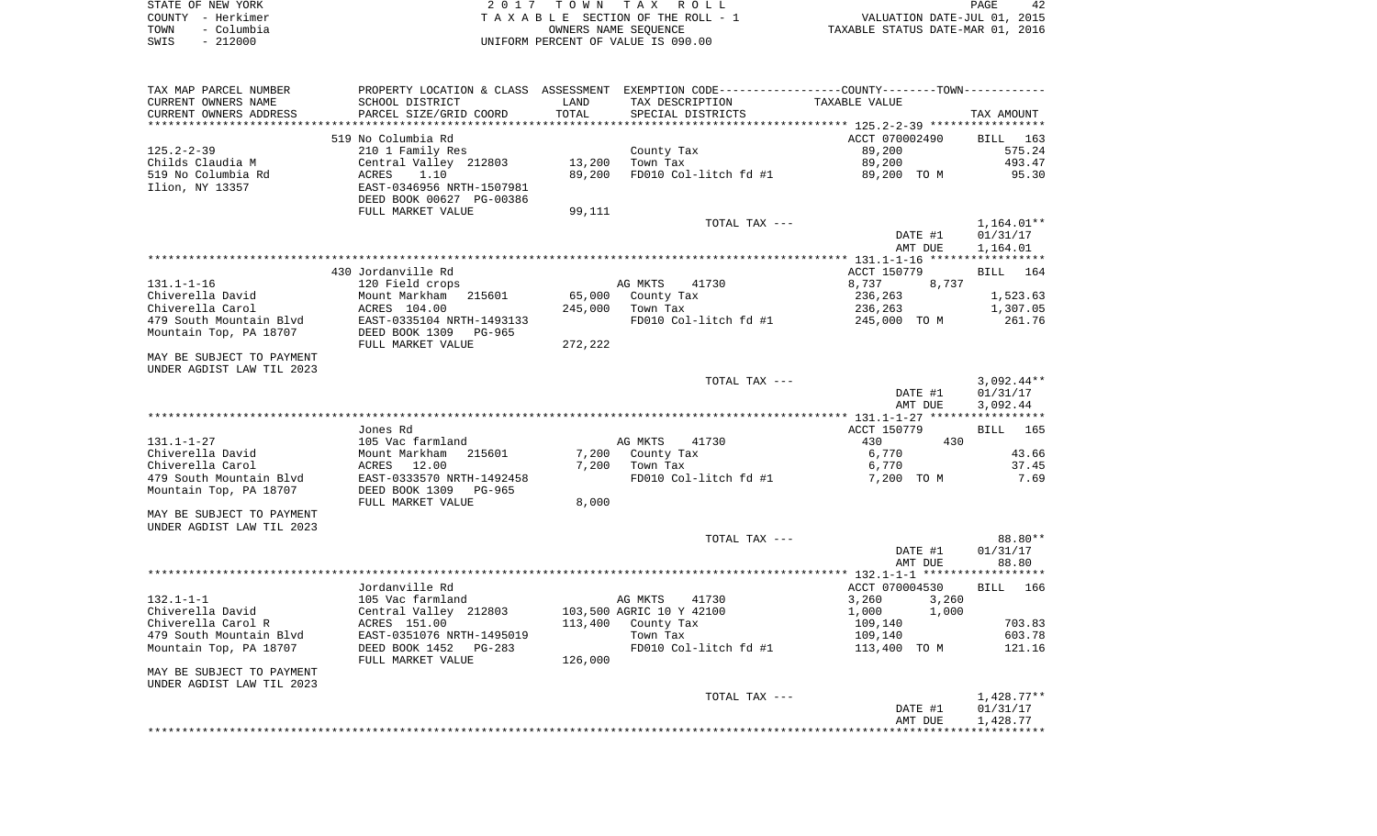| STATE OF NEW YORK  | 2017 TOWN TAX ROLL                 | 42<br>PAGE                       |
|--------------------|------------------------------------|----------------------------------|
| COUNTY - Herkimer  | TAXABLE SECTION OF THE ROLL - 1    | VALUATION DATE-JUL 01, 2015      |
| - Columbia<br>TOWN | OWNERS NAME SEOUENCE               | TAXABLE STATUS DATE-MAR 01, 2016 |
| $-212000$<br>SWIS  | UNIFORM PERCENT OF VALUE IS 090.00 |                                  |

| TAX MAP PARCEL NUMBER     |                                                      |            | PROPERTY LOCATION & CLASS ASSESSMENT EXEMPTION CODE---------------COUNTY-------TOWN---------- |                                                                      |                    |
|---------------------------|------------------------------------------------------|------------|-----------------------------------------------------------------------------------------------|----------------------------------------------------------------------|--------------------|
| CURRENT OWNERS NAME       | SCHOOL DISTRICT                                      | LAND       | TAX DESCRIPTION                                                                               | TAXABLE VALUE                                                        |                    |
| CURRENT OWNERS ADDRESS    | PARCEL SIZE/GRID COORD<br>************************** | TOTAL      | SPECIAL DISTRICTS                                                                             |                                                                      | TAX AMOUNT         |
| *******************       |                                                      | ********** |                                                                                               | ************************************** 125.2-2-39 ****************** |                    |
|                           | 519 No Columbia Rd                                   |            |                                                                                               | ACCT 070002490                                                       | BILL<br>163        |
| $125.2 - 2 - 39$          | 210 1 Family Res                                     |            | County Tax                                                                                    | 89,200                                                               | 575.24             |
| Childs Claudia M          | Central Valley 212803                                | 13,200     | Town Tax                                                                                      | 89,200                                                               | 493.47             |
| 519 No Columbia Rd        | ACRES<br>1.10                                        | 89,200     | FD010 Col-litch fd #1                                                                         | 89,200 TO M                                                          | 95.30              |
| Ilion, NY 13357           | EAST-0346956 NRTH-1507981                            |            |                                                                                               |                                                                      |                    |
|                           | DEED BOOK 00627 PG-00386                             |            |                                                                                               |                                                                      |                    |
|                           | FULL MARKET VALUE                                    | 99,111     |                                                                                               |                                                                      |                    |
|                           |                                                      |            | TOTAL TAX ---                                                                                 |                                                                      | $1,164.01**$       |
|                           |                                                      |            |                                                                                               | DATE #1                                                              | 01/31/17           |
|                           |                                                      |            |                                                                                               | AMT DUE                                                              | 1,164.01           |
|                           |                                                      |            |                                                                                               |                                                                      |                    |
|                           | 430 Jordanville Rd                                   |            |                                                                                               | ACCT 150779                                                          | 164<br><b>BILL</b> |
| $131.1 - 1 - 16$          | 120 Field crops                                      |            | AG MKTS<br>41730                                                                              | 8,737<br>8,737                                                       |                    |
| Chiverella David          | Mount Markham<br>215601                              | 65,000     | County Tax                                                                                    | 236,263                                                              | 1,523.63           |
| Chiverella Carol          | ACRES 104.00                                         | 245,000    | Town Tax                                                                                      | 236,263                                                              | 1,307.05           |
| 479 South Mountain Blvd   | EAST-0335104 NRTH-1493133                            |            | FD010 Col-litch fd #1                                                                         | 245,000 TO M                                                         | 261.76             |
| Mountain Top, PA 18707    | DEED BOOK 1309<br><b>PG-965</b>                      |            |                                                                                               |                                                                      |                    |
| MAY BE SUBJECT TO PAYMENT | FULL MARKET VALUE                                    | 272,222    |                                                                                               |                                                                      |                    |
| UNDER AGDIST LAW TIL 2023 |                                                      |            |                                                                                               |                                                                      |                    |
|                           |                                                      |            | TOTAL TAX ---                                                                                 |                                                                      | $3,092.44**$       |
|                           |                                                      |            |                                                                                               | DATE #1                                                              | 01/31/17           |
|                           |                                                      |            |                                                                                               | AMT DUE                                                              | 3,092.44           |
|                           |                                                      |            |                                                                                               |                                                                      |                    |
|                           | Jones Rd                                             |            |                                                                                               | ACCT 150779                                                          | <b>BILL</b><br>165 |
| $131.1 - 1 - 27$          | 105 Vac farmland                                     |            | AG MKTS<br>41730                                                                              | 430<br>430                                                           |                    |
| Chiverella David          | Mount Markham<br>215601                              | 7,200      | County Tax                                                                                    | 6,770                                                                | 43.66              |
| Chiverella Carol          | 12.00<br>ACRES                                       | 7,200      | Town Tax                                                                                      | 6,770                                                                | 37.45              |
| 479 South Mountain Blvd   | EAST-0333570 NRTH-1492458                            |            | FD010 Col-litch fd #1                                                                         | 7,200 TO M                                                           | 7.69               |
| Mountain Top, PA 18707    | DEED BOOK 1309<br><b>PG-965</b>                      |            |                                                                                               |                                                                      |                    |
|                           | FULL MARKET VALUE                                    | 8,000      |                                                                                               |                                                                      |                    |
| MAY BE SUBJECT TO PAYMENT |                                                      |            |                                                                                               |                                                                      |                    |
| UNDER AGDIST LAW TIL 2023 |                                                      |            |                                                                                               |                                                                      |                    |
|                           |                                                      |            | TOTAL TAX ---                                                                                 |                                                                      | 88.80**            |
|                           |                                                      |            |                                                                                               | DATE #1                                                              | 01/31/17           |
|                           |                                                      |            |                                                                                               | AMT DUE                                                              | 88.80              |
|                           |                                                      |            |                                                                                               |                                                                      |                    |
|                           | Jordanville Rd                                       |            |                                                                                               | ACCT 070004530                                                       | <b>BILL</b><br>166 |
| $132.1 - 1 - 1$           | 105 Vac farmland                                     |            | AG MKTS<br>41730                                                                              | 3,260<br>3,260                                                       |                    |
| Chiverella David          | Central Valley 212803                                |            | 103,500 AGRIC 10 Y 42100                                                                      | 1,000<br>1,000                                                       |                    |
| Chiverella Carol R        | ACRES 151.00                                         | 113,400    | County Tax                                                                                    | 109,140                                                              | 703.83             |
| 479 South Mountain Blvd   | EAST-0351076 NRTH-1495019                            |            | Town Tax                                                                                      | 109,140                                                              | 603.78             |
| Mountain Top, PA 18707    | DEED BOOK 1452<br>$PG-283$<br>FULL MARKET VALUE      | 126,000    | FD010 Col-litch fd #1                                                                         | 113,400 TO M                                                         | 121.16             |
| MAY BE SUBJECT TO PAYMENT |                                                      |            |                                                                                               |                                                                      |                    |
| UNDER AGDIST LAW TIL 2023 |                                                      |            |                                                                                               |                                                                      |                    |
|                           |                                                      |            | TOTAL TAX ---                                                                                 |                                                                      | $1,428.77**$       |
|                           |                                                      |            |                                                                                               | DATE #1                                                              | 01/31/17           |
|                           |                                                      |            |                                                                                               | AMT DUE                                                              | 1,428.77           |
|                           |                                                      |            |                                                                                               |                                                                      |                    |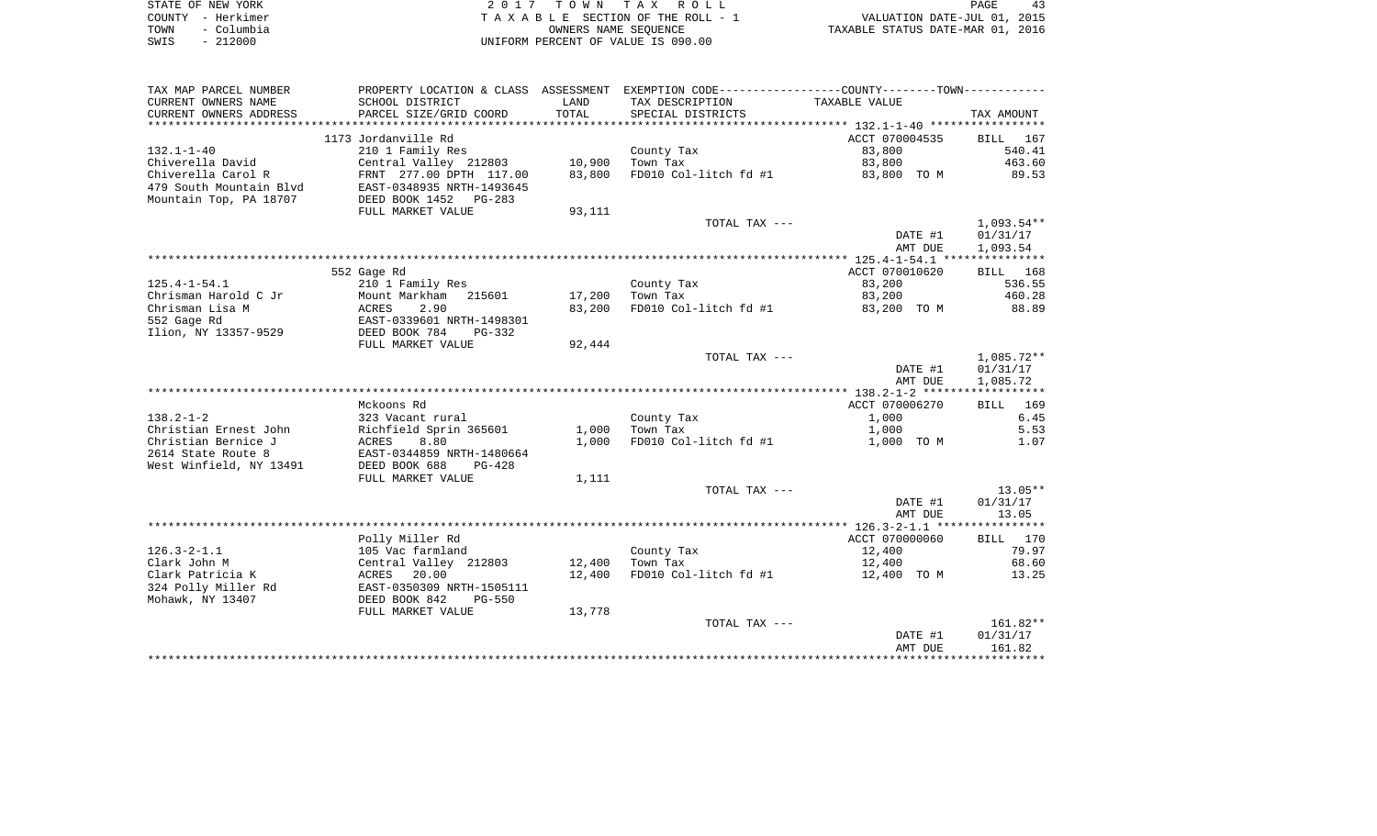| STATE OF NEW YORK  | 2017 TOWN TAX ROLL                 | PAGE                             |
|--------------------|------------------------------------|----------------------------------|
| COUNTY - Herkimer  | TAXABLE SECTION OF THE ROLL - 1    | VALUATION DATE-JUL 01, 2015      |
| - Columbia<br>TOWN | OWNERS NAME SEOUENCE               | TAXABLE STATUS DATE-MAR 01, 2016 |
| $-212000$<br>SWIS  | UNIFORM PERCENT OF VALUE IS 090.00 |                                  |

| TAX MAP PARCEL NUMBER   | PROPERTY LOCATION & CLASS ASSESSMENT |            | EXEMPTION CODE-----------------COUNTY-------TOWN----------- |                |                    |
|-------------------------|--------------------------------------|------------|-------------------------------------------------------------|----------------|--------------------|
| CURRENT OWNERS NAME     | SCHOOL DISTRICT                      | LAND       | TAX DESCRIPTION                                             | TAXABLE VALUE  |                    |
| CURRENT OWNERS ADDRESS  | PARCEL SIZE/GRID COORD               | TOTAL      | SPECIAL DISTRICTS                                           |                | TAX AMOUNT         |
| *****************       |                                      | ********** |                                                             |                |                    |
|                         | 1173 Jordanville Rd                  |            |                                                             | ACCT 070004535 | BILL<br>167        |
| $132.1 - 1 - 40$        | 210 1 Family Res                     |            | County Tax                                                  | 83,800         | 540.41             |
| Chiverella David        | Central Valley 212803                | 10,900     | Town Tax                                                    | 83,800         | 463.60             |
| Chiverella Carol R      | FRNT 277.00 DPTH 117.00              | 83,800     | FD010 Col-litch fd #1                                       | 83,800 TO M    | 89.53              |
| 479 South Mountain Blvd | EAST-0348935 NRTH-1493645            |            |                                                             |                |                    |
| Mountain Top, PA 18707  | DEED BOOK 1452<br>$PG-283$           |            |                                                             |                |                    |
|                         | FULL MARKET VALUE                    | 93,111     |                                                             |                |                    |
|                         |                                      |            | TOTAL TAX ---                                               |                | $1,093.54**$       |
|                         |                                      |            |                                                             | DATE #1        | 01/31/17           |
|                         |                                      |            |                                                             | AMT DUE        | 1,093.54           |
|                         |                                      |            |                                                             |                |                    |
|                         | 552 Gage Rd                          |            |                                                             | ACCT 070010620 | BILL 168           |
| $125.4 - 1 - 54.1$      | 210 1 Family Res                     |            | County Tax                                                  | 83,200         | 536.55             |
| Chrisman Harold C Jr    | Mount Markham<br>215601              | 17,200     | Town Tax                                                    | 83,200         | 460.28             |
| Chrisman Lisa M         | ACRES<br>2.90                        | 83,200     | FD010 Col-litch fd #1                                       | 83,200 TO M    | 88.89              |
| 552 Gage Rd             | EAST-0339601 NRTH-1498301            |            |                                                             |                |                    |
| Ilion, NY 13357-9529    | DEED BOOK 784<br>$PG-332$            |            |                                                             |                |                    |
|                         | FULL MARKET VALUE                    | 92,444     |                                                             |                |                    |
|                         |                                      |            | TOTAL TAX ---                                               |                | 1,085.72**         |
|                         |                                      |            |                                                             | DATE #1        | 01/31/17           |
|                         |                                      |            |                                                             | AMT DUE        | 1,085.72           |
|                         |                                      |            |                                                             |                |                    |
|                         | Mckoons Rd                           |            |                                                             | ACCT 070006270 | 169<br>BILL        |
| $138.2 - 1 - 2$         | 323 Vacant rural                     |            | County Tax                                                  | 1,000          | 6.45               |
| Christian Ernest John   | Richfield Sprin 365601               | 1,000      | Town Tax                                                    | 1,000          | 5.53               |
| Christian Bernice J     | 8.80<br>ACRES                        | 1,000      | FD010 Col-litch fd #1                                       | 1,000 TO M     | 1.07               |
| 2614 State Route 8      | EAST-0344859 NRTH-1480664            |            |                                                             |                |                    |
| West Winfield, NY 13491 | DEED BOOK 688<br>$PG-428$            |            |                                                             |                |                    |
|                         | FULL MARKET VALUE                    | 1,111      |                                                             |                |                    |
|                         |                                      |            | TOTAL TAX ---                                               |                | $13.05**$          |
|                         |                                      |            |                                                             | DATE #1        | 01/31/17           |
|                         |                                      |            |                                                             | AMT DUE        | 13.05              |
|                         |                                      |            |                                                             |                |                    |
|                         | Polly Miller Rd                      |            |                                                             | ACCT 070000060 | <b>BILL</b><br>170 |
| $126.3 - 2 - 1.1$       | 105 Vac farmland                     |            | County Tax                                                  | 12,400         | 79.97              |
| Clark John M            | Central Valley 212803                | 12,400     | Town Tax                                                    | 12,400         | 68.60              |
| Clark Patricia K        | ACRES<br>20.00                       | 12,400     | FD010 Col-litch fd #1                                       | 12,400 TO M    | 13.25              |
| 324 Polly Miller Rd     | EAST-0350309 NRTH-1505111            |            |                                                             |                |                    |
| Mohawk, NY 13407        | DEED BOOK 842<br>$PG-550$            |            |                                                             |                |                    |
|                         | FULL MARKET VALUE                    | 13,778     |                                                             |                |                    |
|                         |                                      |            | TOTAL TAX ---                                               |                | 161.82**           |
|                         |                                      |            |                                                             | DATE #1        | 01/31/17           |
|                         |                                      |            |                                                             | AMT DUE        | 161.82             |
|                         |                                      |            |                                                             |                |                    |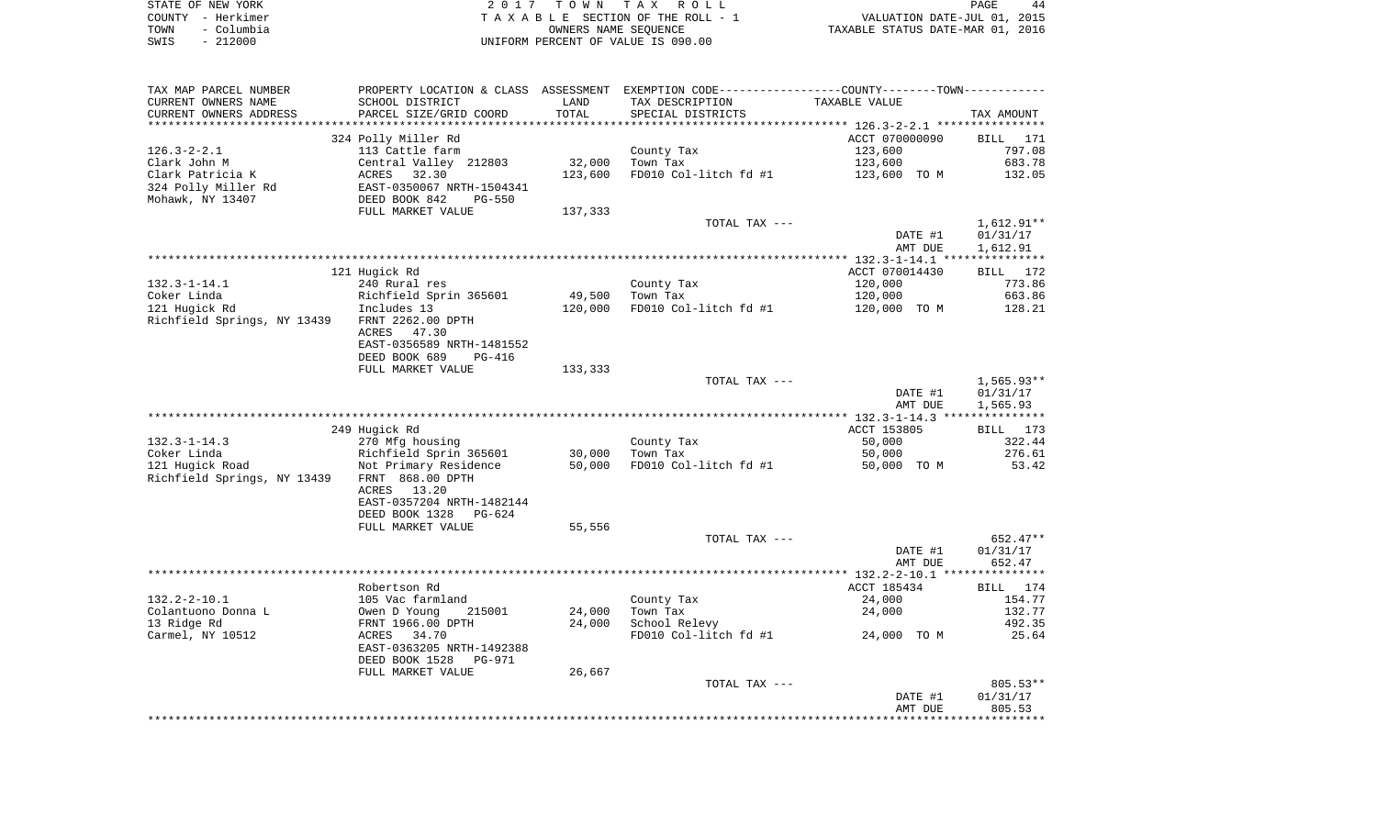| STATE OF NEW YORK  | 2017 TOWN TAX ROLL                    | PAGE                             |
|--------------------|---------------------------------------|----------------------------------|
| COUNTY - Herkimer  | T A X A B L E SECTION OF THE ROLL - 1 | VALUATION DATE-JUL 01, 2015      |
| - Columbia<br>TOWN | OWNERS NAME SEOUENCE                  | TAXABLE STATUS DATE-MAR 01, 2016 |
| $-212000$<br>SWIS  | UNIFORM PERCENT OF VALUE IS 090.00    |                                  |

| TAX MAP PARCEL NUMBER                         | PROPERTY LOCATION & CLASS ASSESSMENT EXEMPTION CODE---------------COUNTY-------TOWN---------- |         |                        |                  |                  |
|-----------------------------------------------|-----------------------------------------------------------------------------------------------|---------|------------------------|------------------|------------------|
| CURRENT OWNERS NAME                           | SCHOOL DISTRICT                                                                               | LAND    | TAX DESCRIPTION        | TAXABLE VALUE    |                  |
| CURRENT OWNERS ADDRESS                        | PARCEL SIZE/GRID COORD                                                                        | TOTAL   | SPECIAL DISTRICTS      |                  | TAX AMOUNT       |
|                                               |                                                                                               |         |                        |                  |                  |
|                                               | 324 Polly Miller Rd                                                                           |         |                        | ACCT 070000090   | BILL 171         |
| $126.3 - 2 - 2.1$                             | 113 Cattle farm                                                                               |         | County Tax             | 123,600          | 797.08           |
| Clark John M                                  | Central Valley 212803                                                                         | 32,000  | Town Tax               | 123,600          | 683.78           |
| Clark Patricia K                              | ACRES 32.30                                                                                   | 123,600 | FD010 Col-litch fd #1  | 123,600 TO M     | 132.05           |
| 324 Polly Miller Rd                           | EAST-0350067 NRTH-1504341                                                                     |         |                        |                  |                  |
| Mohawk, NY 13407                              | DEED BOOK 842<br><b>PG-550</b>                                                                |         |                        |                  |                  |
|                                               | FULL MARKET VALUE                                                                             | 137,333 |                        |                  |                  |
|                                               |                                                                                               |         | TOTAL TAX ---          |                  | $1,612.91**$     |
|                                               |                                                                                               |         |                        | DATE #1          | 01/31/17         |
|                                               |                                                                                               |         |                        | AMT DUE          | 1,612.91         |
|                                               |                                                                                               |         |                        |                  |                  |
|                                               | 121 Hugick Rd                                                                                 |         |                        | ACCT 070014430   | BILL 172         |
| $132.3 - 1 - 14.1$                            | 240 Rural res                                                                                 |         | County Tax             | 120,000          | 773.86           |
| Coker Linda                                   | Richfield Sprin 365601<br>Includes 13                                                         | 49,500  | Town Tax               | 120,000          | 663.86           |
| 121 Hugick Rd                                 |                                                                                               | 120,000 | FD010 Col-litch fd #1  | 120,000 TO M     | 128.21           |
| Richfield Springs, NY 13439 FRNT 2262.00 DPTH | ACRES                                                                                         |         |                        |                  |                  |
|                                               | 47.30<br>EAST-0356589 NRTH-1481552                                                            |         |                        |                  |                  |
|                                               | DEED BOOK 689<br>PG-416                                                                       |         |                        |                  |                  |
|                                               | FULL MARKET VALUE                                                                             | 133,333 |                        |                  |                  |
|                                               |                                                                                               |         | TOTAL TAX ---          |                  | $1,565.93**$     |
|                                               |                                                                                               |         |                        | DATE #1          | 01/31/17         |
|                                               |                                                                                               |         |                        | AMT DUE          | 1,565.93         |
|                                               |                                                                                               |         |                        |                  |                  |
|                                               | 249 Hugick Rd                                                                                 |         |                        | ACCT 153805      | BILL 173         |
| $132.3 - 1 - 14.3$                            | 270 Mfg housing                                                                               |         | County Tax             | 50,000           | 322.44           |
| Coker Linda                                   | Richfield Sprin 365601                                                                        | 30,000  | Town Tax               | 50,000           | 276.61           |
| 121 Hugick Road                               | Not Primary Residence                                                                         | 50,000  | FD010 Col-litch fd #1  | 50,000 TO M      | 53.42            |
| Richfield Springs, NY 13439 FRNT 868.00 DPTH  |                                                                                               |         |                        |                  |                  |
|                                               | 13.20<br>ACRES                                                                                |         |                        |                  |                  |
|                                               | EAST-0357204 NRTH-1482144                                                                     |         |                        |                  |                  |
|                                               | DEED BOOK 1328<br>PG-624                                                                      |         |                        |                  |                  |
|                                               | FULL MARKET VALUE                                                                             | 55,556  |                        |                  |                  |
|                                               |                                                                                               |         | TOTAL TAX ---          |                  | 652.47**         |
|                                               |                                                                                               |         |                        | DATE #1          | 01/31/17         |
|                                               |                                                                                               |         |                        | AMT DUE          | 652.47           |
|                                               |                                                                                               |         |                        | ACCT 185434      |                  |
| $132.2 - 2 - 10.1$                            | Robertson Rd                                                                                  |         |                        |                  | BILL 174         |
| Colantuono Donna L                            | 105 Vac farmland<br>215001                                                                    | 24,000  | County Tax<br>Town Tax | 24,000<br>24,000 | 154.77<br>132.77 |
| 13 Ridge Rd                                   | Owen D Young<br>FRNT 1966.00 DPTH                                                             | 24,000  | School Relevy          |                  | 492.35           |
| Carmel, NY 10512                              | ACRES 34.70                                                                                   |         | FD010 Col-litch fd #1  | 24,000 TO M      | 25.64            |
|                                               | EAST-0363205 NRTH-1492388                                                                     |         |                        |                  |                  |
|                                               | DEED BOOK 1528<br>PG-971                                                                      |         |                        |                  |                  |
|                                               | FULL MARKET VALUE                                                                             | 26,667  |                        |                  |                  |
|                                               |                                                                                               |         | TOTAL TAX ---          |                  | $805.53**$       |
|                                               |                                                                                               |         |                        | DATE #1          | 01/31/17         |
|                                               |                                                                                               |         |                        | AMT DUE          | 805.53           |
|                                               |                                                                                               |         |                        |                  |                  |
|                                               |                                                                                               |         |                        |                  |                  |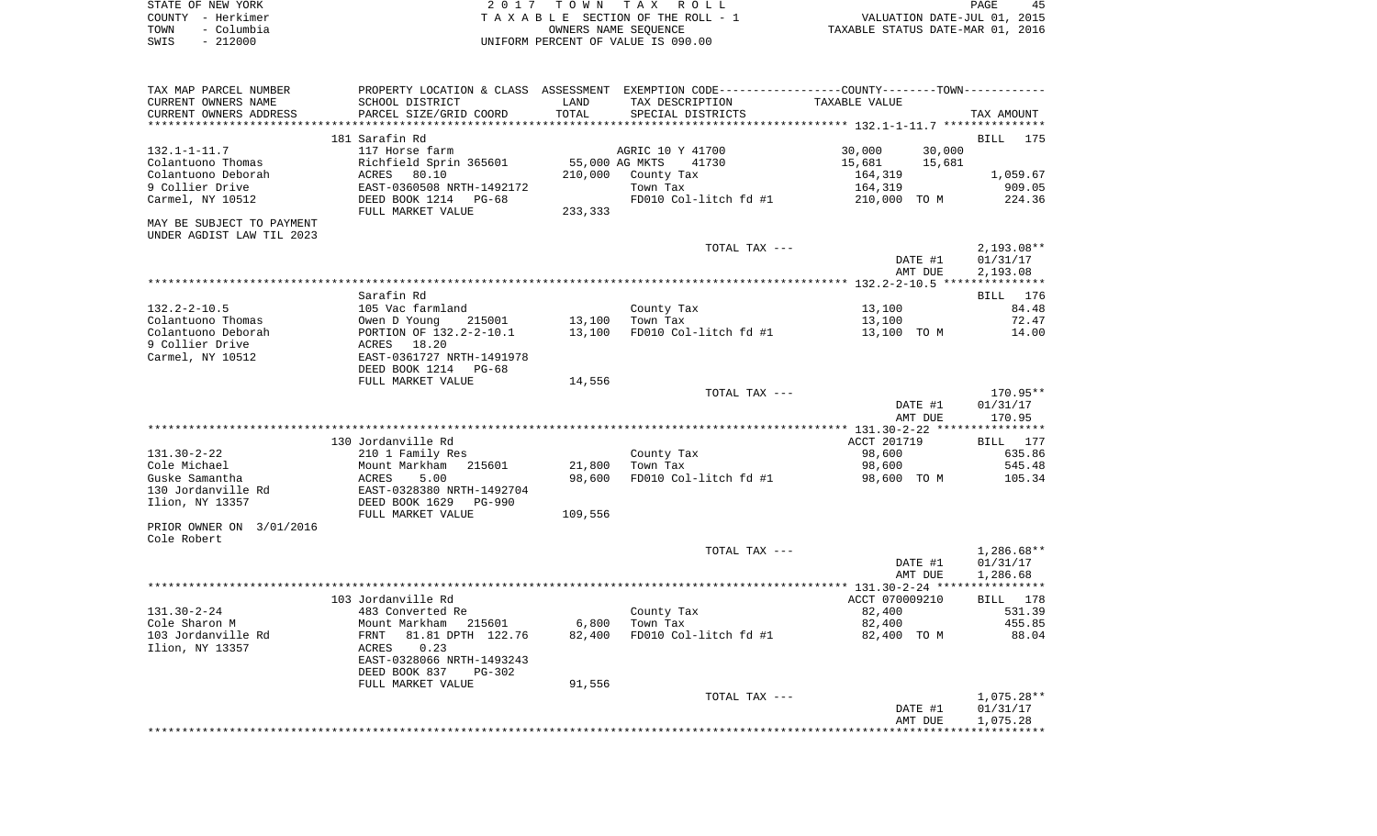|      | STATE OF NEW YORK | 2017 TOWN TAX ROLL                 | 45<br>PAGE                       |
|------|-------------------|------------------------------------|----------------------------------|
|      | COUNTY - Herkimer | TAXABLE SECTION OF THE ROLL - 1    | VALUATION DATE-JUL 01, 2015      |
| TOWN | - Columbia        | OWNERS NAME SEOUENCE               | TAXABLE STATUS DATE-MAR 01, 2016 |
| SWIS | - 212000          | UNIFORM PERCENT OF VALUE IS 090.00 |                                  |

| TAX MAP PARCEL NUMBER     | PROPERTY LOCATION & CLASS ASSESSMENT EXEMPTION CODE---------------COUNTY-------TOWN---------- |                |                        |                  |              |
|---------------------------|-----------------------------------------------------------------------------------------------|----------------|------------------------|------------------|--------------|
| CURRENT OWNERS NAME       | SCHOOL DISTRICT                                                                               | LAND           | TAX DESCRIPTION        | TAXABLE VALUE    |              |
| CURRENT OWNERS ADDRESS    | PARCEL SIZE/GRID COORD                                                                        | TOTAL          | SPECIAL DISTRICTS      |                  | TAX AMOUNT   |
|                           |                                                                                               |                |                        |                  |              |
|                           | 181 Sarafin Rd                                                                                |                |                        |                  | BILL 175     |
| $132.1 - 1 - 11.7$        | 117 Horse farm                                                                                |                | AGRIC 10 Y 41700       | 30,000<br>30,000 |              |
| Colantuono Thomas         | Richfield Sprin 365601                                                                        | 55,000 AG MKTS | 41730                  | 15,681<br>15,681 |              |
| Colantuono Deborah        | ACRES 80.10                                                                                   | 210,000        | County Tax             | 164,319          | 1,059.67     |
| 9 Collier Drive           | EAST-0360508 NRTH-1492172                                                                     |                | Town Tax               | 164,319          | 909.05       |
| Carmel, NY 10512          | DEED BOOK 1214 PG-68                                                                          |                | FD010 Col-litch fd #1  | 210,000 TO M     | 224.36       |
|                           | FULL MARKET VALUE                                                                             | 233,333        |                        |                  |              |
| MAY BE SUBJECT TO PAYMENT |                                                                                               |                |                        |                  |              |
| UNDER AGDIST LAW TIL 2023 |                                                                                               |                |                        |                  |              |
|                           |                                                                                               |                | TOTAL TAX ---          |                  | $2,193.08**$ |
|                           |                                                                                               |                |                        | DATE #1          | 01/31/17     |
|                           |                                                                                               |                |                        | AMT DUE          | 2,193.08     |
|                           |                                                                                               |                |                        |                  |              |
|                           | Sarafin Rd                                                                                    |                |                        |                  | BILL 176     |
| $132.2 - 2 - 10.5$        | 105 Vac farmland                                                                              |                |                        | 13,100           | 84.48        |
| Colantuono Thomas         | 215001                                                                                        | 13,100         | County Tax<br>Town Tax |                  | 72.47        |
|                           | Owen D Young                                                                                  |                |                        | 13,100           |              |
| Colantuono Deborah        | PORTION OF 132.2-2-10.1                                                                       | 13,100         | FD010 Col-litch fd #1  | 13,100 TO M      | 14.00        |
| 9 Collier Drive           | 18.20<br>ACRES                                                                                |                |                        |                  |              |
| Carmel, NY 10512          | EAST-0361727 NRTH-1491978                                                                     |                |                        |                  |              |
|                           | DEED BOOK 1214<br>PG-68                                                                       |                |                        |                  |              |
|                           | FULL MARKET VALUE                                                                             | 14,556         |                        |                  |              |
|                           |                                                                                               |                | TOTAL TAX ---          |                  | 170.95**     |
|                           |                                                                                               |                |                        | DATE #1          | 01/31/17     |
|                           |                                                                                               |                |                        | AMT DUE          | 170.95       |
|                           |                                                                                               |                |                        |                  |              |
|                           | 130 Jordanville Rd                                                                            |                |                        | ACCT 201719      | BILL 177     |
| $131.30 - 2 - 22$         | 210 1 Family Res                                                                              |                | County Tax             | 98,600           | 635.86       |
| Cole Michael              | Mount Markham<br>215601                                                                       | 21,800         | Town Tax               | 98,600           | 545.48       |
| Guske Samantha            | ACRES<br>5.00                                                                                 | 98,600         | FD010 Col-litch fd #1  | 98,600 TO M      | 105.34       |
| 130 Jordanville Rd        | EAST-0328380 NRTH-1492704                                                                     |                |                        |                  |              |
| Ilion, NY 13357           | DEED BOOK 1629<br>PG-990                                                                      |                |                        |                  |              |
|                           | FULL MARKET VALUE                                                                             | 109,556        |                        |                  |              |
| PRIOR OWNER ON 3/01/2016  |                                                                                               |                |                        |                  |              |
| Cole Robert               |                                                                                               |                |                        |                  |              |
|                           |                                                                                               |                | TOTAL TAX ---          |                  | $1,286.68**$ |
|                           |                                                                                               |                |                        | DATE #1          | 01/31/17     |
|                           |                                                                                               |                |                        | AMT DUE          | 1,286.68     |
|                           |                                                                                               |                |                        |                  |              |
|                           | 103 Jordanville Rd                                                                            |                |                        | ACCT 070009210   | BILL 178     |
| $131.30 - 2 - 24$         | 483 Converted Re                                                                              |                | County Tax             | 82,400           | 531.39       |
| Cole Sharon M             | 215601<br>Mount Markham                                                                       | 6,800          | Town Tax               | 82,400           | 455.85       |
| 103 Jordanville Rd        | 81.81 DPTH 122.76<br>FRNT                                                                     | 82,400         | FD010 Col-litch fd #1  | 82,400 TO M      | 88.04        |
| Ilion, NY 13357           | 0.23<br>ACRES                                                                                 |                |                        |                  |              |
|                           | EAST-0328066 NRTH-1493243                                                                     |                |                        |                  |              |
|                           | DEED BOOK 837<br>$PG-302$                                                                     |                |                        |                  |              |
|                           |                                                                                               | 91,556         |                        |                  |              |
|                           | FULL MARKET VALUE                                                                             |                |                        |                  |              |
|                           |                                                                                               |                | TOTAL TAX ---          |                  | 1,075.28**   |
|                           |                                                                                               |                |                        | DATE #1          | 01/31/17     |
|                           |                                                                                               |                |                        | AMT DUE          | 1,075.28     |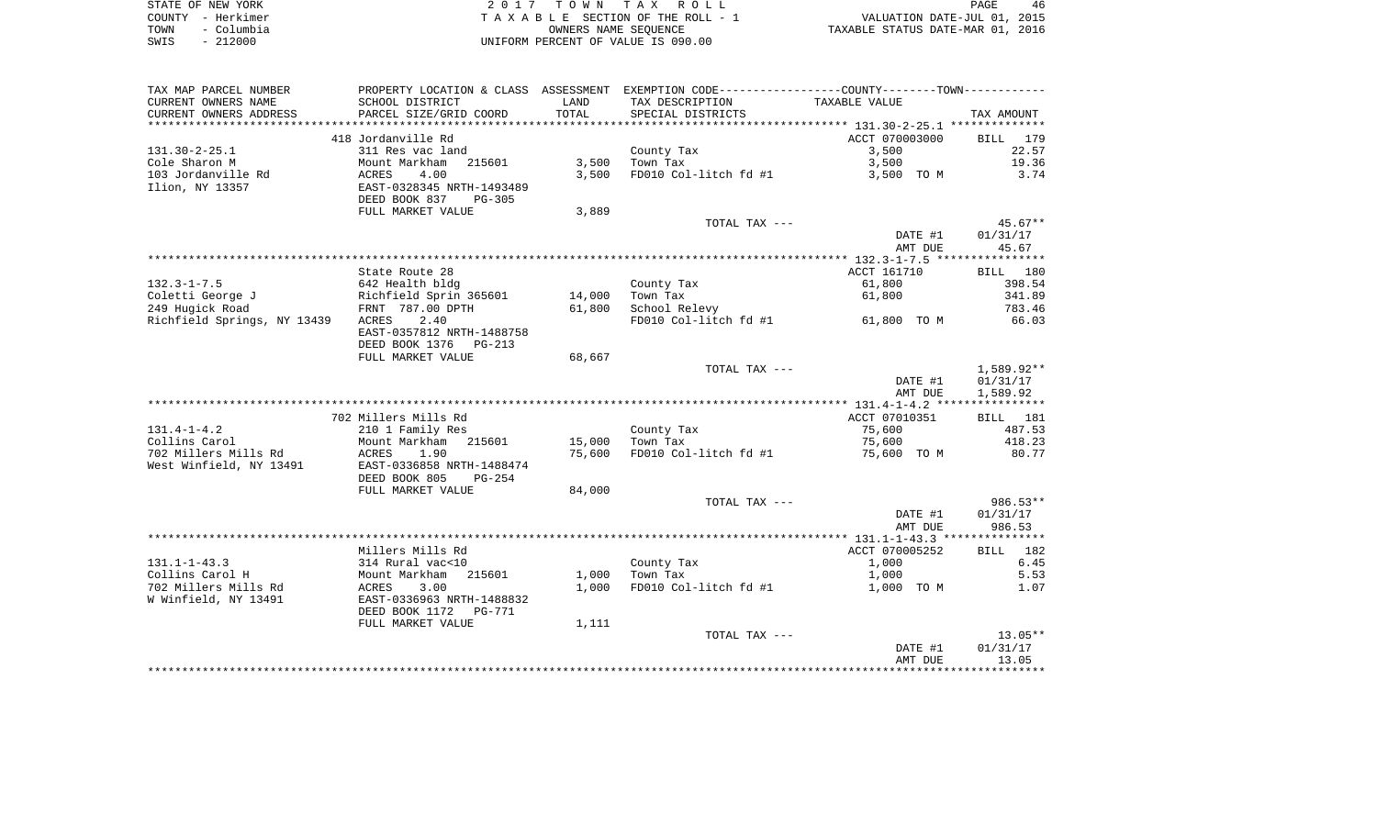|      | STATE OF NEW YORK | 2017 TOWN TAX ROLL                 | PAGE                             | 46 |
|------|-------------------|------------------------------------|----------------------------------|----|
|      | COUNTY – Herkimer | TAXABLE SECTION OF THE ROLL - 1    | VALUATION DATE-JUL 01, 2015      |    |
| TOWN | – Columbia        | OWNERS NAME SEOUENCE               | TAXABLE STATUS DATE-MAR 01, 2016 |    |
| SWIS | $-212000$         | UNIFORM PERCENT OF VALUE IS 090.00 |                                  |    |

| TAX MAP PARCEL NUMBER       |                                           |        | PROPERTY LOCATION & CLASS ASSESSMENT EXEMPTION CODE---------------COUNTY-------TOWN---------- |                |            |
|-----------------------------|-------------------------------------------|--------|-----------------------------------------------------------------------------------------------|----------------|------------|
| CURRENT OWNERS NAME         | SCHOOL DISTRICT                           | LAND   | TAX DESCRIPTION                                                                               | TAXABLE VALUE  |            |
| CURRENT OWNERS ADDRESS      | PARCEL SIZE/GRID COORD                    | TOTAL  | SPECIAL DISTRICTS                                                                             |                | TAX AMOUNT |
|                             |                                           |        |                                                                                               |                |            |
|                             | 418 Jordanville Rd                        |        |                                                                                               | ACCT 070003000 | BILL 179   |
| 131.30-2-25.1               | 311 Res vac land                          |        | County Tax                                                                                    | 3,500          | 22.57      |
| Cole Sharon M               | Mount Markham<br>215601                   | 3,500  | Town Tax                                                                                      | 3,500          | 19.36      |
| 103 Jordanville Rd          | ACRES<br>4.00                             | 3,500  | FD010 Col-litch fd #1                                                                         | 3,500 TO M     | 3.74       |
| Ilion, NY 13357             | EAST-0328345 NRTH-1493489                 |        |                                                                                               |                |            |
|                             | DEED BOOK 837<br>PG-305                   |        |                                                                                               |                |            |
|                             | FULL MARKET VALUE                         | 3,889  |                                                                                               |                |            |
|                             |                                           |        | TOTAL TAX ---                                                                                 |                | $45.67**$  |
|                             |                                           |        |                                                                                               | DATE #1        | 01/31/17   |
|                             |                                           |        |                                                                                               | AMT DUE        | 45.67      |
|                             |                                           |        |                                                                                               |                |            |
|                             | State Route 28                            |        |                                                                                               | ACCT 161710    | BILL 180   |
| $132.3 - 1 - 7.5$           |                                           |        |                                                                                               | 61,800         | 398.54     |
|                             | 642 Health bldg<br>Richfield Sprin 365601 |        | County Tax<br>Town Tax                                                                        |                | 341.89     |
| Coletti George J            |                                           | 14,000 |                                                                                               | 61,800         |            |
| 249 Hugick Road             | FRNT 787.00 DPTH                          | 61,800 | School Relevy                                                                                 | 61,800 TO M    | 783.46     |
| Richfield Springs, NY 13439 | 2.40<br>ACRES                             |        | FD010 Col-litch fd #1                                                                         |                | 66.03      |
|                             | EAST-0357812 NRTH-1488758                 |        |                                                                                               |                |            |
|                             | DEED BOOK 1376 PG-213                     |        |                                                                                               |                |            |
|                             | FULL MARKET VALUE                         | 68,667 |                                                                                               |                |            |
|                             |                                           |        | TOTAL TAX ---                                                                                 |                | 1,589.92** |
|                             |                                           |        |                                                                                               | DATE #1        | 01/31/17   |
|                             |                                           |        |                                                                                               | AMT DUE        | 1,589.92   |
|                             |                                           |        |                                                                                               |                |            |
|                             | 702 Millers Mills Rd                      |        |                                                                                               | ACCT 07010351  | BILL 181   |
| $131.4 - 1 - 4.2$           | 210 1 Family Res                          |        | County Tax                                                                                    | 75,600         | 487.53     |
| Collins Carol               | Mount Markham 215601                      | 15,000 | Town Tax                                                                                      | 75,600         | 418.23     |
| 702 Millers Mills Rd        | ACRES<br>1.90                             | 75,600 | FD010 Col-litch fd #1                                                                         | 75,600 TO M    | 80.77      |
| West Winfield, NY 13491     | EAST-0336858 NRTH-1488474                 |        |                                                                                               |                |            |
|                             | DEED BOOK 805<br>PG-254                   |        |                                                                                               |                |            |
|                             | FULL MARKET VALUE                         | 84,000 |                                                                                               |                |            |
|                             |                                           |        | TOTAL TAX ---                                                                                 |                | 986.53**   |
|                             |                                           |        |                                                                                               | DATE #1        | 01/31/17   |
|                             |                                           |        |                                                                                               | AMT DUE        | 986.53     |
|                             |                                           |        |                                                                                               |                |            |
|                             | Millers Mills Rd                          |        |                                                                                               | ACCT 070005252 | BILL 182   |
| $131.1 - 1 - 43.3$          | 314 Rural vac<10                          |        | County Tax                                                                                    | 1,000          | 6.45       |
| Collins Carol H             | Mount Markham<br>215601                   | 1,000  | Town Tax                                                                                      | 1,000          | 5.53       |
| 702 Millers Mills Rd        | 3.00<br>ACRES                             | 1,000  | FD010 Col-litch fd #1                                                                         | 1,000 TO M     | 1.07       |
| W Winfield, NY 13491        | EAST-0336963 NRTH-1488832                 |        |                                                                                               |                |            |
|                             | DEED BOOK 1172<br>PG-771                  |        |                                                                                               |                |            |
|                             | FULL MARKET VALUE                         | 1,111  |                                                                                               |                |            |
|                             |                                           |        | TOTAL TAX ---                                                                                 |                | $13.05**$  |
|                             |                                           |        |                                                                                               | DATE #1        | 01/31/17   |
|                             |                                           |        |                                                                                               | AMT DUE        | 13.05      |
|                             |                                           |        |                                                                                               |                |            |
|                             |                                           |        |                                                                                               |                |            |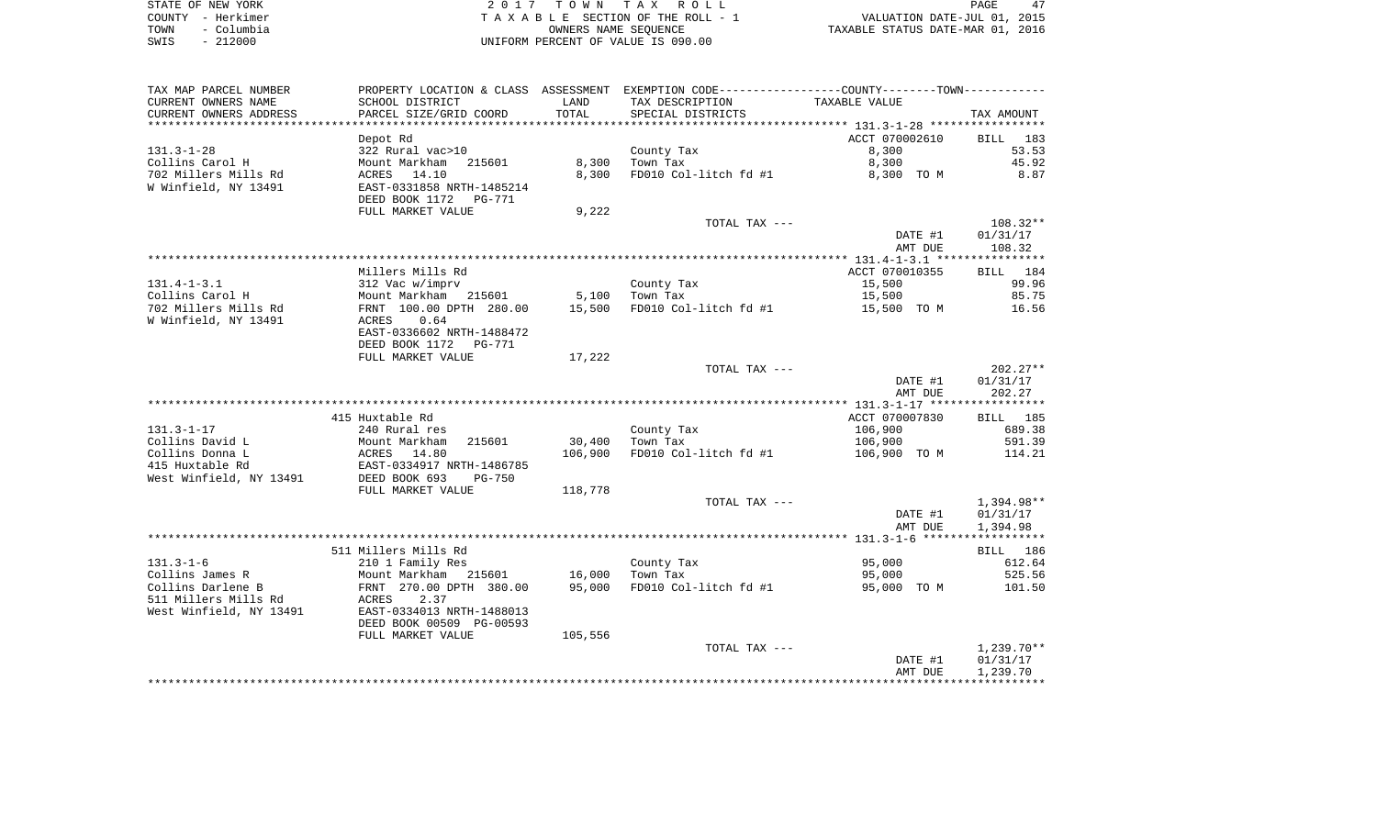| STATE OF NEW YORK |            | 2017 TOWN TAX ROLL                 | PAGE                             |  |
|-------------------|------------|------------------------------------|----------------------------------|--|
| COUNTY - Herkimer |            | TAXABLE SECTION OF THE ROLL - 1    | VALUATION DATE-JUL 01, 2015      |  |
| TOWN              | - Columbia | OWNERS NAME SEOUENCE               | TAXABLE STATUS DATE-MAR 01, 2016 |  |
| SWIS              | $-212000$  | UNIFORM PERCENT OF VALUE IS 090.00 |                                  |  |

| CURRENT OWNERS NAME<br>SCHOOL DISTRICT<br>TAX DESCRIPTION<br>TAXABLE VALUE<br>LAND<br>PARCEL SIZE/GRID COORD<br>TOTAL<br>CURRENT OWNERS ADDRESS<br>SPECIAL DISTRICTS<br>TAX AMOUNT<br>Depot Rd<br>ACCT 070002610<br>BILL<br>183<br>53.53<br>322 Rural vac>10<br>County Tax<br>8,300<br>8,300<br>8,300<br>Mount Markham<br>215601<br>Town Tax<br>45.92<br>FD010 Col-litch fd #1<br>ACRES 14.10<br>8,300<br>8.87<br>8,300 TO M<br>EAST-0331858 NRTH-1485214<br>DEED BOOK 1172<br>PG-771<br>FULL MARKET VALUE<br>9,222<br>$108.32**$<br>TOTAL TAX ---<br>DATE #1<br>01/31/17<br>108.32<br>AMT DUE<br>Millers Mills Rd<br>ACCT 070010355<br>BILL 184<br>99.96<br>15,500<br>312 Vac w/imprv<br>County Tax<br>85.75<br>Mount Markham 215601<br>5,100<br>Town Tax<br>15,500<br>702 Millers Mills Rd<br>FRNT 100.00 DPTH 280.00<br>15,500<br>FD010 Col-litch fd #1<br>15,500 TO M<br>16.56<br>W Winfield, NY 13491<br>ACRES<br>0.64<br>EAST-0336602 NRTH-1488472<br>DEED BOOK 1172<br><b>PG-771</b><br>17,222<br>FULL MARKET VALUE<br>$202.27**$<br>TOTAL TAX ---<br>DATE #1<br>01/31/17<br>202.27<br>AMT DUE<br>415 Huxtable Rd<br>ACCT 070007830<br>BILL 185<br>106,900<br>689.38<br>$131.3 - 1 - 17$<br>240 Rural res<br>County Tax<br>Collins David L<br>215601<br>30,400<br>106,900<br>591.39<br>Mount Markham<br>Town Tax<br>Collins Donna L<br>106,900<br>14.80<br>FD010 Col-litch fd #1<br>106,900 TO M<br>114.21<br>ACRES<br>415 Huxtable Rd<br>EAST-0334917 NRTH-1486785<br>West Winfield, NY 13491<br>DEED BOOK 693<br><b>PG-750</b><br>FULL MARKET VALUE<br>118,778<br>1,394.98**<br>TOTAL TAX ---<br>DATE #1<br>01/31/17<br>AMT DUE<br>1,394.98<br>511 Millers Mills Rd<br>BILL 186<br>$131.3 - 1 - 6$<br>95,000<br>612.64<br>210 1 Family Res<br>County Tax<br>Collins James R<br>Mount Markham 215601<br>16,000<br>Town Tax<br>95,000<br>525.56<br>FD010 Col-litch fd #1<br>Collins Darlene B<br>FRNT 270.00 DPTH 380.00<br>95,000<br>95,000 TO M<br>101.50<br>511 Millers Mills Rd<br>2.37<br>ACRES<br>West Winfield, NY 13491<br>EAST-0334013 NRTH-1488013<br>DEED BOOK 00509 PG-00593<br>FULL MARKET VALUE<br>105,556<br>$1,239.70**$<br>TOTAL TAX ---<br>DATE #1<br>01/31/17<br>1,239.70<br>AMT DUE | TAX MAP PARCEL NUMBER |  | PROPERTY LOCATION & CLASS ASSESSMENT EXEMPTION CODE---------------COUNTY-------TOWN---------- |  |
|----------------------------------------------------------------------------------------------------------------------------------------------------------------------------------------------------------------------------------------------------------------------------------------------------------------------------------------------------------------------------------------------------------------------------------------------------------------------------------------------------------------------------------------------------------------------------------------------------------------------------------------------------------------------------------------------------------------------------------------------------------------------------------------------------------------------------------------------------------------------------------------------------------------------------------------------------------------------------------------------------------------------------------------------------------------------------------------------------------------------------------------------------------------------------------------------------------------------------------------------------------------------------------------------------------------------------------------------------------------------------------------------------------------------------------------------------------------------------------------------------------------------------------------------------------------------------------------------------------------------------------------------------------------------------------------------------------------------------------------------------------------------------------------------------------------------------------------------------------------------------------------------------------------------------------------------------------------------------------------------------------------------------------------------------------------------------------------------------------------------------------------------------------------------------------------------------------------|-----------------------|--|-----------------------------------------------------------------------------------------------|--|
|                                                                                                                                                                                                                                                                                                                                                                                                                                                                                                                                                                                                                                                                                                                                                                                                                                                                                                                                                                                                                                                                                                                                                                                                                                                                                                                                                                                                                                                                                                                                                                                                                                                                                                                                                                                                                                                                                                                                                                                                                                                                                                                                                                                                                |                       |  |                                                                                               |  |
|                                                                                                                                                                                                                                                                                                                                                                                                                                                                                                                                                                                                                                                                                                                                                                                                                                                                                                                                                                                                                                                                                                                                                                                                                                                                                                                                                                                                                                                                                                                                                                                                                                                                                                                                                                                                                                                                                                                                                                                                                                                                                                                                                                                                                |                       |  |                                                                                               |  |
|                                                                                                                                                                                                                                                                                                                                                                                                                                                                                                                                                                                                                                                                                                                                                                                                                                                                                                                                                                                                                                                                                                                                                                                                                                                                                                                                                                                                                                                                                                                                                                                                                                                                                                                                                                                                                                                                                                                                                                                                                                                                                                                                                                                                                |                       |  |                                                                                               |  |
|                                                                                                                                                                                                                                                                                                                                                                                                                                                                                                                                                                                                                                                                                                                                                                                                                                                                                                                                                                                                                                                                                                                                                                                                                                                                                                                                                                                                                                                                                                                                                                                                                                                                                                                                                                                                                                                                                                                                                                                                                                                                                                                                                                                                                |                       |  |                                                                                               |  |
|                                                                                                                                                                                                                                                                                                                                                                                                                                                                                                                                                                                                                                                                                                                                                                                                                                                                                                                                                                                                                                                                                                                                                                                                                                                                                                                                                                                                                                                                                                                                                                                                                                                                                                                                                                                                                                                                                                                                                                                                                                                                                                                                                                                                                | $131.3 - 1 - 28$      |  |                                                                                               |  |
|                                                                                                                                                                                                                                                                                                                                                                                                                                                                                                                                                                                                                                                                                                                                                                                                                                                                                                                                                                                                                                                                                                                                                                                                                                                                                                                                                                                                                                                                                                                                                                                                                                                                                                                                                                                                                                                                                                                                                                                                                                                                                                                                                                                                                | Collins Carol H       |  |                                                                                               |  |
|                                                                                                                                                                                                                                                                                                                                                                                                                                                                                                                                                                                                                                                                                                                                                                                                                                                                                                                                                                                                                                                                                                                                                                                                                                                                                                                                                                                                                                                                                                                                                                                                                                                                                                                                                                                                                                                                                                                                                                                                                                                                                                                                                                                                                | 702 Millers Mills Rd  |  |                                                                                               |  |
|                                                                                                                                                                                                                                                                                                                                                                                                                                                                                                                                                                                                                                                                                                                                                                                                                                                                                                                                                                                                                                                                                                                                                                                                                                                                                                                                                                                                                                                                                                                                                                                                                                                                                                                                                                                                                                                                                                                                                                                                                                                                                                                                                                                                                | W Winfield, NY 13491  |  |                                                                                               |  |
|                                                                                                                                                                                                                                                                                                                                                                                                                                                                                                                                                                                                                                                                                                                                                                                                                                                                                                                                                                                                                                                                                                                                                                                                                                                                                                                                                                                                                                                                                                                                                                                                                                                                                                                                                                                                                                                                                                                                                                                                                                                                                                                                                                                                                |                       |  |                                                                                               |  |
|                                                                                                                                                                                                                                                                                                                                                                                                                                                                                                                                                                                                                                                                                                                                                                                                                                                                                                                                                                                                                                                                                                                                                                                                                                                                                                                                                                                                                                                                                                                                                                                                                                                                                                                                                                                                                                                                                                                                                                                                                                                                                                                                                                                                                |                       |  |                                                                                               |  |
|                                                                                                                                                                                                                                                                                                                                                                                                                                                                                                                                                                                                                                                                                                                                                                                                                                                                                                                                                                                                                                                                                                                                                                                                                                                                                                                                                                                                                                                                                                                                                                                                                                                                                                                                                                                                                                                                                                                                                                                                                                                                                                                                                                                                                |                       |  |                                                                                               |  |
|                                                                                                                                                                                                                                                                                                                                                                                                                                                                                                                                                                                                                                                                                                                                                                                                                                                                                                                                                                                                                                                                                                                                                                                                                                                                                                                                                                                                                                                                                                                                                                                                                                                                                                                                                                                                                                                                                                                                                                                                                                                                                                                                                                                                                |                       |  |                                                                                               |  |
|                                                                                                                                                                                                                                                                                                                                                                                                                                                                                                                                                                                                                                                                                                                                                                                                                                                                                                                                                                                                                                                                                                                                                                                                                                                                                                                                                                                                                                                                                                                                                                                                                                                                                                                                                                                                                                                                                                                                                                                                                                                                                                                                                                                                                |                       |  |                                                                                               |  |
|                                                                                                                                                                                                                                                                                                                                                                                                                                                                                                                                                                                                                                                                                                                                                                                                                                                                                                                                                                                                                                                                                                                                                                                                                                                                                                                                                                                                                                                                                                                                                                                                                                                                                                                                                                                                                                                                                                                                                                                                                                                                                                                                                                                                                |                       |  |                                                                                               |  |
|                                                                                                                                                                                                                                                                                                                                                                                                                                                                                                                                                                                                                                                                                                                                                                                                                                                                                                                                                                                                                                                                                                                                                                                                                                                                                                                                                                                                                                                                                                                                                                                                                                                                                                                                                                                                                                                                                                                                                                                                                                                                                                                                                                                                                |                       |  |                                                                                               |  |
|                                                                                                                                                                                                                                                                                                                                                                                                                                                                                                                                                                                                                                                                                                                                                                                                                                                                                                                                                                                                                                                                                                                                                                                                                                                                                                                                                                                                                                                                                                                                                                                                                                                                                                                                                                                                                                                                                                                                                                                                                                                                                                                                                                                                                | $131.4 - 1 - 3.1$     |  |                                                                                               |  |
|                                                                                                                                                                                                                                                                                                                                                                                                                                                                                                                                                                                                                                                                                                                                                                                                                                                                                                                                                                                                                                                                                                                                                                                                                                                                                                                                                                                                                                                                                                                                                                                                                                                                                                                                                                                                                                                                                                                                                                                                                                                                                                                                                                                                                | Collins Carol H       |  |                                                                                               |  |
|                                                                                                                                                                                                                                                                                                                                                                                                                                                                                                                                                                                                                                                                                                                                                                                                                                                                                                                                                                                                                                                                                                                                                                                                                                                                                                                                                                                                                                                                                                                                                                                                                                                                                                                                                                                                                                                                                                                                                                                                                                                                                                                                                                                                                |                       |  |                                                                                               |  |
|                                                                                                                                                                                                                                                                                                                                                                                                                                                                                                                                                                                                                                                                                                                                                                                                                                                                                                                                                                                                                                                                                                                                                                                                                                                                                                                                                                                                                                                                                                                                                                                                                                                                                                                                                                                                                                                                                                                                                                                                                                                                                                                                                                                                                |                       |  |                                                                                               |  |
|                                                                                                                                                                                                                                                                                                                                                                                                                                                                                                                                                                                                                                                                                                                                                                                                                                                                                                                                                                                                                                                                                                                                                                                                                                                                                                                                                                                                                                                                                                                                                                                                                                                                                                                                                                                                                                                                                                                                                                                                                                                                                                                                                                                                                |                       |  |                                                                                               |  |
|                                                                                                                                                                                                                                                                                                                                                                                                                                                                                                                                                                                                                                                                                                                                                                                                                                                                                                                                                                                                                                                                                                                                                                                                                                                                                                                                                                                                                                                                                                                                                                                                                                                                                                                                                                                                                                                                                                                                                                                                                                                                                                                                                                                                                |                       |  |                                                                                               |  |
|                                                                                                                                                                                                                                                                                                                                                                                                                                                                                                                                                                                                                                                                                                                                                                                                                                                                                                                                                                                                                                                                                                                                                                                                                                                                                                                                                                                                                                                                                                                                                                                                                                                                                                                                                                                                                                                                                                                                                                                                                                                                                                                                                                                                                |                       |  |                                                                                               |  |
|                                                                                                                                                                                                                                                                                                                                                                                                                                                                                                                                                                                                                                                                                                                                                                                                                                                                                                                                                                                                                                                                                                                                                                                                                                                                                                                                                                                                                                                                                                                                                                                                                                                                                                                                                                                                                                                                                                                                                                                                                                                                                                                                                                                                                |                       |  |                                                                                               |  |
|                                                                                                                                                                                                                                                                                                                                                                                                                                                                                                                                                                                                                                                                                                                                                                                                                                                                                                                                                                                                                                                                                                                                                                                                                                                                                                                                                                                                                                                                                                                                                                                                                                                                                                                                                                                                                                                                                                                                                                                                                                                                                                                                                                                                                |                       |  |                                                                                               |  |
|                                                                                                                                                                                                                                                                                                                                                                                                                                                                                                                                                                                                                                                                                                                                                                                                                                                                                                                                                                                                                                                                                                                                                                                                                                                                                                                                                                                                                                                                                                                                                                                                                                                                                                                                                                                                                                                                                                                                                                                                                                                                                                                                                                                                                |                       |  |                                                                                               |  |
|                                                                                                                                                                                                                                                                                                                                                                                                                                                                                                                                                                                                                                                                                                                                                                                                                                                                                                                                                                                                                                                                                                                                                                                                                                                                                                                                                                                                                                                                                                                                                                                                                                                                                                                                                                                                                                                                                                                                                                                                                                                                                                                                                                                                                |                       |  |                                                                                               |  |
|                                                                                                                                                                                                                                                                                                                                                                                                                                                                                                                                                                                                                                                                                                                                                                                                                                                                                                                                                                                                                                                                                                                                                                                                                                                                                                                                                                                                                                                                                                                                                                                                                                                                                                                                                                                                                                                                                                                                                                                                                                                                                                                                                                                                                |                       |  |                                                                                               |  |
|                                                                                                                                                                                                                                                                                                                                                                                                                                                                                                                                                                                                                                                                                                                                                                                                                                                                                                                                                                                                                                                                                                                                                                                                                                                                                                                                                                                                                                                                                                                                                                                                                                                                                                                                                                                                                                                                                                                                                                                                                                                                                                                                                                                                                |                       |  |                                                                                               |  |
|                                                                                                                                                                                                                                                                                                                                                                                                                                                                                                                                                                                                                                                                                                                                                                                                                                                                                                                                                                                                                                                                                                                                                                                                                                                                                                                                                                                                                                                                                                                                                                                                                                                                                                                                                                                                                                                                                                                                                                                                                                                                                                                                                                                                                |                       |  |                                                                                               |  |
|                                                                                                                                                                                                                                                                                                                                                                                                                                                                                                                                                                                                                                                                                                                                                                                                                                                                                                                                                                                                                                                                                                                                                                                                                                                                                                                                                                                                                                                                                                                                                                                                                                                                                                                                                                                                                                                                                                                                                                                                                                                                                                                                                                                                                |                       |  |                                                                                               |  |
|                                                                                                                                                                                                                                                                                                                                                                                                                                                                                                                                                                                                                                                                                                                                                                                                                                                                                                                                                                                                                                                                                                                                                                                                                                                                                                                                                                                                                                                                                                                                                                                                                                                                                                                                                                                                                                                                                                                                                                                                                                                                                                                                                                                                                |                       |  |                                                                                               |  |
|                                                                                                                                                                                                                                                                                                                                                                                                                                                                                                                                                                                                                                                                                                                                                                                                                                                                                                                                                                                                                                                                                                                                                                                                                                                                                                                                                                                                                                                                                                                                                                                                                                                                                                                                                                                                                                                                                                                                                                                                                                                                                                                                                                                                                |                       |  |                                                                                               |  |
|                                                                                                                                                                                                                                                                                                                                                                                                                                                                                                                                                                                                                                                                                                                                                                                                                                                                                                                                                                                                                                                                                                                                                                                                                                                                                                                                                                                                                                                                                                                                                                                                                                                                                                                                                                                                                                                                                                                                                                                                                                                                                                                                                                                                                |                       |  |                                                                                               |  |
|                                                                                                                                                                                                                                                                                                                                                                                                                                                                                                                                                                                                                                                                                                                                                                                                                                                                                                                                                                                                                                                                                                                                                                                                                                                                                                                                                                                                                                                                                                                                                                                                                                                                                                                                                                                                                                                                                                                                                                                                                                                                                                                                                                                                                |                       |  |                                                                                               |  |
|                                                                                                                                                                                                                                                                                                                                                                                                                                                                                                                                                                                                                                                                                                                                                                                                                                                                                                                                                                                                                                                                                                                                                                                                                                                                                                                                                                                                                                                                                                                                                                                                                                                                                                                                                                                                                                                                                                                                                                                                                                                                                                                                                                                                                |                       |  |                                                                                               |  |
|                                                                                                                                                                                                                                                                                                                                                                                                                                                                                                                                                                                                                                                                                                                                                                                                                                                                                                                                                                                                                                                                                                                                                                                                                                                                                                                                                                                                                                                                                                                                                                                                                                                                                                                                                                                                                                                                                                                                                                                                                                                                                                                                                                                                                |                       |  |                                                                                               |  |
|                                                                                                                                                                                                                                                                                                                                                                                                                                                                                                                                                                                                                                                                                                                                                                                                                                                                                                                                                                                                                                                                                                                                                                                                                                                                                                                                                                                                                                                                                                                                                                                                                                                                                                                                                                                                                                                                                                                                                                                                                                                                                                                                                                                                                |                       |  |                                                                                               |  |
|                                                                                                                                                                                                                                                                                                                                                                                                                                                                                                                                                                                                                                                                                                                                                                                                                                                                                                                                                                                                                                                                                                                                                                                                                                                                                                                                                                                                                                                                                                                                                                                                                                                                                                                                                                                                                                                                                                                                                                                                                                                                                                                                                                                                                |                       |  |                                                                                               |  |
|                                                                                                                                                                                                                                                                                                                                                                                                                                                                                                                                                                                                                                                                                                                                                                                                                                                                                                                                                                                                                                                                                                                                                                                                                                                                                                                                                                                                                                                                                                                                                                                                                                                                                                                                                                                                                                                                                                                                                                                                                                                                                                                                                                                                                |                       |  |                                                                                               |  |
|                                                                                                                                                                                                                                                                                                                                                                                                                                                                                                                                                                                                                                                                                                                                                                                                                                                                                                                                                                                                                                                                                                                                                                                                                                                                                                                                                                                                                                                                                                                                                                                                                                                                                                                                                                                                                                                                                                                                                                                                                                                                                                                                                                                                                |                       |  |                                                                                               |  |
|                                                                                                                                                                                                                                                                                                                                                                                                                                                                                                                                                                                                                                                                                                                                                                                                                                                                                                                                                                                                                                                                                                                                                                                                                                                                                                                                                                                                                                                                                                                                                                                                                                                                                                                                                                                                                                                                                                                                                                                                                                                                                                                                                                                                                |                       |  |                                                                                               |  |
|                                                                                                                                                                                                                                                                                                                                                                                                                                                                                                                                                                                                                                                                                                                                                                                                                                                                                                                                                                                                                                                                                                                                                                                                                                                                                                                                                                                                                                                                                                                                                                                                                                                                                                                                                                                                                                                                                                                                                                                                                                                                                                                                                                                                                |                       |  |                                                                                               |  |
|                                                                                                                                                                                                                                                                                                                                                                                                                                                                                                                                                                                                                                                                                                                                                                                                                                                                                                                                                                                                                                                                                                                                                                                                                                                                                                                                                                                                                                                                                                                                                                                                                                                                                                                                                                                                                                                                                                                                                                                                                                                                                                                                                                                                                |                       |  |                                                                                               |  |
|                                                                                                                                                                                                                                                                                                                                                                                                                                                                                                                                                                                                                                                                                                                                                                                                                                                                                                                                                                                                                                                                                                                                                                                                                                                                                                                                                                                                                                                                                                                                                                                                                                                                                                                                                                                                                                                                                                                                                                                                                                                                                                                                                                                                                |                       |  |                                                                                               |  |
|                                                                                                                                                                                                                                                                                                                                                                                                                                                                                                                                                                                                                                                                                                                                                                                                                                                                                                                                                                                                                                                                                                                                                                                                                                                                                                                                                                                                                                                                                                                                                                                                                                                                                                                                                                                                                                                                                                                                                                                                                                                                                                                                                                                                                |                       |  |                                                                                               |  |
|                                                                                                                                                                                                                                                                                                                                                                                                                                                                                                                                                                                                                                                                                                                                                                                                                                                                                                                                                                                                                                                                                                                                                                                                                                                                                                                                                                                                                                                                                                                                                                                                                                                                                                                                                                                                                                                                                                                                                                                                                                                                                                                                                                                                                |                       |  |                                                                                               |  |
|                                                                                                                                                                                                                                                                                                                                                                                                                                                                                                                                                                                                                                                                                                                                                                                                                                                                                                                                                                                                                                                                                                                                                                                                                                                                                                                                                                                                                                                                                                                                                                                                                                                                                                                                                                                                                                                                                                                                                                                                                                                                                                                                                                                                                |                       |  |                                                                                               |  |
|                                                                                                                                                                                                                                                                                                                                                                                                                                                                                                                                                                                                                                                                                                                                                                                                                                                                                                                                                                                                                                                                                                                                                                                                                                                                                                                                                                                                                                                                                                                                                                                                                                                                                                                                                                                                                                                                                                                                                                                                                                                                                                                                                                                                                |                       |  |                                                                                               |  |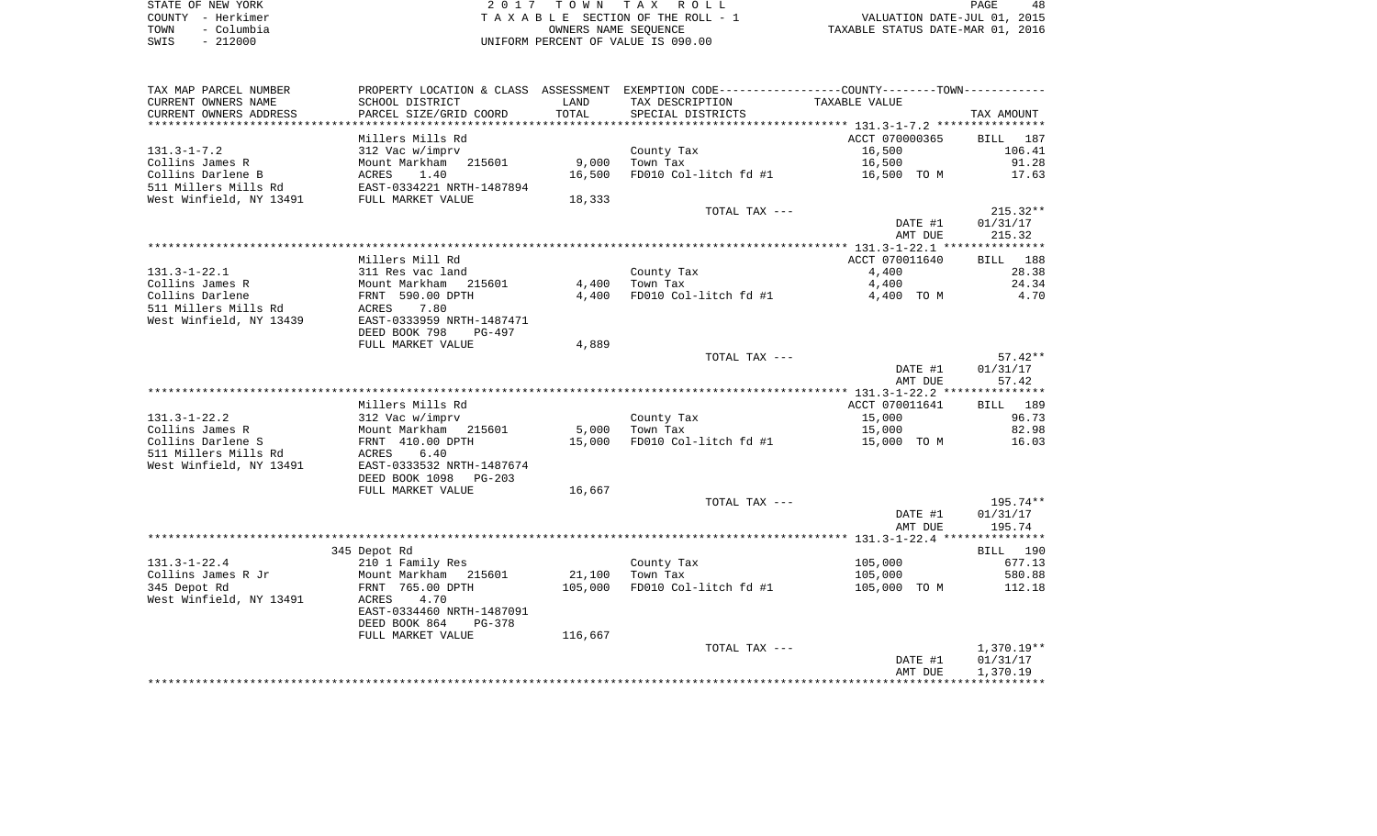| STATE OF NEW YORK  | 2017 TOWN TAX ROLL                 | PAGE                             |
|--------------------|------------------------------------|----------------------------------|
| COUNTY - Herkimer  | TAXABLE SECTION OF THE ROLL - 1    | VALUATION DATE-JUL 01, 2015      |
| – Columbia<br>TOWN | OWNERS NAME SEOUENCE               | TAXABLE STATUS DATE-MAR 01, 2016 |
| $-212000$<br>SWIS  | UNIFORM PERCENT OF VALUE IS 090.00 |                                  |

| TAX MAP PARCEL NUMBER   | PROPERTY LOCATION & CLASS ASSESSMENT    |                 |                        | EXEMPTION CODE----------------COUNTY-------TOWN----------- |                   |
|-------------------------|-----------------------------------------|-----------------|------------------------|------------------------------------------------------------|-------------------|
| CURRENT OWNERS NAME     | SCHOOL DISTRICT                         | LAND            | TAX DESCRIPTION        | TAXABLE VALUE                                              |                   |
| CURRENT OWNERS ADDRESS  | PARCEL SIZE/GRID COORD                  | TOTAL           | SPECIAL DISTRICTS      |                                                            | TAX AMOUNT        |
| **********************  | *********************                   | *************** |                        |                                                            |                   |
|                         | Millers Mills Rd                        |                 |                        | ACCT 070000365                                             | BILL 187          |
| $131.3 - 1 - 7.2$       | 312 Vac w/imprv                         |                 | County Tax             | 16,500                                                     | 106.41            |
| Collins James R         | Mount Markham 215601                    | 9,000           | Town Tax               | 16,500                                                     | 91.28             |
| Collins Darlene B       | ACRES<br>1.40                           | 16,500          | FD010 Col-litch fd #1  | 16,500 TO M                                                | 17.63             |
| 511 Millers Mills Rd    | EAST-0334221 NRTH-1487894               |                 |                        |                                                            |                   |
| West Winfield, NY 13491 | FULL MARKET VALUE                       | 18,333          |                        |                                                            |                   |
|                         |                                         |                 | TOTAL TAX ---          |                                                            | $215.32**$        |
|                         |                                         |                 |                        | DATE #1                                                    | 01/31/17          |
|                         |                                         |                 |                        | AMT DUE                                                    | 215.32            |
|                         |                                         |                 |                        |                                                            |                   |
|                         | Millers Mill Rd                         |                 |                        | ACCT 070011640                                             | BILL 188          |
| $131.3 - 1 - 22.1$      | 311 Res vac land                        |                 | County Tax             | 4,400                                                      | 28.38             |
| Collins James R         | Mount Markham<br>215601                 | 4,400           | Town Tax               | 4,400                                                      | 24.34             |
| Collins Darlene         | FRNT 590.00 DPTH                        | 4,400           | FD010 Col-litch fd #1  | 4,400 TO M                                                 | 4.70              |
| 511 Millers Mills Rd    | 7.80<br>ACRES                           |                 |                        |                                                            |                   |
| West Winfield, NY 13439 | EAST-0333959 NRTH-1487471               |                 |                        |                                                            |                   |
|                         | DEED BOOK 798<br>$PG-497$               |                 |                        |                                                            |                   |
|                         | FULL MARKET VALUE                       | 4,889           |                        |                                                            |                   |
|                         |                                         |                 | TOTAL TAX ---          |                                                            | $57.42**$         |
|                         |                                         |                 |                        | DATE #1                                                    | 01/31/17          |
|                         |                                         |                 |                        | AMT DUE                                                    | 57.42             |
|                         |                                         |                 |                        |                                                            |                   |
| $131.3 - 1 - 22.2$      | Millers Mills Rd                        |                 |                        | ACCT 070011641                                             | BILL 189<br>96.73 |
| Collins James R         | 312 Vac w/imprv<br>Mount Markham 215601 | 5,000           | County Tax<br>Town Tax | 15,000<br>15,000                                           | 82.98             |
| Collins Darlene S       | FRNT 410.00 DPTH                        | 15,000          | FD010 Col-litch fd #1  | 15,000 TO M                                                | 16.03             |
| 511 Millers Mills Rd    | 6.40<br>ACRES                           |                 |                        |                                                            |                   |
| West Winfield, NY 13491 | EAST-0333532 NRTH-1487674               |                 |                        |                                                            |                   |
|                         | DEED BOOK 1098<br>$PG-203$              |                 |                        |                                                            |                   |
|                         | FULL MARKET VALUE                       | 16,667          |                        |                                                            |                   |
|                         |                                         |                 | TOTAL TAX ---          |                                                            | 195.74**          |
|                         |                                         |                 |                        | DATE #1                                                    | 01/31/17          |
|                         |                                         |                 |                        | AMT DUE                                                    | 195.74            |
|                         |                                         |                 |                        |                                                            |                   |
|                         | 345 Depot Rd                            |                 |                        |                                                            | BILL 190          |
| $131.3 - 1 - 22.4$      | 210 1 Family Res                        |                 | County Tax             | 105,000                                                    | 677.13            |
| Collins James R Jr      | Mount Markham<br>215601                 | 21,100          | Town Tax               | 105,000                                                    | 580.88            |
| 345 Depot Rd            | FRNT 765.00 DPTH                        | 105,000         | FD010 Col-litch fd #1  | 105,000 TO M                                               | 112.18            |
| West Winfield, NY 13491 | 4.70<br>ACRES                           |                 |                        |                                                            |                   |
|                         | EAST-0334460 NRTH-1487091               |                 |                        |                                                            |                   |
|                         | DEED BOOK 864<br>PG-378                 |                 |                        |                                                            |                   |
|                         | FULL MARKET VALUE                       | 116,667         |                        |                                                            |                   |
|                         |                                         |                 | TOTAL TAX ---          |                                                            | 1,370.19**        |
|                         |                                         |                 |                        | DATE #1                                                    | 01/31/17          |
|                         |                                         |                 |                        |                                                            |                   |
|                         |                                         |                 |                        | AMT DUE                                                    | 1,370.19          |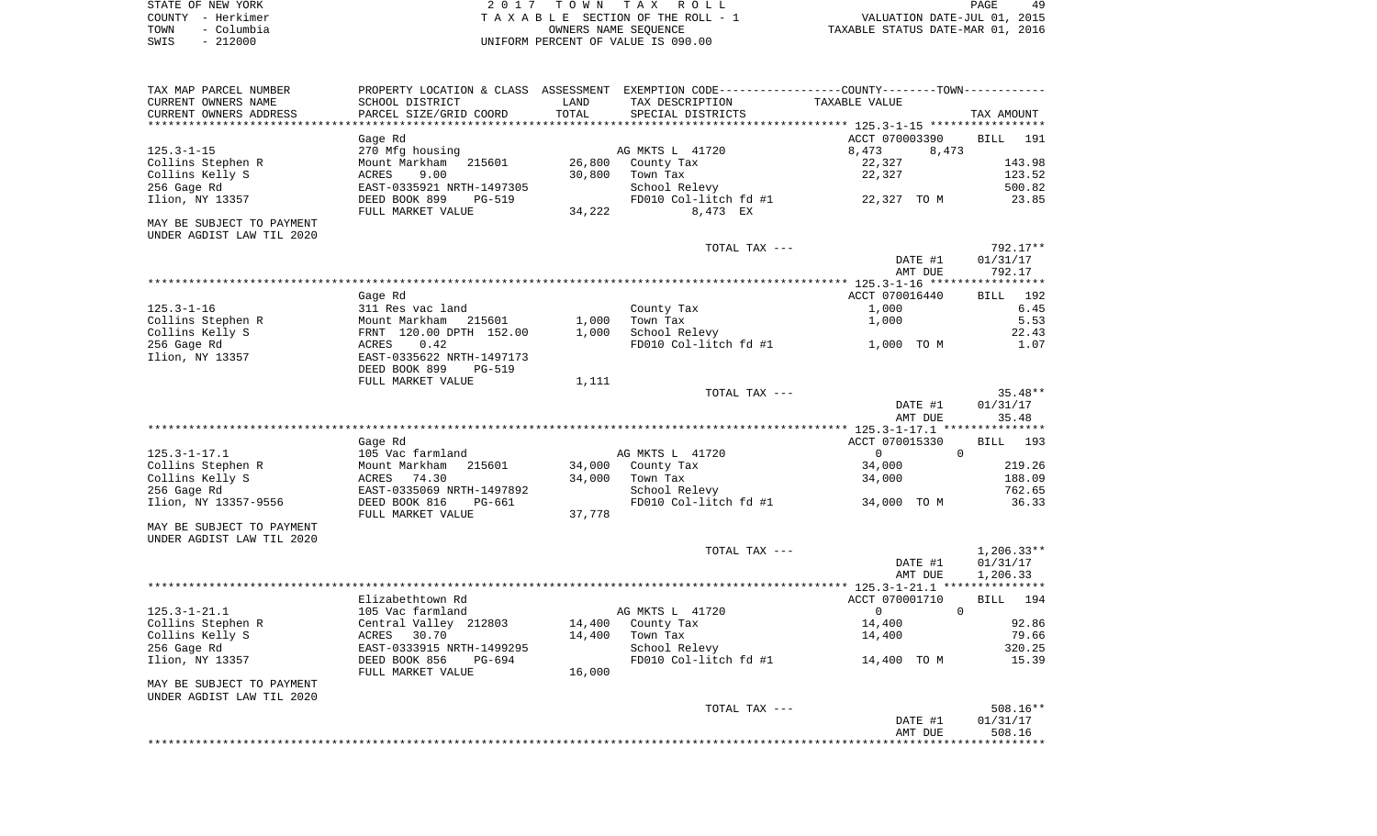| STATE OF NEW YORK  | 2017 TOWN TAX ROLL                 | 49<br>PAGE                       |
|--------------------|------------------------------------|----------------------------------|
| COUNTY - Herkimer  | TAXABLE SECTION OF THE ROLL - 1    | VALUATION DATE-JUL 01, 2015      |
| TOWN<br>– Columbia | OWNERS NAME SEOUENCE               | TAXABLE STATUS DATE-MAR 01, 2016 |
| $-212000$<br>SWIS  | UNIFORM PERCENT OF VALUE IS 090.00 |                                  |

| TAX MAP PARCEL NUMBER     | PROPERTY LOCATION & CLASS ASSESSMENT EXEMPTION CODE---------------COUNTY-------TOWN---------- |        |                       |                            |                    |
|---------------------------|-----------------------------------------------------------------------------------------------|--------|-----------------------|----------------------------|--------------------|
| CURRENT OWNERS NAME       | SCHOOL DISTRICT                                                                               | LAND   | TAX DESCRIPTION       | TAXABLE VALUE              |                    |
| CURRENT OWNERS ADDRESS    | PARCEL SIZE/GRID COORD                                                                        | TOTAL  | SPECIAL DISTRICTS     |                            | TAX AMOUNT         |
| ************************  |                                                                                               |        |                       |                            |                    |
|                           | Gage Rd                                                                                       |        |                       | ACCT 070003390             | <b>BILL</b><br>191 |
| $125.3 - 1 - 15$          | 270 Mfg housing                                                                               |        | AG MKTS L 41720       | 8,473                      | 8,473              |
| Collins Stephen R         | Mount Markham<br>215601                                                                       | 26,800 | County Tax            | 22,327                     | 143.98             |
| Collins Kelly S           | 9.00<br>ACRES                                                                                 | 30,800 | Town Tax              | 22,327                     | 123.52             |
| 256 Gage Rd               | EAST-0335921 NRTH-1497305                                                                     |        | School Relevy         |                            | 500.82             |
| Ilion, NY 13357           | DEED BOOK 899<br>PG-519                                                                       |        | FD010 Col-litch fd #1 | 22,327 TO M                | 23.85              |
|                           | FULL MARKET VALUE                                                                             | 34,222 | 8,473 EX              |                            |                    |
| MAY BE SUBJECT TO PAYMENT |                                                                                               |        |                       |                            |                    |
| UNDER AGDIST LAW TIL 2020 |                                                                                               |        |                       |                            |                    |
|                           |                                                                                               |        | TOTAL TAX ---         |                            | 792.17**           |
|                           |                                                                                               |        |                       | DATE #1                    | 01/31/17           |
|                           |                                                                                               |        |                       | AMT DUE                    | 792.17             |
|                           |                                                                                               |        |                       |                            |                    |
|                           | Gage Rd                                                                                       |        |                       | ACCT 070016440             | 192<br>BILL        |
| $125.3 - 1 - 16$          | 311 Res vac land                                                                              |        | County Tax            | 1,000                      | 6.45               |
| Collins Stephen R         | Mount Markham<br>215601                                                                       | 1,000  | Town Tax              | 1,000                      | 5.53               |
| Collins Kelly S           | FRNT 120.00 DPTH 152.00                                                                       | 1,000  | School Relevy         |                            | 22.43              |
| 256 Gage Rd               | ACRES<br>0.42                                                                                 |        | FD010 Col-litch fd #1 | 1,000 TO M                 | 1.07               |
| Ilion, NY 13357           | EAST-0335622 NRTH-1497173                                                                     |        |                       |                            |                    |
|                           | DEED BOOK 899<br><b>PG-519</b>                                                                |        |                       |                            |                    |
|                           | FULL MARKET VALUE                                                                             | 1,111  |                       |                            |                    |
|                           |                                                                                               |        | TOTAL TAX ---         |                            | $35.48**$          |
|                           |                                                                                               |        |                       | DATE #1                    | 01/31/17           |
|                           |                                                                                               |        |                       | AMT DUE                    | 35.48              |
|                           | Gage Rd                                                                                       |        |                       | ACCT 070015330             | <b>BILL</b><br>193 |
| $125.3 - 1 - 17.1$        | 105 Vac farmland                                                                              |        | AG MKTS L 41720       | $\Omega$                   | $\Omega$           |
| Collins Stephen R         | Mount Markham<br>215601                                                                       | 34,000 | County Tax            | 34,000                     | 219.26             |
| Collins Kelly S           | ACRES 74.30                                                                                   | 34,000 | Town Tax              | 34,000                     | 188.09             |
| 256 Gage Rd               | EAST-0335069 NRTH-1497892                                                                     |        | School Relevy         |                            | 762.65             |
| Ilion, NY 13357-9556      | DEED BOOK 816<br>PG-661                                                                       |        | FD010 Col-litch fd #1 | 34,000 TO M                | 36.33              |
|                           | FULL MARKET VALUE                                                                             | 37,778 |                       |                            |                    |
| MAY BE SUBJECT TO PAYMENT |                                                                                               |        |                       |                            |                    |
| UNDER AGDIST LAW TIL 2020 |                                                                                               |        |                       |                            |                    |
|                           |                                                                                               |        | TOTAL TAX ---         |                            | $1,206.33**$       |
|                           |                                                                                               |        |                       | DATE #1                    | 01/31/17           |
|                           |                                                                                               |        |                       | AMT DUE                    | 1,206.33           |
|                           |                                                                                               |        |                       | ** $125.3 - 1 - 21.1$ **** | ***********        |
|                           | Elizabethtown Rd                                                                              |        |                       | ACCT 070001710             | 194<br><b>BILL</b> |
| $125.3 - 1 - 21.1$        | 105 Vac farmland                                                                              |        | AG MKTS L 41720       | $\Omega$                   | $\Omega$           |
| Collins Stephen R         | Central Valley 212803                                                                         | 14,400 | County Tax            | 14,400                     | 92.86              |
| Collins Kelly S           | ACRES<br>30.70                                                                                | 14,400 | Town Tax              | 14,400                     | 79.66              |
| 256 Gage Rd               | EAST-0333915 NRTH-1499295                                                                     |        | School Relevy         |                            | 320.25             |
| Ilion, NY 13357           | DEED BOOK 856<br>PG-694                                                                       |        | FD010 Col-litch fd #1 | 14,400 TO M                | 15.39              |
|                           | FULL MARKET VALUE                                                                             | 16,000 |                       |                            |                    |
| MAY BE SUBJECT TO PAYMENT |                                                                                               |        |                       |                            |                    |
| UNDER AGDIST LAW TIL 2020 |                                                                                               |        |                       |                            |                    |
|                           |                                                                                               |        | TOTAL TAX ---         |                            | 508.16**           |
|                           |                                                                                               |        |                       | DATE #1                    | 01/31/17           |
|                           |                                                                                               |        |                       | AMT DUE                    | 508.16             |
|                           |                                                                                               |        |                       |                            |                    |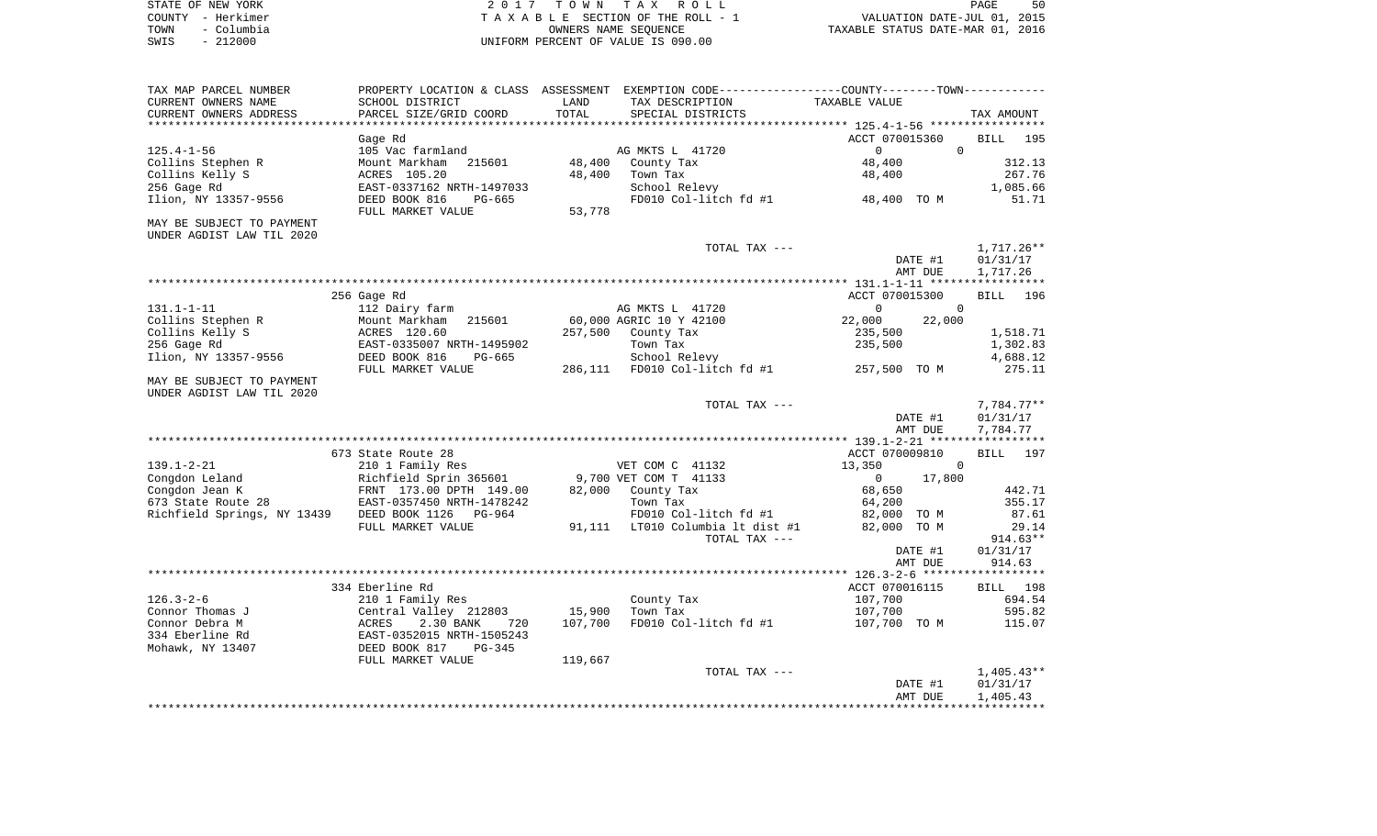| STATE OF NEW YORK  | 2017 TOWN TAX ROLL                 | 50<br>PAGE                       |
|--------------------|------------------------------------|----------------------------------|
| COUNTY - Herkimer  | TAXABLE SECTION OF THE ROLL - 1    | VALUATION DATE-JUL 01, 2015      |
| - Columbia<br>TOWN | OWNERS NAME SEOUENCE               | TAXABLE STATUS DATE-MAR 01, 2016 |
| $-212000$<br>SWIS  | UNIFORM PERCENT OF VALUE IS 090.00 |                                  |

| PARCEL SIZE/GRID COORD<br>TOTAL<br>SPECIAL DISTRICTS<br>TAX AMOUNT<br>********<br>****** 125.4-1-56 ******************<br>Gage Rd<br>ACCT 070015360<br><b>BILL</b><br>195<br>$125.4 - 1 - 56$<br>105 Vac farmland<br>$\Omega$<br>AG MKTS L 41720<br>$\Omega$<br>48,400<br>48,400<br>312.13<br>Collins Stephen R<br>Mount Markham<br>215601<br>County Tax<br>Collins Kelly S<br>ACRES 105.20<br>48,400<br>Town Tax<br>48,400<br>267.76<br>256 Gage Rd<br>EAST-0337162 NRTH-1497033<br>School Relevy<br>1,085.66<br>Ilion, NY 13357-9556<br>FD010 Col-litch fd #1<br>48,400 TO M<br>51.71<br>DEED BOOK 816<br>PG-665<br>53,778<br>FULL MARKET VALUE<br>1,717.26**<br>TOTAL TAX ---<br>DATE #1<br>01/31/17<br>AMT DUE<br>1,717.26<br>256 Gage Rd<br>ACCT 070015300<br><b>BILL</b><br>196<br>$131.1 - 1 - 11$<br>112 Dairy farm<br>AG MKTS L 41720<br>$\mathbf 0$<br>0<br>Collins Stephen R<br>Mount Markham<br>215601<br>60,000 AGRIC 10 Y 42100<br>22,000<br>22,000<br>Collins Kelly S<br>ACRES 120.60<br>257,500<br>235,500<br>1,518.71<br>County Tax<br>256 Gage Rd<br>EAST-0335007 NRTH-1495902<br>Town Tax<br>235,500<br>1,302.83<br>Ilion, NY 13357-9556<br>School Relevy<br>4,688.12<br>DEED BOOK 816<br>$PG-665$<br>286,111<br>FD010 Col-litch fd #1<br>275.11<br>FULL MARKET VALUE<br>257,500 TO M<br>UNDER AGDIST LAW TIL 2020<br>7,784.77**<br>TOTAL TAX ---<br>DATE #1<br>01/31/17<br>AMT DUE<br>7,784.77<br>673 State Route 28<br>ACCT 070009810<br><b>BILL</b><br>197<br>$139.1 - 2 - 21$<br>210 1 Family Res<br>VET COM C 41132<br>13,350<br>$\mathbf 0$<br>Congdon Leland<br>Richfield Sprin 365601<br>9,700 VET COM T 41133<br>$\mathbf{0}$<br>17,800<br>82,000<br>County Tax<br>68,650<br>442.71<br>FRNT 173.00 DPTH 149.00<br>EAST-0357450 NRTH-1478242<br>64,200<br>355.17<br>Town Tax<br>DEED BOOK 1126<br>FD010 Col-litch fd #1<br>87.61<br>PG-964<br>82,000<br>TO M<br>82,000 TO M<br>FULL MARKET VALUE<br>91,111<br>LT010 Columbia 1t dist #1<br>29.14<br>$914.63**$<br>TOTAL TAX ---<br>01/31/17<br>DATE #1<br>914.63<br>AMT DUE<br>334 Eberline Rd<br>ACCT 070016115<br>BILL 198<br>107,700<br>694.54<br>210 1 Family Res<br>County Tax<br>15,900<br>595.82<br>Central Valley 212803<br>Town Tax<br>107,700<br>107,700<br>2.30 BANK<br>FD010 Col-litch fd #1<br>107,700 TO M<br>115.07<br>ACRES<br>720<br>EAST-0352015 NRTH-1505243<br>DEED BOOK 817<br>$PG-345$<br>119,667<br>FULL MARKET VALUE<br>$1,405.43**$<br>TOTAL TAX ---<br>DATE #1<br>01/31/17<br>AMT DUE<br>1,405.43 | TAX MAP PARCEL NUMBER<br>CURRENT OWNERS NAME | SCHOOL DISTRICT | LAND | PROPERTY LOCATION & CLASS ASSESSMENT EXEMPTION CODE----------------COUNTY-------TOWN----------<br>TAX DESCRIPTION | TAXABLE VALUE |  |
|--------------------------------------------------------------------------------------------------------------------------------------------------------------------------------------------------------------------------------------------------------------------------------------------------------------------------------------------------------------------------------------------------------------------------------------------------------------------------------------------------------------------------------------------------------------------------------------------------------------------------------------------------------------------------------------------------------------------------------------------------------------------------------------------------------------------------------------------------------------------------------------------------------------------------------------------------------------------------------------------------------------------------------------------------------------------------------------------------------------------------------------------------------------------------------------------------------------------------------------------------------------------------------------------------------------------------------------------------------------------------------------------------------------------------------------------------------------------------------------------------------------------------------------------------------------------------------------------------------------------------------------------------------------------------------------------------------------------------------------------------------------------------------------------------------------------------------------------------------------------------------------------------------------------------------------------------------------------------------------------------------------------------------------------------------------------------------------------------------------------------------------------------------------------------------------------------------------------------------------------------------------------------------------------------------------------------------------------------------------------------------------------------------------------------------------------------------------------------------------------------------|----------------------------------------------|-----------------|------|-------------------------------------------------------------------------------------------------------------------|---------------|--|
|                                                                                                                                                                                                                                                                                                                                                                                                                                                                                                                                                                                                                                                                                                                                                                                                                                                                                                                                                                                                                                                                                                                                                                                                                                                                                                                                                                                                                                                                                                                                                                                                                                                                                                                                                                                                                                                                                                                                                                                                                                                                                                                                                                                                                                                                                                                                                                                                                                                                                                        | CURRENT OWNERS ADDRESS                       |                 |      |                                                                                                                   |               |  |
|                                                                                                                                                                                                                                                                                                                                                                                                                                                                                                                                                                                                                                                                                                                                                                                                                                                                                                                                                                                                                                                                                                                                                                                                                                                                                                                                                                                                                                                                                                                                                                                                                                                                                                                                                                                                                                                                                                                                                                                                                                                                                                                                                                                                                                                                                                                                                                                                                                                                                                        |                                              |                 |      |                                                                                                                   |               |  |
|                                                                                                                                                                                                                                                                                                                                                                                                                                                                                                                                                                                                                                                                                                                                                                                                                                                                                                                                                                                                                                                                                                                                                                                                                                                                                                                                                                                                                                                                                                                                                                                                                                                                                                                                                                                                                                                                                                                                                                                                                                                                                                                                                                                                                                                                                                                                                                                                                                                                                                        |                                              |                 |      |                                                                                                                   |               |  |
|                                                                                                                                                                                                                                                                                                                                                                                                                                                                                                                                                                                                                                                                                                                                                                                                                                                                                                                                                                                                                                                                                                                                                                                                                                                                                                                                                                                                                                                                                                                                                                                                                                                                                                                                                                                                                                                                                                                                                                                                                                                                                                                                                                                                                                                                                                                                                                                                                                                                                                        |                                              |                 |      |                                                                                                                   |               |  |
|                                                                                                                                                                                                                                                                                                                                                                                                                                                                                                                                                                                                                                                                                                                                                                                                                                                                                                                                                                                                                                                                                                                                                                                                                                                                                                                                                                                                                                                                                                                                                                                                                                                                                                                                                                                                                                                                                                                                                                                                                                                                                                                                                                                                                                                                                                                                                                                                                                                                                                        |                                              |                 |      |                                                                                                                   |               |  |
|                                                                                                                                                                                                                                                                                                                                                                                                                                                                                                                                                                                                                                                                                                                                                                                                                                                                                                                                                                                                                                                                                                                                                                                                                                                                                                                                                                                                                                                                                                                                                                                                                                                                                                                                                                                                                                                                                                                                                                                                                                                                                                                                                                                                                                                                                                                                                                                                                                                                                                        |                                              |                 |      |                                                                                                                   |               |  |
|                                                                                                                                                                                                                                                                                                                                                                                                                                                                                                                                                                                                                                                                                                                                                                                                                                                                                                                                                                                                                                                                                                                                                                                                                                                                                                                                                                                                                                                                                                                                                                                                                                                                                                                                                                                                                                                                                                                                                                                                                                                                                                                                                                                                                                                                                                                                                                                                                                                                                                        |                                              |                 |      |                                                                                                                   |               |  |
|                                                                                                                                                                                                                                                                                                                                                                                                                                                                                                                                                                                                                                                                                                                                                                                                                                                                                                                                                                                                                                                                                                                                                                                                                                                                                                                                                                                                                                                                                                                                                                                                                                                                                                                                                                                                                                                                                                                                                                                                                                                                                                                                                                                                                                                                                                                                                                                                                                                                                                        |                                              |                 |      |                                                                                                                   |               |  |
|                                                                                                                                                                                                                                                                                                                                                                                                                                                                                                                                                                                                                                                                                                                                                                                                                                                                                                                                                                                                                                                                                                                                                                                                                                                                                                                                                                                                                                                                                                                                                                                                                                                                                                                                                                                                                                                                                                                                                                                                                                                                                                                                                                                                                                                                                                                                                                                                                                                                                                        | MAY BE SUBJECT TO PAYMENT                    |                 |      |                                                                                                                   |               |  |
|                                                                                                                                                                                                                                                                                                                                                                                                                                                                                                                                                                                                                                                                                                                                                                                                                                                                                                                                                                                                                                                                                                                                                                                                                                                                                                                                                                                                                                                                                                                                                                                                                                                                                                                                                                                                                                                                                                                                                                                                                                                                                                                                                                                                                                                                                                                                                                                                                                                                                                        | UNDER AGDIST LAW TIL 2020                    |                 |      |                                                                                                                   |               |  |
|                                                                                                                                                                                                                                                                                                                                                                                                                                                                                                                                                                                                                                                                                                                                                                                                                                                                                                                                                                                                                                                                                                                                                                                                                                                                                                                                                                                                                                                                                                                                                                                                                                                                                                                                                                                                                                                                                                                                                                                                                                                                                                                                                                                                                                                                                                                                                                                                                                                                                                        |                                              |                 |      |                                                                                                                   |               |  |
|                                                                                                                                                                                                                                                                                                                                                                                                                                                                                                                                                                                                                                                                                                                                                                                                                                                                                                                                                                                                                                                                                                                                                                                                                                                                                                                                                                                                                                                                                                                                                                                                                                                                                                                                                                                                                                                                                                                                                                                                                                                                                                                                                                                                                                                                                                                                                                                                                                                                                                        |                                              |                 |      |                                                                                                                   |               |  |
|                                                                                                                                                                                                                                                                                                                                                                                                                                                                                                                                                                                                                                                                                                                                                                                                                                                                                                                                                                                                                                                                                                                                                                                                                                                                                                                                                                                                                                                                                                                                                                                                                                                                                                                                                                                                                                                                                                                                                                                                                                                                                                                                                                                                                                                                                                                                                                                                                                                                                                        |                                              |                 |      |                                                                                                                   |               |  |
|                                                                                                                                                                                                                                                                                                                                                                                                                                                                                                                                                                                                                                                                                                                                                                                                                                                                                                                                                                                                                                                                                                                                                                                                                                                                                                                                                                                                                                                                                                                                                                                                                                                                                                                                                                                                                                                                                                                                                                                                                                                                                                                                                                                                                                                                                                                                                                                                                                                                                                        |                                              |                 |      |                                                                                                                   |               |  |
|                                                                                                                                                                                                                                                                                                                                                                                                                                                                                                                                                                                                                                                                                                                                                                                                                                                                                                                                                                                                                                                                                                                                                                                                                                                                                                                                                                                                                                                                                                                                                                                                                                                                                                                                                                                                                                                                                                                                                                                                                                                                                                                                                                                                                                                                                                                                                                                                                                                                                                        |                                              |                 |      |                                                                                                                   |               |  |
|                                                                                                                                                                                                                                                                                                                                                                                                                                                                                                                                                                                                                                                                                                                                                                                                                                                                                                                                                                                                                                                                                                                                                                                                                                                                                                                                                                                                                                                                                                                                                                                                                                                                                                                                                                                                                                                                                                                                                                                                                                                                                                                                                                                                                                                                                                                                                                                                                                                                                                        |                                              |                 |      |                                                                                                                   |               |  |
|                                                                                                                                                                                                                                                                                                                                                                                                                                                                                                                                                                                                                                                                                                                                                                                                                                                                                                                                                                                                                                                                                                                                                                                                                                                                                                                                                                                                                                                                                                                                                                                                                                                                                                                                                                                                                                                                                                                                                                                                                                                                                                                                                                                                                                                                                                                                                                                                                                                                                                        |                                              |                 |      |                                                                                                                   |               |  |
|                                                                                                                                                                                                                                                                                                                                                                                                                                                                                                                                                                                                                                                                                                                                                                                                                                                                                                                                                                                                                                                                                                                                                                                                                                                                                                                                                                                                                                                                                                                                                                                                                                                                                                                                                                                                                                                                                                                                                                                                                                                                                                                                                                                                                                                                                                                                                                                                                                                                                                        |                                              |                 |      |                                                                                                                   |               |  |
|                                                                                                                                                                                                                                                                                                                                                                                                                                                                                                                                                                                                                                                                                                                                                                                                                                                                                                                                                                                                                                                                                                                                                                                                                                                                                                                                                                                                                                                                                                                                                                                                                                                                                                                                                                                                                                                                                                                                                                                                                                                                                                                                                                                                                                                                                                                                                                                                                                                                                                        |                                              |                 |      |                                                                                                                   |               |  |
|                                                                                                                                                                                                                                                                                                                                                                                                                                                                                                                                                                                                                                                                                                                                                                                                                                                                                                                                                                                                                                                                                                                                                                                                                                                                                                                                                                                                                                                                                                                                                                                                                                                                                                                                                                                                                                                                                                                                                                                                                                                                                                                                                                                                                                                                                                                                                                                                                                                                                                        |                                              |                 |      |                                                                                                                   |               |  |
|                                                                                                                                                                                                                                                                                                                                                                                                                                                                                                                                                                                                                                                                                                                                                                                                                                                                                                                                                                                                                                                                                                                                                                                                                                                                                                                                                                                                                                                                                                                                                                                                                                                                                                                                                                                                                                                                                                                                                                                                                                                                                                                                                                                                                                                                                                                                                                                                                                                                                                        | MAY BE SUBJECT TO PAYMENT                    |                 |      |                                                                                                                   |               |  |
|                                                                                                                                                                                                                                                                                                                                                                                                                                                                                                                                                                                                                                                                                                                                                                                                                                                                                                                                                                                                                                                                                                                                                                                                                                                                                                                                                                                                                                                                                                                                                                                                                                                                                                                                                                                                                                                                                                                                                                                                                                                                                                                                                                                                                                                                                                                                                                                                                                                                                                        |                                              |                 |      |                                                                                                                   |               |  |
|                                                                                                                                                                                                                                                                                                                                                                                                                                                                                                                                                                                                                                                                                                                                                                                                                                                                                                                                                                                                                                                                                                                                                                                                                                                                                                                                                                                                                                                                                                                                                                                                                                                                                                                                                                                                                                                                                                                                                                                                                                                                                                                                                                                                                                                                                                                                                                                                                                                                                                        |                                              |                 |      |                                                                                                                   |               |  |
|                                                                                                                                                                                                                                                                                                                                                                                                                                                                                                                                                                                                                                                                                                                                                                                                                                                                                                                                                                                                                                                                                                                                                                                                                                                                                                                                                                                                                                                                                                                                                                                                                                                                                                                                                                                                                                                                                                                                                                                                                                                                                                                                                                                                                                                                                                                                                                                                                                                                                                        |                                              |                 |      |                                                                                                                   |               |  |
|                                                                                                                                                                                                                                                                                                                                                                                                                                                                                                                                                                                                                                                                                                                                                                                                                                                                                                                                                                                                                                                                                                                                                                                                                                                                                                                                                                                                                                                                                                                                                                                                                                                                                                                                                                                                                                                                                                                                                                                                                                                                                                                                                                                                                                                                                                                                                                                                                                                                                                        |                                              |                 |      |                                                                                                                   |               |  |
|                                                                                                                                                                                                                                                                                                                                                                                                                                                                                                                                                                                                                                                                                                                                                                                                                                                                                                                                                                                                                                                                                                                                                                                                                                                                                                                                                                                                                                                                                                                                                                                                                                                                                                                                                                                                                                                                                                                                                                                                                                                                                                                                                                                                                                                                                                                                                                                                                                                                                                        |                                              |                 |      |                                                                                                                   |               |  |
|                                                                                                                                                                                                                                                                                                                                                                                                                                                                                                                                                                                                                                                                                                                                                                                                                                                                                                                                                                                                                                                                                                                                                                                                                                                                                                                                                                                                                                                                                                                                                                                                                                                                                                                                                                                                                                                                                                                                                                                                                                                                                                                                                                                                                                                                                                                                                                                                                                                                                                        |                                              |                 |      |                                                                                                                   |               |  |
|                                                                                                                                                                                                                                                                                                                                                                                                                                                                                                                                                                                                                                                                                                                                                                                                                                                                                                                                                                                                                                                                                                                                                                                                                                                                                                                                                                                                                                                                                                                                                                                                                                                                                                                                                                                                                                                                                                                                                                                                                                                                                                                                                                                                                                                                                                                                                                                                                                                                                                        |                                              |                 |      |                                                                                                                   |               |  |
|                                                                                                                                                                                                                                                                                                                                                                                                                                                                                                                                                                                                                                                                                                                                                                                                                                                                                                                                                                                                                                                                                                                                                                                                                                                                                                                                                                                                                                                                                                                                                                                                                                                                                                                                                                                                                                                                                                                                                                                                                                                                                                                                                                                                                                                                                                                                                                                                                                                                                                        |                                              |                 |      |                                                                                                                   |               |  |
|                                                                                                                                                                                                                                                                                                                                                                                                                                                                                                                                                                                                                                                                                                                                                                                                                                                                                                                                                                                                                                                                                                                                                                                                                                                                                                                                                                                                                                                                                                                                                                                                                                                                                                                                                                                                                                                                                                                                                                                                                                                                                                                                                                                                                                                                                                                                                                                                                                                                                                        |                                              |                 |      |                                                                                                                   |               |  |
|                                                                                                                                                                                                                                                                                                                                                                                                                                                                                                                                                                                                                                                                                                                                                                                                                                                                                                                                                                                                                                                                                                                                                                                                                                                                                                                                                                                                                                                                                                                                                                                                                                                                                                                                                                                                                                                                                                                                                                                                                                                                                                                                                                                                                                                                                                                                                                                                                                                                                                        | Congdon Jean K                               |                 |      |                                                                                                                   |               |  |
|                                                                                                                                                                                                                                                                                                                                                                                                                                                                                                                                                                                                                                                                                                                                                                                                                                                                                                                                                                                                                                                                                                                                                                                                                                                                                                                                                                                                                                                                                                                                                                                                                                                                                                                                                                                                                                                                                                                                                                                                                                                                                                                                                                                                                                                                                                                                                                                                                                                                                                        | 673 State Route 28                           |                 |      |                                                                                                                   |               |  |
|                                                                                                                                                                                                                                                                                                                                                                                                                                                                                                                                                                                                                                                                                                                                                                                                                                                                                                                                                                                                                                                                                                                                                                                                                                                                                                                                                                                                                                                                                                                                                                                                                                                                                                                                                                                                                                                                                                                                                                                                                                                                                                                                                                                                                                                                                                                                                                                                                                                                                                        | Richfield Springs, NY 13439                  |                 |      |                                                                                                                   |               |  |
|                                                                                                                                                                                                                                                                                                                                                                                                                                                                                                                                                                                                                                                                                                                                                                                                                                                                                                                                                                                                                                                                                                                                                                                                                                                                                                                                                                                                                                                                                                                                                                                                                                                                                                                                                                                                                                                                                                                                                                                                                                                                                                                                                                                                                                                                                                                                                                                                                                                                                                        |                                              |                 |      |                                                                                                                   |               |  |
|                                                                                                                                                                                                                                                                                                                                                                                                                                                                                                                                                                                                                                                                                                                                                                                                                                                                                                                                                                                                                                                                                                                                                                                                                                                                                                                                                                                                                                                                                                                                                                                                                                                                                                                                                                                                                                                                                                                                                                                                                                                                                                                                                                                                                                                                                                                                                                                                                                                                                                        |                                              |                 |      |                                                                                                                   |               |  |
|                                                                                                                                                                                                                                                                                                                                                                                                                                                                                                                                                                                                                                                                                                                                                                                                                                                                                                                                                                                                                                                                                                                                                                                                                                                                                                                                                                                                                                                                                                                                                                                                                                                                                                                                                                                                                                                                                                                                                                                                                                                                                                                                                                                                                                                                                                                                                                                                                                                                                                        |                                              |                 |      |                                                                                                                   |               |  |
|                                                                                                                                                                                                                                                                                                                                                                                                                                                                                                                                                                                                                                                                                                                                                                                                                                                                                                                                                                                                                                                                                                                                                                                                                                                                                                                                                                                                                                                                                                                                                                                                                                                                                                                                                                                                                                                                                                                                                                                                                                                                                                                                                                                                                                                                                                                                                                                                                                                                                                        |                                              |                 |      |                                                                                                                   |               |  |
|                                                                                                                                                                                                                                                                                                                                                                                                                                                                                                                                                                                                                                                                                                                                                                                                                                                                                                                                                                                                                                                                                                                                                                                                                                                                                                                                                                                                                                                                                                                                                                                                                                                                                                                                                                                                                                                                                                                                                                                                                                                                                                                                                                                                                                                                                                                                                                                                                                                                                                        |                                              |                 |      |                                                                                                                   |               |  |
|                                                                                                                                                                                                                                                                                                                                                                                                                                                                                                                                                                                                                                                                                                                                                                                                                                                                                                                                                                                                                                                                                                                                                                                                                                                                                                                                                                                                                                                                                                                                                                                                                                                                                                                                                                                                                                                                                                                                                                                                                                                                                                                                                                                                                                                                                                                                                                                                                                                                                                        |                                              |                 |      |                                                                                                                   |               |  |
|                                                                                                                                                                                                                                                                                                                                                                                                                                                                                                                                                                                                                                                                                                                                                                                                                                                                                                                                                                                                                                                                                                                                                                                                                                                                                                                                                                                                                                                                                                                                                                                                                                                                                                                                                                                                                                                                                                                                                                                                                                                                                                                                                                                                                                                                                                                                                                                                                                                                                                        | $126.3 - 2 - 6$                              |                 |      |                                                                                                                   |               |  |
|                                                                                                                                                                                                                                                                                                                                                                                                                                                                                                                                                                                                                                                                                                                                                                                                                                                                                                                                                                                                                                                                                                                                                                                                                                                                                                                                                                                                                                                                                                                                                                                                                                                                                                                                                                                                                                                                                                                                                                                                                                                                                                                                                                                                                                                                                                                                                                                                                                                                                                        | Connor Thomas J                              |                 |      |                                                                                                                   |               |  |
|                                                                                                                                                                                                                                                                                                                                                                                                                                                                                                                                                                                                                                                                                                                                                                                                                                                                                                                                                                                                                                                                                                                                                                                                                                                                                                                                                                                                                                                                                                                                                                                                                                                                                                                                                                                                                                                                                                                                                                                                                                                                                                                                                                                                                                                                                                                                                                                                                                                                                                        | Connor Debra M                               |                 |      |                                                                                                                   |               |  |
|                                                                                                                                                                                                                                                                                                                                                                                                                                                                                                                                                                                                                                                                                                                                                                                                                                                                                                                                                                                                                                                                                                                                                                                                                                                                                                                                                                                                                                                                                                                                                                                                                                                                                                                                                                                                                                                                                                                                                                                                                                                                                                                                                                                                                                                                                                                                                                                                                                                                                                        | 334 Eberline Rd                              |                 |      |                                                                                                                   |               |  |
|                                                                                                                                                                                                                                                                                                                                                                                                                                                                                                                                                                                                                                                                                                                                                                                                                                                                                                                                                                                                                                                                                                                                                                                                                                                                                                                                                                                                                                                                                                                                                                                                                                                                                                                                                                                                                                                                                                                                                                                                                                                                                                                                                                                                                                                                                                                                                                                                                                                                                                        | Mohawk, NY 13407                             |                 |      |                                                                                                                   |               |  |
|                                                                                                                                                                                                                                                                                                                                                                                                                                                                                                                                                                                                                                                                                                                                                                                                                                                                                                                                                                                                                                                                                                                                                                                                                                                                                                                                                                                                                                                                                                                                                                                                                                                                                                                                                                                                                                                                                                                                                                                                                                                                                                                                                                                                                                                                                                                                                                                                                                                                                                        |                                              |                 |      |                                                                                                                   |               |  |
|                                                                                                                                                                                                                                                                                                                                                                                                                                                                                                                                                                                                                                                                                                                                                                                                                                                                                                                                                                                                                                                                                                                                                                                                                                                                                                                                                                                                                                                                                                                                                                                                                                                                                                                                                                                                                                                                                                                                                                                                                                                                                                                                                                                                                                                                                                                                                                                                                                                                                                        |                                              |                 |      |                                                                                                                   |               |  |
|                                                                                                                                                                                                                                                                                                                                                                                                                                                                                                                                                                                                                                                                                                                                                                                                                                                                                                                                                                                                                                                                                                                                                                                                                                                                                                                                                                                                                                                                                                                                                                                                                                                                                                                                                                                                                                                                                                                                                                                                                                                                                                                                                                                                                                                                                                                                                                                                                                                                                                        |                                              |                 |      |                                                                                                                   |               |  |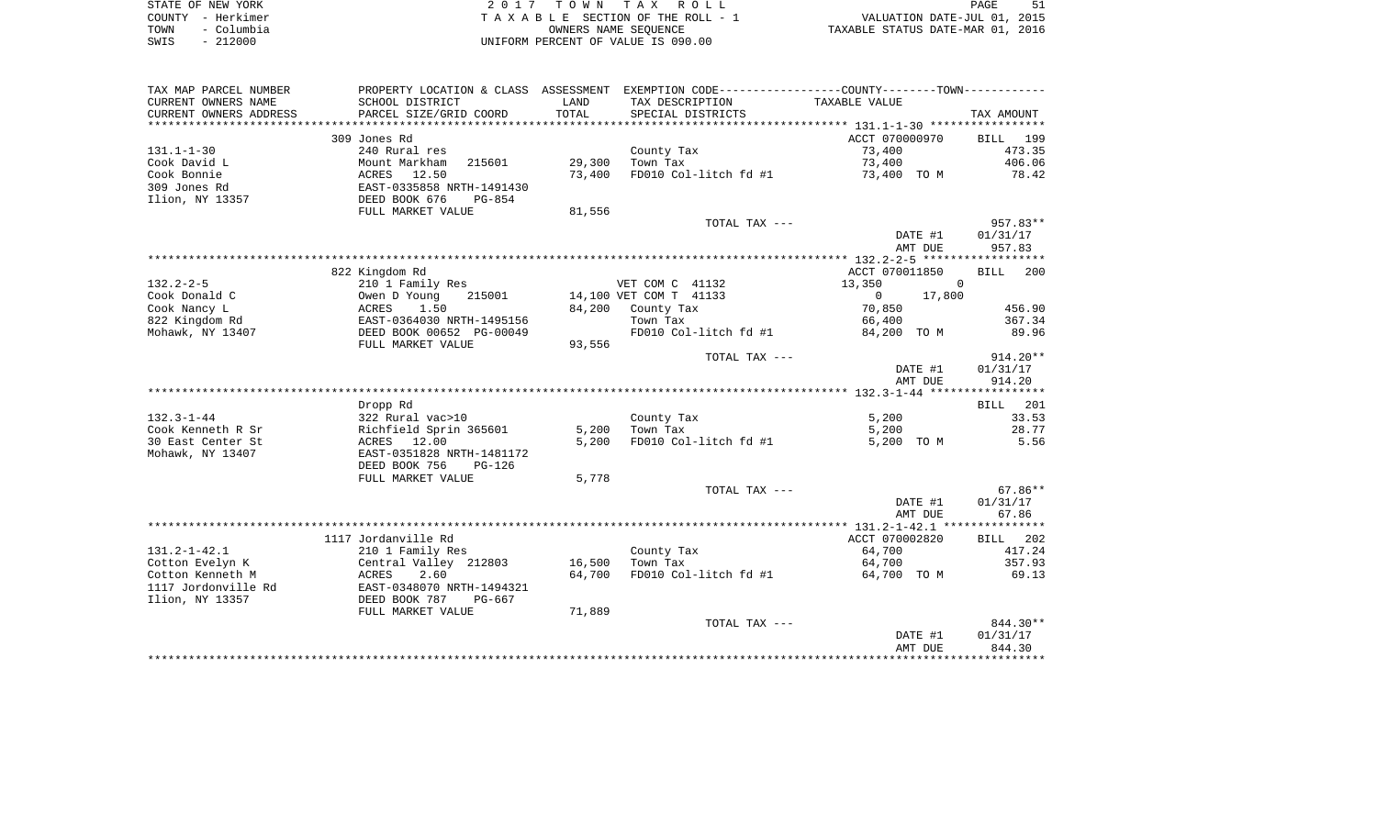| STATE OF NEW YORK  | 2017 TOWN TAX ROLL                 | PAGE                             |
|--------------------|------------------------------------|----------------------------------|
| COUNTY - Herkimer  | TAXABLE SECTION OF THE ROLL - 1    | VALUATION DATE-JUL 01, 2015      |
| TOWN<br>– Columbia | OWNERS NAME SEOUENCE               | TAXABLE STATUS DATE-MAR 01, 2016 |
| $-212000$<br>SWIS  | UNIFORM PERCENT OF VALUE IS 090.00 |                                  |

| TAX MAP PARCEL NUMBER                 | PROPERTY LOCATION & CLASS ASSESSMENT     |        | EXEMPTION CODE----------------COUNTY-------TOWN----------- |                                 |                    |
|---------------------------------------|------------------------------------------|--------|------------------------------------------------------------|---------------------------------|--------------------|
| CURRENT OWNERS NAME                   | SCHOOL DISTRICT                          | LAND   | TAX DESCRIPTION                                            | TAXABLE VALUE                   |                    |
| CURRENT OWNERS ADDRESS                | PARCEL SIZE/GRID COORD                   | TOTAL  | SPECIAL DISTRICTS                                          |                                 | TAX AMOUNT         |
| **************************            |                                          |        |                                                            |                                 |                    |
|                                       | 309 Jones Rd                             |        |                                                            | ACCT 070000970                  | <b>BILL</b><br>199 |
| $131.1 - 1 - 30$                      | 240 Rural res                            |        | County Tax                                                 | 73,400                          | 473.35             |
| Cook David L                          | 215601<br>Mount Markham                  | 29,300 | Town Tax                                                   | 73,400                          | 406.06             |
| Cook Bonnie                           | 12.50<br>ACRES                           | 73,400 | FD010 Col-litch fd #1                                      | 73,400 TO M                     | 78.42              |
| 309 Jones Rd                          | EAST-0335858 NRTH-1491430                |        |                                                            |                                 |                    |
| Ilion, NY 13357                       | DEED BOOK 676<br>$PG-854$                |        |                                                            |                                 |                    |
|                                       | FULL MARKET VALUE                        | 81,556 |                                                            |                                 |                    |
|                                       |                                          |        | TOTAL TAX ---                                              |                                 | 957.83**           |
|                                       |                                          |        |                                                            | DATE #1                         | 01/31/17           |
|                                       |                                          |        |                                                            | AMT DUE                         | 957.83             |
|                                       |                                          |        |                                                            |                                 |                    |
|                                       | 822 Kingdom Rd                           |        |                                                            | ACCT 070011850                  | <b>BILL</b><br>200 |
| $132.2 - 2 - 5$                       | 210 1 Family Res                         |        | VET COM C 41132                                            | 13,350                          | $\Omega$           |
| Cook Donald C                         | Owen D Young<br>215001                   |        | 14,100 VET COM T 41133                                     | $\overline{0}$<br>17,800        |                    |
| Cook Nancy L                          | ACRES<br>1.50                            | 84,200 | County Tax                                                 | 70,850                          | 456.90             |
| 822 Kingdom Rd                        | EAST-0364030 NRTH-1495156                |        | Town Tax                                                   | 66,400                          | 367.34             |
| Mohawk, NY 13407                      | DEED BOOK 00652 PG-00049                 |        | FD010 Col-litch fd #1                                      | 84,200 TO M                     | 89.96              |
|                                       | FULL MARKET VALUE                        | 93,556 |                                                            |                                 |                    |
|                                       |                                          |        | TOTAL TAX ---                                              |                                 | $914.20**$         |
|                                       |                                          |        |                                                            | DATE #1                         | 01/31/17           |
|                                       |                                          |        |                                                            | AMT DUE                         | 914.20             |
|                                       |                                          |        |                                                            |                                 |                    |
|                                       | Dropp Rd                                 |        |                                                            |                                 | BILL<br>201        |
| $132.3 - 1 - 44$<br>Cook Kenneth R Sr | 322 Rural vac>10                         | 5,200  | County Tax                                                 | 5,200                           | 33.53<br>28.77     |
|                                       | Richfield Sprin 365601                   |        | Town Tax                                                   | 5,200                           |                    |
| 30 East Center St<br>Mohawk, NY 13407 | ACRES 12.00<br>EAST-0351828 NRTH-1481172 | 5,200  | FD010 Col-litch fd #1                                      | 5,200 TO M                      | 5.56               |
|                                       | DEED BOOK 756<br><b>PG-126</b>           |        |                                                            |                                 |                    |
|                                       | FULL MARKET VALUE                        | 5,778  |                                                            |                                 |                    |
|                                       |                                          |        | TOTAL TAX ---                                              |                                 | 67.86**            |
|                                       |                                          |        |                                                            | DATE #1                         | 01/31/17           |
|                                       |                                          |        |                                                            | AMT DUE                         | 67.86              |
|                                       |                                          |        |                                                            |                                 |                    |
|                                       | 1117 Jordanville Rd                      |        |                                                            | ACCT 070002820                  | 202<br>BILL        |
| $131.2 - 1 - 42.1$                    | 210 1 Family Res                         |        | County Tax                                                 | 64,700                          | 417.24             |
| Cotton Evelyn K                       | Central Valley 212803                    | 16,500 | Town Tax                                                   | 64,700                          | 357.93             |
| Cotton Kenneth M                      | 2.60<br>ACRES                            | 64,700 | FD010 Col-litch fd #1                                      | 64,700 TO M                     | 69.13              |
| 1117 Jordonville Rd                   | EAST-0348070 NRTH-1494321                |        |                                                            |                                 |                    |
| Ilion, NY 13357                       | DEED BOOK 787<br>PG-667                  |        |                                                            |                                 |                    |
|                                       | FULL MARKET VALUE                        | 71,889 |                                                            |                                 |                    |
|                                       |                                          |        | TOTAL TAX ---                                              |                                 | 844.30**           |
|                                       |                                          |        |                                                            | DATE #1                         | 01/31/17           |
|                                       |                                          |        |                                                            | AMT DUE                         | 844.30             |
|                                       |                                          |        |                                                            | ******************************* |                    |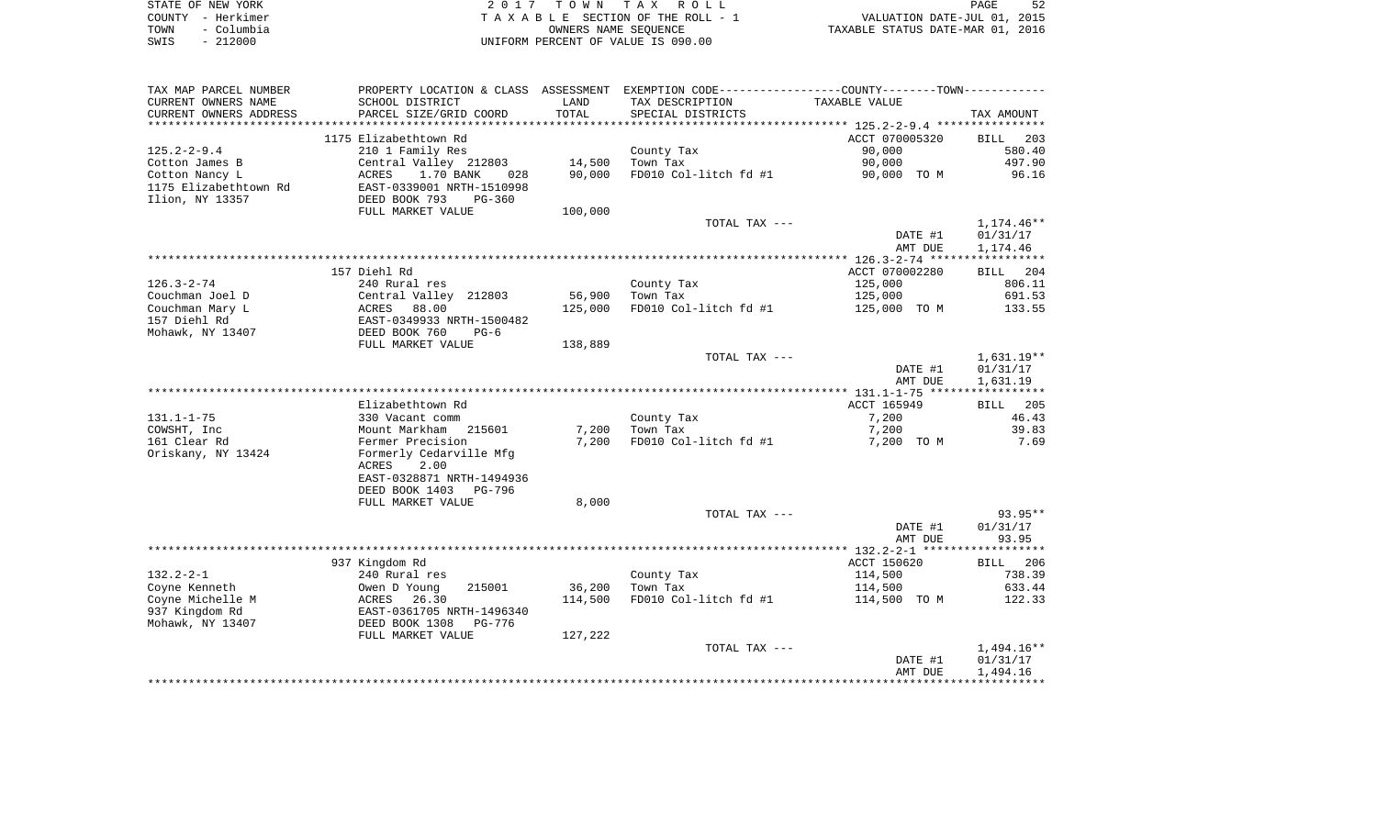| STATE OF NEW YORK  | 2017 TOWN TAX ROLL                 | PAGE                             |
|--------------------|------------------------------------|----------------------------------|
| COUNTY - Herkimer  | TAXABLE SECTION OF THE ROLL - 1    | VALUATION DATE-JUL 01, 2015      |
| – Columbia<br>TOWN | OWNERS NAME SEOUENCE               | TAXABLE STATUS DATE-MAR 01, 2016 |
| $-212000$<br>SWIS  | UNIFORM PERCENT OF VALUE IS 090.00 |                                  |

| TAX MAP PARCEL NUMBER  |                                          |         | PROPERTY LOCATION & CLASS ASSESSMENT EXEMPTION CODE---------------COUNTY-------TOWN---------- |                |                 |
|------------------------|------------------------------------------|---------|-----------------------------------------------------------------------------------------------|----------------|-----------------|
| CURRENT OWNERS NAME    | SCHOOL DISTRICT                          | LAND    | TAX DESCRIPTION                                                                               | TAXABLE VALUE  |                 |
| CURRENT OWNERS ADDRESS | PARCEL SIZE/GRID COORD                   | TOTAL   | SPECIAL DISTRICTS                                                                             |                | TAX AMOUNT      |
| *********************  | *****************************            |         |                                                                                               |                |                 |
|                        | 1175 Elizabethtown Rd                    |         |                                                                                               | ACCT 070005320 | BILL 203        |
| $125.2 - 2 - 9.4$      | 210 1 Family Res                         |         | County Tax                                                                                    | 90,000         | 580.40          |
| Cotton James B         | Central Valley 212803                    | 14,500  | Town Tax                                                                                      | 90,000         | 497.90          |
| Cotton Nancy L         | 1.70 BANK<br>ACRES<br>028                | 90,000  | FD010 Col-litch fd #1                                                                         | 90,000 TO M    | 96.16           |
| 1175 Elizabethtown Rd  | EAST-0339001 NRTH-1510998                |         |                                                                                               |                |                 |
| Ilion, NY 13357        | DEED BOOK 793<br>PG-360                  |         |                                                                                               |                |                 |
|                        | FULL MARKET VALUE                        | 100,000 |                                                                                               |                |                 |
|                        |                                          |         | TOTAL TAX ---                                                                                 |                | $1,174.46**$    |
|                        |                                          |         |                                                                                               | DATE #1        | 01/31/17        |
|                        |                                          |         |                                                                                               | AMT DUE        | 1,174.46        |
|                        |                                          |         |                                                                                               |                |                 |
|                        | 157 Diehl Rd                             |         |                                                                                               | ACCT 070002280 | BILL 204        |
| $126.3 - 2 - 74$       | 240 Rural res                            |         | County Tax                                                                                    | 125,000        | 806.11          |
| Couchman Joel D        | Central Valley 212803<br>Centra<br>ACRES | 56,900  | Town Tax                                                                                      | 125,000        | 691.53          |
| Couchman Mary L        | 88.00                                    | 125,000 | FD010 Col-litch fd #1                                                                         | 125,000 TO M   | 133.55          |
| 157 Diehl Rd           | EAST-0349933 NRTH-1500482                |         |                                                                                               |                |                 |
| Mohawk, NY 13407       | DEED BOOK 760<br>$PG-6$                  |         |                                                                                               |                |                 |
|                        | FULL MARKET VALUE                        | 138,889 |                                                                                               |                |                 |
|                        |                                          |         | TOTAL TAX ---                                                                                 |                | $1,631.19**$    |
|                        |                                          |         |                                                                                               | DATE #1        | 01/31/17        |
|                        |                                          |         |                                                                                               | AMT DUE        | 1,631.19        |
|                        |                                          |         |                                                                                               |                |                 |
|                        | Elizabethtown Rd                         |         |                                                                                               | ACCT 165949    | <b>BILL</b> 205 |
| $131.1 - 1 - 75$       | 330 Vacant comm                          |         | County Tax                                                                                    | 7,200          | 46.43           |
| COWSHT, Inc            | Mount Markham<br>215601                  | 7,200   | Town Tax                                                                                      | 7,200          | 39.83           |
| 161 Clear Rd           | Fermer Precision                         | 7,200   | FD010 Col-litch fd #1                                                                         | 7,200 TO M     | 7.69            |
| Oriskany, NY 13424     | Formerly Cedarville Mfg<br>ACRES<br>2.00 |         |                                                                                               |                |                 |
|                        | EAST-0328871 NRTH-1494936                |         |                                                                                               |                |                 |
|                        | PG-796                                   |         |                                                                                               |                |                 |
|                        | DEED BOOK 1403<br>FULL MARKET VALUE      | 8,000   |                                                                                               |                |                 |
|                        |                                          |         | TOTAL TAX ---                                                                                 |                | 93.95**         |
|                        |                                          |         |                                                                                               | DATE #1        | 01/31/17        |
|                        |                                          |         |                                                                                               | AMT DUE        | 93.95           |
|                        |                                          |         |                                                                                               |                |                 |
|                        | 937 Kingdom Rd                           |         |                                                                                               | ACCT 150620    | BILL 206        |
| $132.2 - 2 - 1$        | 240 Rural res                            |         | County Tax                                                                                    | 114,500        | 738.39          |
| Coyne Kenneth          | 215001<br>Owen D Young                   | 36,200  | Town Tax                                                                                      | 114,500        | 633.44          |
| Coyne Michelle M       |                                          | 114,500 | FD010 Col-litch fd #1                                                                         | 114,500 TO M   | 122.33          |
| 937 Kingdom Rd         | ACRES 26.30<br>EAST-0361705 NRTH-1496340 |         |                                                                                               |                |                 |
| Mohawk, NY 13407       | DEED BOOK 1308<br>PG-776                 |         |                                                                                               |                |                 |
|                        | FULL MARKET VALUE                        | 127,222 |                                                                                               |                |                 |
|                        |                                          |         | TOTAL TAX ---                                                                                 |                | $1,494.16**$    |
|                        |                                          |         |                                                                                               | DATE #1        | 01/31/17        |
|                        |                                          |         |                                                                                               | AMT DUE        | 1,494.16        |
|                        |                                          |         |                                                                                               |                |                 |
|                        |                                          |         |                                                                                               |                |                 |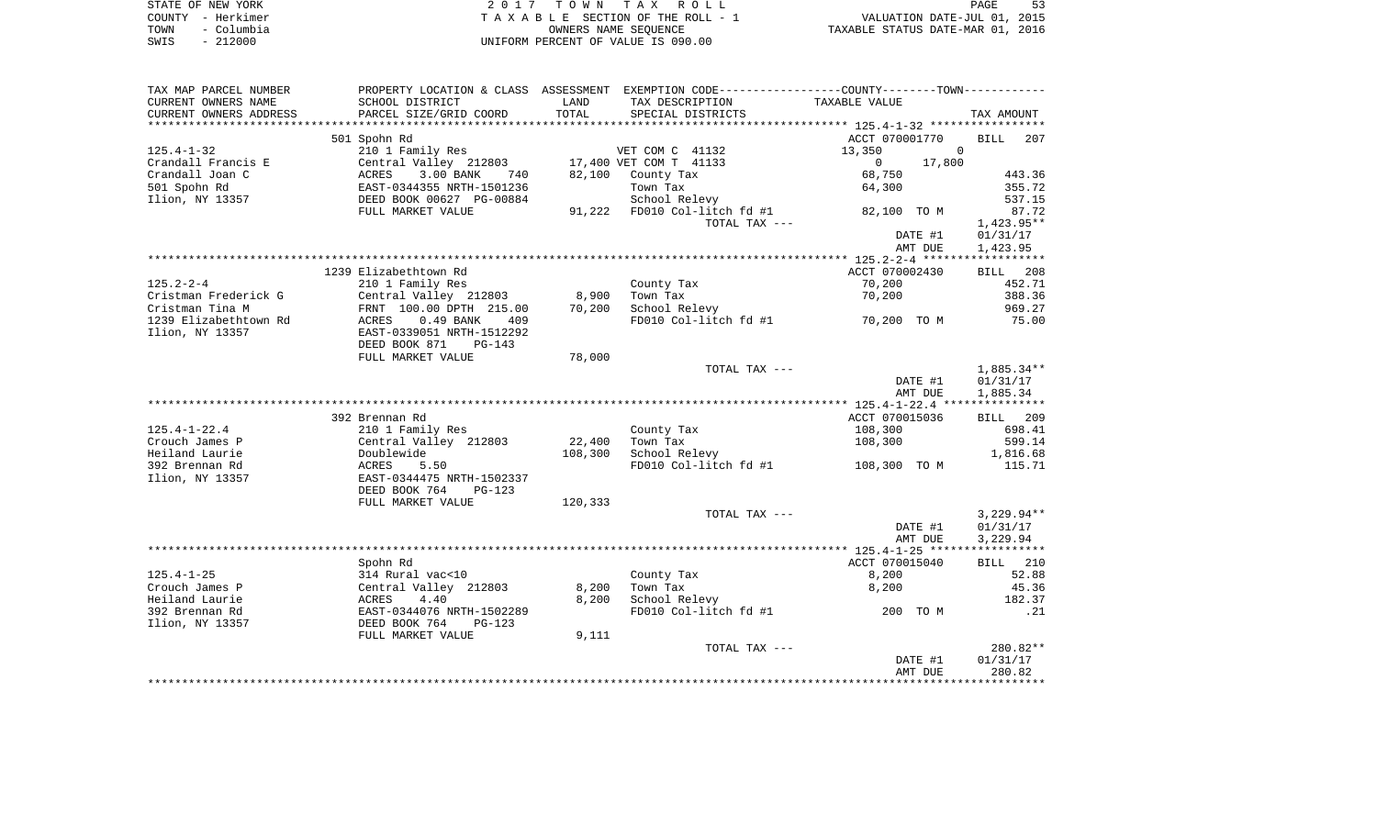| STATE OF NEW YORK  | 2017 TOWN TAX ROLL                 | PAGE                             |
|--------------------|------------------------------------|----------------------------------|
| COUNTY - Herkimer  | TAXABLE SECTION OF THE ROLL - 1    | VALUATION DATE-JUL 01, 2015      |
| TOWN<br>- Columbia | OWNERS NAME SEOUENCE               | TAXABLE STATUS DATE-MAR 01, 2016 |
| $-212000$<br>SWIS  | UNIFORM PERCENT OF VALUE IS 090.00 |                                  |

| TAX MAP PARCEL NUMBER  | PROPERTY LOCATION & CLASS ASSESSMENT EXEMPTION CODE---------------COUNTY-------TOWN--------- |         |                        |                          |                      |
|------------------------|----------------------------------------------------------------------------------------------|---------|------------------------|--------------------------|----------------------|
| CURRENT OWNERS NAME    | SCHOOL DISTRICT                                                                              | LAND    | TAX DESCRIPTION        | TAXABLE VALUE            |                      |
| CURRENT OWNERS ADDRESS | PARCEL SIZE/GRID COORD                                                                       | TOTAL   | SPECIAL DISTRICTS      |                          | TAX AMOUNT           |
| *******************    | ****************************                                                                 |         |                        |                          |                      |
|                        | 501 Spohn Rd                                                                                 |         |                        | ACCT 070001770           | 207<br>BILL          |
| $125.4 - 1 - 32$       | 210 1 Family Res                                                                             |         | VET COM C 41132        | 13,350<br>$\overline{0}$ |                      |
| Crandall Francis E     | Central Valley 212803                                                                        |         | 17,400 VET COM T 41133 | 17,800<br>$\Omega$       |                      |
| Crandall Joan C        | ACRES<br>3.00 BANK<br>740                                                                    | 82,100  | County Tax             | 68,750                   | 443.36               |
| 501 Spohn Rd           | EAST-0344355 NRTH-1501236                                                                    |         | Town Tax               | 64,300                   | 355.72               |
| Ilion, NY 13357        | DEED BOOK 00627 PG-00884                                                                     |         | School Relevy          |                          | 537.15               |
|                        | FULL MARKET VALUE                                                                            | 91,222  | FD010 Col-litch fd #1  | 82,100 TO M              | 87.72                |
|                        |                                                                                              |         | TOTAL TAX ---          |                          | 1,423.95**           |
|                        |                                                                                              |         |                        | DATE #1                  | 01/31/17             |
|                        |                                                                                              |         |                        | AMT DUE                  | 1,423.95             |
|                        |                                                                                              |         |                        |                          |                      |
|                        | 1239 Elizabethtown Rd                                                                        |         |                        | ACCT 070002430           | BILL 208             |
| $125.2 - 2 - 4$        | 210 1 Family Res                                                                             |         | County Tax             | 70,200                   | 452.71               |
| Cristman Frederick G   | Central Valley 212803                                                                        | 8,900   | Town Tax               | 70,200                   | 388.36               |
| Cristman Tina M        | FRNT 100.00 DPTH 215.00                                                                      | 70,200  | School Relevy          |                          | 969.27               |
| 1239 Elizabethtown Rd  | 0.49 BANK<br>ACRES<br>409                                                                    |         | FD010 Col-litch fd #1  | 70,200 TO M              | 75.00                |
| Ilion, NY 13357        | EAST-0339051 NRTH-1512292                                                                    |         |                        |                          |                      |
|                        | DEED BOOK 871<br>$PG-143$                                                                    |         |                        |                          |                      |
|                        | FULL MARKET VALUE                                                                            | 78,000  |                        |                          |                      |
|                        |                                                                                              |         | TOTAL TAX ---          |                          | 1,885.34**           |
|                        |                                                                                              |         |                        | DATE #1                  | 01/31/17             |
|                        |                                                                                              |         |                        | AMT DUE                  | 1,885.34             |
|                        |                                                                                              |         |                        |                          |                      |
|                        | 392 Brennan Rd                                                                               |         |                        | ACCT 070015036           | BILL 209             |
| $125.4 - 1 - 22.4$     | 210 1 Family Res                                                                             |         | County Tax             | 108,300                  | 698.41               |
| Crouch James P         | Central Valley 212803                                                                        | 22,400  | Town Tax               | 108,300                  | 599.14               |
| Heiland Laurie         | Doublewide                                                                                   | 108,300 | School Relevy          |                          | 1,816.68             |
| 392 Brennan Rd         | 5.50<br>ACRES                                                                                |         | FD010 Col-litch fd #1  | 108,300 TO M             | 115.71               |
| Ilion, NY 13357        | EAST-0344475 NRTH-1502337                                                                    |         |                        |                          |                      |
|                        | DEED BOOK 764<br>$PG-123$                                                                    |         |                        |                          |                      |
|                        | FULL MARKET VALUE                                                                            | 120,333 |                        |                          | $3,229.94**$         |
|                        |                                                                                              |         | TOTAL TAX ---          |                          |                      |
|                        |                                                                                              |         |                        | DATE #1<br>AMT DUE       | 01/31/17<br>3,229.94 |
|                        |                                                                                              |         |                        |                          |                      |
|                        | Spohn Rd                                                                                     |         |                        | ACCT 070015040           | BILL 210             |
| $125.4 - 1 - 25$       | 314 Rural vac<10                                                                             |         | County Tax             | 8,200                    | 52.88                |
| Crouch James P         | Central Valley 212803                                                                        | 8,200   | Town Tax               | 8,200                    | 45.36                |
| Heiland Laurie         | ACRES<br>4.40                                                                                | 8,200   | School Relevy          |                          | 182.37               |
| 392 Brennan Rd         | EAST-0344076 NRTH-1502289                                                                    |         | FD010 Col-litch fd #1  | 200 TO M                 | $\ldots$             |
| Ilion, NY 13357        | DEED BOOK 764<br>$PG-123$                                                                    |         |                        |                          |                      |
|                        | FULL MARKET VALUE                                                                            | 9,111   |                        |                          |                      |
|                        |                                                                                              |         | TOTAL TAX ---          |                          | 280.82**             |
|                        |                                                                                              |         |                        | DATE #1                  | 01/31/17             |
|                        |                                                                                              |         |                        | AMT DUE                  | 280.82               |
|                        |                                                                                              |         |                        |                          |                      |
|                        |                                                                                              |         |                        |                          |                      |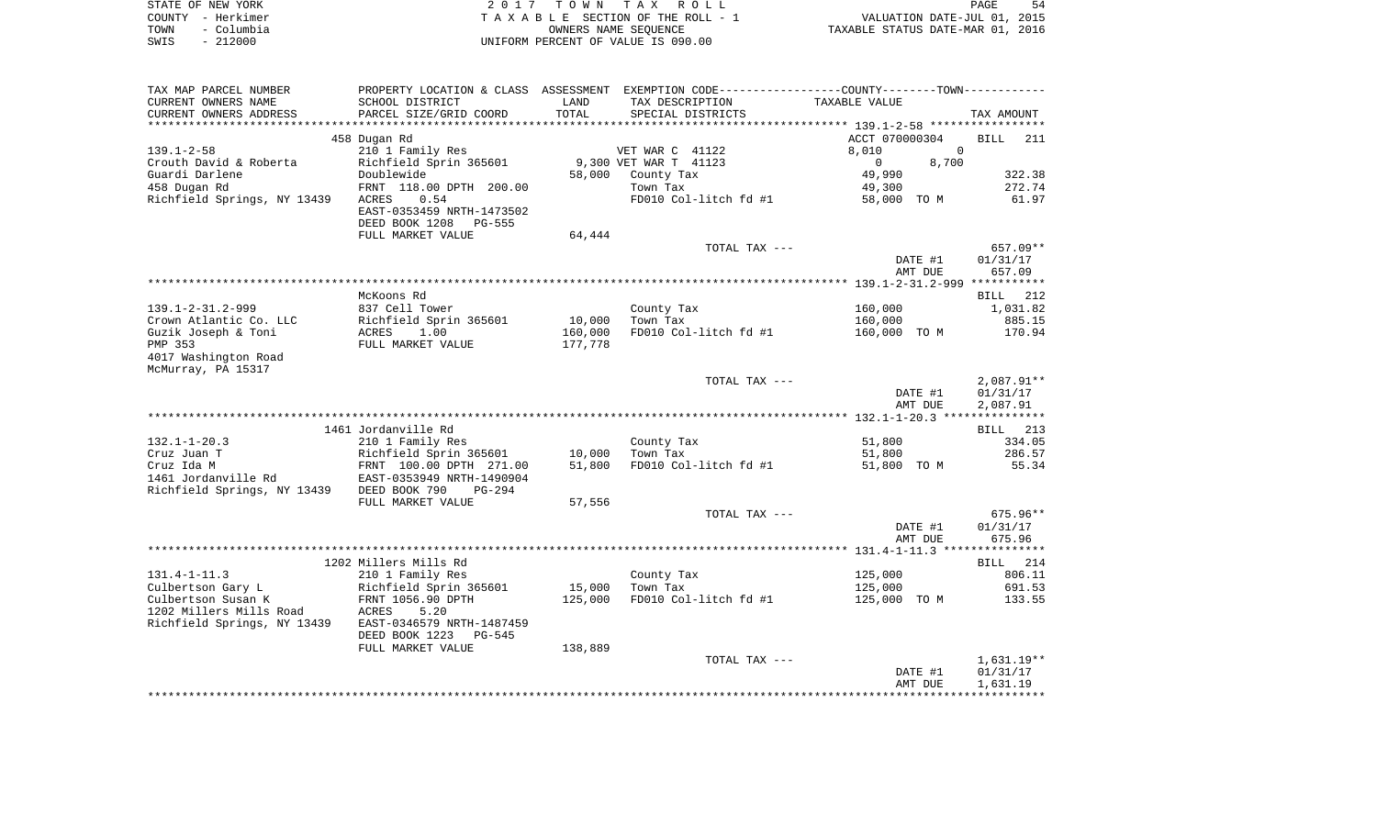| STATE OF NEW YORK  | 2017 TOWN TAX ROLL                 | - 54<br>PAGE                     |
|--------------------|------------------------------------|----------------------------------|
| COUNTY - Herkimer  | TAXABLE SECTION OF THE ROLL - 1    | VALUATION DATE-JUL 01, 2015      |
| - Columbia<br>TOWN | OWNERS NAME SEOUENCE               | TAXABLE STATUS DATE-MAR 01, 2016 |
| - 212000<br>SWIS   | UNIFORM PERCENT OF VALUE IS 090.00 |                                  |

| TAX MAP PARCEL NUMBER                     |                                 |         | PROPERTY LOCATION & CLASS ASSESSMENT EXEMPTION CODE----------------COUNTY--------TOWN---------- |                       |                    |
|-------------------------------------------|---------------------------------|---------|-------------------------------------------------------------------------------------------------|-----------------------|--------------------|
| CURRENT OWNERS NAME                       | SCHOOL DISTRICT                 | LAND    | TAX DESCRIPTION                                                                                 | TAXABLE VALUE         |                    |
| CURRENT OWNERS ADDRESS                    | PARCEL SIZE/GRID COORD          | TOTAL   | SPECIAL DISTRICTS                                                                               |                       | TAX AMOUNT         |
|                                           |                                 |         |                                                                                                 |                       |                    |
|                                           | 458 Dugan Rd                    |         |                                                                                                 | ACCT 070000304        | <b>BILL</b><br>211 |
| $139.1 - 2 - 58$                          | 210 1 Family Res                |         | VET WAR C 41122                                                                                 | $\mathbf 0$<br>8,010  |                    |
| Crouth David & Roberta                    | Richfield Sprin 365601          |         | 9,300 VET WAR T 41123                                                                           | $\mathbf{0}$<br>8,700 |                    |
| Guardi Darlene                            | Doublewide                      | 58,000  | County Tax                                                                                      | 49,990                | 322.38             |
| 458 Dugan Rd                              | FRNT 118.00 DPTH 200.00         |         | Town Tax                                                                                        | 49,300                | 272.74             |
| Richfield Springs, NY 13439               | 0.54<br>ACRES                   |         | FD010 Col-litch fd #1                                                                           | 58,000 TO M           | 61.97              |
|                                           | EAST-0353459 NRTH-1473502       |         |                                                                                                 |                       |                    |
|                                           | DEED BOOK 1208<br><b>PG-555</b> |         |                                                                                                 |                       |                    |
|                                           | FULL MARKET VALUE               | 64,444  |                                                                                                 |                       |                    |
|                                           |                                 |         | TOTAL TAX ---                                                                                   |                       | 657.09**           |
|                                           |                                 |         |                                                                                                 | DATE #1               | 01/31/17           |
|                                           |                                 |         |                                                                                                 | AMT DUE               | 657.09             |
|                                           |                                 |         |                                                                                                 |                       |                    |
|                                           | McKoons Rd                      |         |                                                                                                 |                       | 212<br>BILL        |
| $139.1 - 2 - 31.2 - 999$                  | 837 Cell Tower                  |         | County Tax                                                                                      | 160,000               | 1,031.82           |
| Crown Atlantic Co. LLC                    | Richfield Sprin 365601          | 10,000  | Town Tax                                                                                        | 160,000               | 885.15             |
| Guzik Joseph & Toni                       | ACRES<br>1.00                   | 160,000 | FD010 Col-litch fd #1                                                                           | 160,000 TO M          | 170.94             |
| PMP 353                                   | FULL MARKET VALUE               | 177,778 |                                                                                                 |                       |                    |
| 4017 Washington Road                      |                                 |         |                                                                                                 |                       |                    |
| McMurray, PA 15317                        |                                 |         |                                                                                                 |                       |                    |
|                                           |                                 |         | TOTAL TAX ---                                                                                   |                       | 2,087.91**         |
|                                           |                                 |         |                                                                                                 | DATE #1               | 01/31/17           |
|                                           |                                 |         |                                                                                                 | AMT DUE               | 2,087.91           |
|                                           |                                 |         |                                                                                                 |                       |                    |
|                                           | 1461 Jordanville Rd             |         |                                                                                                 |                       | BILL 213           |
| $132.1 - 1 - 20.3$                        | 210 1 Family Res                |         | County Tax                                                                                      | 51,800                | 334.05             |
| Cruz Juan T                               | Richfield Sprin 365601          | 10,000  | Town Tax                                                                                        | 51,800                | 286.57             |
| Cruz Ida M                                | FRNT 100.00 DPTH 271.00         | 51,800  | FD010 Col-litch fd #1                                                                           | 51,800 TO M           | 55.34              |
| 1461 Jordanville Rd                       | EAST-0353949 NRTH-1490904       |         |                                                                                                 |                       |                    |
| Richfield Springs, NY 13439 DEED BOOK 790 | $PG-294$                        |         |                                                                                                 |                       |                    |
|                                           | FULL MARKET VALUE               | 57,556  |                                                                                                 |                       |                    |
|                                           |                                 |         | TOTAL TAX ---                                                                                   |                       | $675.96**$         |
|                                           |                                 |         |                                                                                                 | DATE #1               | 01/31/17           |
|                                           |                                 |         |                                                                                                 | AMT DUE               | 675.96             |
|                                           |                                 |         |                                                                                                 |                       |                    |
|                                           | 1202 Millers Mills Rd           |         |                                                                                                 |                       | BILL 214           |
| $131.4 - 1 - 11.3$                        | 210 1 Family Res                |         | County Tax                                                                                      | 125,000               | 806.11             |
| Culbertson Gary L                         | Richfield Sprin 365601          | 15,000  | Town Tax                                                                                        | 125,000               | 691.53             |
| Culbertson Susan K                        | FRNT 1056.90 DPTH               | 125,000 | FD010 Col-litch fd #1                                                                           | 125,000 TO M          | 133.55             |
| 1202 Millers Mills Road                   | ACRES<br>5.20                   |         |                                                                                                 |                       |                    |
| Richfield Springs, NY 13439               | EAST-0346579 NRTH-1487459       |         |                                                                                                 |                       |                    |
|                                           | DEED BOOK 1223<br>PG-545        |         |                                                                                                 |                       |                    |
|                                           | FULL MARKET VALUE               | 138,889 |                                                                                                 |                       |                    |
|                                           |                                 |         | TOTAL TAX ---                                                                                   |                       | $1,631.19**$       |
|                                           |                                 |         |                                                                                                 | DATE #1               | 01/31/17           |
|                                           |                                 |         |                                                                                                 | AMT DUE               | 1,631.19           |
|                                           |                                 |         |                                                                                                 |                       |                    |
|                                           |                                 |         |                                                                                                 |                       |                    |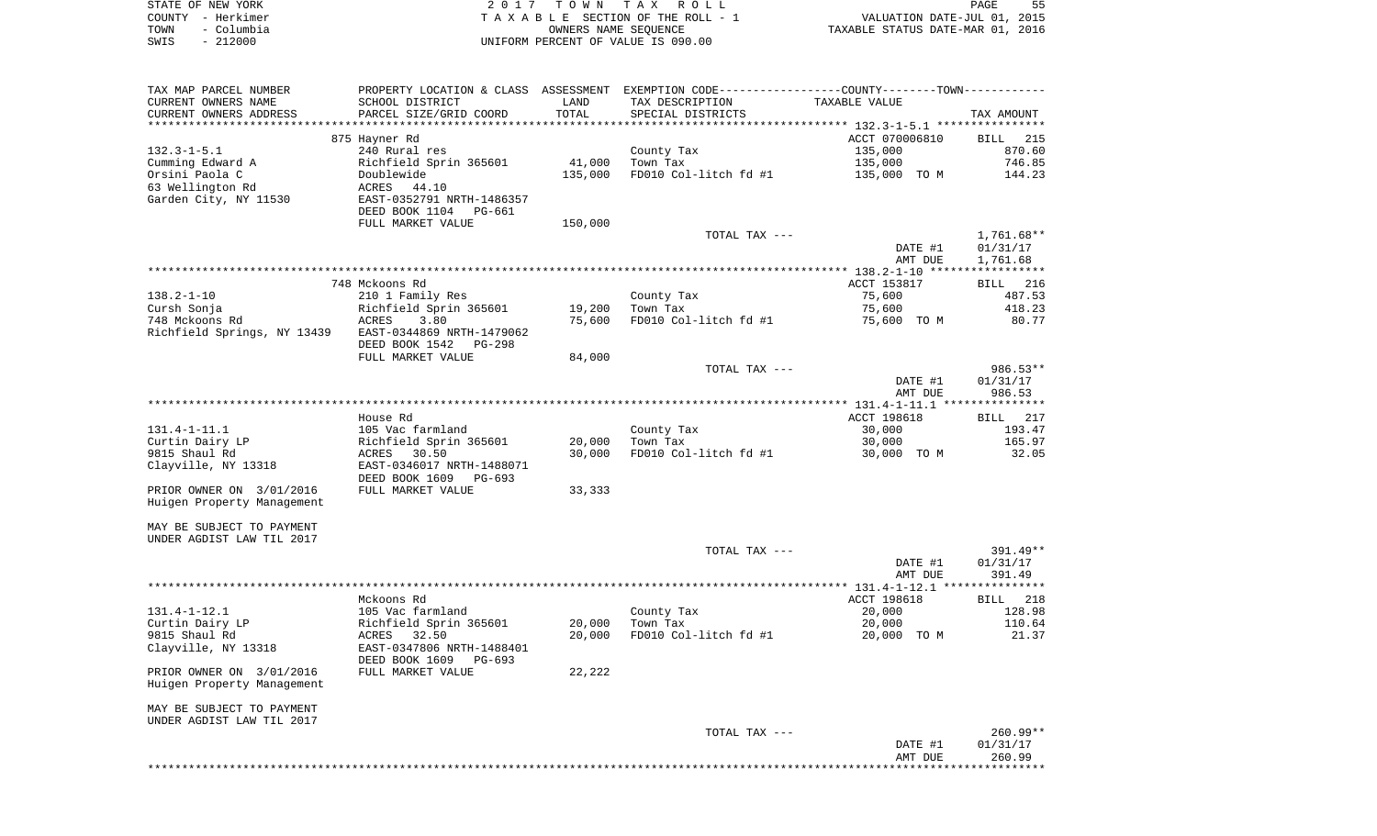|      | STATE OF NEW YORK | 2017 TOWN TAX ROLL                 | PAGE                             | 55 |
|------|-------------------|------------------------------------|----------------------------------|----|
|      | COUNTY - Herkimer | TAXABLE SECTION OF THE ROLL - 1    | VALUATION DATE-JUL 01, 2015      |    |
| TOWN | – Columbia        | OWNERS NAME SEOUENCE               | TAXABLE STATUS DATE-MAR 01, 2016 |    |
| SWIS | $-212000$         | UNIFORM PERCENT OF VALUE IS 090.00 |                                  |    |

| TAX MAP PARCEL NUMBER<br>CURRENT OWNERS NAME<br>CURRENT OWNERS ADDRESS | PROPERTY LOCATION & CLASS ASSESSMENT EXEMPTION CODE---------------COUNTY-------TOWN----------<br>SCHOOL DISTRICT<br>PARCEL SIZE/GRID COORD | LAND<br>TOTAL | TAX DESCRIPTION<br>SPECIAL DISTRICTS | TAXABLE VALUE                               | TAX AMOUNT         |
|------------------------------------------------------------------------|--------------------------------------------------------------------------------------------------------------------------------------------|---------------|--------------------------------------|---------------------------------------------|--------------------|
|                                                                        |                                                                                                                                            |               |                                      | ************* 132.3-1-5.1 ***************** |                    |
|                                                                        | 875 Hayner Rd                                                                                                                              |               |                                      | ACCT 070006810                              | <b>BILL</b><br>215 |
| $132.3 - 1 - 5.1$                                                      | 240 Rural res                                                                                                                              |               | County Tax                           | 135,000                                     | 870.60             |
| Cumming Edward A                                                       | Richfield Sprin 365601                                                                                                                     | 41,000        | Town Tax                             | 135,000                                     | 746.85             |
| Orsini Paola C                                                         | Doublewide                                                                                                                                 | 135,000       | FD010 Col-litch fd #1                | 135,000 TO M                                | 144.23             |
| 63 Wellington Rd                                                       | ACRES<br>44.10                                                                                                                             |               |                                      |                                             |                    |
| Garden City, NY 11530                                                  | EAST-0352791 NRTH-1486357                                                                                                                  |               |                                      |                                             |                    |
|                                                                        | DEED BOOK 1104<br>PG-661                                                                                                                   |               |                                      |                                             |                    |
|                                                                        | FULL MARKET VALUE                                                                                                                          | 150,000       |                                      |                                             |                    |
|                                                                        |                                                                                                                                            |               | TOTAL TAX ---                        |                                             | $1,761.68**$       |
|                                                                        |                                                                                                                                            |               |                                      | DATE #1                                     | 01/31/17           |
|                                                                        |                                                                                                                                            |               |                                      | AMT DUE                                     | 1,761.68           |
|                                                                        |                                                                                                                                            |               |                                      |                                             |                    |
|                                                                        | 748 Mckoons Rd                                                                                                                             |               |                                      | ACCT 153817                                 | BILL 216           |
| $138.2 - 1 - 10$                                                       | 210 1 Family Res                                                                                                                           |               | County Tax                           | 75,600                                      | 487.53             |
| Cursh Sonja                                                            | Richfield Sprin 365601                                                                                                                     | 19,200        | Town Tax                             | 75,600                                      | 418.23             |
| 748 Mckoons Rd                                                         | ACRES<br>3.80                                                                                                                              | 75,600        | FD010 Col-litch fd #1                | 75,600 TO M                                 | 80.77              |
|                                                                        |                                                                                                                                            |               |                                      |                                             |                    |
| Richfield Springs, NY 13439                                            | EAST-0344869 NRTH-1479062                                                                                                                  |               |                                      |                                             |                    |
|                                                                        | DEED BOOK 1542<br>PG-298                                                                                                                   | 84,000        |                                      |                                             |                    |
|                                                                        | FULL MARKET VALUE                                                                                                                          |               |                                      |                                             | 986.53**           |
|                                                                        |                                                                                                                                            |               | TOTAL TAX ---                        | DATE #1                                     | 01/31/17           |
|                                                                        |                                                                                                                                            |               |                                      | AMT DUE                                     | 986.53             |
|                                                                        |                                                                                                                                            |               |                                      |                                             |                    |
|                                                                        | House Rd                                                                                                                                   |               |                                      | ACCT 198618                                 | BILL 217           |
| $131.4 - 1 - 11.1$                                                     | 105 Vac farmland                                                                                                                           |               | County Tax                           | 30,000                                      | 193.47             |
| Curtin Dairy LP                                                        | Richfield Sprin 365601                                                                                                                     | 20,000        | Town Tax                             | 30,000                                      | 165.97             |
| 9815 Shaul Rd                                                          | ACRES 30.50                                                                                                                                | 30,000        | FD010 Col-litch fd #1                | 30,000 TO M                                 | 32.05              |
| Clayville, NY 13318                                                    | EAST-0346017 NRTH-1488071                                                                                                                  |               |                                      |                                             |                    |
|                                                                        | DEED BOOK 1609<br>PG-693                                                                                                                   |               |                                      |                                             |                    |
| PRIOR OWNER ON 3/01/2016                                               | FULL MARKET VALUE                                                                                                                          | 33,333        |                                      |                                             |                    |
| Huigen Property Management                                             |                                                                                                                                            |               |                                      |                                             |                    |
|                                                                        |                                                                                                                                            |               |                                      |                                             |                    |
| MAY BE SUBJECT TO PAYMENT                                              |                                                                                                                                            |               |                                      |                                             |                    |
| UNDER AGDIST LAW TIL 2017                                              |                                                                                                                                            |               |                                      |                                             |                    |
|                                                                        |                                                                                                                                            |               | TOTAL TAX ---                        |                                             | $391.49**$         |
|                                                                        |                                                                                                                                            |               |                                      | DATE #1                                     | 01/31/17           |
|                                                                        |                                                                                                                                            |               |                                      | AMT DUE                                     | 391.49             |
|                                                                        |                                                                                                                                            |               |                                      |                                             |                    |
|                                                                        | Mckoons Rd                                                                                                                                 |               |                                      | ACCT 198618                                 | <b>BILL</b><br>218 |
| $131.4 - 1 - 12.1$                                                     | 105 Vac farmland                                                                                                                           |               | County Tax                           | 20,000                                      | 128.98             |
| Curtin Dairy LP                                                        | Richfield Sprin 365601                                                                                                                     | 20,000        | Town Tax                             | 20,000                                      | 110.64             |
| 9815 Shaul Rd                                                          | ACRES<br>32.50                                                                                                                             | 20,000        | FD010 Col-litch fd #1                | 20,000 TO M                                 | 21.37              |
| Clayville, NY 13318                                                    | EAST-0347806 NRTH-1488401                                                                                                                  |               |                                      |                                             |                    |
|                                                                        | DEED BOOK 1609<br>PG-693                                                                                                                   |               |                                      |                                             |                    |
| PRIOR OWNER ON 3/01/2016                                               | FULL MARKET VALUE                                                                                                                          | 22,222        |                                      |                                             |                    |
| Huigen Property Management                                             |                                                                                                                                            |               |                                      |                                             |                    |
|                                                                        |                                                                                                                                            |               |                                      |                                             |                    |
| MAY BE SUBJECT TO PAYMENT                                              |                                                                                                                                            |               |                                      |                                             |                    |
| UNDER AGDIST LAW TIL 2017                                              |                                                                                                                                            |               |                                      |                                             |                    |
|                                                                        |                                                                                                                                            |               | TOTAL TAX ---                        |                                             | 260.99**           |
|                                                                        |                                                                                                                                            |               |                                      | DATE #1                                     | 01/31/17           |
|                                                                        |                                                                                                                                            |               |                                      | AMT DUE                                     | 260.99             |
|                                                                        |                                                                                                                                            |               |                                      |                                             |                    |
|                                                                        |                                                                                                                                            |               |                                      |                                             |                    |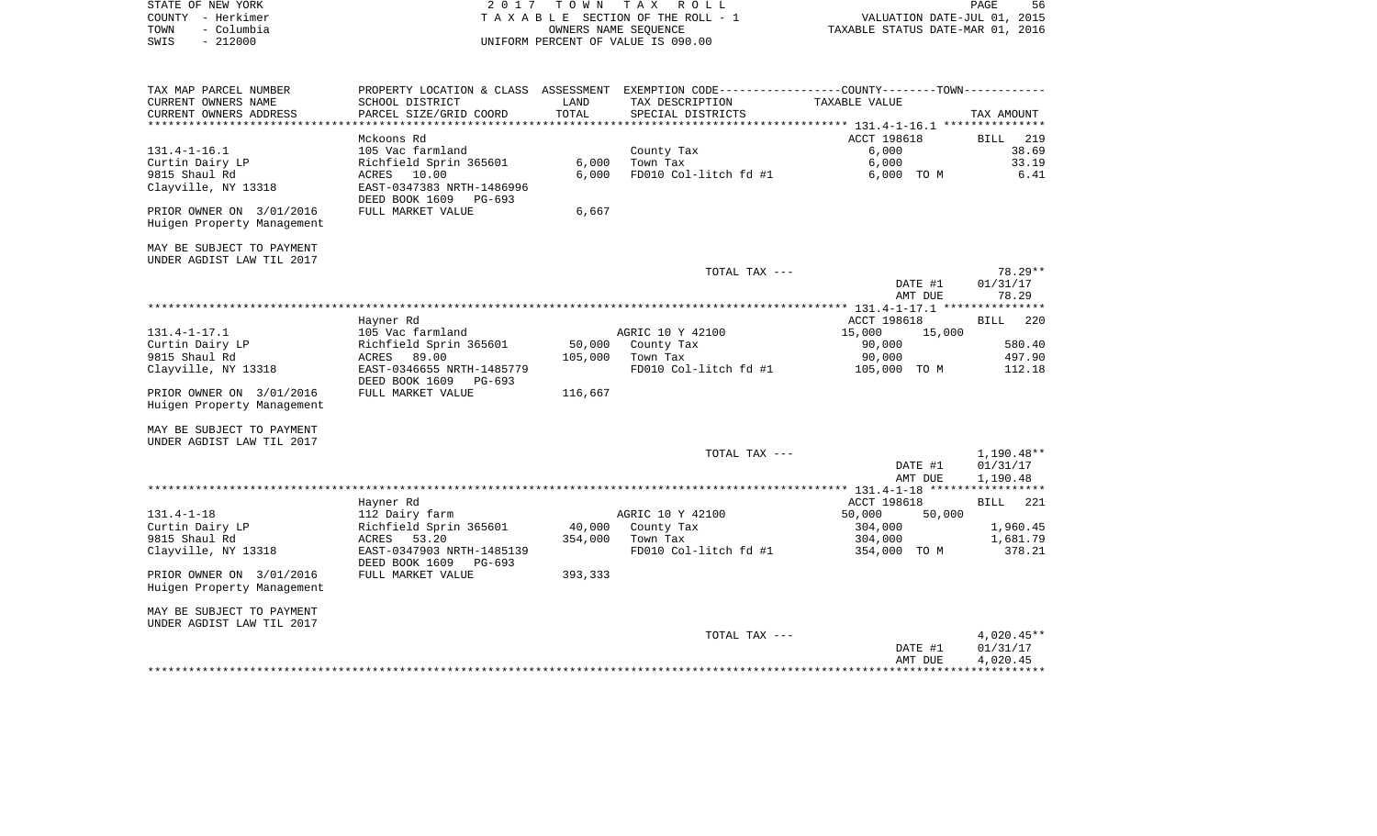| STATE OF NEW YORK<br>COUNTY - Herkimer |                                                       | 2017 TOWN | TAX ROLL<br>TAXABLE SECTION OF THE ROLL - 1                 | VALUATION DATE-JUL 01, 2015                | PAGE<br>56           |
|----------------------------------------|-------------------------------------------------------|-----------|-------------------------------------------------------------|--------------------------------------------|----------------------|
| TOWN<br>- Columbia                     |                                                       |           | OWNERS NAME SEQUENCE                                        | TAXABLE STATUS DATE-MAR 01, 2016           |                      |
| SWIS<br>$-212000$                      |                                                       |           | UNIFORM PERCENT OF VALUE IS 090.00                          |                                            |                      |
|                                        |                                                       |           |                                                             |                                            |                      |
| TAX MAP PARCEL NUMBER                  | PROPERTY LOCATION & CLASS ASSESSMENT                  |           | EXEMPTION CODE-----------------COUNTY-------TOWN----------- |                                            |                      |
| CURRENT OWNERS NAME                    | SCHOOL DISTRICT                                       | LAND      | TAX DESCRIPTION                                             | TAXABLE VALUE                              |                      |
| CURRENT OWNERS ADDRESS                 | PARCEL SIZE/GRID COORD                                | TOTAL     | SPECIAL DISTRICTS                                           |                                            | TAX AMOUNT           |
|                                        | Mckoons Rd                                            |           |                                                             | ACCT 198618                                | BILL 219             |
| $131.4 - 1 - 16.1$                     | 105 Vac farmland                                      |           | County Tax                                                  | 6,000                                      | 38.69                |
| Curtin Dairy LP                        | Richfield Sprin 365601                                | 6,000     | Town Tax                                                    | 6,000                                      | 33.19                |
| 9815 Shaul Rd                          | ACRES 10.00                                           | 6,000     | FD010 Col-litch fd #1                                       | 6,000 TO M                                 | 6.41                 |
| Clayville, NY 13318                    | EAST-0347383 NRTH-1486996<br>DEED BOOK 1609<br>PG-693 |           |                                                             |                                            |                      |
| PRIOR OWNER ON 3/01/2016               | FULL MARKET VALUE                                     | 6,667     |                                                             |                                            |                      |
| Huigen Property Management             |                                                       |           |                                                             |                                            |                      |
| MAY BE SUBJECT TO PAYMENT              |                                                       |           |                                                             |                                            |                      |
| UNDER AGDIST LAW TIL 2017              |                                                       |           |                                                             |                                            | $78.29**$            |
|                                        |                                                       |           | TOTAL TAX ---                                               | DATE #1                                    | 01/31/17             |
|                                        |                                                       |           |                                                             | AMT DUE                                    | 78.29                |
|                                        |                                                       |           |                                                             | ************ 131.4-1-17.1 **************** |                      |
|                                        | Hayner Rd                                             |           |                                                             | ACCT 198618                                | 220<br><b>BILL</b>   |
| $131.4 - 1 - 17.1$                     | 105 Vac farmland                                      |           | AGRIC 10 Y 42100                                            | 15,000<br>15,000                           |                      |
| Curtin Dairy LP                        | Richfield Sprin 365601                                | 50,000    | County Tax                                                  | 90,000                                     | 580.40               |
| 9815 Shaul Rd                          | ACRES<br>89.00                                        | 105,000   | Town Tax                                                    | 90,000                                     | 497.90               |
| Clayville, NY 13318                    | EAST-0346655 NRTH-1485779<br>DEED BOOK 1609<br>PG-693 |           | FD010 Col-litch fd #1                                       | 105,000 TO M                               | 112.18               |
| PRIOR OWNER ON 3/01/2016               | FULL MARKET VALUE                                     | 116,667   |                                                             |                                            |                      |
| Huigen Property Management             |                                                       |           |                                                             |                                            |                      |
| MAY BE SUBJECT TO PAYMENT              |                                                       |           |                                                             |                                            |                      |
| UNDER AGDIST LAW TIL 2017              |                                                       |           |                                                             |                                            |                      |
|                                        |                                                       |           | TOTAL TAX ---                                               |                                            | 1,190.48**           |
|                                        |                                                       |           |                                                             | DATE #1<br>AMT DUE                         | 01/31/17<br>1,190.48 |
|                                        |                                                       |           |                                                             | ******* 131.4-1-18 ******                  | ***********          |
|                                        | Hayner Rd                                             |           |                                                             | ACCT 198618                                | 221<br>BILL          |
| $131.4 - 1 - 18$                       | 112 Dairy farm                                        |           | AGRIC 10 Y 42100                                            | 50,000<br>50,000                           |                      |
| Curtin Dairy LP                        | Richfield Sprin 365601                                | 40,000    | County Tax                                                  | 304,000                                    | 1,960.45             |
| 9815 Shaul Rd                          | ACRES<br>53.20                                        | 354,000   | Town Tax                                                    | 304,000                                    | 1,681.79             |
| Clayville, NY 13318                    | EAST-0347903 NRTH-1485139<br>DEED BOOK 1609<br>PG-693 |           | FD010 Col-litch fd #1                                       | 354,000 TO M                               | 378.21               |
| PRIOR OWNER ON 3/01/2016               | FULL MARKET VALUE                                     | 393,333   |                                                             |                                            |                      |

AMT DUE 4,020.45 \*\*\*\*\*\*\*\*\*\*\*\*\*\*\*\*\*\*\*\*\*\*\*\*\*\*\*\*\*\*\*\*\*\*\*\*\*\*\*\*\*\*\*\*\*\*\*\*\*\*\*\*\*\*\*\*\*\*\*\*\*\*\*\*\*\*\*\*\*\*\*\*\*\*\*\*\*\*\*\*\*\*\*\*\*\*\*\*\*\*\*\*\*\*\*\*\*\*\*\*\*\*\*\*\*\*\*\*\*\*\*\*\*\*\*\*\*\*\*\*\*\*\*\*\*\*\*\*\*\*\*\*

TOTAL TAX ---  $4,020.45**$ <br>DATE #1  $01/31/17$ 

 $01/31/17$ 

Huigen Property Management MAY BE SUBJECT TO PAYMENT UNDER AGDIST LAW TIL 2017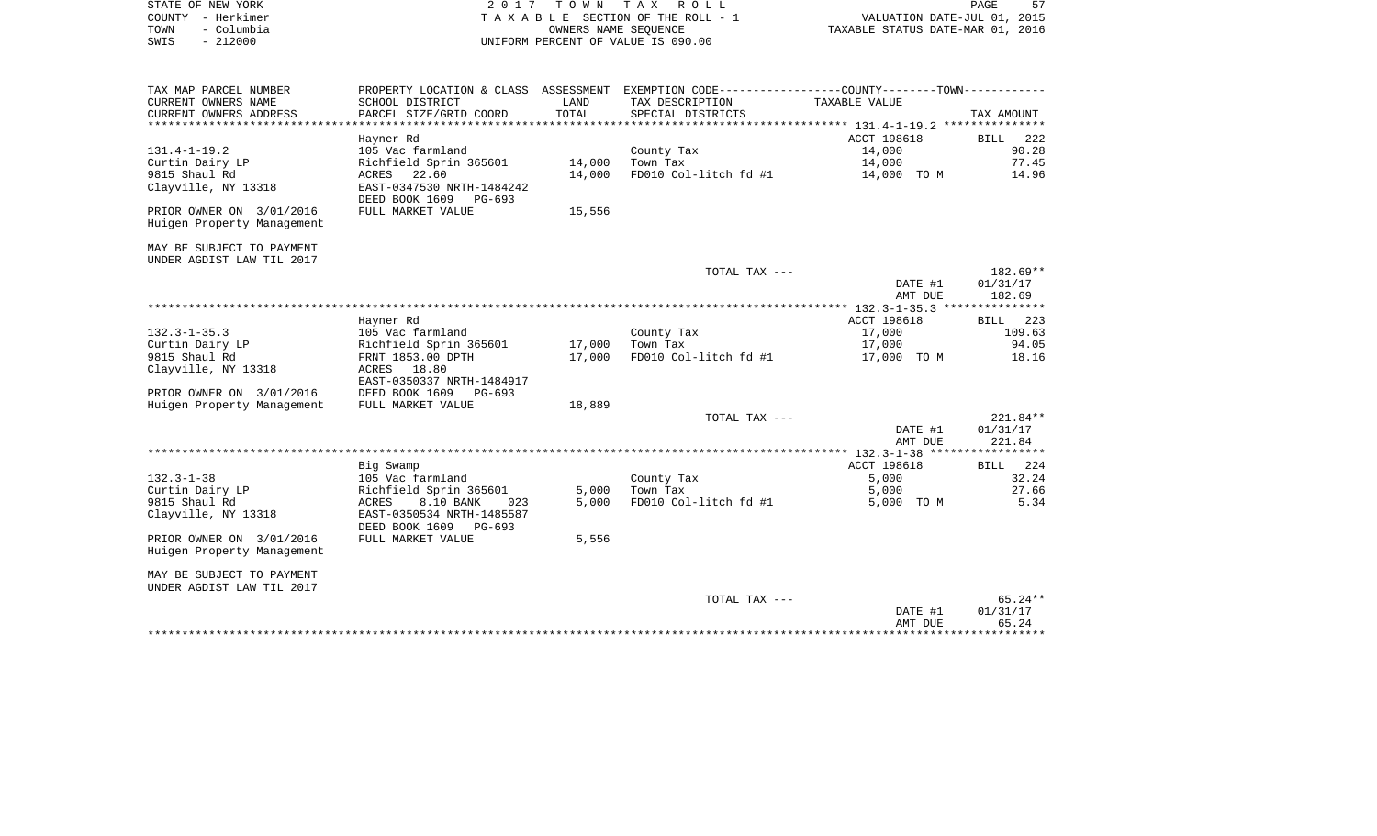| 2017 TOWN TAX ROLL                 | -57<br>PAGE                      |
|------------------------------------|----------------------------------|
| TAXABLE SECTION OF THE ROLL - 1    | VALUATION DATE-JUL 01, 2015      |
| OWNERS NAME SEOUENCE               | TAXABLE STATUS DATE-MAR 01, 2016 |
| UNIFORM PERCENT OF VALUE IS 090.00 |                                  |
|                                    |                                  |
|                                    |                                  |
|                                    |                                  |

| TAX MAP PARCEL NUMBER      | PROPERTY LOCATION & CLASS ASSESSMENT EXEMPTION CODE----------------COUNTY--------TOWN---------- |        |                                            |                               |            |
|----------------------------|-------------------------------------------------------------------------------------------------|--------|--------------------------------------------|-------------------------------|------------|
| CURRENT OWNERS NAME        | SCHOOL DISTRICT                                                                                 | LAND   | TAX DESCRIPTION                            | TAXABLE VALUE                 |            |
| CURRENT OWNERS ADDRESS     | PARCEL SIZE/GRID COORD                                                                          | TOTAL  | SPECIAL DISTRICTS                          |                               | TAX AMOUNT |
|                            |                                                                                                 |        |                                            |                               |            |
|                            | Hayner Rd                                                                                       |        |                                            | ACCT 198618                   | BILL 222   |
| $131.4 - 1 - 19.2$         | 105 Vac farmland                                                                                |        | County Tax                                 | 14,000                        | 90.28      |
| Curtin Dairy LP            | Richfield Sprin 365601                                                                          | 14,000 | Town Tax                                   | 14,000                        | 77.45      |
| 9815 Shaul Rd              | ACRES 22.60                                                                                     | 14,000 | FD010 Col-litch $f d$ #1 $f d$ 14,000 TO M |                               | 14.96      |
| Clayville, NY 13318        | EAST-0347530 NRTH-1484242                                                                       |        |                                            |                               |            |
|                            | DEED BOOK 1609 PG-693                                                                           |        |                                            |                               |            |
| PRIOR OWNER ON 3/01/2016   | FULL MARKET VALUE                                                                               | 15,556 |                                            |                               |            |
| Huigen Property Management |                                                                                                 |        |                                            |                               |            |
|                            |                                                                                                 |        |                                            |                               |            |
| MAY BE SUBJECT TO PAYMENT  |                                                                                                 |        |                                            |                               |            |
| UNDER AGDIST LAW TIL 2017  |                                                                                                 |        |                                            |                               |            |
|                            |                                                                                                 |        | TOTAL TAX ---                              |                               | 182.69**   |
|                            |                                                                                                 |        |                                            | DATE #1                       | 01/31/17   |
|                            |                                                                                                 |        |                                            | AMT DUE                       | 182.69     |
|                            |                                                                                                 |        |                                            |                               |            |
|                            | Hayner Rd                                                                                       |        |                                            | ACCT 198618                   | BILL 223   |
| $132.3 - 1 - 35.3$         | 105 Vac farmland                                                                                |        | County Tax                                 | 17,000                        | 109.63     |
| Curtin Dairy LP            | Richfield Sprin 365601                                                                          | 17,000 | Town Tax                                   | 17,000                        | 94.05      |
| 9815 Shaul Rd              | FRNT 1853.00 DPTH                                                                               | 17,000 | FD010 Col-litch fd #1                      | 17,000 TO M                   | 18.16      |
| Clayville, NY 13318        | ACRES 18.80                                                                                     |        |                                            |                               |            |
|                            | EAST-0350337 NRTH-1484917                                                                       |        |                                            |                               |            |
| PRIOR OWNER ON 3/01/2016   | DEED BOOK 1609 PG-693                                                                           |        |                                            |                               |            |
| Huigen Property Management | FULL MARKET VALUE                                                                               | 18,889 |                                            |                               |            |
|                            |                                                                                                 |        | TOTAL TAX ---                              |                               | $221.84**$ |
|                            |                                                                                                 |        |                                            | DATE #1                       | 01/31/17   |
|                            |                                                                                                 |        |                                            | AMT DUE                       | 221.84     |
|                            |                                                                                                 |        |                                            |                               |            |
|                            | Big Swamp                                                                                       |        |                                            | ACCT 198618                   | BILL 224   |
| $132.3 - 1 - 38$           | 105 Vac farmland                                                                                |        | County Tax                                 | 5,000                         | 32.24      |
| Curtin Dairy LP            | Richfield Sprin 365601                                                                          | 5,000  | Town Tax                                   | 5,000                         | 27.66      |
| 9815 Shaul Rd              | 8.10 BANK<br>ACRES<br>023                                                                       | 5,000  | FD010 Col-litch fd #1                      | 5,000 TO M                    | 5.34       |
| Clayville, NY 13318        | EAST-0350534 NRTH-1485587                                                                       |        |                                            |                               |            |
|                            | DEED BOOK 1609 PG-693                                                                           |        |                                            |                               |            |
| PRIOR OWNER ON 3/01/2016   | FULL MARKET VALUE                                                                               | 5,556  |                                            |                               |            |
| Huigen Property Management |                                                                                                 |        |                                            |                               |            |
|                            |                                                                                                 |        |                                            |                               |            |
| MAY BE SUBJECT TO PAYMENT  |                                                                                                 |        |                                            |                               |            |
| UNDER AGDIST LAW TIL 2017  |                                                                                                 |        |                                            |                               |            |
|                            |                                                                                                 |        | TOTAL TAX ---                              |                               | $65.24**$  |
|                            |                                                                                                 |        |                                            | DATE #1                       | 01/31/17   |
|                            |                                                                                                 |        |                                            | AMT DUE                       | 65.24      |
|                            |                                                                                                 |        |                                            | ***************************** |            |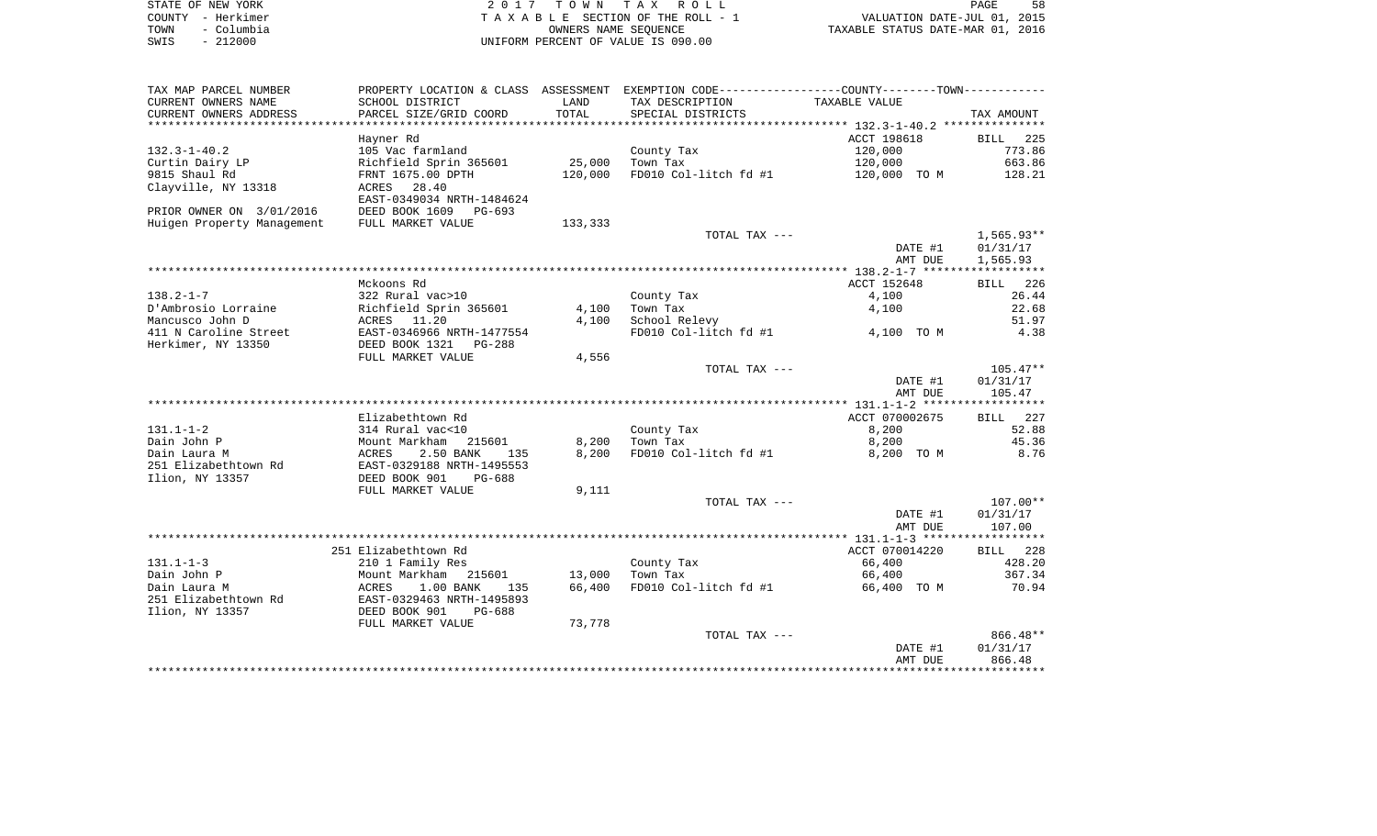| STATE OF NEW YORK  | 2017 TOWN TAX ROLL                 | 58<br>PAGE                       |
|--------------------|------------------------------------|----------------------------------|
| COUNTY - Herkimer  | TAXABLE SECTION OF THE ROLL - 1    | VALUATION DATE-JUL 01, 2015      |
| – Columbia<br>TOWN | OWNERS NAME SEOUENCE               | TAXABLE STATUS DATE-MAR 01, 2016 |
| $-212000$<br>SWIS  | UNIFORM PERCENT OF VALUE IS 090.00 |                                  |

| TAX MAP PARCEL NUMBER      |                                          |         | PROPERTY LOCATION & CLASS ASSESSMENT EXEMPTION CODE----------------COUNTY--------TOWN---------- |                    |                    |
|----------------------------|------------------------------------------|---------|-------------------------------------------------------------------------------------------------|--------------------|--------------------|
| CURRENT OWNERS NAME        | SCHOOL DISTRICT                          | LAND    | TAX DESCRIPTION                                                                                 | TAXABLE VALUE      |                    |
| CURRENT OWNERS ADDRESS     | PARCEL SIZE/GRID COORD                   | TOTAL   | SPECIAL DISTRICTS                                                                               |                    | TAX AMOUNT         |
|                            |                                          |         |                                                                                                 |                    |                    |
|                            | Hayner Rd                                |         |                                                                                                 | ACCT 198618        | <b>BILL</b> 225    |
| $132.3 - 1 - 40.2$         | 105 Vac farmland                         |         | County Tax                                                                                      | 120,000            | 773.86             |
| Curtin Dairy LP            | Richfield Sprin 365601                   | 25,000  | Town Tax                                                                                        | 120,000            | 663.86             |
| 9815 Shaul Rd              | FRNT 1675.00 DPTH                        | 120,000 | FD010 Col-litch fd #1                                                                           | 120,000 TO M       | 128.21             |
| Clayville, NY 13318        | ACRES 28.40<br>EAST-0349034 NRTH-1484624 |         |                                                                                                 |                    |                    |
| PRIOR OWNER ON 3/01/2016   | DEED BOOK 1609<br>PG-693                 |         |                                                                                                 |                    |                    |
| Huigen Property Management | FULL MARKET VALUE                        | 133,333 |                                                                                                 |                    |                    |
|                            |                                          |         | TOTAL TAX ---                                                                                   |                    | $1,565.93**$       |
|                            |                                          |         |                                                                                                 | DATE #1            | 01/31/17           |
|                            |                                          |         |                                                                                                 | AMT DUE            | 1,565.93           |
|                            |                                          |         |                                                                                                 |                    |                    |
|                            | Mckoons Rd                               |         |                                                                                                 | ACCT 152648        | 226<br>BILL        |
| $138.2 - 1 - 7$            | 322 Rural vac>10                         |         | County Tax                                                                                      | 4,100              | 26.44              |
| D'Ambrosio Lorraine        | Richfield Sprin 365601                   | 4,100   | Town Tax                                                                                        | 4,100              | 22.68              |
| Mancusco John D            | ACRES 11.20                              | 4,100   | School Relevy                                                                                   |                    | 51.97              |
| 411 N Caroline Street      | EAST-0346966 NRTH-1477554                |         | FD010 Col-litch fd #1                                                                           | 4,100 TO M         | 4.38               |
| Herkimer, NY 13350         | DEED BOOK 1321<br><b>PG-288</b>          |         |                                                                                                 |                    |                    |
|                            | FULL MARKET VALUE                        | 4,556   |                                                                                                 |                    |                    |
|                            |                                          |         | TOTAL TAX ---                                                                                   |                    | $105.47**$         |
|                            |                                          |         |                                                                                                 | DATE #1            | 01/31/17           |
|                            |                                          |         |                                                                                                 | AMT DUE            | 105.47             |
|                            |                                          |         |                                                                                                 |                    |                    |
|                            | Elizabethtown Rd                         |         |                                                                                                 | ACCT 070002675     | BILL 227           |
| $131.1 - 1 - 2$            | 314 Rural vac<10                         |         | County Tax                                                                                      | 8,200              | 52.88              |
| Dain John P                | Mount Markham<br>215601                  | 8,200   | Town Tax                                                                                        | 8,200              | 45.36              |
| Dain Laura M               | ACRES<br>2.50 BANK<br>135                | 8,200   | FD010 Col-litch fd #1                                                                           | 8,200 TO M         | 8.76               |
| 251 Elizabethtown Rd       | EAST-0329188 NRTH-1495553                |         |                                                                                                 |                    |                    |
| Ilion, NY 13357            | DEED BOOK 901<br>PG-688                  |         |                                                                                                 |                    |                    |
|                            | FULL MARKET VALUE                        | 9,111   |                                                                                                 |                    |                    |
|                            |                                          |         | TOTAL TAX ---                                                                                   |                    | $107.00**$         |
|                            |                                          |         |                                                                                                 | DATE #1            | 01/31/17           |
|                            |                                          |         |                                                                                                 | AMT DUE            | 107.00             |
|                            |                                          |         |                                                                                                 |                    |                    |
|                            | 251 Elizabethtown Rd                     |         |                                                                                                 | ACCT 070014220     | BILL 228           |
| $131.1 - 1 - 3$            | 210 1 Family Res                         |         | County Tax                                                                                      | 66,400             | 428.20             |
| Dain John P                | Mount Markham<br>215601                  | 13,000  | Town Tax                                                                                        | 66,400             | 367.34             |
| Dain Laura M               | ACRES<br>1.00 BANK<br>135                | 66,400  | FD010 Col-litch fd #1                                                                           | 66,400 TO M        | 70.94              |
| 251 Elizabethtown Rd       | EAST-0329463 NRTH-1495893                |         |                                                                                                 |                    |                    |
| Ilion, NY 13357            | DEED BOOK 901<br>PG-688                  |         |                                                                                                 |                    |                    |
|                            | FULL MARKET VALUE                        | 73,778  |                                                                                                 |                    |                    |
|                            |                                          |         | TOTAL TAX ---                                                                                   |                    | 866.48**           |
|                            |                                          |         |                                                                                                 | DATE #1<br>AMT DUE | 01/31/17<br>866.48 |
|                            |                                          |         |                                                                                                 |                    |                    |
|                            |                                          |         |                                                                                                 |                    |                    |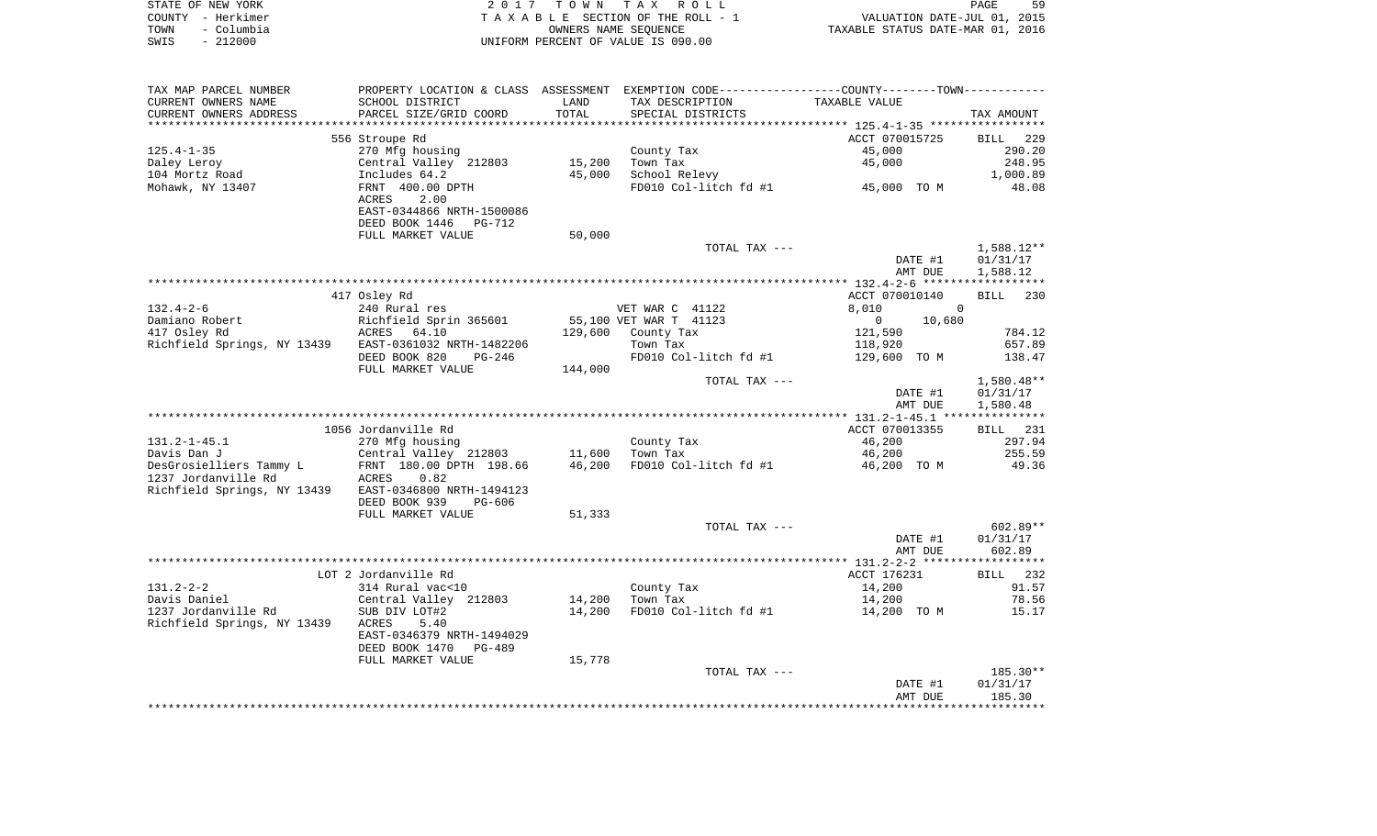| STATE OF NEW YORK  | 2017 TOWN TAX ROLL                 | 59<br>PAGE                       |
|--------------------|------------------------------------|----------------------------------|
| COUNTY - Herkimer  | TAXABLE SECTION OF THE ROLL - 1    | VALUATION DATE-JUL 01, 2015      |
| - Columbia<br>TOWN | OWNERS NAME SEOUENCE               | TAXABLE STATUS DATE-MAR 01, 2016 |
| $-212000$<br>SWIS  | UNIFORM PERCENT OF VALUE IS 090.00 |                                  |

| TAX MAP PARCEL NUMBER                                 |                                       |         |                        | PROPERTY LOCATION & CLASS ASSESSMENT EXEMPTION CODE---------------COUNTY--------TOWN---------- |                    |
|-------------------------------------------------------|---------------------------------------|---------|------------------------|------------------------------------------------------------------------------------------------|--------------------|
| CURRENT OWNERS NAME                                   | SCHOOL DISTRICT                       | LAND    | TAX DESCRIPTION        | TAXABLE VALUE                                                                                  |                    |
| CURRENT OWNERS ADDRESS                                | PARCEL SIZE/GRID COORD                | TOTAL   | SPECIAL DISTRICTS      |                                                                                                | TAX AMOUNT         |
|                                                       |                                       |         |                        |                                                                                                |                    |
|                                                       | 556 Stroupe Rd                        |         |                        | ACCT 070015725                                                                                 | BILL 229           |
| $125.4 - 1 - 35$                                      | 270 Mfg housing                       |         | County Tax             | 45,000                                                                                         | 290.20             |
|                                                       |                                       |         |                        |                                                                                                |                    |
| Daley Leroy                                           | Central Valley 212803                 | 15,200  | Town Tax               | 45,000                                                                                         | 248.95             |
| 104 Mortz Road                                        | Includes 64.2                         | 45,000  | School Relevy          |                                                                                                | 1,000.89           |
| Mohawk, NY 13407                                      | FRNT 400.00 DPTH                      |         |                        | FD010 Col-litch $fd$ #1 $45,000$ TO M                                                          | 48.08              |
|                                                       | 2.00<br>ACRES                         |         |                        |                                                                                                |                    |
|                                                       | EAST-0344866 NRTH-1500086             |         |                        |                                                                                                |                    |
|                                                       | DEED BOOK 1446 PG-712                 |         |                        |                                                                                                |                    |
|                                                       | FULL MARKET VALUE                     | 50,000  |                        |                                                                                                |                    |
|                                                       |                                       |         | TOTAL TAX ---          |                                                                                                | $1,588.12**$       |
|                                                       |                                       |         |                        | DATE #1                                                                                        | 01/31/17           |
|                                                       |                                       |         |                        | AMT DUE                                                                                        | 1,588.12           |
|                                                       |                                       |         |                        |                                                                                                |                    |
|                                                       |                                       |         |                        |                                                                                                |                    |
|                                                       | 417 Osley Rd                          |         |                        | ACCT 070010140                                                                                 | BILL 230           |
| $132.4 - 2 - 6$                                       | 240 Rural res                         |         | VET WAR C 41122        | 8,010<br>$\overline{0}$                                                                        |                    |
| Damiano Robert                                        | Richfield Sprin 365601<br>ACRES 64.10 |         | 55,100 VET WAR T 41123 | 10,680<br>$0 \qquad \qquad$                                                                    |                    |
| 417 Osley Rd                                          |                                       |         | 129,600 County Tax     | 121,590                                                                                        | 784.12             |
| Richfield Springs, NY 13439 EAST-0361032 NRTH-1482206 |                                       |         | Town Tax               | 118,920                                                                                        | 657.89             |
|                                                       | DEED BOOK 820<br>PG-246               |         | FD010 Col-litch fd #1  | 129,600 TO M                                                                                   | 138.47             |
|                                                       | FULL MARKET VALUE                     | 144,000 |                        |                                                                                                |                    |
|                                                       |                                       |         | TOTAL TAX ---          |                                                                                                | 1,580.48**         |
|                                                       |                                       |         |                        | DATE #1                                                                                        | 01/31/17           |
|                                                       |                                       |         |                        | AMT DUE                                                                                        | 1,580.48           |
|                                                       |                                       |         |                        |                                                                                                |                    |
|                                                       | 1056 Jordanville Rd                   |         |                        | ACCT 070013355                                                                                 | BILL 231           |
| $131.2 - 1 - 45.1$                                    | 270 Mfg housing                       |         | County Tax             | 46,200                                                                                         | 297.94             |
|                                                       | Central Valley 212803 11,600 Town Tax |         |                        |                                                                                                |                    |
| Davis Dan J                                           |                                       |         |                        | 46,200                                                                                         | 255.59             |
|                                                       |                                       | 46,200  | FD010 Col-litch fd #1  | 46,200 TO M                                                                                    | 49.36              |
|                                                       |                                       |         |                        |                                                                                                |                    |
| Richfield Springs, NY 13439 EAST-0346800 NRTH-1494123 |                                       |         |                        |                                                                                                |                    |
|                                                       | DEED BOOK 939<br>PG-606               |         |                        |                                                                                                |                    |
|                                                       |                                       |         |                        |                                                                                                |                    |
|                                                       | FULL MARKET VALUE                     | 51,333  |                        |                                                                                                |                    |
|                                                       |                                       |         | TOTAL TAX ---          |                                                                                                | $602.89**$         |
|                                                       |                                       |         |                        |                                                                                                |                    |
|                                                       |                                       |         |                        | DATE #1                                                                                        | 01/31/17           |
|                                                       |                                       |         |                        | AMT DUE                                                                                        | 602.89             |
|                                                       |                                       |         |                        |                                                                                                |                    |
|                                                       | LOT 2 Jordanville Rd                  |         |                        | ACCT 176231                                                                                    | BILL 232           |
| $131.2 - 2 - 2$                                       | 314 Rural vac<10                      |         | County Tax             | 14,200                                                                                         | 91.57              |
| Davis Daniel                                          | Central Valley 212803                 | 14,200  | Town Tax               | 14,200                                                                                         | 78.56              |
| 1237 Jordanville Rd                                   | SUB DIV LOT#2                         | 14,200  | FD010 Col-litch fd #1  | 14,200 TO M                                                                                    | 15.17              |
| Richfield Springs, NY 13439                           | 5.40<br>ACRES                         |         |                        |                                                                                                |                    |
|                                                       | EAST-0346379 NRTH-1494029             |         |                        |                                                                                                |                    |
|                                                       | DEED BOOK 1470 PG-489                 |         |                        |                                                                                                |                    |
|                                                       | FULL MARKET VALUE                     | 15,778  |                        |                                                                                                |                    |
|                                                       |                                       |         | TOTAL TAX ---          |                                                                                                | 185.30**           |
|                                                       |                                       |         |                        |                                                                                                |                    |
|                                                       |                                       |         |                        | DATE #1<br>AMT DUE                                                                             | 01/31/17<br>185.30 |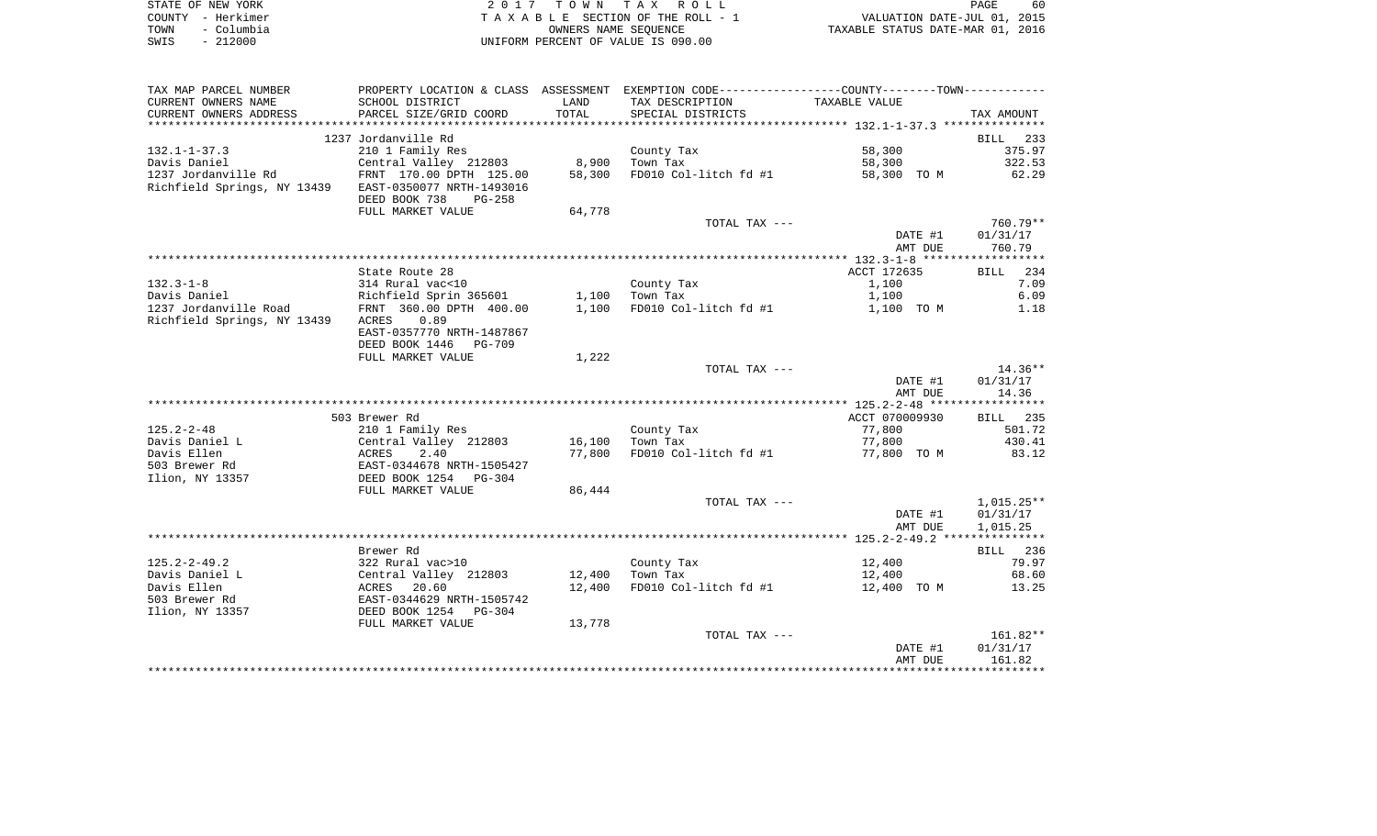|      | STATE OF NEW YORK | 2017 TOWN TAX ROLL                 | 60<br>PAGE                       |
|------|-------------------|------------------------------------|----------------------------------|
|      | COUNTY - Herkimer | TAXABLE SECTION OF THE ROLL - 1    | VALUATION DATE-JUL 01, 2015      |
| TOWN | – Columbia        | OWNERS NAME SEOUENCE               | TAXABLE STATUS DATE-MAR 01, 2016 |
| SWIS | $-212000$         | UNIFORM PERCENT OF VALUE IS 090.00 |                                  |

| TAX MAP PARCEL NUMBER                                 |                                          |        | PROPERTY LOCATION & CLASS ASSESSMENT EXEMPTION CODE---------------COUNTY-------TOWN---------- |                |                    |
|-------------------------------------------------------|------------------------------------------|--------|-----------------------------------------------------------------------------------------------|----------------|--------------------|
| CURRENT OWNERS NAME                                   | SCHOOL DISTRICT                          | LAND   | TAX DESCRIPTION                                                                               | TAXABLE VALUE  |                    |
| CURRENT OWNERS ADDRESS                                | PARCEL SIZE/GRID COORD                   | TOTAL  | SPECIAL DISTRICTS                                                                             |                | TAX AMOUNT         |
|                                                       |                                          |        |                                                                                               |                |                    |
|                                                       | 1237 Jordanville Rd                      |        |                                                                                               |                | <b>BILL</b><br>233 |
| $132.1 - 1 - 37.3$                                    | 210 1 Family Res                         |        | County Tax                                                                                    | 58,300         | 375.97             |
| Davis Daniel                                          | Central Valley 212803                    | 8,900  | Town Tax                                                                                      | 58,300         | 322.53             |
| 1237 Jordanville Rd                                   | FRNT 170.00 DPTH 125.00                  | 58,300 | FD010 Col-litch fd #1                                                                         | 58,300 TO M    | 62.29              |
| Richfield Springs, NY 13439 EAST-0350077 NRTH-1493016 | DEED BOOK 738<br>$PG-258$                |        |                                                                                               |                |                    |
|                                                       | FULL MARKET VALUE                        | 64,778 |                                                                                               |                |                    |
|                                                       |                                          |        | TOTAL TAX ---                                                                                 |                | 760.79**           |
|                                                       |                                          |        |                                                                                               | DATE #1        | 01/31/17           |
|                                                       |                                          |        |                                                                                               | AMT DUE        | 760.79             |
|                                                       |                                          |        |                                                                                               |                |                    |
|                                                       | State Route 28                           |        |                                                                                               | ACCT 172635    | BILL 234           |
| $132.3 - 1 - 8$                                       | 314 Rural vac<10                         |        | County Tax                                                                                    | 1,100          | 7.09               |
| Davis Daniel                                          | Richfield Sprin 365601                   | 1,100  | Town Tax                                                                                      | 1,100          | 6.09               |
| 1237 Jordanville Road FRNT 360.00 DPTH 400.00         |                                          | 1,100  | FD010 Col-litch fd #1                                                                         | 1,100 TO M     | 1.18               |
| Richfield Springs, NY 13439                           | 0.89<br>ACRES                            |        |                                                                                               |                |                    |
|                                                       | EAST-0357770 NRTH-1487867                |        |                                                                                               |                |                    |
|                                                       | DEED BOOK 1446<br>PG-709                 |        |                                                                                               |                |                    |
|                                                       | FULL MARKET VALUE                        | 1,222  |                                                                                               |                |                    |
|                                                       |                                          |        | TOTAL TAX ---                                                                                 |                | $14.36**$          |
|                                                       |                                          |        |                                                                                               | DATE #1        | 01/31/17           |
|                                                       |                                          |        |                                                                                               | AMT DUE        | 14.36              |
|                                                       |                                          |        |                                                                                               |                |                    |
|                                                       | 503 Brewer Rd                            |        |                                                                                               | ACCT 070009930 | BILL 235           |
| $125.2 - 2 - 48$                                      | 210 1 Family Res                         |        | County Tax                                                                                    | 77,800         | 501.72             |
| Davis Daniel L                                        | Central Valley 212803                    | 16,100 | Town Tax                                                                                      | 77,800         | 430.41             |
| Davis Ellen                                           | ACRES 2.40<br>EAST-0344678 NRTH-1505427  | 77,800 | FD010 Col-litch fd #1                                                                         | 77,800 TO M    | 83.12              |
| 503 Brewer Rd                                         |                                          |        |                                                                                               |                |                    |
| Ilion, NY 13357                                       | DEED BOOK 1254 PG-304                    |        |                                                                                               |                |                    |
|                                                       | FULL MARKET VALUE                        | 86,444 |                                                                                               |                |                    |
|                                                       |                                          |        | TOTAL TAX ---                                                                                 |                | 1,015.25**         |
|                                                       |                                          |        |                                                                                               | DATE #1        | 01/31/17           |
|                                                       |                                          |        |                                                                                               | AMT DUE        | 1,015.25           |
|                                                       |                                          |        |                                                                                               |                |                    |
|                                                       | Brewer Rd                                |        |                                                                                               |                | BILL 236<br>79.97  |
| $125.2 - 2 - 49.2$                                    | 322 Rural vac>10                         | 12,400 | County Tax                                                                                    | 12,400         |                    |
| Davis Daniel L                                        | Central Valley 212803                    | 12,400 | Town Tax<br>FD010 Col-litch fd #1                                                             | 12,400         | 68.60              |
| Davis Ellen                                           | ACRES 20.60<br>EAST-0344629 NRTH-1505742 |        |                                                                                               | 12,400 TO M    | 13.25              |
| 503 Brewer Rd<br>Ilion, NY 13357                      | DEED BOOK 1254 PG-304                    |        |                                                                                               |                |                    |
|                                                       |                                          | 13,778 |                                                                                               |                |                    |
|                                                       | FULL MARKET VALUE                        |        | TOTAL TAX ---                                                                                 |                | 161.82**           |
|                                                       |                                          |        |                                                                                               | DATE #1        | 01/31/17           |
|                                                       |                                          |        |                                                                                               | AMT DUE        | 161.82             |
|                                                       |                                          |        |                                                                                               |                |                    |
|                                                       |                                          |        |                                                                                               |                |                    |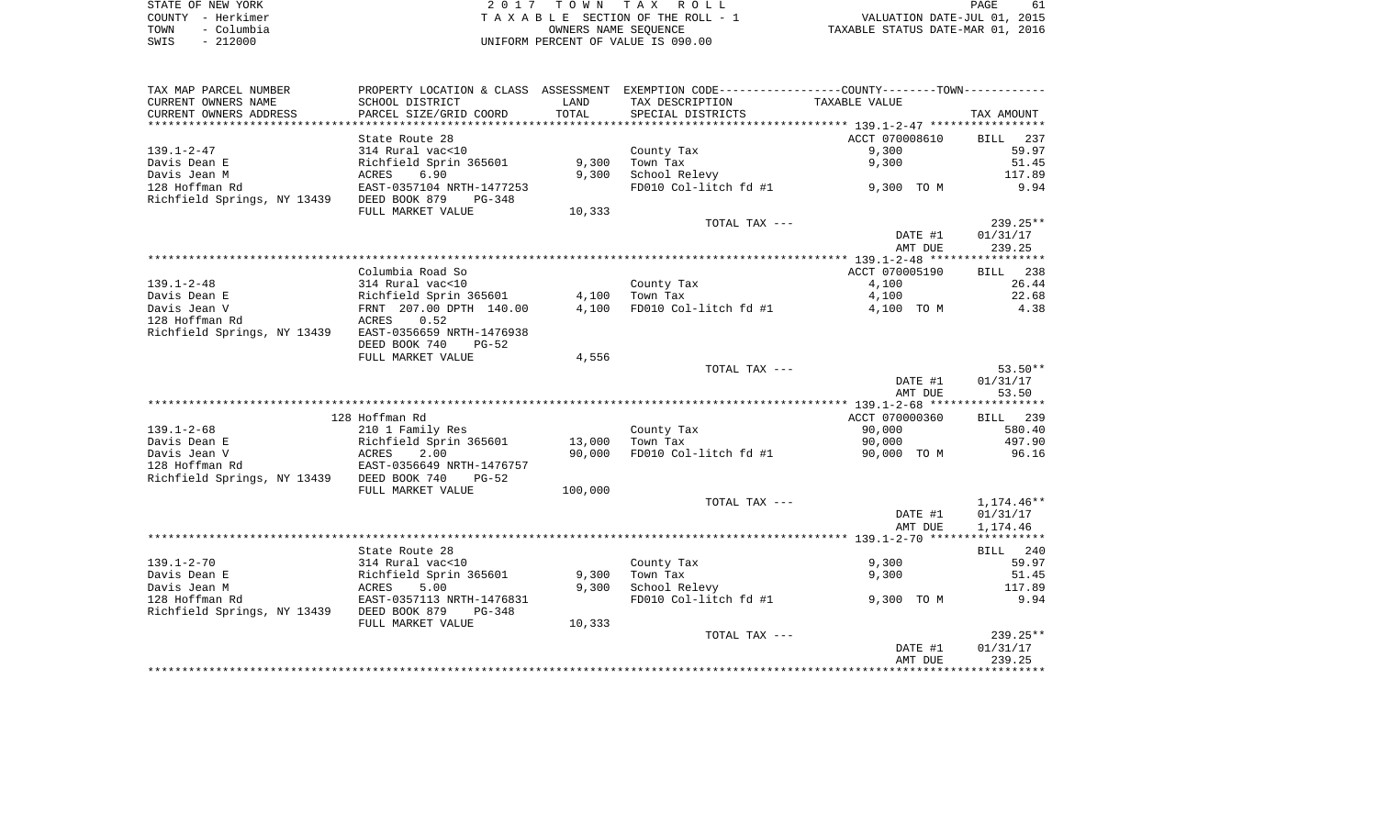| STATE OF NEW YORK  | 2017 TOWN TAX ROLL                 | PAGE<br>61                       |
|--------------------|------------------------------------|----------------------------------|
| COUNTY - Herkimer  | TAXABLE SECTION OF THE ROLL - 1    | VALUATION DATE-JUL 01, 2015      |
| – Columbia<br>TOWN | OWNERS NAME SEOUENCE               | TAXABLE STATUS DATE-MAR 01, 2016 |
| $-212000$<br>SWIS  | UNIFORM PERCENT OF VALUE IS 090.00 |                                  |

| SCHOOL DISTRICT<br>LAND<br>TAX DESCRIPTION<br>TAXABLE VALUE<br>TOTAL<br>PARCEL SIZE/GRID COORD<br>SPECIAL DISTRICTS<br>TAX AMOUNT<br>State Route 28<br>ACCT 070008610<br>237<br>BILL<br>$139.1 - 2 - 47$<br>314 Rural vac<10<br>County Tax<br>9,300<br>59.97<br>9,300<br>Davis Dean E<br>9,300<br>Richfield Sprin 365601<br>Town Tax<br>51.45<br>Davis Jean M<br>ACRES<br>6.90<br>9,300<br>School Relevy<br>117.89<br>128 Hoffman Rd<br>EAST-0357104 NRTH-1477253<br>FD010 Col-litch fd #1<br>9,300 TO M<br>9.94<br>Richfield Springs, NY 13439 DEED BOOK 879<br>PG-348<br>FULL MARKET VALUE<br>10,333<br>239.25**<br>TOTAL TAX ---<br>DATE #1<br>01/31/17<br>239.25<br>AMT DUE<br>Columbia Road So<br>ACCT 070005190<br>BILL 238<br>4,100<br>26.44<br>139.1-2-48<br>314 Rural vac<10<br>County Tax<br>22.68<br>Davis Dean E<br>Richfield Sprin 365601<br>$4,100$ Town Tax<br>4,100<br>Davis Jean V<br>FRNT 207.00 DPTH 140.00<br>4,100<br>FD010 Col-litch fd #1<br>4.38<br>4,100 TO M<br>128 Hoffman Rd<br>0.52<br>ACRES<br>Richfield Springs, NY 13439 EAST-0356659 NRTH-1476938<br>DEED BOOK 740<br>$PG-52$<br>FULL MARKET VALUE<br>4,556<br>$53.50**$<br>TOTAL TAX ---<br>DATE #1<br>01/31/17<br>AMT DUE<br>53.50<br>128 Hoffman Rd<br>ACCT 070000360<br>BILL 239<br>$139.1 - 2 - 68$<br>210 1 Family Res<br>County Tax<br>90,000<br>580.40<br>Davis Dean E<br>Richfield Sprin 365601<br>13,000<br>Town Tax<br>90,000<br>497.90<br>90,000<br>FD010 Col-litch fd #1<br>Davis Jean V<br>ACRES<br>2.00<br>90,000 TO M<br>96.16<br>128 Hoffman Rd<br>EAST-0356649 NRTH-1476757<br>Richfield Springs, NY 13439<br>DEED BOOK 740<br>$PG-52$<br>FULL MARKET VALUE<br>100,000<br>TOTAL TAX ---<br>DATE #1<br>01/31/17<br>AMT DUE<br>1,174.46<br>State Route 28<br>BILL 240<br>$139.1 - 2 - 70$<br>59.97<br>314 Rural vac<10<br>County Tax<br>9,300<br>Richfield Sprin 365601<br>9,300<br>Town Tax<br>9,300<br>51.45<br>9,300<br>ACRES<br>5.00<br>School Relevy<br>117.89<br>FD010 Col-litch fd #1<br>9,300 TO M<br>9.94<br>EAST-0357113 NRTH-1476831<br>Richfield Springs, NY 13439 DEED BOOK 879<br>PG-348<br>10,333<br>FULL MARKET VALUE<br>239.25**<br>TOTAL TAX ---<br>DATE #1<br>01/31/17<br>AMT DUE<br>239.25 | TAX MAP PARCEL NUMBER  |  | PROPERTY LOCATION & CLASS ASSESSMENT EXEMPTION CODE----------------COUNTY-------TOWN---------- |  |
|-----------------------------------------------------------------------------------------------------------------------------------------------------------------------------------------------------------------------------------------------------------------------------------------------------------------------------------------------------------------------------------------------------------------------------------------------------------------------------------------------------------------------------------------------------------------------------------------------------------------------------------------------------------------------------------------------------------------------------------------------------------------------------------------------------------------------------------------------------------------------------------------------------------------------------------------------------------------------------------------------------------------------------------------------------------------------------------------------------------------------------------------------------------------------------------------------------------------------------------------------------------------------------------------------------------------------------------------------------------------------------------------------------------------------------------------------------------------------------------------------------------------------------------------------------------------------------------------------------------------------------------------------------------------------------------------------------------------------------------------------------------------------------------------------------------------------------------------------------------------------------------------------------------------------------------------------------------------------------------------------------------------------------------------------------------------------------------------------------------------------------------------------------------------------------------------------------------------|------------------------|--|------------------------------------------------------------------------------------------------|--|
| 1,174.46**                                                                                                                                                                                                                                                                                                                                                                                                                                                                                                                                                                                                                                                                                                                                                                                                                                                                                                                                                                                                                                                                                                                                                                                                                                                                                                                                                                                                                                                                                                                                                                                                                                                                                                                                                                                                                                                                                                                                                                                                                                                                                                                                                                                                      | CURRENT OWNERS NAME    |  |                                                                                                |  |
|                                                                                                                                                                                                                                                                                                                                                                                                                                                                                                                                                                                                                                                                                                                                                                                                                                                                                                                                                                                                                                                                                                                                                                                                                                                                                                                                                                                                                                                                                                                                                                                                                                                                                                                                                                                                                                                                                                                                                                                                                                                                                                                                                                                                                 | CURRENT OWNERS ADDRESS |  |                                                                                                |  |
|                                                                                                                                                                                                                                                                                                                                                                                                                                                                                                                                                                                                                                                                                                                                                                                                                                                                                                                                                                                                                                                                                                                                                                                                                                                                                                                                                                                                                                                                                                                                                                                                                                                                                                                                                                                                                                                                                                                                                                                                                                                                                                                                                                                                                 |                        |  |                                                                                                |  |
|                                                                                                                                                                                                                                                                                                                                                                                                                                                                                                                                                                                                                                                                                                                                                                                                                                                                                                                                                                                                                                                                                                                                                                                                                                                                                                                                                                                                                                                                                                                                                                                                                                                                                                                                                                                                                                                                                                                                                                                                                                                                                                                                                                                                                 |                        |  |                                                                                                |  |
|                                                                                                                                                                                                                                                                                                                                                                                                                                                                                                                                                                                                                                                                                                                                                                                                                                                                                                                                                                                                                                                                                                                                                                                                                                                                                                                                                                                                                                                                                                                                                                                                                                                                                                                                                                                                                                                                                                                                                                                                                                                                                                                                                                                                                 |                        |  |                                                                                                |  |
|                                                                                                                                                                                                                                                                                                                                                                                                                                                                                                                                                                                                                                                                                                                                                                                                                                                                                                                                                                                                                                                                                                                                                                                                                                                                                                                                                                                                                                                                                                                                                                                                                                                                                                                                                                                                                                                                                                                                                                                                                                                                                                                                                                                                                 |                        |  |                                                                                                |  |
|                                                                                                                                                                                                                                                                                                                                                                                                                                                                                                                                                                                                                                                                                                                                                                                                                                                                                                                                                                                                                                                                                                                                                                                                                                                                                                                                                                                                                                                                                                                                                                                                                                                                                                                                                                                                                                                                                                                                                                                                                                                                                                                                                                                                                 |                        |  |                                                                                                |  |
|                                                                                                                                                                                                                                                                                                                                                                                                                                                                                                                                                                                                                                                                                                                                                                                                                                                                                                                                                                                                                                                                                                                                                                                                                                                                                                                                                                                                                                                                                                                                                                                                                                                                                                                                                                                                                                                                                                                                                                                                                                                                                                                                                                                                                 |                        |  |                                                                                                |  |
|                                                                                                                                                                                                                                                                                                                                                                                                                                                                                                                                                                                                                                                                                                                                                                                                                                                                                                                                                                                                                                                                                                                                                                                                                                                                                                                                                                                                                                                                                                                                                                                                                                                                                                                                                                                                                                                                                                                                                                                                                                                                                                                                                                                                                 |                        |  |                                                                                                |  |
|                                                                                                                                                                                                                                                                                                                                                                                                                                                                                                                                                                                                                                                                                                                                                                                                                                                                                                                                                                                                                                                                                                                                                                                                                                                                                                                                                                                                                                                                                                                                                                                                                                                                                                                                                                                                                                                                                                                                                                                                                                                                                                                                                                                                                 |                        |  |                                                                                                |  |
|                                                                                                                                                                                                                                                                                                                                                                                                                                                                                                                                                                                                                                                                                                                                                                                                                                                                                                                                                                                                                                                                                                                                                                                                                                                                                                                                                                                                                                                                                                                                                                                                                                                                                                                                                                                                                                                                                                                                                                                                                                                                                                                                                                                                                 |                        |  |                                                                                                |  |
|                                                                                                                                                                                                                                                                                                                                                                                                                                                                                                                                                                                                                                                                                                                                                                                                                                                                                                                                                                                                                                                                                                                                                                                                                                                                                                                                                                                                                                                                                                                                                                                                                                                                                                                                                                                                                                                                                                                                                                                                                                                                                                                                                                                                                 |                        |  |                                                                                                |  |
|                                                                                                                                                                                                                                                                                                                                                                                                                                                                                                                                                                                                                                                                                                                                                                                                                                                                                                                                                                                                                                                                                                                                                                                                                                                                                                                                                                                                                                                                                                                                                                                                                                                                                                                                                                                                                                                                                                                                                                                                                                                                                                                                                                                                                 |                        |  |                                                                                                |  |
|                                                                                                                                                                                                                                                                                                                                                                                                                                                                                                                                                                                                                                                                                                                                                                                                                                                                                                                                                                                                                                                                                                                                                                                                                                                                                                                                                                                                                                                                                                                                                                                                                                                                                                                                                                                                                                                                                                                                                                                                                                                                                                                                                                                                                 |                        |  |                                                                                                |  |
|                                                                                                                                                                                                                                                                                                                                                                                                                                                                                                                                                                                                                                                                                                                                                                                                                                                                                                                                                                                                                                                                                                                                                                                                                                                                                                                                                                                                                                                                                                                                                                                                                                                                                                                                                                                                                                                                                                                                                                                                                                                                                                                                                                                                                 |                        |  |                                                                                                |  |
|                                                                                                                                                                                                                                                                                                                                                                                                                                                                                                                                                                                                                                                                                                                                                                                                                                                                                                                                                                                                                                                                                                                                                                                                                                                                                                                                                                                                                                                                                                                                                                                                                                                                                                                                                                                                                                                                                                                                                                                                                                                                                                                                                                                                                 |                        |  |                                                                                                |  |
|                                                                                                                                                                                                                                                                                                                                                                                                                                                                                                                                                                                                                                                                                                                                                                                                                                                                                                                                                                                                                                                                                                                                                                                                                                                                                                                                                                                                                                                                                                                                                                                                                                                                                                                                                                                                                                                                                                                                                                                                                                                                                                                                                                                                                 |                        |  |                                                                                                |  |
|                                                                                                                                                                                                                                                                                                                                                                                                                                                                                                                                                                                                                                                                                                                                                                                                                                                                                                                                                                                                                                                                                                                                                                                                                                                                                                                                                                                                                                                                                                                                                                                                                                                                                                                                                                                                                                                                                                                                                                                                                                                                                                                                                                                                                 |                        |  |                                                                                                |  |
|                                                                                                                                                                                                                                                                                                                                                                                                                                                                                                                                                                                                                                                                                                                                                                                                                                                                                                                                                                                                                                                                                                                                                                                                                                                                                                                                                                                                                                                                                                                                                                                                                                                                                                                                                                                                                                                                                                                                                                                                                                                                                                                                                                                                                 |                        |  |                                                                                                |  |
|                                                                                                                                                                                                                                                                                                                                                                                                                                                                                                                                                                                                                                                                                                                                                                                                                                                                                                                                                                                                                                                                                                                                                                                                                                                                                                                                                                                                                                                                                                                                                                                                                                                                                                                                                                                                                                                                                                                                                                                                                                                                                                                                                                                                                 |                        |  |                                                                                                |  |
|                                                                                                                                                                                                                                                                                                                                                                                                                                                                                                                                                                                                                                                                                                                                                                                                                                                                                                                                                                                                                                                                                                                                                                                                                                                                                                                                                                                                                                                                                                                                                                                                                                                                                                                                                                                                                                                                                                                                                                                                                                                                                                                                                                                                                 |                        |  |                                                                                                |  |
|                                                                                                                                                                                                                                                                                                                                                                                                                                                                                                                                                                                                                                                                                                                                                                                                                                                                                                                                                                                                                                                                                                                                                                                                                                                                                                                                                                                                                                                                                                                                                                                                                                                                                                                                                                                                                                                                                                                                                                                                                                                                                                                                                                                                                 |                        |  |                                                                                                |  |
|                                                                                                                                                                                                                                                                                                                                                                                                                                                                                                                                                                                                                                                                                                                                                                                                                                                                                                                                                                                                                                                                                                                                                                                                                                                                                                                                                                                                                                                                                                                                                                                                                                                                                                                                                                                                                                                                                                                                                                                                                                                                                                                                                                                                                 |                        |  |                                                                                                |  |
|                                                                                                                                                                                                                                                                                                                                                                                                                                                                                                                                                                                                                                                                                                                                                                                                                                                                                                                                                                                                                                                                                                                                                                                                                                                                                                                                                                                                                                                                                                                                                                                                                                                                                                                                                                                                                                                                                                                                                                                                                                                                                                                                                                                                                 |                        |  |                                                                                                |  |
|                                                                                                                                                                                                                                                                                                                                                                                                                                                                                                                                                                                                                                                                                                                                                                                                                                                                                                                                                                                                                                                                                                                                                                                                                                                                                                                                                                                                                                                                                                                                                                                                                                                                                                                                                                                                                                                                                                                                                                                                                                                                                                                                                                                                                 |                        |  |                                                                                                |  |
|                                                                                                                                                                                                                                                                                                                                                                                                                                                                                                                                                                                                                                                                                                                                                                                                                                                                                                                                                                                                                                                                                                                                                                                                                                                                                                                                                                                                                                                                                                                                                                                                                                                                                                                                                                                                                                                                                                                                                                                                                                                                                                                                                                                                                 |                        |  |                                                                                                |  |
|                                                                                                                                                                                                                                                                                                                                                                                                                                                                                                                                                                                                                                                                                                                                                                                                                                                                                                                                                                                                                                                                                                                                                                                                                                                                                                                                                                                                                                                                                                                                                                                                                                                                                                                                                                                                                                                                                                                                                                                                                                                                                                                                                                                                                 |                        |  |                                                                                                |  |
|                                                                                                                                                                                                                                                                                                                                                                                                                                                                                                                                                                                                                                                                                                                                                                                                                                                                                                                                                                                                                                                                                                                                                                                                                                                                                                                                                                                                                                                                                                                                                                                                                                                                                                                                                                                                                                                                                                                                                                                                                                                                                                                                                                                                                 |                        |  |                                                                                                |  |
|                                                                                                                                                                                                                                                                                                                                                                                                                                                                                                                                                                                                                                                                                                                                                                                                                                                                                                                                                                                                                                                                                                                                                                                                                                                                                                                                                                                                                                                                                                                                                                                                                                                                                                                                                                                                                                                                                                                                                                                                                                                                                                                                                                                                                 |                        |  |                                                                                                |  |
|                                                                                                                                                                                                                                                                                                                                                                                                                                                                                                                                                                                                                                                                                                                                                                                                                                                                                                                                                                                                                                                                                                                                                                                                                                                                                                                                                                                                                                                                                                                                                                                                                                                                                                                                                                                                                                                                                                                                                                                                                                                                                                                                                                                                                 |                        |  |                                                                                                |  |
|                                                                                                                                                                                                                                                                                                                                                                                                                                                                                                                                                                                                                                                                                                                                                                                                                                                                                                                                                                                                                                                                                                                                                                                                                                                                                                                                                                                                                                                                                                                                                                                                                                                                                                                                                                                                                                                                                                                                                                                                                                                                                                                                                                                                                 |                        |  |                                                                                                |  |
|                                                                                                                                                                                                                                                                                                                                                                                                                                                                                                                                                                                                                                                                                                                                                                                                                                                                                                                                                                                                                                                                                                                                                                                                                                                                                                                                                                                                                                                                                                                                                                                                                                                                                                                                                                                                                                                                                                                                                                                                                                                                                                                                                                                                                 |                        |  |                                                                                                |  |
|                                                                                                                                                                                                                                                                                                                                                                                                                                                                                                                                                                                                                                                                                                                                                                                                                                                                                                                                                                                                                                                                                                                                                                                                                                                                                                                                                                                                                                                                                                                                                                                                                                                                                                                                                                                                                                                                                                                                                                                                                                                                                                                                                                                                                 |                        |  |                                                                                                |  |
|                                                                                                                                                                                                                                                                                                                                                                                                                                                                                                                                                                                                                                                                                                                                                                                                                                                                                                                                                                                                                                                                                                                                                                                                                                                                                                                                                                                                                                                                                                                                                                                                                                                                                                                                                                                                                                                                                                                                                                                                                                                                                                                                                                                                                 |                        |  |                                                                                                |  |
|                                                                                                                                                                                                                                                                                                                                                                                                                                                                                                                                                                                                                                                                                                                                                                                                                                                                                                                                                                                                                                                                                                                                                                                                                                                                                                                                                                                                                                                                                                                                                                                                                                                                                                                                                                                                                                                                                                                                                                                                                                                                                                                                                                                                                 |                        |  |                                                                                                |  |
|                                                                                                                                                                                                                                                                                                                                                                                                                                                                                                                                                                                                                                                                                                                                                                                                                                                                                                                                                                                                                                                                                                                                                                                                                                                                                                                                                                                                                                                                                                                                                                                                                                                                                                                                                                                                                                                                                                                                                                                                                                                                                                                                                                                                                 |                        |  |                                                                                                |  |
|                                                                                                                                                                                                                                                                                                                                                                                                                                                                                                                                                                                                                                                                                                                                                                                                                                                                                                                                                                                                                                                                                                                                                                                                                                                                                                                                                                                                                                                                                                                                                                                                                                                                                                                                                                                                                                                                                                                                                                                                                                                                                                                                                                                                                 |                        |  |                                                                                                |  |
|                                                                                                                                                                                                                                                                                                                                                                                                                                                                                                                                                                                                                                                                                                                                                                                                                                                                                                                                                                                                                                                                                                                                                                                                                                                                                                                                                                                                                                                                                                                                                                                                                                                                                                                                                                                                                                                                                                                                                                                                                                                                                                                                                                                                                 |                        |  |                                                                                                |  |
|                                                                                                                                                                                                                                                                                                                                                                                                                                                                                                                                                                                                                                                                                                                                                                                                                                                                                                                                                                                                                                                                                                                                                                                                                                                                                                                                                                                                                                                                                                                                                                                                                                                                                                                                                                                                                                                                                                                                                                                                                                                                                                                                                                                                                 |                        |  |                                                                                                |  |
|                                                                                                                                                                                                                                                                                                                                                                                                                                                                                                                                                                                                                                                                                                                                                                                                                                                                                                                                                                                                                                                                                                                                                                                                                                                                                                                                                                                                                                                                                                                                                                                                                                                                                                                                                                                                                                                                                                                                                                                                                                                                                                                                                                                                                 |                        |  |                                                                                                |  |
|                                                                                                                                                                                                                                                                                                                                                                                                                                                                                                                                                                                                                                                                                                                                                                                                                                                                                                                                                                                                                                                                                                                                                                                                                                                                                                                                                                                                                                                                                                                                                                                                                                                                                                                                                                                                                                                                                                                                                                                                                                                                                                                                                                                                                 | Davis Dean E           |  |                                                                                                |  |
|                                                                                                                                                                                                                                                                                                                                                                                                                                                                                                                                                                                                                                                                                                                                                                                                                                                                                                                                                                                                                                                                                                                                                                                                                                                                                                                                                                                                                                                                                                                                                                                                                                                                                                                                                                                                                                                                                                                                                                                                                                                                                                                                                                                                                 | Davis Jean M           |  |                                                                                                |  |
|                                                                                                                                                                                                                                                                                                                                                                                                                                                                                                                                                                                                                                                                                                                                                                                                                                                                                                                                                                                                                                                                                                                                                                                                                                                                                                                                                                                                                                                                                                                                                                                                                                                                                                                                                                                                                                                                                                                                                                                                                                                                                                                                                                                                                 | 128 Hoffman Rd         |  |                                                                                                |  |
|                                                                                                                                                                                                                                                                                                                                                                                                                                                                                                                                                                                                                                                                                                                                                                                                                                                                                                                                                                                                                                                                                                                                                                                                                                                                                                                                                                                                                                                                                                                                                                                                                                                                                                                                                                                                                                                                                                                                                                                                                                                                                                                                                                                                                 |                        |  |                                                                                                |  |
|                                                                                                                                                                                                                                                                                                                                                                                                                                                                                                                                                                                                                                                                                                                                                                                                                                                                                                                                                                                                                                                                                                                                                                                                                                                                                                                                                                                                                                                                                                                                                                                                                                                                                                                                                                                                                                                                                                                                                                                                                                                                                                                                                                                                                 |                        |  |                                                                                                |  |
|                                                                                                                                                                                                                                                                                                                                                                                                                                                                                                                                                                                                                                                                                                                                                                                                                                                                                                                                                                                                                                                                                                                                                                                                                                                                                                                                                                                                                                                                                                                                                                                                                                                                                                                                                                                                                                                                                                                                                                                                                                                                                                                                                                                                                 |                        |  |                                                                                                |  |
|                                                                                                                                                                                                                                                                                                                                                                                                                                                                                                                                                                                                                                                                                                                                                                                                                                                                                                                                                                                                                                                                                                                                                                                                                                                                                                                                                                                                                                                                                                                                                                                                                                                                                                                                                                                                                                                                                                                                                                                                                                                                                                                                                                                                                 |                        |  |                                                                                                |  |
|                                                                                                                                                                                                                                                                                                                                                                                                                                                                                                                                                                                                                                                                                                                                                                                                                                                                                                                                                                                                                                                                                                                                                                                                                                                                                                                                                                                                                                                                                                                                                                                                                                                                                                                                                                                                                                                                                                                                                                                                                                                                                                                                                                                                                 |                        |  |                                                                                                |  |
|                                                                                                                                                                                                                                                                                                                                                                                                                                                                                                                                                                                                                                                                                                                                                                                                                                                                                                                                                                                                                                                                                                                                                                                                                                                                                                                                                                                                                                                                                                                                                                                                                                                                                                                                                                                                                                                                                                                                                                                                                                                                                                                                                                                                                 |                        |  |                                                                                                |  |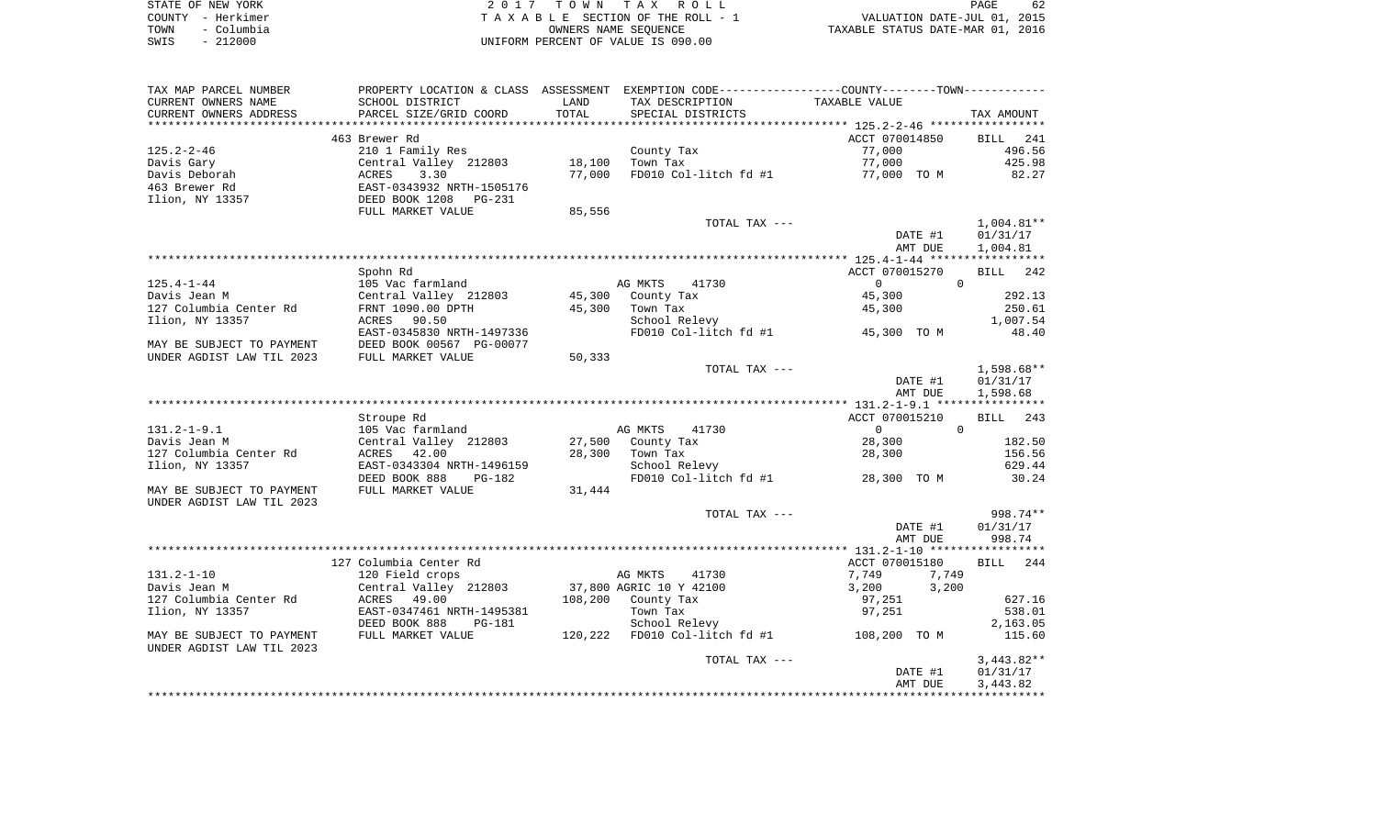| STATE OF NEW YORK  | 2017 TOWN TAX ROLL                 | 62<br>PAGE                       |
|--------------------|------------------------------------|----------------------------------|
| COUNTY - Herkimer  | TAXABLE SECTION OF THE ROLL - 1    | VALUATION DATE-JUL 01, 2015      |
| – Columbia<br>TOWN | OWNERS NAME SEOUENCE               | TAXABLE STATUS DATE-MAR 01, 2016 |
| $-212000$<br>SWIS  | UNIFORM PERCENT OF VALUE IS 090.00 |                                  |

| TAX MAP PARCEL NUMBER     |                                |             | PROPERTY LOCATION & CLASS ASSESSMENT EXEMPTION CODE---------------COUNTY-------TOWN---------- |                              |                      |
|---------------------------|--------------------------------|-------------|-----------------------------------------------------------------------------------------------|------------------------------|----------------------|
| CURRENT OWNERS NAME       | SCHOOL DISTRICT                | LAND        | TAX DESCRIPTION                                                                               | TAXABLE VALUE                |                      |
| CURRENT OWNERS ADDRESS    | PARCEL SIZE/GRID COORD         | TOTAL       | SPECIAL DISTRICTS                                                                             |                              | TAX AMOUNT           |
| *******************       |                                | *********** |                                                                                               |                              |                      |
|                           | 463 Brewer Rd                  |             |                                                                                               | ACCT 070014850               | BILL 241             |
| $125.2 - 2 - 46$          | 210 1 Family Res               |             | County Tax                                                                                    | 77,000                       | 496.56               |
| Davis Gary                | Central Valley 212803          | 18,100      | Town Tax                                                                                      | 77,000                       | 425.98               |
| Davis Deborah             | 3.30<br>ACRES                  | 77,000      | FD010 Col-litch fd #1                                                                         | 77,000 TO M                  | 82.27                |
| 463 Brewer Rd             | EAST-0343932 NRTH-1505176      |             |                                                                                               |                              |                      |
| Ilion, NY 13357           | DEED BOOK 1208<br>PG-231       |             |                                                                                               |                              |                      |
|                           | FULL MARKET VALUE              | 85,556      |                                                                                               |                              |                      |
|                           |                                |             | TOTAL TAX ---                                                                                 |                              | 1,004.81**           |
|                           |                                |             |                                                                                               | DATE #1                      | 01/31/17             |
|                           |                                |             |                                                                                               | AMT DUE                      | 1,004.81             |
|                           |                                |             |                                                                                               |                              |                      |
|                           | Spohn Rd                       |             |                                                                                               | ACCT 070015270               | <b>BILL</b><br>242   |
| $125.4 - 1 - 44$          | 105 Vac farmland               |             | AG MKTS<br>41730                                                                              | $\mathbf{0}$<br>$\mathbf{0}$ |                      |
| Davis Jean M              | Central Valley 212803          | 45,300      | County Tax                                                                                    | 45,300                       | 292.13               |
| 127 Columbia Center Rd    | FRNT 1090.00 DPTH              | 45,300      | Town Tax                                                                                      | 45,300                       | 250.61               |
| Ilion, NY 13357           | ACRES<br>90.50                 |             | School Relevy                                                                                 |                              | 1,007.54             |
|                           | EAST-0345830 NRTH-1497336      |             | FD010 Col-litch fd #1                                                                         | 45,300 TO M                  | 48.40                |
| MAY BE SUBJECT TO PAYMENT | DEED BOOK 00567 PG-00077       |             |                                                                                               |                              |                      |
| UNDER AGDIST LAW TIL 2023 | FULL MARKET VALUE              | 50,333      |                                                                                               |                              |                      |
|                           |                                |             | TOTAL TAX ---                                                                                 | DATE #1                      | $1,598.68**$         |
|                           |                                |             |                                                                                               | AMT DUE                      | 01/31/17<br>1,598.68 |
|                           |                                |             |                                                                                               |                              |                      |
|                           | Stroupe Rd                     |             |                                                                                               | ACCT 070015210               | 243<br>BILL          |
| $131.2 - 1 - 9.1$         | 105 Vac farmland               |             | 41730<br>AG MKTS                                                                              | $\overline{0}$<br>$\Omega$   |                      |
| Davis Jean M              | Central Valley 212803          | 27,500      | County Tax                                                                                    | 28,300                       | 182.50               |
| 127 Columbia Center Rd    | ACRES<br>42.00                 | 28,300      | Town Tax                                                                                      | 28,300                       | 156.56               |
| Ilion, NY 13357           | EAST-0343304 NRTH-1496159      |             | School Relevy                                                                                 |                              | 629.44               |
|                           | DEED BOOK 888<br>PG-182        |             | FD010 Col-litch fd #1                                                                         | 28,300 TO M                  | 30.24                |
| MAY BE SUBJECT TO PAYMENT | FULL MARKET VALUE              | 31,444      |                                                                                               |                              |                      |
| UNDER AGDIST LAW TIL 2023 |                                |             |                                                                                               |                              |                      |
|                           |                                |             | TOTAL TAX ---                                                                                 |                              | 998.74**             |
|                           |                                |             |                                                                                               | DATE #1                      | 01/31/17             |
|                           |                                |             |                                                                                               | AMT DUE                      | 998.74               |
|                           |                                |             |                                                                                               |                              |                      |
|                           | 127 Columbia Center Rd         |             |                                                                                               | ACCT 070015180               | 244<br><b>BILL</b>   |
| $131.2 - 1 - 10$          | 120 Field crops                |             | AG MKTS<br>41730                                                                              | 7,749<br>7,749               |                      |
| Davis Jean M              | Central Valley 212803          |             | 37,800 AGRIC 10 Y 42100                                                                       | 3,200<br>3,200               |                      |
| 127 Columbia Center Rd    | ACRES 49.00                    | 108,200     | County Tax                                                                                    | 97,251                       | 627.16               |
| Ilion, NY 13357           | EAST-0347461 NRTH-1495381      |             | Town Tax                                                                                      | 97,251                       | 538.01               |
|                           | DEED BOOK 888<br><b>PG-181</b> |             | School Relevy                                                                                 |                              | 2,163.05             |
| MAY BE SUBJECT TO PAYMENT | FULL MARKET VALUE              |             | 120,222 FD010 Col-litch fd #1                                                                 | 108,200 TO M                 | 115.60               |
| UNDER AGDIST LAW TIL 2023 |                                |             |                                                                                               |                              |                      |
|                           |                                |             | TOTAL TAX ---                                                                                 |                              | $3,443.82**$         |
|                           |                                |             |                                                                                               | DATE #1                      | 01/31/17             |
|                           |                                |             |                                                                                               | AMT DUE                      | 3,443.82             |
|                           |                                |             |                                                                                               |                              |                      |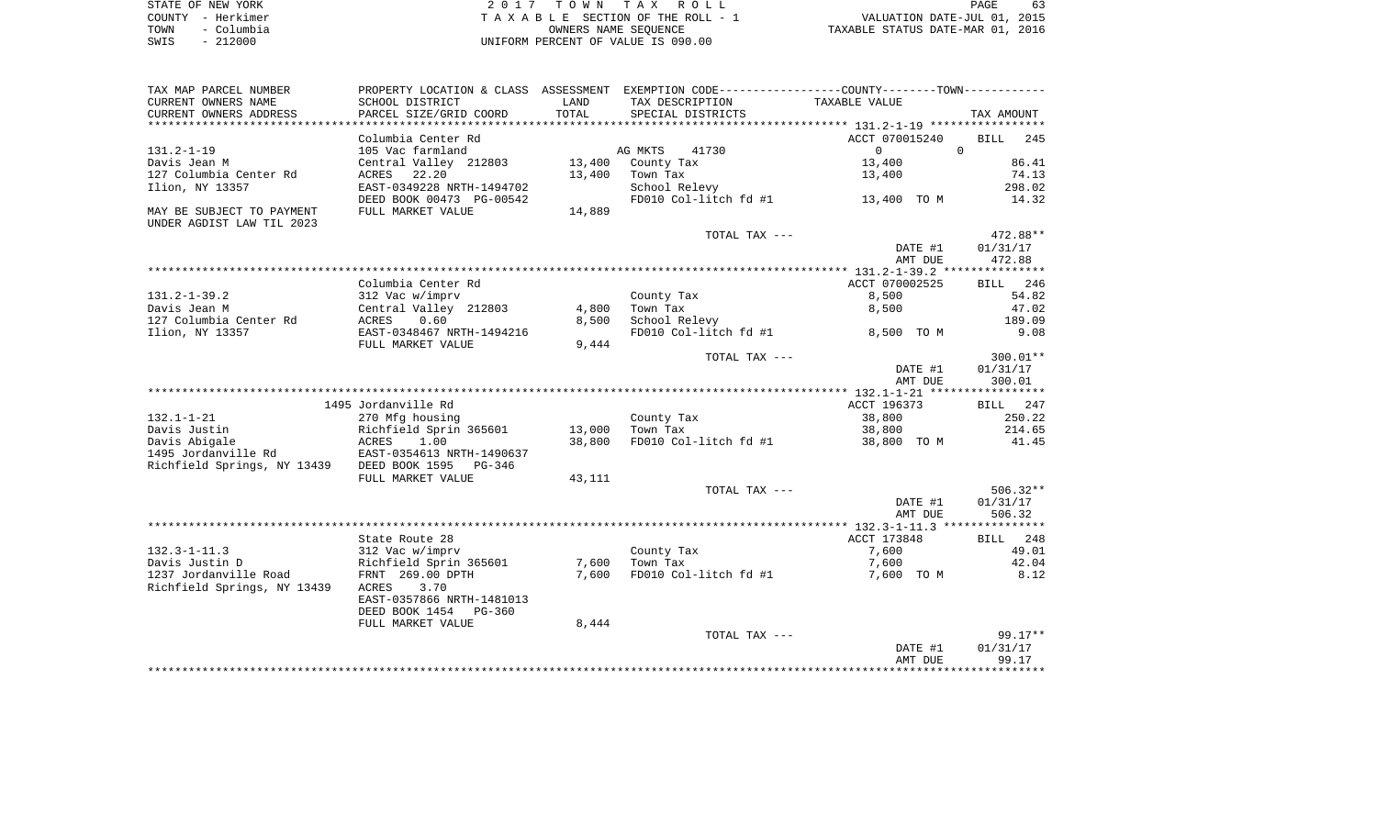| STATE OF NEW YORK  | 2017 TOWN TAX ROLL                 | PAGE                             |
|--------------------|------------------------------------|----------------------------------|
| COUNTY - Herkimer  | TAXABLE SECTION OF THE ROLL - 1    | VALUATION DATE-JUL 01, 2015      |
| - Columbia<br>TOWN | OWNERS NAME SEOUENCE               | TAXABLE STATUS DATE-MAR 01, 2016 |
| $-212000$<br>SWIS  | UNIFORM PERCENT OF VALUE IS 090.00 |                                  |

| TAX MAP PARCEL NUMBER                      |                                                   |        | PROPERTY LOCATION & CLASS ASSESSMENT EXEMPTION CODE---------------COUNTY-------TOWN---------- |                |                    |
|--------------------------------------------|---------------------------------------------------|--------|-----------------------------------------------------------------------------------------------|----------------|--------------------|
| CURRENT OWNERS NAME                        | SCHOOL DISTRICT                                   | LAND   | TAX DESCRIPTION                                                                               | TAXABLE VALUE  |                    |
| CURRENT OWNERS ADDRESS                     | PARCEL SIZE/GRID COORD                            | TOTAL  | SPECIAL DISTRICTS                                                                             |                | TAX AMOUNT         |
|                                            |                                                   |        |                                                                                               |                |                    |
|                                            | Columbia Center Rd                                |        |                                                                                               | ACCT 070015240 | <b>BILL</b><br>245 |
| $131.2 - 1 - 19$                           | 105 Vac farmland                                  |        | AG MKTS<br>41730                                                                              | $\Omega$       | $\mathbf 0$        |
| Davis Jean M                               | Central Valley 212803                             | 13,400 | County Tax                                                                                    | 13,400         | 86.41              |
| 127 Columbia Center Rd                     | 22.20<br>ACRES                                    | 13,400 | Town Tax                                                                                      | 13,400         | 74.13              |
| Ilion, NY 13357                            | EAST-0349228 NRTH-1494702                         |        | School Relevy                                                                                 |                | 298.02             |
|                                            | DEED BOOK 00473 PG-00542                          |        | FD010 Col-litch fd #1                                                                         | 13,400 TO M    | 14.32              |
| MAY BE SUBJECT TO PAYMENT                  | FULL MARKET VALUE                                 | 14,889 |                                                                                               |                |                    |
| UNDER AGDIST LAW TIL 2023                  |                                                   |        | TOTAL TAX ---                                                                                 |                | 472.88**           |
|                                            |                                                   |        |                                                                                               | DATE #1        | 01/31/17           |
|                                            |                                                   |        |                                                                                               | AMT DUE        | 472.88             |
|                                            |                                                   |        |                                                                                               |                |                    |
|                                            | Columbia Center Rd                                |        |                                                                                               | ACCT 070002525 | BILL 246           |
| $131.2 - 1 - 39.2$                         | 312 Vac w/imprv                                   |        | County Tax                                                                                    | 8,500          | 54.82              |
| Davis Jean M                               | Central Valley 212803                             | 4,800  | Town Tax                                                                                      | 8,500          | 47.02              |
| 127 Columbia Center Rd                     | 0.60<br>ACRES                                     | 8,500  | School Relevy                                                                                 |                | 189.09             |
| Ilion, NY 13357                            | EAST-0348467 NRTH-1494216                         |        | FD010 Col-litch fd #1                                                                         | 8,500 TO M     | 9.08               |
|                                            | FULL MARKET VALUE                                 | 9,444  |                                                                                               |                |                    |
|                                            |                                                   |        | TOTAL TAX ---                                                                                 |                | 300.01**           |
|                                            |                                                   |        |                                                                                               | DATE #1        | 01/31/17           |
|                                            |                                                   |        |                                                                                               | AMT DUE        | 300.01             |
|                                            |                                                   |        |                                                                                               |                |                    |
|                                            | 1495 Jordanville Rd                               |        |                                                                                               | ACCT 196373    | BILL 247           |
| $132.1 - 1 - 21$                           | 270 Mfg housing                                   |        | County Tax                                                                                    | 38,800         | 250.22             |
| Davis Justin                               | Richfield Sprin 365601                            | 13,000 | Town Tax                                                                                      | 38,800         | 214.65             |
| Davis Abigale                              | ACRES 1.00                                        | 38,800 | FD010 Col-litch fd #1                                                                         | 38,800 TO M    | 41.45              |
| 1495 Jordanville Rd                        | EAST-0354613 NRTH-1490637                         |        |                                                                                               |                |                    |
| Richfield Springs, NY 13439 DEED BOOK 1595 | PG-346                                            |        |                                                                                               |                |                    |
|                                            | FULL MARKET VALUE                                 | 43,111 |                                                                                               |                |                    |
|                                            |                                                   |        | TOTAL TAX ---                                                                                 |                | $506.32**$         |
|                                            |                                                   |        |                                                                                               | DATE #1        | 01/31/17           |
|                                            |                                                   |        |                                                                                               | AMT DUE        | 506.32             |
|                                            |                                                   |        |                                                                                               |                |                    |
|                                            | State Route 28                                    |        |                                                                                               | ACCT 173848    | 248<br>BILL        |
| $132.3 - 1 - 11.3$                         | 312 Vac w/imprv                                   |        | County Tax                                                                                    | 7,600          | 49.01              |
| Davis Justin D                             | Richfield Sprin 365601                            | 7,600  | Town Tax                                                                                      | 7,600          | 42.04              |
| 1237 Jordanville Road                      | FRNT 269.00 DPTH                                  | 7,600  | FD010 Col-litch fd #1                                                                         | 7,600 TO M     | 8.12               |
| Richfield Springs, NY 13439                | <b>ACRES</b><br>3.70<br>EAST-0357866 NRTH-1481013 |        |                                                                                               |                |                    |
|                                            | DEED BOOK 1454<br>PG-360                          |        |                                                                                               |                |                    |
|                                            | FULL MARKET VALUE                                 | 8,444  |                                                                                               |                |                    |
|                                            |                                                   |        | TOTAL TAX ---                                                                                 |                | $99.17**$          |
|                                            |                                                   |        |                                                                                               | DATE #1        | 01/31/17           |
|                                            |                                                   |        |                                                                                               | AMT DUE        | 99.17              |
|                                            |                                                   |        |                                                                                               |                |                    |
|                                            |                                                   |        |                                                                                               |                |                    |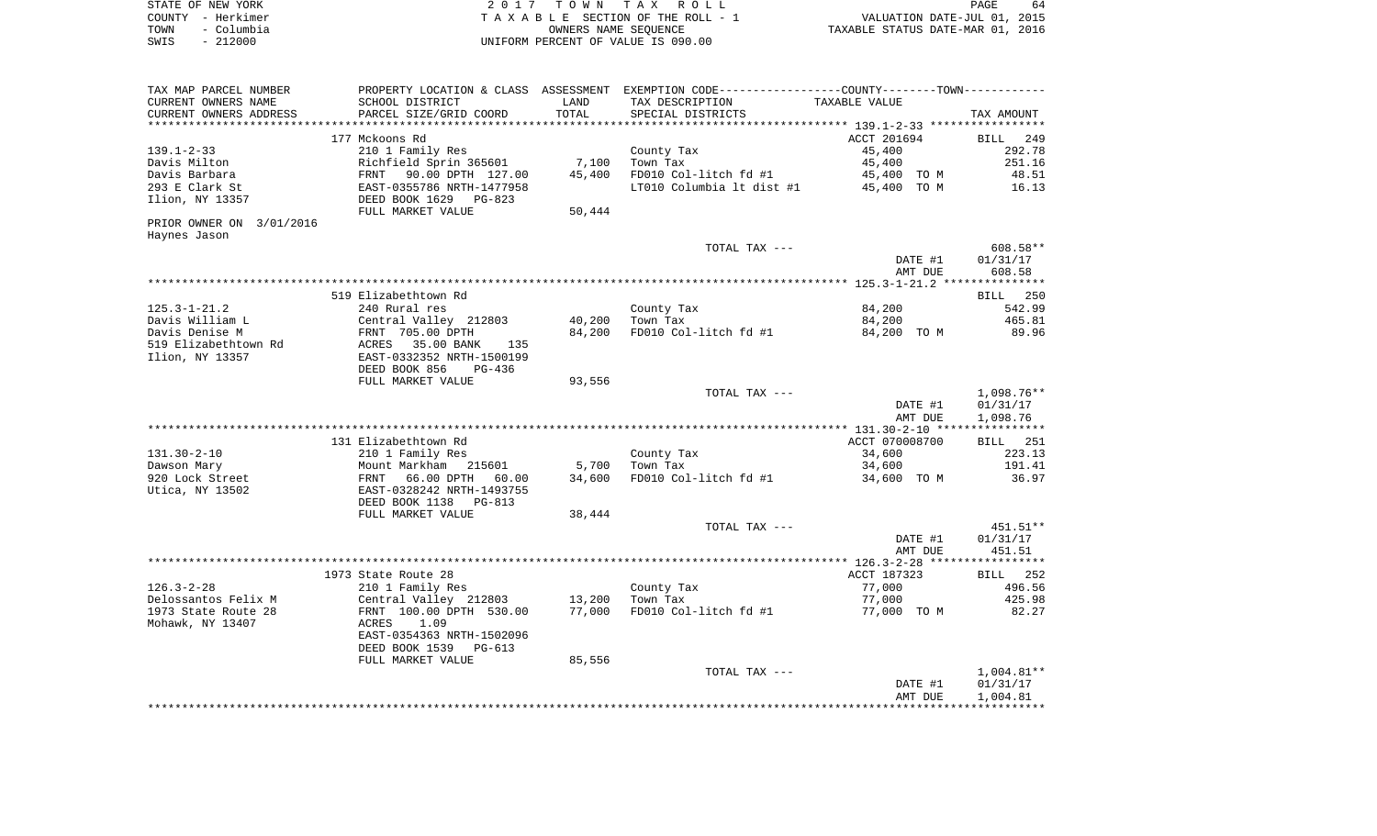| STATE OF NEW YORK  | 2017 TOWN TAX ROLL                 | 64<br>PAGE                       |
|--------------------|------------------------------------|----------------------------------|
| COUNTY - Herkimer  | TAXABLE SECTION OF THE ROLL - 1    | VALUATION DATE-JUL 01, 2015      |
| - Columbia<br>TOWN | OWNERS NAME SEOUENCE               | TAXABLE STATUS DATE-MAR 01, 2016 |
| $-212000$<br>SWIS  | UNIFORM PERCENT OF VALUE IS 090.00 |                                  |

| TAX MAP PARCEL NUMBER    | PROPERTY LOCATION & CLASS ASSESSMENT EXEMPTION CODE---------------COUNTY-------TOWN---------- |        |                           |                    |                    |
|--------------------------|-----------------------------------------------------------------------------------------------|--------|---------------------------|--------------------|--------------------|
| CURRENT OWNERS NAME      | SCHOOL DISTRICT                                                                               | LAND   | TAX DESCRIPTION           | TAXABLE VALUE      |                    |
| CURRENT OWNERS ADDRESS   | PARCEL SIZE/GRID COORD                                                                        | TOTAL  | SPECIAL DISTRICTS         |                    | TAX AMOUNT         |
|                          |                                                                                               |        |                           |                    |                    |
|                          | 177 Mckoons Rd                                                                                |        |                           | ACCT 201694        | <b>BILL</b><br>249 |
| $139.1 - 2 - 33$         | 210 1 Family Res                                                                              |        | County Tax                | 45,400             | 292.78             |
| Davis Milton             | Richfield Sprin 365601                                                                        | 7,100  | Town Tax                  | 45,400             | 251.16             |
| Davis Barbara            | FRNT 90.00 DPTH 127.00                                                                        | 45,400 | FD010 Col-litch fd #1     | 45,400 TO M        | 48.51              |
| 293 E Clark St           | EAST-0355786 NRTH-1477958                                                                     |        | LT010 Columbia 1t dist #1 | 45,400 TO M        | 16.13              |
| Ilion, NY 13357          | DEED BOOK 1629<br>PG-823                                                                      |        |                           |                    |                    |
|                          | FULL MARKET VALUE                                                                             | 50,444 |                           |                    |                    |
| PRIOR OWNER ON 3/01/2016 |                                                                                               |        |                           |                    |                    |
| Haynes Jason             |                                                                                               |        | TOTAL TAX ---             |                    | 608.58**           |
|                          |                                                                                               |        |                           | DATE #1            | 01/31/17           |
|                          |                                                                                               |        |                           | AMT DUE            | 608.58             |
|                          |                                                                                               |        |                           |                    |                    |
|                          | 519 Elizabethtown Rd                                                                          |        |                           |                    | BILL 250           |
| $125.3 - 1 - 21.2$       | 240 Rural res                                                                                 |        | County Tax                | 84,200             | 542.99             |
| Davis William L          | Central Valley 212803                                                                         | 40,200 | Town Tax                  | 84,200             | 465.81             |
| Davis Denise M           | FRNT 705.00 DPTH                                                                              | 84,200 | FD010 Col-litch fd #1     | 84,200 TO M        | 89.96              |
| 519 Elizabethtown Rd     | 35.00 BANK<br>ACRES<br>135                                                                    |        |                           |                    |                    |
| Ilion, NY 13357          | EAST-0332352 NRTH-1500199                                                                     |        |                           |                    |                    |
|                          | DEED BOOK 856<br>PG-436                                                                       |        |                           |                    |                    |
|                          | FULL MARKET VALUE                                                                             | 93,556 |                           |                    |                    |
|                          |                                                                                               |        | TOTAL TAX ---             |                    | 1,098.76**         |
|                          |                                                                                               |        |                           | DATE #1            | 01/31/17           |
|                          |                                                                                               |        |                           | AMT DUE            | 1,098.76           |
|                          |                                                                                               |        |                           |                    |                    |
|                          | 131 Elizabethtown Rd                                                                          |        |                           | ACCT 070008700     | <b>BILL</b> 251    |
| $131.30 - 2 - 10$        | 210 1 Family Res                                                                              |        | County Tax                | 34,600             | 223.13             |
| Dawson Mary              | Mount Markham 215601                                                                          | 5,700  | Town Tax                  | 34,600             | 191.41             |
| 920 Lock Street          | FRNT<br>66.00 DPTH<br>60.00                                                                   | 34,600 | FD010 Col-litch fd #1     | 34,600 TO M        | 36.97              |
| Utica, NY 13502          | EAST-0328242 NRTH-1493755                                                                     |        |                           |                    |                    |
|                          | DEED BOOK 1138<br>PG-813                                                                      |        |                           |                    |                    |
|                          | FULL MARKET VALUE                                                                             | 38,444 |                           |                    |                    |
|                          |                                                                                               |        | TOTAL TAX ---             |                    | 451.51**           |
|                          |                                                                                               |        |                           | DATE #1<br>AMT DUE | 01/31/17<br>451.51 |
|                          |                                                                                               |        |                           |                    |                    |
|                          | 1973 State Route 28                                                                           |        |                           | ACCT 187323        | BILL 252           |
| $126.3 - 2 - 28$         | 210 1 Family Res                                                                              |        | County Tax                | 77,000             | 496.56             |
| Delossantos Felix M      | Central Valley 212803                                                                         | 13,200 | Town Tax                  | 77,000             | 425.98             |
| 1973 State Route 28      | FRNT 100.00 DPTH 530.00                                                                       | 77,000 | FD010 Col-litch fd #1     | 77,000 TO M        | 82.27              |
| Mohawk, NY 13407         | ACRES<br>1.09                                                                                 |        |                           |                    |                    |
|                          | EAST-0354363 NRTH-1502096                                                                     |        |                           |                    |                    |
|                          | DEED BOOK 1539<br>PG-613                                                                      |        |                           |                    |                    |
|                          | FULL MARKET VALUE                                                                             | 85,556 |                           |                    |                    |
|                          |                                                                                               |        | TOTAL TAX ---             |                    | $1,004.81**$       |
|                          |                                                                                               |        |                           | DATE #1            | 01/31/17           |
|                          |                                                                                               |        |                           | AMT DUE            | 1,004.81           |
|                          |                                                                                               |        |                           |                    |                    |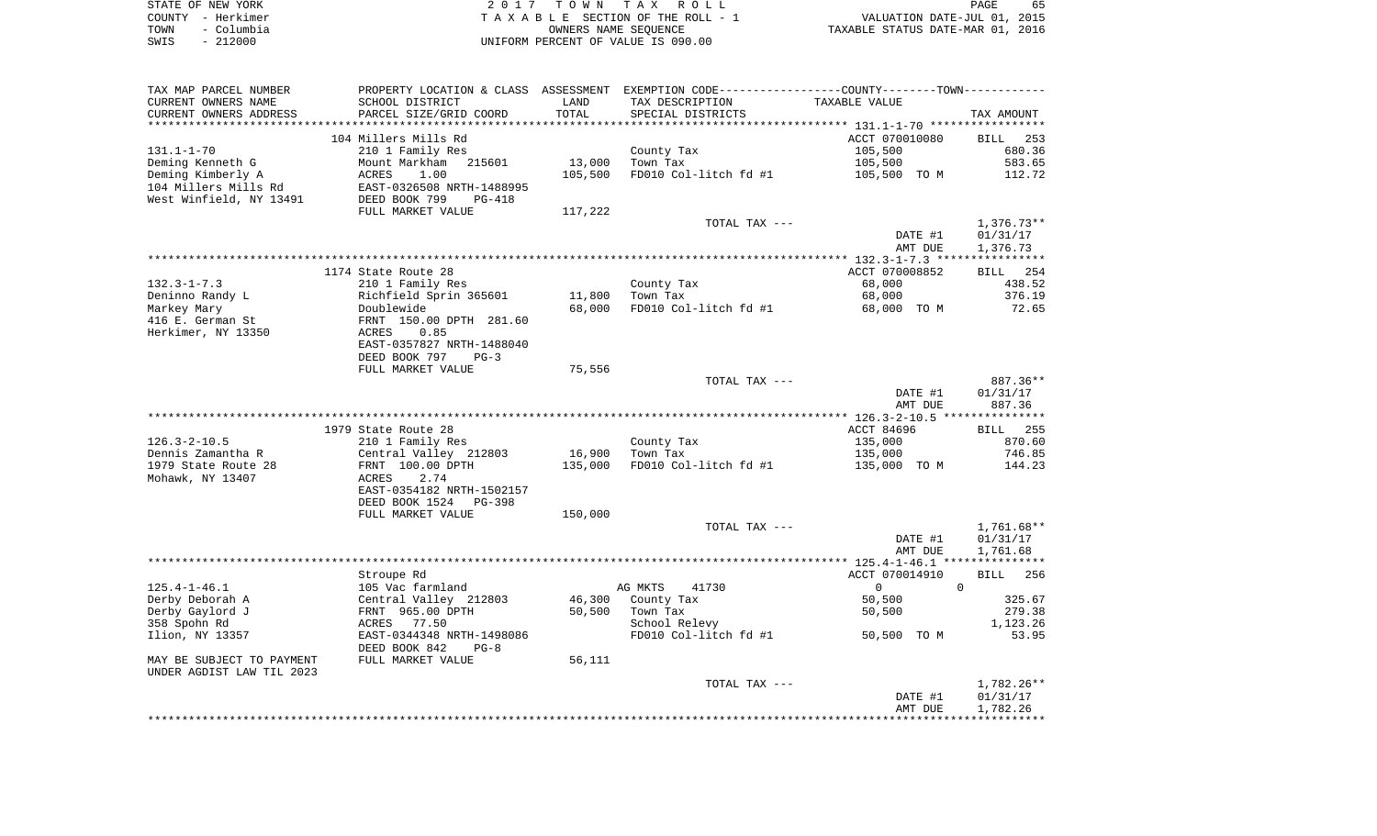| STATE OF NEW YORK  | 2017 TOWN TAX ROLL                 | 65<br>PAGE                       |
|--------------------|------------------------------------|----------------------------------|
| COUNTY - Herkimer  | TAXABLE SECTION OF THE ROLL - 1    | VALUATION DATE-JUL 01, 2015      |
| – Columbia<br>TOWN | OWNERS NAME SEOUENCE               | TAXABLE STATUS DATE-MAR 01, 2016 |
| $-212000$<br>SWIS  | UNIFORM PERCENT OF VALUE IS 090.00 |                                  |

 $65$ <br>2015<br>2016

| TAX MAP PARCEL NUMBER     | PROPERTY LOCATION & CLASS ASSESSMENT EXEMPTION CODE----------------COUNTY--------TOWN----------- |         |                       |                |                 |
|---------------------------|--------------------------------------------------------------------------------------------------|---------|-----------------------|----------------|-----------------|
| CURRENT OWNERS NAME       | SCHOOL DISTRICT                                                                                  | LAND    | TAX DESCRIPTION       | TAXABLE VALUE  |                 |
| CURRENT OWNERS ADDRESS    | PARCEL SIZE/GRID COORD                                                                           | TOTAL   | SPECIAL DISTRICTS     |                | TAX AMOUNT      |
|                           |                                                                                                  |         |                       |                |                 |
|                           | 104 Millers Mills Rd                                                                             |         |                       | ACCT 070010080 | BILL 253        |
| $131.1 - 1 - 70$          | 210 1 Family Res                                                                                 |         | County Tax            | 105,500        | 680.36          |
| Deming Kenneth G          | Mount Markham<br>215601                                                                          | 13,000  | Town Tax              | 105,500        | 583.65          |
| Deming Kimberly A         | 1.00<br>ACRES                                                                                    | 105,500 | FD010 Col-litch fd #1 | 105,500 TO M   | 112.72          |
| 104 Millers Mills Rd      | EAST-0326508 NRTH-1488995                                                                        |         |                       |                |                 |
| West Winfield, NY 13491   | DEED BOOK 799<br>PG-418                                                                          |         |                       |                |                 |
|                           | FULL MARKET VALUE                                                                                | 117,222 |                       |                |                 |
|                           |                                                                                                  |         | TOTAL TAX ---         |                | 1,376.73**      |
|                           |                                                                                                  |         |                       | DATE #1        | 01/31/17        |
|                           |                                                                                                  |         |                       | AMT DUE        | 1,376.73        |
|                           |                                                                                                  |         |                       |                |                 |
|                           | 1174 State Route 28                                                                              |         |                       | ACCT 070008852 | BILL 254        |
| $132.3 - 1 - 7.3$         | 210 1 Family Res                                                                                 |         | County Tax            | 68,000         | 438.52          |
| Deninno Randy L           | Richfield Sprin 365601                                                                           | 11,800  | Town Tax              | 68,000         | 376.19          |
| Markey Mary               | Doublewide                                                                                       | 68,000  | FD010 Col-litch fd #1 | 68,000 TO M    | 72.65           |
| 416 E. German St          | FRNT 150.00 DPTH 281.60                                                                          |         |                       |                |                 |
| Herkimer, NY 13350        | ACRES<br>0.85                                                                                    |         |                       |                |                 |
|                           | EAST-0357827 NRTH-1488040<br>DEED BOOK 797<br>$PG-3$                                             |         |                       |                |                 |
|                           | FULL MARKET VALUE                                                                                | 75,556  |                       |                |                 |
|                           |                                                                                                  |         | TOTAL TAX ---         |                | 887.36**        |
|                           |                                                                                                  |         |                       | DATE #1        | 01/31/17        |
|                           |                                                                                                  |         |                       | AMT DUE        | 887.36          |
|                           |                                                                                                  |         |                       |                |                 |
|                           | 1979 State Route 28                                                                              |         |                       | ACCT 84696     | <b>BILL</b> 255 |
| $126.3 - 2 - 10.5$        | 210 1 Family Res                                                                                 |         | County Tax            | 135,000        | 870.60          |
| Dennis Zamantha R         | Central Valley 212803                                                                            | 16,900  | Town Tax              | 135,000        | 746.85          |
| 1979 State Route 28       | FRNT 100.00 DPTH                                                                                 | 135,000 | FD010 Col-litch fd #1 | 135,000 TO M   | 144.23          |
| Mohawk, NY 13407          | 2.74<br>ACRES                                                                                    |         |                       |                |                 |
|                           | EAST-0354182 NRTH-1502157                                                                        |         |                       |                |                 |
|                           | DEED BOOK 1524<br>PG-398                                                                         |         |                       |                |                 |
|                           | FULL MARKET VALUE                                                                                | 150,000 |                       |                |                 |
|                           |                                                                                                  |         | TOTAL TAX ---         |                | $1,761.68**$    |
|                           |                                                                                                  |         |                       | DATE #1        | 01/31/17        |
|                           |                                                                                                  |         |                       | AMT DUE        | 1,761.68        |
|                           |                                                                                                  |         |                       |                |                 |
|                           | Stroupe Rd                                                                                       |         |                       | ACCT 070014910 | BILL 256        |
| $125.4 - 1 - 46.1$        | 105 Vac farmland                                                                                 |         | AG MKTS<br>41730      | $\mathbf{0}$   | $\Omega$        |
| Derby Deborah A           | Central Valley 212803                                                                            | 46,300  | County Tax            | 50,500         | 325.67          |
| Derby Gaylord J           | FRNT 965.00 DPTH                                                                                 | 50,500  | Town Tax              | 50,500         | 279.38          |
| 358 Spohn Rd              | ACRES 77.50                                                                                      |         | School Relevy         |                | 1,123.26        |
| Ilion, NY 13357           | EAST-0344348 NRTH-1498086                                                                        |         | FD010 Col-litch fd #1 | 50,500 TO M    | 53.95           |
| MAY BE SUBJECT TO PAYMENT | DEED BOOK 842<br>$PG-8$<br>FULL MARKET VALUE                                                     | 56,111  |                       |                |                 |
|                           |                                                                                                  |         |                       |                |                 |
| UNDER AGDIST LAW TIL 2023 |                                                                                                  |         | TOTAL TAX ---         |                | $1,782.26**$    |
|                           |                                                                                                  |         |                       | DATE #1        | 01/31/17        |
|                           |                                                                                                  |         |                       | AMT DUE        | 1,782.26        |
|                           |                                                                                                  |         |                       |                |                 |
|                           |                                                                                                  |         |                       |                |                 |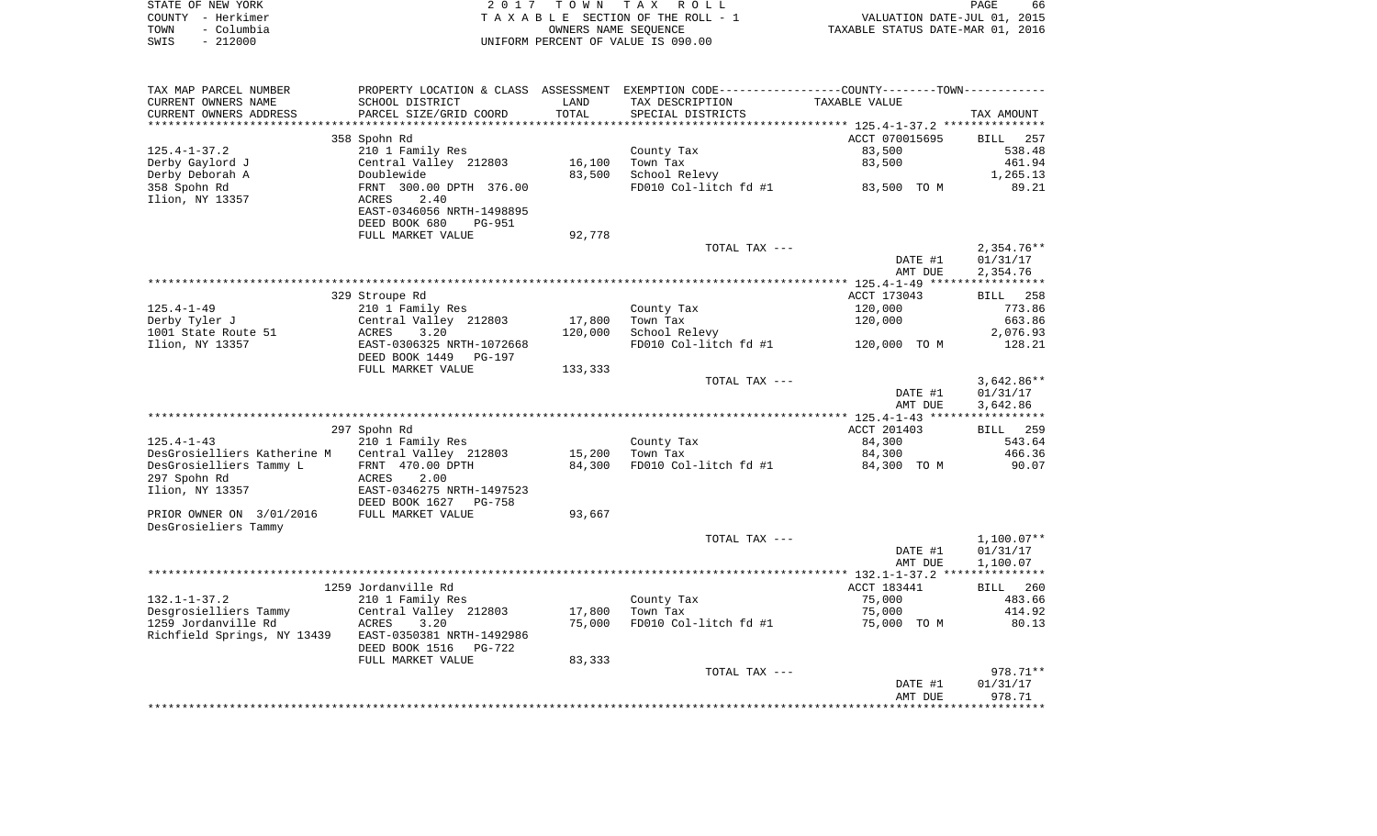| STATE OF NEW YORK  | 2017 TOWN TAX ROLL                 | 66<br><b>PAGE</b>                |
|--------------------|------------------------------------|----------------------------------|
| COUNTY - Herkimer  | TAXABLE SECTION OF THE ROLL - 1    | VALUATION DATE-JUL 01, 2015      |
| – Columbia<br>TOWN | OWNERS NAME SEOUENCE               | TAXABLE STATUS DATE-MAR 01, 2016 |
| $-212000$<br>SWIS  | UNIFORM PERCENT OF VALUE IS 090.00 |                                  |

| TAXABLE VALUE<br>SCHOOL DISTRICT<br>LAND<br>TAX DESCRIPTION<br>TOTAL<br>PARCEL SIZE/GRID COORD<br>SPECIAL DISTRICTS<br>TAX AMOUNT<br>*****************************<br>*********************<br>358 Spohn Rd<br>ACCT 070015695<br><b>BILL</b><br>257<br>210 1 Family Res<br>County Tax<br>83,500<br>538.48<br>Central Valley 212803<br>16,100<br>Town Tax<br>83,500<br>461.94<br>Doublewide<br>83,500<br>School Relevy<br>1,265.13<br>358 Spohn Rd<br>FD010 Col-litch fd #1<br>FRNT 300.00 DPTH 376.00<br>83,500 TO M<br>89.21<br>Ilion, NY 13357<br>2.40<br>ACRES<br>EAST-0346056 NRTH-1498895<br>DEED BOOK 680<br><b>PG-951</b><br>92,778<br>FULL MARKET VALUE<br>$2,354.76**$<br>TOTAL TAX ---<br>DATE #1<br>01/31/17<br>AMT DUE<br>2,354.76<br>329 Stroupe Rd<br>ACCT 173043<br>258<br><b>BILL</b><br>773.86<br>$125.4 - 1 - 49$<br>210 1 Family Res<br>120,000<br>County Tax<br>17,800<br>663.86<br>Derby Tyler J<br>Central Valley 212803<br>Town Tax<br>120,000<br>1001 State Route 51<br>120,000<br>3.20<br>School Relevy<br>2,076.93<br>ACRES<br>Ilion, NY 13357<br>FD010 Col-litch fd #1<br>128.21<br>EAST-0306325 NRTH-1072668<br>120,000 TO M<br>DEED BOOK 1449<br>PG-197<br>FULL MARKET VALUE<br>133,333<br>$3,642.86**$<br>TOTAL TAX ---<br>DATE #1<br>01/31/17<br>3,642.86<br>AMT DUE<br>ACCT 201403<br>297 Spohn Rd<br>259<br>BILL<br>$125.4 - 1 - 43$<br>210 1 Family Res<br>County Tax<br>84,300<br>543.64<br>DesGrosielliers Katherine M<br>Central Valley 212803<br>15,200<br>Town Tax<br>84,300<br>466.36<br>84,300<br>FD010 Col-litch fd #1<br>90.07<br>DesGrosielliers Tammy L<br>FRNT 470.00 DPTH<br>84,300 TO M<br>2.00<br>297 Spohn Rd<br>ACRES<br>Ilion, NY 13357<br>EAST-0346275 NRTH-1497523<br>DEED BOOK 1627<br><b>PG-758</b><br>PRIOR OWNER ON 3/01/2016<br>93,667<br>FULL MARKET VALUE<br>DesGrosieliers Tammy<br>TOTAL TAX ---<br>$1,100.07**$<br>DATE #1<br>01/31/17<br>AMT DUE<br>1,100.07<br>1259 Jordanville Rd<br>ACCT 183441<br>BILL 260<br>75,000<br>483.66<br>210 1 Family Res<br>County Tax<br>Central Valley 212803<br>17,800<br>Town Tax<br>75,000<br>414.92<br>75,000<br>FD010 Col-litch fd #1<br>ACRES<br>3.20<br>75,000 TO M<br>80.13<br>EAST-0350381 NRTH-1492986<br>DEED BOOK 1516<br>PG-722<br>83,333<br>FULL MARKET VALUE<br>978.71**<br>TOTAL TAX ---<br>DATE #1<br>01/31/17<br>978.71<br>AMT DUE | TAX MAP PARCEL NUMBER       |  | PROPERTY LOCATION & CLASS ASSESSMENT EXEMPTION CODE----------------COUNTY-------TOWN----------- |  |
|-------------------------------------------------------------------------------------------------------------------------------------------------------------------------------------------------------------------------------------------------------------------------------------------------------------------------------------------------------------------------------------------------------------------------------------------------------------------------------------------------------------------------------------------------------------------------------------------------------------------------------------------------------------------------------------------------------------------------------------------------------------------------------------------------------------------------------------------------------------------------------------------------------------------------------------------------------------------------------------------------------------------------------------------------------------------------------------------------------------------------------------------------------------------------------------------------------------------------------------------------------------------------------------------------------------------------------------------------------------------------------------------------------------------------------------------------------------------------------------------------------------------------------------------------------------------------------------------------------------------------------------------------------------------------------------------------------------------------------------------------------------------------------------------------------------------------------------------------------------------------------------------------------------------------------------------------------------------------------------------------------------------------------------------------------------------------------------------------------------------------------------------------------------------------------------------------------------------------------------------------------------------------------------------------------------------------------------------------------|-----------------------------|--|-------------------------------------------------------------------------------------------------|--|
|                                                                                                                                                                                                                                                                                                                                                                                                                                                                                                                                                                                                                                                                                                                                                                                                                                                                                                                                                                                                                                                                                                                                                                                                                                                                                                                                                                                                                                                                                                                                                                                                                                                                                                                                                                                                                                                                                                                                                                                                                                                                                                                                                                                                                                                                                                                                                       | CURRENT OWNERS NAME         |  |                                                                                                 |  |
|                                                                                                                                                                                                                                                                                                                                                                                                                                                                                                                                                                                                                                                                                                                                                                                                                                                                                                                                                                                                                                                                                                                                                                                                                                                                                                                                                                                                                                                                                                                                                                                                                                                                                                                                                                                                                                                                                                                                                                                                                                                                                                                                                                                                                                                                                                                                                       | CURRENT OWNERS ADDRESS      |  |                                                                                                 |  |
|                                                                                                                                                                                                                                                                                                                                                                                                                                                                                                                                                                                                                                                                                                                                                                                                                                                                                                                                                                                                                                                                                                                                                                                                                                                                                                                                                                                                                                                                                                                                                                                                                                                                                                                                                                                                                                                                                                                                                                                                                                                                                                                                                                                                                                                                                                                                                       |                             |  |                                                                                                 |  |
|                                                                                                                                                                                                                                                                                                                                                                                                                                                                                                                                                                                                                                                                                                                                                                                                                                                                                                                                                                                                                                                                                                                                                                                                                                                                                                                                                                                                                                                                                                                                                                                                                                                                                                                                                                                                                                                                                                                                                                                                                                                                                                                                                                                                                                                                                                                                                       |                             |  |                                                                                                 |  |
|                                                                                                                                                                                                                                                                                                                                                                                                                                                                                                                                                                                                                                                                                                                                                                                                                                                                                                                                                                                                                                                                                                                                                                                                                                                                                                                                                                                                                                                                                                                                                                                                                                                                                                                                                                                                                                                                                                                                                                                                                                                                                                                                                                                                                                                                                                                                                       | $125.4 - 1 - 37.2$          |  |                                                                                                 |  |
|                                                                                                                                                                                                                                                                                                                                                                                                                                                                                                                                                                                                                                                                                                                                                                                                                                                                                                                                                                                                                                                                                                                                                                                                                                                                                                                                                                                                                                                                                                                                                                                                                                                                                                                                                                                                                                                                                                                                                                                                                                                                                                                                                                                                                                                                                                                                                       | Derby Gaylord J             |  |                                                                                                 |  |
|                                                                                                                                                                                                                                                                                                                                                                                                                                                                                                                                                                                                                                                                                                                                                                                                                                                                                                                                                                                                                                                                                                                                                                                                                                                                                                                                                                                                                                                                                                                                                                                                                                                                                                                                                                                                                                                                                                                                                                                                                                                                                                                                                                                                                                                                                                                                                       | Derby Deborah A             |  |                                                                                                 |  |
|                                                                                                                                                                                                                                                                                                                                                                                                                                                                                                                                                                                                                                                                                                                                                                                                                                                                                                                                                                                                                                                                                                                                                                                                                                                                                                                                                                                                                                                                                                                                                                                                                                                                                                                                                                                                                                                                                                                                                                                                                                                                                                                                                                                                                                                                                                                                                       |                             |  |                                                                                                 |  |
|                                                                                                                                                                                                                                                                                                                                                                                                                                                                                                                                                                                                                                                                                                                                                                                                                                                                                                                                                                                                                                                                                                                                                                                                                                                                                                                                                                                                                                                                                                                                                                                                                                                                                                                                                                                                                                                                                                                                                                                                                                                                                                                                                                                                                                                                                                                                                       |                             |  |                                                                                                 |  |
|                                                                                                                                                                                                                                                                                                                                                                                                                                                                                                                                                                                                                                                                                                                                                                                                                                                                                                                                                                                                                                                                                                                                                                                                                                                                                                                                                                                                                                                                                                                                                                                                                                                                                                                                                                                                                                                                                                                                                                                                                                                                                                                                                                                                                                                                                                                                                       |                             |  |                                                                                                 |  |
|                                                                                                                                                                                                                                                                                                                                                                                                                                                                                                                                                                                                                                                                                                                                                                                                                                                                                                                                                                                                                                                                                                                                                                                                                                                                                                                                                                                                                                                                                                                                                                                                                                                                                                                                                                                                                                                                                                                                                                                                                                                                                                                                                                                                                                                                                                                                                       |                             |  |                                                                                                 |  |
|                                                                                                                                                                                                                                                                                                                                                                                                                                                                                                                                                                                                                                                                                                                                                                                                                                                                                                                                                                                                                                                                                                                                                                                                                                                                                                                                                                                                                                                                                                                                                                                                                                                                                                                                                                                                                                                                                                                                                                                                                                                                                                                                                                                                                                                                                                                                                       |                             |  |                                                                                                 |  |
|                                                                                                                                                                                                                                                                                                                                                                                                                                                                                                                                                                                                                                                                                                                                                                                                                                                                                                                                                                                                                                                                                                                                                                                                                                                                                                                                                                                                                                                                                                                                                                                                                                                                                                                                                                                                                                                                                                                                                                                                                                                                                                                                                                                                                                                                                                                                                       |                             |  |                                                                                                 |  |
|                                                                                                                                                                                                                                                                                                                                                                                                                                                                                                                                                                                                                                                                                                                                                                                                                                                                                                                                                                                                                                                                                                                                                                                                                                                                                                                                                                                                                                                                                                                                                                                                                                                                                                                                                                                                                                                                                                                                                                                                                                                                                                                                                                                                                                                                                                                                                       |                             |  |                                                                                                 |  |
|                                                                                                                                                                                                                                                                                                                                                                                                                                                                                                                                                                                                                                                                                                                                                                                                                                                                                                                                                                                                                                                                                                                                                                                                                                                                                                                                                                                                                                                                                                                                                                                                                                                                                                                                                                                                                                                                                                                                                                                                                                                                                                                                                                                                                                                                                                                                                       |                             |  |                                                                                                 |  |
|                                                                                                                                                                                                                                                                                                                                                                                                                                                                                                                                                                                                                                                                                                                                                                                                                                                                                                                                                                                                                                                                                                                                                                                                                                                                                                                                                                                                                                                                                                                                                                                                                                                                                                                                                                                                                                                                                                                                                                                                                                                                                                                                                                                                                                                                                                                                                       |                             |  |                                                                                                 |  |
|                                                                                                                                                                                                                                                                                                                                                                                                                                                                                                                                                                                                                                                                                                                                                                                                                                                                                                                                                                                                                                                                                                                                                                                                                                                                                                                                                                                                                                                                                                                                                                                                                                                                                                                                                                                                                                                                                                                                                                                                                                                                                                                                                                                                                                                                                                                                                       |                             |  |                                                                                                 |  |
|                                                                                                                                                                                                                                                                                                                                                                                                                                                                                                                                                                                                                                                                                                                                                                                                                                                                                                                                                                                                                                                                                                                                                                                                                                                                                                                                                                                                                                                                                                                                                                                                                                                                                                                                                                                                                                                                                                                                                                                                                                                                                                                                                                                                                                                                                                                                                       |                             |  |                                                                                                 |  |
|                                                                                                                                                                                                                                                                                                                                                                                                                                                                                                                                                                                                                                                                                                                                                                                                                                                                                                                                                                                                                                                                                                                                                                                                                                                                                                                                                                                                                                                                                                                                                                                                                                                                                                                                                                                                                                                                                                                                                                                                                                                                                                                                                                                                                                                                                                                                                       |                             |  |                                                                                                 |  |
|                                                                                                                                                                                                                                                                                                                                                                                                                                                                                                                                                                                                                                                                                                                                                                                                                                                                                                                                                                                                                                                                                                                                                                                                                                                                                                                                                                                                                                                                                                                                                                                                                                                                                                                                                                                                                                                                                                                                                                                                                                                                                                                                                                                                                                                                                                                                                       |                             |  |                                                                                                 |  |
|                                                                                                                                                                                                                                                                                                                                                                                                                                                                                                                                                                                                                                                                                                                                                                                                                                                                                                                                                                                                                                                                                                                                                                                                                                                                                                                                                                                                                                                                                                                                                                                                                                                                                                                                                                                                                                                                                                                                                                                                                                                                                                                                                                                                                                                                                                                                                       |                             |  |                                                                                                 |  |
|                                                                                                                                                                                                                                                                                                                                                                                                                                                                                                                                                                                                                                                                                                                                                                                                                                                                                                                                                                                                                                                                                                                                                                                                                                                                                                                                                                                                                                                                                                                                                                                                                                                                                                                                                                                                                                                                                                                                                                                                                                                                                                                                                                                                                                                                                                                                                       |                             |  |                                                                                                 |  |
|                                                                                                                                                                                                                                                                                                                                                                                                                                                                                                                                                                                                                                                                                                                                                                                                                                                                                                                                                                                                                                                                                                                                                                                                                                                                                                                                                                                                                                                                                                                                                                                                                                                                                                                                                                                                                                                                                                                                                                                                                                                                                                                                                                                                                                                                                                                                                       |                             |  |                                                                                                 |  |
|                                                                                                                                                                                                                                                                                                                                                                                                                                                                                                                                                                                                                                                                                                                                                                                                                                                                                                                                                                                                                                                                                                                                                                                                                                                                                                                                                                                                                                                                                                                                                                                                                                                                                                                                                                                                                                                                                                                                                                                                                                                                                                                                                                                                                                                                                                                                                       |                             |  |                                                                                                 |  |
|                                                                                                                                                                                                                                                                                                                                                                                                                                                                                                                                                                                                                                                                                                                                                                                                                                                                                                                                                                                                                                                                                                                                                                                                                                                                                                                                                                                                                                                                                                                                                                                                                                                                                                                                                                                                                                                                                                                                                                                                                                                                                                                                                                                                                                                                                                                                                       |                             |  |                                                                                                 |  |
|                                                                                                                                                                                                                                                                                                                                                                                                                                                                                                                                                                                                                                                                                                                                                                                                                                                                                                                                                                                                                                                                                                                                                                                                                                                                                                                                                                                                                                                                                                                                                                                                                                                                                                                                                                                                                                                                                                                                                                                                                                                                                                                                                                                                                                                                                                                                                       |                             |  |                                                                                                 |  |
|                                                                                                                                                                                                                                                                                                                                                                                                                                                                                                                                                                                                                                                                                                                                                                                                                                                                                                                                                                                                                                                                                                                                                                                                                                                                                                                                                                                                                                                                                                                                                                                                                                                                                                                                                                                                                                                                                                                                                                                                                                                                                                                                                                                                                                                                                                                                                       |                             |  |                                                                                                 |  |
|                                                                                                                                                                                                                                                                                                                                                                                                                                                                                                                                                                                                                                                                                                                                                                                                                                                                                                                                                                                                                                                                                                                                                                                                                                                                                                                                                                                                                                                                                                                                                                                                                                                                                                                                                                                                                                                                                                                                                                                                                                                                                                                                                                                                                                                                                                                                                       |                             |  |                                                                                                 |  |
|                                                                                                                                                                                                                                                                                                                                                                                                                                                                                                                                                                                                                                                                                                                                                                                                                                                                                                                                                                                                                                                                                                                                                                                                                                                                                                                                                                                                                                                                                                                                                                                                                                                                                                                                                                                                                                                                                                                                                                                                                                                                                                                                                                                                                                                                                                                                                       |                             |  |                                                                                                 |  |
|                                                                                                                                                                                                                                                                                                                                                                                                                                                                                                                                                                                                                                                                                                                                                                                                                                                                                                                                                                                                                                                                                                                                                                                                                                                                                                                                                                                                                                                                                                                                                                                                                                                                                                                                                                                                                                                                                                                                                                                                                                                                                                                                                                                                                                                                                                                                                       |                             |  |                                                                                                 |  |
|                                                                                                                                                                                                                                                                                                                                                                                                                                                                                                                                                                                                                                                                                                                                                                                                                                                                                                                                                                                                                                                                                                                                                                                                                                                                                                                                                                                                                                                                                                                                                                                                                                                                                                                                                                                                                                                                                                                                                                                                                                                                                                                                                                                                                                                                                                                                                       |                             |  |                                                                                                 |  |
|                                                                                                                                                                                                                                                                                                                                                                                                                                                                                                                                                                                                                                                                                                                                                                                                                                                                                                                                                                                                                                                                                                                                                                                                                                                                                                                                                                                                                                                                                                                                                                                                                                                                                                                                                                                                                                                                                                                                                                                                                                                                                                                                                                                                                                                                                                                                                       |                             |  |                                                                                                 |  |
|                                                                                                                                                                                                                                                                                                                                                                                                                                                                                                                                                                                                                                                                                                                                                                                                                                                                                                                                                                                                                                                                                                                                                                                                                                                                                                                                                                                                                                                                                                                                                                                                                                                                                                                                                                                                                                                                                                                                                                                                                                                                                                                                                                                                                                                                                                                                                       |                             |  |                                                                                                 |  |
|                                                                                                                                                                                                                                                                                                                                                                                                                                                                                                                                                                                                                                                                                                                                                                                                                                                                                                                                                                                                                                                                                                                                                                                                                                                                                                                                                                                                                                                                                                                                                                                                                                                                                                                                                                                                                                                                                                                                                                                                                                                                                                                                                                                                                                                                                                                                                       |                             |  |                                                                                                 |  |
|                                                                                                                                                                                                                                                                                                                                                                                                                                                                                                                                                                                                                                                                                                                                                                                                                                                                                                                                                                                                                                                                                                                                                                                                                                                                                                                                                                                                                                                                                                                                                                                                                                                                                                                                                                                                                                                                                                                                                                                                                                                                                                                                                                                                                                                                                                                                                       |                             |  |                                                                                                 |  |
|                                                                                                                                                                                                                                                                                                                                                                                                                                                                                                                                                                                                                                                                                                                                                                                                                                                                                                                                                                                                                                                                                                                                                                                                                                                                                                                                                                                                                                                                                                                                                                                                                                                                                                                                                                                                                                                                                                                                                                                                                                                                                                                                                                                                                                                                                                                                                       |                             |  |                                                                                                 |  |
|                                                                                                                                                                                                                                                                                                                                                                                                                                                                                                                                                                                                                                                                                                                                                                                                                                                                                                                                                                                                                                                                                                                                                                                                                                                                                                                                                                                                                                                                                                                                                                                                                                                                                                                                                                                                                                                                                                                                                                                                                                                                                                                                                                                                                                                                                                                                                       |                             |  |                                                                                                 |  |
|                                                                                                                                                                                                                                                                                                                                                                                                                                                                                                                                                                                                                                                                                                                                                                                                                                                                                                                                                                                                                                                                                                                                                                                                                                                                                                                                                                                                                                                                                                                                                                                                                                                                                                                                                                                                                                                                                                                                                                                                                                                                                                                                                                                                                                                                                                                                                       |                             |  |                                                                                                 |  |
|                                                                                                                                                                                                                                                                                                                                                                                                                                                                                                                                                                                                                                                                                                                                                                                                                                                                                                                                                                                                                                                                                                                                                                                                                                                                                                                                                                                                                                                                                                                                                                                                                                                                                                                                                                                                                                                                                                                                                                                                                                                                                                                                                                                                                                                                                                                                                       |                             |  |                                                                                                 |  |
|                                                                                                                                                                                                                                                                                                                                                                                                                                                                                                                                                                                                                                                                                                                                                                                                                                                                                                                                                                                                                                                                                                                                                                                                                                                                                                                                                                                                                                                                                                                                                                                                                                                                                                                                                                                                                                                                                                                                                                                                                                                                                                                                                                                                                                                                                                                                                       |                             |  |                                                                                                 |  |
|                                                                                                                                                                                                                                                                                                                                                                                                                                                                                                                                                                                                                                                                                                                                                                                                                                                                                                                                                                                                                                                                                                                                                                                                                                                                                                                                                                                                                                                                                                                                                                                                                                                                                                                                                                                                                                                                                                                                                                                                                                                                                                                                                                                                                                                                                                                                                       |                             |  |                                                                                                 |  |
|                                                                                                                                                                                                                                                                                                                                                                                                                                                                                                                                                                                                                                                                                                                                                                                                                                                                                                                                                                                                                                                                                                                                                                                                                                                                                                                                                                                                                                                                                                                                                                                                                                                                                                                                                                                                                                                                                                                                                                                                                                                                                                                                                                                                                                                                                                                                                       |                             |  |                                                                                                 |  |
|                                                                                                                                                                                                                                                                                                                                                                                                                                                                                                                                                                                                                                                                                                                                                                                                                                                                                                                                                                                                                                                                                                                                                                                                                                                                                                                                                                                                                                                                                                                                                                                                                                                                                                                                                                                                                                                                                                                                                                                                                                                                                                                                                                                                                                                                                                                                                       | $132.1 - 1 - 37.2$          |  |                                                                                                 |  |
|                                                                                                                                                                                                                                                                                                                                                                                                                                                                                                                                                                                                                                                                                                                                                                                                                                                                                                                                                                                                                                                                                                                                                                                                                                                                                                                                                                                                                                                                                                                                                                                                                                                                                                                                                                                                                                                                                                                                                                                                                                                                                                                                                                                                                                                                                                                                                       | Desgrosielliers Tammy       |  |                                                                                                 |  |
|                                                                                                                                                                                                                                                                                                                                                                                                                                                                                                                                                                                                                                                                                                                                                                                                                                                                                                                                                                                                                                                                                                                                                                                                                                                                                                                                                                                                                                                                                                                                                                                                                                                                                                                                                                                                                                                                                                                                                                                                                                                                                                                                                                                                                                                                                                                                                       | 1259 Jordanville Rd         |  |                                                                                                 |  |
|                                                                                                                                                                                                                                                                                                                                                                                                                                                                                                                                                                                                                                                                                                                                                                                                                                                                                                                                                                                                                                                                                                                                                                                                                                                                                                                                                                                                                                                                                                                                                                                                                                                                                                                                                                                                                                                                                                                                                                                                                                                                                                                                                                                                                                                                                                                                                       | Richfield Springs, NY 13439 |  |                                                                                                 |  |
|                                                                                                                                                                                                                                                                                                                                                                                                                                                                                                                                                                                                                                                                                                                                                                                                                                                                                                                                                                                                                                                                                                                                                                                                                                                                                                                                                                                                                                                                                                                                                                                                                                                                                                                                                                                                                                                                                                                                                                                                                                                                                                                                                                                                                                                                                                                                                       |                             |  |                                                                                                 |  |
|                                                                                                                                                                                                                                                                                                                                                                                                                                                                                                                                                                                                                                                                                                                                                                                                                                                                                                                                                                                                                                                                                                                                                                                                                                                                                                                                                                                                                                                                                                                                                                                                                                                                                                                                                                                                                                                                                                                                                                                                                                                                                                                                                                                                                                                                                                                                                       |                             |  |                                                                                                 |  |
|                                                                                                                                                                                                                                                                                                                                                                                                                                                                                                                                                                                                                                                                                                                                                                                                                                                                                                                                                                                                                                                                                                                                                                                                                                                                                                                                                                                                                                                                                                                                                                                                                                                                                                                                                                                                                                                                                                                                                                                                                                                                                                                                                                                                                                                                                                                                                       |                             |  |                                                                                                 |  |
|                                                                                                                                                                                                                                                                                                                                                                                                                                                                                                                                                                                                                                                                                                                                                                                                                                                                                                                                                                                                                                                                                                                                                                                                                                                                                                                                                                                                                                                                                                                                                                                                                                                                                                                                                                                                                                                                                                                                                                                                                                                                                                                                                                                                                                                                                                                                                       |                             |  |                                                                                                 |  |
|                                                                                                                                                                                                                                                                                                                                                                                                                                                                                                                                                                                                                                                                                                                                                                                                                                                                                                                                                                                                                                                                                                                                                                                                                                                                                                                                                                                                                                                                                                                                                                                                                                                                                                                                                                                                                                                                                                                                                                                                                                                                                                                                                                                                                                                                                                                                                       |                             |  |                                                                                                 |  |
|                                                                                                                                                                                                                                                                                                                                                                                                                                                                                                                                                                                                                                                                                                                                                                                                                                                                                                                                                                                                                                                                                                                                                                                                                                                                                                                                                                                                                                                                                                                                                                                                                                                                                                                                                                                                                                                                                                                                                                                                                                                                                                                                                                                                                                                                                                                                                       |                             |  |                                                                                                 |  |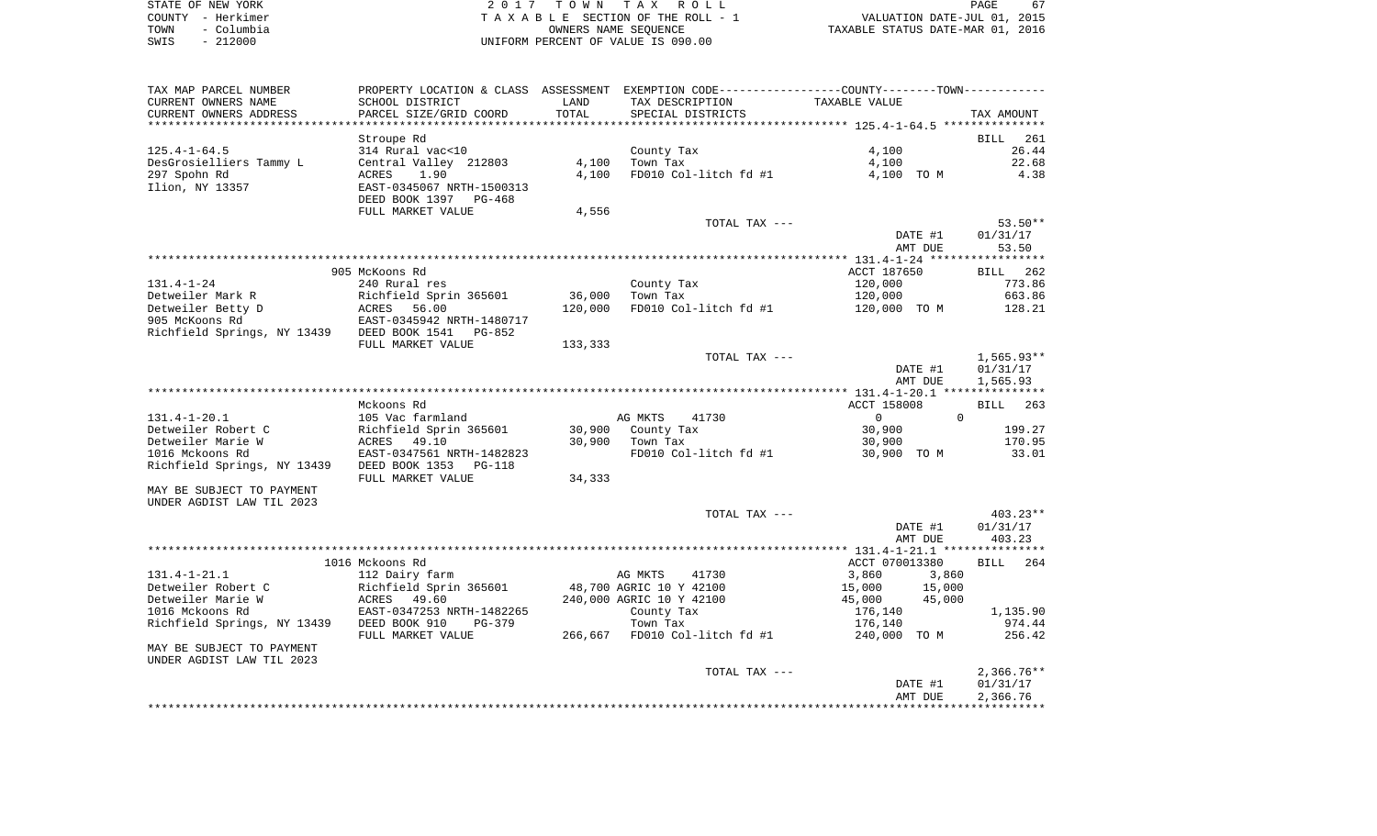| STATE OF NEW YORK  | 2017 TOWN TAX ROLL                 | PAGE                             |
|--------------------|------------------------------------|----------------------------------|
| COUNTY - Herkimer  | TAXABLE SECTION OF THE ROLL - 1    | VALUATION DATE-JUL 01, 2015      |
| - Columbia<br>TOWN | OWNERS NAME SEOUENCE               | TAXABLE STATUS DATE-MAR 01, 2016 |
| $-212000$<br>SWIS  | UNIFORM PERCENT OF VALUE IS 090.00 |                                  |

| TAX MAP PARCEL NUMBER                                  |                                 |         | PROPERTY LOCATION & CLASS ASSESSMENT EXEMPTION CODE---------------COUNTY-------TOWN---------- |                      |                    |
|--------------------------------------------------------|---------------------------------|---------|-----------------------------------------------------------------------------------------------|----------------------|--------------------|
| CURRENT OWNERS NAME                                    | SCHOOL DISTRICT                 | LAND    | TAX DESCRIPTION                                                                               | TAXABLE VALUE        |                    |
| CURRENT OWNERS ADDRESS                                 | PARCEL SIZE/GRID COORD          | TOTAL   | SPECIAL DISTRICTS                                                                             |                      | TAX AMOUNT         |
| *********************                                  | ************************        |         |                                                                                               |                      |                    |
|                                                        | Stroupe Rd                      |         |                                                                                               |                      | <b>BILL</b><br>261 |
| $125.4 - 1 - 64.5$                                     | 314 Rural vac<10                |         | County Tax                                                                                    | 4,100                | 26.44              |
| DesGrosielliers Tammy L                                | Central Valley 212803           | 4,100   | Town Tax                                                                                      | 4,100                | 22.68              |
| 297 Spohn Rd                                           | ACRES<br>1.90                   | 4,100   | FD010 Col-litch fd #1                                                                         | 4,100 TO M           | 4.38               |
| Ilion, NY 13357                                        | EAST-0345067 NRTH-1500313       |         |                                                                                               |                      |                    |
|                                                        | DEED BOOK 1397 PG-468           |         |                                                                                               |                      |                    |
|                                                        | FULL MARKET VALUE               | 4,556   |                                                                                               |                      |                    |
|                                                        |                                 |         | TOTAL TAX ---                                                                                 |                      | $53.50**$          |
|                                                        |                                 |         |                                                                                               | DATE #1              | 01/31/17           |
|                                                        |                                 |         |                                                                                               | AMT DUE              | 53.50              |
|                                                        |                                 |         |                                                                                               |                      |                    |
|                                                        | 905 McKoons Rd                  |         |                                                                                               | ACCT 187650          | BILL 262           |
| $131.4 - 1 - 24$                                       | 240 Rural res                   |         | County Tax                                                                                    | 120,000              | 773.86             |
| Detweiler Mark R                                       | Richfield Sprin 365601          | 36,000  | Town Tax                                                                                      | 120,000              | 663.86             |
| Detweiler Betty D                                      | 56.00<br>ACRES                  | 120,000 | FD010 Col-litch fd #1                                                                         | 120,000 TO M         | 128.21             |
| 905 McKoons Rd                                         | EAST-0345942 NRTH-1480717       |         |                                                                                               |                      |                    |
| Richfield Springs, NY 13439 DEED BOOK 1541             | PG-852                          |         |                                                                                               |                      |                    |
|                                                        | FULL MARKET VALUE               | 133,333 |                                                                                               |                      |                    |
|                                                        |                                 |         | TOTAL TAX ---                                                                                 |                      | $1,565.93**$       |
|                                                        |                                 |         |                                                                                               | DATE #1              | 01/31/17           |
|                                                        |                                 |         |                                                                                               | AMT DUE              | 1,565.93           |
|                                                        |                                 |         |                                                                                               |                      |                    |
|                                                        | Mckoons Rd                      |         |                                                                                               | ACCT 158008          | <b>BILL</b><br>263 |
| $131.4 - 1 - 20.1$                                     | 105 Vac farmland                |         | AG MKTS<br>41730                                                                              | $\Omega$<br>$\Omega$ |                    |
| Detweiler Robert C                                     | Richfield Sprin 365601          | 30,900  | County Tax                                                                                    | 30,900               | 199.27             |
| Detweiler Marie W                                      | ACRES 49.10                     | 30,900  | Town Tax                                                                                      | 30,900               | 170.95             |
| 1016 Mckoons Rd                                        | EAST-0347561 NRTH-1482823       |         | FD010 Col-litch fd #1                                                                         | 30,900 TO M          | 33.01              |
| Richfield Springs, NY 13439                            | DEED BOOK 1353<br><b>PG-118</b> |         |                                                                                               |                      |                    |
|                                                        | FULL MARKET VALUE               | 34,333  |                                                                                               |                      |                    |
| MAY BE SUBJECT TO PAYMENT<br>UNDER AGDIST LAW TIL 2023 |                                 |         |                                                                                               |                      |                    |
|                                                        |                                 |         | TOTAL TAX ---                                                                                 |                      | 403.23**           |
|                                                        |                                 |         |                                                                                               | DATE #1              | 01/31/17           |
|                                                        |                                 |         |                                                                                               | AMT DUE              | 403.23             |
|                                                        |                                 |         |                                                                                               |                      |                    |
|                                                        | 1016 Mckoons Rd                 |         |                                                                                               | ACCT 070013380       | 264<br>BILL        |
| $131.4 - 1 - 21.1$                                     | 112 Dairy farm                  |         | AG MKTS<br>41730                                                                              | 3,860<br>3,860       |                    |
| Detweiler Robert C                                     | Richfield Sprin 365601          |         | 48,700 AGRIC 10 Y 42100                                                                       | 15,000<br>15,000     |                    |
| Detweiler Marie W                                      | 49.60<br>ACRES                  |         | 240,000 AGRIC 10 Y 42100                                                                      | 45,000<br>45,000     |                    |
| 1016 Mckoons Rd                                        | EAST-0347253 NRTH-1482265       |         | County Tax                                                                                    | 176,140              | 1,135.90           |
| Richfield Springs, NY 13439                            | DEED BOOK 910<br>$PG-379$       |         | Town Tax                                                                                      | 176,140              | 974.44             |
|                                                        | FULL MARKET VALUE               |         | 266,667 FD010 Col-litch fd #1                                                                 | 240,000 TO M         | 256.42             |
| MAY BE SUBJECT TO PAYMENT                              |                                 |         |                                                                                               |                      |                    |
| UNDER AGDIST LAW TIL 2023                              |                                 |         |                                                                                               |                      |                    |
|                                                        |                                 |         | TOTAL TAX ---                                                                                 |                      | $2,366.76**$       |
|                                                        |                                 |         |                                                                                               | DATE #1              | 01/31/17           |
|                                                        |                                 |         |                                                                                               | AMT DUE              | 2,366.76           |
|                                                        |                                 |         |                                                                                               |                      | *************      |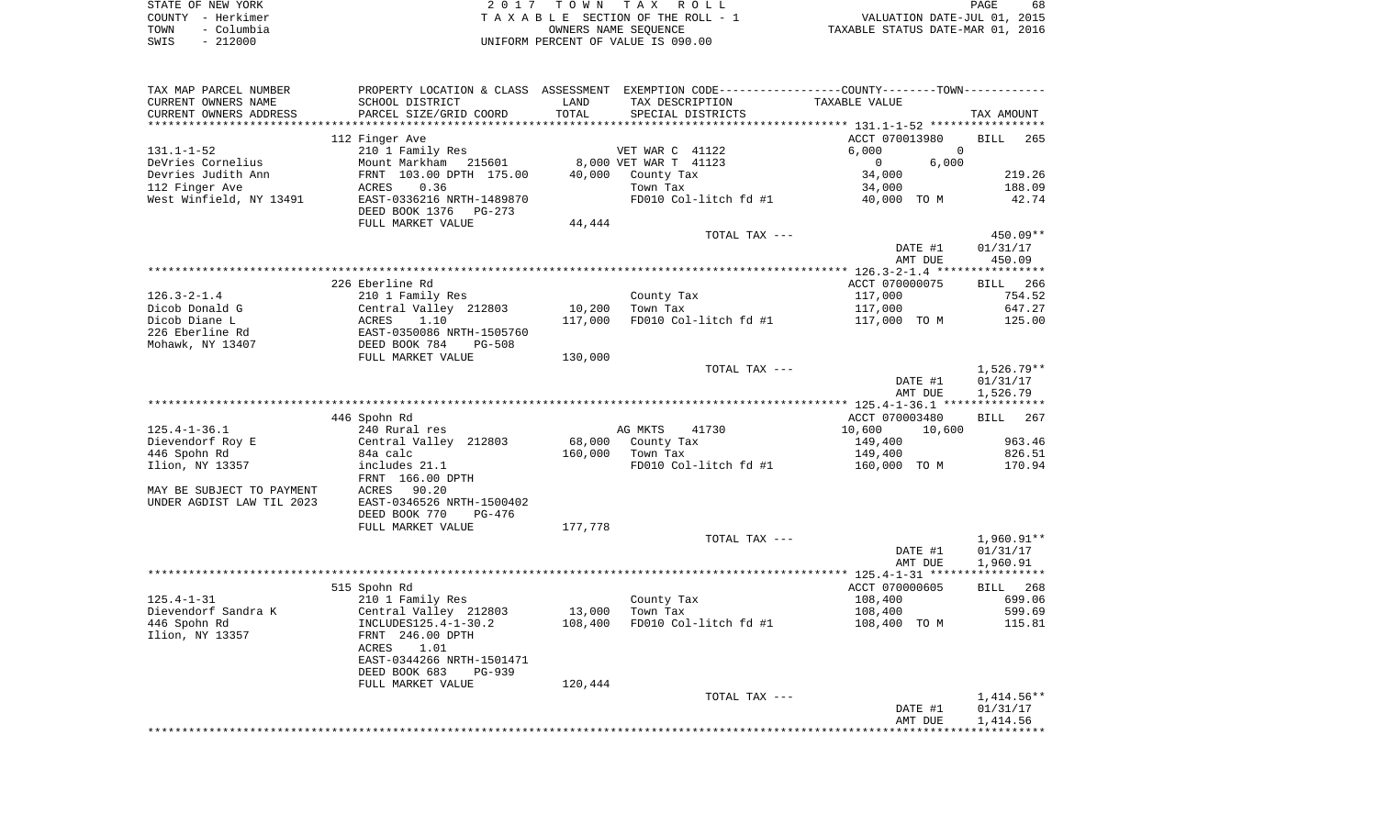|      | STATE OF NEW YORK | 2017 TOWN TAX ROLL                 | 68<br>PAGE                       |
|------|-------------------|------------------------------------|----------------------------------|
|      | COUNTY - Herkimer | TAXABLE SECTION OF THE ROLL - 1    | VALUATION DATE-JUL 01, 2015      |
| TOWN | - Columbia        | OWNERS NAME SEOUENCE               | TAXABLE STATUS DATE-MAR 01, 2016 |
| SWIS | $-212000$         | UNIFORM PERCENT OF VALUE IS 090.00 |                                  |

| TAX MAP PARCEL NUMBER               |                                                       |                   | PROPERTY LOCATION & CLASS ASSESSMENT EXEMPTION CODE---------------COUNTY-------TOWN---------- |                         |                                  |
|-------------------------------------|-------------------------------------------------------|-------------------|-----------------------------------------------------------------------------------------------|-------------------------|----------------------------------|
| CURRENT OWNERS NAME                 | SCHOOL DISTRICT                                       | LAND              | TAX DESCRIPTION                                                                               | TAXABLE VALUE           |                                  |
| CURRENT OWNERS ADDRESS              | PARCEL SIZE/GRID COORD                                | TOTAL             | SPECIAL DISTRICTS                                                                             |                         | TAX AMOUNT                       |
|                                     | 112 Finger Ave                                        |                   |                                                                                               | ACCT 070013980          | <b>BILL</b><br>265               |
| $131.1 - 1 - 52$                    | 210 1 Family Res                                      |                   | VET WAR C 41122                                                                               | 6,000<br>$\mathbf 0$    |                                  |
| DeVries Cornelius                   | Mount Markham<br>215601                               |                   | 8,000 VET WAR T 41123                                                                         | 6,000<br>$\overline{0}$ |                                  |
| Devries Judith Ann                  | FRNT 103.00 DPTH 175.00                               | 40,000            | County Tax                                                                                    | 34,000                  | 219.26                           |
| 112 Finger Ave                      | 0.36<br>ACRES                                         |                   | Town Tax                                                                                      | 34,000                  | 188.09                           |
| West Winfield, NY 13491             | EAST-0336216 NRTH-1489870<br>DEED BOOK 1376<br>PG-273 |                   | FD010 Col-litch fd #1                                                                         | 40,000 TO M             | 42.74                            |
|                                     | FULL MARKET VALUE                                     | 44,444            |                                                                                               |                         |                                  |
|                                     |                                                       |                   | TOTAL TAX ---                                                                                 | DATE #1<br>AMT DUE      | $450.09**$<br>01/31/17<br>450.09 |
|                                     |                                                       |                   |                                                                                               |                         |                                  |
|                                     | 226 Eberline Rd                                       |                   |                                                                                               | ACCT 070000075          | BILL<br>266                      |
| $126.3 - 2 - 1.4$                   | 210 1 Family Res                                      |                   | County Tax                                                                                    | 117,000                 | 754.52                           |
| Dicob Donald G                      | Central Valley 212803                                 | 10,200            | Town Tax                                                                                      | 117,000                 | 647.27                           |
| Dicob Diane L                       | ACRES<br>1.10                                         | 117,000           | FD010 Col-litch fd #1                                                                         | 117,000 TO M            | 125.00                           |
| 226 Eberline Rd                     | EAST-0350086 NRTH-1505760                             |                   |                                                                                               |                         |                                  |
| Mohawk, NY 13407                    | DEED BOOK 784<br>PG-508<br>FULL MARKET VALUE          | 130,000           |                                                                                               |                         |                                  |
|                                     |                                                       |                   | TOTAL TAX ---                                                                                 |                         | $1,526.79**$                     |
|                                     |                                                       |                   |                                                                                               | DATE #1                 | 01/31/17                         |
|                                     |                                                       |                   |                                                                                               | AMT DUE                 | 1,526.79                         |
|                                     |                                                       |                   |                                                                                               |                         |                                  |
|                                     | 446 Spohn Rd                                          |                   |                                                                                               | ACCT 070003480          | BILL 267                         |
| $125.4 - 1 - 36.1$                  | 240 Rural res                                         |                   | AG MKTS<br>41730                                                                              | 10,600<br>10,600        |                                  |
| Dievendorf Roy E                    | Central Valley 212803                                 | 68,000            | County Tax                                                                                    | 149,400                 | 963.46                           |
| 446 Spohn Rd                        | 84a calc                                              | 160,000           | Town Tax                                                                                      | 149,400                 | 826.51                           |
| Ilion, NY 13357                     | includes 21.1                                         |                   | FD010 Col-litch fd #1                                                                         | 160,000 TO M            | 170.94                           |
| MAY BE SUBJECT TO PAYMENT           | FRNT 166.00 DPTH<br>90.20<br>ACRES                    |                   |                                                                                               |                         |                                  |
| UNDER AGDIST LAW TIL 2023           | EAST-0346526 NRTH-1500402                             |                   |                                                                                               |                         |                                  |
|                                     | DEED BOOK 770<br>PG-476                               |                   |                                                                                               |                         |                                  |
|                                     | FULL MARKET VALUE                                     | 177,778           |                                                                                               |                         |                                  |
|                                     |                                                       |                   | TOTAL TAX ---                                                                                 |                         | $1,960.91**$                     |
|                                     |                                                       |                   |                                                                                               | DATE #1                 | 01/31/17                         |
|                                     |                                                       |                   |                                                                                               | AMT DUE                 | 1,960.91                         |
|                                     |                                                       |                   |                                                                                               |                         |                                  |
|                                     | 515 Spohn Rd                                          |                   |                                                                                               | ACCT 070000605          | BILL 268                         |
| $125.4 - 1 - 31$                    | 210 1 Family Res                                      |                   | County Tax                                                                                    | 108,400                 | 699.06                           |
| Dievendorf Sandra K<br>446 Spohn Rd | Central Valley 212803<br>INCLUDES125.4-1-30.2         | 13,000<br>108,400 | Town Tax<br>FD010 Col-litch fd #1                                                             | 108,400<br>108,400 TO M | 599.69<br>115.81                 |
| Ilion, NY 13357                     | FRNT 246.00 DPTH                                      |                   |                                                                                               |                         |                                  |
|                                     | ACRES<br>1.01                                         |                   |                                                                                               |                         |                                  |
|                                     | EAST-0344266 NRTH-1501471                             |                   |                                                                                               |                         |                                  |
|                                     | DEED BOOK 683<br>PG-939                               |                   |                                                                                               |                         |                                  |
|                                     | FULL MARKET VALUE                                     | 120,444           |                                                                                               |                         |                                  |
|                                     |                                                       |                   | TOTAL TAX ---                                                                                 |                         | $1,414.56**$                     |
|                                     |                                                       |                   |                                                                                               | DATE #1                 | 01/31/17                         |
|                                     |                                                       |                   |                                                                                               | AMT DUE                 | 1,414.56                         |
|                                     |                                                       |                   |                                                                                               |                         |                                  |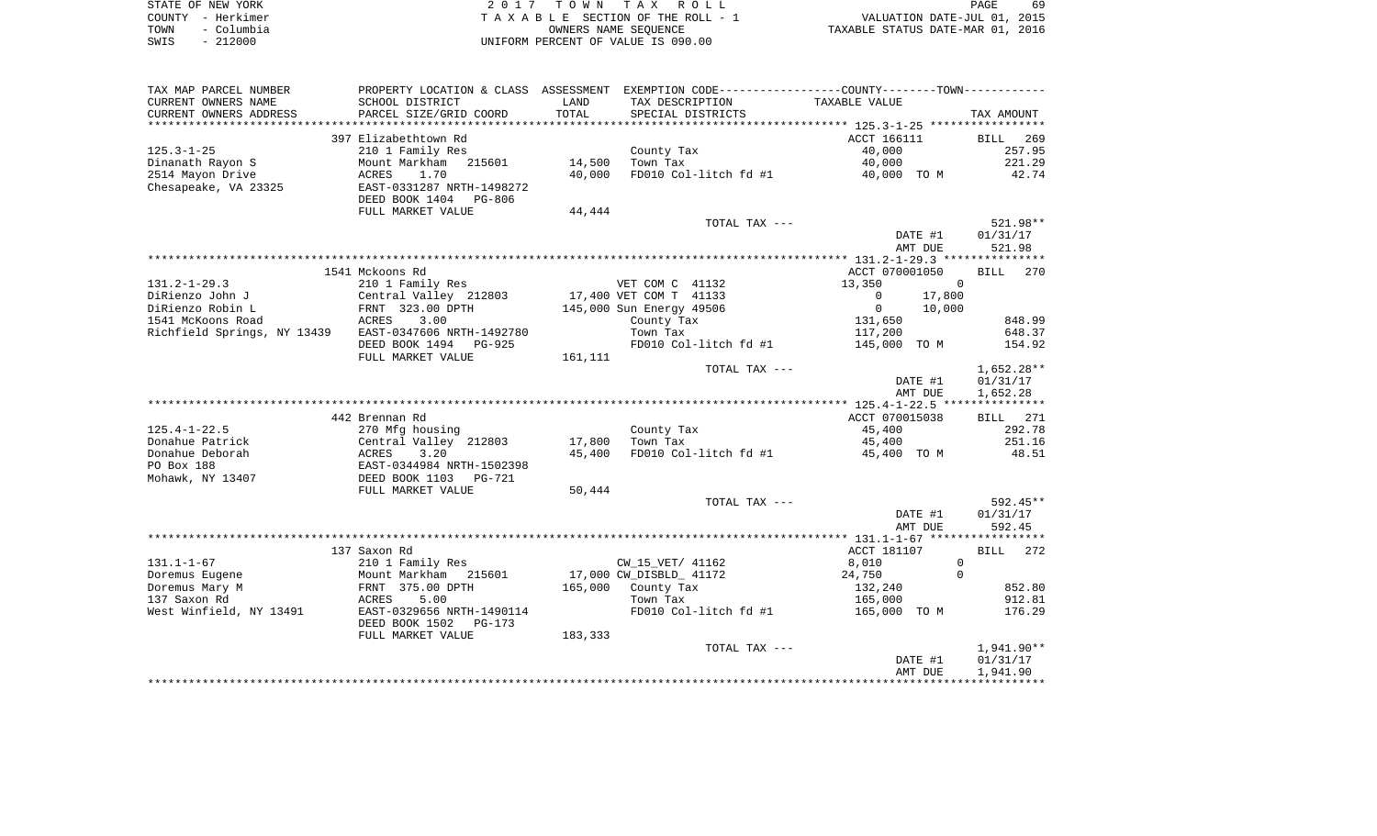| STATE OF NEW YORK  | 2017 TOWN TAX ROLL                 | 69<br>PAGE                       |
|--------------------|------------------------------------|----------------------------------|
| COUNTY - Herkimer  | TAXABLE SECTION OF THE ROLL - 1    | VALUATION DATE-JUL 01, 2015      |
| – Columbia<br>TOWN | OWNERS NAME SEOUENCE               | TAXABLE STATUS DATE-MAR 01, 2016 |
| $-212000$<br>SWIS  | UNIFORM PERCENT OF VALUE IS 090.00 |                                  |

| TAX MAP PARCEL NUMBER                                 | PROPERTY LOCATION & CLASS ASSESSMENT EXEMPTION CODE--------------COUNTY-------TOWN--------- |         |                                           |                                     |            |
|-------------------------------------------------------|---------------------------------------------------------------------------------------------|---------|-------------------------------------------|-------------------------------------|------------|
| CURRENT OWNERS NAME                                   | SCHOOL DISTRICT                                                                             | LAND    | TAX DESCRIPTION                           | TAXABLE VALUE                       |            |
| CURRENT OWNERS ADDRESS                                | PARCEL SIZE/GRID COORD                                                                      | TOTAL   | SPECIAL DISTRICTS                         |                                     | TAX AMOUNT |
|                                                       |                                                                                             |         |                                           |                                     |            |
|                                                       | 397 Elizabethtown Rd                                                                        |         |                                           | ACCT 166111                         | BILL 269   |
| $125.3 - 1 - 25$                                      | 210 1 Family Res                                                                            |         | County Tax                                | 40,000                              | 257.95     |
| Dinanath Rayon S                                      | Mount Markham 215601 14,500                                                                 |         | Town Tax                                  | 40,000                              | 221.29     |
| 2514 Mayon Drive                                      | ACRES<br>1.70                                                                               | 40,000  | FD010 Col-litch fd #1                     | 40,000 TO M                         | 42.74      |
| Chesapeake, VA 23325                                  | EAST-0331287 NRTH-1498272                                                                   |         |                                           |                                     |            |
|                                                       | DEED BOOK 1404 PG-806                                                                       |         |                                           |                                     |            |
|                                                       | FULL MARKET VALUE                                                                           | 44,444  |                                           |                                     |            |
|                                                       |                                                                                             |         | TOTAL TAX ---                             |                                     | $521.98**$ |
|                                                       |                                                                                             |         |                                           | DATE #1                             | 01/31/17   |
|                                                       |                                                                                             |         |                                           | AMT DUE                             | 521.98     |
|                                                       |                                                                                             |         |                                           |                                     |            |
|                                                       | 1541 Mckoons Rd                                                                             |         |                                           | ACCT 070001050                      | BILL 270   |
| $131.2 - 1 - 29.3$                                    | 210 1 Family Res                                                                            |         |                                           | 13,350<br>$\overline{0}$            |            |
|                                                       |                                                                                             |         | VET COM C 41132<br>17,400 VET COM T 41133 | $\Omega$                            |            |
| DiRienzo John J                                       | Central Valley 212803<br>FRNT 323.00 DPTH<br>ACRES 3.00                                     |         |                                           | 17,800                              |            |
| DiRienzo Robin L                                      |                                                                                             |         | 145,000 Sun Energy 49506                  | $\overline{0}$<br>10,000<br>131,650 |            |
| 1541 McKoons Road                                     |                                                                                             |         | County Tax                                |                                     | 848.99     |
| Richfield Springs, NY 13439 EAST-0347606 NRTH-1492780 |                                                                                             |         | Town Tax                                  | 117,200                             | 648.37     |
|                                                       | DEED BOOK 1494    PG-925                                                                    |         | FD010 Col-litch fd #1                     | 145,000 TO M                        | 154.92     |
|                                                       | FULL MARKET VALUE                                                                           | 161,111 |                                           |                                     |            |
|                                                       |                                                                                             |         | TOTAL TAX ---                             |                                     | 1,652.28** |
|                                                       |                                                                                             |         |                                           | DATE #1                             | 01/31/17   |
|                                                       |                                                                                             |         |                                           | AMT DUE                             | 1,652.28   |
|                                                       |                                                                                             |         |                                           |                                     |            |
|                                                       | 442 Brennan Rd                                                                              |         |                                           | ACCT 070015038                      | BILL 271   |
| $125.4 - 1 - 22.5$                                    | 270 Mfg housing                                                                             |         | County Tax                                | 45,400                              | 292.78     |
| Donahue Patrick                                       | Central Valley 212803                                                                       | 17,800  | Town Tax                                  | 45,400                              | 251.16     |
| Donahue Deborah                                       | ACRES 3.20<br>EAST-0344984 NRTH-1502398                                                     | 45,400  | FD010 Col-litch $f d$ #1 $f$ 45,400 TO M  |                                     | 48.51      |
| PO Box 188                                            |                                                                                             |         |                                           |                                     |            |
| Mohawk, NY 13407                                      | DEED BOOK 1103 PG-721                                                                       |         |                                           |                                     |            |
|                                                       | FULL MARKET VALUE                                                                           | 50,444  |                                           |                                     |            |
|                                                       |                                                                                             |         | TOTAL TAX ---                             |                                     | 592.45**   |
|                                                       |                                                                                             |         |                                           | DATE #1                             | 01/31/17   |
|                                                       |                                                                                             |         |                                           | AMT DUE                             | 592.45     |
|                                                       |                                                                                             |         |                                           |                                     |            |
|                                                       | 137 Saxon Rd                                                                                |         |                                           | ACCT 181107                         | BILL 272   |
| $131.1 - 1 - 67$                                      | 210 1 Family Res                                                                            |         | CW 15 VET/ 41162                          | $\overline{0}$<br>8,010             |            |
| Doremus Eugene                                        | Mount Markham 215601<br>FRNT 375.00 DPTH                                                    |         | 17,000 CW_DISBLD_ 41172                   | $\Omega$<br>24,750                  |            |
| Doremus Mary M                                        |                                                                                             |         | 165,000 County Tax                        | 132,240                             | 852.80     |
| 137 Saxon Rd                                          | ACRES<br>5.00                                                                               |         | Town Tax                                  | 165,000                             | 912.81     |
| West Winfield, NY 13491                               | EAST-0329656 NRTH-1490114                                                                   |         | FD010 Col-litch fd #1                     | $165,000$ TOM                       | 176.29     |
|                                                       | DEED BOOK 1502<br>PG-173                                                                    |         |                                           |                                     |            |
|                                                       | FULL MARKET VALUE                                                                           | 183,333 |                                           |                                     |            |
|                                                       |                                                                                             |         | TOTAL TAX ---                             |                                     | 1,941.90** |
|                                                       |                                                                                             |         |                                           | DATE #1                             | 01/31/17   |
|                                                       |                                                                                             |         |                                           | AMT DUE                             | 1,941.90   |
|                                                       |                                                                                             |         |                                           |                                     |            |
|                                                       |                                                                                             |         |                                           |                                     |            |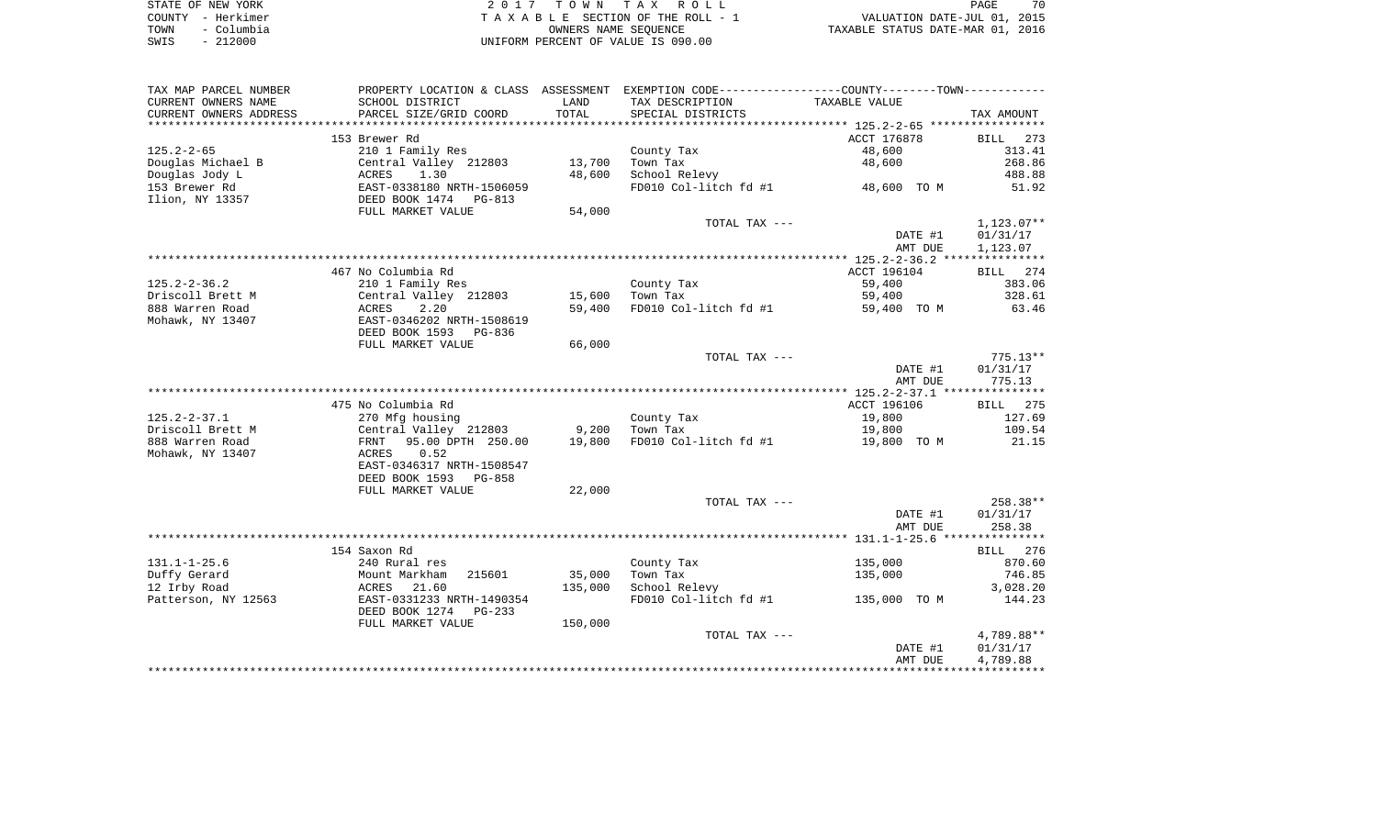| STATE OF NEW YORK  | 2017 TOWN TAX ROLL                 |                                  | PAGE | 70 |
|--------------------|------------------------------------|----------------------------------|------|----|
| COUNTY - Herkimer  | TAXABLE SECTION OF THE ROLL - 1    | VALUATION DATE-JUL 01, 2015      |      |    |
| TOWN<br>– Columbia | OWNERS NAME SEOUENCE               | TAXABLE STATUS DATE-MAR 01, 2016 |      |    |
| $-212000$<br>SWIS  | UNIFORM PERCENT OF VALUE IS 090.00 |                                  |      |    |

| TAX MAP PARCEL NUMBER  |                            |         | PROPERTY LOCATION & CLASS ASSESSMENT EXEMPTION CODE---------------COUNTY-------TOWN---------- |               |                      |
|------------------------|----------------------------|---------|-----------------------------------------------------------------------------------------------|---------------|----------------------|
| CURRENT OWNERS NAME    | SCHOOL DISTRICT            | LAND    | TAX DESCRIPTION                                                                               | TAXABLE VALUE |                      |
| CURRENT OWNERS ADDRESS | PARCEL SIZE/GRID COORD     | TOTAL   | SPECIAL DISTRICTS                                                                             |               | TAX AMOUNT           |
|                        |                            |         |                                                                                               |               |                      |
|                        | 153 Brewer Rd              |         |                                                                                               | ACCT 176878   | 273<br>BILL          |
| $125.2 - 2 - 65$       | 210 1 Family Res           |         | County Tax                                                                                    | 48,600        | 313.41               |
| Douglas Michael B      | Central Valley 212803      | 13,700  | Town Tax                                                                                      | 48,600        | 268.86               |
| Douglas Jody L         | 1.30<br>ACRES              | 48,600  | School Relevy                                                                                 |               | 488.88               |
| 153 Brewer Rd          | EAST-0338180 NRTH-1506059  |         | FD010 Col-litch fd #1                                                                         | 48,600 TO M   | 51.92                |
| Ilion, NY 13357        | DEED BOOK 1474    PG-813   |         |                                                                                               |               |                      |
|                        | FULL MARKET VALUE          | 54,000  |                                                                                               |               |                      |
|                        |                            |         | TOTAL TAX ---                                                                                 | DATE #1       | $1,123.07**$         |
|                        |                            |         |                                                                                               | AMT DUE       | 01/31/17<br>1,123.07 |
|                        |                            |         |                                                                                               |               |                      |
|                        | 467 No Columbia Rd         |         |                                                                                               | ACCT 196104   | BILL 274             |
| $125.2 - 2 - 36.2$     | 210 1 Family Res           |         | County Tax                                                                                    | 59,400        | 383.06               |
| Driscoll Brett M       | Central Valley 212803      | 15,600  | Town Tax                                                                                      | 59,400        | 328.61               |
| 888 Warren Road        | ACRES<br>2.20              | 59,400  | FD010 Col-litch fd #1                                                                         | 59,400 TO M   | 63.46                |
| Mohawk, NY 13407       | EAST-0346202 NRTH-1508619  |         |                                                                                               |               |                      |
|                        | DEED BOOK 1593<br>PG-836   |         |                                                                                               |               |                      |
|                        | FULL MARKET VALUE          | 66,000  |                                                                                               |               |                      |
|                        |                            |         | TOTAL TAX ---                                                                                 |               | $775.13**$           |
|                        |                            |         |                                                                                               | DATE #1       | 01/31/17             |
|                        |                            |         |                                                                                               | AMT DUE       | 775.13               |
|                        |                            |         |                                                                                               |               |                      |
|                        | 475 No Columbia Rd         |         |                                                                                               | ACCT 196106   | BILL 275             |
| $125.2 - 2 - 37.1$     | 270 Mfg housing            |         | County Tax                                                                                    | 19,800        | 127.69               |
| Driscoll Brett M       | Central Valley 212803      | 9,200   | Town Tax                                                                                      | 19,800        | 109.54               |
| 888 Warren Road        | 95.00 DPTH 250.00<br>FRNT  | 19,800  | FD010 Col-litch fd #1                                                                         | 19,800 TO M   | 21.15                |
| Mohawk, NY 13407       | 0.52<br>ACRES              |         |                                                                                               |               |                      |
|                        | EAST-0346317 NRTH-1508547  |         |                                                                                               |               |                      |
|                        | DEED BOOK 1593<br>PG-858   |         |                                                                                               |               |                      |
|                        | FULL MARKET VALUE          | 22,000  |                                                                                               |               |                      |
|                        |                            |         | TOTAL TAX ---                                                                                 |               | 258.38**             |
|                        |                            |         |                                                                                               | DATE #1       | 01/31/17             |
|                        |                            |         |                                                                                               | AMT DUE       | 258.38               |
|                        | 154 Saxon Rd               |         |                                                                                               |               | BILL 276             |
| $131.1 - 1 - 25.6$     | 240 Rural res              |         | County Tax                                                                                    | 135,000       | 870.60               |
| Duffy Gerard           | Mount Markham<br>215601    | 35,000  | Town Tax                                                                                      | 135,000       | 746.85               |
| 12 Irby Road           | 21.60<br>ACRES             | 135,000 | School Relevy                                                                                 |               | 3,028.20             |
| Patterson, NY 12563    | EAST-0331233 NRTH-1490354  |         | FD010 Col-litch fd #1                                                                         | 135,000 TO M  | 144.23               |
|                        | DEED BOOK 1274<br>$PG-233$ |         |                                                                                               |               |                      |
|                        | FULL MARKET VALUE          | 150,000 |                                                                                               |               |                      |
|                        |                            |         | TOTAL TAX ---                                                                                 |               | 4,789.88**           |
|                        |                            |         |                                                                                               | DATE #1       | 01/31/17             |
|                        |                            |         |                                                                                               | AMT DUE       | 4,789.88             |
|                        |                            |         |                                                                                               |               |                      |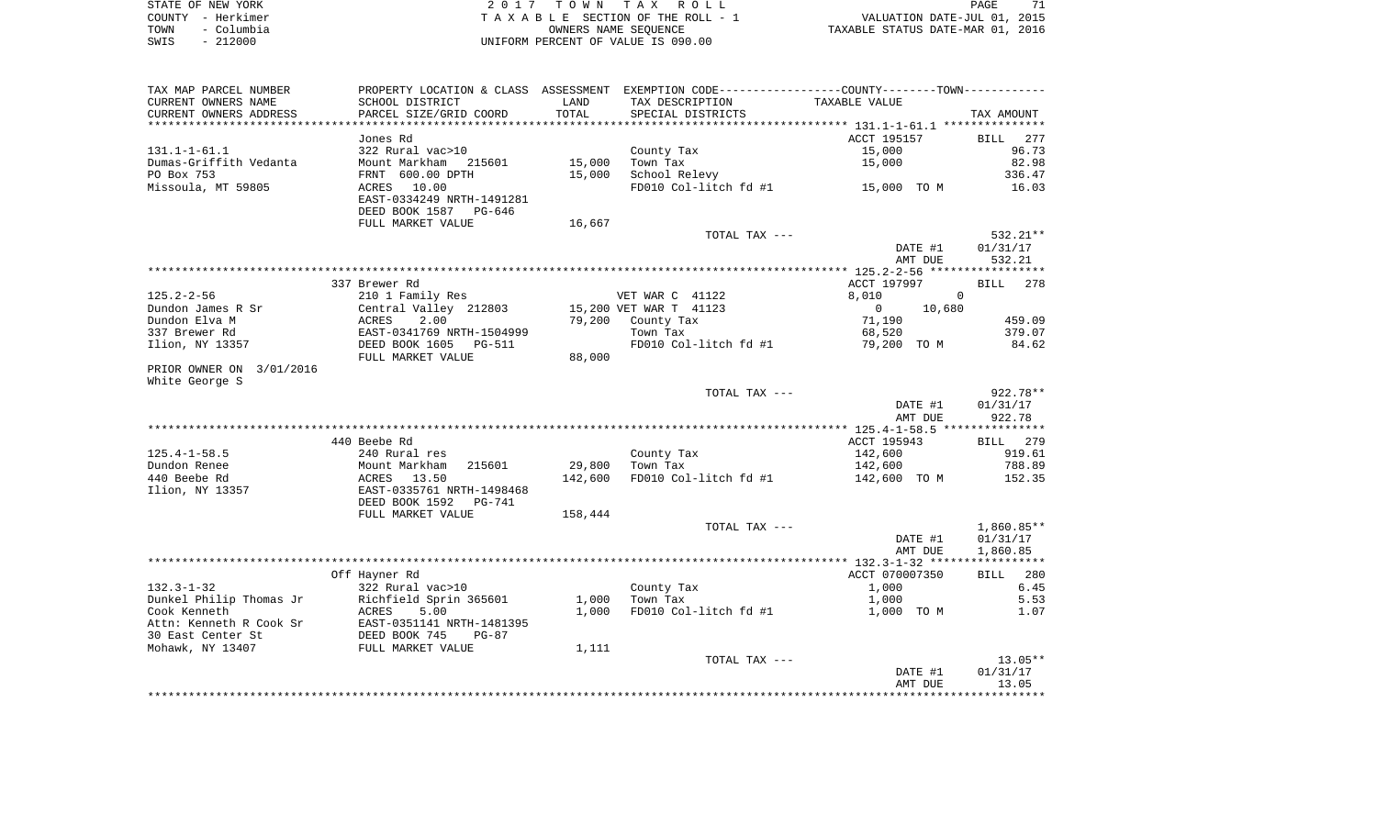| STATE OF NEW YORK  | 2017 TOWN TAX ROLL                 | 71<br>PAGE                       |
|--------------------|------------------------------------|----------------------------------|
| COUNTY - Herkimer  | TAXABLE SECTION OF THE ROLL - 1    | VALUATION DATE-JUL 01, 2015      |
| – Columbia<br>TOWN | OWNERS NAME SEOUENCE               | TAXABLE STATUS DATE-MAR 01, 2016 |
| $-212000$<br>SWIS  | UNIFORM PERCENT OF VALUE IS 090.00 |                                  |

| TAX MAP PARCEL NUMBER<br>CURRENT OWNERS NAME                 | PROPERTY LOCATION & CLASS ASSESSMENT EXEMPTION CODE---------------COUNTY-------TOWN----------<br>SCHOOL DISTRICT | LAND              | TAX DESCRIPTION                         | TAXABLE VALUE                        |                                         |
|--------------------------------------------------------------|------------------------------------------------------------------------------------------------------------------|-------------------|-----------------------------------------|--------------------------------------|-----------------------------------------|
| CURRENT OWNERS ADDRESS<br>*************************          | PARCEL SIZE/GRID COORD                                                                                           | TOTAL             | SPECIAL DISTRICTS                       |                                      | TAX AMOUNT                              |
| $131.1 - 1 - 61.1$<br>Dumas-Griffith Vedanta<br>PO Box 753   | Jones Rd<br>322 Rural vac>10<br>Mount Markham 215601<br>FRNT 600.00 DPTH                                         | 15,000<br>15,000  | County Tax<br>Town Tax<br>School Relevy | ACCT 195157<br>15,000<br>15,000      | BILL<br>277<br>96.73<br>82.98<br>336.47 |
| Missoula, MT 59805                                           | ACRES 10.00<br>EAST-0334249 NRTH-1491281<br>DEED BOOK 1587 PG-646<br>FULL MARKET VALUE                           | 16,667            | FD010 Col-litch fd #1                   | 15,000 TO M                          | 16.03                                   |
|                                                              |                                                                                                                  |                   | TOTAL TAX ---                           | DATE #1<br>AMT DUE                   | 532.21**<br>01/31/17<br>532.21          |
|                                                              |                                                                                                                  |                   |                                         |                                      |                                         |
| 125.2-2-56                                                   | 337 Brewer Rd<br>210 1 Family Res                                                                                |                   | VET WAR C 41122                         | ACCT 197997<br>8,010<br>$\mathbf{0}$ | BILL 278                                |
| Dundon James R Sr                                            | Central Valley 212803                                                                                            |                   | 15,200 VET WAR T 41123                  | 10,680<br>$\overline{0}$             |                                         |
| Dundon Elva M                                                | 2.00<br>ACRES                                                                                                    | 79,200            | County Tax                              | 71,190                               | 459.09                                  |
| 337 Brewer Rd                                                | EAST-0341769 NRTH-1504999                                                                                        |                   | Town Tax                                | 68,520                               | 379.07                                  |
| Ilion, NY 13357                                              | DEED BOOK 1605 PG-511<br>FULL MARKET VALUE                                                                       | 88,000            | FD010 Col-litch fd #1                   | 79,200 TO M                          | 84.62                                   |
| PRIOR OWNER ON 3/01/2016                                     |                                                                                                                  |                   |                                         |                                      |                                         |
| White George S                                               |                                                                                                                  |                   |                                         |                                      |                                         |
|                                                              |                                                                                                                  |                   | TOTAL TAX ---                           | DATE #1<br>AMT DUE                   | $922.78**$<br>01/31/17<br>922.78        |
|                                                              |                                                                                                                  |                   |                                         |                                      |                                         |
|                                                              | 440 Beebe Rd                                                                                                     |                   |                                         | ACCT 195943                          | BILL 279                                |
| $125.4 - 1 - 58.5$                                           | 240 Rural res                                                                                                    |                   | County Tax                              | 142,600                              | 919.61                                  |
| Dundon Renee<br>440 Beebe Rd                                 | 215601<br>Mount Markham<br>ACRES 13.50                                                                           | 29,800<br>142,600 | Town Tax<br>FD010 Col-litch fd #1       | 142,600<br>142,600 TO M              | 788.89<br>152.35                        |
| Ilion, NY 13357                                              | EAST-0335761 NRTH-1498468<br>DEED BOOK 1592<br>PG-741                                                            |                   |                                         |                                      |                                         |
|                                                              | FULL MARKET VALUE                                                                                                | 158,444           |                                         |                                      |                                         |
|                                                              |                                                                                                                  |                   | TOTAL TAX ---                           | DATE #1<br>AMT DUE                   | 1,860.85**<br>01/31/17<br>1,860.85      |
|                                                              |                                                                                                                  |                   |                                         |                                      |                                         |
|                                                              | Off Hayner Rd                                                                                                    |                   |                                         | ACCT 070007350                       | BILL 280                                |
| 132.3-1-32                                                   | 322 Rural vac>10                                                                                                 |                   | County Tax                              | 1,000                                | 6.45                                    |
| Dunkel Philip Thomas Jr                                      | Richfield Sprin 365601                                                                                           | 1,000             | Town Tax                                | 1,000                                | 5.53                                    |
| Cook Kenneth<br>Attn: Kenneth R Cook Sr<br>30 East Center St | 5.00<br>ACRES<br>EAST-0351141 NRTH-1481395<br>DEED BOOK 745 PG-87<br>DEED BOOK 745<br>PG-87                      | 1,000             | FD010 Col-litch fd #1                   | 1,000 TO M                           | 1.07                                    |
| Mohawk, NY 13407                                             | FULL MARKET VALUE                                                                                                | 1,111             |                                         |                                      |                                         |
|                                                              |                                                                                                                  |                   | TOTAL TAX ---                           |                                      | 13.05**                                 |
|                                                              |                                                                                                                  |                   |                                         | DATE #1<br>AMT DUE                   | 01/31/17<br>13.05                       |
|                                                              |                                                                                                                  |                   |                                         |                                      |                                         |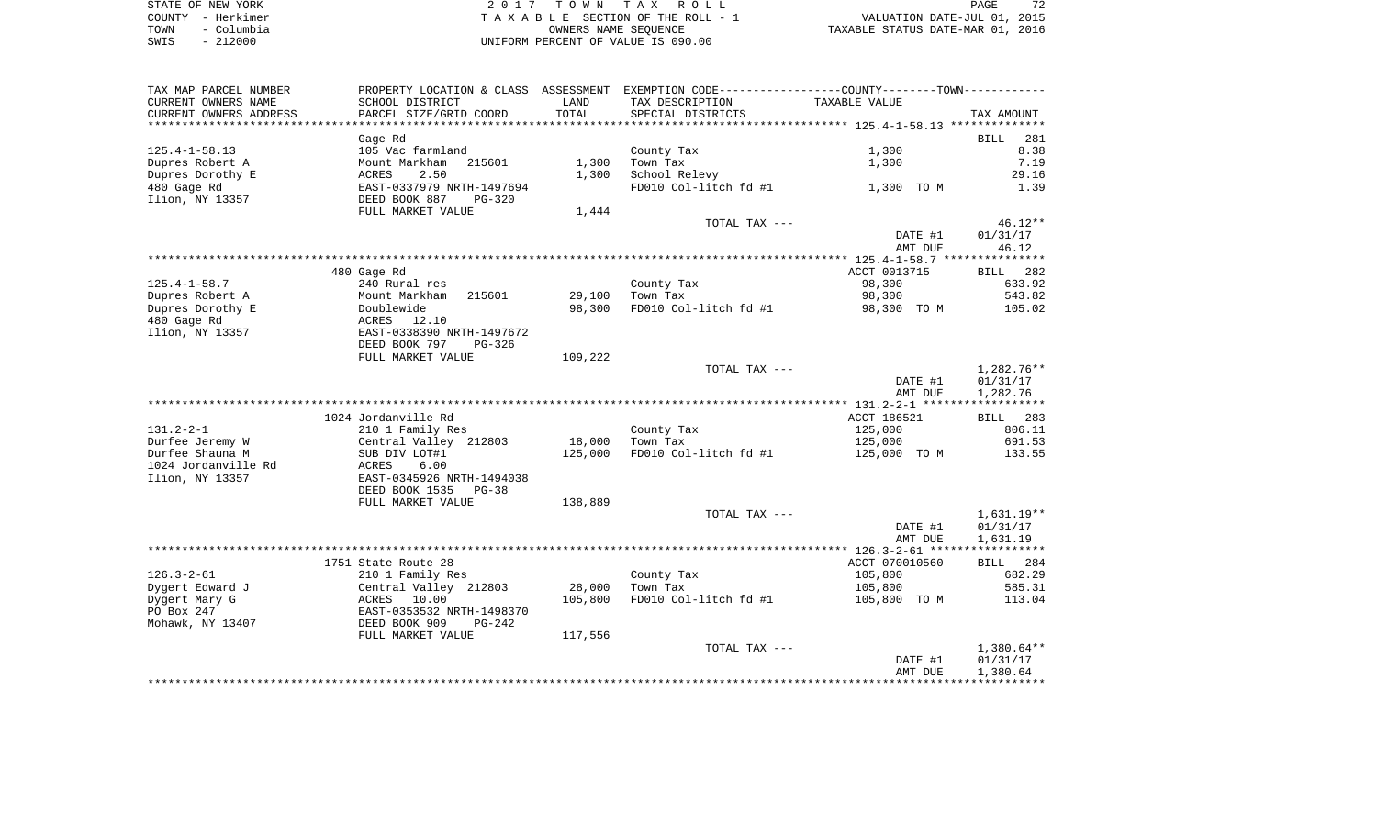| STATE OF NEW YORK  | 2017 TOWN TAX ROLL                 | -72<br>PAGE                      |
|--------------------|------------------------------------|----------------------------------|
| COUNTY - Herkimer  | TAXABLE SECTION OF THE ROLL - 1    | VALUATION DATE-JUL 01, 2015      |
| – Columbia<br>TOWN | OWNERS NAME SEOUENCE               | TAXABLE STATUS DATE-MAR 01, 2016 |
| 212000<br>SWIS     | UNIFORM PERCENT OF VALUE IS 090.00 |                                  |

 $\begin{array}{c} 72 \\ 2015 \\ 2016 \end{array}$ 

| TAX MAP PARCEL NUMBER       |                                          |         | PROPERTY LOCATION & CLASS ASSESSMENT EXEMPTION CODE----------------COUNTY--------TOWN----------- |                |                    |
|-----------------------------|------------------------------------------|---------|--------------------------------------------------------------------------------------------------|----------------|--------------------|
| CURRENT OWNERS NAME         | SCHOOL DISTRICT                          | LAND    | TAX DESCRIPTION                                                                                  | TAXABLE VALUE  |                    |
| CURRENT OWNERS ADDRESS      | PARCEL SIZE/GRID COORD                   | TOTAL   | SPECIAL DISTRICTS                                                                                |                | TAX AMOUNT         |
| **********************      |                                          |         |                                                                                                  |                |                    |
|                             | Gage Rd                                  |         |                                                                                                  |                | <b>BILL</b><br>281 |
| $125.4 - 1 - 58.13$         | 105 Vac farmland                         |         | County Tax                                                                                       | 1,300          | 8.38               |
| Dupres Robert A             | Mount Markham 215601                     | 1,300   | Town Tax                                                                                         | 1,300          | 7.19               |
| Dupres Dorothy E            | ACRES<br>2.50                            | 1,300   | School Relevy                                                                                    |                | 29.16              |
| 480 Gage Rd                 | EAST-0337979 NRTH-1497694                |         | FD010 Col-litch fd #1                                                                            | 1,300 TO M     | 1.39               |
| Ilion, NY 13357             | DEED BOOK 887<br>PG-320                  |         |                                                                                                  |                |                    |
|                             | FULL MARKET VALUE                        | 1,444   |                                                                                                  |                |                    |
|                             |                                          |         | TOTAL TAX ---                                                                                    |                | $46.12**$          |
|                             |                                          |         |                                                                                                  | DATE #1        | 01/31/17           |
|                             |                                          |         |                                                                                                  | AMT DUE        | 46.12              |
|                             | 480 Gage Rd                              |         |                                                                                                  | ACCT 0013715   | BILL 282           |
| $125.4 - 1 - 58.7$          | 240 Rural res                            |         | County Tax                                                                                       | 98,300         | 633.92             |
| Dupres Robert A             | 215601<br>Mount Markham                  | 29,100  | Town Tax                                                                                         | 98,300         | 543.82             |
| Dupres Dorothy E            | Doublewide                               | 98,300  | FD010 Col-litch fd #1                                                                            | 98,300 TO M    | 105.02             |
| 480 Gage Rd                 | ACRES 12.10                              |         |                                                                                                  |                |                    |
| Ilion, NY 13357             | EAST-0338390 NRTH-1497672                |         |                                                                                                  |                |                    |
|                             | DEED BOOK 797<br>PG-326                  |         |                                                                                                  |                |                    |
|                             | FULL MARKET VALUE                        | 109,222 |                                                                                                  |                |                    |
|                             |                                          |         | TOTAL TAX ---                                                                                    |                | 1,282.76**         |
|                             |                                          |         |                                                                                                  | DATE #1        | 01/31/17           |
|                             |                                          |         |                                                                                                  | AMT DUE        | 1,282.76           |
|                             |                                          |         |                                                                                                  |                |                    |
|                             | 1024 Jordanville Rd                      |         |                                                                                                  | ACCT 186521    | BILL 283           |
| $131.2 - 2 - 1$             | 210 1 Family Res                         |         | County Tax                                                                                       | 125,000        | 806.11             |
| Durfee Jeremy W             |                                          | 18,000  | Town Tax                                                                                         | 125,000        | 691.53             |
| Durfee Shauna M             | Central Valley 212803<br>SUB DIV LOT#1   | 125,000 | FD010 Col-litch fd #1                                                                            | 125,000 TO M   | 133.55             |
| 1024 Jordanville Rd         | ACRES<br>6.00                            |         |                                                                                                  |                |                    |
| Ilion, NY 13357             | EAST-0345926 NRTH-1494038                |         |                                                                                                  |                |                    |
|                             | DEED BOOK 1535<br>$PG-38$                |         |                                                                                                  |                |                    |
|                             | FULL MARKET VALUE                        | 138,889 |                                                                                                  |                |                    |
|                             |                                          |         | TOTAL TAX ---                                                                                    |                | 1,631.19**         |
|                             |                                          |         |                                                                                                  | DATE #1        | 01/31/17           |
|                             |                                          |         |                                                                                                  | AMT DUE        | 1,631.19           |
|                             |                                          |         |                                                                                                  |                |                    |
|                             | 1751 State Route 28                      |         |                                                                                                  | ACCT 070010560 | BILL 284           |
| $126.3 - 2 - 61$            | 210 1 Family Res                         |         | County Tax                                                                                       | 105,800        | 682.29             |
| Dygert Edward J             | Central Valley 212803                    | 28,000  | Town Tax                                                                                         | 105,800        | 585.31             |
| Dygert Mary G<br>PO Box 247 | ACRES 10.00<br>EAST-0353532 NRTH-1498370 | 105,800 | FD010 Col-litch fd #1                                                                            | 105,800 TO M   | 113.04             |
| Mohawk, NY 13407            | $PG-242$                                 |         |                                                                                                  |                |                    |
|                             | DEED BOOK 909                            |         |                                                                                                  |                |                    |
|                             | FULL MARKET VALUE                        | 117,556 | TOTAL TAX ---                                                                                    |                | 1,380.64**         |
|                             |                                          |         |                                                                                                  | DATE #1        | 01/31/17           |
|                             |                                          |         |                                                                                                  | AMT DUE        | 1,380.64           |
|                             |                                          |         |                                                                                                  |                |                    |
|                             |                                          |         |                                                                                                  |                |                    |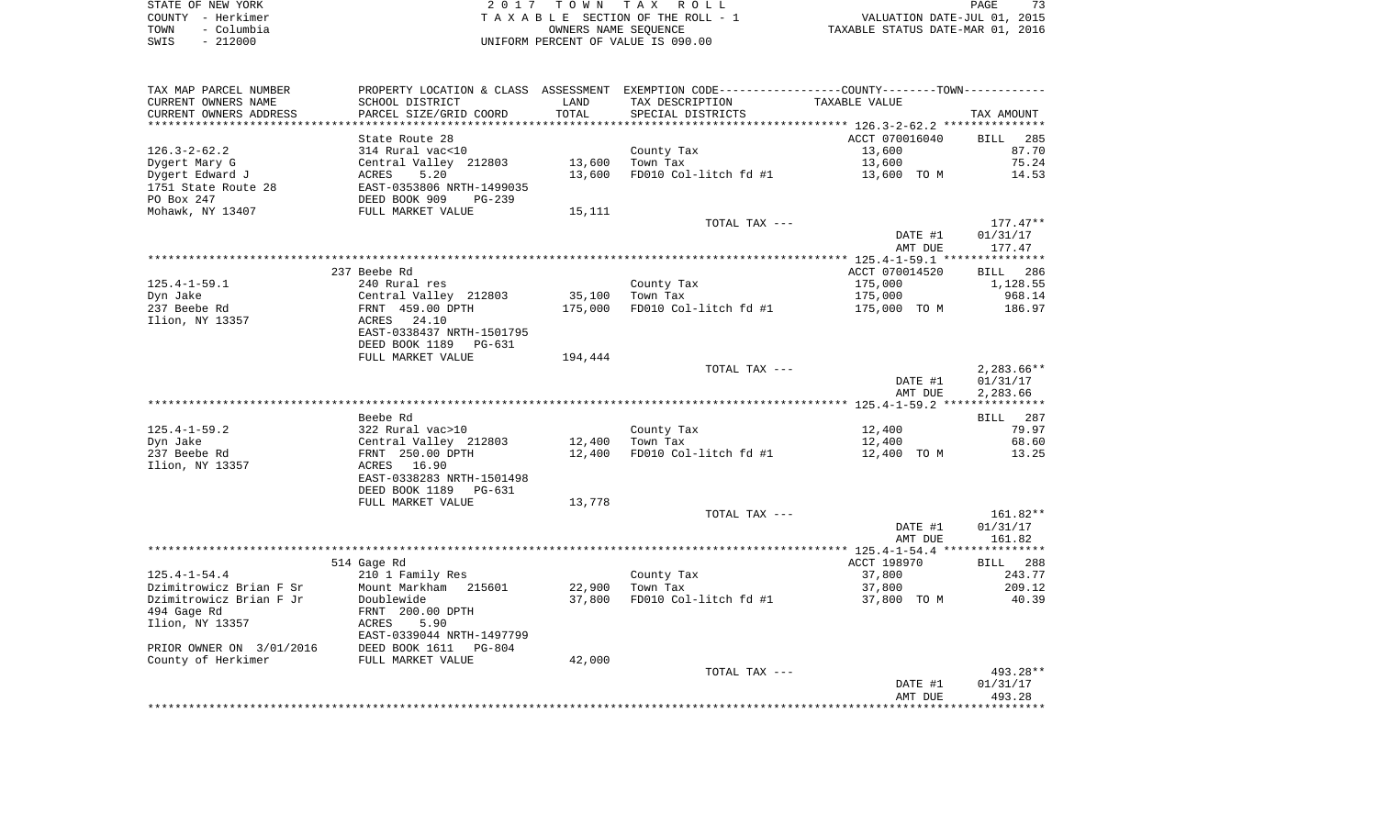| STATE OF NEW YORK  | 2017 TOWN TAX ROLL                 | 73<br>PAGE                       |
|--------------------|------------------------------------|----------------------------------|
| COUNTY - Herkimer  | TAXABLE SECTION OF THE ROLL - 1    | VALUATION DATE-JUL 01, 2015      |
| – Columbia<br>TOWN | OWNERS NAME SEOUENCE               | TAXABLE STATUS DATE-MAR 01, 2016 |
| $-212000$<br>SWIS  | UNIFORM PERCENT OF VALUE IS 090.00 |                                  |

| TAX MAP PARCEL NUMBER                          | PROPERTY LOCATION & CLASS ASSESSMENT EXEMPTION CODE---------------COUNTY-------TOWN---------- |         |                       |                |                 |
|------------------------------------------------|-----------------------------------------------------------------------------------------------|---------|-----------------------|----------------|-----------------|
| CURRENT OWNERS NAME                            | SCHOOL DISTRICT                                                                               | LAND    | TAX DESCRIPTION       | TAXABLE VALUE  |                 |
| CURRENT OWNERS ADDRESS                         | PARCEL SIZE/GRID COORD                                                                        | TOTAL   | SPECIAL DISTRICTS     |                | TAX AMOUNT      |
|                                                |                                                                                               |         |                       |                |                 |
|                                                | State Route 28                                                                                |         |                       | ACCT 070016040 | <b>BILL</b> 285 |
| 126.3-2-62.2                                   | 314 Rural vac<10                                                                              |         | County Tax            | 13,600         | 87.70           |
| Dygert Mary G                                  | Central Valley 212803                                                                         | 13,600  | Town Tax              | 13,600         | 75.24           |
| Dygert Edward J                                | ACRES<br>5.20                                                                                 | 13,600  | FD010 Col-litch fd #1 | 13,600 TO M    | 14.53           |
| 1751 State Route 28                            | EAST-0353806 NRTH-1499035<br>DEED BOOK 909 PG-239                                             |         |                       |                |                 |
| PO Box 247                                     |                                                                                               |         |                       |                |                 |
|                                                |                                                                                               | 15,111  |                       |                |                 |
|                                                |                                                                                               |         | TOTAL TAX ---         |                | $177.47**$      |
|                                                |                                                                                               |         |                       | DATE #1        | 01/31/17        |
|                                                |                                                                                               |         |                       | AMT DUE        | 177.47          |
|                                                |                                                                                               |         |                       |                |                 |
|                                                | 237 Beebe Rd                                                                                  |         |                       | ACCT 070014520 | BILL 286        |
| 125.4-1-59.1                                   | 240 Rural res                                                                                 |         | County Tax            | 175,000        | 1,128.55        |
| Dyn Jake                                       |                                                                                               |         | 35,100 Town Tax       | 175,000        | 968.14          |
| 237 Beebe Rd                                   |                                                                                               | 175,000 | FD010 Col-litch fd #1 | 175,000 TO M   | 186.97          |
| Ilion, NY 13357                                | Central Valley 212803<br>FRNT 459.00 DPTH<br>ACRES 24.10                                      |         |                       |                |                 |
|                                                | EAST-0338437 NRTH-1501795                                                                     |         |                       |                |                 |
|                                                | DEED BOOK 1189 PG-631                                                                         |         |                       |                |                 |
|                                                | FULL MARKET VALUE                                                                             | 194,444 |                       |                |                 |
|                                                |                                                                                               |         | TOTAL TAX ---         |                | $2,283.66**$    |
|                                                |                                                                                               |         |                       | DATE #1        | 01/31/17        |
|                                                |                                                                                               |         |                       | AMT DUE        | 2,283.66        |
|                                                |                                                                                               |         |                       |                |                 |
|                                                | Beebe Rd                                                                                      |         |                       |                | BILL 287        |
| $125.4 - 1 - 59.2$                             | 322 Rural vac>10                                                                              |         | County Tax            | 12,400         | 79.97           |
| Dyn Jake                                       |                                                                                               | 12,400  | Town Tax              | 12,400         | 68.60           |
| 237 Beebe Rd                                   | Central Valley 212803<br>FRNT 250.00 DPTH                                                     | 12,400  | FD010 Col-litch fd #1 | 12,400 TO M    | 13.25           |
|                                                |                                                                                               |         |                       |                |                 |
| Ilion, NY 13357                                | ACRES 16.90                                                                                   |         |                       |                |                 |
|                                                | EAST-0338283 NRTH-1501498                                                                     |         |                       |                |                 |
|                                                | DEED BOOK 1189 PG-631                                                                         |         |                       |                |                 |
|                                                | FULL MARKET VALUE                                                                             | 13,778  |                       |                |                 |
|                                                |                                                                                               |         | TOTAL TAX ---         |                | 161.82**        |
|                                                |                                                                                               |         |                       | DATE #1        | 01/31/17        |
|                                                |                                                                                               |         |                       | AMT DUE        | 161.82          |
|                                                |                                                                                               |         |                       |                |                 |
|                                                | 514 Gage Rd                                                                                   |         |                       | ACCT 198970    | BILL 288        |
| 125.4-1-54.4                                   | 210 1 Family Res                                                                              |         | County Tax            | 37,800         | 243.77          |
| Dzimitrowicz Brian F Sr                        | Mount Markham 215601                                                                          | 22,900  | Town Tax              | 37,800         | 209.12          |
| Dzimitrowicz Brian F Jr                        | Doublewide                                                                                    | 37,800  | FD010 Col-litch fd #1 | 37,800 TOM     | 40.39           |
| 494 Gage Rd                                    | FRNT 200.00 DPTH                                                                              |         |                       |                |                 |
| Ilion, NY 13357                                | ACRES 5.90                                                                                    |         |                       |                |                 |
|                                                | EAST-0339044 NRTH-1497799                                                                     |         |                       |                |                 |
| PRIOR OWNER ON 3/01/2016 DEED BOOK 1611 PG-804 |                                                                                               |         |                       |                |                 |
| County of Herkimer                             | FULL MARKET VALUE                                                                             | 42,000  |                       |                |                 |
|                                                |                                                                                               |         | TOTAL TAX ---         |                | 493.28**        |
|                                                |                                                                                               |         |                       | DATE #1        | 01/31/17        |
|                                                |                                                                                               |         |                       | AMT DUE        | 493.28          |
|                                                |                                                                                               |         |                       |                |                 |
|                                                |                                                                                               |         |                       |                |                 |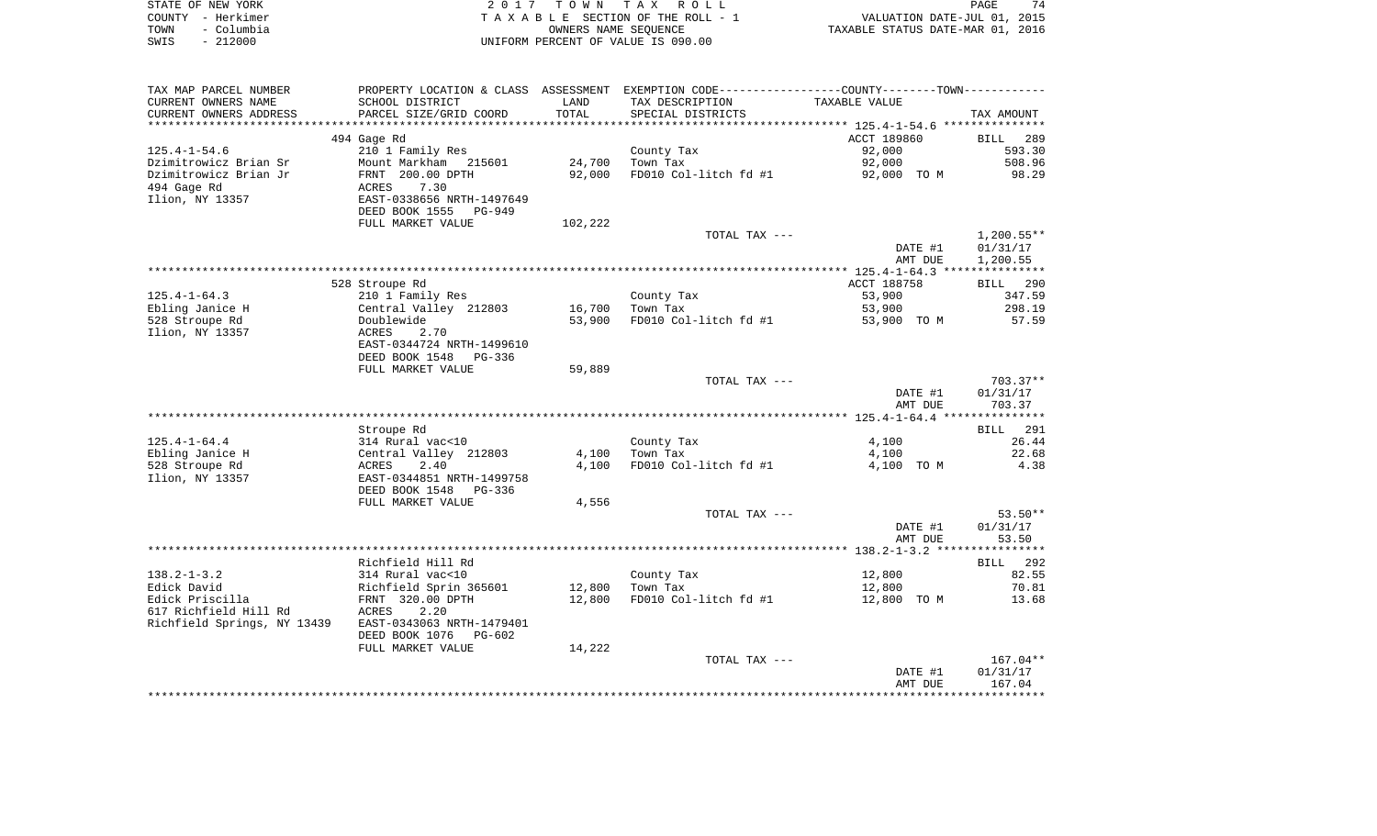| STATE OF NEW YORK  | 2017 TOWN TAX ROLL                 | 74<br>PAGE                       |
|--------------------|------------------------------------|----------------------------------|
| COUNTY - Herkimer  | TAXABLE SECTION OF THE ROLL - 1    | VALUATION DATE-JUL 01, 2015      |
| - Columbia<br>TOWN | OWNERS NAME SEOUENCE               | TAXABLE STATUS DATE-MAR 01, 2016 |
| $-212000$<br>SWIS  | UNIFORM PERCENT OF VALUE IS 090.00 |                                  |

| TAX MAP PARCEL NUMBER       | PROPERTY LOCATION & CLASS |         | ASSESSMENT EXEMPTION CODE-----------------COUNTY-------TOWN----------- |               |              |
|-----------------------------|---------------------------|---------|------------------------------------------------------------------------|---------------|--------------|
| CURRENT OWNERS NAME         | SCHOOL DISTRICT           | LAND    | TAX DESCRIPTION                                                        | TAXABLE VALUE |              |
| CURRENT OWNERS ADDRESS      | PARCEL SIZE/GRID COORD    | TOTAL   | SPECIAL DISTRICTS                                                      |               | TAX AMOUNT   |
|                             |                           |         |                                                                        |               |              |
|                             | 494 Gage Rd               |         |                                                                        | ACCT 189860   | BILL<br>289  |
| $125.4 - 1 - 54.6$          | 210 1 Family Res          |         | County Tax                                                             | 92,000        | 593.30       |
| Dzimitrowicz Brian Sr       | Mount Markham 215601      | 24,700  | Town Tax                                                               | 92,000        | 508.96       |
| Dzimitrowicz Brian Jr       | FRNT 200.00 DPTH          | 92,000  | FD010 Col-litch fd #1                                                  | 92,000 TO M   | 98.29        |
| 494 Gage Rd                 | 7.30<br>ACRES             |         |                                                                        |               |              |
| Ilion, NY 13357             | EAST-0338656 NRTH-1497649 |         |                                                                        |               |              |
|                             | DEED BOOK 1555<br>PG-949  |         |                                                                        |               |              |
|                             | FULL MARKET VALUE         | 102,222 |                                                                        |               |              |
|                             |                           |         | TOTAL TAX ---                                                          |               | $1,200.55**$ |
|                             |                           |         |                                                                        | DATE #1       | 01/31/17     |
|                             |                           |         |                                                                        | AMT DUE       | 1,200.55     |
|                             |                           |         |                                                                        |               |              |
|                             | 528 Stroupe Rd            |         |                                                                        | ACCT 188758   | BILL 290     |
| $125.4 - 1 - 64.3$          | 210 1 Family Res          |         | County Tax                                                             | 53,900        | 347.59       |
| Ebling Janice H             | Central Valley 212803     | 16,700  | Town Tax                                                               | 53,900        | 298.19       |
| 528 Stroupe Rd              | Doublewide                | 53,900  | FD010 Col-litch fd #1                                                  | 53,900 TO M   | 57.59        |
| Ilion, NY 13357             | ACRES<br>2.70             |         |                                                                        |               |              |
|                             | EAST-0344724 NRTH-1499610 |         |                                                                        |               |              |
|                             | DEED BOOK 1548<br>PG-336  |         |                                                                        |               |              |
|                             | FULL MARKET VALUE         | 59,889  |                                                                        |               |              |
|                             |                           |         | TOTAL TAX ---                                                          |               | $703.37**$   |
|                             |                           |         |                                                                        | DATE #1       | 01/31/17     |
|                             |                           |         |                                                                        | AMT DUE       | 703.37       |
|                             |                           |         |                                                                        |               |              |
|                             | Stroupe Rd                |         |                                                                        |               | BILL<br>291  |
| $125.4 - 1 - 64.4$          | 314 Rural vac<10          |         | County Tax                                                             | 4,100         | 26.44        |
| Ebling Janice H             | Central Valley 212803     | 4,100   | Town Tax                                                               | 4,100         | 22.68        |
| 528 Stroupe Rd              | 2.40<br>ACRES             | 4,100   | FD010 Col-litch fd #1                                                  | 4,100 TO M    | 4.38         |
| Ilion, NY 13357             | EAST-0344851 NRTH-1499758 |         |                                                                        |               |              |
|                             | DEED BOOK 1548<br>PG-336  |         |                                                                        |               |              |
|                             | FULL MARKET VALUE         | 4,556   |                                                                        |               |              |
|                             |                           |         | TOTAL TAX ---                                                          |               | $53.50**$    |
|                             |                           |         |                                                                        | DATE #1       | 01/31/17     |
|                             |                           |         |                                                                        | AMT DUE       | 53.50        |
|                             |                           |         |                                                                        |               |              |
|                             | Richfield Hill Rd         |         |                                                                        |               | BILL 292     |
| $138.2 - 1 - 3.2$           | 314 Rural vac<10          |         | County Tax                                                             | 12,800        | 82.55        |
| Edick David                 | Richfield Sprin 365601    | 12,800  | Town Tax                                                               | 12,800        | 70.81        |
| Edick Priscilla             | FRNT 320.00 DPTH          | 12,800  | FD010 Col-litch fd #1                                                  | 12,800 TO M   | 13.68        |
| 617 Richfield Hill Rd       | 2.20<br>ACRES             |         |                                                                        |               |              |
| Richfield Springs, NY 13439 | EAST-0343063 NRTH-1479401 |         |                                                                        |               |              |
|                             | DEED BOOK 1076<br>PG-602  |         |                                                                        |               |              |
|                             | FULL MARKET VALUE         | 14,222  |                                                                        |               |              |
|                             |                           |         | TOTAL TAX ---                                                          |               | $167.04**$   |
|                             |                           |         |                                                                        | DATE #1       | 01/31/17     |
|                             |                           |         |                                                                        | AMT DUE       | 167.04       |
|                             |                           |         |                                                                        |               |              |
|                             |                           |         |                                                                        |               |              |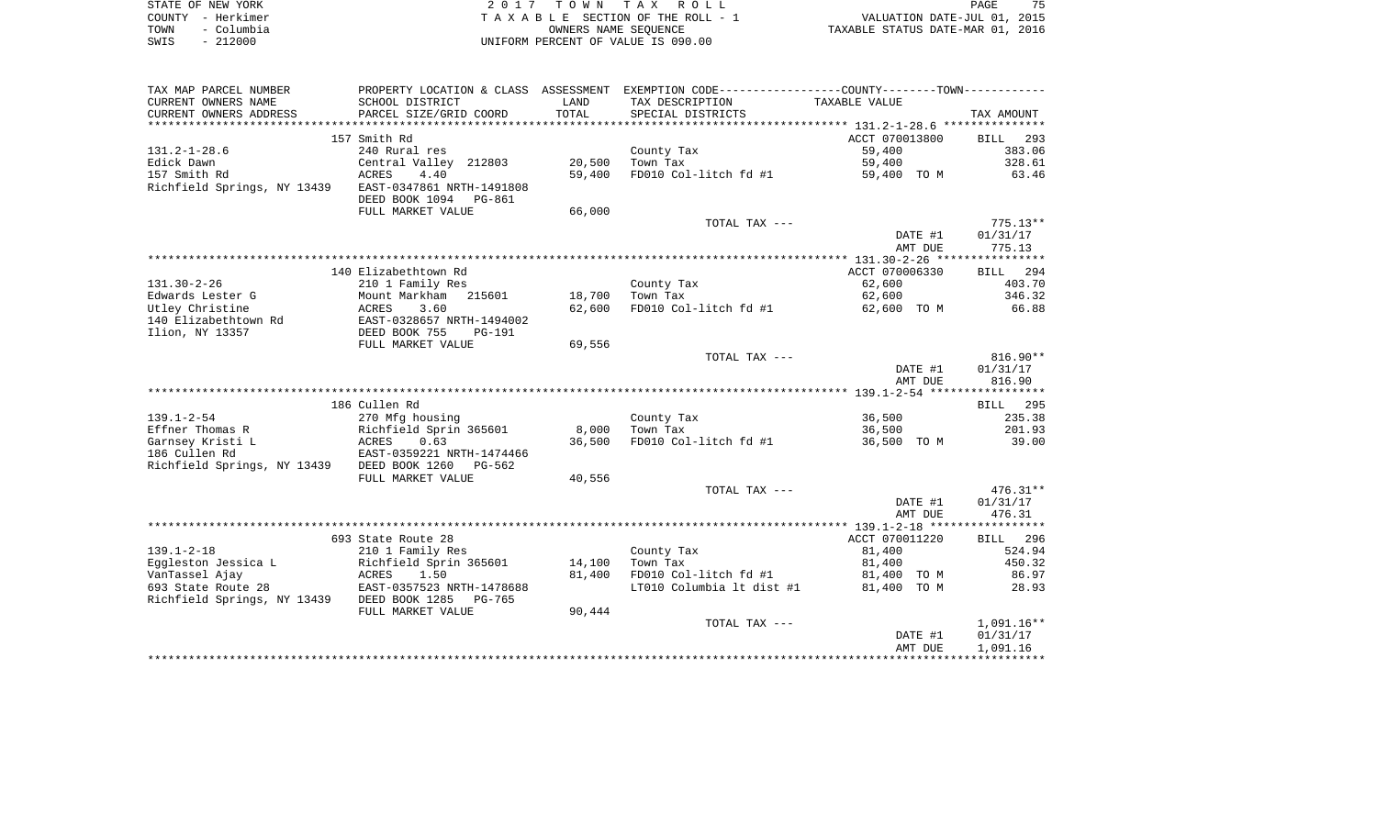| STATE OF NEW YORK |            | 2017 TOWN TAX ROLL                 |                                  | PAGE                        | 75 |
|-------------------|------------|------------------------------------|----------------------------------|-----------------------------|----|
| COUNTY - Herkimer |            | TAXABLE SECTION OF THE ROLL - 1    |                                  | VALUATION DATE-JUL 01, 2015 |    |
| TOWN              | - Columbia | OWNERS NAME SEOUENCE               | TAXABLE STATUS DATE-MAR 01, 2016 |                             |    |
| SWIS              | $-212000$  | UNIFORM PERCENT OF VALUE IS 090.00 |                                  |                             |    |

75<br>2015<br>2016

| TAX MAP PARCEL NUMBER                      | PROPERTY LOCATION & CLASS ASSESSMENT |            | EXEMPTION CODE-----------------COUNTY--------TOWN----------- |                |                    |
|--------------------------------------------|--------------------------------------|------------|--------------------------------------------------------------|----------------|--------------------|
| CURRENT OWNERS NAME                        | SCHOOL DISTRICT                      | LAND       | TAX DESCRIPTION                                              | TAXABLE VALUE  |                    |
| CURRENT OWNERS ADDRESS                     | PARCEL SIZE/GRID COORD               | TOTAL      | SPECIAL DISTRICTS                                            |                | TAX AMOUNT         |
|                                            |                                      | ********** |                                                              |                |                    |
|                                            | 157 Smith Rd                         |            |                                                              | ACCT 070013800 | <b>BILL</b><br>293 |
| $131.2 - 1 - 28.6$                         | 240 Rural res                        |            | County Tax                                                   | 59,400         | 383.06             |
| Edick Dawn                                 | Central Valley 212803                | 20,500     | Town Tax                                                     | 59,400         | 328.61             |
| 157 Smith Rd                               | 4.40<br><b>ACRES</b>                 | 59,400     | FD010 Col-litch fd #1                                        | 59,400 TO M    | 63.46              |
| Richfield Springs, NY 13439                | EAST-0347861 NRTH-1491808            |            |                                                              |                |                    |
|                                            | DEED BOOK 1094<br><b>PG-861</b>      |            |                                                              |                |                    |
|                                            | FULL MARKET VALUE                    | 66,000     |                                                              |                |                    |
|                                            |                                      |            | TOTAL TAX ---                                                |                | $775.13**$         |
|                                            |                                      |            |                                                              | DATE #1        | 01/31/17           |
|                                            |                                      |            |                                                              | AMT DUE        | 775.13             |
|                                            |                                      |            |                                                              |                |                    |
|                                            | 140 Elizabethtown Rd                 |            |                                                              | ACCT 070006330 | BILL 294           |
| $131.30 - 2 - 26$                          | 210 1 Family Res                     |            | County Tax                                                   | 62,600         | 403.70             |
| Edwards Lester G                           | Mount Markham<br>215601              | 18,700     | Town Tax                                                     | 62,600         | 346.32             |
| Utley Christine                            | ACRES<br>3.60                        | 62,600     | FD010 Col-litch fd #1                                        | 62,600 TO M    | 66.88              |
| 140 Elizabethtown Rd                       | EAST-0328657 NRTH-1494002            |            |                                                              |                |                    |
| Ilion, NY 13357                            | DEED BOOK 755<br>PG-191              |            |                                                              |                |                    |
|                                            | FULL MARKET VALUE                    | 69,556     |                                                              |                |                    |
|                                            |                                      |            | TOTAL TAX ---                                                |                | $816.90**$         |
|                                            |                                      |            |                                                              | DATE #1        | 01/31/17           |
|                                            |                                      |            |                                                              | AMT DUE        | 816.90             |
|                                            |                                      |            |                                                              |                |                    |
|                                            | 186 Cullen Rd                        |            |                                                              |                | BILL 295           |
| $139.1 - 2 - 54$                           | 270 Mfg housing                      |            | County Tax                                                   | 36,500         | 235.38             |
| Effner Thomas R                            | Richfield Sprin 365601               | 8,000      | Town Tax                                                     | 36,500         | 201.93             |
| Garnsey Kristi L                           | ACRES<br>0.63                        | 36,500     | FD010 Col-litch fd #1                                        | 36,500 TO M    | 39.00              |
| 186 Cullen Rd                              | EAST-0359221 NRTH-1474466            |            |                                                              |                |                    |
| Richfield Springs, NY 13439                | DEED BOOK 1260<br>PG-562             |            |                                                              |                |                    |
|                                            | FULL MARKET VALUE                    | 40,556     |                                                              |                |                    |
|                                            |                                      |            | TOTAL TAX ---                                                |                | $476.31**$         |
|                                            |                                      |            |                                                              | DATE #1        | 01/31/17           |
|                                            |                                      |            |                                                              | AMT DUE        | 476.31             |
|                                            |                                      |            |                                                              |                |                    |
|                                            | 693 State Route 28                   |            |                                                              | ACCT 070011220 | BILL 296           |
| $139.1 - 2 - 18$                           | 210 1 Family Res                     |            | County Tax                                                   | 81,400         | 524.94             |
| Eggleston Jessica L                        | Richfield Sprin 365601               | 14,100     | Town Tax                                                     | 81,400         | 450.32             |
| VanTassel Ajay                             | 1.50<br>ACRES                        | 81,400     | FD010 Col-litch fd #1                                        | 81,400 TO M    | 86.97              |
| 693 State Route 28                         | EAST-0357523 NRTH-1478688            |            | LT010 Columbia 1t dist #1                                    | 81,400 TO M    | 28.93              |
| Richfield Springs, NY 13439 DEED BOOK 1285 | PG-765                               |            |                                                              |                |                    |
|                                            | FULL MARKET VALUE                    | 90,444     |                                                              |                |                    |
|                                            |                                      |            | TOTAL TAX ---                                                |                | 1,091.16**         |
|                                            |                                      |            |                                                              | DATE #1        | 01/31/17           |
|                                            |                                      |            |                                                              |                | 1,091.16           |
|                                            |                                      |            |                                                              | AMT DUE        |                    |
|                                            |                                      |            |                                                              |                |                    |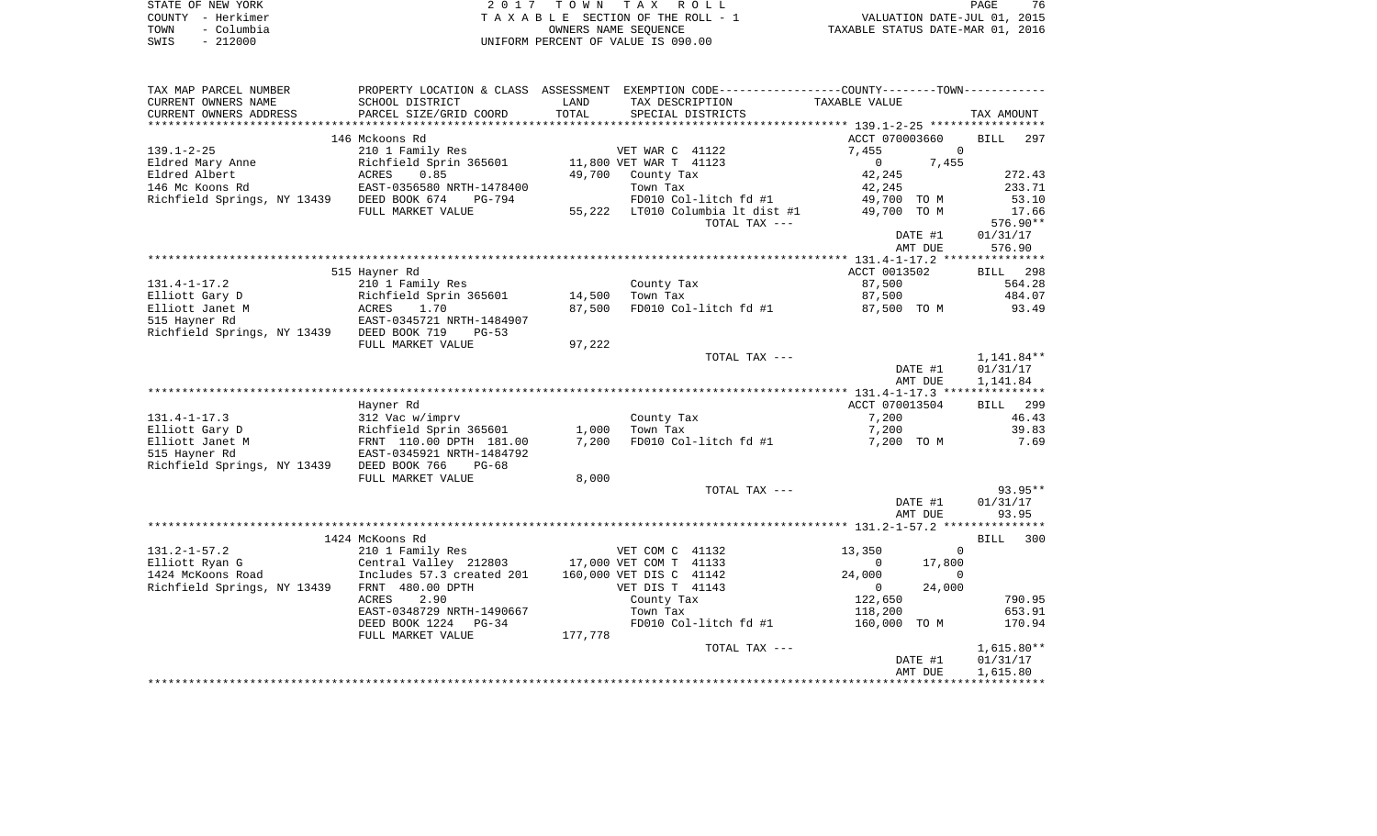| STATE OF NEW YORK  | 2017 TOWN TAX ROLL                                             | PAGE | 76 |
|--------------------|----------------------------------------------------------------|------|----|
| COUNTY - Herkimer  | VALUATION DATE-JUL 01, 2015<br>TAXABLE SECTION OF THE ROLL - 1 |      |    |
| TOWN<br>– Columbia | TAXABLE STATUS DATE-MAR 01, 2016<br>OWNERS NAME SEOUENCE       |      |    |
| $-212000$<br>SWIS  | UNIFORM PERCENT OF VALUE IS 090.00                             |      |    |

| TAX MAP PARCEL NUMBER            | PROPERTY LOCATION & CLASS ASSESSMENT EXEMPTION CODE---------------COUNTY-------TOWN---------- |         |                                  |                       |                    |
|----------------------------------|-----------------------------------------------------------------------------------------------|---------|----------------------------------|-----------------------|--------------------|
| CURRENT OWNERS NAME              | SCHOOL DISTRICT                                                                               | LAND    | TAX DESCRIPTION                  | TAXABLE VALUE         |                    |
| CURRENT OWNERS ADDRESS           | PARCEL SIZE/GRID COORD                                                                        | TOTAL   | SPECIAL DISTRICTS                |                       | TAX AMOUNT         |
|                                  |                                                                                               |         |                                  |                       |                    |
|                                  | 146 Mckoons Rd                                                                                |         |                                  | ACCT 070003660        | <b>BILL</b><br>297 |
| $139.1 - 2 - 25$                 | 210 1 Family Res                                                                              |         | VET WAR C 41122                  | $\mathbf 0$<br>7,455  |                    |
| Eldred Mary Anne                 | Richfield Sprin 365601                                                                        |         | 11,800 VET WAR T 41123           | 7,455<br>$\Omega$     |                    |
| Eldred Albert                    | ACRES<br>0.85                                                                                 | 49,700  | County Tax                       | 42,245                | 272.43             |
| 146 Mc Koons Rd                  | EAST-0356580 NRTH-1478400                                                                     |         | Town Tax                         | 42,245                | 233.71             |
| Richfield Springs, NY 13439      | DEED BOOK 674<br>PG-794                                                                       |         | FD010 Col-litch fd #1            | 49,700 TO M           | 53.10              |
|                                  | FULL MARKET VALUE                                                                             |         | 55,222 LT010 Columbia lt dist #1 | 49,700 TO M           | 17.66              |
|                                  |                                                                                               |         | TOTAL TAX ---                    |                       | 576.90**           |
|                                  |                                                                                               |         |                                  | DATE #1               | 01/31/17           |
|                                  |                                                                                               |         |                                  | AMT DUE               | 576.90             |
|                                  |                                                                                               |         |                                  | ACCT 0013502          |                    |
|                                  | 515 Hayner Rd                                                                                 |         |                                  |                       | BILL 298           |
| $131.4 - 1 - 17.2$               | 210 1 Family Res                                                                              |         | County Tax                       | 87,500                | 564.28             |
| Elliott Gary D                   | Richfield Sprin 365601                                                                        | 14,500  | Town Tax                         | 87,500                | 484.07             |
| Elliott Janet M<br>515 Hayner Rd | ACRES<br>1.70<br>EAST-0345721 NRTH-1484907                                                    | 87,500  | FD010 Col-litch fd #1            | 87,500 TO M           | 93.49              |
|                                  | DEED BOOK 719<br>$PG-53$                                                                      |         |                                  |                       |                    |
| Richfield Springs, NY 13439      | FULL MARKET VALUE                                                                             | 97,222  |                                  |                       |                    |
|                                  |                                                                                               |         | TOTAL TAX ---                    |                       | 1,141.84**         |
|                                  |                                                                                               |         |                                  | DATE #1               | 01/31/17           |
|                                  |                                                                                               |         |                                  | AMT DUE               | 1,141.84           |
|                                  |                                                                                               |         |                                  |                       |                    |
|                                  | Hayner Rd                                                                                     |         |                                  | ACCT 070013504        | BILL 299           |
| $131.4 - 1 - 17.3$               | 312 Vac w/imprv                                                                               |         | County Tax                       | 7,200                 | 46.43              |
| Elliott Gary D                   | Richfield Sprin 365601                                                                        | 1,000   | Town Tax                         | 7,200                 | 39.83              |
| Elliott Janet M                  | FRNT 110.00 DPTH 181.00                                                                       | 7,200   | FD010 Col-litch fd #1            | 7,200 TO M            | 7.69               |
| 515 Hayner Rd                    | EAST-0345921 NRTH-1484792                                                                     |         |                                  |                       |                    |
| Richfield Springs, NY 13439      | DEED BOOK 766<br>$PG-68$                                                                      |         |                                  |                       |                    |
|                                  | FULL MARKET VALUE                                                                             | 8,000   |                                  |                       |                    |
|                                  |                                                                                               |         | TOTAL TAX ---                    |                       | 93.95**            |
|                                  |                                                                                               |         |                                  | DATE #1               | 01/31/17           |
|                                  |                                                                                               |         |                                  | AMT DUE               | 93.95              |
|                                  |                                                                                               |         |                                  |                       |                    |
|                                  | 1424 McKoons Rd                                                                               |         |                                  |                       | BILL<br>300        |
| $131.2 - 1 - 57.2$               | 210 1 Family Res                                                                              |         | VET COM C 41132                  | 13,350<br>$\Omega$    |                    |
| Elliott Ryan G                   | Central Valley 212803                                                                         |         | 17,000 VET COM T 41133           | $\mathbf 0$<br>17,800 |                    |
| 1424 McKoons Road                | Includes 57.3 created 201                                                                     |         | 160,000 VET DIS C 41142          | 24,000<br>$\Omega$    |                    |
| Richfield Springs, NY 13439      | FRNT 480.00 DPTH                                                                              |         | VET DIS T 41143                  | 24,000<br>$\mathbf 0$ |                    |
|                                  | 2.90<br>ACRES                                                                                 |         | County Tax                       | 122,650               | 790.95             |
|                                  | EAST-0348729 NRTH-1490667                                                                     |         | Town Tax                         | 118,200               | 653.91             |
|                                  | DEED BOOK 1224 PG-34                                                                          |         | FD010 Col-litch fd #1            | 160,000 TO M          | 170.94             |
|                                  | FULL MARKET VALUE                                                                             | 177,778 |                                  |                       |                    |
|                                  |                                                                                               |         | TOTAL TAX ---                    |                       | $1,615.80**$       |
|                                  |                                                                                               |         |                                  | DATE #1               | 01/31/17           |
|                                  |                                                                                               |         |                                  | AMT DUE               | 1,615.80           |
|                                  |                                                                                               |         |                                  |                       |                    |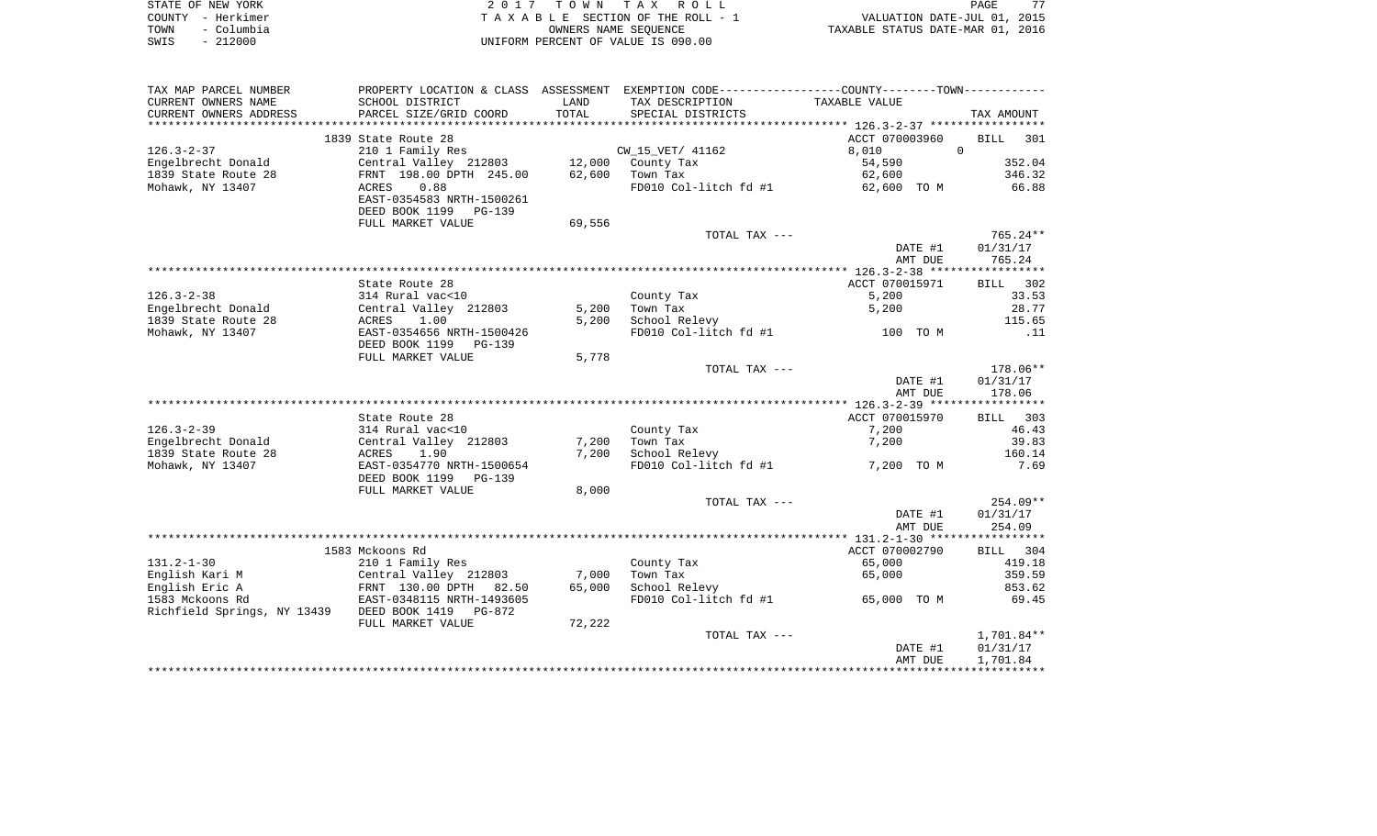|      | STATE OF NEW YORK | 2017 TOWN TAX ROLL                 | PAGE                             | 77 |
|------|-------------------|------------------------------------|----------------------------------|----|
|      | COUNTY - Herkimer | TAXABLE SECTION OF THE ROLL - 1    | VALUATION DATE-JUL 01, 2015      |    |
| TOWN | – Columbia        | OWNERS NAME SEOUENCE               | TAXABLE STATUS DATE-MAR 01, 2016 |    |
| SWIS | $-212000$         | INIFORM PERCENT OF VALUE IS 090.00 |                                  |    |

| TAX MAP PARCEL NUMBER       |                                                         |        | PROPERTY LOCATION & CLASS ASSESSMENT EXEMPTION CODE---------------COUNTY-------TOWN---------- |                    |                    |
|-----------------------------|---------------------------------------------------------|--------|-----------------------------------------------------------------------------------------------|--------------------|--------------------|
| CURRENT OWNERS NAME         | SCHOOL DISTRICT                                         | LAND   | TAX DESCRIPTION                                                                               | TAXABLE VALUE      |                    |
| CURRENT OWNERS ADDRESS      | PARCEL SIZE/GRID COORD                                  | TOTAL  | SPECIAL DISTRICTS                                                                             |                    | TAX AMOUNT         |
| ******************          |                                                         |        |                                                                                               |                    |                    |
|                             | 1839 State Route 28                                     |        |                                                                                               | ACCT 070003960     | 301<br><b>BILL</b> |
| $126.3 - 2 - 37$            | 210 1 Family Res                                        |        | CW_15_VET/ 41162                                                                              | 8,010              | $\mathbf 0$        |
| Engelbrecht Donald          | Central Valley 212803                                   |        | 12,000 County Tax                                                                             | 54,590             | 352.04             |
| 1839 State Route 28         | FRNT 198.00 DPTH 245.00                                 | 62,600 | Town Tax                                                                                      | 62,600             | 346.32             |
| Mohawk, NY 13407            | <b>ACRES</b><br>0.88<br>EAST-0354583 NRTH-1500261       |        | FD010 Col-litch fd #1                                                                         | 62,600 TO M        | 66.88              |
|                             | DEED BOOK 1199<br>PG-139                                |        |                                                                                               |                    |                    |
|                             | FULL MARKET VALUE                                       | 69,556 |                                                                                               |                    |                    |
|                             |                                                         |        | TOTAL TAX ---                                                                                 |                    | $765.24**$         |
|                             |                                                         |        |                                                                                               | DATE #1            | 01/31/17           |
|                             |                                                         |        |                                                                                               | AMT DUE            | 765.24             |
|                             |                                                         |        |                                                                                               |                    |                    |
|                             | State Route 28                                          |        |                                                                                               | ACCT 070015971     | 302<br>BILL        |
| $126.3 - 2 - 38$            | 314 Rural vac<10                                        |        | County Tax                                                                                    | 5,200              | 33.53              |
| Engelbrecht Donald          | Central Valley 212803                                   | 5,200  | Town Tax                                                                                      | 5,200              | 28.77              |
| 1839 State Route 28         | 1.00<br>ACRES                                           | 5,200  | School Relevy                                                                                 |                    | 115.65             |
| Mohawk, NY 13407            | EAST-0354656 NRTH-1500426<br>DEED BOOK 1199 PG-139      |        | FD010 Col-litch fd #1                                                                         | 100 TO M           | .11                |
|                             | FULL MARKET VALUE                                       | 5,778  |                                                                                               |                    |                    |
|                             |                                                         |        | TOTAL TAX ---                                                                                 |                    | 178.06**           |
|                             |                                                         |        |                                                                                               | DATE #1<br>AMT DUE | 01/31/17<br>178.06 |
|                             |                                                         |        |                                                                                               |                    |                    |
|                             | State Route 28                                          |        |                                                                                               | ACCT 070015970     | 303<br>BILL        |
| $126.3 - 2 - 39$            | 314 Rural vac<10                                        |        | County Tax                                                                                    | 7,200              | 46.43              |
| Engelbrecht Donald          | Central Valley 212803                                   | 7,200  | Town Tax                                                                                      | 7,200              | 39.83              |
| 1839 State Route 28         | <b>ACRES</b><br>1.90                                    | 7,200  | School Relevy                                                                                 |                    | 160.14             |
| Mohawk, NY 13407            | EAST-0354770 NRTH-1500654<br>DEED BOOK 1199<br>$PG-139$ |        | FD010 Col-litch fd #1                                                                         | 7,200 TO M         | 7.69               |
|                             | FULL MARKET VALUE                                       | 8,000  |                                                                                               |                    |                    |
|                             |                                                         |        | TOTAL TAX ---                                                                                 |                    | $254.09**$         |
|                             |                                                         |        |                                                                                               | DATE #1            | 01/31/17           |
|                             |                                                         |        |                                                                                               | AMT DUE            | 254.09             |
|                             |                                                         |        |                                                                                               |                    |                    |
|                             | 1583 Mckoons Rd                                         |        |                                                                                               | ACCT 070002790     | BILL<br>304        |
| $131.2 - 1 - 30$            | 210 1 Family Res                                        |        | County Tax                                                                                    | 65,000             | 419.18             |
| English Kari M              | Central Valley 212803                                   | 7,000  | Town Tax                                                                                      | 65,000             | 359.59             |
| English Eric A              | FRNT 130.00 DPTH<br>82.50                               | 65,000 | School Relevy                                                                                 |                    | 853.62             |
| 1583 Mckoons Rd             | EAST-0348115 NRTH-1493605                               |        | FD010 Col-litch fd #1                                                                         | 65,000 TO M        | 69.45              |
| Richfield Springs, NY 13439 | DEED BOOK 1419<br>$PG-872$                              |        |                                                                                               |                    |                    |
|                             | FULL MARKET VALUE                                       | 72,222 |                                                                                               |                    |                    |
|                             |                                                         |        | TOTAL TAX ---                                                                                 |                    | 1,701.84**         |
|                             |                                                         |        |                                                                                               | DATE #1            | 01/31/17           |
|                             |                                                         |        |                                                                                               | AMT DUE            | 1,701.84           |
|                             |                                                         |        |                                                                                               |                    |                    |
|                             |                                                         |        |                                                                                               |                    |                    |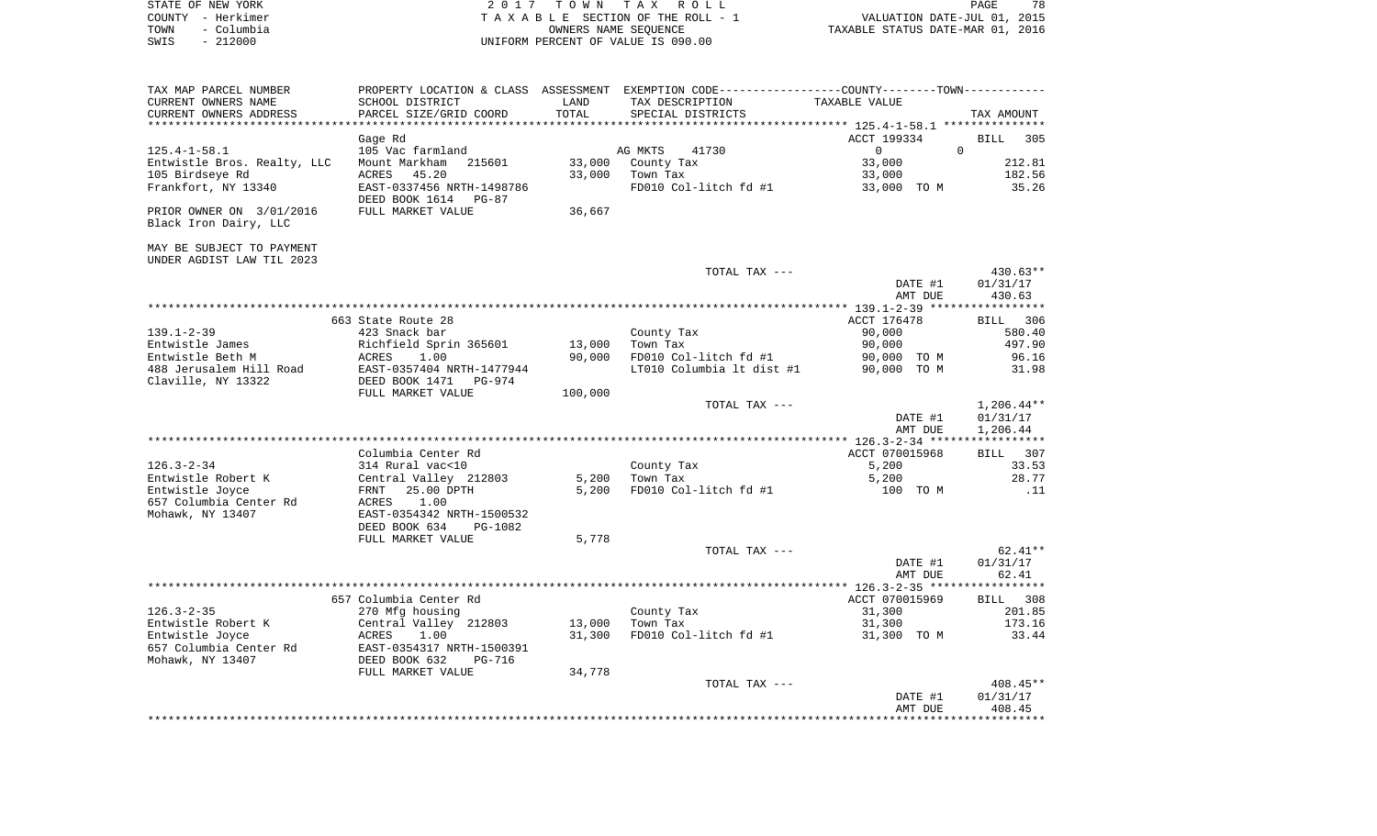|      | STATE OF NEW YORK | 2017 TOWN TAX ROLL                 |                                  | PAGE                        | 78 |
|------|-------------------|------------------------------------|----------------------------------|-----------------------------|----|
|      | COUNTY - Herkimer | TAXABLE SECTION OF THE ROLL - 1    |                                  | VALUATION DATE-JUL 01, 2015 |    |
| TOWN | - Columbia        | OWNERS NAME SEOUENCE               | TAXABLE STATUS DATE-MAR 01, 2016 |                             |    |
| SWIS | $-212000$         | UNIFORM PERCENT OF VALUE IS 090.00 |                                  |                             |    |
|      |                   |                                    |                                  |                             |    |

| TAX MAP PARCEL NUMBER       |                           |         | PROPERTY LOCATION & CLASS ASSESSMENT EXEMPTION CODE-----------------COUNTY-------TOWN-------- |                |                    |
|-----------------------------|---------------------------|---------|-----------------------------------------------------------------------------------------------|----------------|--------------------|
| CURRENT OWNERS NAME         | SCHOOL DISTRICT           | LAND    | TAX DESCRIPTION                                                                               | TAXABLE VALUE  |                    |
| CURRENT OWNERS ADDRESS      | PARCEL SIZE/GRID COORD    | TOTAL   | SPECIAL DISTRICTS                                                                             |                | TAX AMOUNT         |
|                             |                           |         |                                                                                               |                |                    |
|                             | Gage Rd                   |         |                                                                                               | ACCT 199334    | <b>BILL</b><br>305 |
| $125.4 - 1 - 58.1$          | 105 Vac farmland          |         | AG MKTS<br>41730                                                                              | $\overline{0}$ | $\Omega$           |
| Entwistle Bros. Realty, LLC | Mount Markham<br>215601   | 33,000  | County Tax                                                                                    | 33,000         | 212.81             |
| 105 Birdseye Rd             | 45.20<br>ACRES            | 33,000  | Town Tax                                                                                      | 33,000         | 182.56             |
| Frankfort, NY 13340         | EAST-0337456 NRTH-1498786 |         | FD010 Col-litch fd #1                                                                         | 33,000 TO M    | 35.26              |
|                             | DEED BOOK 1614 PG-87      |         |                                                                                               |                |                    |
| PRIOR OWNER ON 3/01/2016    | FULL MARKET VALUE         | 36,667  |                                                                                               |                |                    |
| Black Iron Dairy, LLC       |                           |         |                                                                                               |                |                    |
|                             |                           |         |                                                                                               |                |                    |
| MAY BE SUBJECT TO PAYMENT   |                           |         |                                                                                               |                |                    |
| UNDER AGDIST LAW TIL 2023   |                           |         |                                                                                               |                |                    |
|                             |                           |         | TOTAL TAX ---                                                                                 |                | 430.63**           |
|                             |                           |         |                                                                                               | DATE #1        | 01/31/17           |
|                             |                           |         |                                                                                               |                |                    |
|                             |                           |         |                                                                                               | AMT DUE        | 430.63             |
|                             |                           |         |                                                                                               |                |                    |
|                             | 663 State Route 28        |         |                                                                                               | ACCT 176478    | 306<br>BILL        |
| $139.1 - 2 - 39$            | 423 Snack bar             |         | County Tax                                                                                    | 90,000         | 580.40             |
| Entwistle James             | Richfield Sprin 365601    | 13,000  | Town Tax                                                                                      | 90,000         | 497.90             |
| Entwistle Beth M            | ACRES<br>1.00             | 90,000  | FD010 Col-litch fd #1                                                                         | 90,000 TO M    | 96.16              |
| 488 Jerusalem Hill Road     | EAST-0357404 NRTH-1477944 |         | LT010 Columbia lt dist #1                                                                     | 90,000 TO M    | 31.98              |
| Claville, NY 13322          | DEED BOOK 1471<br>PG-974  |         |                                                                                               |                |                    |
|                             | FULL MARKET VALUE         | 100,000 |                                                                                               |                |                    |
|                             |                           |         | TOTAL TAX ---                                                                                 |                | $1,206.44**$       |
|                             |                           |         |                                                                                               | DATE #1        | 01/31/17           |
|                             |                           |         |                                                                                               | AMT DUE        | 1,206.44           |
|                             |                           |         |                                                                                               |                |                    |
|                             | Columbia Center Rd        |         |                                                                                               | ACCT 070015968 | 307<br><b>BILL</b> |
| $126.3 - 2 - 34$            | 314 Rural vac<10          |         | County Tax                                                                                    | 5,200          | 33.53              |
| Entwistle Robert K          | Central Valley 212803     | 5,200   | Town Tax                                                                                      | 5,200          | 28.77              |
| Entwistle Joyce             | 25.00 DPTH<br>FRNT        | 5,200   | FD010 Col-litch fd #1                                                                         | 100 TO M       | $\ldots$ 11        |
| 657 Columbia Center Rd      | ACRES<br>1.00             |         |                                                                                               |                |                    |
| Mohawk, NY 13407            | EAST-0354342 NRTH-1500532 |         |                                                                                               |                |                    |
|                             | DEED BOOK 634<br>PG-1082  |         |                                                                                               |                |                    |
|                             | FULL MARKET VALUE         | 5,778   |                                                                                               |                |                    |
|                             |                           |         | TOTAL TAX ---                                                                                 |                | $62.41**$          |
|                             |                           |         |                                                                                               | DATE #1        | 01/31/17           |
|                             |                           |         |                                                                                               | AMT DUE        | 62.41              |
|                             |                           |         |                                                                                               |                |                    |
|                             | 657 Columbia Center Rd    |         |                                                                                               | ACCT 070015969 | BILL 308           |
| $126.3 - 2 - 35$            | 270 Mfg housing           |         | County Tax                                                                                    | 31,300         | 201.85             |
| Entwistle Robert K          | Central Valley 212803     | 13,000  | Town Tax                                                                                      | 31,300         | 173.16             |
| Entwistle Joyce             | ACRES<br>1.00             | 31,300  | FD010 Col-litch fd #1                                                                         | 31,300 TO M    | 33.44              |
|                             |                           |         |                                                                                               |                |                    |
| 657 Columbia Center Rd      | EAST-0354317 NRTH-1500391 |         |                                                                                               |                |                    |
| Mohawk, NY 13407            | DEED BOOK 632<br>PG-716   |         |                                                                                               |                |                    |
|                             | FULL MARKET VALUE         | 34,778  |                                                                                               |                |                    |
|                             |                           |         | TOTAL TAX ---                                                                                 |                | 408.45**           |
|                             |                           |         |                                                                                               | DATE #1        | 01/31/17           |
|                             |                           |         |                                                                                               | AMT DUE        | 408.45             |
|                             |                           |         |                                                                                               |                |                    |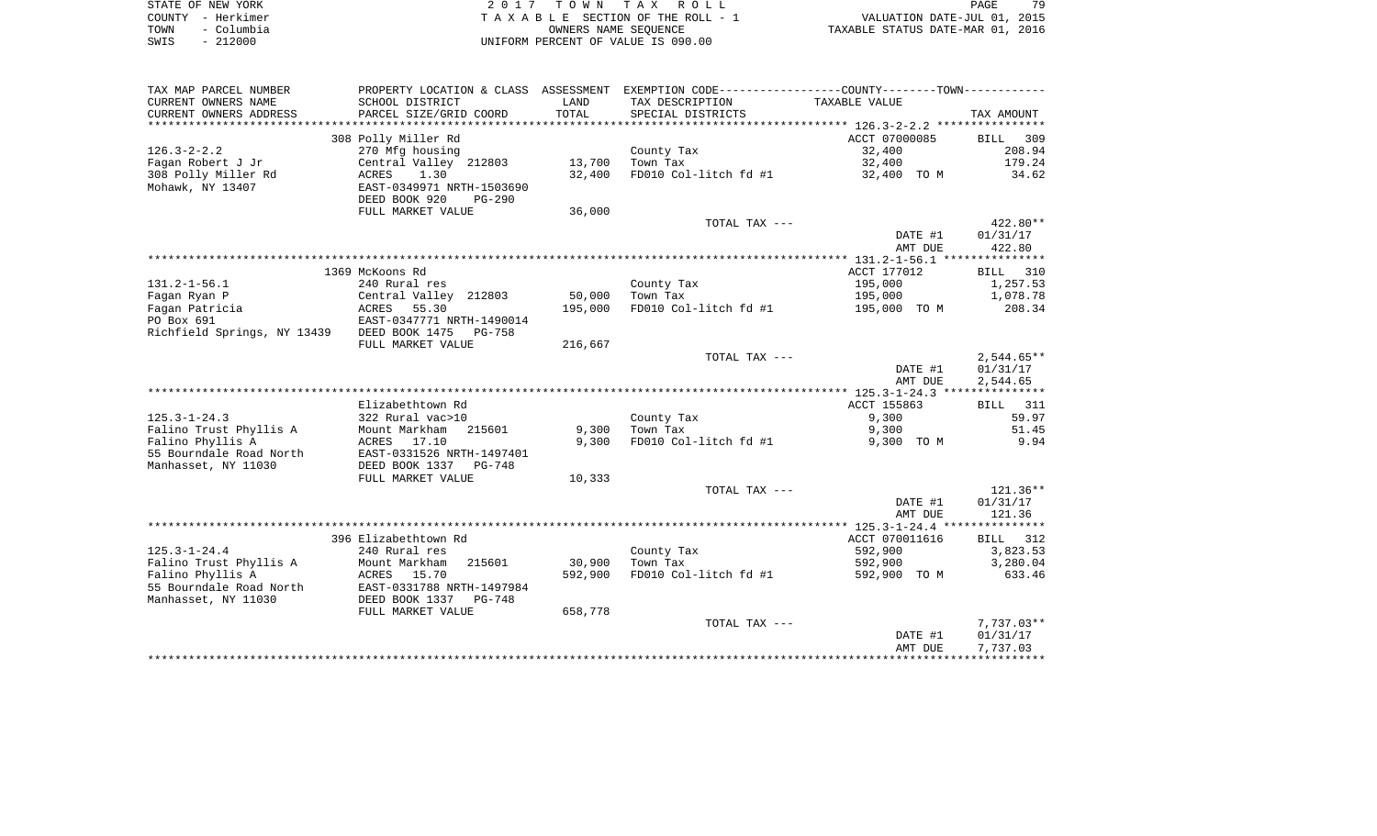| STATE OF NEW YORK  | 2017 TOWN TAX ROLL                 | 79<br>PAGE                       |
|--------------------|------------------------------------|----------------------------------|
| COUNTY - Herkimer  | TAXABLE SECTION OF THE ROLL - 1    | VALUATION DATE-JUL 01, 2015      |
| – Columbia<br>TOWN | OWNERS NAME SEOUENCE               | TAXABLE STATUS DATE-MAR 01, 2016 |
| $-212000$<br>SWIS  | UNIFORM PERCENT OF VALUE IS 090.00 |                                  |

| TAX MAP PARCEL NUMBER       | PROPERTY LOCATION & CLASS ASSESSMENT |         | EXEMPTION CODE----------------COUNTY-------TOWN----------- |                |                      |
|-----------------------------|--------------------------------------|---------|------------------------------------------------------------|----------------|----------------------|
| CURRENT OWNERS NAME         | SCHOOL DISTRICT                      | LAND    | TAX DESCRIPTION                                            | TAXABLE VALUE  |                      |
| CURRENT OWNERS ADDRESS      | PARCEL SIZE/GRID COORD               | TOTAL   | SPECIAL DISTRICTS                                          |                | TAX AMOUNT           |
| *******************         |                                      |         |                                                            |                | *****                |
|                             | 308 Polly Miller Rd                  |         |                                                            | ACCT 07000085  | BILL<br>309          |
| $126.3 - 2 - 2.2$           | 270 Mfg housing                      |         | County Tax                                                 | 32,400         | 208.94               |
| Fagan Robert J Jr           | Central Valley 212803                | 13,700  | Town Tax                                                   | 32,400         | 179.24               |
| 308 Polly Miller Rd         | 1.30<br>ACRES                        | 32,400  | FD010 Col-litch fd #1                                      | 32,400 TO M    | 34.62                |
| Mohawk, NY 13407            | EAST-0349971 NRTH-1503690            |         |                                                            |                |                      |
|                             | DEED BOOK 920<br><b>PG-290</b>       |         |                                                            |                |                      |
|                             | FULL MARKET VALUE                    | 36,000  |                                                            |                |                      |
|                             |                                      |         | TOTAL TAX ---                                              |                | 422.80**             |
|                             |                                      |         |                                                            | DATE #1        | 01/31/17             |
|                             |                                      |         |                                                            | AMT DUE        | 422.80               |
|                             |                                      |         |                                                            |                |                      |
|                             | 1369 McKoons Rd                      |         |                                                            | ACCT 177012    | BILL 310             |
| $131.2 - 1 - 56.1$          | 240 Rural res                        |         | County Tax                                                 | 195,000        | 1,257.53             |
| Fagan Ryan P                | Central Valley 212803                | 50,000  | Town Tax                                                   | 195,000        | 1,078.78             |
| Fagan Patricia              | ACRES 55.30                          | 195,000 | FD010 Col-litch fd #1                                      | 195,000 TO M   | 208.34               |
| PO Box 691                  | EAST-0347771 NRTH-1490014            |         |                                                            |                |                      |
| Richfield Springs, NY 13439 | DEED BOOK 1475<br>PG-758             |         |                                                            |                |                      |
|                             | FULL MARKET VALUE                    | 216,667 |                                                            |                |                      |
|                             |                                      |         | TOTAL TAX ---                                              |                | $2,544.65**$         |
|                             |                                      |         |                                                            | DATE #1        | 01/31/17             |
|                             |                                      |         |                                                            | AMT DUE        | 2,544.65             |
|                             |                                      |         |                                                            |                |                      |
|                             | Elizabethtown Rd                     |         |                                                            | ACCT 155863    | <b>BILL</b> 311      |
| $125.3 - 1 - 24.3$          | 322 Rural vac>10                     |         | County Tax                                                 | 9,300          | 59.97                |
| Falino Trust Phyllis A      | Mount Markham<br>215601              | 9,300   | Town Tax                                                   | 9,300          | 51.45                |
| Falino Phyllis A            | ACRES 17.10                          | 9,300   | FD010 Col-litch fd #1                                      | 9,300 TO M     | 9.94                 |
| 55 Bourndale Road North     | EAST-0331526 NRTH-1497401            |         |                                                            |                |                      |
| Manhasset, NY 11030         | DEED BOOK 1337<br>PG-748             |         |                                                            |                |                      |
|                             | FULL MARKET VALUE                    | 10,333  |                                                            |                |                      |
|                             |                                      |         | TOTAL TAX ---                                              |                | $121.36**$           |
|                             |                                      |         |                                                            | DATE #1        | 01/31/17             |
|                             |                                      |         |                                                            | AMT DUE        | 121.36               |
|                             |                                      |         |                                                            |                |                      |
|                             | 396 Elizabethtown Rd                 |         |                                                            | ACCT 070011616 | 312<br>BILL          |
| $125.3 - 1 - 24.4$          | 240 Rural res                        |         | County Tax                                                 | 592,900        | 3,823.53             |
| Falino Trust Phyllis A      | Mount Markham<br>215601              | 30,900  | Town Tax                                                   | 592,900        | 3,280.04             |
| Falino Phyllis A            | ACRES<br>15.70                       | 592,900 | FD010 Col-litch fd #1                                      | 592,900 TO M   | 633.46               |
| 55 Bourndale Road North     | EAST-0331788 NRTH-1497984            |         |                                                            |                |                      |
| Manhasset, NY 11030         | DEED BOOK 1337<br>$PG-748$           |         |                                                            |                |                      |
|                             | FULL MARKET VALUE                    | 658,778 |                                                            |                |                      |
|                             |                                      |         | TOTAL TAX ---                                              |                | $7,737.03**$         |
|                             |                                      |         |                                                            | DATE #1        | 01/31/17<br>7,737.03 |
|                             |                                      |         |                                                            | AMT DUE        | ***********          |
|                             |                                      |         |                                                            |                |                      |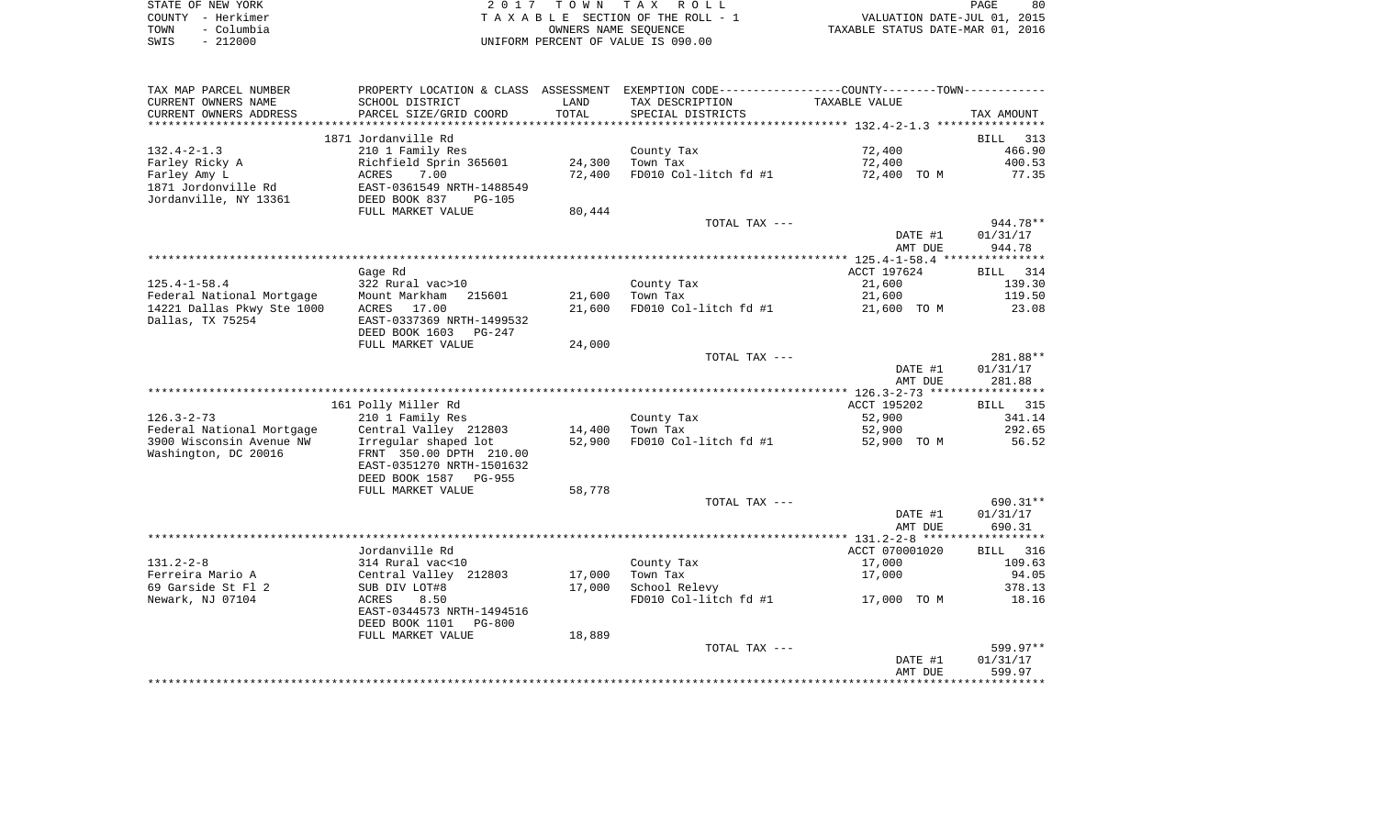| STATE OF NEW YORK  | 2017 TOWN TAX ROLL                 | -80<br>PAGE                      |
|--------------------|------------------------------------|----------------------------------|
| COUNTY - Herkimer  | TAXABLE SECTION OF THE ROLL - 1    | VALUATION DATE-JUL 01, 2015      |
| - Columbia<br>TOWN | OWNERS NAME SEOUENCE               | TAXABLE STATUS DATE-MAR 01, 2016 |
| $-212000$<br>SWIS  | UNIFORM PERCENT OF VALUE IS 090.00 |                                  |

 $\begin{array}{c} 80 \\ 2015 \\ 2016 \end{array}$ 

| TAX MAP PARCEL NUMBER                          |                                                       |                | PROPERTY LOCATION & CLASS ASSESSMENT EXEMPTION CODE----------------COUNTY--------TOWN---------- |                |                    |
|------------------------------------------------|-------------------------------------------------------|----------------|-------------------------------------------------------------------------------------------------|----------------|--------------------|
| CURRENT OWNERS NAME                            | SCHOOL DISTRICT                                       | LAND           | TAX DESCRIPTION                                                                                 | TAXABLE VALUE  |                    |
| CURRENT OWNERS ADDRESS                         | PARCEL SIZE/GRID COORD                                | TOTAL          | SPECIAL DISTRICTS                                                                               |                | TAX AMOUNT         |
| *****************                              |                                                       | ************** |                                                                                                 |                |                    |
|                                                | 1871 Jordanville Rd                                   |                |                                                                                                 |                | <b>BILL</b><br>313 |
| $132.4 - 2 - 1.3$                              | 210 1 Family Res                                      |                | County Tax                                                                                      | 72,400         | 466.90             |
| Farley Ricky A                                 | Richfield Sprin 365601                                | 24,300         | Town Tax                                                                                        | 72,400         | 400.53             |
| Farley Amy L                                   | ACRES<br>7.00                                         | 72,400         | FD010 Col-litch fd #1                                                                           | 72,400 TO M    | 77.35              |
| 1871 Jordonville Rd                            | EAST-0361549 NRTH-1488549                             |                |                                                                                                 |                |                    |
| Jordanville, NY 13361                          | DEED BOOK 837<br><b>PG-105</b>                        |                |                                                                                                 |                |                    |
|                                                | FULL MARKET VALUE                                     | 80,444         |                                                                                                 |                |                    |
|                                                |                                                       |                | TOTAL TAX ---                                                                                   |                | 944.78**           |
|                                                |                                                       |                |                                                                                                 | DATE #1        | 01/31/17           |
|                                                |                                                       |                |                                                                                                 | AMT DUE        | 944.78             |
|                                                |                                                       |                |                                                                                                 |                |                    |
|                                                | Gage Rd                                               |                |                                                                                                 | ACCT 197624    | BILL 314           |
| $125.4 - 1 - 58.4$                             | 322 Rural vac>10                                      |                | County Tax                                                                                      | 21,600         | 139.30             |
| Federal National Mortgage                      | Mount Markham<br>215601                               | 21,600         | Town Tax                                                                                        | 21,600         | 119.50             |
| 14221 Dallas Pkwy Ste 1000<br>Dallas, TX 75254 | 17.00<br>ACRES<br>EAST-0337369 NRTH-1499532           | 21,600         | FD010 Col-litch fd #1                                                                           | 21,600 TO M    | 23.08              |
|                                                | DEED BOOK 1603<br>$PG-247$                            |                |                                                                                                 |                |                    |
|                                                | FULL MARKET VALUE                                     | 24,000         |                                                                                                 |                |                    |
|                                                |                                                       |                | TOTAL TAX ---                                                                                   |                | 281.88**           |
|                                                |                                                       |                |                                                                                                 | DATE #1        | 01/31/17           |
|                                                |                                                       |                |                                                                                                 | AMT DUE        | 281.88             |
|                                                |                                                       |                |                                                                                                 |                |                    |
|                                                | 161 Polly Miller Rd                                   |                |                                                                                                 | ACCT 195202    | BILL 315           |
| $126.3 - 2 - 73$                               | 210 1 Family Res                                      |                | County Tax                                                                                      | 52,900         | 341.14             |
| Federal National Mortgage                      | Central Valley 212803                                 | 14,400         | Town Tax                                                                                        | 52,900         | 292.65             |
| 3900 Wisconsin Avenue NW                       | Irregular shaped lot                                  | 52,900         | FD010 Col-litch fd #1                                                                           | 52,900 TO M    | 56.52              |
| Washington, DC 20016                           | FRNT 350.00 DPTH 210.00                               |                |                                                                                                 |                |                    |
|                                                | EAST-0351270 NRTH-1501632                             |                |                                                                                                 |                |                    |
|                                                | DEED BOOK 1587 PG-955                                 |                |                                                                                                 |                |                    |
|                                                | FULL MARKET VALUE                                     | 58,778         |                                                                                                 |                |                    |
|                                                |                                                       |                | TOTAL TAX ---                                                                                   |                | 690.31**           |
|                                                |                                                       |                |                                                                                                 | DATE #1        | 01/31/17           |
|                                                |                                                       |                |                                                                                                 | AMT DUE        | 690.31             |
|                                                |                                                       |                |                                                                                                 |                |                    |
|                                                | Jordanville Rd                                        |                |                                                                                                 | ACCT 070001020 | BILL 316           |
| $131.2 - 2 - 8$                                | 314 Rural vac<10                                      |                | County Tax                                                                                      | 17,000         | 109.63             |
| Ferreira Mario A                               | Central Valley 212803                                 | 17,000         | Town Tax                                                                                        | 17,000         | 94.05              |
| 69 Garside St Fl 2                             | SUB DIV LOT#8                                         | 17,000         | School Relevy                                                                                   |                | 378.13             |
| Newark, NJ 07104                               | 8.50<br>ACRES                                         |                | FD010 Col-litch fd #1                                                                           | 17,000 TO M    | 18.16              |
|                                                | EAST-0344573 NRTH-1494516<br>DEED BOOK 1101<br>PG-800 |                |                                                                                                 |                |                    |
|                                                |                                                       | 18,889         |                                                                                                 |                |                    |
|                                                | FULL MARKET VALUE                                     |                | TOTAL TAX ---                                                                                   |                | 599.97**           |
|                                                |                                                       |                |                                                                                                 | DATE #1        | 01/31/17           |
|                                                |                                                       |                |                                                                                                 | AMT DUE        | 599.97             |
|                                                |                                                       |                |                                                                                                 |                |                    |
|                                                |                                                       |                |                                                                                                 |                |                    |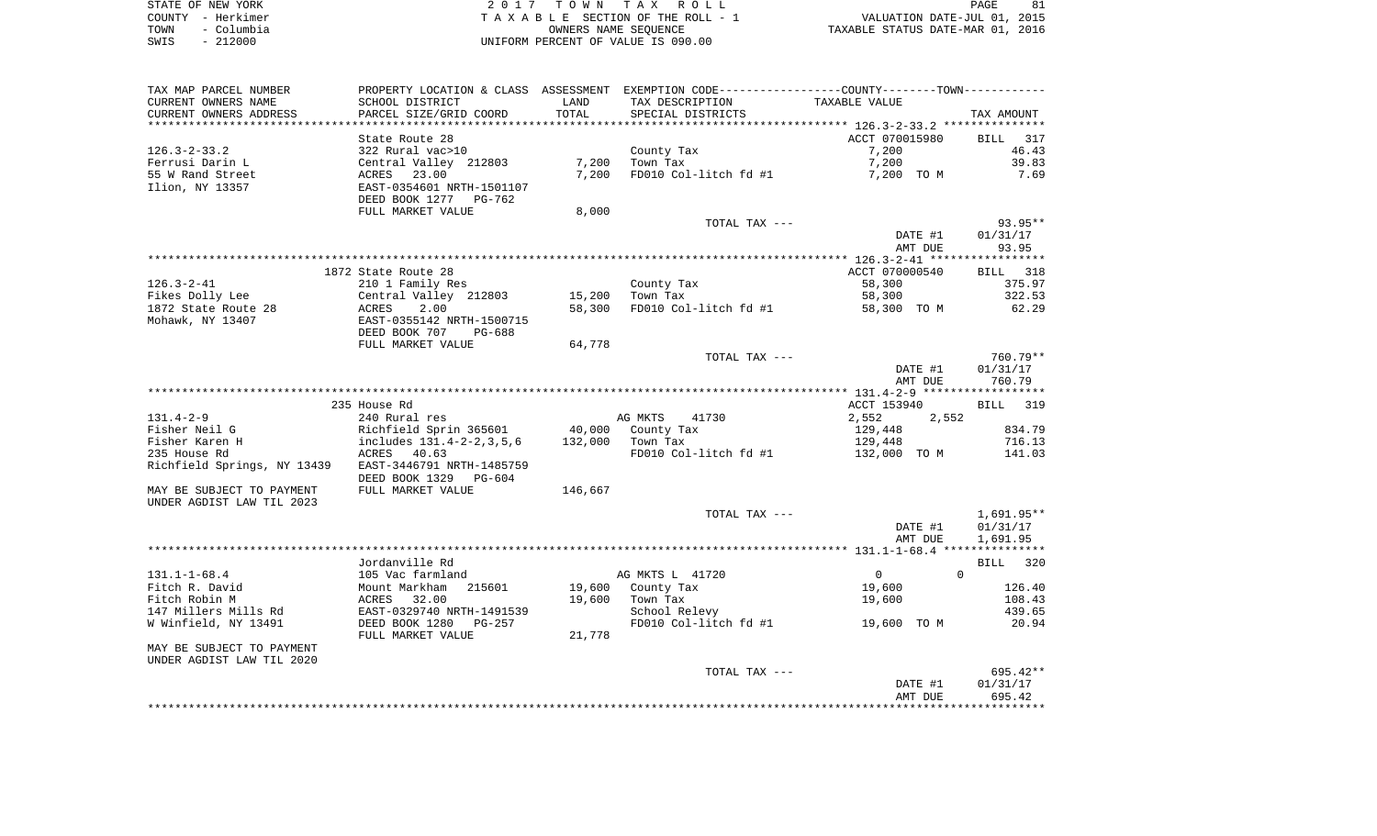| STATE OF NEW YORK  | 2017 TOWN TAX ROLL                 | 81<br>PAGE                       |
|--------------------|------------------------------------|----------------------------------|
| COUNTY - Herkimer  | TAXABLE SECTION OF THE ROLL - 1    | VALUATION DATE-JUL 01, 2015      |
| – Columbia<br>TOWN | OWNERS NAME SEOUENCE               | TAXABLE STATUS DATE-MAR 01, 2016 |
| $-212000$<br>SWIS  | UNIFORM PERCENT OF VALUE IS 090.00 |                                  |

| TAX MAP PARCEL NUMBER       |                                               |         | PROPERTY LOCATION & CLASS ASSESSMENT EXEMPTION CODE----------------COUNTY--------TOWN----------- |                          |             |
|-----------------------------|-----------------------------------------------|---------|--------------------------------------------------------------------------------------------------|--------------------------|-------------|
| CURRENT OWNERS NAME         | SCHOOL DISTRICT                               | LAND    | TAX DESCRIPTION                                                                                  | TAXABLE VALUE            |             |
| CURRENT OWNERS ADDRESS      | PARCEL SIZE/GRID COORD                        | TOTAL   | SPECIAL DISTRICTS                                                                                |                          | TAX AMOUNT  |
|                             |                                               |         |                                                                                                  |                          |             |
|                             | State Route 28                                |         |                                                                                                  | ACCT 070015980           | 317<br>BILL |
| $126.3 - 2 - 33.2$          | 322 Rural vac>10                              |         | County Tax                                                                                       | 7,200                    | 46.43       |
| Ferrusi Darin L             | Central Valley 212803                         | 7,200   | Town Tax                                                                                         | 7,200                    | 39.83       |
| 55 W Rand Street            | ACRES 23.00                                   | 7,200   | FD010 Col-litch fd #1                                                                            | 7,200 TO M               | 7.69        |
| Ilion, NY 13357             | EAST-0354601 NRTH-1501107                     |         |                                                                                                  |                          |             |
|                             | DEED BOOK 1277 PG-762                         |         |                                                                                                  |                          |             |
|                             | FULL MARKET VALUE                             | 8,000   |                                                                                                  |                          | 93.95**     |
|                             |                                               |         | TOTAL TAX ---                                                                                    | DATE #1                  | 01/31/17    |
|                             |                                               |         |                                                                                                  | AMT DUE                  | 93.95       |
|                             |                                               |         |                                                                                                  |                          |             |
|                             | 1872 State Route 28                           |         |                                                                                                  | ACCT 070000540           | BILL 318    |
| $126.3 - 2 - 41$            | 210 1 Family Res                              |         | County Tax                                                                                       | 58,300                   | 375.97      |
| Fikes Dolly Lee             | Central Valley 212803                         | 15,200  | Town Tax                                                                                         | 58,300                   | 322.53      |
| 1872 State Route 28         | ACRES<br>2.00                                 | 58,300  | FD010 Col-litch fd #1                                                                            | 58,300 TO M              | 62.29       |
| Mohawk, NY 13407            | EAST-0355142 NRTH-1500715                     |         |                                                                                                  |                          |             |
|                             | DEED BOOK 707<br>PG-688                       |         |                                                                                                  |                          |             |
|                             | FULL MARKET VALUE                             | 64,778  |                                                                                                  |                          |             |
|                             |                                               |         | TOTAL TAX ---                                                                                    |                          | 760.79**    |
|                             |                                               |         |                                                                                                  | DATE #1                  | 01/31/17    |
|                             |                                               |         |                                                                                                  | AMT DUE                  | 760.79      |
|                             |                                               |         |                                                                                                  |                          |             |
|                             | 235 House Rd                                  |         |                                                                                                  | ACCT 153940              | BILL 319    |
| $131.4 - 2 - 9$             | 240 Rural res                                 |         | AG MKTS<br>41730                                                                                 | 2,552<br>2,552           |             |
| Fisher Neil G               | Richfield Sprin 365601                        | 40,000  | County Tax                                                                                       | 129,448                  | 834.79      |
| Fisher Karen H              | includes 131.4-2-2, 3, 5, 6                   | 132,000 | Town Tax                                                                                         | 129,448                  | 716.13      |
| 235 House Rd                | ACRES 40.63                                   |         | FD010 Col-litch fd #1                                                                            | 132,000 TO M             | 141.03      |
| Richfield Springs, NY 13439 | EAST-3446791 NRTH-1485759                     |         |                                                                                                  |                          |             |
|                             | DEED BOOK 1329<br>PG-604<br>FULL MARKET VALUE |         |                                                                                                  |                          |             |
| MAY BE SUBJECT TO PAYMENT   |                                               | 146,667 |                                                                                                  |                          |             |
| UNDER AGDIST LAW TIL 2023   |                                               |         | TOTAL TAX ---                                                                                    |                          | 1,691.95**  |
|                             |                                               |         |                                                                                                  | DATE #1                  | 01/31/17    |
|                             |                                               |         |                                                                                                  | AMT DUE                  | 1,691.95    |
|                             |                                               |         |                                                                                                  |                          |             |
|                             | Jordanville Rd                                |         |                                                                                                  |                          | 320<br>BILL |
| $131.1 - 1 - 68.4$          | 105 Vac farmland                              |         | AG MKTS L 41720                                                                                  | $\Omega$<br>$\mathsf{O}$ |             |
| Fitch R. David              | 215601<br>Mount Markham                       | 19,600  | County Tax                                                                                       | 19,600                   | 126.40      |
| Fitch Robin M               | ACRES<br>32.00                                | 19,600  | Town Tax                                                                                         | 19,600                   | 108.43      |
| 147 Millers Mills Rd        | EAST-0329740 NRTH-1491539                     |         | School Relevy                                                                                    |                          | 439.65      |
| W Winfield, NY 13491        | DEED BOOK 1280<br><b>PG-257</b>               |         | FD010 Col-litch fd #1                                                                            | 19,600 TO M              | 20.94       |
|                             | FULL MARKET VALUE                             | 21,778  |                                                                                                  |                          |             |
| MAY BE SUBJECT TO PAYMENT   |                                               |         |                                                                                                  |                          |             |
| UNDER AGDIST LAW TIL 2020   |                                               |         |                                                                                                  |                          |             |
|                             |                                               |         | TOTAL TAX ---                                                                                    |                          | $695.42**$  |
|                             |                                               |         |                                                                                                  | DATE #1                  | 01/31/17    |
|                             |                                               |         |                                                                                                  | AMT DUE                  | 695.42      |
|                             |                                               |         |                                                                                                  |                          |             |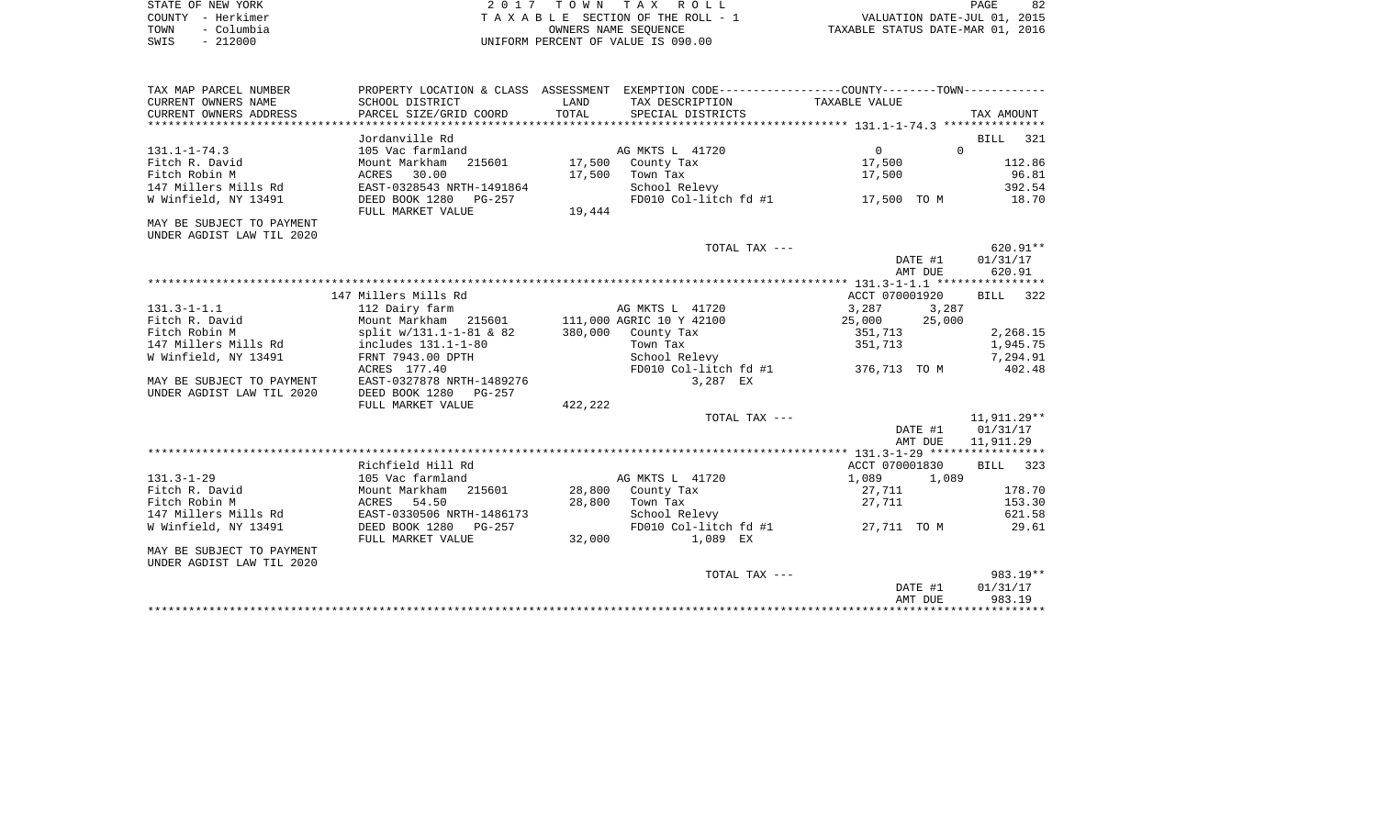| STATE OF NEW YORK  | 2017 TOWN TAX ROLL                 | 82<br>PAGE                       |
|--------------------|------------------------------------|----------------------------------|
| COUNTY – Herkimer  | TAXABLE SECTION OF THE ROLL - 1    | VALUATION DATE-JUL 01, 2015      |
| – Columbia<br>TOWN | OWNERS NAME SEOUENCE               | TAXABLE STATUS DATE-MAR 01, 2016 |
| $-212000$<br>SWIS  | UNIFORM PERCENT OF VALUE IS 090.00 |                                  |

| TAX MAP PARCEL NUMBER     | PROPERTY LOCATION & CLASS ASSESSMENT EXEMPTION CODE----------------COUNTY--------TOWN----------- |         |                          |                  |             |
|---------------------------|--------------------------------------------------------------------------------------------------|---------|--------------------------|------------------|-------------|
| CURRENT OWNERS NAME       | SCHOOL DISTRICT                                                                                  | LAND    | TAX DESCRIPTION          | TAXABLE VALUE    |             |
| CURRENT OWNERS ADDRESS    | PARCEL SIZE/GRID COORD                                                                           | TOTAL   | SPECIAL DISTRICTS        |                  | TAX AMOUNT  |
|                           |                                                                                                  |         |                          |                  |             |
|                           | Jordanville Rd                                                                                   |         |                          |                  | BILL 321    |
| $131.1 - 1 - 74.3$        | 105 Vac farmland                                                                                 |         | AG MKTS L 41720          | $\overline{0}$   | $\Omega$    |
| Fitch R. David            | Mount Markham<br>215601                                                                          | 17,500  | County Tax               | 17,500           | 112.86      |
| Fitch Robin M             | ACRES 30.00                                                                                      | 17,500  | Town Tax                 | 17,500           | 96.81       |
| 147 Millers Mills Rd      | EAST-0328543 NRTH-1491864                                                                        |         | School Relevy            |                  | 392.54      |
| W Winfield, NY 13491      | DEED BOOK 1280<br>PG-257                                                                         |         | FD010 Col-litch fd #1    | 17,500 TO M      | 18.70       |
|                           | FULL MARKET VALUE                                                                                | 19,444  |                          |                  |             |
| MAY BE SUBJECT TO PAYMENT |                                                                                                  |         |                          |                  |             |
| UNDER AGDIST LAW TIL 2020 |                                                                                                  |         |                          |                  |             |
|                           |                                                                                                  |         | TOTAL TAX ---            |                  | $620.91**$  |
|                           |                                                                                                  |         |                          | DATE #1          | 01/31/17    |
|                           |                                                                                                  |         |                          | AMT DUE          | 620.91      |
|                           |                                                                                                  |         |                          |                  |             |
|                           | 147 Millers Mills Rd                                                                             |         |                          | ACCT 070001920   | 322<br>BILL |
| $131.3 - 1 - 1.1$         | 112 Dairy farm                                                                                   |         | AG MKTS L 41720          | 3,287<br>3,287   |             |
| Fitch R. David            | Mount Markham 215601                                                                             |         | 111,000 AGRIC 10 Y 42100 | 25,000<br>25,000 |             |
| Fitch Robin M             | split w/131.1-1-81 & 82                                                                          | 380,000 | County Tax               | 351,713          | 2,268.15    |
| 147 Millers Mills Rd      | includes 131.1-1-80                                                                              |         | Town Tax                 | 351,713          | 1,945.75    |
| W Winfield, NY 13491      | FRNT 7943.00 DPTH                                                                                |         | School Relevy            |                  | 7,294.91    |
|                           | ACRES 177.40                                                                                     |         | FD010 Col-litch fd #1    | 376,713 TO M     | 402.48      |
| MAY BE SUBJECT TO PAYMENT | EAST-0327878 NRTH-1489276                                                                        |         | 3,287 EX                 |                  |             |
| UNDER AGDIST LAW TIL 2020 | DEED BOOK 1280<br>PG-257                                                                         |         |                          |                  |             |
|                           | FULL MARKET VALUE                                                                                | 422,222 |                          |                  |             |
|                           |                                                                                                  |         | TOTAL TAX ---            |                  | 11,911.29** |
|                           |                                                                                                  |         |                          | DATE #1          | 01/31/17    |
|                           |                                                                                                  |         |                          | AMT DUE          | 11,911.29   |
|                           |                                                                                                  |         |                          |                  |             |
|                           | Richfield Hill Rd                                                                                |         |                          | ACCT 070001830   | BILL 323    |
| $131.3 - 1 - 29$          | 105 Vac farmland                                                                                 |         | AG MKTS L 41720          | 1,089<br>1,089   |             |
| Fitch R. David            | Mount Markham<br>215601                                                                          | 28,800  | County Tax               | 27,711           | 178.70      |
| Fitch Robin M             | 54.50<br>ACRES                                                                                   | 28,800  | Town Tax                 | 27,711           | 153.30      |
| 147 Millers Mills Rd      | EAST-0330506 NRTH-1486173                                                                        |         | School Relevy            |                  | 621.58      |
| W Winfield, NY 13491      | DEED BOOK 1280<br>PG-257                                                                         |         | FD010 Col-litch fd #1    | 27,711 TO M      | 29.61       |
|                           | FULL MARKET VALUE                                                                                | 32,000  | 1,089 EX                 |                  |             |
| MAY BE SUBJECT TO PAYMENT |                                                                                                  |         |                          |                  |             |
| UNDER AGDIST LAW TIL 2020 |                                                                                                  |         |                          |                  |             |
|                           |                                                                                                  |         | TOTAL TAX ---            |                  | 983.19**    |
|                           |                                                                                                  |         |                          | DATE #1          | 01/31/17    |
|                           |                                                                                                  |         |                          | AMT DUE          | 983.19      |
|                           |                                                                                                  |         |                          |                  |             |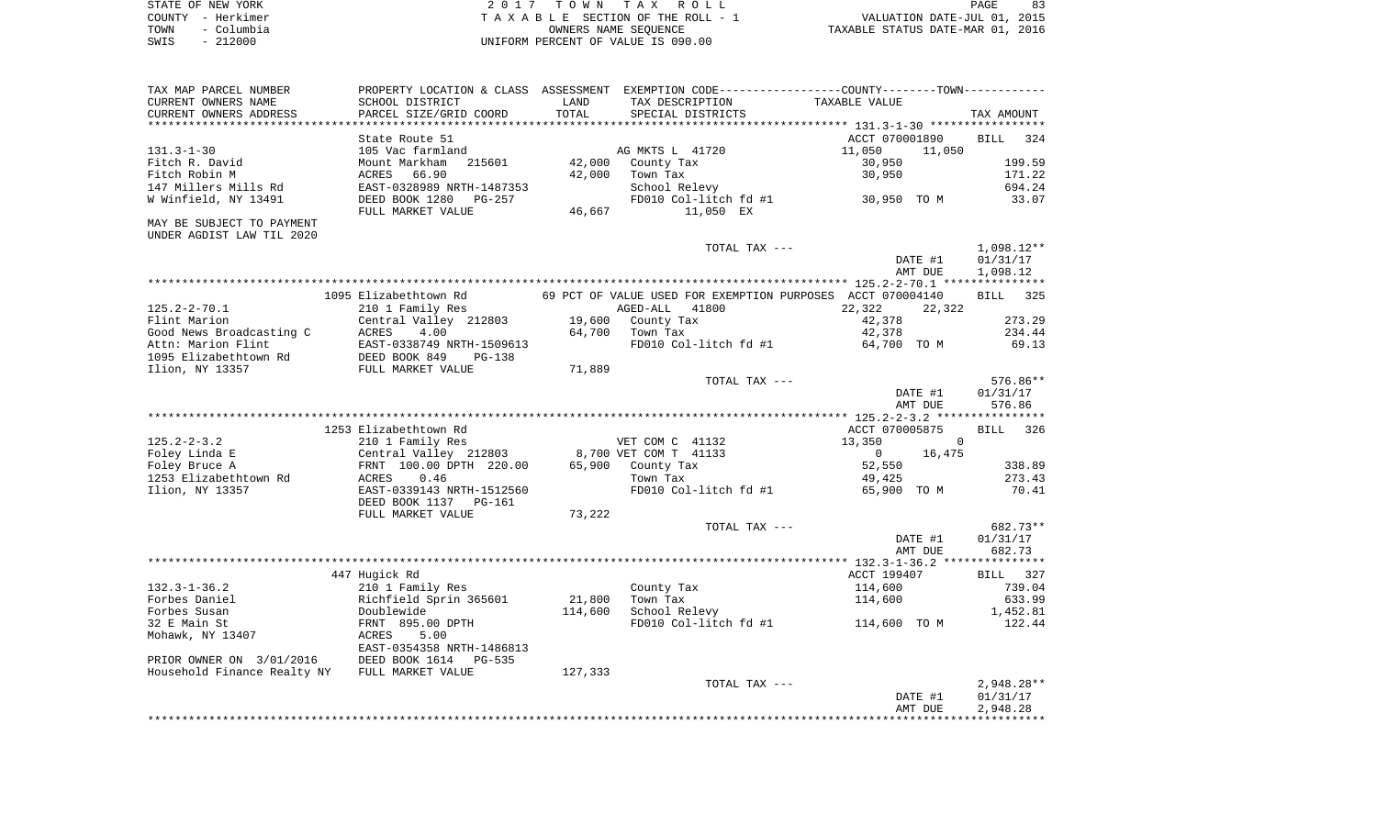| STATE OF NEW YORK  | 2017 TOWN TAX ROLL                 | 83<br>PAGE                       |
|--------------------|------------------------------------|----------------------------------|
| COUNTY - Herkimer  | TAXABLE SECTION OF THE ROLL - 1    | VALUATION DATE-JUL 01, 2015      |
| – Columbia<br>TOWN | OWNERS NAME SEOUENCE               | TAXABLE STATUS DATE-MAR 01, 2016 |
| $-212000$<br>SWIS  | UNIFORM PERCENT OF VALUE IS 090.00 |                                  |

| TAX MAP PARCEL NUMBER<br>CURRENT OWNERS NAME<br>CURRENT OWNERS ADDRESS      | PROPERTY LOCATION & CLASS ASSESSMENT EXEMPTION CODE---------------COUNTY-------TOWN----------<br>SCHOOL DISTRICT<br>PARCEL SIZE/GRID COORD | LAND<br>TOTAL    | TAX DESCRIPTION<br>SPECIAL DISTRICTS                       | TAXABLE VALUE                                                        | TAX AMOUNT                                                 |
|-----------------------------------------------------------------------------|--------------------------------------------------------------------------------------------------------------------------------------------|------------------|------------------------------------------------------------|----------------------------------------------------------------------|------------------------------------------------------------|
|                                                                             |                                                                                                                                            |                  |                                                            |                                                                      |                                                            |
| $131.3 - 1 - 30$<br>Fitch R. David<br>Fitch Robin M<br>147 Millers Mills Rd | State Route 51<br>105 Vac farmland<br>Mount Markham<br>215601<br>ACRES<br>66.90<br>EAST-0328989 NRTH-1487353                               | 42,000<br>42,000 | AG MKTS L 41720<br>County Tax<br>Town Tax<br>School Relevy | ACCT 070001890<br>11,050<br>30,950<br>30,950                         | <b>BILL</b><br>324<br>11,050<br>199.59<br>171.22<br>694.24 |
| W Winfield, NY 13491                                                        | DEED BOOK 1280<br>PG-257<br>FULL MARKET VALUE                                                                                              | 46,667           | FD010 Col-litch fd #1<br>11,050 EX                         | 30,950 TO M                                                          | 33.07                                                      |
| MAY BE SUBJECT TO PAYMENT<br>UNDER AGDIST LAW TIL 2020                      |                                                                                                                                            |                  |                                                            |                                                                      |                                                            |
|                                                                             |                                                                                                                                            |                  | TOTAL TAX ---                                              | DATE #1<br>AMT DUE                                                   | $1,098.12**$<br>01/31/17<br>1,098.12                       |
|                                                                             |                                                                                                                                            |                  |                                                            |                                                                      |                                                            |
| $125.2 - 2 - 70.1$                                                          | 1095 Elizabethtown Rd<br>210 1 Family Res                                                                                                  |                  | AGED-ALL<br>41800                                          | 69 PCT OF VALUE USED FOR EXEMPTION PURPOSES ACCT 070004140<br>22,322 | <b>BILL</b><br>325<br>22,322                               |
| Flint Marion                                                                | Central Valley 212803                                                                                                                      | 19,600           | County Tax                                                 | 42,378                                                               | 273.29                                                     |
| Good News Broadcasting C                                                    |                                                                                                                                            | 64,700           | Town Tax                                                   | 42,378                                                               | 234.44                                                     |
| Attn: Marion Flint<br>1095 Elizabethtown Rd                                 | ACRES 4.00<br>EAST-0338749 NRTH-1509613<br>DEED BOOK 849 PG-138<br>FULL MARKET VALUE                                                       |                  |                                                            | FD010 Col-litch fd #1 64,700 TO M                                    | 69.13                                                      |
| Ilion, NY 13357                                                             |                                                                                                                                            | 71,889           |                                                            |                                                                      |                                                            |
|                                                                             |                                                                                                                                            |                  | TOTAL TAX ---                                              | DATE #1<br>AMT DUE                                                   | 576.86**<br>01/31/17<br>576.86                             |
|                                                                             |                                                                                                                                            |                  |                                                            |                                                                      |                                                            |
|                                                                             | 1253 Elizabethtown Rd                                                                                                                      |                  |                                                            | ACCT 070005875                                                       | BILL 326                                                   |
| $125.2 - 2 - 3.2$                                                           | 210 1 Family Res                                                                                                                           |                  | VET COM C 41132                                            | 13,350                                                               | $\mathbf 0$                                                |
| Foley Linda E                                                               | Central Valley 212803                                                                                                                      |                  | 8,700 VET COM T 41133                                      | $\overline{0}$                                                       | 16,475                                                     |
| Foley Bruce A                                                               | FRNT 100.00 DPTH 220.00                                                                                                                    |                  | 65,900 County Tax                                          | 52,550                                                               | 338.89                                                     |
| 1253 Elizabethtown Rd                                                       | 0.46<br>ACRES                                                                                                                              |                  | Town Tax                                                   | 49,425                                                               | 273.43                                                     |
| Ilion, NY 13357                                                             | EAST-0339143 NRTH-1512560<br>DEED BOOK 1137<br>PG-161                                                                                      |                  | FD010 Col-litch fd #1                                      | 65,900 TO M                                                          | 70.41                                                      |
|                                                                             | FULL MARKET VALUE                                                                                                                          | 73,222           | TOTAL TAX ---                                              |                                                                      | 682.73**                                                   |
|                                                                             |                                                                                                                                            |                  |                                                            | DATE #1<br>AMT DUE                                                   | 01/31/17<br>682.73                                         |
|                                                                             |                                                                                                                                            |                  |                                                            |                                                                      |                                                            |
|                                                                             | 447 Hugick Rd                                                                                                                              |                  |                                                            | ACCT 199407                                                          | BILL 327                                                   |
| $132.3 - 1 - 36.2$                                                          | 210 1 Family Res                                                                                                                           |                  | County Tax                                                 | 114,600                                                              | 739.04                                                     |
| Forbes Daniel                                                               | Richfield Sprin 365601                                                                                                                     | 21,800           | Town Tax                                                   | 114,600                                                              | 633.99                                                     |
| Forbes Susan                                                                | Doublewide                                                                                                                                 | 114,600          | School Relevy                                              |                                                                      | 1,452.81                                                   |
| 32 E Main St                                                                | FRNT 895.00 DPTH                                                                                                                           |                  |                                                            | FD010 Col-litch fd #1 114,600 TO M                                   | 122.44                                                     |
| Mohawk, NY 13407                                                            | ACRES<br>5.00<br>EAST-0354358 NRTH-1486813                                                                                                 |                  |                                                            |                                                                      |                                                            |
| PRIOR OWNER ON 3/01/2016                                                    | DEED BOOK 1614<br>PG-535                                                                                                                   |                  |                                                            |                                                                      |                                                            |
| Household Finance Realty NY                                                 | FULL MARKET VALUE                                                                                                                          | 127,333          |                                                            |                                                                      |                                                            |
|                                                                             |                                                                                                                                            |                  | TOTAL TAX ---                                              |                                                                      | $2,948.28**$                                               |
|                                                                             |                                                                                                                                            |                  |                                                            | DATE #1<br>AMT DUE                                                   | 01/31/17                                                   |
|                                                                             |                                                                                                                                            |                  |                                                            |                                                                      | 2,948.28                                                   |
|                                                                             |                                                                                                                                            |                  |                                                            |                                                                      |                                                            |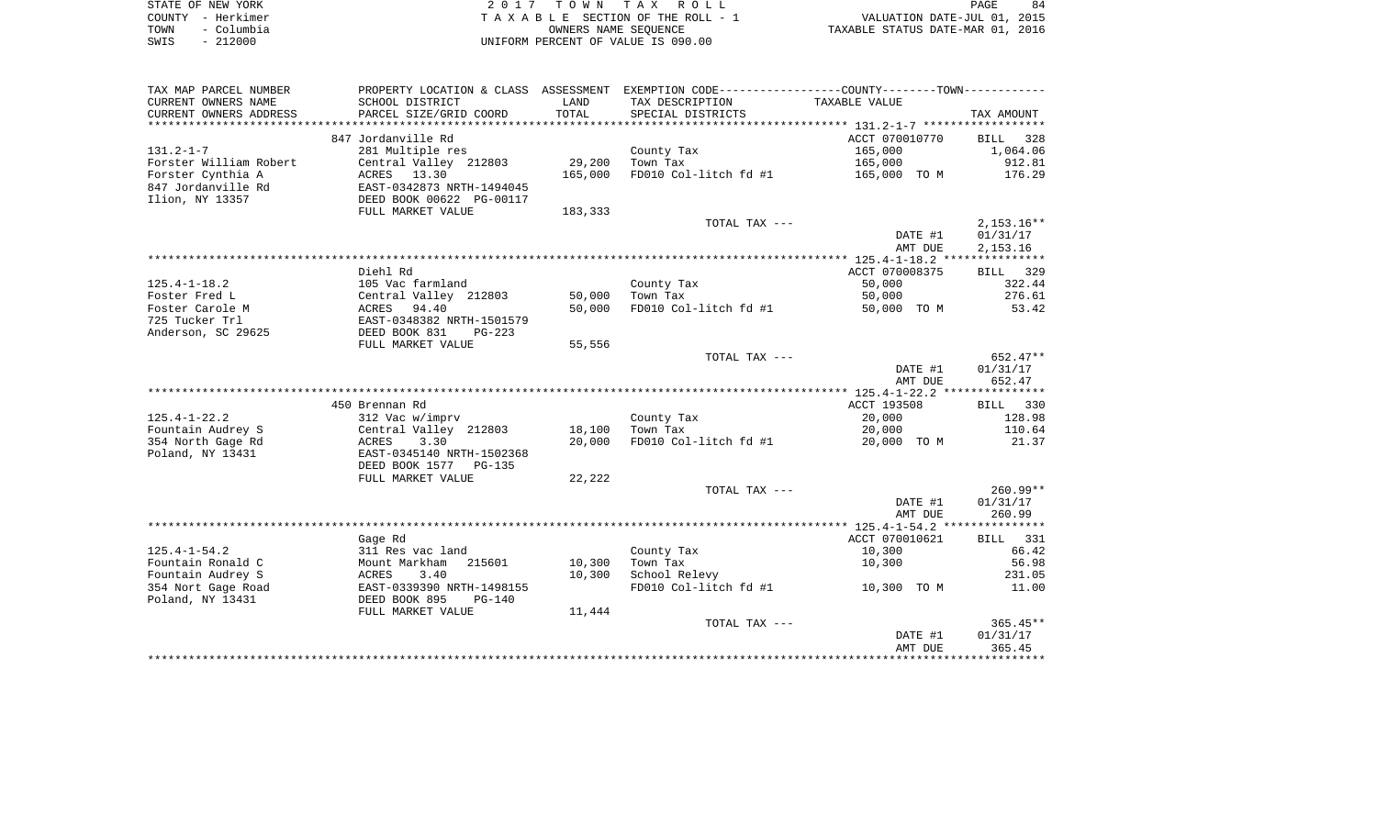| STATE OF NEW YORK  | 2017 TOWN TAX ROLL                 | 84<br>PAGE                       |
|--------------------|------------------------------------|----------------------------------|
| COUNTY - Herkimer  | TAXABLE SECTION OF THE ROLL - 1    | VALUATION DATE-JUL 01, 2015      |
| - Columbia<br>TOWN | OWNERS NAME SEOUENCE               | TAXABLE STATUS DATE-MAR 01, 2016 |
| $-212000$<br>SWIS  | UNIFORM PERCENT OF VALUE IS 090.00 |                                  |

| TAX MAP PARCEL NUMBER  | PROPERTY LOCATION & CLASS ASSESSMENT |         | EXEMPTION CODE----------------COUNTY-------TOWN----------- |                |                    |
|------------------------|--------------------------------------|---------|------------------------------------------------------------|----------------|--------------------|
| CURRENT OWNERS NAME    | SCHOOL DISTRICT                      | LAND    | TAX DESCRIPTION                                            | TAXABLE VALUE  |                    |
| CURRENT OWNERS ADDRESS | PARCEL SIZE/GRID COORD               | TOTAL   | SPECIAL DISTRICTS                                          |                | TAX AMOUNT         |
| ********************** |                                      |         |                                                            |                |                    |
|                        | 847 Jordanville Rd                   |         |                                                            | ACCT 070010770 | 328<br>BILL        |
| $131.2 - 1 - 7$        | 281 Multiple res                     |         | County Tax                                                 | 165,000        | 1,064.06           |
| Forster William Robert | Central Valley 212803                | 29,200  | Town Tax                                                   | 165,000        | 912.81             |
| Forster Cynthia A      | ACRES 13.30                          | 165,000 | FD010 Col-litch fd #1                                      | 165,000 TO M   | 176.29             |
| 847 Jordanville Rd     | EAST-0342873 NRTH-1494045            |         |                                                            |                |                    |
| Ilion, NY 13357        | DEED BOOK 00622 PG-00117             |         |                                                            |                |                    |
|                        | FULL MARKET VALUE                    | 183,333 |                                                            |                |                    |
|                        |                                      |         | TOTAL TAX ---                                              |                | $2,153.16**$       |
|                        |                                      |         |                                                            | DATE #1        | 01/31/17           |
|                        |                                      |         |                                                            | AMT DUE        | 2,153.16           |
|                        |                                      |         |                                                            |                |                    |
|                        | Diehl Rd                             |         |                                                            | ACCT 070008375 | BILL 329           |
| $125.4 - 1 - 18.2$     | 105 Vac farmland                     |         | County Tax                                                 | 50,000         | 322.44             |
| Foster Fred L          | Central Valley 212803                | 50,000  | Town Tax                                                   | 50,000         | 276.61             |
| Foster Carole M        | ACRES 94.40                          | 50,000  | FD010 Col-litch fd #1                                      | 50,000 TO M    | 53.42              |
| 725 Tucker Trl         | EAST-0348382 NRTH-1501579            |         |                                                            |                |                    |
| Anderson, SC 29625     | DEED BOOK 831<br>$PG-223$            |         |                                                            |                |                    |
|                        | FULL MARKET VALUE                    | 55,556  |                                                            |                |                    |
|                        |                                      |         | TOTAL TAX ---                                              |                | $652.47**$         |
|                        |                                      |         |                                                            | DATE #1        | 01/31/17           |
|                        |                                      |         |                                                            | AMT DUE        | 652.47             |
|                        |                                      |         |                                                            |                |                    |
|                        | 450 Brennan Rd                       |         |                                                            | ACCT 193508    | BILL 330           |
| $125.4 - 1 - 22.2$     | 312 Vac w/imprv                      |         | County Tax                                                 | 20,000         | 128.98             |
| Fountain Audrey S      | Central Valley 212803                | 18,100  | Town Tax                                                   | 20,000         | 110.64             |
| 354 North Gage Rd      | 3.30<br>ACRES                        | 20,000  | FD010 Col-litch fd #1                                      | 20,000 TO M    | 21.37              |
| Poland, NY 13431       | EAST-0345140 NRTH-1502368<br>PG-135  |         |                                                            |                |                    |
|                        | DEED BOOK 1577<br>FULL MARKET VALUE  | 22,222  |                                                            |                |                    |
|                        |                                      |         | TOTAL TAX ---                                              |                | $260.99**$         |
|                        |                                      |         |                                                            | DATE #1        | 01/31/17           |
|                        |                                      |         |                                                            | AMT DUE        | 260.99             |
|                        |                                      |         |                                                            |                |                    |
|                        | Gage Rd                              |         |                                                            | ACCT 070010621 | <b>BILL</b><br>331 |
| $125.4 - 1 - 54.2$     | 311 Res vac land                     |         | County Tax                                                 | 10,300         | 66.42              |
| Fountain Ronald C      | Mount Markham<br>215601              | 10,300  | Town Tax                                                   | 10,300         | 56.98              |
| Fountain Audrey S      | ACRES<br>3.40                        | 10,300  | School Relevy                                              |                | 231.05             |
| 354 Nort Gage Road     | EAST-0339390 NRTH-1498155            |         | FD010 Col-litch fd #1                                      | 10,300 TO M    | 11.00              |
| Poland, NY 13431       | DEED BOOK 895<br>$PG-140$            |         |                                                            |                |                    |
|                        | FULL MARKET VALUE                    | 11,444  |                                                            |                |                    |
|                        |                                      |         | TOTAL TAX ---                                              |                | $365.45**$         |
|                        |                                      |         |                                                            | DATE #1        | 01/31/17           |
|                        |                                      |         |                                                            | AMT DUE        | 365.45             |
|                        |                                      |         |                                                            |                |                    |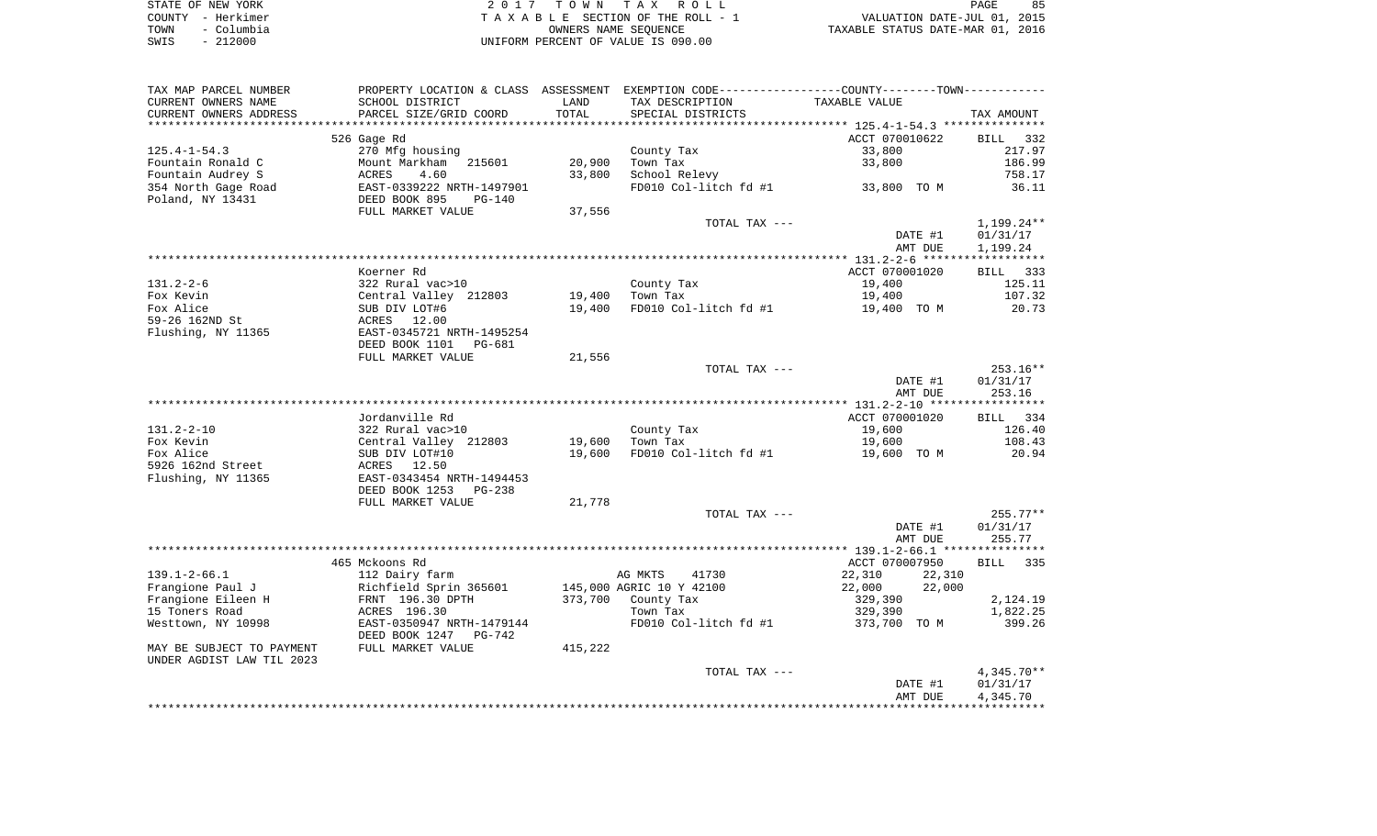| STATE OF NEW YORK  | 2017 TOWN TAX ROLL                 | 85<br>PAGE                       |
|--------------------|------------------------------------|----------------------------------|
| COUNTY - Herkimer  | TAXABLE SECTION OF THE ROLL - 1    | VALUATION DATE-JUL 01, 2015      |
| – Columbia<br>TOWN | OWNERS NAME SEOUENCE               | TAXABLE STATUS DATE-MAR 01, 2016 |
| $-212000$<br>SWIS  | UNIFORM PERCENT OF VALUE IS 090.00 |                                  |

| TAX MAP PARCEL NUMBER     |                                          |         |                          | PROPERTY LOCATION & CLASS ASSESSMENT EXEMPTION CODE---------------COUNTY-------TOWN---------- |                    |
|---------------------------|------------------------------------------|---------|--------------------------|-----------------------------------------------------------------------------------------------|--------------------|
| CURRENT OWNERS NAME       | SCHOOL DISTRICT                          | LAND    | TAX DESCRIPTION          | TAXABLE VALUE                                                                                 |                    |
| CURRENT OWNERS ADDRESS    | PARCEL SIZE/GRID COORD                   | TOTAL   | SPECIAL DISTRICTS        |                                                                                               | TAX AMOUNT         |
|                           |                                          |         |                          |                                                                                               |                    |
|                           | 526 Gage Rd                              |         |                          | ACCT 070010622                                                                                | BILL 332           |
| $125.4 - 1 - 54.3$        | 270 Mfg housing                          |         | County Tax               | 33,800                                                                                        | 217.97             |
| Fountain Ronald C         | Mount Markham 215601                     | 20,900  | Town Tax                 | 33,800                                                                                        | 186.99             |
| Fountain Audrey S         | ACRES<br>4.60                            | 33,800  | School Relevy            |                                                                                               | 758.17             |
| 354 North Gage Road       | EAST-0339222 NRTH-1497901                |         |                          | FD010 Col-litch fd #1 33,800 TO M                                                             | 36.11              |
| Poland, NY 13431          | DEED BOOK 895<br>$PG-140$                |         |                          |                                                                                               |                    |
|                           | FULL MARKET VALUE                        | 37,556  |                          |                                                                                               |                    |
|                           |                                          |         | TOTAL TAX ---            |                                                                                               | 1,199.24**         |
|                           |                                          |         |                          | DATE #1                                                                                       | 01/31/17           |
|                           |                                          |         |                          | AMT DUE                                                                                       | 1,199.24           |
|                           |                                          |         |                          |                                                                                               |                    |
|                           | Koerner Rd                               |         |                          | ACCT 070001020                                                                                | BILL 333           |
| 131.2-2-6                 | 322 Rural vac>10                         |         | County Tax               | 19,400                                                                                        | 125.11             |
| Fox Kevin                 | Central Valley 212803                    | 19,400  | Town Tax                 | 19,400                                                                                        | 107.32             |
| Fox Alice                 | Central Valley<br>SUB DIV LOT#6<br>----- | 19,400  | FD010 Col-litch fd #1    | 19,400 TO M                                                                                   | 20.73              |
| 59-26 162ND St            | ACRES 12.00                              |         |                          |                                                                                               |                    |
| Flushing, NY 11365        | EAST-0345721 NRTH-1495254                |         |                          |                                                                                               |                    |
|                           | DEED BOOK 1101<br>PG-681                 |         |                          |                                                                                               |                    |
|                           | FULL MARKET VALUE                        | 21,556  |                          |                                                                                               |                    |
|                           |                                          |         | TOTAL TAX ---            |                                                                                               | $253.16**$         |
|                           |                                          |         |                          | DATE #1                                                                                       | 01/31/17           |
|                           |                                          |         |                          | AMT DUE                                                                                       | 253.16             |
|                           |                                          |         |                          |                                                                                               |                    |
|                           | Jordanville Rd                           |         |                          | ACCT 070001020                                                                                | BILL 334           |
| 131.2-2-10                | 322 Rural vac>10                         |         | County Tax               | 19,600                                                                                        | 126.40             |
| Fox Kevin                 | Central Valley 212803<br>SUB DIV LOT#10  | 19,600  | Town Tax                 | 19,600                                                                                        | 108.43             |
| Fox Alice                 |                                          | 19,600  | FD010 Col-litch fd #1    | 19,600 TO M                                                                                   | 20.94              |
| 5926 162nd Street         | ACRES 12.50                              |         |                          |                                                                                               |                    |
| Flushing, NY 11365        | EAST-0343454 NRTH-1494453                |         |                          |                                                                                               |                    |
|                           | DEED BOOK 1253<br>PG-238                 |         |                          |                                                                                               |                    |
|                           | FULL MARKET VALUE                        | 21,778  |                          |                                                                                               |                    |
|                           |                                          |         | TOTAL TAX ---            |                                                                                               | $255.77**$         |
|                           |                                          |         |                          | DATE #1                                                                                       | 01/31/17           |
|                           |                                          |         |                          | AMT DUE                                                                                       | 255.77             |
|                           |                                          |         |                          |                                                                                               |                    |
|                           | 465 Mckoons Rd                           |         |                          | ACCT 070007950                                                                                | <b>BILL</b><br>335 |
| $139.1 - 2 - 66.1$        | 112 Dairy farm                           |         | AG MKTS<br>41730         | 22,310<br>22,310                                                                              |                    |
| Frangione Paul J          | Richfield Sprin 365601                   |         | 145,000 AGRIC 10 Y 42100 | 22,000<br>22,000                                                                              |                    |
| Frangione Eileen H        | FRNT 196.30 DPTH                         |         | 373,700 County Tax       | 329,390                                                                                       | 2,124.19           |
| 15 Toners Road            | ACRES 196.30                             |         | Town Tax                 | 329,390                                                                                       | 1,822.25           |
| Westtown, NY 10998        | EAST-0350947 NRTH-1479144                |         | FD010 Col-litch fd #1    | 373,700 TO M                                                                                  | 399.26             |
|                           | DEED BOOK 1247 PG-742                    |         |                          |                                                                                               |                    |
| MAY BE SUBJECT TO PAYMENT | FULL MARKET VALUE                        | 415,222 |                          |                                                                                               |                    |
| UNDER AGDIST LAW TIL 2023 |                                          |         |                          |                                                                                               |                    |
|                           |                                          |         | TOTAL TAX ---            |                                                                                               | 4,345.70**         |
|                           |                                          |         |                          | DATE #1                                                                                       | 01/31/17           |
|                           |                                          |         |                          | AMT DUE                                                                                       | 4,345.70           |
|                           |                                          |         |                          |                                                                                               |                    |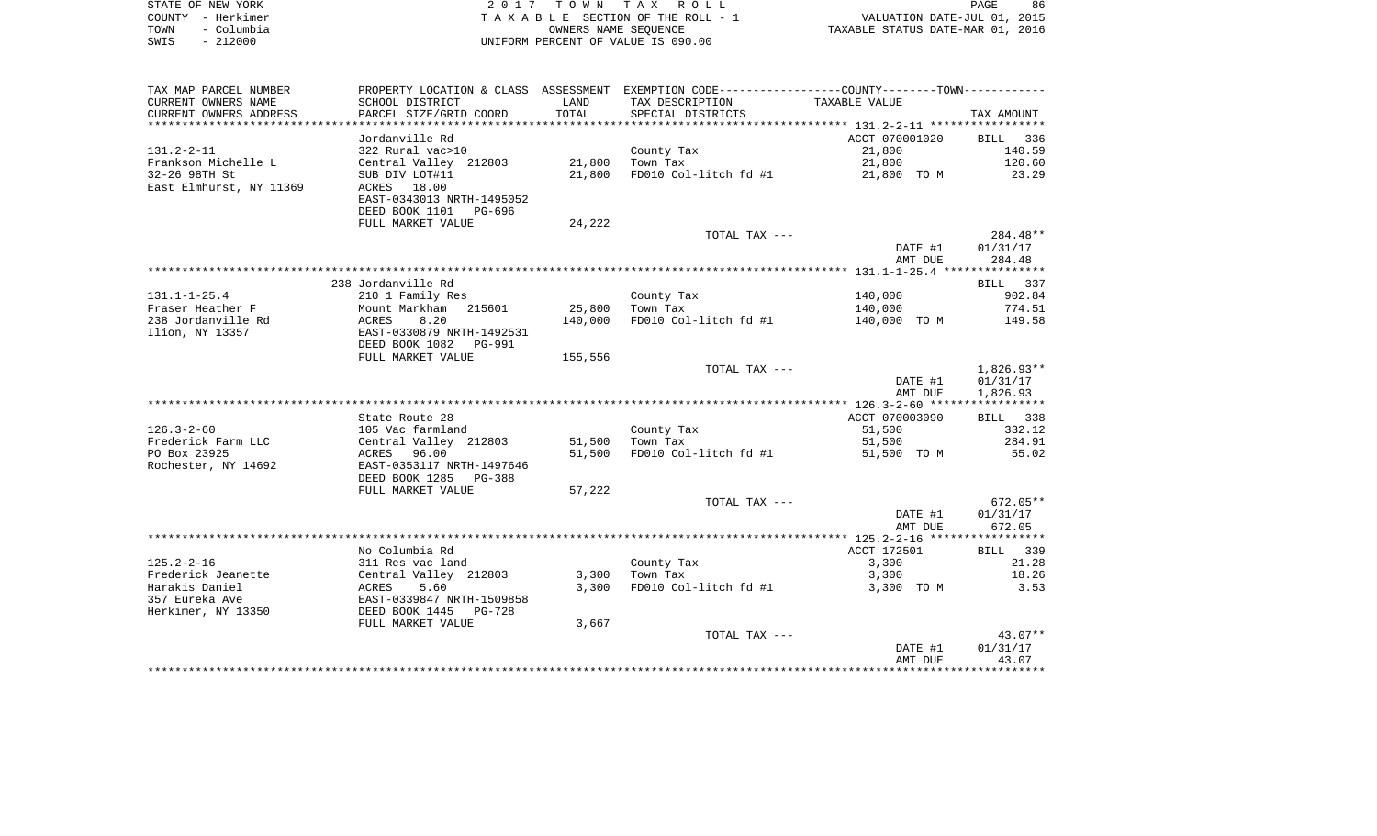|      | STATE OF NEW YORK | 2017 TOWN TAX ROLL                 | <b>PAGE</b>                      | -86 |
|------|-------------------|------------------------------------|----------------------------------|-----|
|      | COUNTY - Herkimer | TAXABLE SECTION OF THE ROLL - 1    | VALUATION DATE-JUL 01, 2015      |     |
| TOWN | - Columbia        | OWNERS NAME SEOUENCE               | TAXABLE STATUS DATE-MAR 01, 2016 |     |
| SWIS | - 212000          | UNIFORM PERCENT OF VALUE IS 090.00 |                                  |     |

 $86$ <br> $2015$ <br> $2016$ 

| SCHOOL DISTRICT<br>TAX DESCRIPTION<br>LAND<br>TAXABLE VALUE<br>TOTAL<br>PARCEL SIZE/GRID COORD<br>SPECIAL DISTRICTS<br>TAX AMOUNT<br>***********************<br>Jordanville Rd<br>ACCT 070001020<br>BILL 336<br>$131.2 - 2 - 11$<br>21,800<br>322 Rural vac>10<br>County Tax<br>140.59<br>Frankson Michelle L<br>Central Valley 212803<br>21,800<br>21,800<br>120.60<br>Town Tax<br>FD010 Col-litch fd #1<br>32-26 98TH St<br>SUB DIV LOT#11<br>21,800<br>23.29<br>21,800 TO M<br>East Elmhurst, NY 11369<br>ACRES 18.00<br>EAST-0343013 NRTH-1495052<br>DEED BOOK 1101 PG-696<br>FULL MARKET VALUE<br>24,222<br>284.48**<br>TOTAL TAX ---<br>DATE #1<br>01/31/17<br>AMT DUE<br>284.48<br>238 Jordanville Rd<br>BILL 337<br>902.84<br>210 1 Family Res<br>County Tax<br>140,000<br>Mount Markham<br>215601<br>25,800<br>Town Tax<br>140,000<br>774.51<br>8.20<br>140,000<br>FD010 Col-litch fd #1<br>140,000 TO M<br>149.58<br>ACRES<br>EAST-0330879 NRTH-1492531<br>DEED BOOK 1082<br>PG-991<br>FULL MARKET VALUE<br>155,556<br>1,826.93**<br>TOTAL TAX ---<br>DATE #1<br>01/31/17<br>1,826.93<br>AMT DUE<br>State Route 28<br>ACCT 070003090<br>BILL 338<br>$126.3 - 2 - 60$<br>105 Vac farmland<br>County Tax<br>51,500<br>332.12<br>Frederick Farm LLC<br>Central Valley 212803<br>51,500<br>Town Tax<br>51,500<br>284.91<br>FD010 Col-litch fd #1<br>PO Box 23925<br>ACRES<br>96.00<br>51,500<br>51,500 TO M<br>55.02<br>Rochester, NY 14692<br>EAST-0353117 NRTH-1497646<br>DEED BOOK 1285<br>PG-388<br>FULL MARKET VALUE<br>57,222<br>$672.05**$<br>TOTAL TAX ---<br>DATE #1<br>01/31/17<br>AMT DUE<br>672.05<br>No Columbia Rd<br>ACCT 172501<br>BILL 339<br>$125.2 - 2 - 16$<br>311 Res vac land<br>County Tax<br>3,300<br>21.28<br>Frederick Jeanette<br>Central Valley 212803<br>3,300<br>3,300<br>18.26<br>Town Tax<br>3,300<br>FD010 Col-litch fd #1<br>3.53<br>Harakis Daniel<br>ACRES<br>5.60<br>3,300 TO M<br>357 Eureka Ave<br>EAST-0339847 NRTH-1509858<br>Herkimer, NY 13350<br>DEED BOOK 1445 PG-728<br>3,667<br>FULL MARKET VALUE<br>$43.07**$<br>TOTAL TAX ---<br>DATE #1<br>01/31/17<br>AMT DUE<br>43.07 | TAX MAP PARCEL NUMBER  |  | PROPERTY LOCATION & CLASS ASSESSMENT EXEMPTION CODE---------------COUNTY-------TOWN---------- |  |
|---------------------------------------------------------------------------------------------------------------------------------------------------------------------------------------------------------------------------------------------------------------------------------------------------------------------------------------------------------------------------------------------------------------------------------------------------------------------------------------------------------------------------------------------------------------------------------------------------------------------------------------------------------------------------------------------------------------------------------------------------------------------------------------------------------------------------------------------------------------------------------------------------------------------------------------------------------------------------------------------------------------------------------------------------------------------------------------------------------------------------------------------------------------------------------------------------------------------------------------------------------------------------------------------------------------------------------------------------------------------------------------------------------------------------------------------------------------------------------------------------------------------------------------------------------------------------------------------------------------------------------------------------------------------------------------------------------------------------------------------------------------------------------------------------------------------------------------------------------------------------------------------------------------------------------------------------------------------------------------------------------------------------------------------------------------------------------------------------------------------------------|------------------------|--|-----------------------------------------------------------------------------------------------|--|
|                                                                                                                                                                                                                                                                                                                                                                                                                                                                                                                                                                                                                                                                                                                                                                                                                                                                                                                                                                                                                                                                                                                                                                                                                                                                                                                                                                                                                                                                                                                                                                                                                                                                                                                                                                                                                                                                                                                                                                                                                                                                                                                                 | CURRENT OWNERS NAME    |  |                                                                                               |  |
|                                                                                                                                                                                                                                                                                                                                                                                                                                                                                                                                                                                                                                                                                                                                                                                                                                                                                                                                                                                                                                                                                                                                                                                                                                                                                                                                                                                                                                                                                                                                                                                                                                                                                                                                                                                                                                                                                                                                                                                                                                                                                                                                 | CURRENT OWNERS ADDRESS |  |                                                                                               |  |
|                                                                                                                                                                                                                                                                                                                                                                                                                                                                                                                                                                                                                                                                                                                                                                                                                                                                                                                                                                                                                                                                                                                                                                                                                                                                                                                                                                                                                                                                                                                                                                                                                                                                                                                                                                                                                                                                                                                                                                                                                                                                                                                                 | *********************  |  |                                                                                               |  |
|                                                                                                                                                                                                                                                                                                                                                                                                                                                                                                                                                                                                                                                                                                                                                                                                                                                                                                                                                                                                                                                                                                                                                                                                                                                                                                                                                                                                                                                                                                                                                                                                                                                                                                                                                                                                                                                                                                                                                                                                                                                                                                                                 |                        |  |                                                                                               |  |
|                                                                                                                                                                                                                                                                                                                                                                                                                                                                                                                                                                                                                                                                                                                                                                                                                                                                                                                                                                                                                                                                                                                                                                                                                                                                                                                                                                                                                                                                                                                                                                                                                                                                                                                                                                                                                                                                                                                                                                                                                                                                                                                                 |                        |  |                                                                                               |  |
|                                                                                                                                                                                                                                                                                                                                                                                                                                                                                                                                                                                                                                                                                                                                                                                                                                                                                                                                                                                                                                                                                                                                                                                                                                                                                                                                                                                                                                                                                                                                                                                                                                                                                                                                                                                                                                                                                                                                                                                                                                                                                                                                 |                        |  |                                                                                               |  |
|                                                                                                                                                                                                                                                                                                                                                                                                                                                                                                                                                                                                                                                                                                                                                                                                                                                                                                                                                                                                                                                                                                                                                                                                                                                                                                                                                                                                                                                                                                                                                                                                                                                                                                                                                                                                                                                                                                                                                                                                                                                                                                                                 |                        |  |                                                                                               |  |
|                                                                                                                                                                                                                                                                                                                                                                                                                                                                                                                                                                                                                                                                                                                                                                                                                                                                                                                                                                                                                                                                                                                                                                                                                                                                                                                                                                                                                                                                                                                                                                                                                                                                                                                                                                                                                                                                                                                                                                                                                                                                                                                                 |                        |  |                                                                                               |  |
|                                                                                                                                                                                                                                                                                                                                                                                                                                                                                                                                                                                                                                                                                                                                                                                                                                                                                                                                                                                                                                                                                                                                                                                                                                                                                                                                                                                                                                                                                                                                                                                                                                                                                                                                                                                                                                                                                                                                                                                                                                                                                                                                 |                        |  |                                                                                               |  |
|                                                                                                                                                                                                                                                                                                                                                                                                                                                                                                                                                                                                                                                                                                                                                                                                                                                                                                                                                                                                                                                                                                                                                                                                                                                                                                                                                                                                                                                                                                                                                                                                                                                                                                                                                                                                                                                                                                                                                                                                                                                                                                                                 |                        |  |                                                                                               |  |
|                                                                                                                                                                                                                                                                                                                                                                                                                                                                                                                                                                                                                                                                                                                                                                                                                                                                                                                                                                                                                                                                                                                                                                                                                                                                                                                                                                                                                                                                                                                                                                                                                                                                                                                                                                                                                                                                                                                                                                                                                                                                                                                                 |                        |  |                                                                                               |  |
|                                                                                                                                                                                                                                                                                                                                                                                                                                                                                                                                                                                                                                                                                                                                                                                                                                                                                                                                                                                                                                                                                                                                                                                                                                                                                                                                                                                                                                                                                                                                                                                                                                                                                                                                                                                                                                                                                                                                                                                                                                                                                                                                 |                        |  |                                                                                               |  |
|                                                                                                                                                                                                                                                                                                                                                                                                                                                                                                                                                                                                                                                                                                                                                                                                                                                                                                                                                                                                                                                                                                                                                                                                                                                                                                                                                                                                                                                                                                                                                                                                                                                                                                                                                                                                                                                                                                                                                                                                                                                                                                                                 |                        |  |                                                                                               |  |
|                                                                                                                                                                                                                                                                                                                                                                                                                                                                                                                                                                                                                                                                                                                                                                                                                                                                                                                                                                                                                                                                                                                                                                                                                                                                                                                                                                                                                                                                                                                                                                                                                                                                                                                                                                                                                                                                                                                                                                                                                                                                                                                                 |                        |  |                                                                                               |  |
|                                                                                                                                                                                                                                                                                                                                                                                                                                                                                                                                                                                                                                                                                                                                                                                                                                                                                                                                                                                                                                                                                                                                                                                                                                                                                                                                                                                                                                                                                                                                                                                                                                                                                                                                                                                                                                                                                                                                                                                                                                                                                                                                 |                        |  |                                                                                               |  |
|                                                                                                                                                                                                                                                                                                                                                                                                                                                                                                                                                                                                                                                                                                                                                                                                                                                                                                                                                                                                                                                                                                                                                                                                                                                                                                                                                                                                                                                                                                                                                                                                                                                                                                                                                                                                                                                                                                                                                                                                                                                                                                                                 |                        |  |                                                                                               |  |
|                                                                                                                                                                                                                                                                                                                                                                                                                                                                                                                                                                                                                                                                                                                                                                                                                                                                                                                                                                                                                                                                                                                                                                                                                                                                                                                                                                                                                                                                                                                                                                                                                                                                                                                                                                                                                                                                                                                                                                                                                                                                                                                                 |                        |  |                                                                                               |  |
|                                                                                                                                                                                                                                                                                                                                                                                                                                                                                                                                                                                                                                                                                                                                                                                                                                                                                                                                                                                                                                                                                                                                                                                                                                                                                                                                                                                                                                                                                                                                                                                                                                                                                                                                                                                                                                                                                                                                                                                                                                                                                                                                 | $131.1 - 1 - 25.4$     |  |                                                                                               |  |
|                                                                                                                                                                                                                                                                                                                                                                                                                                                                                                                                                                                                                                                                                                                                                                                                                                                                                                                                                                                                                                                                                                                                                                                                                                                                                                                                                                                                                                                                                                                                                                                                                                                                                                                                                                                                                                                                                                                                                                                                                                                                                                                                 | Fraser Heather F       |  |                                                                                               |  |
|                                                                                                                                                                                                                                                                                                                                                                                                                                                                                                                                                                                                                                                                                                                                                                                                                                                                                                                                                                                                                                                                                                                                                                                                                                                                                                                                                                                                                                                                                                                                                                                                                                                                                                                                                                                                                                                                                                                                                                                                                                                                                                                                 | 238 Jordanville Rd     |  |                                                                                               |  |
|                                                                                                                                                                                                                                                                                                                                                                                                                                                                                                                                                                                                                                                                                                                                                                                                                                                                                                                                                                                                                                                                                                                                                                                                                                                                                                                                                                                                                                                                                                                                                                                                                                                                                                                                                                                                                                                                                                                                                                                                                                                                                                                                 | Ilion, NY 13357        |  |                                                                                               |  |
|                                                                                                                                                                                                                                                                                                                                                                                                                                                                                                                                                                                                                                                                                                                                                                                                                                                                                                                                                                                                                                                                                                                                                                                                                                                                                                                                                                                                                                                                                                                                                                                                                                                                                                                                                                                                                                                                                                                                                                                                                                                                                                                                 |                        |  |                                                                                               |  |
|                                                                                                                                                                                                                                                                                                                                                                                                                                                                                                                                                                                                                                                                                                                                                                                                                                                                                                                                                                                                                                                                                                                                                                                                                                                                                                                                                                                                                                                                                                                                                                                                                                                                                                                                                                                                                                                                                                                                                                                                                                                                                                                                 |                        |  |                                                                                               |  |
|                                                                                                                                                                                                                                                                                                                                                                                                                                                                                                                                                                                                                                                                                                                                                                                                                                                                                                                                                                                                                                                                                                                                                                                                                                                                                                                                                                                                                                                                                                                                                                                                                                                                                                                                                                                                                                                                                                                                                                                                                                                                                                                                 |                        |  |                                                                                               |  |
|                                                                                                                                                                                                                                                                                                                                                                                                                                                                                                                                                                                                                                                                                                                                                                                                                                                                                                                                                                                                                                                                                                                                                                                                                                                                                                                                                                                                                                                                                                                                                                                                                                                                                                                                                                                                                                                                                                                                                                                                                                                                                                                                 |                        |  |                                                                                               |  |
|                                                                                                                                                                                                                                                                                                                                                                                                                                                                                                                                                                                                                                                                                                                                                                                                                                                                                                                                                                                                                                                                                                                                                                                                                                                                                                                                                                                                                                                                                                                                                                                                                                                                                                                                                                                                                                                                                                                                                                                                                                                                                                                                 |                        |  |                                                                                               |  |
|                                                                                                                                                                                                                                                                                                                                                                                                                                                                                                                                                                                                                                                                                                                                                                                                                                                                                                                                                                                                                                                                                                                                                                                                                                                                                                                                                                                                                                                                                                                                                                                                                                                                                                                                                                                                                                                                                                                                                                                                                                                                                                                                 |                        |  |                                                                                               |  |
|                                                                                                                                                                                                                                                                                                                                                                                                                                                                                                                                                                                                                                                                                                                                                                                                                                                                                                                                                                                                                                                                                                                                                                                                                                                                                                                                                                                                                                                                                                                                                                                                                                                                                                                                                                                                                                                                                                                                                                                                                                                                                                                                 |                        |  |                                                                                               |  |
|                                                                                                                                                                                                                                                                                                                                                                                                                                                                                                                                                                                                                                                                                                                                                                                                                                                                                                                                                                                                                                                                                                                                                                                                                                                                                                                                                                                                                                                                                                                                                                                                                                                                                                                                                                                                                                                                                                                                                                                                                                                                                                                                 |                        |  |                                                                                               |  |
|                                                                                                                                                                                                                                                                                                                                                                                                                                                                                                                                                                                                                                                                                                                                                                                                                                                                                                                                                                                                                                                                                                                                                                                                                                                                                                                                                                                                                                                                                                                                                                                                                                                                                                                                                                                                                                                                                                                                                                                                                                                                                                                                 |                        |  |                                                                                               |  |
|                                                                                                                                                                                                                                                                                                                                                                                                                                                                                                                                                                                                                                                                                                                                                                                                                                                                                                                                                                                                                                                                                                                                                                                                                                                                                                                                                                                                                                                                                                                                                                                                                                                                                                                                                                                                                                                                                                                                                                                                                                                                                                                                 |                        |  |                                                                                               |  |
|                                                                                                                                                                                                                                                                                                                                                                                                                                                                                                                                                                                                                                                                                                                                                                                                                                                                                                                                                                                                                                                                                                                                                                                                                                                                                                                                                                                                                                                                                                                                                                                                                                                                                                                                                                                                                                                                                                                                                                                                                                                                                                                                 |                        |  |                                                                                               |  |
|                                                                                                                                                                                                                                                                                                                                                                                                                                                                                                                                                                                                                                                                                                                                                                                                                                                                                                                                                                                                                                                                                                                                                                                                                                                                                                                                                                                                                                                                                                                                                                                                                                                                                                                                                                                                                                                                                                                                                                                                                                                                                                                                 |                        |  |                                                                                               |  |
|                                                                                                                                                                                                                                                                                                                                                                                                                                                                                                                                                                                                                                                                                                                                                                                                                                                                                                                                                                                                                                                                                                                                                                                                                                                                                                                                                                                                                                                                                                                                                                                                                                                                                                                                                                                                                                                                                                                                                                                                                                                                                                                                 |                        |  |                                                                                               |  |
|                                                                                                                                                                                                                                                                                                                                                                                                                                                                                                                                                                                                                                                                                                                                                                                                                                                                                                                                                                                                                                                                                                                                                                                                                                                                                                                                                                                                                                                                                                                                                                                                                                                                                                                                                                                                                                                                                                                                                                                                                                                                                                                                 |                        |  |                                                                                               |  |
|                                                                                                                                                                                                                                                                                                                                                                                                                                                                                                                                                                                                                                                                                                                                                                                                                                                                                                                                                                                                                                                                                                                                                                                                                                                                                                                                                                                                                                                                                                                                                                                                                                                                                                                                                                                                                                                                                                                                                                                                                                                                                                                                 |                        |  |                                                                                               |  |
|                                                                                                                                                                                                                                                                                                                                                                                                                                                                                                                                                                                                                                                                                                                                                                                                                                                                                                                                                                                                                                                                                                                                                                                                                                                                                                                                                                                                                                                                                                                                                                                                                                                                                                                                                                                                                                                                                                                                                                                                                                                                                                                                 |                        |  |                                                                                               |  |
|                                                                                                                                                                                                                                                                                                                                                                                                                                                                                                                                                                                                                                                                                                                                                                                                                                                                                                                                                                                                                                                                                                                                                                                                                                                                                                                                                                                                                                                                                                                                                                                                                                                                                                                                                                                                                                                                                                                                                                                                                                                                                                                                 |                        |  |                                                                                               |  |
|                                                                                                                                                                                                                                                                                                                                                                                                                                                                                                                                                                                                                                                                                                                                                                                                                                                                                                                                                                                                                                                                                                                                                                                                                                                                                                                                                                                                                                                                                                                                                                                                                                                                                                                                                                                                                                                                                                                                                                                                                                                                                                                                 |                        |  |                                                                                               |  |
|                                                                                                                                                                                                                                                                                                                                                                                                                                                                                                                                                                                                                                                                                                                                                                                                                                                                                                                                                                                                                                                                                                                                                                                                                                                                                                                                                                                                                                                                                                                                                                                                                                                                                                                                                                                                                                                                                                                                                                                                                                                                                                                                 |                        |  |                                                                                               |  |
|                                                                                                                                                                                                                                                                                                                                                                                                                                                                                                                                                                                                                                                                                                                                                                                                                                                                                                                                                                                                                                                                                                                                                                                                                                                                                                                                                                                                                                                                                                                                                                                                                                                                                                                                                                                                                                                                                                                                                                                                                                                                                                                                 |                        |  |                                                                                               |  |
|                                                                                                                                                                                                                                                                                                                                                                                                                                                                                                                                                                                                                                                                                                                                                                                                                                                                                                                                                                                                                                                                                                                                                                                                                                                                                                                                                                                                                                                                                                                                                                                                                                                                                                                                                                                                                                                                                                                                                                                                                                                                                                                                 |                        |  |                                                                                               |  |
|                                                                                                                                                                                                                                                                                                                                                                                                                                                                                                                                                                                                                                                                                                                                                                                                                                                                                                                                                                                                                                                                                                                                                                                                                                                                                                                                                                                                                                                                                                                                                                                                                                                                                                                                                                                                                                                                                                                                                                                                                                                                                                                                 |                        |  |                                                                                               |  |
|                                                                                                                                                                                                                                                                                                                                                                                                                                                                                                                                                                                                                                                                                                                                                                                                                                                                                                                                                                                                                                                                                                                                                                                                                                                                                                                                                                                                                                                                                                                                                                                                                                                                                                                                                                                                                                                                                                                                                                                                                                                                                                                                 |                        |  |                                                                                               |  |
|                                                                                                                                                                                                                                                                                                                                                                                                                                                                                                                                                                                                                                                                                                                                                                                                                                                                                                                                                                                                                                                                                                                                                                                                                                                                                                                                                                                                                                                                                                                                                                                                                                                                                                                                                                                                                                                                                                                                                                                                                                                                                                                                 |                        |  |                                                                                               |  |
|                                                                                                                                                                                                                                                                                                                                                                                                                                                                                                                                                                                                                                                                                                                                                                                                                                                                                                                                                                                                                                                                                                                                                                                                                                                                                                                                                                                                                                                                                                                                                                                                                                                                                                                                                                                                                                                                                                                                                                                                                                                                                                                                 |                        |  |                                                                                               |  |
|                                                                                                                                                                                                                                                                                                                                                                                                                                                                                                                                                                                                                                                                                                                                                                                                                                                                                                                                                                                                                                                                                                                                                                                                                                                                                                                                                                                                                                                                                                                                                                                                                                                                                                                                                                                                                                                                                                                                                                                                                                                                                                                                 |                        |  |                                                                                               |  |
|                                                                                                                                                                                                                                                                                                                                                                                                                                                                                                                                                                                                                                                                                                                                                                                                                                                                                                                                                                                                                                                                                                                                                                                                                                                                                                                                                                                                                                                                                                                                                                                                                                                                                                                                                                                                                                                                                                                                                                                                                                                                                                                                 |                        |  |                                                                                               |  |
|                                                                                                                                                                                                                                                                                                                                                                                                                                                                                                                                                                                                                                                                                                                                                                                                                                                                                                                                                                                                                                                                                                                                                                                                                                                                                                                                                                                                                                                                                                                                                                                                                                                                                                                                                                                                                                                                                                                                                                                                                                                                                                                                 |                        |  |                                                                                               |  |
|                                                                                                                                                                                                                                                                                                                                                                                                                                                                                                                                                                                                                                                                                                                                                                                                                                                                                                                                                                                                                                                                                                                                                                                                                                                                                                                                                                                                                                                                                                                                                                                                                                                                                                                                                                                                                                                                                                                                                                                                                                                                                                                                 |                        |  |                                                                                               |  |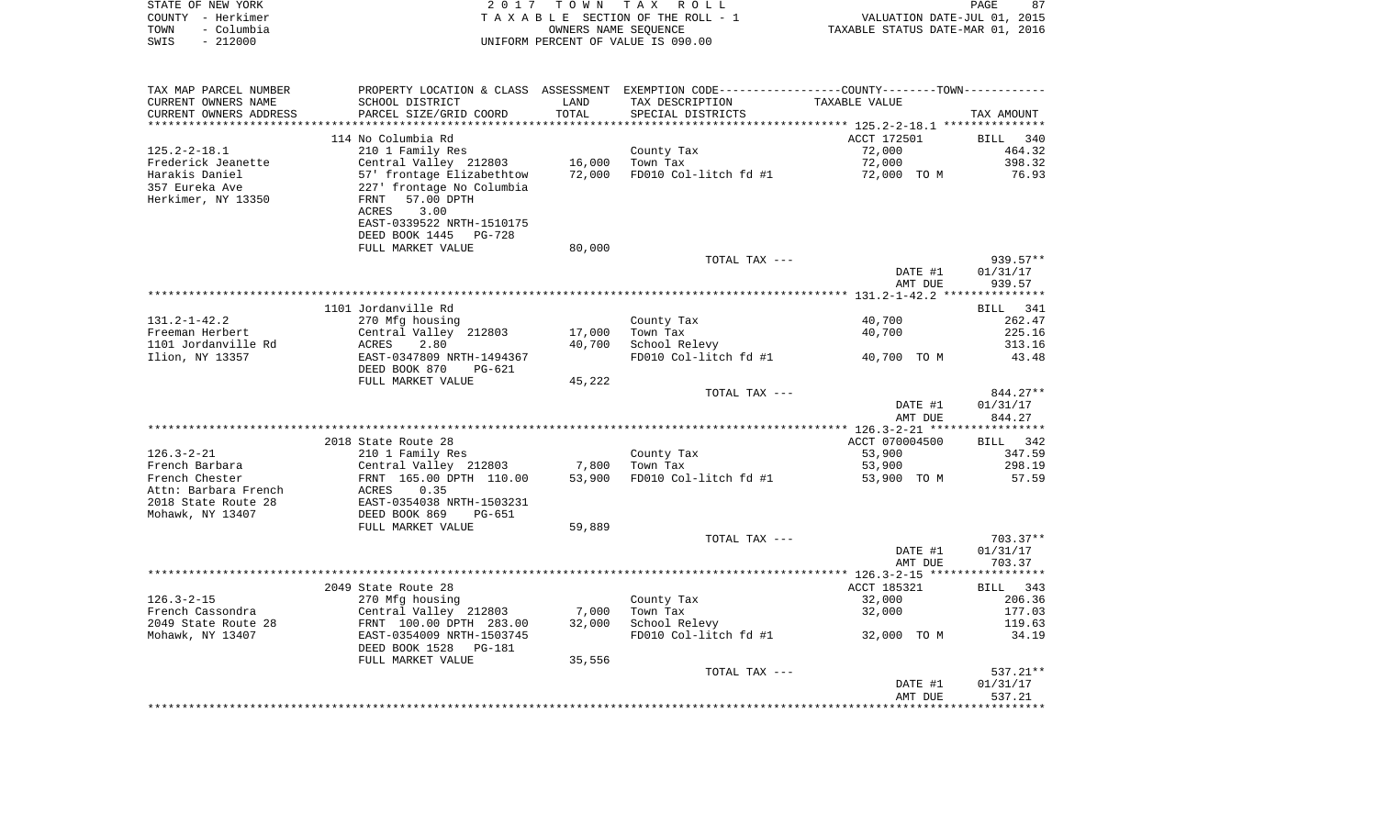|      | STATE OF NEW YORK | 2017 TOWN TAX ROLL                 | PAGE                             | 87 |
|------|-------------------|------------------------------------|----------------------------------|----|
|      | COUNTY - Herkimer | TAXABLE SECTION OF THE ROLL - 1    | VALUATION DATE-JUL 01, 2015      |    |
| TOWN | - Columbia        | OWNERS NAME SEOUENCE               | TAXABLE STATUS DATE-MAR 01, 2016 |    |
| SWIS | $-212000$         | UNIFORM PERCENT OF VALUE IS 090.00 |                                  |    |

| TAX MAP PARCEL NUMBER  | PROPERTY LOCATION & CLASS ASSESSMENT |        |                       | EXEMPTION CODE-----------------COUNTY-------TOWN----------- |                    |
|------------------------|--------------------------------------|--------|-----------------------|-------------------------------------------------------------|--------------------|
| CURRENT OWNERS NAME    | SCHOOL DISTRICT                      | LAND   | TAX DESCRIPTION       | TAXABLE VALUE                                               |                    |
| CURRENT OWNERS ADDRESS | PARCEL SIZE/GRID COORD               | TOTAL  | SPECIAL DISTRICTS     |                                                             | TAX AMOUNT         |
|                        |                                      |        |                       |                                                             |                    |
|                        | 114 No Columbia Rd                   |        |                       | ACCT 172501                                                 | <b>BILL</b><br>340 |
| $125.2 - 2 - 18.1$     | 210 1 Family Res                     |        | County Tax            | 72,000                                                      | 464.32             |
| Frederick Jeanette     | Central Valley 212803                | 16,000 | Town Tax              | 72,000                                                      | 398.32             |
|                        |                                      |        |                       |                                                             |                    |
| Harakis Daniel         | 57' frontage Elizabethtow            | 72,000 | FD010 Col-litch fd #1 | 72,000 TO M                                                 | 76.93              |
| 357 Eureka Ave         | 227' frontage No Columbia            |        |                       |                                                             |                    |
| Herkimer, NY 13350     | 57.00 DPTH<br>FRNT                   |        |                       |                                                             |                    |
|                        | 3.00<br>ACRES                        |        |                       |                                                             |                    |
|                        | EAST-0339522 NRTH-1510175            |        |                       |                                                             |                    |
|                        | DEED BOOK 1445<br>PG-728             |        |                       |                                                             |                    |
|                        | FULL MARKET VALUE                    | 80,000 |                       |                                                             |                    |
|                        |                                      |        | TOTAL TAX ---         |                                                             | 939.57**           |
|                        |                                      |        |                       | DATE #1                                                     | 01/31/17           |
|                        |                                      |        |                       | AMT DUE                                                     | 939.57             |
|                        |                                      |        |                       |                                                             |                    |
|                        | 1101 Jordanville Rd                  |        |                       |                                                             | 341<br>BILL        |
| $131.2 - 1 - 42.2$     | 270 Mfg housing                      |        | County Tax            | 40,700                                                      | 262.47             |
| Freeman Herbert        | Central Valley 212803                | 17,000 | Town Tax              | 40,700                                                      | 225.16             |
| 1101 Jordanville Rd    | <b>ACRES</b><br>2.80                 | 40,700 | School Relevy         |                                                             | 313.16             |
|                        |                                      |        |                       |                                                             | 43.48              |
| Ilion, NY 13357        | EAST-0347809 NRTH-1494367            |        | FD010 Col-litch fd #1 | 40,700 TO M                                                 |                    |
|                        | DEED BOOK 870<br>$PG-621$            |        |                       |                                                             |                    |
|                        | FULL MARKET VALUE                    | 45,222 |                       |                                                             |                    |
|                        |                                      |        | TOTAL TAX ---         |                                                             | 844.27**           |
|                        |                                      |        |                       | DATE #1                                                     | 01/31/17           |
|                        |                                      |        |                       | AMT DUE                                                     | 844.27             |
|                        |                                      |        |                       |                                                             |                    |
|                        | 2018 State Route 28                  |        |                       | ACCT 070004500                                              | BILL 342           |
| $126.3 - 2 - 21$       | 210 1 Family Res                     |        | County Tax            | 53,900                                                      | 347.59             |
| French Barbara         | Central Valley 212803                | 7,800  | Town Tax              | 53,900                                                      | 298.19             |
| French Chester         | FRNT 165.00 DPTH 110.00              | 53,900 | FD010 Col-litch fd #1 | 53,900 TO M                                                 | 57.59              |
| Attn: Barbara French   | ACRES<br>0.35                        |        |                       |                                                             |                    |
| 2018 State Route 28    | EAST-0354038 NRTH-1503231            |        |                       |                                                             |                    |
| Mohawk, NY 13407       | DEED BOOK 869<br>$PG-651$            |        |                       |                                                             |                    |
|                        | FULL MARKET VALUE                    | 59,889 |                       |                                                             |                    |
|                        |                                      |        | TOTAL TAX ---         |                                                             | $703.37**$         |
|                        |                                      |        |                       | DATE #1                                                     | 01/31/17           |
|                        |                                      |        |                       | AMT DUE                                                     | 703.37             |
|                        |                                      |        |                       |                                                             |                    |
|                        |                                      |        |                       |                                                             |                    |
|                        | 2049 State Route 28                  |        |                       | ACCT 185321                                                 | BILL 343           |
| $126.3 - 2 - 15$       | 270 Mfg housing                      |        | County Tax            | 32,000                                                      | 206.36             |
| French Cassondra       | Central Valley 212803                | 7,000  | Town Tax              | 32,000                                                      | 177.03             |
| 2049 State Route 28    | FRNT 100.00 DPTH 283.00              | 32,000 | School Relevy         |                                                             | 119.63             |
| Mohawk, NY 13407       | EAST-0354009 NRTH-1503745            |        | FD010 Col-litch fd #1 | 32,000 TO M                                                 | 34.19              |
|                        | DEED BOOK 1528<br><b>PG-181</b>      |        |                       |                                                             |                    |
|                        | FULL MARKET VALUE                    | 35,556 |                       |                                                             |                    |
|                        |                                      |        | TOTAL TAX ---         |                                                             | 537.21**           |
|                        |                                      |        |                       | DATE #1                                                     | 01/31/17           |
|                        |                                      |        |                       | AMT DUE                                                     | 537.21             |
|                        |                                      |        |                       |                                                             |                    |
|                        |                                      |        |                       |                                                             |                    |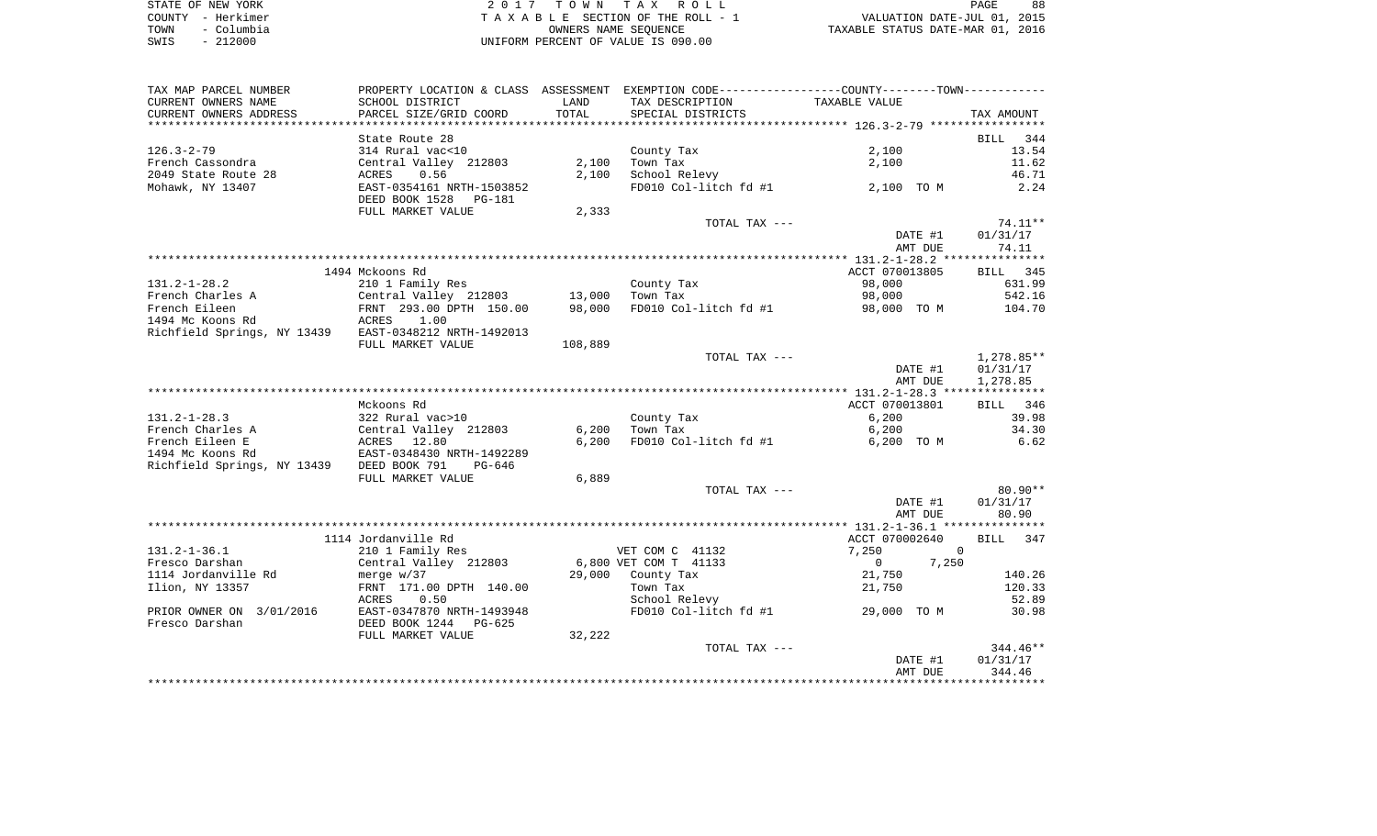| STATE OF NEW YORK  | 2017 TOWN TAX ROLL                 | 88<br>PAGE                       |
|--------------------|------------------------------------|----------------------------------|
| COUNTY - Herkimer  | TAXABLE SECTION OF THE ROLL - 1    | VALUATION DATE-JUL 01, 2015      |
| – Columbia<br>TOWN | OWNERS NAME SEOUENCE               | TAXABLE STATUS DATE-MAR 01, 2016 |
| $-212000$<br>SWIS  | UNIFORM PERCENT OF VALUE IS 090.00 |                                  |

| TAX MAP PARCEL NUMBER       |                            |               | PROPERTY LOCATION & CLASS ASSESSMENT EXEMPTION CODE---------------COUNTY-------TOWN---------- |                   |                      |
|-----------------------------|----------------------------|---------------|-----------------------------------------------------------------------------------------------|-------------------|----------------------|
| CURRENT OWNERS NAME         | SCHOOL DISTRICT            | LAND          | TAX DESCRIPTION                                                                               | TAXABLE VALUE     |                      |
| CURRENT OWNERS ADDRESS      | PARCEL SIZE/GRID COORD     | TOTAL         | SPECIAL DISTRICTS                                                                             |                   | TAX AMOUNT           |
|                             |                            | ************* |                                                                                               |                   |                      |
|                             | State Route 28             |               |                                                                                               |                   | 344<br><b>BILL</b>   |
| $126.3 - 2 - 79$            | 314 Rural vac<10           |               | County Tax                                                                                    | 2,100             | 13.54                |
| French Cassondra            | Central Valley 212803      | 2,100         | Town Tax                                                                                      | 2,100             | 11.62                |
| 2049 State Route 28         | 0.56<br>ACRES              | 2,100         | School Relevy                                                                                 |                   | 46.71                |
| Mohawk, NY 13407            | EAST-0354161 NRTH-1503852  |               | FD010 Col-litch fd #1                                                                         | 2,100 TO M        | 2.24                 |
|                             | DEED BOOK 1528<br>PG-181   |               |                                                                                               |                   |                      |
|                             | FULL MARKET VALUE          | 2,333         |                                                                                               |                   |                      |
|                             |                            |               | TOTAL TAX ---                                                                                 |                   | 74.11**              |
|                             |                            |               |                                                                                               | DATE #1           | 01/31/17             |
|                             |                            |               |                                                                                               | AMT DUE           | 74.11                |
|                             |                            |               |                                                                                               |                   |                      |
|                             | 1494 Mckoons Rd            |               |                                                                                               | ACCT 070013805    | BILL 345             |
| $131.2 - 1 - 28.2$          | 210 1 Family Res           |               | County Tax                                                                                    | 98,000            | 631.99               |
| French Charles A            | Central Valley 212803      | 13,000        | Town Tax                                                                                      | 98,000            | 542.16               |
| French Eileen               | FRNT 293.00 DPTH 150.00    | 98,000        | FD010 Col-litch fd #1                                                                         | 98,000 TO M       | 104.70               |
| 1494 Mc Koons Rd            | ACRES<br>1.00              |               |                                                                                               |                   |                      |
| Richfield Springs, NY 13439 | EAST-0348212 NRTH-1492013  |               |                                                                                               |                   |                      |
|                             | FULL MARKET VALUE          | 108,889       | TOTAL TAX ---                                                                                 |                   |                      |
|                             |                            |               |                                                                                               | DATE #1           | 1,278.85**           |
|                             |                            |               |                                                                                               | AMT DUE           | 01/31/17<br>1,278.85 |
|                             |                            |               |                                                                                               |                   |                      |
|                             | Mckoons Rd                 |               |                                                                                               | ACCT 070013801    | <b>BILL</b><br>346   |
| $131.2 - 1 - 28.3$          | 322 Rural vac>10           |               | County Tax                                                                                    | 6,200             | 39.98                |
| French Charles A            | Central Valley 212803      | 6,200         | Town Tax                                                                                      | 6,200             | 34.30                |
| French Eileen E             | ACRES 12.80                | 6,200         | FD010 Col-litch fd #1                                                                         | 6,200 TO M        | 6.62                 |
| 1494 Mc Koons Rd            | EAST-0348430 NRTH-1492289  |               |                                                                                               |                   |                      |
| Richfield Springs, NY 13439 | DEED BOOK 791<br>PG-646    |               |                                                                                               |                   |                      |
|                             | FULL MARKET VALUE          | 6,889         |                                                                                               |                   |                      |
|                             |                            |               | TOTAL TAX ---                                                                                 |                   | $80.90**$            |
|                             |                            |               |                                                                                               | DATE #1           | 01/31/17             |
|                             |                            |               |                                                                                               | AMT DUE           | 80.90                |
|                             |                            |               |                                                                                               |                   |                      |
|                             | 1114 Jordanville Rd        |               |                                                                                               | ACCT 070002640    | BILL 347             |
| $131.2 - 1 - 36.1$          | 210 1 Family Res           |               | VET COM C 41132                                                                               | $\Omega$<br>7,250 |                      |
| Fresco Darshan              | Central Valley 212803      |               | 6,800 VET COM T 41133                                                                         | $\circ$<br>7,250  |                      |
| 1114 Jordanville Rd         | merge $w/37$               | 29,000        | County Tax                                                                                    | 21,750            | 140.26               |
| Ilion, NY 13357             | FRNT 171.00 DPTH 140.00    |               | Town Tax                                                                                      | 21,750            | 120.33               |
|                             | 0.50<br>ACRES              |               | School Relevy                                                                                 |                   | 52.89                |
| PRIOR OWNER ON 3/01/2016    | EAST-0347870 NRTH-1493948  |               | FD010 Col-litch fd #1                                                                         | 29,000 TO M       | 30.98                |
| Fresco Darshan              | DEED BOOK 1244<br>$PG-625$ |               |                                                                                               |                   |                      |
|                             | FULL MARKET VALUE          | 32,222        |                                                                                               |                   |                      |
|                             |                            |               | TOTAL TAX ---                                                                                 |                   | $344.46**$           |
|                             |                            |               |                                                                                               | DATE #1           | 01/31/17             |
|                             |                            |               |                                                                                               | AMT DUE           | 344.46               |
|                             |                            |               |                                                                                               |                   |                      |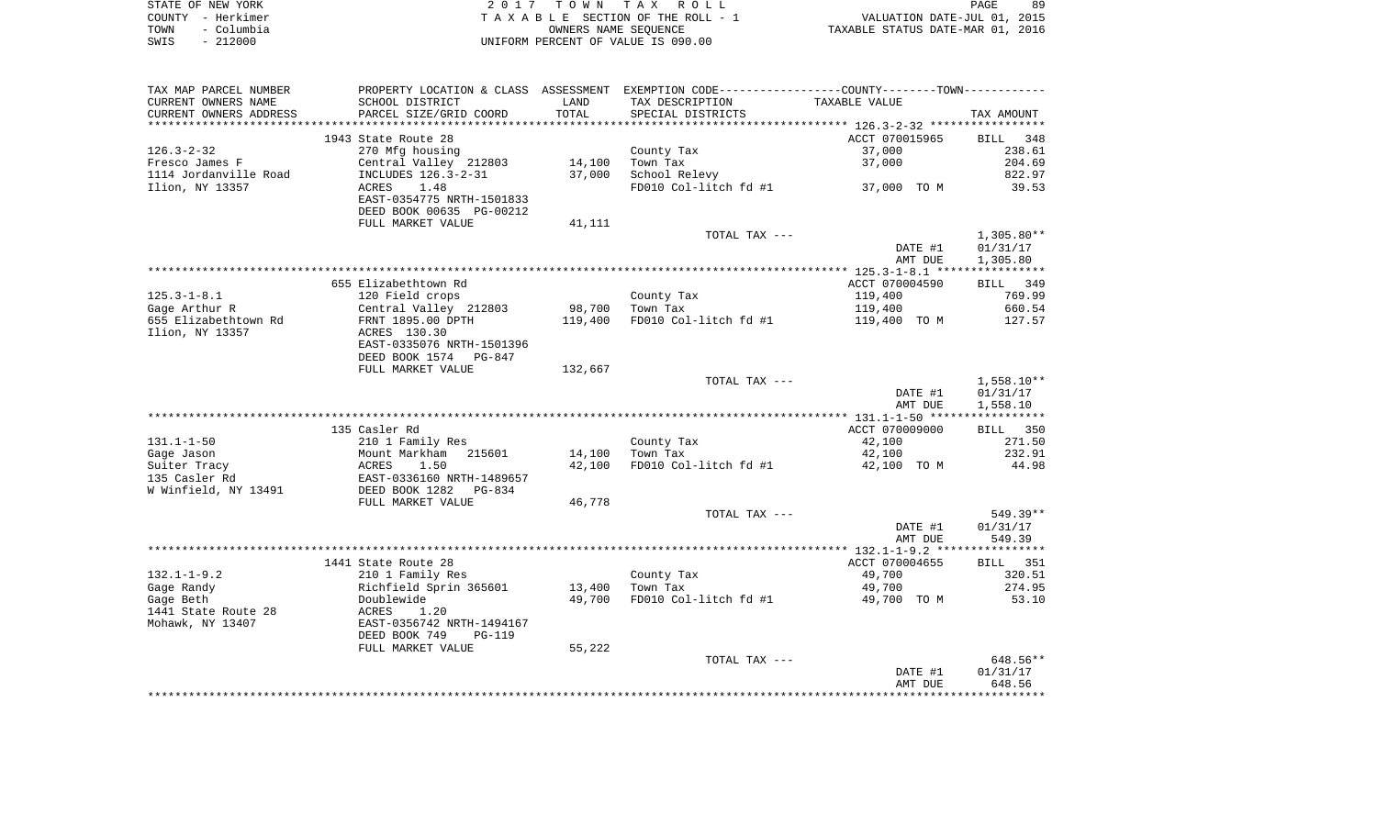|      | STATE OF NEW YORK | 2017 TOWN TAX ROLL                 | PAGE                             | 89 |
|------|-------------------|------------------------------------|----------------------------------|----|
|      | COUNTY - Herkimer | TAXABLE SECTION OF THE ROLL - 1    | VALUATION DATE-JUL 01, 2015      |    |
| TOWN | - Columbia        | OWNERS NAME SEOUENCE               | TAXABLE STATUS DATE-MAR 01, 2016 |    |
| SWIS | $-212000$         | UNIFORM PERCENT OF VALUE IS 090.00 |                                  |    |

| TAX MAP PARCEL NUMBER  | PROPERTY LOCATION & CLASS ASSESSMENT EXEMPTION CODE---------------COUNTY-------TOWN---------- |         |                       |                          |                    |
|------------------------|-----------------------------------------------------------------------------------------------|---------|-----------------------|--------------------------|--------------------|
| CURRENT OWNERS NAME    | SCHOOL DISTRICT                                                                               | LAND    | TAX DESCRIPTION       | TAXABLE VALUE            |                    |
| CURRENT OWNERS ADDRESS | PARCEL SIZE/GRID COORD                                                                        | TOTAL   | SPECIAL DISTRICTS     |                          | TAX AMOUNT         |
| *******************    |                                                                                               |         |                       |                          |                    |
|                        | 1943 State Route 28                                                                           |         |                       | ACCT 070015965           | BILL 348           |
| $126.3 - 2 - 32$       | 270 Mfg housing                                                                               |         | County Tax            | 37,000                   | 238.61             |
| Fresco James F         | Central Valley 212803                                                                         | 14,100  | Town Tax              | 37,000                   | 204.69             |
| 1114 Jordanville Road  | INCLUDES 126.3-2-31                                                                           | 37,000  | School Relevy         |                          | 822.97             |
| Ilion, NY 13357        | 1.48<br>ACRES                                                                                 |         | FD010 Col-litch fd #1 | 37,000 TO M              | 39.53              |
|                        | EAST-0354775 NRTH-1501833                                                                     |         |                       |                          |                    |
|                        | DEED BOOK 00635 PG-00212                                                                      |         |                       |                          |                    |
|                        | FULL MARKET VALUE                                                                             | 41,111  |                       |                          |                    |
|                        |                                                                                               |         | TOTAL TAX ---         |                          | $1,305.80**$       |
|                        |                                                                                               |         |                       | DATE #1                  | 01/31/17           |
|                        |                                                                                               |         |                       | AMT DUE                  | 1,305.80           |
|                        | 655 Elizabethtown Rd                                                                          |         |                       | ACCT 070004590           | BILL 349           |
| $125.3 - 1 - 8.1$      | 120 Field crops                                                                               |         | County Tax            | 119,400                  | 769.99             |
| Gage Arthur R          | Central Valley 212803                                                                         | 98,700  | Town Tax              | 119,400                  | 660.54             |
| 655 Elizabethtown Rd   | FRNT 1895.00 DPTH                                                                             | 119,400 | FD010 Col-litch fd #1 | 119,400 TO M             | 127.57             |
| Ilion, NY 13357        | ACRES 130.30                                                                                  |         |                       |                          |                    |
|                        | EAST-0335076 NRTH-1501396                                                                     |         |                       |                          |                    |
|                        | DEED BOOK 1574 PG-847                                                                         |         |                       |                          |                    |
|                        | FULL MARKET VALUE                                                                             | 132,667 |                       |                          |                    |
|                        |                                                                                               |         | TOTAL TAX ---         |                          | $1,558.10**$       |
|                        |                                                                                               |         |                       | DATE #1                  | 01/31/17           |
|                        |                                                                                               |         |                       | AMT DUE                  | 1,558.10           |
|                        |                                                                                               |         |                       |                          |                    |
|                        | 135 Casler Rd                                                                                 |         |                       | ACCT 070009000           | BILL 350           |
| $131.1 - 1 - 50$       | 210 1 Family Res                                                                              |         | County Tax            | 42,100                   | 271.50             |
| Gage Jason             | Mount Markham<br>215601                                                                       | 14,100  | Town Tax              | 42,100                   | 232.91             |
| Suiter Tracy           | ACRES<br>1.50                                                                                 | 42,100  | FD010 Col-litch fd #1 | 42,100 TO M              | 44.98              |
| 135 Casler Rd          | EAST-0336160 NRTH-1489657                                                                     |         |                       |                          |                    |
| W Winfield, NY 13491   | DEED BOOK 1282<br>PG-834                                                                      |         |                       |                          |                    |
|                        | FULL MARKET VALUE                                                                             | 46,778  |                       |                          |                    |
|                        |                                                                                               |         | TOTAL TAX ---         |                          | 549.39**           |
|                        |                                                                                               |         |                       | DATE #1                  | 01/31/17           |
|                        |                                                                                               |         |                       | AMT DUE                  | 549.39             |
|                        |                                                                                               |         |                       |                          |                    |
| $132.1 - 1 - 9.2$      | 1441 State Route 28                                                                           |         | County Tax            | ACCT 070004655<br>49,700 | BILL 351<br>320.51 |
| Gage Randy             | 210 1 Family Res<br>Richfield Sprin 365601                                                    | 13,400  | Town Tax              | 49,700                   | 274.95             |
| Gage Beth              | Doublewide                                                                                    | 49,700  | FD010 Col-litch fd #1 | 49,700 TO M              | 53.10              |
| 1441 State Route 28    | ACRES<br>1.20                                                                                 |         |                       |                          |                    |
| Mohawk, NY 13407       | EAST-0356742 NRTH-1494167                                                                     |         |                       |                          |                    |
|                        | DEED BOOK 749<br><b>PG-119</b>                                                                |         |                       |                          |                    |
|                        | FULL MARKET VALUE                                                                             | 55,222  |                       |                          |                    |
|                        |                                                                                               |         | TOTAL TAX ---         |                          | 648.56**           |
|                        |                                                                                               |         |                       | DATE #1                  | 01/31/17           |
|                        |                                                                                               |         |                       | AMT DUE                  | 648.56             |
|                        |                                                                                               |         |                       |                          |                    |
|                        |                                                                                               |         |                       |                          |                    |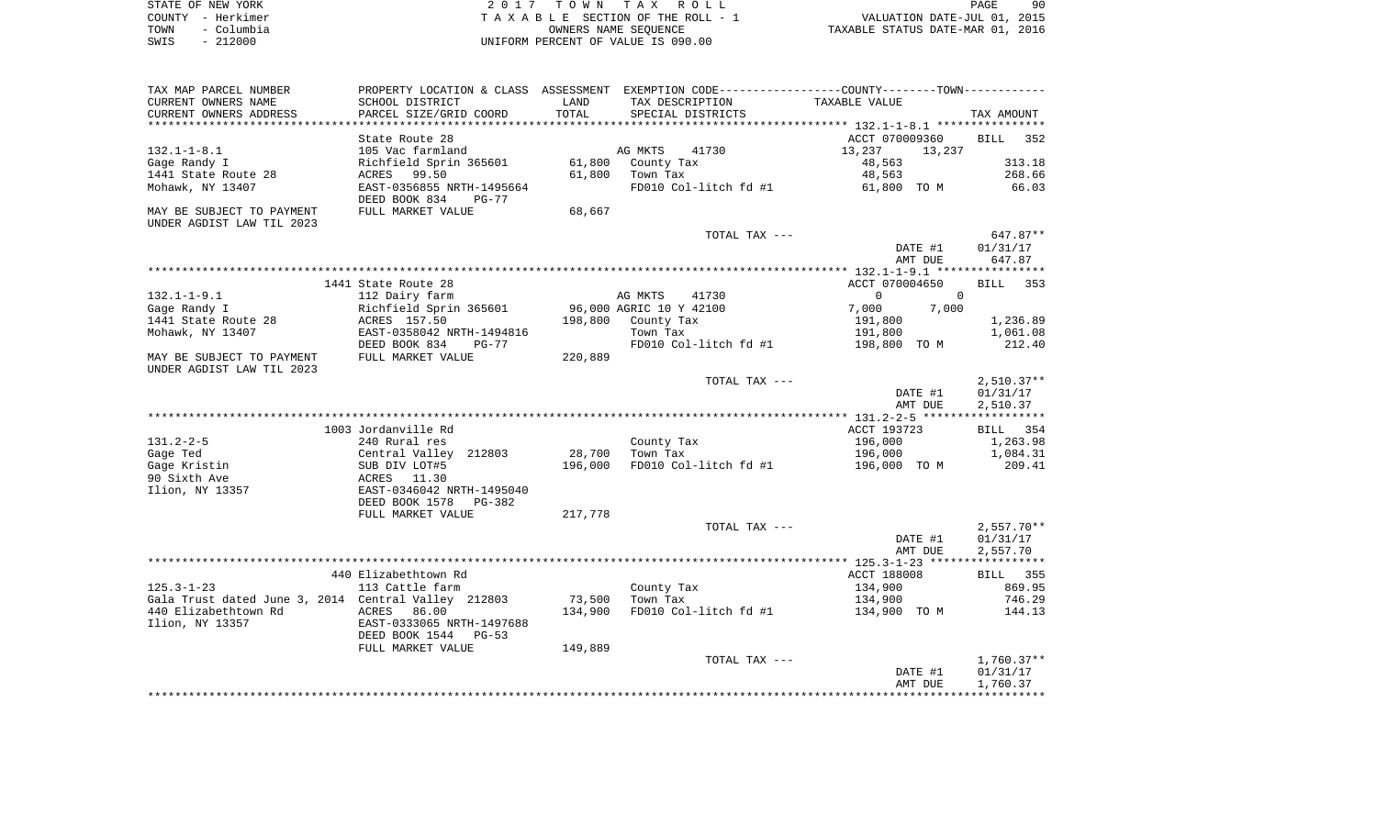| STATE OF NEW YORK  | 2017 TOWN TAX ROLL                 | 90<br>PAGE                       |
|--------------------|------------------------------------|----------------------------------|
| COUNTY - Herkimer  | TAXABLE SECTION OF THE ROLL - 1    | VALUATION DATE-JUL 01, 2015      |
| – Columbia<br>TOWN | OWNERS NAME SEOUENCE               | TAXABLE STATUS DATE-MAR 01, 2016 |
| $-212000$<br>SWIS  | UNIFORM PERCENT OF VALUE IS 090.00 |                                  |

| TAX MAP PARCEL NUMBER<br>CURRENT OWNERS NAME        | SCHOOL DISTRICT                          | LAND    | PROPERTY LOCATION & CLASS ASSESSMENT EXEMPTION CODE----------------COUNTY--------TOWN-----------<br>TAX DESCRIPTION | TAXABLE VALUE                 |                          |
|-----------------------------------------------------|------------------------------------------|---------|---------------------------------------------------------------------------------------------------------------------|-------------------------------|--------------------------|
| CURRENT OWNERS ADDRESS                              | PARCEL SIZE/GRID COORD                   | TOTAL   | SPECIAL DISTRICTS                                                                                                   |                               | TAX AMOUNT               |
|                                                     |                                          |         |                                                                                                                     |                               |                          |
|                                                     | State Route 28                           |         |                                                                                                                     | ACCT 070009360                | <b>BILL</b><br>352       |
| $132.1 - 1 - 8.1$                                   | 105 Vac farmland                         |         | AG MKTS<br>41730                                                                                                    | 13,237<br>13,237              |                          |
| Gage Randy I                                        | Richfield Sprin 365601                   | 61,800  | County Tax                                                                                                          | 48,563                        | 313.18                   |
| 1441 State Route 28                                 | ACRES 99.50                              | 61,800  | Town Tax                                                                                                            | 48,563                        | 268.66                   |
| Mohawk, NY 13407                                    | EAST-0356855 NRTH-1495664                |         | FD010 Col-litch fd #1                                                                                               | 61,800 TO M                   | 66.03                    |
|                                                     | DEED BOOK 834<br>PG-77                   |         |                                                                                                                     |                               |                          |
| MAY BE SUBJECT TO PAYMENT                           | FULL MARKET VALUE                        | 68,667  |                                                                                                                     |                               |                          |
| UNDER AGDIST LAW TIL 2023                           |                                          |         |                                                                                                                     |                               |                          |
|                                                     |                                          |         | TOTAL TAX ---                                                                                                       |                               | 647.87**                 |
|                                                     |                                          |         |                                                                                                                     | DATE #1                       | 01/31/17                 |
|                                                     |                                          |         |                                                                                                                     | AMT DUE                       | 647.87                   |
|                                                     |                                          |         |                                                                                                                     |                               |                          |
|                                                     | 1441 State Route 28                      |         |                                                                                                                     | ACCT 070004650                | BILL 353                 |
| $132.1 - 1 - 9.1$                                   | 112 Dairy farm                           |         | AG MKTS<br>41730                                                                                                    | $\mathbf 0$<br>$\overline{0}$ |                          |
| Gage Randy I                                        | Richfield Sprin 365601                   |         | 96,000 AGRIC 10 Y 42100                                                                                             | 7,000<br>7,000                |                          |
| 1441 State Route 28                                 | ACRES 157.50                             |         | 198,800 County Tax                                                                                                  | 191,800                       | 1,236.89                 |
| Mohawk, NY 13407                                    | EAST-0358042 NRTH-1494816                |         | Town Tax                                                                                                            | 191,800                       | 1,061.08                 |
|                                                     | DEED BOOK 834<br>PG-77                   |         | FD010 Col-litch fd #1                                                                                               | 198,800 TO M                  | 212.40                   |
| MAY BE SUBJECT TO PAYMENT                           | FULL MARKET VALUE                        | 220,889 |                                                                                                                     |                               |                          |
| UNDER AGDIST LAW TIL 2023                           |                                          |         |                                                                                                                     |                               |                          |
|                                                     |                                          |         | TOTAL TAX ---                                                                                                       | DATE #1                       | $2,510.37**$<br>01/31/17 |
|                                                     |                                          |         |                                                                                                                     | AMT DUE                       | 2,510.37                 |
|                                                     |                                          |         |                                                                                                                     |                               |                          |
|                                                     | 1003 Jordanville Rd                      |         |                                                                                                                     | ACCT 193723                   | BILL 354                 |
| $131.2 - 2 - 5$                                     | 240 Rural res                            |         | County Tax                                                                                                          | 196,000                       | 1,263.98                 |
| Gage Ted                                            | Central Valley 212803                    | 28,700  | Town Tax                                                                                                            | 196,000                       | 1,084.31                 |
| Gage Kristin                                        | SUB DIV LOT#5                            | 196,000 | FD010 Col-litch fd #1                                                                                               | 196,000 TO M                  | 209.41                   |
| 90 Sixth Ave                                        |                                          |         |                                                                                                                     |                               |                          |
| Ilion, NY 13357                                     | ACRES 11.30<br>EAST-0346042 NRTH-1495040 |         |                                                                                                                     |                               |                          |
|                                                     | DEED BOOK 1578<br>PG-382                 |         |                                                                                                                     |                               |                          |
|                                                     | FULL MARKET VALUE                        | 217,778 |                                                                                                                     |                               |                          |
|                                                     |                                          |         | TOTAL TAX ---                                                                                                       |                               | $2,557.70**$             |
|                                                     |                                          |         |                                                                                                                     | DATE #1                       | 01/31/17                 |
|                                                     |                                          |         |                                                                                                                     | AMT DUE                       | 2,557.70                 |
|                                                     |                                          |         |                                                                                                                     |                               |                          |
|                                                     | 440 Elizabethtown Rd                     |         |                                                                                                                     | ACCT 188008                   | BILL 355                 |
| $125.3 - 1 - 23$                                    | 113 Cattle farm                          |         | County Tax                                                                                                          | 134,900                       | 869.95                   |
| Gala Trust dated June 3, 2014 Central Valley 212803 |                                          | 73,500  | Town Tax                                                                                                            | 134,900                       | 746.29                   |
| 440 Elizabethtown Rd                                | <b>ACRES</b><br>86.00                    | 134,900 | FD010 Col-litch fd #1                                                                                               | 134,900 TO M                  | 144.13                   |
| Ilion, NY 13357                                     | EAST-0333065 NRTH-1497688                |         |                                                                                                                     |                               |                          |
|                                                     | DEED BOOK 1544<br>$PG-53$                |         |                                                                                                                     |                               |                          |
|                                                     | FULL MARKET VALUE                        | 149,889 |                                                                                                                     |                               |                          |
|                                                     |                                          |         | TOTAL TAX ---                                                                                                       | DATE #1                       | $1,760.37**$<br>01/31/17 |
|                                                     |                                          |         |                                                                                                                     | AMT DUE                       | 1,760.37                 |
|                                                     |                                          |         |                                                                                                                     |                               |                          |
|                                                     |                                          |         |                                                                                                                     |                               |                          |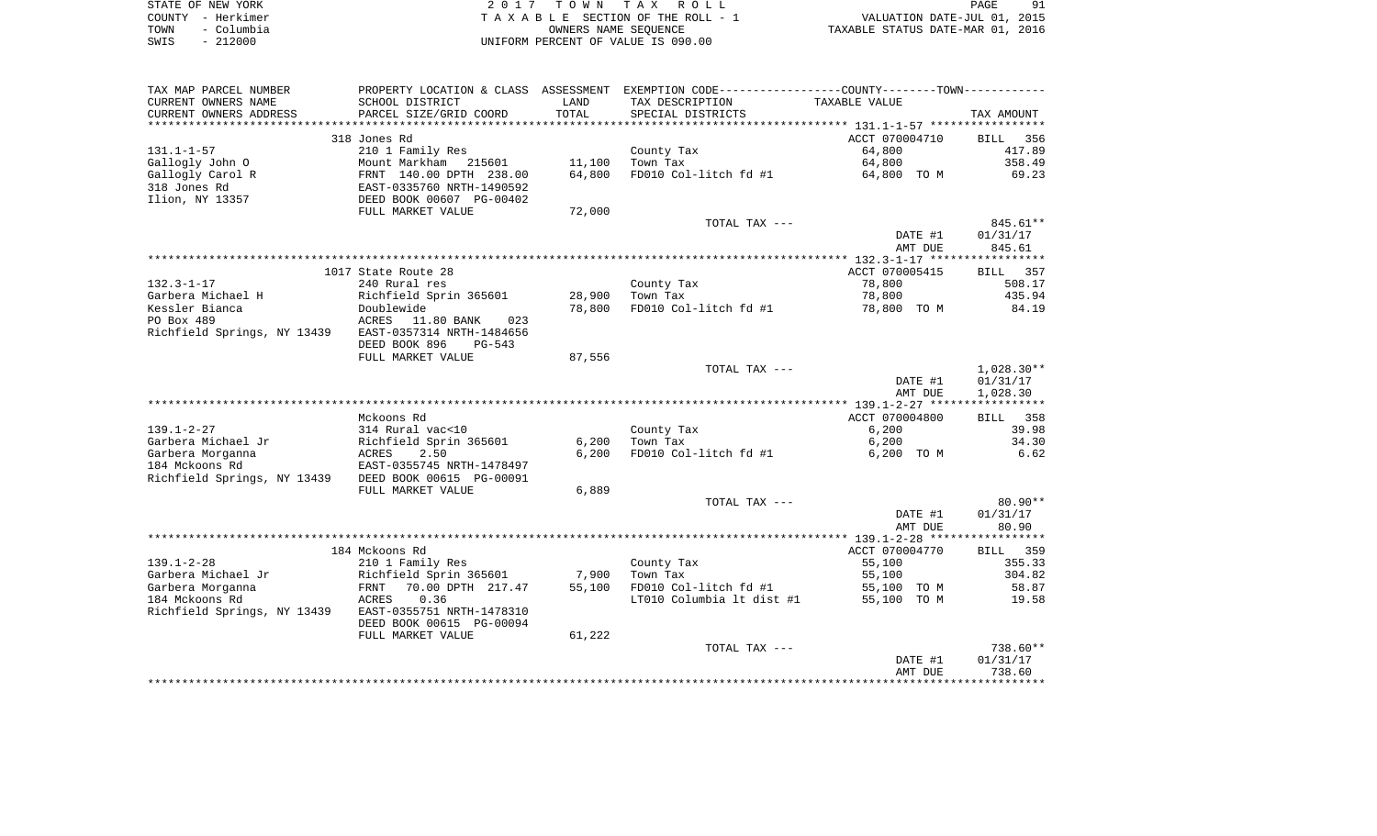| STATE OF NEW YORK  | 2017 TOWN TAX ROLL                 | 91<br>PAGE                       |
|--------------------|------------------------------------|----------------------------------|
| COUNTY - Herkimer  | TAXABLE SECTION OF THE ROLL - 1    | VALUATION DATE-JUL 01, 2015      |
| – Columbia<br>TOWN | OWNERS NAME SEOUENCE               | TAXABLE STATUS DATE-MAR 01, 2016 |
| $-212000$<br>SWIS  | UNIFORM PERCENT OF VALUE IS 090.00 |                                  |

| TAX MAP PARCEL NUMBER                                 |                                                      |        | PROPERTY LOCATION & CLASS ASSESSMENT EXEMPTION CODE----------------COUNTY--------TOWN---------- |                |              |
|-------------------------------------------------------|------------------------------------------------------|--------|-------------------------------------------------------------------------------------------------|----------------|--------------|
| CURRENT OWNERS NAME                                   | SCHOOL DISTRICT                                      | LAND   | TAX DESCRIPTION                                                                                 | TAXABLE VALUE  |              |
| CURRENT OWNERS ADDRESS                                | PARCEL SIZE/GRID COORD                               | TOTAL  | SPECIAL DISTRICTS                                                                               |                | TAX AMOUNT   |
| *****************                                     |                                                      |        |                                                                                                 |                |              |
|                                                       | 318 Jones Rd                                         |        |                                                                                                 | ACCT 070004710 | BILL 356     |
| $131.1 - 1 - 57$                                      | 210 1 Family Res                                     |        | County Tax                                                                                      | 64,800         | 417.89       |
| Gallogly John O                                       | Mount Markham 215601                                 | 11,100 | Town Tax                                                                                        | 64,800         | 358.49       |
| Gallogly Carol R                                      |                                                      | 64,800 | FD010 Col-litch fd #1                                                                           | 64,800 TO M    | 69.23        |
| 318 Jones Rd                                          | FRNT 140.00 DPIN 200.00<br>EAST-0335760 NRTH-1490592 |        |                                                                                                 |                |              |
| Ilion, NY 13357                                       | DEED BOOK 00607 PG-00402                             |        |                                                                                                 |                |              |
|                                                       | FULL MARKET VALUE                                    | 72,000 |                                                                                                 |                |              |
|                                                       |                                                      |        | TOTAL TAX ---                                                                                   |                | 845.61**     |
|                                                       |                                                      |        |                                                                                                 | DATE #1        | 01/31/17     |
|                                                       |                                                      |        |                                                                                                 | AMT DUE        | 845.61       |
|                                                       |                                                      |        |                                                                                                 |                |              |
|                                                       | 1017 State Route 28                                  |        |                                                                                                 | ACCT 070005415 | BILL 357     |
| $132.3 - 1 - 17$                                      | 240 Rural res                                        |        | County Tax                                                                                      | 78,800         | 508.17       |
| Garbera Michael H                                     | Richfield Sprin 365601                               | 28,900 | Town Tax                                                                                        | 78,800         | 435.94       |
| Kessler Bianca                                        | Doublewide                                           | 78,800 | FD010 Col-litch fd #1                                                                           | 78,800 TO M    | 84.19        |
| PO Box 489                                            | ACRES 11.80 BANK<br>023                              |        |                                                                                                 |                |              |
| Richfield Springs, NY 13439 EAST-0357314 NRTH-1484656 |                                                      |        |                                                                                                 |                |              |
|                                                       | DEED BOOK 896<br>PG-543<br>FULL MARKET VALUE         | 87,556 |                                                                                                 |                |              |
|                                                       |                                                      |        | TOTAL TAX ---                                                                                   |                | $1,028.30**$ |
|                                                       |                                                      |        |                                                                                                 | DATE #1        | 01/31/17     |
|                                                       |                                                      |        |                                                                                                 | AMT DUE        | 1,028.30     |
|                                                       |                                                      |        |                                                                                                 |                |              |
|                                                       | Mckoons Rd                                           |        |                                                                                                 | ACCT 070004800 | BILL 358     |
| $139.1 - 2 - 27$                                      | 314 Rural vac<10                                     |        | County Tax                                                                                      | 6,200          | 39.98        |
| Garbera Michael Jr                                    | Richfield Sprin 365601                               | 6,200  | Town Tax                                                                                        | 6,200          | 34.30        |
| Garbera Morganna                                      | 2.50<br>ACRES                                        | 6,200  | FD010 Col-litch fd #1                                                                           | 6,200 TO M     | 6.62         |
| 184 Mckoons Rd                                        | EAST-0355745 NRTH-1478497                            |        |                                                                                                 |                |              |
| Richfield Springs, NY 13439 DEED BOOK 00615 PG-00091  |                                                      |        |                                                                                                 |                |              |
|                                                       | FULL MARKET VALUE                                    | 6,889  |                                                                                                 |                |              |
|                                                       |                                                      |        | TOTAL TAX ---                                                                                   |                | $80.90**$    |
|                                                       |                                                      |        |                                                                                                 | DATE #1        | 01/31/17     |
|                                                       |                                                      |        |                                                                                                 | AMT DUE        | 80.90        |
|                                                       |                                                      |        |                                                                                                 |                |              |
|                                                       | 184 Mckoons Rd                                       |        |                                                                                                 | ACCT 070004770 | BILL 359     |
| $139.1 - 2 - 28$                                      | 210 1 Family Res                                     |        | County Tax                                                                                      | 55,100         | 355.33       |
| Garbera Michael Jr                                    | Richfield Sprin 365601                               | 7,900  | Town Tax                                                                                        | 55,100         | 304.82       |
| Garbera Morganna                                      | 70.00 DPTH 217.47<br>FRNT                            | 55,100 | FD010 Col-litch fd #1                                                                           | 55,100 TO M    | 58.87        |
| 184 Mckoons Rd                                        | ACRES<br>0.36                                        |        | LT010 Columbia 1t dist #1                                                                       | 55,100 TO M    | 19.58        |
| Richfield Springs, NY 13439                           | EAST-0355751 NRTH-1478310                            |        |                                                                                                 |                |              |
|                                                       | DEED BOOK 00615 PG-00094                             |        |                                                                                                 |                |              |
|                                                       | FULL MARKET VALUE                                    | 61,222 |                                                                                                 |                |              |
|                                                       |                                                      |        | TOTAL TAX ---                                                                                   |                | 738.60**     |
|                                                       |                                                      |        |                                                                                                 | DATE #1        | 01/31/17     |
|                                                       |                                                      |        |                                                                                                 | AMT DUE        | 738.60       |
|                                                       |                                                      |        |                                                                                                 |                |              |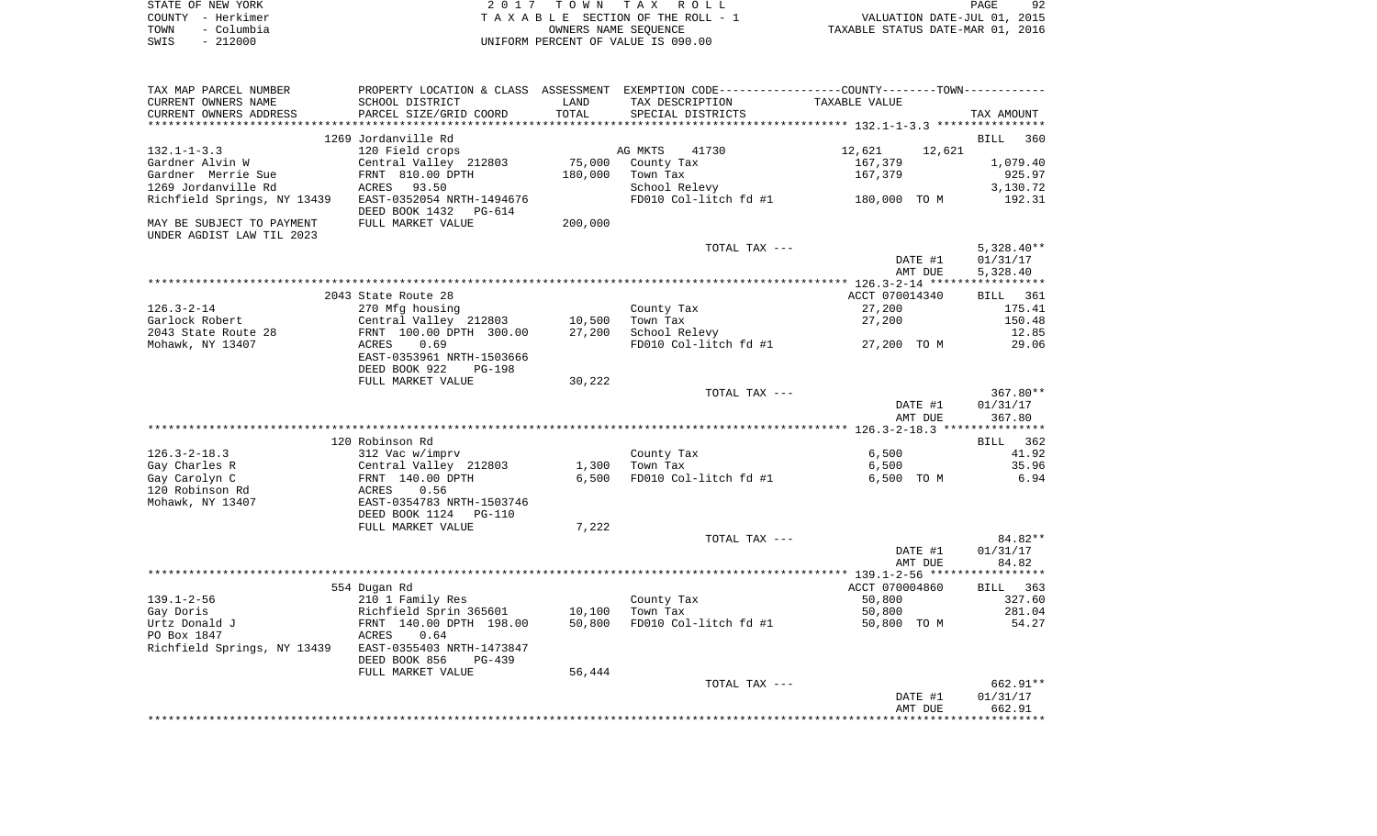| STATE OF NEW YORK |            | 2017 TOWN TAX ROLL                 | PAGE                             | 92 |
|-------------------|------------|------------------------------------|----------------------------------|----|
| COUNTY – Herkimer |            | TAXABLE SECTION OF THE ROLL - 1    | VALUATION DATE-JUL 01, 2015      |    |
| TOWN              | - Columbia | OWNERS NAME SEOUENCE               | TAXABLE STATUS DATE-MAR 01, 2016 |    |
| SWIS              | - 212000   | UNIFORM PERCENT OF VALUE IS 090.00 |                                  |    |

| TAX MAP PARCEL NUMBER                                 |                                                       |         | PROPERTY LOCATION & CLASS ASSESSMENT EXEMPTION CODE---------------COUNTY-------TOWN---------- |                  |              |
|-------------------------------------------------------|-------------------------------------------------------|---------|-----------------------------------------------------------------------------------------------|------------------|--------------|
| CURRENT OWNERS NAME                                   | SCHOOL DISTRICT                                       | LAND    | TAX DESCRIPTION                                                                               | TAXABLE VALUE    |              |
| CURRENT OWNERS ADDRESS                                | PARCEL SIZE/GRID COORD                                | TOTAL   | SPECIAL DISTRICTS                                                                             |                  | TAX AMOUNT   |
|                                                       |                                                       |         |                                                                                               |                  |              |
|                                                       | 1269 Jordanville Rd                                   |         |                                                                                               |                  | BILL<br>360  |
| $132.1 - 1 - 3.3$                                     | 120 Field crops                                       |         | AG MKTS<br>41730                                                                              | 12,621<br>12,621 |              |
| Gardner Alvin W                                       | Central Valley 212803                                 | 75,000  | County Tax                                                                                    | 167,379          | 1,079.40     |
| Gardner Merrie Sue                                    | FRNT 810.00 DPTH                                      | 180,000 | Town Tax                                                                                      | 167,379          | 925.97       |
| 1269 Jordanville Rd                                   | ACRES<br>93.50                                        |         | School Relevy                                                                                 |                  | 3,130.72     |
| Richfield Springs, NY 13439                           | EAST-0352054 NRTH-1494676<br>DEED BOOK 1432<br>PG-614 |         | FD010 Col-litch $fd$ #1 $180,000$ TO M                                                        |                  | 192.31       |
| MAY BE SUBJECT TO PAYMENT                             | FULL MARKET VALUE                                     | 200,000 |                                                                                               |                  |              |
| UNDER AGDIST LAW TIL 2023                             |                                                       |         |                                                                                               |                  |              |
|                                                       |                                                       |         | TOTAL TAX ---                                                                                 |                  | $5,328.40**$ |
|                                                       |                                                       |         |                                                                                               | DATE #1          | 01/31/17     |
|                                                       |                                                       |         |                                                                                               | AMT DUE          | 5,328.40     |
|                                                       |                                                       |         |                                                                                               |                  |              |
|                                                       | 2043 State Route 28                                   |         |                                                                                               | ACCT 070014340   | BILL 361     |
| $126.3 - 2 - 14$                                      | 270 Mfg housing                                       |         | County Tax                                                                                    | 27,200           | 175.41       |
| Garlock Robert                                        | Central Valley 212803                                 | 10,500  | Town Tax                                                                                      | 27,200           | 150.48       |
| 2043 State Route 28                                   | FRNT 100.00 DPTH 300.00                               | 27,200  | School Relevy                                                                                 |                  | 12.85        |
| Mohawk, NY 13407                                      | 0.69<br>ACRES                                         |         | FD010 Col-litch fd #1 27,200 TO M                                                             |                  | 29.06        |
|                                                       | EAST-0353961 NRTH-1503666                             |         |                                                                                               |                  |              |
|                                                       | DEED BOOK 922<br>PG-198                               |         |                                                                                               |                  |              |
|                                                       | FULL MARKET VALUE                                     | 30,222  |                                                                                               |                  |              |
|                                                       |                                                       |         | TOTAL TAX ---                                                                                 |                  | 367.80**     |
|                                                       |                                                       |         |                                                                                               | DATE #1          | 01/31/17     |
|                                                       |                                                       |         |                                                                                               | AMT DUE          | 367.80       |
|                                                       |                                                       |         |                                                                                               |                  |              |
|                                                       | 120 Robinson Rd                                       |         |                                                                                               |                  | BILL 362     |
| $126.3 - 2 - 18.3$                                    | 312 Vac w/imprv                                       |         | County Tax                                                                                    | 6,500            | 41.92        |
| Gay Charles R                                         | Central Valley 212803                                 | 1,300   | Town Tax                                                                                      | 6,500            | 35.96        |
| Gay Carolyn C                                         | FRNT 140.00 DPTH                                      | 6,500   | FD010 Col-litch fd #1                                                                         | 6,500 TO M       | 6.94         |
| 120 Robinson Rd                                       | ACRES<br>0.56                                         |         |                                                                                               |                  |              |
| Mohawk, NY 13407                                      | EAST-0354783 NRTH-1503746                             |         |                                                                                               |                  |              |
|                                                       | DEED BOOK 1124<br><b>PG-110</b>                       |         |                                                                                               |                  |              |
|                                                       | FULL MARKET VALUE                                     | 7,222   |                                                                                               |                  |              |
|                                                       |                                                       |         | TOTAL TAX ---                                                                                 |                  | 84.82**      |
|                                                       |                                                       |         |                                                                                               | DATE #1          | 01/31/17     |
|                                                       |                                                       |         |                                                                                               | AMT DUE          | 84.82        |
|                                                       |                                                       |         |                                                                                               |                  |              |
|                                                       | 554 Dugan Rd                                          |         |                                                                                               | ACCT 070004860   | BILL 363     |
| $139.1 - 2 - 56$                                      | 210 1 Family Res                                      |         | County Tax                                                                                    | 50,800           | 327.60       |
| Gay Doris                                             | Richfield Sprin 365601                                | 10,100  | Town Tax                                                                                      | 50,800           | 281.04       |
| Urtz Donald J                                         | FRNT 140.00 DPTH 198.00                               | 50,800  | FD010 Col-litch fd #1                                                                         | 50,800 TO M      | 54.27        |
| PO Box 1847                                           | ACRES<br>0.64                                         |         |                                                                                               |                  |              |
| Richfield Springs, NY 13439 EAST-0355403 NRTH-1473847 |                                                       |         |                                                                                               |                  |              |
|                                                       | DEED BOOK 856<br>$PG-439$                             |         |                                                                                               |                  |              |
|                                                       | FULL MARKET VALUE                                     | 56,444  |                                                                                               |                  |              |
|                                                       |                                                       |         | TOTAL TAX ---                                                                                 |                  | 662.91**     |
|                                                       |                                                       |         |                                                                                               | DATE #1          | 01/31/17     |
|                                                       |                                                       |         |                                                                                               | AMT DUE          | 662.91       |
|                                                       |                                                       |         |                                                                                               |                  |              |
|                                                       |                                                       |         |                                                                                               |                  |              |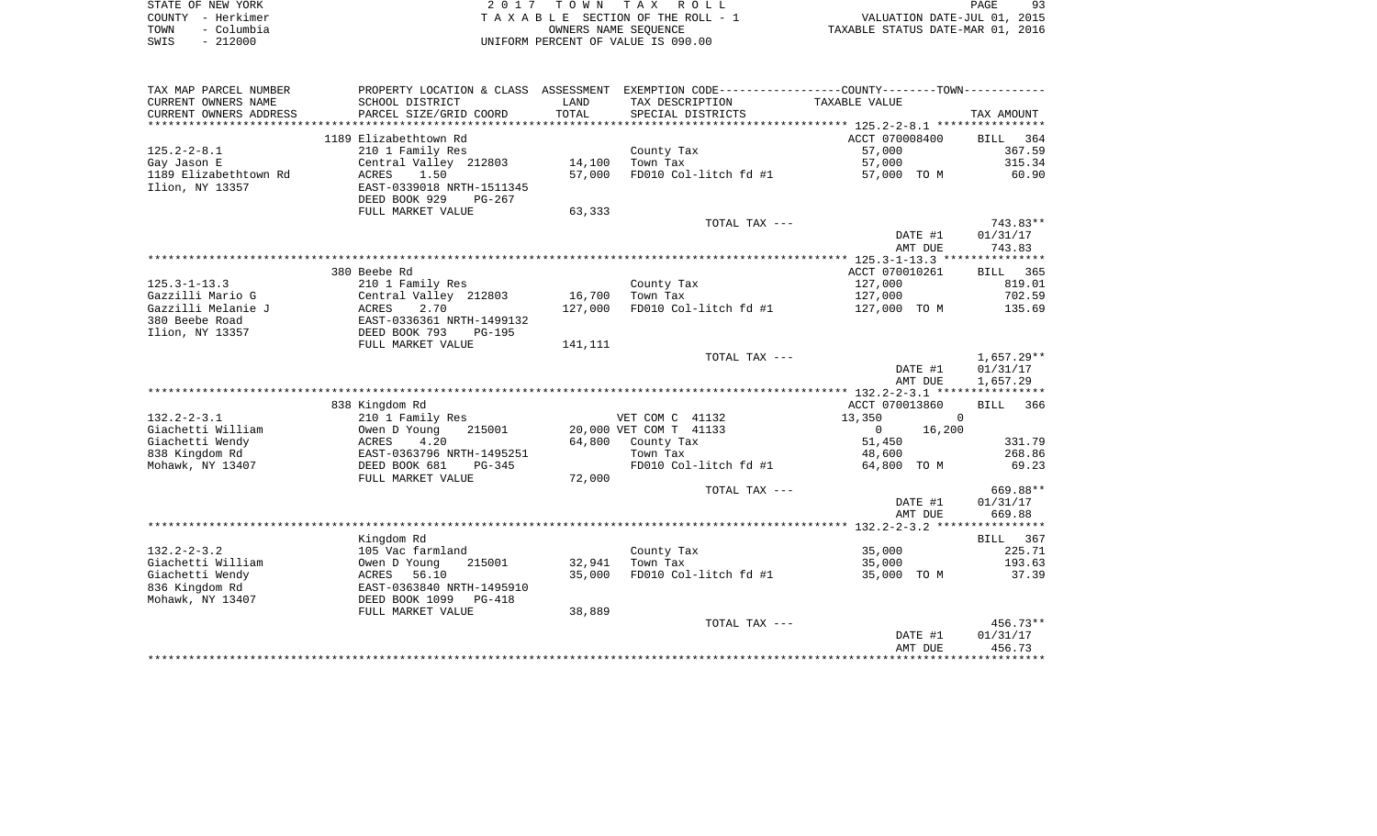| STATE OF NEW YORK  | 2017 TOWN TAX ROLL                 | 93<br>PAGE                       |
|--------------------|------------------------------------|----------------------------------|
| COUNTY - Herkimer  | TAXABLE SECTION OF THE ROLL - 1    | VALUATION DATE-JUL 01, 2015      |
| – Columbia<br>TOWN | OWNERS NAME SEOUENCE               | TAXABLE STATUS DATE-MAR 01, 2016 |
| $-212000$<br>SWIS  | UNIFORM PERCENT OF VALUE IS 090.00 |                                  |

| TAX MAP PARCEL NUMBER                  |                                            |         | PROPERTY LOCATION & CLASS ASSESSMENT EXEMPTION CODE---------------COUNTY-------TOWN---------- |                        |                    |
|----------------------------------------|--------------------------------------------|---------|-----------------------------------------------------------------------------------------------|------------------------|--------------------|
| CURRENT OWNERS NAME                    | SCHOOL DISTRICT                            | LAND    | TAX DESCRIPTION                                                                               | TAXABLE VALUE          |                    |
| CURRENT OWNERS ADDRESS                 | PARCEL SIZE/GRID COORD                     | TOTAL   | SPECIAL DISTRICTS                                                                             |                        | TAX AMOUNT         |
|                                        |                                            |         |                                                                                               |                        |                    |
|                                        | 1189 Elizabethtown Rd                      |         |                                                                                               | ACCT 070008400         | <b>BILL</b><br>364 |
| $125.2 - 2 - 8.1$                      | 210 1 Family Res                           |         | County Tax                                                                                    | 57,000                 | 367.59             |
| Gay Jason E                            | Central Valley 212803                      | 14,100  | Town Tax                                                                                      | 57,000                 | 315.34             |
| 1189 Elizabethtown Rd                  | 1.50<br>ACRES                              | 57,000  | FD010 Col-litch fd #1                                                                         | 57,000 TO M            | 60.90              |
| Ilion, NY 13357                        | EAST-0339018 NRTH-1511345                  |         |                                                                                               |                        |                    |
|                                        | DEED BOOK 929<br>$PG-267$                  |         |                                                                                               |                        |                    |
|                                        | FULL MARKET VALUE                          | 63,333  |                                                                                               |                        |                    |
|                                        |                                            |         | TOTAL TAX ---                                                                                 |                        | 743.83**           |
|                                        |                                            |         |                                                                                               | DATE #1                | 01/31/17           |
|                                        |                                            |         |                                                                                               | AMT DUE                | 743.83             |
|                                        |                                            |         |                                                                                               |                        |                    |
|                                        | 380 Beebe Rd                               |         |                                                                                               | ACCT 070010261         | BILL 365           |
| $125.3 - 1 - 13.3$                     | 210 1 Family Res                           |         | County Tax                                                                                    | 127,000                | 819.01             |
| Gazzilli Mario G                       | Central Valley 212803                      | 16,700  | Town Tax                                                                                      | 127,000                | 702.59             |
| Gazzilli Melanie J                     | ACRES<br>2.70                              | 127,000 | FD010 Col-litch fd #1                                                                         | 127,000 TO M           | 135.69             |
| 380 Beebe Road                         | EAST-0336361 NRTH-1499132                  |         |                                                                                               |                        |                    |
| Ilion, NY 13357                        | DEED BOOK 793<br>$PG-195$                  |         |                                                                                               |                        |                    |
|                                        | FULL MARKET VALUE                          | 141,111 |                                                                                               |                        |                    |
|                                        |                                            |         | TOTAL TAX ---                                                                                 |                        | $1,657.29**$       |
|                                        |                                            |         |                                                                                               | DATE #1                | 01/31/17           |
|                                        |                                            |         |                                                                                               | AMT DUE                | 1,657.29           |
|                                        |                                            |         |                                                                                               |                        |                    |
|                                        | 838 Kingdom Rd                             |         |                                                                                               | ACCT 070013860         | 366<br>BILL        |
| $132.2 - 2 - 3.1$                      | 210 1 Family Res                           |         | VET COM C 41132                                                                               | 13,350                 | $\Omega$           |
| Giachetti William                      | 215001<br>Owen D Young                     |         | 20,000 VET COM T 41133                                                                        | $\mathbf{0}$<br>16,200 |                    |
| Giachetti Wendy                        | ACRES<br>4.20                              | 64,800  | County Tax                                                                                    | 51,450                 | 331.79             |
| 838 Kingdom Rd                         | EAST-0363796 NRTH-1495251                  |         | Town Tax                                                                                      | 48,600                 | 268.86             |
| Mohawk, NY 13407                       | DEED BOOK 681<br>$PG-345$                  |         | FD010 Col-litch fd #1                                                                         | 64,800 TO M            | 69.23              |
|                                        | FULL MARKET VALUE                          | 72,000  |                                                                                               |                        |                    |
|                                        |                                            |         | TOTAL TAX ---                                                                                 |                        | 669.88**           |
|                                        |                                            |         |                                                                                               | DATE #1                | 01/31/17           |
|                                        |                                            |         |                                                                                               | AMT DUE                | 669.88             |
|                                        |                                            |         |                                                                                               |                        |                    |
|                                        | Kingdom Rd                                 |         |                                                                                               |                        | BILL<br>367        |
| $132.2 - 2 - 3.2$<br>Giachetti William | 105 Vac farmland<br>Owen D Young<br>215001 | 32,941  | County Tax<br>Town Tax                                                                        | 35,000<br>35,000       | 225.71<br>193.63   |
| Giachetti Wendy                        | ACRES<br>56.10                             | 35,000  | FD010 Col-litch fd #1                                                                         | 35,000 TO M            | 37.39              |
| 836 Kingdom Rd                         | EAST-0363840 NRTH-1495910                  |         |                                                                                               |                        |                    |
| Mohawk, NY 13407                       | DEED BOOK 1099<br>$PG-418$                 |         |                                                                                               |                        |                    |
|                                        | FULL MARKET VALUE                          | 38,889  |                                                                                               |                        |                    |
|                                        |                                            |         | TOTAL TAX ---                                                                                 |                        | 456.73**           |
|                                        |                                            |         |                                                                                               | DATE #1                | 01/31/17           |
|                                        |                                            |         |                                                                                               | AMT DUE                | 456.73             |
|                                        |                                            |         |                                                                                               |                        |                    |
|                                        |                                            |         |                                                                                               |                        |                    |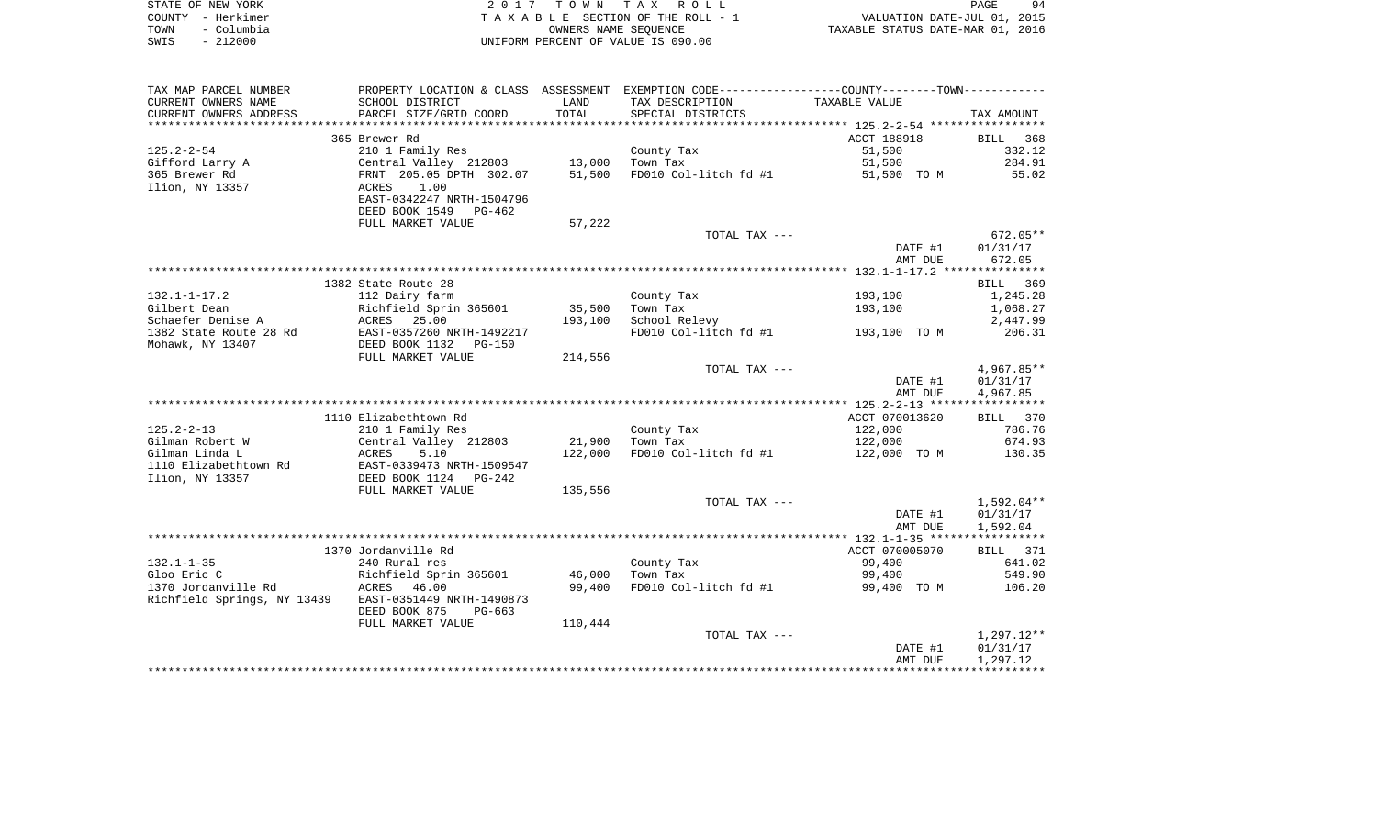|      | STATE OF NEW YORK | 2017 TOWN TAX ROLL                 | PAGE                             | 94 |
|------|-------------------|------------------------------------|----------------------------------|----|
|      | COUNTY - Herkimer | TAXABLE SECTION OF THE ROLL - 1    | VALUATION DATE-JUL 01, 2015      |    |
| TOWN | – Columbia        | OWNERS NAME SEOUENCE               | TAXABLE STATUS DATE-MAR 01, 2016 |    |
| SWIS | $-212000$         | UNIFORM PERCENT OF VALUE IS 090.00 |                                  |    |

| CURRENT OWNERS NAME<br>SCHOOL DISTRICT<br>LAND<br>TAX DESCRIPTION<br>TAXABLE VALUE<br>TOTAL<br>CURRENT OWNERS ADDRESS<br>PARCEL SIZE/GRID COORD<br>SPECIAL DISTRICTS<br>*****************<br>365 Brewer Rd<br>ACCT 188918<br>BILL<br>$125.2 - 2 - 54$<br>210 1 Family Res<br>County Tax<br>51,500<br>Central Valley 212803<br>13,000<br>51,500<br>Gifford Larry A<br>Town Tax<br>FRNT 205.05 DPTH 302.07<br>FD010 Col-litch fd #1<br>365 Brewer Rd<br>51,500<br>51,500 TO M<br>Ilion, NY 13357<br>ACRES<br>1.00<br>EAST-0342247 NRTH-1504796<br>DEED BOOK 1549<br>PG-462<br>FULL MARKET VALUE<br>57,222<br>TOTAL TAX ---<br>DATE #1<br>AMT DUE<br>1382 State Route 28<br>BILL<br>$132.1 - 1 - 17.2$<br>112 Dairy farm<br>County Tax<br>193,100<br>Richfield Sprin 365601<br>35,500<br>Gilbert Dean<br>Town Tax<br>193,100<br>Schaefer Denise A<br>ACRES 25.00<br>193,100<br>School Relevy<br>FD010 Col-litch fd #1<br>1382 State Route 28 Rd<br>EAST-0357260 NRTH-1492217<br>193,100 TO M<br>Mohawk, NY 13407<br>DEED BOOK 1132<br>$PG-150$<br>FULL MARKET VALUE<br>214,556<br>TOTAL TAX ---<br>DATE #1<br>AMT DUE<br>1110 Elizabethtown Rd<br>ACCT 070013620<br>$125.2 - 2 - 13$<br>210 1 Family Res<br>County Tax<br>122,000<br>Gilman Robert W<br>Central Valley 212803<br>21,900<br>Town Tax<br>122,000<br>Gilman Linda L<br>FD010 Col-litch fd #1<br>ACRES<br>5.10<br>122,000<br>122,000 TO M<br>1110 Elizabethtown Rd<br>EAST-0339473 NRTH-1509547<br>Ilion, NY 13357<br>DEED BOOK 1124<br>PG-242<br>135,556<br>FULL MARKET VALUE<br>TOTAL TAX --- | TAX MAP PARCEL NUMBER |  | PROPERTY LOCATION & CLASS ASSESSMENT EXEMPTION CODE---------------COUNTY-------TOWN---------- |         |                 |
|----------------------------------------------------------------------------------------------------------------------------------------------------------------------------------------------------------------------------------------------------------------------------------------------------------------------------------------------------------------------------------------------------------------------------------------------------------------------------------------------------------------------------------------------------------------------------------------------------------------------------------------------------------------------------------------------------------------------------------------------------------------------------------------------------------------------------------------------------------------------------------------------------------------------------------------------------------------------------------------------------------------------------------------------------------------------------------------------------------------------------------------------------------------------------------------------------------------------------------------------------------------------------------------------------------------------------------------------------------------------------------------------------------------------------------------------------------------------------------------------------------------------------------------------------------|-----------------------|--|-----------------------------------------------------------------------------------------------|---------|-----------------|
|                                                                                                                                                                                                                                                                                                                                                                                                                                                                                                                                                                                                                                                                                                                                                                                                                                                                                                                                                                                                                                                                                                                                                                                                                                                                                                                                                                                                                                                                                                                                                          |                       |  |                                                                                               |         |                 |
|                                                                                                                                                                                                                                                                                                                                                                                                                                                                                                                                                                                                                                                                                                                                                                                                                                                                                                                                                                                                                                                                                                                                                                                                                                                                                                                                                                                                                                                                                                                                                          |                       |  |                                                                                               |         | TAX AMOUNT      |
|                                                                                                                                                                                                                                                                                                                                                                                                                                                                                                                                                                                                                                                                                                                                                                                                                                                                                                                                                                                                                                                                                                                                                                                                                                                                                                                                                                                                                                                                                                                                                          |                       |  |                                                                                               |         |                 |
|                                                                                                                                                                                                                                                                                                                                                                                                                                                                                                                                                                                                                                                                                                                                                                                                                                                                                                                                                                                                                                                                                                                                                                                                                                                                                                                                                                                                                                                                                                                                                          |                       |  |                                                                                               |         | 368             |
|                                                                                                                                                                                                                                                                                                                                                                                                                                                                                                                                                                                                                                                                                                                                                                                                                                                                                                                                                                                                                                                                                                                                                                                                                                                                                                                                                                                                                                                                                                                                                          |                       |  |                                                                                               |         | 332.12          |
|                                                                                                                                                                                                                                                                                                                                                                                                                                                                                                                                                                                                                                                                                                                                                                                                                                                                                                                                                                                                                                                                                                                                                                                                                                                                                                                                                                                                                                                                                                                                                          |                       |  |                                                                                               |         | 284.91          |
|                                                                                                                                                                                                                                                                                                                                                                                                                                                                                                                                                                                                                                                                                                                                                                                                                                                                                                                                                                                                                                                                                                                                                                                                                                                                                                                                                                                                                                                                                                                                                          |                       |  |                                                                                               |         | 55.02           |
|                                                                                                                                                                                                                                                                                                                                                                                                                                                                                                                                                                                                                                                                                                                                                                                                                                                                                                                                                                                                                                                                                                                                                                                                                                                                                                                                                                                                                                                                                                                                                          |                       |  |                                                                                               |         |                 |
|                                                                                                                                                                                                                                                                                                                                                                                                                                                                                                                                                                                                                                                                                                                                                                                                                                                                                                                                                                                                                                                                                                                                                                                                                                                                                                                                                                                                                                                                                                                                                          |                       |  |                                                                                               |         |                 |
|                                                                                                                                                                                                                                                                                                                                                                                                                                                                                                                                                                                                                                                                                                                                                                                                                                                                                                                                                                                                                                                                                                                                                                                                                                                                                                                                                                                                                                                                                                                                                          |                       |  |                                                                                               |         |                 |
|                                                                                                                                                                                                                                                                                                                                                                                                                                                                                                                                                                                                                                                                                                                                                                                                                                                                                                                                                                                                                                                                                                                                                                                                                                                                                                                                                                                                                                                                                                                                                          |                       |  |                                                                                               |         |                 |
|                                                                                                                                                                                                                                                                                                                                                                                                                                                                                                                                                                                                                                                                                                                                                                                                                                                                                                                                                                                                                                                                                                                                                                                                                                                                                                                                                                                                                                                                                                                                                          |                       |  |                                                                                               |         | $672.05**$      |
|                                                                                                                                                                                                                                                                                                                                                                                                                                                                                                                                                                                                                                                                                                                                                                                                                                                                                                                                                                                                                                                                                                                                                                                                                                                                                                                                                                                                                                                                                                                                                          |                       |  |                                                                                               |         | 01/31/17        |
|                                                                                                                                                                                                                                                                                                                                                                                                                                                                                                                                                                                                                                                                                                                                                                                                                                                                                                                                                                                                                                                                                                                                                                                                                                                                                                                                                                                                                                                                                                                                                          |                       |  |                                                                                               |         | 672.05          |
|                                                                                                                                                                                                                                                                                                                                                                                                                                                                                                                                                                                                                                                                                                                                                                                                                                                                                                                                                                                                                                                                                                                                                                                                                                                                                                                                                                                                                                                                                                                                                          |                       |  |                                                                                               |         |                 |
|                                                                                                                                                                                                                                                                                                                                                                                                                                                                                                                                                                                                                                                                                                                                                                                                                                                                                                                                                                                                                                                                                                                                                                                                                                                                                                                                                                                                                                                                                                                                                          |                       |  |                                                                                               |         | 369             |
|                                                                                                                                                                                                                                                                                                                                                                                                                                                                                                                                                                                                                                                                                                                                                                                                                                                                                                                                                                                                                                                                                                                                                                                                                                                                                                                                                                                                                                                                                                                                                          |                       |  |                                                                                               |         | 1,245.28        |
|                                                                                                                                                                                                                                                                                                                                                                                                                                                                                                                                                                                                                                                                                                                                                                                                                                                                                                                                                                                                                                                                                                                                                                                                                                                                                                                                                                                                                                                                                                                                                          |                       |  |                                                                                               |         | 1,068.27        |
|                                                                                                                                                                                                                                                                                                                                                                                                                                                                                                                                                                                                                                                                                                                                                                                                                                                                                                                                                                                                                                                                                                                                                                                                                                                                                                                                                                                                                                                                                                                                                          |                       |  |                                                                                               |         | 2,447.99        |
|                                                                                                                                                                                                                                                                                                                                                                                                                                                                                                                                                                                                                                                                                                                                                                                                                                                                                                                                                                                                                                                                                                                                                                                                                                                                                                                                                                                                                                                                                                                                                          |                       |  |                                                                                               |         | 206.31          |
|                                                                                                                                                                                                                                                                                                                                                                                                                                                                                                                                                                                                                                                                                                                                                                                                                                                                                                                                                                                                                                                                                                                                                                                                                                                                                                                                                                                                                                                                                                                                                          |                       |  |                                                                                               |         |                 |
|                                                                                                                                                                                                                                                                                                                                                                                                                                                                                                                                                                                                                                                                                                                                                                                                                                                                                                                                                                                                                                                                                                                                                                                                                                                                                                                                                                                                                                                                                                                                                          |                       |  |                                                                                               |         |                 |
|                                                                                                                                                                                                                                                                                                                                                                                                                                                                                                                                                                                                                                                                                                                                                                                                                                                                                                                                                                                                                                                                                                                                                                                                                                                                                                                                                                                                                                                                                                                                                          |                       |  |                                                                                               |         | 4,967.85**      |
|                                                                                                                                                                                                                                                                                                                                                                                                                                                                                                                                                                                                                                                                                                                                                                                                                                                                                                                                                                                                                                                                                                                                                                                                                                                                                                                                                                                                                                                                                                                                                          |                       |  |                                                                                               |         | 01/31/17        |
|                                                                                                                                                                                                                                                                                                                                                                                                                                                                                                                                                                                                                                                                                                                                                                                                                                                                                                                                                                                                                                                                                                                                                                                                                                                                                                                                                                                                                                                                                                                                                          |                       |  |                                                                                               |         | 4,967.85        |
|                                                                                                                                                                                                                                                                                                                                                                                                                                                                                                                                                                                                                                                                                                                                                                                                                                                                                                                                                                                                                                                                                                                                                                                                                                                                                                                                                                                                                                                                                                                                                          |                       |  |                                                                                               |         |                 |
|                                                                                                                                                                                                                                                                                                                                                                                                                                                                                                                                                                                                                                                                                                                                                                                                                                                                                                                                                                                                                                                                                                                                                                                                                                                                                                                                                                                                                                                                                                                                                          |                       |  |                                                                                               |         | BILL 370        |
|                                                                                                                                                                                                                                                                                                                                                                                                                                                                                                                                                                                                                                                                                                                                                                                                                                                                                                                                                                                                                                                                                                                                                                                                                                                                                                                                                                                                                                                                                                                                                          |                       |  |                                                                                               |         | 786.76          |
|                                                                                                                                                                                                                                                                                                                                                                                                                                                                                                                                                                                                                                                                                                                                                                                                                                                                                                                                                                                                                                                                                                                                                                                                                                                                                                                                                                                                                                                                                                                                                          |                       |  |                                                                                               |         | 674.93          |
|                                                                                                                                                                                                                                                                                                                                                                                                                                                                                                                                                                                                                                                                                                                                                                                                                                                                                                                                                                                                                                                                                                                                                                                                                                                                                                                                                                                                                                                                                                                                                          |                       |  |                                                                                               |         | 130.35          |
|                                                                                                                                                                                                                                                                                                                                                                                                                                                                                                                                                                                                                                                                                                                                                                                                                                                                                                                                                                                                                                                                                                                                                                                                                                                                                                                                                                                                                                                                                                                                                          |                       |  |                                                                                               |         |                 |
|                                                                                                                                                                                                                                                                                                                                                                                                                                                                                                                                                                                                                                                                                                                                                                                                                                                                                                                                                                                                                                                                                                                                                                                                                                                                                                                                                                                                                                                                                                                                                          |                       |  |                                                                                               |         |                 |
|                                                                                                                                                                                                                                                                                                                                                                                                                                                                                                                                                                                                                                                                                                                                                                                                                                                                                                                                                                                                                                                                                                                                                                                                                                                                                                                                                                                                                                                                                                                                                          |                       |  |                                                                                               |         |                 |
|                                                                                                                                                                                                                                                                                                                                                                                                                                                                                                                                                                                                                                                                                                                                                                                                                                                                                                                                                                                                                                                                                                                                                                                                                                                                                                                                                                                                                                                                                                                                                          |                       |  |                                                                                               |         | 1,592.04**      |
|                                                                                                                                                                                                                                                                                                                                                                                                                                                                                                                                                                                                                                                                                                                                                                                                                                                                                                                                                                                                                                                                                                                                                                                                                                                                                                                                                                                                                                                                                                                                                          |                       |  |                                                                                               | DATE #1 | 01/31/17        |
| AMT DUE                                                                                                                                                                                                                                                                                                                                                                                                                                                                                                                                                                                                                                                                                                                                                                                                                                                                                                                                                                                                                                                                                                                                                                                                                                                                                                                                                                                                                                                                                                                                                  |                       |  |                                                                                               |         | 1,592.04        |
|                                                                                                                                                                                                                                                                                                                                                                                                                                                                                                                                                                                                                                                                                                                                                                                                                                                                                                                                                                                                                                                                                                                                                                                                                                                                                                                                                                                                                                                                                                                                                          |                       |  |                                                                                               |         |                 |
| 1370 Jordanville Rd<br>ACCT 070005070                                                                                                                                                                                                                                                                                                                                                                                                                                                                                                                                                                                                                                                                                                                                                                                                                                                                                                                                                                                                                                                                                                                                                                                                                                                                                                                                                                                                                                                                                                                    |                       |  |                                                                                               |         | <b>BILL</b> 371 |
| $132.1 - 1 - 35$<br>240 Rural res<br>County Tax<br>99,400                                                                                                                                                                                                                                                                                                                                                                                                                                                                                                                                                                                                                                                                                                                                                                                                                                                                                                                                                                                                                                                                                                                                                                                                                                                                                                                                                                                                                                                                                                |                       |  |                                                                                               |         | 641.02          |
| Gloo Eric C<br>46,000<br>Richfield Sprin 365601<br>Town Tax<br>99,400                                                                                                                                                                                                                                                                                                                                                                                                                                                                                                                                                                                                                                                                                                                                                                                                                                                                                                                                                                                                                                                                                                                                                                                                                                                                                                                                                                                                                                                                                    |                       |  |                                                                                               |         | 549.90          |
| 1370 Jordanville Rd<br>99,400<br>FD010 Col-litch fd #1<br>ACRES<br>46.00<br>99,400 TO M                                                                                                                                                                                                                                                                                                                                                                                                                                                                                                                                                                                                                                                                                                                                                                                                                                                                                                                                                                                                                                                                                                                                                                                                                                                                                                                                                                                                                                                                  |                       |  |                                                                                               |         | 106.20          |
| Richfield Springs, NY 13439<br>EAST-0351449 NRTH-1490873                                                                                                                                                                                                                                                                                                                                                                                                                                                                                                                                                                                                                                                                                                                                                                                                                                                                                                                                                                                                                                                                                                                                                                                                                                                                                                                                                                                                                                                                                                 |                       |  |                                                                                               |         |                 |
| DEED BOOK 875<br>$PG-663$                                                                                                                                                                                                                                                                                                                                                                                                                                                                                                                                                                                                                                                                                                                                                                                                                                                                                                                                                                                                                                                                                                                                                                                                                                                                                                                                                                                                                                                                                                                                |                       |  |                                                                                               |         |                 |
| FULL MARKET VALUE<br>110,444                                                                                                                                                                                                                                                                                                                                                                                                                                                                                                                                                                                                                                                                                                                                                                                                                                                                                                                                                                                                                                                                                                                                                                                                                                                                                                                                                                                                                                                                                                                             |                       |  |                                                                                               |         |                 |
| TOTAL TAX ---                                                                                                                                                                                                                                                                                                                                                                                                                                                                                                                                                                                                                                                                                                                                                                                                                                                                                                                                                                                                                                                                                                                                                                                                                                                                                                                                                                                                                                                                                                                                            |                       |  |                                                                                               |         | 1,297.12**      |
| DATE #1                                                                                                                                                                                                                                                                                                                                                                                                                                                                                                                                                                                                                                                                                                                                                                                                                                                                                                                                                                                                                                                                                                                                                                                                                                                                                                                                                                                                                                                                                                                                                  |                       |  |                                                                                               |         | 01/31/17        |
| AMT DUE                                                                                                                                                                                                                                                                                                                                                                                                                                                                                                                                                                                                                                                                                                                                                                                                                                                                                                                                                                                                                                                                                                                                                                                                                                                                                                                                                                                                                                                                                                                                                  |                       |  |                                                                                               |         | 1,297.12        |
|                                                                                                                                                                                                                                                                                                                                                                                                                                                                                                                                                                                                                                                                                                                                                                                                                                                                                                                                                                                                                                                                                                                                                                                                                                                                                                                                                                                                                                                                                                                                                          |                       |  |                                                                                               |         |                 |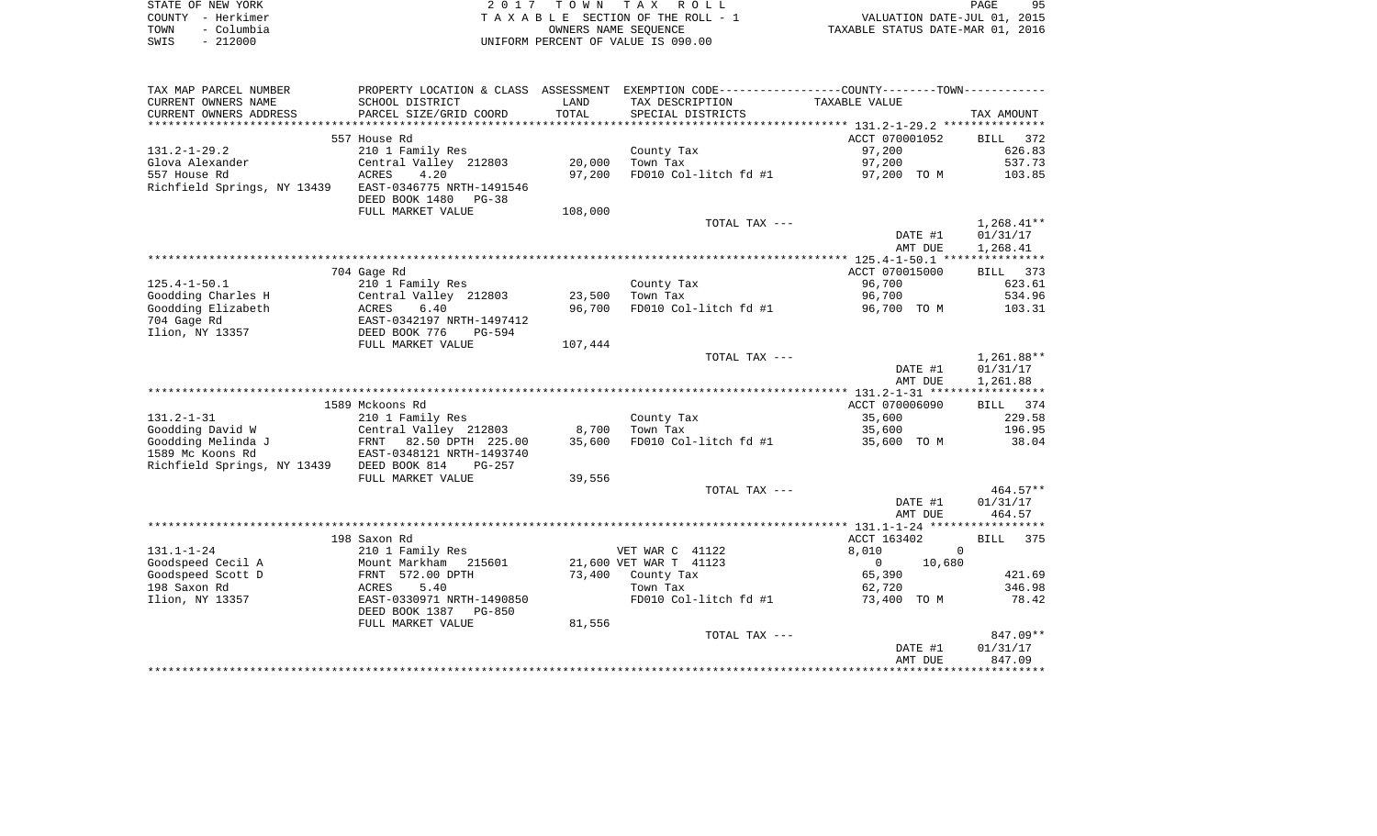|      | STATE OF NEW YORK | 2017 TOWN TAX ROLL                 | QF<br>PAGE                       |
|------|-------------------|------------------------------------|----------------------------------|
|      | COUNTY - Herkimer | TAXABLE SECTION OF THE ROLL - 1    | VALUATION DATE-JUL 01, 2015      |
| TOWN | - Columbia        | OWNERS NAME SEOUENCE               | TAXABLE STATUS DATE-MAR 01, 2016 |
| SWIS | $-212000$         | UNIFORM PERCENT OF VALUE IS 090.00 |                                  |

| TAX MAP PARCEL NUMBER       | PROPERTY LOCATION & CLASS ASSESSMENT                 |         | EXEMPTION CODE-----------------COUNTY-------TOWN----------- |                          |                    |
|-----------------------------|------------------------------------------------------|---------|-------------------------------------------------------------|--------------------------|--------------------|
| CURRENT OWNERS NAME         | SCHOOL DISTRICT                                      | LAND    | TAX DESCRIPTION                                             | TAXABLE VALUE            |                    |
| CURRENT OWNERS ADDRESS      | PARCEL SIZE/GRID COORD                               | TOTAL   | SPECIAL DISTRICTS                                           |                          | TAX AMOUNT         |
| *************************   |                                                      |         |                                                             |                          |                    |
|                             | 557 House Rd                                         |         |                                                             | ACCT 070001052           | <b>BILL</b><br>372 |
| $131.2 - 1 - 29.2$          | 210 1 Family Res                                     |         | County Tax                                                  | 97,200                   | 626.83             |
| Glova Alexander             | Central Valley 212803                                | 20,000  | Town Tax                                                    | 97,200                   | 537.73             |
| 557 House Rd                | 4.20<br>ACRES                                        | 97,200  | FD010 Col-litch fd #1                                       | 97,200 TO M              | 103.85             |
| Richfield Springs, NY 13439 | EAST-0346775 NRTH-1491546<br>DEED BOOK 1480<br>PG-38 |         |                                                             |                          |                    |
|                             | FULL MARKET VALUE                                    | 108,000 |                                                             |                          |                    |
|                             |                                                      |         | TOTAL TAX ---                                               |                          | $1,268.41**$       |
|                             |                                                      |         |                                                             | DATE #1                  | 01/31/17           |
|                             |                                                      |         |                                                             | AMT DUE                  | 1,268.41           |
|                             |                                                      |         |                                                             |                          |                    |
|                             | 704 Gage Rd                                          |         |                                                             | ACCT 070015000           | BILL 373           |
| $125.4 - 1 - 50.1$          | 210 1 Family Res                                     |         | County Tax                                                  | 96,700                   | 623.61             |
| Goodding Charles H          | Central Valley 212803                                | 23,500  | Town Tax                                                    | 96,700                   | 534.96             |
| Goodding Elizabeth          | 6.40<br>ACRES                                        | 96,700  | FD010 Col-litch fd #1                                       | 96,700 TO M              | 103.31             |
| 704 Gage Rd                 | EAST-0342197 NRTH-1497412                            |         |                                                             |                          |                    |
| Ilion, NY 13357             | DEED BOOK 776<br>PG-594                              |         |                                                             |                          |                    |
|                             | FULL MARKET VALUE                                    | 107,444 | TOTAL TAX ---                                               |                          | $1,261.88**$       |
|                             |                                                      |         |                                                             | DATE #1                  | 01/31/17           |
|                             |                                                      |         |                                                             | AMT DUE                  | 1,261.88           |
|                             |                                                      |         |                                                             |                          |                    |
|                             | 1589 Mckoons Rd                                      |         |                                                             | ACCT 070006090           | BILL 374           |
| $131.2 - 1 - 31$            | 210 1 Family Res                                     |         | County Tax                                                  | 35,600                   | 229.58             |
| Goodding David W            | Central Valley 212803                                | 8,700   | Town Tax                                                    | 35,600                   | 196.95             |
| Goodding Melinda J          | FRNT 82.50 DPTH 225.00                               | 35,600  | FD010 Col-litch fd #1                                       | 35,600 TO M              | 38.04              |
| 1589 Mc Koons Rd            | EAST-0348121 NRTH-1493740                            |         |                                                             |                          |                    |
| Richfield Springs, NY 13439 | DEED BOOK 814<br>$PG-257$                            |         |                                                             |                          |                    |
|                             | FULL MARKET VALUE                                    | 39,556  |                                                             |                          |                    |
|                             |                                                      |         | TOTAL TAX ---                                               |                          | $464.57**$         |
|                             |                                                      |         |                                                             | DATE #1                  | 01/31/17           |
|                             |                                                      |         |                                                             | AMT DUE                  | 464.57             |
|                             |                                                      |         |                                                             |                          |                    |
|                             | 198 Saxon Rd                                         |         |                                                             | ACCT 163402              | BILL 375           |
| $131.1 - 1 - 24$            | 210 1 Family Res                                     |         | VET WAR C 41122                                             | 8,010<br>$\Omega$        |                    |
| Goodspeed Cecil A           | Mount Markham<br>215601                              |         | 21,600 VET WAR T 41123                                      | 10,680<br>$\overline{0}$ |                    |
| Goodspeed Scott D           | FRNT 572.00 DPTH                                     |         | 73,400 County Tax                                           | 65,390                   | 421.69             |
| 198 Saxon Rd                | 5.40<br>ACRES                                        |         | Town Tax                                                    | 62,720                   | 346.98             |
| Ilion, NY 13357             | EAST-0330971 NRTH-1490850<br>DEED BOOK 1387 PG-850   |         | FD010 Col-litch fd #1                                       | 73,400 TO M              | 78.42              |
|                             | FULL MARKET VALUE                                    | 81,556  |                                                             |                          |                    |
|                             |                                                      |         | TOTAL TAX ---                                               |                          | 847.09**           |
|                             |                                                      |         |                                                             | DATE #1                  | 01/31/17           |
|                             |                                                      |         |                                                             | AMT DUE                  | 847.09             |
|                             |                                                      |         |                                                             |                          |                    |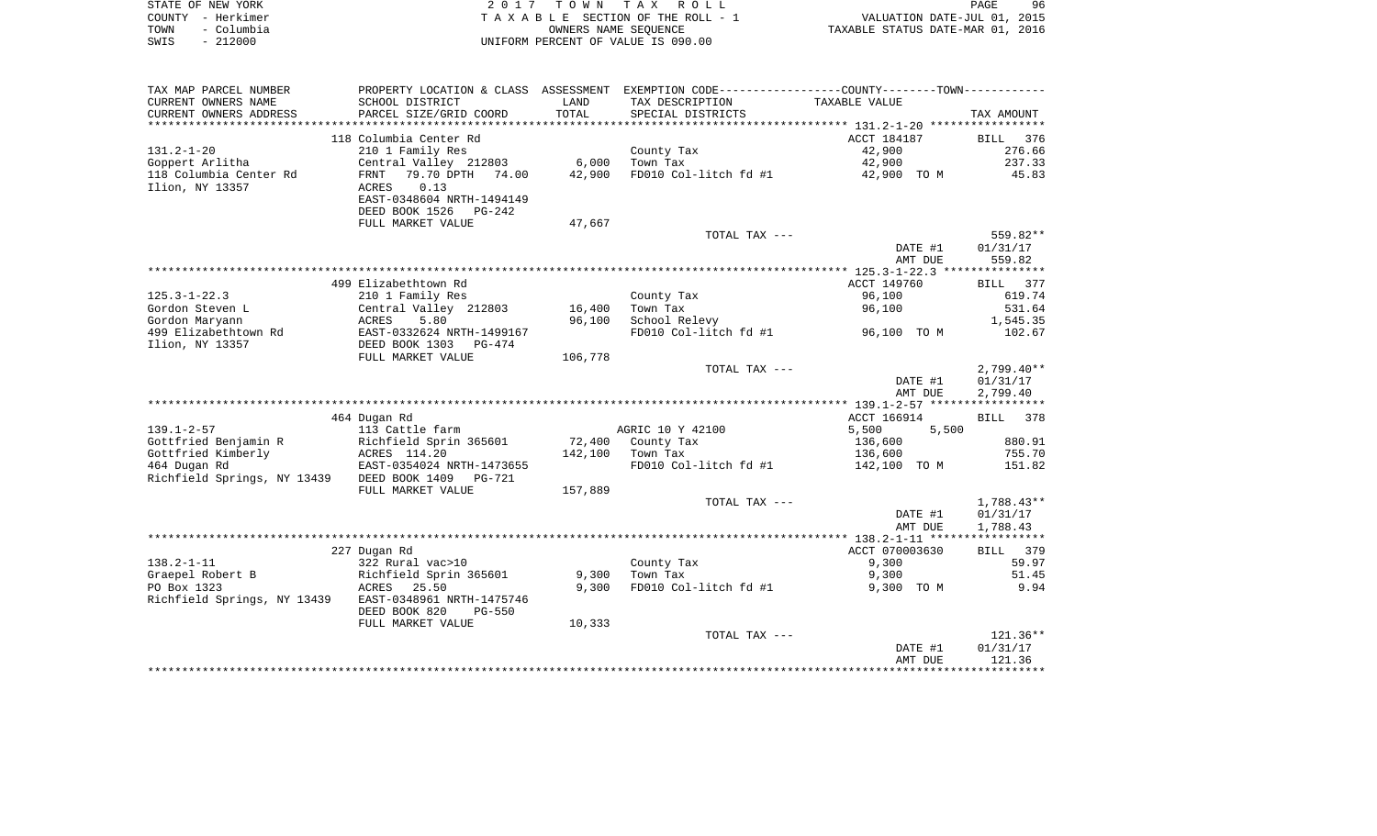| STATE OF NEW YORK |            | 2017 TOWN TAX ROLL                 | PAGE                             | 96 |
|-------------------|------------|------------------------------------|----------------------------------|----|
| COUNTY - Herkimer |            | TAXABLE SECTION OF THE ROLL - 1    | VALUATION DATE-JUL 01, 2015      |    |
| TOWN              | - Columbia | OWNERS NAME SEOUENCE               | TAXABLE STATUS DATE-MAR 01, 2016 |    |
| SWIS              | - 212000   | UNIFORM PERCENT OF VALUE IS 090.00 |                                  |    |

| TAX MAP PARCEL NUMBER                 | PROPERTY LOCATION & CLASS ASSESSMENT       |                  | EXEMPTION CODE-----------------COUNTY-------TOWN----------- |                |                       |
|---------------------------------------|--------------------------------------------|------------------|-------------------------------------------------------------|----------------|-----------------------|
| CURRENT OWNERS NAME                   | SCHOOL DISTRICT                            | LAND             | TAX DESCRIPTION                                             | TAXABLE VALUE  |                       |
| CURRENT OWNERS ADDRESS                | PARCEL SIZE/GRID COORD                     | TOTAL            | SPECIAL DISTRICTS                                           |                | TAX AMOUNT            |
| *******************                   |                                            |                  |                                                             |                |                       |
|                                       | 118 Columbia Center Rd                     |                  |                                                             | ACCT 184187    | <b>BILL</b><br>376    |
| $131.2 - 1 - 20$                      | 210 1 Family Res                           |                  | County Tax                                                  | 42,900         | 276.66                |
| Goppert Arlitha                       | Central Valley 212803                      | 6,000            | Town Tax                                                    | 42,900         | 237.33                |
| 118 Columbia Center Rd                | 79.70 DPTH<br>FRNT<br>74.00                | 42,900           | FD010 Col-litch fd #1                                       | 42,900 TO M    | 45.83                 |
| Ilion, NY 13357                       | 0.13<br><b>ACRES</b>                       |                  |                                                             |                |                       |
|                                       | EAST-0348604 NRTH-1494149                  |                  |                                                             |                |                       |
|                                       | DEED BOOK 1526<br>PG-242                   |                  |                                                             |                |                       |
|                                       | FULL MARKET VALUE                          | 47,667           |                                                             |                |                       |
|                                       |                                            |                  | TOTAL TAX ---                                               |                | 559.82**              |
|                                       |                                            |                  |                                                             | DATE #1        | 01/31/17              |
|                                       |                                            |                  |                                                             | AMT DUE        | 559.82                |
|                                       |                                            |                  |                                                             |                |                       |
|                                       | 499 Elizabethtown Rd                       |                  |                                                             | ACCT 149760    | 377<br>BILL<br>619.74 |
| $125.3 - 1 - 22.3$<br>Gordon Steven L | 210 1 Family Res                           |                  | County Tax<br>Town Tax                                      | 96,100         | 531.64                |
| Gordon Maryann                        | Central Valley 212803<br>ACRES<br>5.80     | 16,400<br>96,100 | School Relevy                                               | 96,100         | 1,545.35              |
| 499 Elizabethtown Rd                  | EAST-0332624 NRTH-1499167                  |                  | FD010 Col-litch fd #1                                       | 96,100 TO M    | 102.67                |
| Ilion, NY 13357                       | DEED BOOK 1303<br>PG-474                   |                  |                                                             |                |                       |
|                                       | FULL MARKET VALUE                          | 106,778          |                                                             |                |                       |
|                                       |                                            |                  | TOTAL TAX ---                                               |                | $2,799.40**$          |
|                                       |                                            |                  |                                                             | DATE #1        | 01/31/17              |
|                                       |                                            |                  |                                                             | AMT DUE        | 2,799.40              |
|                                       |                                            |                  |                                                             |                |                       |
|                                       | 464 Dugan Rd                               |                  |                                                             | ACCT 166914    | BILL 378              |
| $139.1 - 2 - 57$                      | 113 Cattle farm                            |                  | AGRIC 10 Y 42100                                            | 5,500<br>5,500 |                       |
| Gottfried Benjamin R                  | Richfield Sprin 365601                     | 72,400           | County Tax                                                  | 136,600        | 880.91                |
| Gottfried Kimberly                    | ACRES 114.20                               | 142,100          | Town Tax                                                    | 136,600        | 755.70                |
| 464 Dugan Rd                          | EAST-0354024 NRTH-1473655                  |                  | FD010 Col-litch fd #1                                       | 142,100 TO M   | 151.82                |
| Richfield Springs, NY 13439           | DEED BOOK 1409<br><b>PG-721</b>            |                  |                                                             |                |                       |
|                                       | FULL MARKET VALUE                          | 157,889          |                                                             |                |                       |
|                                       |                                            |                  | TOTAL TAX ---                                               |                | $1,788.43**$          |
|                                       |                                            |                  |                                                             | DATE #1        | 01/31/17              |
|                                       |                                            |                  |                                                             | AMT DUE        | 1,788.43              |
|                                       |                                            |                  |                                                             |                |                       |
|                                       | 227 Dugan Rd                               |                  |                                                             | ACCT 070003630 | 379<br>BILL           |
| $138.2 - 1 - 11$                      | 322 Rural vac>10                           |                  | County Tax                                                  | 9,300          | 59.97                 |
| Graepel Robert B                      | Richfield Sprin 365601                     | 9,300            | Town Tax                                                    | 9,300          | 51.45                 |
| PO Box 1323                           | ACRES<br>25.50                             | 9,300            | FD010 Col-litch fd #1                                       | 9,300 TO M     | 9.94                  |
| Richfield Springs, NY 13439           | EAST-0348961 NRTH-1475746<br><b>PG-550</b> |                  |                                                             |                |                       |
|                                       | DEED BOOK 820                              | 10,333           |                                                             |                |                       |
|                                       | FULL MARKET VALUE                          |                  | TOTAL TAX ---                                               |                | $121.36**$            |
|                                       |                                            |                  |                                                             | DATE #1        | 01/31/17              |
|                                       |                                            |                  |                                                             | AMT DUE        | 121.36                |
|                                       |                                            |                  |                                                             |                |                       |
|                                       |                                            |                  |                                                             |                |                       |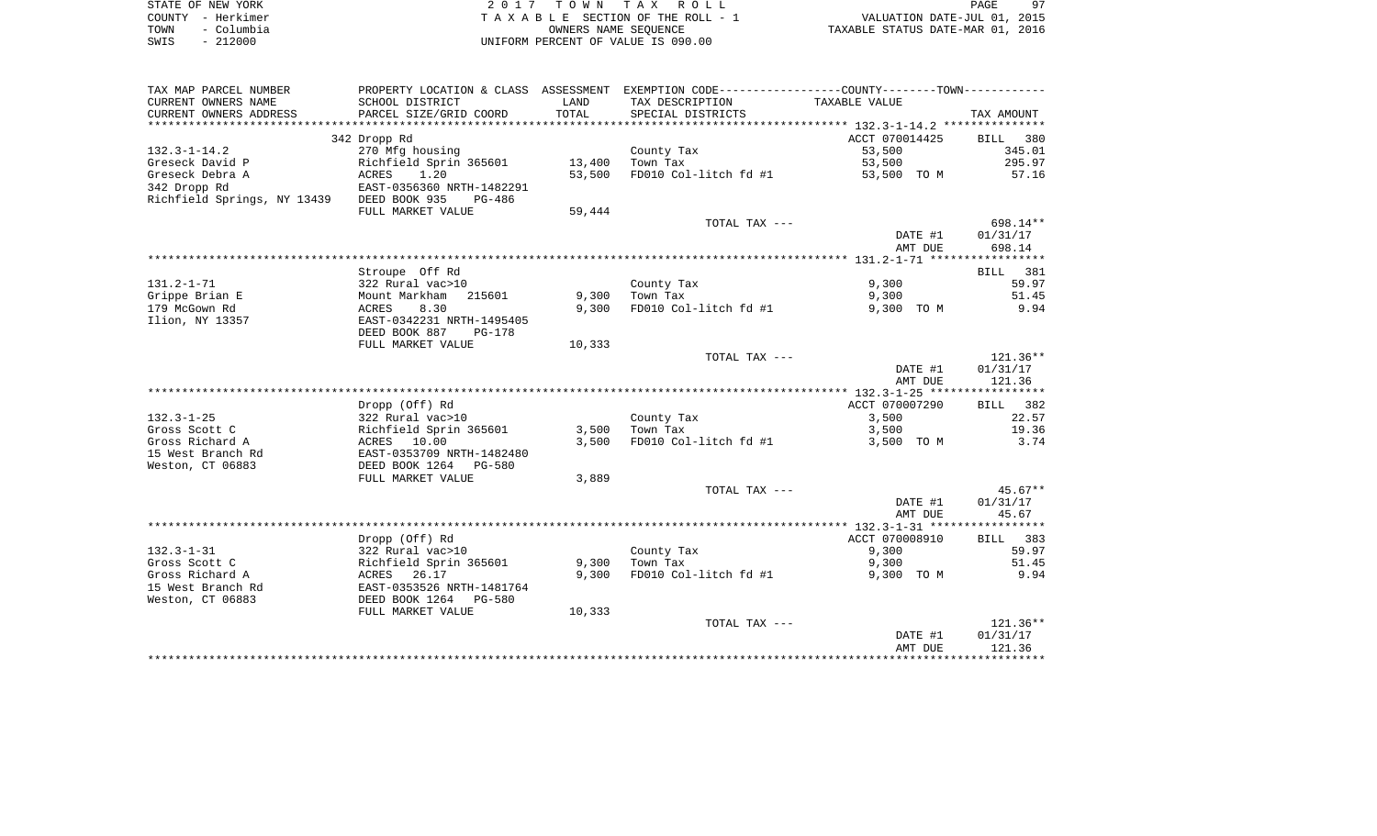|      | STATE OF NEW YORK | 2017 TOWN TAX ROLL                 | PAGE                             | 97 |
|------|-------------------|------------------------------------|----------------------------------|----|
|      | COUNTY - Herkimer | TAXABLE SECTION OF THE ROLL - 1    | VALUATION DATE-JUL 01, 2015      |    |
| TOWN | - Columbia        | OWNERS NAME SEOUENCE               | TAXABLE STATUS DATE-MAR 01, 2016 |    |
| SWIS | - 212000          | UNIFORM PERCENT OF VALUE IS 090.00 |                                  |    |

| TAX MAP PARCEL NUMBER                 |                                             |                | PROPERTY LOCATION & CLASS ASSESSMENT EXEMPTION CODE----------------COUNTY-------TOWN---------- |                          |                       |
|---------------------------------------|---------------------------------------------|----------------|------------------------------------------------------------------------------------------------|--------------------------|-----------------------|
| CURRENT OWNERS NAME                   | SCHOOL DISTRICT                             | LAND           | TAX DESCRIPTION                                                                                | TAXABLE VALUE            |                       |
| CURRENT OWNERS ADDRESS                | PARCEL SIZE/GRID COORD                      | TOTAL          | SPECIAL DISTRICTS                                                                              |                          | TAX AMOUNT            |
|                                       |                                             |                |                                                                                                |                          |                       |
|                                       | 342 Dropp Rd<br>270 Mfg housing             |                |                                                                                                | ACCT 070014425<br>53,500 | 380<br>BILL<br>345.01 |
| $132.3 - 1 - 14.2$<br>Greseck David P | Richfield Sprin 365601                      | 13,400         | County Tax<br>Town Tax                                                                         | 53,500                   | 295.97                |
| Greseck Debra A                       | ACRES<br>1.20                               | 53,500         | FD010 Col-litch fd #1                                                                          | 53,500 TO M              | 57.16                 |
| 342 Dropp Rd                          | EAST-0356360 NRTH-1482291                   |                |                                                                                                |                          |                       |
| Richfield Springs, NY 13439           | DEED BOOK 935<br>PG-486                     |                |                                                                                                |                          |                       |
|                                       | FULL MARKET VALUE                           | 59,444         |                                                                                                |                          |                       |
|                                       |                                             |                | TOTAL TAX ---                                                                                  |                          | 698.14**              |
|                                       |                                             |                |                                                                                                | DATE #1                  | 01/31/17              |
|                                       |                                             |                |                                                                                                | AMT DUE                  | 698.14                |
|                                       |                                             |                |                                                                                                |                          |                       |
|                                       | Stroupe Off Rd                              |                |                                                                                                |                          | BILL 381              |
| $131.2 - 1 - 71$                      | 322 Rural vac>10                            |                | County Tax                                                                                     | 9,300                    | 59.97                 |
| Grippe Brian E                        | Mount Markham<br>215601                     | 9,300          | Town Tax                                                                                       | 9,300                    | 51.45                 |
| 179 McGown Rd                         | 8.30<br>ACRES                               | 9,300          | FD010 Col-litch fd #1                                                                          | 9,300 TO M               | 9.94                  |
| Ilion, NY 13357                       | EAST-0342231 NRTH-1495405                   |                |                                                                                                |                          |                       |
|                                       | DEED BOOK 887<br>PG-178                     |                |                                                                                                |                          |                       |
|                                       | FULL MARKET VALUE                           | 10,333         |                                                                                                |                          |                       |
|                                       |                                             |                | TOTAL TAX ---                                                                                  | DATE #1                  | 121.36**<br>01/31/17  |
|                                       |                                             |                |                                                                                                | AMT DUE                  | 121.36                |
|                                       |                                             |                |                                                                                                |                          |                       |
|                                       | Dropp (Off) Rd                              |                |                                                                                                | ACCT 070007290           | 382<br>BILL           |
| $132.3 - 1 - 25$                      | 322 Rural vac>10                            |                | County Tax                                                                                     | 3,500                    | 22.57                 |
| Gross Scott C                         | Richfield Sprin 365601                      | 3,500          | Town Tax                                                                                       | 3,500                    | 19.36                 |
| Gross Richard A                       | ACRES 10.00                                 | 3,500          | FD010 Col-litch fd #1                                                                          | 3,500 TO M               | 3.74                  |
| 15 West Branch Rd                     | EAST-0353709 NRTH-1482480                   |                |                                                                                                |                          |                       |
| Weston, CT 06883                      | DEED BOOK 1264<br><b>PG-580</b>             |                |                                                                                                |                          |                       |
|                                       | FULL MARKET VALUE                           | 3,889          |                                                                                                |                          |                       |
|                                       |                                             |                | TOTAL TAX ---                                                                                  |                          | $45.67**$             |
|                                       |                                             |                |                                                                                                | DATE #1                  | 01/31/17              |
|                                       |                                             |                |                                                                                                | AMT DUE                  | 45.67                 |
|                                       |                                             |                |                                                                                                |                          |                       |
|                                       | Dropp (Off) Rd                              |                |                                                                                                | ACCT 070008910           | 383<br>BILL           |
| $132.3 - 1 - 31$                      | 322 Rural vac>10                            |                | County Tax                                                                                     | 9,300                    | 59.97                 |
| Gross Scott C<br>Gross Richard A      | Richfield Sprin 365601                      | 9,300<br>9,300 | Town Tax<br>FD010 Col-litch fd #1                                                              | 9,300                    | 51.45<br>9.94         |
| 15 West Branch Rd                     | ACRES<br>26.17<br>EAST-0353526 NRTH-1481764 |                |                                                                                                | 9,300 TO M               |                       |
| Weston, CT 06883                      | DEED BOOK 1264<br>$PG-580$                  |                |                                                                                                |                          |                       |
|                                       | FULL MARKET VALUE                           | 10,333         |                                                                                                |                          |                       |
|                                       |                                             |                | TOTAL TAX ---                                                                                  |                          | $121.36**$            |
|                                       |                                             |                |                                                                                                | DATE #1                  | 01/31/17              |
|                                       |                                             |                |                                                                                                | AMT DUE                  | 121.36                |
|                                       |                                             |                |                                                                                                |                          |                       |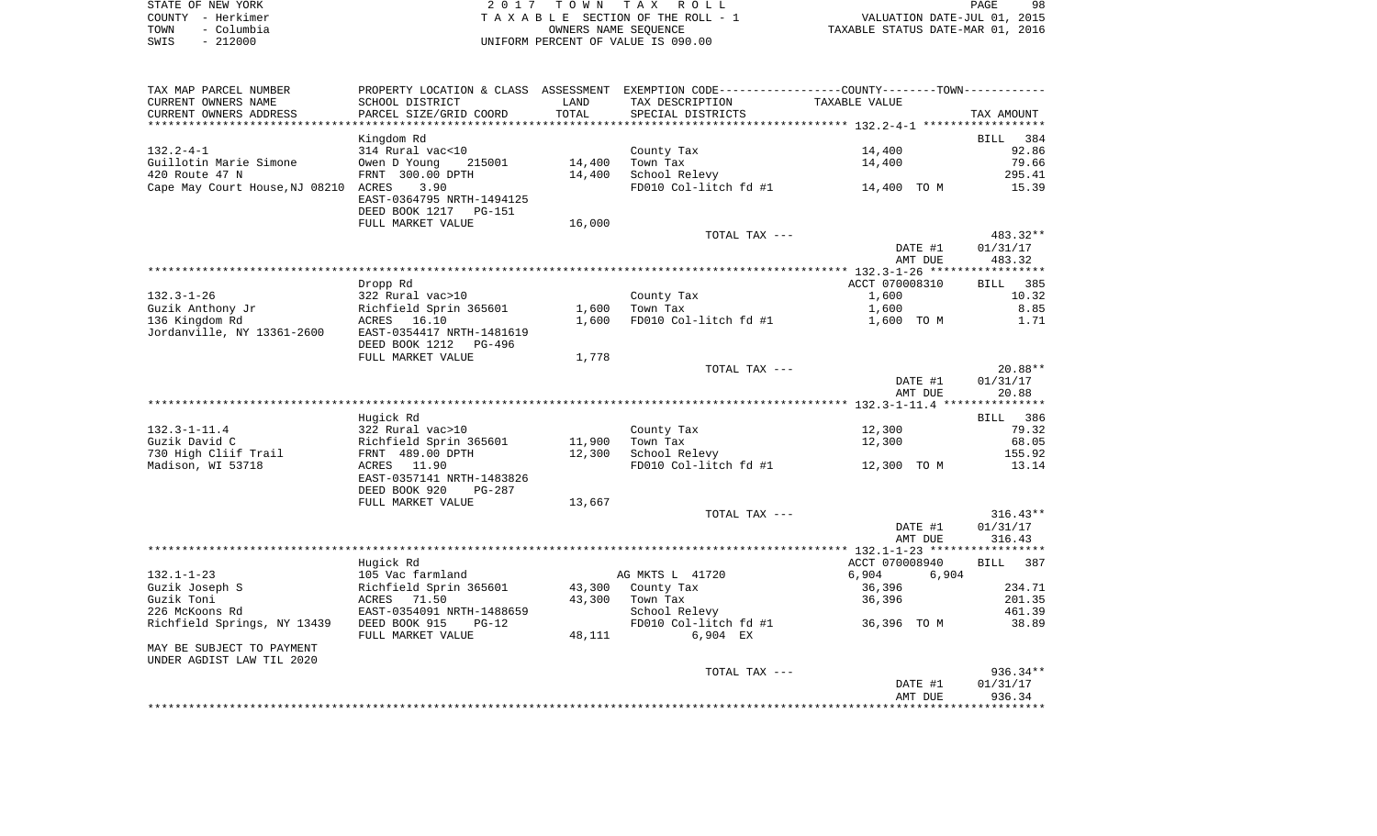|      | STATE OF NEW YORK | 2017 TOWN TAX ROLL                 | 98<br>PAGE                       |
|------|-------------------|------------------------------------|----------------------------------|
|      | COUNTY - Herkimer | TAXABLE SECTION OF THE ROLL - 1    | VALUATION DATE-JUL 01, 2015      |
| TOWN | – Columbia        | OWNERS NAME SEOUENCE               | TAXABLE STATUS DATE-MAR 01, 2016 |
| SWIS | $-212000$         | UNIFORM PERCENT OF VALUE IS 090.00 |                                  |

| TAX MAP PARCEL NUMBER                               |                                            |        |                       | PROPERTY LOCATION & CLASS ASSESSMENT EXEMPTION CODE----------------COUNTY--------TOWN----------- |            |
|-----------------------------------------------------|--------------------------------------------|--------|-----------------------|--------------------------------------------------------------------------------------------------|------------|
| CURRENT OWNERS NAME                                 | SCHOOL DISTRICT                            | LAND   | TAX DESCRIPTION       | TAXABLE VALUE                                                                                    |            |
| CURRENT OWNERS ADDRESS                              | PARCEL SIZE/GRID COORD                     | TOTAL  | SPECIAL DISTRICTS     |                                                                                                  | TAX AMOUNT |
|                                                     |                                            |        |                       |                                                                                                  |            |
|                                                     | Kingdom Rd                                 |        |                       |                                                                                                  | BILL 384   |
| $132.2 - 4 - 1$                                     | 314 Rural vac<10                           |        | County Tax            | 14,400                                                                                           | 92.86      |
| Guillotin Marie Simone                              | Owen D Young<br>215001                     | 14,400 | Town Tax              | 14,400                                                                                           | 79.66      |
| 420 Route 47 N                                      | FRNT 300.00 DPTH                           | 14,400 | School Relevy         |                                                                                                  | 295.41     |
| Cape May Court House, NJ 08210 ACRES                | 3.90                                       |        |                       | FD010 Col-litch fd #1 $14,400$ TO M                                                              | 15.39      |
|                                                     | EAST-0364795 NRTH-1494125                  |        |                       |                                                                                                  |            |
|                                                     | DEED BOOK 1217 PG-151                      |        |                       |                                                                                                  |            |
|                                                     | FULL MARKET VALUE                          | 16,000 |                       |                                                                                                  |            |
|                                                     |                                            |        | TOTAL TAX ---         |                                                                                                  | 483.32**   |
|                                                     |                                            |        |                       | DATE #1                                                                                          | 01/31/17   |
|                                                     |                                            |        |                       | AMT DUE                                                                                          | 483.32     |
|                                                     |                                            |        |                       |                                                                                                  |            |
|                                                     | Dropp Rd                                   |        |                       | ACCT 070008310                                                                                   | BILL 385   |
| 132.3-1-26                                          | 322 Rural vac>10                           |        | County Tax            | 1,600                                                                                            | 10.32      |
|                                                     |                                            | 1,600  | Town Tax              | 1,600                                                                                            | 8.85       |
|                                                     |                                            | 1,600  | FD010 Col-litch fd #1 | 1,600 TO M                                                                                       | 1.71       |
|                                                     |                                            |        |                       |                                                                                                  |            |
|                                                     | DEED BOOK 1212 PG-496                      |        |                       |                                                                                                  |            |
|                                                     | FULL MARKET VALUE                          | 1,778  |                       |                                                                                                  |            |
|                                                     |                                            |        | TOTAL TAX ---         |                                                                                                  | $20.88**$  |
|                                                     |                                            |        |                       | DATE #1                                                                                          | 01/31/17   |
|                                                     |                                            |        |                       | AMT DUE                                                                                          | 20.88      |
|                                                     | Hugick Rd                                  |        |                       |                                                                                                  | BILL 386   |
| $132.3 - 1 - 11.4$                                  | 322 Rural vac>10                           |        | County Tax            | 12,300                                                                                           | 79.32      |
| Guzik David C                                       |                                            | 11,900 | Town Tax              | 12,300                                                                                           | 68.05      |
| 730 High Cliif Trail                                | Richfield Sprin 365601<br>FRNT 489.00 DPTH | 12,300 | School Relevy         |                                                                                                  | 155.92     |
| Madison, WI 53718                                   | ACRES 11.90                                |        |                       | FD010 Col-litch $f d$ #1 $12,300$ TO M                                                           | 13.14      |
|                                                     | EAST-0357141 NRTH-1483826                  |        |                       |                                                                                                  |            |
|                                                     | DEED BOOK 920<br>PG-287                    |        |                       |                                                                                                  |            |
|                                                     | FULL MARKET VALUE                          | 13,667 |                       |                                                                                                  |            |
|                                                     |                                            |        | TOTAL TAX ---         |                                                                                                  | $316.43**$ |
|                                                     |                                            |        |                       | DATE #1                                                                                          | 01/31/17   |
|                                                     |                                            |        |                       | AMT DUE                                                                                          | 316.43     |
|                                                     |                                            |        |                       |                                                                                                  |            |
|                                                     | Hugick Rd                                  |        |                       | ACCT 070008940                                                                                   | BILL 387   |
| $132.1 - 1 - 23$                                    | 105 Vac farmland                           |        | AG MKTS L 41720       | 6,904<br>6,904                                                                                   |            |
| Guzik Joseph S                                      | Richfield Sprin 365601                     |        | 43,300 County Tax     | 36,396                                                                                           | 234.71     |
| Guzik Toni                                          | ACRES 71.50                                | 43,300 | Town Tax              | 36,396                                                                                           | 201.35     |
| 226 McKoons Rd                                      | EAST-0354091 NRTH-1488659                  |        | School Relevy         |                                                                                                  | 461.39     |
| Richfield Springs, NY 13439   DEED BOOK 915   PG-12 |                                            |        | FD010 Col-litch fd #1 | 36,396 TO M                                                                                      | 38.89      |
|                                                     | FULL MARKET VALUE                          | 48,111 | 6,904 EX              |                                                                                                  |            |
| MAY BE SUBJECT TO PAYMENT                           |                                            |        |                       |                                                                                                  |            |
| UNDER AGDIST LAW TIL 2020                           |                                            |        |                       |                                                                                                  |            |
|                                                     |                                            |        | TOTAL TAX ---         |                                                                                                  | 936.34**   |
|                                                     |                                            |        |                       | DATE #1                                                                                          | 01/31/17   |
|                                                     |                                            |        |                       | AMT DUE                                                                                          | 936.34     |
|                                                     |                                            |        |                       |                                                                                                  |            |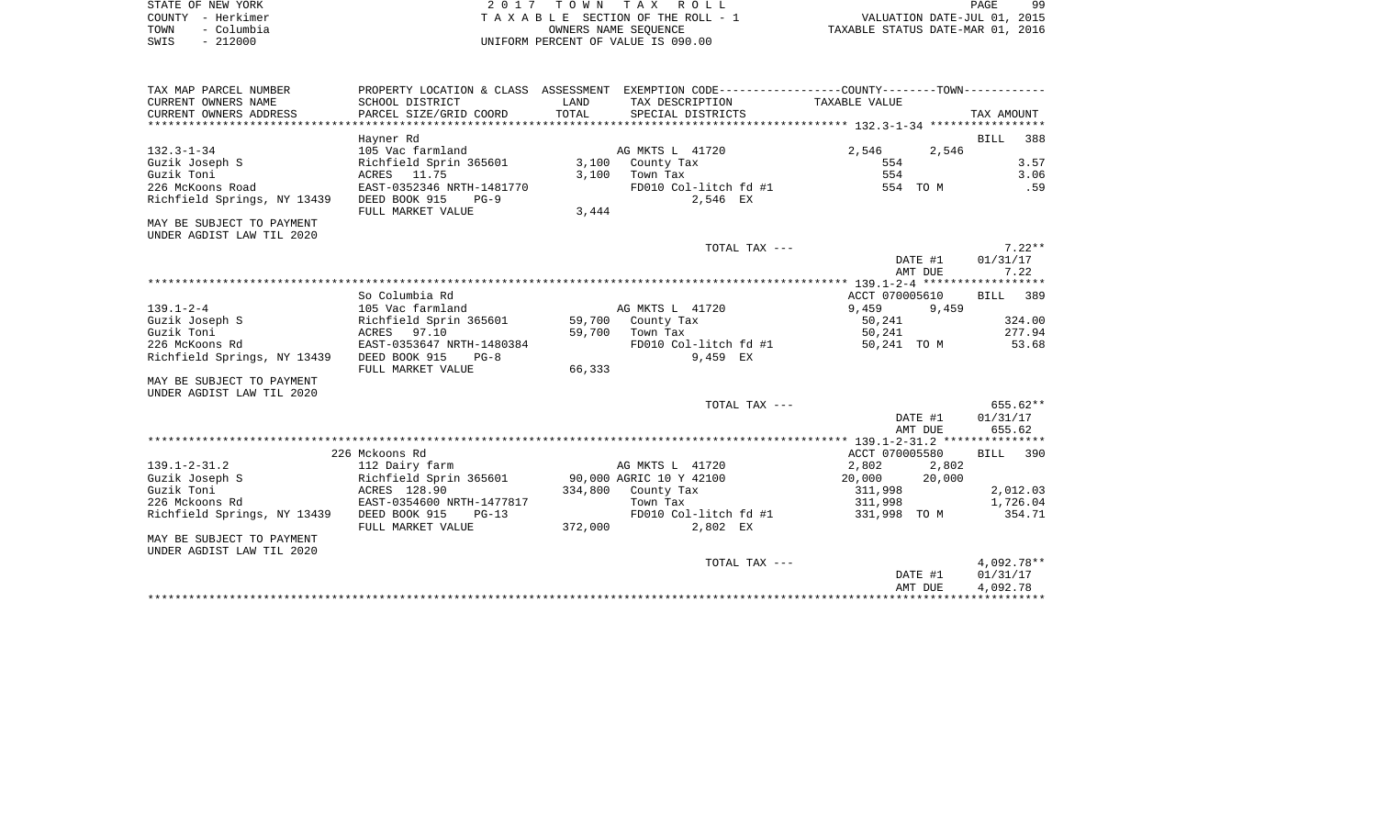| STATE OF NEW YORK  | 2017 TOWN TAX ROLL                 | 99<br>PAGE                       |
|--------------------|------------------------------------|----------------------------------|
| COUNTY - Herkimer  | TAXABLE SECTION OF THE ROLL - 1    | VALUATION DATE-JUL 01, 2015      |
| – Columbia<br>TOWN | OWNERS NAME SEOUENCE               | TAXABLE STATUS DATE-MAR 01, 2016 |
| $-212000$<br>SWIS  | UNIFORM PERCENT OF VALUE IS 090.00 |                                  |

| PROPERTY LOCATION & CLASS ASSESSMENT EXEMPTION CODE----------------COUNTY--------TOWN----------<br>TAX MAP PARCEL NUMBER |                     |
|--------------------------------------------------------------------------------------------------------------------------|---------------------|
| CURRENT OWNERS NAME<br>SCHOOL DISTRICT<br>LAND<br>TAX DESCRIPTION<br>TAXABLE VALUE                                       |                     |
| CURRENT OWNERS ADDRESS<br>TOTAL<br>PARCEL SIZE/GRID COORD<br>SPECIAL DISTRICTS                                           | TAX AMOUNT          |
|                                                                                                                          |                     |
| Hayner Rd                                                                                                                | <b>BILL</b><br>388  |
| $132.3 - 1 - 34$<br>AG MKTS L 41720<br>105 Vac farmland<br>2,546                                                         | 2,546               |
| Richfield Sprin 365601 3,100<br>Guzik Joseph S<br>County Tax<br>554                                                      | 3.57                |
| Guzik Toni<br>ACRES 11.75<br>3,100<br>Town Tax<br>554                                                                    | 3.06                |
| EAST-0352346 NRTH-1481770<br>FD010 Col-litch fd #1<br>226 McKoons Road                                                   | 554 TO M<br>.59     |
| Richfield Springs, NY 13439<br>DEED BOOK 915<br>2,546 EX<br>$PG-9$                                                       |                     |
| 3,444<br>FULL MARKET VALUE                                                                                               |                     |
| MAY BE SUBJECT TO PAYMENT                                                                                                |                     |
| UNDER AGDIST LAW TIL 2020                                                                                                |                     |
| TOTAL TAX ---                                                                                                            | $7.22**$            |
|                                                                                                                          | DATE #1<br>01/31/17 |
|                                                                                                                          | AMT DUE<br>7.22     |
|                                                                                                                          |                     |
| So Columbia Rd<br>ACCT 070005610                                                                                         | BILL 389            |
| $139.1 - 2 - 4$<br>105 Vac farmland<br>AG MKTS L 41720<br>9,459                                                          | 9,459               |
| Guzik Joseph S<br>Richfield Sprin 365601<br>59,700 County Tax<br>50,241<br>50,241                                        | 324.00              |
| Guzik Toni<br>59,700 Town Tax<br>ACRES 97.10                                                                             | 277.94              |
| 226 McKoons Rd<br>FD010 Col-litch fd #1<br>EAST-0353647 NRTH-1480384                                                     | 50,241 TO M 53.68   |
| Richfield Springs, NY 13439<br>DEED BOOK 915<br>9,459 EX<br>$PG-8$                                                       |                     |
| 66,333<br>FULL MARKET VALUE<br>MAY BE SUBJECT TO PAYMENT                                                                 |                     |
| UNDER AGDIST LAW TIL 2020                                                                                                |                     |
| TOTAL TAX ---                                                                                                            | 655.62**            |
|                                                                                                                          | DATE #1<br>01/31/17 |
|                                                                                                                          | 655.62<br>AMT DUE   |
|                                                                                                                          |                     |
| ACCT 070005580<br>226 Mckoons Rd                                                                                         | BILL 390            |
| $139.1 - 2 - 31.2$<br>AG MKTS L 41720<br>112 Dairy farm<br>2,802                                                         | 2,802               |
| Richfield Sprin 365601 90,000 AGRIC 10 Y 42100<br>20,000<br>Guzik Joseph S                                               | 20,000              |
| Guzik Toni<br>ACRES 128.90<br>334,800 County Tax<br>311,998                                                              | 2,012.03            |
| 226 Mckoons Rd<br>EAST-0354600 NRTH-1477817<br>Town Tax<br>311,998                                                       | 1,726.04            |
| Richfield Springs, NY 13439 DEED BOOK 915<br>FD010 Col-litch fd #1<br>331,998 TO M<br>$PG-13$                            | 354.71              |
| FULL MARKET VALUE<br>372,000<br>2,802 EX                                                                                 |                     |
| MAY BE SUBJECT TO PAYMENT                                                                                                |                     |
| UNDER AGDIST LAW TIL 2020                                                                                                |                     |
| TOTAL TAX ---                                                                                                            | $4.092.78**$        |
|                                                                                                                          | 01/31/17<br>DATE #1 |
|                                                                                                                          | 4,092.78<br>AMT DUE |
|                                                                                                                          |                     |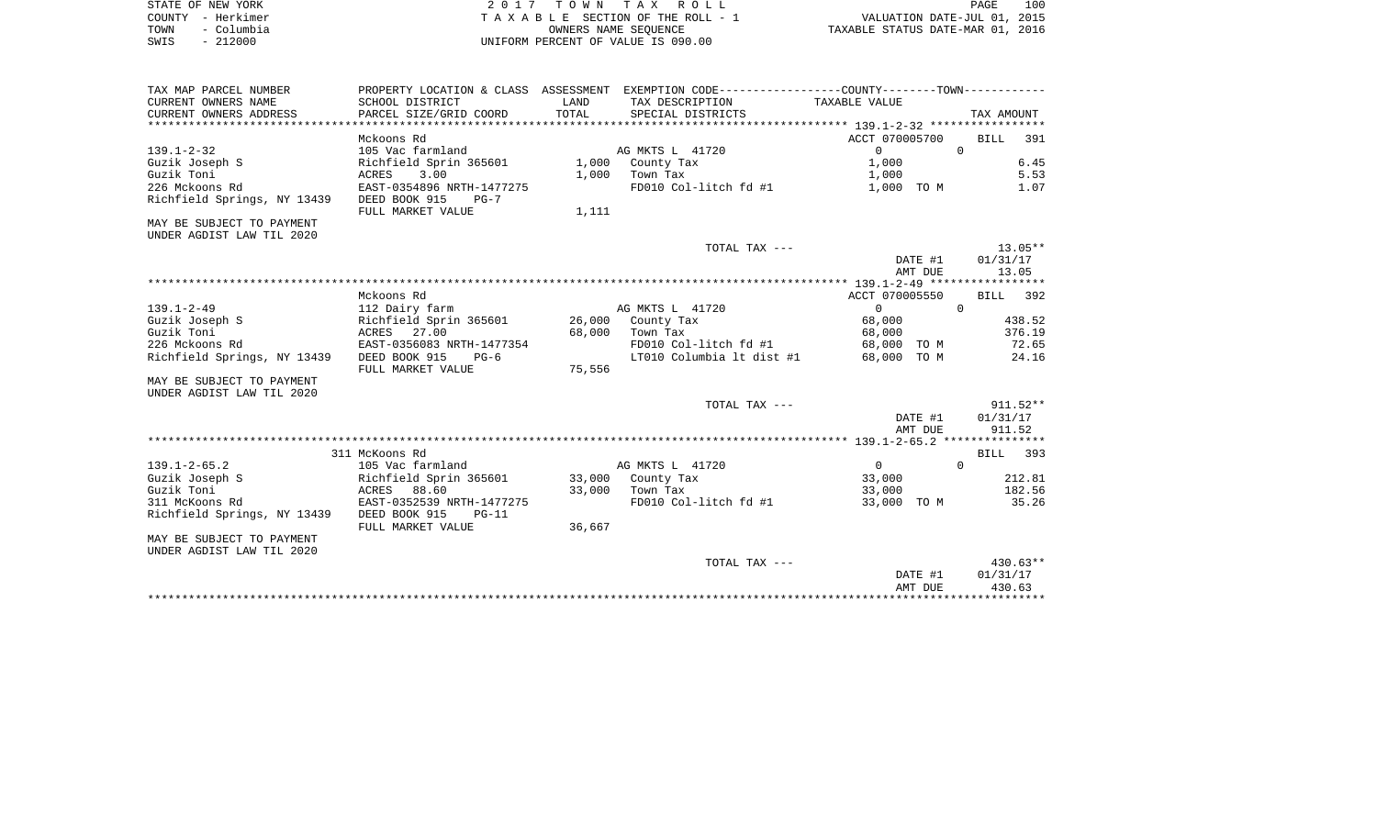| STATE OF NEW YORK  | 2017 TOWN TAX ROLL                 | 100<br>PAGE                      |
|--------------------|------------------------------------|----------------------------------|
| COUNTY - Herkimer  | TAXABLE SECTION OF THE ROLL - 1    | VALUATION DATE-JUL 01, 2015      |
| - Columbia<br>TOWN | OWNERS NAME SEOUENCE               | TAXABLE STATUS DATE-MAR 01, 2016 |
| $-212000$<br>SWIS  | UNIFORM PERCENT OF VALUE IS 090.00 |                                  |

| TAX MAP PARCEL NUMBER                     |                                          |        | PROPERTY LOCATION & CLASS ASSESSMENT EXEMPTION CODE----------------COUNTY--------TOWN----------- |                   |              |
|-------------------------------------------|------------------------------------------|--------|--------------------------------------------------------------------------------------------------|-------------------|--------------|
| CURRENT OWNERS NAME                       | SCHOOL DISTRICT                          | LAND   | TAX DESCRIPTION                                                                                  | TAXABLE VALUE     |              |
| CURRENT OWNERS ADDRESS                    | PARCEL SIZE/GRID COORD                   | TOTAL  | SPECIAL DISTRICTS                                                                                |                   | TAX AMOUNT   |
|                                           |                                          |        |                                                                                                  |                   |              |
|                                           | Mckoons Rd                               |        |                                                                                                  | ACCT 070005700    | BILL 391     |
| $139.1 - 2 - 32$                          | 105 Vac farmland                         |        | AG MKTS L 41720                                                                                  | $0 \qquad \qquad$ | $\Omega$     |
| Guzik Joseph S                            | Richfield Sprin 365601 1,000 County Tax  |        |                                                                                                  | 1,000             | 6.45         |
| Guzik Toni                                | 3.00<br>ACRES                            |        | $1,000$ Town Tax                                                                                 | 1,000             | 5.53         |
| 226 Mckoons Rd                            | EAST-0354896 NRTH-1477275                |        | FD010 Col-litch fd #1                                                                            | 1,000 TO M        | 1.07         |
| Richfield Springs, NY 13439               | DEED BOOK 915<br>$PG-7$                  |        |                                                                                                  |                   |              |
|                                           | FULL MARKET VALUE                        | 1,111  |                                                                                                  |                   |              |
| MAY BE SUBJECT TO PAYMENT                 |                                          |        |                                                                                                  |                   |              |
| UNDER AGDIST LAW TIL 2020                 |                                          |        |                                                                                                  |                   |              |
|                                           |                                          |        | TOTAL TAX ---                                                                                    |                   | $13.05**$    |
|                                           |                                          |        |                                                                                                  | DATE #1           | 01/31/17     |
|                                           |                                          |        |                                                                                                  | AMT DUE           | 13.05        |
|                                           |                                          |        |                                                                                                  |                   |              |
|                                           | Mckoons Rd                               |        |                                                                                                  | ACCT 070005550    | BILL 392     |
| $139.1 - 2 - 49$                          | 112 Dairy farm                           |        | AG MKTS L 41720                                                                                  | $\overline{0}$    | $\mathbf{0}$ |
| Guzik Joseph S                            | Richfield Sprin 365601                   |        | 26,000 County Tax                                                                                | 68,000            | 438.52       |
| Guzik Toni                                | ACRES 27.00                              |        | 68,000 Town Tax                                                                                  | 68,000            | 376.19       |
| 226 Mckoons Rd                            | EAST-0356083 NRTH-1477354                |        | FD010 Col-litch fd #1                                                                            | 68,000 TO M       | 72.65        |
| Richfield Springs, NY 13439               | DEED BOOK 915<br>$PG-6$                  |        | LT010 Columbia 1t dist #1 68,000 TO M                                                            |                   | 24.16        |
|                                           | FULL MARKET VALUE                        | 75,556 |                                                                                                  |                   |              |
| MAY BE SUBJECT TO PAYMENT                 |                                          |        |                                                                                                  |                   |              |
| UNDER AGDIST LAW TIL 2020                 |                                          |        |                                                                                                  |                   |              |
|                                           |                                          |        | TOTAL TAX ---                                                                                    |                   | $911.52**$   |
|                                           |                                          |        |                                                                                                  | DATE #1           | 01/31/17     |
|                                           |                                          |        |                                                                                                  | AMT DUE           | 911.52       |
|                                           |                                          |        |                                                                                                  |                   |              |
|                                           | 311 McKoons Rd                           |        |                                                                                                  |                   | BILL 393     |
| $139.1 - 2 - 65.2$                        | 105 Vac farmland                         |        | AG MKTS L 41720                                                                                  | $\overline{0}$    | $\Omega$     |
| Guzik Joseph S                            | Richfield Sprin 365601 33,000 County Tax |        |                                                                                                  | 33,000            | 212.81       |
| Guzik Toni                                | ACRES 88.60                              |        | 33,000 Town Tax                                                                                  | 33,000            | 182.56       |
| 311 McKoons Rd                            | EAST-0352539 NRTH-1477275                |        | FD010 Col-litch fd #1                                                                            | 33,000 TO M       | 35.26        |
| Richfield Springs, NY 13439 DEED BOOK 915 | $PG-11$                                  |        |                                                                                                  |                   |              |
|                                           | FULL MARKET VALUE                        | 36,667 |                                                                                                  |                   |              |
| MAY BE SUBJECT TO PAYMENT                 |                                          |        |                                                                                                  |                   |              |
| UNDER AGDIST LAW TIL 2020                 |                                          |        |                                                                                                  |                   |              |
|                                           |                                          |        | TOTAL TAX ---                                                                                    |                   | $430.63**$   |
|                                           |                                          |        |                                                                                                  | DATE #1           | 01/31/17     |
|                                           |                                          |        |                                                                                                  | AMT DUE           | 430.63       |
|                                           |                                          |        |                                                                                                  |                   |              |
|                                           |                                          |        |                                                                                                  |                   |              |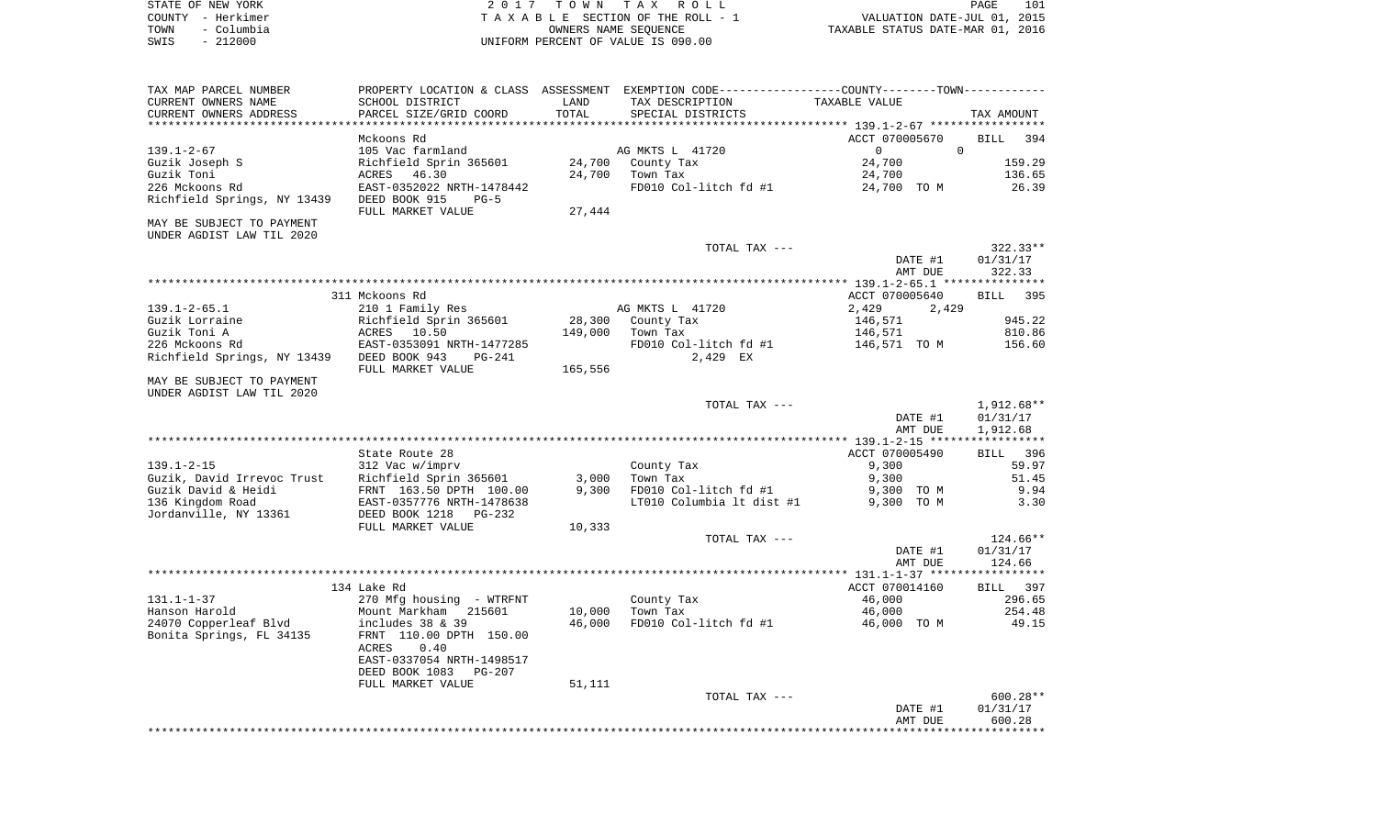|      | STATE OF NEW YORK | 2017 TOWN TAX ROLL                 | 101<br>PAGE                      |
|------|-------------------|------------------------------------|----------------------------------|
|      | COUNTY - Herkimer | TAXABLE SECTION OF THE ROLL - 1    | VALUATION DATE-JUL 01, 2015      |
| TOWN | - Columbia        | OWNERS NAME SEOUENCE               | TAXABLE STATUS DATE-MAR 01, 2016 |
| SWIS | $-212000$         | UNIFORM PERCENT OF VALUE IS 090.00 |                                  |

| TAX MAP PARCEL NUMBER                         |                                                     |               | PROPERTY LOCATION & CLASS ASSESSMENT EXEMPTION CODE----------------COUNTY-------TOWN----------- |                  |                      |
|-----------------------------------------------|-----------------------------------------------------|---------------|-------------------------------------------------------------------------------------------------|------------------|----------------------|
| CURRENT OWNERS NAME<br>CURRENT OWNERS ADDRESS | SCHOOL DISTRICT<br>PARCEL SIZE/GRID COORD           | LAND<br>TOTAL | TAX DESCRIPTION<br>SPECIAL DISTRICTS                                                            | TAXABLE VALUE    | TAX AMOUNT           |
| **********************                        | *********************                               |               |                                                                                                 |                  |                      |
|                                               | Mckoons Rd                                          |               |                                                                                                 | ACCT 070005670   | <b>BILL</b><br>394   |
| $139.1 - 2 - 67$                              | 105 Vac farmland                                    |               | AG MKTS L 41720                                                                                 | $\overline{0}$   | $\mathbf 0$          |
| Guzik Joseph S                                | Richfield Sprin 365601                              | 24,700        | County Tax                                                                                      | 24,700           | 159.29               |
| Guzik Toni                                    | ACRES 46.30                                         | 24,700        | Town Tax                                                                                        | 24,700           | 136.65               |
| 226 Mckoons Rd                                | EAST-0352022 NRTH-1478442                           |               | FD010 Col-litch fd #1                                                                           | 24,700 TO M      | 26.39                |
| Richfield Springs, NY 13439                   | DEED BOOK 915<br>$PG-5$                             |               |                                                                                                 |                  |                      |
| MAY BE SUBJECT TO PAYMENT                     | FULL MARKET VALUE                                   | 27,444        |                                                                                                 |                  |                      |
| UNDER AGDIST LAW TIL 2020                     |                                                     |               |                                                                                                 |                  |                      |
|                                               |                                                     |               | TOTAL TAX ---                                                                                   |                  | $322.33**$           |
|                                               |                                                     |               |                                                                                                 | DATE #1          | 01/31/17             |
|                                               |                                                     |               |                                                                                                 | AMT DUE          | 322.33               |
|                                               |                                                     |               |                                                                                                 |                  |                      |
|                                               | 311 Mckoons Rd                                      |               |                                                                                                 | ACCT 070005640   | <b>BILL</b><br>395   |
| $139.1 - 2 - 65.1$                            | 210 1 Family Res                                    |               | AG MKTS L 41720                                                                                 | 2,429<br>2,429   |                      |
| Guzik Lorraine                                | Richfield Sprin 365601                              | 28,300        | County Tax                                                                                      | 146,571          | 945.22               |
| Guzik Toni A                                  | ACRES 10.50                                         | 149,000       | Town Tax                                                                                        | 146,571          | 810.86               |
| 226 Mckoons Rd                                | EAST-0353091 NRTH-1477285                           |               | FD010 Col-litch fd #1                                                                           | 146,571   TO M   | 156.60               |
| Richfield Springs, NY 13439                   | DEED BOOK 943<br>$PG-241$                           |               | 2,429 EX                                                                                        |                  |                      |
|                                               | FULL MARKET VALUE                                   | 165,556       |                                                                                                 |                  |                      |
| MAY BE SUBJECT TO PAYMENT                     |                                                     |               |                                                                                                 |                  |                      |
| UNDER AGDIST LAW TIL 2020                     |                                                     |               |                                                                                                 |                  |                      |
|                                               |                                                     |               | TOTAL TAX ---                                                                                   |                  | $1,912.68**$         |
|                                               |                                                     |               |                                                                                                 | DATE #1          | 01/31/17<br>1,912.68 |
|                                               |                                                     |               |                                                                                                 | AMT DUE          |                      |
|                                               | State Route 28                                      |               |                                                                                                 | ACCT 070005490   | 396<br>BILL          |
| $139.1 - 2 - 15$                              | 312 Vac w/imprv                                     |               | County Tax                                                                                      | 9,300            | 59.97                |
| Guzik, David Irrevoc Trust                    | Richfield Sprin 365601                              | 3,000         | Town Tax                                                                                        | 9,300            | 51.45                |
| Guzik David & Heidi                           | FRNT 163.50 DPTH 100.00                             | 9,300         | FD010 Col-litch fd #1                                                                           | 9,300 TO M       | 9.94                 |
| 136 Kingdom Road                              | EAST-0357776 NRTH-1478638                           |               | LT010 Columbia 1t dist #1                                                                       | 9,300 TO M       | 3.30                 |
| Jordanville, NY 13361                         | DEED BOOK 1218<br>PG-232                            |               |                                                                                                 |                  |                      |
|                                               | FULL MARKET VALUE                                   | 10,333        |                                                                                                 |                  |                      |
|                                               |                                                     |               | TOTAL TAX ---                                                                                   |                  | 124.66**             |
|                                               |                                                     |               |                                                                                                 | DATE #1          | 01/31/17             |
|                                               |                                                     |               |                                                                                                 | AMT DUE          | 124.66               |
|                                               |                                                     |               |                                                                                                 |                  |                      |
|                                               | 134 Lake Rd                                         |               |                                                                                                 | ACCT 070014160   | BILL 397             |
| 131.1-1-37<br>Hanson Harold                   | 270 Mfg housing - WTRFNT<br>Mount Markham<br>215601 | 10,000        | County Tax<br>Town Tax                                                                          | 46,000<br>46,000 | 296.65<br>254.48     |
| 24070 Copperleaf Blvd                         | includes 38 & 39                                    | 46,000        | FD010 Col-litch fd #1                                                                           | 46,000 TO M      | 49.15                |
| Bonita Springs, FL 34135                      | FRNT 110.00 DPTH 150.00                             |               |                                                                                                 |                  |                      |
|                                               | ACRES<br>0.40                                       |               |                                                                                                 |                  |                      |
|                                               | EAST-0337054 NRTH-1498517                           |               |                                                                                                 |                  |                      |
|                                               | DEED BOOK 1083<br>$PG-207$                          |               |                                                                                                 |                  |                      |
|                                               | FULL MARKET VALUE                                   | 51,111        |                                                                                                 |                  |                      |
|                                               |                                                     |               | TOTAL TAX ---                                                                                   |                  | 600.28**             |
|                                               |                                                     |               |                                                                                                 | DATE #1          | 01/31/17             |
|                                               |                                                     |               |                                                                                                 | AMT DUE          | 600.28               |
|                                               |                                                     |               |                                                                                                 |                  | *********            |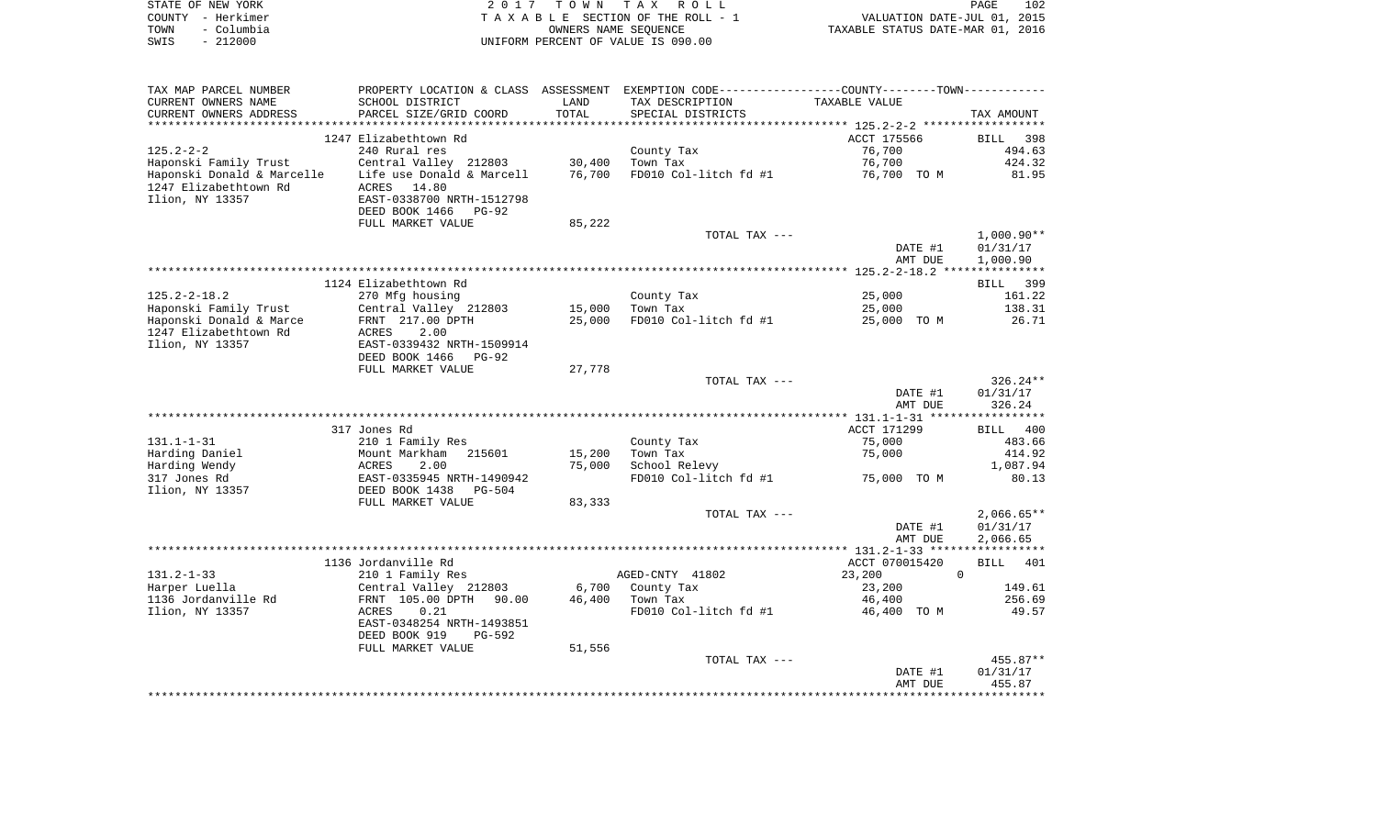| STATE OF NEW YORK  | 2017 TOWN TAX ROLL                 |                                  | PAGE | 102 |
|--------------------|------------------------------------|----------------------------------|------|-----|
| COUNTY – Herkimer  | TAXABLE SECTION OF THE ROLL - 1    | VALUATION DATE-JUL 01, 2015      |      |     |
| - Columbia<br>TOWN | OWNERS NAME SEOUENCE               | TAXABLE STATUS DATE-MAR 01, 2016 |      |     |
| - 212000<br>SWIS   | UNIFORM PERCENT OF VALUE IS 090.00 |                                  |      |     |

| TAX MAP PARCEL NUMBER      |                            |        | PROPERTY LOCATION & CLASS ASSESSMENT EXEMPTION CODE----------------COUNTY--------TOWN---------- |                |                    |
|----------------------------|----------------------------|--------|-------------------------------------------------------------------------------------------------|----------------|--------------------|
| CURRENT OWNERS NAME        | SCHOOL DISTRICT            | LAND   | TAX DESCRIPTION                                                                                 | TAXABLE VALUE  |                    |
| CURRENT OWNERS ADDRESS     | PARCEL SIZE/GRID COORD     | TOTAL  | SPECIAL DISTRICTS                                                                               |                | TAX AMOUNT         |
| ***********************    | *************************  |        |                                                                                                 |                |                    |
|                            | 1247 Elizabethtown Rd      |        |                                                                                                 | ACCT 175566    | BILL<br>398        |
| $125.2 - 2 - 2$            | 240 Rural res              |        | County Tax                                                                                      | 76,700         | 494.63             |
| Haponski Family Trust      | Central Valley 212803      | 30,400 | Town Tax                                                                                        | 76,700         | 424.32             |
| Haponski Donald & Marcelle | Life use Donald & Marcell  | 76,700 | FD010 Col-litch fd #1                                                                           | 76,700 TO M    | 81.95              |
| 1247 Elizabethtown Rd      | ACRES<br>14.80             |        |                                                                                                 |                |                    |
| Ilion, NY 13357            | EAST-0338700 NRTH-1512798  |        |                                                                                                 |                |                    |
|                            | DEED BOOK 1466<br>PG-92    |        |                                                                                                 |                |                    |
|                            | FULL MARKET VALUE          | 85,222 |                                                                                                 |                |                    |
|                            |                            |        | TOTAL TAX ---                                                                                   |                | $1,000.90**$       |
|                            |                            |        |                                                                                                 | DATE #1        | 01/31/17           |
|                            |                            |        |                                                                                                 | AMT DUE        | 1,000.90           |
|                            |                            |        |                                                                                                 |                |                    |
|                            | 1124 Elizabethtown Rd      |        |                                                                                                 |                | BILL 399           |
| $125.2 - 2 - 18.2$         | 270 Mfg housing            |        | County Tax                                                                                      | 25,000         | 161.22             |
| Haponski Family Trust      | Central Valley 212803      | 15,000 | Town Tax                                                                                        | 25,000         | 138.31             |
| Haponski Donald & Marce    | FRNT 217.00 DPTH           | 25,000 | FD010 Col-litch fd #1                                                                           | 25,000 TO M    | 26.71              |
| 1247 Elizabethtown Rd      | 2.00<br>ACRES              |        |                                                                                                 |                |                    |
| Ilion, NY 13357            | EAST-0339432 NRTH-1509914  |        |                                                                                                 |                |                    |
|                            | DEED BOOK 1466<br>$PG-92$  |        |                                                                                                 |                |                    |
|                            | FULL MARKET VALUE          | 27,778 |                                                                                                 |                |                    |
|                            |                            |        | TOTAL TAX ---                                                                                   |                | $326.24**$         |
|                            |                            |        |                                                                                                 | DATE #1        | 01/31/17           |
|                            |                            |        |                                                                                                 | AMT DUE        | 326.24             |
|                            |                            |        |                                                                                                 |                |                    |
|                            | 317 Jones Rd               |        |                                                                                                 | ACCT 171299    | BILL<br>400        |
| $131.1 - 1 - 31$           | 210 1 Family Res           |        | County Tax                                                                                      | 75,000         | 483.66             |
| Harding Daniel             | Mount Markham<br>215601    | 15,200 | Town Tax                                                                                        | 75,000         | 414.92             |
| Harding Wendy              | ACRES<br>2.00              | 75,000 | School Relevy                                                                                   |                | 1,087.94           |
| 317 Jones Rd               | EAST-0335945 NRTH-1490942  |        | FD010 Col-litch fd #1                                                                           | 75,000 TO M    | 80.13              |
| Ilion, NY 13357            | DEED BOOK 1438<br>$PG-504$ |        |                                                                                                 |                |                    |
|                            | FULL MARKET VALUE          | 83,333 |                                                                                                 |                |                    |
|                            |                            |        | TOTAL TAX ---                                                                                   |                | $2,066.65**$       |
|                            |                            |        |                                                                                                 | DATE #1        | 01/31/17           |
|                            |                            |        |                                                                                                 | AMT DUE        | 2,066.65           |
|                            |                            |        |                                                                                                 |                |                    |
|                            | 1136 Jordanville Rd        |        |                                                                                                 | ACCT 070015420 | <b>BILL</b><br>401 |
| $131.2 - 1 - 33$           | 210 1 Family Res           |        | AGED-CNTY 41802                                                                                 | 23,200         | $\Omega$           |
| Harper Luella              | Central Valley 212803      | 6,700  | County Tax                                                                                      | 23,200         | 149.61             |
| 1136 Jordanville Rd        | FRNT 105.00 DPTH 90.00     | 46,400 | Town Tax                                                                                        | 46,400         | 256.69             |
| Ilion, NY 13357            | ACRES<br>0.21              |        | FD010 Col-litch fd #1                                                                           | 46,400 TO M    | 49.57              |
|                            | EAST-0348254 NRTH-1493851  |        |                                                                                                 |                |                    |
|                            | DEED BOOK 919<br>PG-592    |        |                                                                                                 |                |                    |
|                            | FULL MARKET VALUE          | 51,556 |                                                                                                 |                |                    |
|                            |                            |        | TOTAL TAX ---                                                                                   |                | 455.87**           |
|                            |                            |        |                                                                                                 | DATE #1        | 01/31/17           |
|                            |                            |        |                                                                                                 | AMT DUE        | 455.87             |
|                            |                            |        |                                                                                                 |                |                    |
|                            |                            |        |                                                                                                 |                |                    |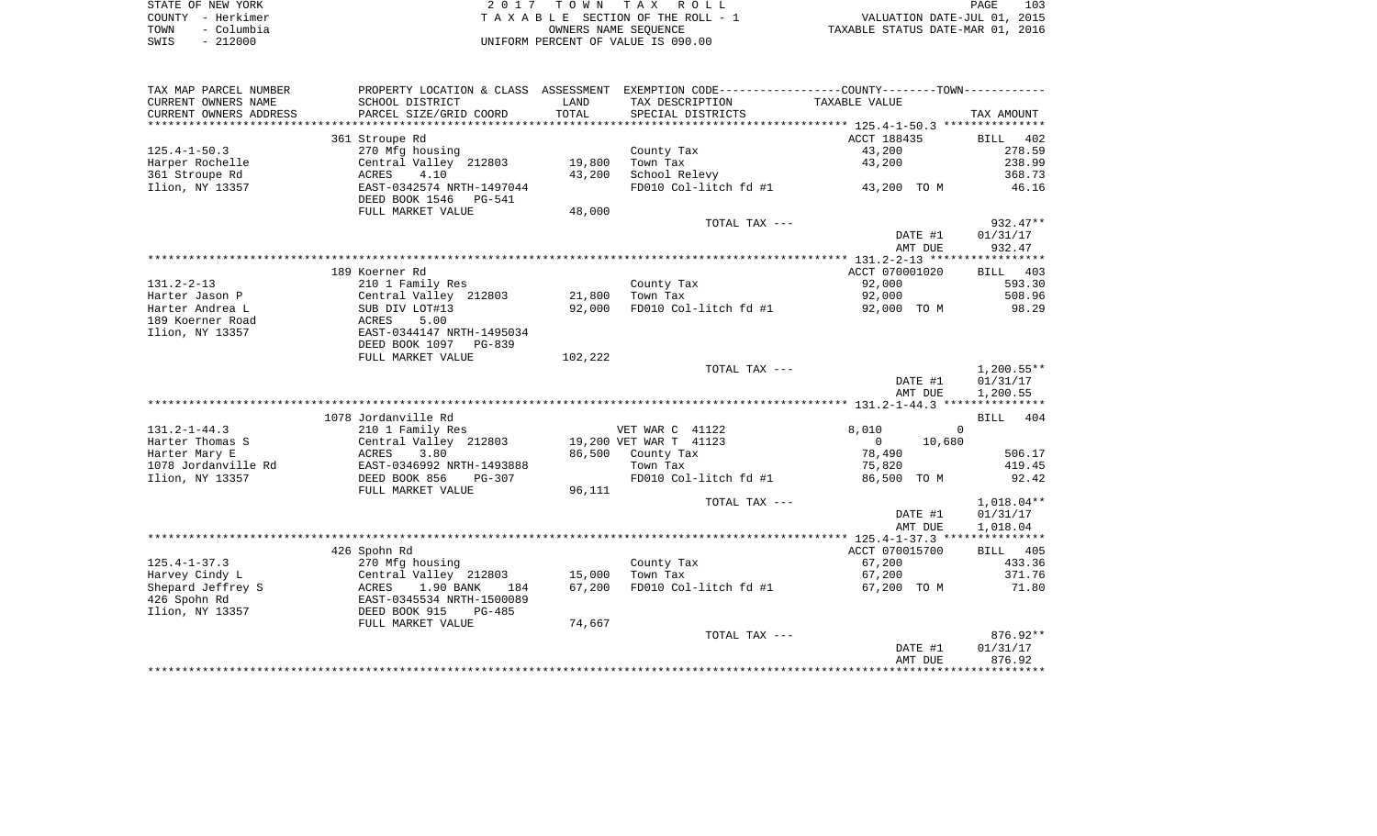|      | STATE OF NEW YORK | 2017 TOWN TAX ROLL                 | PAGE                             | 103 |
|------|-------------------|------------------------------------|----------------------------------|-----|
|      | COUNTY - Herkimer | TAXABLE SECTION OF THE ROLL - 1    | VALUATION DATE-JUL 01, 2015      |     |
| TOWN | – Columbia        | OWNERS NAME SEOUENCE               | TAXABLE STATUS DATE-MAR 01, 2016 |     |
| SWIS | $-212000$         | UNIFORM PERCENT OF VALUE IS 090.00 |                                  |     |

| SCHOOL DISTRICT<br>LAND<br>TAX DESCRIPTION<br><b>TAXABLE VALUE</b><br>PARCEL SIZE/GRID COORD<br>TOTAL<br>SPECIAL DISTRICTS<br>TAX AMOUNT<br>********************<br>ACCT 188435<br>402<br>361 Stroupe Rd<br>BILL<br>43,200<br>278.59<br>270 Mfg housing<br>County Tax<br>Central Valley 212803<br>19,800<br>43,200<br>238.99<br>Town Tax<br>4.10<br>43,200<br>School Relevy<br>368.73<br>ACRES<br>Ilion, NY 13357<br>FD010 Col-litch fd #1<br>43,200 TO M<br>46.16<br>EAST-0342574 NRTH-1497044<br>DEED BOOK 1546<br>PG-541<br>FULL MARKET VALUE<br>48,000<br>TOTAL TAX ---<br>932.47**<br>DATE #1<br>01/31/17<br>AMT DUE<br>932.47<br>ACCT 070001020<br>189 Koerner Rd<br>BILL 403<br>$131.2 - 2 - 13$<br>92,000<br>593.30<br>210 1 Family Res<br>County Tax<br>508.96<br>Harter Jason P<br>21,800<br>Town Tax<br>92,000<br>Central Valley 212803<br>FD010 Col-litch fd #1<br>98.29<br>Harter Andrea L<br>SUB DIV LOT#13<br>92,000<br>92,000 TO M<br>5.00<br>189 Koerner Road<br>ACRES<br>Ilion, NY 13357<br>EAST-0344147 NRTH-1495034<br>DEED BOOK 1097<br>PG-839<br>FULL MARKET VALUE<br>102,222<br>TOTAL TAX ---<br>$1,200.55**$<br>01/31/17<br>DATE #1<br>AMT DUE<br>1,200.55<br>1078 Jordanville Rd<br>BILL 404<br>$131.2 - 1 - 44.3$<br>8,010<br>210 1 Family Res<br>VET WAR C 41122<br>0<br>Harter Thomas S<br>Central Valley 212803<br>19,200 VET WAR T 41123<br>10,680<br>$\overline{0}$<br>Harter Mary E<br>78,490<br>ACRES<br>3.80<br>86,500<br>County Tax<br>506.17<br>419.45<br>1078 Jordanville Rd<br>EAST-0346992 NRTH-1493888<br>Town Tax<br>75,820<br>Ilion, NY 13357<br>DEED BOOK 856<br>FD010 Col-litch fd #1<br>86,500 TO M<br>92.42<br>PG-307<br>FULL MARKET VALUE<br>96,111<br>$1,018.04**$<br>TOTAL TAX ---<br>01/31/17<br>DATE #1<br>AMT DUE<br>1,018.04<br>426 Spohn Rd<br>ACCT 070015700<br>BILL 405<br>$125.4 - 1 - 37.3$<br>67,200<br>270 Mfg housing<br>County Tax<br>433.36<br>371.76<br>Harvey Cindy L<br>Central Valley 212803<br>15,000<br>Town Tax<br>67,200<br>Shepard Jeffrey S<br>ACRES<br>1.90 BANK<br>67,200<br>FD010 Col-litch fd #1<br>67,200 TO M<br>71.80<br>184<br>426 Spohn Rd<br>EAST-0345534 NRTH-1500089<br>Ilion, NY 13357<br>DEED BOOK 915<br>$PG-485$<br>74,667<br>FULL MARKET VALUE<br>876.92**<br>TOTAL TAX ---<br>DATE #1<br>01/31/17<br>AMT DUE<br>876.92 | TAX MAP PARCEL NUMBER  | PROPERTY LOCATION & CLASS ASSESSMENT | EXEMPTION CODE-----------------COUNTY-------TOWN----------- |  |
|-------------------------------------------------------------------------------------------------------------------------------------------------------------------------------------------------------------------------------------------------------------------------------------------------------------------------------------------------------------------------------------------------------------------------------------------------------------------------------------------------------------------------------------------------------------------------------------------------------------------------------------------------------------------------------------------------------------------------------------------------------------------------------------------------------------------------------------------------------------------------------------------------------------------------------------------------------------------------------------------------------------------------------------------------------------------------------------------------------------------------------------------------------------------------------------------------------------------------------------------------------------------------------------------------------------------------------------------------------------------------------------------------------------------------------------------------------------------------------------------------------------------------------------------------------------------------------------------------------------------------------------------------------------------------------------------------------------------------------------------------------------------------------------------------------------------------------------------------------------------------------------------------------------------------------------------------------------------------------------------------------------------------------------------------------------------------------------------------------------------------------------------------------------------------------------------------------------------------------------------------------------------------------------------------------------------|------------------------|--------------------------------------|-------------------------------------------------------------|--|
|                                                                                                                                                                                                                                                                                                                                                                                                                                                                                                                                                                                                                                                                                                                                                                                                                                                                                                                                                                                                                                                                                                                                                                                                                                                                                                                                                                                                                                                                                                                                                                                                                                                                                                                                                                                                                                                                                                                                                                                                                                                                                                                                                                                                                                                                                                                   | CURRENT OWNERS NAME    |                                      |                                                             |  |
|                                                                                                                                                                                                                                                                                                                                                                                                                                                                                                                                                                                                                                                                                                                                                                                                                                                                                                                                                                                                                                                                                                                                                                                                                                                                                                                                                                                                                                                                                                                                                                                                                                                                                                                                                                                                                                                                                                                                                                                                                                                                                                                                                                                                                                                                                                                   | CURRENT OWNERS ADDRESS |                                      |                                                             |  |
|                                                                                                                                                                                                                                                                                                                                                                                                                                                                                                                                                                                                                                                                                                                                                                                                                                                                                                                                                                                                                                                                                                                                                                                                                                                                                                                                                                                                                                                                                                                                                                                                                                                                                                                                                                                                                                                                                                                                                                                                                                                                                                                                                                                                                                                                                                                   |                        |                                      |                                                             |  |
|                                                                                                                                                                                                                                                                                                                                                                                                                                                                                                                                                                                                                                                                                                                                                                                                                                                                                                                                                                                                                                                                                                                                                                                                                                                                                                                                                                                                                                                                                                                                                                                                                                                                                                                                                                                                                                                                                                                                                                                                                                                                                                                                                                                                                                                                                                                   |                        |                                      |                                                             |  |
|                                                                                                                                                                                                                                                                                                                                                                                                                                                                                                                                                                                                                                                                                                                                                                                                                                                                                                                                                                                                                                                                                                                                                                                                                                                                                                                                                                                                                                                                                                                                                                                                                                                                                                                                                                                                                                                                                                                                                                                                                                                                                                                                                                                                                                                                                                                   | $125.4 - 1 - 50.3$     |                                      |                                                             |  |
|                                                                                                                                                                                                                                                                                                                                                                                                                                                                                                                                                                                                                                                                                                                                                                                                                                                                                                                                                                                                                                                                                                                                                                                                                                                                                                                                                                                                                                                                                                                                                                                                                                                                                                                                                                                                                                                                                                                                                                                                                                                                                                                                                                                                                                                                                                                   | Harper Rochelle        |                                      |                                                             |  |
|                                                                                                                                                                                                                                                                                                                                                                                                                                                                                                                                                                                                                                                                                                                                                                                                                                                                                                                                                                                                                                                                                                                                                                                                                                                                                                                                                                                                                                                                                                                                                                                                                                                                                                                                                                                                                                                                                                                                                                                                                                                                                                                                                                                                                                                                                                                   | 361 Stroupe Rd         |                                      |                                                             |  |
|                                                                                                                                                                                                                                                                                                                                                                                                                                                                                                                                                                                                                                                                                                                                                                                                                                                                                                                                                                                                                                                                                                                                                                                                                                                                                                                                                                                                                                                                                                                                                                                                                                                                                                                                                                                                                                                                                                                                                                                                                                                                                                                                                                                                                                                                                                                   |                        |                                      |                                                             |  |
|                                                                                                                                                                                                                                                                                                                                                                                                                                                                                                                                                                                                                                                                                                                                                                                                                                                                                                                                                                                                                                                                                                                                                                                                                                                                                                                                                                                                                                                                                                                                                                                                                                                                                                                                                                                                                                                                                                                                                                                                                                                                                                                                                                                                                                                                                                                   |                        |                                      |                                                             |  |
|                                                                                                                                                                                                                                                                                                                                                                                                                                                                                                                                                                                                                                                                                                                                                                                                                                                                                                                                                                                                                                                                                                                                                                                                                                                                                                                                                                                                                                                                                                                                                                                                                                                                                                                                                                                                                                                                                                                                                                                                                                                                                                                                                                                                                                                                                                                   |                        |                                      |                                                             |  |
|                                                                                                                                                                                                                                                                                                                                                                                                                                                                                                                                                                                                                                                                                                                                                                                                                                                                                                                                                                                                                                                                                                                                                                                                                                                                                                                                                                                                                                                                                                                                                                                                                                                                                                                                                                                                                                                                                                                                                                                                                                                                                                                                                                                                                                                                                                                   |                        |                                      |                                                             |  |
|                                                                                                                                                                                                                                                                                                                                                                                                                                                                                                                                                                                                                                                                                                                                                                                                                                                                                                                                                                                                                                                                                                                                                                                                                                                                                                                                                                                                                                                                                                                                                                                                                                                                                                                                                                                                                                                                                                                                                                                                                                                                                                                                                                                                                                                                                                                   |                        |                                      |                                                             |  |
|                                                                                                                                                                                                                                                                                                                                                                                                                                                                                                                                                                                                                                                                                                                                                                                                                                                                                                                                                                                                                                                                                                                                                                                                                                                                                                                                                                                                                                                                                                                                                                                                                                                                                                                                                                                                                                                                                                                                                                                                                                                                                                                                                                                                                                                                                                                   |                        |                                      |                                                             |  |
|                                                                                                                                                                                                                                                                                                                                                                                                                                                                                                                                                                                                                                                                                                                                                                                                                                                                                                                                                                                                                                                                                                                                                                                                                                                                                                                                                                                                                                                                                                                                                                                                                                                                                                                                                                                                                                                                                                                                                                                                                                                                                                                                                                                                                                                                                                                   |                        |                                      |                                                             |  |
|                                                                                                                                                                                                                                                                                                                                                                                                                                                                                                                                                                                                                                                                                                                                                                                                                                                                                                                                                                                                                                                                                                                                                                                                                                                                                                                                                                                                                                                                                                                                                                                                                                                                                                                                                                                                                                                                                                                                                                                                                                                                                                                                                                                                                                                                                                                   |                        |                                      |                                                             |  |
|                                                                                                                                                                                                                                                                                                                                                                                                                                                                                                                                                                                                                                                                                                                                                                                                                                                                                                                                                                                                                                                                                                                                                                                                                                                                                                                                                                                                                                                                                                                                                                                                                                                                                                                                                                                                                                                                                                                                                                                                                                                                                                                                                                                                                                                                                                                   |                        |                                      |                                                             |  |
|                                                                                                                                                                                                                                                                                                                                                                                                                                                                                                                                                                                                                                                                                                                                                                                                                                                                                                                                                                                                                                                                                                                                                                                                                                                                                                                                                                                                                                                                                                                                                                                                                                                                                                                                                                                                                                                                                                                                                                                                                                                                                                                                                                                                                                                                                                                   |                        |                                      |                                                             |  |
|                                                                                                                                                                                                                                                                                                                                                                                                                                                                                                                                                                                                                                                                                                                                                                                                                                                                                                                                                                                                                                                                                                                                                                                                                                                                                                                                                                                                                                                                                                                                                                                                                                                                                                                                                                                                                                                                                                                                                                                                                                                                                                                                                                                                                                                                                                                   |                        |                                      |                                                             |  |
|                                                                                                                                                                                                                                                                                                                                                                                                                                                                                                                                                                                                                                                                                                                                                                                                                                                                                                                                                                                                                                                                                                                                                                                                                                                                                                                                                                                                                                                                                                                                                                                                                                                                                                                                                                                                                                                                                                                                                                                                                                                                                                                                                                                                                                                                                                                   |                        |                                      |                                                             |  |
|                                                                                                                                                                                                                                                                                                                                                                                                                                                                                                                                                                                                                                                                                                                                                                                                                                                                                                                                                                                                                                                                                                                                                                                                                                                                                                                                                                                                                                                                                                                                                                                                                                                                                                                                                                                                                                                                                                                                                                                                                                                                                                                                                                                                                                                                                                                   |                        |                                      |                                                             |  |
|                                                                                                                                                                                                                                                                                                                                                                                                                                                                                                                                                                                                                                                                                                                                                                                                                                                                                                                                                                                                                                                                                                                                                                                                                                                                                                                                                                                                                                                                                                                                                                                                                                                                                                                                                                                                                                                                                                                                                                                                                                                                                                                                                                                                                                                                                                                   |                        |                                      |                                                             |  |
|                                                                                                                                                                                                                                                                                                                                                                                                                                                                                                                                                                                                                                                                                                                                                                                                                                                                                                                                                                                                                                                                                                                                                                                                                                                                                                                                                                                                                                                                                                                                                                                                                                                                                                                                                                                                                                                                                                                                                                                                                                                                                                                                                                                                                                                                                                                   |                        |                                      |                                                             |  |
|                                                                                                                                                                                                                                                                                                                                                                                                                                                                                                                                                                                                                                                                                                                                                                                                                                                                                                                                                                                                                                                                                                                                                                                                                                                                                                                                                                                                                                                                                                                                                                                                                                                                                                                                                                                                                                                                                                                                                                                                                                                                                                                                                                                                                                                                                                                   |                        |                                      |                                                             |  |
|                                                                                                                                                                                                                                                                                                                                                                                                                                                                                                                                                                                                                                                                                                                                                                                                                                                                                                                                                                                                                                                                                                                                                                                                                                                                                                                                                                                                                                                                                                                                                                                                                                                                                                                                                                                                                                                                                                                                                                                                                                                                                                                                                                                                                                                                                                                   |                        |                                      |                                                             |  |
|                                                                                                                                                                                                                                                                                                                                                                                                                                                                                                                                                                                                                                                                                                                                                                                                                                                                                                                                                                                                                                                                                                                                                                                                                                                                                                                                                                                                                                                                                                                                                                                                                                                                                                                                                                                                                                                                                                                                                                                                                                                                                                                                                                                                                                                                                                                   |                        |                                      |                                                             |  |
|                                                                                                                                                                                                                                                                                                                                                                                                                                                                                                                                                                                                                                                                                                                                                                                                                                                                                                                                                                                                                                                                                                                                                                                                                                                                                                                                                                                                                                                                                                                                                                                                                                                                                                                                                                                                                                                                                                                                                                                                                                                                                                                                                                                                                                                                                                                   |                        |                                      |                                                             |  |
|                                                                                                                                                                                                                                                                                                                                                                                                                                                                                                                                                                                                                                                                                                                                                                                                                                                                                                                                                                                                                                                                                                                                                                                                                                                                                                                                                                                                                                                                                                                                                                                                                                                                                                                                                                                                                                                                                                                                                                                                                                                                                                                                                                                                                                                                                                                   |                        |                                      |                                                             |  |
|                                                                                                                                                                                                                                                                                                                                                                                                                                                                                                                                                                                                                                                                                                                                                                                                                                                                                                                                                                                                                                                                                                                                                                                                                                                                                                                                                                                                                                                                                                                                                                                                                                                                                                                                                                                                                                                                                                                                                                                                                                                                                                                                                                                                                                                                                                                   |                        |                                      |                                                             |  |
|                                                                                                                                                                                                                                                                                                                                                                                                                                                                                                                                                                                                                                                                                                                                                                                                                                                                                                                                                                                                                                                                                                                                                                                                                                                                                                                                                                                                                                                                                                                                                                                                                                                                                                                                                                                                                                                                                                                                                                                                                                                                                                                                                                                                                                                                                                                   |                        |                                      |                                                             |  |
|                                                                                                                                                                                                                                                                                                                                                                                                                                                                                                                                                                                                                                                                                                                                                                                                                                                                                                                                                                                                                                                                                                                                                                                                                                                                                                                                                                                                                                                                                                                                                                                                                                                                                                                                                                                                                                                                                                                                                                                                                                                                                                                                                                                                                                                                                                                   |                        |                                      |                                                             |  |
|                                                                                                                                                                                                                                                                                                                                                                                                                                                                                                                                                                                                                                                                                                                                                                                                                                                                                                                                                                                                                                                                                                                                                                                                                                                                                                                                                                                                                                                                                                                                                                                                                                                                                                                                                                                                                                                                                                                                                                                                                                                                                                                                                                                                                                                                                                                   |                        |                                      |                                                             |  |
|                                                                                                                                                                                                                                                                                                                                                                                                                                                                                                                                                                                                                                                                                                                                                                                                                                                                                                                                                                                                                                                                                                                                                                                                                                                                                                                                                                                                                                                                                                                                                                                                                                                                                                                                                                                                                                                                                                                                                                                                                                                                                                                                                                                                                                                                                                                   |                        |                                      |                                                             |  |
|                                                                                                                                                                                                                                                                                                                                                                                                                                                                                                                                                                                                                                                                                                                                                                                                                                                                                                                                                                                                                                                                                                                                                                                                                                                                                                                                                                                                                                                                                                                                                                                                                                                                                                                                                                                                                                                                                                                                                                                                                                                                                                                                                                                                                                                                                                                   |                        |                                      |                                                             |  |
|                                                                                                                                                                                                                                                                                                                                                                                                                                                                                                                                                                                                                                                                                                                                                                                                                                                                                                                                                                                                                                                                                                                                                                                                                                                                                                                                                                                                                                                                                                                                                                                                                                                                                                                                                                                                                                                                                                                                                                                                                                                                                                                                                                                                                                                                                                                   |                        |                                      |                                                             |  |
|                                                                                                                                                                                                                                                                                                                                                                                                                                                                                                                                                                                                                                                                                                                                                                                                                                                                                                                                                                                                                                                                                                                                                                                                                                                                                                                                                                                                                                                                                                                                                                                                                                                                                                                                                                                                                                                                                                                                                                                                                                                                                                                                                                                                                                                                                                                   |                        |                                      |                                                             |  |
|                                                                                                                                                                                                                                                                                                                                                                                                                                                                                                                                                                                                                                                                                                                                                                                                                                                                                                                                                                                                                                                                                                                                                                                                                                                                                                                                                                                                                                                                                                                                                                                                                                                                                                                                                                                                                                                                                                                                                                                                                                                                                                                                                                                                                                                                                                                   |                        |                                      |                                                             |  |
|                                                                                                                                                                                                                                                                                                                                                                                                                                                                                                                                                                                                                                                                                                                                                                                                                                                                                                                                                                                                                                                                                                                                                                                                                                                                                                                                                                                                                                                                                                                                                                                                                                                                                                                                                                                                                                                                                                                                                                                                                                                                                                                                                                                                                                                                                                                   |                        |                                      |                                                             |  |
|                                                                                                                                                                                                                                                                                                                                                                                                                                                                                                                                                                                                                                                                                                                                                                                                                                                                                                                                                                                                                                                                                                                                                                                                                                                                                                                                                                                                                                                                                                                                                                                                                                                                                                                                                                                                                                                                                                                                                                                                                                                                                                                                                                                                                                                                                                                   |                        |                                      |                                                             |  |
|                                                                                                                                                                                                                                                                                                                                                                                                                                                                                                                                                                                                                                                                                                                                                                                                                                                                                                                                                                                                                                                                                                                                                                                                                                                                                                                                                                                                                                                                                                                                                                                                                                                                                                                                                                                                                                                                                                                                                                                                                                                                                                                                                                                                                                                                                                                   |                        |                                      |                                                             |  |
|                                                                                                                                                                                                                                                                                                                                                                                                                                                                                                                                                                                                                                                                                                                                                                                                                                                                                                                                                                                                                                                                                                                                                                                                                                                                                                                                                                                                                                                                                                                                                                                                                                                                                                                                                                                                                                                                                                                                                                                                                                                                                                                                                                                                                                                                                                                   |                        |                                      |                                                             |  |
|                                                                                                                                                                                                                                                                                                                                                                                                                                                                                                                                                                                                                                                                                                                                                                                                                                                                                                                                                                                                                                                                                                                                                                                                                                                                                                                                                                                                                                                                                                                                                                                                                                                                                                                                                                                                                                                                                                                                                                                                                                                                                                                                                                                                                                                                                                                   |                        |                                      |                                                             |  |
|                                                                                                                                                                                                                                                                                                                                                                                                                                                                                                                                                                                                                                                                                                                                                                                                                                                                                                                                                                                                                                                                                                                                                                                                                                                                                                                                                                                                                                                                                                                                                                                                                                                                                                                                                                                                                                                                                                                                                                                                                                                                                                                                                                                                                                                                                                                   |                        |                                      |                                                             |  |
|                                                                                                                                                                                                                                                                                                                                                                                                                                                                                                                                                                                                                                                                                                                                                                                                                                                                                                                                                                                                                                                                                                                                                                                                                                                                                                                                                                                                                                                                                                                                                                                                                                                                                                                                                                                                                                                                                                                                                                                                                                                                                                                                                                                                                                                                                                                   |                        |                                      |                                                             |  |
|                                                                                                                                                                                                                                                                                                                                                                                                                                                                                                                                                                                                                                                                                                                                                                                                                                                                                                                                                                                                                                                                                                                                                                                                                                                                                                                                                                                                                                                                                                                                                                                                                                                                                                                                                                                                                                                                                                                                                                                                                                                                                                                                                                                                                                                                                                                   |                        |                                      |                                                             |  |
|                                                                                                                                                                                                                                                                                                                                                                                                                                                                                                                                                                                                                                                                                                                                                                                                                                                                                                                                                                                                                                                                                                                                                                                                                                                                                                                                                                                                                                                                                                                                                                                                                                                                                                                                                                                                                                                                                                                                                                                                                                                                                                                                                                                                                                                                                                                   |                        |                                      |                                                             |  |
|                                                                                                                                                                                                                                                                                                                                                                                                                                                                                                                                                                                                                                                                                                                                                                                                                                                                                                                                                                                                                                                                                                                                                                                                                                                                                                                                                                                                                                                                                                                                                                                                                                                                                                                                                                                                                                                                                                                                                                                                                                                                                                                                                                                                                                                                                                                   |                        |                                      |                                                             |  |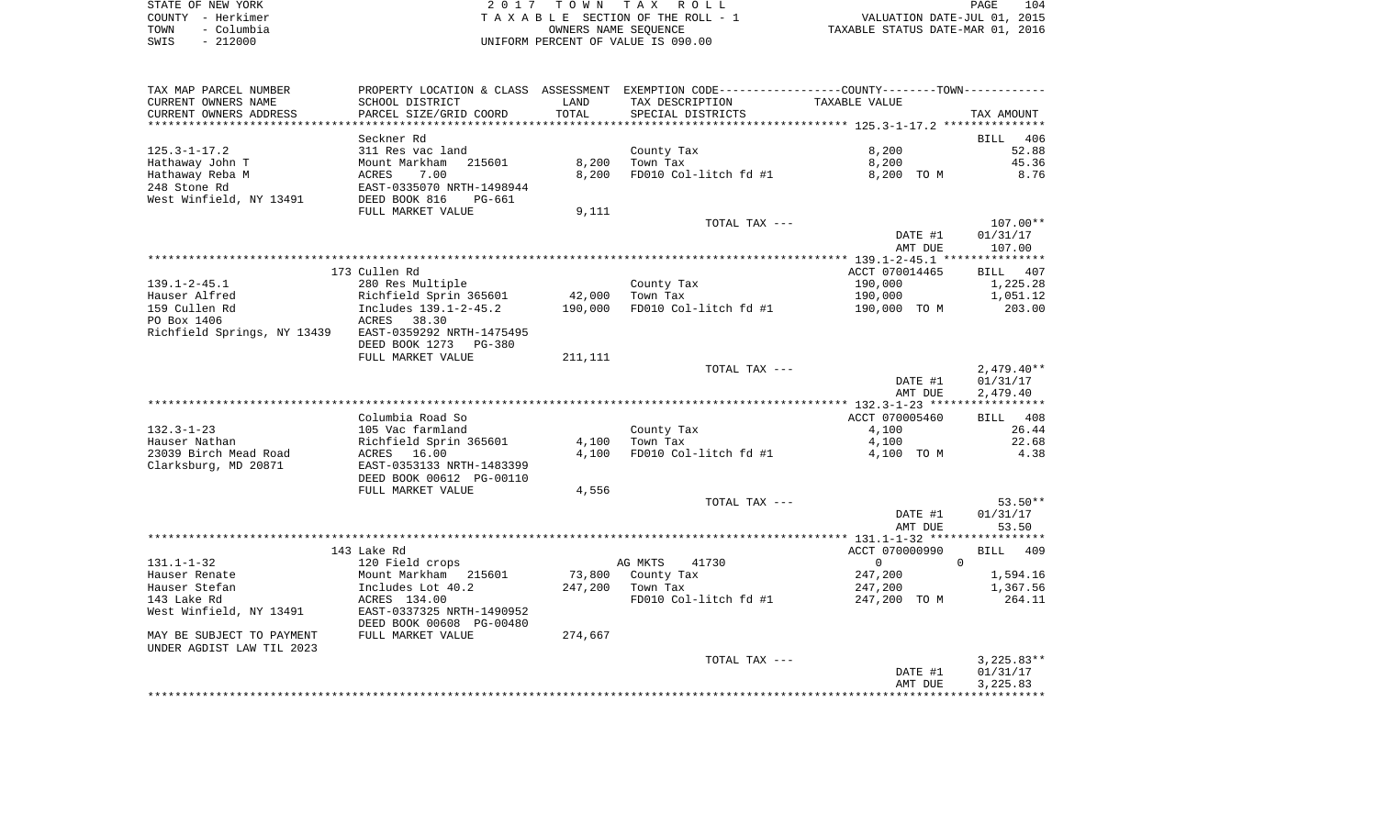| STATE OF NEW YORK  | 2017 TOWN TAX ROLL                 | 104<br>PAGE                      |
|--------------------|------------------------------------|----------------------------------|
| COUNTY - Herkimer  | TAXABLE SECTION OF THE ROLL - 1    | VALUATION DATE-JUL 01, 2015      |
| – Columbia<br>TOWN | OWNERS NAME SEOUENCE               | TAXABLE STATUS DATE-MAR 01, 2016 |
| $-212000$<br>SWIS  | UNIFORM PERCENT OF VALUE IS 090.00 |                                  |

| TAX MAP PARCEL NUMBER                         |                                                       |                | PROPERTY LOCATION & CLASS ASSESSMENT EXEMPTION CODE----------------COUNTY-------TOWN---------- |                      |               |
|-----------------------------------------------|-------------------------------------------------------|----------------|------------------------------------------------------------------------------------------------|----------------------|---------------|
| CURRENT OWNERS NAME<br>CURRENT OWNERS ADDRESS | SCHOOL DISTRICT<br>PARCEL SIZE/GRID COORD             | LAND<br>TOTAL  | TAX DESCRIPTION<br>SPECIAL DISTRICTS                                                           | <b>TAXABLE VALUE</b> | TAX AMOUNT    |
| ************************                      |                                                       |                |                                                                                                |                      |               |
|                                               | Seckner Rd                                            |                |                                                                                                |                      | -406<br>BILL  |
| $125.3 - 1 - 17.2$                            | 311 Res vac land                                      |                | County Tax                                                                                     | 8,200                | 52.88         |
| Hathaway John T                               | Mount Markham<br>215601                               | 8,200          | Town Tax                                                                                       | 8,200                | 45.36         |
| Hathaway Reba M                               | ACRES<br>7.00                                         | 8,200          | FD010 Col-litch fd #1                                                                          | 8,200 TO M           | 8.76          |
| 248 Stone Rd<br>West Winfield, NY 13491       | EAST-0335070 NRTH-1498944                             |                |                                                                                                |                      |               |
|                                               | DEED BOOK 816<br>PG-661<br>FULL MARKET VALUE          | 9,111          |                                                                                                |                      |               |
|                                               |                                                       |                | TOTAL TAX ---                                                                                  |                      | 107.00**      |
|                                               |                                                       |                |                                                                                                | DATE #1              | 01/31/17      |
|                                               |                                                       |                |                                                                                                | AMT DUE              | 107.00        |
|                                               |                                                       |                |                                                                                                |                      |               |
|                                               | 173 Cullen Rd                                         |                |                                                                                                | ACCT 070014465       | BILL 407      |
| $139.1 - 2 - 45.1$                            | 280 Res Multiple                                      |                | County Tax                                                                                     | 190,000              | 1,225.28      |
| Hauser Alfred                                 | Richfield Sprin 365601                                | 42,000         | Town Tax                                                                                       | 190,000              | 1,051.12      |
| 159 Cullen Rd                                 | Includes 139.1-2-45.2                                 | 190,000        | FD010 Col-litch fd #1                                                                          | 190,000 TO M         | 203.00        |
| PO Box 1406                                   | 38.30<br>ACRES                                        |                |                                                                                                |                      |               |
| Richfield Springs, NY 13439                   | EAST-0359292 NRTH-1475495                             |                |                                                                                                |                      |               |
|                                               | DEED BOOK 1273<br>$PG-380$                            |                |                                                                                                |                      |               |
|                                               | FULL MARKET VALUE                                     | 211,111        |                                                                                                |                      |               |
|                                               |                                                       |                | TOTAL TAX ---                                                                                  |                      | $2,479.40**$  |
|                                               |                                                       |                |                                                                                                | DATE #1              | 01/31/17      |
|                                               |                                                       |                |                                                                                                | AMT DUE              | 2,479.40      |
|                                               |                                                       |                |                                                                                                |                      |               |
|                                               | Columbia Road So                                      |                |                                                                                                | ACCT 070005460       | BILL 408      |
| $132.3 - 1 - 23$                              | 105 Vac farmland                                      |                | County Tax                                                                                     | 4,100                | 26.44         |
| Hauser Nathan<br>23039 Birch Mead Road        | Richfield Sprin 365601<br>ACRES 16.00                 | 4,100<br>4,100 | Town Tax<br>FD010 Col-litch fd #1                                                              | 4,100<br>4,100 TO M  | 22.68<br>4.38 |
| Clarksburg, MD 20871                          | EAST-0353133 NRTH-1483399                             |                |                                                                                                |                      |               |
|                                               | DEED BOOK 00612 PG-00110                              |                |                                                                                                |                      |               |
|                                               | FULL MARKET VALUE                                     | 4,556          |                                                                                                |                      |               |
|                                               |                                                       |                | TOTAL TAX ---                                                                                  |                      | $53.50**$     |
|                                               |                                                       |                |                                                                                                | DATE #1              | 01/31/17      |
|                                               |                                                       |                |                                                                                                | AMT DUE              | 53.50         |
|                                               |                                                       |                |                                                                                                |                      |               |
|                                               | 143 Lake Rd                                           |                |                                                                                                | ACCT 070000990       | BILL<br>409   |
| $131.1 - 1 - 32$                              | 120 Field crops                                       |                | AG MKTS<br>41730                                                                               | $\mathbf{0}$         | $\Omega$      |
| Hauser Renate                                 | Mount Markham 215601                                  | 73,800         | County Tax                                                                                     | 247,200              | 1,594.16      |
| Hauser Stefan                                 | Includes Lot 40.2                                     | 247,200        | Town Tax                                                                                       | 247,200              | 1,367.56      |
| 143 Lake Rd                                   | ACRES 134.00                                          |                | FD010 Col-litch fd #1                                                                          | 247,200 TO M         | 264.11        |
| West Winfield, NY 13491                       | EAST-0337325 NRTH-1490952<br>DEED BOOK 00608 PG-00480 |                |                                                                                                |                      |               |
| MAY BE SUBJECT TO PAYMENT                     | FULL MARKET VALUE                                     | 274,667        |                                                                                                |                      |               |
| UNDER AGDIST LAW TIL 2023                     |                                                       |                | TOTAL TAX ---                                                                                  |                      | $3,225.83**$  |
|                                               |                                                       |                |                                                                                                | DATE #1              | 01/31/17      |
|                                               |                                                       |                |                                                                                                | AMT DUE              | 3,225.83      |
|                                               |                                                       |                |                                                                                                |                      |               |
|                                               |                                                       |                |                                                                                                |                      |               |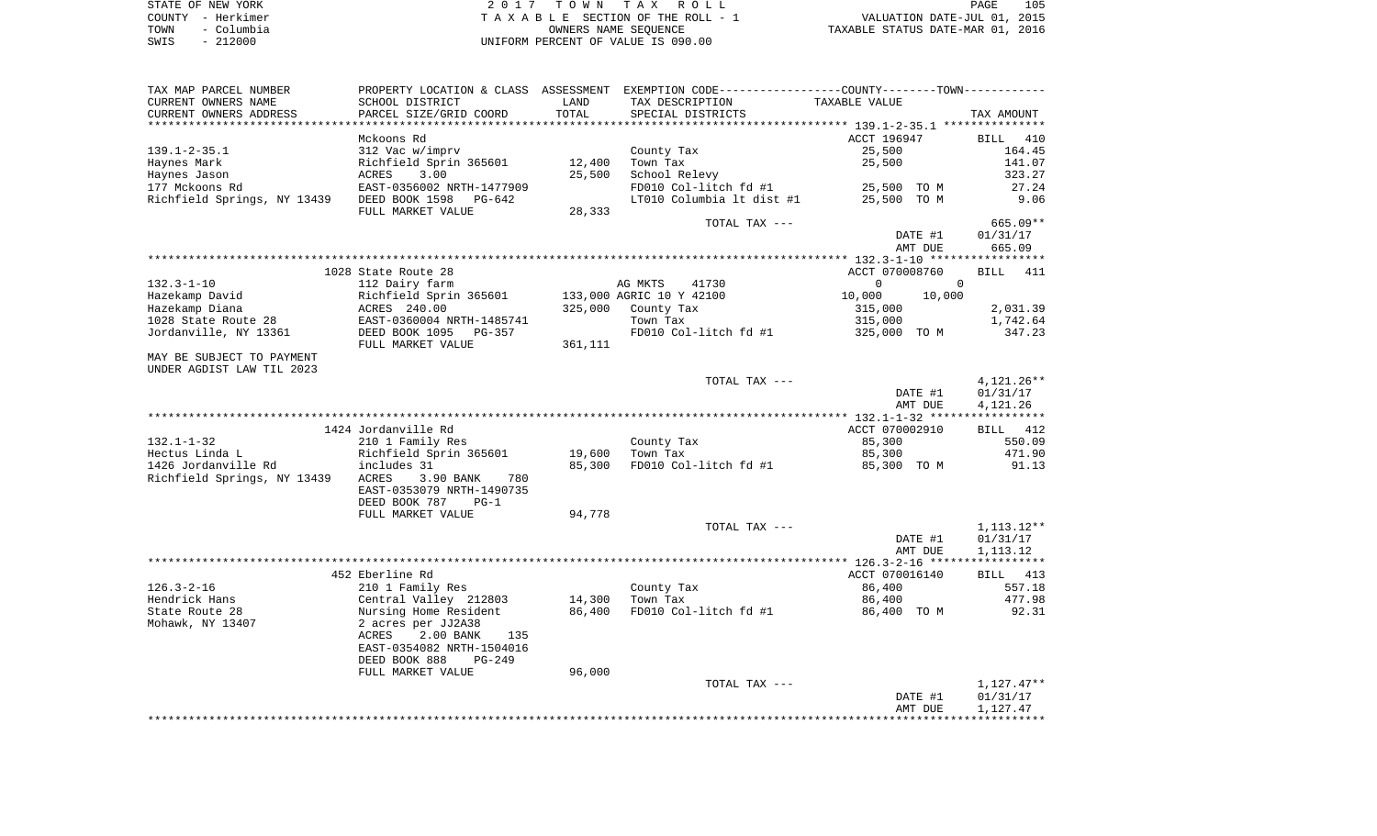| STATE OF NEW YORK  | 2017 TOWN TAX ROLL                 | 105<br>PAGE                      |
|--------------------|------------------------------------|----------------------------------|
| COUNTY - Herkimer  | TAXABLE SECTION OF THE ROLL - 1    | VALUATION DATE-JUL 01, 2015      |
| - Columbia<br>TOWN | OWNERS NAME SEOUENCE               | TAXABLE STATUS DATE-MAR 01, 2016 |
| 212000<br>SWIS     | UNIFORM PERCENT OF VALUE IS 090.00 |                                  |

| TAX MAP PARCEL NUMBER                                  |                                           |         | PROPERTY LOCATION & CLASS ASSESSMENT EXEMPTION CODE----------------COUNTY--------TOWN----------- |                             |            |
|--------------------------------------------------------|-------------------------------------------|---------|--------------------------------------------------------------------------------------------------|-----------------------------|------------|
| CURRENT OWNERS NAME                                    | SCHOOL DISTRICT                           | LAND    | TAX DESCRIPTION                                                                                  | TAXABLE VALUE               |            |
| CURRENT OWNERS ADDRESS                                 | PARCEL SIZE/GRID COORD                    | TOTAL   | SPECIAL DISTRICTS                                                                                |                             | TAX AMOUNT |
|                                                        |                                           |         |                                                                                                  |                             |            |
|                                                        | Mckoons Rd                                |         |                                                                                                  | ACCT 196947                 | BILL 410   |
| $139.1 - 2 - 35.1$                                     | 312 Vac w/imprv                           |         | County Tax                                                                                       | 25,500                      | 164.45     |
| Haynes Mark                                            | Richfield Sprin 365601                    | 12,400  | Town Tax                                                                                         | 25,500                      | 141.07     |
| Haynes Jason                                           | ACRES<br>3.00                             | 25,500  | School Relevy                                                                                    |                             | 323.27     |
| 177 Mckoons Rd                                         | EAST-0356002 NRTH-1477909                 |         | FD010 Col-litch fd #1                                                                            | 25,500 TO M<br>$25,500$ TOM | 27.24      |
| Richfield Springs, NY 13439 DEED BOOK 1598 PG-642      |                                           |         | LT010 Columbia lt dist #1                                                                        |                             | 9.06       |
|                                                        | FULL MARKET VALUE                         | 28,333  |                                                                                                  |                             |            |
|                                                        |                                           |         | TOTAL TAX ---                                                                                    |                             | 665.09**   |
|                                                        |                                           |         |                                                                                                  | DATE #1                     | 01/31/17   |
|                                                        |                                           |         |                                                                                                  | AMT DUE                     | 665.09     |
|                                                        |                                           |         |                                                                                                  |                             |            |
|                                                        | 1028 State Route 28                       |         |                                                                                                  | ACCT 070008760              | BILL 411   |
| $132.3 - 1 - 10$                                       | 112 Dairy farm                            |         | AG MKTS 41730                                                                                    | $\overline{0}$<br>$\Omega$  |            |
| Hazekamp David                                         | Richfield Sprin 365601                    |         | 133,000 AGRIC 10 Y 42100                                                                         | 10,000<br>10,000            |            |
| Hazekamp Diana                                         | ACRES 240.00<br>EAST-0360004 NRTH-1485741 |         | 325,000 County Tax                                                                               | 315,000                     | 2,031.39   |
| 1028 State Route 28                                    |                                           |         | Town Tax                                                                                         | 315,000                     | 1,742.64   |
| Jordanville, NY 13361                                  | DEED BOOK 1095 PG-357                     |         | FD010 Col-litch fd #1                                                                            | 325,000 TO M                | 347.23     |
|                                                        | FULL MARKET VALUE                         | 361,111 |                                                                                                  |                             |            |
| MAY BE SUBJECT TO PAYMENT<br>UNDER AGDIST LAW TIL 2023 |                                           |         |                                                                                                  |                             |            |
|                                                        |                                           |         | TOTAL TAX ---                                                                                    |                             | 4,121.26** |
|                                                        |                                           |         |                                                                                                  | DATE #1                     | 01/31/17   |
|                                                        |                                           |         |                                                                                                  | AMT DUE                     | 4,121.26   |
|                                                        |                                           |         |                                                                                                  |                             |            |
|                                                        | 1424 Jordanville Rd                       |         |                                                                                                  | ACCT 070002910              | BILL 412   |
| $132.1 - 1 - 32$                                       | 210 1 Family Res                          |         | County Tax                                                                                       | 85,300                      | 550.09     |
|                                                        |                                           | 19,600  | Town Tax                                                                                         | 85,300                      | 471.90     |
|                                                        |                                           | 85,300  | FD010 Col-litch fd #1                                                                            | 85,300 TO M                 | 91.13      |
| Richfield Springs, NY 13439 ACRES                      | 3.90 BANK<br>780                          |         |                                                                                                  |                             |            |
|                                                        | EAST-0353079 NRTH-1490735                 |         |                                                                                                  |                             |            |
|                                                        | DEED BOOK 787                             |         |                                                                                                  |                             |            |
|                                                        | $PG-1$                                    |         |                                                                                                  |                             |            |
|                                                        | FULL MARKET VALUE                         | 94,778  |                                                                                                  |                             |            |
|                                                        |                                           |         | TOTAL TAX ---                                                                                    |                             | 1,113.12** |
|                                                        |                                           |         |                                                                                                  | DATE #1                     | 01/31/17   |
|                                                        |                                           |         |                                                                                                  | AMT DUE                     | 1,113.12   |
|                                                        |                                           |         |                                                                                                  |                             |            |
|                                                        | 452 Eberline Rd                           |         |                                                                                                  | ACCT 070016140              | BILL 413   |
| 126.3-2-16                                             | 210 1 Family Res                          |         | County Tax                                                                                       | 86,400                      | 557.18     |
| Hendrick Hans                                          | Central Valley 212803                     | 14,300  | Town Tax                                                                                         | 86,400                      | 477.98     |
| State Route 28                                         | Nursing Home Resident                     | 86,400  | FD010 Col-litch fd #1                                                                            | 86,400 TO M                 | 92.31      |
| Mohawk, NY 13407                                       | 2 acres per JJ2A38                        |         |                                                                                                  |                             |            |
|                                                        | ACRES<br>2.00 BANK<br>135                 |         |                                                                                                  |                             |            |
|                                                        | EAST-0354082 NRTH-1504016                 |         |                                                                                                  |                             |            |
|                                                        | DEED BOOK 888<br>PG-249                   |         |                                                                                                  |                             |            |
|                                                        | FULL MARKET VALUE                         | 96,000  |                                                                                                  |                             |            |
|                                                        |                                           |         | TOTAL TAX ---                                                                                    |                             | 1,127.47** |
|                                                        |                                           |         |                                                                                                  | DATE #1                     | 01/31/17   |
|                                                        |                                           |         |                                                                                                  | AMT DUE                     | 1,127.47   |
|                                                        |                                           |         |                                                                                                  |                             |            |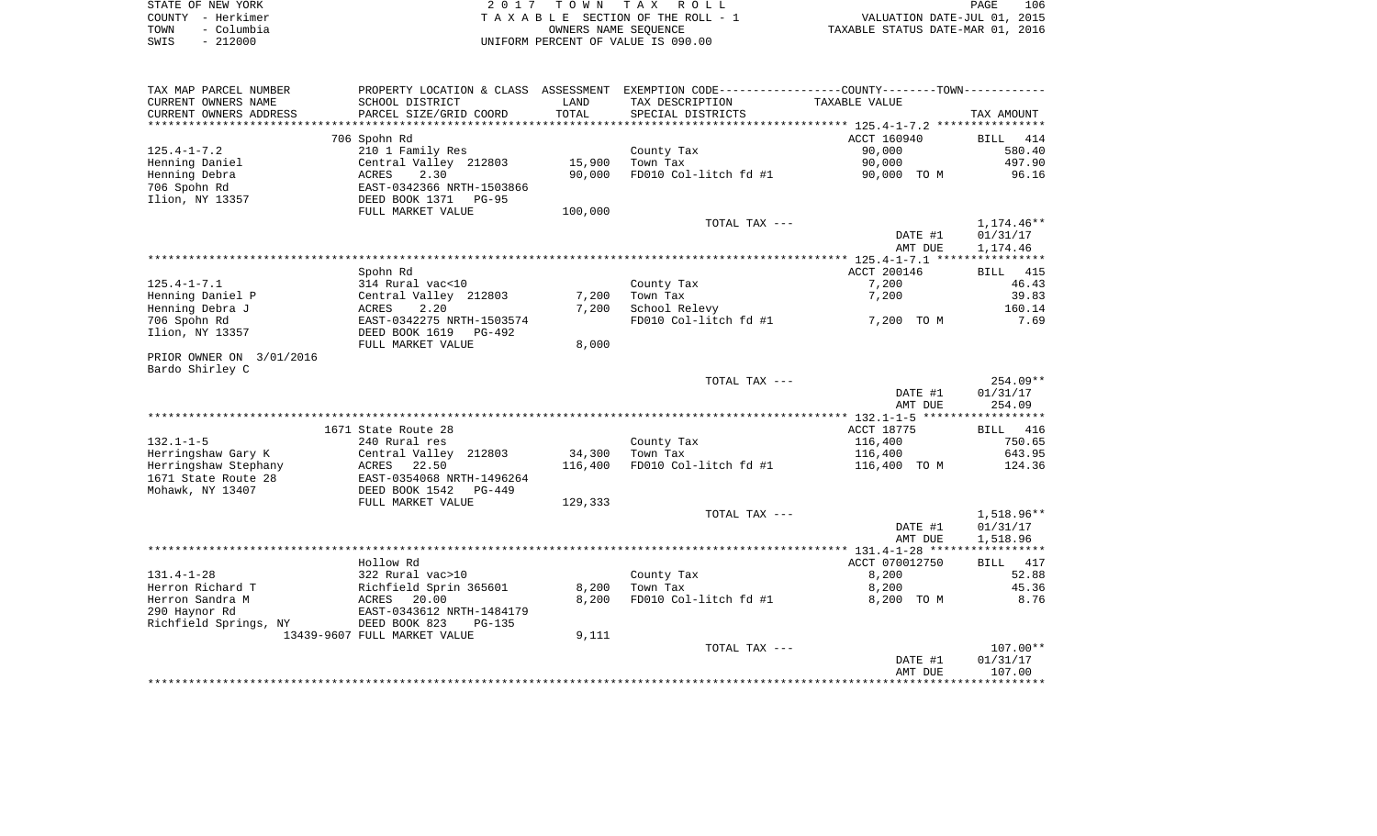| STATE OF NEW YORK  | 2017 TOWN TAX ROLL                 | 106<br>PAGE                      |
|--------------------|------------------------------------|----------------------------------|
| COUNTY - Herkimer  | TAXABLE SECTION OF THE ROLL - 1    | VALUATION DATE-JUL 01, 2015      |
| – Columbia<br>TOWN | OWNERS NAME SEOUENCE               | TAXABLE STATUS DATE-MAR 01, 2016 |
| - 212000<br>SWIS   | UNIFORM PERCENT OF VALUE IS 090.00 |                                  |

| TAX MAP PARCEL NUMBER    |                              |         | PROPERTY LOCATION & CLASS ASSESSMENT EXEMPTION CODE---------------COUNTY-------TOWN--------- |                |              |
|--------------------------|------------------------------|---------|----------------------------------------------------------------------------------------------|----------------|--------------|
| CURRENT OWNERS NAME      | SCHOOL DISTRICT              | LAND    | TAX DESCRIPTION                                                                              | TAXABLE VALUE  |              |
| CURRENT OWNERS ADDRESS   | PARCEL SIZE/GRID COORD       | TOTAL   | SPECIAL DISTRICTS                                                                            |                | TAX AMOUNT   |
| *******************      | **************************** |         |                                                                                              |                |              |
|                          | 706 Spohn Rd                 |         |                                                                                              | ACCT 160940    | BILL<br>414  |
| $125.4 - 1 - 7.2$        | 210 1 Family Res             |         | County Tax                                                                                   | 90,000         | 580.40       |
| Henning Daniel           | Central Valley 212803        | 15,900  | Town Tax                                                                                     | 90,000         | 497.90       |
| Henning Debra            | ACRES<br>2.30                | 90,000  | FD010 Col-litch fd #1                                                                        | 90,000 TO M    | 96.16        |
| 706 Spohn Rd             | EAST-0342366 NRTH-1503866    |         |                                                                                              |                |              |
| Ilion, NY 13357          | DEED BOOK 1371<br>PG-95      |         |                                                                                              |                |              |
|                          | FULL MARKET VALUE            | 100,000 |                                                                                              |                |              |
|                          |                              |         | TOTAL TAX ---                                                                                |                | $1,174.46**$ |
|                          |                              |         |                                                                                              | DATE #1        | 01/31/17     |
|                          |                              |         |                                                                                              | AMT DUE        | 1,174.46     |
|                          |                              |         |                                                                                              |                |              |
|                          | Spohn Rd                     |         |                                                                                              | ACCT 200146    | BILL 415     |
| $125.4 - 1 - 7.1$        | 314 Rural vac<10             |         | County Tax                                                                                   | 7,200          | 46.43        |
| Henning Daniel P         | Central Valley 212803        | 7,200   | Town Tax                                                                                     | 7,200          | 39.83        |
| Henning Debra J          | 2.20<br>ACRES                | 7,200   | School Relevy                                                                                |                | 160.14       |
| 706 Spohn Rd             | EAST-0342275 NRTH-1503574    |         | FD010 Col-litch fd #1                                                                        | 7,200 TO M     | 7.69         |
| Ilion, NY 13357          | DEED BOOK 1619<br>PG-492     |         |                                                                                              |                |              |
|                          | FULL MARKET VALUE            | 8,000   |                                                                                              |                |              |
| PRIOR OWNER ON 3/01/2016 |                              |         |                                                                                              |                |              |
| Bardo Shirley C          |                              |         |                                                                                              |                |              |
|                          |                              |         | TOTAL TAX ---                                                                                |                | 254.09**     |
|                          |                              |         |                                                                                              | DATE #1        | 01/31/17     |
|                          |                              |         |                                                                                              | AMT DUE        | 254.09       |
|                          |                              |         |                                                                                              |                |              |
|                          | 1671 State Route 28          |         |                                                                                              | ACCT 18775     | BILL 416     |
| $132.1 - 1 - 5$          | 240 Rural res                |         | County Tax                                                                                   | 116,400        | 750.65       |
| Herringshaw Gary K       | Central Valley 212803        | 34,300  | Town Tax                                                                                     | 116,400        | 643.95       |
| Herringshaw Stephany     | 22.50<br>ACRES               | 116,400 | FD010 Col-litch fd #1                                                                        | 116,400 TO M   | 124.36       |
| 1671 State Route 28      | EAST-0354068 NRTH-1496264    |         |                                                                                              |                |              |
| Mohawk, NY 13407         | DEED BOOK 1542<br>PG-449     |         |                                                                                              |                |              |
|                          | FULL MARKET VALUE            | 129,333 |                                                                                              |                |              |
|                          |                              |         | TOTAL TAX ---                                                                                |                | 1,518.96**   |
|                          |                              |         |                                                                                              | DATE #1        | 01/31/17     |
|                          |                              |         |                                                                                              | AMT DUE        | 1,518.96     |
|                          |                              |         |                                                                                              |                |              |
|                          | Hollow Rd                    |         |                                                                                              | ACCT 070012750 | BILL 417     |
| $131.4 - 1 - 28$         | 322 Rural vac>10             |         | County Tax                                                                                   | 8,200          | 52.88        |
| Herron Richard T         | Richfield Sprin 365601       | 8,200   | Town Tax                                                                                     | 8,200          | 45.36        |
| Herron Sandra M          | ACRES<br>20.00               | 8,200   | FD010 Col-litch fd #1                                                                        | 8,200 TO M     | 8.76         |
| 290 Haynor Rd            | EAST-0343612 NRTH-1484179    |         |                                                                                              |                |              |
| Richfield Springs, NY    | DEED BOOK 823<br>$PG-135$    |         |                                                                                              |                |              |
|                          | 13439-9607 FULL MARKET VALUE | 9,111   |                                                                                              |                |              |
|                          |                              |         | TOTAL TAX ---                                                                                |                | $107.00**$   |
|                          |                              |         |                                                                                              | DATE #1        | 01/31/17     |
|                          |                              |         |                                                                                              | AMT DUE        | 107.00       |
|                          |                              |         |                                                                                              |                |              |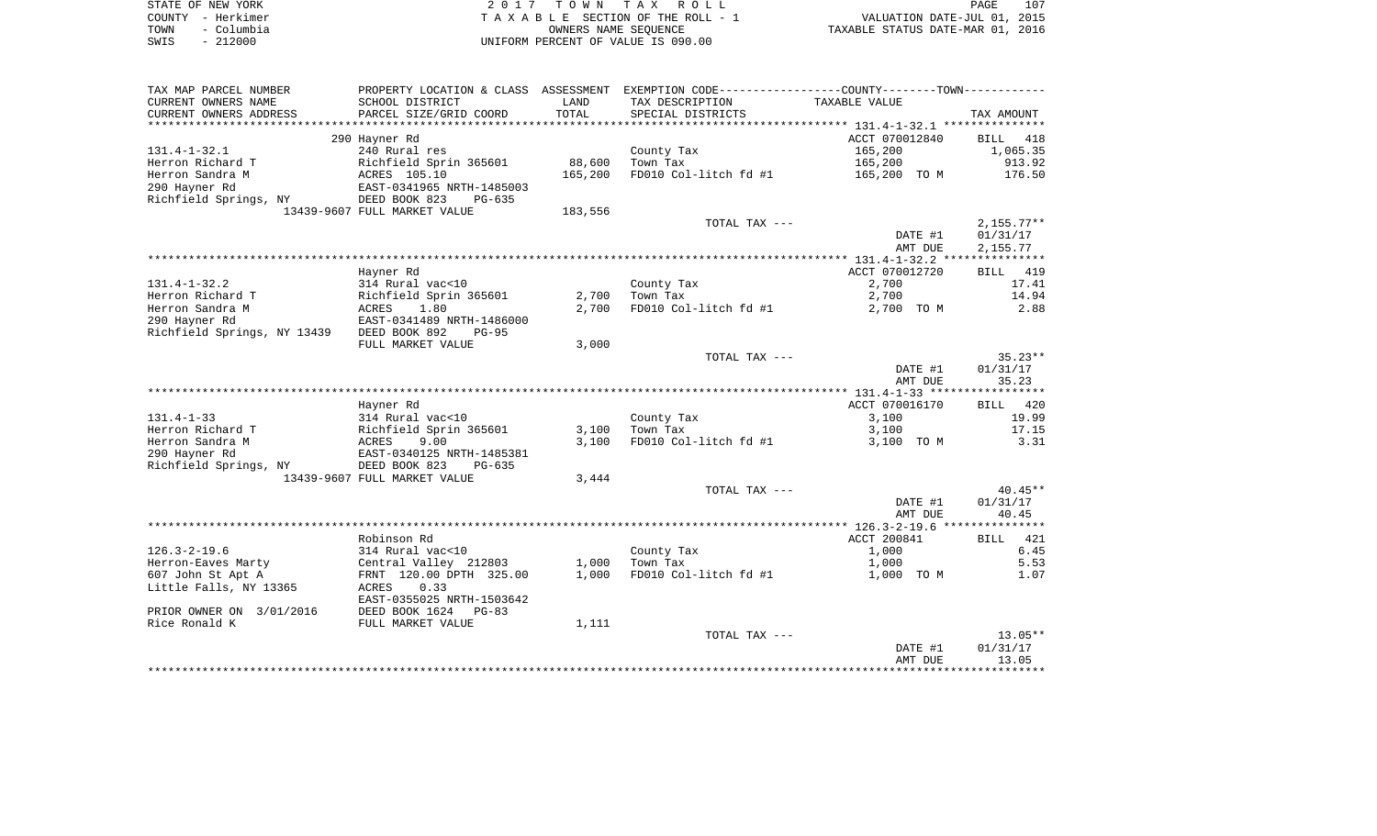| STATE OF NEW YORK  | 2017 TOWN TAX ROLL                 | PAGE                             | 107 |
|--------------------|------------------------------------|----------------------------------|-----|
| COUNTY - Herkimer  | TAXABLE SECTION OF THE ROLL - 1    | VALUATION DATE-JUL 01, 2015      |     |
| - Columbia<br>TOWN | OWNERS NAME SEOUENCE               | TAXABLE STATUS DATE-MAR 01, 2016 |     |
| $-212000$<br>SWIS  | UNIFORM PERCENT OF VALUE IS 090.00 |                                  |     |

| TAX MAP PARCEL NUMBER                   |                                                  |                | PROPERTY LOCATION & CLASS ASSESSMENT EXEMPTION CODE---------------COUNTY-------TOWN---------- |                     |                    |
|-----------------------------------------|--------------------------------------------------|----------------|-----------------------------------------------------------------------------------------------|---------------------|--------------------|
| CURRENT OWNERS NAME                     | SCHOOL DISTRICT                                  | LAND           | TAX DESCRIPTION                                                                               | TAXABLE VALUE       |                    |
| CURRENT OWNERS ADDRESS                  | PARCEL SIZE/GRID COORD                           | TOTAL          | SPECIAL DISTRICTS                                                                             |                     | TAX AMOUNT         |
|                                         |                                                  |                |                                                                                               |                     |                    |
|                                         | 290 Hayner Rd                                    |                |                                                                                               | ACCT 070012840      | <b>BILL</b><br>418 |
| $131.4 - 1 - 32.1$                      | 240 Rural res                                    |                | County Tax                                                                                    | 165,200             | 1,065.35           |
| Herron Richard T                        | Richfield Sprin 365601                           | 88,600         | Town Tax                                                                                      | 165,200             | 913.92             |
| Herron Sandra M                         | ACRES 105.10                                     | 165,200        | FD010 Col-litch fd #1                                                                         | 165,200 TO M        | 176.50             |
| 290 Hayner Rd                           | EAST-0341965 NRTH-1485003                        |                |                                                                                               |                     |                    |
| Richfield Springs, NY                   | DEED BOOK 823<br>$PG-635$                        |                |                                                                                               |                     |                    |
|                                         | 13439-9607 FULL MARKET VALUE                     | 183,556        |                                                                                               |                     |                    |
|                                         |                                                  |                | TOTAL TAX ---                                                                                 |                     | $2,155.77**$       |
|                                         |                                                  |                |                                                                                               | DATE #1             | 01/31/17           |
|                                         |                                                  |                |                                                                                               | AMT DUE             | 2,155.77           |
|                                         |                                                  |                |                                                                                               |                     |                    |
|                                         | Hayner Rd                                        |                |                                                                                               | ACCT 070012720      | BILL 419           |
| $131.4 - 1 - 32.2$                      | 314 Rural vac<10                                 |                | County Tax                                                                                    | 2,700               | 17.41              |
| Herron Richard T<br>Herron Sandra M     | Richfield Sprin 365601<br>1.80                   | 2,700<br>2,700 | Town Tax<br>FD010 Col-litch fd #1                                                             | 2,700               | 14.94              |
| 290 Hayner Rd                           | ACRES<br>EAST-0341489 NRTH-1486000               |                |                                                                                               | 2,700 TO M          | 2.88               |
| Richfield Springs, NY 13439             | DEED BOOK 892<br>$PG-95$                         |                |                                                                                               |                     |                    |
|                                         | FULL MARKET VALUE                                | 3,000          |                                                                                               |                     |                    |
|                                         |                                                  |                | TOTAL TAX ---                                                                                 |                     | $35.23**$          |
|                                         |                                                  |                |                                                                                               | DATE #1             | 01/31/17           |
|                                         |                                                  |                |                                                                                               | AMT DUE             | 35.23              |
|                                         |                                                  |                |                                                                                               |                     |                    |
|                                         | Hayner Rd                                        |                |                                                                                               | ACCT 070016170      | BILL 420           |
| $131.4 - 1 - 33$                        | 314 Rural vac<10                                 |                | County Tax                                                                                    | 3,100               | 19.99              |
| Herron Richard T                        | Richfield Sprin 365601                           | 3,100          | Town Tax                                                                                      | 3,100               | 17.15              |
| Herron Sandra M                         | ACRES<br>9.00                                    | 3,100          | FD010 Col-litch fd #1                                                                         | 3,100 TO M          | 3.31               |
| 290 Hayner Rd                           | EAST-0340125 NRTH-1485381                        |                |                                                                                               |                     |                    |
| Richfield Springs, NY                   | DEED BOOK 823<br>$PG-635$                        |                |                                                                                               |                     |                    |
|                                         | 13439-9607 FULL MARKET VALUE                     | 3,444          |                                                                                               |                     |                    |
|                                         |                                                  |                | TOTAL TAX ---                                                                                 |                     | $40.45**$          |
|                                         |                                                  |                |                                                                                               | DATE #1             | 01/31/17           |
|                                         |                                                  |                |                                                                                               | AMT DUE             | 40.45              |
|                                         |                                                  |                |                                                                                               |                     |                    |
|                                         | Robinson Rd                                      |                |                                                                                               | ACCT 200841         | BILL 421           |
| $126.3 - 2 - 19.6$                      | 314 Rural vac<10                                 | 1,000          | County Tax<br>Town Tax                                                                        | 1,000               | 6.45<br>5.53       |
| Herron-Eaves Marty<br>607 John St Apt A | Central Valley 212803<br>FRNT 120.00 DPTH 325.00 | 1,000          | FD010 Col-litch fd #1                                                                         | 1,000<br>1,000 TO M | 1.07               |
| Little Falls, NY 13365                  | 0.33<br>ACRES                                    |                |                                                                                               |                     |                    |
|                                         | EAST-0355025 NRTH-1503642                        |                |                                                                                               |                     |                    |
| PRIOR OWNER ON 3/01/2016                | DEED BOOK 1624<br>$PG-83$                        |                |                                                                                               |                     |                    |
| Rice Ronald K                           | FULL MARKET VALUE                                | 1,111          |                                                                                               |                     |                    |
|                                         |                                                  |                | TOTAL TAX ---                                                                                 |                     | $13.05**$          |
|                                         |                                                  |                |                                                                                               | DATE #1             | 01/31/17           |
|                                         |                                                  |                |                                                                                               | AMT DUE             | 13.05              |
|                                         |                                                  |                |                                                                                               |                     |                    |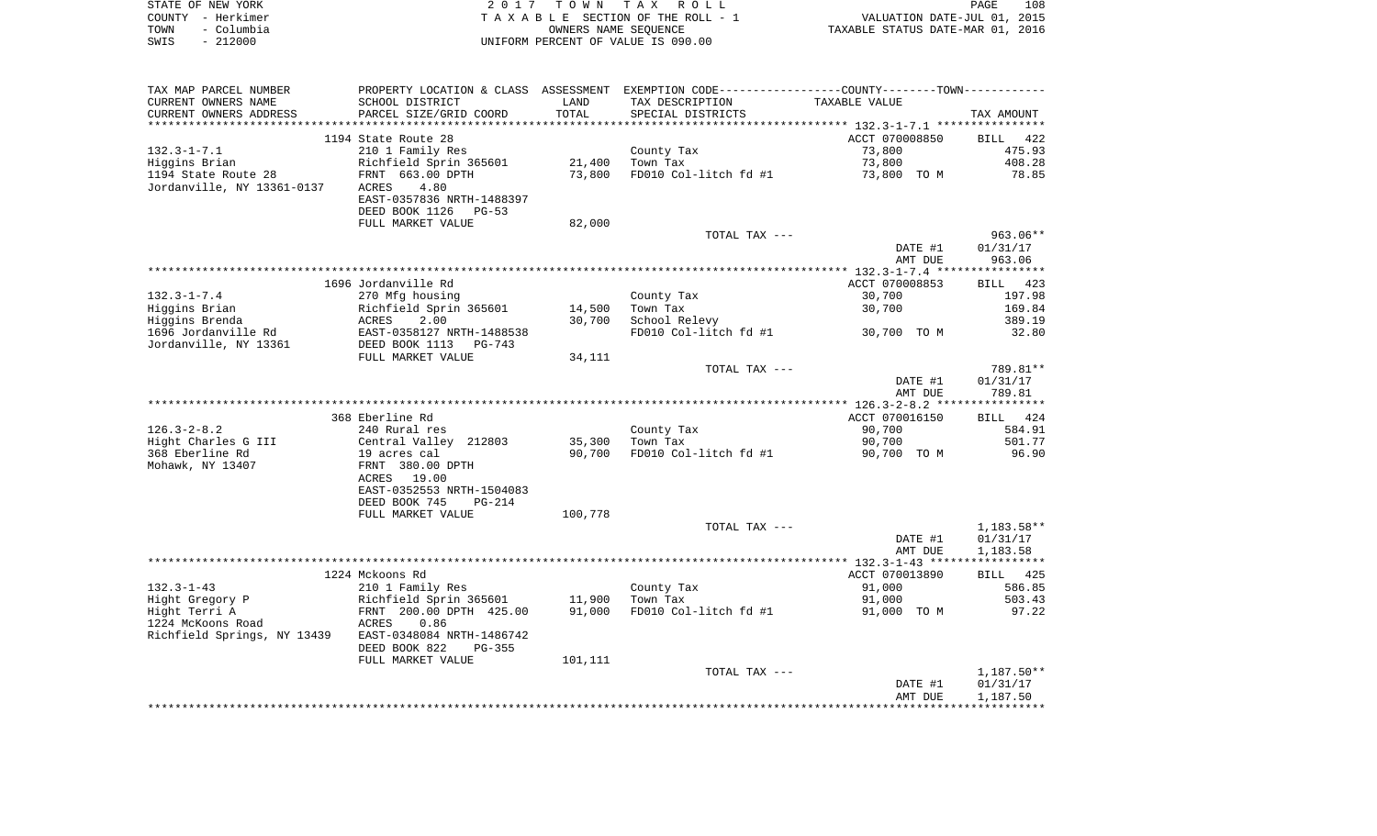|      | STATE OF NEW YORK | 2017 TOWN TAX ROLL                 | PAGE                             | 108 |
|------|-------------------|------------------------------------|----------------------------------|-----|
|      | COUNTY - Herkimer | TAXABLE SECTION OF THE ROLL - 1    | VALUATION DATE-JUL 01, 2015      |     |
| TOWN | - Columbia        | OWNERS NAME SEOUENCE               | TAXABLE STATUS DATE-MAR 01, 2016 |     |
| SWIS | - 212000          | UNIFORM PERCENT OF VALUE IS 090.00 |                                  |     |

| CURRENT OWNERS NAME<br>SCHOOL DISTRICT<br>LAND<br>TAX DESCRIPTION<br>TAXABLE VALUE<br>TOTAL<br>CURRENT OWNERS ADDRESS<br>PARCEL SIZE/GRID COORD<br>SPECIAL DISTRICTS<br>TAX AMOUNT<br>ACCT 070008850<br>1194 State Route 28<br>BILL 422<br>$132.3 - 1 - 7.1$<br>210 1 Family Res<br>County Tax<br>73,800<br>475.93<br>Richfield Sprin 365601<br>Town Tax<br>73,800<br>408.28<br>Higgins Brian<br>21,400<br>FRNT 663.00 DPTH<br>73,800<br>FD010 Col-litch fd #1<br>73,800 TO M<br>78.85<br>1194 State Route 28<br>Jordanville, NY 13361-0137<br>4.80<br>ACRES<br>EAST-0357836 NRTH-1488397<br>DEED BOOK 1126 PG-53<br>FULL MARKET VALUE<br>82,000<br>$963.06**$<br>TOTAL TAX ---<br>DATE #1<br>01/31/17<br>AMT DUE<br>963.06<br>1696 Jordanville Rd<br>ACCT 070008853<br>BILL 423<br>30,700<br>197.98<br>270 Mfg housing<br>County Tax<br>Richfield Sprin 365601<br>169.84<br>Higgins Brian<br>14,500<br>Town Tax<br>30,700<br>2.00<br>30,700<br>School Relevy<br>389.19<br>ACRES<br>30,700 TO M<br>1696 Jordanville Rd<br>FD010 Col-litch fd #1<br>32.80<br>EAST-0358127 NRTH-1488538<br>Jordanville, NY 13361<br>DEED BOOK 1113 PG-743<br>FULL MARKET VALUE<br>34,111<br>789.81**<br>TOTAL TAX ---<br>DATE #1<br>01/31/17<br>AMT DUE<br>789.81<br>368 Eberline Rd<br>ACCT 070016150<br>BILL 424<br>$126.3 - 2 - 8.2$<br>90,700<br>240 Rural res<br>County Tax<br>584.91<br>Hight Charles G III<br>Central Valley 212803<br>35,300<br>Town Tax<br>90,700<br>501.77<br>368 Eberline Rd<br>19 acres cal<br>90,700<br>FD010 Col-litch fd #1<br>90,700 TO M<br>96.90<br>Mohawk, NY 13407<br>FRNT 380.00 DPTH<br>ACRES<br>19.00<br>EAST-0352553 NRTH-1504083<br>DEED BOOK 745<br>$PG-214$<br>100,778<br>FULL MARKET VALUE<br>TOTAL TAX ---<br>$1,183.58**$<br>01/31/17<br>DATE #1<br>AMT DUE<br>1,183.58<br>1224 Mckoons Rd<br>ACCT 070013890<br>BILL 425<br>$132.3 - 1 - 43$<br>210 1 Family Res<br>County Tax<br>91,000<br>586.85<br>Hight Gregory P<br>Richfield Sprin 365601<br>11,900<br>Town Tax<br>91,000<br>503.43<br>Hight Terri A<br>FRNT 200.00 DPTH 425.00<br>91,000<br>FD010 Col-litch fd #1<br>91,000 TO M<br>97.22<br>0.86<br>1224 McKoons Road<br>ACRES<br>Richfield Springs, NY 13439<br>EAST-0348084 NRTH-1486742<br>DEED BOOK 822<br><b>PG-355</b><br>101,111<br>FULL MARKET VALUE<br>$1,187.50**$<br>TOTAL TAX ---<br>DATE #1<br>01/31/17<br>AMT DUE<br>1,187.50 | TAX MAP PARCEL NUMBER | PROPERTY LOCATION & CLASS ASSESSMENT EXEMPTION CODE---------------COUNTY-------TOWN---------- |  |  |
|---------------------------------------------------------------------------------------------------------------------------------------------------------------------------------------------------------------------------------------------------------------------------------------------------------------------------------------------------------------------------------------------------------------------------------------------------------------------------------------------------------------------------------------------------------------------------------------------------------------------------------------------------------------------------------------------------------------------------------------------------------------------------------------------------------------------------------------------------------------------------------------------------------------------------------------------------------------------------------------------------------------------------------------------------------------------------------------------------------------------------------------------------------------------------------------------------------------------------------------------------------------------------------------------------------------------------------------------------------------------------------------------------------------------------------------------------------------------------------------------------------------------------------------------------------------------------------------------------------------------------------------------------------------------------------------------------------------------------------------------------------------------------------------------------------------------------------------------------------------------------------------------------------------------------------------------------------------------------------------------------------------------------------------------------------------------------------------------------------------------------------------------------------------------------------------------------------------------------------------------------------------------------------------------------------------------------------------------------------------------------------|-----------------------|-----------------------------------------------------------------------------------------------|--|--|
|                                                                                                                                                                                                                                                                                                                                                                                                                                                                                                                                                                                                                                                                                                                                                                                                                                                                                                                                                                                                                                                                                                                                                                                                                                                                                                                                                                                                                                                                                                                                                                                                                                                                                                                                                                                                                                                                                                                                                                                                                                                                                                                                                                                                                                                                                                                                                                                 |                       |                                                                                               |  |  |
|                                                                                                                                                                                                                                                                                                                                                                                                                                                                                                                                                                                                                                                                                                                                                                                                                                                                                                                                                                                                                                                                                                                                                                                                                                                                                                                                                                                                                                                                                                                                                                                                                                                                                                                                                                                                                                                                                                                                                                                                                                                                                                                                                                                                                                                                                                                                                                                 |                       |                                                                                               |  |  |
|                                                                                                                                                                                                                                                                                                                                                                                                                                                                                                                                                                                                                                                                                                                                                                                                                                                                                                                                                                                                                                                                                                                                                                                                                                                                                                                                                                                                                                                                                                                                                                                                                                                                                                                                                                                                                                                                                                                                                                                                                                                                                                                                                                                                                                                                                                                                                                                 |                       |                                                                                               |  |  |
|                                                                                                                                                                                                                                                                                                                                                                                                                                                                                                                                                                                                                                                                                                                                                                                                                                                                                                                                                                                                                                                                                                                                                                                                                                                                                                                                                                                                                                                                                                                                                                                                                                                                                                                                                                                                                                                                                                                                                                                                                                                                                                                                                                                                                                                                                                                                                                                 |                       |                                                                                               |  |  |
|                                                                                                                                                                                                                                                                                                                                                                                                                                                                                                                                                                                                                                                                                                                                                                                                                                                                                                                                                                                                                                                                                                                                                                                                                                                                                                                                                                                                                                                                                                                                                                                                                                                                                                                                                                                                                                                                                                                                                                                                                                                                                                                                                                                                                                                                                                                                                                                 |                       |                                                                                               |  |  |
|                                                                                                                                                                                                                                                                                                                                                                                                                                                                                                                                                                                                                                                                                                                                                                                                                                                                                                                                                                                                                                                                                                                                                                                                                                                                                                                                                                                                                                                                                                                                                                                                                                                                                                                                                                                                                                                                                                                                                                                                                                                                                                                                                                                                                                                                                                                                                                                 |                       |                                                                                               |  |  |
|                                                                                                                                                                                                                                                                                                                                                                                                                                                                                                                                                                                                                                                                                                                                                                                                                                                                                                                                                                                                                                                                                                                                                                                                                                                                                                                                                                                                                                                                                                                                                                                                                                                                                                                                                                                                                                                                                                                                                                                                                                                                                                                                                                                                                                                                                                                                                                                 |                       |                                                                                               |  |  |
|                                                                                                                                                                                                                                                                                                                                                                                                                                                                                                                                                                                                                                                                                                                                                                                                                                                                                                                                                                                                                                                                                                                                                                                                                                                                                                                                                                                                                                                                                                                                                                                                                                                                                                                                                                                                                                                                                                                                                                                                                                                                                                                                                                                                                                                                                                                                                                                 |                       |                                                                                               |  |  |
|                                                                                                                                                                                                                                                                                                                                                                                                                                                                                                                                                                                                                                                                                                                                                                                                                                                                                                                                                                                                                                                                                                                                                                                                                                                                                                                                                                                                                                                                                                                                                                                                                                                                                                                                                                                                                                                                                                                                                                                                                                                                                                                                                                                                                                                                                                                                                                                 |                       |                                                                                               |  |  |
|                                                                                                                                                                                                                                                                                                                                                                                                                                                                                                                                                                                                                                                                                                                                                                                                                                                                                                                                                                                                                                                                                                                                                                                                                                                                                                                                                                                                                                                                                                                                                                                                                                                                                                                                                                                                                                                                                                                                                                                                                                                                                                                                                                                                                                                                                                                                                                                 |                       |                                                                                               |  |  |
|                                                                                                                                                                                                                                                                                                                                                                                                                                                                                                                                                                                                                                                                                                                                                                                                                                                                                                                                                                                                                                                                                                                                                                                                                                                                                                                                                                                                                                                                                                                                                                                                                                                                                                                                                                                                                                                                                                                                                                                                                                                                                                                                                                                                                                                                                                                                                                                 |                       |                                                                                               |  |  |
|                                                                                                                                                                                                                                                                                                                                                                                                                                                                                                                                                                                                                                                                                                                                                                                                                                                                                                                                                                                                                                                                                                                                                                                                                                                                                                                                                                                                                                                                                                                                                                                                                                                                                                                                                                                                                                                                                                                                                                                                                                                                                                                                                                                                                                                                                                                                                                                 |                       |                                                                                               |  |  |
|                                                                                                                                                                                                                                                                                                                                                                                                                                                                                                                                                                                                                                                                                                                                                                                                                                                                                                                                                                                                                                                                                                                                                                                                                                                                                                                                                                                                                                                                                                                                                                                                                                                                                                                                                                                                                                                                                                                                                                                                                                                                                                                                                                                                                                                                                                                                                                                 |                       |                                                                                               |  |  |
|                                                                                                                                                                                                                                                                                                                                                                                                                                                                                                                                                                                                                                                                                                                                                                                                                                                                                                                                                                                                                                                                                                                                                                                                                                                                                                                                                                                                                                                                                                                                                                                                                                                                                                                                                                                                                                                                                                                                                                                                                                                                                                                                                                                                                                                                                                                                                                                 |                       |                                                                                               |  |  |
|                                                                                                                                                                                                                                                                                                                                                                                                                                                                                                                                                                                                                                                                                                                                                                                                                                                                                                                                                                                                                                                                                                                                                                                                                                                                                                                                                                                                                                                                                                                                                                                                                                                                                                                                                                                                                                                                                                                                                                                                                                                                                                                                                                                                                                                                                                                                                                                 |                       |                                                                                               |  |  |
|                                                                                                                                                                                                                                                                                                                                                                                                                                                                                                                                                                                                                                                                                                                                                                                                                                                                                                                                                                                                                                                                                                                                                                                                                                                                                                                                                                                                                                                                                                                                                                                                                                                                                                                                                                                                                                                                                                                                                                                                                                                                                                                                                                                                                                                                                                                                                                                 |                       |                                                                                               |  |  |
|                                                                                                                                                                                                                                                                                                                                                                                                                                                                                                                                                                                                                                                                                                                                                                                                                                                                                                                                                                                                                                                                                                                                                                                                                                                                                                                                                                                                                                                                                                                                                                                                                                                                                                                                                                                                                                                                                                                                                                                                                                                                                                                                                                                                                                                                                                                                                                                 |                       |                                                                                               |  |  |
|                                                                                                                                                                                                                                                                                                                                                                                                                                                                                                                                                                                                                                                                                                                                                                                                                                                                                                                                                                                                                                                                                                                                                                                                                                                                                                                                                                                                                                                                                                                                                                                                                                                                                                                                                                                                                                                                                                                                                                                                                                                                                                                                                                                                                                                                                                                                                                                 | $132.3 - 1 - 7.4$     |                                                                                               |  |  |
|                                                                                                                                                                                                                                                                                                                                                                                                                                                                                                                                                                                                                                                                                                                                                                                                                                                                                                                                                                                                                                                                                                                                                                                                                                                                                                                                                                                                                                                                                                                                                                                                                                                                                                                                                                                                                                                                                                                                                                                                                                                                                                                                                                                                                                                                                                                                                                                 |                       |                                                                                               |  |  |
|                                                                                                                                                                                                                                                                                                                                                                                                                                                                                                                                                                                                                                                                                                                                                                                                                                                                                                                                                                                                                                                                                                                                                                                                                                                                                                                                                                                                                                                                                                                                                                                                                                                                                                                                                                                                                                                                                                                                                                                                                                                                                                                                                                                                                                                                                                                                                                                 | Higgins Brenda        |                                                                                               |  |  |
|                                                                                                                                                                                                                                                                                                                                                                                                                                                                                                                                                                                                                                                                                                                                                                                                                                                                                                                                                                                                                                                                                                                                                                                                                                                                                                                                                                                                                                                                                                                                                                                                                                                                                                                                                                                                                                                                                                                                                                                                                                                                                                                                                                                                                                                                                                                                                                                 |                       |                                                                                               |  |  |
|                                                                                                                                                                                                                                                                                                                                                                                                                                                                                                                                                                                                                                                                                                                                                                                                                                                                                                                                                                                                                                                                                                                                                                                                                                                                                                                                                                                                                                                                                                                                                                                                                                                                                                                                                                                                                                                                                                                                                                                                                                                                                                                                                                                                                                                                                                                                                                                 |                       |                                                                                               |  |  |
|                                                                                                                                                                                                                                                                                                                                                                                                                                                                                                                                                                                                                                                                                                                                                                                                                                                                                                                                                                                                                                                                                                                                                                                                                                                                                                                                                                                                                                                                                                                                                                                                                                                                                                                                                                                                                                                                                                                                                                                                                                                                                                                                                                                                                                                                                                                                                                                 |                       |                                                                                               |  |  |
|                                                                                                                                                                                                                                                                                                                                                                                                                                                                                                                                                                                                                                                                                                                                                                                                                                                                                                                                                                                                                                                                                                                                                                                                                                                                                                                                                                                                                                                                                                                                                                                                                                                                                                                                                                                                                                                                                                                                                                                                                                                                                                                                                                                                                                                                                                                                                                                 |                       |                                                                                               |  |  |
|                                                                                                                                                                                                                                                                                                                                                                                                                                                                                                                                                                                                                                                                                                                                                                                                                                                                                                                                                                                                                                                                                                                                                                                                                                                                                                                                                                                                                                                                                                                                                                                                                                                                                                                                                                                                                                                                                                                                                                                                                                                                                                                                                                                                                                                                                                                                                                                 |                       |                                                                                               |  |  |
|                                                                                                                                                                                                                                                                                                                                                                                                                                                                                                                                                                                                                                                                                                                                                                                                                                                                                                                                                                                                                                                                                                                                                                                                                                                                                                                                                                                                                                                                                                                                                                                                                                                                                                                                                                                                                                                                                                                                                                                                                                                                                                                                                                                                                                                                                                                                                                                 |                       |                                                                                               |  |  |
|                                                                                                                                                                                                                                                                                                                                                                                                                                                                                                                                                                                                                                                                                                                                                                                                                                                                                                                                                                                                                                                                                                                                                                                                                                                                                                                                                                                                                                                                                                                                                                                                                                                                                                                                                                                                                                                                                                                                                                                                                                                                                                                                                                                                                                                                                                                                                                                 |                       |                                                                                               |  |  |
|                                                                                                                                                                                                                                                                                                                                                                                                                                                                                                                                                                                                                                                                                                                                                                                                                                                                                                                                                                                                                                                                                                                                                                                                                                                                                                                                                                                                                                                                                                                                                                                                                                                                                                                                                                                                                                                                                                                                                                                                                                                                                                                                                                                                                                                                                                                                                                                 |                       |                                                                                               |  |  |
|                                                                                                                                                                                                                                                                                                                                                                                                                                                                                                                                                                                                                                                                                                                                                                                                                                                                                                                                                                                                                                                                                                                                                                                                                                                                                                                                                                                                                                                                                                                                                                                                                                                                                                                                                                                                                                                                                                                                                                                                                                                                                                                                                                                                                                                                                                                                                                                 |                       |                                                                                               |  |  |
|                                                                                                                                                                                                                                                                                                                                                                                                                                                                                                                                                                                                                                                                                                                                                                                                                                                                                                                                                                                                                                                                                                                                                                                                                                                                                                                                                                                                                                                                                                                                                                                                                                                                                                                                                                                                                                                                                                                                                                                                                                                                                                                                                                                                                                                                                                                                                                                 |                       |                                                                                               |  |  |
|                                                                                                                                                                                                                                                                                                                                                                                                                                                                                                                                                                                                                                                                                                                                                                                                                                                                                                                                                                                                                                                                                                                                                                                                                                                                                                                                                                                                                                                                                                                                                                                                                                                                                                                                                                                                                                                                                                                                                                                                                                                                                                                                                                                                                                                                                                                                                                                 |                       |                                                                                               |  |  |
|                                                                                                                                                                                                                                                                                                                                                                                                                                                                                                                                                                                                                                                                                                                                                                                                                                                                                                                                                                                                                                                                                                                                                                                                                                                                                                                                                                                                                                                                                                                                                                                                                                                                                                                                                                                                                                                                                                                                                                                                                                                                                                                                                                                                                                                                                                                                                                                 |                       |                                                                                               |  |  |
|                                                                                                                                                                                                                                                                                                                                                                                                                                                                                                                                                                                                                                                                                                                                                                                                                                                                                                                                                                                                                                                                                                                                                                                                                                                                                                                                                                                                                                                                                                                                                                                                                                                                                                                                                                                                                                                                                                                                                                                                                                                                                                                                                                                                                                                                                                                                                                                 |                       |                                                                                               |  |  |
|                                                                                                                                                                                                                                                                                                                                                                                                                                                                                                                                                                                                                                                                                                                                                                                                                                                                                                                                                                                                                                                                                                                                                                                                                                                                                                                                                                                                                                                                                                                                                                                                                                                                                                                                                                                                                                                                                                                                                                                                                                                                                                                                                                                                                                                                                                                                                                                 |                       |                                                                                               |  |  |
|                                                                                                                                                                                                                                                                                                                                                                                                                                                                                                                                                                                                                                                                                                                                                                                                                                                                                                                                                                                                                                                                                                                                                                                                                                                                                                                                                                                                                                                                                                                                                                                                                                                                                                                                                                                                                                                                                                                                                                                                                                                                                                                                                                                                                                                                                                                                                                                 |                       |                                                                                               |  |  |
|                                                                                                                                                                                                                                                                                                                                                                                                                                                                                                                                                                                                                                                                                                                                                                                                                                                                                                                                                                                                                                                                                                                                                                                                                                                                                                                                                                                                                                                                                                                                                                                                                                                                                                                                                                                                                                                                                                                                                                                                                                                                                                                                                                                                                                                                                                                                                                                 |                       |                                                                                               |  |  |
|                                                                                                                                                                                                                                                                                                                                                                                                                                                                                                                                                                                                                                                                                                                                                                                                                                                                                                                                                                                                                                                                                                                                                                                                                                                                                                                                                                                                                                                                                                                                                                                                                                                                                                                                                                                                                                                                                                                                                                                                                                                                                                                                                                                                                                                                                                                                                                                 |                       |                                                                                               |  |  |
|                                                                                                                                                                                                                                                                                                                                                                                                                                                                                                                                                                                                                                                                                                                                                                                                                                                                                                                                                                                                                                                                                                                                                                                                                                                                                                                                                                                                                                                                                                                                                                                                                                                                                                                                                                                                                                                                                                                                                                                                                                                                                                                                                                                                                                                                                                                                                                                 |                       |                                                                                               |  |  |
|                                                                                                                                                                                                                                                                                                                                                                                                                                                                                                                                                                                                                                                                                                                                                                                                                                                                                                                                                                                                                                                                                                                                                                                                                                                                                                                                                                                                                                                                                                                                                                                                                                                                                                                                                                                                                                                                                                                                                                                                                                                                                                                                                                                                                                                                                                                                                                                 |                       |                                                                                               |  |  |
|                                                                                                                                                                                                                                                                                                                                                                                                                                                                                                                                                                                                                                                                                                                                                                                                                                                                                                                                                                                                                                                                                                                                                                                                                                                                                                                                                                                                                                                                                                                                                                                                                                                                                                                                                                                                                                                                                                                                                                                                                                                                                                                                                                                                                                                                                                                                                                                 |                       |                                                                                               |  |  |
|                                                                                                                                                                                                                                                                                                                                                                                                                                                                                                                                                                                                                                                                                                                                                                                                                                                                                                                                                                                                                                                                                                                                                                                                                                                                                                                                                                                                                                                                                                                                                                                                                                                                                                                                                                                                                                                                                                                                                                                                                                                                                                                                                                                                                                                                                                                                                                                 |                       |                                                                                               |  |  |
|                                                                                                                                                                                                                                                                                                                                                                                                                                                                                                                                                                                                                                                                                                                                                                                                                                                                                                                                                                                                                                                                                                                                                                                                                                                                                                                                                                                                                                                                                                                                                                                                                                                                                                                                                                                                                                                                                                                                                                                                                                                                                                                                                                                                                                                                                                                                                                                 |                       |                                                                                               |  |  |
|                                                                                                                                                                                                                                                                                                                                                                                                                                                                                                                                                                                                                                                                                                                                                                                                                                                                                                                                                                                                                                                                                                                                                                                                                                                                                                                                                                                                                                                                                                                                                                                                                                                                                                                                                                                                                                                                                                                                                                                                                                                                                                                                                                                                                                                                                                                                                                                 |                       |                                                                                               |  |  |
|                                                                                                                                                                                                                                                                                                                                                                                                                                                                                                                                                                                                                                                                                                                                                                                                                                                                                                                                                                                                                                                                                                                                                                                                                                                                                                                                                                                                                                                                                                                                                                                                                                                                                                                                                                                                                                                                                                                                                                                                                                                                                                                                                                                                                                                                                                                                                                                 |                       |                                                                                               |  |  |
|                                                                                                                                                                                                                                                                                                                                                                                                                                                                                                                                                                                                                                                                                                                                                                                                                                                                                                                                                                                                                                                                                                                                                                                                                                                                                                                                                                                                                                                                                                                                                                                                                                                                                                                                                                                                                                                                                                                                                                                                                                                                                                                                                                                                                                                                                                                                                                                 |                       |                                                                                               |  |  |
|                                                                                                                                                                                                                                                                                                                                                                                                                                                                                                                                                                                                                                                                                                                                                                                                                                                                                                                                                                                                                                                                                                                                                                                                                                                                                                                                                                                                                                                                                                                                                                                                                                                                                                                                                                                                                                                                                                                                                                                                                                                                                                                                                                                                                                                                                                                                                                                 |                       |                                                                                               |  |  |
|                                                                                                                                                                                                                                                                                                                                                                                                                                                                                                                                                                                                                                                                                                                                                                                                                                                                                                                                                                                                                                                                                                                                                                                                                                                                                                                                                                                                                                                                                                                                                                                                                                                                                                                                                                                                                                                                                                                                                                                                                                                                                                                                                                                                                                                                                                                                                                                 |                       |                                                                                               |  |  |
|                                                                                                                                                                                                                                                                                                                                                                                                                                                                                                                                                                                                                                                                                                                                                                                                                                                                                                                                                                                                                                                                                                                                                                                                                                                                                                                                                                                                                                                                                                                                                                                                                                                                                                                                                                                                                                                                                                                                                                                                                                                                                                                                                                                                                                                                                                                                                                                 |                       |                                                                                               |  |  |
|                                                                                                                                                                                                                                                                                                                                                                                                                                                                                                                                                                                                                                                                                                                                                                                                                                                                                                                                                                                                                                                                                                                                                                                                                                                                                                                                                                                                                                                                                                                                                                                                                                                                                                                                                                                                                                                                                                                                                                                                                                                                                                                                                                                                                                                                                                                                                                                 |                       |                                                                                               |  |  |
|                                                                                                                                                                                                                                                                                                                                                                                                                                                                                                                                                                                                                                                                                                                                                                                                                                                                                                                                                                                                                                                                                                                                                                                                                                                                                                                                                                                                                                                                                                                                                                                                                                                                                                                                                                                                                                                                                                                                                                                                                                                                                                                                                                                                                                                                                                                                                                                 |                       |                                                                                               |  |  |
|                                                                                                                                                                                                                                                                                                                                                                                                                                                                                                                                                                                                                                                                                                                                                                                                                                                                                                                                                                                                                                                                                                                                                                                                                                                                                                                                                                                                                                                                                                                                                                                                                                                                                                                                                                                                                                                                                                                                                                                                                                                                                                                                                                                                                                                                                                                                                                                 |                       |                                                                                               |  |  |
|                                                                                                                                                                                                                                                                                                                                                                                                                                                                                                                                                                                                                                                                                                                                                                                                                                                                                                                                                                                                                                                                                                                                                                                                                                                                                                                                                                                                                                                                                                                                                                                                                                                                                                                                                                                                                                                                                                                                                                                                                                                                                                                                                                                                                                                                                                                                                                                 |                       |                                                                                               |  |  |
|                                                                                                                                                                                                                                                                                                                                                                                                                                                                                                                                                                                                                                                                                                                                                                                                                                                                                                                                                                                                                                                                                                                                                                                                                                                                                                                                                                                                                                                                                                                                                                                                                                                                                                                                                                                                                                                                                                                                                                                                                                                                                                                                                                                                                                                                                                                                                                                 |                       |                                                                                               |  |  |
|                                                                                                                                                                                                                                                                                                                                                                                                                                                                                                                                                                                                                                                                                                                                                                                                                                                                                                                                                                                                                                                                                                                                                                                                                                                                                                                                                                                                                                                                                                                                                                                                                                                                                                                                                                                                                                                                                                                                                                                                                                                                                                                                                                                                                                                                                                                                                                                 |                       |                                                                                               |  |  |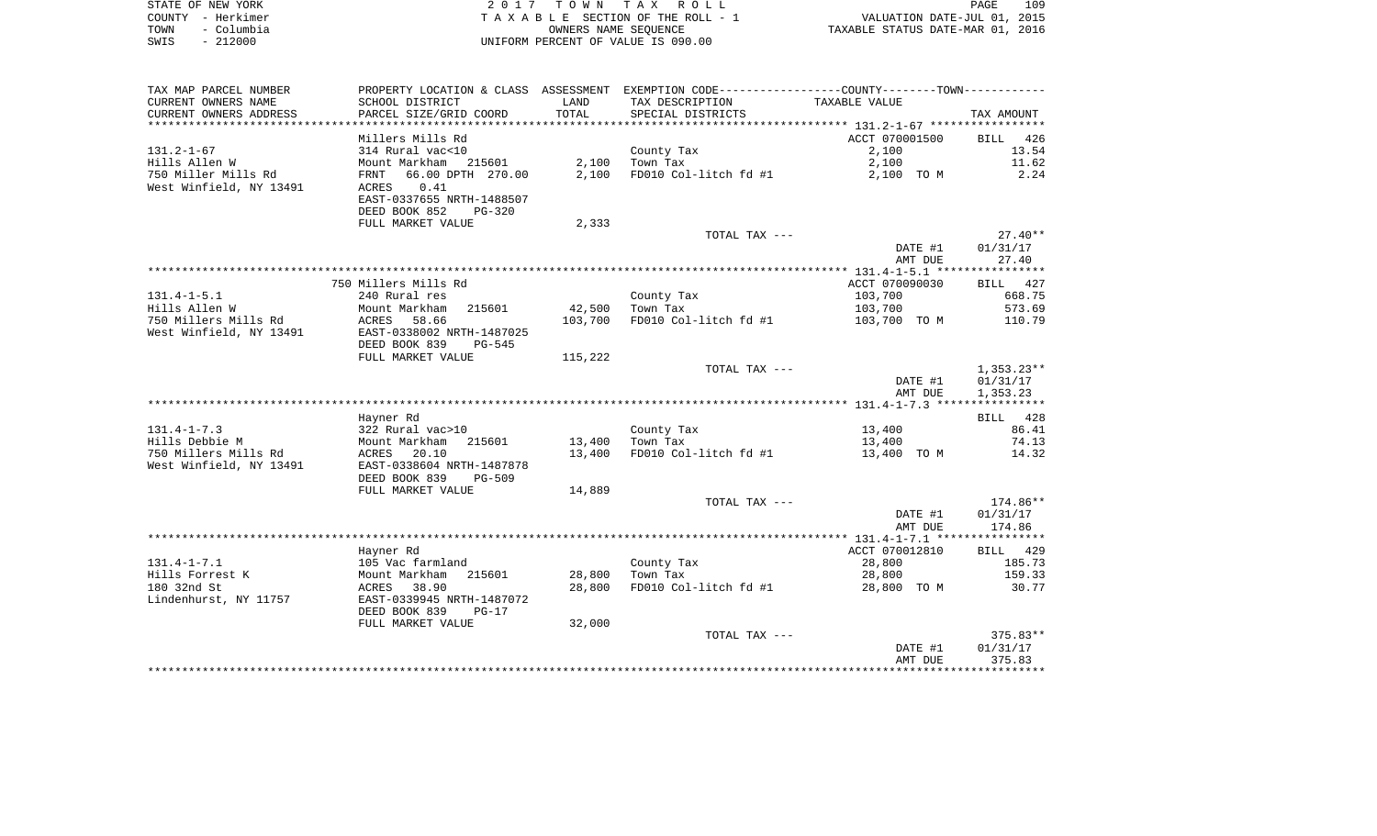| STATE OF NEW YORK  | 2017 TOWN TAX ROLL                 | PAGE                             | 109 |
|--------------------|------------------------------------|----------------------------------|-----|
| COUNTY – Herkimer  | TAXABLE SECTION OF THE ROLL - 1    | VALUATION DATE-JUL 01, 2015      |     |
| – Columbia<br>TOWN | OWNERS NAME SEOUENCE               | TAXABLE STATUS DATE-MAR 01, 2016 |     |
| $-212000$<br>SWIS  | UNIFORM PERCENT OF VALUE IS 090.00 |                                  |     |

| TAX MAP PARCEL NUMBER   |                           |         | PROPERTY LOCATION & CLASS ASSESSMENT EXEMPTION CODE----------------COUNTY--------TOWN---------- |                |              |
|-------------------------|---------------------------|---------|-------------------------------------------------------------------------------------------------|----------------|--------------|
| CURRENT OWNERS NAME     | SCHOOL DISTRICT           | LAND    | TAX DESCRIPTION                                                                                 | TAXABLE VALUE  |              |
| CURRENT OWNERS ADDRESS  | PARCEL SIZE/GRID COORD    | TOTAL   | SPECIAL DISTRICTS                                                                               |                | TAX AMOUNT   |
|                         |                           |         |                                                                                                 |                |              |
|                         | Millers Mills Rd          |         |                                                                                                 | ACCT 070001500 | 426<br>BILL  |
| $131.2 - 1 - 67$        | 314 Rural vac<10          |         | County Tax                                                                                      | 2,100          | 13.54        |
| Hills Allen W           | Mount Markham 215601      | 2,100   | Town Tax                                                                                        | 2,100          | 11.62        |
| 750 Miller Mills Rd     | 66.00 DPTH 270.00<br>FRNT | 2,100   | FD010 Col-litch fd #1                                                                           | 2,100 TO M     | 2.24         |
| West Winfield, NY 13491 | ACRES<br>0.41             |         |                                                                                                 |                |              |
|                         | EAST-0337655 NRTH-1488507 |         |                                                                                                 |                |              |
|                         | DEED BOOK 852<br>PG-320   |         |                                                                                                 |                |              |
|                         | FULL MARKET VALUE         | 2,333   |                                                                                                 |                |              |
|                         |                           |         | TOTAL TAX ---                                                                                   |                | $27.40**$    |
|                         |                           |         |                                                                                                 | DATE #1        | 01/31/17     |
|                         |                           |         |                                                                                                 | AMT DUE        | 27.40        |
|                         | 750 Millers Mills Rd      |         |                                                                                                 | ACCT 070090030 | BILL 427     |
| $131.4 - 1 - 5.1$       | 240 Rural res             |         | County Tax                                                                                      | 103,700        | 668.75       |
| Hills Allen W           | Mount Markham<br>215601   | 42,500  | Town Tax                                                                                        | 103,700        | 573.69       |
| 750 Millers Mills Rd    | ACRES<br>58.66            | 103,700 | FD010 Col-litch fd #1                                                                           | 103,700 TO M   | 110.79       |
| West Winfield, NY 13491 | EAST-0338002 NRTH-1487025 |         |                                                                                                 |                |              |
|                         | DEED BOOK 839<br>PG-545   |         |                                                                                                 |                |              |
|                         | FULL MARKET VALUE         | 115,222 |                                                                                                 |                |              |
|                         |                           |         | TOTAL TAX ---                                                                                   |                | $1,353.23**$ |
|                         |                           |         |                                                                                                 | DATE #1        | 01/31/17     |
|                         |                           |         |                                                                                                 | AMT DUE        | 1,353.23     |
|                         |                           |         |                                                                                                 |                |              |
|                         | Hayner Rd                 |         |                                                                                                 |                | BILL 428     |
| $131.4 - 1 - 7.3$       | 322 Rural vac>10          |         | County Tax                                                                                      | 13,400         | 86.41        |
| Hills Debbie M          | Mount Markham<br>215601   | 13,400  | Town Tax                                                                                        | 13,400         | 74.13        |
| 750 Millers Mills Rd    | ACRES<br>20.10            | 13,400  | FD010 Col-litch fd #1                                                                           | 13,400 TO M    | 14.32        |
| West Winfield, NY 13491 | EAST-0338604 NRTH-1487878 |         |                                                                                                 |                |              |
|                         | DEED BOOK 839<br>$PG-509$ |         |                                                                                                 |                |              |
|                         | FULL MARKET VALUE         | 14,889  |                                                                                                 |                |              |
|                         |                           |         | TOTAL TAX ---                                                                                   |                | 174.86**     |
|                         |                           |         |                                                                                                 | DATE #1        | 01/31/17     |
|                         |                           |         |                                                                                                 | AMT DUE        | 174.86       |
|                         | Hayner Rd                 |         |                                                                                                 | ACCT 070012810 | BILL 429     |
| $131.4 - 1 - 7.1$       | 105 Vac farmland          |         | County Tax                                                                                      | 28,800         | 185.73       |
| Hills Forrest K         | Mount Markham<br>215601   | 28,800  | Town Tax                                                                                        | 28,800         | 159.33       |
| 180 32nd St             | 38.90<br>ACRES            | 28,800  | FD010 Col-litch fd #1                                                                           | 28,800 TO M    | 30.77        |
| Lindenhurst, NY 11757   | EAST-0339945 NRTH-1487072 |         |                                                                                                 |                |              |
|                         | DEED BOOK 839<br>$PG-17$  |         |                                                                                                 |                |              |
|                         | FULL MARKET VALUE         | 32,000  |                                                                                                 |                |              |
|                         |                           |         | TOTAL TAX ---                                                                                   |                | $375.83**$   |
|                         |                           |         |                                                                                                 | DATE #1        | 01/31/17     |
|                         |                           |         |                                                                                                 | AMT DUE        | 375.83       |
|                         |                           |         |                                                                                                 |                |              |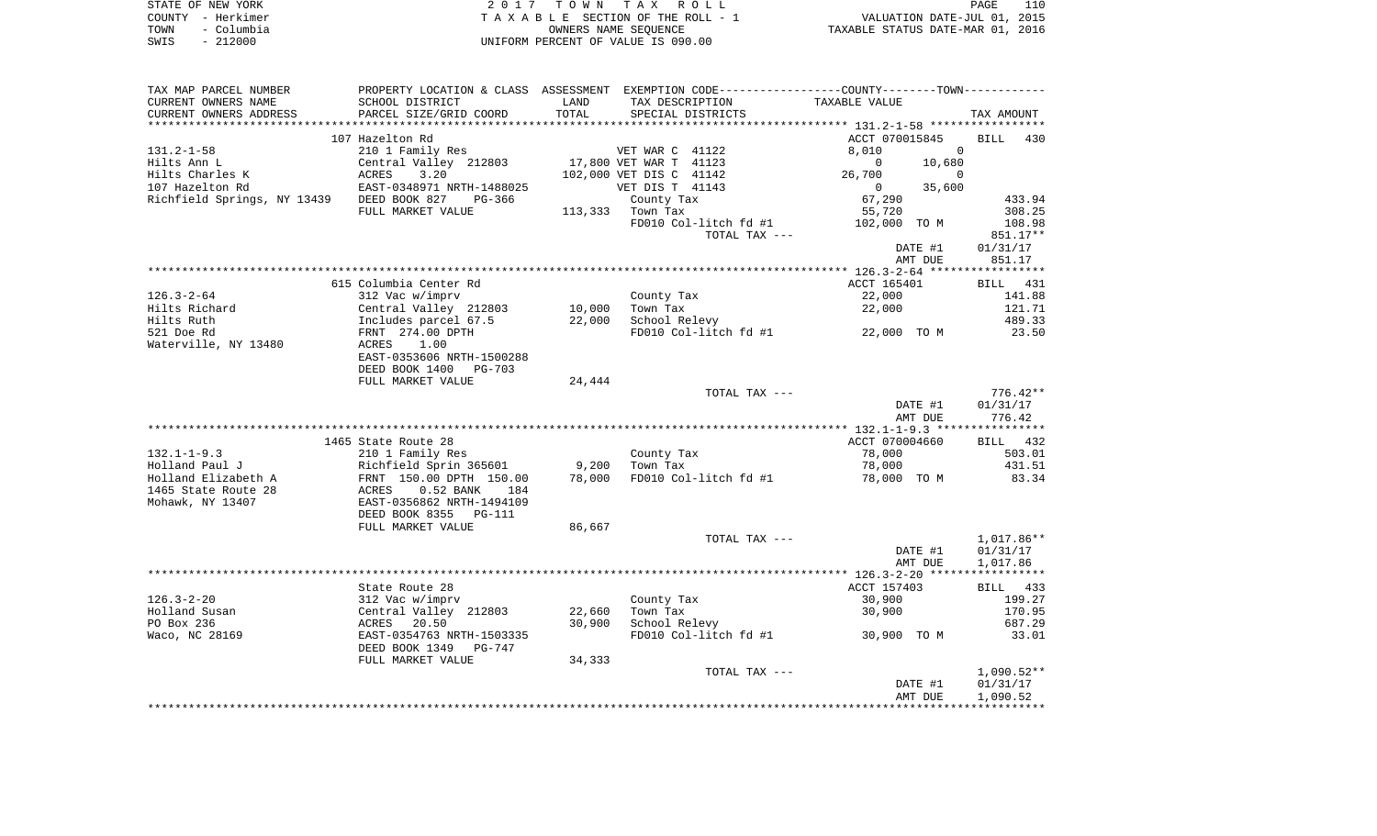| STATE OF NEW YORK  | 2017 TOWN TAX ROLL                 | 11 O<br>PAGE                     |
|--------------------|------------------------------------|----------------------------------|
| COUNTY – Herkimer  | TAXABLE SECTION OF THE ROLL - 1    | VALUATION DATE-JUL 01, 2015      |
| – Columbia<br>TOWN | OWNERS NAME SEOUENCE               | TAXABLE STATUS DATE-MAR 01, 2016 |
| $-212000$<br>SWIS  | UNIFORM PERCENT OF VALUE IS 090.00 |                                  |

| TAX MAP PARCEL NUMBER       | PROPERTY LOCATION & CLASS ASSESSMENT EXEMPTION CODE----------------COUNTY--------TOWN----------- |        |                         |                       |                |          |                    |
|-----------------------------|--------------------------------------------------------------------------------------------------|--------|-------------------------|-----------------------|----------------|----------|--------------------|
| CURRENT OWNERS NAME         | SCHOOL DISTRICT                                                                                  | LAND   | TAX DESCRIPTION         |                       | TAXABLE VALUE  |          |                    |
| CURRENT OWNERS ADDRESS      | PARCEL SIZE/GRID COORD                                                                           | TOTAL  | SPECIAL DISTRICTS       |                       |                |          | TAX AMOUNT         |
|                             |                                                                                                  |        |                         |                       |                |          |                    |
|                             | 107 Hazelton Rd                                                                                  |        |                         |                       | ACCT 070015845 |          | <b>BILL</b><br>430 |
| $131.2 - 1 - 58$            | 210 1 Family Res                                                                                 |        | VET WAR C 41122         |                       | 8,010          | $\Omega$ |                    |
| Hilts Ann L                 | Central Valley 212803                                                                            |        | 17,800 VET WAR T 41123  |                       | $\overline{0}$ | 10,680   |                    |
| Hilts Charles K             | ACRES<br>3.20                                                                                    |        | 102,000 VET DIS C 41142 |                       | 26,700         | 0        |                    |
| 107 Hazelton Rd             | EAST-0348971 NRTH-1488025                                                                        |        | VET DIS T 41143         |                       | $\overline{0}$ | 35,600   |                    |
| Richfield Springs, NY 13439 | DEED BOOK 827<br>PG-366                                                                          |        | County Tax              |                       | 67,290         |          | 433.94             |
|                             | FULL MARKET VALUE                                                                                |        | 113,333 Town Tax        |                       | 55,720         |          | 308.25             |
|                             |                                                                                                  |        |                         | FD010 Col-litch fd #1 | 102,000 TO M   |          | 108.98             |
|                             |                                                                                                  |        |                         | TOTAL TAX ---         |                |          | 851.17**           |
|                             |                                                                                                  |        |                         |                       |                | DATE #1  | 01/31/17           |
|                             |                                                                                                  |        |                         |                       |                | AMT DUE  | 851.17             |
|                             |                                                                                                  |        |                         |                       |                |          |                    |
|                             | 615 Columbia Center Rd                                                                           |        |                         |                       | ACCT 165401    |          | 431<br>BILL        |
| $126.3 - 2 - 64$            | 312 Vac w/imprv                                                                                  |        | County Tax              |                       | 22,000         |          | 141.88             |
| Hilts Richard               | Central Valley 212803                                                                            | 10,000 | Town Tax                |                       | 22,000         |          | 121.71             |
| Hilts Ruth                  | Includes parcel 67.5                                                                             | 22,000 | School Relevy           |                       |                |          | 489.33             |
| 521 Doe Rd                  | FRNT 274.00 DPTH                                                                                 |        |                         | FD010 Col-litch fd #1 | 22,000 TO M    |          | 23.50              |
| Waterville, NY 13480        | ACRES<br>1.00                                                                                    |        |                         |                       |                |          |                    |
|                             | EAST-0353606 NRTH-1500288                                                                        |        |                         |                       |                |          |                    |
|                             | DEED BOOK 1400<br><b>PG-703</b>                                                                  |        |                         |                       |                |          |                    |
|                             | FULL MARKET VALUE                                                                                | 24,444 |                         |                       |                |          |                    |
|                             |                                                                                                  |        |                         | TOTAL TAX ---         |                |          | $776.42**$         |
|                             |                                                                                                  |        |                         |                       |                | DATE #1  | 01/31/17           |
|                             |                                                                                                  |        |                         |                       |                | AMT DUE  | 776.42             |
|                             |                                                                                                  |        |                         |                       |                |          |                    |
|                             | 1465 State Route 28                                                                              |        |                         |                       | ACCT 070004660 |          | BILL 432           |
| $132.1 - 1 - 9.3$           | 210 1 Family Res                                                                                 |        | County Tax              |                       | 78,000         |          | 503.01             |
| Holland Paul J              | Richfield Sprin 365601                                                                           | 9,200  | Town Tax                |                       | 78,000         |          | 431.51             |
| Holland Elizabeth A         | FRNT 150.00 DPTH 150.00                                                                          | 78,000 |                         | FD010 Col-litch fd #1 | 78,000 TO M    |          | 83.34              |
| 1465 State Route 28         | 0.52 BANK<br>ACRES<br>184                                                                        |        |                         |                       |                |          |                    |
| Mohawk, NY 13407            | EAST-0356862 NRTH-1494109                                                                        |        |                         |                       |                |          |                    |
|                             | DEED BOOK 8355 PG-111                                                                            |        |                         |                       |                |          |                    |
|                             | FULL MARKET VALUE                                                                                | 86,667 |                         |                       |                |          |                    |
|                             |                                                                                                  |        |                         | TOTAL TAX ---         |                |          | 1,017.86**         |
|                             |                                                                                                  |        |                         |                       |                | DATE #1  | 01/31/17           |
|                             |                                                                                                  |        |                         |                       |                | AMT DUE  | 1,017.86           |
|                             |                                                                                                  |        |                         |                       |                |          |                    |
|                             | State Route 28                                                                                   |        |                         |                       | ACCT 157403    |          | 433<br>BILL        |
| $126.3 - 2 - 20$            | 312 Vac w/imprv                                                                                  |        | County Tax              |                       | 30,900         |          | 199.27             |
| Holland Susan               | Central Valley 212803                                                                            | 22,660 | Town Tax                |                       | 30,900         |          | 170.95             |
| PO Box 236                  | 20.50<br>ACRES                                                                                   | 30,900 | School Relevy           |                       |                |          | 687.29             |
| Waco, NC 28169              | EAST-0354763 NRTH-1503335                                                                        |        |                         | FD010 Col-litch fd #1 | 30,900 TO M    |          | 33.01              |
|                             | DEED BOOK 1349<br>PG-747                                                                         |        |                         |                       |                |          |                    |
|                             | FULL MARKET VALUE                                                                                | 34,333 |                         |                       |                |          |                    |
|                             |                                                                                                  |        |                         | TOTAL TAX ---         |                |          | $1,090.52**$       |
|                             |                                                                                                  |        |                         |                       |                | DATE #1  | 01/31/17           |
|                             |                                                                                                  |        |                         |                       |                | AMT DUE  | 1,090.52           |
|                             |                                                                                                  |        |                         |                       |                |          |                    |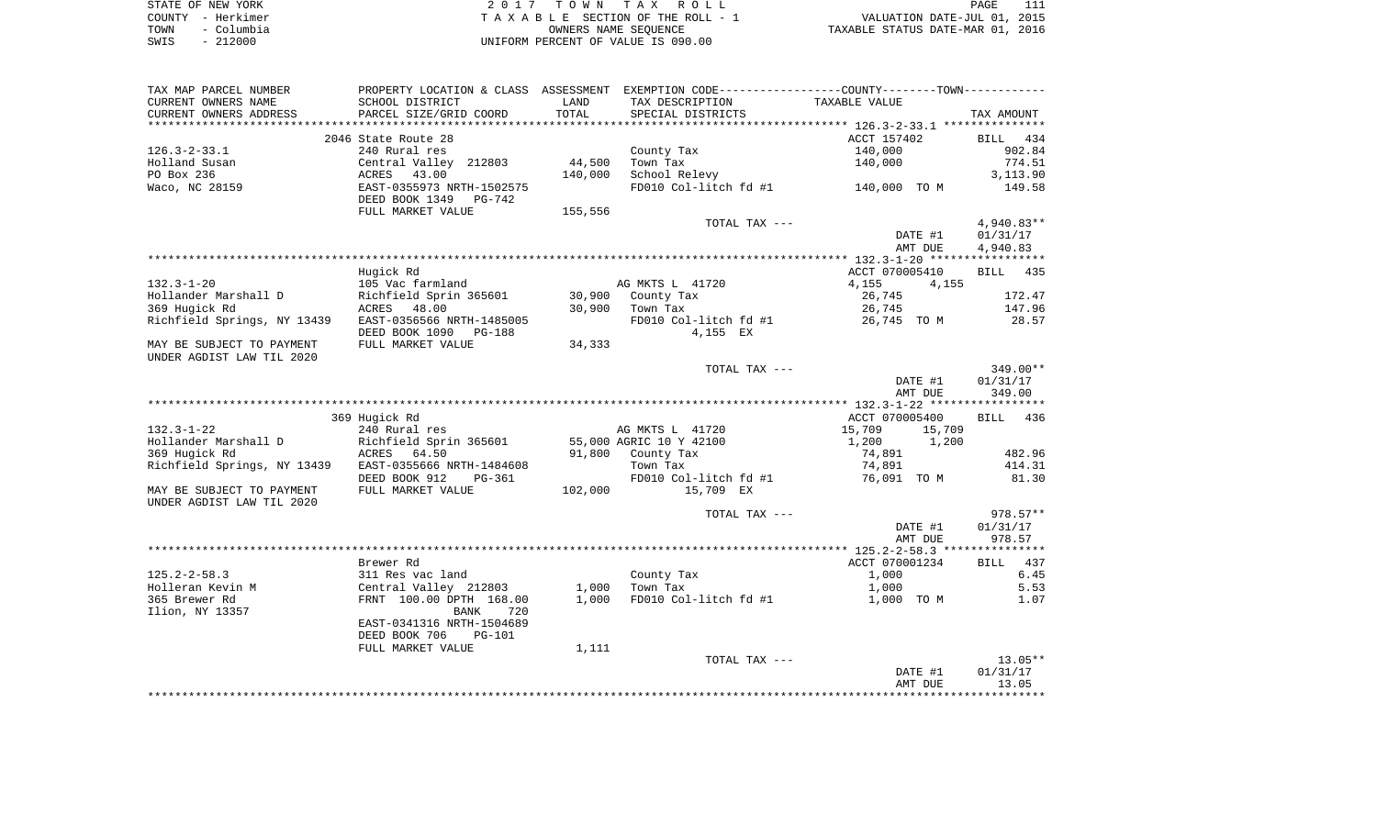|      | STATE OF NEW YORK | 2017 TOWN TAX ROLL                 | PAGE                             |
|------|-------------------|------------------------------------|----------------------------------|
|      | COUNTY - Herkimer | TAXABLE SECTION OF THE ROLL - 1    | VALUATION DATE-JUL 01, 2015      |
| TOWN | - Columbia        | OWNERS NAME SEOUENCE               | TAXABLE STATUS DATE-MAR 01, 2016 |
| SWIS | $-212000$         | UNIFORM PERCENT OF VALUE IS 090.00 |                                  |

| TAX MAP PARCEL NUMBER                                 |                                |         | PROPERTY LOCATION & CLASS ASSESSMENT EXEMPTION CODE---------------COUNTY-------TOWN---------- |                    |                    |
|-------------------------------------------------------|--------------------------------|---------|-----------------------------------------------------------------------------------------------|--------------------|--------------------|
| CURRENT OWNERS NAME                                   | SCHOOL DISTRICT                | LAND    | TAX DESCRIPTION                                                                               | TAXABLE VALUE      |                    |
| CURRENT OWNERS ADDRESS                                | PARCEL SIZE/GRID COORD         | TOTAL   | SPECIAL DISTRICTS                                                                             |                    | TAX AMOUNT         |
| *******************                                   |                                |         |                                                                                               |                    |                    |
|                                                       | 2046 State Route 28            |         |                                                                                               | ACCT 157402        | BILL 434           |
| $126.3 - 2 - 33.1$                                    | 240 Rural res                  |         | County Tax                                                                                    | 140,000            | 902.84             |
| Holland Susan                                         | Central Valley 212803          | 44,500  | Town Tax                                                                                      | 140,000            | 774.51             |
| PO Box 236                                            | ACRES 43.00                    | 140,000 | School Relevy                                                                                 |                    | 3,113.90           |
| Waco, NC 28159                                        | EAST-0355973 NRTH-1502575      |         | FD010 Col-litch fd #1                                                                         | 140,000 TO M       | 149.58             |
|                                                       | DEED BOOK 1349<br>PG-742       |         |                                                                                               |                    |                    |
|                                                       | FULL MARKET VALUE              | 155,556 |                                                                                               |                    |                    |
|                                                       |                                |         | TOTAL TAX ---                                                                                 |                    | 4,940.83**         |
|                                                       |                                |         |                                                                                               | DATE #1            | 01/31/17           |
|                                                       |                                |         |                                                                                               | AMT DUE            | 4,940.83           |
|                                                       |                                |         |                                                                                               |                    |                    |
|                                                       | Hugick Rd                      |         |                                                                                               | ACCT 070005410     | BILL 435           |
| $132.3 - 1 - 20$                                      | 105 Vac farmland               |         | AG MKTS L 41720                                                                               | 4,155<br>4,155     |                    |
| Hollander Marshall D                                  | Richfield Sprin 365601         |         | 30,900 County Tax                                                                             | 26,745             | 172.47             |
| 369 Hugick Rd                                         | ACRES 48.00                    | 30,900  | Town Tax                                                                                      | 26,745             | 147.96             |
| Richfield Springs, NY 13439                           | EAST-0356566 NRTH-1485005      |         | FD010 Col-litch fd #1                                                                         | 26,745 TO M        | 28.57              |
|                                                       | DEED BOOK 1090<br>PG-188       |         | 4,155 EX                                                                                      |                    |                    |
| MAY BE SUBJECT TO PAYMENT                             | FULL MARKET VALUE              | 34,333  |                                                                                               |                    |                    |
| UNDER AGDIST LAW TIL 2020                             |                                |         |                                                                                               |                    |                    |
|                                                       |                                |         | TOTAL TAX ---                                                                                 |                    | 349.00**           |
|                                                       |                                |         |                                                                                               | DATE #1<br>AMT DUE | 01/31/17<br>349.00 |
|                                                       |                                |         |                                                                                               |                    |                    |
|                                                       | 369 Hugick Rd                  |         |                                                                                               | ACCT 070005400     | BILL 436           |
| $132.3 - 1 - 22$                                      | 240 Rural res                  |         | AG MKTS L 41720                                                                               | 15,709<br>15,709   |                    |
| Hollander Marshall D                                  | Richfield Sprin 365601         |         | 55,000 AGRIC 10 Y 42100                                                                       | 1,200<br>1,200     |                    |
| 369 Hugick Rd                                         | ACRES<br>64.50                 |         | 91,800 County Tax                                                                             | 74,891             | 482.96             |
| Richfield Springs, NY 13439 EAST-0355666 NRTH-1484608 |                                |         | Town Tax                                                                                      | 74,891             | 414.31             |
|                                                       | DEED BOOK 912<br>PG-361        |         | FD010 Col-litch fd #1                                                                         | 76,091 TO M        | 81.30              |
| MAY BE SUBJECT TO PAYMENT                             | FULL MARKET VALUE              | 102,000 | 15,709 EX                                                                                     |                    |                    |
| UNDER AGDIST LAW TIL 2020                             |                                |         |                                                                                               |                    |                    |
|                                                       |                                |         | TOTAL TAX ---                                                                                 |                    | $978.57**$         |
|                                                       |                                |         |                                                                                               | DATE #1            | 01/31/17           |
|                                                       |                                |         |                                                                                               | AMT DUE            | 978.57             |
|                                                       |                                |         |                                                                                               |                    |                    |
|                                                       | Brewer Rd                      |         |                                                                                               | ACCT 070001234     | BILL 437           |
| $125.2 - 2 - 58.3$                                    | 311 Res vac land               |         | County Tax                                                                                    | 1,000              | 6.45               |
| Holleran Kevin M                                      | Central Valley 212803          | 1,000   | Town Tax                                                                                      | 1,000              | 5.53               |
| 365 Brewer Rd                                         | FRNT 100.00 DPTH 168.00        | 1,000   | FD010 Col-litch fd #1                                                                         | 1,000 TO M         | 1.07               |
| Ilion, NY 13357                                       | BANK<br>720                    |         |                                                                                               |                    |                    |
|                                                       | EAST-0341316 NRTH-1504689      |         |                                                                                               |                    |                    |
|                                                       | DEED BOOK 706<br><b>PG-101</b> |         |                                                                                               |                    |                    |
|                                                       | FULL MARKET VALUE              | 1,111   |                                                                                               |                    |                    |
|                                                       |                                |         | TOTAL TAX ---                                                                                 |                    | $13.05**$          |
|                                                       |                                |         |                                                                                               | DATE #1            | 01/31/17           |
|                                                       |                                |         |                                                                                               | AMT DUE            | 13.05              |
|                                                       |                                |         |                                                                                               |                    |                    |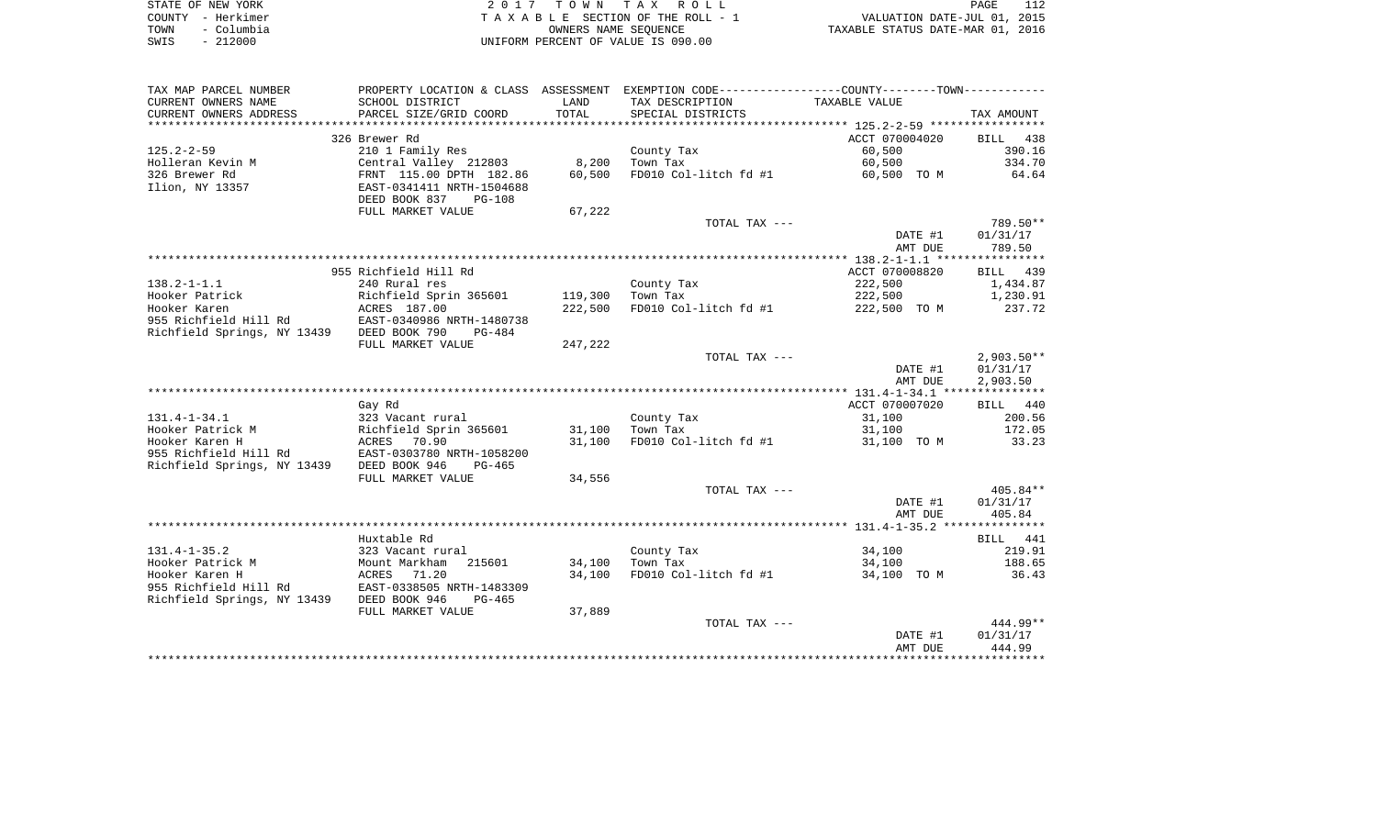|      | STATE OF NEW YORK | 2017 TOWN TAX ROLL                 | PAGE                             | 112 |
|------|-------------------|------------------------------------|----------------------------------|-----|
|      | COUNTY - Herkimer | TAXABLE SECTION OF THE ROLL - 1    | VALUATION DATE-JUL 01, 2015      |     |
| TOWN | - Columbia        | OWNERS NAME SEOUENCE               | TAXABLE STATUS DATE-MAR 01, 2016 |     |
| SWIS | $-212000$         | UNIFORM PERCENT OF VALUE IS 090.00 |                                  |     |

| TAX MAP PARCEL NUMBER                     |                                                             |         | PROPERTY LOCATION & CLASS ASSESSMENT EXEMPTION CODE---------------COUNTY-------TOWN---------- |                |              |
|-------------------------------------------|-------------------------------------------------------------|---------|-----------------------------------------------------------------------------------------------|----------------|--------------|
| CURRENT OWNERS NAME                       | SCHOOL DISTRICT                                             | LAND    | TAX DESCRIPTION                                                                               | TAXABLE VALUE  |              |
| CURRENT OWNERS ADDRESS                    | PARCEL SIZE/GRID COORD                                      | TOTAL   | SPECIAL DISTRICTS                                                                             |                | TAX AMOUNT   |
|                                           | 326 Brewer Rd                                               |         |                                                                                               | ACCT 070004020 | 438<br>BILL  |
| $125.2 - 2 - 59$                          | 210 1 Family Res                                            |         | County Tax                                                                                    | 60,500         | 390.16       |
| Holleran Kevin M                          |                                                             | 8,200   | Town Tax                                                                                      | 60,500         | 334.70       |
| 326 Brewer Rd                             | Central Valley 212803<br>FRNT 115.00 DPTH 182.86            | 60,500  | FD010 Col-litch fd #1                                                                         | 60,500 TO M    | 64.64        |
| Ilion, NY 13357                           | EAST-0341411 NRTH-1504688<br>DEED BOOK 837<br><b>PG-108</b> |         |                                                                                               |                |              |
|                                           | FULL MARKET VALUE                                           | 67,222  |                                                                                               |                |              |
|                                           |                                                             |         | TOTAL TAX ---                                                                                 |                | 789.50**     |
|                                           |                                                             |         |                                                                                               | DATE #1        | 01/31/17     |
|                                           |                                                             |         |                                                                                               | AMT DUE        | 789.50       |
|                                           |                                                             |         |                                                                                               |                |              |
|                                           | 955 Richfield Hill Rd                                       |         |                                                                                               | ACCT 070008820 | BILL 439     |
| $138.2 - 1 - 1.1$                         | 240 Rural res                                               |         | County Tax                                                                                    | 222,500        | 1,434.87     |
| Hooker Patrick                            | Richfield Sprin 365601                                      | 119,300 | Town Tax                                                                                      | 222,500        | 1,230.91     |
| Hooker Karen                              | ACRES 187.00                                                | 222,500 | FD010 Col-litch fd #1                                                                         | 222,500 TO M   | 237.72       |
| Richfield Springs, NY 13439 DEED BOOK 790 | $PG-484$                                                    |         |                                                                                               |                |              |
|                                           | FULL MARKET VALUE                                           | 247,222 |                                                                                               |                |              |
|                                           |                                                             |         | TOTAL TAX ---                                                                                 |                | $2,903.50**$ |
|                                           |                                                             |         |                                                                                               | DATE #1        | 01/31/17     |
|                                           |                                                             |         |                                                                                               | AMT DUE        | 2,903.50     |
|                                           |                                                             |         |                                                                                               |                |              |
|                                           | Gay Rd                                                      |         |                                                                                               | ACCT 070007020 | BILL 440     |
| $131.4 - 1 - 34.1$                        | 323 Vacant rural                                            |         | County Tax                                                                                    | 31,100         | 200.56       |
| Hooker Patrick M                          | Richfield Sprin 365601                                      | 31,100  | Town Tax                                                                                      | 31,100         | 172.05       |
| Hooker Karen H                            | ACRES 70.90                                                 | 31,100  | FD010 Col-litch fd #1                                                                         | 31,100 TO M    | 33.23        |
| 955 Richfield Hill Rd                     | EAST-0303780 NRTH-1058200<br>PG-465                         |         |                                                                                               |                |              |
| Richfield Springs, NY 13439 DEED BOOK 946 | FULL MARKET VALUE                                           | 34,556  |                                                                                               |                |              |
|                                           |                                                             |         | TOTAL TAX ---                                                                                 |                | 405.84**     |
|                                           |                                                             |         |                                                                                               | DATE #1        | 01/31/17     |
|                                           |                                                             |         |                                                                                               | AMT DUE        | 405.84       |
|                                           |                                                             |         |                                                                                               |                |              |
|                                           | Huxtable Rd                                                 |         |                                                                                               |                | BILL 441     |
| $131.4 - 1 - 35.2$                        | 323 Vacant rural                                            |         | County Tax                                                                                    | 34,100         | 219.91       |
| Hooker Patrick M                          | Mount Markham<br>215601                                     | 34,100  | Town Tax                                                                                      | 34,100         | 188.65       |
| Hooker Karen H                            | ACRES 71.20<br>EAST-0338505 NRTH-1483309                    | 34,100  | FD010 Col-litch fd #1                                                                         | 34,100 TO M    | 36.43        |
| 955 Richfield Hill Rd                     |                                                             |         |                                                                                               |                |              |
| Richfield Springs, NY 13439 DEED BOOK 946 | $PG-465$                                                    |         |                                                                                               |                |              |
|                                           | FULL MARKET VALUE                                           | 37,889  | TOTAL TAX ---                                                                                 |                | $444.99**$   |
|                                           |                                                             |         |                                                                                               | DATE #1        | 01/31/17     |
|                                           |                                                             |         |                                                                                               | AMT DUE        | 444.99       |
|                                           |                                                             |         |                                                                                               |                |              |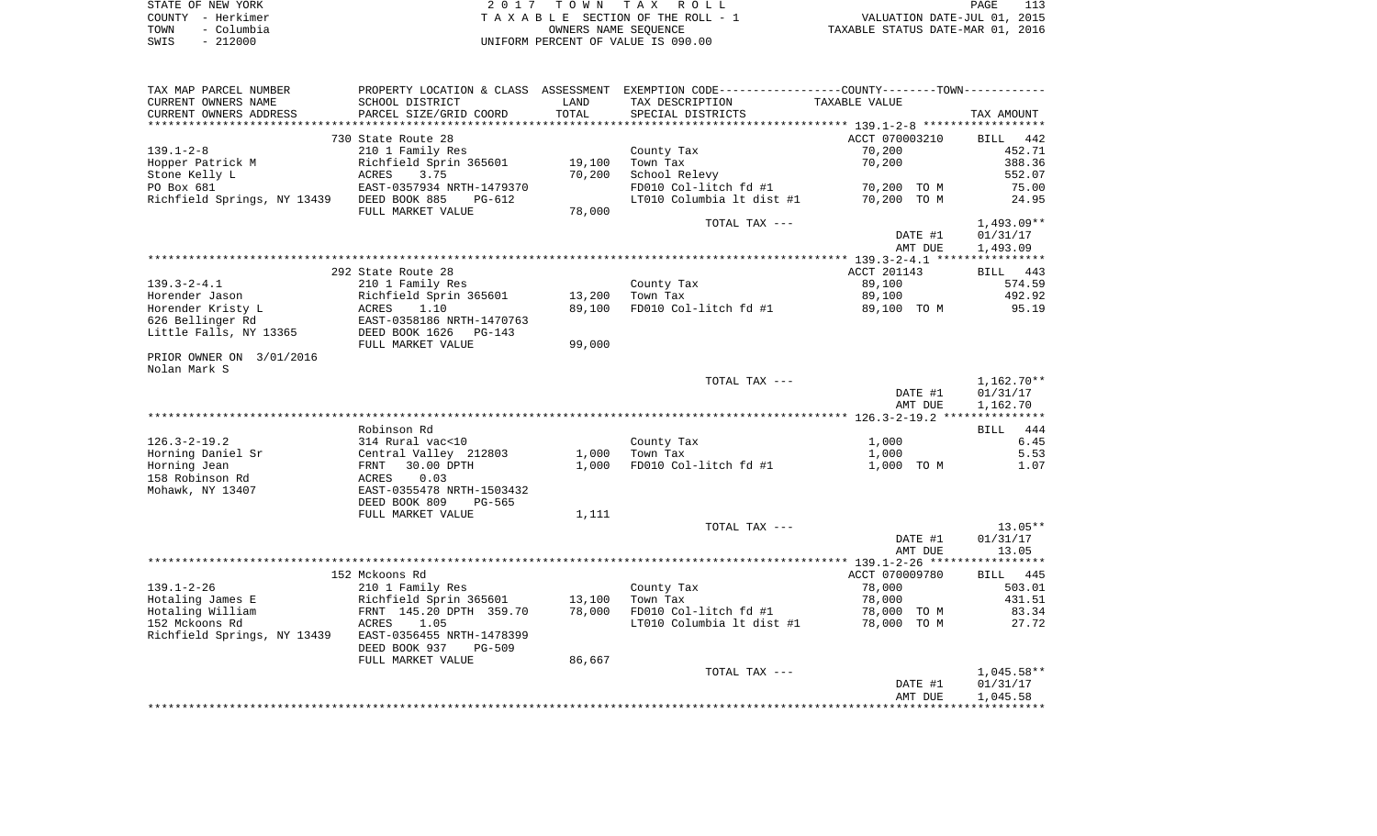| STATE OF NEW YORK  | 2017 TOWN TAX ROLL<br>PAGE                                     |  |
|--------------------|----------------------------------------------------------------|--|
| COUNTY - Herkimer  | VALUATION DATE-JUL 01, 2015<br>TAXABLE SECTION OF THE ROLL - 1 |  |
| – Columbia<br>TOWN | TAXABLE STATUS DATE-MAR 01, 2016<br>OWNERS NAME SEOUENCE       |  |
| $-212000$<br>SWIS  | UNIFORM PERCENT OF VALUE IS 090.00                             |  |

| TAX MAP PARCEL NUMBER                                 |                                |        | PROPERTY LOCATION & CLASS ASSESSMENT EXEMPTION CODE----------------COUNTY--------TOWN----------- |                |                        |
|-------------------------------------------------------|--------------------------------|--------|--------------------------------------------------------------------------------------------------|----------------|------------------------|
| CURRENT OWNERS NAME                                   | SCHOOL DISTRICT                | LAND   | TAX DESCRIPTION                                                                                  | TAXABLE VALUE  |                        |
| CURRENT OWNERS ADDRESS                                | PARCEL SIZE/GRID COORD         | TOTAL  | SPECIAL DISTRICTS                                                                                |                | TAX AMOUNT             |
|                                                       |                                |        |                                                                                                  |                |                        |
|                                                       | 730 State Route 28             |        |                                                                                                  | ACCT 070003210 | BILL 442               |
| $139.1 - 2 - 8$                                       | 210 1 Family Res               |        | County Tax                                                                                       | 70,200         | 452.71                 |
| Hopper Patrick M                                      | Richfield Sprin 365601         | 19,100 | Town Tax                                                                                         | 70,200         | 388.36                 |
| Stone Kelly L                                         | 3.75<br>ACRES                  | 70,200 | School Relevy                                                                                    |                | 552.07                 |
| PO Box 681                                            | EAST-0357934 NRTH-1479370      |        | FD010 Col-litch fd #1                                                                            | 70,200 TO M    | 75.00                  |
| Richfield Springs, NY 13439 DEED BOOK 885             | PG-612                         |        | LT010 Columbia lt dist #1                                                                        | 70,200 TO M    | 24.95                  |
|                                                       | FULL MARKET VALUE              | 78,000 |                                                                                                  |                |                        |
|                                                       |                                |        | TOTAL TAX ---                                                                                    |                | $1,493.09**$           |
|                                                       |                                |        |                                                                                                  | DATE #1        | 01/31/17               |
|                                                       |                                |        |                                                                                                  | AMT DUE        | 1,493.09               |
|                                                       |                                |        |                                                                                                  |                |                        |
|                                                       | 292 State Route 28             |        |                                                                                                  | ACCT 201143    | BILL 443               |
| $139.3 - 2 - 4.1$                                     | 210 1 Family Res               |        | County Tax                                                                                       | 89,100         | 574.59                 |
| Horender Jason                                        | Richfield Sprin 365601         | 13,200 | Town Tax                                                                                         | 89,100         | 492.92                 |
| Horender Kristy L                                     | ACRES<br>1.10                  | 89,100 | FD010 Col-litch $fd$ #1 89,100 TO M                                                              |                | 95.19                  |
| 626 Bellinger Rd                                      | EAST-0358186 NRTH-1470763      |        |                                                                                                  |                |                        |
|                                                       |                                |        |                                                                                                  |                |                        |
| Little Falls, NY 13365                                | DEED BOOK 1626<br>PG-143       |        |                                                                                                  |                |                        |
|                                                       | FULL MARKET VALUE              | 99,000 |                                                                                                  |                |                        |
| PRIOR OWNER ON 3/01/2016<br>Nolan Mark S              |                                |        |                                                                                                  |                |                        |
|                                                       |                                |        |                                                                                                  |                |                        |
|                                                       |                                |        | TOTAL TAX ---                                                                                    | DATE #1        | 1,162.70**<br>01/31/17 |
|                                                       |                                |        |                                                                                                  | AMT DUE        | 1,162.70               |
|                                                       |                                |        |                                                                                                  |                |                        |
|                                                       | Robinson Rd                    |        |                                                                                                  |                | BILL 444               |
|                                                       | 314 Rural vac<10               |        |                                                                                                  |                | 6.45                   |
| $126.3 - 2 - 19.2$                                    |                                |        | County Tax                                                                                       | 1,000          |                        |
| Horning Daniel Sr                                     | Central Valley 212803          | 1,000  | Town Tax                                                                                         | 1,000          | 5.53                   |
| Horning Jean                                          | 30.00 DPTH<br>FRNT             | 1,000  | FD010 Col-litch fd #1                                                                            | 1,000 TO M     | 1.07                   |
| 158 Robinson Rd                                       | 0.03<br>ACRES                  |        |                                                                                                  |                |                        |
| Mohawk, NY 13407                                      | EAST-0355478 NRTH-1503432      |        |                                                                                                  |                |                        |
|                                                       | DEED BOOK 809<br>PG-565        |        |                                                                                                  |                |                        |
|                                                       | FULL MARKET VALUE              | 1,111  |                                                                                                  |                |                        |
|                                                       |                                |        | TOTAL TAX ---                                                                                    |                | 13.05**                |
|                                                       |                                |        |                                                                                                  | DATE #1        | 01/31/17               |
|                                                       |                                |        |                                                                                                  | AMT DUE        | 13.05                  |
|                                                       |                                |        |                                                                                                  |                |                        |
|                                                       | 152 Mckoons Rd                 |        |                                                                                                  | ACCT 070009780 | BILL 445               |
| $139.1 - 2 - 26$                                      | 210 1 Family Res               |        | County Tax                                                                                       | 78,000         | 503.01                 |
| Hotaling James E                                      | Richfield Sprin 365601         | 13,100 | Town Tax                                                                                         | 78,000         | 431.51                 |
| Hotaling William                                      | FRNT 145.20 DPTH 359.70        | 78,000 | FD010 Col-litch fd #1                                                                            | 78,000 TO M    | 83.34                  |
| 152 Mckoons Rd                                        | ACRES<br>1.05                  |        | LT010 Columbia 1t dist #1                                                                        | 78,000 TO M    | 27.72                  |
| Richfield Springs, NY 13439 EAST-0356455 NRTH-1478399 |                                |        |                                                                                                  |                |                        |
|                                                       | DEED BOOK 937<br><b>PG-509</b> |        |                                                                                                  |                |                        |
|                                                       | FULL MARKET VALUE              | 86,667 |                                                                                                  |                |                        |
|                                                       |                                |        | TOTAL TAX ---                                                                                    |                | $1,045.58**$           |
|                                                       |                                |        |                                                                                                  | DATE #1        | 01/31/17               |
|                                                       |                                |        |                                                                                                  | AMT DUE        | 1,045.58               |
|                                                       |                                |        |                                                                                                  |                |                        |
|                                                       |                                |        |                                                                                                  |                |                        |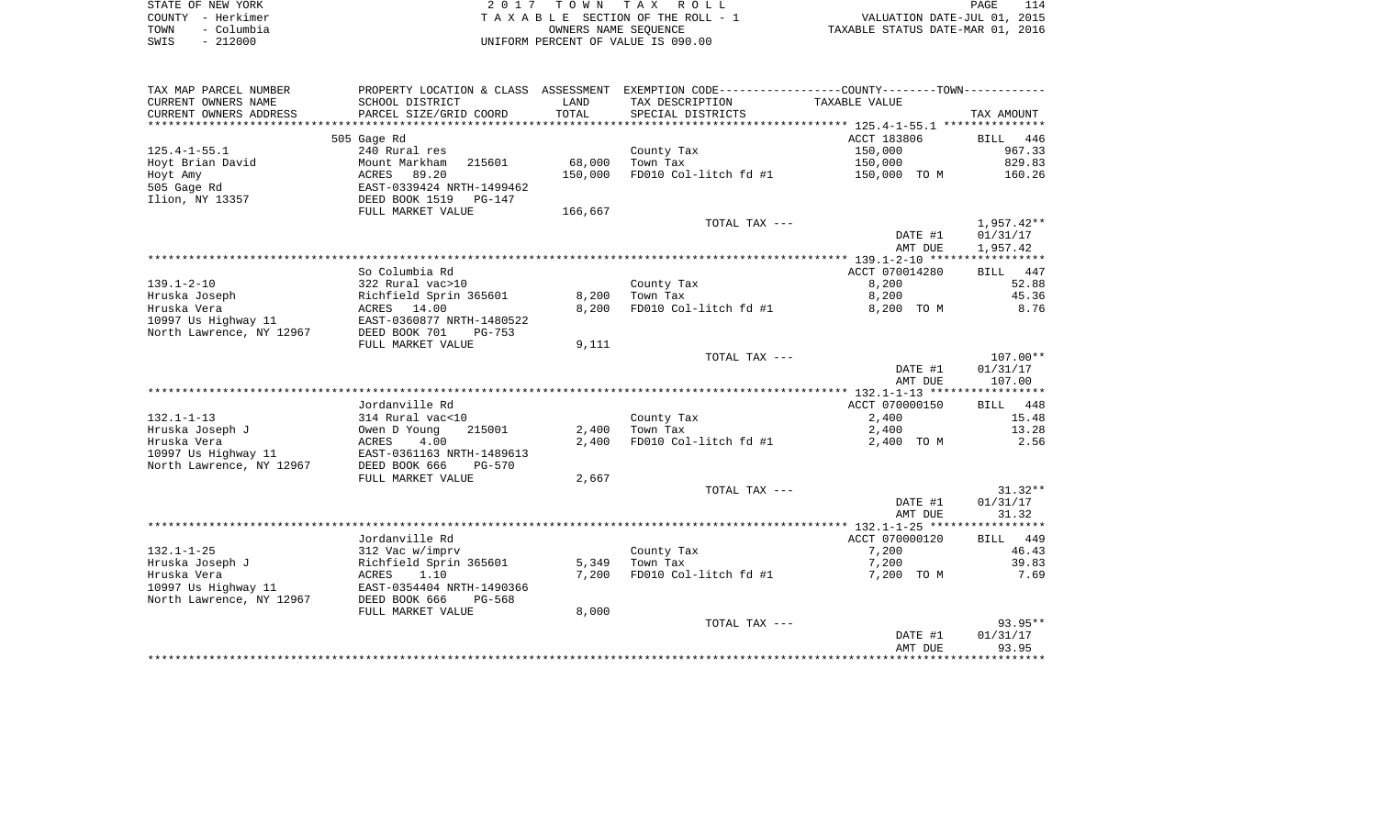|      | STATE OF NEW YORK | 2017 TOWN TAX ROLL                 | 114<br>PAGE                      |  |
|------|-------------------|------------------------------------|----------------------------------|--|
|      | COUNTY - Herkimer | TAXABLE SECTION OF THE ROLL - 1    | VALUATION DATE-JUL 01, 2015      |  |
| TOWN | - Columbia        | OWNERS NAME SEOUENCE               | TAXABLE STATUS DATE-MAR 01, 2016 |  |
| SWIS | $-212000$         | UNIFORM PERCENT OF VALUE IS 090.00 |                                  |  |

|                                    |                                            |         |                                                                                                 | AMT DUE            | 93.95                |
|------------------------------------|--------------------------------------------|---------|-------------------------------------------------------------------------------------------------|--------------------|----------------------|
|                                    |                                            |         |                                                                                                 | DATE #1            | 01/31/17             |
|                                    |                                            |         | TOTAL TAX ---                                                                                   |                    | $93.95**$            |
|                                    | FULL MARKET VALUE                          | 8,000   |                                                                                                 |                    |                      |
| North Lawrence, NY 12967           | DEED BOOK 666<br>$PG-568$                  |         |                                                                                                 |                    |                      |
| Hruska Vera<br>10997 Us Highway 11 | ACRES<br>1.10<br>EAST-0354404 NRTH-1490366 | 7,200   | FD010 Col-litch fd #1                                                                           | 7,200 TO M         | 7.69                 |
| Hruska Joseph J                    | Richfield Sprin 365601                     | 5,349   | Town Tax                                                                                        | 7,200              | 39.83                |
| $132.1 - 1 - 25$                   | 312 Vac w/imprv                            |         | County Tax                                                                                      | 7,200              | 46.43                |
|                                    | Jordanville Rd                             |         |                                                                                                 | ACCT 070000120     | 449<br>BILL          |
|                                    |                                            |         |                                                                                                 |                    |                      |
|                                    |                                            |         |                                                                                                 | AMT DUE            | 31.32                |
|                                    |                                            |         |                                                                                                 | DATE #1            | 01/31/17             |
|                                    |                                            |         | TOTAL TAX ---                                                                                   |                    | $31.32**$            |
|                                    | FULL MARKET VALUE                          | 2,667   |                                                                                                 |                    |                      |
| North Lawrence, NY 12967           | DEED BOOK 666<br>$PG-570$                  |         |                                                                                                 |                    |                      |
| 10997 Us Highway 11                | EAST-0361163 NRTH-1489613                  |         |                                                                                                 |                    |                      |
| Hruska Vera                        | ACRES<br>4.00                              | 2,400   | FD010 Col-litch fd #1                                                                           | 2,400 TO M         | 2.56                 |
| Hruska Joseph J                    | 215001<br>Owen D Young                     | 2,400   | Town Tax                                                                                        | 2,400              | 13.28                |
| $132.1 - 1 - 13$                   | 314 Rural vac<10                           |         | County Tax                                                                                      | 2,400              | 15.48                |
|                                    | Jordanville Rd                             |         |                                                                                                 | ACCT 070000150     | BILL 448             |
|                                    |                                            |         |                                                                                                 |                    |                      |
|                                    |                                            |         |                                                                                                 | AMT DUE            | 107.00               |
|                                    |                                            |         |                                                                                                 | DATE #1            | 01/31/17             |
|                                    |                                            |         | TOTAL TAX ---                                                                                   |                    | $107.00**$           |
|                                    | FULL MARKET VALUE                          | 9,111   |                                                                                                 |                    |                      |
| North Lawrence, NY 12967           | DEED BOOK 701<br>$PG-753$                  |         |                                                                                                 |                    |                      |
| 10997 Us Highway 11                | EAST-0360877 NRTH-1480522                  |         |                                                                                                 |                    |                      |
| Hruska Vera                        | ACRES 14.00                                | 8,200   | FD010 Col-litch fd #1                                                                           | 8,200 TO M         | 8.76                 |
| Hruska Joseph                      | Richfield Sprin 365601                     | 8,200   | Town Tax                                                                                        | 8,200              | 45.36                |
| $139.1 - 2 - 10$                   | 322 Rural vac>10                           |         | County Tax                                                                                      | 8,200              | 52.88                |
|                                    | So Columbia Rd                             |         |                                                                                                 | ACCT 070014280     | BILL 447             |
|                                    |                                            |         |                                                                                                 |                    |                      |
|                                    |                                            |         |                                                                                                 | DATE #1<br>AMT DUE | 01/31/17<br>1,957.42 |
|                                    |                                            |         | TOTAL TAX ---                                                                                   |                    | 1,957.42**           |
|                                    | FULL MARKET VALUE                          | 166,667 |                                                                                                 |                    |                      |
| Ilion, NY 13357                    | DEED BOOK 1519<br><b>PG-147</b>            |         |                                                                                                 |                    |                      |
| 505 Gage Rd                        | EAST-0339424 NRTH-1499462                  |         |                                                                                                 |                    |                      |
| Hoyt Amy                           | 89.20<br>ACRES                             | 150,000 | FD010 Col-litch fd #1                                                                           | 150,000 TO M       | 160.26               |
| Hoyt Brian David                   | 215601<br>Mount Markham                    | 68,000  | Town Tax                                                                                        | 150,000            | 829.83               |
| $125.4 - 1 - 55.1$                 | 240 Rural res                              |         | County Tax                                                                                      | 150,000            | 967.33               |
|                                    | 505 Gage Rd                                |         |                                                                                                 | ACCT 183806        | BILL<br>446          |
| ***********************            |                                            |         |                                                                                                 |                    |                      |
| CURRENT OWNERS ADDRESS             | PARCEL SIZE/GRID COORD                     | TOTAL   | SPECIAL DISTRICTS                                                                               |                    | TAX AMOUNT           |
| CURRENT OWNERS NAME                | SCHOOL DISTRICT                            | LAND    | TAX DESCRIPTION                                                                                 | TAXABLE VALUE      |                      |
| TAX MAP PARCEL NUMBER              |                                            |         | PROPERTY LOCATION & CLASS ASSESSMENT EXEMPTION CODE----------------COUNTY--------TOWN---------- |                    |                      |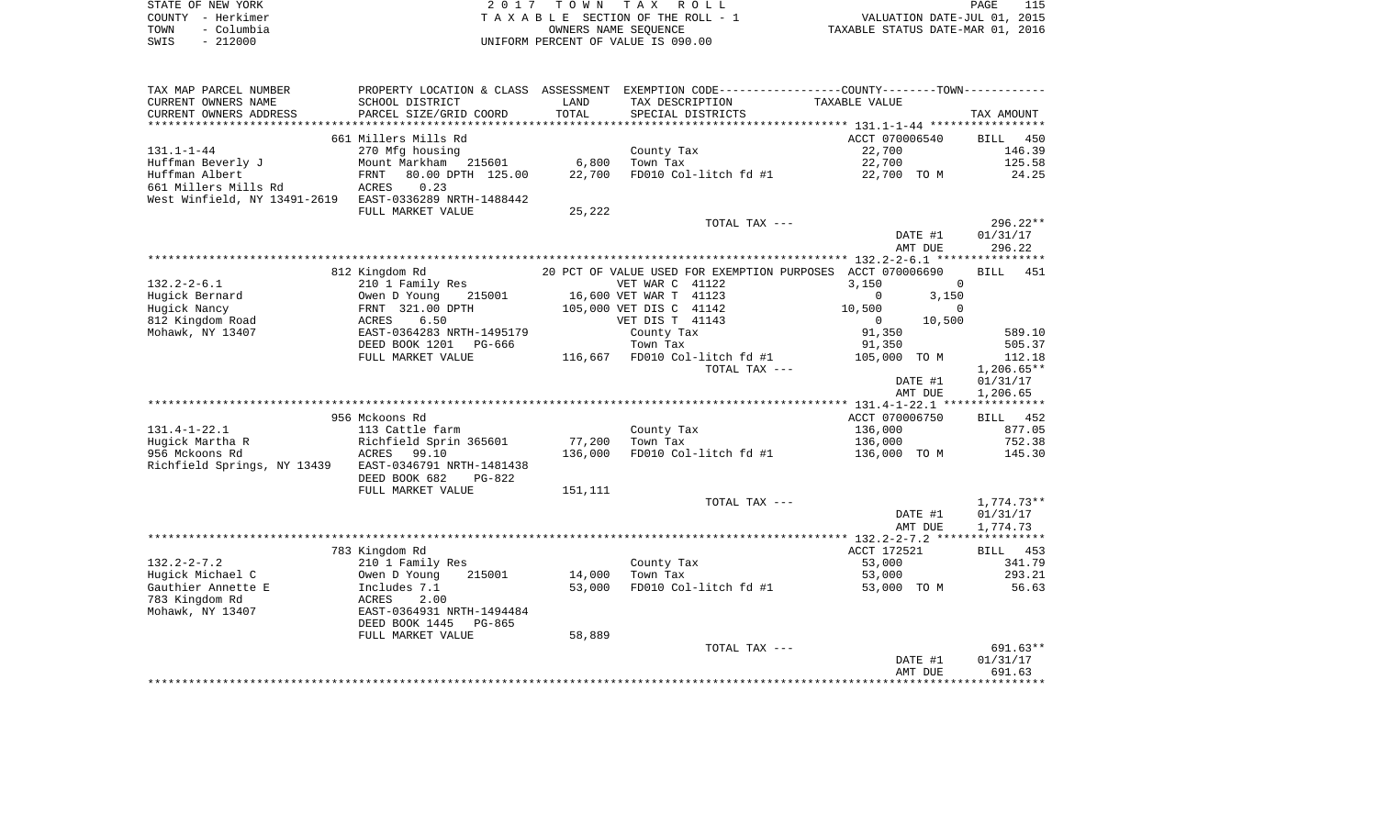|      | STATE OF NEW YORK | 2017 TOWN TAX ROLL                 | 115<br>PAGE                      |
|------|-------------------|------------------------------------|----------------------------------|
|      | COUNTY - Herkimer | TAXABLE SECTION OF THE ROLL - 1    | VALUATION DATE-JUL 01, 2015      |
| TOWN | - Columbia        | OWNERS NAME SEOUENCE               | TAXABLE STATUS DATE-MAR 01, 2016 |
| SWIS | - 212000          | UNIFORM PERCENT OF VALUE IS 090.00 |                                  |

| TAX MAP PARCEL NUMBER                                  | PROPERTY LOCATION & CLASS ASSESSMENT EXEMPTION CODE---------------COUNTY-------TOWN---------- |         |                                                            |                       |                |          |                    |
|--------------------------------------------------------|-----------------------------------------------------------------------------------------------|---------|------------------------------------------------------------|-----------------------|----------------|----------|--------------------|
| CURRENT OWNERS NAME                                    | SCHOOL DISTRICT                                                                               | LAND    | TAX DESCRIPTION                                            |                       | TAXABLE VALUE  |          |                    |
| CURRENT OWNERS ADDRESS                                 | PARCEL SIZE/GRID COORD                                                                        | TOTAL   | SPECIAL DISTRICTS                                          |                       |                |          | TAX AMOUNT         |
| *******************                                    |                                                                                               |         |                                                            |                       |                |          |                    |
|                                                        | 661 Millers Mills Rd                                                                          |         |                                                            |                       | ACCT 070006540 |          | BILL 450           |
| $131.1 - 1 - 44$                                       | 270 Mfg housing                                                                               |         | County Tax                                                 |                       | 22,700         |          | 146.39             |
| Huffman Beverly J                                      | Mount Markham 215601                                                                          | 6,800   | Town Tax                                                   |                       | 22,700         |          | 125.58             |
| Huffman Albert                                         | FRNT<br>80.00 DPTH 125.00                                                                     | 22,700  |                                                            | FD010 Col-litch fd #1 | 22,700 TO M    |          | 24.25              |
|                                                        | 0.23                                                                                          |         |                                                            |                       |                |          |                    |
| West Winfield, NY 13491-2619 EAST-0336289 NRTH-1488442 |                                                                                               |         |                                                            |                       |                |          |                    |
|                                                        | FULL MARKET VALUE                                                                             | 25,222  |                                                            |                       |                |          |                    |
|                                                        |                                                                                               |         |                                                            | TOTAL TAX ---         |                |          | $296.22**$         |
|                                                        |                                                                                               |         |                                                            |                       |                | DATE #1  | 01/31/17           |
|                                                        |                                                                                               |         |                                                            |                       |                | AMT DUE  | 296.22             |
|                                                        | 812 Kingdom Rd                                                                                |         | 20 PCT OF VALUE USED FOR EXEMPTION PURPOSES ACCT 070006690 |                       |                |          | <b>BILL</b><br>451 |
| $132.2 - 2 - 6.1$                                      | 210 1 Family Res                                                                              |         | VET WAR C 41122                                            |                       | 3.150          | $\Omega$ |                    |
| Hugick Bernard                                         | Owen D Young<br>215001                                                                        |         | 16,600 VET WAR T 41123                                     |                       | $\Omega$       | 3,150    |                    |
| Hugick Nancy                                           | FRNT 321.00 DPTH                                                                              |         | 105,000 VET DIS C 41142                                    |                       | 10,500         | $\Omega$ |                    |
| 812 Kingdom Road                                       | 6.50<br>ACRES                                                                                 |         | VET DIS T 41143                                            |                       | $\overline{0}$ | 10,500   |                    |
| Mohawk, NY 13407                                       | EAST-0364283 NRTH-1495179                                                                     |         | County Tax                                                 |                       | 91,350         |          | 589.10             |
|                                                        | DEED BOOK 1201<br>PG-666                                                                      |         | Town Tax                                                   |                       | 91,350         |          | 505.37             |
|                                                        | FULL MARKET VALUE                                                                             |         | 116,667 FD010 Col-litch fd #1                              |                       | 105,000 TO M   |          | 112.18             |
|                                                        |                                                                                               |         |                                                            | TOTAL TAX ---         |                |          | $1,206.65**$       |
|                                                        |                                                                                               |         |                                                            |                       |                | DATE #1  | 01/31/17           |
|                                                        |                                                                                               |         |                                                            |                       |                | AMT DUE  | 1,206.65           |
|                                                        |                                                                                               |         |                                                            |                       |                |          |                    |
|                                                        | 956 Mckoons Rd                                                                                |         |                                                            |                       | ACCT 070006750 |          | BILL 452           |
| $131.4 - 1 - 22.1$                                     | 113 Cattle farm                                                                               |         | County Tax                                                 |                       | 136,000        |          | 877.05             |
| Hugick Martha R                                        | Richfield Sprin 365601                                                                        | 77,200  | Town Tax                                                   |                       | 136,000        |          | 752.38             |
| 956 Mckoons Rd                                         | ACRES<br>99.10                                                                                | 136,000 | FD010 Col-litch fd #1                                      |                       | 136,000 TO M   |          | 145.30             |
| Richfield Springs, NY 13439                            | EAST-0346791 NRTH-1481438                                                                     |         |                                                            |                       |                |          |                    |
|                                                        | DEED BOOK 682<br>PG-822                                                                       |         |                                                            |                       |                |          |                    |
|                                                        | FULL MARKET VALUE                                                                             | 151,111 |                                                            |                       |                |          |                    |
|                                                        |                                                                                               |         |                                                            | TOTAL TAX ---         |                |          | $1,774.73**$       |
|                                                        |                                                                                               |         |                                                            |                       |                | DATE #1  | 01/31/17           |
|                                                        |                                                                                               |         |                                                            |                       |                | AMT DUE  | 1,774.73           |
|                                                        | 783 Kingdom Rd                                                                                |         |                                                            |                       | ACCT 172521    |          | BILL 453           |
| $132.2 - 2 - 7.2$                                      | 210 1 Family Res                                                                              |         | County Tax                                                 |                       | 53,000         |          | 341.79             |
| Hugick Michael C                                       | Owen D Young<br>215001                                                                        | 14,000  | Town Tax                                                   |                       | 53,000         |          | 293.21             |
| Gauthier Annette E                                     | Includes 7.1                                                                                  | 53,000  | FD010 Col-litch fd #1                                      |                       | 53,000 TO M    |          | 56.63              |
| 783 Kingdom Rd                                         | 2.00<br>ACRES                                                                                 |         |                                                            |                       |                |          |                    |
| Mohawk, NY 13407                                       | EAST-0364931 NRTH-1494484                                                                     |         |                                                            |                       |                |          |                    |
|                                                        | DEED BOOK 1445<br>PG-865                                                                      |         |                                                            |                       |                |          |                    |
|                                                        | FULL MARKET VALUE                                                                             | 58,889  |                                                            |                       |                |          |                    |
|                                                        |                                                                                               |         |                                                            | TOTAL TAX ---         |                |          | 691.63**           |
|                                                        |                                                                                               |         |                                                            |                       |                | DATE #1  | 01/31/17           |
|                                                        |                                                                                               |         |                                                            |                       |                | AMT DUE  | 691.63             |
|                                                        |                                                                                               |         |                                                            |                       |                |          |                    |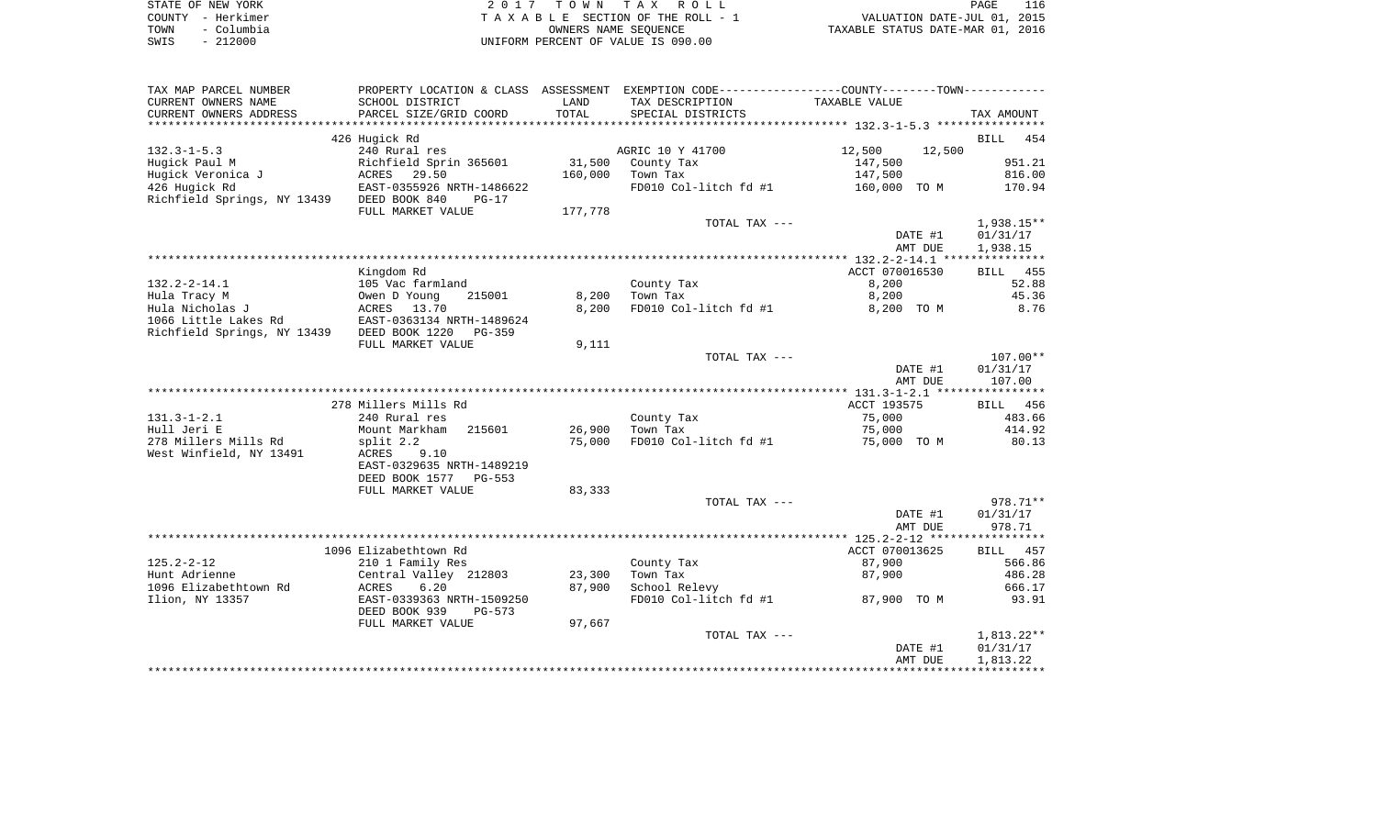| STATE OF NEW YORK  | 2017 TOWN TAX ROLL                    | 116<br>PAGE                      |
|--------------------|---------------------------------------|----------------------------------|
| COUNTY - Herkimer  | T A X A B L E SECTION OF THE ROLL - 1 | VALUATION DATE-JUL 01, 2015      |
| – Columbia<br>TOWN | OWNERS NAME SEOUENCE                  | TAXABLE STATUS DATE-MAR 01, 2016 |
| $-212000$<br>SWIS  | UNIFORM PERCENT OF VALUE IS 090.00    |                                  |

| TAX MAP PARCEL NUMBER       | PROPERTY LOCATION & CLASS  | ASSESSMENT | EXEMPTION CODE----------------COUNTY-------TOWN----------- |                  |              |
|-----------------------------|----------------------------|------------|------------------------------------------------------------|------------------|--------------|
| CURRENT OWNERS NAME         | SCHOOL DISTRICT            | LAND       | TAX DESCRIPTION                                            | TAXABLE VALUE    |              |
| CURRENT OWNERS ADDRESS      | PARCEL SIZE/GRID COORD     | TOTAL      | SPECIAL DISTRICTS                                          |                  | TAX AMOUNT   |
|                             |                            |            |                                                            |                  |              |
|                             | 426 Hugick Rd              |            |                                                            |                  | 454<br>BILL  |
| $132.3 - 1 - 5.3$           | 240 Rural res              |            | AGRIC 10 Y 41700                                           | 12,500<br>12,500 |              |
| Hugick Paul M               | Richfield Sprin 365601     | 31,500     | County Tax                                                 | 147,500          | 951.21       |
| Hugick Veronica J           | ACRES<br>29.50             | 160,000    | Town Tax                                                   | 147,500          | 816.00       |
| 426 Hugick Rd               | EAST-0355926 NRTH-1486622  |            | FD010 Col-litch fd #1                                      | 160,000 TO M     | 170.94       |
| Richfield Springs, NY 13439 | DEED BOOK 840<br>$PG-17$   |            |                                                            |                  |              |
|                             | FULL MARKET VALUE          | 177,778    |                                                            |                  |              |
|                             |                            |            | TOTAL TAX ---                                              |                  | $1,938.15**$ |
|                             |                            |            |                                                            | DATE #1          | 01/31/17     |
|                             |                            |            |                                                            | AMT DUE          | 1,938.15     |
|                             |                            |            |                                                            |                  |              |
|                             | Kingdom Rd                 |            |                                                            | ACCT 070016530   | BILL 455     |
| $132.2 - 2 - 14.1$          | 105 Vac farmland           |            | County Tax                                                 | 8,200            | 52.88        |
| Hula Tracy M                | Owen D Young<br>215001     | 8,200      | Town Tax                                                   | 8,200            | 45.36        |
| Hula Nicholas J             | ACRES 13.70                | 8,200      | FD010 Col-litch fd #1                                      | 8,200 TO M       | 8.76         |
| 1066 Little Lakes Rd        | EAST-0363134 NRTH-1489624  |            |                                                            |                  |              |
| Richfield Springs, NY 13439 | DEED BOOK 1220<br>$PG-359$ |            |                                                            |                  |              |
|                             | FULL MARKET VALUE          | 9,111      |                                                            |                  |              |
|                             |                            |            | TOTAL TAX ---                                              |                  | $107.00**$   |
|                             |                            |            |                                                            | DATE #1          | 01/31/17     |
|                             |                            |            |                                                            | AMT DUE          | 107.00       |
|                             |                            |            |                                                            |                  |              |
|                             | 278 Millers Mills Rd       |            |                                                            | ACCT 193575      | BILL 456     |
| $131.3 - 1 - 2.1$           | 240 Rural res              |            | County Tax                                                 | 75,000           | 483.66       |
| Hull Jeri E                 | Mount Markham<br>215601    | 26,900     | Town Tax                                                   | 75,000           | 414.92       |
| 278 Millers Mills Rd        | split 2.2                  | 75,000     | FD010 Col-litch fd #1                                      | 75,000 TO M      | 80.13        |
| West Winfield, NY 13491     | <b>ACRES</b><br>9.10       |            |                                                            |                  |              |
|                             | EAST-0329635 NRTH-1489219  |            |                                                            |                  |              |
|                             | DEED BOOK 1577<br>$PG-553$ |            |                                                            |                  |              |
|                             | FULL MARKET VALUE          | 83,333     |                                                            |                  |              |
|                             |                            |            | TOTAL TAX ---                                              |                  | 978.71**     |
|                             |                            |            |                                                            | DATE #1          | 01/31/17     |
|                             |                            |            |                                                            | AMT DUE          | 978.71       |
|                             |                            |            |                                                            |                  |              |
|                             | 1096 Elizabethtown Rd      |            |                                                            | ACCT 070013625   | BILL 457     |
| $125.2 - 2 - 12$            | 210 1 Family Res           |            | County Tax                                                 | 87,900           | 566.86       |
| Hunt Adrienne               | Central Valley 212803      | 23,300     | Town Tax                                                   | 87,900           | 486.28       |
| 1096 Elizabethtown Rd       | ACRES<br>6.20              | 87,900     | School Relevy                                              |                  | 666.17       |
| Ilion, NY 13357             | EAST-0339363 NRTH-1509250  |            | FD010 Col-litch fd #1                                      | 87,900 TO M      | 93.91        |
|                             | DEED BOOK 939<br>$PG-573$  |            |                                                            |                  |              |
|                             | FULL MARKET VALUE          | 97,667     |                                                            |                  |              |
|                             |                            |            | TOTAL TAX ---                                              |                  | $1,813.22**$ |
|                             |                            |            |                                                            | DATE #1          | 01/31/17     |
|                             |                            |            |                                                            | AMT DUE          | 1,813.22     |
|                             |                            |            |                                                            |                  |              |
|                             |                            |            |                                                            |                  |              |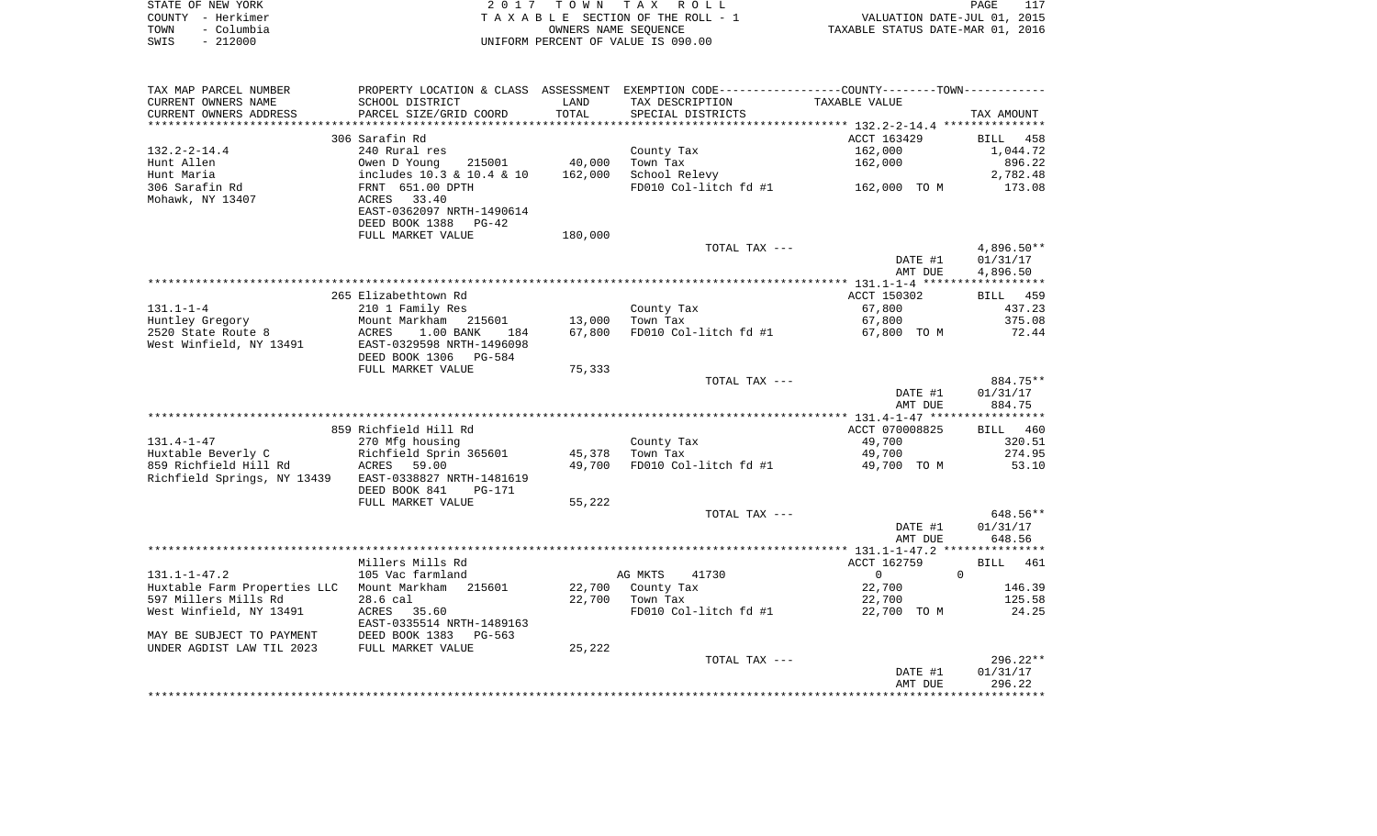| STATE OF NEW YORK  | 2017 TOWN TAX ROLL                 | PAGE                             |
|--------------------|------------------------------------|----------------------------------|
| COUNTY - Herkimer  | TAXABLE SECTION OF THE ROLL - 1    | VALUATION DATE-JUL 01, 2015      |
| - Columbia<br>TOWN | OWNERS NAME SEOUENCE               | TAXABLE STATUS DATE-MAR 01, 2016 |
| SWIS<br>$-212000$  | UNIFORM PERCENT OF VALUE IS 090.00 |                                  |

| TAX MAP PARCEL NUMBER        | PROPERTY LOCATION & CLASS ASSESSMENT |                 | EXEMPTION CODE-----------------COUNTY-------TOWN-----------    |                |                      |
|------------------------------|--------------------------------------|-----------------|----------------------------------------------------------------|----------------|----------------------|
| CURRENT OWNERS NAME          | SCHOOL DISTRICT                      | LAND            | TAX DESCRIPTION                                                | TAXABLE VALUE  |                      |
| CURRENT OWNERS ADDRESS       | PARCEL SIZE/GRID COORD               | TOTAL           | SPECIAL DISTRICTS                                              |                | TAX AMOUNT           |
| *******************          | *************************            | *************** | ********************************* 132.2-2-14.4 *************** |                |                      |
|                              | 306 Sarafin Rd                       |                 |                                                                | ACCT 163429    | BILL<br>458          |
| $132.2 - 2 - 14.4$           | 240 Rural res                        |                 | County Tax                                                     | 162,000        | 1,044.72             |
| Hunt Allen                   | Owen D Young<br>215001               | 40,000          | Town Tax                                                       | 162,000        | 896.22               |
| Hunt Maria                   | includes 10.3 & 10.4 & 10            | 162,000         | School Relevy                                                  |                | 2,782.48             |
| 306 Sarafin Rd               | FRNT 651.00 DPTH                     |                 | FD010 Col-litch fd #1                                          | 162,000 TO M   | 173.08               |
| Mohawk, NY 13407             | ACRES 33.40                          |                 |                                                                |                |                      |
|                              | EAST-0362097 NRTH-1490614            |                 |                                                                |                |                      |
|                              | DEED BOOK 1388<br>PG-42              |                 |                                                                |                |                      |
|                              | FULL MARKET VALUE                    | 180,000         |                                                                |                |                      |
|                              |                                      |                 | TOTAL TAX ---                                                  |                | $4,896.50**$         |
|                              |                                      |                 |                                                                | DATE #1        | 01/31/17             |
|                              |                                      |                 |                                                                | AMT DUE        | 4,896.50             |
|                              |                                      |                 |                                                                |                |                      |
|                              | 265 Elizabethtown Rd                 |                 |                                                                | ACCT 150302    | BILL 459             |
| $131.1 - 1 - 4$              | 210 1 Family Res                     |                 | County Tax                                                     | 67,800         | 437.23               |
| Huntley Gregory              | Mount Markham<br>215601              | 13,000          | Town Tax                                                       | 67,800         | 375.08               |
| 2520 State Route 8           | ACRES<br>$1.00$ BANK<br>184          | 67,800          | FD010 Col-litch fd #1                                          | 67,800 TO M    | 72.44                |
| West Winfield, NY 13491      | EAST-0329598 NRTH-1496098            |                 |                                                                |                |                      |
|                              | DEED BOOK 1306<br>PG-584             |                 |                                                                |                |                      |
|                              | FULL MARKET VALUE                    | 75,333          |                                                                |                |                      |
|                              |                                      |                 | TOTAL TAX ---                                                  | DATE #1        | 884.75**<br>01/31/17 |
|                              |                                      |                 |                                                                | AMT DUE        | 884.75               |
|                              |                                      |                 |                                                                |                |                      |
|                              | 859 Richfield Hill Rd                |                 |                                                                | ACCT 070008825 | BILL 460             |
| $131.4 - 1 - 47$             | 270 Mfg housing                      |                 | County Tax                                                     | 49,700         | 320.51               |
| Huxtable Beverly C           | Richfield Sprin 365601               | 45,378          | Town Tax                                                       | 49,700         | 274.95               |
| 859 Richfield Hill Rd        | ACRES 59.00                          | 49,700          | FD010 Col-litch fd #1                                          | 49,700 TO M    | 53.10                |
| Richfield Springs, NY 13439  | EAST-0338827 NRTH-1481619            |                 |                                                                |                |                      |
|                              | DEED BOOK 841<br><b>PG-171</b>       |                 |                                                                |                |                      |
|                              | FULL MARKET VALUE                    | 55,222          |                                                                |                |                      |
|                              |                                      |                 | TOTAL TAX ---                                                  |                | 648.56**             |
|                              |                                      |                 |                                                                | DATE #1        | 01/31/17             |
|                              |                                      |                 |                                                                | AMT DUE        | 648.56               |
|                              |                                      |                 |                                                                |                |                      |
|                              | Millers Mills Rd                     |                 |                                                                | ACCT 162759    | BILL 461             |
| $131.1 - 1 - 47.2$           | 105 Vac farmland                     |                 | AG MKTS<br>41730                                               | $\overline{0}$ | $\Omega$             |
| Huxtable Farm Properties LLC | Mount Markham 215601                 |                 | 22,700 County Tax                                              | 22,700         | 146.39               |
| 597 Millers Mills Rd         | 28.6 cal                             |                 | 22,700 Town Tax                                                | 22,700         | 125.58               |
| West Winfield, NY 13491      | ACRES 35.60                          |                 | FD010 Col-litch fd #1                                          | 22,700 TO M    | 24.25                |
|                              | EAST-0335514 NRTH-1489163            |                 |                                                                |                |                      |
| MAY BE SUBJECT TO PAYMENT    | DEED BOOK 1383<br>$PG-563$           |                 |                                                                |                |                      |
| UNDER AGDIST LAW TIL 2023    | FULL MARKET VALUE                    | 25,222          |                                                                |                |                      |
|                              |                                      |                 | TOTAL TAX ---                                                  |                | $296.22**$           |
|                              |                                      |                 |                                                                | DATE #1        | 01/31/17             |
|                              |                                      |                 |                                                                | AMT DUE        | 296.22               |
|                              |                                      |                 |                                                                |                |                      |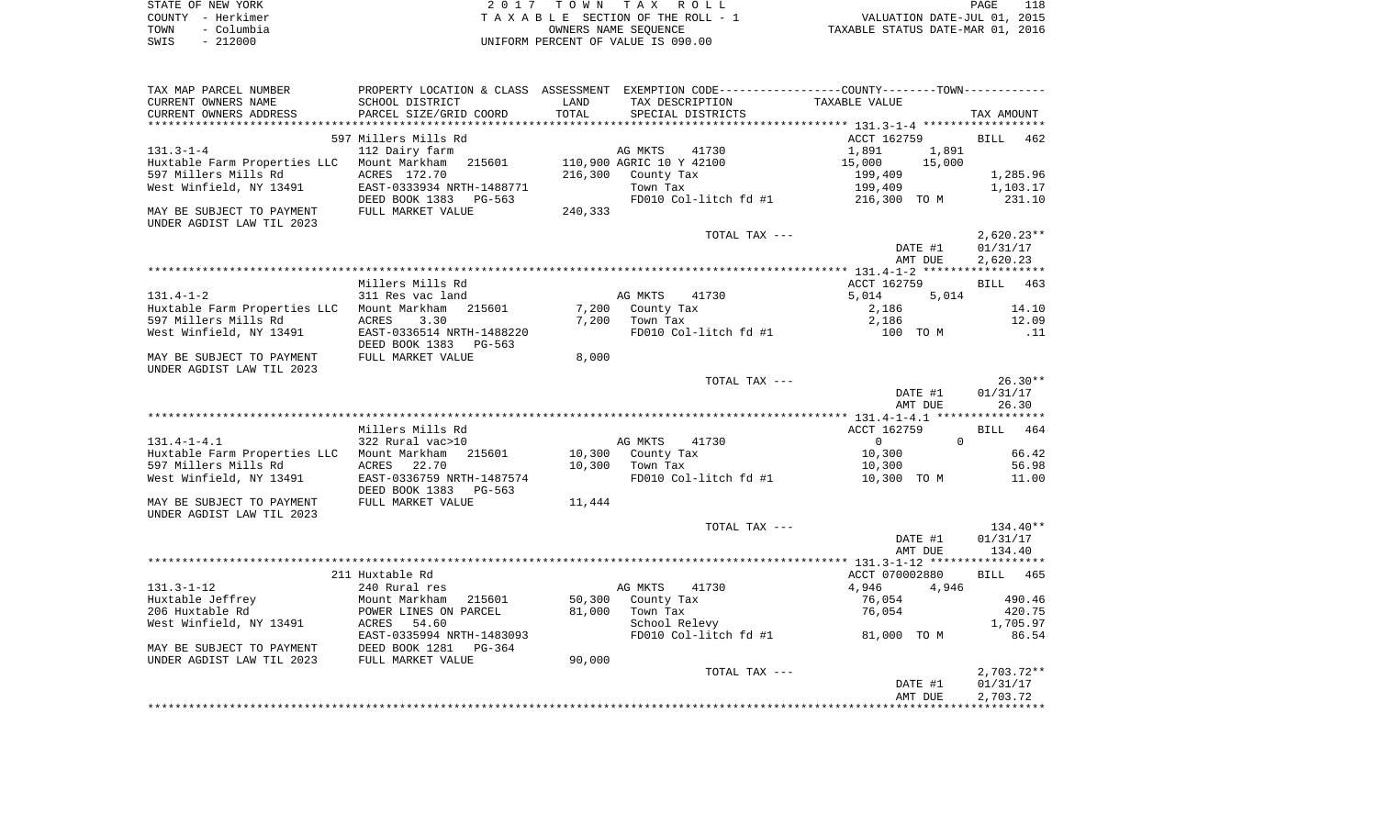| STATE OF NEW YORK  | 2017 TOWN TAX ROLL                 | 118<br>PAGE                      |
|--------------------|------------------------------------|----------------------------------|
| COUNTY - Herkimer  | TAXABLE SECTION OF THE ROLL - 1    | VALUATION DATE-JUL 01, 2015      |
| - Columbia<br>TOWN | OWNERS NAME SEOUENCE               | TAXABLE STATUS DATE-MAR 01, 2016 |
| - 212000<br>SWIS   | UNIFORM PERCENT OF VALUE IS 090.00 |                                  |

| TAX MAP PARCEL NUMBER                                  |                            |         |                          | PROPERTY LOCATION & CLASS ASSESSMENT EXEMPTION CODE---------------COUNTY-------TOWN---------- |                    |
|--------------------------------------------------------|----------------------------|---------|--------------------------|-----------------------------------------------------------------------------------------------|--------------------|
| CURRENT OWNERS NAME                                    | SCHOOL DISTRICT            | LAND    | TAX DESCRIPTION          | TAXABLE VALUE                                                                                 |                    |
| CURRENT OWNERS ADDRESS                                 | PARCEL SIZE/GRID COORD     | TOTAL   | SPECIAL DISTRICTS        |                                                                                               | TAX AMOUNT         |
|                                                        |                            |         |                          |                                                                                               |                    |
|                                                        | 597 Millers Mills Rd       |         |                          | ACCT 162759                                                                                   | <b>BILL</b><br>462 |
| $131.3 - 1 - 4$                                        | 112 Dairy farm             |         | AG MKTS<br>41730         | 1,891<br>1,891                                                                                |                    |
| Huxtable Farm Properties LLC                           | Mount Markham<br>215601    |         | 110,900 AGRIC 10 Y 42100 | 15,000<br>15,000                                                                              |                    |
| 597 Millers Mills Rd                                   | ACRES 172.70               | 216,300 | County Tax               | 199,409                                                                                       | 1,285.96           |
| West Winfield, NY 13491                                | EAST-0333934 NRTH-1488771  |         | Town Tax                 | 199,409                                                                                       | 1,103.17           |
|                                                        | DEED BOOK 1383<br>$PG-563$ |         | FD010 Col-litch fd #1    | 216,300 TO M                                                                                  | 231.10             |
| MAY BE SUBJECT TO PAYMENT                              | FULL MARKET VALUE          | 240,333 |                          |                                                                                               |                    |
| UNDER AGDIST LAW TIL 2023                              |                            |         |                          |                                                                                               |                    |
|                                                        |                            |         | TOTAL TAX ---            |                                                                                               | $2,620.23**$       |
|                                                        |                            |         |                          | DATE #1                                                                                       | 01/31/17           |
|                                                        |                            |         |                          | AMT DUE                                                                                       | 2,620.23           |
|                                                        |                            |         |                          |                                                                                               |                    |
|                                                        | Millers Mills Rd           |         |                          | ACCT 162759                                                                                   | BILL 463           |
| $131.4 - 1 - 2$                                        | 311 Res vac land           |         | AG MKTS<br>41730         | 5,014<br>5,014                                                                                |                    |
| Huxtable Farm Properties LLC                           | Mount Markham<br>215601    | 7,200   | County Tax               | 2,186                                                                                         | 14.10              |
| 597 Millers Mills Rd                                   | ACRES<br>3.30              | 7,200   | Town Tax                 | 2,186                                                                                         | 12.09              |
| West Winfield, NY 13491                                | EAST-0336514 NRTH-1488220  |         | FD010 Col-litch fd #1    | 100 TO M                                                                                      | $\ldots$ 11        |
|                                                        | DEED BOOK 1383<br>PG-563   |         |                          |                                                                                               |                    |
| MAY BE SUBJECT TO PAYMENT<br>UNDER AGDIST LAW TIL 2023 | FULL MARKET VALUE          | 8,000   |                          |                                                                                               |                    |
|                                                        |                            |         | TOTAL TAX ---            |                                                                                               | $26.30**$          |
|                                                        |                            |         |                          | DATE #1                                                                                       | 01/31/17           |
|                                                        |                            |         |                          | AMT DUE                                                                                       | 26.30              |
|                                                        |                            |         |                          |                                                                                               |                    |
|                                                        | Millers Mills Rd           |         |                          | ACCT 162759                                                                                   | 464<br>BILL        |
| $131.4 - 1 - 4.1$                                      | 322 Rural vac>10           |         | AG MKTS<br>41730         | $\Omega$<br>$\circ$                                                                           |                    |
| Huxtable Farm Properties LLC                           | Mount Markham<br>215601    | 10,300  | County Tax               | 10,300                                                                                        | 66.42              |
| 597 Millers Mills Rd                                   | ACRES<br>22.70             | 10,300  | Town Tax                 | 10,300                                                                                        | 56.98              |
| West Winfield, NY 13491                                | EAST-0336759 NRTH-1487574  |         | FD010 Col-litch fd #1    | 10,300 TO M                                                                                   | 11.00              |
|                                                        | DEED BOOK 1383<br>PG-563   |         |                          |                                                                                               |                    |
| MAY BE SUBJECT TO PAYMENT                              | FULL MARKET VALUE          | 11,444  |                          |                                                                                               |                    |
| UNDER AGDIST LAW TIL 2023                              |                            |         |                          |                                                                                               |                    |
|                                                        |                            |         | TOTAL TAX ---            |                                                                                               | 134.40**           |
|                                                        |                            |         |                          | DATE #1                                                                                       | 01/31/17           |
|                                                        |                            |         |                          | AMT DUE                                                                                       | 134.40             |
|                                                        |                            |         |                          |                                                                                               |                    |
|                                                        | 211 Huxtable Rd            |         |                          | ACCT 070002880                                                                                | BILL 465           |
| $131.3 - 1 - 12$                                       | 240 Rural res              |         | AG MKTS<br>41730         | 4,946<br>4,946                                                                                |                    |
| Huxtable Jeffrey                                       | Mount Markham<br>215601    | 50,300  | County Tax               | 76,054                                                                                        | 490.46             |
| 206 Huxtable Rd                                        | POWER LINES ON PARCEL      | 81,000  | Town Tax                 | 76,054                                                                                        | 420.75             |
| West Winfield, NY 13491                                | 54.60<br>ACRES             |         | School Relevy            |                                                                                               | 1,705.97           |
|                                                        | EAST-0335994 NRTH-1483093  |         |                          | FD010 Col-litch fd #1 81,000 TO M                                                             | 86.54              |
| MAY BE SUBJECT TO PAYMENT                              | DEED BOOK 1281<br>PG-364   |         |                          |                                                                                               |                    |
| UNDER AGDIST LAW TIL 2023                              | FULL MARKET VALUE          | 90,000  |                          |                                                                                               |                    |
|                                                        |                            |         | TOTAL TAX ---            |                                                                                               | $2,703.72**$       |
|                                                        |                            |         |                          | DATE #1                                                                                       | 01/31/17           |
|                                                        |                            |         |                          | AMT DUE                                                                                       | 2,703.72           |
|                                                        |                            |         |                          |                                                                                               |                    |
|                                                        |                            |         |                          |                                                                                               |                    |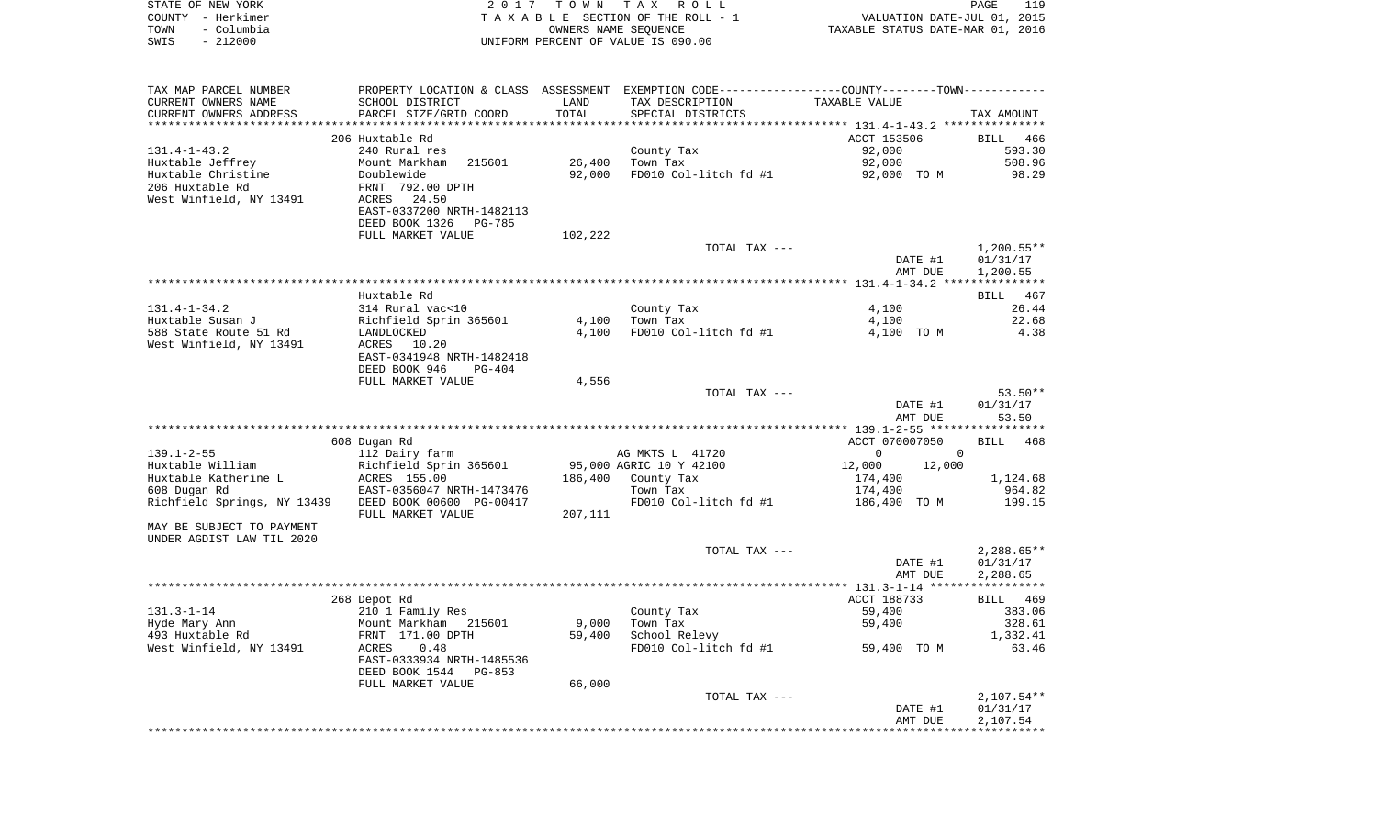| STATE OF NEW YORK<br>COUNTY - Herkimer        |                                                                                                |                 | 2017 TOWN TAX ROLL<br>TAXABLE SECTION OF THE ROLL - 1 | VALUATION DATE-JUL 01, 2015      | PAGE<br>119         |
|-----------------------------------------------|------------------------------------------------------------------------------------------------|-----------------|-------------------------------------------------------|----------------------------------|---------------------|
| TOWN<br>- Columbia                            |                                                                                                |                 | OWNERS NAME SEOUENCE                                  | TAXABLE STATUS DATE-MAR 01, 2016 |                     |
| $-212000$<br>SWIS                             |                                                                                                |                 | UNIFORM PERCENT OF VALUE IS 090.00                    |                                  |                     |
| TAX MAP PARCEL NUMBER                         | PROPERTY LOCATION & CLASS ASSESSMENT EXEMPTION CODE----------------COUNTY-------TOWN---------- |                 |                                                       |                                  |                     |
| CURRENT OWNERS NAME<br>CURRENT OWNERS ADDRESS | SCHOOL DISTRICT<br>PARCEL SIZE/GRID COORD                                                      | LAND<br>TOTAL   | TAX DESCRIPTION<br>SPECIAL DISTRICTS                  | TAXABLE VALUE                    | TAX AMOUNT          |
|                                               |                                                                                                |                 |                                                       |                                  |                     |
| $131.4 - 1 - 43.2$                            | 206 Huxtable Rd<br>240 Rural res                                                               |                 | County Tax                                            | ACCT 153506<br>92,000            | BILL 466<br>593.30  |
| Huxtable Jeffrey                              | 215601<br>Mount Markham                                                                        | 26,400          | Town Tax                                              | 92,000                           | 508.96              |
| Huxtable Christine                            | Doublewide                                                                                     | 92,000          | FD010 Col-litch fd #1                                 | 92,000 TO M                      | 98.29               |
| 206 Huxtable Rd                               | FRNT 792.00 DPTH                                                                               |                 |                                                       |                                  |                     |
| West Winfield, NY 13491                       | ACRES 24.50                                                                                    |                 |                                                       |                                  |                     |
|                                               | EAST-0337200 NRTH-1482113                                                                      |                 |                                                       |                                  |                     |
|                                               | DEED BOOK 1326<br>PG-785                                                                       |                 |                                                       |                                  |                     |
|                                               | FULL MARKET VALUE                                                                              | 102,222         | TOTAL TAX ---                                         |                                  | $1,200.55**$        |
|                                               |                                                                                                |                 |                                                       | DATE #1                          | 01/31/17            |
|                                               |                                                                                                |                 |                                                       | AMT DUE                          | 1,200.55            |
|                                               |                                                                                                |                 |                                                       |                                  |                     |
|                                               | Huxtable Rd                                                                                    |                 |                                                       |                                  | BILL 467            |
| $131.4 - 1 - 34.2$<br>Huxtable Susan J        | 314 Rural vac<10<br>Richfield Sprin 365601                                                     | 4,100           | County Tax<br>Town Tax                                | 4,100<br>4,100                   | 26.44<br>22.68      |
| 588 State Route 51 Rd                         | LANDLOCKED                                                                                     | 4,100           | FD010 Col-litch fd #1                                 | 4,100 TO M                       | 4.38                |
| West Winfield, NY 13491                       | ACRES<br>10.20                                                                                 |                 |                                                       |                                  |                     |
|                                               | EAST-0341948 NRTH-1482418                                                                      |                 |                                                       |                                  |                     |
|                                               | DEED BOOK 946<br>PG-404                                                                        |                 |                                                       |                                  |                     |
|                                               | FULL MARKET VALUE                                                                              | 4,556           |                                                       |                                  |                     |
|                                               |                                                                                                |                 | TOTAL TAX ---                                         | DATE #1                          | 53.50**<br>01/31/17 |
|                                               |                                                                                                |                 |                                                       | AMT DUE                          | 53.50               |
|                                               |                                                                                                |                 |                                                       |                                  |                     |
|                                               | 608 Dugan Rd                                                                                   |                 |                                                       | ACCT 070007050                   | BILL 468            |
| $139.1 - 2 - 55$                              | 112 Dairy farm                                                                                 |                 | AG MKTS L 41720                                       | $\mathbf{0}$                     | $\mathbf{0}$        |
| Huxtable William                              | Richfield Sprin 365601                                                                         |                 | 95,000 AGRIC 10 Y 42100                               | 12,000<br>12,000                 |                     |
| Huxtable Katherine L<br>608 Dugan Rd          | ACRES 155.00<br>EAST-0356047 NRTH-1473476                                                      |                 | 186,400 County Tax<br>Town Tax                        | 174,400<br>174,400               | 1,124.68<br>964.82  |
| Richfield Springs, NY 13439                   | DEED BOOK 00600 PG-00417                                                                       |                 | FD010 Col-litch fd #1                                 | 186,400 TO M                     | 199.15              |
|                                               | FULL MARKET VALUE                                                                              | 207,111         |                                                       |                                  |                     |
| MAY BE SUBJECT TO PAYMENT                     |                                                                                                |                 |                                                       |                                  |                     |
| UNDER AGDIST LAW TIL 2020                     |                                                                                                |                 | TOTAL TAX ---                                         |                                  | 2,288.65**          |
|                                               |                                                                                                |                 |                                                       | DATE #1                          | 01/31/17            |
|                                               |                                                                                                |                 |                                                       | AMT DUE                          | 2,288.65            |
|                                               |                                                                                                |                 |                                                       |                                  |                     |
|                                               | 268 Depot Rd                                                                                   |                 |                                                       | ACCT 188733                      | BILL 469            |
| 131.3-1-14                                    | 210 1 Family Res                                                                               |                 | County Tax                                            | 59,400                           | 383.06              |
| Hyde Mary Ann<br>493 Huxtable Rd              | 215601<br>Mount Markham<br>FRNT 171.00 DPTH                                                    | 9,000<br>59,400 | Town Tax<br>School Relevy                             | 59,400                           | 328.61<br>1,332.41  |
| West Winfield, NY 13491                       | 0.48<br>ACRES                                                                                  |                 | FD010 Col-litch fd #1                                 | 59,400 TO M                      | 63.46               |
|                                               | EAST-0333934 NRTH-1485536                                                                      |                 |                                                       |                                  |                     |
|                                               | DEED BOOK 1544<br>PG-853                                                                       |                 |                                                       |                                  |                     |
|                                               | FULL MARKET VALUE                                                                              | 66,000          |                                                       |                                  |                     |
|                                               |                                                                                                |                 | TOTAL TAX ---                                         |                                  | $2,107.54**$        |
|                                               |                                                                                                |                 |                                                       | DATE #1                          | 01/31/17            |
|                                               |                                                                                                |                 |                                                       | AMT DUE                          | 2,107.54            |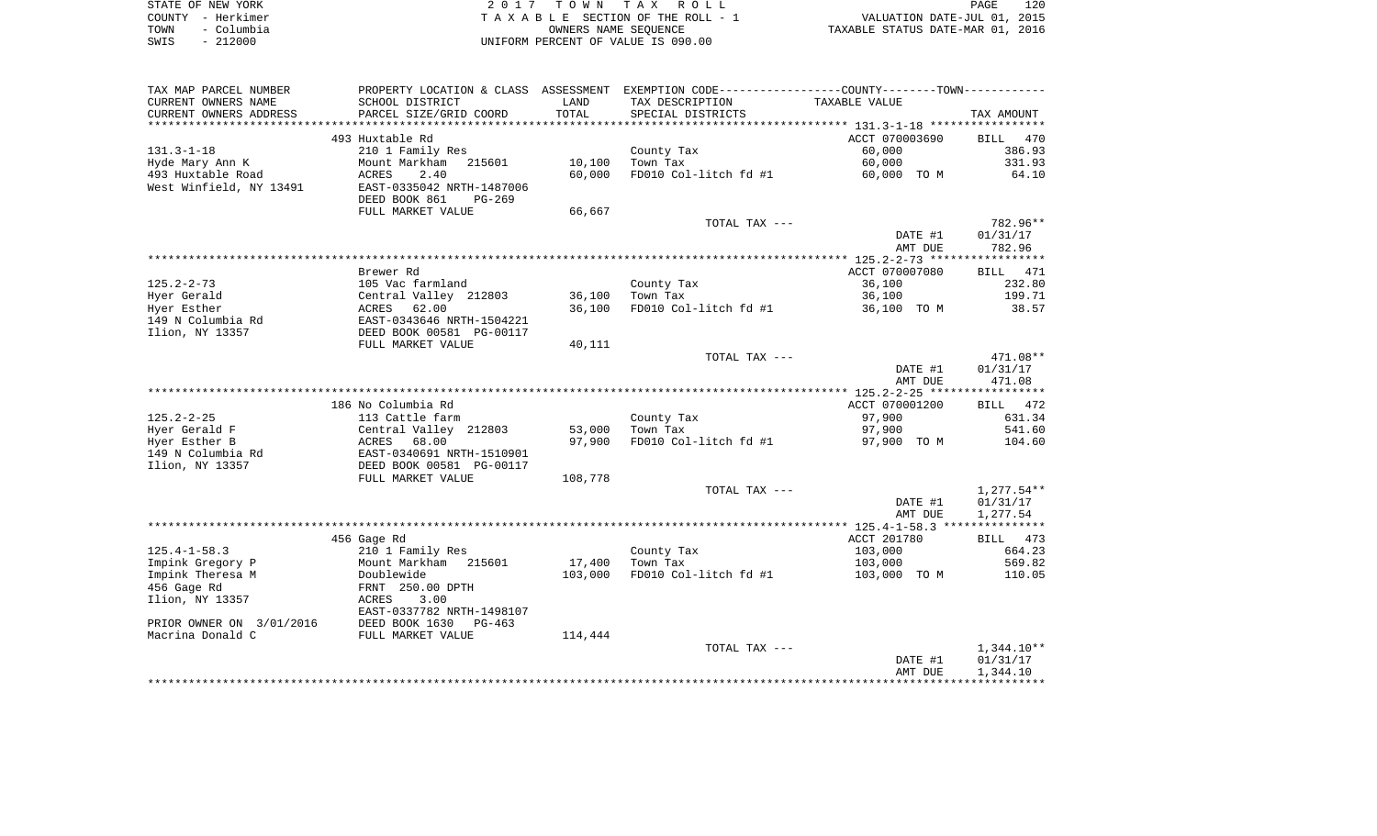|      | STATE OF NEW YORK | 2017 TOWN TAX ROLL                 | PAGE                             | 120 |
|------|-------------------|------------------------------------|----------------------------------|-----|
|      | COUNTY - Herkimer | TAXABLE SECTION OF THE ROLL - 1    | VALUATION DATE-JUL 01, 2015      |     |
| TOWN | - Columbia        | OWNERS NAME SEOUENCE               | TAXABLE STATUS DATE-MAR 01, 2016 |     |
| SWIS | - 212000          | UNIFORM PERCENT OF VALUE IS 090.00 |                                  |     |

| TAX MAP PARCEL NUMBER    |                           |                | PROPERTY LOCATION & CLASS ASSESSMENT EXEMPTION CODE---------------COUNTY-------TOWN---------- |                |              |
|--------------------------|---------------------------|----------------|-----------------------------------------------------------------------------------------------|----------------|--------------|
| CURRENT OWNERS NAME      | SCHOOL DISTRICT           | LAND           | TAX DESCRIPTION                                                                               | TAXABLE VALUE  |              |
| CURRENT OWNERS ADDRESS   | PARCEL SIZE/GRID COORD    | TOTAL          | SPECIAL DISTRICTS                                                                             |                | TAX AMOUNT   |
| ********************     |                           | ************** |                                                                                               |                |              |
|                          | 493 Huxtable Rd           |                |                                                                                               | ACCT 070003690 | BILL 470     |
| $131.3 - 1 - 18$         | 210 1 Family Res          |                | County Tax                                                                                    | 60,000         | 386.93       |
| Hyde Mary Ann K          | Mount Markham<br>215601   | 10,100         | Town Tax                                                                                      | 60,000         | 331.93       |
| 493 Huxtable Road        | ACRES<br>2.40             | 60,000         | FD010 Col-litch fd #1                                                                         | 60,000 TO M    | 64.10        |
| West Winfield, NY 13491  | EAST-0335042 NRTH-1487006 |                |                                                                                               |                |              |
|                          | DEED BOOK 861<br>PG-269   |                |                                                                                               |                |              |
|                          | FULL MARKET VALUE         | 66,667         |                                                                                               |                |              |
|                          |                           |                | TOTAL TAX ---                                                                                 |                | 782.96**     |
|                          |                           |                |                                                                                               | DATE #1        | 01/31/17     |
|                          |                           |                |                                                                                               | AMT DUE        | 782.96       |
|                          |                           |                |                                                                                               |                |              |
|                          | Brewer Rd                 |                |                                                                                               | ACCT 070007080 | BILL 471     |
| $125.2 - 2 - 73$         | 105 Vac farmland          |                | County Tax                                                                                    | 36,100         | 232.80       |
| Hyer Gerald              | Central Valley 212803     | 36,100         | Town Tax                                                                                      | 36,100         | 199.71       |
| Hyer Esther              | 62.00<br>ACRES            | 36,100         | FD010 Col-litch fd #1                                                                         | 36,100 TO M    | 38.57        |
| 149 N Columbia Rd        | EAST-0343646 NRTH-1504221 |                |                                                                                               |                |              |
| Ilion, NY 13357          | DEED BOOK 00581 PG-00117  |                |                                                                                               |                |              |
|                          | FULL MARKET VALUE         | 40,111         |                                                                                               |                |              |
|                          |                           |                | TOTAL TAX ---                                                                                 |                | 471.08**     |
|                          |                           |                |                                                                                               | DATE #1        | 01/31/17     |
|                          |                           |                |                                                                                               | AMT DUE        | 471.08       |
|                          |                           |                |                                                                                               |                |              |
|                          | 186 No Columbia Rd        |                |                                                                                               | ACCT 070001200 | BILL 472     |
| $125.2 - 2 - 25$         | 113 Cattle farm           |                | County Tax                                                                                    | 97,900         | 631.34       |
| Hyer Gerald F            | Central Valley 212803     | 53,000         | Town Tax                                                                                      | 97,900         | 541.60       |
| Hyer Esther B            | ACRES<br>68.00            | 97,900         | FD010 Col-litch fd #1                                                                         | 97,900 TO M    | 104.60       |
| 149 N Columbia Rd        | EAST-0340691 NRTH-1510901 |                |                                                                                               |                |              |
| Ilion, NY 13357          | DEED BOOK 00581 PG-00117  |                |                                                                                               |                |              |
|                          | FULL MARKET VALUE         | 108,778        |                                                                                               |                |              |
|                          |                           |                | TOTAL TAX ---                                                                                 |                | $1,277.54**$ |
|                          |                           |                |                                                                                               | DATE #1        | 01/31/17     |
|                          |                           |                |                                                                                               | AMT DUE        | 1,277.54     |
|                          |                           |                |                                                                                               |                |              |
|                          | 456 Gage Rd               |                |                                                                                               | ACCT 201780    | BILL 473     |
| $125.4 - 1 - 58.3$       | 210 1 Family Res          |                | County Tax                                                                                    | 103,000        | 664.23       |
| Impink Gregory P         | Mount Markham 215601      | 17,400         | Town Tax                                                                                      | 103,000        | 569.82       |
| Impink Theresa M         | Doublewide                | 103,000        | FD010 Col-litch fd #1                                                                         | 103,000 TO M   | 110.05       |
| 456 Gage Rd              | FRNT 250.00 DPTH          |                |                                                                                               |                |              |
| Ilion, NY 13357          | 3.00<br>ACRES             |                |                                                                                               |                |              |
|                          | EAST-0337782 NRTH-1498107 |                |                                                                                               |                |              |
| PRIOR OWNER ON 3/01/2016 | DEED BOOK 1630<br>PG-463  |                |                                                                                               |                |              |
| Macrina Donald C         | FULL MARKET VALUE         | 114,444        |                                                                                               |                |              |
|                          |                           |                | TOTAL TAX ---                                                                                 |                | 1,344.10**   |
|                          |                           |                |                                                                                               | DATE #1        | 01/31/17     |
|                          |                           |                |                                                                                               | AMT DUE        | 1,344.10     |
|                          |                           |                |                                                                                               |                |              |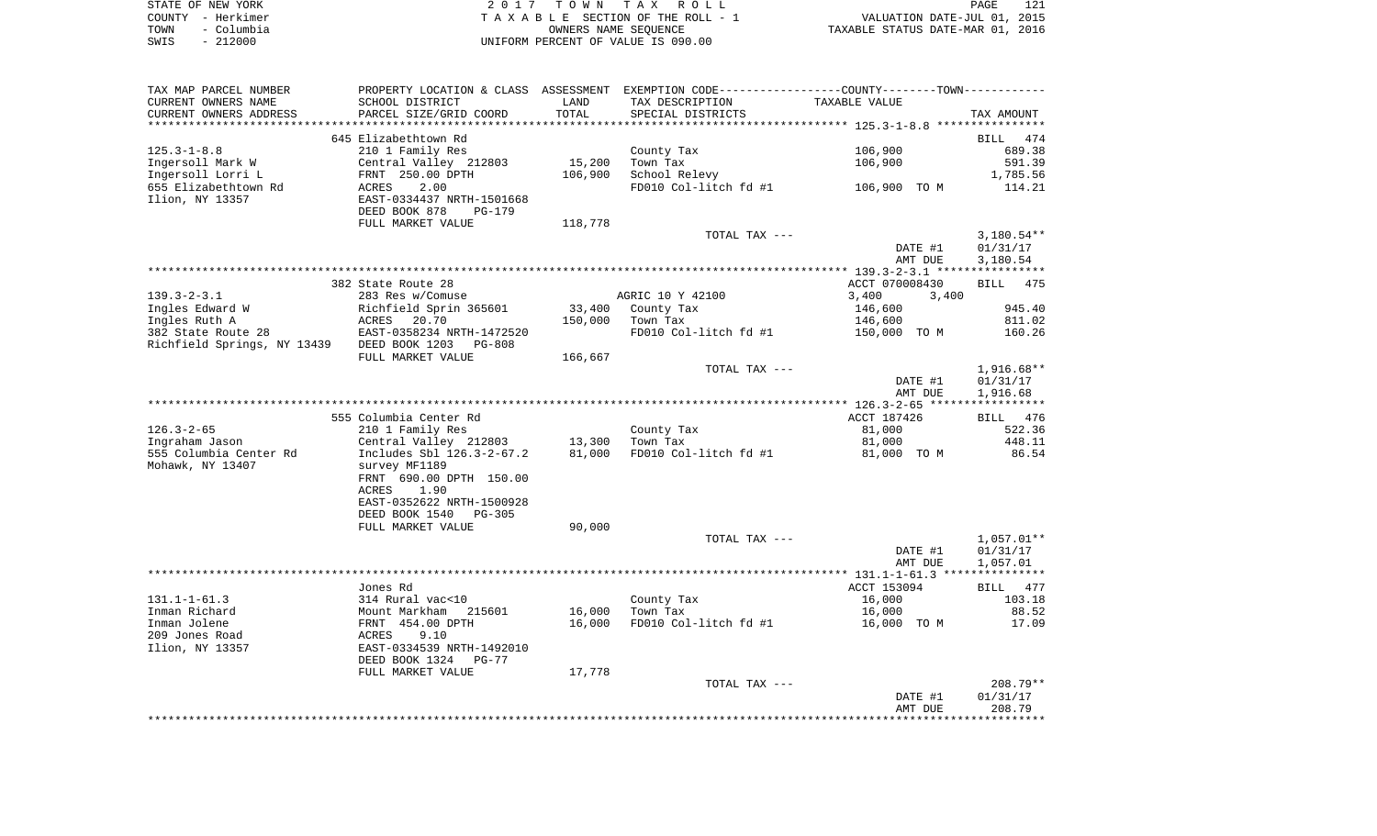| STATE OF NEW YORK  | 2017 TOWN TAX ROLL                 | 121<br>PAGE                      |
|--------------------|------------------------------------|----------------------------------|
| COUNTY - Herkimer  | TAXABLE SECTION OF THE ROLL - 1    | VALUATION DATE-JUL 01, 2015      |
| - Columbia<br>TOWN | OWNERS NAME SEOUENCE               | TAXABLE STATUS DATE-MAR 01, 2016 |
| $-212000$<br>SWIS  | UNIFORM PERCENT OF VALUE IS 090.00 |                                  |

| TAX MAP PARCEL NUMBER                      |                                          |         | PROPERTY LOCATION & CLASS ASSESSMENT EXEMPTION CODE----------------COUNTY--------TOWN----------- |                |              |
|--------------------------------------------|------------------------------------------|---------|--------------------------------------------------------------------------------------------------|----------------|--------------|
| CURRENT OWNERS NAME                        | SCHOOL DISTRICT                          | LAND    | TAX DESCRIPTION                                                                                  | TAXABLE VALUE  |              |
| CURRENT OWNERS ADDRESS                     | PARCEL SIZE/GRID COORD                   | TOTAL   | SPECIAL DISTRICTS                                                                                |                | TAX AMOUNT   |
|                                            |                                          |         |                                                                                                  |                |              |
|                                            | 645 Elizabethtown Rd                     |         |                                                                                                  |                | BILL 474     |
| $125.3 - 1 - 8.8$                          | 210 1 Family Res                         |         | County Tax                                                                                       | 106,900        | 689.38       |
| Ingersoll Mark W                           | Central Valley 212803                    | 15,200  | Town Tax                                                                                         | 106,900        | 591.39       |
| Ingersoll Lorri L                          | FRNT 250.00 DPTH                         | 106,900 | School Relevy                                                                                    |                | 1,785.56     |
| 655 Elizabethtown Rd                       | 2.00<br>ACRES                            |         |                                                                                                  | 106,900 TO M   | 114.21       |
| Ilion, NY 13357                            | EAST-0334437 NRTH-1501668                |         | FD010 Col-litch fd #1                                                                            |                |              |
|                                            |                                          |         |                                                                                                  |                |              |
|                                            | DEED BOOK 878<br>$PG-179$                |         |                                                                                                  |                |              |
|                                            | FULL MARKET VALUE                        | 118,778 |                                                                                                  |                |              |
|                                            |                                          |         | TOTAL TAX ---                                                                                    |                | $3,180.54**$ |
|                                            |                                          |         |                                                                                                  | DATE #1        | 01/31/17     |
|                                            |                                          |         |                                                                                                  | AMT DUE        | 3,180.54     |
|                                            |                                          |         |                                                                                                  |                |              |
|                                            | 382 State Route 28                       |         |                                                                                                  | ACCT 070008430 | BILL 475     |
| $139.3 - 2 - 3.1$                          | 283 Res w/Comuse                         |         | AGRIC 10 Y 42100                                                                                 | 3,400<br>3,400 |              |
|                                            |                                          | 33,400  | County Tax                                                                                       | 146,600        | 945.40       |
|                                            |                                          | 150,000 | Town Tax                                                                                         | 146,600        | 811.02       |
|                                            |                                          |         | FD010 Col-litch fd #1                                                                            | 150,000 TO M   | 160.26       |
| Richfield Springs, NY 13439 DEED BOOK 1203 | PG-808                                   |         |                                                                                                  |                |              |
|                                            | FULL MARKET VALUE                        | 166,667 |                                                                                                  |                |              |
|                                            |                                          |         | TOTAL TAX ---                                                                                    |                | $1,916.68**$ |
|                                            |                                          |         |                                                                                                  | DATE #1        | 01/31/17     |
|                                            |                                          |         |                                                                                                  | AMT DUE        | 1,916.68     |
|                                            |                                          |         |                                                                                                  |                |              |
|                                            | 555 Columbia Center Rd                   |         |                                                                                                  | ACCT 187426    | BILL 476     |
| $126.3 - 2 - 65$                           | 210 1 Family Res                         |         | County Tax                                                                                       | 81,000         | 522.36       |
| Ingraham Jason                             | Central Valley 212803                    | 13,300  | Town Tax                                                                                         | 81,000         | 448.11       |
| 555 Columbia Center Rd                     | Includes Sbl 126.3-2-67.2                | 81,000  | FD010 Col-litch fd #1                                                                            | 81,000 TO M    | 86.54        |
| Mohawk, NY 13407                           | survey MF1189                            |         |                                                                                                  |                |              |
|                                            | FRNT 690.00 DPTH 150.00                  |         |                                                                                                  |                |              |
|                                            | ACRES<br>1.90                            |         |                                                                                                  |                |              |
|                                            | EAST-0352622 NRTH-1500928                |         |                                                                                                  |                |              |
|                                            | DEED BOOK 1540<br>PG-305                 |         |                                                                                                  |                |              |
|                                            | FULL MARKET VALUE                        | 90,000  |                                                                                                  |                |              |
|                                            |                                          |         | TOTAL TAX ---                                                                                    |                |              |
|                                            |                                          |         |                                                                                                  |                | 1,057.01**   |
|                                            |                                          |         |                                                                                                  | DATE #1        | 01/31/17     |
|                                            |                                          |         |                                                                                                  | AMT DUE        | 1,057.01     |
|                                            |                                          |         |                                                                                                  |                |              |
|                                            | Jones Rd                                 |         |                                                                                                  | ACCT 153094    | BILL 477     |
| $131.1 - 1 - 61.3$                         | 314 Rural vac<10                         |         | County Tax                                                                                       | 16,000         | 103.18       |
| Inman Richard                              | Mount Markham 215601<br>FRNT 454.00 DPTH | 16,000  | Town Tax                                                                                         | 16,000         | 88.52        |
| Inman Jolene                               |                                          | 16,000  | FD010 Col-litch fd #1                                                                            | 16,000 TO M    | 17.09        |
| 209 Jones Road                             | <b>ACRES</b><br>9.10                     |         |                                                                                                  |                |              |
| Ilion, NY 13357                            | EAST-0334539 NRTH-1492010                |         |                                                                                                  |                |              |
|                                            | DEED BOOK 1324<br>PG-77                  |         |                                                                                                  |                |              |
|                                            | FULL MARKET VALUE                        | 17,778  |                                                                                                  |                |              |
|                                            |                                          |         | TOTAL TAX ---                                                                                    |                | 208.79**     |
|                                            |                                          |         |                                                                                                  | DATE #1        | 01/31/17     |
|                                            |                                          |         |                                                                                                  | AMT DUE        | 208.79       |
|                                            |                                          |         |                                                                                                  |                |              |
|                                            |                                          |         |                                                                                                  |                |              |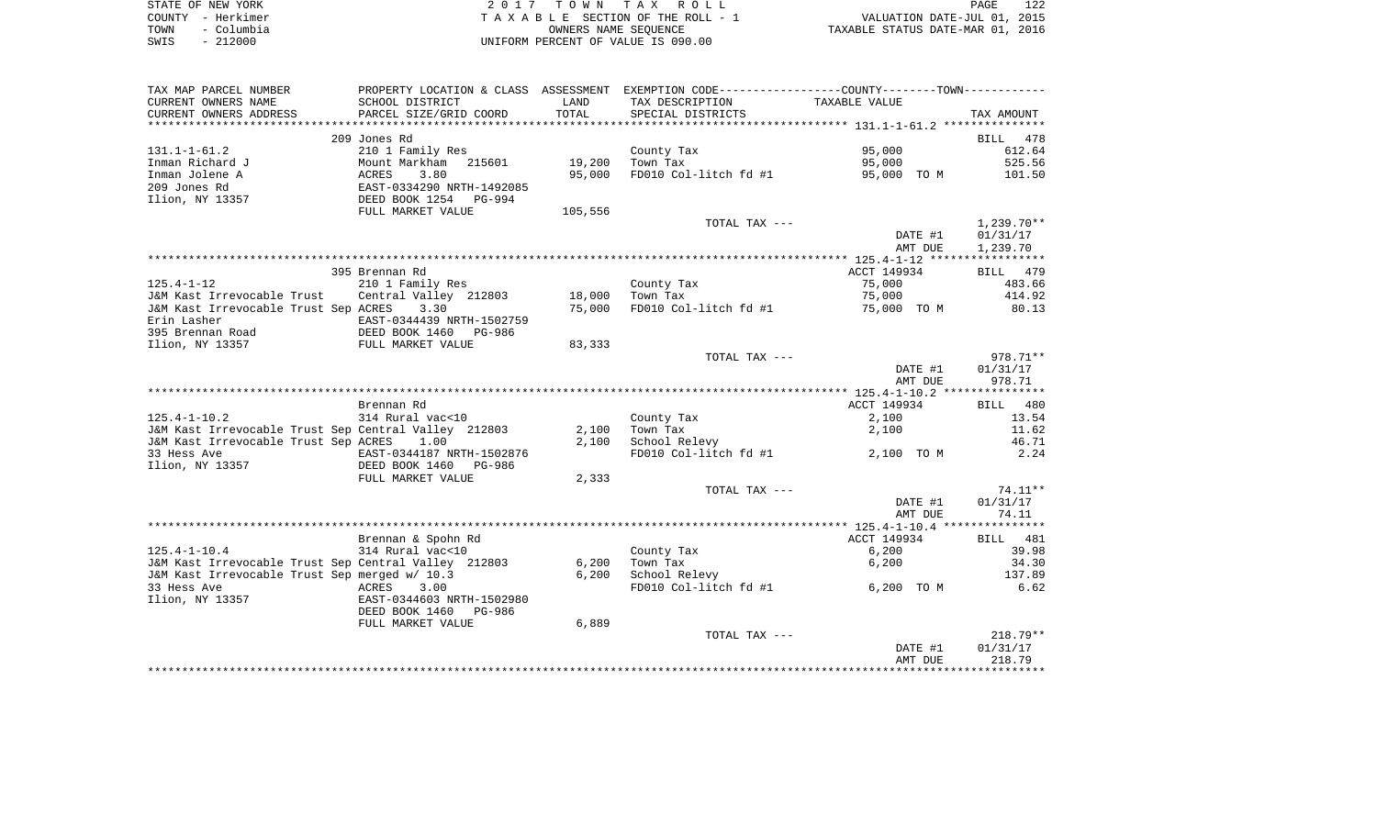|      | STATE OF NEW YORK | 2017 TOWN TAX ROLL                 | 122<br>PAGE                      |
|------|-------------------|------------------------------------|----------------------------------|
|      | COUNTY - Herkimer | TAXABLE SECTION OF THE ROLL - 1    | VALUATION DATE-JUL 01, 2015      |
| TOWN | - Columbia        | OWNERS NAME SEOUENCE               | TAXABLE STATUS DATE-MAR 01, 2016 |
| SWIS | $-212000$         | UNIFORM PERCENT OF VALUE IS 090.00 |                                  |

| TAX MAP PARCEL NUMBER                                |                           |         | PROPERTY LOCATION & CLASS ASSESSMENT EXEMPTION CODE---------------COUNTY-------TOWN---------- |               |                    |
|------------------------------------------------------|---------------------------|---------|-----------------------------------------------------------------------------------------------|---------------|--------------------|
| CURRENT OWNERS NAME                                  | SCHOOL DISTRICT           | LAND    | TAX DESCRIPTION                                                                               | TAXABLE VALUE |                    |
| CURRENT OWNERS ADDRESS                               | PARCEL SIZE/GRID COORD    | TOTAL   | SPECIAL DISTRICTS                                                                             |               | TAX AMOUNT         |
|                                                      |                           |         |                                                                                               |               |                    |
|                                                      | 209 Jones Rd              |         |                                                                                               |               | <b>BILL</b><br>478 |
| $131.1 - 1 - 61.2$                                   | 210 1 Family Res          |         | County Tax                                                                                    | 95,000        | 612.64             |
| Inman Richard J                                      | Mount Markham 215601      | 19,200  | Town Tax                                                                                      | 95,000        | 525.56             |
| Inman Jolene A                                       | 3.80<br>ACRES             | 95,000  | FD010 Col-litch fd #1                                                                         | 95,000 TO M   | 101.50             |
| 209 Jones Rd                                         | EAST-0334290 NRTH-1492085 |         |                                                                                               |               |                    |
| Ilion, NY 13357                                      | DEED BOOK 1254 PG-994     |         |                                                                                               |               |                    |
|                                                      | FULL MARKET VALUE         | 105,556 |                                                                                               |               |                    |
|                                                      |                           |         | TOTAL TAX ---                                                                                 |               | $1,239.70**$       |
|                                                      |                           |         |                                                                                               | DATE #1       | 01/31/17           |
|                                                      |                           |         |                                                                                               | AMT DUE       | 1,239.70           |
|                                                      |                           |         |                                                                                               |               |                    |
|                                                      | 395 Brennan Rd            |         |                                                                                               | ACCT 149934   | BILL 479           |
| $125.4 - 1 - 12$                                     | 210 1 Family Res          |         | County Tax                                                                                    | 75,000        | 483.66             |
| J&M Kast Irrevocable Trust                           | Central Valley 212803     | 18,000  | Town Tax                                                                                      | 75,000        | 414.92             |
| J&M Kast Irrevocable Trust Sep ACRES                 | 3.30                      | 75,000  | FD010 Col-litch fd #1                                                                         | 75,000 TO M   | 80.13              |
| Erin Lasher                                          | EAST-0344439 NRTH-1502759 |         |                                                                                               |               |                    |
| 395 Brennan Road                                     | DEED BOOK 1460<br>PG-986  |         |                                                                                               |               |                    |
| Ilion, NY 13357                                      | FULL MARKET VALUE         | 83,333  |                                                                                               |               |                    |
|                                                      |                           |         | TOTAL TAX ---                                                                                 |               | 978.71**           |
|                                                      |                           |         |                                                                                               | DATE #1       | 01/31/17           |
|                                                      |                           |         |                                                                                               | AMT DUE       | 978.71             |
|                                                      |                           |         |                                                                                               |               |                    |
|                                                      | Brennan Rd                |         |                                                                                               | ACCT 149934   | 480<br><b>BILL</b> |
| $125.4 - 1 - 10.2$                                   | 314 Rural vac<10          |         | County Tax                                                                                    | 2,100         | 13.54              |
| J&M Kast Irrevocable Trust Sep Central Valley 212803 |                           | 2,100   | Town Tax                                                                                      | 2,100         | 11.62              |
| J&M Kast Irrevocable Trust Sep ACRES                 | 1.00                      | 2,100   | School Relevy                                                                                 |               | 46.71              |
| 33 Hess Ave                                          | EAST-0344187 NRTH-1502876 |         | FD010 Col-litch fd #1                                                                         | 2,100 TO M    | 2.24               |
| Ilion, NY 13357                                      | DEED BOOK 1460<br>PG-986  |         |                                                                                               |               |                    |
|                                                      | FULL MARKET VALUE         | 2,333   |                                                                                               |               |                    |
|                                                      |                           |         | TOTAL TAX ---                                                                                 |               | $74.11**$          |
|                                                      |                           |         |                                                                                               | DATE #1       | 01/31/17           |
|                                                      |                           |         |                                                                                               | AMT DUE       | 74.11              |
|                                                      |                           |         |                                                                                               |               |                    |
|                                                      | Brennan & Spohn Rd        |         |                                                                                               | ACCT 149934   | BILL 481           |
| $125.4 - 1 - 10.4$                                   | 314 Rural vac<10          |         | County Tax                                                                                    | 6,200         | 39.98              |
| J&M Kast Irrevocable Trust Sep Central Valley 212803 |                           | 6,200   | Town Tax                                                                                      | 6,200         | 34.30              |
| J&M Kast Irrevocable Trust Sep merged w/ 10.3        |                           | 6,200   | School Relevy                                                                                 |               | 137.89             |
| 33 Hess Ave                                          | ACRES<br>3.00             |         | FD010 Col-litch fd #1                                                                         | 6,200 TO M    | 6.62               |
| Ilion, NY 13357                                      | EAST-0344603 NRTH-1502980 |         |                                                                                               |               |                    |
|                                                      | DEED BOOK 1460<br>PG-986  |         |                                                                                               |               |                    |
|                                                      | FULL MARKET VALUE         | 6,889   |                                                                                               |               |                    |
|                                                      |                           |         | TOTAL TAX ---                                                                                 |               | $218.79**$         |
|                                                      |                           |         |                                                                                               | DATE #1       | 01/31/17           |
|                                                      |                           |         |                                                                                               | AMT DUE       | 218.79             |
|                                                      |                           |         |                                                                                               |               |                    |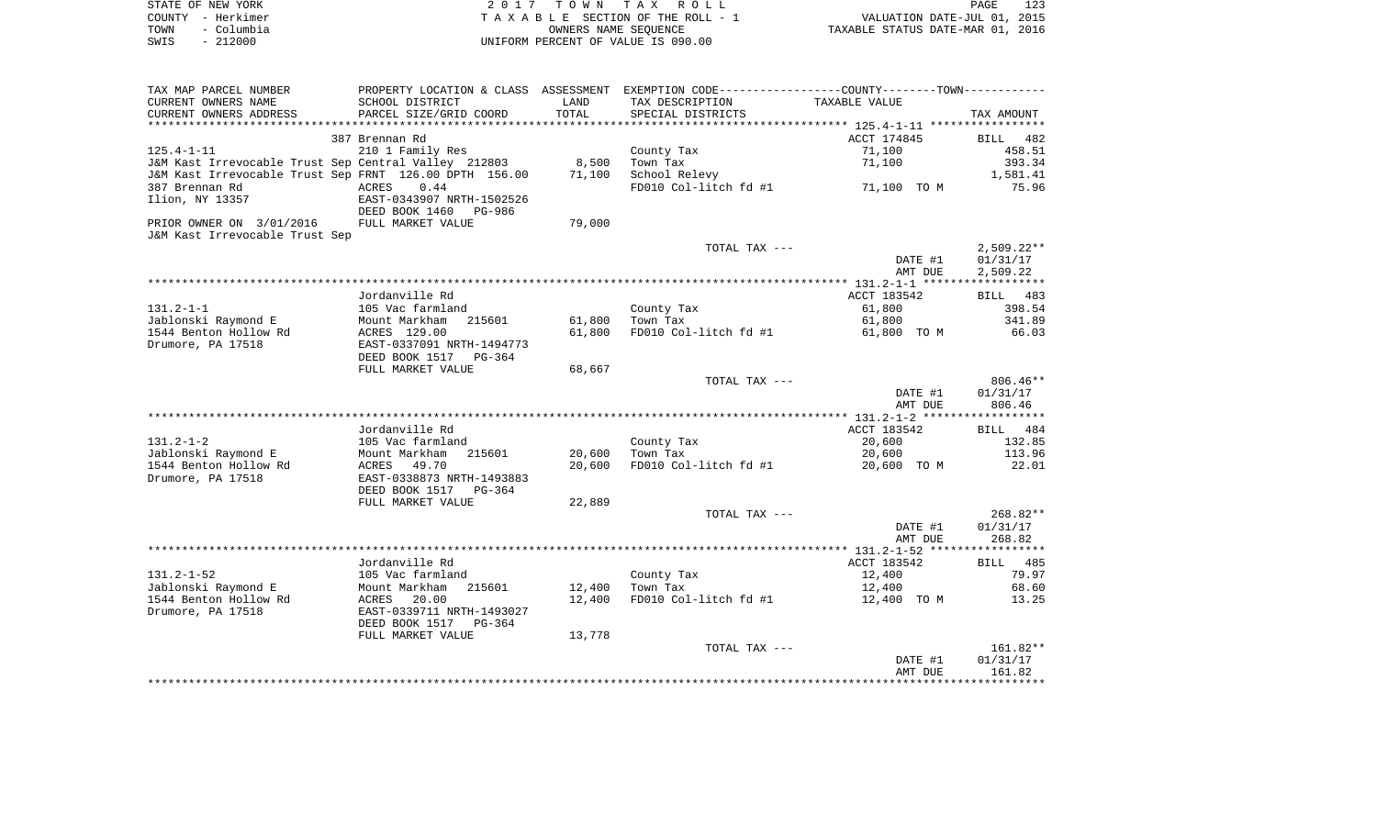| STATE OF NEW YORK |                   | 2017 TOWN TAX ROLL                 | PAGE                             | 123 |
|-------------------|-------------------|------------------------------------|----------------------------------|-----|
|                   | COUNTY - Herkimer | TAXABLE SECTION OF THE ROLL - 1    | VALUATION DATE-JUL 01, 2015      |     |
|                   | TOWN - Columbia   | OWNERS NAME SEOUENCE               | TAXABLE STATUS DATE-MAR 01, 2016 |     |
| SWIS              | - 212000          | UNIFORM PERCENT OF VALUE IS 090.00 |                                  |     |

| TAX MAP PARCEL NUMBER                                  | PROPERTY LOCATION & CLASS ASSESSMENT EXEMPTION CODE---------------COUNTY-------TOWN---------- |        |                       |               |                      |
|--------------------------------------------------------|-----------------------------------------------------------------------------------------------|--------|-----------------------|---------------|----------------------|
| CURRENT OWNERS NAME                                    | SCHOOL DISTRICT                                                                               | LAND   | TAX DESCRIPTION       | TAXABLE VALUE |                      |
| CURRENT OWNERS ADDRESS                                 | PARCEL SIZE/GRID COORD                                                                        | TOTAL  | SPECIAL DISTRICTS     |               | TAX AMOUNT           |
| *******************                                    |                                                                                               |        |                       |               |                      |
|                                                        | 387 Brennan Rd                                                                                |        |                       | ACCT 174845   | <b>BILL</b><br>482   |
| $125.4 - 1 - 11$                                       | 210 1 Family Res                                                                              |        | County Tax            | 71,100        | 458.51               |
| J&M Kast Irrevocable Trust Sep Central Valley 212803   |                                                                                               | 8,500  | Town Tax              | 71,100        | 393.34               |
| J&M Kast Irrevocable Trust Sep FRNT 126.00 DPTH 156.00 |                                                                                               | 71,100 | School Relevy         |               | 1,581.41             |
| 387 Brennan Rd                                         | ACRES<br>0.44                                                                                 |        | FD010 Col-litch fd #1 | 71,100 TO M   | 75.96                |
| Ilion, NY 13357                                        | EAST-0343907 NRTH-1502526                                                                     |        |                       |               |                      |
|                                                        | DEED BOOK 1460<br>PG-986                                                                      |        |                       |               |                      |
| PRIOR OWNER ON 3/01/2016                               | FULL MARKET VALUE                                                                             | 79,000 |                       |               |                      |
| J&M Kast Irrevocable Trust Sep                         |                                                                                               |        |                       |               |                      |
|                                                        |                                                                                               |        | TOTAL TAX ---         |               | $2,509.22**$         |
|                                                        |                                                                                               |        |                       | DATE #1       | 01/31/17             |
|                                                        |                                                                                               |        |                       | AMT DUE       | 2,509.22             |
|                                                        | Jordanville Rd                                                                                |        |                       | ACCT 183542   | BILL 483             |
| $131.2 - 1 - 1$                                        | 105 Vac farmland                                                                              |        | County Tax            | 61,800        | 398.54               |
| Jablonski Raymond E                                    | Mount Markham<br>215601                                                                       | 61,800 | Town Tax              | 61,800        | 341.89               |
| 1544 Benton Hollow Rd                                  | ACRES 129.00                                                                                  | 61,800 | FD010 Col-litch fd #1 | 61,800 TO M   | 66.03                |
| Drumore, PA 17518                                      | EAST-0337091 NRTH-1494773                                                                     |        |                       |               |                      |
|                                                        | DEED BOOK 1517 PG-364                                                                         |        |                       |               |                      |
|                                                        | FULL MARKET VALUE                                                                             | 68,667 |                       |               |                      |
|                                                        |                                                                                               |        | TOTAL TAX ---         |               | $806.46**$           |
|                                                        |                                                                                               |        |                       | DATE #1       | 01/31/17             |
|                                                        |                                                                                               |        |                       | AMT DUE       | 806.46               |
|                                                        |                                                                                               |        |                       |               |                      |
|                                                        | Jordanville Rd                                                                                |        |                       | ACCT 183542   | BILL 484             |
| $131.2 - 1 - 2$                                        | 105 Vac farmland                                                                              |        | County Tax            | 20,600        | 132.85               |
| Jablonski Raymond E                                    | Mount Markham<br>215601                                                                       | 20,600 | Town Tax              | 20,600        | 113.96               |
| 1544 Benton Hollow Rd                                  | ACRES<br>49.70                                                                                | 20,600 | FD010 Col-litch fd #1 | 20,600 TO M   | 22.01                |
| Drumore, PA 17518                                      | EAST-0338873 NRTH-1493883                                                                     |        |                       |               |                      |
|                                                        | DEED BOOK 1517<br>PG-364                                                                      |        |                       |               |                      |
|                                                        | FULL MARKET VALUE                                                                             | 22,889 |                       |               |                      |
|                                                        |                                                                                               |        | TOTAL TAX ---         |               | 268.82**             |
|                                                        |                                                                                               |        |                       | DATE #1       | 01/31/17             |
|                                                        |                                                                                               |        |                       | AMT DUE       | 268.82               |
|                                                        |                                                                                               |        |                       |               |                      |
|                                                        | Jordanville Rd                                                                                |        |                       | ACCT 183542   | <b>BILL</b> 485      |
| $131.2 - 1 - 52$                                       | 105 Vac farmland                                                                              |        | County Tax            | 12,400        | 79.97                |
| Jablonski Raymond E                                    | Mount Markham<br>215601                                                                       | 12,400 | Town Tax              | 12,400        | 68.60                |
| 1544 Benton Hollow Rd                                  | 20.00<br>ACRES                                                                                | 12,400 | FD010 Col-litch fd #1 | 12,400 TO M   | 13.25                |
| Drumore, PA 17518                                      | EAST-0339711 NRTH-1493027                                                                     |        |                       |               |                      |
|                                                        | DEED BOOK 1517<br>PG-364                                                                      |        |                       |               |                      |
|                                                        | FULL MARKET VALUE                                                                             | 13,778 |                       |               |                      |
|                                                        |                                                                                               |        | TOTAL TAX ---         | DATE #1       | 161.82**<br>01/31/17 |
|                                                        |                                                                                               |        |                       | AMT DUE       | 161.82               |
|                                                        |                                                                                               |        |                       |               |                      |
|                                                        |                                                                                               |        |                       |               |                      |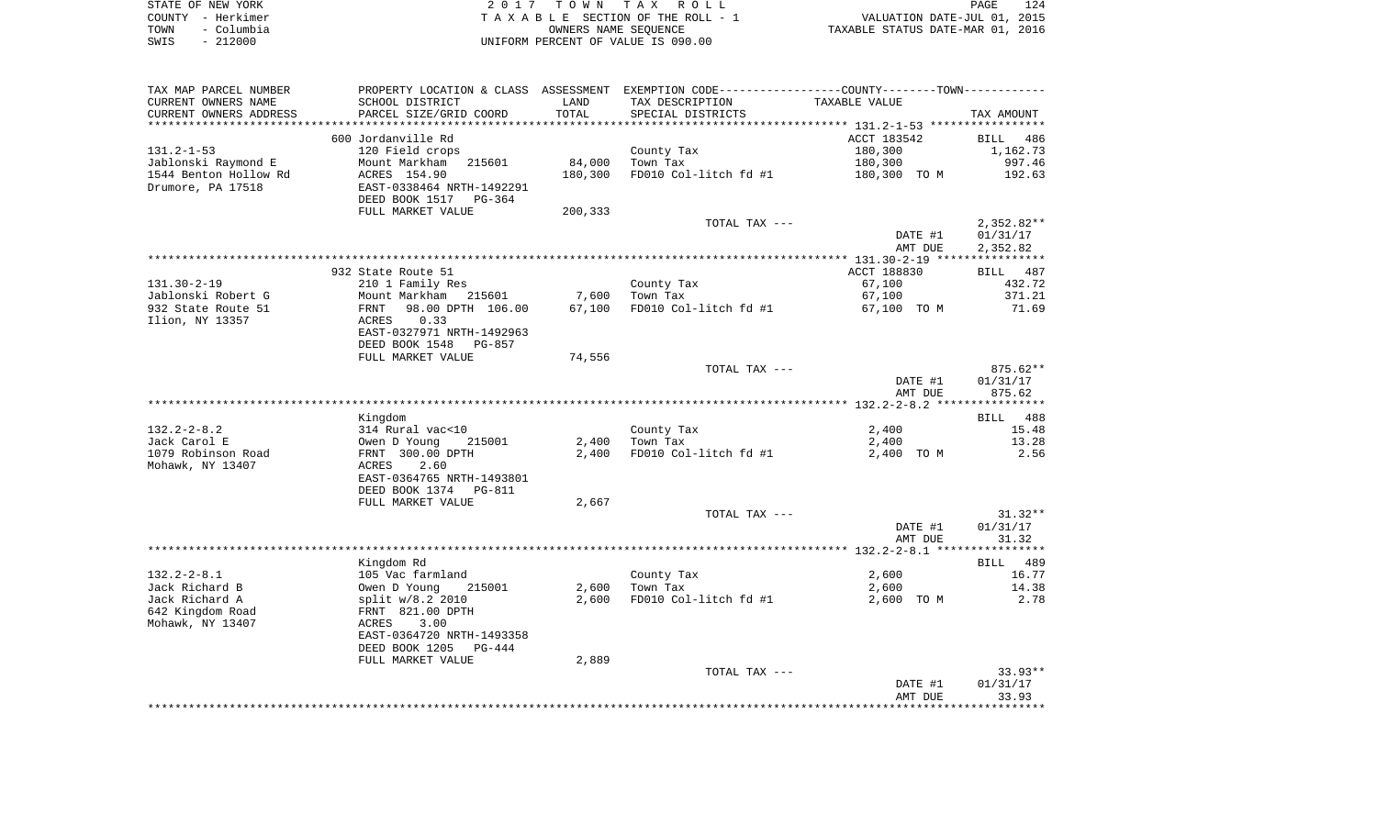|      | STATE OF NEW YORK | 2017 TOWN TAX ROLL                 | 124<br>PAGE                      |  |
|------|-------------------|------------------------------------|----------------------------------|--|
|      | COUNTY - Herkimer | TAXABLE SECTION OF THE ROLL - 1    | VALUATION DATE-JUL 01, 2015      |  |
| TOWN | - Columbia        | OWNERS NAME SEOUENCE               | TAXABLE STATUS DATE-MAR 01, 2016 |  |
| SWIS | $-212000$         | UNIFORM PERCENT OF VALUE IS 090.00 |                                  |  |

| TOTAL<br>CURRENT OWNERS ADDRESS<br>PARCEL SIZE/GRID COORD<br>SPECIAL DISTRICTS<br>TAX AMOUNT<br>600 Jordanville Rd<br>ACCT 183542<br>BILL 486<br>120 Field crops<br>County Tax<br>180,300<br>1,162.73<br>84,000<br>180,300<br>Mount Markham 215601<br>Town Tax<br>997.46<br>180,300<br>192.63<br>ACRES 154.90<br>FD010 Col-litch fd #1<br>180,300 TO M<br>EAST-0338464 NRTH-1492291<br>DEED BOOK 1517 PG-364<br>FULL MARKET VALUE<br>200,333<br>$2,352.82**$<br>TOTAL TAX ---<br>DATE #1<br>01/31/17<br>AMT DUE<br>2,352.82<br>ACCT 188830<br>932 State Route 51<br>BILL 487<br>131.30-2-19<br>County Tax<br>432.72<br>210 1 Family Res<br>67,100<br>Jablonski Robert G<br>Mount Markham 215601<br>7,600<br>Town Tax<br>67,100<br>371.21<br>932 State Route 51<br>FRNT 98.00 DPTH 106.00<br>67,100<br>FD010 Col-litch fd #1<br>71.69<br>67,100 TO M<br>Ilion, NY 13357<br>0.33<br>ACRES<br>EAST-0327971 NRTH-1492963<br>DEED BOOK 1548<br><b>PG-857</b><br>FULL MARKET VALUE<br>74,556<br>TOTAL TAX ---<br>875.62**<br>DATE #1<br>01/31/17<br>AMT DUE<br>875.62<br>Kingdom<br>BILL 488<br>$132.2 - 2 - 8.2$<br>314 Rural vac<10<br>County Tax<br>2,400<br>15.48<br>Owen D Young<br>Jack Carol E<br>215001<br>2,400<br>Town Tax<br>2,400<br>13.28<br>1079 Robinson Road<br>FRNT 300.00 DPTH<br>2,400<br>FD010 Col-litch fd #1<br>2.56<br>2,400 TO M<br>Mohawk, NY 13407<br>2.60<br>ACRES<br>EAST-0364765 NRTH-1493801<br>DEED BOOK 1374 PG-811<br>2,667<br>FULL MARKET VALUE<br>$31.32**$<br>TOTAL TAX ---<br>DATE #1<br>01/31/17<br>AMT DUE<br>31.32<br>Kingdom Rd<br>BILL 489<br>16.77<br>$132.2 - 2 - 8.1$<br>105 Vac farmland<br>County Tax<br>2,600<br>Jack Richard B<br>2,600<br>Town Tax<br>2,600<br>14.38<br>Owen D Young<br>215001<br>Jack Richard A<br>split w/8.2 2010<br>2,600<br>FD010 Col-litch fd #1<br>2,600 TO M<br>2.78<br>642 Kingdom Road<br>FRNT 821.00 DPTH<br>Mohawk, NY 13407<br>ACRES<br>3.00<br>EAST-0364720 NRTH-1493358<br>DEED BOOK 1205<br>PG-444<br>2,889<br>FULL MARKET VALUE<br>$33.93**$<br>TOTAL TAX ---<br>01/31/17<br>DATE #1<br>AMT DUE<br>33.93 | TAX MAP PARCEL NUMBER<br>CURRENT OWNERS NAME | PROPERTY LOCATION & CLASS ASSESSMENT EXEMPTION CODE---------------COUNTY-------TOWN----------<br>SCHOOL DISTRICT | LAND | TAX DESCRIPTION | TAXABLE VALUE |  |
|---------------------------------------------------------------------------------------------------------------------------------------------------------------------------------------------------------------------------------------------------------------------------------------------------------------------------------------------------------------------------------------------------------------------------------------------------------------------------------------------------------------------------------------------------------------------------------------------------------------------------------------------------------------------------------------------------------------------------------------------------------------------------------------------------------------------------------------------------------------------------------------------------------------------------------------------------------------------------------------------------------------------------------------------------------------------------------------------------------------------------------------------------------------------------------------------------------------------------------------------------------------------------------------------------------------------------------------------------------------------------------------------------------------------------------------------------------------------------------------------------------------------------------------------------------------------------------------------------------------------------------------------------------------------------------------------------------------------------------------------------------------------------------------------------------------------------------------------------------------------------------------------------------------------------------------------------------------------------------------------------------------------------------------------------------------------------------------|----------------------------------------------|------------------------------------------------------------------------------------------------------------------|------|-----------------|---------------|--|
|                                                                                                                                                                                                                                                                                                                                                                                                                                                                                                                                                                                                                                                                                                                                                                                                                                                                                                                                                                                                                                                                                                                                                                                                                                                                                                                                                                                                                                                                                                                                                                                                                                                                                                                                                                                                                                                                                                                                                                                                                                                                                       |                                              |                                                                                                                  |      |                 |               |  |
|                                                                                                                                                                                                                                                                                                                                                                                                                                                                                                                                                                                                                                                                                                                                                                                                                                                                                                                                                                                                                                                                                                                                                                                                                                                                                                                                                                                                                                                                                                                                                                                                                                                                                                                                                                                                                                                                                                                                                                                                                                                                                       |                                              |                                                                                                                  |      |                 |               |  |
|                                                                                                                                                                                                                                                                                                                                                                                                                                                                                                                                                                                                                                                                                                                                                                                                                                                                                                                                                                                                                                                                                                                                                                                                                                                                                                                                                                                                                                                                                                                                                                                                                                                                                                                                                                                                                                                                                                                                                                                                                                                                                       |                                              |                                                                                                                  |      |                 |               |  |
|                                                                                                                                                                                                                                                                                                                                                                                                                                                                                                                                                                                                                                                                                                                                                                                                                                                                                                                                                                                                                                                                                                                                                                                                                                                                                                                                                                                                                                                                                                                                                                                                                                                                                                                                                                                                                                                                                                                                                                                                                                                                                       | $131.2 - 1 - 53$                             |                                                                                                                  |      |                 |               |  |
|                                                                                                                                                                                                                                                                                                                                                                                                                                                                                                                                                                                                                                                                                                                                                                                                                                                                                                                                                                                                                                                                                                                                                                                                                                                                                                                                                                                                                                                                                                                                                                                                                                                                                                                                                                                                                                                                                                                                                                                                                                                                                       | Jablonski Raymond E                          |                                                                                                                  |      |                 |               |  |
|                                                                                                                                                                                                                                                                                                                                                                                                                                                                                                                                                                                                                                                                                                                                                                                                                                                                                                                                                                                                                                                                                                                                                                                                                                                                                                                                                                                                                                                                                                                                                                                                                                                                                                                                                                                                                                                                                                                                                                                                                                                                                       | 1544 Benton Hollow Rd                        |                                                                                                                  |      |                 |               |  |
|                                                                                                                                                                                                                                                                                                                                                                                                                                                                                                                                                                                                                                                                                                                                                                                                                                                                                                                                                                                                                                                                                                                                                                                                                                                                                                                                                                                                                                                                                                                                                                                                                                                                                                                                                                                                                                                                                                                                                                                                                                                                                       | Drumore, PA 17518                            |                                                                                                                  |      |                 |               |  |
|                                                                                                                                                                                                                                                                                                                                                                                                                                                                                                                                                                                                                                                                                                                                                                                                                                                                                                                                                                                                                                                                                                                                                                                                                                                                                                                                                                                                                                                                                                                                                                                                                                                                                                                                                                                                                                                                                                                                                                                                                                                                                       |                                              |                                                                                                                  |      |                 |               |  |
|                                                                                                                                                                                                                                                                                                                                                                                                                                                                                                                                                                                                                                                                                                                                                                                                                                                                                                                                                                                                                                                                                                                                                                                                                                                                                                                                                                                                                                                                                                                                                                                                                                                                                                                                                                                                                                                                                                                                                                                                                                                                                       |                                              |                                                                                                                  |      |                 |               |  |
|                                                                                                                                                                                                                                                                                                                                                                                                                                                                                                                                                                                                                                                                                                                                                                                                                                                                                                                                                                                                                                                                                                                                                                                                                                                                                                                                                                                                                                                                                                                                                                                                                                                                                                                                                                                                                                                                                                                                                                                                                                                                                       |                                              |                                                                                                                  |      |                 |               |  |
|                                                                                                                                                                                                                                                                                                                                                                                                                                                                                                                                                                                                                                                                                                                                                                                                                                                                                                                                                                                                                                                                                                                                                                                                                                                                                                                                                                                                                                                                                                                                                                                                                                                                                                                                                                                                                                                                                                                                                                                                                                                                                       |                                              |                                                                                                                  |      |                 |               |  |
|                                                                                                                                                                                                                                                                                                                                                                                                                                                                                                                                                                                                                                                                                                                                                                                                                                                                                                                                                                                                                                                                                                                                                                                                                                                                                                                                                                                                                                                                                                                                                                                                                                                                                                                                                                                                                                                                                                                                                                                                                                                                                       |                                              |                                                                                                                  |      |                 |               |  |
|                                                                                                                                                                                                                                                                                                                                                                                                                                                                                                                                                                                                                                                                                                                                                                                                                                                                                                                                                                                                                                                                                                                                                                                                                                                                                                                                                                                                                                                                                                                                                                                                                                                                                                                                                                                                                                                                                                                                                                                                                                                                                       |                                              |                                                                                                                  |      |                 |               |  |
|                                                                                                                                                                                                                                                                                                                                                                                                                                                                                                                                                                                                                                                                                                                                                                                                                                                                                                                                                                                                                                                                                                                                                                                                                                                                                                                                                                                                                                                                                                                                                                                                                                                                                                                                                                                                                                                                                                                                                                                                                                                                                       |                                              |                                                                                                                  |      |                 |               |  |
|                                                                                                                                                                                                                                                                                                                                                                                                                                                                                                                                                                                                                                                                                                                                                                                                                                                                                                                                                                                                                                                                                                                                                                                                                                                                                                                                                                                                                                                                                                                                                                                                                                                                                                                                                                                                                                                                                                                                                                                                                                                                                       |                                              |                                                                                                                  |      |                 |               |  |
|                                                                                                                                                                                                                                                                                                                                                                                                                                                                                                                                                                                                                                                                                                                                                                                                                                                                                                                                                                                                                                                                                                                                                                                                                                                                                                                                                                                                                                                                                                                                                                                                                                                                                                                                                                                                                                                                                                                                                                                                                                                                                       |                                              |                                                                                                                  |      |                 |               |  |
|                                                                                                                                                                                                                                                                                                                                                                                                                                                                                                                                                                                                                                                                                                                                                                                                                                                                                                                                                                                                                                                                                                                                                                                                                                                                                                                                                                                                                                                                                                                                                                                                                                                                                                                                                                                                                                                                                                                                                                                                                                                                                       |                                              |                                                                                                                  |      |                 |               |  |
|                                                                                                                                                                                                                                                                                                                                                                                                                                                                                                                                                                                                                                                                                                                                                                                                                                                                                                                                                                                                                                                                                                                                                                                                                                                                                                                                                                                                                                                                                                                                                                                                                                                                                                                                                                                                                                                                                                                                                                                                                                                                                       |                                              |                                                                                                                  |      |                 |               |  |
|                                                                                                                                                                                                                                                                                                                                                                                                                                                                                                                                                                                                                                                                                                                                                                                                                                                                                                                                                                                                                                                                                                                                                                                                                                                                                                                                                                                                                                                                                                                                                                                                                                                                                                                                                                                                                                                                                                                                                                                                                                                                                       |                                              |                                                                                                                  |      |                 |               |  |
|                                                                                                                                                                                                                                                                                                                                                                                                                                                                                                                                                                                                                                                                                                                                                                                                                                                                                                                                                                                                                                                                                                                                                                                                                                                                                                                                                                                                                                                                                                                                                                                                                                                                                                                                                                                                                                                                                                                                                                                                                                                                                       |                                              |                                                                                                                  |      |                 |               |  |
|                                                                                                                                                                                                                                                                                                                                                                                                                                                                                                                                                                                                                                                                                                                                                                                                                                                                                                                                                                                                                                                                                                                                                                                                                                                                                                                                                                                                                                                                                                                                                                                                                                                                                                                                                                                                                                                                                                                                                                                                                                                                                       |                                              |                                                                                                                  |      |                 |               |  |
|                                                                                                                                                                                                                                                                                                                                                                                                                                                                                                                                                                                                                                                                                                                                                                                                                                                                                                                                                                                                                                                                                                                                                                                                                                                                                                                                                                                                                                                                                                                                                                                                                                                                                                                                                                                                                                                                                                                                                                                                                                                                                       |                                              |                                                                                                                  |      |                 |               |  |
|                                                                                                                                                                                                                                                                                                                                                                                                                                                                                                                                                                                                                                                                                                                                                                                                                                                                                                                                                                                                                                                                                                                                                                                                                                                                                                                                                                                                                                                                                                                                                                                                                                                                                                                                                                                                                                                                                                                                                                                                                                                                                       |                                              |                                                                                                                  |      |                 |               |  |
|                                                                                                                                                                                                                                                                                                                                                                                                                                                                                                                                                                                                                                                                                                                                                                                                                                                                                                                                                                                                                                                                                                                                                                                                                                                                                                                                                                                                                                                                                                                                                                                                                                                                                                                                                                                                                                                                                                                                                                                                                                                                                       |                                              |                                                                                                                  |      |                 |               |  |
|                                                                                                                                                                                                                                                                                                                                                                                                                                                                                                                                                                                                                                                                                                                                                                                                                                                                                                                                                                                                                                                                                                                                                                                                                                                                                                                                                                                                                                                                                                                                                                                                                                                                                                                                                                                                                                                                                                                                                                                                                                                                                       |                                              |                                                                                                                  |      |                 |               |  |
|                                                                                                                                                                                                                                                                                                                                                                                                                                                                                                                                                                                                                                                                                                                                                                                                                                                                                                                                                                                                                                                                                                                                                                                                                                                                                                                                                                                                                                                                                                                                                                                                                                                                                                                                                                                                                                                                                                                                                                                                                                                                                       |                                              |                                                                                                                  |      |                 |               |  |
|                                                                                                                                                                                                                                                                                                                                                                                                                                                                                                                                                                                                                                                                                                                                                                                                                                                                                                                                                                                                                                                                                                                                                                                                                                                                                                                                                                                                                                                                                                                                                                                                                                                                                                                                                                                                                                                                                                                                                                                                                                                                                       |                                              |                                                                                                                  |      |                 |               |  |
|                                                                                                                                                                                                                                                                                                                                                                                                                                                                                                                                                                                                                                                                                                                                                                                                                                                                                                                                                                                                                                                                                                                                                                                                                                                                                                                                                                                                                                                                                                                                                                                                                                                                                                                                                                                                                                                                                                                                                                                                                                                                                       |                                              |                                                                                                                  |      |                 |               |  |
|                                                                                                                                                                                                                                                                                                                                                                                                                                                                                                                                                                                                                                                                                                                                                                                                                                                                                                                                                                                                                                                                                                                                                                                                                                                                                                                                                                                                                                                                                                                                                                                                                                                                                                                                                                                                                                                                                                                                                                                                                                                                                       |                                              |                                                                                                                  |      |                 |               |  |
|                                                                                                                                                                                                                                                                                                                                                                                                                                                                                                                                                                                                                                                                                                                                                                                                                                                                                                                                                                                                                                                                                                                                                                                                                                                                                                                                                                                                                                                                                                                                                                                                                                                                                                                                                                                                                                                                                                                                                                                                                                                                                       |                                              |                                                                                                                  |      |                 |               |  |
|                                                                                                                                                                                                                                                                                                                                                                                                                                                                                                                                                                                                                                                                                                                                                                                                                                                                                                                                                                                                                                                                                                                                                                                                                                                                                                                                                                                                                                                                                                                                                                                                                                                                                                                                                                                                                                                                                                                                                                                                                                                                                       |                                              |                                                                                                                  |      |                 |               |  |
|                                                                                                                                                                                                                                                                                                                                                                                                                                                                                                                                                                                                                                                                                                                                                                                                                                                                                                                                                                                                                                                                                                                                                                                                                                                                                                                                                                                                                                                                                                                                                                                                                                                                                                                                                                                                                                                                                                                                                                                                                                                                                       |                                              |                                                                                                                  |      |                 |               |  |
|                                                                                                                                                                                                                                                                                                                                                                                                                                                                                                                                                                                                                                                                                                                                                                                                                                                                                                                                                                                                                                                                                                                                                                                                                                                                                                                                                                                                                                                                                                                                                                                                                                                                                                                                                                                                                                                                                                                                                                                                                                                                                       |                                              |                                                                                                                  |      |                 |               |  |
|                                                                                                                                                                                                                                                                                                                                                                                                                                                                                                                                                                                                                                                                                                                                                                                                                                                                                                                                                                                                                                                                                                                                                                                                                                                                                                                                                                                                                                                                                                                                                                                                                                                                                                                                                                                                                                                                                                                                                                                                                                                                                       |                                              |                                                                                                                  |      |                 |               |  |
|                                                                                                                                                                                                                                                                                                                                                                                                                                                                                                                                                                                                                                                                                                                                                                                                                                                                                                                                                                                                                                                                                                                                                                                                                                                                                                                                                                                                                                                                                                                                                                                                                                                                                                                                                                                                                                                                                                                                                                                                                                                                                       |                                              |                                                                                                                  |      |                 |               |  |
|                                                                                                                                                                                                                                                                                                                                                                                                                                                                                                                                                                                                                                                                                                                                                                                                                                                                                                                                                                                                                                                                                                                                                                                                                                                                                                                                                                                                                                                                                                                                                                                                                                                                                                                                                                                                                                                                                                                                                                                                                                                                                       |                                              |                                                                                                                  |      |                 |               |  |
|                                                                                                                                                                                                                                                                                                                                                                                                                                                                                                                                                                                                                                                                                                                                                                                                                                                                                                                                                                                                                                                                                                                                                                                                                                                                                                                                                                                                                                                                                                                                                                                                                                                                                                                                                                                                                                                                                                                                                                                                                                                                                       |                                              |                                                                                                                  |      |                 |               |  |
|                                                                                                                                                                                                                                                                                                                                                                                                                                                                                                                                                                                                                                                                                                                                                                                                                                                                                                                                                                                                                                                                                                                                                                                                                                                                                                                                                                                                                                                                                                                                                                                                                                                                                                                                                                                                                                                                                                                                                                                                                                                                                       |                                              |                                                                                                                  |      |                 |               |  |
|                                                                                                                                                                                                                                                                                                                                                                                                                                                                                                                                                                                                                                                                                                                                                                                                                                                                                                                                                                                                                                                                                                                                                                                                                                                                                                                                                                                                                                                                                                                                                                                                                                                                                                                                                                                                                                                                                                                                                                                                                                                                                       |                                              |                                                                                                                  |      |                 |               |  |
|                                                                                                                                                                                                                                                                                                                                                                                                                                                                                                                                                                                                                                                                                                                                                                                                                                                                                                                                                                                                                                                                                                                                                                                                                                                                                                                                                                                                                                                                                                                                                                                                                                                                                                                                                                                                                                                                                                                                                                                                                                                                                       |                                              |                                                                                                                  |      |                 |               |  |
|                                                                                                                                                                                                                                                                                                                                                                                                                                                                                                                                                                                                                                                                                                                                                                                                                                                                                                                                                                                                                                                                                                                                                                                                                                                                                                                                                                                                                                                                                                                                                                                                                                                                                                                                                                                                                                                                                                                                                                                                                                                                                       |                                              |                                                                                                                  |      |                 |               |  |
|                                                                                                                                                                                                                                                                                                                                                                                                                                                                                                                                                                                                                                                                                                                                                                                                                                                                                                                                                                                                                                                                                                                                                                                                                                                                                                                                                                                                                                                                                                                                                                                                                                                                                                                                                                                                                                                                                                                                                                                                                                                                                       |                                              |                                                                                                                  |      |                 |               |  |
|                                                                                                                                                                                                                                                                                                                                                                                                                                                                                                                                                                                                                                                                                                                                                                                                                                                                                                                                                                                                                                                                                                                                                                                                                                                                                                                                                                                                                                                                                                                                                                                                                                                                                                                                                                                                                                                                                                                                                                                                                                                                                       |                                              |                                                                                                                  |      |                 |               |  |
|                                                                                                                                                                                                                                                                                                                                                                                                                                                                                                                                                                                                                                                                                                                                                                                                                                                                                                                                                                                                                                                                                                                                                                                                                                                                                                                                                                                                                                                                                                                                                                                                                                                                                                                                                                                                                                                                                                                                                                                                                                                                                       |                                              |                                                                                                                  |      |                 |               |  |
|                                                                                                                                                                                                                                                                                                                                                                                                                                                                                                                                                                                                                                                                                                                                                                                                                                                                                                                                                                                                                                                                                                                                                                                                                                                                                                                                                                                                                                                                                                                                                                                                                                                                                                                                                                                                                                                                                                                                                                                                                                                                                       |                                              |                                                                                                                  |      |                 |               |  |
|                                                                                                                                                                                                                                                                                                                                                                                                                                                                                                                                                                                                                                                                                                                                                                                                                                                                                                                                                                                                                                                                                                                                                                                                                                                                                                                                                                                                                                                                                                                                                                                                                                                                                                                                                                                                                                                                                                                                                                                                                                                                                       |                                              |                                                                                                                  |      |                 |               |  |
|                                                                                                                                                                                                                                                                                                                                                                                                                                                                                                                                                                                                                                                                                                                                                                                                                                                                                                                                                                                                                                                                                                                                                                                                                                                                                                                                                                                                                                                                                                                                                                                                                                                                                                                                                                                                                                                                                                                                                                                                                                                                                       |                                              |                                                                                                                  |      |                 |               |  |
|                                                                                                                                                                                                                                                                                                                                                                                                                                                                                                                                                                                                                                                                                                                                                                                                                                                                                                                                                                                                                                                                                                                                                                                                                                                                                                                                                                                                                                                                                                                                                                                                                                                                                                                                                                                                                                                                                                                                                                                                                                                                                       |                                              |                                                                                                                  |      |                 |               |  |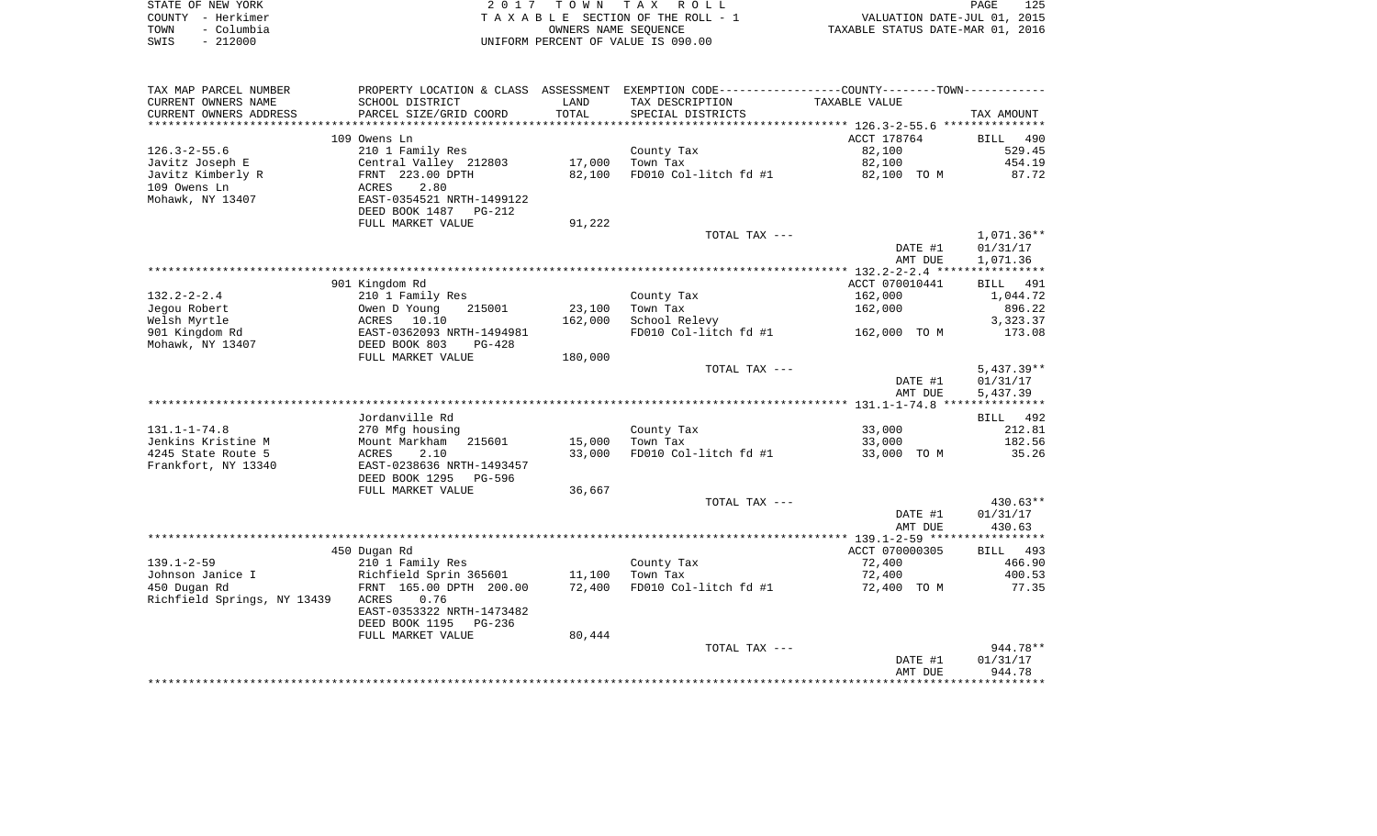|      | STATE OF NEW YORK | 2017 TOWN TAX ROLL                 | PAGE                             | 125 |
|------|-------------------|------------------------------------|----------------------------------|-----|
|      | COUNTY - Herkimer | TAXABLE SECTION OF THE ROLL - 1    | VALUATION DATE-JUL 01, 2015      |     |
| TOWN | - Columbia        | OWNERS NAME SEOUENCE               | TAXABLE STATUS DATE-MAR 01, 2016 |     |
| SWIS | $-212000$         | UNIFORM PERCENT OF VALUE IS 090.00 |                                  |     |

| TAX MAP PARCEL NUMBER       |                           |         | PROPERTY LOCATION & CLASS ASSESSMENT EXEMPTION CODE---------------COUNTY-------TOWN---------- |                |                    |
|-----------------------------|---------------------------|---------|-----------------------------------------------------------------------------------------------|----------------|--------------------|
| CURRENT OWNERS NAME         | SCHOOL DISTRICT           | LAND    | TAX DESCRIPTION                                                                               | TAXABLE VALUE  |                    |
| CURRENT OWNERS ADDRESS      | PARCEL SIZE/GRID COORD    | TOTAL   | SPECIAL DISTRICTS                                                                             |                | TAX AMOUNT         |
|                             |                           |         |                                                                                               |                |                    |
|                             | 109 Owens Ln              |         |                                                                                               | ACCT 178764    | <b>BILL</b><br>490 |
| $126.3 - 2 - 55.6$          | 210 1 Family Res          |         | County Tax                                                                                    | 82,100         | 529.45             |
| Javitz Joseph E             | Central Valley 212803     | 17,000  | Town Tax                                                                                      | 82,100         | 454.19             |
| Javitz Kimberly R           | FRNT 223.00 DPTH          | 82,100  | FD010 Col-litch fd #1                                                                         | 82,100 TO M    | 87.72              |
| 109 Owens Ln                | 2.80<br>ACRES             |         |                                                                                               |                |                    |
| Mohawk, NY 13407            | EAST-0354521 NRTH-1499122 |         |                                                                                               |                |                    |
|                             | DEED BOOK 1487<br>PG-212  |         |                                                                                               |                |                    |
|                             | FULL MARKET VALUE         | 91,222  |                                                                                               |                |                    |
|                             |                           |         | TOTAL TAX ---                                                                                 |                | $1,071.36**$       |
|                             |                           |         |                                                                                               | DATE #1        | 01/31/17           |
|                             |                           |         |                                                                                               | AMT DUE        | 1,071.36           |
|                             |                           |         |                                                                                               |                |                    |
|                             | 901 Kingdom Rd            |         |                                                                                               | ACCT 070010441 | BILL 491           |
| $132.2 - 2 - 2.4$           | 210 1 Family Res          |         | County Tax                                                                                    | 162,000        | 1,044.72           |
| Jegou Robert                | Owen D Young<br>215001    | 23,100  | Town Tax                                                                                      | 162,000        | 896.22             |
| Welsh Myrtle                | ACRES 10.10               | 162,000 | School Relevy                                                                                 |                | 3,323.37           |
| 901 Kingdom Rd              | EAST-0362093 NRTH-1494981 |         | FD010 Col-litch fd #1                                                                         | 162,000 TO M   | 173.08             |
| Mohawk, NY 13407            | DEED BOOK 803<br>PG-428   |         |                                                                                               |                |                    |
|                             | FULL MARKET VALUE         | 180,000 |                                                                                               |                |                    |
|                             |                           |         | TOTAL TAX ---                                                                                 |                | $5,437.39**$       |
|                             |                           |         |                                                                                               | DATE #1        | 01/31/17           |
|                             |                           |         |                                                                                               | AMT DUE        | 5,437.39           |
|                             |                           |         |                                                                                               |                |                    |
|                             | Jordanville Rd            |         |                                                                                               |                | BILL 492           |
| $131.1 - 1 - 74.8$          | 270 Mfg housing           |         | County Tax                                                                                    | 33,000         | 212.81             |
| Jenkins Kristine M          | Mount Markham<br>215601   | 15,000  | Town Tax                                                                                      | 33,000         | 182.56             |
| 4245 State Route 5          | 2.10<br>ACRES             | 33,000  | FD010 Col-litch fd #1                                                                         | 33,000 TO M    | 35.26              |
| Frankfort, NY 13340         | EAST-0238636 NRTH-1493457 |         |                                                                                               |                |                    |
|                             | DEED BOOK 1295<br>PG-596  |         |                                                                                               |                |                    |
|                             | FULL MARKET VALUE         | 36,667  |                                                                                               |                |                    |
|                             |                           |         | TOTAL TAX ---                                                                                 |                | $430.63**$         |
|                             |                           |         |                                                                                               | DATE #1        | 01/31/17           |
|                             |                           |         |                                                                                               | AMT DUE        | 430.63             |
|                             |                           |         |                                                                                               |                |                    |
|                             | 450 Dugan Rd              |         |                                                                                               | ACCT 070000305 | BILL 493           |
| $139.1 - 2 - 59$            | 210 1 Family Res          |         | County Tax                                                                                    | 72,400         | 466.90             |
| Johnson Janice I            | Richfield Sprin 365601    | 11,100  | Town Tax                                                                                      | 72,400         | 400.53             |
| 450 Dugan Rd                | FRNT 165.00 DPTH 200.00   | 72,400  | FD010 Col-litch fd #1                                                                         | 72,400 TO M    | 77.35              |
| Richfield Springs, NY 13439 | ACRES<br>0.76             |         |                                                                                               |                |                    |
|                             | EAST-0353322 NRTH-1473482 |         |                                                                                               |                |                    |
|                             | DEED BOOK 1195<br>PG-236  |         |                                                                                               |                |                    |
|                             | FULL MARKET VALUE         | 80,444  |                                                                                               |                |                    |
|                             |                           |         | TOTAL TAX ---                                                                                 |                | 944.78**           |
|                             |                           |         |                                                                                               | DATE #1        | 01/31/17           |
|                             |                           |         |                                                                                               | AMT DUE        | 944.78             |
|                             |                           |         |                                                                                               |                |                    |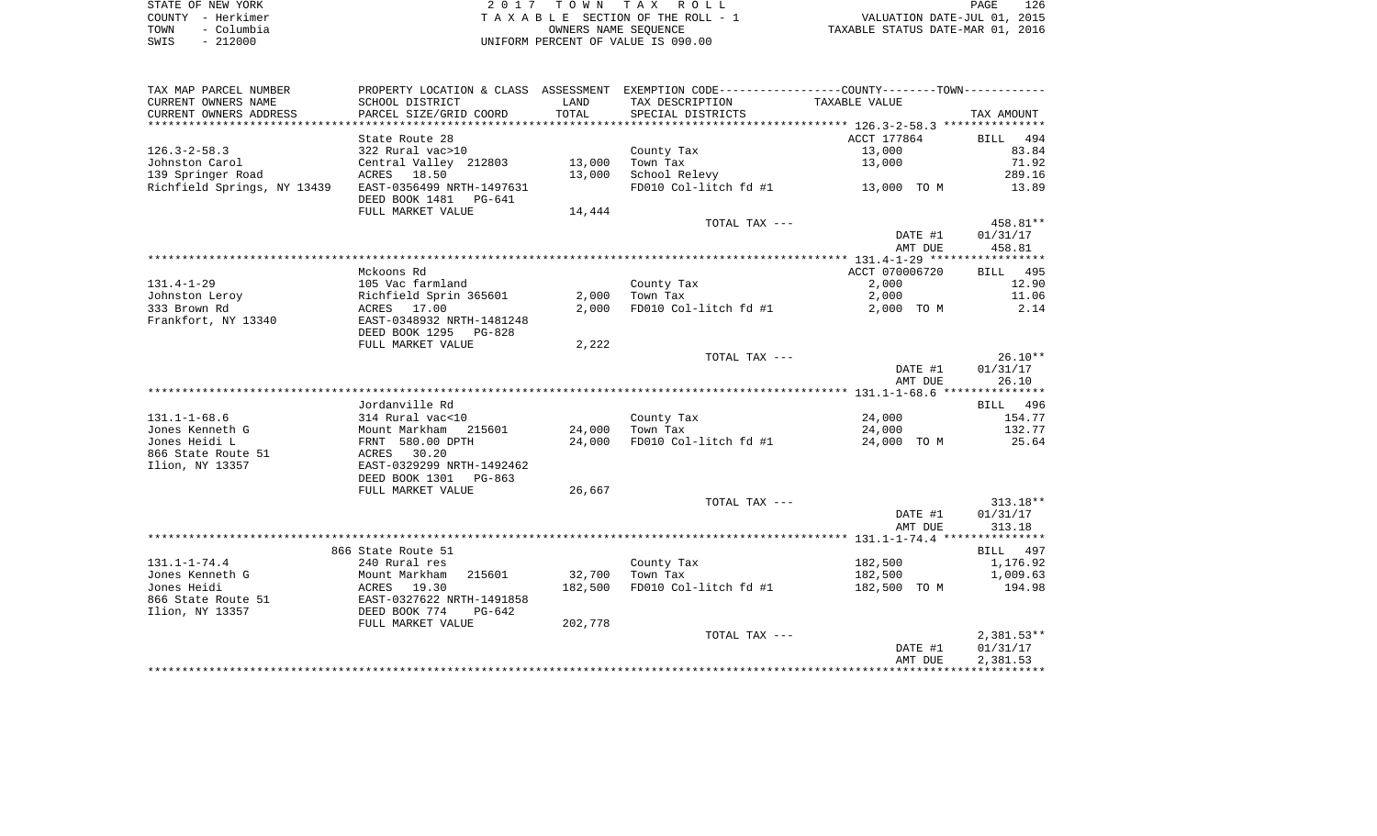| STATE OF NEW YORK  | 2017 TOWN TAX ROLL                 | 126<br>PAGE                      |
|--------------------|------------------------------------|----------------------------------|
| COUNTY - Herkimer  | TAXABLE SECTION OF THE ROLL - 1    | VALUATION DATE-JUL 01, 2015      |
| - Columbia<br>TOWN | OWNERS NAME SEOUENCE               | TAXABLE STATUS DATE-MAR 01, 2016 |
| $-212000$<br>SWIS  | UNIFORM PERCENT OF VALUE IS 090.00 |                                  |

| TAX MAP PARCEL NUMBER          |                                                       |                   | PROPERTY LOCATION & CLASS ASSESSMENT EXEMPTION CODE---------------COUNTY-------TOWN---------- |                    |                    |
|--------------------------------|-------------------------------------------------------|-------------------|-----------------------------------------------------------------------------------------------|--------------------|--------------------|
| CURRENT OWNERS NAME            | SCHOOL DISTRICT                                       | LAND              | TAX DESCRIPTION                                                                               | TAXABLE VALUE      |                    |
| CURRENT OWNERS ADDRESS         | PARCEL SIZE/GRID COORD                                | TOTAL             | SPECIAL DISTRICTS                                                                             |                    | TAX AMOUNT         |
| ********************           | * * * * * * * * * * * * * * * * * * * *               |                   |                                                                                               |                    |                    |
|                                | State Route 28                                        |                   |                                                                                               | ACCT 177864        | BILL 494           |
| $126.3 - 2 - 58.3$             | 322 Rural vac>10                                      |                   | County Tax                                                                                    | 13,000             | 83.84              |
| Johnston Carol                 | Central Valley 212803                                 | 13,000            | Town Tax                                                                                      | 13,000             | 71.92              |
| 139 Springer Road              | ACRES 18.50                                           | 13,000            | School Relevy                                                                                 |                    | 289.16             |
| Richfield Springs, NY 13439    | EAST-0356499 NRTH-1497631<br>DEED BOOK 1481<br>PG-641 |                   | FD010 Col-litch fd #1                                                                         | 13,000 TO M        | 13.89              |
|                                | FULL MARKET VALUE                                     | 14,444            |                                                                                               |                    |                    |
|                                |                                                       |                   | TOTAL TAX ---                                                                                 |                    | 458.81**           |
|                                |                                                       |                   |                                                                                               | DATE #1<br>AMT DUE | 01/31/17<br>458.81 |
|                                |                                                       |                   |                                                                                               |                    |                    |
|                                | Mckoons Rd                                            |                   |                                                                                               | ACCT 070006720     | BILL 495           |
| $131.4 - 1 - 29$               | 105 Vac farmland                                      |                   | County Tax                                                                                    | 2,000              | 12.90              |
| Johnston Leroy                 | Richfield Sprin 365601                                | 2,000             | Town Tax                                                                                      | 2,000              | 11.06              |
| 333 Brown Rd                   | ACRES 17.00                                           | 2,000             | FD010 Col-litch fd #1                                                                         | 2,000 TO M         | 2.14               |
| Frankfort, NY 13340            | EAST-0348932 NRTH-1481248                             |                   |                                                                                               |                    |                    |
|                                | DEED BOOK 1295<br>PG-828                              |                   |                                                                                               |                    |                    |
|                                | FULL MARKET VALUE                                     | 2,222             |                                                                                               |                    |                    |
|                                |                                                       |                   | TOTAL TAX ---                                                                                 |                    | $26.10**$          |
|                                |                                                       |                   |                                                                                               | DATE #1            | 01/31/17           |
|                                |                                                       |                   |                                                                                               | AMT DUE            | 26.10              |
|                                |                                                       |                   |                                                                                               |                    |                    |
|                                | Jordanville Rd                                        |                   |                                                                                               |                    | BILL 496           |
| $131.1 - 1 - 68.6$             | 314 Rural vac<10                                      |                   | County Tax                                                                                    | 24,000             | 154.77             |
| Jones Kenneth G                | Mount Markham 215601                                  | 24,000            | Town Tax                                                                                      | 24,000             | 132.77             |
| Jones Heidi L                  | FRNT 580.00 DPTH                                      | 24,000            | FD010 Col-litch fd #1                                                                         | 24,000 TO M        | 25.64              |
| 866 State Route 51             | ACRES<br>30.20                                        |                   |                                                                                               |                    |                    |
| Ilion, NY 13357                | EAST-0329299 NRTH-1492462                             |                   |                                                                                               |                    |                    |
|                                | DEED BOOK 1301<br>PG-863                              |                   |                                                                                               |                    |                    |
|                                | FULL MARKET VALUE                                     | 26,667            |                                                                                               |                    |                    |
|                                |                                                       |                   | TOTAL TAX ---                                                                                 |                    | $313.18**$         |
|                                |                                                       |                   |                                                                                               | DATE #1            | 01/31/17           |
|                                |                                                       |                   |                                                                                               | AMT DUE            | 313.18             |
|                                |                                                       |                   |                                                                                               |                    |                    |
|                                | 866 State Route 51                                    |                   |                                                                                               |                    | BILL 497           |
| $131.1 - 1 - 74.4$             | 240 Rural res                                         |                   | County Tax                                                                                    | 182,500            | 1,176.92           |
| Jones Kenneth G<br>Jones Heidi | 215601<br>Mount Markham                               | 32,700<br>182,500 | Town Tax<br>FD010 Col-litch fd #1                                                             | 182,500            | 1,009.63           |
| 866 State Route 51             | ACRES 19.30<br>EAST-0327622 NRTH-1491858              |                   |                                                                                               | 182,500 TO M       | 194.98             |
| Ilion, NY 13357                | DEED BOOK 774<br>PG-642                               |                   |                                                                                               |                    |                    |
|                                | FULL MARKET VALUE                                     | 202,778           |                                                                                               |                    |                    |
|                                |                                                       |                   | TOTAL TAX ---                                                                                 |                    | $2,381.53**$       |
|                                |                                                       |                   |                                                                                               | DATE #1            | 01/31/17           |
|                                |                                                       |                   |                                                                                               | AMT DUE            | 2,381.53           |
|                                |                                                       |                   |                                                                                               |                    |                    |
|                                |                                                       |                   |                                                                                               |                    |                    |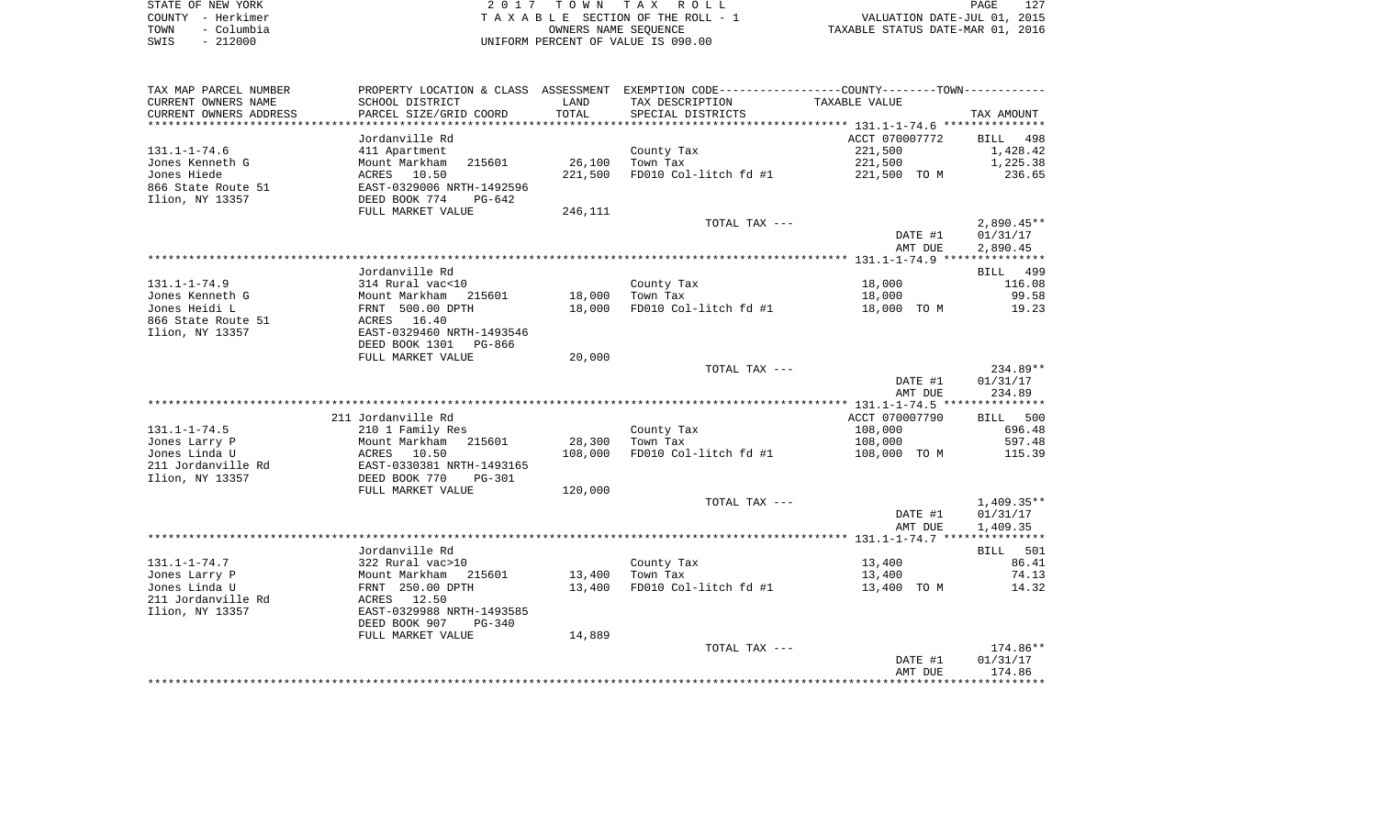|      | STATE OF NEW YORK | 2017 TOWN TAX ROLL                 | PAGE                             | 127 |
|------|-------------------|------------------------------------|----------------------------------|-----|
|      | COUNTY - Herkimer | TAXABLE SECTION OF THE ROLL - 1    | VALUATION DATE-JUL 01, 2015      |     |
| TOWN | – Columbia        | OWNERS NAME SEOUENCE               | TAXABLE STATUS DATE-MAR 01, 2016 |     |
| SWIS | $-212000$         | UNIFORM PERCENT OF VALUE IS 090.00 |                                  |     |

| TAX MAP PARCEL NUMBER  | PROPERTY LOCATION & CLASS ASSESSMENT EXEMPTION CODE---------------COUNTY--------TOWN---------- |                |                       |                |         |              |
|------------------------|------------------------------------------------------------------------------------------------|----------------|-----------------------|----------------|---------|--------------|
| CURRENT OWNERS NAME    | SCHOOL DISTRICT                                                                                | LAND           | TAX DESCRIPTION       | TAXABLE VALUE  |         |              |
| CURRENT OWNERS ADDRESS | PARCEL SIZE/GRID COORD                                                                         | TOTAL          | SPECIAL DISTRICTS     |                |         | TAX AMOUNT   |
| ********************   | ************************                                                                       | ************** |                       |                |         |              |
|                        | Jordanville Rd                                                                                 |                |                       | ACCT 070007772 |         | BILL 498     |
| $131.1 - 1 - 74.6$     | 411 Apartment                                                                                  |                | County Tax            | 221,500        |         | 1,428.42     |
| Jones Kenneth G        | Mount Markham<br>215601                                                                        | 26,100         | Town Tax              | 221,500        |         | 1,225.38     |
| Jones Hiede            | ACRES<br>10.50                                                                                 | 221,500        | FD010 Col-litch fd #1 | 221,500 TO M   |         | 236.65       |
| 866 State Route 51     | EAST-0329006 NRTH-1492596                                                                      |                |                       |                |         |              |
| Ilion, NY 13357        | DEED BOOK 774<br>$PG-642$                                                                      |                |                       |                |         |              |
|                        | FULL MARKET VALUE                                                                              | 246,111        |                       |                |         |              |
|                        |                                                                                                |                | TOTAL TAX ---         |                |         | $2,890.45**$ |
|                        |                                                                                                |                |                       |                | DATE #1 | 01/31/17     |
|                        |                                                                                                |                |                       |                | AMT DUE | 2,890.45     |
|                        |                                                                                                |                |                       |                |         |              |
|                        | Jordanville Rd                                                                                 |                |                       |                |         | BILL 499     |
| $131.1 - 1 - 74.9$     | 314 Rural vac<10                                                                               |                | County Tax            | 18,000         |         | 116.08       |
| Jones Kenneth G        |                                                                                                |                |                       |                |         |              |
|                        | Mount Markham<br>215601                                                                        | 18,000         | Town Tax              | 18,000         |         | 99.58        |
| Jones Heidi L          | FRNT 500.00 DPTH                                                                               | 18,000         | FD010 Col-litch fd #1 | 18,000 TO M    |         | 19.23        |
| 866 State Route 51     | ACRES<br>16.40                                                                                 |                |                       |                |         |              |
| Ilion, NY 13357        | EAST-0329460 NRTH-1493546                                                                      |                |                       |                |         |              |
|                        | DEED BOOK 1301<br>PG-866                                                                       |                |                       |                |         |              |
|                        | FULL MARKET VALUE                                                                              | 20,000         |                       |                |         |              |
|                        |                                                                                                |                | TOTAL TAX ---         |                |         | 234.89**     |
|                        |                                                                                                |                |                       |                | DATE #1 | 01/31/17     |
|                        |                                                                                                |                |                       |                | AMT DUE | 234.89       |
|                        |                                                                                                |                |                       |                |         |              |
|                        | 211 Jordanville Rd                                                                             |                |                       | ACCT 070007790 |         | BILL 500     |
| $131.1 - 1 - 74.5$     | 210 1 Family Res                                                                               |                | County Tax            | 108,000        |         | 696.48       |
| Jones Larry P          | Mount Markham<br>215601                                                                        | 28,300         | Town Tax              | 108,000        |         | 597.48       |
| Jones Linda U          | 10.50<br>ACRES                                                                                 | 108,000        | FD010 Col-litch fd #1 | 108,000 TO M   |         | 115.39       |
| 211 Jordanville Rd     | EAST-0330381 NRTH-1493165                                                                      |                |                       |                |         |              |
| Ilion, NY 13357        | DEED BOOK 770<br>$PG-301$                                                                      |                |                       |                |         |              |
|                        | FULL MARKET VALUE                                                                              | 120,000        |                       |                |         |              |
|                        |                                                                                                |                | TOTAL TAX ---         |                |         | 1,409.35**   |
|                        |                                                                                                |                |                       |                | DATE #1 | 01/31/17     |
|                        |                                                                                                |                |                       |                | AMT DUE | 1,409.35     |
|                        |                                                                                                |                |                       |                |         |              |
|                        | Jordanville Rd                                                                                 |                |                       |                |         | BILL 501     |
| $131.1 - 1 - 74.7$     | 322 Rural vac>10                                                                               |                | County Tax            | 13,400         |         | 86.41        |
| Jones Larry P          | Mount Markham<br>215601                                                                        | 13,400         | Town Tax              | 13,400         |         | 74.13        |
| Jones Linda U          | FRNT 250.00 DPTH                                                                               | 13,400         | FD010 Col-litch fd #1 | 13,400 TO M    |         | 14.32        |
| 211 Jordanville Rd     | ACRES<br>12.50                                                                                 |                |                       |                |         |              |
| Ilion, NY 13357        | EAST-0329988 NRTH-1493585                                                                      |                |                       |                |         |              |
|                        | DEED BOOK 907<br>$PG-340$                                                                      |                |                       |                |         |              |
|                        | FULL MARKET VALUE                                                                              | 14,889         |                       |                |         |              |
|                        |                                                                                                |                | TOTAL TAX ---         |                |         | $174.86**$   |
|                        |                                                                                                |                |                       |                | DATE #1 | 01/31/17     |
|                        |                                                                                                |                |                       |                | AMT DUE | 174.86       |
|                        |                                                                                                |                |                       |                |         |              |
|                        |                                                                                                |                |                       |                |         |              |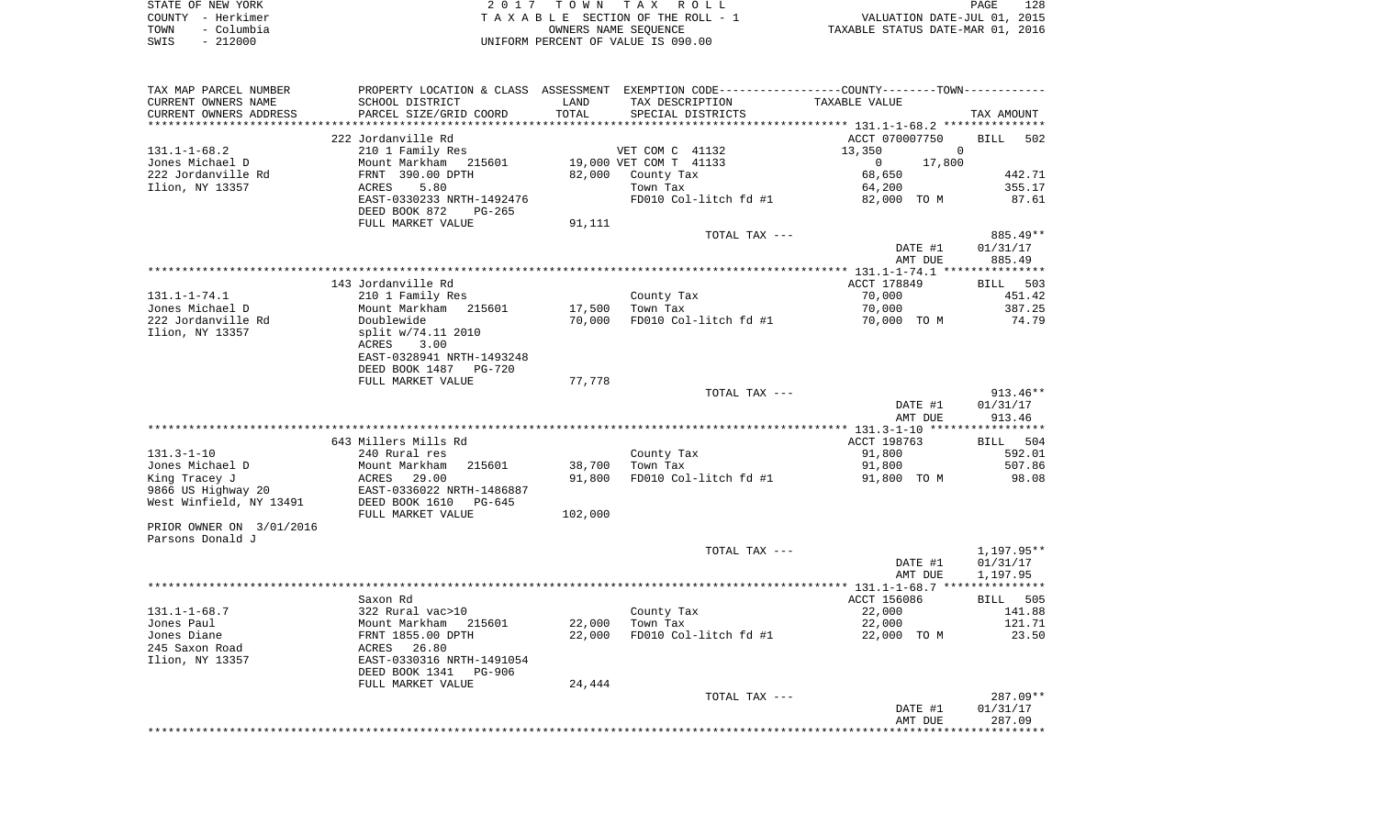| STATE OF NEW YORK  | 2017 TOWN TAX ROLL                 | 128<br>PAGE                      |
|--------------------|------------------------------------|----------------------------------|
| COUNTY – Herkimer  | TAXABLE SECTION OF THE ROLL - 1    | VALUATION DATE-JUL 01, 2015      |
| – Columbia<br>TOWN | OWNERS NAME SEOUENCE               | TAXABLE STATUS DATE-MAR 01, 2016 |
| $-212000$<br>SWIS  | UNIFORM PERCENT OF VALUE IS 090.00 |                                  |

| TAX MAP PARCEL NUMBER    | PROPERTY LOCATION & CLASS ASSESSMENT EXEMPTION CODE----------------COUNTY--------TOWN----------- |         |                        |                          |            |
|--------------------------|--------------------------------------------------------------------------------------------------|---------|------------------------|--------------------------|------------|
| CURRENT OWNERS NAME      | SCHOOL DISTRICT                                                                                  | LAND    | TAX DESCRIPTION        | TAXABLE VALUE            |            |
| CURRENT OWNERS ADDRESS   | PARCEL SIZE/GRID COORD                                                                           | TOTAL   | SPECIAL DISTRICTS      |                          | TAX AMOUNT |
|                          |                                                                                                  |         |                        |                          |            |
|                          | 222 Jordanville Rd                                                                               |         |                        | ACCT 070007750           | BILL 502   |
| $131.1 - 1 - 68.2$       | 210 1 Family Res                                                                                 |         | VET COM C 41132        | 13,350<br>$\overline{0}$ |            |
| Jones Michael D          | Mount Markham 215601                                                                             |         | 19,000 VET COM T 41133 | 17,800<br>$\overline{0}$ |            |
| 222 Jordanville Rd       | FRNT 390.00 DPTH                                                                                 |         | 82,000 County Tax      | 68,650                   | 442.71     |
| Ilion, NY 13357          | 5.80<br>ACRES                                                                                    |         | Town Tax               | 64,200                   | 355.17     |
|                          | EAST-0330233 NRTH-1492476                                                                        |         | FD010 Col-litch fd #1  | 82,000 TO M              | 87.61      |
|                          | DEED BOOK 872<br>PG-265                                                                          |         |                        |                          |            |
|                          | FULL MARKET VALUE                                                                                | 91,111  |                        |                          |            |
|                          |                                                                                                  |         | TOTAL TAX ---          |                          | 885.49**   |
|                          |                                                                                                  |         |                        | DATE #1                  | 01/31/17   |
|                          |                                                                                                  |         |                        | AMT DUE                  | 885.49     |
|                          |                                                                                                  |         |                        |                          |            |
|                          | 143 Jordanville Rd                                                                               |         |                        | ACCT 178849              | BILL 503   |
| $131.1 - 1 - 74.1$       | 210 1 Family Res                                                                                 |         | County Tax             | 70,000                   | 451.42     |
|                          |                                                                                                  |         |                        |                          |            |
| Jones Michael D          | Mount Markham 215601                                                                             | 17,500  | Town Tax               | 70,000                   | 387.25     |
| 222 Jordanville Rd       | Doublewide                                                                                       | 70,000  | FD010 Col-litch fd #1  | 70,000 TO M              | 74.79      |
| Ilion, NY 13357          | split w/74.11 2010                                                                               |         |                        |                          |            |
|                          | 3.00<br>ACRES                                                                                    |         |                        |                          |            |
|                          | EAST-0328941 NRTH-1493248                                                                        |         |                        |                          |            |
|                          | DEED BOOK 1487 PG-720                                                                            |         |                        |                          |            |
|                          | FULL MARKET VALUE                                                                                | 77,778  |                        |                          |            |
|                          |                                                                                                  |         | TOTAL TAX ---          |                          | $913.46**$ |
|                          |                                                                                                  |         |                        | DATE #1                  | 01/31/17   |
|                          |                                                                                                  |         |                        | AMT DUE                  | 913.46     |
|                          |                                                                                                  |         |                        |                          |            |
|                          | 643 Millers Mills Rd                                                                             |         |                        | ACCT 198763              | BILL 504   |
| $131.3 - 1 - 10$         | 240 Rural res                                                                                    |         | County Tax             | 91,800                   | 592.01     |
| Jones Michael D          | Mount Markham<br>215601                                                                          | 38,700  | Town Tax               | 91,800                   | 507.86     |
| King Tracey J            | ACRES<br>29.00                                                                                   | 91,800  | FD010 Col-litch fd #1  | 91,800 TO M              | 98.08      |
| 9866 US Highway 20       | EAST-0336022 NRTH-1486887                                                                        |         |                        |                          |            |
| West Winfield, NY 13491  | DEED BOOK 1610<br>PG-645                                                                         |         |                        |                          |            |
|                          | FULL MARKET VALUE                                                                                | 102,000 |                        |                          |            |
| PRIOR OWNER ON 3/01/2016 |                                                                                                  |         |                        |                          |            |
| Parsons Donald J         |                                                                                                  |         |                        |                          |            |
|                          |                                                                                                  |         | TOTAL TAX ---          |                          | 1,197.95** |
|                          |                                                                                                  |         |                        | DATE #1                  | 01/31/17   |
|                          |                                                                                                  |         |                        | AMT DUE                  | 1,197.95   |
|                          |                                                                                                  |         |                        |                          |            |
|                          | Saxon Rd                                                                                         |         |                        | ACCT 156086              | BILL 505   |
| $131.1 - 1 - 68.7$       | 322 Rural vac>10                                                                                 |         | County Tax             | 22,000                   | 141.88     |
| Jones Paul               |                                                                                                  | 22,000  | Town Tax               | 22,000                   | 121.71     |
| Jones Diane              | Mount Markham 215601<br>FRNT 1855.00 DPTH                                                        | 22,000  | FD010 Col-litch fd #1  | 22,000 TO M              | 23.50      |
| 245 Saxon Road           | ACRES<br>26.80                                                                                   |         |                        |                          |            |
| Ilion, NY 13357          | EAST-0330316 NRTH-1491054                                                                        |         |                        |                          |            |
|                          | DEED BOOK 1341 PG-906                                                                            |         |                        |                          |            |
|                          | FULL MARKET VALUE                                                                                | 24,444  |                        |                          |            |
|                          |                                                                                                  |         | TOTAL TAX ---          |                          | 287.09**   |
|                          |                                                                                                  |         |                        |                          |            |
|                          |                                                                                                  |         |                        | DATE #1                  | 01/31/17   |
|                          |                                                                                                  |         |                        | AMT DUE                  | 287.09     |
|                          |                                                                                                  |         |                        |                          |            |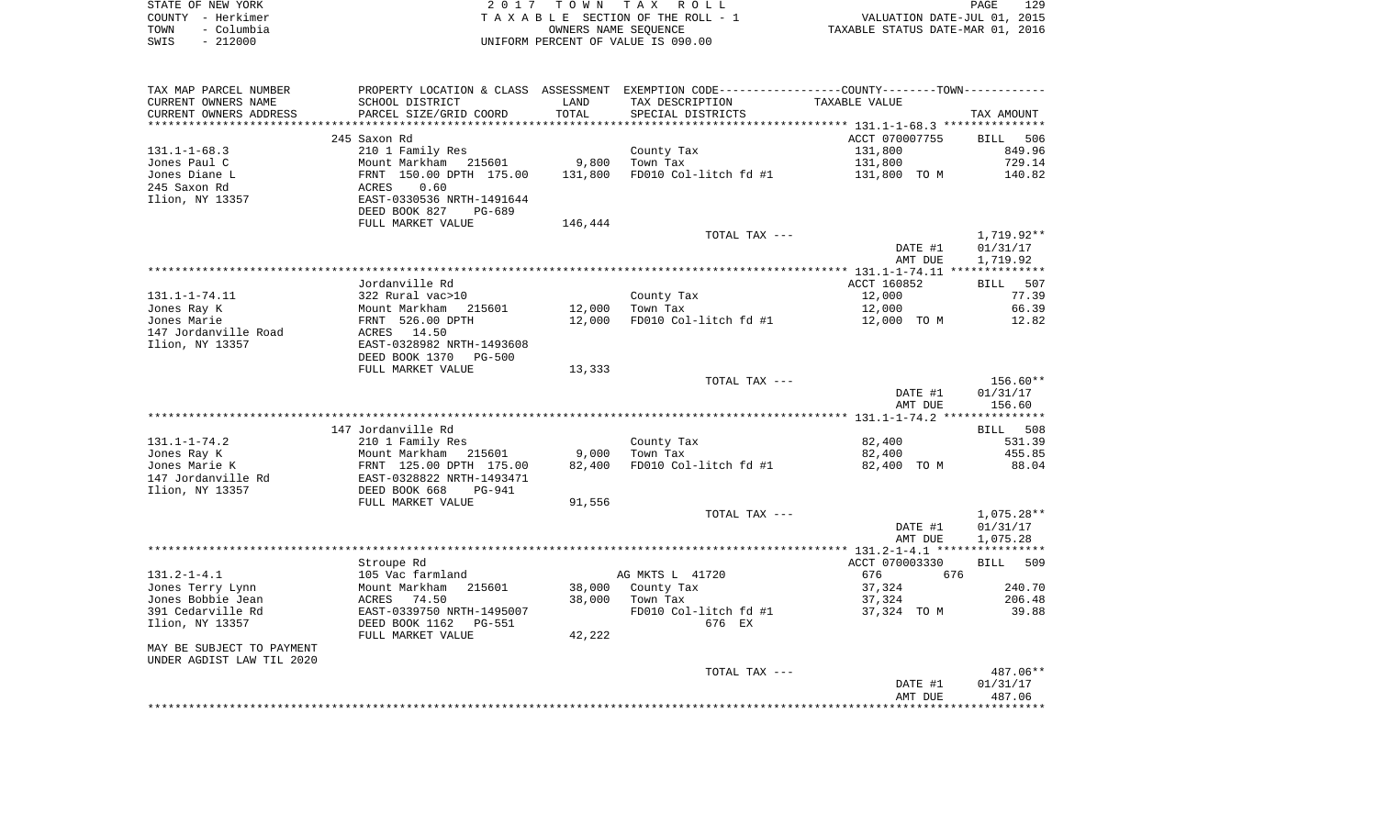| STATE OF NEW YORK  | 2017 TOWN TAX ROLL                 | 129<br>PAGE                      |
|--------------------|------------------------------------|----------------------------------|
| COUNTY – Herkimer  | TAXABLE SECTION OF THE ROLL - 1    | VALUATION DATE-JUL 01, 2015      |
| – Columbia<br>TOWN | OWNERS NAME SEOUENCE               | TAXABLE STATUS DATE-MAR 01, 2016 |
| $-212000$<br>SWIS  | UNIFORM PERCENT OF VALUE IS 090.00 |                                  |

| TAX MAP PARCEL NUMBER     | PROPERTY LOCATION & CLASS ASSESSMENT EXEMPTION CODE----------------COUNTY--------TOWN----------- |         |                       |                |                    |
|---------------------------|--------------------------------------------------------------------------------------------------|---------|-----------------------|----------------|--------------------|
| CURRENT OWNERS NAME       | SCHOOL DISTRICT                                                                                  | LAND    | TAX DESCRIPTION       | TAXABLE VALUE  |                    |
| CURRENT OWNERS ADDRESS    | PARCEL SIZE/GRID COORD                                                                           | TOTAL   | SPECIAL DISTRICTS     |                | TAX AMOUNT         |
| ************************  | ******************************                                                                   |         |                       |                |                    |
|                           | 245 Saxon Rd                                                                                     |         |                       | ACCT 070007755 | BILL 506           |
| $131.1 - 1 - 68.3$        | 210 1 Family Res                                                                                 |         | County Tax            | 131,800        | 849.96             |
| Jones Paul C              | Mount Markham 215601                                                                             | 9,800   | Town Tax              | 131,800        | 729.14             |
| Jones Diane L             | FRNT 150.00 DPTH 175.00                                                                          | 131,800 | FD010 Col-litch fd #1 | 131,800 TO M   | 140.82             |
| 245 Saxon Rd              | ACRES<br>0.60                                                                                    |         |                       |                |                    |
| Ilion, NY 13357           | EAST-0330536 NRTH-1491644                                                                        |         |                       |                |                    |
|                           | DEED BOOK 827<br><b>PG-689</b>                                                                   |         |                       |                |                    |
|                           | FULL MARKET VALUE                                                                                | 146,444 |                       |                |                    |
|                           |                                                                                                  |         | TOTAL TAX ---         |                | 1,719.92**         |
|                           |                                                                                                  |         |                       | DATE #1        | 01/31/17           |
|                           |                                                                                                  |         |                       | AMT DUE        | 1,719.92           |
|                           |                                                                                                  |         |                       |                |                    |
|                           | Jordanville Rd                                                                                   |         |                       | ACCT 160852    | BILL 507           |
| 131.1-1-74.11             | 322 Rural vac>10                                                                                 |         | County Tax            | 12,000         | 77.39              |
| Jones Ray K               | Mount Markham<br>215601                                                                          | 12,000  | Town Tax              | 12,000         | 66.39              |
|                           |                                                                                                  |         |                       |                |                    |
| Jones Marie               | FRNT 526.00 DPTH                                                                                 | 12,000  | FD010 Col-litch fd #1 | 12,000 TO M    | 12.82              |
| 147 Jordanville Road      | ACRES 14.50                                                                                      |         |                       |                |                    |
| Ilion, NY 13357           | EAST-0328982 NRTH-1493608                                                                        |         |                       |                |                    |
|                           | DEED BOOK 1370<br>PG-500                                                                         |         |                       |                |                    |
|                           | FULL MARKET VALUE                                                                                | 13,333  |                       |                |                    |
|                           |                                                                                                  |         | TOTAL TAX ---         |                | $156.60**$         |
|                           |                                                                                                  |         |                       | DATE #1        | 01/31/17           |
|                           |                                                                                                  |         |                       | AMT DUE        | 156.60             |
|                           |                                                                                                  |         |                       |                |                    |
|                           | 147 Jordanville Rd                                                                               |         |                       |                | BILL 508           |
| $131.1 - 1 - 74.2$        | 210 1 Family Res                                                                                 |         | County Tax            | 82,400         | 531.39             |
| Jones Ray K               | Mount Markham 215601                                                                             | 9,000   | Town Tax              | 82,400         | 455.85             |
| Jones Marie K             | FRNT 125.00 DPTH 175.00                                                                          | 82,400  | FD010 Col-litch fd #1 | 82,400 TO M    | 88.04              |
| 147 Jordanville Rd        | EAST-0328822 NRTH-1493471                                                                        |         |                       |                |                    |
| Ilion, NY 13357           | DEED BOOK 668<br>PG-941                                                                          |         |                       |                |                    |
|                           | FULL MARKET VALUE                                                                                | 91,556  |                       |                |                    |
|                           |                                                                                                  |         | TOTAL TAX ---         |                | 1,075.28**         |
|                           |                                                                                                  |         |                       | DATE #1        | 01/31/17           |
|                           |                                                                                                  |         |                       | AMT DUE        | 1,075.28           |
|                           |                                                                                                  |         |                       |                |                    |
|                           | Stroupe Rd                                                                                       |         |                       | ACCT 070003330 | <b>BILL</b><br>509 |
| $131.2 - 1 - 4.1$         | 105 Vac farmland                                                                                 |         | AG MKTS L 41720       | 676<br>676     |                    |
| Jones Terry Lynn          | Mount Markham<br>215601                                                                          | 38,000  | County Tax            | 37,324         | 240.70             |
| Jones Bobbie Jean         | ACRES 74.50                                                                                      | 38,000  | Town Tax              | 37,324         | 206.48             |
| 391 Cedarville Rd         | EAST-0339750 NRTH-1495007                                                                        |         | FD010 Col-litch fd #1 | 37,324 TO M    | 39.88              |
| Ilion, NY 13357           | DEED BOOK 1162<br>PG-551                                                                         |         | 676 EX                |                |                    |
|                           | FULL MARKET VALUE                                                                                | 42,222  |                       |                |                    |
| MAY BE SUBJECT TO PAYMENT |                                                                                                  |         |                       |                |                    |
| UNDER AGDIST LAW TIL 2020 |                                                                                                  |         |                       |                |                    |
|                           |                                                                                                  |         | TOTAL TAX ---         |                | 487.06**           |
|                           |                                                                                                  |         |                       | DATE #1        | 01/31/17           |
|                           |                                                                                                  |         |                       | AMT DUE        | 487.06             |
|                           |                                                                                                  |         |                       |                |                    |
|                           |                                                                                                  |         |                       |                |                    |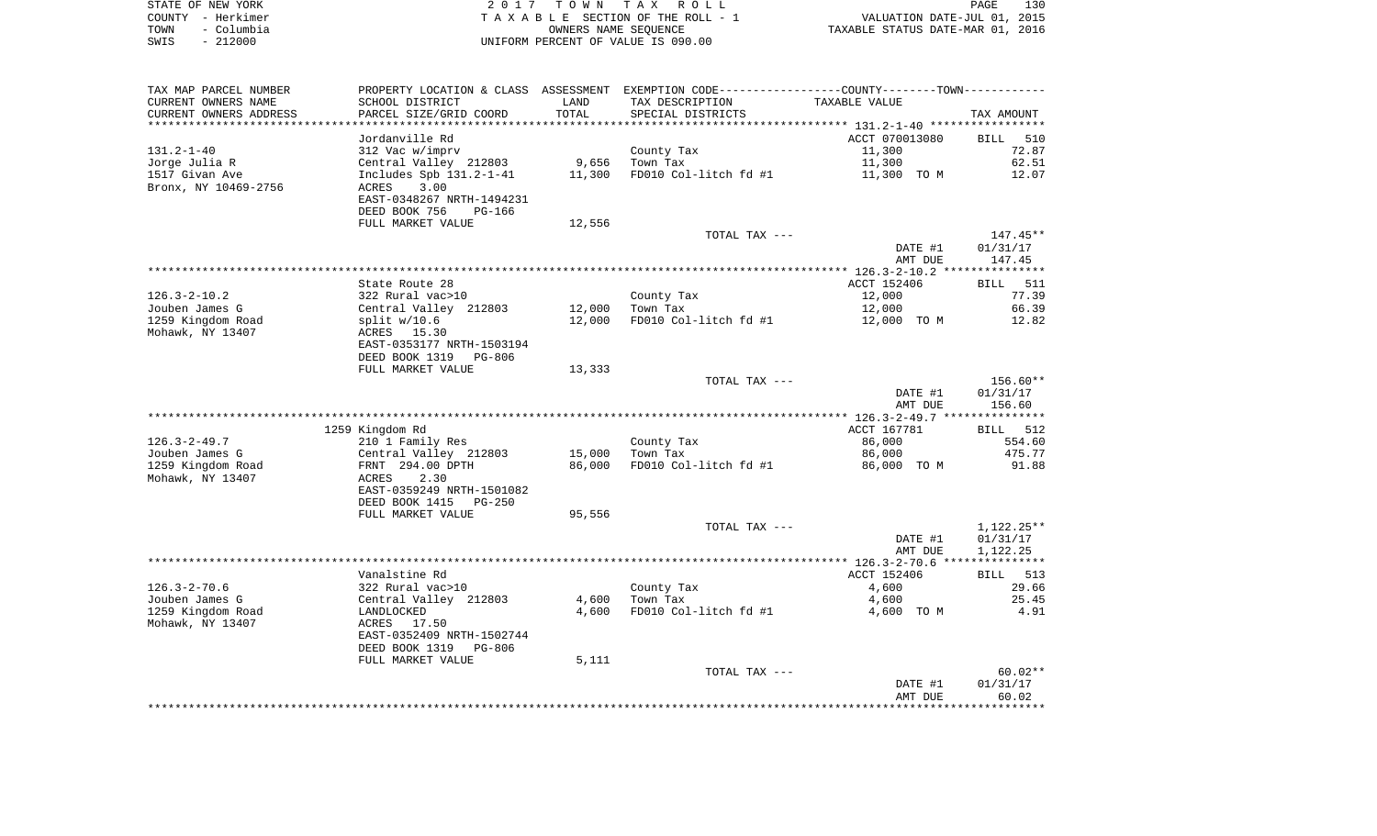|      | STATE OF NEW YORK | 2017 TOWN TAX ROLL                 | 130<br>PAGE                      |
|------|-------------------|------------------------------------|----------------------------------|
|      | COUNTY - Herkimer | TAXABLE SECTION OF THE ROLL - 1    | VALUATION DATE-JUL 01, 2015      |
| TOWN | – Columbia        | OWNERS NAME SEOUENCE               | TAXABLE STATUS DATE-MAR 01, 2016 |
| SWIS | $-212000$         | UNIFORM PERCENT OF VALUE IS 090.00 |                                  |

| TAX MAP PARCEL NUMBER  |                                |        |                       | PROPERTY LOCATION & CLASS ASSESSMENT EXEMPTION CODE---------------COUNTY-------TOWN--------- |             |
|------------------------|--------------------------------|--------|-----------------------|----------------------------------------------------------------------------------------------|-------------|
| CURRENT OWNERS NAME    | SCHOOL DISTRICT                | LAND   | TAX DESCRIPTION       | TAXABLE VALUE                                                                                |             |
| CURRENT OWNERS ADDRESS | PARCEL SIZE/GRID COORD         | TOTAL  | SPECIAL DISTRICTS     |                                                                                              | TAX AMOUNT  |
| *********************  | ************************       |        |                       |                                                                                              |             |
|                        | Jordanville Rd                 |        |                       | ACCT 070013080                                                                               | BILL<br>510 |
| 131.2-1-40             | 312 Vac w/imprv                |        | County Tax            | 11,300                                                                                       | 72.87       |
| Jorge Julia R          | Central Valley 212803          | 9,656  | Town Tax              | 11,300                                                                                       | 62.51       |
| 1517 Givan Ave         | Includes Spb $131.2-1-41$      | 11,300 | FD010 Col-litch fd #1 | 11,300 TO M                                                                                  | 12.07       |
| Bronx, NY 10469-2756   | 3.00<br>ACRES                  |        |                       |                                                                                              |             |
|                        | EAST-0348267 NRTH-1494231      |        |                       |                                                                                              |             |
|                        | DEED BOOK 756<br><b>PG-166</b> |        |                       |                                                                                              |             |
|                        | FULL MARKET VALUE              | 12,556 |                       |                                                                                              |             |
|                        |                                |        | TOTAL TAX ---         |                                                                                              | 147.45**    |
|                        |                                |        |                       | DATE #1                                                                                      | 01/31/17    |
|                        |                                |        |                       | AMT DUE                                                                                      | 147.45      |
|                        |                                |        |                       |                                                                                              |             |
|                        | State Route 28                 |        |                       | ACCT 152406                                                                                  | BILL 511    |
| $126.3 - 2 - 10.2$     | 322 Rural vac>10               |        | County Tax            | 12,000                                                                                       | 77.39       |
| Jouben James G         | Central Valley 212803          | 12,000 | Town Tax              | 12,000                                                                                       | 66.39       |
| 1259 Kingdom Road      | split $w/10.6$                 | 12,000 | FD010 Col-litch fd #1 | 12,000 TO M                                                                                  | 12.82       |
| Mohawk, NY 13407       | ACRES 15.30                    |        |                       |                                                                                              |             |
|                        | EAST-0353177 NRTH-1503194      |        |                       |                                                                                              |             |
|                        | DEED BOOK 1319<br>PG-806       |        |                       |                                                                                              |             |
|                        | FULL MARKET VALUE              | 13,333 |                       |                                                                                              |             |
|                        |                                |        | TOTAL TAX ---         |                                                                                              | 156.60**    |
|                        |                                |        |                       | DATE #1                                                                                      | 01/31/17    |
|                        |                                |        |                       | AMT DUE                                                                                      | 156.60      |
|                        |                                |        |                       |                                                                                              |             |
|                        | 1259 Kingdom Rd                |        |                       | ACCT 167781                                                                                  | 512<br>BILL |
| $126.3 - 2 - 49.7$     | 210 1 Family Res               |        | County Tax            | 86,000                                                                                       | 554.60      |
| Jouben James G         | Central Valley 212803          | 15,000 | Town Tax              | 86,000                                                                                       | 475.77      |
| 1259 Kingdom Road      | FRNT 294.00 DPTH               | 86,000 | FD010 Col-litch fd #1 | 86,000 TO M                                                                                  | 91.88       |
| Mohawk, NY 13407       | 2.30<br>ACRES                  |        |                       |                                                                                              |             |
|                        | EAST-0359249 NRTH-1501082      |        |                       |                                                                                              |             |
|                        | DEED BOOK 1415<br>$PG-250$     |        |                       |                                                                                              |             |
|                        | FULL MARKET VALUE              | 95,556 |                       |                                                                                              |             |
|                        |                                |        | TOTAL TAX ---         |                                                                                              | 1,122.25**  |
|                        |                                |        |                       | DATE #1                                                                                      | 01/31/17    |
|                        |                                |        |                       | AMT DUE                                                                                      | 1,122.25    |
|                        |                                |        |                       |                                                                                              |             |
|                        | Vanalstine Rd                  |        |                       | ACCT 152406                                                                                  | BILL 513    |
| $126.3 - 2 - 70.6$     | 322 Rural vac>10               |        | County Tax            | 4,600                                                                                        | 29.66       |
| Jouben James G         | Central Valley 212803          | 4,600  | Town Tax              | 4,600                                                                                        | 25.45       |
| 1259 Kingdom Road      | LANDLOCKED                     | 4,600  | FD010 Col-litch fd #1 | 4,600 TO M                                                                                   | 4.91        |
| Mohawk, NY 13407       | ACRES 17.50                    |        |                       |                                                                                              |             |
|                        | EAST-0352409 NRTH-1502744      |        |                       |                                                                                              |             |
|                        | DEED BOOK 1319<br>PG-806       |        |                       |                                                                                              |             |
|                        | FULL MARKET VALUE              | 5,111  |                       |                                                                                              |             |
|                        |                                |        | TOTAL TAX ---         |                                                                                              | $60.02**$   |
|                        |                                |        |                       | DATE #1                                                                                      | 01/31/17    |
|                        |                                |        |                       | AMT DUE                                                                                      | 60.02       |
|                        |                                |        |                       |                                                                                              |             |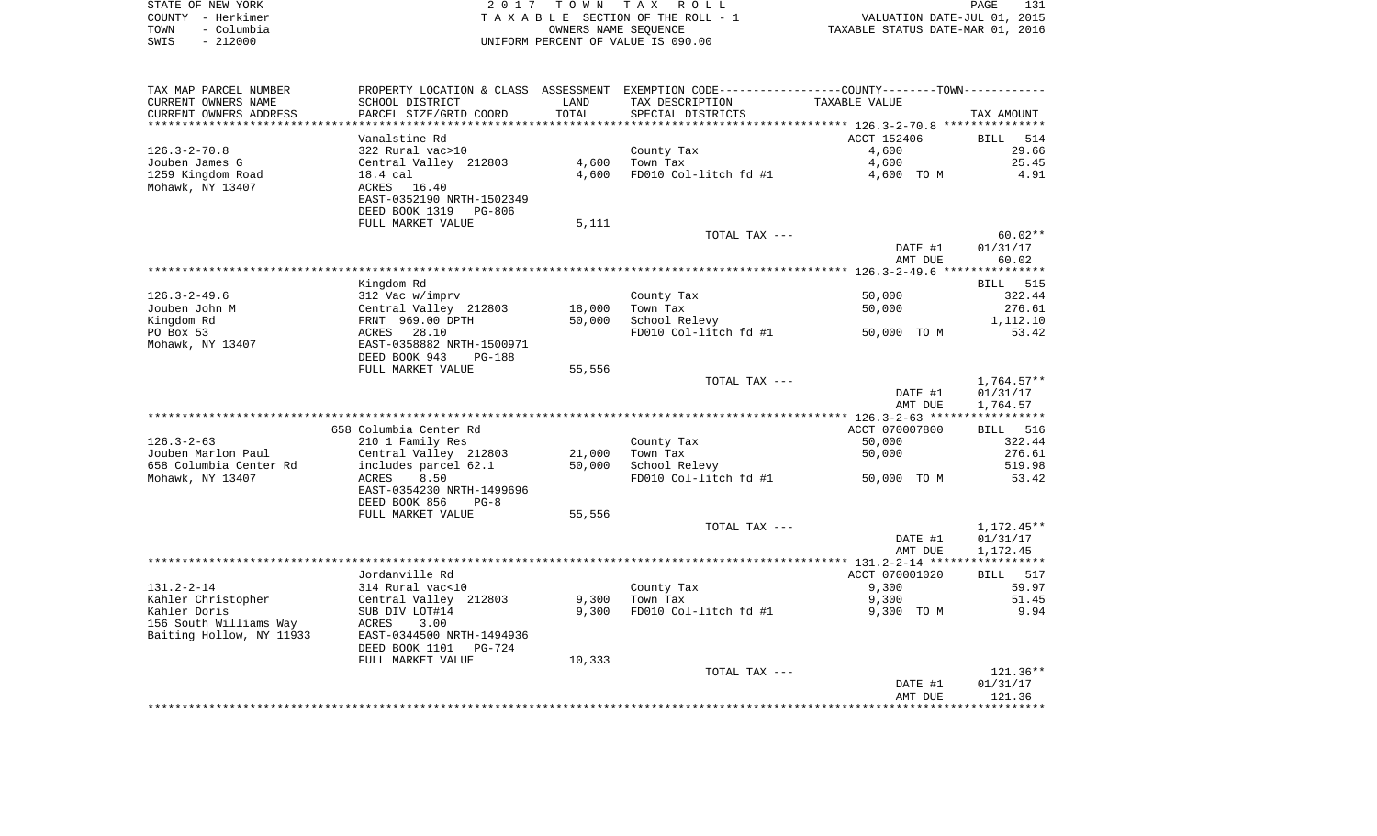| STATE OF NEW YORK  | 2017 TOWN TAX ROLL                 | 131<br>PAGE                      |
|--------------------|------------------------------------|----------------------------------|
| COUNTY - Herkimer  | TAXABLE SECTION OF THE ROLL - 1    | VALUATION DATE-JUL 01, 2015      |
| - Columbia<br>TOWN | OWNERS NAME SEOUENCE               | TAXABLE STATUS DATE-MAR 01, 2016 |
| - 212000<br>SWIS   | UNIFORM PERCENT OF VALUE IS 090.00 |                                  |

| TAX MAP PARCEL NUMBER    |                            |        | PROPERTY LOCATION & CLASS ASSESSMENT EXEMPTION CODE----------------COUNTY-------TOWN----------- |                |              |
|--------------------------|----------------------------|--------|-------------------------------------------------------------------------------------------------|----------------|--------------|
| CURRENT OWNERS NAME      | SCHOOL DISTRICT            | LAND   | TAX DESCRIPTION                                                                                 | TAXABLE VALUE  |              |
| CURRENT OWNERS ADDRESS   | PARCEL SIZE/GRID COORD     | TOTAL  | SPECIAL DISTRICTS                                                                               |                | TAX AMOUNT   |
| **********************   | ************************** |        |                                                                                                 |                |              |
|                          | Vanalstine Rd              |        |                                                                                                 | ACCT 152406    | BILL<br>514  |
| $126.3 - 2 - 70.8$       | 322 Rural vac>10           |        | County Tax                                                                                      | 4,600          | 29.66        |
| Jouben James G           | Central Valley 212803      | 4,600  | Town Tax                                                                                        | 4,600          | 25.45        |
| 1259 Kingdom Road        | $18.4$ cal                 | 4,600  | FD010 Col-litch fd #1                                                                           | 4,600 TO M     | 4.91         |
| Mohawk, NY 13407         | ACRES<br>16.40             |        |                                                                                                 |                |              |
|                          | EAST-0352190 NRTH-1502349  |        |                                                                                                 |                |              |
|                          | DEED BOOK 1319<br>PG-806   |        |                                                                                                 |                |              |
|                          | FULL MARKET VALUE          | 5,111  |                                                                                                 |                |              |
|                          |                            |        | TOTAL TAX ---                                                                                   |                | $60.02**$    |
|                          |                            |        |                                                                                                 | DATE #1        | 01/31/17     |
|                          |                            |        |                                                                                                 | AMT DUE        | 60.02        |
|                          |                            |        |                                                                                                 |                |              |
|                          | Kingdom Rd                 |        |                                                                                                 |                | BILL 515     |
| $126.3 - 2 - 49.6$       | 312 Vac w/imprv            |        | County Tax                                                                                      | 50,000         | 322.44       |
| Jouben John M            | Central Valley 212803      | 18,000 | Town Tax                                                                                        | 50,000         | 276.61       |
| Kingdom Rd               | FRNT 969.00 DPTH           | 50,000 | School Relevy                                                                                   |                | 1,112.10     |
| PO Box 53                | 28.10<br>ACRES             |        | FD010 Col-litch fd #1                                                                           | 50,000 TO M    | 53.42        |
| Mohawk, NY 13407         | EAST-0358882 NRTH-1500971  |        |                                                                                                 |                |              |
|                          | DEED BOOK 943<br>PG-188    |        |                                                                                                 |                |              |
|                          | FULL MARKET VALUE          | 55,556 |                                                                                                 |                |              |
|                          |                            |        | TOTAL TAX ---                                                                                   |                | $1,764.57**$ |
|                          |                            |        |                                                                                                 | DATE #1        | 01/31/17     |
|                          |                            |        |                                                                                                 | AMT DUE        | 1,764.57     |
|                          |                            |        |                                                                                                 |                |              |
|                          | 658 Columbia Center Rd     |        |                                                                                                 | ACCT 070007800 | BILL 516     |
| $126.3 - 2 - 63$         | 210 1 Family Res           |        | County Tax                                                                                      | 50,000         | 322.44       |
| Jouben Marlon Paul       | Central Valley 212803      | 21,000 | Town Tax                                                                                        | 50,000         | 276.61       |
| 658 Columbia Center Rd   | includes parcel 62.1       | 50,000 | School Relevy                                                                                   |                | 519.98       |
| Mohawk, NY 13407         | ACRES<br>8.50              |        | FD010 Col-litch fd #1                                                                           | 50,000 TO M    | 53.42        |
|                          | EAST-0354230 NRTH-1499696  |        |                                                                                                 |                |              |
|                          | DEED BOOK 856<br>$PG-8$    |        |                                                                                                 |                |              |
|                          | FULL MARKET VALUE          | 55,556 |                                                                                                 |                |              |
|                          |                            |        |                                                                                                 |                |              |
|                          |                            |        | TOTAL TAX ---                                                                                   |                | $1,172.45**$ |
|                          |                            |        |                                                                                                 | DATE #1        | 01/31/17     |
|                          |                            |        |                                                                                                 | AMT DUE        | 1,172.45     |
|                          |                            |        |                                                                                                 |                |              |
|                          | Jordanville Rd             |        |                                                                                                 | ACCT 070001020 | BILL 517     |
| $131.2 - 2 - 14$         | 314 Rural vac<10           |        | County Tax                                                                                      | 9,300          | 59.97        |
| Kahler Christopher       | Central Valley 212803      | 9,300  | Town Tax                                                                                        | 9,300          | 51.45        |
| Kahler Doris             | SUB DIV LOT#14             | 9,300  | FD010 Col-litch fd #1                                                                           | 9,300 TO M     | 9.94         |
| 156 South Williams Way   | ACRES<br>3.00              |        |                                                                                                 |                |              |
| Baiting Hollow, NY 11933 | EAST-0344500 NRTH-1494936  |        |                                                                                                 |                |              |
|                          | DEED BOOK 1101<br>PG-724   |        |                                                                                                 |                |              |
|                          | FULL MARKET VALUE          | 10,333 |                                                                                                 |                |              |
|                          |                            |        | TOTAL TAX ---                                                                                   |                | $121.36**$   |
|                          |                            |        |                                                                                                 | DATE #1        | 01/31/17     |
|                          |                            |        |                                                                                                 | AMT DUE        | 121.36       |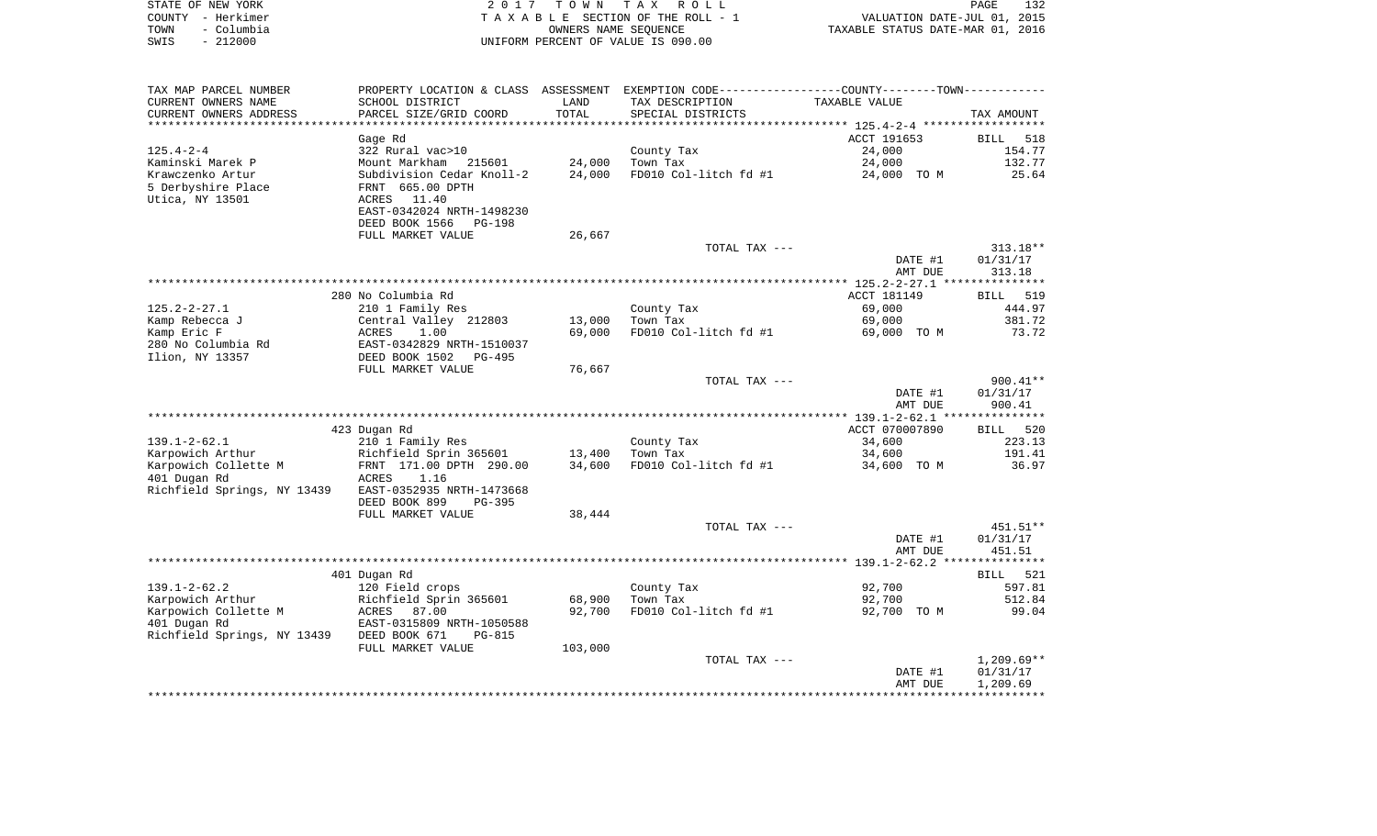|      | STATE OF NEW YORK | 2017 TOWN TAX ROLL                 | 132<br>PAGE                      |
|------|-------------------|------------------------------------|----------------------------------|
|      | COUNTY - Herkimer | TAXABLE SECTION OF THE ROLL - 1    | VALUATION DATE-JUL 01, 2015      |
| TOWN | – Columbia        | OWNERS NAME SEOUENCE               | TAXABLE STATUS DATE-MAR 01, 2016 |
| SWIS | $-212000$         | INIFORM PERCENT OF VALUE IS 090.00 |                                  |

| TAX MAP PARCEL NUMBER       |                                 |         | PROPERTY LOCATION & CLASS ASSESSMENT EXEMPTION CODE---------------COUNTY-------TOWN---------- |                |                    |
|-----------------------------|---------------------------------|---------|-----------------------------------------------------------------------------------------------|----------------|--------------------|
| CURRENT OWNERS NAME         | SCHOOL DISTRICT                 | LAND    | TAX DESCRIPTION                                                                               | TAXABLE VALUE  |                    |
| CURRENT OWNERS ADDRESS      | PARCEL SIZE/GRID COORD          | TOTAL   | SPECIAL DISTRICTS                                                                             |                | TAX AMOUNT         |
|                             |                                 |         |                                                                                               |                |                    |
|                             | Gage Rd                         |         |                                                                                               | ACCT 191653    | <b>BILL</b><br>518 |
| $125.4 - 2 - 4$             | 322 Rural vac>10                |         | County Tax                                                                                    | 24,000         | 154.77             |
| Kaminski Marek P            | Mount Markham<br>215601         | 24,000  | Town Tax                                                                                      | 24,000         | 132.77             |
| Krawczenko Artur            | Subdivision Cedar Knoll-2       | 24,000  | FD010 Col-litch fd #1                                                                         | 24,000 TO M    | 25.64              |
| 5 Derbyshire Place          | FRNT 665.00 DPTH                |         |                                                                                               |                |                    |
| Utica, NY 13501             | 11.40<br>ACRES                  |         |                                                                                               |                |                    |
|                             | EAST-0342024 NRTH-1498230       |         |                                                                                               |                |                    |
|                             | DEED BOOK 1566<br><b>PG-198</b> |         |                                                                                               |                |                    |
|                             | FULL MARKET VALUE               | 26,667  |                                                                                               |                |                    |
|                             |                                 |         | TOTAL TAX ---                                                                                 |                | $313.18**$         |
|                             |                                 |         |                                                                                               | DATE #1        | 01/31/17           |
|                             |                                 |         |                                                                                               | AMT DUE        | 313.18             |
|                             |                                 |         |                                                                                               |                |                    |
|                             | 280 No Columbia Rd              |         |                                                                                               | ACCT 181149    | 519<br>BILL        |
| $125.2 - 2 - 27.1$          | 210 1 Family Res                |         | County Tax                                                                                    | 69,000         | 444.97             |
| Kamp Rebecca J              | Central Valley 212803           | 13,000  | Town Tax                                                                                      | 69,000         | 381.72             |
| Kamp Eric F                 | ACRES<br>1.00                   | 69,000  | FD010 Col-litch fd #1                                                                         | 69,000 TO M    | 73.72              |
| 280 No Columbia Rd          | EAST-0342829 NRTH-1510037       |         |                                                                                               |                |                    |
| Ilion, NY 13357             | DEED BOOK 1502<br>$PG-495$      |         |                                                                                               |                |                    |
|                             | FULL MARKET VALUE               | 76,667  |                                                                                               |                |                    |
|                             |                                 |         | TOTAL TAX ---                                                                                 |                | 900.41**           |
|                             |                                 |         |                                                                                               | DATE #1        | 01/31/17           |
|                             |                                 |         |                                                                                               | AMT DUE        | 900.41             |
|                             |                                 |         |                                                                                               |                |                    |
|                             | 423 Dugan Rd                    |         |                                                                                               | ACCT 070007890 | 520<br>BILL        |
| $139.1 - 2 - 62.1$          | 210 1 Family Res                |         | County Tax                                                                                    | 34,600         | 223.13             |
| Karpowich Arthur            | Richfield Sprin 365601          | 13,400  | Town Tax                                                                                      | 34,600         | 191.41             |
| Karpowich Collette M        | FRNT 171.00 DPTH 290.00         | 34,600  | FD010 Col-litch fd #1                                                                         | 34,600 TO M    | 36.97              |
| 401 Dugan Rd                | ACRES<br>1.16                   |         |                                                                                               |                |                    |
| Richfield Springs, NY 13439 | EAST-0352935 NRTH-1473668       |         |                                                                                               |                |                    |
|                             | DEED BOOK 899<br>PG-395         |         |                                                                                               |                |                    |
|                             | FULL MARKET VALUE               | 38,444  |                                                                                               |                |                    |
|                             |                                 |         | TOTAL TAX ---                                                                                 |                | 451.51**           |
|                             |                                 |         |                                                                                               | DATE #1        | 01/31/17           |
|                             |                                 |         |                                                                                               | AMT DUE        | 451.51             |
|                             |                                 |         |                                                                                               |                |                    |
|                             | 401 Dugan Rd                    |         |                                                                                               |                | 521<br>BILL        |
| $139.1 - 2 - 62.2$          | 120 Field crops                 |         | County Tax                                                                                    | 92,700         | 597.81             |
| Karpowich Arthur            | Richfield Sprin 365601          | 68,900  | Town Tax                                                                                      | 92,700         | 512.84             |
| Karpowich Collette M        | ACRES<br>87.00                  | 92,700  | FD010 Col-litch fd #1                                                                         | 92,700 TO M    | 99.04              |
| 401 Dugan Rd                | EAST-0315809 NRTH-1050588       |         |                                                                                               |                |                    |
| Richfield Springs, NY 13439 | DEED BOOK 671<br><b>PG-815</b>  |         |                                                                                               |                |                    |
|                             | FULL MARKET VALUE               | 103,000 |                                                                                               |                |                    |
|                             |                                 |         | TOTAL TAX ---                                                                                 |                | $1,209.69**$       |
|                             |                                 |         |                                                                                               | DATE #1        | 01/31/17           |
|                             |                                 |         |                                                                                               | AMT DUE        | 1,209.69           |
|                             |                                 |         |                                                                                               |                |                    |
|                             |                                 |         |                                                                                               |                |                    |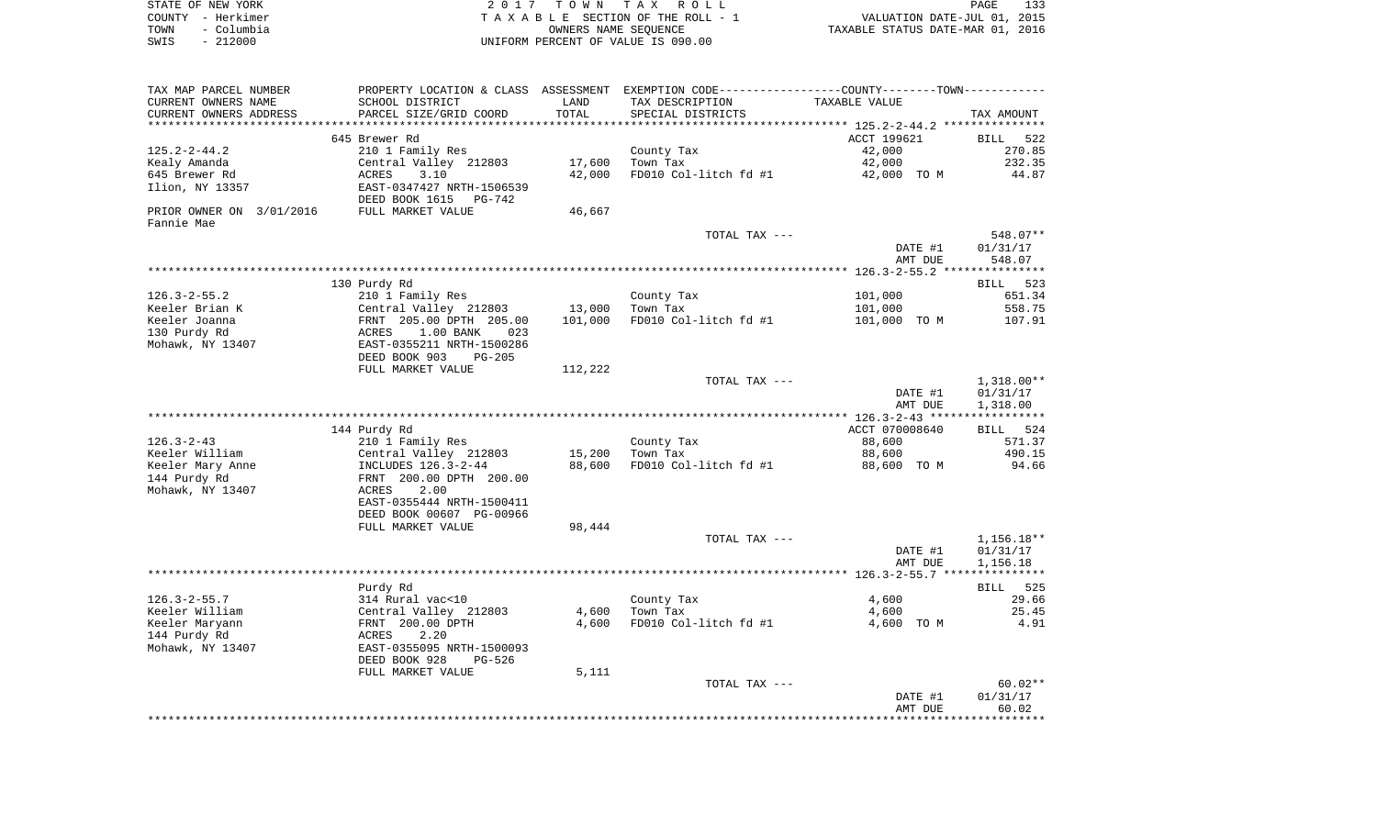| STATE OF NEW YORK |            | 2017 TOWN TAX ROLL                 | PAGE                             | 133 |
|-------------------|------------|------------------------------------|----------------------------------|-----|
| COUNTY – Herkimer |            | TAXABLE SECTION OF THE ROLL - 1    | VALUATION DATE-JUL 01, 2015      |     |
| TOWN              | - Columbia | OWNERS NAME SEOUENCE               | TAXABLE STATUS DATE-MAR 01, 2016 |     |
| SWIS              | - 212000   | UNIFORM PERCENT OF VALUE IS 090.00 |                                  |     |

| TAX MAP PARCEL NUMBER<br>CURRENT OWNERS NAME | SCHOOL DISTRICT                              | LAND             | PROPERTY LOCATION & CLASS ASSESSMENT EXEMPTION CODE---------------COUNTY-------TOWN----------<br>TAX DESCRIPTION | TAXABLE VALUE         |                    |
|----------------------------------------------|----------------------------------------------|------------------|------------------------------------------------------------------------------------------------------------------|-----------------------|--------------------|
| CURRENT OWNERS ADDRESS                       | PARCEL SIZE/GRID COORD                       | TOTAL            | SPECIAL DISTRICTS                                                                                                |                       | TAX AMOUNT         |
|                                              | 645 Brewer Rd                                |                  |                                                                                                                  | ACCT 199621           | <b>BILL</b><br>522 |
| $125.2 - 2 - 44.2$                           | 210 1 Family Res                             |                  | County Tax                                                                                                       | 42,000                | 270.85             |
| Kealy Amanda                                 | Central Valley 212803                        | 17,600           | Town Tax                                                                                                         | 42,000                | 232.35             |
| 645 Brewer Rd                                | 3.10<br>ACRES                                | 42,000           | FD010 Col-litch fd #1                                                                                            | 42,000 TO M           | 44.87              |
| Ilion, NY 13357                              | EAST-0347427 NRTH-1506539                    |                  |                                                                                                                  |                       |                    |
|                                              | DEED BOOK 1615<br>PG-742                     |                  |                                                                                                                  |                       |                    |
| PRIOR OWNER ON 3/01/2016                     | FULL MARKET VALUE                            | 46,667           |                                                                                                                  |                       |                    |
| Fannie Mae                                   |                                              |                  |                                                                                                                  |                       |                    |
|                                              |                                              |                  | TOTAL TAX ---                                                                                                    |                       | 548.07**           |
|                                              |                                              |                  |                                                                                                                  | DATE #1<br>AMT DUE    | 01/31/17<br>548.07 |
|                                              |                                              |                  |                                                                                                                  |                       |                    |
|                                              | 130 Purdy Rd                                 |                  |                                                                                                                  |                       | BILL 523           |
| $126.3 - 2 - 55.2$                           | 210 1 Family Res                             |                  | County Tax                                                                                                       | 101,000               | 651.34             |
| Keeler Brian K                               | Central Valley 212803                        | 13,000           | Town Tax                                                                                                         | 101,000               | 558.75             |
| Keeler Joanna                                | FRNT 205.00 DPTH 205.00                      | 101,000          | FD010 Col-litch fd #1                                                                                            | 101,000 TO M          | 107.91             |
| 130 Purdy Rd                                 | ACRES<br>$1.00$ BANK<br>023                  |                  |                                                                                                                  |                       |                    |
| Mohawk, NY 13407                             | EAST-0355211 NRTH-1500286                    |                  |                                                                                                                  |                       |                    |
|                                              | DEED BOOK 903<br>$PG-205$                    |                  |                                                                                                                  |                       |                    |
|                                              | FULL MARKET VALUE                            | 112,222          |                                                                                                                  |                       |                    |
|                                              |                                              |                  | TOTAL TAX ---                                                                                                    |                       | $1,318.00**$       |
|                                              |                                              |                  |                                                                                                                  | DATE #1               | 01/31/17           |
|                                              |                                              |                  |                                                                                                                  | AMT DUE               | 1,318.00           |
|                                              |                                              |                  |                                                                                                                  |                       |                    |
|                                              | 144 Purdy Rd                                 |                  |                                                                                                                  | ACCT 070008640        | BILL 524           |
| $126.3 - 2 - 43$                             | 210 1 Family Res                             |                  | County Tax                                                                                                       | 88,600                | 571.37             |
| Keeler William<br>Keeler Mary Anne           | Central Valley 212803<br>INCLUDES 126.3-2-44 | 15,200<br>88,600 | Town Tax<br>FD010 Col-litch fd #1                                                                                | 88,600<br>88,600 TO M | 490.15<br>94.66    |
| 144 Purdy Rd                                 | FRNT 200.00 DPTH 200.00                      |                  |                                                                                                                  |                       |                    |
| Mohawk, NY 13407                             | 2.00<br>ACRES                                |                  |                                                                                                                  |                       |                    |
|                                              | EAST-0355444 NRTH-1500411                    |                  |                                                                                                                  |                       |                    |
|                                              | DEED BOOK 00607 PG-00966                     |                  |                                                                                                                  |                       |                    |
|                                              | FULL MARKET VALUE                            | 98,444           |                                                                                                                  |                       |                    |
|                                              |                                              |                  | TOTAL TAX ---                                                                                                    |                       | 1,156.18**         |
|                                              |                                              |                  |                                                                                                                  | DATE #1               | 01/31/17           |
|                                              |                                              |                  |                                                                                                                  | AMT DUE               | 1,156.18           |
|                                              |                                              |                  |                                                                                                                  |                       |                    |
|                                              | Purdy Rd                                     |                  |                                                                                                                  |                       | BILL 525           |
| $126.3 - 2 - 55.7$                           | 314 Rural vac<10                             |                  | County Tax                                                                                                       | 4,600                 | 29.66              |
| Keeler William                               | Central Valley 212803                        | 4,600            | Town Tax                                                                                                         | 4,600                 | 25.45              |
| Keeler Maryann                               | FRNT 200.00 DPTH                             | 4,600            | FD010 Col-litch fd #1                                                                                            | 4,600 TO M            | 4.91               |
| 144 Purdy Rd                                 | 2.20<br>ACRES                                |                  |                                                                                                                  |                       |                    |
| Mohawk, NY 13407                             | EAST-0355095 NRTH-1500093                    |                  |                                                                                                                  |                       |                    |
|                                              | DEED BOOK 928<br>PG-526                      |                  |                                                                                                                  |                       |                    |
|                                              | FULL MARKET VALUE                            | 5,111            |                                                                                                                  |                       |                    |
|                                              |                                              |                  | TOTAL TAX ---                                                                                                    |                       | $60.02**$          |
|                                              |                                              |                  |                                                                                                                  | DATE #1               | 01/31/17<br>60.02  |
|                                              |                                              |                  |                                                                                                                  | AMT DUE               |                    |
|                                              |                                              |                  |                                                                                                                  |                       |                    |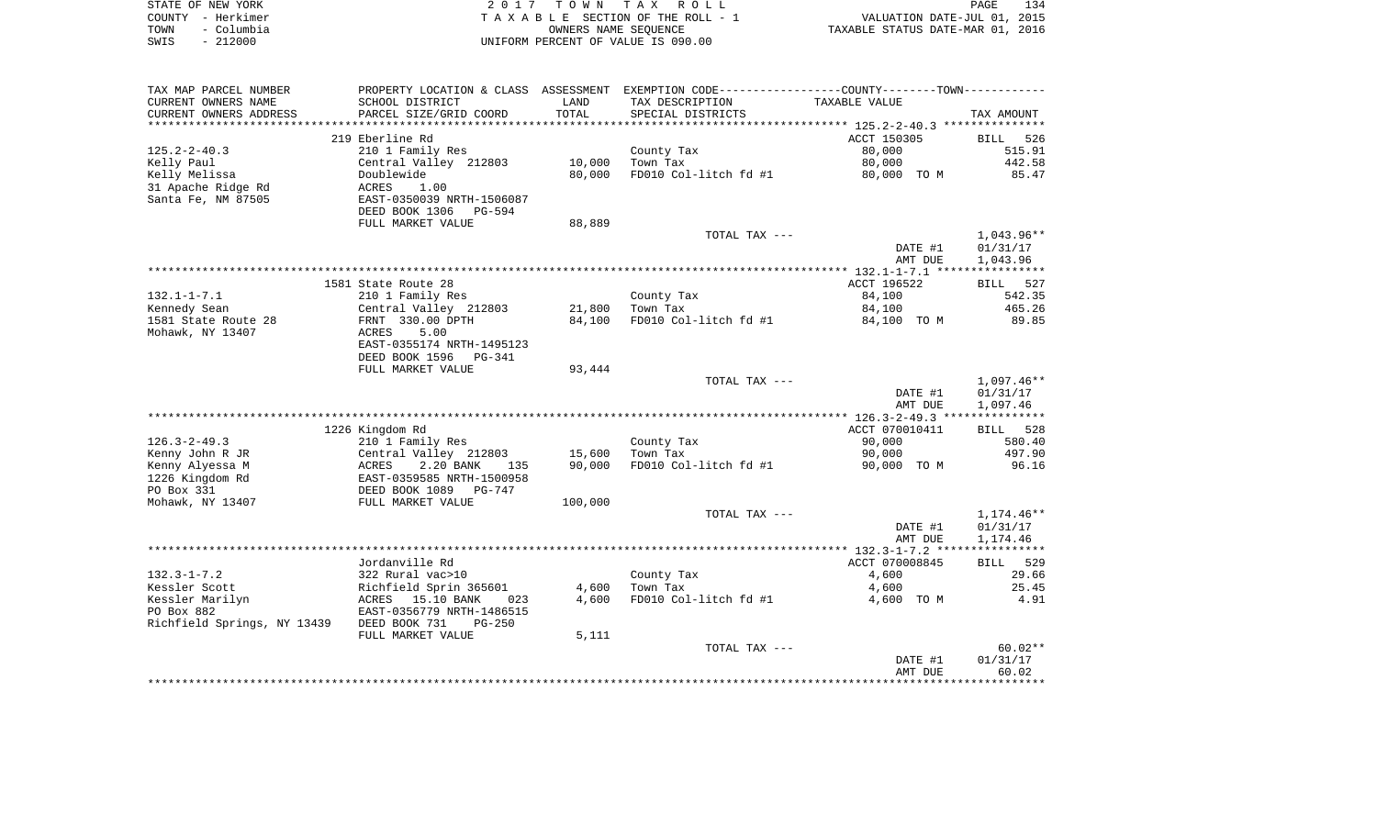|      | STATE OF NEW YORK | 2017 TOWN TAX ROLL                 | 134<br>PAGE                      |
|------|-------------------|------------------------------------|----------------------------------|
|      | COUNTY - Herkimer | TAXABLE SECTION OF THE ROLL - 1    | VALUATION DATE-JUL 01, 2015      |
| TOWN | – Columbia        | OWNERS NAME SEOUENCE               | TAXABLE STATUS DATE-MAR 01, 2016 |
| SWIS | $-212000$         | UNIFORM PERCENT OF VALUE IS 090.00 |                                  |

| TAX MAP PARCEL NUMBER                     | PROPERTY LOCATION & CLASS ASSESSMENT EXEMPTION CODE----------------COUNTY-------TOWN-------- |         |                       |                |              |
|-------------------------------------------|----------------------------------------------------------------------------------------------|---------|-----------------------|----------------|--------------|
| CURRENT OWNERS NAME                       | SCHOOL DISTRICT                                                                              | LAND    | TAX DESCRIPTION       | TAXABLE VALUE  |              |
| CURRENT OWNERS ADDRESS                    | PARCEL SIZE/GRID COORD                                                                       | TOTAL   | SPECIAL DISTRICTS     |                | TAX AMOUNT   |
|                                           |                                                                                              |         |                       |                |              |
|                                           | 219 Eberline Rd                                                                              |         |                       | ACCT 150305    | BILL 526     |
| $125.2 - 2 - 40.3$                        | 210 1 Family Res                                                                             |         | County Tax            | 80,000         | 515.91       |
| Kelly Paul                                | Central Valley 212803                                                                        | 10,000  | Town Tax              | 80,000         | 442.58       |
| Kelly Melissa                             | Doublewide                                                                                   | 80,000  | FD010 Col-litch fd #1 | 80,000 TO M    | 85.47        |
| 31 Apache Ridge Rd                        | <b>ACRES</b><br>1.00                                                                         |         |                       |                |              |
| Santa Fe, NM 87505                        | EAST-0350039 NRTH-1506087                                                                    |         |                       |                |              |
|                                           | DEED BOOK 1306<br>PG-594                                                                     |         |                       |                |              |
|                                           | FULL MARKET VALUE                                                                            | 88,889  |                       |                |              |
|                                           |                                                                                              |         | TOTAL TAX ---         |                | $1,043.96**$ |
|                                           |                                                                                              |         |                       | DATE #1        | 01/31/17     |
|                                           |                                                                                              |         |                       | AMT DUE        | 1,043.96     |
|                                           |                                                                                              |         |                       |                |              |
|                                           | 1581 State Route 28                                                                          |         |                       | ACCT 196522    | BILL 527     |
| $132.1 - 1 - 7.1$                         | 210 1 Family Res                                                                             |         | County Tax            | 84,100         | 542.35       |
| Kennedy Sean                              | Central Valley 212803                                                                        | 21,800  | Town Tax              | 84,100         | 465.26       |
| 1581 State Route 28                       | FRNT 330.00 DPTH                                                                             | 84,100  | FD010 Col-litch fd #1 | 84,100 TO M    | 89.85        |
| Mohawk, NY 13407                          | ACRES<br>5.00                                                                                |         |                       |                |              |
|                                           | EAST-0355174 NRTH-1495123                                                                    |         |                       |                |              |
|                                           | DEED BOOK 1596<br>PG-341                                                                     |         |                       |                |              |
|                                           | FULL MARKET VALUE                                                                            | 93,444  |                       |                |              |
|                                           |                                                                                              |         | TOTAL TAX ---         |                | $1,097.46**$ |
|                                           |                                                                                              |         |                       | DATE #1        | 01/31/17     |
|                                           |                                                                                              |         |                       | AMT DUE        | 1,097.46     |
|                                           |                                                                                              |         |                       |                |              |
|                                           | 1226 Kingdom Rd                                                                              |         |                       | ACCT 070010411 | BILL 528     |
| $126.3 - 2 - 49.3$                        | 210 1 Family Res                                                                             |         | County Tax            | 90,000         | 580.40       |
| Kenny John R JR                           | Central Valley 212803                                                                        | 15,600  | Town Tax              | 90,000         | 497.90       |
| Kenny Alyessa M                           | ACRES<br>2.20 BANK<br>135                                                                    | 90,000  | FD010 Col-litch fd #1 | 90,000 TO M    | 96.16        |
| 1226 Kingdom Rd                           | EAST-0359585 NRTH-1500958                                                                    |         |                       |                |              |
| PO Box 331                                | DEED BOOK 1089 PG-747                                                                        |         |                       |                |              |
| Mohawk, NY 13407                          | FULL MARKET VALUE                                                                            | 100,000 |                       |                |              |
|                                           |                                                                                              |         | TOTAL TAX ---         |                | 1,174.46**   |
|                                           |                                                                                              |         |                       | DATE #1        | 01/31/17     |
|                                           |                                                                                              |         |                       | AMT DUE        | 1,174.46     |
|                                           |                                                                                              |         |                       |                |              |
|                                           | Jordanville Rd                                                                               |         |                       | ACCT 070008845 | BILL 529     |
| $132.3 - 1 - 7.2$                         | 322 Rural vac>10                                                                             |         | County Tax            | 4,600          | 29.66        |
| Kessler Scott                             | Richfield Sprin 365601                                                                       | 4,600   | Town Tax              | 4,600          | 25.45        |
| Kessler Marilyn                           | ACRES 15.10 BANK<br>023                                                                      | 4,600   | FD010 Col-litch fd #1 | 4,600 TO M     | 4.91         |
| PO Box 882<br>Richfield Springs, NY 13439 | EAST-0356779 NRTH-1486515                                                                    |         |                       |                |              |
|                                           | DEED BOOK 731<br>PG-250                                                                      |         |                       |                |              |
|                                           | FULL MARKET VALUE                                                                            | 5,111   |                       |                | $60.02**$    |
|                                           |                                                                                              |         | TOTAL TAX ---         | DATE #1        | 01/31/17     |
|                                           |                                                                                              |         |                       | AMT DUE        | 60.02        |
|                                           |                                                                                              |         |                       |                |              |
|                                           |                                                                                              |         |                       |                |              |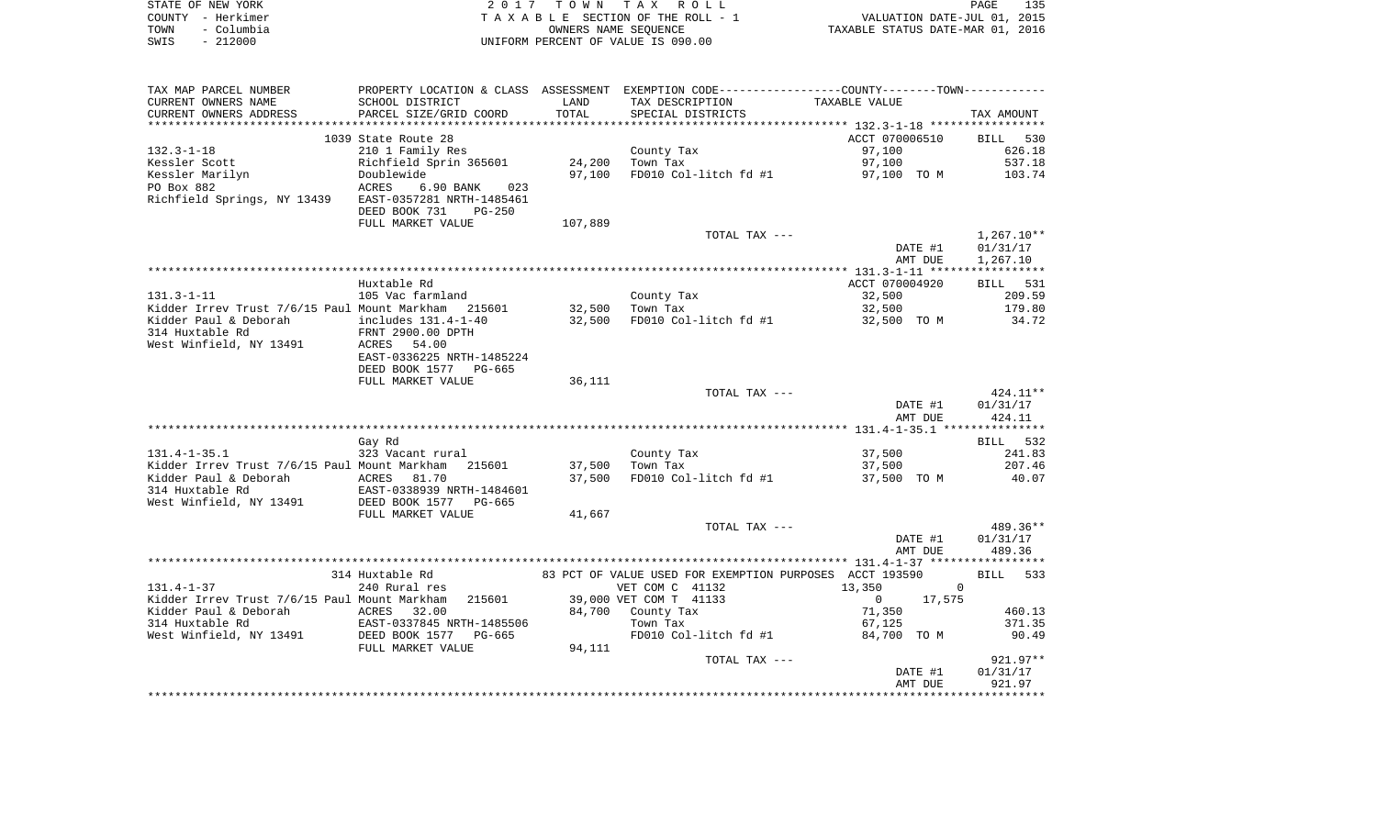| STATE OF NEW YORK  | 2017 TOWN TAX ROLL                 | 135<br>PAGE                      |
|--------------------|------------------------------------|----------------------------------|
| COUNTY - Herkimer  | TAXABLE SECTION OF THE ROLL - 1    | VALUATION DATE-JUL 01, 2015      |
| - Columbia<br>TOWN | OWNERS NAME SEOUENCE               | TAXABLE STATUS DATE-MAR 01, 2016 |
| $-212000$<br>SWIS  | UNIFORM PERCENT OF VALUE IS 090.00 |                                  |

| TAX MAP PARCEL NUMBER                                 | PROPERTY LOCATION & CLASS ASSESSMENT EXEMPTION CODE----------------COUNTY--------TOWN----------- |         |                                                         |                          |              |
|-------------------------------------------------------|--------------------------------------------------------------------------------------------------|---------|---------------------------------------------------------|--------------------------|--------------|
| CURRENT OWNERS NAME                                   | SCHOOL DISTRICT                                                                                  | LAND    | TAX DESCRIPTION                                         | TAXABLE VALUE            |              |
| CURRENT OWNERS ADDRESS                                | PARCEL SIZE/GRID COORD                                                                           | TOTAL   | SPECIAL DISTRICTS                                       |                          | TAX AMOUNT   |
|                                                       |                                                                                                  |         |                                                         |                          |              |
|                                                       | 1039 State Route 28                                                                              |         |                                                         | ACCT 070006510           | BILL 530     |
| $132.3 - 1 - 18$                                      | 210 1 Family Res                                                                                 |         | County Tax                                              | 97,100                   | 626.18       |
| Kessler Scott                                         | Richfield Sprin 365601                                                                           | 24,200  | Town Tax                                                | 97,100                   | 537.18       |
| Kessler Marilyn                                       | Doublewide                                                                                       | 97,100  | FD010 Col-litch fd #1                                   | 97,100 TO M              | 103.74       |
| PO Box 882                                            | ACRES<br>6.90 BANK<br>023                                                                        |         |                                                         |                          |              |
| Richfield Springs, NY 13439 EAST-0357281 NRTH-1485461 |                                                                                                  |         |                                                         |                          |              |
|                                                       | DEED BOOK 731<br>$PG-250$                                                                        |         |                                                         |                          |              |
|                                                       | FULL MARKET VALUE                                                                                | 107,889 |                                                         |                          |              |
|                                                       |                                                                                                  |         | TOTAL TAX ---                                           |                          | $1,267.10**$ |
|                                                       |                                                                                                  |         |                                                         | DATE #1                  | 01/31/17     |
|                                                       |                                                                                                  |         |                                                         | AMT DUE                  | 1,267.10     |
|                                                       |                                                                                                  |         |                                                         |                          |              |
|                                                       | Huxtable Rd                                                                                      |         |                                                         | ACCT 070004920           | BILL 531     |
| $131.3 - 1 - 11$                                      | 105 Vac farmland                                                                                 |         | County Tax                                              | 32,500                   | 209.59       |
| Kidder Irrev Trust 7/6/15 Paul Mount Markham 215601   |                                                                                                  | 32,500  | Town Tax                                                | 32,500                   | 179.80       |
| Kidder Paul & Deborah                                 | includes 131.4-1-40                                                                              | 32,500  | FD010 Col-litch fd #1                                   | 32,500 TO M              | 34.72        |
| 314 Huxtable Rd                                       | FRNT 2900.00 DPTH                                                                                |         |                                                         |                          |              |
| West Winfield, NY 13491                               | ACRES<br>54.00                                                                                   |         |                                                         |                          |              |
|                                                       | EAST-0336225 NRTH-1485224                                                                        |         |                                                         |                          |              |
|                                                       | DEED BOOK 1577 PG-665                                                                            |         |                                                         |                          |              |
|                                                       | FULL MARKET VALUE                                                                                | 36,111  |                                                         |                          |              |
|                                                       |                                                                                                  |         | TOTAL TAX ---                                           |                          | 424.11**     |
|                                                       |                                                                                                  |         |                                                         | DATE #1                  | 01/31/17     |
|                                                       |                                                                                                  |         |                                                         | AMT DUE                  | 424.11       |
|                                                       |                                                                                                  |         |                                                         |                          |              |
|                                                       | Gay Rd                                                                                           |         |                                                         |                          | BILL 532     |
| $131.4 - 1 - 35.1$                                    | 323 Vacant rural                                                                                 |         | County Tax                                              | 37,500                   | 241.83       |
| Kidder Irrev Trust 7/6/15 Paul Mount Markham 215601   |                                                                                                  | 37,500  | Town Tax                                                | 37,500                   | 207.46       |
| Kidder Paul & Deborah MCRES                           | 81.70                                                                                            | 37,500  | FD010 Col-litch fd #1                                   | 37,500 TO M              | 40.07        |
| 314 Huxtable Rd                                       | EAST-0338939 NRTH-1484601                                                                        |         |                                                         |                          |              |
| West Winfield, NY 13491                               | DEED BOOK 1577<br>PG-665                                                                         |         |                                                         |                          |              |
|                                                       | FULL MARKET VALUE                                                                                | 41,667  |                                                         |                          |              |
|                                                       |                                                                                                  |         | TOTAL TAX ---                                           |                          | 489.36**     |
|                                                       |                                                                                                  |         |                                                         | DATE #1                  | 01/31/17     |
|                                                       |                                                                                                  |         |                                                         | AMT DUE                  | 489.36       |
|                                                       |                                                                                                  |         |                                                         |                          |              |
|                                                       | 314 Huxtable Rd                                                                                  |         | 83 PCT OF VALUE USED FOR EXEMPTION PURPOSES ACCT 193590 |                          | BILL 533     |
| $131.4 - 1 - 37$                                      | 240 Rural res                                                                                    |         | VET COM C 41132                                         | 13,350<br>$\mathbf 0$    |              |
| Kidder Irrev Trust 7/6/15 Paul Mount Markham          | 215601                                                                                           |         | 39,000 VET COM T 41133                                  | 17,575<br>$\overline{0}$ |              |
| Kidder Paul & Deborah                                 | 32.00<br>ACRES                                                                                   |         | 84,700 County Tax                                       | 71,350                   | 460.13       |
| 314 Huxtable Rd                                       | EAST-0337845 NRTH-1485506                                                                        |         | Town Tax                                                | 67,125                   | 371.35       |
| West Winfield, NY 13491 DEED BOOK 1577                | PG-665                                                                                           |         | FD010 Col-litch fd #1                                   | 84,700 TO M              | 90.49        |
|                                                       | FULL MARKET VALUE                                                                                | 94,111  |                                                         |                          |              |
|                                                       |                                                                                                  |         | TOTAL TAX ---                                           |                          | $921.97**$   |
|                                                       |                                                                                                  |         |                                                         | DATE #1                  | 01/31/17     |
|                                                       |                                                                                                  |         |                                                         | AMT DUE                  | 921.97       |
|                                                       |                                                                                                  |         |                                                         |                          |              |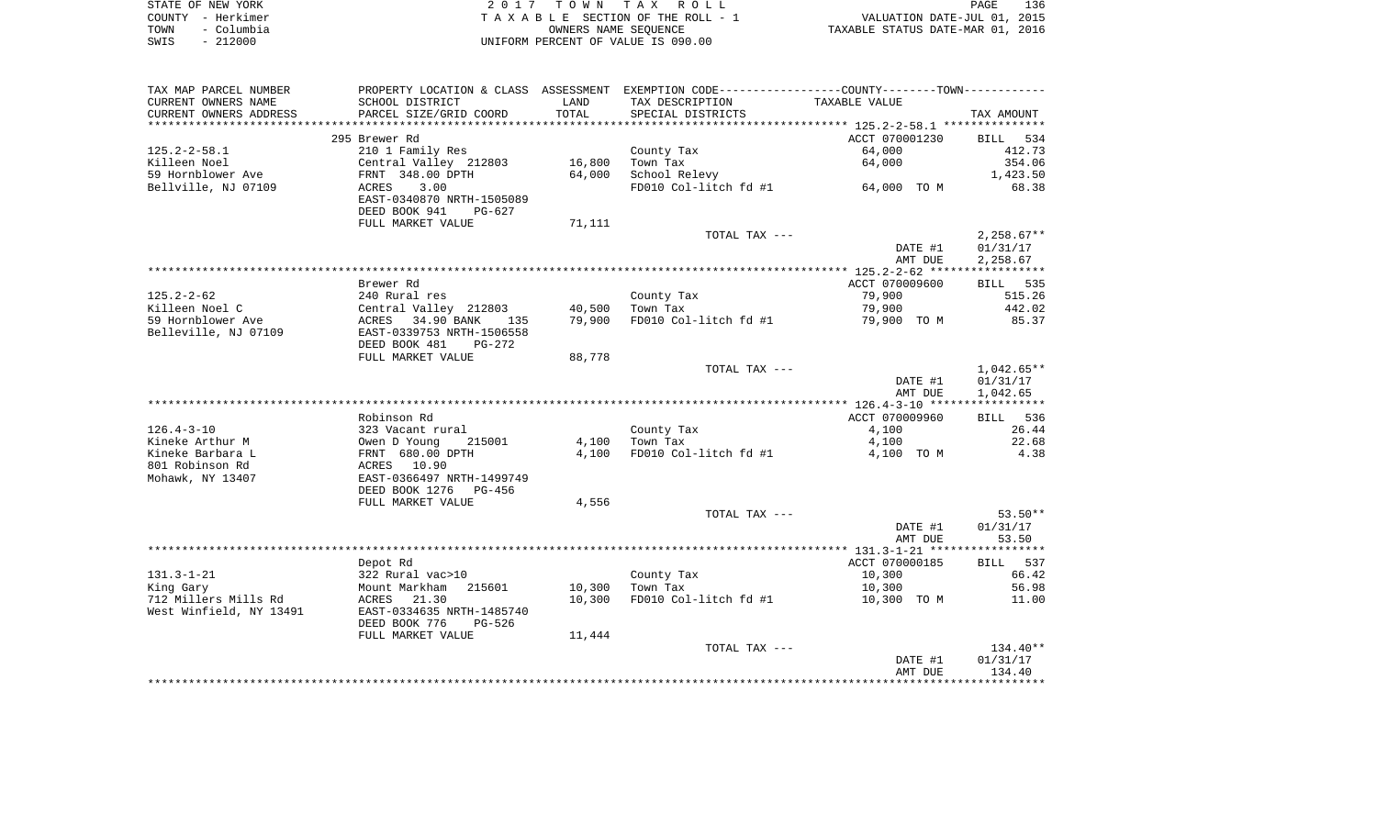| STATE OF NEW YORK  | 2017 TOWN TAX ROLL                    | 136<br>PAGE                      |
|--------------------|---------------------------------------|----------------------------------|
| COUNTY - Herkimer  | T A X A B L E SECTION OF THE ROLL - 1 | VALUATION DATE-JUL 01, 2015      |
| – Columbia<br>TOWN | OWNERS NAME SEOUENCE                  | TAXABLE STATUS DATE-MAR 01, 2016 |
| - 212000<br>SWIS   | UNIFORM PERCENT OF VALUE IS 090.00    |                                  |

| TAX MAP PARCEL NUMBER   | PROPERTY LOCATION & CLASS ASSESSMENT EXEMPTION CODE---------------COUNTY-------TOWN---------- |        |                       |                |              |
|-------------------------|-----------------------------------------------------------------------------------------------|--------|-----------------------|----------------|--------------|
| CURRENT OWNERS NAME     | SCHOOL DISTRICT                                                                               | LAND   | TAX DESCRIPTION       | TAXABLE VALUE  |              |
| CURRENT OWNERS ADDRESS  | PARCEL SIZE/GRID COORD                                                                        | TOTAL  | SPECIAL DISTRICTS     |                | TAX AMOUNT   |
|                         |                                                                                               |        |                       |                |              |
|                         | 295 Brewer Rd                                                                                 |        |                       | ACCT 070001230 | BILL 534     |
| $125.2 - 2 - 58.1$      | 210 1 Family Res                                                                              |        | County Tax            | 64,000         | 412.73       |
| Killeen Noel            | Central Valley 212803                                                                         | 16,800 | Town Tax              | 64,000         | 354.06       |
| 59 Hornblower Ave       | FRNT 348.00 DPTH                                                                              | 64,000 | School Relevy         |                | 1,423.50     |
| Bellville, NJ 07109     | 3.00<br>ACRES                                                                                 |        | FD010 Col-litch fd #1 | 64,000 TO M    | 68.38        |
|                         | EAST-0340870 NRTH-1505089                                                                     |        |                       |                |              |
|                         | DEED BOOK 941<br>$PG-627$                                                                     |        |                       |                |              |
|                         | FULL MARKET VALUE                                                                             | 71,111 |                       |                |              |
|                         |                                                                                               |        | TOTAL TAX ---         |                | $2,258.67**$ |
|                         |                                                                                               |        |                       | DATE #1        | 01/31/17     |
|                         |                                                                                               |        |                       | AMT DUE        | 2,258.67     |
|                         |                                                                                               |        |                       |                |              |
|                         | Brewer Rd                                                                                     |        |                       | ACCT 070009600 | BILL 535     |
| $125.2 - 2 - 62$        | 240 Rural res                                                                                 |        | County Tax            | 79,900         | 515.26       |
| Killeen Noel C          | Central Valley 212803                                                                         | 40,500 | Town Tax              | 79,900         | 442.02       |
| 59 Hornblower Ave       | ACRES 34.90 BANK<br>135                                                                       | 79,900 | FD010 Col-litch fd #1 | 79,900 TO M    | 85.37        |
| Belleville, NJ 07109    | EAST-0339753 NRTH-1506558                                                                     |        |                       |                |              |
|                         | DEED BOOK 481<br>PG-272                                                                       |        |                       |                |              |
|                         | FULL MARKET VALUE                                                                             | 88,778 |                       |                |              |
|                         |                                                                                               |        | TOTAL TAX ---         |                | 1,042.65**   |
|                         |                                                                                               |        |                       | DATE #1        | 01/31/17     |
|                         |                                                                                               |        |                       | AMT DUE        | 1,042.65     |
|                         |                                                                                               |        |                       |                |              |
|                         | Robinson Rd                                                                                   |        |                       | ACCT 070009960 | BILL 536     |
| $126.4 - 3 - 10$        | 323 Vacant rural                                                                              |        | County Tax            | 4,100          | 26.44        |
| Kineke Arthur M         | 215001<br>Owen D Young                                                                        | 4,100  | Town Tax              | 4,100          | 22.68        |
| Kineke Barbara L        | FRNT 680.00 DPTH                                                                              | 4,100  | FD010 Col-litch fd #1 | 4,100 TO M     | 4.38         |
| 801 Robinson Rd         | ACRES 10.90                                                                                   |        |                       |                |              |
| Mohawk, NY 13407        | EAST-0366497 NRTH-1499749                                                                     |        |                       |                |              |
|                         | DEED BOOK 1276<br>PG-456                                                                      |        |                       |                |              |
|                         | FULL MARKET VALUE                                                                             | 4,556  |                       |                |              |
|                         |                                                                                               |        | TOTAL TAX ---         |                | $53.50**$    |
|                         |                                                                                               |        |                       | DATE #1        | 01/31/17     |
|                         |                                                                                               |        |                       | AMT DUE        | 53.50        |
|                         |                                                                                               |        |                       |                |              |
|                         | Depot Rd                                                                                      |        |                       | ACCT 070000185 | BILL 537     |
| $131.3 - 1 - 21$        | 322 Rural vac>10                                                                              |        | County Tax            | 10,300         | 66.42        |
| King Gary               | Mount Markham<br>215601                                                                       | 10,300 | Town Tax              | 10,300         | 56.98        |
| 712 Millers Mills Rd    | ACRES 21.30                                                                                   | 10,300 | FD010 Col-litch fd #1 | 10,300 TO M    | 11.00        |
| West Winfield, NY 13491 | EAST-0334635 NRTH-1485740                                                                     |        |                       |                |              |
|                         | DEED BOOK 776<br>PG-526                                                                       |        |                       |                |              |
|                         | FULL MARKET VALUE                                                                             | 11,444 |                       |                |              |
|                         |                                                                                               |        | TOTAL TAX ---         |                | $134.40**$   |
|                         |                                                                                               |        |                       | DATE #1        | 01/31/17     |
|                         |                                                                                               |        |                       | AMT DUE        | 134.40       |
|                         |                                                                                               |        |                       |                |              |
|                         |                                                                                               |        |                       |                |              |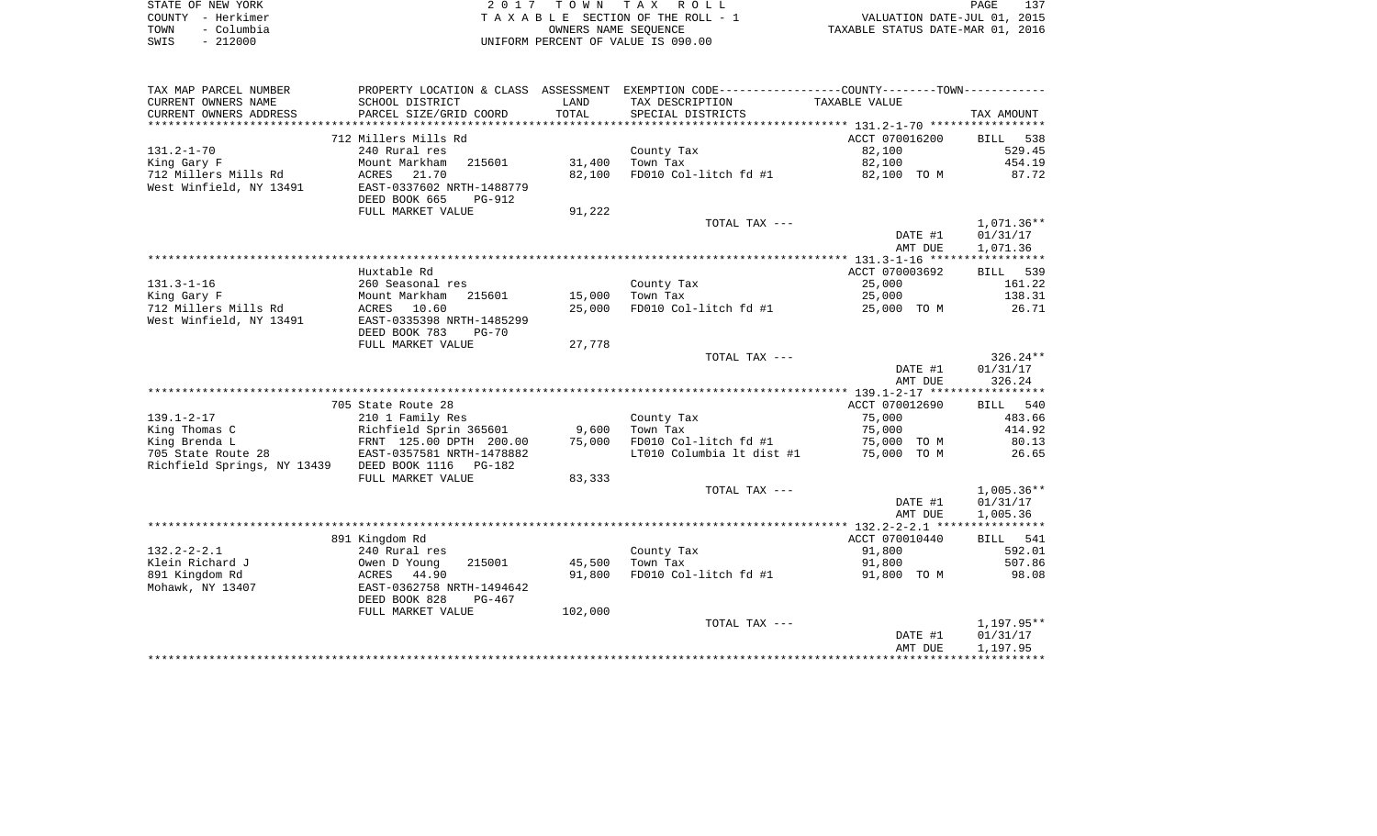|      | STATE OF NEW YORK | 2017 TOWN TAX ROLL                 | 137<br><b>PAGE</b>               |
|------|-------------------|------------------------------------|----------------------------------|
|      | COUNTY - Herkimer | TAXABLE SECTION OF THE ROLL - 1    | VALUATION DATE-JUL 01, 2015      |
| TOWN | - Columbia        | OWNERS NAME SEOUENCE               | TAXABLE STATUS DATE-MAR 01, 2016 |
| SWIS | $-212000$         | UNIFORM PERCENT OF VALUE IS 090.00 |                                  |

| CURRENT OWNERS NAME<br>SCHOOL DISTRICT<br>LAND<br>TAX DESCRIPTION<br>TAXABLE VALUE                       |                    |
|----------------------------------------------------------------------------------------------------------|--------------------|
|                                                                                                          |                    |
| CURRENT OWNERS ADDRESS<br>PARCEL SIZE/GRID COORD<br>TOTAL<br>SPECIAL DISTRICTS                           | TAX AMOUNT         |
|                                                                                                          |                    |
| 712 Millers Mills Rd<br>ACCT 070016200                                                                   | BILL<br>538        |
| $131.2 - 1 - 70$<br>82,100<br>240 Rural res<br>County Tax                                                | 529.45             |
| 31,400<br>215601<br>82,100<br>King Gary F<br>Mount Markham<br>Town Tax                                   | 454.19             |
| 712 Millers Mills Rd<br>21.70<br>82,100<br>FD010 Col-litch fd #1<br>ACRES<br>82,100 TO M                 | 87.72              |
| West Winfield, NY 13491<br>EAST-0337602 NRTH-1488779                                                     |                    |
| DEED BOOK 665<br>PG-912                                                                                  |                    |
| FULL MARKET VALUE<br>91,222                                                                              |                    |
| TOTAL TAX ---                                                                                            | 1,071.36**         |
| DATE #1                                                                                                  | 01/31/17           |
| AMT DUE                                                                                                  | 1,071.36           |
|                                                                                                          |                    |
| Huxtable Rd<br>ACCT 070003692                                                                            | BILL 539           |
| $131.3 - 1 - 16$<br>260 Seasonal res<br>County Tax<br>25,000                                             | 161.22             |
| 25,000<br>King Gary F<br>Mount Markham<br>215601<br>15,000<br>Town Tax                                   | 138.31             |
| 712 Millers Mills Rd<br>25,000<br>ACRES 10.60<br>FD010 Col-litch fd #1<br>25,000 TO M                    | 26.71              |
| West Winfield, NY 13491<br>EAST-0335398 NRTH-1485299                                                     |                    |
| DEED BOOK 783<br>$PG-70$                                                                                 |                    |
| FULL MARKET VALUE<br>27,778                                                                              |                    |
| TOTAL TAX ---                                                                                            | $326.24**$         |
| DATE #1                                                                                                  | 01/31/17           |
| AMT DUE                                                                                                  | 326.24             |
|                                                                                                          |                    |
| ACCT 070012690<br>705 State Route 28                                                                     | BILL 540           |
| $139.1 - 2 - 17$<br>75,000<br>210 1 Family Res<br>County Tax                                             | 483.66             |
| King Thomas C<br>Richfield Sprin 365601<br>9,600<br>Town Tax<br>75,000                                   | 414.92             |
| King Brenda L<br>FRNT 125.00 DPTH 200.00<br>75,000<br>FD010 Col-litch fd #1<br>75,000 TO M               | 80.13              |
| 705 State Route 28<br>EAST-0357581 NRTH-1478882<br>LT010 Columbia lt dist #1<br>75,000 TO M              | 26.65              |
| Richfield Springs, NY 13439<br>DEED BOOK 1116 PG-182                                                     |                    |
| FULL MARKET VALUE<br>83,333                                                                              |                    |
| TOTAL TAX ---                                                                                            | $1,005.36**$       |
| DATE #1                                                                                                  | 01/31/17           |
| AMT DUE                                                                                                  | 1,005.36           |
|                                                                                                          |                    |
| 891 Kingdom Rd<br>ACCT 070010440<br>$132.2 - 2 - 2.1$<br>91,800                                          | BILL 541<br>592.01 |
| 240 Rural res<br>County Tax<br>Klein Richard J<br>215001<br>45,500<br>Town Tax<br>91,800<br>Owen D Young | 507.86             |
| 891 Kingdom Rd<br>91,800<br>FD010 Col-litch fd #1<br>ACRES<br>44.90<br>91,800 TO M                       | 98.08              |
| Mohawk, NY 13407<br>EAST-0362758 NRTH-1494642                                                            |                    |
| DEED BOOK 828<br>PG-467                                                                                  |                    |
| FULL MARKET VALUE<br>102,000                                                                             |                    |
| TOTAL TAX ---                                                                                            | 1,197.95**         |
| DATE #1                                                                                                  | 01/31/17           |
| AMT DUE                                                                                                  | 1,197.95           |
| ************************                                                                                 |                    |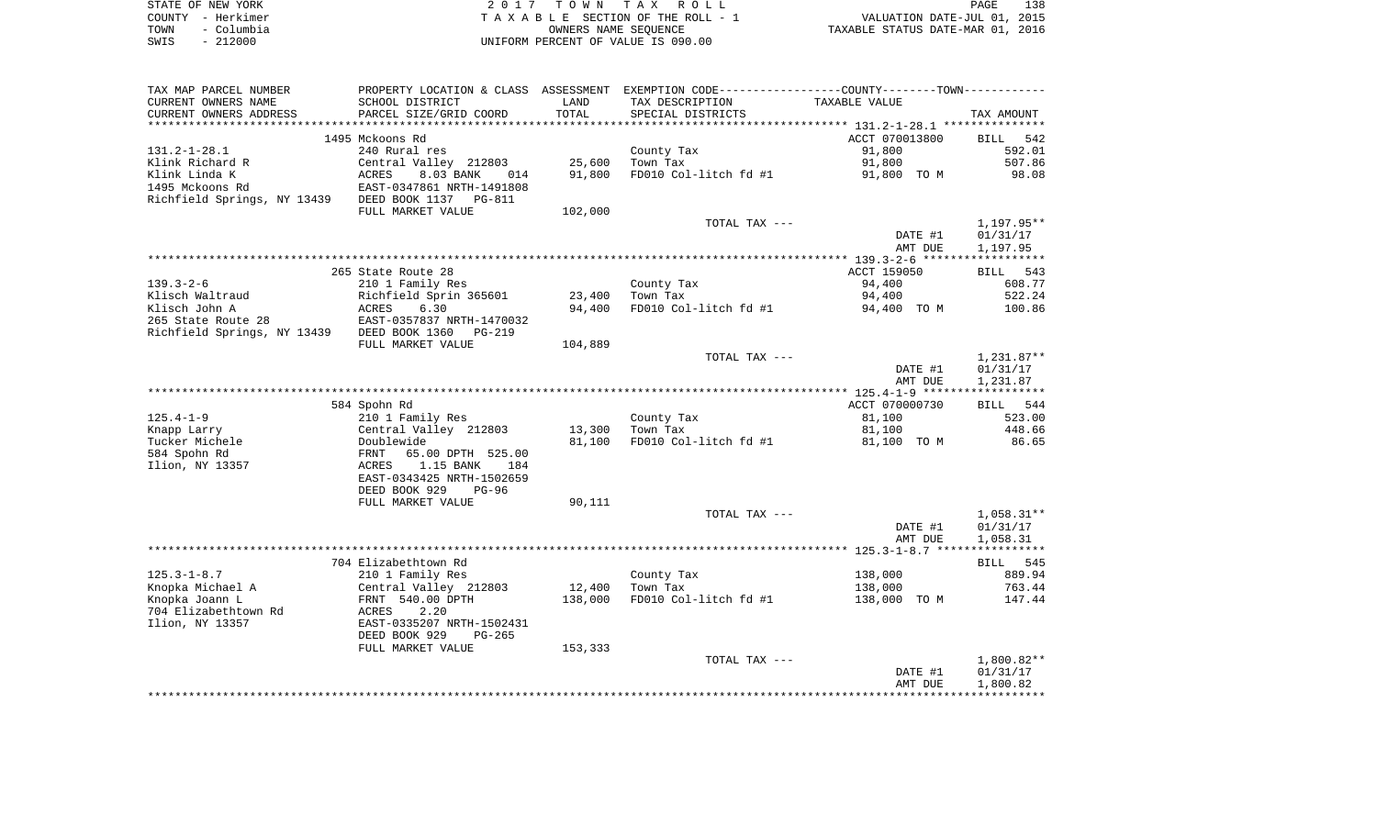|      | STATE OF NEW YORK | 2017 TOWN TAX ROLL                 | PAGE                             | 138 |
|------|-------------------|------------------------------------|----------------------------------|-----|
|      | COUNTY – Herkimer | TAXABLE SECTION OF THE ROLL - 1    | VALUATION DATE-JUL 01, 2015      |     |
| TOWN | - Columbia        | OWNERS NAME SEOUENCE               | TAXABLE STATUS DATE-MAR 01, 2016 |     |
| SWIS | - 212000          | UNIFORM PERCENT OF VALUE IS 090.00 |                                  |     |

| TAX MAP PARCEL NUMBER                             | PROPERTY LOCATION & CLASS ASSESSMENT EXEMPTION CODE----------------COUNTY--------TOWN----------- |         |                       |                |              |
|---------------------------------------------------|--------------------------------------------------------------------------------------------------|---------|-----------------------|----------------|--------------|
| CURRENT OWNERS NAME                               | SCHOOL DISTRICT                                                                                  | LAND    | TAX DESCRIPTION       | TAXABLE VALUE  |              |
| CURRENT OWNERS ADDRESS                            | PARCEL SIZE/GRID COORD                                                                           | TOTAL   | SPECIAL DISTRICTS     |                | TAX AMOUNT   |
|                                                   |                                                                                                  |         |                       |                |              |
|                                                   | 1495 Mckoons Rd                                                                                  |         |                       | ACCT 070013800 | BILL 542     |
| $131.2 - 1 - 28.1$                                | 240 Rural res                                                                                    |         | County Tax            | 91,800         | 592.01       |
| Klink Richard R                                   | Central Valley 212803                                                                            | 25,600  | Town Tax              | 91,800         | 507.86       |
| Klink Linda K                                     | ACRES<br>8.03 BANK<br>014                                                                        | 91,800  | FD010 Col-litch fd #1 | 91,800 TO M    | 98.08        |
| 1495 Mckoons Rd                                   | EAST-0347861 NRTH-1491808                                                                        |         |                       |                |              |
| Richfield Springs, NY 13439 DEED BOOK 1137 PG-811 |                                                                                                  |         |                       |                |              |
|                                                   | FULL MARKET VALUE                                                                                | 102,000 |                       |                |              |
|                                                   |                                                                                                  |         | TOTAL TAX ---         |                | 1,197.95**   |
|                                                   |                                                                                                  |         |                       | DATE #1        | 01/31/17     |
|                                                   |                                                                                                  |         |                       | AMT DUE        | 1,197.95     |
|                                                   |                                                                                                  |         |                       |                |              |
|                                                   | 265 State Route 28                                                                               |         |                       | ACCT 159050    | BILL 543     |
| $139.3 - 2 - 6$                                   | 210 1 Family Res                                                                                 |         | County Tax            | 94,400         | 608.77       |
| Klisch Waltraud                                   | Richfield Sprin 365601                                                                           | 23,400  | Town Tax              | 94,400         | 522.24       |
| Klisch John A                                     | 6.30<br>ACRES                                                                                    | 94,400  | FD010 Col-litch fd #1 | 94,400 TO M    | 100.86       |
| 265 State Route 28                                | EAST-0357837 NRTH-1470032                                                                        |         |                       |                |              |
| Richfield Springs, NY 13439 DEED BOOK 1360        | PG-219                                                                                           |         |                       |                |              |
|                                                   | FULL MARKET VALUE                                                                                | 104,889 |                       |                |              |
|                                                   |                                                                                                  |         | TOTAL TAX ---         |                | $1,231.87**$ |
|                                                   |                                                                                                  |         |                       | DATE #1        | 01/31/17     |
|                                                   |                                                                                                  |         |                       | AMT DUE        | 1,231.87     |
|                                                   |                                                                                                  |         |                       |                |              |
|                                                   | 584 Spohn Rd                                                                                     |         |                       | ACCT 070000730 | BILL 544     |
| $125.4 - 1 - 9$                                   | 210 1 Family Res                                                                                 |         | County Tax            | 81,100         | 523.00       |
| Knapp Larry                                       | Central Valley 212803                                                                            | 13,300  | Town Tax              | 81,100         | 448.66       |
| Tucker Michele                                    | Doublewide                                                                                       | 81,100  | FD010 Col-litch fd #1 | 81,100 TO M    | 86.65        |
| 584 Spohn Rd                                      | 65.00 DPTH 525.00<br>FRNT                                                                        |         |                       |                |              |
| Ilion, NY 13357                                   | ACRES<br>1.15 BANK<br>184                                                                        |         |                       |                |              |
|                                                   | EAST-0343425 NRTH-1502659                                                                        |         |                       |                |              |
|                                                   | DEED BOOK 929<br>$PG-96$                                                                         |         |                       |                |              |
|                                                   | FULL MARKET VALUE                                                                                | 90,111  |                       |                |              |
|                                                   |                                                                                                  |         | TOTAL TAX ---         |                | 1,058.31**   |
|                                                   |                                                                                                  |         |                       | DATE #1        | 01/31/17     |
|                                                   |                                                                                                  |         |                       | AMT DUE        | 1,058.31     |
|                                                   |                                                                                                  |         |                       |                |              |
|                                                   | 704 Elizabethtown Rd                                                                             |         |                       |                | BILL 545     |
| $125.3 - 1 - 8.7$                                 | 210 1 Family Res                                                                                 |         | County Tax            | 138,000        | 889.94       |
| Knopka Michael A                                  | Central Valley 212803                                                                            | 12,400  | Town Tax              | 138,000        | 763.44       |
| Knopka Joann L                                    | FRNT 540.00 DPTH                                                                                 | 138,000 | FD010 Col-litch fd #1 | 138,000 TO M   | 147.44       |
| 704 Elizabethtown Rd                              | 2.20<br>ACRES                                                                                    |         |                       |                |              |
| Ilion, NY 13357                                   | EAST-0335207 NRTH-1502431                                                                        |         |                       |                |              |
|                                                   | DEED BOOK 929<br>$PG-265$                                                                        |         |                       |                |              |
|                                                   | FULL MARKET VALUE                                                                                | 153,333 |                       |                |              |
|                                                   |                                                                                                  |         | TOTAL TAX ---         |                | 1,800.82**   |
|                                                   |                                                                                                  |         |                       | DATE #1        | 01/31/17     |
|                                                   |                                                                                                  |         |                       | AMT DUE        | 1,800.82     |
|                                                   |                                                                                                  |         |                       |                |              |
|                                                   |                                                                                                  |         |                       |                |              |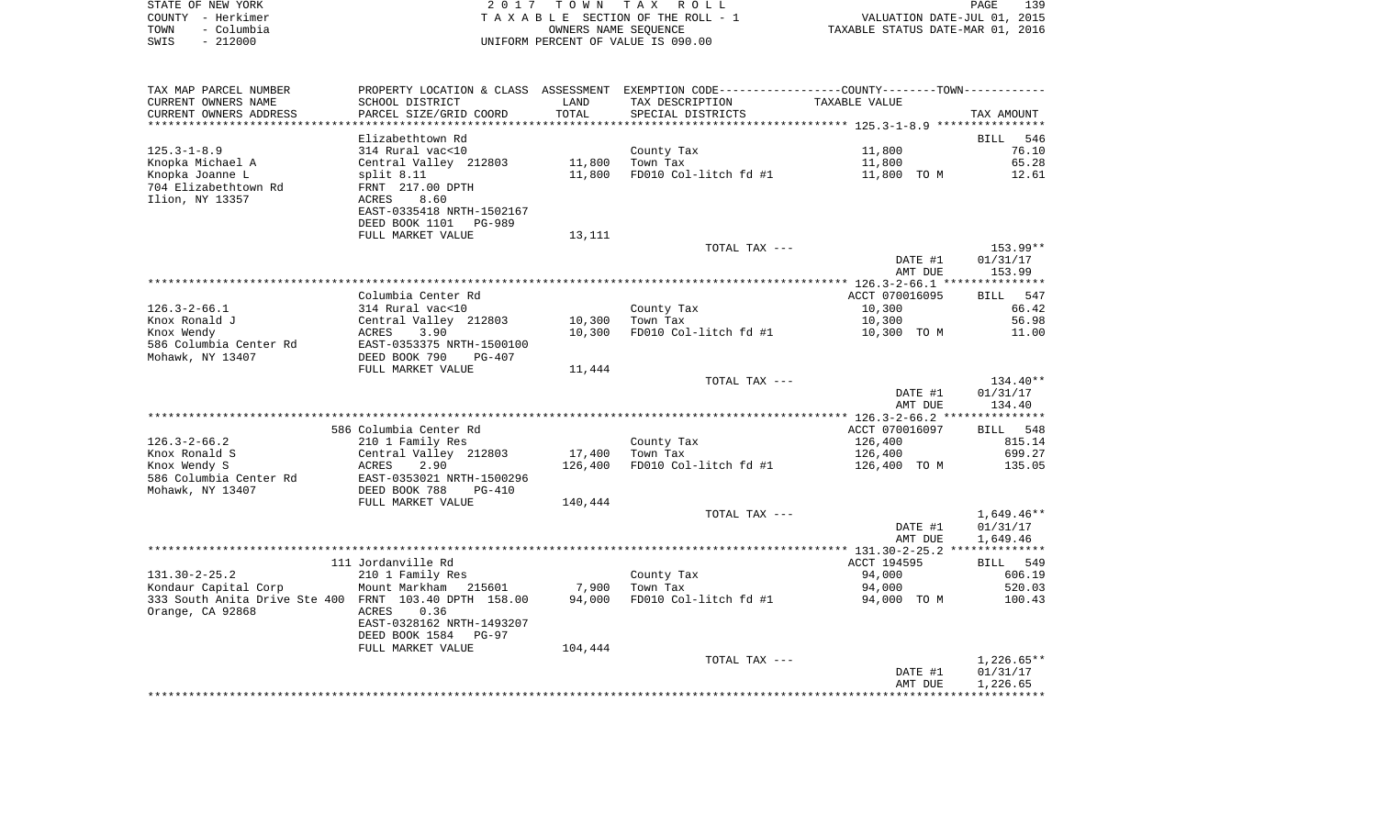|      | STATE OF NEW YORK | 2017 TOWN TAX ROLL                 | <b>PAGE</b>                      | 139 |
|------|-------------------|------------------------------------|----------------------------------|-----|
|      | COUNTY - Herkimer | TAXABLE SECTION OF THE ROLL - 1    | VALUATION DATE-JUL 01, 2015      |     |
| TOWN | - Columbia        | OWNERS NAME SEOUENCE               | TAXABLE STATUS DATE-MAR 01, 2016 |     |
| SWIS | $-212000$         | UNIFORM PERCENT OF VALUE IS 090.00 |                                  |     |

| TAX MAP PARCEL NUMBER                                 | PROPERTY LOCATION & CLASS ASSESSMENT EXEMPTION CODE---------------COUNTY-------TOWN---------- |         |                       |                |              |
|-------------------------------------------------------|-----------------------------------------------------------------------------------------------|---------|-----------------------|----------------|--------------|
| CURRENT OWNERS NAME                                   | SCHOOL DISTRICT                                                                               | LAND    | TAX DESCRIPTION       | TAXABLE VALUE  |              |
| CURRENT OWNERS ADDRESS                                | PARCEL SIZE/GRID COORD                                                                        | TOTAL   | SPECIAL DISTRICTS     |                | TAX AMOUNT   |
|                                                       |                                                                                               |         |                       |                |              |
|                                                       | Elizabethtown Rd                                                                              |         |                       |                | BILL 546     |
| $125.3 - 1 - 8.9$                                     | 314 Rural vac<10                                                                              |         | County Tax            | 11,800         | 76.10        |
| Knopka Michael A                                      | Central Valley 212803                                                                         | 11,800  | Town Tax              | 11,800         | 65.28        |
|                                                       |                                                                                               |         |                       |                |              |
| Knopka Joanne L                                       | split $8.11$                                                                                  | 11,800  | FD010 Col-litch fd #1 | 11,800 TO M    | 12.61        |
| 704 Elizabethtown Rd                                  | FRNT 217.00 DPTH                                                                              |         |                       |                |              |
| Ilion, NY 13357                                       | 8.60<br>ACRES                                                                                 |         |                       |                |              |
|                                                       | EAST-0335418 NRTH-1502167                                                                     |         |                       |                |              |
|                                                       | DEED BOOK 1101<br><b>PG-989</b>                                                               |         |                       |                |              |
|                                                       | FULL MARKET VALUE                                                                             | 13,111  |                       |                |              |
|                                                       |                                                                                               |         | TOTAL TAX ---         |                | 153.99**     |
|                                                       |                                                                                               |         |                       | DATE #1        | 01/31/17     |
|                                                       |                                                                                               |         |                       | AMT DUE        | 153.99       |
|                                                       |                                                                                               |         |                       |                |              |
|                                                       | Columbia Center Rd                                                                            |         |                       | ACCT 070016095 | BILL 547     |
| $126.3 - 2 - 66.1$                                    | 314 Rural vac<10                                                                              |         |                       | 10,300         | 66.42        |
|                                                       |                                                                                               |         | County Tax            |                |              |
| Knox Ronald J                                         | Central Valley 212803                                                                         | 10,300  | Town Tax              | 10,300         | 56.98        |
| Knox Wendy                                            | 3.90<br>ACRES                                                                                 | 10,300  | FD010 Col-litch fd #1 | 10,300 TO M    | 11.00        |
| 586 Columbia Center Rd                                | EAST-0353375 NRTH-1500100                                                                     |         |                       |                |              |
| Mohawk, NY 13407                                      | DEED BOOK 790<br>$PG-407$                                                                     |         |                       |                |              |
|                                                       | FULL MARKET VALUE                                                                             | 11,444  |                       |                |              |
|                                                       |                                                                                               |         | TOTAL TAX ---         |                | 134.40**     |
|                                                       |                                                                                               |         |                       | DATE #1        | 01/31/17     |
|                                                       |                                                                                               |         |                       | AMT DUE        | 134.40       |
|                                                       |                                                                                               |         |                       |                |              |
|                                                       | 586 Columbia Center Rd                                                                        |         |                       | ACCT 070016097 | BILL 548     |
| $126.3 - 2 - 66.2$                                    | 210 1 Family Res                                                                              |         | County Tax            | 126,400        | 815.14       |
| Knox Ronald S                                         | Central Valley 212803                                                                         | 17,400  | Town Tax              | 126,400        | 699.27       |
| Knox Wendy S                                          | ACRES<br>2.90                                                                                 | 126,400 | FD010 Col-litch fd #1 | 126,400 TO M   | 135.05       |
|                                                       |                                                                                               |         |                       |                |              |
| 586 Columbia Center Rd                                | EAST-0353021 NRTH-1500296                                                                     |         |                       |                |              |
| Mohawk, NY 13407                                      | DEED BOOK 788<br>$PG-410$                                                                     |         |                       |                |              |
|                                                       | FULL MARKET VALUE                                                                             | 140,444 |                       |                |              |
|                                                       |                                                                                               |         | TOTAL TAX ---         |                | $1,649.46**$ |
|                                                       |                                                                                               |         |                       | DATE #1        | 01/31/17     |
|                                                       |                                                                                               |         |                       | AMT DUE        | 1,649.46     |
|                                                       |                                                                                               |         |                       |                |              |
|                                                       | 111 Jordanville Rd                                                                            |         |                       | ACCT 194595    | BILL 549     |
| $131.30 - 2 - 25.2$                                   | 210 1 Family Res                                                                              |         | County Tax            | 94,000         | 606.19       |
| Kondaur Capital Corp                                  | Mount Markham<br>215601                                                                       | 7,900   | Town Tax              | 94,000         | 520.03       |
| 333 South Anita Drive Ste 400 FRNT 103.40 DPTH 158.00 |                                                                                               | 94,000  | FD010 Col-litch fd #1 | 94,000 TO M    | 100.43       |
| Orange, CA 92868                                      | ACRES<br>0.36                                                                                 |         |                       |                |              |
|                                                       | EAST-0328162 NRTH-1493207                                                                     |         |                       |                |              |
|                                                       |                                                                                               |         |                       |                |              |
|                                                       | DEED BOOK 1584<br>$PG-97$                                                                     |         |                       |                |              |
|                                                       | FULL MARKET VALUE                                                                             | 104,444 |                       |                |              |
|                                                       |                                                                                               |         | TOTAL TAX ---         |                | $1,226.65**$ |
|                                                       |                                                                                               |         |                       | DATE #1        | 01/31/17     |
|                                                       |                                                                                               |         |                       | AMT DUE        | 1,226.65     |
|                                                       |                                                                                               |         |                       |                |              |
|                                                       |                                                                                               |         |                       |                |              |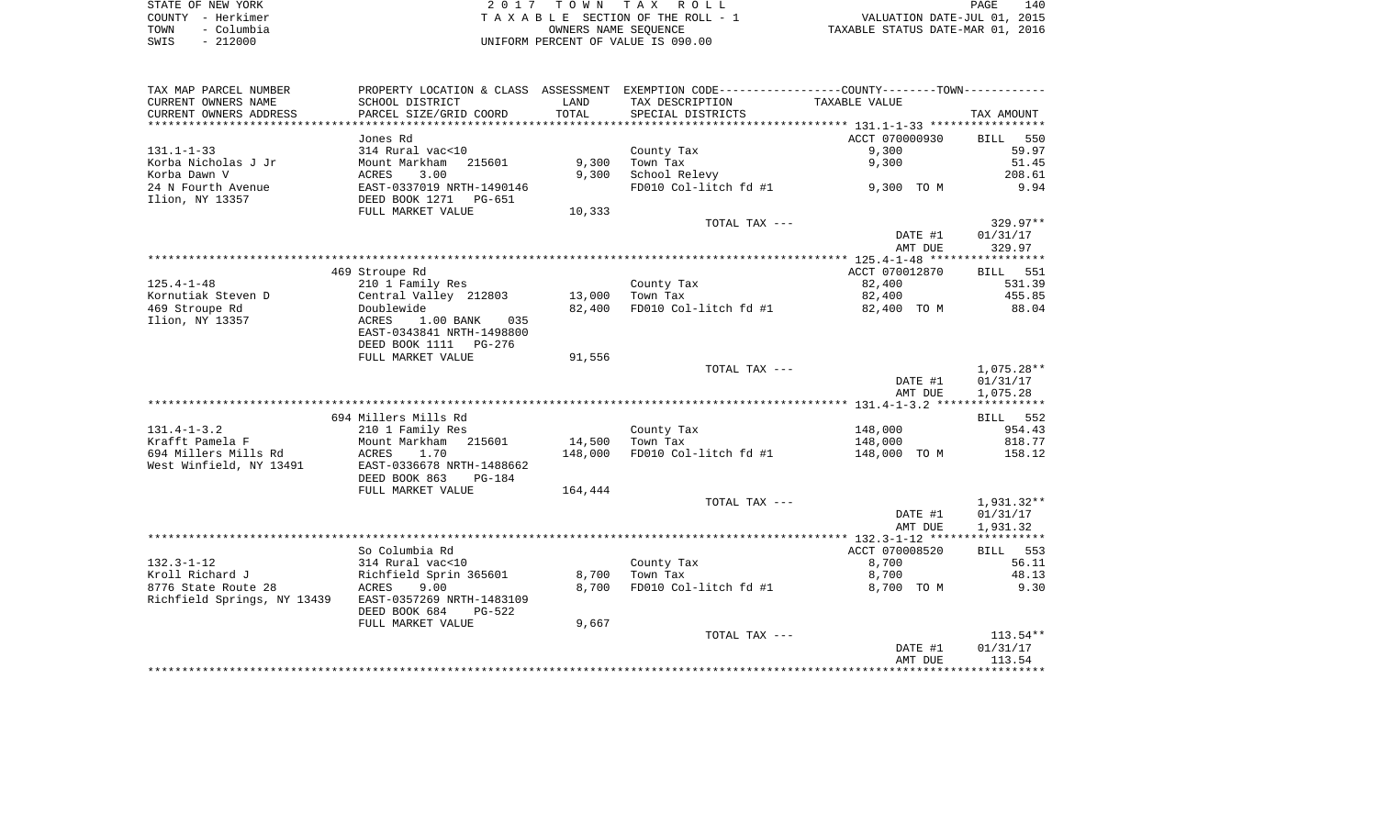| STATE OF NEW YORK  | 2017 TOWN TAX ROLL                 | 140<br>PAGE                      |
|--------------------|------------------------------------|----------------------------------|
| COUNTY - Herkimer  | TAXABLE SECTION OF THE ROLL - 1    | VALUATION DATE-JUL 01, 2015      |
| – Columbia<br>TOWN | OWNERS NAME SEOUENCE               | TAXABLE STATUS DATE-MAR 01, 2016 |
| $-212000$<br>SWIS  | UNIFORM PERCENT OF VALUE IS 090.00 |                                  |

| TAX MAP PARCEL NUMBER                                 |                                                    |         | PROPERTY LOCATION & CLASS ASSESSMENT EXEMPTION CODE----------------COUNTY--------TOWN----------- |                |                    |
|-------------------------------------------------------|----------------------------------------------------|---------|--------------------------------------------------------------------------------------------------|----------------|--------------------|
| CURRENT OWNERS NAME                                   | SCHOOL DISTRICT                                    | LAND    | TAX DESCRIPTION                                                                                  | TAXABLE VALUE  |                    |
| CURRENT OWNERS ADDRESS                                | PARCEL SIZE/GRID COORD                             | TOTAL   | SPECIAL DISTRICTS                                                                                |                | TAX AMOUNT         |
|                                                       |                                                    |         |                                                                                                  |                |                    |
|                                                       | Jones Rd                                           |         |                                                                                                  | ACCT 070000930 | 550<br><b>BILL</b> |
| $131.1 - 1 - 33$                                      | 314 Rural vac<10                                   |         | County Tax                                                                                       | 9,300          | 59.97              |
| Korba Nicholas J Jr                                   | Mount Markham 215601                               | 9,300   | Town Tax                                                                                         | 9,300          | 51.45              |
| Korba Dawn V                                          | 3.00<br>ACRES                                      | 9,300   | School Relevy                                                                                    |                | 208.61             |
| 24 N Fourth Avenue<br>Ilion, NY 13357                 | EAST-0337019 NRTH-1490146<br>DEED BOOK 1271 PG-651 |         | FD010 Col-litch fd #1                                                                            | 9,300 TO M     | 9.94               |
|                                                       | FULL MARKET VALUE                                  | 10,333  |                                                                                                  |                |                    |
|                                                       |                                                    |         | TOTAL TAX ---                                                                                    |                | 329.97**           |
|                                                       |                                                    |         |                                                                                                  | DATE #1        | 01/31/17           |
|                                                       |                                                    |         |                                                                                                  | AMT DUE        | 329.97             |
|                                                       |                                                    |         |                                                                                                  | ACCT 070012870 | <b>BILL</b> 551    |
| $125.4 - 1 - 48$                                      | 469 Stroupe Rd<br>210 1 Family Res                 |         | County Tax                                                                                       | 82,400         | 531.39             |
| Kornutiak Steven D                                    | Central Valley 212803                              | 13,000  | Town Tax                                                                                         | 82,400         | 455.85             |
| 469 Stroupe Rd                                        | Doublewide                                         | 82,400  | FD010 Col-litch fd #1                                                                            | 82,400 TO M    | 88.04              |
| Ilion, NY 13357                                       | 1.00 BANK<br>035<br>ACRES                          |         |                                                                                                  |                |                    |
|                                                       | EAST-0343841 NRTH-1498800                          |         |                                                                                                  |                |                    |
|                                                       | DEED BOOK 1111 PG-276                              |         |                                                                                                  |                |                    |
|                                                       | FULL MARKET VALUE                                  | 91,556  |                                                                                                  |                |                    |
|                                                       |                                                    |         | TOTAL TAX ---                                                                                    |                | 1,075.28**         |
|                                                       |                                                    |         |                                                                                                  | DATE #1        | 01/31/17           |
|                                                       |                                                    |         |                                                                                                  | AMT DUE        | 1,075.28           |
|                                                       |                                                    |         |                                                                                                  |                |                    |
|                                                       | 694 Millers Mills Rd                               |         |                                                                                                  |                | BILL 552           |
| $131.4 - 1 - 3.2$<br>Krafft Pamela F                  | 210 1 Family Res                                   |         | County Tax                                                                                       | 148,000        | 954.43<br>818.77   |
|                                                       | Mount Markham 215601                               | 14,500  | Town Tax                                                                                         | 148,000        |                    |
| 694 Millers Mills Rd<br>West Winfield, NY 13491       | ACRES<br>1.70<br>EAST-0336678 NRTH-1488662         | 148,000 | FD010 Col-litch fd #1                                                                            | 148,000 TO M   | 158.12             |
|                                                       | DEED BOOK 863<br>PG-184                            |         |                                                                                                  |                |                    |
|                                                       | FULL MARKET VALUE                                  | 164,444 | TOTAL TAX ---                                                                                    |                | 1,931.32**         |
|                                                       |                                                    |         |                                                                                                  | DATE #1        | 01/31/17           |
|                                                       |                                                    |         |                                                                                                  | AMT DUE        | 1,931.32           |
|                                                       |                                                    |         |                                                                                                  |                |                    |
|                                                       | So Columbia Rd                                     |         |                                                                                                  | ACCT 070008520 | BILL 553           |
| $132.3 - 1 - 12$                                      | 314 Rural vac<10                                   |         | County Tax                                                                                       | 8,700          | 56.11              |
| Kroll Richard J                                       | Richfield Sprin 365601                             | 8,700   | Town Tax                                                                                         | 8,700          | 48.13              |
| 8776 State Route 28                                   | 9.00<br>ACRES                                      | 8,700   | FD010 Col-litch fd #1                                                                            | 8,700 TO M     | 9.30               |
| Richfield Springs, NY 13439 EAST-0357269 NRTH-1483109 |                                                    |         |                                                                                                  |                |                    |
|                                                       | DEED BOOK 684<br>PG-522                            |         |                                                                                                  |                |                    |
|                                                       | FULL MARKET VALUE                                  | 9,667   |                                                                                                  |                |                    |
|                                                       |                                                    |         | TOTAL TAX ---                                                                                    |                | $113.54**$         |
|                                                       |                                                    |         |                                                                                                  | DATE #1        | 01/31/17           |
|                                                       |                                                    |         |                                                                                                  | AMT DUE        | 113.54             |
|                                                       |                                                    |         |                                                                                                  |                |                    |
|                                                       |                                                    |         |                                                                                                  |                |                    |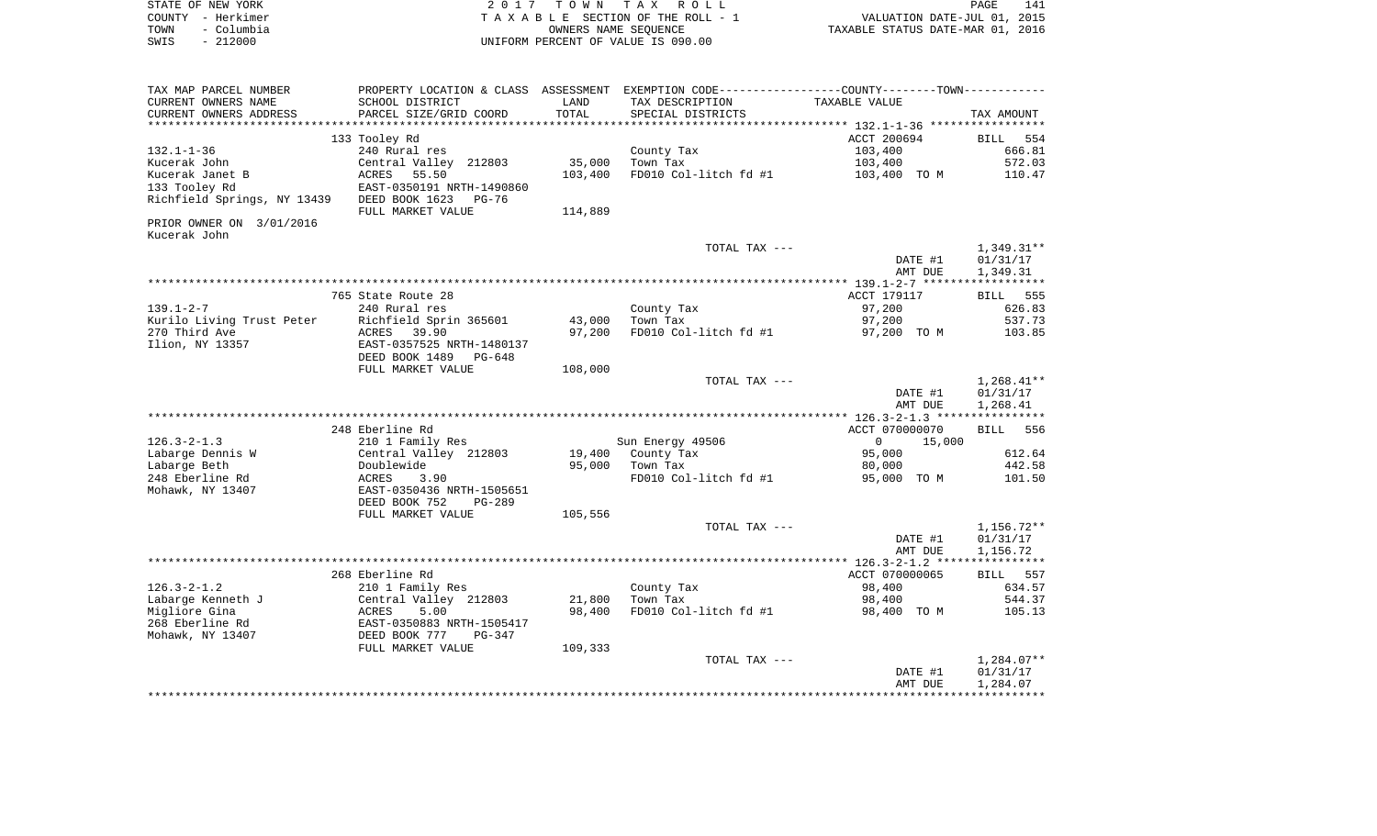|      | STATE OF NEW YORK | 2017 TOWN TAX ROLL                 | 141<br>PAGE                      |
|------|-------------------|------------------------------------|----------------------------------|
|      | COUNTY - Herkimer | TAXABLE SECTION OF THE ROLL - 1    | VALUATION DATE-JUL 01, 2015      |
| TOWN | – Columbia        | OWNERS NAME SEOUENCE               | TAXABLE STATUS DATE-MAR 01, 2016 |
| SWIS | $-212000$         | UNIFORM PERCENT OF VALUE IS 090.00 |                                  |

| TAX MAP PARCEL NUMBER       | PROPERTY LOCATION & CLASS      |         |                       | ASSESSMENT EXEMPTION CODE-----------------COUNTY-------TOWN----------- |                    |
|-----------------------------|--------------------------------|---------|-----------------------|------------------------------------------------------------------------|--------------------|
| CURRENT OWNERS NAME         | SCHOOL DISTRICT                | LAND    | TAX DESCRIPTION       | TAXABLE VALUE                                                          |                    |
| CURRENT OWNERS ADDRESS      | PARCEL SIZE/GRID COORD         | TOTAL   | SPECIAL DISTRICTS     |                                                                        | TAX AMOUNT         |
|                             |                                |         |                       |                                                                        |                    |
|                             | 133 Tooley Rd                  |         |                       | ACCT 200694                                                            | <b>BILL</b><br>554 |
| $132.1 - 1 - 36$            | 240 Rural res                  |         | County Tax            | 103,400                                                                | 666.81             |
| Kucerak John                | Central Valley 212803          | 35,000  | Town Tax              | 103,400                                                                | 572.03             |
| Kucerak Janet B             | 55.50<br>ACRES                 | 103,400 | FD010 Col-litch fd #1 | 103,400 TO M                                                           | 110.47             |
| 133 Tooley Rd               | EAST-0350191 NRTH-1490860      |         |                       |                                                                        |                    |
| Richfield Springs, NY 13439 | DEED BOOK 1623<br>PG-76        |         |                       |                                                                        |                    |
|                             | FULL MARKET VALUE              | 114,889 |                       |                                                                        |                    |
| PRIOR OWNER ON 3/01/2016    |                                |         |                       |                                                                        |                    |
| Kucerak John                |                                |         |                       |                                                                        |                    |
|                             |                                |         | TOTAL TAX ---         |                                                                        | 1,349.31**         |
|                             |                                |         |                       | DATE #1                                                                | 01/31/17           |
|                             |                                |         |                       | AMT DUE                                                                | 1,349.31           |
|                             |                                |         |                       |                                                                        |                    |
|                             | 765 State Route 28             |         |                       | ACCT 179117                                                            | BILL 555           |
| $139.1 - 2 - 7$             | 240 Rural res                  |         | County Tax            | 97,200                                                                 | 626.83             |
| Kurilo Living Trust Peter   | Richfield Sprin 365601         | 43,000  | Town Tax              | 97,200                                                                 | 537.73             |
| 270 Third Ave               | ACRES<br>39.90                 | 97,200  | FD010 Col-litch fd #1 | 97,200 TO M                                                            | 103.85             |
| Ilion, NY 13357             | EAST-0357525 NRTH-1480137      |         |                       |                                                                        |                    |
|                             | DEED BOOK 1489<br>$PG-648$     |         |                       |                                                                        |                    |
|                             | FULL MARKET VALUE              | 108,000 |                       |                                                                        |                    |
|                             |                                |         | TOTAL TAX ---         |                                                                        | $1,268.41**$       |
|                             |                                |         |                       | DATE #1                                                                | 01/31/17           |
|                             |                                |         |                       | AMT DUE                                                                | 1,268.41           |
|                             |                                |         |                       |                                                                        |                    |
|                             | 248 Eberline Rd                |         |                       | ACCT 070000070                                                         | 556                |
|                             |                                |         |                       | $\Omega$                                                               | <b>BILL</b>        |
| $126.3 - 2 - 1.3$           | 210 1 Family Res               |         | Sun Energy 49506      | 15,000                                                                 |                    |
| Labarge Dennis W            | Central Valley 212803          | 19,400  | County Tax            | 95,000                                                                 | 612.64             |
| Labarge Beth                | Doublewide                     | 95,000  | Town Tax              | 80,000                                                                 | 442.58             |
| 248 Eberline Rd             | ACRES<br>3.90                  |         | FD010 Col-litch fd #1 | 95,000 TO M                                                            | 101.50             |
| Mohawk, NY 13407            | EAST-0350436 NRTH-1505651      |         |                       |                                                                        |                    |
|                             | DEED BOOK 752<br><b>PG-289</b> |         |                       |                                                                        |                    |
|                             | FULL MARKET VALUE              | 105,556 |                       |                                                                        |                    |
|                             |                                |         | TOTAL TAX ---         |                                                                        | $1,156.72**$       |
|                             |                                |         |                       | DATE #1                                                                | 01/31/17           |
|                             |                                |         |                       | AMT DUE                                                                | 1,156.72           |
|                             |                                |         |                       |                                                                        |                    |
|                             | 268 Eberline Rd                |         |                       | ACCT 070000065                                                         | BILL 557           |
| $126.3 - 2 - 1.2$           | 210 1 Family Res               |         | County Tax            | 98,400                                                                 | 634.57             |
| Labarge Kenneth J           | Central Valley 212803          | 21,800  | Town Tax              | 98,400                                                                 | 544.37             |
| Migliore Gina               | <b>ACRES</b><br>5.00           | 98,400  | FD010 Col-litch fd #1 | 98,400 TO M                                                            | 105.13             |
| 268 Eberline Rd             | EAST-0350883 NRTH-1505417      |         |                       |                                                                        |                    |
| Mohawk, NY 13407            | DEED BOOK 777<br>PG-347        |         |                       |                                                                        |                    |
|                             | FULL MARKET VALUE              | 109,333 |                       |                                                                        |                    |
|                             |                                |         | TOTAL TAX ---         |                                                                        | $1,284.07**$       |
|                             |                                |         |                       | DATE #1                                                                | 01/31/17           |
|                             |                                |         |                       | AMT DUE                                                                | 1,284.07           |
|                             |                                |         |                       |                                                                        |                    |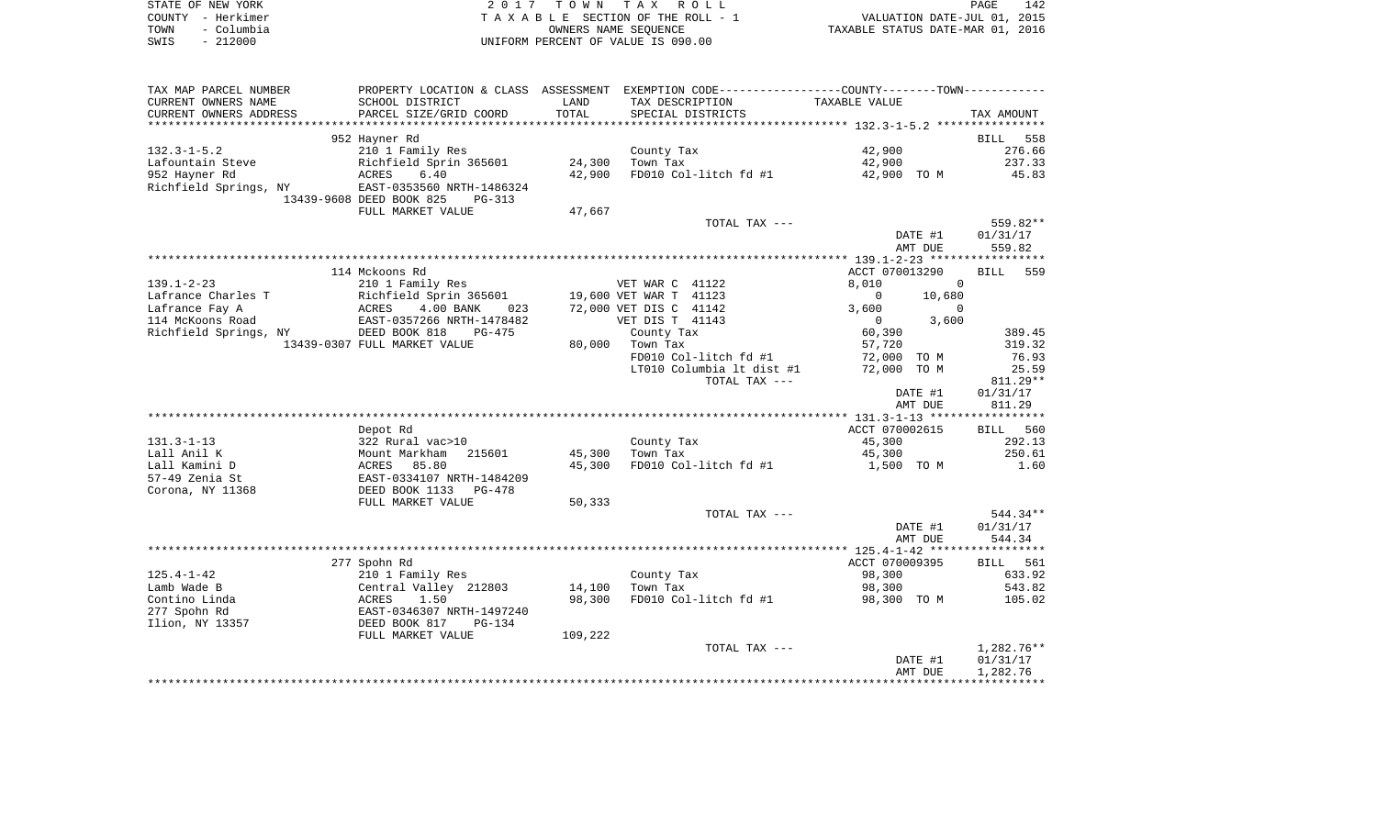|      | STATE OF NEW YORK | 2017 TOWN TAX ROLL                 | PAGE                             | 142 |
|------|-------------------|------------------------------------|----------------------------------|-----|
|      | COUNTY - Herkimer | TAXABLE SECTION OF THE ROLL - 1    | VALUATION DATE-JUL 01, 2015      |     |
| TOWN | - Columbia        | OWNERS NAME SEOUENCE               | TAXABLE STATUS DATE-MAR 01, 2016 |     |
| SWIS | $-212000$         | UNIFORM PERCENT OF VALUE IS 090.00 |                                  |     |

| TAX MAP PARCEL NUMBER  | PROPERTY LOCATION & CLASS ASSESSMENT EXEMPTION CODE---------------COUNTY--------TOWN---------- |         |                           |                         |                      |
|------------------------|------------------------------------------------------------------------------------------------|---------|---------------------------|-------------------------|----------------------|
| CURRENT OWNERS NAME    | SCHOOL DISTRICT                                                                                | LAND    | TAX DESCRIPTION           | TAXABLE VALUE           |                      |
| CURRENT OWNERS ADDRESS | PARCEL SIZE/GRID COORD                                                                         | TOTAL   | SPECIAL DISTRICTS         |                         | TAX AMOUNT           |
| ********************** | ****************************                                                                   |         |                           |                         |                      |
|                        | 952 Hayner Rd                                                                                  |         |                           |                         | 558<br><b>BILL</b>   |
| $132.3 - 1 - 5.2$      | 210 1 Family Res                                                                               |         | County Tax                | 42,900                  | 276.66               |
| Lafountain Steve       | Richfield Sprin 365601                                                                         | 24,300  | Town Tax                  | 42,900                  | 237.33               |
| 952 Hayner Rd          | 6.40<br>ACRES                                                                                  | 42,900  | FD010 Col-litch fd #1     | 42,900 TO M             | 45.83                |
| Richfield Springs, NY  | EAST-0353560 NRTH-1486324                                                                      |         |                           |                         |                      |
|                        | 13439-9608 DEED BOOK 825<br>$PG-313$                                                           |         |                           |                         |                      |
|                        | FULL MARKET VALUE                                                                              | 47,667  |                           |                         |                      |
|                        |                                                                                                |         | TOTAL TAX ---             |                         | 559.82**             |
|                        |                                                                                                |         |                           | DATE #1<br>AMT DUE      | 01/31/17             |
|                        |                                                                                                |         |                           |                         | 559.82               |
|                        | 114 Mckoons Rd                                                                                 |         |                           | ACCT 070013290          | 559<br><b>BILL</b>   |
| $139.1 - 2 - 23$       | 210 1 Family Res                                                                               |         | VET WAR C 41122           | 8,010<br>$\Omega$       |                      |
| Lafrance Charles T     | Richfield Sprin 365601                                                                         |         | 19,600 VET WAR T 41123    | 10,680<br>$\Omega$      |                      |
| Lafrance Fay A         | 4.00 BANK<br>ACRES<br>023                                                                      |         | 72,000 VET DIS C 41142    | 3,600<br>$\Omega$       |                      |
| 114 McKoons Road       | EAST-0357266 NRTH-1478482                                                                      |         | VET DIS T 41143           | $\overline{0}$<br>3,600 |                      |
| Richfield Springs, NY  | DEED BOOK 818<br>$PG-475$                                                                      |         | County Tax                | 60,390                  | 389.45               |
|                        | 13439-0307 FULL MARKET VALUE                                                                   | 80,000  | Town Tax                  | 57,720                  | 319.32               |
|                        |                                                                                                |         | FD010 Col-litch fd #1     | 72,000 TO M             | 76.93                |
|                        |                                                                                                |         | LT010 Columbia 1t dist #1 | 72,000 TO M             | 25.59                |
|                        |                                                                                                |         | TOTAL TAX ---             |                         | 811.29**             |
|                        |                                                                                                |         |                           | DATE #1                 | 01/31/17             |
|                        |                                                                                                |         |                           | AMT DUE                 | 811.29               |
|                        |                                                                                                |         |                           |                         |                      |
|                        | Depot Rd                                                                                       |         |                           | ACCT 070002615          | BILL 560             |
| $131.3 - 1 - 13$       | 322 Rural vac>10                                                                               |         | County Tax                | 45,300                  | 292.13               |
| Lall Anil K            | Mount Markham<br>215601                                                                        | 45,300  | Town Tax                  | 45,300                  | 250.61               |
| Lall Kamini D          | 85.80<br>ACRES                                                                                 | 45,300  | FD010 Col-litch fd #1     | 1,500 TO M              | 1.60                 |
| 57-49 Zenia St         | EAST-0334107 NRTH-1484209                                                                      |         |                           |                         |                      |
| Corona, NY 11368       | DEED BOOK 1133<br>PG-478                                                                       |         |                           |                         |                      |
|                        | FULL MARKET VALUE                                                                              | 50,333  |                           |                         |                      |
|                        |                                                                                                |         | TOTAL TAX ---             |                         | 544.34**             |
|                        |                                                                                                |         |                           | DATE #1                 | 01/31/17             |
|                        |                                                                                                |         |                           | AMT DUE                 | 544.34               |
|                        |                                                                                                |         |                           |                         |                      |
|                        | 277 Spohn Rd                                                                                   |         |                           | ACCT 070009395          | BILL 561             |
| $125.4 - 1 - 42$       | 210 1 Family Res                                                                               |         | County Tax                | 98,300                  | 633.92               |
| Lamb Wade B            | Central Valley 212803                                                                          | 14,100  | Town Tax                  | 98,300                  | 543.82               |
| Contino Linda          | ACRES<br>1.50                                                                                  | 98,300  | FD010 Col-litch fd #1     | 98,300 TO M             | 105.02               |
| 277 Spohn Rd           | EAST-0346307 NRTH-1497240                                                                      |         |                           |                         |                      |
| Ilion, NY 13357        | DEED BOOK 817<br><b>PG-134</b>                                                                 |         |                           |                         |                      |
|                        | FULL MARKET VALUE                                                                              | 109,222 |                           |                         |                      |
|                        |                                                                                                |         | TOTAL TAX ---             | DATE #1                 | $1,282.76**$         |
|                        |                                                                                                |         |                           | AMT DUE                 | 01/31/17<br>1,282.76 |
|                        |                                                                                                |         |                           |                         |                      |
|                        |                                                                                                |         |                           |                         |                      |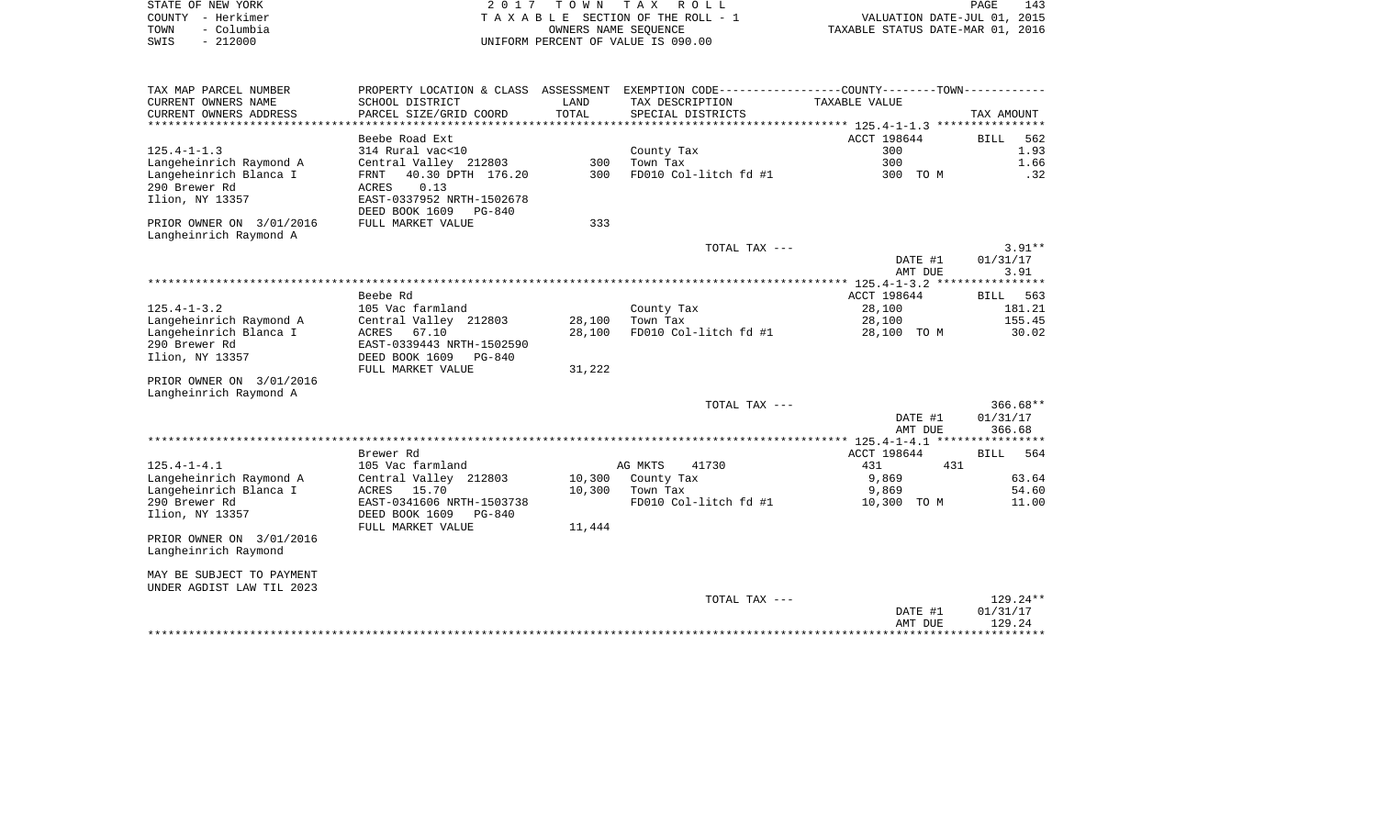| STATE OF NEW YORK  | 2017 TOWN TAX ROLL                 | 43<br>PAGE                       |
|--------------------|------------------------------------|----------------------------------|
| COUNTY - Herkimer  | TAXABLE SECTION OF THE ROLL - 1    | VALUATION DATE-JUL 01, 2015      |
| – Columbia<br>TOWN | OWNERS NAME SEOUENCE               | TAXABLE STATUS DATE-MAR 01, 2016 |
| $-212000$<br>SWIS  | UNIFORM PERCENT OF VALUE IS 090.00 |                                  |

| TAX MAP PARCEL NUMBER<br>CURRENT OWNERS NAME | PROPERTY LOCATION & CLASS ASSESSMENT<br>SCHOOL DISTRICT | LAND   | TAX DESCRIPTION       | EXEMPTION CODE----------------COUNTY-------TOWN-----------<br>TAXABLE VALUE |                              |
|----------------------------------------------|---------------------------------------------------------|--------|-----------------------|-----------------------------------------------------------------------------|------------------------------|
| CURRENT OWNERS ADDRESS                       | PARCEL SIZE/GRID COORD                                  | TOTAL  | SPECIAL DISTRICTS     |                                                                             | TAX AMOUNT                   |
|                                              | Beebe Road Ext                                          |        |                       | ACCT 198644                                                                 | <b>BILL</b><br>562           |
| $125.4 - 1 - 1.3$                            | 314 Rural vac<10                                        |        | County Tax            | 300                                                                         | 1.93                         |
| Langeheinrich Raymond A                      | Central Valley 212803                                   | 300    | Town Tax              | 300                                                                         | 1.66                         |
| Langeheinrich Blanca I                       | 40.30 DPTH 176.20<br>FRNT                               | 300    | FD010 Col-litch fd #1 | 300 TO M                                                                    | .32                          |
| 290 Brewer Rd                                | 0.13<br>ACRES                                           |        |                       |                                                                             |                              |
| Ilion, NY 13357                              | EAST-0337952 NRTH-1502678                               |        |                       |                                                                             |                              |
|                                              | DEED BOOK 1609<br>$PG-840$                              |        |                       |                                                                             |                              |
| PRIOR OWNER ON 3/01/2016                     | FULL MARKET VALUE                                       | 333    |                       |                                                                             |                              |
| Langheinrich Raymond A                       |                                                         |        |                       |                                                                             |                              |
|                                              |                                                         |        | TOTAL TAX ---         |                                                                             | $3.91**$<br>01/31/17         |
|                                              |                                                         |        |                       | DATE #1                                                                     |                              |
|                                              |                                                         |        |                       | AMT DUE                                                                     | 3.91                         |
|                                              | Beebe Rd                                                |        |                       | ACCT 198644                                                                 |                              |
| $125.4 - 1 - 3.2$                            | 105 Vac farmland                                        |        | County Tax            | 28,100                                                                      | <b>BILL</b><br>563<br>181.21 |
| Langeheinrich Raymond A                      | Central Valley 212803                                   | 28,100 | Town Tax              | 28,100                                                                      | 155.45                       |
| Langeheinrich Blanca I                       | 67.10<br>ACRES                                          | 28,100 | FD010 Col-litch fd #1 | 28,100 TO M                                                                 | 30.02                        |
| 290 Brewer Rd                                | EAST-0339443 NRTH-1502590                               |        |                       |                                                                             |                              |
| Ilion, NY 13357                              | DEED BOOK 1609<br>PG-840                                |        |                       |                                                                             |                              |
|                                              | FULL MARKET VALUE                                       | 31,222 |                       |                                                                             |                              |
| PRIOR OWNER ON 3/01/2016                     |                                                         |        |                       |                                                                             |                              |
| Langheinrich Raymond A                       |                                                         |        |                       |                                                                             |                              |
|                                              |                                                         |        | TOTAL TAX ---         |                                                                             | 366.68**                     |
|                                              |                                                         |        |                       | DATE #1                                                                     | 01/31/17                     |
|                                              |                                                         |        |                       | AMT DUE                                                                     | 366.68                       |
|                                              |                                                         |        |                       |                                                                             |                              |
|                                              | Brewer Rd                                               |        |                       | ACCT 198644                                                                 | <b>BILL</b><br>564           |
| $125.4 - 1 - 4.1$                            | 105 Vac farmland                                        |        | AG MKTS<br>41730      | 431<br>431                                                                  |                              |
| Langeheinrich Raymond A                      | Central Valley 212803                                   | 10,300 | County Tax            | 9,869                                                                       | 63.64                        |
| Langeheinrich Blanca I                       | ACRES<br>15.70                                          | 10,300 | Town Tax              | 9,869                                                                       | 54.60                        |
| 290 Brewer Rd                                | EAST-0341606 NRTH-1503738                               |        | FD010 Col-litch fd #1 | 10,300 TO M                                                                 | 11.00                        |
| Ilion, NY 13357                              | DEED BOOK 1609<br>$PG-840$                              |        |                       |                                                                             |                              |
|                                              | FULL MARKET VALUE                                       | 11,444 |                       |                                                                             |                              |
| PRIOR OWNER ON 3/01/2016                     |                                                         |        |                       |                                                                             |                              |
| Langheinrich Raymond                         |                                                         |        |                       |                                                                             |                              |
|                                              |                                                         |        |                       |                                                                             |                              |
| MAY BE SUBJECT TO PAYMENT                    |                                                         |        |                       |                                                                             |                              |
| UNDER AGDIST LAW TIL 2023                    |                                                         |        |                       |                                                                             |                              |
|                                              |                                                         |        | TOTAL TAX ---         |                                                                             | $129.24**$                   |
|                                              |                                                         |        |                       | DATE #1                                                                     | 01/31/17                     |
|                                              |                                                         |        |                       | AMT DUE                                                                     | 129.24                       |
|                                              |                                                         |        |                       | ******************************                                              |                              |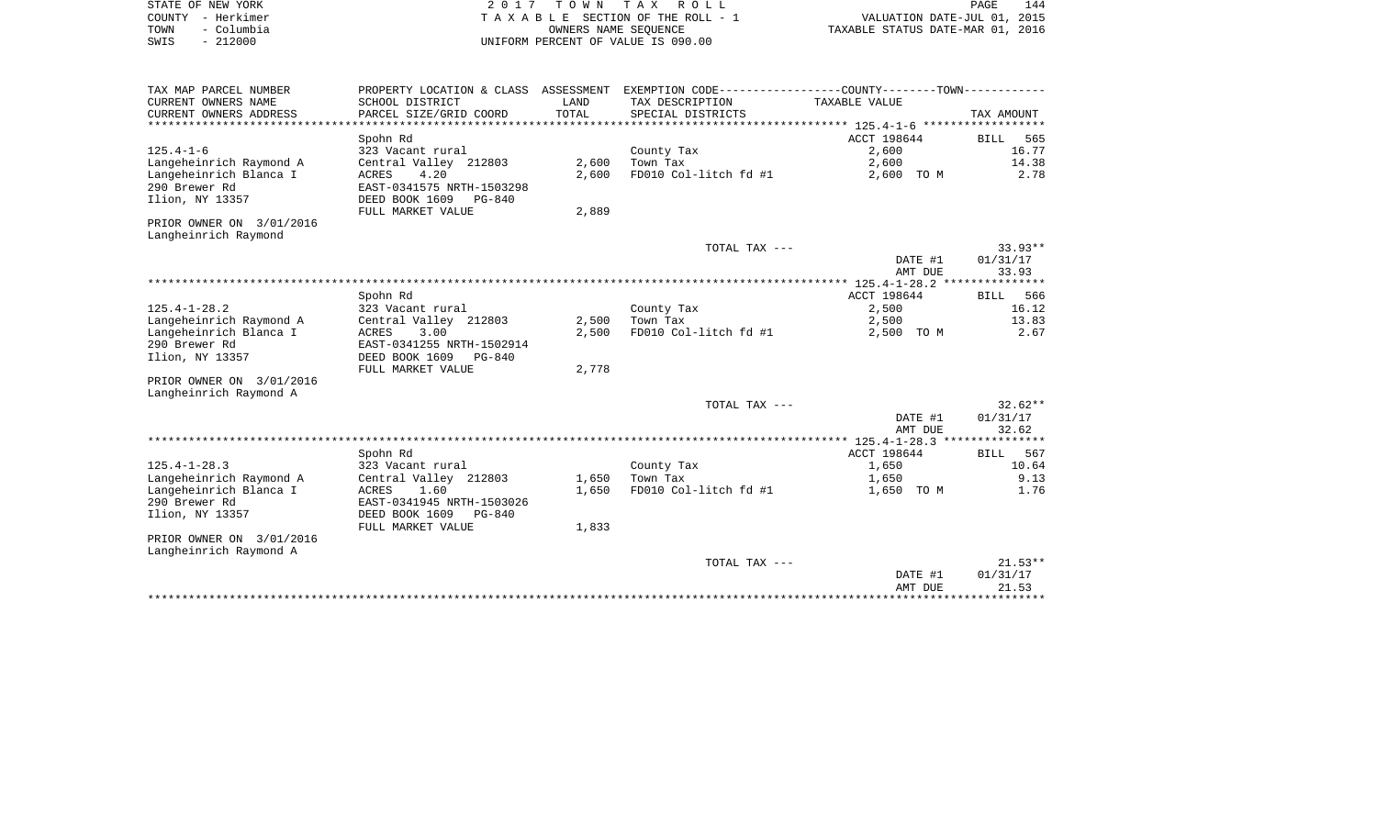|      | STATE OF NEW YORK | 2017 TOWN TAX ROLL                 | 144<br>PAGE                      |
|------|-------------------|------------------------------------|----------------------------------|
|      | COUNTY - Herkimer | TAXABLE SECTION OF THE ROLL - 1    | VALUATION DATE-JUL 01, 2015      |
| TOWN | - Columbia        | OWNERS NAME SEOUENCE               | TAXABLE STATUS DATE-MAR 01, 2016 |
| SWIS | $-212000$         | UNIFORM PERCENT OF VALUE IS 090.00 |                                  |

| TAX MAP PARCEL NUMBER                   | PROPERTY LOCATION & CLASS ASSESSMENT       |       | EXEMPTION CODE-----------------COUNTY-------TOWN----------- |                                  |             |
|-----------------------------------------|--------------------------------------------|-------|-------------------------------------------------------------|----------------------------------|-------------|
| CURRENT OWNERS NAME                     | SCHOOL DISTRICT                            | LAND  | TAX DESCRIPTION                                             | TAXABLE VALUE                    |             |
| CURRENT OWNERS ADDRESS                  | PARCEL SIZE/GRID COORD                     | TOTAL | SPECIAL DISTRICTS                                           |                                  | TAX AMOUNT  |
|                                         |                                            |       |                                                             |                                  |             |
|                                         | Spohn Rd                                   |       |                                                             | ACCT 198644                      | BILL<br>565 |
| $125.4 - 1 - 6$                         | 323 Vacant rural                           |       | County Tax                                                  | 2,600                            | 16.77       |
| Langeheinrich Raymond A                 | Central Valley 212803                      | 2,600 | Town Tax                                                    | 2,600                            | 14.38       |
| Langeheinrich Blanca I                  | <b>ACRES</b><br>4.20                       | 2,600 | FD010 Col-litch fd #1                                       | 2,600 TO M                       | 2.78        |
| 290 Brewer Rd                           | EAST-0341575 NRTH-1503298                  |       |                                                             |                                  |             |
| Ilion, NY 13357                         | DEED BOOK 1609<br>PG-840                   |       |                                                             |                                  |             |
|                                         | FULL MARKET VALUE                          | 2,889 |                                                             |                                  |             |
| PRIOR OWNER ON 3/01/2016                |                                            |       |                                                             |                                  |             |
| Langheinrich Raymond                    |                                            |       |                                                             |                                  |             |
|                                         |                                            |       | TOTAL TAX ---                                               |                                  | $33.93**$   |
|                                         |                                            |       |                                                             | DATE #1                          | 01/31/17    |
|                                         |                                            |       |                                                             | AMT DUE                          | 33.93       |
|                                         |                                            |       |                                                             |                                  |             |
|                                         | Spohn Rd                                   |       |                                                             | ACCT 198644                      | 566<br>BILL |
| $125.4 - 1 - 28.2$                      | 323 Vacant rural                           |       | County Tax                                                  | 2,500                            | 16.12       |
| Langeheinrich Raymond A                 | Central Valley 212803                      | 2,500 | Town Tax                                                    | 2,500                            | 13.83       |
| Langeheinrich Blanca I<br>290 Brewer Rd | 3.00<br>ACRES<br>EAST-0341255 NRTH-1502914 | 2,500 | FD010 Col-litch fd #1                                       | 2,500 TO M                       | 2.67        |
| Ilion, NY 13357                         | DEED BOOK 1609<br>PG-840                   |       |                                                             |                                  |             |
|                                         | FULL MARKET VALUE                          | 2,778 |                                                             |                                  |             |
| PRIOR OWNER ON 3/01/2016                |                                            |       |                                                             |                                  |             |
| Langheinrich Raymond A                  |                                            |       |                                                             |                                  |             |
|                                         |                                            |       | TOTAL TAX ---                                               |                                  | $32.62**$   |
|                                         |                                            |       |                                                             | DATE #1                          | 01/31/17    |
|                                         |                                            |       |                                                             | AMT DUE                          | 32.62       |
|                                         |                                            |       |                                                             |                                  |             |
|                                         | Spohn Rd                                   |       |                                                             | ACCT 198644                      | 567<br>BILL |
| $125.4 - 1 - 28.3$                      | 323 Vacant rural                           |       | County Tax                                                  | 1,650                            | 10.64       |
| Langeheinrich Raymond A                 | Central Valley 212803                      | 1,650 | Town Tax                                                    | 1,650                            | 9.13        |
| Langeheinrich Blanca I                  | <b>ACRES</b><br>1.60                       | 1,650 | FD010 Col-litch fd #1                                       | 1,650 TO M                       | 1.76        |
| 290 Brewer Rd                           | EAST-0341945 NRTH-1503026                  |       |                                                             |                                  |             |
| Ilion, NY 13357                         | DEED BOOK 1609<br>PG-840                   |       |                                                             |                                  |             |
|                                         | FULL MARKET VALUE                          | 1,833 |                                                             |                                  |             |
| PRIOR OWNER ON 3/01/2016                |                                            |       |                                                             |                                  |             |
| Langheinrich Raymond A                  |                                            |       |                                                             |                                  |             |
|                                         |                                            |       | TOTAL TAX ---                                               |                                  | $21.53**$   |
|                                         |                                            |       |                                                             | DATE #1                          | 01/31/17    |
|                                         |                                            |       |                                                             | AMT DUE                          | 21.53       |
|                                         |                                            |       |                                                             | ******************************** |             |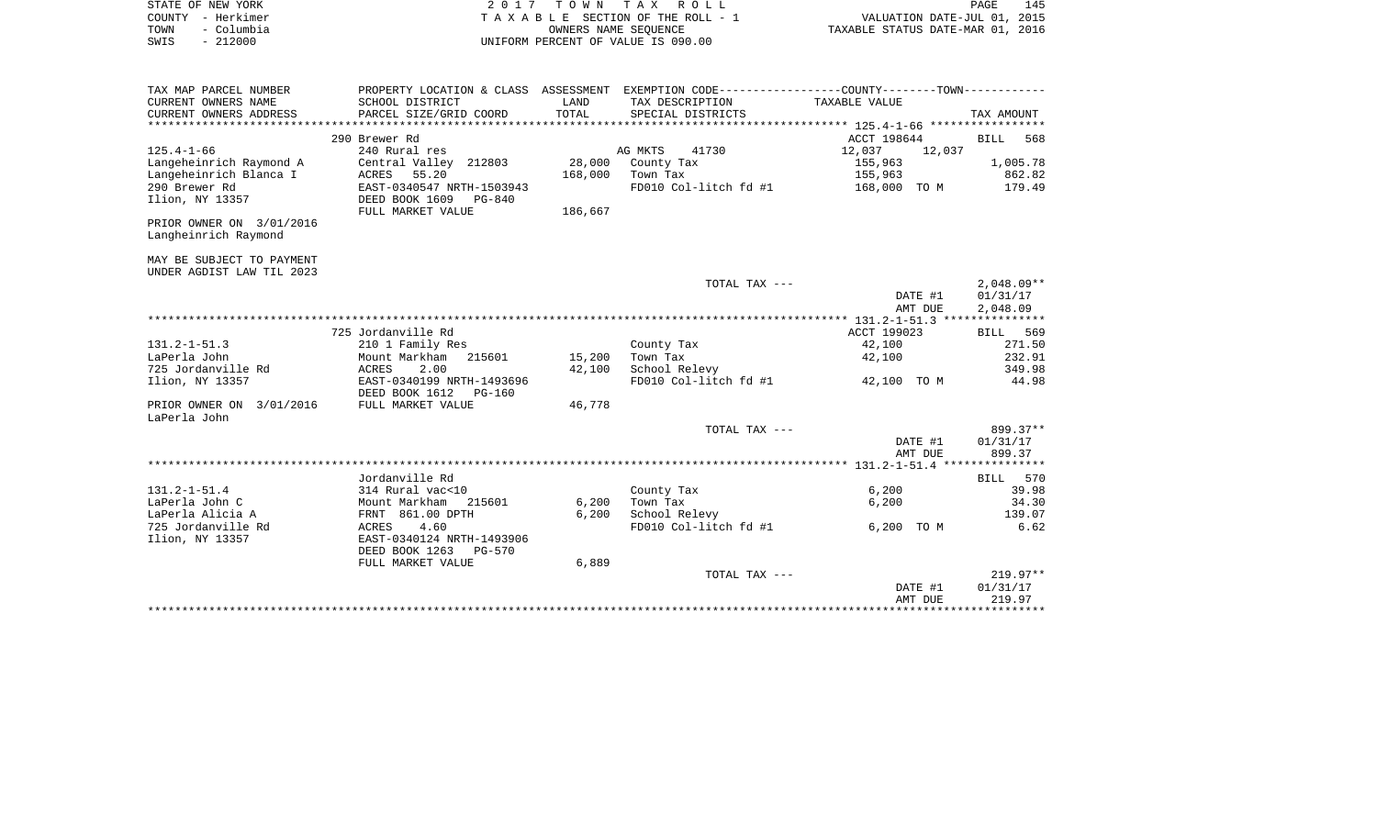| STATE OF NEW YORK<br>COUNTY - Herkimer<br>- Columbia<br>TOWN<br>$-212000$<br>SWIS | 2017<br>T O W N<br>TAXABLE SECTION OF THE ROLL - 1<br>OWNERS NAME SEQUENCE<br>UNIFORM PERCENT OF VALUE IS 090.00 |               |                                                                                               | PAGE<br>145<br>VALUATION DATE-JUL 01, 2015<br>TAXABLE STATUS DATE-MAR 01, 2016 |                             |  |
|-----------------------------------------------------------------------------------|------------------------------------------------------------------------------------------------------------------|---------------|-----------------------------------------------------------------------------------------------|--------------------------------------------------------------------------------|-----------------------------|--|
| TAX MAP PARCEL NUMBER                                                             |                                                                                                                  |               | PROPERTY LOCATION & CLASS ASSESSMENT EXEMPTION CODE---------------COUNTY-------TOWN---------- |                                                                                |                             |  |
| CURRENT OWNERS NAME<br>CURRENT OWNERS ADDRESS<br>*********************            | SCHOOL DISTRICT<br>PARCEL SIZE/GRID COORD                                                                        | LAND<br>TOTAL | TAX DESCRIPTION<br>SPECIAL DISTRICTS                                                          | TAXABLE VALUE                                                                  | TAX AMOUNT                  |  |
|                                                                                   | 290 Brewer Rd                                                                                                    |               |                                                                                               | ACCT 198644                                                                    | <b>BILL</b><br>568          |  |
| $125.4 - 1 - 66$                                                                  | 240 Rural res                                                                                                    |               | AG MKTS<br>41730                                                                              | 12,037<br>12,037                                                               |                             |  |
| Langeheinrich Raymond A                                                           | Central Valley 212803                                                                                            | 28,000        | County Tax                                                                                    | 155,963                                                                        | 1,005.78                    |  |
| Langeheinrich Blanca I                                                            | ACRES<br>55.20                                                                                                   | 168,000       | Town Tax                                                                                      | 155,963                                                                        | 862.82                      |  |
| 290 Brewer Rd<br>Ilion, NY 13357                                                  | EAST-0340547 NRTH-1503943<br>DEED BOOK 1609<br>PG-840                                                            |               | FD010 Col-litch fd #1                                                                         | 168,000 TO M                                                                   | 179.49                      |  |
| PRIOR OWNER ON 3/01/2016<br>Langheinrich Raymond                                  | FULL MARKET VALUE                                                                                                | 186,667       |                                                                                               |                                                                                |                             |  |
|                                                                                   |                                                                                                                  |               |                                                                                               |                                                                                |                             |  |
| MAY BE SUBJECT TO PAYMENT<br>UNDER AGDIST LAW TIL 2023                            |                                                                                                                  |               |                                                                                               |                                                                                |                             |  |
|                                                                                   |                                                                                                                  |               | TOTAL TAX ---                                                                                 |                                                                                | $2,048.09**$                |  |
|                                                                                   |                                                                                                                  |               |                                                                                               | DATE #1<br>AMT DUE                                                             | 01/31/17<br>2,048.09        |  |
|                                                                                   |                                                                                                                  |               |                                                                                               | ***************** 131.2-1-51.3 ****************                                |                             |  |
|                                                                                   | 725 Jordanville Rd                                                                                               |               |                                                                                               | ACCT 199023                                                                    | 569<br>BILL                 |  |
| $131.2 - 1 - 51.3$<br>LaPerla John                                                | 210 1 Family Res<br>Mount Markham<br>215601                                                                      | 15,200        | County Tax<br>Town Tax                                                                        | 42,100<br>42,100                                                               | 271.50<br>232.91            |  |
| 725 Jordanville Rd                                                                | 2.00<br>ACRES                                                                                                    | 42,100        | School Relevy                                                                                 |                                                                                | 349.98                      |  |
| Ilion, NY 13357                                                                   | EAST-0340199 NRTH-1493696<br>DEED BOOK 1612<br>PG-160                                                            |               | FD010 Col-litch fd #1                                                                         | 42,100 TO M                                                                    | 44.98                       |  |
| PRIOR OWNER ON 3/01/2016<br>LaPerla John                                          | FULL MARKET VALUE                                                                                                | 46,778        |                                                                                               |                                                                                |                             |  |
|                                                                                   |                                                                                                                  |               | TOTAL TAX ---                                                                                 |                                                                                | 899.37**                    |  |
|                                                                                   |                                                                                                                  |               |                                                                                               | DATE #1<br>AMT DUE                                                             | 01/31/17<br>899.37          |  |
|                                                                                   |                                                                                                                  |               |                                                                                               | ************** 131.2-1-51.4                                                    | ***********                 |  |
| $131.2 - 1 - 51.4$                                                                | Jordanville Rd<br>314 Rural vac<10                                                                               |               | County Tax                                                                                    | 6,200                                                                          | 570<br>BILL<br>39.98        |  |
| LaPerla John C                                                                    | Mount Markham<br>215601                                                                                          | 6,200         | Town Tax                                                                                      | 6,200                                                                          | 34.30                       |  |
| LaPerla Alicia A                                                                  | FRNT 861.00 DPTH                                                                                                 | 6,200         | School Relevy                                                                                 |                                                                                | 139.07                      |  |
| 725 Jordanville Rd                                                                | ACRES<br>4.60                                                                                                    |               | FD010 Col-litch fd #1                                                                         | 6,200 TO M                                                                     | 6.62                        |  |
| Ilion, NY 13357                                                                   | EAST-0340124 NRTH-1493906<br>DEED BOOK 1263<br>PG-570                                                            |               |                                                                                               |                                                                                |                             |  |
|                                                                                   | FULL MARKET VALUE                                                                                                | 6,889         |                                                                                               |                                                                                |                             |  |
|                                                                                   |                                                                                                                  |               | TOTAL TAX ---                                                                                 | DATE #1                                                                        | $219.97**$<br>01/31/17      |  |
|                                                                                   | *************************                                                                                        |               |                                                                                               | AMT DUE                                                                        | 219.97<br>* * * * * * * * * |  |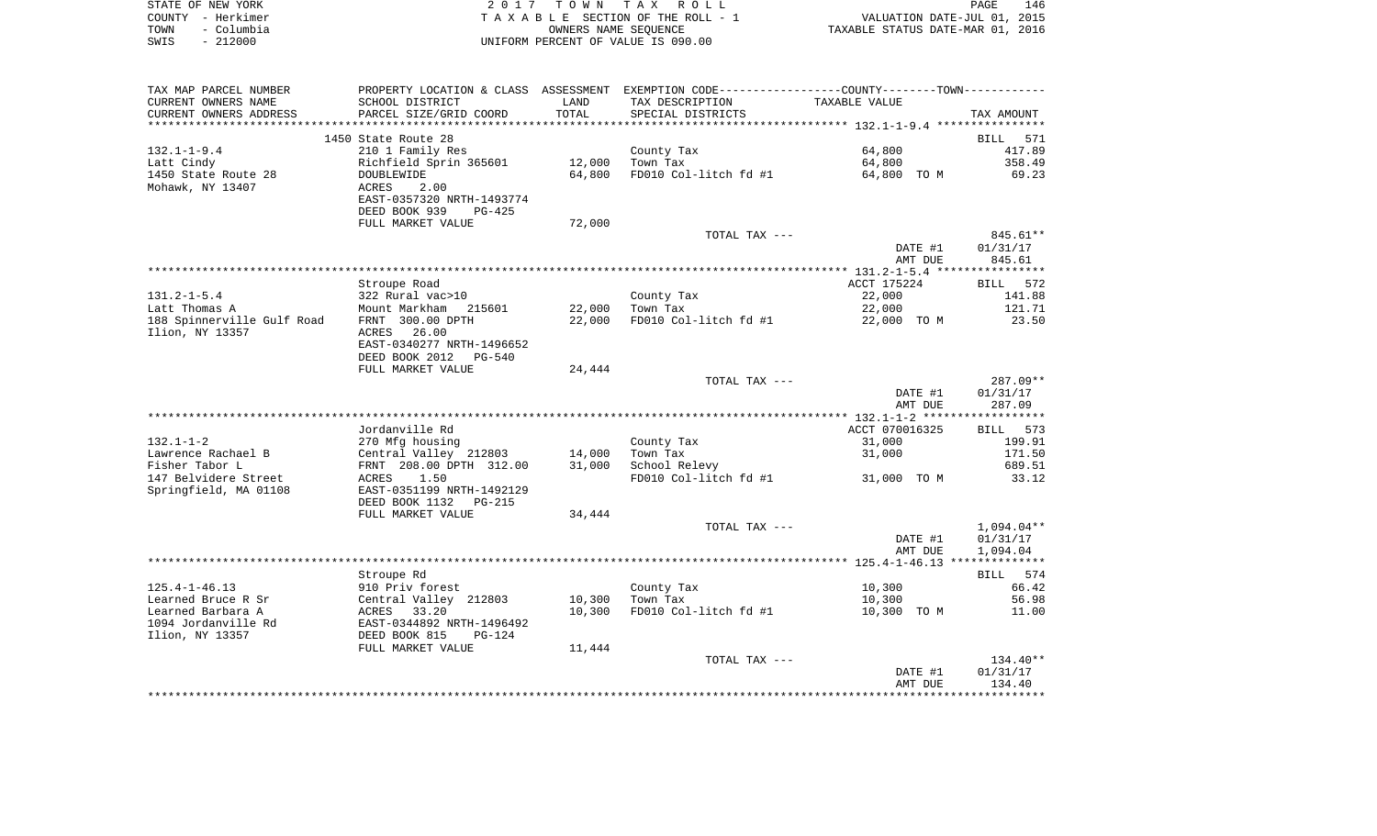|      | STATE OF NEW YORK | 2017 TOWN TAX ROLL                 | PAGE                             | 146 |
|------|-------------------|------------------------------------|----------------------------------|-----|
|      | COUNTY - Herkimer | TAXABLE SECTION OF THE ROLL - 1    | VALUATION DATE-JUL 01, 2015      |     |
| TOWN | - Columbia        | OWNERS NAME SEOUENCE               | TAXABLE STATUS DATE-MAR 01, 2016 |     |
| SWIS | $-212000$         | UNIFORM PERCENT OF VALUE IS 090.00 |                                  |     |

| TAX MAP PARCEL NUMBER      |                                                        |        | PROPERTY LOCATION & CLASS ASSESSMENT EXEMPTION CODE----------------COUNTY-------TOWN----------- |                |              |
|----------------------------|--------------------------------------------------------|--------|-------------------------------------------------------------------------------------------------|----------------|--------------|
| CURRENT OWNERS NAME        | SCHOOL DISTRICT                                        | LAND   | TAX DESCRIPTION                                                                                 | TAXABLE VALUE  |              |
| CURRENT OWNERS ADDRESS     | PARCEL SIZE/GRID COORD                                 | TOTAL  | SPECIAL DISTRICTS                                                                               |                | TAX AMOUNT   |
|                            |                                                        |        |                                                                                                 |                |              |
|                            | 1450 State Route 28                                    |        |                                                                                                 | 64,800         | BILL<br>571  |
| $132.1 - 1 - 9.4$          | 210 1 Family Res                                       |        | County Tax                                                                                      |                | 417.89       |
| Latt Cindy                 | Richfield Sprin 365601                                 | 12,000 | Town Tax                                                                                        | 64,800         | 358.49       |
| 1450 State Route 28        | DOUBLEWIDE                                             | 64,800 | FD010 Col-litch fd #1                                                                           | 64,800 TO M    | 69.23        |
| Mohawk, NY 13407           | 2.00<br>ACRES                                          |        |                                                                                                 |                |              |
|                            | EAST-0357320 NRTH-1493774<br>DEED BOOK 939<br>$PG-425$ |        |                                                                                                 |                |              |
|                            | FULL MARKET VALUE                                      | 72,000 |                                                                                                 |                |              |
|                            |                                                        |        | TOTAL TAX ---                                                                                   |                | 845.61**     |
|                            |                                                        |        |                                                                                                 | DATE #1        | 01/31/17     |
|                            |                                                        |        |                                                                                                 | AMT DUE        | 845.61       |
|                            |                                                        |        |                                                                                                 |                |              |
|                            | Stroupe Road                                           |        |                                                                                                 | ACCT 175224    | BILL 572     |
| $131.2 - 1 - 5.4$          | 322 Rural vac>10                                       |        | County Tax                                                                                      | 22,000         | 141.88       |
| Latt Thomas A              | Mount Markham<br>215601                                | 22,000 | Town Tax                                                                                        | 22,000         | 121.71       |
| 188 Spinnerville Gulf Road | FRNT 300.00 DPTH                                       | 22,000 | FD010 Col-litch fd #1                                                                           | 22,000 TO M    | 23.50        |
| Ilion, NY 13357            | ACRES<br>26.00                                         |        |                                                                                                 |                |              |
|                            | EAST-0340277 NRTH-1496652                              |        |                                                                                                 |                |              |
|                            | DEED BOOK 2012<br>PG-540                               |        |                                                                                                 |                |              |
|                            | FULL MARKET VALUE                                      | 24,444 |                                                                                                 |                |              |
|                            |                                                        |        | TOTAL TAX ---                                                                                   |                | 287.09**     |
|                            |                                                        |        |                                                                                                 | DATE #1        | 01/31/17     |
|                            |                                                        |        |                                                                                                 | AMT DUE        | 287.09       |
|                            |                                                        |        |                                                                                                 |                |              |
|                            | Jordanville Rd                                         |        |                                                                                                 | ACCT 070016325 | BILL 573     |
| $132.1 - 1 - 2$            | 270 Mfg housing                                        |        | County Tax                                                                                      | 31,000         | 199.91       |
| Lawrence Rachael B         | Central Valley 212803                                  | 14,000 | Town Tax                                                                                        | 31,000         | 171.50       |
| Fisher Tabor L             | FRNT 208.00 DPTH 312.00                                | 31,000 | School Relevy                                                                                   |                | 689.51       |
| 147 Belvidere Street       | 1.50<br>ACRES                                          |        | FD010 Col-litch fd #1                                                                           | 31,000 TO M    | 33.12        |
| Springfield, MA 01108      | EAST-0351199 NRTH-1492129                              |        |                                                                                                 |                |              |
|                            | DEED BOOK 1132<br><b>PG-215</b>                        |        |                                                                                                 |                |              |
|                            | FULL MARKET VALUE                                      | 34,444 |                                                                                                 |                |              |
|                            |                                                        |        | TOTAL TAX ---                                                                                   |                | $1,094.04**$ |
|                            |                                                        |        |                                                                                                 | DATE #1        | 01/31/17     |
|                            |                                                        |        |                                                                                                 | AMT DUE        | 1,094.04     |
|                            |                                                        |        |                                                                                                 |                |              |
|                            | Stroupe Rd                                             |        |                                                                                                 |                | BILL 574     |
| $125.4 - 1 - 46.13$        | 910 Priv forest                                        |        | County Tax                                                                                      | 10,300         | 66.42        |
| Learned Bruce R Sr         | Central Valley 212803                                  | 10,300 | Town Tax                                                                                        | 10,300         | 56.98        |
| Learned Barbara A          | 33.20<br>ACRES                                         | 10,300 | FD010 Col-litch fd #1                                                                           | 10,300 TO M    | 11.00        |
| 1094 Jordanville Rd        | EAST-0344892 NRTH-1496492                              |        |                                                                                                 |                |              |
| Ilion, NY 13357            | DEED BOOK 815<br>PG-124                                |        |                                                                                                 |                |              |
|                            | FULL MARKET VALUE                                      | 11,444 | TOTAL TAX ---                                                                                   |                | $134.40**$   |
|                            |                                                        |        |                                                                                                 | DATE #1        | 01/31/17     |
|                            |                                                        |        |                                                                                                 | AMT DUE        | 134.40       |
|                            |                                                        |        |                                                                                                 |                |              |
|                            |                                                        |        |                                                                                                 |                |              |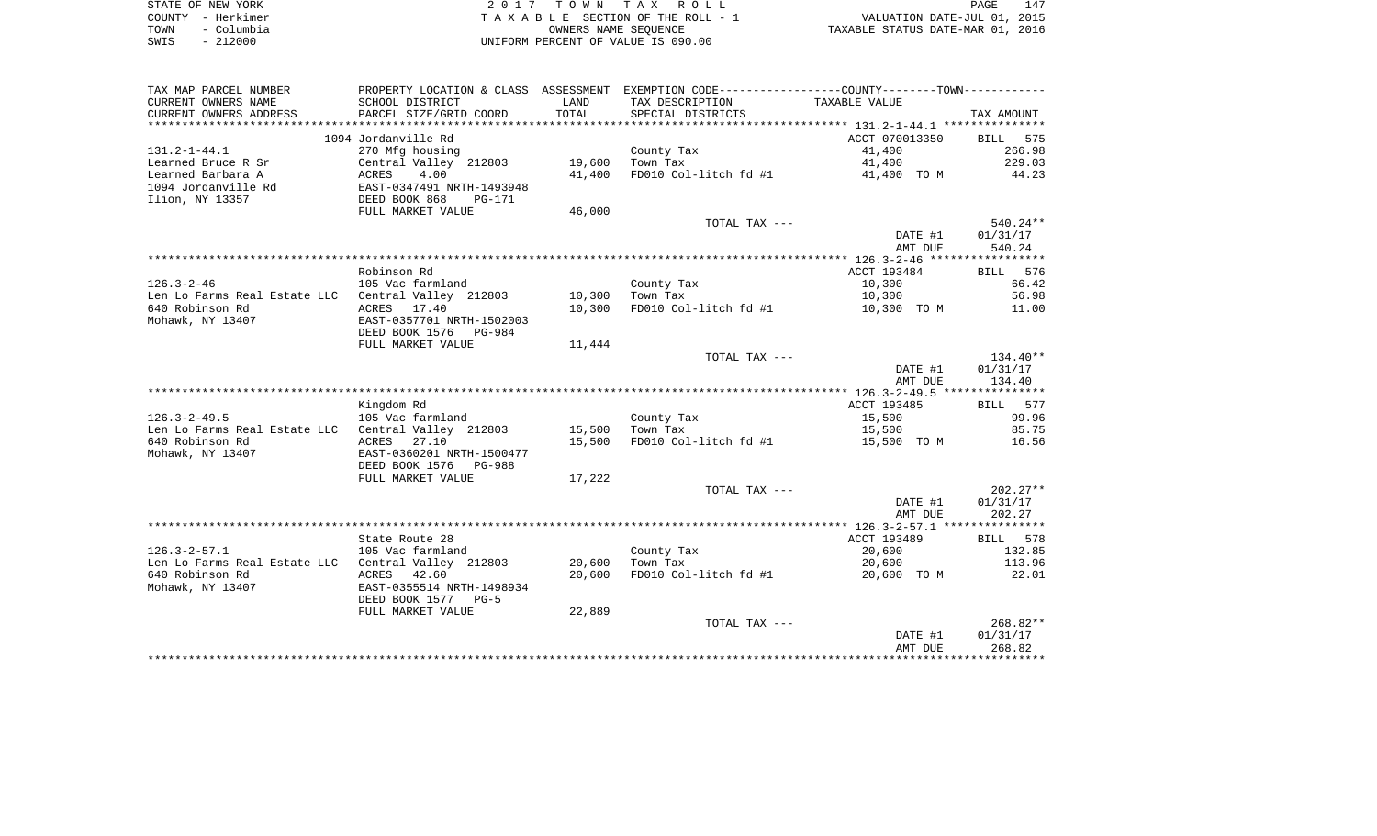| STATE OF NEW YORK  | 2017 TOWN TAX ROLL                 | 147<br><b>PAGE</b>               |
|--------------------|------------------------------------|----------------------------------|
| COUNTY - Herkimer  | TAXABLE SECTION OF THE ROLL - 1    | VALUATION DATE-JUL 01, 2015      |
| – Columbia<br>TOWN | OWNERS NAME SEOUENCE               | TAXABLE STATUS DATE-MAR 01, 2016 |
| $-212000$<br>SWIS  | UNIFORM PERCENT OF VALUE IS 090.00 |                                  |

| TAX MAP PARCEL NUMBER                              |                           |        | PROPERTY LOCATION & CLASS ASSESSMENT EXEMPTION CODE---------------COUNTY--------TOWN---------- |                    |                    |
|----------------------------------------------------|---------------------------|--------|------------------------------------------------------------------------------------------------|--------------------|--------------------|
| CURRENT OWNERS NAME                                | SCHOOL DISTRICT           | LAND   | TAX DESCRIPTION                                                                                | TAXABLE VALUE      |                    |
| CURRENT OWNERS ADDRESS                             | PARCEL SIZE/GRID COORD    | TOTAL  | SPECIAL DISTRICTS                                                                              |                    | TAX AMOUNT         |
|                                                    |                           |        |                                                                                                |                    |                    |
|                                                    | 1094 Jordanville Rd       |        |                                                                                                | ACCT 070013350     | BILL 575           |
| $131.2 - 1 - 44.1$                                 | 270 Mfg housing           |        | County Tax                                                                                     | 41,400             | 266.98             |
| Learned Bruce R Sr                                 | Central Valley 212803     | 19,600 | Town Tax                                                                                       | 41,400             | 229.03             |
| Learned Barbara A                                  | ACRES<br>4.00             | 41,400 | FD010 Col-litch fd #1                                                                          | 41,400 TO M        | 44.23              |
| 1094 Jordanville Rd                                | EAST-0347491 NRTH-1493948 |        |                                                                                                |                    |                    |
| Ilion, NY 13357                                    | DEED BOOK 868<br>PG-171   |        |                                                                                                |                    |                    |
|                                                    | FULL MARKET VALUE         | 46,000 |                                                                                                |                    |                    |
|                                                    |                           |        | TOTAL TAX ---                                                                                  |                    | 540.24**           |
|                                                    |                           |        |                                                                                                | DATE #1<br>AMT DUE | 01/31/17<br>540.24 |
|                                                    |                           |        |                                                                                                |                    |                    |
|                                                    | Robinson Rd               |        |                                                                                                | ACCT 193484        | BILL 576           |
| $126.3 - 2 - 46$                                   | 105 Vac farmland          |        | County Tax                                                                                     | 10,300             | 66.42              |
| Len Lo Farms Real Estate LLC Central Valley 212803 |                           | 10,300 | Town Tax                                                                                       | 10,300             | 56.98              |
| 640 Robinson Rd                                    | ACRES 17.40               | 10,300 | FD010 Col-litch fd #1 10,300 TO M                                                              |                    | 11.00              |
| Mohawk, NY 13407                                   | EAST-0357701 NRTH-1502003 |        |                                                                                                |                    |                    |
|                                                    | DEED BOOK 1576 PG-984     |        |                                                                                                |                    |                    |
|                                                    | FULL MARKET VALUE         | 11,444 |                                                                                                |                    |                    |
|                                                    |                           |        | TOTAL TAX ---                                                                                  |                    | 134.40**           |
|                                                    |                           |        |                                                                                                | DATE #1            | 01/31/17           |
|                                                    |                           |        |                                                                                                | AMT DUE            | 134.40             |
|                                                    |                           |        |                                                                                                |                    |                    |
|                                                    | Kingdom Rd                |        |                                                                                                | ACCT 193485        | BILL 577           |
| $126.3 - 2 - 49.5$                                 | 105 Vac farmland          |        | County Tax                                                                                     | 15,500             | 99.96              |
| Len Lo Farms Real Estate LLC Central Valley 212803 |                           | 15,500 | Town Tax                                                                                       | 15,500             | 85.75              |
| 640 Robinson Rd                                    | ACRES 27.10               | 15,500 | FD010 Col-litch fd $#1$ 15,500 TO M                                                            |                    | 16.56              |
| Mohawk, NY 13407                                   | EAST-0360201 NRTH-1500477 |        |                                                                                                |                    |                    |
|                                                    | DEED BOOK 1576 PG-988     |        |                                                                                                |                    |                    |
|                                                    | FULL MARKET VALUE         | 17,222 |                                                                                                |                    |                    |
|                                                    |                           |        | TOTAL TAX ---                                                                                  |                    | $202.27**$         |
|                                                    |                           |        |                                                                                                | DATE #1            | 01/31/17           |
|                                                    |                           |        |                                                                                                | AMT DUE            | 202.27             |
|                                                    | State Route 28            |        |                                                                                                | ACCT 193489        | BILL 578           |
| $126.3 - 2 - 57.1$                                 | 105 Vac farmland          |        | County Tax                                                                                     | 20,600             | 132.85             |
| Len Lo Farms Real Estate LLC Central Valley 212803 |                           | 20,600 | Town Tax                                                                                       | 20,600             | 113.96             |
| 640 Robinson Rd                                    | 42.60<br>ACRES            | 20,600 | FD010 Col-litch fd #1                                                                          | 20,600 TO M        | 22.01              |
| Mohawk, NY 13407                                   | EAST-0355514 NRTH-1498934 |        |                                                                                                |                    |                    |
|                                                    | DEED BOOK 1577 PG-5       |        |                                                                                                |                    |                    |
|                                                    | FULL MARKET VALUE         | 22,889 |                                                                                                |                    |                    |
|                                                    |                           |        | TOTAL TAX ---                                                                                  |                    | $268.82**$         |
|                                                    |                           |        |                                                                                                | DATE #1            | 01/31/17           |
|                                                    |                           |        |                                                                                                | AMT DUE            | 268.82             |
|                                                    |                           |        |                                                                                                |                    |                    |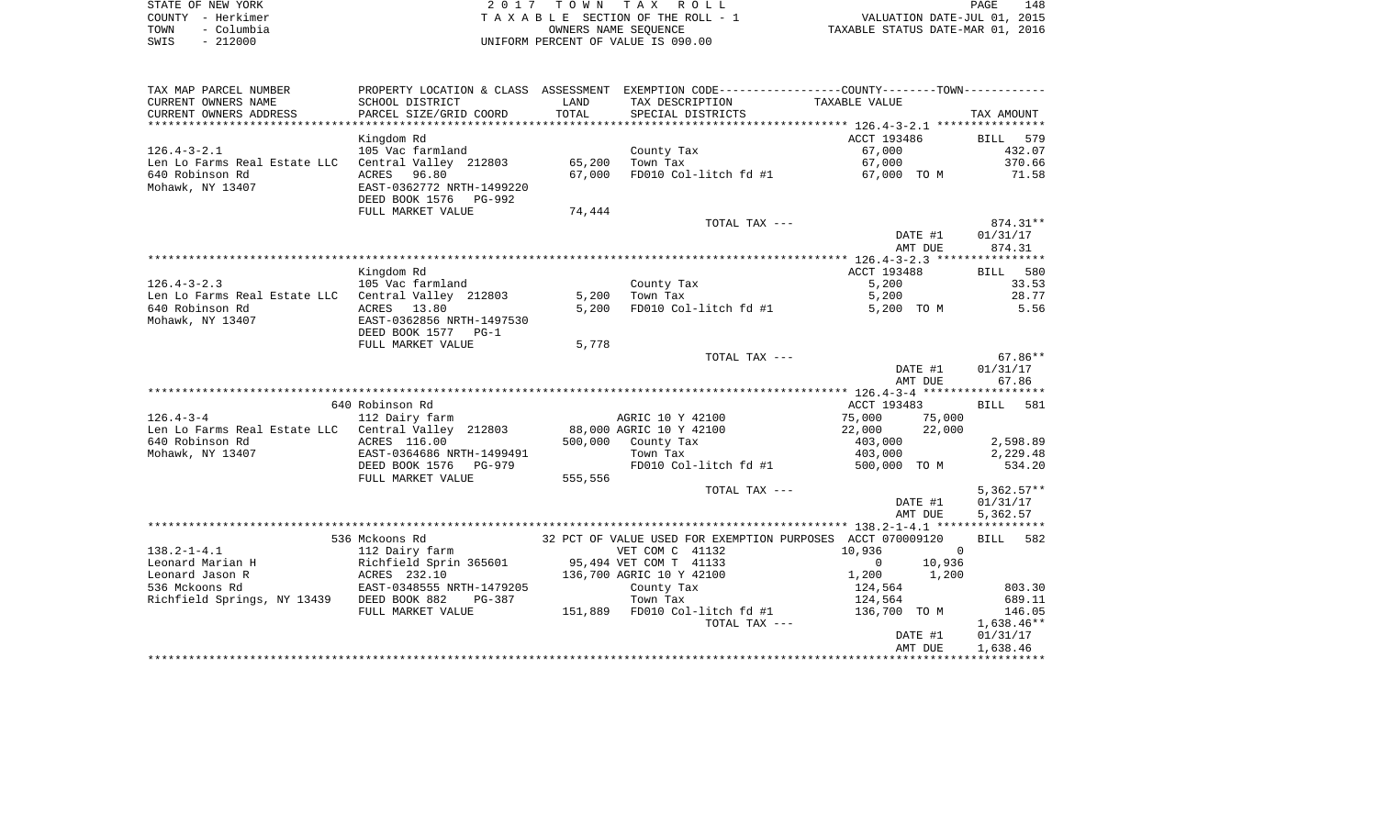| STATE OF NEW YORK  | 2017 TOWN TAX ROLL                 | 148<br>PAGE                      |
|--------------------|------------------------------------|----------------------------------|
| COUNTY - Herkimer  | TAXABLE SECTION OF THE ROLL - 1    | VALUATION DATE-JUL 01, 2015      |
| – Columbia<br>TOWN | OWNERS NAME SEOUENCE               | TAXABLE STATUS DATE-MAR 01, 2016 |
| $-212000$<br>SWIS  | UNIFORM PERCENT OF VALUE IS 090.00 |                                  |

| CURRENT OWNERS NAME<br>TAX DESCRIPTION<br>TAXABLE VALUE<br>SCHOOL DISTRICT<br>LAND<br>TOTAL<br>CURRENT OWNERS ADDRESS<br>PARCEL SIZE/GRID COORD<br>SPECIAL DISTRICTS<br>TAX AMOUNT<br>Kingdom Rd<br>ACCT 193486<br>579<br><b>BILL</b><br>67,000<br>432.07<br>105 Vac farmland<br>County Tax<br>65,200<br>67,000<br>370.66<br>Central Valley 212803<br>Town Tax<br>640 Robinson Rd<br>67,000<br>FD010 Col-litch fd #1<br>71.58<br>ACRES<br>96.80<br>67,000 TO M<br>EAST-0362772 NRTH-1499220<br>DEED BOOK 1576<br>PG-992<br>FULL MARKET VALUE<br>74,444<br>874.31**<br>TOTAL TAX ---<br>DATE #1<br>01/31/17<br>874.31<br>AMT DUE<br>********************<br>*****************************<br>************** 126.4-3-2.3 *****************<br>ACCT 193488<br>Kingdom Rd<br>580<br>BILL<br>$126.4 - 3 - 2.3$<br>105 Vac farmland<br>County Tax<br>5,200<br>33.53<br>28.77<br>Central Valley 212803<br>5,200<br>Town Tax<br>5,200<br>Len Lo Farms Real Estate LLC<br>640 Robinson Rd<br>5,200<br>FD010 Col-litch fd #1<br>5.56<br>ACRES 13.80<br>5,200 TO M<br>EAST-0362856 NRTH-1497530<br>DEED BOOK 1577 PG-1<br>5,778<br>FULL MARKET VALUE<br>$67.86**$<br>TOTAL TAX ---<br>DATE #1<br>01/31/17<br>AMT DUE<br>67.86<br>640 Robinson Rd<br>ACCT 193483<br>581<br>BILL<br>$126.4 - 3 - 4$<br>112 Dairy farm<br>AGRIC 10 Y 42100<br>75,000<br>75,000<br>Len Lo Farms Real Estate LLC Central Valley 212803<br>88,000 AGRIC 10 Y 42100<br>22,000<br>22,000<br>ACRES 116.00<br>500,000<br>County Tax<br>2,598.89<br>403,000<br>EAST-0364686 NRTH-1499491<br>2,229.48<br>Town Tax<br>403,000<br>DEED BOOK 1576<br>FD010 Col-litch fd #1<br>534.20<br>PG-979<br>500,000 TO M<br>FULL MARKET VALUE<br>555,556<br>$5,362.57**$<br>TOTAL TAX ---<br>DATE #1<br>01/31/17<br>AMT DUE<br>5,362.57<br>536 Mckoons Rd<br>32 PCT OF VALUE USED FOR EXEMPTION PURPOSES ACCT 070009120<br>BILL<br>582<br>$138.2 - 1 - 4.1$<br>VET COM C 41132<br>10,936<br>$\Omega$<br>112 Dairy farm<br>Richfield Sprin 365601<br>95,494 VET COM T 41133<br>$\overline{0}$<br>10,936<br>ACRES 232.10<br>136,700 AGRIC 10 Y 42100<br>1,200<br>1,200<br>EAST-0348555 NRTH-1479205<br>803.30<br>124,564<br>County Tax<br>Richfield Springs, NY 13439<br>DEED BOOK 882<br>Town Tax<br>124,564<br>689.11<br>PG-387<br>151,889 FD010 Col-litch fd #1<br>136,700 TO M<br>146.05<br>FULL MARKET VALUE<br>$1,638.46**$<br>TOTAL TAX ---<br>DATE #1<br>01/31/17<br>AMT DUE<br>1,638.46 | TAX MAP PARCEL NUMBER        | PROPERTY LOCATION & CLASS ASSESSMENT |  | EXEMPTION CODE-----------------COUNTY-------TOWN----------- |  |
|--------------------------------------------------------------------------------------------------------------------------------------------------------------------------------------------------------------------------------------------------------------------------------------------------------------------------------------------------------------------------------------------------------------------------------------------------------------------------------------------------------------------------------------------------------------------------------------------------------------------------------------------------------------------------------------------------------------------------------------------------------------------------------------------------------------------------------------------------------------------------------------------------------------------------------------------------------------------------------------------------------------------------------------------------------------------------------------------------------------------------------------------------------------------------------------------------------------------------------------------------------------------------------------------------------------------------------------------------------------------------------------------------------------------------------------------------------------------------------------------------------------------------------------------------------------------------------------------------------------------------------------------------------------------------------------------------------------------------------------------------------------------------------------------------------------------------------------------------------------------------------------------------------------------------------------------------------------------------------------------------------------------------------------------------------------------------------------------------------------------------------------------------------------------------------------------------------------------------------------------------------------------------------------------------------------------------------------------------------------------------------------------------------------------------------------------|------------------------------|--------------------------------------|--|-------------------------------------------------------------|--|
|                                                                                                                                                                                                                                                                                                                                                                                                                                                                                                                                                                                                                                                                                                                                                                                                                                                                                                                                                                                                                                                                                                                                                                                                                                                                                                                                                                                                                                                                                                                                                                                                                                                                                                                                                                                                                                                                                                                                                                                                                                                                                                                                                                                                                                                                                                                                                                                                                                            |                              |                                      |  |                                                             |  |
|                                                                                                                                                                                                                                                                                                                                                                                                                                                                                                                                                                                                                                                                                                                                                                                                                                                                                                                                                                                                                                                                                                                                                                                                                                                                                                                                                                                                                                                                                                                                                                                                                                                                                                                                                                                                                                                                                                                                                                                                                                                                                                                                                                                                                                                                                                                                                                                                                                            |                              |                                      |  |                                                             |  |
|                                                                                                                                                                                                                                                                                                                                                                                                                                                                                                                                                                                                                                                                                                                                                                                                                                                                                                                                                                                                                                                                                                                                                                                                                                                                                                                                                                                                                                                                                                                                                                                                                                                                                                                                                                                                                                                                                                                                                                                                                                                                                                                                                                                                                                                                                                                                                                                                                                            |                              |                                      |  |                                                             |  |
|                                                                                                                                                                                                                                                                                                                                                                                                                                                                                                                                                                                                                                                                                                                                                                                                                                                                                                                                                                                                                                                                                                                                                                                                                                                                                                                                                                                                                                                                                                                                                                                                                                                                                                                                                                                                                                                                                                                                                                                                                                                                                                                                                                                                                                                                                                                                                                                                                                            | $126.4 - 3 - 2.1$            |                                      |  |                                                             |  |
|                                                                                                                                                                                                                                                                                                                                                                                                                                                                                                                                                                                                                                                                                                                                                                                                                                                                                                                                                                                                                                                                                                                                                                                                                                                                                                                                                                                                                                                                                                                                                                                                                                                                                                                                                                                                                                                                                                                                                                                                                                                                                                                                                                                                                                                                                                                                                                                                                                            | Len Lo Farms Real Estate LLC |                                      |  |                                                             |  |
|                                                                                                                                                                                                                                                                                                                                                                                                                                                                                                                                                                                                                                                                                                                                                                                                                                                                                                                                                                                                                                                                                                                                                                                                                                                                                                                                                                                                                                                                                                                                                                                                                                                                                                                                                                                                                                                                                                                                                                                                                                                                                                                                                                                                                                                                                                                                                                                                                                            | Mohawk, NY 13407             |                                      |  |                                                             |  |
|                                                                                                                                                                                                                                                                                                                                                                                                                                                                                                                                                                                                                                                                                                                                                                                                                                                                                                                                                                                                                                                                                                                                                                                                                                                                                                                                                                                                                                                                                                                                                                                                                                                                                                                                                                                                                                                                                                                                                                                                                                                                                                                                                                                                                                                                                                                                                                                                                                            |                              |                                      |  |                                                             |  |
|                                                                                                                                                                                                                                                                                                                                                                                                                                                                                                                                                                                                                                                                                                                                                                                                                                                                                                                                                                                                                                                                                                                                                                                                                                                                                                                                                                                                                                                                                                                                                                                                                                                                                                                                                                                                                                                                                                                                                                                                                                                                                                                                                                                                                                                                                                                                                                                                                                            |                              |                                      |  |                                                             |  |
|                                                                                                                                                                                                                                                                                                                                                                                                                                                                                                                                                                                                                                                                                                                                                                                                                                                                                                                                                                                                                                                                                                                                                                                                                                                                                                                                                                                                                                                                                                                                                                                                                                                                                                                                                                                                                                                                                                                                                                                                                                                                                                                                                                                                                                                                                                                                                                                                                                            |                              |                                      |  |                                                             |  |
|                                                                                                                                                                                                                                                                                                                                                                                                                                                                                                                                                                                                                                                                                                                                                                                                                                                                                                                                                                                                                                                                                                                                                                                                                                                                                                                                                                                                                                                                                                                                                                                                                                                                                                                                                                                                                                                                                                                                                                                                                                                                                                                                                                                                                                                                                                                                                                                                                                            |                              |                                      |  |                                                             |  |
|                                                                                                                                                                                                                                                                                                                                                                                                                                                                                                                                                                                                                                                                                                                                                                                                                                                                                                                                                                                                                                                                                                                                                                                                                                                                                                                                                                                                                                                                                                                                                                                                                                                                                                                                                                                                                                                                                                                                                                                                                                                                                                                                                                                                                                                                                                                                                                                                                                            |                              |                                      |  |                                                             |  |
|                                                                                                                                                                                                                                                                                                                                                                                                                                                                                                                                                                                                                                                                                                                                                                                                                                                                                                                                                                                                                                                                                                                                                                                                                                                                                                                                                                                                                                                                                                                                                                                                                                                                                                                                                                                                                                                                                                                                                                                                                                                                                                                                                                                                                                                                                                                                                                                                                                            |                              |                                      |  |                                                             |  |
|                                                                                                                                                                                                                                                                                                                                                                                                                                                                                                                                                                                                                                                                                                                                                                                                                                                                                                                                                                                                                                                                                                                                                                                                                                                                                                                                                                                                                                                                                                                                                                                                                                                                                                                                                                                                                                                                                                                                                                                                                                                                                                                                                                                                                                                                                                                                                                                                                                            |                              |                                      |  |                                                             |  |
|                                                                                                                                                                                                                                                                                                                                                                                                                                                                                                                                                                                                                                                                                                                                                                                                                                                                                                                                                                                                                                                                                                                                                                                                                                                                                                                                                                                                                                                                                                                                                                                                                                                                                                                                                                                                                                                                                                                                                                                                                                                                                                                                                                                                                                                                                                                                                                                                                                            | Mohawk, NY 13407             |                                      |  |                                                             |  |
|                                                                                                                                                                                                                                                                                                                                                                                                                                                                                                                                                                                                                                                                                                                                                                                                                                                                                                                                                                                                                                                                                                                                                                                                                                                                                                                                                                                                                                                                                                                                                                                                                                                                                                                                                                                                                                                                                                                                                                                                                                                                                                                                                                                                                                                                                                                                                                                                                                            |                              |                                      |  |                                                             |  |
|                                                                                                                                                                                                                                                                                                                                                                                                                                                                                                                                                                                                                                                                                                                                                                                                                                                                                                                                                                                                                                                                                                                                                                                                                                                                                                                                                                                                                                                                                                                                                                                                                                                                                                                                                                                                                                                                                                                                                                                                                                                                                                                                                                                                                                                                                                                                                                                                                                            |                              |                                      |  |                                                             |  |
|                                                                                                                                                                                                                                                                                                                                                                                                                                                                                                                                                                                                                                                                                                                                                                                                                                                                                                                                                                                                                                                                                                                                                                                                                                                                                                                                                                                                                                                                                                                                                                                                                                                                                                                                                                                                                                                                                                                                                                                                                                                                                                                                                                                                                                                                                                                                                                                                                                            |                              |                                      |  |                                                             |  |
|                                                                                                                                                                                                                                                                                                                                                                                                                                                                                                                                                                                                                                                                                                                                                                                                                                                                                                                                                                                                                                                                                                                                                                                                                                                                                                                                                                                                                                                                                                                                                                                                                                                                                                                                                                                                                                                                                                                                                                                                                                                                                                                                                                                                                                                                                                                                                                                                                                            |                              |                                      |  |                                                             |  |
|                                                                                                                                                                                                                                                                                                                                                                                                                                                                                                                                                                                                                                                                                                                                                                                                                                                                                                                                                                                                                                                                                                                                                                                                                                                                                                                                                                                                                                                                                                                                                                                                                                                                                                                                                                                                                                                                                                                                                                                                                                                                                                                                                                                                                                                                                                                                                                                                                                            |                              |                                      |  |                                                             |  |
|                                                                                                                                                                                                                                                                                                                                                                                                                                                                                                                                                                                                                                                                                                                                                                                                                                                                                                                                                                                                                                                                                                                                                                                                                                                                                                                                                                                                                                                                                                                                                                                                                                                                                                                                                                                                                                                                                                                                                                                                                                                                                                                                                                                                                                                                                                                                                                                                                                            |                              |                                      |  |                                                             |  |
|                                                                                                                                                                                                                                                                                                                                                                                                                                                                                                                                                                                                                                                                                                                                                                                                                                                                                                                                                                                                                                                                                                                                                                                                                                                                                                                                                                                                                                                                                                                                                                                                                                                                                                                                                                                                                                                                                                                                                                                                                                                                                                                                                                                                                                                                                                                                                                                                                                            |                              |                                      |  |                                                             |  |
|                                                                                                                                                                                                                                                                                                                                                                                                                                                                                                                                                                                                                                                                                                                                                                                                                                                                                                                                                                                                                                                                                                                                                                                                                                                                                                                                                                                                                                                                                                                                                                                                                                                                                                                                                                                                                                                                                                                                                                                                                                                                                                                                                                                                                                                                                                                                                                                                                                            | 640 Robinson Rd              |                                      |  |                                                             |  |
|                                                                                                                                                                                                                                                                                                                                                                                                                                                                                                                                                                                                                                                                                                                                                                                                                                                                                                                                                                                                                                                                                                                                                                                                                                                                                                                                                                                                                                                                                                                                                                                                                                                                                                                                                                                                                                                                                                                                                                                                                                                                                                                                                                                                                                                                                                                                                                                                                                            | Mohawk, NY 13407             |                                      |  |                                                             |  |
|                                                                                                                                                                                                                                                                                                                                                                                                                                                                                                                                                                                                                                                                                                                                                                                                                                                                                                                                                                                                                                                                                                                                                                                                                                                                                                                                                                                                                                                                                                                                                                                                                                                                                                                                                                                                                                                                                                                                                                                                                                                                                                                                                                                                                                                                                                                                                                                                                                            |                              |                                      |  |                                                             |  |
|                                                                                                                                                                                                                                                                                                                                                                                                                                                                                                                                                                                                                                                                                                                                                                                                                                                                                                                                                                                                                                                                                                                                                                                                                                                                                                                                                                                                                                                                                                                                                                                                                                                                                                                                                                                                                                                                                                                                                                                                                                                                                                                                                                                                                                                                                                                                                                                                                                            |                              |                                      |  |                                                             |  |
|                                                                                                                                                                                                                                                                                                                                                                                                                                                                                                                                                                                                                                                                                                                                                                                                                                                                                                                                                                                                                                                                                                                                                                                                                                                                                                                                                                                                                                                                                                                                                                                                                                                                                                                                                                                                                                                                                                                                                                                                                                                                                                                                                                                                                                                                                                                                                                                                                                            |                              |                                      |  |                                                             |  |
|                                                                                                                                                                                                                                                                                                                                                                                                                                                                                                                                                                                                                                                                                                                                                                                                                                                                                                                                                                                                                                                                                                                                                                                                                                                                                                                                                                                                                                                                                                                                                                                                                                                                                                                                                                                                                                                                                                                                                                                                                                                                                                                                                                                                                                                                                                                                                                                                                                            |                              |                                      |  |                                                             |  |
|                                                                                                                                                                                                                                                                                                                                                                                                                                                                                                                                                                                                                                                                                                                                                                                                                                                                                                                                                                                                                                                                                                                                                                                                                                                                                                                                                                                                                                                                                                                                                                                                                                                                                                                                                                                                                                                                                                                                                                                                                                                                                                                                                                                                                                                                                                                                                                                                                                            |                              |                                      |  |                                                             |  |
|                                                                                                                                                                                                                                                                                                                                                                                                                                                                                                                                                                                                                                                                                                                                                                                                                                                                                                                                                                                                                                                                                                                                                                                                                                                                                                                                                                                                                                                                                                                                                                                                                                                                                                                                                                                                                                                                                                                                                                                                                                                                                                                                                                                                                                                                                                                                                                                                                                            |                              |                                      |  |                                                             |  |
|                                                                                                                                                                                                                                                                                                                                                                                                                                                                                                                                                                                                                                                                                                                                                                                                                                                                                                                                                                                                                                                                                                                                                                                                                                                                                                                                                                                                                                                                                                                                                                                                                                                                                                                                                                                                                                                                                                                                                                                                                                                                                                                                                                                                                                                                                                                                                                                                                                            |                              |                                      |  |                                                             |  |
|                                                                                                                                                                                                                                                                                                                                                                                                                                                                                                                                                                                                                                                                                                                                                                                                                                                                                                                                                                                                                                                                                                                                                                                                                                                                                                                                                                                                                                                                                                                                                                                                                                                                                                                                                                                                                                                                                                                                                                                                                                                                                                                                                                                                                                                                                                                                                                                                                                            | Leonard Marian H             |                                      |  |                                                             |  |
|                                                                                                                                                                                                                                                                                                                                                                                                                                                                                                                                                                                                                                                                                                                                                                                                                                                                                                                                                                                                                                                                                                                                                                                                                                                                                                                                                                                                                                                                                                                                                                                                                                                                                                                                                                                                                                                                                                                                                                                                                                                                                                                                                                                                                                                                                                                                                                                                                                            | Leonard Jason R              |                                      |  |                                                             |  |
|                                                                                                                                                                                                                                                                                                                                                                                                                                                                                                                                                                                                                                                                                                                                                                                                                                                                                                                                                                                                                                                                                                                                                                                                                                                                                                                                                                                                                                                                                                                                                                                                                                                                                                                                                                                                                                                                                                                                                                                                                                                                                                                                                                                                                                                                                                                                                                                                                                            | 536 Mckoons Rd               |                                      |  |                                                             |  |
|                                                                                                                                                                                                                                                                                                                                                                                                                                                                                                                                                                                                                                                                                                                                                                                                                                                                                                                                                                                                                                                                                                                                                                                                                                                                                                                                                                                                                                                                                                                                                                                                                                                                                                                                                                                                                                                                                                                                                                                                                                                                                                                                                                                                                                                                                                                                                                                                                                            |                              |                                      |  |                                                             |  |
|                                                                                                                                                                                                                                                                                                                                                                                                                                                                                                                                                                                                                                                                                                                                                                                                                                                                                                                                                                                                                                                                                                                                                                                                                                                                                                                                                                                                                                                                                                                                                                                                                                                                                                                                                                                                                                                                                                                                                                                                                                                                                                                                                                                                                                                                                                                                                                                                                                            |                              |                                      |  |                                                             |  |
|                                                                                                                                                                                                                                                                                                                                                                                                                                                                                                                                                                                                                                                                                                                                                                                                                                                                                                                                                                                                                                                                                                                                                                                                                                                                                                                                                                                                                                                                                                                                                                                                                                                                                                                                                                                                                                                                                                                                                                                                                                                                                                                                                                                                                                                                                                                                                                                                                                            |                              |                                      |  |                                                             |  |
|                                                                                                                                                                                                                                                                                                                                                                                                                                                                                                                                                                                                                                                                                                                                                                                                                                                                                                                                                                                                                                                                                                                                                                                                                                                                                                                                                                                                                                                                                                                                                                                                                                                                                                                                                                                                                                                                                                                                                                                                                                                                                                                                                                                                                                                                                                                                                                                                                                            |                              |                                      |  |                                                             |  |
|                                                                                                                                                                                                                                                                                                                                                                                                                                                                                                                                                                                                                                                                                                                                                                                                                                                                                                                                                                                                                                                                                                                                                                                                                                                                                                                                                                                                                                                                                                                                                                                                                                                                                                                                                                                                                                                                                                                                                                                                                                                                                                                                                                                                                                                                                                                                                                                                                                            |                              |                                      |  |                                                             |  |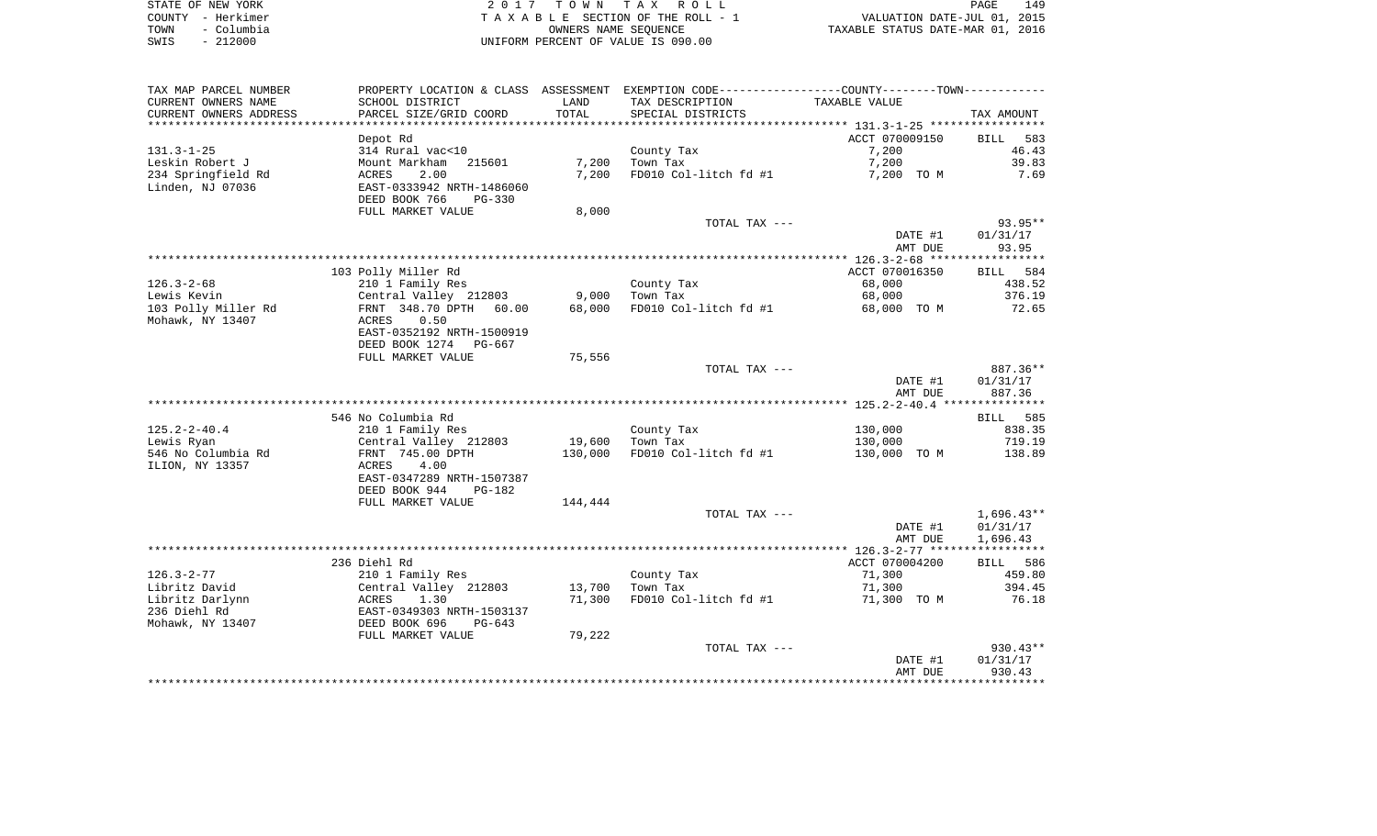| STATE OF NEW YORK  | 2017 TOWN TAX ROLL                 | 149<br>PAGE                      |
|--------------------|------------------------------------|----------------------------------|
| COUNTY - Herkimer  | TAXABLE SECTION OF THE ROLL - 1    | VALUATION DATE-JUL 01, 2015      |
| - Columbia<br>TOWN | OWNERS NAME SEOUENCE               | TAXABLE STATUS DATE-MAR 01, 2016 |
| - 212000<br>SWIS   | UNIFORM PERCENT OF VALUE IS 090.00 |                                  |

| TAX MAP PARCEL NUMBER            | PROPERTY LOCATION & CLASS ASSESSMENT EXEMPTION CODE---------------COUNTY--------TOWN---------- |         |                        |                    |                  |
|----------------------------------|------------------------------------------------------------------------------------------------|---------|------------------------|--------------------|------------------|
| CURRENT OWNERS NAME              | SCHOOL DISTRICT                                                                                | LAND    | TAX DESCRIPTION        | TAXABLE VALUE      |                  |
| CURRENT OWNERS ADDRESS           | PARCEL SIZE/GRID COORD                                                                         | TOTAL   | SPECIAL DISTRICTS      |                    | TAX AMOUNT       |
|                                  |                                                                                                |         |                        |                    |                  |
|                                  | Depot Rd                                                                                       |         |                        | ACCT 070009150     | BILL<br>583      |
| $131.3 - 1 - 25$                 | 314 Rural vac<10                                                                               |         | County Tax             | 7,200              | 46.43            |
| Leskin Robert J                  | Mount Markham<br>215601                                                                        | 7,200   | Town Tax               | 7,200              | 39.83            |
| 234 Springfield Rd               | 2.00<br>ACRES                                                                                  | 7,200   | FD010 Col-litch fd #1  | 7,200 TO M         | 7.69             |
| Linden, NJ 07036                 | EAST-0333942 NRTH-1486060                                                                      |         |                        |                    |                  |
|                                  | DEED BOOK 766<br>PG-330<br>FULL MARKET VALUE                                                   | 8,000   |                        |                    |                  |
|                                  |                                                                                                |         | TOTAL TAX ---          |                    | $93.95**$        |
|                                  |                                                                                                |         |                        | DATE #1            | 01/31/17         |
|                                  |                                                                                                |         |                        | AMT DUE            | 93.95            |
|                                  |                                                                                                |         |                        |                    |                  |
|                                  | 103 Polly Miller Rd                                                                            |         |                        | ACCT 070016350     | BILL 584         |
| $126.3 - 2 - 68$                 | 210 1 Family Res                                                                               |         | County Tax             | 68,000             | 438.52           |
| Lewis Kevin                      | Central Valley 212803                                                                          | 9,000   | Town Tax               | 68,000             | 376.19           |
| 103 Polly Miller Rd              | FRNT 348.70 DPTH 60.00                                                                         | 68,000  | FD010 Col-litch fd #1  | 68,000 TO M        | 72.65            |
| Mohawk, NY 13407                 | ACRES<br>0.50                                                                                  |         |                        |                    |                  |
|                                  | EAST-0352192 NRTH-1500919                                                                      |         |                        |                    |                  |
|                                  | DEED BOOK 1274<br>PG-667                                                                       |         |                        |                    |                  |
|                                  | FULL MARKET VALUE                                                                              | 75,556  |                        |                    |                  |
|                                  |                                                                                                |         | TOTAL TAX ---          |                    | 887.36**         |
|                                  |                                                                                                |         |                        | DATE #1            | 01/31/17         |
|                                  |                                                                                                |         |                        | AMT DUE            | 887.36           |
|                                  |                                                                                                |         |                        |                    |                  |
|                                  | 546 No Columbia Rd                                                                             |         |                        |                    | BILL 585         |
| $125.2 - 2 - 40.4$<br>Lewis Ryan | 210 1 Family Res<br>Central Valley 212803                                                      | 19,600  | County Tax<br>Town Tax | 130,000<br>130,000 | 838.35<br>719.19 |
| 546 No Columbia Rd               | FRNT 745.00 DPTH                                                                               | 130,000 | FD010 Col-litch fd #1  | 130,000 TO M       | 138.89           |
| ILION, NY 13357                  | ACRES<br>4.00                                                                                  |         |                        |                    |                  |
|                                  | EAST-0347289 NRTH-1507387                                                                      |         |                        |                    |                  |
|                                  | DEED BOOK 944<br><b>PG-182</b>                                                                 |         |                        |                    |                  |
|                                  | FULL MARKET VALUE                                                                              | 144,444 |                        |                    |                  |
|                                  |                                                                                                |         | TOTAL TAX ---          |                    | $1,696.43**$     |
|                                  |                                                                                                |         |                        | DATE #1            | 01/31/17         |
|                                  |                                                                                                |         |                        | AMT DUE            | 1,696.43         |
|                                  |                                                                                                |         |                        |                    |                  |
|                                  | 236 Diehl Rd                                                                                   |         |                        | ACCT 070004200     | BILL 586         |
| $126.3 - 2 - 77$                 | 210 1 Family Res                                                                               |         | County Tax             | 71,300             | 459.80           |
| Libritz David                    | Central Valley 212803                                                                          | 13,700  | Town Tax               | 71,300             | 394.45           |
| Libritz Darlynn                  | 1.30<br>ACRES                                                                                  | 71,300  | FD010 Col-litch fd #1  | 71,300 TO M        | 76.18            |
| 236 Diehl Rd                     | EAST-0349303 NRTH-1503137                                                                      |         |                        |                    |                  |
| Mohawk, NY 13407                 | DEED BOOK 696<br>$PG-643$                                                                      |         |                        |                    |                  |
|                                  | FULL MARKET VALUE                                                                              | 79,222  |                        |                    | $930.43**$       |
|                                  |                                                                                                |         | TOTAL TAX ---          | DATE #1            | 01/31/17         |
|                                  |                                                                                                |         |                        | AMT DUE            | 930.43           |
|                                  |                                                                                                |         |                        |                    |                  |
|                                  |                                                                                                |         |                        |                    |                  |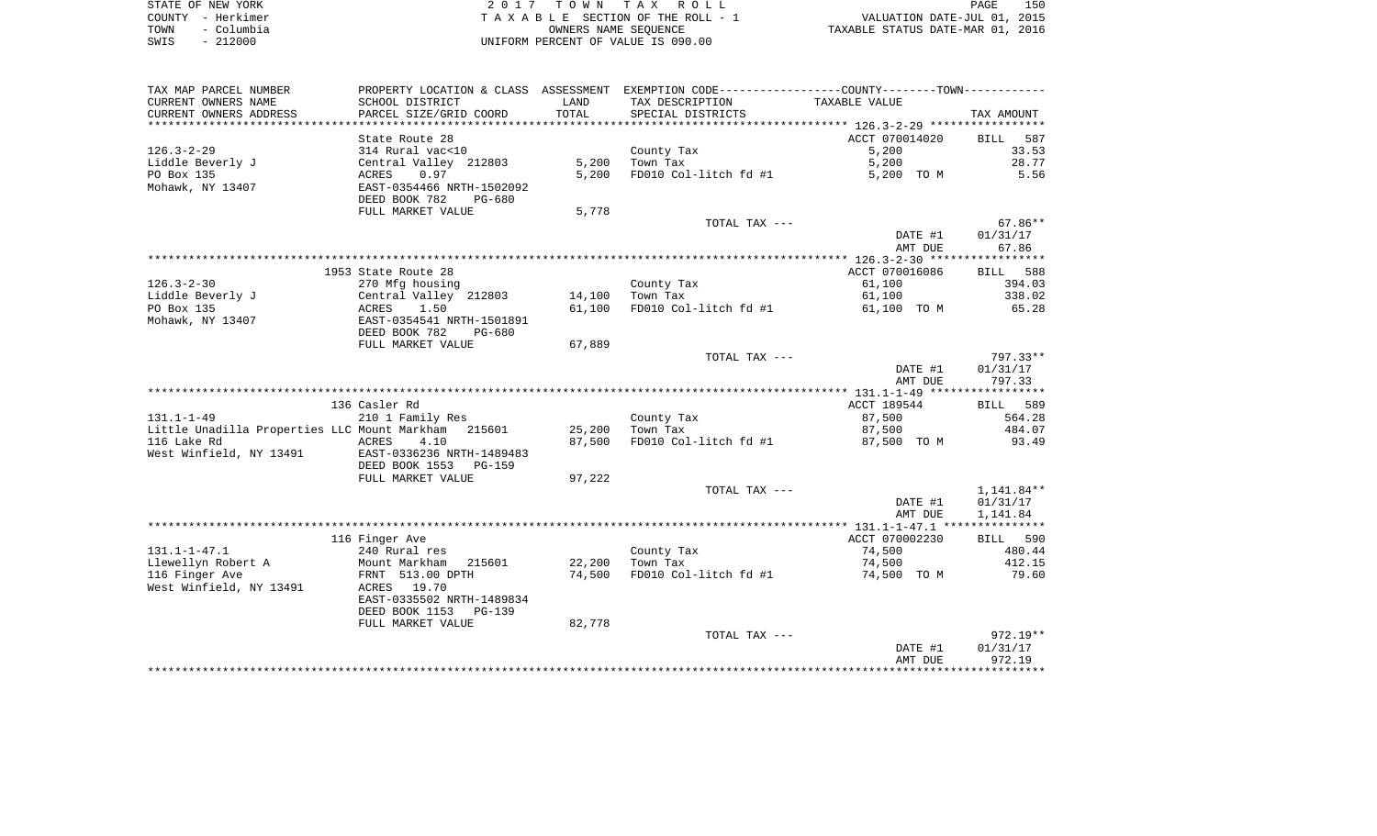| STATE OF NEW YORK |            | 2017 TOWN TAX ROLL                 |                      |                                  | PAGE | 150 |
|-------------------|------------|------------------------------------|----------------------|----------------------------------|------|-----|
| COUNTY - Herkimer |            | TAXABLE SECTION OF THE ROLL - 1    |                      | VALUATION DATE-JUL 01, 2015      |      |     |
| TOWN              | - Columbia |                                    | OWNERS NAME SEOUENCE | TAXABLE STATUS DATE-MAR 01, 2016 |      |     |
| SWIS              | $-212000$  | UNIFORM PERCENT OF VALUE IS 090.00 |                      |                                  |      |     |

| TAX MAP PARCEL NUMBER                               |                                                        |        | PROPERTY LOCATION & CLASS ASSESSMENT EXEMPTION CODE---------------COUNTY-------TOWN---------- |                    |             |
|-----------------------------------------------------|--------------------------------------------------------|--------|-----------------------------------------------------------------------------------------------|--------------------|-------------|
| CURRENT OWNERS NAME                                 | SCHOOL DISTRICT                                        | LAND   | TAX DESCRIPTION                                                                               | TAXABLE VALUE      |             |
| CURRENT OWNERS ADDRESS                              | PARCEL SIZE/GRID COORD                                 | TOTAL  | SPECIAL DISTRICTS                                                                             |                    | TAX AMOUNT  |
|                                                     |                                                        |        |                                                                                               |                    |             |
|                                                     | State Route 28                                         |        |                                                                                               | ACCT 070014020     | 587<br>BILL |
| $126.3 - 2 - 29$                                    | 314 Rural vac<10                                       |        | County Tax                                                                                    | 5,200              | 33.53       |
| Liddle Beverly J                                    | Central Valley 212803                                  | 5,200  | Town Tax                                                                                      | 5,200              | 28.77       |
| PO Box 135                                          | 0.97<br>ACRES                                          | 5,200  | FD010 Col-litch fd #1                                                                         | 5,200 TO M         | 5.56        |
| Mohawk, NY 13407                                    | EAST-0354466 NRTH-1502092<br>DEED BOOK 782<br>$PG-680$ |        |                                                                                               |                    |             |
|                                                     | FULL MARKET VALUE                                      | 5,778  |                                                                                               |                    |             |
|                                                     |                                                        |        | TOTAL TAX ---                                                                                 |                    | $67.86**$   |
|                                                     |                                                        |        |                                                                                               | DATE #1            | 01/31/17    |
|                                                     |                                                        |        |                                                                                               | AMT DUE            | 67.86       |
|                                                     |                                                        |        |                                                                                               |                    |             |
|                                                     | 1953 State Route 28                                    |        |                                                                                               | ACCT 070016086     | BILL 588    |
| $126.3 - 2 - 30$                                    | 270 Mfg housing                                        |        | County Tax                                                                                    | 61,100             | 394.03      |
| Liddle Beverly J                                    | Central Valley 212803                                  | 14,100 | Town Tax                                                                                      | 61,100             | 338.02      |
| PO Box 135                                          | ACRES<br>1.50                                          | 61,100 | FD010 Col-litch fd #1                                                                         | 61,100 TO M        | 65.28       |
| Mohawk, NY 13407                                    | EAST-0354541 NRTH-1501891                              |        |                                                                                               |                    |             |
|                                                     | DEED BOOK 782<br>PG-680                                |        |                                                                                               |                    |             |
|                                                     | FULL MARKET VALUE                                      | 67,889 |                                                                                               |                    |             |
|                                                     |                                                        |        | TOTAL TAX ---                                                                                 |                    | 797.33**    |
|                                                     |                                                        |        |                                                                                               | DATE #1            | 01/31/17    |
|                                                     |                                                        |        |                                                                                               | AMT DUE            | 797.33      |
|                                                     |                                                        |        |                                                                                               |                    |             |
|                                                     | 136 Casler Rd                                          |        |                                                                                               | ACCT 189544        | BILL 589    |
| $131.1 - 1 - 49$                                    | 210 1 Family Res                                       |        | County Tax                                                                                    | 87,500             | 564.28      |
| Little Unadilla Properties LLC Mount Markham 215601 |                                                        | 25,200 | Town Tax                                                                                      | 87,500             | 484.07      |
| 116 Lake Rd                                         | ACRES<br>4.10                                          | 87,500 | FD010 Col-litch fd #1                                                                         | 87,500 TO M        | 93.49       |
| West Winfield, NY 13491                             | EAST-0336236 NRTH-1489483                              |        |                                                                                               |                    |             |
|                                                     | DEED BOOK 1553 PG-159                                  |        |                                                                                               |                    |             |
|                                                     | FULL MARKET VALUE                                      | 97,222 |                                                                                               |                    |             |
|                                                     |                                                        |        | TOTAL TAX ---                                                                                 |                    | 1,141.84**  |
|                                                     |                                                        |        |                                                                                               | DATE #1<br>AMT DUE | 01/31/17    |
|                                                     |                                                        |        |                                                                                               |                    | 1,141.84    |
|                                                     | 116 Finger Ave                                         |        |                                                                                               | ACCT 070002230     | BILL 590    |
| $131.1 - 1 - 47.1$                                  | 240 Rural res                                          |        | County Tax                                                                                    | 74,500             | 480.44      |
| Llewellyn Robert A                                  | Mount Markham<br>215601                                | 22,200 | Town Tax                                                                                      | 74,500             | 412.15      |
| 116 Finger Ave                                      | FRNT 513.00 DPTH                                       | 74,500 | FD010 Col-litch fd #1                                                                         | 74,500 TO M        | 79.60       |
| West Winfield, NY 13491                             | ACRES 19.70                                            |        |                                                                                               |                    |             |
|                                                     | EAST-0335502 NRTH-1489834                              |        |                                                                                               |                    |             |
|                                                     | DEED BOOK 1153<br>PG-139                               |        |                                                                                               |                    |             |
|                                                     | FULL MARKET VALUE                                      | 82,778 |                                                                                               |                    |             |
|                                                     |                                                        |        | TOTAL TAX ---                                                                                 |                    | $972.19**$  |
|                                                     |                                                        |        |                                                                                               | DATE #1            | 01/31/17    |
|                                                     |                                                        |        |                                                                                               | AMT DUE            | 972.19      |
|                                                     |                                                        |        |                                                                                               |                    |             |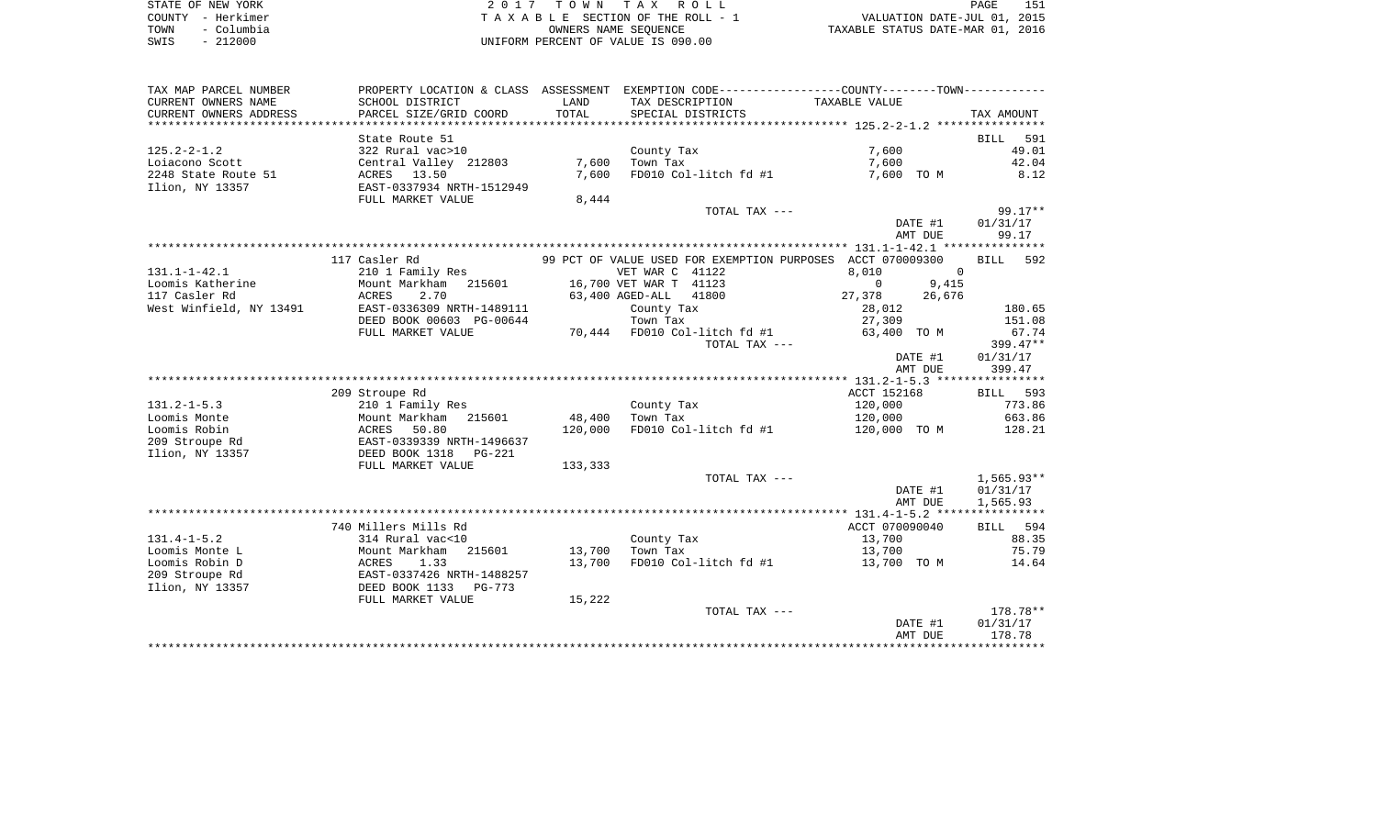|      | STATE OF NEW YORK | 2017 TOWN TAX ROLL                 | PAGE                             | 151 |
|------|-------------------|------------------------------------|----------------------------------|-----|
|      | COUNTY - Herkimer | TAXABLE SECTION OF THE ROLL - 1    | VALUATION DATE-JUL 01, 2015      |     |
| TOWN | - Columbia        | OWNERS NAME SEOUENCE               | TAXABLE STATUS DATE-MAR 01, 2016 |     |
| SWIS | $-212000$         | UNIFORM PERCENT OF VALUE IS 090.00 |                                  |     |
|      |                   |                                    |                                  |     |

| TAX MAP PARCEL NUMBER   |                           |         |                                                            | PROPERTY LOCATION & CLASS ASSESSMENT EXEMPTION CODE---------------COUNTY-------TOWN---------- |              |
|-------------------------|---------------------------|---------|------------------------------------------------------------|-----------------------------------------------------------------------------------------------|--------------|
| CURRENT OWNERS NAME     | SCHOOL DISTRICT           | LAND    | TAX DESCRIPTION                                            | TAXABLE VALUE                                                                                 |              |
| CURRENT OWNERS ADDRESS  | PARCEL SIZE/GRID COORD    | TOTAL   | SPECIAL DISTRICTS                                          |                                                                                               | TAX AMOUNT   |
| *********************   |                           |         |                                                            |                                                                                               |              |
|                         | State Route 51            |         |                                                            |                                                                                               | 591<br>BILL  |
| $125.2 - 2 - 1.2$       | 322 Rural vac>10          |         | County Tax                                                 | 7,600                                                                                         | 49.01        |
| Loiacono Scott          | Central Valley 212803     | 7,600   | Town Tax                                                   | 7,600                                                                                         | 42.04        |
| 2248 State Route 51     | ACRES 13.50               | 7,600   | FD010 Col-litch fd #1                                      | 7,600 TO M                                                                                    | 8.12         |
| Ilion, NY 13357         | EAST-0337934 NRTH-1512949 |         |                                                            |                                                                                               |              |
|                         | FULL MARKET VALUE         | 8,444   |                                                            |                                                                                               |              |
|                         |                           |         | TOTAL TAX ---                                              |                                                                                               | $99.17**$    |
|                         |                           |         |                                                            | DATE #1                                                                                       | 01/31/17     |
|                         |                           |         |                                                            | AMT DUE                                                                                       | 99.17        |
|                         |                           |         |                                                            |                                                                                               |              |
|                         | 117 Casler Rd             |         | 99 PCT OF VALUE USED FOR EXEMPTION PURPOSES ACCT 070009300 |                                                                                               | BILL 592     |
|                         |                           |         |                                                            | 8,010<br>$\Omega$                                                                             |              |
| $131.1 - 1 - 42.1$      | 210 1 Family Res          |         | VET WAR C 41122                                            | $\overline{0}$                                                                                |              |
| Loomis Katherine        | Mount Markham<br>215601   |         | 16,700 VET WAR T 41123                                     | 9,415                                                                                         |              |
| 117 Casler Rd           | 2.70<br>ACRES             |         | 63,400 AGED-ALL 41800                                      | 27,378<br>26,676                                                                              |              |
| West Winfield, NY 13491 | EAST-0336309 NRTH-1489111 |         | County Tax                                                 | 28,012                                                                                        | 180.65       |
|                         | DEED BOOK 00603 PG-00644  |         | Town Tax                                                   | 27,309                                                                                        | 151.08       |
|                         | FULL MARKET VALUE         |         | 70,444 FD010 Col-litch fd #1                               | 63,400 TO M                                                                                   | 67.74        |
|                         |                           |         | TOTAL TAX ---                                              |                                                                                               | $399.47**$   |
|                         |                           |         |                                                            | DATE #1                                                                                       | 01/31/17     |
|                         |                           |         |                                                            | AMT DUE                                                                                       | 399.47       |
|                         |                           |         |                                                            |                                                                                               |              |
|                         | 209 Stroupe Rd            |         |                                                            | ACCT 152168                                                                                   | BILL 593     |
| $131.2 - 1 - 5.3$       | 210 1 Family Res          |         | County Tax                                                 | 120,000                                                                                       | 773.86       |
| Loomis Monte            | 215601<br>Mount Markham   | 48,400  | Town Tax                                                   | 120,000                                                                                       | 663.86       |
| Loomis Robin            | 50.80<br>ACRES            | 120,000 | FD010 Col-litch fd #1                                      | 120,000 TO M                                                                                  | 128.21       |
| 209 Stroupe Rd          | EAST-0339339 NRTH-1496637 |         |                                                            |                                                                                               |              |
| Ilion, NY 13357         | DEED BOOK 1318 PG-221     |         |                                                            |                                                                                               |              |
|                         | FULL MARKET VALUE         | 133,333 |                                                            |                                                                                               |              |
|                         |                           |         | TOTAL TAX ---                                              |                                                                                               | $1,565.93**$ |
|                         |                           |         |                                                            | DATE #1                                                                                       | 01/31/17     |
|                         |                           |         |                                                            | AMT DUE                                                                                       | 1,565.93     |
|                         |                           |         |                                                            |                                                                                               |              |
|                         | 740 Millers Mills Rd      |         |                                                            | ACCT 070090040                                                                                | BILL 594     |
| $131.4 - 1 - 5.2$       | 314 Rural vac<10          |         | County Tax                                                 | 13,700                                                                                        | 88.35        |
| Loomis Monte L          | Mount Markham 215601      | 13,700  | Town Tax                                                   | 13,700                                                                                        | 75.79        |
| Loomis Robin D          | ACRES<br>1.33             | 13,700  | FD010 Col-litch fd #1                                      | 13,700 TO M                                                                                   | 14.64        |
| 209 Stroupe Rd          | EAST-0337426 NRTH-1488257 |         |                                                            |                                                                                               |              |
| Ilion, NY 13357         | DEED BOOK 1133 PG-773     |         |                                                            |                                                                                               |              |
|                         | FULL MARKET VALUE         | 15,222  |                                                            |                                                                                               |              |
|                         |                           |         | TOTAL TAX ---                                              |                                                                                               | 178.78**     |
|                         |                           |         |                                                            | DATE #1                                                                                       | 01/31/17     |
|                         |                           |         |                                                            | AMT DUE                                                                                       | 178.78       |
|                         |                           |         |                                                            |                                                                                               |              |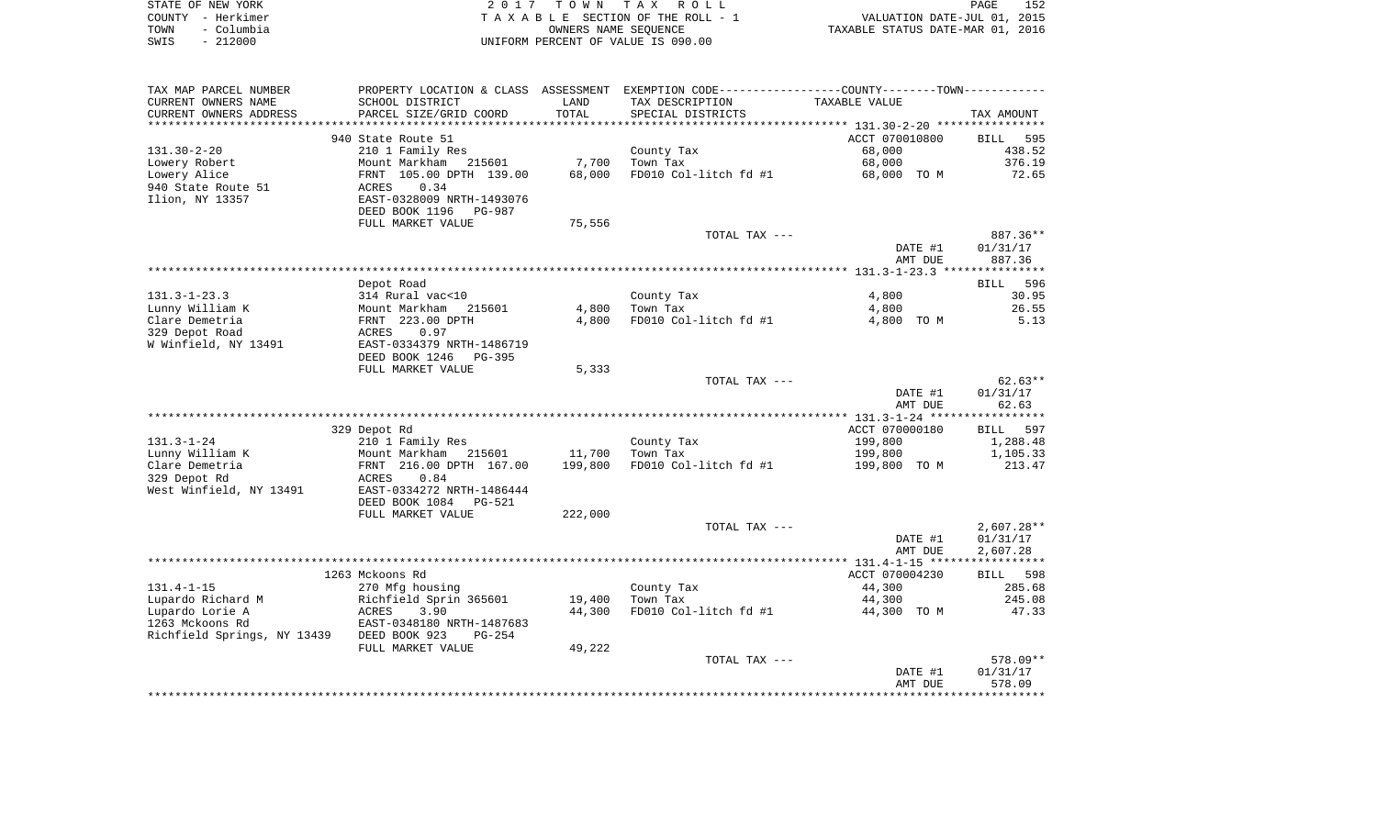| STATE OF NEW YORK  | 2017 TOWN TAX ROLL                 | 152<br>PAGE                      |
|--------------------|------------------------------------|----------------------------------|
| COUNTY - Herkimer  | TAXABLE SECTION OF THE ROLL - 1    | VALUATION DATE-JUL 01, 2015      |
| - Columbia<br>TOWN | OWNERS NAME SEOUENCE               | TAXABLE STATUS DATE-MAR 01, 2016 |
| $-212000$<br>SWIS  | UNIFORM PERCENT OF VALUE IS 090.00 |                                  |

| TAX MAP PARCEL NUMBER                     | PROPERTY LOCATION & CLASS ASSESSMENT |         | EXEMPTION CODE----------------COUNTY-------TOWN----------- |                |                    |
|-------------------------------------------|--------------------------------------|---------|------------------------------------------------------------|----------------|--------------------|
| CURRENT OWNERS NAME                       | SCHOOL DISTRICT                      | LAND    | TAX DESCRIPTION                                            | TAXABLE VALUE  |                    |
| CURRENT OWNERS ADDRESS                    | PARCEL SIZE/GRID COORD               | TOTAL   | SPECIAL DISTRICTS                                          |                | TAX AMOUNT         |
|                                           |                                      |         |                                                            |                |                    |
|                                           | 940 State Route 51                   |         |                                                            | ACCT 070010800 | <b>BILL</b><br>595 |
| $131.30 - 2 - 20$                         | 210 1 Family Res                     |         | County Tax                                                 | 68,000         | 438.52             |
| Lowery Robert                             | Mount Markham<br>215601              | 7,700   | Town Tax                                                   | 68,000         | 376.19             |
| Lowery Alice                              | FRNT 105.00 DPTH 139.00              | 68,000  | FD010 Col-litch fd #1                                      | 68,000 TO M    | 72.65              |
| 940 State Route 51                        | ACRES<br>0.34                        |         |                                                            |                |                    |
| Ilion, NY 13357                           | EAST-0328009 NRTH-1493076            |         |                                                            |                |                    |
|                                           | DEED BOOK 1196<br><b>PG-987</b>      |         |                                                            |                |                    |
|                                           | FULL MARKET VALUE                    | 75,556  |                                                            |                |                    |
|                                           |                                      |         | TOTAL TAX ---                                              |                | 887.36**           |
|                                           |                                      |         |                                                            | DATE #1        | 01/31/17           |
|                                           |                                      |         |                                                            | AMT DUE        | 887.36             |
|                                           |                                      |         |                                                            |                |                    |
|                                           | Depot Road                           |         |                                                            |                | BILL 596           |
| $131.3 - 1 - 23.3$                        | 314 Rural vac<10                     |         | County Tax                                                 | 4,800          | 30.95              |
| Lunny William K                           | Mount Markham 215601                 | 4,800   | Town Tax                                                   | 4,800          | 26.55              |
| Clare Demetria                            | FRNT 223.00 DPTH                     | 4,800   | FD010 Col-litch fd #1                                      | 4,800 TO M     | 5.13               |
| 329 Depot Road                            | 0.97<br>ACRES                        |         |                                                            |                |                    |
| W Winfield, NY 13491                      | EAST-0334379 NRTH-1486719            |         |                                                            |                |                    |
|                                           | DEED BOOK 1246<br>$PG-395$           |         |                                                            |                |                    |
|                                           | FULL MARKET VALUE                    | 5,333   |                                                            |                |                    |
|                                           |                                      |         | TOTAL TAX ---                                              |                | $62.63**$          |
|                                           |                                      |         |                                                            | DATE #1        | 01/31/17           |
|                                           |                                      |         |                                                            | AMT DUE        | 62.63              |
|                                           |                                      |         |                                                            |                |                    |
|                                           | 329 Depot Rd                         |         |                                                            | ACCT 070000180 | BILL 597           |
| $131.3 - 1 - 24$                          | 210 1 Family Res                     |         | County Tax                                                 | 199,800        | 1,288.48           |
| Lunny William K                           | Mount Markham 215601                 | 11,700  | Town Tax                                                   | 199,800        | 1,105.33           |
| Clare Demetria                            | FRNT 216.00 DPTH 167.00              | 199,800 | FD010 Col-litch fd #1                                      | 199,800 TO M   | 213.47             |
| 329 Depot Rd                              | 0.84<br>ACRES                        |         |                                                            |                |                    |
| West Winfield, NY 13491                   | EAST-0334272 NRTH-1486444            |         |                                                            |                |                    |
|                                           | DEED BOOK 1084<br>PG-521             |         |                                                            |                |                    |
|                                           | FULL MARKET VALUE                    | 222,000 |                                                            |                |                    |
|                                           |                                      |         | TOTAL TAX ---                                              |                | $2,607.28**$       |
|                                           |                                      |         |                                                            | DATE #1        | 01/31/17           |
|                                           |                                      |         |                                                            | AMT DUE        | 2,607.28           |
|                                           |                                      |         |                                                            |                |                    |
|                                           | 1263 Mckoons Rd                      |         |                                                            | ACCT 070004230 | BILL 598           |
| $131.4 - 1 - 15$                          | 270 Mfg housing                      |         | County Tax                                                 | 44,300         | 285.68             |
| Lupardo Richard M                         | Richfield Sprin 365601               | 19,400  | Town Tax                                                   | 44,300         | 245.08             |
| Lupardo Lorie A                           | ACRES<br>3.90                        | 44,300  | FD010 Col-litch fd #1                                      | 44,300 TO M    | 47.33              |
| 1263 Mckoons Rd                           | EAST-0348180 NRTH-1487683            |         |                                                            |                |                    |
| Richfield Springs, NY 13439 DEED BOOK 923 | $PG-254$                             |         |                                                            |                |                    |
|                                           | FULL MARKET VALUE                    | 49,222  |                                                            |                |                    |
|                                           |                                      |         | TOTAL TAX ---                                              |                | 578.09**           |
|                                           |                                      |         |                                                            | DATE #1        | 01/31/17           |
|                                           |                                      |         |                                                            | AMT DUE        | 578.09             |
|                                           |                                      |         |                                                            |                |                    |
|                                           |                                      |         |                                                            |                |                    |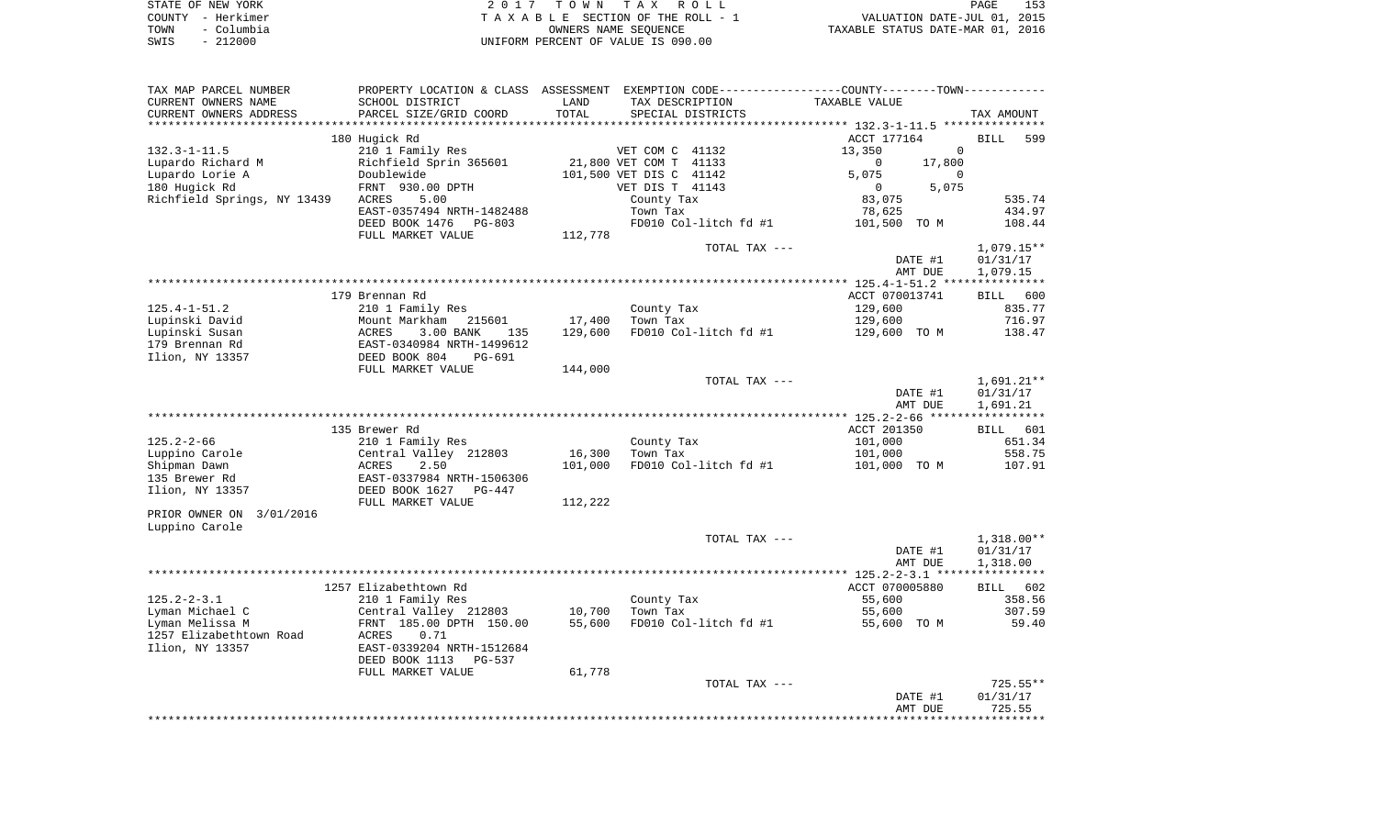|      | STATE OF NEW YORK | 2017 TOWN TAX ROLL                 |                                  | PAGE | 153 |
|------|-------------------|------------------------------------|----------------------------------|------|-----|
|      | COUNTY - Herkimer | TAXABLE SECTION OF THE ROLL - 1    | VALUATION DATE-JUL 01, 2015      |      |     |
| TOWN | - Columbia        | OWNERS NAME SEOUENCE               | TAXABLE STATUS DATE-MAR 01, 2016 |      |     |
| SWIS | - 212000          | UNIFORM PERCENT OF VALUE IS 090.00 |                                  |      |     |

| TAX MAP PARCEL NUMBER       |                                |         |                         | PROPERTY LOCATION & CLASS ASSESSMENT EXEMPTION CODE----------------COUNTY-------TOWN--------- |              |
|-----------------------------|--------------------------------|---------|-------------------------|-----------------------------------------------------------------------------------------------|--------------|
| CURRENT OWNERS NAME         | SCHOOL DISTRICT                | LAND    | TAX DESCRIPTION         | TAXABLE VALUE                                                                                 |              |
| CURRENT OWNERS ADDRESS      | PARCEL SIZE/GRID COORD         | TOTAL   | SPECIAL DISTRICTS       |                                                                                               | TAX AMOUNT   |
|                             |                                |         |                         | ***************** 132.3-1-11.5 ****************                                               |              |
|                             | 180 Hugick Rd                  |         |                         | ACCT 177164                                                                                   | BILL<br>599  |
| $132.3 - 1 - 11.5$          | 210 1 Family Res               |         | VET COM C 41132         | $\Omega$<br>13,350                                                                            |              |
|                             |                                |         |                         |                                                                                               |              |
| Lupardo Richard M           | Richfield Sprin 365601         |         | 21,800 VET COM T 41133  | $\overline{0}$<br>17,800                                                                      |              |
| Lupardo Lorie A             | Doublewide                     |         | 101,500 VET DIS C 41142 | 5,075<br>0                                                                                    |              |
| 180 Hugick Rd               | FRNT 930.00 DPTH               |         | VET DIS T 41143         | $\overline{0}$<br>5,075                                                                       |              |
| Richfield Springs, NY 13439 | 5.00<br>ACRES                  |         | County Tax              | 83,075                                                                                        | 535.74       |
|                             | EAST-0357494 NRTH-1482488      |         | Town Tax                | 78,625                                                                                        | 434.97       |
|                             | DEED BOOK 1476<br>PG-803       |         | FD010 Col-litch fd #1   | 101,500 TO M                                                                                  | 108.44       |
|                             | FULL MARKET VALUE              | 112,778 |                         |                                                                                               |              |
|                             |                                |         | TOTAL TAX ---           |                                                                                               | $1,079.15**$ |
|                             |                                |         |                         | DATE #1                                                                                       | 01/31/17     |
|                             |                                |         |                         |                                                                                               |              |
|                             |                                |         |                         | AMT DUE                                                                                       | 1,079.15     |
|                             |                                |         |                         |                                                                                               |              |
|                             | 179 Brennan Rd                 |         |                         | ACCT 070013741                                                                                | BILL 600     |
| $125.4 - 1 - 51.2$          | 210 1 Family Res               |         | County Tax              | 129,600                                                                                       | 835.77       |
| Lupinski David              | Mount Markham<br>215601        | 17,400  | Town Tax                | 129,600                                                                                       | 716.97       |
| Lupinski Susan              | ACRES<br>3.00 BANK<br>135      | 129,600 | FD010 Col-litch fd #1   | 129,600 TO M                                                                                  | 138.47       |
| 179 Brennan Rd              | EAST-0340984 NRTH-1499612      |         |                         |                                                                                               |              |
| Ilion, NY 13357             | DEED BOOK 804<br><b>PG-691</b> |         |                         |                                                                                               |              |
|                             | FULL MARKET VALUE              | 144,000 |                         |                                                                                               |              |
|                             |                                |         | TOTAL TAX ---           |                                                                                               | $1,691.21**$ |
|                             |                                |         |                         |                                                                                               |              |
|                             |                                |         |                         | DATE #1                                                                                       | 01/31/17     |
|                             |                                |         |                         | AMT DUE                                                                                       | 1,691.21     |
|                             |                                |         |                         |                                                                                               |              |
|                             | 135 Brewer Rd                  |         |                         | ACCT 201350                                                                                   | BILL 601     |
| $125.2 - 2 - 66$            | 210 1 Family Res               |         | County Tax              | 101,000                                                                                       | 651.34       |
| Luppino Carole              | Central Valley 212803          | 16,300  | Town Tax                | 101,000                                                                                       | 558.75       |
| Shipman Dawn                | 2.50<br>ACRES                  | 101,000 | FD010 Col-litch fd #1   | 101,000 TO M                                                                                  | 107.91       |
| 135 Brewer Rd               | EAST-0337984 NRTH-1506306      |         |                         |                                                                                               |              |
| Ilion, NY 13357             | DEED BOOK 1627<br>$PG-447$     |         |                         |                                                                                               |              |
|                             |                                |         |                         |                                                                                               |              |
|                             | FULL MARKET VALUE              | 112,222 |                         |                                                                                               |              |
| PRIOR OWNER ON 3/01/2016    |                                |         |                         |                                                                                               |              |
| Luppino Carole              |                                |         |                         |                                                                                               |              |
|                             |                                |         | TOTAL TAX ---           |                                                                                               | $1,318.00**$ |
|                             |                                |         |                         | DATE #1                                                                                       | 01/31/17     |
|                             |                                |         |                         | AMT DUE                                                                                       | 1,318.00     |
|                             |                                |         |                         |                                                                                               |              |
|                             | 1257 Elizabethtown Rd          |         |                         | ACCT 070005880                                                                                | BILL 602     |
| $125.2 - 2 - 3.1$           | 210 1 Family Res               |         | County Tax              | 55,600                                                                                        | 358.56       |
| Lyman Michael C             | Central Valley 212803          | 10,700  | Town Tax                | 55,600                                                                                        | 307.59       |
| Lyman Melissa M             | FRNT 185.00 DPTH 150.00        | 55,600  | FD010 Col-litch fd #1   | 55,600 TO M                                                                                   | 59.40        |
| 1257 Elizabethtown Road     | ACRES<br>0.71                  |         |                         |                                                                                               |              |
|                             |                                |         |                         |                                                                                               |              |
| Ilion, NY 13357             | EAST-0339204 NRTH-1512684      |         |                         |                                                                                               |              |
|                             | DEED BOOK 1113<br>PG-537       |         |                         |                                                                                               |              |
|                             | FULL MARKET VALUE              | 61,778  |                         |                                                                                               |              |
|                             |                                |         | TOTAL TAX ---           |                                                                                               | 725.55**     |
|                             |                                |         |                         | DATE #1                                                                                       | 01/31/17     |
|                             |                                |         |                         | AMT DUE                                                                                       | 725.55       |
|                             |                                |         |                         |                                                                                               |              |
|                             |                                |         |                         |                                                                                               |              |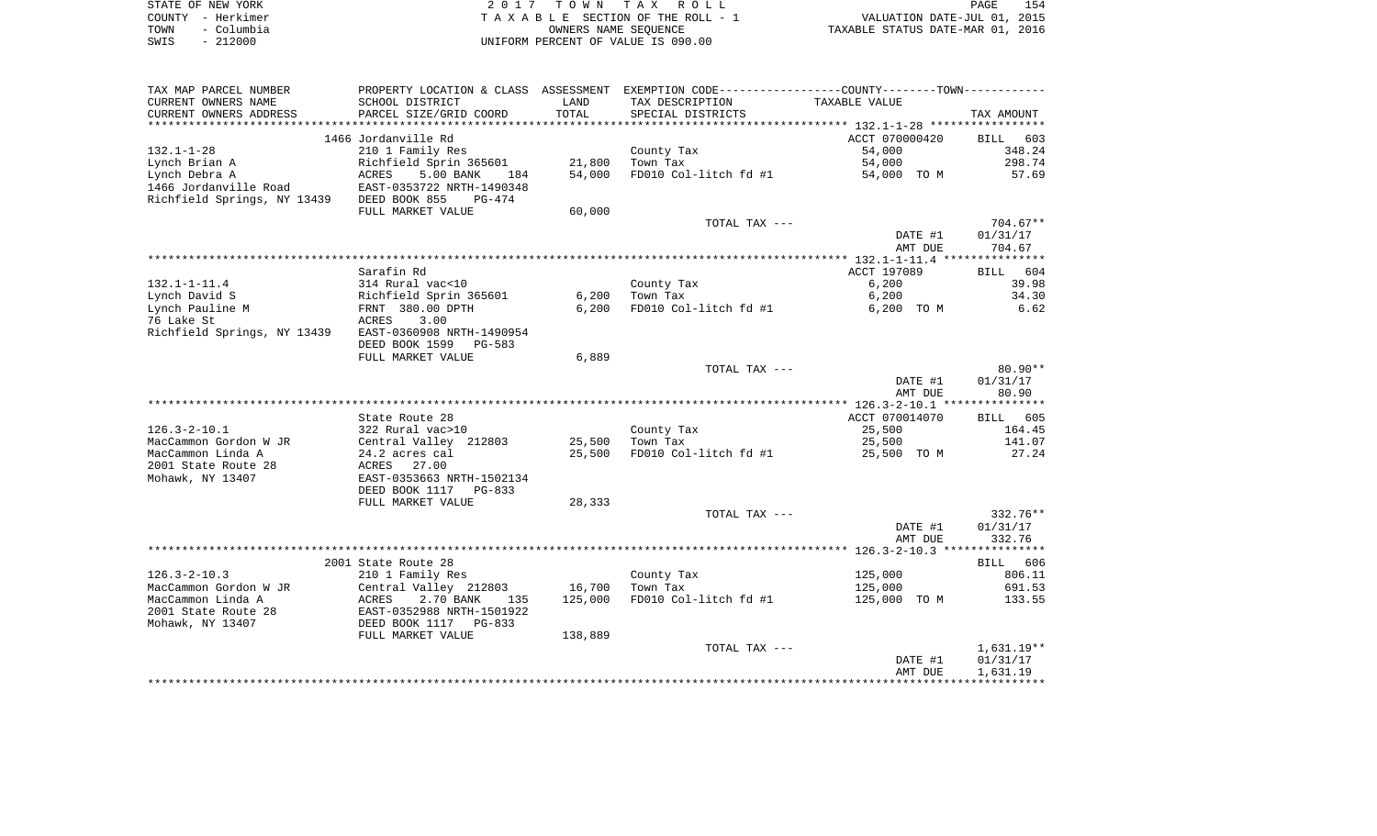| STATE OF NEW YORK  | 2017 TOWN TAX ROLL                                             | PAGE | 154 |
|--------------------|----------------------------------------------------------------|------|-----|
| COUNTY - Herkimer  | VALUATION DATE-JUL 01, 2015<br>TAXABLE SECTION OF THE ROLL - 1 |      |     |
| - Columbia<br>TOWN | TAXABLE STATUS DATE-MAR 01, 2016<br>OWNERS NAME SEOUENCE       |      |     |
| $-212000$<br>SWIS  | UNIFORM PERCENT OF VALUE IS 090.00                             |      |     |

| TAX MAP PARCEL NUMBER                                 | PROPERTY LOCATION & CLASS ASSESSMENT EXEMPTION CODE---------------COUNTY--------TOWN---------- |         |                       |                |            |
|-------------------------------------------------------|------------------------------------------------------------------------------------------------|---------|-----------------------|----------------|------------|
| CURRENT OWNERS NAME                                   | SCHOOL DISTRICT                                                                                | LAND    | TAX DESCRIPTION       | TAXABLE VALUE  |            |
| CURRENT OWNERS ADDRESS                                | PARCEL SIZE/GRID COORD                                                                         | TOTAL   | SPECIAL DISTRICTS     |                | TAX AMOUNT |
|                                                       |                                                                                                |         |                       |                |            |
|                                                       | 1466 Jordanville Rd                                                                            |         |                       | ACCT 070000420 | BILL 603   |
| $132.1 - 1 - 28$                                      | 210 1 Family Res                                                                               |         | County Tax            | 54,000         | 348.24     |
| Lynch Brian A                                         | Richfield Sprin 365601                                                                         | 21,800  | Town Tax              | 54,000         | 298.74     |
| Lynch Debra A                                         | ACRES<br>5.00 BANK<br>184                                                                      | 54,000  | FD010 Col-litch fd #1 | 54,000 TO M    | 57.69      |
| 1466 Jordanville Road                                 | EAST-0353722 NRTH-1490348                                                                      |         |                       |                |            |
| Richfield Springs, NY 13439 DEED BOOK 855             | PG-474                                                                                         |         |                       |                |            |
|                                                       | FULL MARKET VALUE                                                                              | 60,000  |                       |                |            |
|                                                       |                                                                                                |         | TOTAL TAX ---         |                | $704.67**$ |
|                                                       |                                                                                                |         |                       | DATE #1        | 01/31/17   |
|                                                       |                                                                                                |         |                       | AMT DUE        | 704.67     |
|                                                       |                                                                                                |         |                       |                |            |
|                                                       | Sarafin Rd                                                                                     |         |                       | ACCT 197089    | BILL 604   |
| $132.1 - 1 - 11.4$                                    | 314 Rural vac<10                                                                               |         | County Tax            | 6,200          | 39.98      |
| Lynch David S                                         | Richfield Sprin 365601                                                                         | 6,200   | Town Tax              | 6,200          | 34.30      |
| Lynch Pauline M                                       | FRNT 380.00 DPTH                                                                               | 6,200   | FD010 Col-litch fd #1 | 6,200 TO M     | 6.62       |
| 76 Lake St                                            | 3.00<br>ACRES                                                                                  |         |                       |                |            |
| Richfield Springs, NY 13439 EAST-0360908 NRTH-1490954 |                                                                                                |         |                       |                |            |
|                                                       | DEED BOOK 1599<br>PG-583                                                                       |         |                       |                |            |
|                                                       | FULL MARKET VALUE                                                                              | 6,889   |                       |                |            |
|                                                       |                                                                                                |         | TOTAL TAX ---         |                | 80.90**    |
|                                                       |                                                                                                |         |                       | DATE #1        | 01/31/17   |
|                                                       |                                                                                                |         |                       | AMT DUE        | 80.90      |
|                                                       |                                                                                                |         |                       |                |            |
|                                                       | State Route 28                                                                                 |         |                       | ACCT 070014070 | BILL 605   |
| $126.3 - 2 - 10.1$                                    | 322 Rural vac>10                                                                               |         | County Tax            | 25,500         | 164.45     |
| MacCammon Gordon W JR                                 | Central Valley 212803                                                                          | 25,500  | Town Tax              | 25,500         | 141.07     |
| MacCammon Linda A                                     | 24.2 acres cal                                                                                 | 25,500  | FD010 Col-litch fd #1 | 25,500 TO M    | 27.24      |
| 2001 State Route 28<br>Mohawk, NY 13407               | ACRES 27.00<br>EAST-0353663 NRTH-1502134                                                       |         |                       |                |            |
|                                                       | DEED BOOK 1117 PG-833                                                                          |         |                       |                |            |
|                                                       | FULL MARKET VALUE                                                                              | 28,333  |                       |                |            |
|                                                       |                                                                                                |         | TOTAL TAX ---         |                | $332.76**$ |
|                                                       |                                                                                                |         |                       | DATE #1        | 01/31/17   |
|                                                       |                                                                                                |         |                       | AMT DUE        | 332.76     |
|                                                       |                                                                                                |         |                       |                |            |
|                                                       | 2001 State Route 28                                                                            |         |                       |                | BILL 606   |
| $126.3 - 2 - 10.3$                                    | 210 1 Family Res                                                                               |         | County Tax            | 125,000        | 806.11     |
| MacCammon Gordon W JR                                 | Central Valley 212803                                                                          | 16,700  | Town Tax              | 125,000        | 691.53     |
| MacCammon Linda A                                     | ACRES<br>2.70 BANK<br>135                                                                      | 125,000 | FD010 Col-litch fd #1 | 125,000 TO M   | 133.55     |
| 2001 State Route 28                                   | EAST-0352988 NRTH-1501922                                                                      |         |                       |                |            |
| Mohawk, NY 13407                                      | DEED BOOK 1117 PG-833                                                                          |         |                       |                |            |
|                                                       | FULL MARKET VALUE                                                                              | 138,889 |                       |                |            |
|                                                       |                                                                                                |         | TOTAL TAX ---         |                | 1,631.19** |
|                                                       |                                                                                                |         |                       | DATE #1        | 01/31/17   |
|                                                       |                                                                                                |         |                       | AMT DUE        | 1,631.19   |
|                                                       |                                                                                                |         |                       |                |            |
|                                                       |                                                                                                |         |                       |                |            |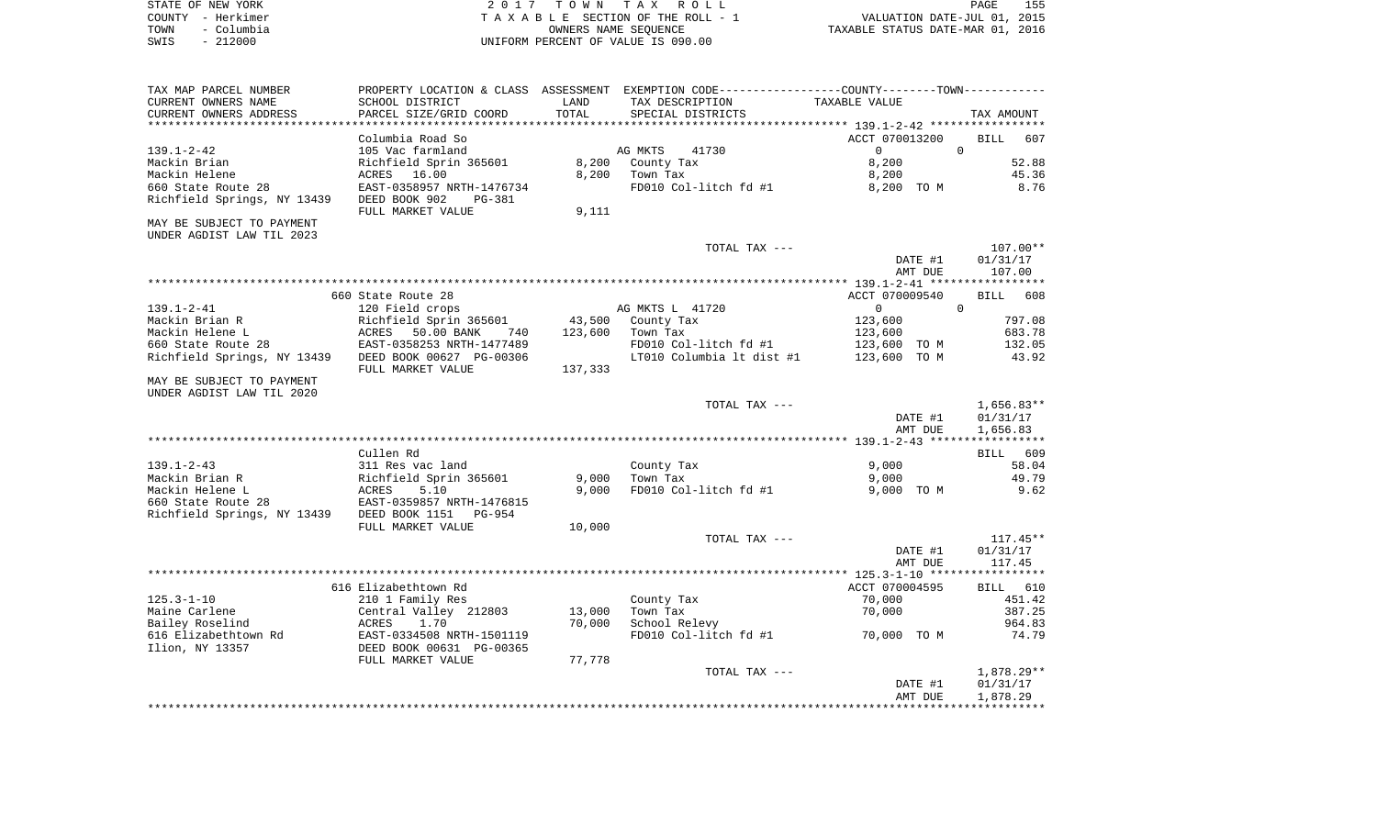|      | STATE OF NEW YORK | 2017 TOWN TAX ROLL                 | 155<br>PAGE                      |
|------|-------------------|------------------------------------|----------------------------------|
|      | COUNTY - Herkimer | TAXABLE SECTION OF THE ROLL - 1    | VALUATION DATE-JUL 01, 2015      |
| TOWN | - Columbia        | OWNERS NAME SEOUENCE               | TAXABLE STATUS DATE-MAR 01, 2016 |
| SWIS | $-212000$         | UNIFORM PERCENT OF VALUE IS 090.00 |                                  |

| TAX MAP PARCEL NUMBER                                              | PROPERTY LOCATION & CLASS ASSESSMENT                                   |               | EXEMPTION CODE----------------COUNTY-------TOWN----------- |                                                 |                             |
|--------------------------------------------------------------------|------------------------------------------------------------------------|---------------|------------------------------------------------------------|-------------------------------------------------|-----------------------------|
| CURRENT OWNERS NAME<br>CURRENT OWNERS ADDRESS                      | SCHOOL DISTRICT                                                        | LAND<br>TOTAL | TAX DESCRIPTION                                            | TAXABLE VALUE                                   |                             |
|                                                                    | PARCEL SIZE/GRID COORD                                                 |               | SPECIAL DISTRICTS                                          | **************************** 139.1-2-42 ******  | TAX AMOUNT                  |
| $139.1 - 2 - 42$<br>Mackin Brian                                   | Columbia Road So<br>105 Vac farmland<br>Richfield Sprin 365601         | 8,200         | 41730<br>AG MKTS<br>County Tax                             | ACCT 070013200<br>$\Omega$<br>$\Omega$<br>8,200 | <b>BILL</b><br>607<br>52.88 |
| Mackin Helene<br>660 State Route 28<br>Richfield Springs, NY 13439 | 16.00<br>ACRES<br>EAST-0358957 NRTH-1476734<br>DEED BOOK 902<br>PG-381 | 8,200         | Town Tax<br>FD010 Col-litch fd #1                          | 8,200<br>8,200 TO M                             | 45.36<br>8.76               |
|                                                                    | FULL MARKET VALUE                                                      | 9,111         |                                                            |                                                 |                             |
| MAY BE SUBJECT TO PAYMENT                                          |                                                                        |               |                                                            |                                                 |                             |
| UNDER AGDIST LAW TIL 2023                                          |                                                                        |               | TOTAL TAX ---                                              |                                                 | $107.00**$                  |
|                                                                    |                                                                        |               |                                                            | DATE #1                                         | 01/31/17                    |
|                                                                    |                                                                        |               |                                                            | AMT DUE                                         | 107.00                      |
|                                                                    |                                                                        |               |                                                            |                                                 |                             |
|                                                                    | 660 State Route 28                                                     |               |                                                            | ACCT 070009540                                  | <b>BILL</b><br>608          |
| $139.1 - 2 - 41$                                                   | 120 Field crops                                                        |               | AG MKTS L 41720                                            | $\mathbf{0}$<br>$\Omega$                        |                             |
| Mackin Brian R                                                     | Richfield Sprin 365601                                                 | 43,500        | County Tax                                                 | 123,600                                         | 797.08                      |
| Mackin Helene L                                                    | 50.00 BANK<br>ACRES<br>740                                             | 123,600       | Town Tax                                                   | 123,600                                         | 683.78                      |
| 660 State Route 28                                                 | EAST-0358253 NRTH-1477489                                              |               | FD010 Col-litch fd #1                                      | 123,600 TO M                                    | 132.05                      |
| Richfield Springs, NY 13439                                        | DEED BOOK 00627 PG-00306<br>FULL MARKET VALUE                          | 137,333       | LT010 Columbia 1t dist #1                                  | 123,600 TO M                                    | 43.92                       |
| MAY BE SUBJECT TO PAYMENT<br>UNDER AGDIST LAW TIL 2020             |                                                                        |               |                                                            |                                                 |                             |
|                                                                    |                                                                        |               | TOTAL TAX ---                                              |                                                 | $1,656.83**$                |
|                                                                    |                                                                        |               |                                                            | DATE #1<br>AMT DUE                              | 01/31/17<br>1,656.83        |
|                                                                    |                                                                        |               |                                                            |                                                 |                             |
|                                                                    | Cullen Rd                                                              |               |                                                            |                                                 | 609<br>BILL                 |
| $139.1 - 2 - 43$                                                   | 311 Res vac land                                                       |               | County Tax                                                 | 9.000                                           | 58.04                       |
| Mackin Brian R                                                     | Richfield Sprin 365601                                                 | 9,000         | Town Tax                                                   | 9,000                                           | 49.79                       |
| Mackin Helene L                                                    | ACRES<br>5.10                                                          | 9,000         | FD010 Col-litch fd #1                                      | 9,000 TO M                                      | 9.62                        |
| 660 State Route 28<br>Richfield Springs, NY 13439                  | EAST-0359857 NRTH-1476815<br>DEED BOOK 1151<br>PG-954                  |               |                                                            |                                                 |                             |
|                                                                    | FULL MARKET VALUE                                                      | 10,000        |                                                            |                                                 |                             |
|                                                                    |                                                                        |               | TOTAL TAX ---                                              | DATE #1                                         | $117.45**$<br>01/31/17      |
|                                                                    |                                                                        |               |                                                            | AMT DUE                                         | 117.45                      |
|                                                                    |                                                                        |               |                                                            |                                                 | * * * * * * * * * * * *     |
|                                                                    | 616 Elizabethtown Rd                                                   |               |                                                            | ACCT 070004595                                  | 610<br>BILL                 |
| $125.3 - 1 - 10$                                                   | 210 1 Family Res                                                       |               | County Tax                                                 | 70,000                                          | 451.42                      |
| Maine Carlene                                                      | Central Valley 212803                                                  | 13,000        | Town Tax                                                   | 70,000                                          | 387.25                      |
| Bailey Roselind                                                    | ACRES<br>1.70                                                          | 70,000        | School Relevy                                              |                                                 | 964.83                      |
| 616 Elizabethtown Rd<br>Ilion, NY 13357                            | EAST-0334508 NRTH-1501119<br>DEED BOOK 00631 PG-00365                  |               | FD010 Col-litch fd #1                                      | 70,000 TO M                                     | 74.79                       |
|                                                                    | FULL MARKET VALUE                                                      | 77,778        |                                                            |                                                 |                             |
|                                                                    |                                                                        |               | TOTAL TAX ---                                              |                                                 | 1,878.29**                  |
|                                                                    |                                                                        |               |                                                            | DATE #1                                         | 01/31/17                    |
|                                                                    |                                                                        |               |                                                            | AMT DUE                                         | 1,878.29                    |
|                                                                    |                                                                        |               |                                                            |                                                 |                             |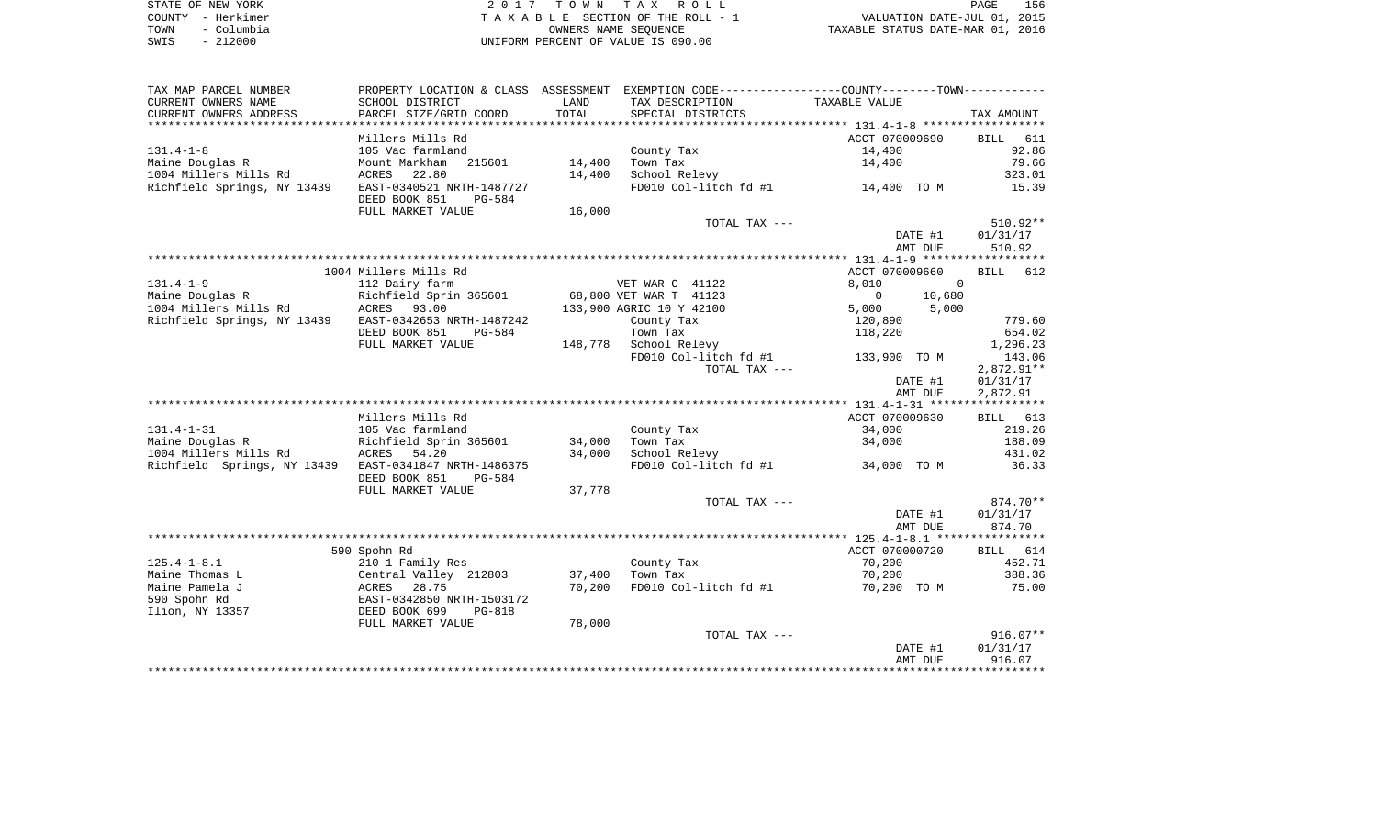| STATE OF NEW YORK  | 2017 TOWN TAX ROLL                 | 156<br>PAGE                      |
|--------------------|------------------------------------|----------------------------------|
| COUNTY - Herkimer  | TAXABLE SECTION OF THE ROLL - 1    | VALUATION DATE-JUL 01, 2015      |
| – Columbia<br>TOWN | OWNERS NAME SEOUENCE               | TAXABLE STATUS DATE-MAR 01, 2016 |
| $-212000$<br>SWIS  | UNIFORM PERCENT OF VALUE IS 090.00 |                                  |

| TAX MAP PARCEL NUMBER                                 |                                                        |        |                          | PROPERTY LOCATION & CLASS ASSESSMENT EXEMPTION CODE---------------COUNTY-------TOWN---------- |              |
|-------------------------------------------------------|--------------------------------------------------------|--------|--------------------------|-----------------------------------------------------------------------------------------------|--------------|
| CURRENT OWNERS NAME                                   | SCHOOL DISTRICT                                        | LAND   | TAX DESCRIPTION          | TAXABLE VALUE                                                                                 |              |
| CURRENT OWNERS ADDRESS                                | PARCEL SIZE/GRID COORD                                 | TOTAL  | SPECIAL DISTRICTS        |                                                                                               | TAX AMOUNT   |
|                                                       |                                                        |        |                          |                                                                                               |              |
|                                                       | Millers Mills Rd                                       |        |                          | ACCT 070009690                                                                                | BILL<br>611  |
| $131.4 - 1 - 8$                                       | 105 Vac farmland                                       |        | County Tax               | 14,400                                                                                        | 92.86        |
| Maine Douglas R                                       | Mount Markham 215601                                   | 14,400 | Town Tax                 | 14,400                                                                                        | 79.66        |
| 1004 Millers Mills Rd                                 | 22.80<br>ACRES                                         | 14,400 | School Relevy            |                                                                                               | 323.01       |
| Richfield Springs, NY 13439                           | EAST-0340521 NRTH-1487727<br>DEED BOOK 851<br>$PG-584$ |        |                          | FD010 Col-litch $fd$ #1 $14,400$ TO M                                                         | 15.39        |
|                                                       | FULL MARKET VALUE                                      | 16,000 |                          |                                                                                               |              |
|                                                       |                                                        |        | TOTAL TAX ---            |                                                                                               | $510.92**$   |
|                                                       |                                                        |        |                          | DATE #1                                                                                       | 01/31/17     |
|                                                       |                                                        |        |                          | AMT DUE                                                                                       | 510.92       |
|                                                       |                                                        |        |                          |                                                                                               |              |
|                                                       | 1004 Millers Mills Rd                                  |        |                          | ACCT 070009660                                                                                | BILL 612     |
| $131.4 - 1 - 9$                                       | 112 Dairy farm                                         |        | VET WAR C 41122          | 8,010                                                                                         | $\Omega$     |
| Maine Douglas R                                       | Richfield Sprin 365601                                 |        | 68,800 VET WAR T 41123   | $\overline{0}$<br>10,680                                                                      |              |
| 1004 Millers Mills Rd                                 | ACRES 93.00                                            |        | 133,900 AGRIC 10 Y 42100 | 5,000<br>5,000                                                                                |              |
| Richfield Springs, NY 13439                           | EAST-0342653 NRTH-1487242                              |        | County Tax               | 120,890                                                                                       | 779.60       |
|                                                       | DEED BOOK 851<br>PG-584                                |        | Town Tax                 | 118,220                                                                                       | 654.02       |
|                                                       | FULL MARKET VALUE                                      |        | 148,778 School Relevy    |                                                                                               | 1,296.23     |
|                                                       |                                                        |        | FD010 Col-litch fd #1    | 133,900 TO M                                                                                  | 143.06       |
|                                                       |                                                        |        | TOTAL TAX ---            |                                                                                               | $2,872.91**$ |
|                                                       |                                                        |        |                          | DATE #1                                                                                       | 01/31/17     |
|                                                       |                                                        |        |                          | AMT DUE                                                                                       | 2,872.91     |
|                                                       |                                                        |        |                          |                                                                                               |              |
|                                                       | Millers Mills Rd                                       |        |                          | ACCT 070009630                                                                                | BILL 613     |
| $131.4 - 1 - 31$                                      | 105 Vac farmland                                       |        | County Tax               | 34,000                                                                                        | 219.26       |
| Maine Douglas R                                       | Richfield Sprin 365601                                 | 34,000 | Town Tax                 | 34,000                                                                                        | 188.09       |
| 1004 Millers Mills Rd                                 | ACRES 54.20                                            | 34,000 | School Relevy            |                                                                                               | 431.02       |
| Richfield Springs, NY 13439 EAST-0341847 NRTH-1486375 | DEED BOOK 851<br>PG-584                                |        | FD010 Col-litch fd #1    | 34,000 TO M                                                                                   | 36.33        |
|                                                       | FULL MARKET VALUE                                      | 37,778 |                          |                                                                                               |              |
|                                                       |                                                        |        | TOTAL TAX ---            |                                                                                               | 874.70**     |
|                                                       |                                                        |        |                          | DATE #1                                                                                       | 01/31/17     |
|                                                       |                                                        |        |                          | AMT DUE                                                                                       | 874.70       |
|                                                       |                                                        |        |                          |                                                                                               |              |
|                                                       | 590 Spohn Rd                                           |        |                          | ACCT 070000720                                                                                | BILL 614     |
| $125.4 - 1 - 8.1$                                     | 210 1 Family Res                                       |        | County Tax               | 70,200                                                                                        | 452.71       |
| Maine Thomas L                                        | Central Valley 212803                                  | 37,400 | Town Tax                 | 70,200                                                                                        | 388.36       |
| Maine Pamela J                                        | 28.75<br>ACRES                                         | 70,200 | FD010 Col-litch fd #1    | 70,200 TO M                                                                                   | 75.00        |
| 590 Spohn Rd                                          | EAST-0342850 NRTH-1503172                              |        |                          |                                                                                               |              |
| Ilion, NY 13357                                       | DEED BOOK 699<br><b>PG-818</b>                         |        |                          |                                                                                               |              |
|                                                       | FULL MARKET VALUE                                      | 78,000 |                          |                                                                                               |              |
|                                                       |                                                        |        | TOTAL TAX ---            |                                                                                               | $916.07**$   |
|                                                       |                                                        |        |                          | DATE #1                                                                                       | 01/31/17     |
|                                                       |                                                        |        |                          | AMT DUE                                                                                       | 916.07       |
|                                                       |                                                        |        |                          |                                                                                               |              |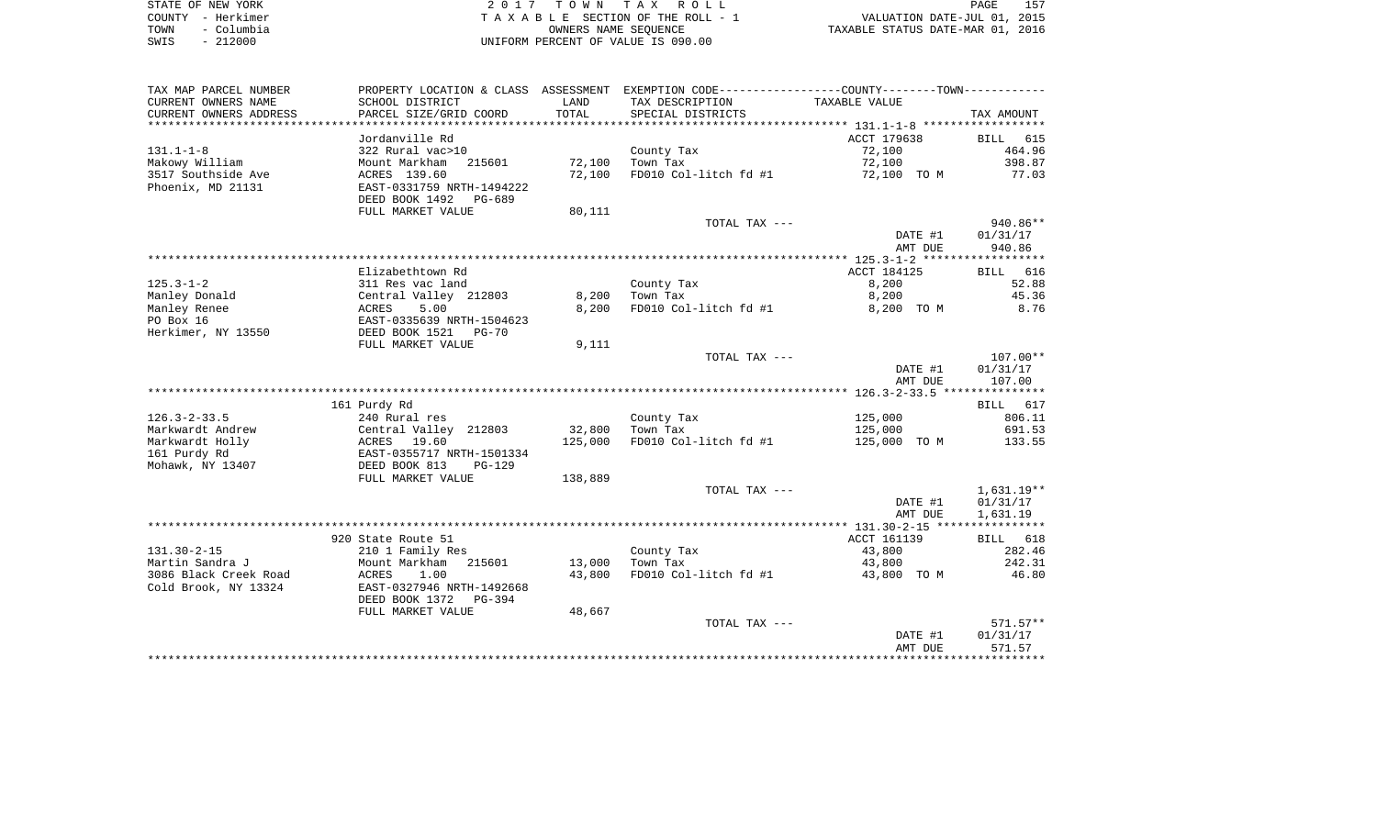| STATE OF NEW YORK  | 2017 TOWN TAX ROLL                 | 157<br>PAGE                      |
|--------------------|------------------------------------|----------------------------------|
| COUNTY - Herkimer  | TAXABLE SECTION OF THE ROLL - 1    | VALUATION DATE-JUL 01, 2015      |
| – Columbia<br>TOWN | OWNERS NAME SEOUENCE               | TAXABLE STATUS DATE-MAR 01, 2016 |
| $-212000$<br>SWIS  | UNIFORM PERCENT OF VALUE IS 090.00 |                                  |

| CURRENT OWNERS NAME<br>SCHOOL DISTRICT<br>TAX DESCRIPTION<br>TAXABLE VALUE<br>LAND<br>CURRENT OWNERS ADDRESS<br>TOTAL<br>PARCEL SIZE/GRID COORD<br>SPECIAL DISTRICTS<br>Jordanville Rd<br>ACCT 179638<br>BILL<br>$131.1 - 1 - 8$<br>322 Rural vac>10<br>72,100<br>County Tax<br>72,100<br>72,100<br>Makowy William<br>Mount Markham<br>215601<br>Town Tax<br>3517 Southside Ave<br>ACRES 139.60<br>72,100<br>FD010 Col-litch fd #1<br>72,100 TO M<br>Phoenix, MD 21131<br>EAST-0331759 NRTH-1494222<br>DEED BOOK 1492<br>PG-689<br>FULL MARKET VALUE<br>80,111<br>$940.86**$<br>TOTAL TAX ---<br>DATE #1<br>01/31/17<br>AMT DUE<br>ACCT 184125<br>Elizabethtown Rd<br>BILL<br>$125.3 - 1 - 2$<br>8,200<br>311 Res vac land<br>County Tax<br>Manley Donald<br>Central Valley 212803<br>8,200<br>Town Tax<br>8,200<br>Manley Renee<br>ACRES<br>5.00<br>8,200<br>FD010 Col-litch fd #1<br>8,200 TO M<br>PO Box 16<br>EAST-0335639 NRTH-1504623<br>Herkimer, NY 13550<br>DEED BOOK 1521<br>PG-70<br>FULL MARKET VALUE<br>9,111<br>TOTAL TAX ---<br>$107.00**$<br>DATE #1<br>01/31/17<br>107.00<br>AMT DUE<br>161 Purdy Rd<br>$126.3 - 2 - 33.5$<br>125,000<br>240 Rural res<br>County Tax | TAX MAP PARCEL NUMBER | PROPERTY LOCATION & CLASS ASSESSMENT EXEMPTION CODE---------------COUNTY-------TOWN---------- |        |          |         |                          |
|---------------------------------------------------------------------------------------------------------------------------------------------------------------------------------------------------------------------------------------------------------------------------------------------------------------------------------------------------------------------------------------------------------------------------------------------------------------------------------------------------------------------------------------------------------------------------------------------------------------------------------------------------------------------------------------------------------------------------------------------------------------------------------------------------------------------------------------------------------------------------------------------------------------------------------------------------------------------------------------------------------------------------------------------------------------------------------------------------------------------------------------------------------------------------------------|-----------------------|-----------------------------------------------------------------------------------------------|--------|----------|---------|--------------------------|
|                                                                                                                                                                                                                                                                                                                                                                                                                                                                                                                                                                                                                                                                                                                                                                                                                                                                                                                                                                                                                                                                                                                                                                                       |                       |                                                                                               |        |          |         |                          |
|                                                                                                                                                                                                                                                                                                                                                                                                                                                                                                                                                                                                                                                                                                                                                                                                                                                                                                                                                                                                                                                                                                                                                                                       |                       |                                                                                               |        |          |         | TAX AMOUNT               |
|                                                                                                                                                                                                                                                                                                                                                                                                                                                                                                                                                                                                                                                                                                                                                                                                                                                                                                                                                                                                                                                                                                                                                                                       |                       |                                                                                               |        |          |         | 615                      |
|                                                                                                                                                                                                                                                                                                                                                                                                                                                                                                                                                                                                                                                                                                                                                                                                                                                                                                                                                                                                                                                                                                                                                                                       |                       |                                                                                               |        |          |         | 464.96                   |
|                                                                                                                                                                                                                                                                                                                                                                                                                                                                                                                                                                                                                                                                                                                                                                                                                                                                                                                                                                                                                                                                                                                                                                                       |                       |                                                                                               |        |          |         | 398.87                   |
|                                                                                                                                                                                                                                                                                                                                                                                                                                                                                                                                                                                                                                                                                                                                                                                                                                                                                                                                                                                                                                                                                                                                                                                       |                       |                                                                                               |        |          |         | 77.03                    |
|                                                                                                                                                                                                                                                                                                                                                                                                                                                                                                                                                                                                                                                                                                                                                                                                                                                                                                                                                                                                                                                                                                                                                                                       |                       |                                                                                               |        |          |         |                          |
|                                                                                                                                                                                                                                                                                                                                                                                                                                                                                                                                                                                                                                                                                                                                                                                                                                                                                                                                                                                                                                                                                                                                                                                       |                       |                                                                                               |        |          |         |                          |
|                                                                                                                                                                                                                                                                                                                                                                                                                                                                                                                                                                                                                                                                                                                                                                                                                                                                                                                                                                                                                                                                                                                                                                                       |                       |                                                                                               |        |          |         |                          |
|                                                                                                                                                                                                                                                                                                                                                                                                                                                                                                                                                                                                                                                                                                                                                                                                                                                                                                                                                                                                                                                                                                                                                                                       |                       |                                                                                               |        |          |         |                          |
|                                                                                                                                                                                                                                                                                                                                                                                                                                                                                                                                                                                                                                                                                                                                                                                                                                                                                                                                                                                                                                                                                                                                                                                       |                       |                                                                                               |        |          |         | 940.86                   |
|                                                                                                                                                                                                                                                                                                                                                                                                                                                                                                                                                                                                                                                                                                                                                                                                                                                                                                                                                                                                                                                                                                                                                                                       |                       |                                                                                               |        |          |         |                          |
|                                                                                                                                                                                                                                                                                                                                                                                                                                                                                                                                                                                                                                                                                                                                                                                                                                                                                                                                                                                                                                                                                                                                                                                       |                       |                                                                                               |        |          |         | 616                      |
|                                                                                                                                                                                                                                                                                                                                                                                                                                                                                                                                                                                                                                                                                                                                                                                                                                                                                                                                                                                                                                                                                                                                                                                       |                       |                                                                                               |        |          |         | 52.88                    |
|                                                                                                                                                                                                                                                                                                                                                                                                                                                                                                                                                                                                                                                                                                                                                                                                                                                                                                                                                                                                                                                                                                                                                                                       |                       |                                                                                               |        |          |         | 45.36                    |
|                                                                                                                                                                                                                                                                                                                                                                                                                                                                                                                                                                                                                                                                                                                                                                                                                                                                                                                                                                                                                                                                                                                                                                                       |                       |                                                                                               |        |          |         | 8.76                     |
|                                                                                                                                                                                                                                                                                                                                                                                                                                                                                                                                                                                                                                                                                                                                                                                                                                                                                                                                                                                                                                                                                                                                                                                       |                       |                                                                                               |        |          |         |                          |
|                                                                                                                                                                                                                                                                                                                                                                                                                                                                                                                                                                                                                                                                                                                                                                                                                                                                                                                                                                                                                                                                                                                                                                                       |                       |                                                                                               |        |          |         |                          |
|                                                                                                                                                                                                                                                                                                                                                                                                                                                                                                                                                                                                                                                                                                                                                                                                                                                                                                                                                                                                                                                                                                                                                                                       |                       |                                                                                               |        |          |         |                          |
|                                                                                                                                                                                                                                                                                                                                                                                                                                                                                                                                                                                                                                                                                                                                                                                                                                                                                                                                                                                                                                                                                                                                                                                       |                       |                                                                                               |        |          |         |                          |
|                                                                                                                                                                                                                                                                                                                                                                                                                                                                                                                                                                                                                                                                                                                                                                                                                                                                                                                                                                                                                                                                                                                                                                                       |                       |                                                                                               |        |          |         |                          |
|                                                                                                                                                                                                                                                                                                                                                                                                                                                                                                                                                                                                                                                                                                                                                                                                                                                                                                                                                                                                                                                                                                                                                                                       |                       |                                                                                               |        |          |         |                          |
|                                                                                                                                                                                                                                                                                                                                                                                                                                                                                                                                                                                                                                                                                                                                                                                                                                                                                                                                                                                                                                                                                                                                                                                       |                       |                                                                                               |        |          |         | BILL 617                 |
|                                                                                                                                                                                                                                                                                                                                                                                                                                                                                                                                                                                                                                                                                                                                                                                                                                                                                                                                                                                                                                                                                                                                                                                       |                       |                                                                                               |        |          |         | 806.11                   |
|                                                                                                                                                                                                                                                                                                                                                                                                                                                                                                                                                                                                                                                                                                                                                                                                                                                                                                                                                                                                                                                                                                                                                                                       | Markwardt Andrew      | Central Valley 212803                                                                         | 32,800 | Town Tax | 125,000 | 691.53                   |
| Markwardt Holly<br>125,000<br>FD010 Col-litch fd #1<br>125,000 TO M<br>ACRES 19.60                                                                                                                                                                                                                                                                                                                                                                                                                                                                                                                                                                                                                                                                                                                                                                                                                                                                                                                                                                                                                                                                                                    |                       |                                                                                               |        |          |         | 133.55                   |
| 161 Purdy Rd<br>EAST-0355717 NRTH-1501334                                                                                                                                                                                                                                                                                                                                                                                                                                                                                                                                                                                                                                                                                                                                                                                                                                                                                                                                                                                                                                                                                                                                             |                       |                                                                                               |        |          |         |                          |
| Mohawk, NY 13407<br>DEED BOOK 813<br>$PG-129$                                                                                                                                                                                                                                                                                                                                                                                                                                                                                                                                                                                                                                                                                                                                                                                                                                                                                                                                                                                                                                                                                                                                         |                       |                                                                                               |        |          |         |                          |
| FULL MARKET VALUE<br>138,889                                                                                                                                                                                                                                                                                                                                                                                                                                                                                                                                                                                                                                                                                                                                                                                                                                                                                                                                                                                                                                                                                                                                                          |                       |                                                                                               |        |          |         |                          |
| TOTAL TAX ---                                                                                                                                                                                                                                                                                                                                                                                                                                                                                                                                                                                                                                                                                                                                                                                                                                                                                                                                                                                                                                                                                                                                                                         |                       |                                                                                               |        |          |         | $1,631.19**$<br>01/31/17 |
| DATE #1<br>AMT DUE                                                                                                                                                                                                                                                                                                                                                                                                                                                                                                                                                                                                                                                                                                                                                                                                                                                                                                                                                                                                                                                                                                                                                                    |                       |                                                                                               |        |          |         | 1,631.19                 |
|                                                                                                                                                                                                                                                                                                                                                                                                                                                                                                                                                                                                                                                                                                                                                                                                                                                                                                                                                                                                                                                                                                                                                                                       |                       |                                                                                               |        |          |         |                          |
| 920 State Route 51<br>ACCT 161139                                                                                                                                                                                                                                                                                                                                                                                                                                                                                                                                                                                                                                                                                                                                                                                                                                                                                                                                                                                                                                                                                                                                                     |                       |                                                                                               |        |          |         | BILL 618                 |
| $131.30 - 2 - 15$<br>210 1 Family Res<br>County Tax<br>43,800                                                                                                                                                                                                                                                                                                                                                                                                                                                                                                                                                                                                                                                                                                                                                                                                                                                                                                                                                                                                                                                                                                                         |                       |                                                                                               |        |          |         | 282.46                   |
| Martin Sandra J<br>Mount Markham<br>215601<br>13,000<br>Town Tax<br>43,800                                                                                                                                                                                                                                                                                                                                                                                                                                                                                                                                                                                                                                                                                                                                                                                                                                                                                                                                                                                                                                                                                                            |                       |                                                                                               |        |          |         | 242.31                   |
| 43,800<br>FD010 Col-litch fd #1<br>3086 Black Creek Road<br>ACRES<br>1.00<br>43,800 TO M                                                                                                                                                                                                                                                                                                                                                                                                                                                                                                                                                                                                                                                                                                                                                                                                                                                                                                                                                                                                                                                                                              |                       |                                                                                               |        |          |         | 46.80                    |
| Cold Brook, NY 13324<br>EAST-0327946 NRTH-1492668                                                                                                                                                                                                                                                                                                                                                                                                                                                                                                                                                                                                                                                                                                                                                                                                                                                                                                                                                                                                                                                                                                                                     |                       |                                                                                               |        |          |         |                          |
| DEED BOOK 1372<br>PG-394                                                                                                                                                                                                                                                                                                                                                                                                                                                                                                                                                                                                                                                                                                                                                                                                                                                                                                                                                                                                                                                                                                                                                              |                       |                                                                                               |        |          |         |                          |
| FULL MARKET VALUE<br>48,667                                                                                                                                                                                                                                                                                                                                                                                                                                                                                                                                                                                                                                                                                                                                                                                                                                                                                                                                                                                                                                                                                                                                                           |                       |                                                                                               |        |          |         |                          |
| TOTAL TAX ---                                                                                                                                                                                                                                                                                                                                                                                                                                                                                                                                                                                                                                                                                                                                                                                                                                                                                                                                                                                                                                                                                                                                                                         |                       |                                                                                               |        |          |         | $571.57**$               |
| DATE #1<br>AMT DUE                                                                                                                                                                                                                                                                                                                                                                                                                                                                                                                                                                                                                                                                                                                                                                                                                                                                                                                                                                                                                                                                                                                                                                    |                       |                                                                                               |        |          |         | 01/31/17<br>571.57       |
|                                                                                                                                                                                                                                                                                                                                                                                                                                                                                                                                                                                                                                                                                                                                                                                                                                                                                                                                                                                                                                                                                                                                                                                       |                       |                                                                                               |        |          |         |                          |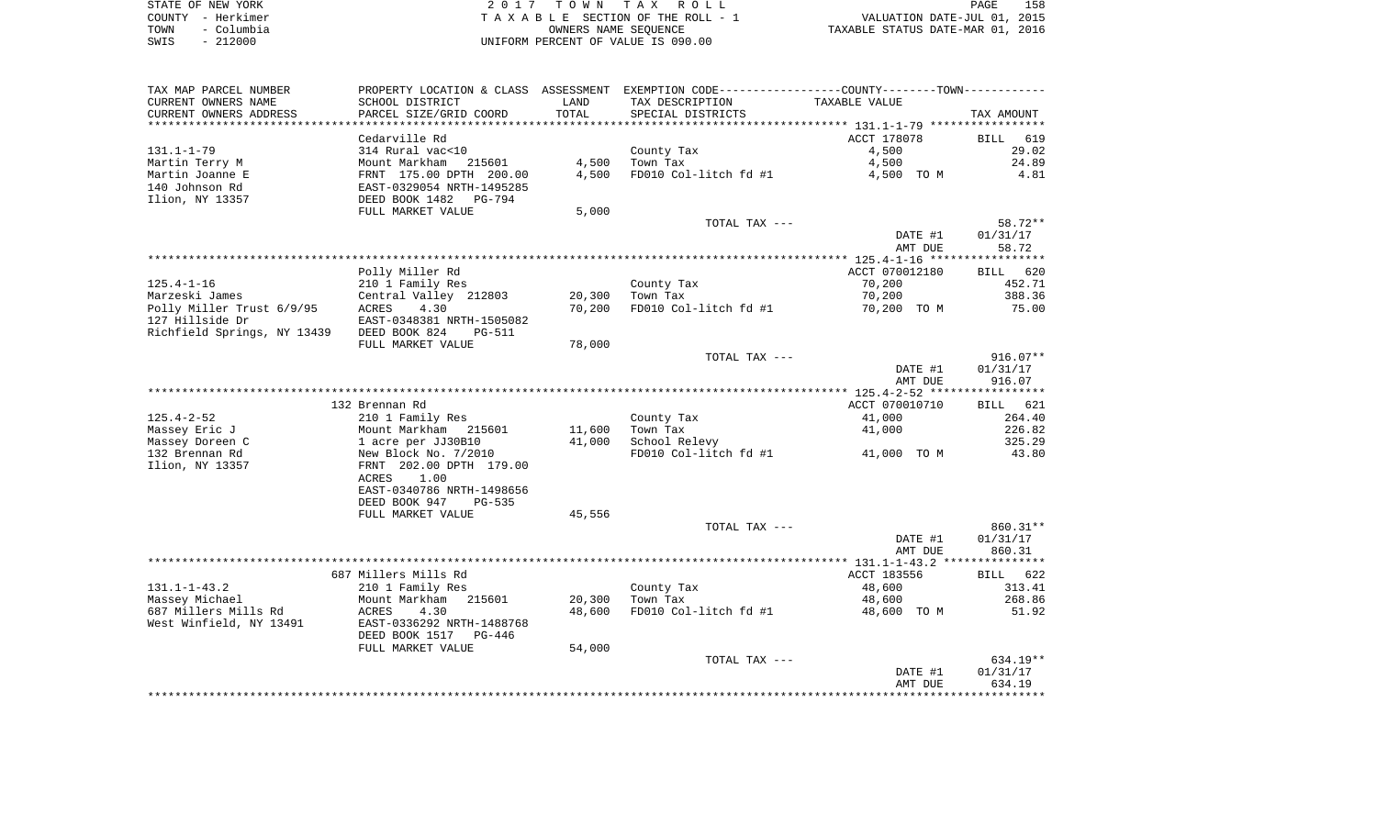| STATE OF NEW YORK  | 2017 TOWN TAX ROLL                 | 158<br>PAGE                      |
|--------------------|------------------------------------|----------------------------------|
| COUNTY - Herkimer  | TAXABLE SECTION OF THE ROLL - 1    | VALUATION DATE-JUL 01, 2015      |
| - Columbia<br>TOWN | OWNERS NAME SEOUENCE               | TAXABLE STATUS DATE-MAR 01, 2016 |
| $-212000$<br>SWIS  | UNIFORM PERCENT OF VALUE IS 090.00 |                                  |

| TAX MAP PARCEL NUMBER<br>CURRENT OWNERS NAME | SCHOOL DISTRICT                 | LAND   | PROPERTY LOCATION & CLASS ASSESSMENT EXEMPTION CODE----------------COUNTY-------TOWN----------<br>TAX DESCRIPTION | TAXABLE VALUE                                           |                    |
|----------------------------------------------|---------------------------------|--------|-------------------------------------------------------------------------------------------------------------------|---------------------------------------------------------|--------------------|
| CURRENT OWNERS ADDRESS                       | PARCEL SIZE/GRID COORD          | TOTAL  | SPECIAL DISTRICTS                                                                                                 |                                                         | TAX AMOUNT         |
|                                              | Cedarville Rd                   |        |                                                                                                                   | ACCT 178078                                             | <b>BILL</b><br>619 |
| $131.1 - 1 - 79$                             | 314 Rural vac<10                |        | County Tax                                                                                                        | 4,500                                                   | 29.02              |
| Martin Terry M                               | Mount Markham<br>215601         | 4,500  | Town Tax                                                                                                          | 4,500                                                   | 24.89              |
| Martin Joanne E                              | FRNT 175.00 DPTH 200.00         | 4,500  | FD010 Col-litch fd #1                                                                                             | 4,500 TO M                                              | 4.81               |
| 140 Johnson Rd                               | EAST-0329054 NRTH-1495285       |        |                                                                                                                   |                                                         |                    |
| Ilion, NY 13357                              | DEED BOOK 1482<br><b>PG-794</b> |        |                                                                                                                   |                                                         |                    |
|                                              | FULL MARKET VALUE               | 5,000  |                                                                                                                   |                                                         |                    |
|                                              |                                 |        | TOTAL TAX ---                                                                                                     |                                                         | 58.72**            |
|                                              |                                 |        |                                                                                                                   | DATE #1                                                 | 01/31/17           |
|                                              |                                 |        |                                                                                                                   | AMT DUE                                                 | 58.72              |
|                                              |                                 |        |                                                                                                                   |                                                         |                    |
|                                              | Polly Miller Rd                 |        |                                                                                                                   | ACCT 070012180                                          | <b>BILL</b><br>620 |
| $125.4 - 1 - 16$                             | 210 1 Family Res                |        | County Tax                                                                                                        | 70,200                                                  | 452.71             |
| Marzeski James                               | Central Valley 212803           | 20,300 | Town Tax                                                                                                          | 70,200                                                  | 388.36             |
| Polly Miller Trust 6/9/95                    | ACRES<br>4.30                   | 70,200 | FD010 Col-litch fd #1                                                                                             | 70,200 TO M                                             | 75.00              |
| 127 Hillside Dr                              | EAST-0348381 NRTH-1505082       |        |                                                                                                                   |                                                         |                    |
| Richfield Springs, NY 13439                  | DEED BOOK 824<br><b>PG-511</b>  |        |                                                                                                                   |                                                         |                    |
|                                              | FULL MARKET VALUE               | 78,000 | TOTAL TAX ---                                                                                                     |                                                         | $916.07**$         |
|                                              |                                 |        |                                                                                                                   | DATE #1                                                 | 01/31/17           |
|                                              |                                 |        |                                                                                                                   | AMT DUE                                                 | 916.07             |
|                                              |                                 |        |                                                                                                                   |                                                         |                    |
|                                              | 132 Brennan Rd                  |        |                                                                                                                   | ACCT 070010710                                          | 621<br>BILL        |
| $125.4 - 2 - 52$                             | 210 1 Family Res                |        | County Tax                                                                                                        | 41,000                                                  | 264.40             |
| Massey Eric J                                | Mount Markham 215601            | 11,600 | Town Tax                                                                                                          | 41,000                                                  | 226.82             |
| Massey Doreen C                              | 1 acre per JJ30B10              | 41,000 | School Relevy                                                                                                     |                                                         | 325.29             |
| 132 Brennan Rd                               | New Block No. 7/2010            |        | FD010 Col-litch fd #1                                                                                             | 41,000 TO M                                             | 43.80              |
| Ilion, NY 13357                              | FRNT 202.00 DPTH 179.00         |        |                                                                                                                   |                                                         |                    |
|                                              | ACRES<br>1.00                   |        |                                                                                                                   |                                                         |                    |
|                                              | EAST-0340786 NRTH-1498656       |        |                                                                                                                   |                                                         |                    |
|                                              | DEED BOOK 947<br>$PG-535$       |        |                                                                                                                   |                                                         |                    |
|                                              | FULL MARKET VALUE               | 45,556 |                                                                                                                   |                                                         |                    |
|                                              |                                 |        | TOTAL TAX ---                                                                                                     |                                                         | 860.31**           |
|                                              |                                 |        |                                                                                                                   | DATE #1                                                 | 01/31/17           |
|                                              |                                 |        |                                                                                                                   | AMT DUE<br>************** 131.1-1-43.2 **************** | 860.31             |
|                                              | 687 Millers Mills Rd            |        |                                                                                                                   | ACCT 183556                                             | BILL 622           |
| $131.1 - 1 - 43.2$                           | 210 1 Family Res                |        | County Tax                                                                                                        | 48,600                                                  | 313.41             |
| Massey Michael                               | Mount Markham<br>215601         | 20,300 | Town Tax                                                                                                          | 48,600                                                  | 268.86             |
| 687 Millers Mills Rd                         | ACRES<br>4.30                   | 48,600 | FD010 Col-litch fd #1                                                                                             | 48,600 TO M                                             | 51.92              |
| West Winfield, NY 13491                      | EAST-0336292 NRTH-1488768       |        |                                                                                                                   |                                                         |                    |
|                                              | DEED BOOK 1517<br>PG-446        |        |                                                                                                                   |                                                         |                    |
|                                              | FULL MARKET VALUE               | 54,000 |                                                                                                                   |                                                         |                    |
|                                              |                                 |        | TOTAL TAX ---                                                                                                     |                                                         | $634.19**$         |
|                                              |                                 |        |                                                                                                                   | DATE #1                                                 | 01/31/17           |
|                                              |                                 |        |                                                                                                                   | AMT DUE                                                 | 634.19             |
|                                              |                                 |        |                                                                                                                   |                                                         |                    |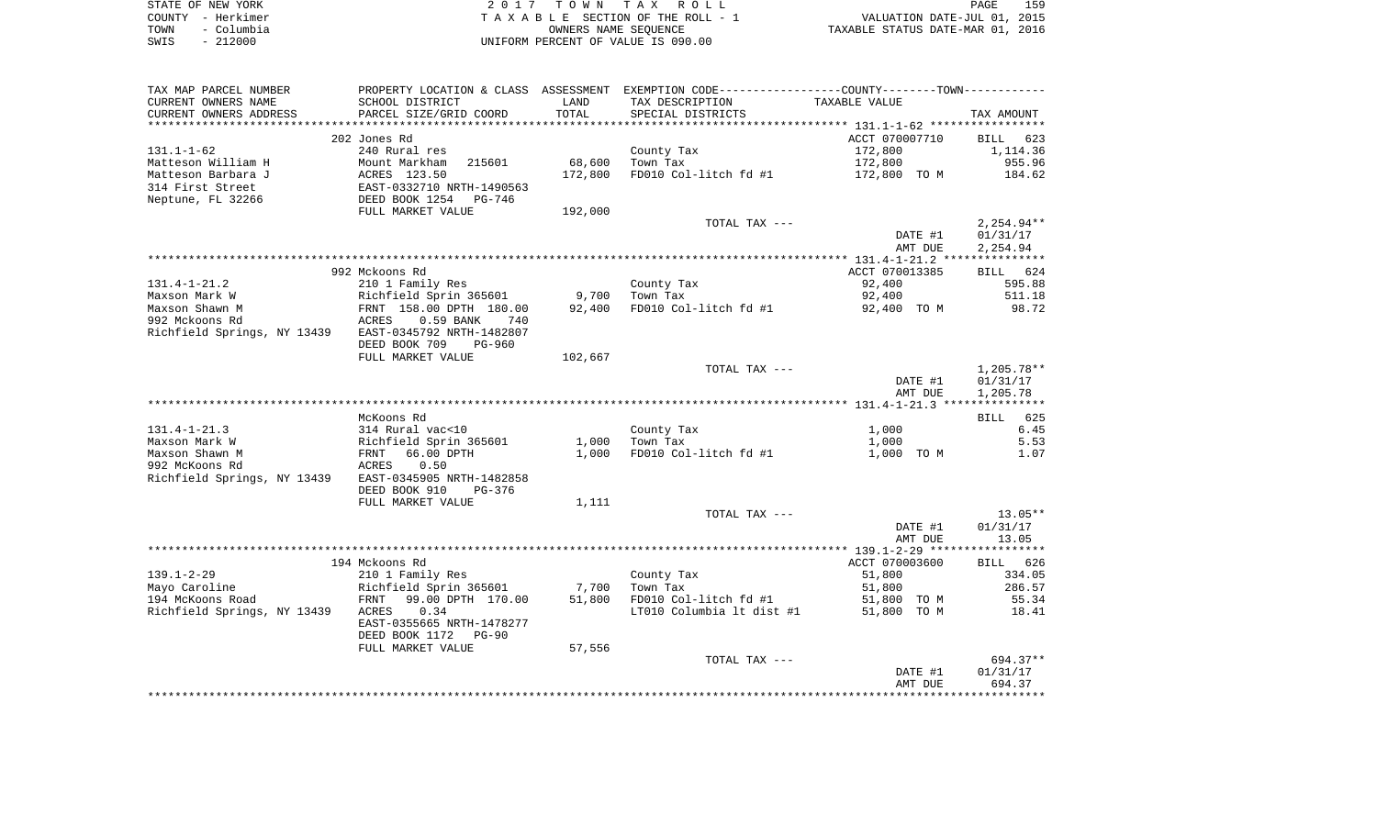| STATE OF NEW YORK  | 2017 TOWN TAX ROLL                 | 159<br>PAGE                      |
|--------------------|------------------------------------|----------------------------------|
| COUNTY - Herkimer  | TAXABLE SECTION OF THE ROLL - 1    | VALUATION DATE-JUL 01, 2015      |
| - Columbia<br>TOWN | OWNERS NAME SEOUENCE               | TAXABLE STATUS DATE-MAR 01, 2016 |
| $-212000$<br>SWIS  | UNIFORM PERCENT OF VALUE IS 090.00 |                                  |

159<br>2015

| TAX MAP PARCEL NUMBER                                 |                                                    |         | PROPERTY LOCATION & CLASS ASSESSMENT EXEMPTION CODE----------------COUNTY--------TOWN---------- |                    |                    |
|-------------------------------------------------------|----------------------------------------------------|---------|-------------------------------------------------------------------------------------------------|--------------------|--------------------|
| CURRENT OWNERS NAME                                   | SCHOOL DISTRICT                                    | LAND    | TAX DESCRIPTION                                                                                 | TAXABLE VALUE      |                    |
| CURRENT OWNERS ADDRESS                                | PARCEL SIZE/GRID COORD                             | TOTAL   | SPECIAL DISTRICTS                                                                               |                    | TAX AMOUNT         |
|                                                       |                                                    |         |                                                                                                 |                    |                    |
|                                                       | 202 Jones Rd                                       |         |                                                                                                 | ACCT 070007710     | BILL 623           |
| $131.1 - 1 - 62$                                      | 240 Rural res                                      |         | County Tax                                                                                      | 172,800            | 1,114.36           |
| Matteson William H                                    | Mount Markham<br>215601                            | 68,600  | Town Tax                                                                                        | 172,800            | 955.96             |
| Matteson Barbara J                                    | ACRES 123.50                                       | 172,800 | FD010 Col-litch fd #1                                                                           | 172,800 TO M       | 184.62             |
| 314 First Street                                      | EAST-0332710 NRTH-1490563<br>DEED BOOK 1254 PG-746 |         |                                                                                                 |                    |                    |
| Neptune, FL 32266                                     |                                                    |         |                                                                                                 |                    |                    |
|                                                       | FULL MARKET VALUE                                  | 192,000 |                                                                                                 |                    |                    |
|                                                       |                                                    |         | TOTAL TAX ---                                                                                   |                    | $2,254.94**$       |
|                                                       |                                                    |         |                                                                                                 | DATE #1            | 01/31/17           |
|                                                       |                                                    |         |                                                                                                 | AMT DUE            | 2,254.94           |
|                                                       |                                                    |         |                                                                                                 |                    |                    |
|                                                       | 992 Mckoons Rd                                     |         |                                                                                                 | ACCT 070013385     | BILL 624           |
| $131.4 - 1 - 21.2$                                    | 210 1 Family Res                                   |         | County Tax                                                                                      | 92,400             | 595.88             |
| Maxson Mark W                                         | Richfield Sprin 365601                             | 9,700   | Town Tax                                                                                        | 92,400             | 511.18             |
| Maxson Shawn M                                        | FRNT 158.00 DPTH 180.00                            | 92,400  | FD010 Col-litch fd #1                                                                           | 92,400 TO M        | 98.72              |
| 992 Mckoons Rd                                        | ACRES<br>$0.59$ BANK<br>740                        |         |                                                                                                 |                    |                    |
| Richfield Springs, NY 13439 EAST-0345792 NRTH-1482807 |                                                    |         |                                                                                                 |                    |                    |
|                                                       | DEED BOOK 709<br><b>PG-960</b>                     |         |                                                                                                 |                    |                    |
|                                                       | FULL MARKET VALUE                                  | 102,667 |                                                                                                 |                    |                    |
|                                                       |                                                    |         | TOTAL TAX ---                                                                                   |                    | $1,205.78**$       |
|                                                       |                                                    |         |                                                                                                 | DATE #1            | 01/31/17           |
|                                                       |                                                    |         |                                                                                                 | AMT DUE            | 1,205.78           |
|                                                       |                                                    |         |                                                                                                 |                    |                    |
|                                                       | McKoons Rd                                         |         |                                                                                                 |                    | BILL 625           |
| $131.4 - 1 - 21.3$                                    | 314 Rural vac<10                                   |         | County Tax                                                                                      | 1,000              | 6.45               |
| Maxson Mark W                                         | Richfield Sprin 365601                             | 1,000   | Town Tax                                                                                        | 1,000              | 5.53               |
| Maxson Shawn M                                        | 66.00 DPTH<br>FRNT                                 | 1,000   | FD010 Col-litch fd #1                                                                           | 1,000 TO M         | 1.07               |
| 992 McKoons Rd                                        | ACRES<br>0.50                                      |         |                                                                                                 |                    |                    |
| Richfield Springs, NY 13439 EAST-0345905 NRTH-1482858 |                                                    |         |                                                                                                 |                    |                    |
|                                                       | DEED BOOK 910<br>PG-376<br>FULL MARKET VALUE       | 1,111   |                                                                                                 |                    |                    |
|                                                       |                                                    |         | TOTAL TAX ---                                                                                   |                    | $13.05**$          |
|                                                       |                                                    |         |                                                                                                 | DATE #1            | 01/31/17           |
|                                                       |                                                    |         |                                                                                                 | AMT DUE            | 13.05              |
|                                                       |                                                    |         |                                                                                                 |                    |                    |
|                                                       | 194 Mckoons Rd                                     |         |                                                                                                 | ACCT 070003600     | BILL 626           |
| $139.1 - 2 - 29$                                      | 210 1 Family Res                                   |         | County Tax                                                                                      | 51,800             | 334.05             |
| Mayo Caroline                                         | Richfield Sprin 365601                             | 7,700   | Town Tax                                                                                        | 51,800             | 286.57             |
| 194 McKoons Road                                      | FRNT 99.00 DPTH 170.00                             | 51,800  | FD010 Col-litch fd #1                                                                           | 51,800 TO M        | 55.34              |
| Richfield Springs, NY 13439                           | 0.34<br>ACRES                                      |         | LT010 Columbia lt dist #1                                                                       | 51,800 TO M        | 18.41              |
|                                                       | EAST-0355665 NRTH-1478277                          |         |                                                                                                 |                    |                    |
|                                                       | DEED BOOK 1172<br><b>PG-90</b>                     |         |                                                                                                 |                    |                    |
|                                                       | FULL MARKET VALUE                                  | 57,556  |                                                                                                 |                    |                    |
|                                                       |                                                    |         | TOTAL TAX ---                                                                                   |                    | $694.37**$         |
|                                                       |                                                    |         |                                                                                                 |                    |                    |
|                                                       |                                                    |         |                                                                                                 |                    |                    |
|                                                       |                                                    |         |                                                                                                 | DATE #1<br>AMT DUE | 01/31/17<br>694.37 |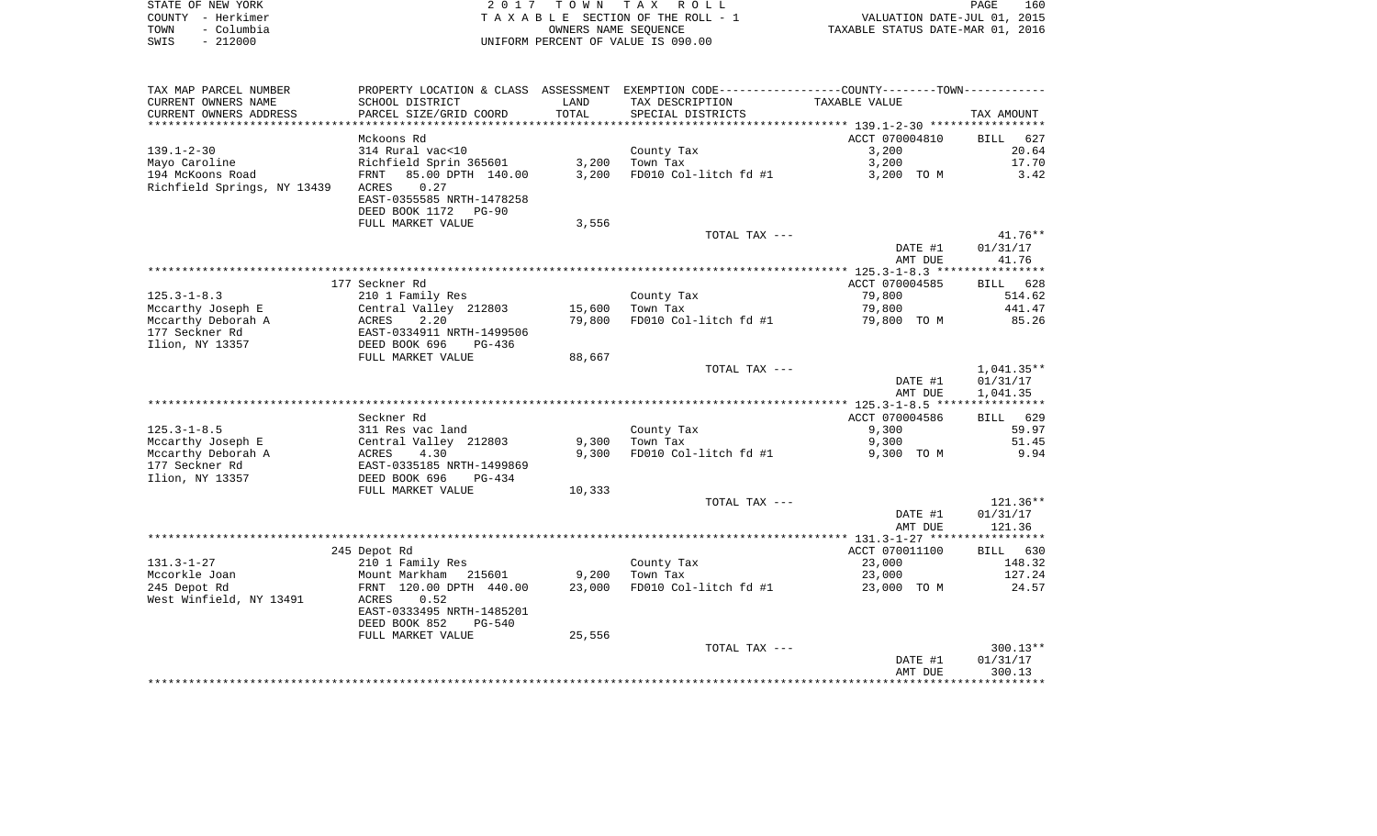| STATE OF NEW YORK |                   | 2017 TOWN TAX ROLL                 | 160<br>PAGE                      |
|-------------------|-------------------|------------------------------------|----------------------------------|
|                   | COUNTY - Herkimer | TAXABLE SECTION OF THE ROLL - 1    | VALUATION DATE-JUL 01, 2015      |
| TOWN              | - Columbia        | OWNERS NAME SEOUENCE               | TAXABLE STATUS DATE-MAR 01, 2016 |
| SWIS              | - 212000          | UNIFORM PERCENT OF VALUE IS 090.00 |                                  |

| TAX MAP PARCEL NUMBER       |                                                                  |        | PROPERTY LOCATION & CLASS ASSESSMENT EXEMPTION CODE----------------COUNTY--------TOWN----------- |                |                    |
|-----------------------------|------------------------------------------------------------------|--------|--------------------------------------------------------------------------------------------------|----------------|--------------------|
| CURRENT OWNERS NAME         | SCHOOL DISTRICT                                                  | LAND   | TAX DESCRIPTION                                                                                  | TAXABLE VALUE  |                    |
| CURRENT OWNERS ADDRESS      | PARCEL SIZE/GRID COORD                                           | TOTAL  | SPECIAL DISTRICTS                                                                                |                | TAX AMOUNT         |
|                             |                                                                  |        |                                                                                                  |                |                    |
|                             | Mckoons Rd                                                       |        |                                                                                                  | ACCT 070004810 | 627<br><b>BILL</b> |
| $139.1 - 2 - 30$            | 314 Rural vac<10                                                 |        | County Tax                                                                                       | 3,200          | 20.64              |
| Mayo Caroline               | Richfield Sprin 365601                                           | 3,200  | Town Tax                                                                                         | 3,200          | 17.70              |
| 194 McKoons Road            | 85.00 DPTH 140.00<br>FRNT                                        | 3,200  | FD010 Col-litch fd #1                                                                            | 3,200 TO M     | 3.42               |
| Richfield Springs, NY 13439 | 0.27<br>ACRES                                                    |        |                                                                                                  |                |                    |
|                             | EAST-0355585 NRTH-1478258                                        |        |                                                                                                  |                |                    |
|                             | DEED BOOK 1172<br>PG-90                                          |        |                                                                                                  |                |                    |
|                             | FULL MARKET VALUE                                                | 3,556  |                                                                                                  |                |                    |
|                             |                                                                  |        | TOTAL TAX ---                                                                                    |                | $41.76***$         |
|                             |                                                                  |        |                                                                                                  | DATE #1        | 01/31/17           |
|                             |                                                                  |        |                                                                                                  | AMT DUE        | 41.76              |
|                             |                                                                  |        |                                                                                                  |                |                    |
|                             | 177 Seckner Rd                                                   |        |                                                                                                  | ACCT 070004585 | BILL 628           |
| $125.3 - 1 - 8.3$           | 210 1 Family Res                                                 |        | County Tax                                                                                       | 79,800         | 514.62             |
| Mccarthy Joseph E           | Central Valley 212803                                            | 15,600 | Town Tax                                                                                         | 79,800         | 441.47             |
| Mccarthy Deborah A          | ACRES 2.20<br>EAST-0334911 NRTH-1499506                          | 79,800 | FD010 Col-litch fd #1                                                                            | 79,800 TO M    | 85.26              |
| 177 Seckner Rd              |                                                                  |        |                                                                                                  |                |                    |
| Ilion, NY 13357             | DEED BOOK 696<br>$PG-436$                                        | 88,667 |                                                                                                  |                |                    |
|                             | FULL MARKET VALUE                                                |        | TOTAL TAX ---                                                                                    |                | $1,041.35**$       |
|                             |                                                                  |        |                                                                                                  | DATE #1        | 01/31/17           |
|                             |                                                                  |        |                                                                                                  | AMT DUE        | 1,041.35           |
|                             |                                                                  |        |                                                                                                  |                |                    |
|                             | Seckner Rd                                                       |        |                                                                                                  | ACCT 070004586 | BILL 629           |
| $125.3 - 1 - 8.5$           | 311 Res vac land                                                 |        | County Tax                                                                                       | 9,300          | 59.97              |
| Mccarthy Joseph E           |                                                                  | 9,300  | Town Tax                                                                                         | 9,300          | 51.45              |
| Mccarthy Deborah A          | Central Valley 212803<br>ACRES 4.30<br>EAST-0335185 NRTH-1499869 | 9,300  | FD010 Col-litch fd #1                                                                            | 9,300 TO M     | 9.94               |
| 177 Seckner Rd              |                                                                  |        |                                                                                                  |                |                    |
| Ilion, NY 13357             | DEED BOOK 696<br>PG-434                                          |        |                                                                                                  |                |                    |
|                             | FULL MARKET VALUE                                                | 10,333 |                                                                                                  |                |                    |
|                             |                                                                  |        | TOTAL TAX ---                                                                                    |                | $121.36**$         |
|                             |                                                                  |        |                                                                                                  | DATE #1        | 01/31/17           |
|                             |                                                                  |        |                                                                                                  | AMT DUE        | 121.36             |
|                             |                                                                  |        |                                                                                                  |                |                    |
|                             | 245 Depot Rd                                                     |        |                                                                                                  | ACCT 070011100 | BILL 630           |
| $131.3 - 1 - 27$            | 210 1 Family Res                                                 |        | County Tax                                                                                       | 23,000         | 148.32             |
| Mccorkle Joan               | Mount Markham 215601                                             | 9,200  | Town Tax                                                                                         | 23,000         | 127.24             |
| 245 Depot Rd                | FRNT 120.00 DPTH 440.00                                          | 23,000 | FD010 Col-litch fd #1                                                                            | 23,000 TO M    | 24.57              |
| West Winfield, NY 13491     | ACRES<br>0.52                                                    |        |                                                                                                  |                |                    |
|                             | EAST-0333495 NRTH-1485201                                        |        |                                                                                                  |                |                    |
|                             | DEED BOOK 852<br>PG-540                                          |        |                                                                                                  |                |                    |
|                             | FULL MARKET VALUE                                                | 25,556 |                                                                                                  |                |                    |
|                             |                                                                  |        | TOTAL TAX ---                                                                                    |                | $300.13**$         |
|                             |                                                                  |        |                                                                                                  | DATE #1        | 01/31/17           |
|                             |                                                                  |        |                                                                                                  | AMT DUE        | 300.13             |
|                             |                                                                  |        |                                                                                                  |                |                    |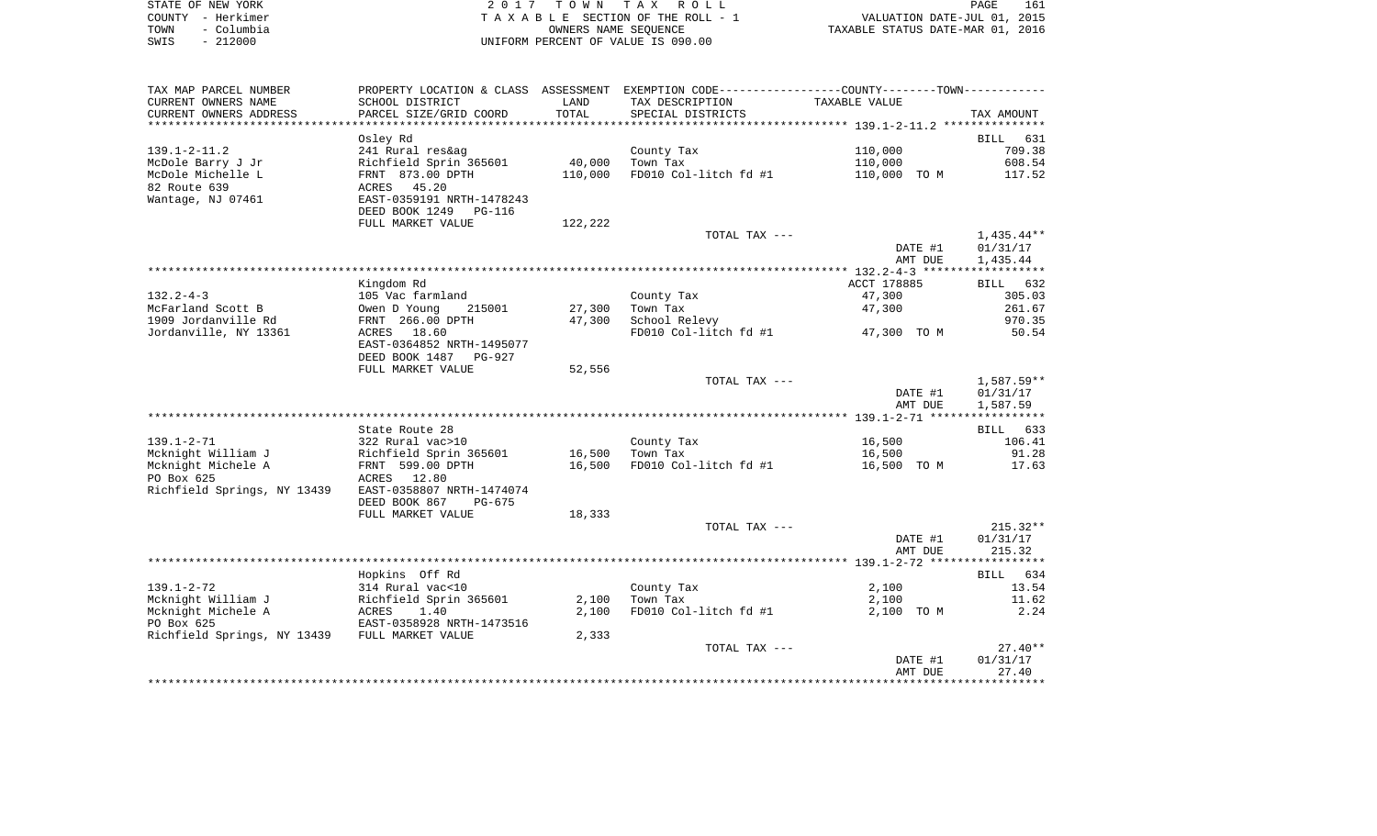| STATE OF NEW YORK  | 2017 TOWN TAX ROLL                 | 161<br>PAGE                      |
|--------------------|------------------------------------|----------------------------------|
| COUNTY - Herkimer  | TAXABLE SECTION OF THE ROLL - 1    | VALUATION DATE-JUL 01, 2015      |
| – Columbia<br>TOWN | OWNERS NAME SEOUENCE               | TAXABLE STATUS DATE-MAR 01, 2016 |
| $-212000$<br>SWIS  | UNIFORM PERCENT OF VALUE IS 090.00 |                                  |

| TAX MAP PARCEL NUMBER                         |                                         |         | PROPERTY LOCATION & CLASS ASSESSMENT EXEMPTION CODE---------------COUNTY-------TOWN---------- |                    |             |
|-----------------------------------------------|-----------------------------------------|---------|-----------------------------------------------------------------------------------------------|--------------------|-------------|
| CURRENT OWNERS NAME                           | SCHOOL DISTRICT                         | LAND    | TAX DESCRIPTION                                                                               | TAXABLE VALUE      |             |
| CURRENT OWNERS ADDRESS                        | PARCEL SIZE/GRID COORD                  | TOTAL   | SPECIAL DISTRICTS                                                                             |                    | TAX AMOUNT  |
| *******************                           | *******************                     |         |                                                                                               |                    |             |
|                                               | Osley Rd                                |         |                                                                                               |                    | BILL<br>631 |
| $139.1 - 2 - 11.2$                            | 241 Rural res&ag                        |         | County Tax                                                                                    | 110,000            | 709.38      |
| McDole Barry J Jr                             | Richfield Sprin 365601                  | 40,000  | Town Tax                                                                                      | 110,000            | 608.54      |
| McDole Michelle L                             | FRNT 873.00 DPTH                        | 110,000 | FD010 Col-litch fd #1                                                                         | 110,000 TO M       | 117.52      |
| 82 Route 639                                  | ACRES 45.20                             |         |                                                                                               |                    |             |
| Wantage, NJ 07461                             | EAST-0359191 NRTH-1478243               |         |                                                                                               |                    |             |
|                                               | DEED BOOK 1249 PG-116                   |         |                                                                                               |                    |             |
|                                               | FULL MARKET VALUE                       | 122,222 |                                                                                               |                    |             |
|                                               |                                         |         | TOTAL TAX ---                                                                                 |                    | 1,435.44**  |
|                                               |                                         |         |                                                                                               | DATE #1            | 01/31/17    |
|                                               |                                         |         |                                                                                               | AMT DUE            | 1,435.44    |
|                                               |                                         |         |                                                                                               |                    |             |
|                                               | Kingdom Rd                              |         |                                                                                               | ACCT 178885        | BILL 632    |
| $132.2 - 4 - 3$                               | 105 Vac farmland                        |         | County Tax                                                                                    | 47,300             | 305.03      |
| McFarland Scott B                             | Owen D Young<br>215001                  | 27,300  | Town Tax                                                                                      | 47,300             | 261.67      |
| 1909 Jordanville Rd                           | FRNT 266.00 DPTH                        | 47,300  | School Relevy                                                                                 |                    | 970.35      |
| Jordanville, NY 13361                         | ACRES 18.60                             |         | FD010 Col-litch fd #1                                                                         | 47,300 TO M        | 50.54       |
|                                               | EAST-0364852 NRTH-1495077               |         |                                                                                               |                    |             |
|                                               | DEED BOOK 1487 PG-927                   |         |                                                                                               |                    |             |
|                                               | FULL MARKET VALUE                       | 52,556  |                                                                                               |                    |             |
|                                               |                                         |         | TOTAL TAX ---                                                                                 |                    | 1,587.59**  |
|                                               |                                         |         |                                                                                               | DATE #1<br>AMT DUE | 01/31/17    |
|                                               |                                         |         |                                                                                               |                    | 1,587.59    |
|                                               | State Route 28                          |         |                                                                                               |                    | BILL<br>633 |
| $139.1 - 2 - 71$                              | 322 Rural vac>10                        |         | County Tax                                                                                    | 16,500             | 106.41      |
| Mcknight William J                            | Richfield Sprin 365601                  | 16,500  | Town Tax                                                                                      | 16,500             | 91.28       |
| Mcknight Michele A                            | FRNT 599.00 DPTH                        | 16,500  | FD010 Col-litch fd #1                                                                         | 16,500 TO M        | 17.63       |
| PO Box 625                                    | ACRES 12.80                             |         |                                                                                               |                    |             |
| Richfield Springs, NY 13439                   | EAST-0358807 NRTH-1474074               |         |                                                                                               |                    |             |
|                                               | DEED BOOK 867<br>$PG-675$               |         |                                                                                               |                    |             |
|                                               | FULL MARKET VALUE                       | 18,333  |                                                                                               |                    |             |
|                                               |                                         |         | TOTAL TAX ---                                                                                 |                    | $215.32**$  |
|                                               |                                         |         |                                                                                               | DATE #1            | 01/31/17    |
|                                               |                                         |         |                                                                                               | AMT DUE            | 215.32      |
|                                               |                                         |         |                                                                                               |                    |             |
|                                               | Hopkins Off Rd                          |         |                                                                                               |                    | 634<br>BILL |
| $139.1 - 2 - 72$                              | 314 Rural vac<10                        |         | County Tax                                                                                    | 2,100              | 13.54       |
| Mcknight William J                            | Richfield Sprin 365601                  | 2,100   | Town Tax                                                                                      | 2,100              | 11.62       |
| Mcknight Michele A                            |                                         | 2,100   | FD010 Col-litch fd #1                                                                         | 2,100 TO M         | 2.24        |
| PO Box 625                                    | ACRES 1.40<br>EAST-0358928 NRTH-1473516 |         |                                                                                               |                    |             |
| Richfield Springs, NY 13439 FULL MARKET VALUE |                                         | 2,333   |                                                                                               |                    |             |
|                                               |                                         |         | TOTAL TAX ---                                                                                 |                    | $27.40**$   |
|                                               |                                         |         |                                                                                               | DATE #1            | 01/31/17    |
|                                               |                                         |         |                                                                                               | AMT DUE            | 27.40       |
|                                               |                                         |         |                                                                                               |                    |             |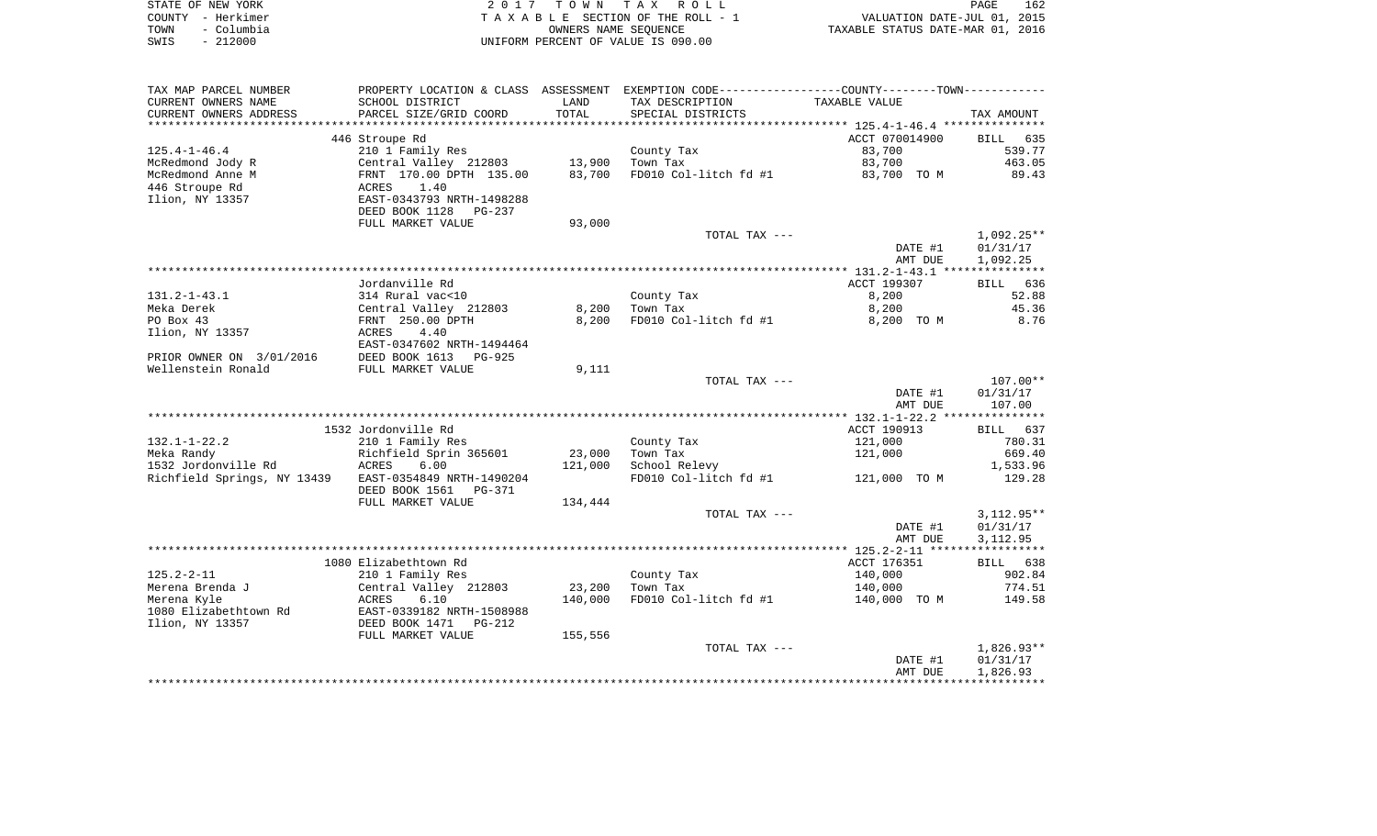|      | STATE OF NEW YORK | 2017 TOWN TAX ROLL                 | PAGE                             | 162 |
|------|-------------------|------------------------------------|----------------------------------|-----|
|      | COUNTY - Herkimer | TAXABLE SECTION OF THE ROLL - 1    | VALUATION DATE-JUL 01, 2015      |     |
| TOWN | – Columbia        | OWNERS NAME SEOUENCE               | TAXABLE STATUS DATE-MAR 01, 2016 |     |
| SWIS | $-212000$         | INIFORM PERCENT OF VALUE IS 090.00 |                                  |     |

| TAX MAP PARCEL NUMBER                                 |                                           |         | PROPERTY LOCATION & CLASS ASSESSMENT EXEMPTION CODE---------------COUNTY-------TOWN--------- |                |              |
|-------------------------------------------------------|-------------------------------------------|---------|----------------------------------------------------------------------------------------------|----------------|--------------|
| CURRENT OWNERS NAME                                   | SCHOOL DISTRICT                           | LAND    | TAX DESCRIPTION                                                                              | TAXABLE VALUE  |              |
| CURRENT OWNERS ADDRESS                                | PARCEL SIZE/GRID COORD                    | TOTAL   | SPECIAL DISTRICTS                                                                            |                | TAX AMOUNT   |
|                                                       |                                           |         |                                                                                              |                |              |
|                                                       | 446 Stroupe Rd                            |         |                                                                                              | ACCT 070014900 | BILL 635     |
| $125.4 - 1 - 46.4$                                    | 210 1 Family Res                          |         | County Tax                                                                                   | 83,700         | 539.77       |
| McRedmond Jody R                                      | Central Valley 212803                     | 13,900  | Town Tax                                                                                     | 83,700         | 463.05       |
| McRedmond Anne M                                      | FRNT 170.00 DPTH 135.00                   | 83,700  | FD010 Col-litch fd #1                                                                        | 83,700 TO M    | 89.43        |
| 446 Stroupe Rd                                        | 1.40<br>ACRES                             |         |                                                                                              |                |              |
| Ilion, NY 13357                                       | EAST-0343793 NRTH-1498288                 |         |                                                                                              |                |              |
|                                                       | DEED BOOK 1128<br>PG-237                  |         |                                                                                              |                |              |
|                                                       | FULL MARKET VALUE                         | 93,000  |                                                                                              |                |              |
|                                                       |                                           |         | TOTAL TAX ---                                                                                |                | 1,092.25**   |
|                                                       |                                           |         |                                                                                              | DATE #1        | 01/31/17     |
|                                                       |                                           |         |                                                                                              | AMT DUE        | 1,092.25     |
|                                                       |                                           |         |                                                                                              |                |              |
|                                                       | Jordanville Rd                            |         |                                                                                              | ACCT 199307    | BILL 636     |
| $131.2 - 1 - 43.1$                                    | 314 Rural vac<10                          |         | County Tax                                                                                   | 8,200          | 52.88        |
| Meka Derek                                            | Central Valley 212803                     | 8,200   | Town Tax                                                                                     | 8,200          | 45.36        |
| PO Box 43                                             | FRNT 250.00 DPTH                          | 8,200   | FD010 Col-litch fd #1                                                                        | 8,200 TO M     | 8.76         |
| Ilion, NY 13357                                       | ACRES<br>4.40                             |         |                                                                                              |                |              |
|                                                       | EAST-0347602 NRTH-1494464                 |         |                                                                                              |                |              |
| PRIOR OWNER ON 3/01/2016                              | DEED BOOK 1613<br>PG-925                  |         |                                                                                              |                |              |
| Wellenstein Ronald                                    | FULL MARKET VALUE                         | 9,111   |                                                                                              |                |              |
|                                                       |                                           |         | TOTAL TAX ---                                                                                |                | 107.00**     |
|                                                       |                                           |         |                                                                                              | DATE #1        | 01/31/17     |
|                                                       |                                           |         |                                                                                              | AMT DUE        | 107.00       |
|                                                       |                                           |         |                                                                                              |                |              |
|                                                       | 1532 Jordonville Rd                       |         |                                                                                              | ACCT 190913    | BILL 637     |
| $132.1 - 1 - 22.2$                                    | 210 1 Family Res                          |         | County Tax                                                                                   | 121,000        | 780.31       |
| Meka Randy                                            | Richfield Sprin 365601                    | 23,000  | Town Tax                                                                                     | 121,000        | 669.40       |
| 1532 Jordonville Rd                                   | ACRES<br>6.00                             | 121,000 | School Relevy                                                                                |                | 1,533.96     |
| Richfield Springs, NY 13439 EAST-0354849 NRTH-1490204 |                                           |         | FD010 Col-litch fd #1                                                                        | 121,000 TO M   | 129.28       |
|                                                       | DEED BOOK 1561 PG-371                     |         |                                                                                              |                |              |
|                                                       | FULL MARKET VALUE                         | 134,444 |                                                                                              |                |              |
|                                                       |                                           |         | TOTAL TAX ---                                                                                |                | $3,112.95**$ |
|                                                       |                                           |         |                                                                                              | DATE #1        | 01/31/17     |
|                                                       |                                           |         |                                                                                              | AMT DUE        | 3,112.95     |
|                                                       | 1080 Elizabethtown Rd                     |         |                                                                                              | ACCT 176351    | BILL 638     |
| $125.2 - 2 - 11$                                      |                                           |         |                                                                                              | 140,000        | 902.84       |
| Merena Brenda J                                       | 210 1 Family Res<br>Central Valley 212803 | 23,200  | County Tax<br>Town Tax                                                                       | 140,000        | 774.51       |
| Merena Kyle                                           | ACRES<br>6.10                             | 140,000 | FD010 Col-litch fd #1                                                                        | 140,000 TO M   | 149.58       |
| 1080 Elizabethtown Rd                                 | EAST-0339182 NRTH-1508988                 |         |                                                                                              |                |              |
| Ilion, NY 13357                                       | DEED BOOK 1471<br>PG-212                  |         |                                                                                              |                |              |
|                                                       | FULL MARKET VALUE                         | 155,556 |                                                                                              |                |              |
|                                                       |                                           |         | TOTAL TAX ---                                                                                |                | 1,826.93**   |
|                                                       |                                           |         |                                                                                              | DATE #1        | 01/31/17     |
|                                                       |                                           |         |                                                                                              | AMT DUE        | 1,826.93     |
|                                                       |                                           |         |                                                                                              |                |              |
|                                                       |                                           |         |                                                                                              |                |              |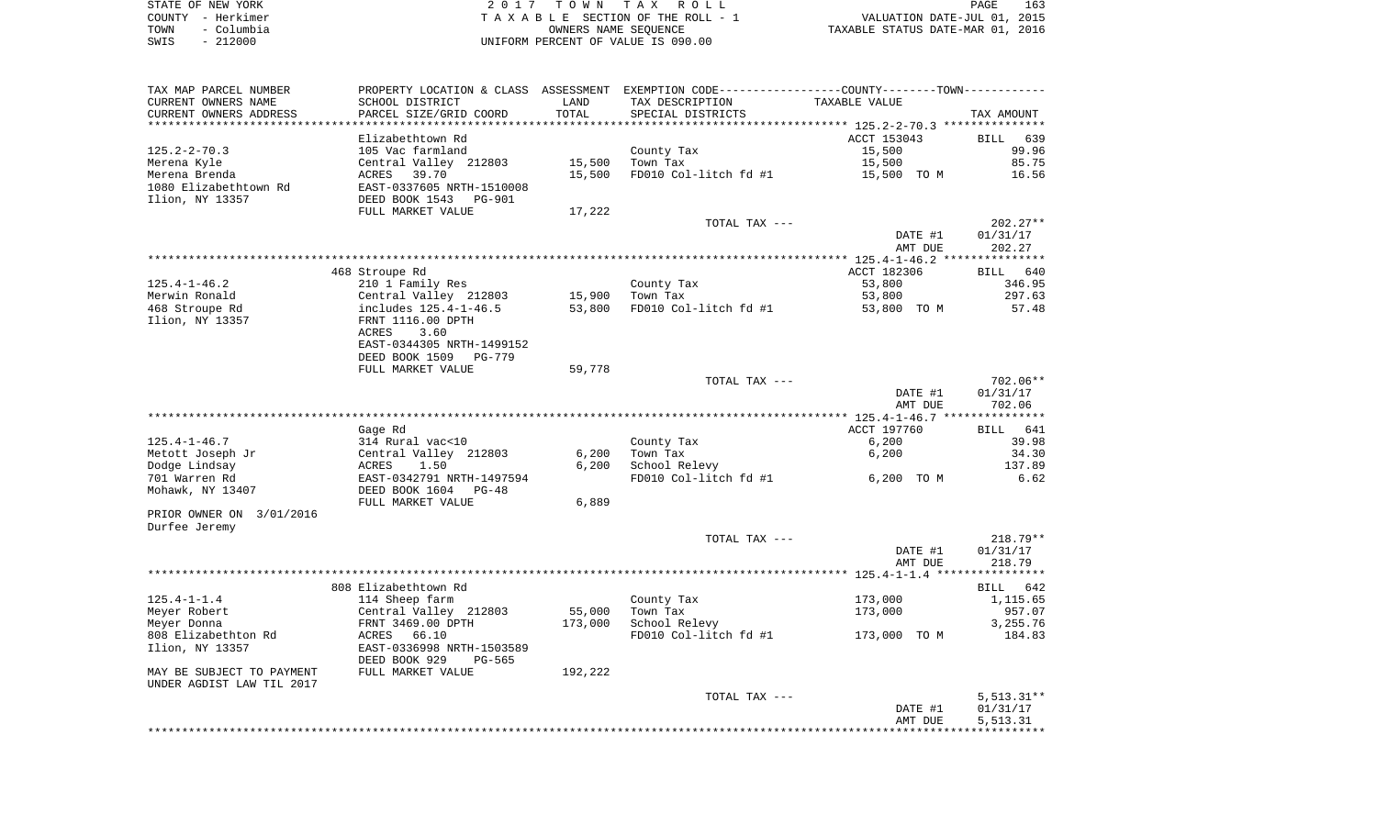|      | STATE OF NEW YORK | 2017 TOWN TAX ROLL                 | 163<br>PAGE                      |
|------|-------------------|------------------------------------|----------------------------------|
|      | COUNTY - Herkimer | TAXABLE SECTION OF THE ROLL - 1    | VALUATION DATE-JUL 01, 2015      |
| TOWN | – Columbia        | OWNERS NAME SEOUENCE               | TAXABLE STATUS DATE-MAR 01, 2016 |
| SWIS | $-212000$         | UNIFORM PERCENT OF VALUE IS 090.00 |                                  |

| TAX MAP PARCEL NUMBER<br>CURRENT OWNERS NAME           | SCHOOL DISTRICT                                                                                                      | LAND             | PROPERTY LOCATION & CLASS ASSESSMENT EXEMPTION CODE----------------COUNTY--------TOWN----------<br>TAX DESCRIPTION | TAXABLE VALUE         |                                |
|--------------------------------------------------------|----------------------------------------------------------------------------------------------------------------------|------------------|--------------------------------------------------------------------------------------------------------------------|-----------------------|--------------------------------|
| CURRENT OWNERS ADDRESS                                 | PARCEL SIZE/GRID COORD                                                                                               | TOTAL            | SPECIAL DISTRICTS                                                                                                  |                       | TAX AMOUNT                     |
| *********************<br>125.2-2-70.3                  | ******************<br>Elizabethtown Rd<br>105 Vac farmland                                                           | ***********      | County Tax                                                                                                         | ACCT 153043<br>15,500 | <b>BILL</b><br>639<br>99.96    |
| Merena Kyle<br>Merena Brenda<br>1080 Elizabethtown Rd  | Central Valley 212803<br>ACRES<br>39.70<br>EAST-0337605 NRTH-1510008                                                 | 15,500<br>15,500 | Town Tax<br>FD010 Col-litch fd #1                                                                                  | 15,500<br>15,500 TO M | 85.75<br>16.56                 |
| Ilion, NY 13357                                        | DEED BOOK 1543<br>PG-901<br>FULL MARKET VALUE                                                                        | 17,222           |                                                                                                                    |                       |                                |
|                                                        |                                                                                                                      |                  | TOTAL TAX ---                                                                                                      |                       | $202.27**$                     |
|                                                        |                                                                                                                      |                  |                                                                                                                    | DATE #1<br>AMT DUE    | 01/31/17<br>202.27             |
|                                                        |                                                                                                                      |                  |                                                                                                                    |                       | ***********                    |
|                                                        | 468 Stroupe Rd                                                                                                       |                  |                                                                                                                    | ACCT 182306           | BILL 640                       |
| $125.4 - 1 - 46.2$<br>Merwin Ronald                    | 210 1 Family Res<br>Central Valley 212803                                                                            | 15,900           | County Tax<br>Town Tax                                                                                             | 53,800<br>53,800      | 346.95<br>297.63               |
| 468 Stroupe Rd<br>Ilion, NY 13357                      | includes 125.4-1-46.5<br>FRNT 1116.00 DPTH<br>3.60<br>ACRES<br>EAST-0344305 NRTH-1499152<br>DEED BOOK 1509<br>PG-779 | 53,800           | FD010 Col-litch fd #1                                                                                              | 53,800 TO M           | 57.48                          |
|                                                        | FULL MARKET VALUE                                                                                                    | 59,778           |                                                                                                                    |                       |                                |
|                                                        |                                                                                                                      |                  | TOTAL TAX ---                                                                                                      |                       | 702.06**                       |
|                                                        |                                                                                                                      |                  |                                                                                                                    | DATE #1<br>AMT DUE    | 01/31/17<br>702.06             |
|                                                        |                                                                                                                      |                  |                                                                                                                    |                       |                                |
|                                                        | Gage Rd                                                                                                              |                  |                                                                                                                    | ACCT 197760           | 641<br><b>BILL</b>             |
| $125.4 - 1 - 46.7$                                     | 314 Rural vac<10                                                                                                     |                  | County Tax                                                                                                         | 6,200                 | 39.98                          |
| Metott Joseph Jr                                       | Central Valley 212803                                                                                                | 6,200            | Town Tax                                                                                                           | 6,200                 | 34.30                          |
| Dodge Lindsay<br>701 Warren Rd                         | 1.50<br>ACRES<br>EAST-0342791 NRTH-1497594                                                                           | 6,200            | School Relevy<br>FD010 Col-litch fd #1                                                                             | 6,200 TO M            | 137.89<br>6.62                 |
| Mohawk, NY 13407                                       | DEED BOOK 1604 PG-48<br>FULL MARKET VALUE                                                                            | 6,889            |                                                                                                                    |                       |                                |
| PRIOR OWNER ON 3/01/2016<br>Durfee Jeremy              |                                                                                                                      |                  |                                                                                                                    |                       |                                |
|                                                        |                                                                                                                      |                  | TOTAL TAX ---                                                                                                      | DATE #1<br>AMT DUE    | 218.79**<br>01/31/17<br>218.79 |
|                                                        |                                                                                                                      |                  |                                                                                                                    |                       |                                |
|                                                        | 808 Elizabethtown Rd                                                                                                 |                  |                                                                                                                    |                       | 642<br>BILL                    |
| $125.4 - 1 - 1.4$                                      | 114 Sheep farm                                                                                                       |                  | County Tax                                                                                                         | 173,000               | 1,115.65                       |
| Meyer Robert                                           | Central Valley 212803                                                                                                | 55,000           | Town Tax                                                                                                           | 173,000               | 957.07                         |
| Meyer Donna                                            | FRNT 3469.00 DPTH                                                                                                    | 173,000          | School Relevy                                                                                                      |                       | 3,255.76                       |
| 808 Elizabethton Rd<br>Ilion, NY 13357                 | ACRES<br>66.10<br>EAST-0336998 NRTH-1503589<br>DEED BOOK 929<br>PG-565                                               |                  | FD010 Col-litch fd #1                                                                                              | 173,000 TO M          | 184.83                         |
| MAY BE SUBJECT TO PAYMENT<br>UNDER AGDIST LAW TIL 2017 | FULL MARKET VALUE                                                                                                    | 192,222          |                                                                                                                    |                       |                                |
|                                                        |                                                                                                                      |                  | TOTAL TAX ---                                                                                                      |                       | $5,513.31**$                   |
|                                                        |                                                                                                                      |                  |                                                                                                                    | DATE #1<br>AMT DUE    | 01/31/17<br>5,513.31           |
|                                                        |                                                                                                                      |                  |                                                                                                                    |                       |                                |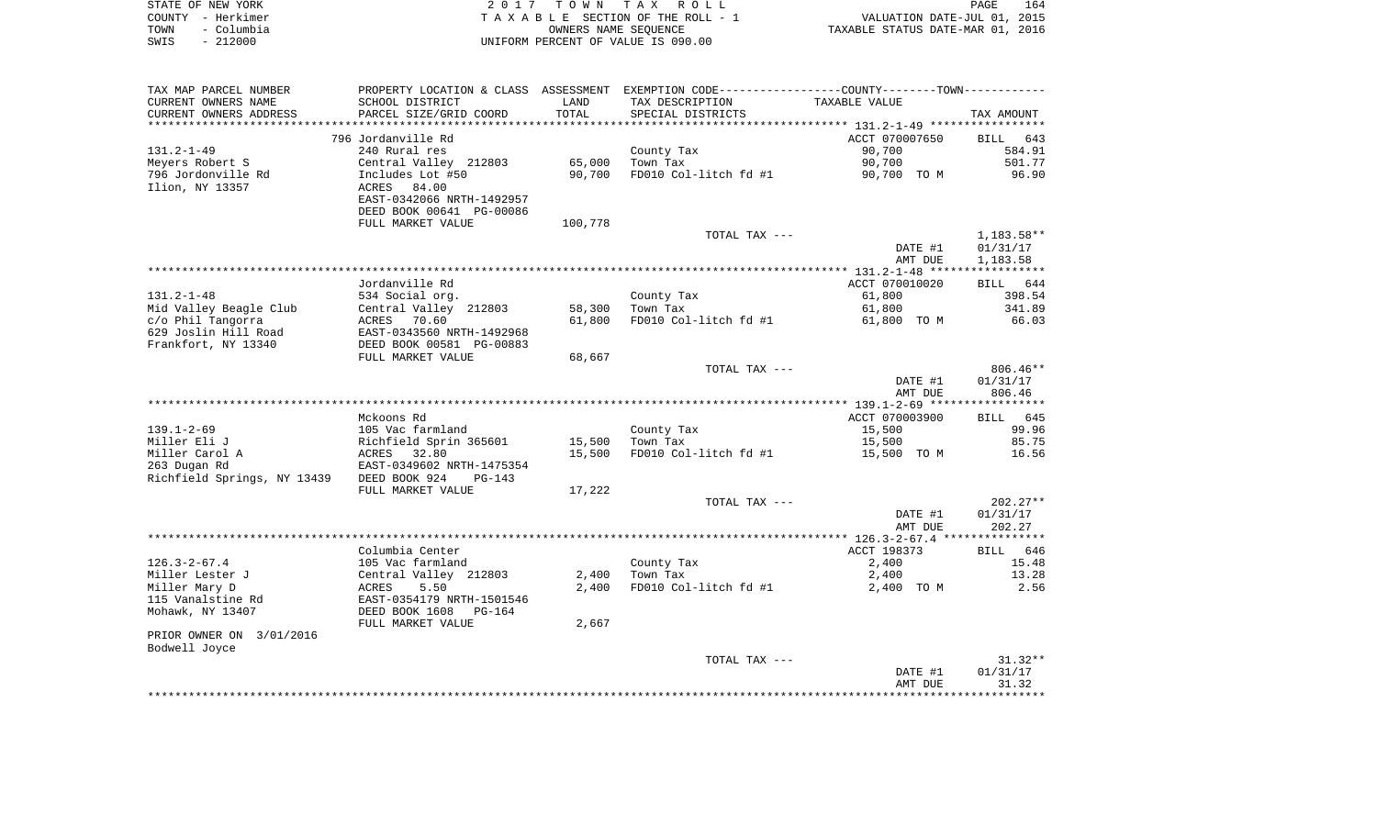| STATE OF NEW YORK |            | 2017 TOWN TAX ROLL                 |                      |                                  | PAGE | 164 |
|-------------------|------------|------------------------------------|----------------------|----------------------------------|------|-----|
| COUNTY – Herkimer |            | TAXABLE SECTION OF THE ROLL - 1    |                      | VALUATION DATE-JUL 01, 2015      |      |     |
| TOWN              | – Columbia |                                    | OWNERS NAME SEOUENCE | TAXABLE STATUS DATE-MAR 01, 2016 |      |     |
| $-212000$<br>SWIS |            | UNIFORM PERCENT OF VALUE IS 090.00 |                      |                                  |      |     |

| TAX MAP PARCEL NUMBER       | PROPERTY LOCATION & CLASS    | ASSESSMENT       | EXEMPTION CODE-----------------COUNTY-------TOWN----------- |                                             |             |
|-----------------------------|------------------------------|------------------|-------------------------------------------------------------|---------------------------------------------|-------------|
| CURRENT OWNERS NAME         | SCHOOL DISTRICT              | LAND             | TAX DESCRIPTION                                             | TAXABLE VALUE                               |             |
| CURRENT OWNERS ADDRESS      | PARCEL SIZE/GRID COORD       | TOTAL            | SPECIAL DISTRICTS                                           |                                             | TAX AMOUNT  |
| **********************      | **************************** | **************** |                                                             |                                             |             |
|                             | 796 Jordanville Rd           |                  |                                                             | ACCT 070007650                              | BILL<br>643 |
| $131.2 - 1 - 49$            | 240 Rural res                |                  | County Tax                                                  | 90,700                                      | 584.91      |
| Meyers Robert S             | Central Valley 212803        | 65,000           | Town Tax                                                    | 90,700                                      | 501.77      |
| 796 Jordonville Rd          | Includes Lot #50             | 90,700           | FD010 Col-litch fd #1                                       | 90,700 TO M                                 | 96.90       |
| Ilion, NY 13357             | <b>ACRES</b><br>84.00        |                  |                                                             |                                             |             |
|                             | EAST-0342066 NRTH-1492957    |                  |                                                             |                                             |             |
|                             | DEED BOOK 00641 PG-00086     |                  |                                                             |                                             |             |
|                             | FULL MARKET VALUE            | 100,778          |                                                             |                                             |             |
|                             |                              |                  | TOTAL TAX ---                                               |                                             | 1,183.58**  |
|                             |                              |                  |                                                             | DATE #1                                     | 01/31/17    |
|                             |                              |                  |                                                             | AMT DUE                                     | 1,183.58    |
|                             |                              |                  |                                                             |                                             |             |
|                             | Jordanville Rd               |                  |                                                             | ACCT 070010020                              | BILL 644    |
| $131.2 - 1 - 48$            | 534 Social org.              |                  | County Tax                                                  | 61,800                                      | 398.54      |
| Mid Valley Beagle Club      | Central Valley 212803        | 58,300           | Town Tax                                                    | 61,800                                      | 341.89      |
| c/o Phil Tangorra           | 70.60<br>ACRES               | 61,800           | FD010 Col-litch fd #1                                       | 61,800 TO M                                 | 66.03       |
| 629 Joslin Hill Road        | EAST-0343560 NRTH-1492968    |                  |                                                             |                                             |             |
| Frankfort, NY 13340         | DEED BOOK 00581 PG-00883     |                  |                                                             |                                             |             |
|                             | FULL MARKET VALUE            | 68,667           |                                                             |                                             |             |
|                             |                              |                  | TOTAL TAX ---                                               |                                             | 806.46**    |
|                             |                              |                  |                                                             | DATE #1                                     | 01/31/17    |
|                             |                              |                  |                                                             | AMT DUE                                     | 806.46      |
|                             |                              |                  |                                                             |                                             |             |
|                             | Mckoons Rd                   |                  |                                                             | ACCT 070003900                              | BILL 645    |
| $139.1 - 2 - 69$            | 105 Vac farmland             |                  | County Tax                                                  | 15,500                                      | 99.96       |
| Miller Eli J                | Richfield Sprin 365601       | 15,500           | Town Tax                                                    | 15,500                                      | 85.75       |
| Miller Carol A              | 32.80<br>ACRES               | 15,500           | FD010 Col-litch fd #1                                       | 15,500 TO M                                 | 16.56       |
| 263 Dugan Rd                | EAST-0349602 NRTH-1475354    |                  |                                                             |                                             |             |
| Richfield Springs, NY 13439 | DEED BOOK 924<br>$PG-143$    |                  |                                                             |                                             |             |
|                             | FULL MARKET VALUE            | 17,222           |                                                             |                                             |             |
|                             |                              |                  | TOTAL TAX ---                                               |                                             | $202.27**$  |
|                             |                              |                  |                                                             | DATE #1                                     | 01/31/17    |
|                             |                              |                  |                                                             | AMT DUE                                     | 202.27      |
|                             |                              |                  | *****************************                               | ************* 126.3-2-67.4 **************** |             |
|                             | Columbia Center              |                  |                                                             | ACCT 198373                                 | BILL 646    |
| $126.3 - 2 - 67.4$          | 105 Vac farmland             |                  | County Tax                                                  | 2,400                                       | 15.48       |
| Miller Lester J             | Central Valley 212803        | 2,400            | Town Tax                                                    | 2,400                                       | 13.28       |
| Miller Mary D               | 5.50<br>ACRES                | 2,400            | FD010 Col-litch fd #1                                       | 2,400 TO M                                  | 2.56        |
| 115 Vanalstine Rd           | EAST-0354179 NRTH-1501546    |                  |                                                             |                                             |             |
| Mohawk, NY 13407            | DEED BOOK 1608<br>$PG-164$   |                  |                                                             |                                             |             |
|                             | FULL MARKET VALUE            | 2,667            |                                                             |                                             |             |
| PRIOR OWNER ON 3/01/2016    |                              |                  |                                                             |                                             |             |
| Bodwell Joyce               |                              |                  |                                                             |                                             |             |
|                             |                              |                  | TOTAL TAX ---                                               |                                             | $31.32**$   |
|                             |                              |                  |                                                             | DATE #1                                     | 01/31/17    |
|                             |                              |                  |                                                             | AMT DUE                                     | 31.32       |
|                             |                              |                  |                                                             |                                             |             |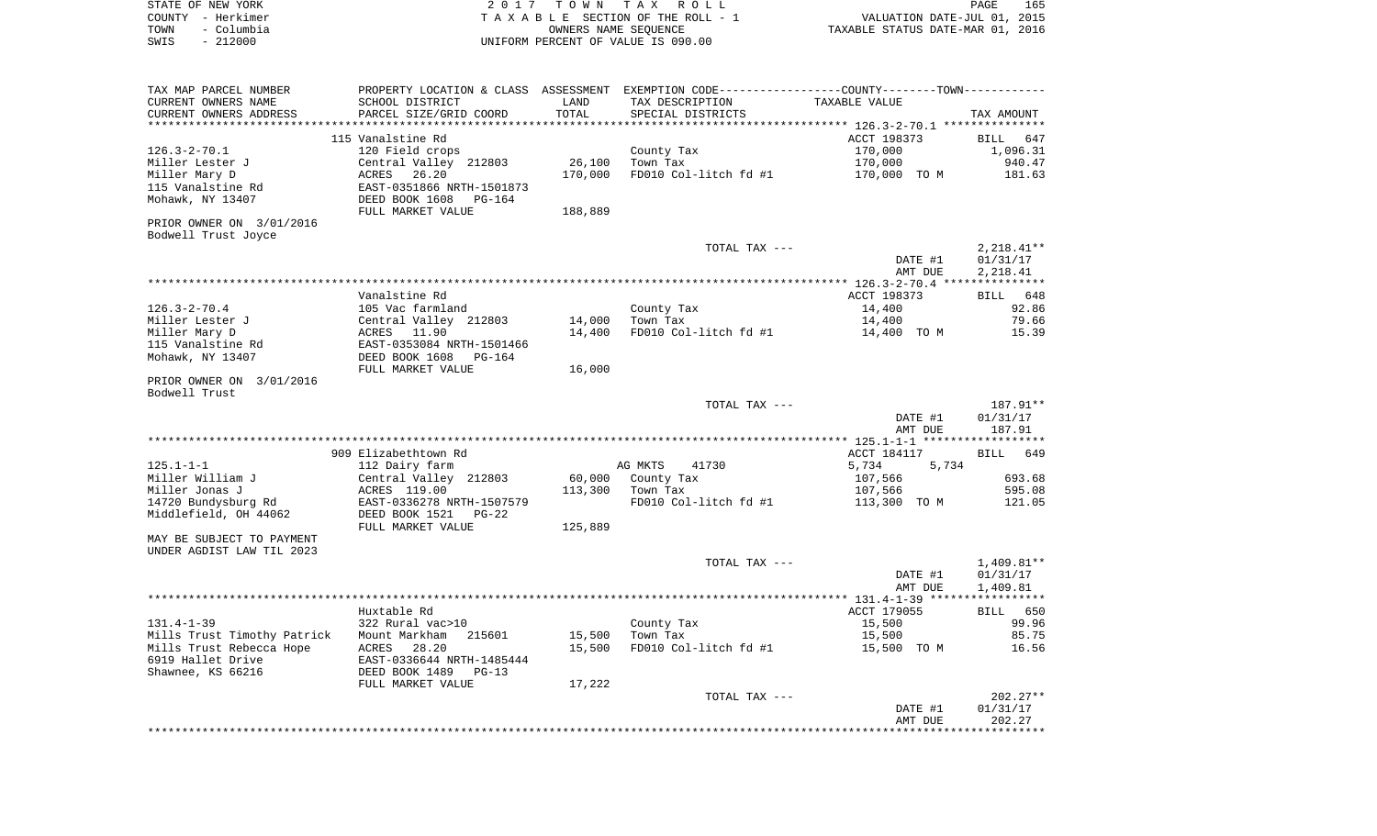|      | STATE OF NEW YORK | 2017 TOWN TAX ROLL                 | 165<br>PAGE                      |
|------|-------------------|------------------------------------|----------------------------------|
|      | COUNTY - Herkimer | TAXABLE SECTION OF THE ROLL - 1    | VALUATION DATE-JUL 01, 2015      |
| TOWN | - Columbia        | OWNERS NAME SEOUENCE               | TAXABLE STATUS DATE-MAR 01, 2016 |
| SWIS | - 212000          | UNIFORM PERCENT OF VALUE IS 090.00 |                                  |

| TAX MAP PARCEL NUMBER                                  | PROPERTY LOCATION & CLASS ASSESSMENT EXEMPTION CODE---------------COUNTY-------TOWN---------- |         |                       |                |                    |
|--------------------------------------------------------|-----------------------------------------------------------------------------------------------|---------|-----------------------|----------------|--------------------|
| CURRENT OWNERS NAME                                    | SCHOOL DISTRICT                                                                               | LAND    | TAX DESCRIPTION       | TAXABLE VALUE  |                    |
| CURRENT OWNERS ADDRESS                                 | PARCEL SIZE/GRID COORD                                                                        | TOTAL   | SPECIAL DISTRICTS     |                | TAX AMOUNT         |
|                                                        |                                                                                               |         |                       |                |                    |
|                                                        | 115 Vanalstine Rd                                                                             |         |                       | ACCT 198373    | BILL 647           |
| $126.3 - 2 - 70.1$                                     | 120 Field crops                                                                               |         | County Tax            | 170,000        | 1,096.31           |
| Miller Lester J                                        | Central Valley 212803                                                                         | 26,100  | Town Tax              | 170,000        | 940.47             |
| Miller Mary D                                          | ACRES<br>26.20                                                                                | 170,000 | FD010 Col-litch fd #1 | 170,000 TO M   | 181.63             |
| 115 Vanalstine Rd                                      | EAST-0351866 NRTH-1501873                                                                     |         |                       |                |                    |
| Mohawk, NY 13407                                       | DEED BOOK 1608<br>PG-164                                                                      |         |                       |                |                    |
| PRIOR OWNER ON 3/01/2016                               | FULL MARKET VALUE                                                                             | 188,889 |                       |                |                    |
| Bodwell Trust Joyce                                    |                                                                                               |         |                       |                |                    |
|                                                        |                                                                                               |         | TOTAL TAX ---         |                | $2,218.41**$       |
|                                                        |                                                                                               |         |                       | DATE #1        | 01/31/17           |
|                                                        |                                                                                               |         |                       | AMT DUE        | 2,218.41           |
|                                                        |                                                                                               |         |                       |                |                    |
|                                                        | Vanalstine Rd                                                                                 |         |                       | ACCT 198373    | BILL 648           |
| $126.3 - 2 - 70.4$                                     | 105 Vac farmland                                                                              |         | County Tax            | 14,400         | 92.86              |
| Miller Lester J                                        | Central Valley 212803                                                                         | 14,000  | Town Tax              | 14,400         | 79.66              |
| Miller Mary D                                          | ACRES<br>11.90                                                                                | 14,400  | FD010 Col-litch fd #1 | 14,400 TO M    | 15.39              |
| 115 Vanalstine Rd                                      | EAST-0353084 NRTH-1501466                                                                     |         |                       |                |                    |
| Mohawk, NY 13407                                       | DEED BOOK 1608<br>PG-164                                                                      |         |                       |                |                    |
|                                                        | FULL MARKET VALUE                                                                             | 16,000  |                       |                |                    |
| PRIOR OWNER ON 3/01/2016<br>Bodwell Trust              |                                                                                               |         |                       |                |                    |
|                                                        |                                                                                               |         | TOTAL TAX ---         |                | 187.91**           |
|                                                        |                                                                                               |         |                       | DATE #1        | 01/31/17           |
|                                                        |                                                                                               |         |                       | AMT DUE        | 187.91             |
|                                                        |                                                                                               |         |                       |                | ****************** |
|                                                        | 909 Elizabethtown Rd                                                                          |         |                       | ACCT 184117    | BILL<br>649        |
| $125.1 - 1 - 1$                                        | 112 Dairy farm                                                                                |         | AG MKTS<br>41730      | 5,734<br>5,734 |                    |
| Miller William J                                       | Central Valley 212803                                                                         | 60,000  | County Tax            | 107,566        | 693.68             |
| Miller Jonas J                                         | ACRES 119.00                                                                                  | 113,300 | Town Tax              | 107,566        | 595.08             |
| 14720 Bundysburg Rd                                    | EAST-0336278 NRTH-1507579                                                                     |         | FD010 Col-litch fd #1 | 113,300 TO M   | 121.05             |
| Middlefield, OH 44062                                  | DEED BOOK 1521<br>PG-22                                                                       |         |                       |                |                    |
|                                                        | FULL MARKET VALUE                                                                             | 125,889 |                       |                |                    |
| MAY BE SUBJECT TO PAYMENT<br>UNDER AGDIST LAW TIL 2023 |                                                                                               |         |                       |                |                    |
|                                                        |                                                                                               |         | TOTAL TAX ---         |                | $1,409.81**$       |
|                                                        |                                                                                               |         |                       | DATE #1        | 01/31/17           |
|                                                        |                                                                                               |         |                       | AMT DUE        | 1,409.81           |
|                                                        |                                                                                               |         |                       |                |                    |
|                                                        | Huxtable Rd                                                                                   |         |                       | ACCT 179055    | BILL 650           |
| $131.4 - 1 - 39$                                       | 322 Rural vac>10                                                                              |         | County Tax            | 15,500         | 99.96              |
| Mills Trust Timothy Patrick                            | Mount Markham<br>215601                                                                       | 15,500  | Town Tax              | 15,500         | 85.75              |
| Mills Trust Rebecca Hope                               | ACRES<br>28.20                                                                                | 15,500  | FD010 Col-litch fd #1 | 15,500 TO M    | 16.56              |
| 6919 Hallet Drive                                      | EAST-0336644 NRTH-1485444                                                                     |         |                       |                |                    |
| Shawnee, KS 66216                                      | DEED BOOK 1489<br>$PG-13$                                                                     |         |                       |                |                    |
|                                                        | FULL MARKET VALUE                                                                             | 17,222  |                       |                |                    |
|                                                        |                                                                                               |         | TOTAL TAX ---         |                | $202.27**$         |
|                                                        |                                                                                               |         |                       | DATE #1        | 01/31/17           |
|                                                        |                                                                                               |         |                       | AMT DUE        | 202.27             |
|                                                        |                                                                                               |         |                       |                |                    |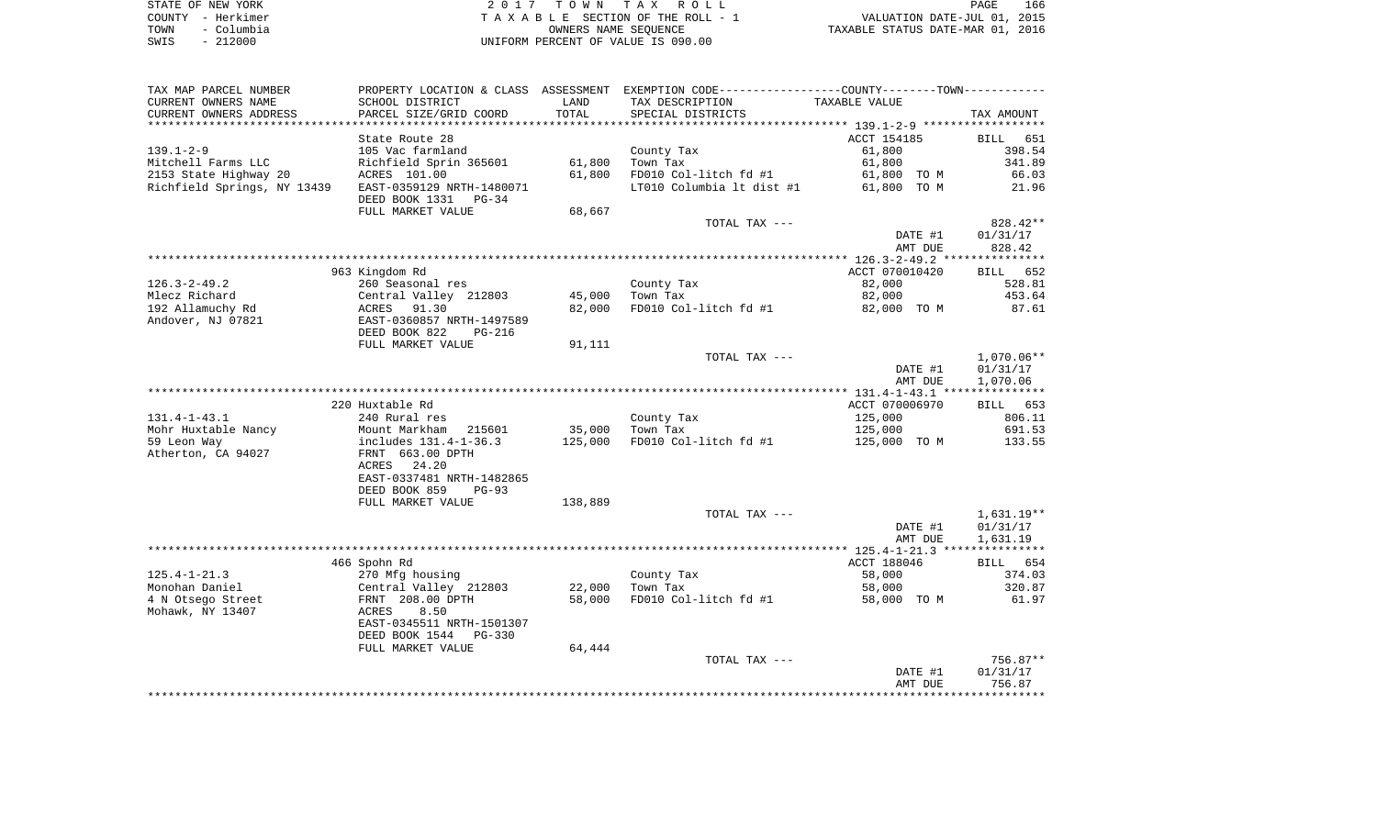| STATE OF NEW YORK  | 2017 TOWN TAX ROLL                 | 166<br>PAGE                      |
|--------------------|------------------------------------|----------------------------------|
| COUNTY - Herkimer  | TAXABLE SECTION OF THE ROLL - 1    | VALUATION DATE-JUL 01, 2015      |
| - Columbia<br>TOWN | OWNERS NAME SEOUENCE               | TAXABLE STATUS DATE-MAR 01, 2016 |
| $-212000$<br>SWIS  | UNIFORM PERCENT OF VALUE IS 090.00 |                                  |

| TAX MAP PARCEL NUMBER       |                                                       |         | PROPERTY LOCATION & CLASS ASSESSMENT EXEMPTION CODE---------------COUNTY-------TOWN---------- |                |                    |
|-----------------------------|-------------------------------------------------------|---------|-----------------------------------------------------------------------------------------------|----------------|--------------------|
| CURRENT OWNERS NAME         | SCHOOL DISTRICT                                       | LAND    | TAX DESCRIPTION                                                                               | TAXABLE VALUE  |                    |
| CURRENT OWNERS ADDRESS      | PARCEL SIZE/GRID COORD                                | TOTAL   | SPECIAL DISTRICTS                                                                             |                | TAX AMOUNT         |
|                             |                                                       |         |                                                                                               |                |                    |
|                             | State Route 28                                        |         |                                                                                               | ACCT 154185    | <b>BILL</b><br>651 |
| $139.1 - 2 - 9$             | 105 Vac farmland                                      |         | County Tax                                                                                    | 61,800         | 398.54             |
| Mitchell Farms LLC          | Richfield Sprin 365601                                | 61,800  | Town Tax                                                                                      | 61,800         | 341.89             |
| 2153 State Highway 20       | ACRES 101.00                                          | 61,800  | FD010 Col-litch fd #1                                                                         | 61,800 TO M    | 66.03              |
| Richfield Springs, NY 13439 | EAST-0359129 NRTH-1480071                             |         | LT010 Columbia 1t dist #1                                                                     | 61,800 TO M    | 21.96              |
|                             | DEED BOOK 1331 PG-34                                  |         |                                                                                               |                |                    |
|                             | FULL MARKET VALUE                                     | 68,667  |                                                                                               |                |                    |
|                             |                                                       |         | TOTAL TAX ---                                                                                 |                | 828.42**           |
|                             |                                                       |         |                                                                                               | DATE #1        | 01/31/17           |
|                             |                                                       |         |                                                                                               | AMT DUE        | 828.42             |
|                             |                                                       |         |                                                                                               |                |                    |
|                             | 963 Kingdom Rd                                        |         |                                                                                               | ACCT 070010420 | BILL 652           |
| $126.3 - 2 - 49.2$          | 260 Seasonal res                                      |         | County Tax                                                                                    | 82,000         | 528.81             |
| Mlecz Richard               | Central Valley 212803                                 | 45,000  | Town Tax                                                                                      | 82,000         | 453.64             |
| 192 Allamuchy Rd            | ACRES 91.30                                           | 82,000  | FD010 Col-litch fd #1                                                                         | 82,000 TO M    | 87.61              |
| Andover, NJ 07821           | EAST-0360857 NRTH-1497589                             |         |                                                                                               |                |                    |
|                             | DEED BOOK 822<br>PG-216                               |         |                                                                                               |                |                    |
|                             | FULL MARKET VALUE                                     | 91,111  |                                                                                               |                |                    |
|                             |                                                       |         | TOTAL TAX ---                                                                                 |                | $1,070.06**$       |
|                             |                                                       |         |                                                                                               | DATE #1        | 01/31/17           |
|                             |                                                       |         |                                                                                               | AMT DUE        | 1,070.06           |
|                             |                                                       |         |                                                                                               |                |                    |
|                             | 220 Huxtable Rd                                       |         |                                                                                               | ACCT 070006970 | BILL 653           |
| $131.4 - 1 - 43.1$          | 240 Rural res                                         |         | County Tax                                                                                    | 125,000        | 806.11             |
| Mohr Huxtable Nancy         | Mount Markham<br>215601                               | 35,000  | Town Tax                                                                                      | 125,000        | 691.53             |
| 59 Leon Way                 | includes 131.4-1-36.3                                 | 125,000 | FD010 Col-litch fd #1                                                                         | 125,000 TO M   | 133.55             |
| Atherton, CA 94027          | FRNT 663.00 DPTH                                      |         |                                                                                               |                |                    |
|                             | ACRES 24.20                                           |         |                                                                                               |                |                    |
|                             | EAST-0337481 NRTH-1482865<br>DEED BOOK 859<br>$PG-93$ |         |                                                                                               |                |                    |
|                             | FULL MARKET VALUE                                     | 138,889 |                                                                                               |                |                    |
|                             |                                                       |         | TOTAL TAX ---                                                                                 |                | 1,631.19**         |
|                             |                                                       |         |                                                                                               | DATE #1        | 01/31/17           |
|                             |                                                       |         |                                                                                               | AMT DUE        | 1,631.19           |
|                             |                                                       |         |                                                                                               |                |                    |
|                             | 466 Spohn Rd                                          |         |                                                                                               | ACCT 188046    | BILL 654           |
| $125.4 - 1 - 21.3$          | 270 Mfg housing                                       |         | County Tax                                                                                    | 58,000         | 374.03             |
| Monohan Daniel              | Central Valley 212803                                 | 22,000  | Town Tax                                                                                      | 58,000         | 320.87             |
| 4 N Otsego Street           | FRNT 208.00 DPTH                                      | 58,000  | FD010 Col-litch fd #1                                                                         | 58,000 TO M    | 61.97              |
| Mohawk, NY 13407            | ACRES<br>8.50                                         |         |                                                                                               |                |                    |
|                             | EAST-0345511 NRTH-1501307                             |         |                                                                                               |                |                    |
|                             | DEED BOOK 1544<br>PG-330                              |         |                                                                                               |                |                    |
|                             | FULL MARKET VALUE                                     | 64,444  |                                                                                               |                |                    |
|                             |                                                       |         | TOTAL TAX ---                                                                                 |                | 756.87**           |
|                             |                                                       |         |                                                                                               | DATE #1        | 01/31/17           |
|                             |                                                       |         |                                                                                               | AMT DUE        | 756.87             |
|                             |                                                       |         |                                                                                               |                |                    |
|                             |                                                       |         |                                                                                               |                |                    |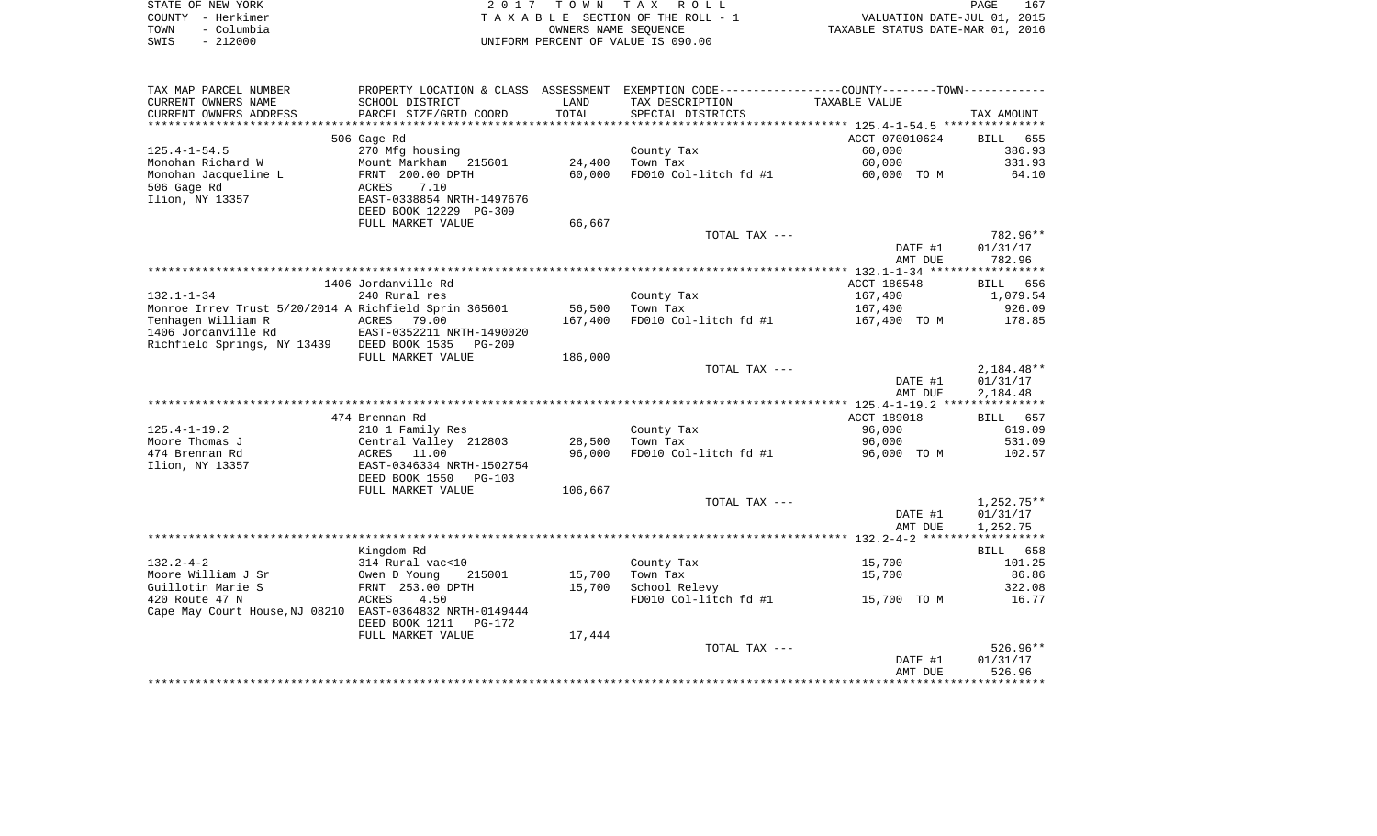| STATE OF NEW YORK  | 2017 TOWN TAX ROLL                    | 167<br>PAGE                      |
|--------------------|---------------------------------------|----------------------------------|
| COUNTY - Herkimer  | T A X A B L E SECTION OF THE ROLL - 1 | VALUATION DATE-JUL 01, 2015      |
| – Columbia<br>TOWN | OWNERS NAME SEOUENCE                  | TAXABLE STATUS DATE-MAR 01, 2016 |
| - 212000<br>SWIS   | UNIFORM PERCENT OF VALUE IS 090.00    |                                  |

| TAX MAP PARCEL NUMBER                                    | PROPERTY LOCATION & CLASS                  | ASSESSMENT | EXEMPTION CODE-----------------COUNTY-------TOWN----------- |                  |                              |
|----------------------------------------------------------|--------------------------------------------|------------|-------------------------------------------------------------|------------------|------------------------------|
| CURRENT OWNERS NAME                                      | SCHOOL DISTRICT                            | LAND       | TAX DESCRIPTION                                             | TAXABLE VALUE    |                              |
| CURRENT OWNERS ADDRESS                                   | PARCEL SIZE/GRID COORD                     | TOTAL      | SPECIAL DISTRICTS                                           |                  | TAX AMOUNT                   |
| ***********************                                  |                                            |            |                                                             |                  |                              |
|                                                          | 506 Gage Rd                                |            |                                                             | ACCT 070010624   | <b>BILL</b><br>655           |
| $125.4 - 1 - 54.5$                                       | 270 Mfg housing                            |            | County Tax                                                  | 60,000           | 386.93                       |
| Monohan Richard W                                        | Mount Markham 215601                       | 24,400     | Town Tax                                                    | 60,000           | 331.93                       |
| Monohan Jacqueline L                                     | FRNT 200.00 DPTH                           | 60,000     | FD010 Col-litch fd #1                                       | 60,000 TO M      | 64.10                        |
| 506 Gage Rd                                              | 7.10<br>ACRES                              |            |                                                             |                  |                              |
| Ilion, NY 13357                                          | EAST-0338854 NRTH-1497676                  |            |                                                             |                  |                              |
|                                                          | DEED BOOK 12229 PG-309                     |            |                                                             |                  |                              |
|                                                          | FULL MARKET VALUE                          | 66,667     |                                                             |                  |                              |
|                                                          |                                            |            | TOTAL TAX ---                                               |                  | 782.96**                     |
|                                                          |                                            |            |                                                             | DATE #1          | 01/31/17                     |
|                                                          |                                            |            |                                                             | AMT DUE          | 782.96                       |
|                                                          |                                            |            |                                                             |                  |                              |
|                                                          | 1406 Jordanville Rd                        |            |                                                             | ACCT 186548      | BILL 656                     |
| $132.1 - 1 - 34$                                         | 240 Rural res                              |            | County Tax                                                  | 167,400          | 1,079.54                     |
| Monroe Irrev Trust 5/20/2014 A Richfield Sprin 365601    |                                            | 56,500     | Town Tax                                                    | 167,400          | 926.09                       |
| Tenhagen William R                                       | ACRES 79.00                                | 167,400    | FD010 Col-litch fd #1                                       | 167,400 TO M     | 178.85                       |
| 1406 Jordanville Rd                                      | EAST-0352211 NRTH-1490020                  |            |                                                             |                  |                              |
| Richfield Springs, NY 13439                              | DEED BOOK 1535<br>$PG-209$                 |            |                                                             |                  |                              |
|                                                          | FULL MARKET VALUE                          | 186,000    |                                                             |                  |                              |
|                                                          |                                            |            | TOTAL TAX ---                                               |                  | $2,184.48**$                 |
|                                                          |                                            |            |                                                             | DATE #1          | 01/31/17                     |
|                                                          |                                            |            |                                                             | AMT DUE          | 2,184.48                     |
|                                                          |                                            |            |                                                             |                  |                              |
|                                                          | 474 Brennan Rd                             |            |                                                             | ACCT 189018      | BILL 657                     |
| $125.4 - 1 - 19.2$                                       | 210 1 Family Res                           |            | County Tax                                                  | 96,000           | 619.09                       |
| Moore Thomas J                                           | Central Valley 212803                      | 28,500     | Town Tax                                                    | 96,000           | 531.09                       |
| 474 Brennan Rd                                           | ACRES<br>11.00                             | 96,000     | FD010 Col-litch fd #1                                       | 96,000 TO M      | 102.57                       |
| Ilion, NY 13357                                          | EAST-0346334 NRTH-1502754                  |            |                                                             |                  |                              |
|                                                          | DEED BOOK 1550<br>$PG-103$                 |            |                                                             |                  |                              |
|                                                          | FULL MARKET VALUE                          | 106,667    |                                                             |                  |                              |
|                                                          |                                            |            | TOTAL TAX ---                                               |                  | $1,252.75**$                 |
|                                                          |                                            |            |                                                             | DATE #1          | 01/31/17                     |
|                                                          |                                            |            |                                                             | AMT DUE          | 1,252.75<br>************     |
|                                                          |                                            |            |                                                             |                  |                              |
| $132.2 - 4 - 2$                                          | Kingdom Rd                                 |            |                                                             |                  | 658<br><b>BILL</b><br>101.25 |
| Moore William J Sr                                       | 314 Rural vac<10<br>Owen D Young<br>215001 | 15,700     | County Tax<br>Town Tax                                      | 15,700<br>15,700 | 86.86                        |
| Guillotin Marie S                                        | FRNT 253.00 DPTH                           | 15,700     | School Relevy                                               |                  | 322.08                       |
| 420 Route 47 N                                           | ACRES<br>4.50                              |            | FD010 Col-litch fd #1                                       | 15,700 TO M      | 16.77                        |
| Cape May Court House, NJ 08210 EAST-0364832 NRTH-0149444 |                                            |            |                                                             |                  |                              |
|                                                          | DEED BOOK 1211<br>PG-172                   |            |                                                             |                  |                              |
|                                                          | FULL MARKET VALUE                          | 17,444     |                                                             |                  |                              |
|                                                          |                                            |            | TOTAL TAX ---                                               |                  | $526.96**$                   |
|                                                          |                                            |            |                                                             | DATE #1          | 01/31/17                     |
|                                                          |                                            |            |                                                             | AMT DUE          | 526.96                       |
|                                                          |                                            |            |                                                             |                  |                              |
|                                                          |                                            |            |                                                             |                  |                              |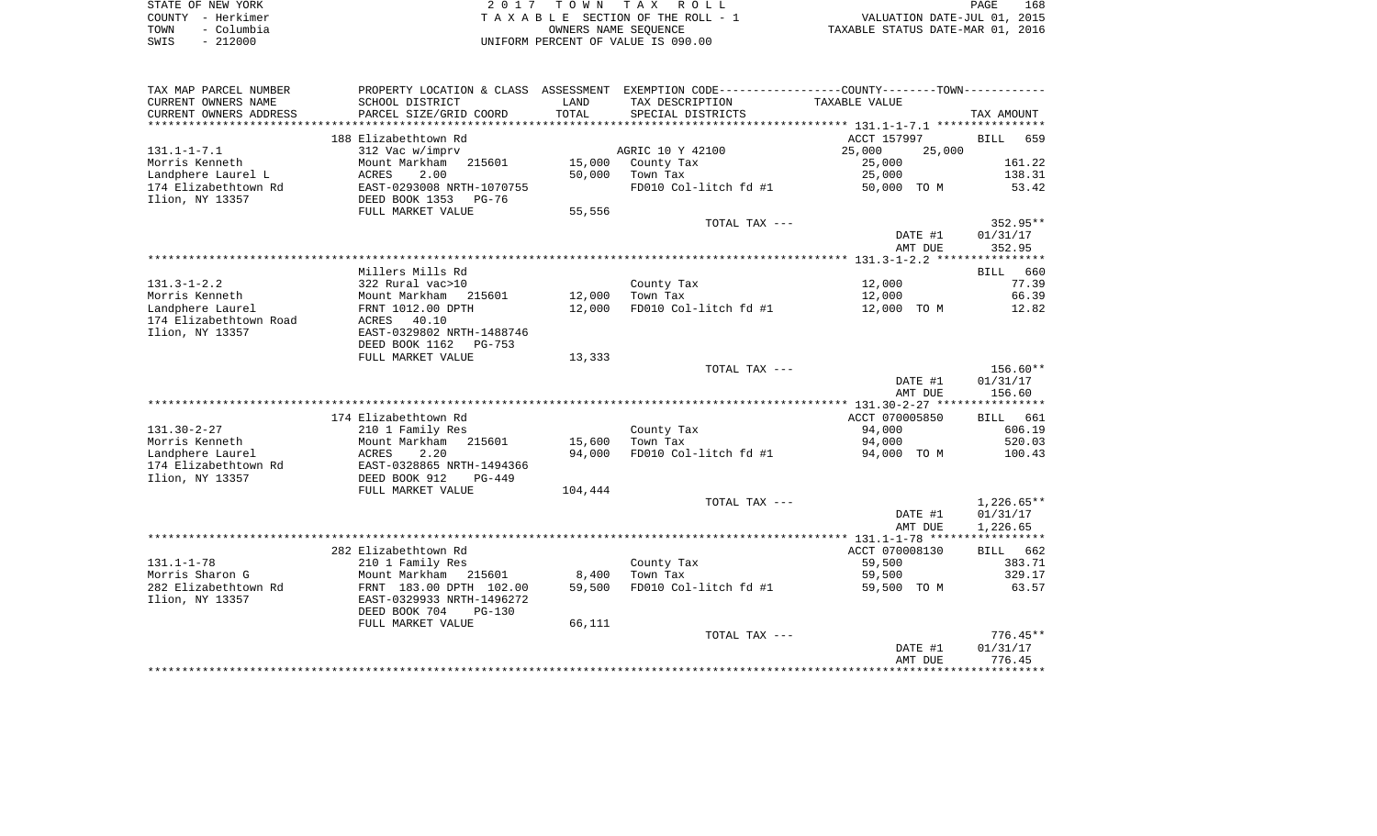|      | STATE OF NEW YORK | 2017 TOWN TAX ROLL                 | 168<br><b>PAGE</b>               |  |
|------|-------------------|------------------------------------|----------------------------------|--|
|      | COUNTY - Herkimer | TAXABLE SECTION OF THE ROLL - 1    | VALUATION DATE-JUL 01, 2015      |  |
| TOWN | - Columbia        | OWNERS NAME SEOUENCE               | TAXABLE STATUS DATE-MAR 01, 2016 |  |
| SWIS | $-212000$         | UNIFORM PERCENT OF VALUE IS 090.00 |                                  |  |

| TAX MAP PARCEL NUMBER                   |                                                        |         | PROPERTY LOCATION & CLASS ASSESSMENT EXEMPTION CODE---------------COUNTY-------TOWN---------- |                    |                    |
|-----------------------------------------|--------------------------------------------------------|---------|-----------------------------------------------------------------------------------------------|--------------------|--------------------|
| CURRENT OWNERS NAME                     | SCHOOL DISTRICT                                        | LAND    | TAX DESCRIPTION                                                                               | TAXABLE VALUE      |                    |
| CURRENT OWNERS ADDRESS                  | PARCEL SIZE/GRID COORD                                 | TOTAL   | SPECIAL DISTRICTS                                                                             |                    | TAX AMOUNT         |
| **********************                  |                                                        |         |                                                                                               |                    |                    |
|                                         | 188 Elizabethtown Rd                                   |         |                                                                                               | ACCT 157997        | BILL<br>659        |
| $131.1 - 1 - 7.1$                       | 312 Vac w/imprv                                        |         | AGRIC 10 Y 42100                                                                              | 25,000<br>25,000   |                    |
| Morris Kenneth                          | Mount Markham<br>215601                                | 15,000  | County Tax                                                                                    | 25,000             | 161.22             |
| Landphere Laurel L                      | 2.00<br>ACRES                                          | 50,000  | Town Tax                                                                                      | 25,000             | 138.31             |
| 174 Elizabethtown Rd<br>Ilion, NY 13357 | EAST-0293008 NRTH-1070755<br>DEED BOOK 1353<br>$PG-76$ |         | FD010 Col-litch fd #1                                                                         | 50,000 TO M        | 53.42              |
|                                         | FULL MARKET VALUE                                      | 55,556  |                                                                                               |                    |                    |
|                                         |                                                        |         | TOTAL TAX ---                                                                                 |                    | 352.95**           |
|                                         |                                                        |         |                                                                                               | DATE #1<br>AMT DUE | 01/31/17<br>352.95 |
|                                         |                                                        |         |                                                                                               |                    |                    |
|                                         | Millers Mills Rd                                       |         |                                                                                               |                    | BILL<br>660        |
| $131.3 - 1 - 2.2$                       | 322 Rural vac>10                                       |         | County Tax                                                                                    | 12,000             | 77.39              |
| Morris Kenneth                          | Mount Markham<br>215601                                | 12,000  | Town Tax                                                                                      | 12,000             | 66.39              |
| Landphere Laurel                        | FRNT 1012.00 DPTH                                      | 12,000  | FD010 Col-litch fd #1                                                                         | 12,000 TO M        | 12.82              |
| 174 Elizabethtown Road                  | ACRES<br>40.10                                         |         |                                                                                               |                    |                    |
| Ilion, NY 13357                         | EAST-0329802 NRTH-1488746                              |         |                                                                                               |                    |                    |
|                                         | DEED BOOK 1162<br>$PG-753$                             |         |                                                                                               |                    |                    |
|                                         | FULL MARKET VALUE                                      | 13,333  |                                                                                               |                    |                    |
|                                         |                                                        |         | TOTAL TAX ---                                                                                 |                    | $156.60**$         |
|                                         |                                                        |         |                                                                                               | DATE #1            | 01/31/17           |
|                                         |                                                        |         |                                                                                               | AMT DUE            | 156.60             |
|                                         | 174 Elizabethtown Rd                                   |         |                                                                                               | ACCT 070005850     |                    |
| $131.30 - 2 - 27$                       | 210 1 Family Res                                       |         | County Tax                                                                                    | 94,000             | BILL 661<br>606.19 |
| Morris Kenneth                          | Mount Markham<br>215601                                | 15,600  | Town Tax                                                                                      | 94,000             | 520.03             |
| Landphere Laurel                        | 2.20<br>ACRES                                          | 94,000  | FD010 Col-litch fd #1                                                                         | 94,000 TO M        | 100.43             |
| 174 Elizabethtown Rd                    | EAST-0328865 NRTH-1494366                              |         |                                                                                               |                    |                    |
| Ilion, NY 13357                         | DEED BOOK 912<br>$PG-449$                              |         |                                                                                               |                    |                    |
|                                         | FULL MARKET VALUE                                      | 104,444 |                                                                                               |                    |                    |
|                                         |                                                        |         | TOTAL TAX ---                                                                                 |                    | $1,226.65**$       |
|                                         |                                                        |         |                                                                                               | DATE #1            | 01/31/17           |
|                                         |                                                        |         |                                                                                               | AMT DUE            | 1,226.65           |
|                                         |                                                        |         |                                                                                               |                    |                    |
|                                         | 282 Elizabethtown Rd                                   |         |                                                                                               | ACCT 070008130     | BILL 662           |
| $131.1 - 1 - 78$                        | 210 1 Family Res                                       |         | County Tax                                                                                    | 59,500             | 383.71             |
| Morris Sharon G                         | Mount Markham<br>215601                                | 8,400   | Town Tax                                                                                      | 59,500             | 329.17             |
| 282 Elizabethtown Rd                    | FRNT 183.00 DPTH 102.00                                | 59,500  | FD010 Col-litch fd #1                                                                         | 59,500 TO M        | 63.57              |
| Ilion, NY 13357                         | EAST-0329933 NRTH-1496272                              |         |                                                                                               |                    |                    |
|                                         | DEED BOOK 704<br>$PG-130$                              |         |                                                                                               |                    |                    |
|                                         | FULL MARKET VALUE                                      | 66,111  |                                                                                               |                    |                    |
|                                         |                                                        |         | TOTAL TAX ---                                                                                 |                    | $776.45**$         |
|                                         |                                                        |         |                                                                                               | DATE #1            | 01/31/17           |
|                                         |                                                        |         |                                                                                               | AMT DUE            | 776.45             |
|                                         |                                                        |         |                                                                                               |                    |                    |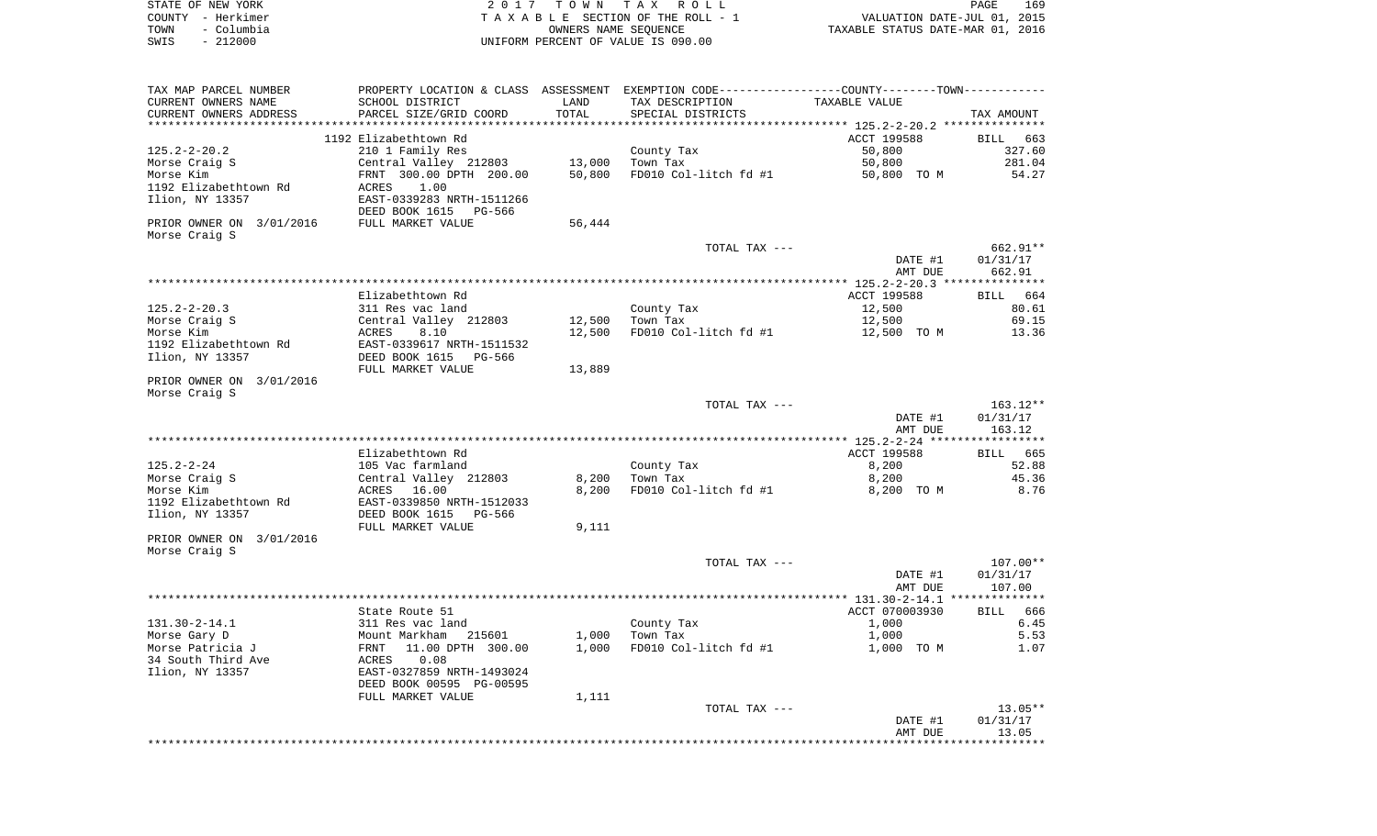|      | STATE OF NEW YORK | 2017 TOWN TAX ROLL                                             | PAGE | 169 |
|------|-------------------|----------------------------------------------------------------|------|-----|
|      | COUNTY - Herkimer | VALUATION DATE-JUL 01, 2015<br>TAXABLE SECTION OF THE ROLL - 1 |      |     |
| TOWN | – Columbia        | TAXABLE STATUS DATE-MAR 01, 2016<br>OWNERS NAME SEOUENCE       |      |     |
| SWIS | $-212000$         | UNIFORM PERCENT OF VALUE IS 090.00                             |      |     |

| SCHOOL DISTRICT<br>TAX DESCRIPTION<br>TAXABLE VALUE<br>LAND<br>TOTAL<br>PARCEL SIZE/GRID COORD<br>SPECIAL DISTRICTS<br>TAX AMOUNT<br>ACCT 199588<br>1192 Elizabethtown Rd<br><b>BILL</b><br>663<br>$125.2 - 2 - 20.2$<br>210 1 Family Res<br>County Tax<br>50,800<br>327.60<br>Central Valley 212803<br>13,000<br>50,800<br>Morse Craig S<br>Town Tax<br>281.04<br>FRNT 300.00 DPTH 200.00<br>50,800<br>FD010 Col-litch fd #1<br>54.27<br>Morse Kim<br>50,800 TO M<br>1192 Elizabethtown Rd<br>1.00<br>ACRES<br>Ilion, NY 13357<br>EAST-0339283 NRTH-1511266<br>DEED BOOK 1615<br>PG-566<br>PRIOR OWNER ON 3/01/2016<br>FULL MARKET VALUE<br>56,444<br>Morse Craig S<br>TOTAL TAX ---<br>662.91**<br>DATE #1<br>01/31/17<br>AMT DUE<br>662.91<br>ACCT 199588<br>Elizabethtown Rd<br>664<br>BILL<br>12,500<br>80.61<br>311 Res vac land<br>County Tax<br>Central Valley 212803<br>12,500<br>Town Tax<br>12,500<br>69.15<br>8.10<br>FD010 Col-litch fd #1<br>13.36<br>ACRES<br>12,500<br>12,500 TO M<br>EAST-0339617 NRTH-1511532<br>DEED BOOK 1615<br>PG-566<br>FULL MARKET VALUE<br>13,889<br>PRIOR OWNER ON 3/01/2016<br>Morse Craig S<br>TOTAL TAX ---<br>$163.12**$<br>DATE #1<br>01/31/17<br>AMT DUE<br>163.12<br>ACCT 199588<br>Elizabethtown Rd<br>BILL<br>665<br>$125.2 - 2 - 24$<br>8,200<br>105 Vac farmland<br>County Tax<br>52.88<br>Central Valley 212803<br>8,200<br>45.36<br>Morse Craig S<br>Town Tax<br>8,200<br>16.00<br>8,200<br>FD010 Col-litch fd #1<br>8.76<br>Morse Kim<br>ACRES<br>8,200 TO M<br>1192 Elizabethtown Rd<br>EAST-0339850 NRTH-1512033<br>DEED BOOK 1615<br>PG-566<br>FULL MARKET VALUE<br>9,111<br>107.00**<br>TOTAL TAX ---<br>DATE #1<br>01/31/17<br>AMT DUE<br>107.00<br>**************<br>ACCT 070003930<br>State Route 51<br>666<br>BILL<br>$131.30 - 2 - 14.1$<br>311 Res vac land<br>1,000<br>6.45<br>County Tax<br>Morse Gary D<br>Mount Markham<br>215601<br>1,000<br>Town Tax<br>1,000<br>5.53<br>Morse Patricia J<br>11.00 DPTH 300.00<br>1,000<br>FD010 Col-litch fd #1<br>FRNT<br>1,000 TO M<br>1.07<br>34 South Third Ave<br>0.08<br>ACRES<br>Ilion, NY 13357<br>EAST-0327859 NRTH-1493024<br>DEED BOOK 00595 PG-00595<br>FULL MARKET VALUE<br>1,111<br>13.05**<br>TOTAL TAX ---<br>DATE #1<br>01/31/17<br>AMT DUE<br>13.05 | TAX MAP PARCEL NUMBER    | PROPERTY LOCATION & CLASS ASSESSMENT EXEMPTION CODE----------------COUNTY-------TOWN---------- |  |  |
|--------------------------------------------------------------------------------------------------------------------------------------------------------------------------------------------------------------------------------------------------------------------------------------------------------------------------------------------------------------------------------------------------------------------------------------------------------------------------------------------------------------------------------------------------------------------------------------------------------------------------------------------------------------------------------------------------------------------------------------------------------------------------------------------------------------------------------------------------------------------------------------------------------------------------------------------------------------------------------------------------------------------------------------------------------------------------------------------------------------------------------------------------------------------------------------------------------------------------------------------------------------------------------------------------------------------------------------------------------------------------------------------------------------------------------------------------------------------------------------------------------------------------------------------------------------------------------------------------------------------------------------------------------------------------------------------------------------------------------------------------------------------------------------------------------------------------------------------------------------------------------------------------------------------------------------------------------------------------------------------------------------------------------------------------------------------------------------------------------------------------------------------------------------------------------------------------------------------------------------------------------------------------------|--------------------------|------------------------------------------------------------------------------------------------|--|--|
|                                                                                                                                                                                                                                                                                                                                                                                                                                                                                                                                                                                                                                                                                                                                                                                                                                                                                                                                                                                                                                                                                                                                                                                                                                                                                                                                                                                                                                                                                                                                                                                                                                                                                                                                                                                                                                                                                                                                                                                                                                                                                                                                                                                                                                                                                | CURRENT OWNERS NAME      |                                                                                                |  |  |
|                                                                                                                                                                                                                                                                                                                                                                                                                                                                                                                                                                                                                                                                                                                                                                                                                                                                                                                                                                                                                                                                                                                                                                                                                                                                                                                                                                                                                                                                                                                                                                                                                                                                                                                                                                                                                                                                                                                                                                                                                                                                                                                                                                                                                                                                                | CURRENT OWNERS ADDRESS   |                                                                                                |  |  |
|                                                                                                                                                                                                                                                                                                                                                                                                                                                                                                                                                                                                                                                                                                                                                                                                                                                                                                                                                                                                                                                                                                                                                                                                                                                                                                                                                                                                                                                                                                                                                                                                                                                                                                                                                                                                                                                                                                                                                                                                                                                                                                                                                                                                                                                                                |                          |                                                                                                |  |  |
|                                                                                                                                                                                                                                                                                                                                                                                                                                                                                                                                                                                                                                                                                                                                                                                                                                                                                                                                                                                                                                                                                                                                                                                                                                                                                                                                                                                                                                                                                                                                                                                                                                                                                                                                                                                                                                                                                                                                                                                                                                                                                                                                                                                                                                                                                |                          |                                                                                                |  |  |
|                                                                                                                                                                                                                                                                                                                                                                                                                                                                                                                                                                                                                                                                                                                                                                                                                                                                                                                                                                                                                                                                                                                                                                                                                                                                                                                                                                                                                                                                                                                                                                                                                                                                                                                                                                                                                                                                                                                                                                                                                                                                                                                                                                                                                                                                                |                          |                                                                                                |  |  |
|                                                                                                                                                                                                                                                                                                                                                                                                                                                                                                                                                                                                                                                                                                                                                                                                                                                                                                                                                                                                                                                                                                                                                                                                                                                                                                                                                                                                                                                                                                                                                                                                                                                                                                                                                                                                                                                                                                                                                                                                                                                                                                                                                                                                                                                                                |                          |                                                                                                |  |  |
|                                                                                                                                                                                                                                                                                                                                                                                                                                                                                                                                                                                                                                                                                                                                                                                                                                                                                                                                                                                                                                                                                                                                                                                                                                                                                                                                                                                                                                                                                                                                                                                                                                                                                                                                                                                                                                                                                                                                                                                                                                                                                                                                                                                                                                                                                |                          |                                                                                                |  |  |
|                                                                                                                                                                                                                                                                                                                                                                                                                                                                                                                                                                                                                                                                                                                                                                                                                                                                                                                                                                                                                                                                                                                                                                                                                                                                                                                                                                                                                                                                                                                                                                                                                                                                                                                                                                                                                                                                                                                                                                                                                                                                                                                                                                                                                                                                                |                          |                                                                                                |  |  |
|                                                                                                                                                                                                                                                                                                                                                                                                                                                                                                                                                                                                                                                                                                                                                                                                                                                                                                                                                                                                                                                                                                                                                                                                                                                                                                                                                                                                                                                                                                                                                                                                                                                                                                                                                                                                                                                                                                                                                                                                                                                                                                                                                                                                                                                                                |                          |                                                                                                |  |  |
|                                                                                                                                                                                                                                                                                                                                                                                                                                                                                                                                                                                                                                                                                                                                                                                                                                                                                                                                                                                                                                                                                                                                                                                                                                                                                                                                                                                                                                                                                                                                                                                                                                                                                                                                                                                                                                                                                                                                                                                                                                                                                                                                                                                                                                                                                |                          |                                                                                                |  |  |
|                                                                                                                                                                                                                                                                                                                                                                                                                                                                                                                                                                                                                                                                                                                                                                                                                                                                                                                                                                                                                                                                                                                                                                                                                                                                                                                                                                                                                                                                                                                                                                                                                                                                                                                                                                                                                                                                                                                                                                                                                                                                                                                                                                                                                                                                                |                          |                                                                                                |  |  |
|                                                                                                                                                                                                                                                                                                                                                                                                                                                                                                                                                                                                                                                                                                                                                                                                                                                                                                                                                                                                                                                                                                                                                                                                                                                                                                                                                                                                                                                                                                                                                                                                                                                                                                                                                                                                                                                                                                                                                                                                                                                                                                                                                                                                                                                                                |                          |                                                                                                |  |  |
|                                                                                                                                                                                                                                                                                                                                                                                                                                                                                                                                                                                                                                                                                                                                                                                                                                                                                                                                                                                                                                                                                                                                                                                                                                                                                                                                                                                                                                                                                                                                                                                                                                                                                                                                                                                                                                                                                                                                                                                                                                                                                                                                                                                                                                                                                |                          |                                                                                                |  |  |
|                                                                                                                                                                                                                                                                                                                                                                                                                                                                                                                                                                                                                                                                                                                                                                                                                                                                                                                                                                                                                                                                                                                                                                                                                                                                                                                                                                                                                                                                                                                                                                                                                                                                                                                                                                                                                                                                                                                                                                                                                                                                                                                                                                                                                                                                                |                          |                                                                                                |  |  |
|                                                                                                                                                                                                                                                                                                                                                                                                                                                                                                                                                                                                                                                                                                                                                                                                                                                                                                                                                                                                                                                                                                                                                                                                                                                                                                                                                                                                                                                                                                                                                                                                                                                                                                                                                                                                                                                                                                                                                                                                                                                                                                                                                                                                                                                                                |                          |                                                                                                |  |  |
|                                                                                                                                                                                                                                                                                                                                                                                                                                                                                                                                                                                                                                                                                                                                                                                                                                                                                                                                                                                                                                                                                                                                                                                                                                                                                                                                                                                                                                                                                                                                                                                                                                                                                                                                                                                                                                                                                                                                                                                                                                                                                                                                                                                                                                                                                |                          |                                                                                                |  |  |
|                                                                                                                                                                                                                                                                                                                                                                                                                                                                                                                                                                                                                                                                                                                                                                                                                                                                                                                                                                                                                                                                                                                                                                                                                                                                                                                                                                                                                                                                                                                                                                                                                                                                                                                                                                                                                                                                                                                                                                                                                                                                                                                                                                                                                                                                                | $125.2 - 2 - 20.3$       |                                                                                                |  |  |
|                                                                                                                                                                                                                                                                                                                                                                                                                                                                                                                                                                                                                                                                                                                                                                                                                                                                                                                                                                                                                                                                                                                                                                                                                                                                                                                                                                                                                                                                                                                                                                                                                                                                                                                                                                                                                                                                                                                                                                                                                                                                                                                                                                                                                                                                                | Morse Craig S            |                                                                                                |  |  |
|                                                                                                                                                                                                                                                                                                                                                                                                                                                                                                                                                                                                                                                                                                                                                                                                                                                                                                                                                                                                                                                                                                                                                                                                                                                                                                                                                                                                                                                                                                                                                                                                                                                                                                                                                                                                                                                                                                                                                                                                                                                                                                                                                                                                                                                                                | Morse Kim                |                                                                                                |  |  |
|                                                                                                                                                                                                                                                                                                                                                                                                                                                                                                                                                                                                                                                                                                                                                                                                                                                                                                                                                                                                                                                                                                                                                                                                                                                                                                                                                                                                                                                                                                                                                                                                                                                                                                                                                                                                                                                                                                                                                                                                                                                                                                                                                                                                                                                                                | 1192 Elizabethtown Rd    |                                                                                                |  |  |
|                                                                                                                                                                                                                                                                                                                                                                                                                                                                                                                                                                                                                                                                                                                                                                                                                                                                                                                                                                                                                                                                                                                                                                                                                                                                                                                                                                                                                                                                                                                                                                                                                                                                                                                                                                                                                                                                                                                                                                                                                                                                                                                                                                                                                                                                                | Ilion, NY 13357          |                                                                                                |  |  |
|                                                                                                                                                                                                                                                                                                                                                                                                                                                                                                                                                                                                                                                                                                                                                                                                                                                                                                                                                                                                                                                                                                                                                                                                                                                                                                                                                                                                                                                                                                                                                                                                                                                                                                                                                                                                                                                                                                                                                                                                                                                                                                                                                                                                                                                                                |                          |                                                                                                |  |  |
|                                                                                                                                                                                                                                                                                                                                                                                                                                                                                                                                                                                                                                                                                                                                                                                                                                                                                                                                                                                                                                                                                                                                                                                                                                                                                                                                                                                                                                                                                                                                                                                                                                                                                                                                                                                                                                                                                                                                                                                                                                                                                                                                                                                                                                                                                |                          |                                                                                                |  |  |
|                                                                                                                                                                                                                                                                                                                                                                                                                                                                                                                                                                                                                                                                                                                                                                                                                                                                                                                                                                                                                                                                                                                                                                                                                                                                                                                                                                                                                                                                                                                                                                                                                                                                                                                                                                                                                                                                                                                                                                                                                                                                                                                                                                                                                                                                                |                          |                                                                                                |  |  |
|                                                                                                                                                                                                                                                                                                                                                                                                                                                                                                                                                                                                                                                                                                                                                                                                                                                                                                                                                                                                                                                                                                                                                                                                                                                                                                                                                                                                                                                                                                                                                                                                                                                                                                                                                                                                                                                                                                                                                                                                                                                                                                                                                                                                                                                                                |                          |                                                                                                |  |  |
|                                                                                                                                                                                                                                                                                                                                                                                                                                                                                                                                                                                                                                                                                                                                                                                                                                                                                                                                                                                                                                                                                                                                                                                                                                                                                                                                                                                                                                                                                                                                                                                                                                                                                                                                                                                                                                                                                                                                                                                                                                                                                                                                                                                                                                                                                |                          |                                                                                                |  |  |
|                                                                                                                                                                                                                                                                                                                                                                                                                                                                                                                                                                                                                                                                                                                                                                                                                                                                                                                                                                                                                                                                                                                                                                                                                                                                                                                                                                                                                                                                                                                                                                                                                                                                                                                                                                                                                                                                                                                                                                                                                                                                                                                                                                                                                                                                                |                          |                                                                                                |  |  |
|                                                                                                                                                                                                                                                                                                                                                                                                                                                                                                                                                                                                                                                                                                                                                                                                                                                                                                                                                                                                                                                                                                                                                                                                                                                                                                                                                                                                                                                                                                                                                                                                                                                                                                                                                                                                                                                                                                                                                                                                                                                                                                                                                                                                                                                                                |                          |                                                                                                |  |  |
|                                                                                                                                                                                                                                                                                                                                                                                                                                                                                                                                                                                                                                                                                                                                                                                                                                                                                                                                                                                                                                                                                                                                                                                                                                                                                                                                                                                                                                                                                                                                                                                                                                                                                                                                                                                                                                                                                                                                                                                                                                                                                                                                                                                                                                                                                |                          |                                                                                                |  |  |
|                                                                                                                                                                                                                                                                                                                                                                                                                                                                                                                                                                                                                                                                                                                                                                                                                                                                                                                                                                                                                                                                                                                                                                                                                                                                                                                                                                                                                                                                                                                                                                                                                                                                                                                                                                                                                                                                                                                                                                                                                                                                                                                                                                                                                                                                                |                          |                                                                                                |  |  |
|                                                                                                                                                                                                                                                                                                                                                                                                                                                                                                                                                                                                                                                                                                                                                                                                                                                                                                                                                                                                                                                                                                                                                                                                                                                                                                                                                                                                                                                                                                                                                                                                                                                                                                                                                                                                                                                                                                                                                                                                                                                                                                                                                                                                                                                                                |                          |                                                                                                |  |  |
|                                                                                                                                                                                                                                                                                                                                                                                                                                                                                                                                                                                                                                                                                                                                                                                                                                                                                                                                                                                                                                                                                                                                                                                                                                                                                                                                                                                                                                                                                                                                                                                                                                                                                                                                                                                                                                                                                                                                                                                                                                                                                                                                                                                                                                                                                |                          |                                                                                                |  |  |
|                                                                                                                                                                                                                                                                                                                                                                                                                                                                                                                                                                                                                                                                                                                                                                                                                                                                                                                                                                                                                                                                                                                                                                                                                                                                                                                                                                                                                                                                                                                                                                                                                                                                                                                                                                                                                                                                                                                                                                                                                                                                                                                                                                                                                                                                                | Ilion, NY 13357          |                                                                                                |  |  |
|                                                                                                                                                                                                                                                                                                                                                                                                                                                                                                                                                                                                                                                                                                                                                                                                                                                                                                                                                                                                                                                                                                                                                                                                                                                                                                                                                                                                                                                                                                                                                                                                                                                                                                                                                                                                                                                                                                                                                                                                                                                                                                                                                                                                                                                                                |                          |                                                                                                |  |  |
|                                                                                                                                                                                                                                                                                                                                                                                                                                                                                                                                                                                                                                                                                                                                                                                                                                                                                                                                                                                                                                                                                                                                                                                                                                                                                                                                                                                                                                                                                                                                                                                                                                                                                                                                                                                                                                                                                                                                                                                                                                                                                                                                                                                                                                                                                | PRIOR OWNER ON 3/01/2016 |                                                                                                |  |  |
|                                                                                                                                                                                                                                                                                                                                                                                                                                                                                                                                                                                                                                                                                                                                                                                                                                                                                                                                                                                                                                                                                                                                                                                                                                                                                                                                                                                                                                                                                                                                                                                                                                                                                                                                                                                                                                                                                                                                                                                                                                                                                                                                                                                                                                                                                | Morse Craig S            |                                                                                                |  |  |
|                                                                                                                                                                                                                                                                                                                                                                                                                                                                                                                                                                                                                                                                                                                                                                                                                                                                                                                                                                                                                                                                                                                                                                                                                                                                                                                                                                                                                                                                                                                                                                                                                                                                                                                                                                                                                                                                                                                                                                                                                                                                                                                                                                                                                                                                                |                          |                                                                                                |  |  |
|                                                                                                                                                                                                                                                                                                                                                                                                                                                                                                                                                                                                                                                                                                                                                                                                                                                                                                                                                                                                                                                                                                                                                                                                                                                                                                                                                                                                                                                                                                                                                                                                                                                                                                                                                                                                                                                                                                                                                                                                                                                                                                                                                                                                                                                                                |                          |                                                                                                |  |  |
|                                                                                                                                                                                                                                                                                                                                                                                                                                                                                                                                                                                                                                                                                                                                                                                                                                                                                                                                                                                                                                                                                                                                                                                                                                                                                                                                                                                                                                                                                                                                                                                                                                                                                                                                                                                                                                                                                                                                                                                                                                                                                                                                                                                                                                                                                |                          |                                                                                                |  |  |
|                                                                                                                                                                                                                                                                                                                                                                                                                                                                                                                                                                                                                                                                                                                                                                                                                                                                                                                                                                                                                                                                                                                                                                                                                                                                                                                                                                                                                                                                                                                                                                                                                                                                                                                                                                                                                                                                                                                                                                                                                                                                                                                                                                                                                                                                                |                          |                                                                                                |  |  |
|                                                                                                                                                                                                                                                                                                                                                                                                                                                                                                                                                                                                                                                                                                                                                                                                                                                                                                                                                                                                                                                                                                                                                                                                                                                                                                                                                                                                                                                                                                                                                                                                                                                                                                                                                                                                                                                                                                                                                                                                                                                                                                                                                                                                                                                                                |                          |                                                                                                |  |  |
|                                                                                                                                                                                                                                                                                                                                                                                                                                                                                                                                                                                                                                                                                                                                                                                                                                                                                                                                                                                                                                                                                                                                                                                                                                                                                                                                                                                                                                                                                                                                                                                                                                                                                                                                                                                                                                                                                                                                                                                                                                                                                                                                                                                                                                                                                |                          |                                                                                                |  |  |
|                                                                                                                                                                                                                                                                                                                                                                                                                                                                                                                                                                                                                                                                                                                                                                                                                                                                                                                                                                                                                                                                                                                                                                                                                                                                                                                                                                                                                                                                                                                                                                                                                                                                                                                                                                                                                                                                                                                                                                                                                                                                                                                                                                                                                                                                                |                          |                                                                                                |  |  |
|                                                                                                                                                                                                                                                                                                                                                                                                                                                                                                                                                                                                                                                                                                                                                                                                                                                                                                                                                                                                                                                                                                                                                                                                                                                                                                                                                                                                                                                                                                                                                                                                                                                                                                                                                                                                                                                                                                                                                                                                                                                                                                                                                                                                                                                                                |                          |                                                                                                |  |  |
|                                                                                                                                                                                                                                                                                                                                                                                                                                                                                                                                                                                                                                                                                                                                                                                                                                                                                                                                                                                                                                                                                                                                                                                                                                                                                                                                                                                                                                                                                                                                                                                                                                                                                                                                                                                                                                                                                                                                                                                                                                                                                                                                                                                                                                                                                |                          |                                                                                                |  |  |
|                                                                                                                                                                                                                                                                                                                                                                                                                                                                                                                                                                                                                                                                                                                                                                                                                                                                                                                                                                                                                                                                                                                                                                                                                                                                                                                                                                                                                                                                                                                                                                                                                                                                                                                                                                                                                                                                                                                                                                                                                                                                                                                                                                                                                                                                                |                          |                                                                                                |  |  |
|                                                                                                                                                                                                                                                                                                                                                                                                                                                                                                                                                                                                                                                                                                                                                                                                                                                                                                                                                                                                                                                                                                                                                                                                                                                                                                                                                                                                                                                                                                                                                                                                                                                                                                                                                                                                                                                                                                                                                                                                                                                                                                                                                                                                                                                                                |                          |                                                                                                |  |  |
|                                                                                                                                                                                                                                                                                                                                                                                                                                                                                                                                                                                                                                                                                                                                                                                                                                                                                                                                                                                                                                                                                                                                                                                                                                                                                                                                                                                                                                                                                                                                                                                                                                                                                                                                                                                                                                                                                                                                                                                                                                                                                                                                                                                                                                                                                |                          |                                                                                                |  |  |
|                                                                                                                                                                                                                                                                                                                                                                                                                                                                                                                                                                                                                                                                                                                                                                                                                                                                                                                                                                                                                                                                                                                                                                                                                                                                                                                                                                                                                                                                                                                                                                                                                                                                                                                                                                                                                                                                                                                                                                                                                                                                                                                                                                                                                                                                                |                          |                                                                                                |  |  |
|                                                                                                                                                                                                                                                                                                                                                                                                                                                                                                                                                                                                                                                                                                                                                                                                                                                                                                                                                                                                                                                                                                                                                                                                                                                                                                                                                                                                                                                                                                                                                                                                                                                                                                                                                                                                                                                                                                                                                                                                                                                                                                                                                                                                                                                                                |                          |                                                                                                |  |  |
|                                                                                                                                                                                                                                                                                                                                                                                                                                                                                                                                                                                                                                                                                                                                                                                                                                                                                                                                                                                                                                                                                                                                                                                                                                                                                                                                                                                                                                                                                                                                                                                                                                                                                                                                                                                                                                                                                                                                                                                                                                                                                                                                                                                                                                                                                |                          |                                                                                                |  |  |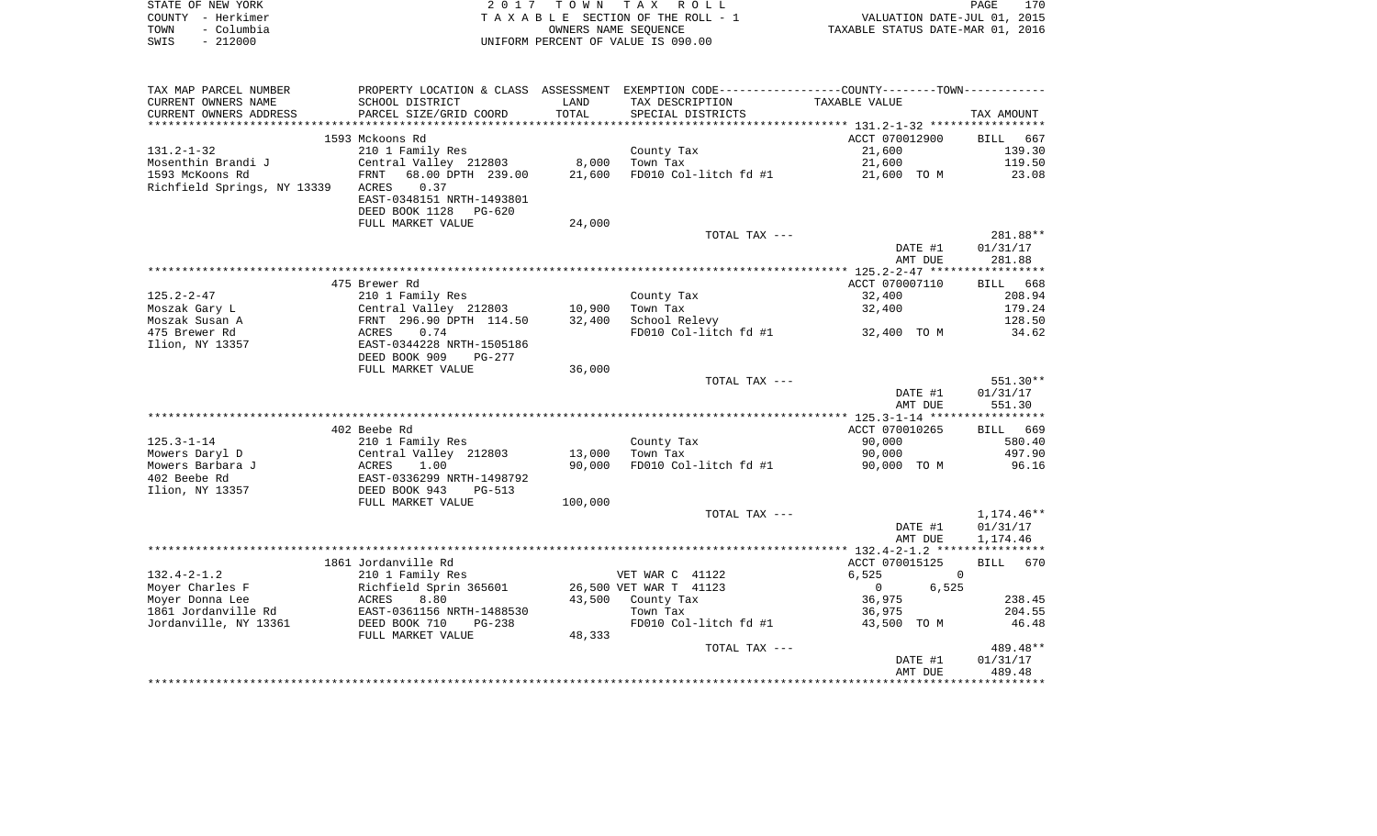| STATE OF NEW YORK |            | 2017 TOWN TAX ROLL                 |                      |                                  | PAGE | 170 |
|-------------------|------------|------------------------------------|----------------------|----------------------------------|------|-----|
| COUNTY - Herkimer |            | TAXABLE SECTION OF THE ROLL - 1    |                      | VALUATION DATE-JUL 01, 2015      |      |     |
| TOWN              | – Columbia |                                    | OWNERS NAME SEOUENCE | TAXABLE STATUS DATE-MAR 01, 2016 |      |     |
| $-212000$<br>SWIS |            | UNIFORM PERCENT OF VALUE IS 090.00 |                      |                                  |      |     |

|                             |                            |         |                                                                                              | AMT DUE                 | 489.48             |
|-----------------------------|----------------------------|---------|----------------------------------------------------------------------------------------------|-------------------------|--------------------|
|                             |                            |         |                                                                                              | DATE #1                 | 01/31/17           |
|                             |                            |         | TOTAL TAX ---                                                                                |                         | 489.48**           |
|                             | FULL MARKET VALUE          | 48,333  |                                                                                              |                         |                    |
| Jordanville, NY 13361       | DEED BOOK 710<br>$PG-238$  |         | FD010 Col-litch fd #1                                                                        | 43,500 TO M             | 46.48              |
| 1861 Jordanville Rd         | EAST-0361156 NRTH-1488530  |         | Town Tax                                                                                     | 36,975                  | 204.55             |
| Moyer Donna Lee             | ACRES<br>8.80              | 43,500  | County Tax                                                                                   | 36,975                  | 238.45             |
| Moyer Charles F             | Richfield Sprin 365601     |         | 26,500 VET WAR T 41123                                                                       | 6,525<br>$\Omega$       |                    |
| $132.4 - 2 - 1.2$           | 210 1 Family Res           |         | VET WAR C 41122                                                                              | 6.525<br>$\overline{0}$ |                    |
|                             | 1861 Jordanville Rd        |         |                                                                                              | ACCT 070015125          | 670<br><b>BILL</b> |
|                             |                            |         |                                                                                              |                         |                    |
|                             |                            |         |                                                                                              | AMT DUE                 | 1,174.46           |
|                             |                            |         |                                                                                              | DATE #1                 | 01/31/17           |
|                             |                            |         | TOTAL TAX ---                                                                                |                         | 1,174.46**         |
|                             | FULL MARKET VALUE          | 100,000 |                                                                                              |                         |                    |
| Ilion, NY 13357             | DEED BOOK 943<br>$PG-513$  |         |                                                                                              |                         |                    |
| 402 Beebe Rd                | EAST-0336299 NRTH-1498792  |         |                                                                                              |                         |                    |
| Mowers Barbara J            | ACRES<br>1.00              | 90,000  | FD010 Col-litch fd #1                                                                        | 90,000 TO M             | 96.16              |
| Mowers Daryl D              | Central Valley 212803      | 13,000  | Town Tax                                                                                     | 90,000                  | 497.90             |
| $125.3 - 1 - 14$            | 210 1 Family Res           |         | County Tax                                                                                   | 90,000                  | 580.40             |
|                             | 402 Beebe Rd               |         |                                                                                              | ACCT 070010265          | BILL 669           |
|                             |                            |         |                                                                                              |                         |                    |
|                             |                            |         |                                                                                              | AMT DUE                 | 551.30             |
|                             |                            |         |                                                                                              | DATE #1                 | 01/31/17           |
|                             |                            |         | TOTAL TAX ---                                                                                |                         | 551.30**           |
|                             | FULL MARKET VALUE          | 36,000  |                                                                                              |                         |                    |
|                             | DEED BOOK 909<br>PG-277    |         |                                                                                              |                         |                    |
| Ilion, NY 13357             | EAST-0344228 NRTH-1505186  |         |                                                                                              |                         |                    |
| 475 Brewer Rd               | 0.74<br>ACRES              |         | FD010 Col-litch fd #1                                                                        | 32,400 TO M             | 34.62              |
| Moszak Susan A              | FRNT 296.90 DPTH 114.50    | 32,400  | School Relevy                                                                                |                         | 128.50             |
| Moszak Gary L               | Central Valley 212803      | 10,900  | Town Tax                                                                                     | 32,400                  | 179.24             |
| $125.2 - 2 - 47$            | 210 1 Family Res           |         | County Tax                                                                                   | 32,400                  | 208.94             |
|                             | 475 Brewer Rd              |         |                                                                                              | ACCT 070007110          | BILL 668           |
|                             |                            |         |                                                                                              |                         |                    |
|                             |                            |         |                                                                                              | AMT DUE                 | 281.88             |
|                             |                            |         |                                                                                              | DATE #1                 | 01/31/17           |
|                             |                            |         | TOTAL TAX ---                                                                                |                         | 281.88**           |
|                             | FULL MARKET VALUE          | 24,000  |                                                                                              |                         |                    |
|                             | DEED BOOK 1128<br>$PG-620$ |         |                                                                                              |                         |                    |
|                             | EAST-0348151 NRTH-1493801  |         |                                                                                              |                         |                    |
| Richfield Springs, NY 13339 | 0.37<br>ACRES              |         |                                                                                              |                         |                    |
| 1593 McKoons Rd             | 68.00 DPTH 239.00<br>FRNT  | 21,600  | FD010 Col-litch fd #1                                                                        | 21,600 TO M             | 23.08              |
| Mosenthin Brandi J          | Central Valley 212803      | 8,000   | Town Tax                                                                                     | 21,600                  | 119.50             |
| $131.2 - 1 - 32$            | 210 1 Family Res           |         | County Tax                                                                                   | 21,600                  | 139.30             |
|                             | 1593 Mckoons Rd            |         |                                                                                              | ACCT 070012900          | <b>BILL</b><br>667 |
| **********************      |                            |         |                                                                                              |                         |                    |
| CURRENT OWNERS ADDRESS      | PARCEL SIZE/GRID COORD     | TOTAL   | SPECIAL DISTRICTS                                                                            |                         | TAX AMOUNT         |
| CURRENT OWNERS NAME         | SCHOOL DISTRICT            | LAND    | TAX DESCRIPTION                                                                              | TAXABLE VALUE           |                    |
| TAX MAP PARCEL NUMBER       |                            |         | PROPERTY LOCATION & CLASS ASSESSMENT EXEMPTION CODE---------------COUNTY-------TOWN--------- |                         |                    |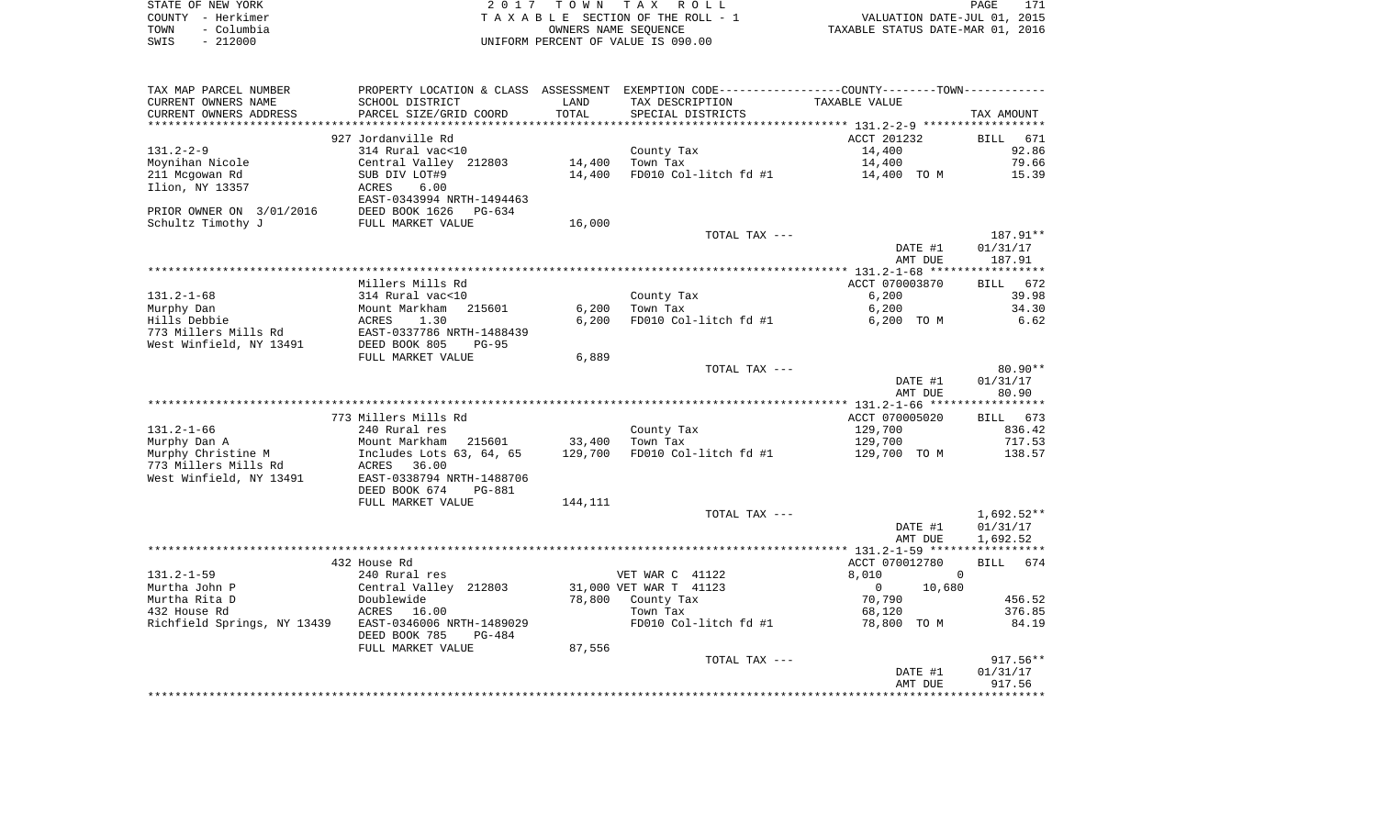| STATE OF NEW YORK |                   | 2017 TOWN TAX ROLL                 | PAGE                             | 171 |
|-------------------|-------------------|------------------------------------|----------------------------------|-----|
|                   | COUNTY - Herkimer | TAXABLE SECTION OF THE ROLL - 1    | VALUATION DATE-JUL 01, 2015      |     |
| TOWN - Columbia   |                   | OWNERS NAME SEOUENCE               | TAXABLE STATUS DATE-MAR 01, 2016 |     |
| SWIS              | - 212000          | UNIFORM PERCENT OF VALUE IS 090.00 |                                  |     |

| TAX MAP PARCEL NUMBER       | PROPERTY LOCATION & CLASS                  | ASSESSMENT | EXEMPTION CODE-----------------COUNTY--------TOWN----------- |                          |                    |
|-----------------------------|--------------------------------------------|------------|--------------------------------------------------------------|--------------------------|--------------------|
| CURRENT OWNERS NAME         | SCHOOL DISTRICT                            | LAND       | TAX DESCRIPTION                                              | TAXABLE VALUE            |                    |
| CURRENT OWNERS ADDRESS      | PARCEL SIZE/GRID COORD                     | TOTAL      | SPECIAL DISTRICTS                                            |                          | TAX AMOUNT         |
|                             |                                            |            |                                                              |                          |                    |
|                             | 927 Jordanville Rd                         |            |                                                              | ACCT 201232              | BILL<br>671        |
| $131.2 - 2 - 9$             | 314 Rural vac<10                           |            | County Tax                                                   | 14,400                   | 92.86              |
| Moynihan Nicole             | Central Valley 212803                      | 14,400     | Town Tax                                                     | 14,400                   | 79.66              |
| 211 Mcgowan Rd              | SUB DIV LOT#9                              | 14,400     | FD010 Col-litch fd #1                                        | 14,400 TO M              | 15.39              |
| Ilion, NY 13357             | ACRES<br>6.00                              |            |                                                              |                          |                    |
|                             | EAST-0343994 NRTH-1494463                  |            |                                                              |                          |                    |
| PRIOR OWNER ON 3/01/2016    | DEED BOOK 1626<br>PG-634                   |            |                                                              |                          |                    |
| Schultz Timothy J           | FULL MARKET VALUE                          | 16,000     |                                                              |                          |                    |
|                             |                                            |            | TOTAL TAX ---                                                |                          | 187.91**           |
|                             |                                            |            |                                                              | DATE #1                  | 01/31/17           |
|                             |                                            |            |                                                              | AMT DUE                  | 187.91             |
|                             |                                            |            |                                                              |                          |                    |
|                             | Millers Mills Rd                           |            |                                                              | ACCT 070003870           | BILL 672           |
| $131.2 - 1 - 68$            | 314 Rural vac<10                           |            | County Tax                                                   | 6,200                    | 39.98              |
| Murphy Dan                  | Mount Markham<br>215601                    | 6,200      | Town Tax                                                     | 6,200                    | 34.30              |
| Hills Debbie                | 1.30<br>ACRES                              | 6,200      | FD010 Col-litch fd #1                                        | 6,200 TO M               | 6.62               |
| 773 Millers Mills Rd        | EAST-0337786 NRTH-1488439                  |            |                                                              |                          |                    |
| West Winfield, NY 13491     | DEED BOOK 805<br>$PG-95$                   |            |                                                              |                          |                    |
|                             | FULL MARKET VALUE                          | 6,889      |                                                              |                          |                    |
|                             |                                            |            | TOTAL TAX ---                                                |                          | $80.90**$          |
|                             |                                            |            |                                                              | DATE #1                  | 01/31/17           |
|                             |                                            |            |                                                              | AMT DUE                  | 80.90              |
|                             |                                            |            |                                                              |                          |                    |
|                             | 773 Millers Mills Rd                       |            |                                                              | ACCT 070005020           | BILL 673           |
| $131.2 - 1 - 66$            | 240 Rural res                              |            | County Tax                                                   | 129,700                  | 836.42             |
| Murphy Dan A                | Mount Markham<br>215601                    | 33,400     | Town Tax                                                     | 129,700                  | 717.53             |
| Murphy Christine M          | Includes Lots 63, 64, 65                   | 129,700    | FD010 Col-litch fd #1                                        | 129,700 TO M             | 138.57             |
| 773 Millers Mills Rd        | ACRES<br>36.00                             |            |                                                              |                          |                    |
| West Winfield, NY 13491     | EAST-0338794 NRTH-1488706                  |            |                                                              |                          |                    |
|                             | DEED BOOK 674<br><b>PG-881</b>             |            |                                                              |                          |                    |
|                             | FULL MARKET VALUE                          | 144,111    |                                                              |                          |                    |
|                             |                                            |            | TOTAL TAX ---                                                |                          | $1,692.52**$       |
|                             |                                            |            |                                                              | DATE #1                  | 01/31/17           |
|                             |                                            |            |                                                              | AMT DUE                  | 1,692.52           |
|                             |                                            |            |                                                              |                          |                    |
|                             | 432 House Rd                               |            |                                                              | ACCT 070012780           | <b>BILL</b><br>674 |
| $131.2 - 1 - 59$            | 240 Rural res                              |            | VET WAR C 41122                                              | 8,010<br>$\Omega$        |                    |
| Murtha John P               | Central Valley 212803                      |            | 31,000 VET WAR T 41123                                       | $\overline{0}$<br>10,680 |                    |
| Murtha Rita D               | Doublewide                                 |            | 78,800 County Tax                                            | 70,790                   | 456.52             |
| 432 House Rd                | ACRES 16.00                                |            | Town Tax                                                     | 68,120                   | 376.85<br>84.19    |
| Richfield Springs, NY 13439 | EAST-0346006 NRTH-1489029<br>DEED BOOK 785 |            | FD010 Col-litch fd #1                                        | 78,800 TO M              |                    |
|                             | PG-484                                     |            |                                                              |                          |                    |
|                             | FULL MARKET VALUE                          | 87,556     | TOTAL TAX ---                                                |                          | $917.56**$         |
|                             |                                            |            |                                                              | DATE #1                  | 01/31/17           |
|                             |                                            |            |                                                              | AMT DUE                  | 917.56             |
|                             |                                            |            |                                                              |                          |                    |
|                             |                                            |            |                                                              |                          |                    |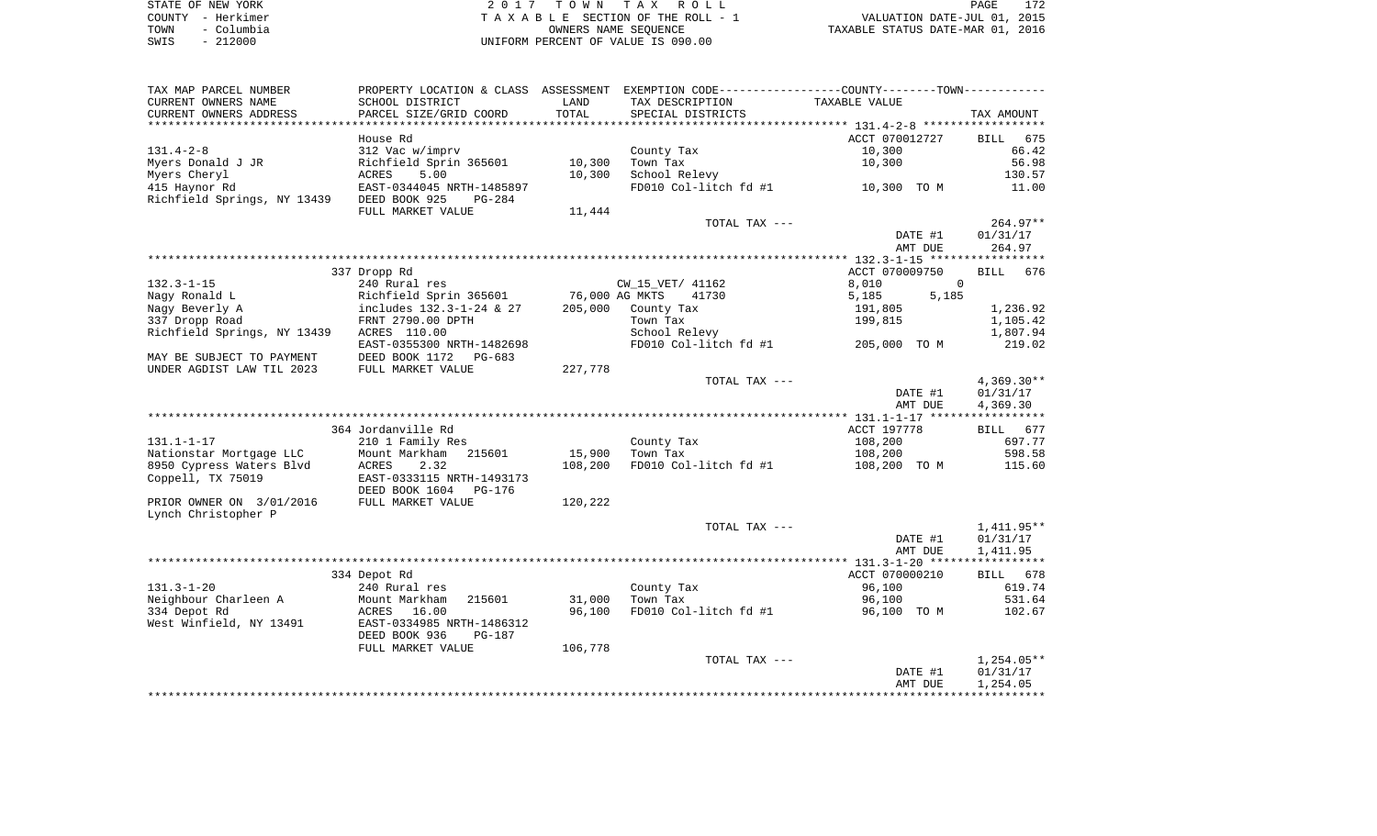| STATE OF NEW YORK  | 2017 TOWN TAX ROLL                 | 172<br>PAGE                      |
|--------------------|------------------------------------|----------------------------------|
| COUNTY - Herkimer  | TAXABLE SECTION OF THE ROLL - 1    | VALUATION DATE-JUL 01, 2015      |
| - Columbia<br>TOWN | OWNERS NAME SEOUENCE               | TAXABLE STATUS DATE-MAR 01, 2016 |
| $-212000$<br>SWIS  | UNIFORM PERCENT OF VALUE IS 090.00 |                                  |

| TAX MAP PARCEL NUMBER       | PROPERTY LOCATION & CLASS ASSESSMENT EXEMPTION CODE----------------COUNTY-------TOWN---------- |                |                       |                      |                    |
|-----------------------------|------------------------------------------------------------------------------------------------|----------------|-----------------------|----------------------|--------------------|
| CURRENT OWNERS NAME         | SCHOOL DISTRICT                                                                                | LAND           | TAX DESCRIPTION       | TAXABLE VALUE        |                    |
| CURRENT OWNERS ADDRESS      | PARCEL SIZE/GRID COORD                                                                         | TOTAL          | SPECIAL DISTRICTS     |                      | TAX AMOUNT         |
|                             |                                                                                                |                |                       |                      |                    |
|                             | House Rd                                                                                       |                |                       | ACCT 070012727       | <b>BILL</b><br>675 |
| $131.4 - 2 - 8$             | 312 Vac w/imprv                                                                                |                | County Tax            | 10,300               | 66.42              |
| Myers Donald J JR           | Richfield Sprin 365601                                                                         | 10,300         | Town Tax              | 10,300               | 56.98              |
| Myers Cheryl                | ACRES<br>5.00                                                                                  | 10,300         | School Relevy         |                      | 130.57             |
| 415 Haynor Rd               | EAST-0344045 NRTH-1485897                                                                      |                | FD010 Col-litch fd #1 | 10,300 TO M          | 11.00              |
| Richfield Springs, NY 13439 | DEED BOOK 925<br>PG-284                                                                        |                |                       |                      |                    |
|                             | FULL MARKET VALUE                                                                              | 11,444         |                       |                      |                    |
|                             |                                                                                                |                | TOTAL TAX ---         |                      | 264.97**           |
|                             |                                                                                                |                |                       | DATE #1              | 01/31/17           |
|                             |                                                                                                |                |                       | AMT DUE              | 264.97             |
|                             |                                                                                                |                |                       |                      |                    |
|                             | 337 Dropp Rd                                                                                   |                |                       | ACCT 070009750       | <b>BILL</b><br>676 |
| $132.3 - 1 - 15$            | 240 Rural res                                                                                  |                | CW 15 VET/ 41162      | $\mathbf 0$<br>8,010 |                    |
| Nagy Ronald L               | Richfield Sprin 365601                                                                         | 76,000 AG MKTS | 41730                 | 5,185<br>5,185       |                    |
| Nagy Beverly A              | includes 132.3-1-24 & 27                                                                       | 205,000        | County Tax            | 191,805              | 1,236.92           |
| 337 Dropp Road              | FRNT 2790.00 DPTH                                                                              |                | Town Tax              | 199,815              | 1,105.42           |
| Richfield Springs, NY 13439 | ACRES 110.00                                                                                   |                | School Relevy         |                      | 1,807.94           |
|                             | EAST-0355300 NRTH-1482698                                                                      |                | FD010 Col-litch fd #1 | 205,000 TO M         | 219.02             |
| MAY BE SUBJECT TO PAYMENT   | DEED BOOK 1172<br>PG-683                                                                       |                |                       |                      |                    |
| UNDER AGDIST LAW TIL 2023   | FULL MARKET VALUE                                                                              | 227,778        |                       |                      |                    |
|                             |                                                                                                |                | TOTAL TAX ---         |                      | $4,369.30**$       |
|                             |                                                                                                |                |                       | DATE #1              | 01/31/17           |
|                             |                                                                                                |                |                       | AMT DUE              | 4,369.30           |
|                             |                                                                                                |                |                       |                      |                    |
|                             | 364 Jordanville Rd                                                                             |                |                       | ACCT 197778          | BILL 677           |
| $131.1 - 1 - 17$            | 210 1 Family Res                                                                               |                | County Tax            | 108,200              | 697.77             |
| Nationstar Mortgage LLC     | Mount Markham<br>215601                                                                        | 15,900         | Town Tax              | 108,200              | 598.58             |
| 8950 Cypress Waters Blvd    | ACRES<br>2.32                                                                                  | 108,200        | FD010 Col-litch fd #1 | 108,200 TO M         | 115.60             |
| Coppell, TX 75019           | EAST-0333115 NRTH-1493173                                                                      |                |                       |                      |                    |
|                             | DEED BOOK 1604<br>PG-176                                                                       |                |                       |                      |                    |
| PRIOR OWNER ON 3/01/2016    | FULL MARKET VALUE                                                                              | 120,222        |                       |                      |                    |
| Lynch Christopher P         |                                                                                                |                |                       |                      |                    |
|                             |                                                                                                |                | TOTAL TAX ---         |                      | 1,411.95**         |
|                             |                                                                                                |                |                       | DATE #1              | 01/31/17           |
|                             |                                                                                                |                |                       | AMT DUE              | 1,411.95           |
|                             |                                                                                                |                |                       |                      |                    |
|                             | 334 Depot Rd                                                                                   |                |                       | ACCT 070000210       | BILL 678           |
| $131.3 - 1 - 20$            | 240 Rural res                                                                                  |                | County Tax            | 96,100               | 619.74             |
| Neighbour Charleen A        | Mount Markham<br>215601                                                                        | 31,000         | Town Tax              | 96,100               | 531.64             |
| 334 Depot Rd                | ACRES 16.00                                                                                    | 96,100         | FD010 Col-litch fd #1 | 96,100 TO M          | 102.67             |
| West Winfield, NY 13491     | EAST-0334985 NRTH-1486312                                                                      |                |                       |                      |                    |
|                             | DEED BOOK 936<br><b>PG-187</b>                                                                 |                |                       |                      |                    |
|                             | FULL MARKET VALUE                                                                              | 106,778        |                       |                      |                    |
|                             |                                                                                                |                | TOTAL TAX ---         |                      | $1,254.05**$       |
|                             |                                                                                                |                |                       | DATE #1              | 01/31/17           |
|                             |                                                                                                |                |                       | AMT DUE              | 1,254.05           |
|                             |                                                                                                |                |                       |                      |                    |
|                             |                                                                                                |                |                       |                      |                    |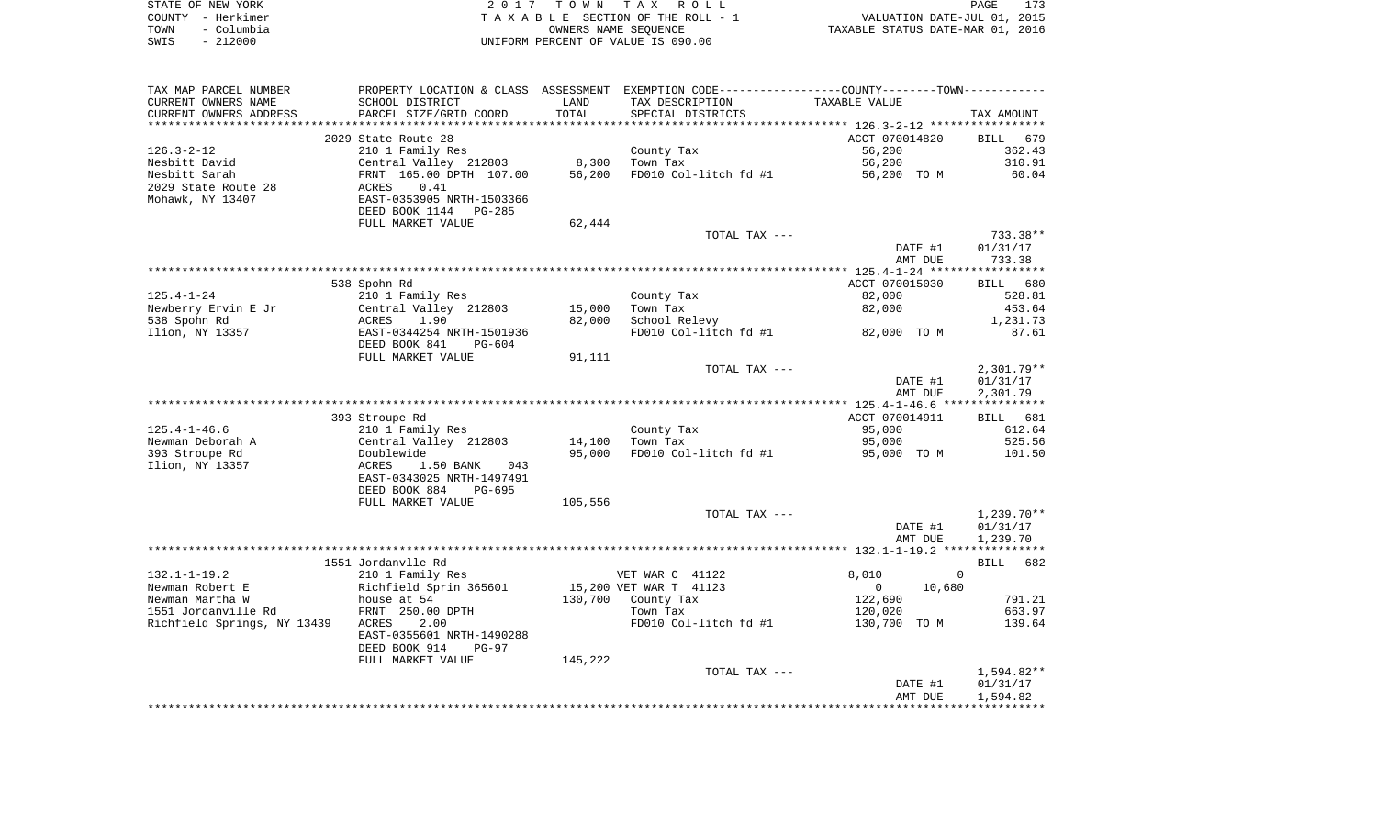| STATE OF NEW YORK  | 2017 TOWN TAX ROLL                 | 173<br>PAGE                      |
|--------------------|------------------------------------|----------------------------------|
| COUNTY - Herkimer  | TAXABLE SECTION OF THE ROLL - 1    | VALUATION DATE-JUL 01, 2015      |
| - Columbia<br>TOWN | OWNERS NAME SEOUENCE               | TAXABLE STATUS DATE-MAR 01, 2016 |
| - 212000<br>SWIS   | UNIFORM PERCENT OF VALUE IS 090.00 |                                  |

| TAX MAP PARCEL NUMBER       | PROPERTY LOCATION & CLASS | ASSESSMENT | EXEMPTION CODE-----------------COUNTY-------TOWN----------- |                          |                    |
|-----------------------------|---------------------------|------------|-------------------------------------------------------------|--------------------------|--------------------|
| CURRENT OWNERS NAME         | SCHOOL DISTRICT           | LAND       | TAX DESCRIPTION                                             | TAXABLE VALUE            |                    |
| CURRENT OWNERS ADDRESS      | PARCEL SIZE/GRID COORD    | TOTAL      | SPECIAL DISTRICTS                                           |                          | TAX AMOUNT         |
|                             |                           |            |                                                             |                          |                    |
|                             | 2029 State Route 28       |            |                                                             | ACCT 070014820           | <b>BILL</b><br>679 |
| $126.3 - 2 - 12$            | 210 1 Family Res          |            | County Tax                                                  | 56,200                   | 362.43             |
| Nesbitt David               | Central Valley 212803     | 8,300      | Town Tax                                                    | 56,200                   | 310.91             |
| Nesbitt Sarah               | FRNT 165.00 DPTH 107.00   | 56,200     | FD010 Col-litch fd #1                                       | 56,200 TO M              | 60.04              |
| 2029 State Route 28         | 0.41<br>ACRES             |            |                                                             |                          |                    |
| Mohawk, NY 13407            | EAST-0353905 NRTH-1503366 |            |                                                             |                          |                    |
|                             | DEED BOOK 1144 PG-285     |            |                                                             |                          |                    |
|                             | FULL MARKET VALUE         | 62,444     |                                                             |                          |                    |
|                             |                           |            | TOTAL TAX ---                                               |                          | 733.38**           |
|                             |                           |            |                                                             | DATE #1                  | 01/31/17           |
|                             |                           |            |                                                             | AMT DUE                  | 733.38             |
|                             |                           |            |                                                             |                          |                    |
|                             | 538 Spohn Rd              |            |                                                             | ACCT 070015030           | BILL               |
|                             |                           |            |                                                             |                          | 680                |
| $125.4 - 1 - 24$            | 210 1 Family Res          |            | County Tax                                                  | 82,000                   | 528.81             |
| Newberry Ervin E Jr         | Central Valley 212803     | 15,000     | Town Tax                                                    | 82,000                   | 453.64             |
| 538 Spohn Rd                | 1.90<br>ACRES             | 82,000     | School Relevy                                               |                          | 1,231.73           |
| Ilion, NY 13357             | EAST-0344254 NRTH-1501936 |            | FD010 Col-litch fd #1                                       | 82,000 TO M              | 87.61              |
|                             | DEED BOOK 841<br>$PG-604$ |            |                                                             |                          |                    |
|                             | FULL MARKET VALUE         | 91,111     |                                                             |                          |                    |
|                             |                           |            | TOTAL TAX ---                                               |                          | $2,301.79**$       |
|                             |                           |            |                                                             | DATE #1                  | 01/31/17           |
|                             |                           |            |                                                             | AMT DUE                  | 2,301.79           |
|                             |                           |            |                                                             |                          |                    |
|                             | 393 Stroupe Rd            |            |                                                             | ACCT 070014911           | BILL 681           |
| $125.4 - 1 - 46.6$          | 210 1 Family Res          |            | County Tax                                                  | 95,000                   | 612.64             |
| Newman Deborah A            | Central Valley 212803     | 14,100     | Town Tax                                                    | 95,000                   | 525.56             |
| 393 Stroupe Rd              | Doublewide                | 95,000     | FD010 Col-litch fd #1                                       |                          | 101.50             |
|                             |                           |            |                                                             | 95,000 TO M              |                    |
| Ilion, NY 13357             | ACRES<br>1.50 BANK<br>043 |            |                                                             |                          |                    |
|                             | EAST-0343025 NRTH-1497491 |            |                                                             |                          |                    |
|                             | DEED BOOK 884<br>PG-695   |            |                                                             |                          |                    |
|                             | FULL MARKET VALUE         | 105,556    |                                                             |                          |                    |
|                             |                           |            | TOTAL TAX ---                                               |                          | $1,239.70**$       |
|                             |                           |            |                                                             | DATE #1                  | 01/31/17           |
|                             |                           |            |                                                             | AMT DUE                  | 1,239.70           |
|                             |                           |            |                                                             |                          |                    |
|                             | 1551 Jordanvlle Rd        |            |                                                             |                          | BILL<br>682        |
| $132.1 - 1 - 19.2$          | 210 1 Family Res          |            | VET WAR C 41122                                             | $\mathbf 0$<br>8,010     |                    |
| Newman Robert E             | Richfield Sprin 365601    |            | 15,200 VET WAR T 41123                                      | $\overline{0}$<br>10,680 |                    |
| Newman Martha W             | house at 54               | 130,700    | County Tax                                                  | 122,690                  | 791.21             |
| 1551 Jordanville Rd         | FRNT 250.00 DPTH          |            | Town Tax                                                    | 120,020                  | 663.97             |
|                             | 2.00<br>ACRES             |            | FD010 Col-litch fd #1                                       | 130,700 TO M             | 139.64             |
| Richfield Springs, NY 13439 |                           |            |                                                             |                          |                    |
|                             | EAST-0355601 NRTH-1490288 |            |                                                             |                          |                    |
|                             | DEED BOOK 914<br>$PG-97$  |            |                                                             |                          |                    |
|                             | FULL MARKET VALUE         | 145,222    |                                                             |                          |                    |
|                             |                           |            | TOTAL TAX ---                                               |                          | 1,594.82**         |
|                             |                           |            |                                                             | DATE #1                  | 01/31/17           |
|                             |                           |            |                                                             | AMT DUE                  | 1,594.82           |
|                             |                           |            |                                                             |                          |                    |
|                             |                           |            |                                                             |                          |                    |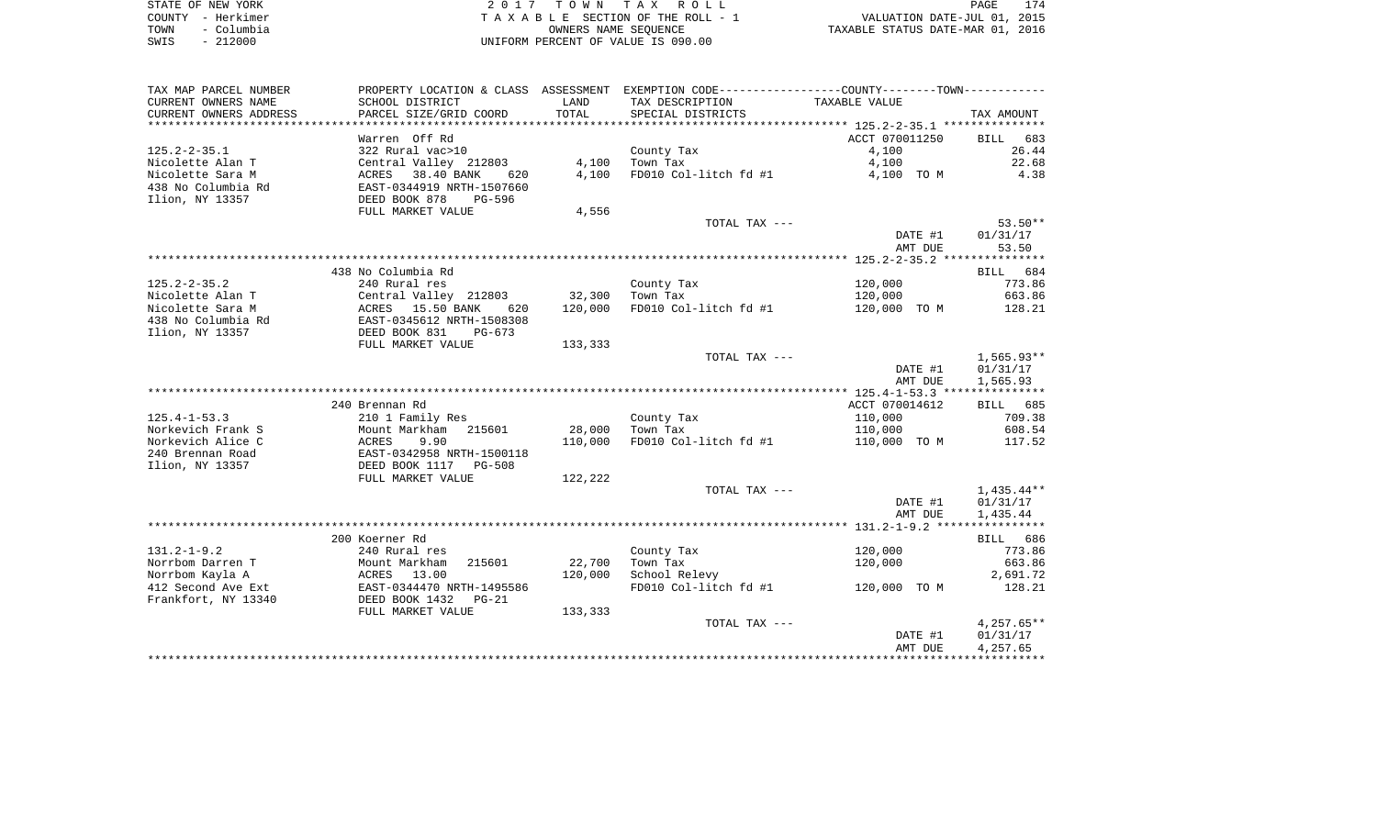| STATE OF NEW YORK  | 2017 TOWN TAX ROLL                 | 174<br>PAGE                      |
|--------------------|------------------------------------|----------------------------------|
| COUNTY - Herkimer  | TAXABLE SECTION OF THE ROLL - 1    | VALUATION DATE-JUL 01, 2015      |
| – Columbia<br>TOWN | OWNERS NAME SEOUENCE               | TAXABLE STATUS DATE-MAR 01, 2016 |
| $-212000$<br>SWIS  | UNIFORM PERCENT OF VALUE IS 090.00 |                                  |

| TAX MAP PARCEL NUMBER                  | PROPERTY LOCATION & CLASS ASSESSMENT EXEMPTION CODE----------------COUNTY-------TOWN---------- |         |                                        |                |                          |
|----------------------------------------|------------------------------------------------------------------------------------------------|---------|----------------------------------------|----------------|--------------------------|
| CURRENT OWNERS NAME                    | SCHOOL DISTRICT                                                                                | LAND    | TAX DESCRIPTION                        | TAXABLE VALUE  |                          |
| CURRENT OWNERS ADDRESS                 | PARCEL SIZE/GRID COORD                                                                         | TOTAL   | SPECIAL DISTRICTS                      |                | TAX AMOUNT               |
|                                        | Warren Off Rd                                                                                  |         |                                        | ACCT 070011250 | 683<br>BILL              |
| $125.2 - 2 - 35.1$                     | 322 Rural vac>10                                                                               |         | County Tax                             | 4,100          | 26.44                    |
| Nicolette Alan T                       | Central Valley 212803                                                                          | 4,100   | Town Tax                               | 4,100          | 22.68                    |
| Nicolette Sara M                       | ACRES 38.40 BANK<br>620                                                                        | 4,100   | FD010 Col-litch fd #1                  | 4,100 TO M     | 4.38                     |
| 438 No Columbia Rd                     | EAST-0344919 NRTH-1507660                                                                      |         |                                        |                |                          |
| Ilion, NY 13357                        | DEED BOOK 878<br>PG-596                                                                        |         |                                        |                |                          |
|                                        | FULL MARKET VALUE                                                                              | 4,556   | TOTAL TAX ---                          |                | $53.50**$                |
|                                        |                                                                                                |         |                                        | DATE #1        | 01/31/17                 |
|                                        |                                                                                                |         |                                        | AMT DUE        | 53.50                    |
|                                        |                                                                                                |         |                                        |                |                          |
|                                        | 438 No Columbia Rd                                                                             |         |                                        |                | BILL 684                 |
| $125.2 - 2 - 35.2$                     | 240 Rural res                                                                                  |         | County Tax                             | 120,000        | 773.86                   |
| Nicolette Alan T                       | Central Valley 212803                                                                          | 32,300  | Town Tax                               | 120,000        | 663.86                   |
| Nicolette Sara M<br>438 No Columbia Rd | ACRES 15.50 BANK 620<br>EAST-0345612 NRTH-1508308                                              | 120,000 | FD010 Col-litch fd #1                  | 120,000 TO M   | 128.21                   |
| Ilion, NY 13357                        | DEED BOOK 831<br>PG-673                                                                        |         |                                        |                |                          |
|                                        | FULL MARKET VALUE                                                                              | 133,333 |                                        |                |                          |
|                                        |                                                                                                |         | TOTAL TAX ---                          |                | 1,565.93**               |
|                                        |                                                                                                |         |                                        | DATE #1        | 01/31/17                 |
|                                        |                                                                                                |         |                                        | AMT DUE        | 1,565.93                 |
|                                        | 240 Brennan Rd                                                                                 |         |                                        | ACCT 070014612 | BILL 685                 |
| $125.4 - 1 - 53.3$                     | 210 1 Family Res                                                                               |         | County Tax                             | 110,000        | 709.38                   |
| Norkevich Frank S                      | Mount Markham 215601                                                                           | 28,000  | Town Tax                               | 110,000        | 608.54                   |
| Norkevich Alice C                      | ACRES<br>9.90                                                                                  | 110,000 | FD010 Col-litch fd #1                  | 110,000 TO M   | 117.52                   |
| 240 Brennan Road                       | EAST-0342958 NRTH-1500118                                                                      |         |                                        |                |                          |
| Ilion, NY 13357                        | DEED BOOK 1117 PG-508                                                                          |         |                                        |                |                          |
|                                        | FULL MARKET VALUE                                                                              | 122,222 | TOTAL TAX ---                          |                |                          |
|                                        |                                                                                                |         |                                        | DATE #1        | $1,435.44**$<br>01/31/17 |
|                                        |                                                                                                |         |                                        | AMT DUE        | 1,435.44                 |
|                                        |                                                                                                |         |                                        |                |                          |
|                                        | 200 Koerner Rd                                                                                 |         |                                        |                | BILL 686                 |
| $131.2 - 1 - 9.2$                      | 240 Rural res                                                                                  |         | County Tax                             | 120,000        | 773.86                   |
| Norrbom Darren T                       | Mount Markham<br>215601                                                                        | 22,700  | Town Tax                               | 120,000        | 663.86                   |
| Norrbom Kayla A<br>412 Second Ave Ext  | ACRES 13.00<br>EAST-0344470 NRTH-1495586                                                       | 120,000 | School Relevy<br>FD010 Col-litch fd #1 | 120,000 TO M   | 2,691.72<br>128.21       |
| Frankfort, NY 13340                    | DEED BOOK 1432<br>$PG-21$                                                                      |         |                                        |                |                          |
|                                        | FULL MARKET VALUE                                                                              | 133,333 |                                        |                |                          |
|                                        |                                                                                                |         | TOTAL TAX ---                          |                | $4,257.65**$             |
|                                        |                                                                                                |         |                                        | DATE #1        | 01/31/17                 |
|                                        |                                                                                                |         |                                        | AMT DUE        | 4,257.65                 |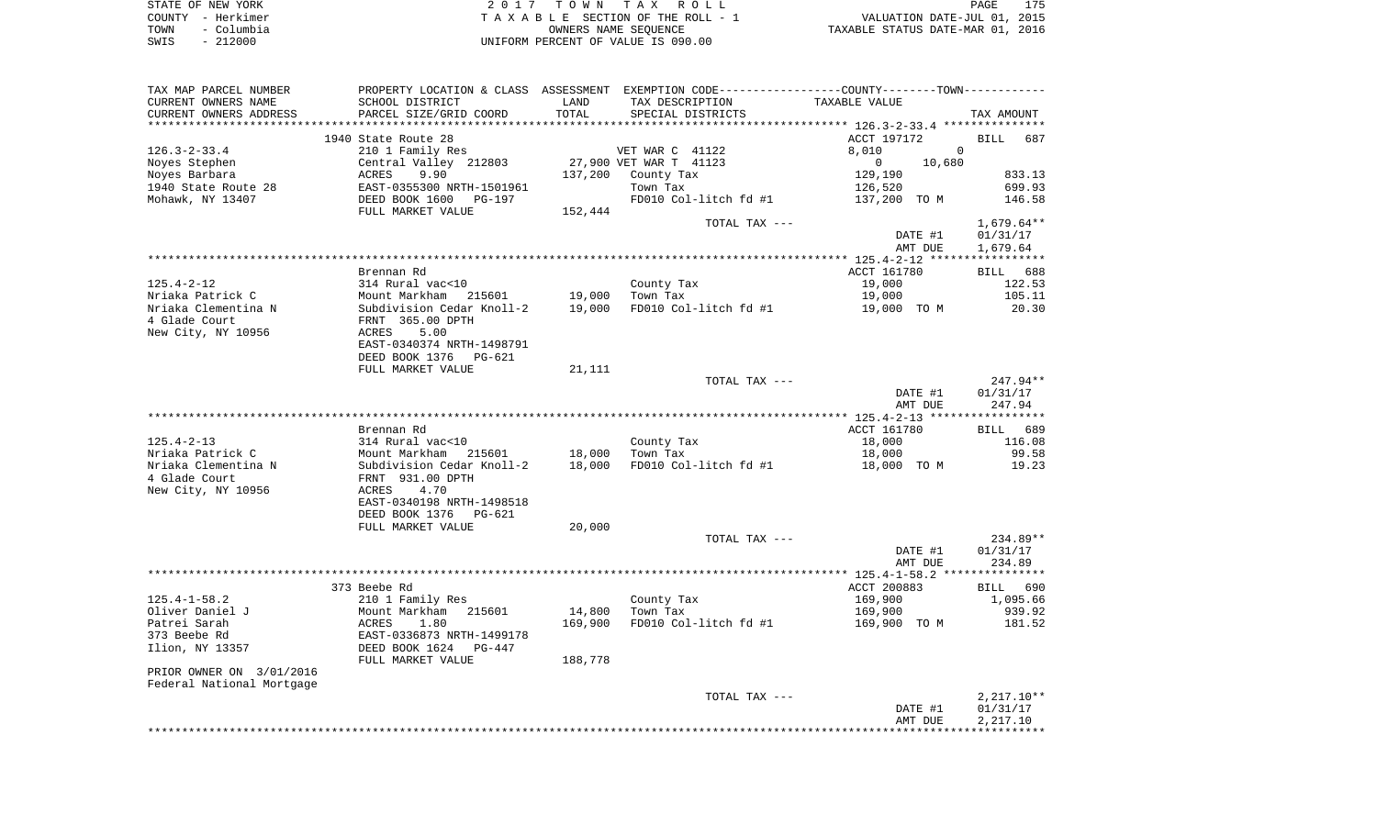|      | STATE OF NEW YORK | 2017 TOWN TAX ROLL                 |                                  | PAGE | 175 |
|------|-------------------|------------------------------------|----------------------------------|------|-----|
|      | COUNTY – Herkimer | TAXABLE SECTION OF THE ROLL - 1    | VALUATION DATE-JUL 01, 2015      |      |     |
| TOWN | – Columbia        | OWNERS NAME SEOUENCE               | TAXABLE STATUS DATE-MAR 01, 2016 |      |     |
| SWIS | $-212000$         | UNIFORM PERCENT OF VALUE IS 090.00 |                                  |      |     |

| TAX MAP PARCEL NUMBER     |                           |         | PROPERTY LOCATION & CLASS ASSESSMENT EXEMPTION CODE----------------COUNTY--------TOWN----------- |                                           |              |
|---------------------------|---------------------------|---------|--------------------------------------------------------------------------------------------------|-------------------------------------------|--------------|
| CURRENT OWNERS NAME       | SCHOOL DISTRICT           | LAND    | TAX DESCRIPTION                                                                                  | TAXABLE VALUE                             |              |
| CURRENT OWNERS ADDRESS    | PARCEL SIZE/GRID COORD    | TOTAL   | SPECIAL DISTRICTS                                                                                |                                           | TAX AMOUNT   |
|                           |                           |         |                                                                                                  | ***************** 126.3-2-33.4 ********** |              |
|                           | 1940 State Route 28       |         |                                                                                                  | ACCT 197172                               | BILL 687     |
| $126.3 - 2 - 33.4$        | 210 1 Family Res          |         | VET WAR C 41122                                                                                  | 8,010<br>$\mathbf 0$                      |              |
| Noyes Stephen             | Central Valley 212803     |         | 27,900 VET WAR T 41123                                                                           | 10,680<br>$\overline{0}$                  |              |
| Noyes Barbara             | ACRES<br>9.90             |         | 137,200 County Tax                                                                               | 129,190                                   | 833.13       |
| 1940 State Route 28       | EAST-0355300 NRTH-1501961 |         | Town Tax                                                                                         | 126,520                                   | 699.93       |
| Mohawk, NY 13407          | DEED BOOK 1600<br>PG-197  |         | FD010 Col-litch fd #1                                                                            | 137,200 TO M                              | 146.58       |
|                           | FULL MARKET VALUE         | 152,444 |                                                                                                  |                                           |              |
|                           |                           |         | TOTAL TAX ---                                                                                    |                                           | $1,679.64**$ |
|                           |                           |         |                                                                                                  | DATE #1                                   | 01/31/17     |
|                           |                           |         |                                                                                                  |                                           |              |
|                           |                           |         |                                                                                                  | AMT DUE                                   | 1,679.64     |
|                           |                           |         |                                                                                                  |                                           |              |
|                           | Brennan Rd                |         |                                                                                                  | ACCT 161780                               | BILL 688     |
| $125.4 - 2 - 12$          | 314 Rural vac<10          |         | County Tax                                                                                       | 19,000                                    | 122.53       |
| Nriaka Patrick C          | Mount Markham 215601      | 19,000  | Town Tax                                                                                         | 19,000                                    | 105.11       |
| Nriaka Clementina N       | Subdivision Cedar Knoll-2 | 19,000  | FD010 Col-litch fd #1                                                                            | 19,000 TO M                               | 20.30        |
| 4 Glade Court             | FRNT 365.00 DPTH          |         |                                                                                                  |                                           |              |
| New City, NY 10956        | ACRES<br>5.00             |         |                                                                                                  |                                           |              |
|                           | EAST-0340374 NRTH-1498791 |         |                                                                                                  |                                           |              |
|                           | DEED BOOK 1376<br>PG-621  |         |                                                                                                  |                                           |              |
|                           | FULL MARKET VALUE         | 21,111  |                                                                                                  |                                           |              |
|                           |                           |         | TOTAL TAX ---                                                                                    |                                           | 247.94**     |
|                           |                           |         |                                                                                                  | DATE #1                                   | 01/31/17     |
|                           |                           |         |                                                                                                  | AMT DUE                                   | 247.94       |
|                           |                           |         |                                                                                                  |                                           |              |
|                           | Brennan Rd                |         |                                                                                                  | ACCT 161780                               | BILL 689     |
| $125.4 - 2 - 13$          | 314 Rural vac<10          |         | County Tax                                                                                       | 18,000                                    | 116.08       |
| Nriaka Patrick C          | Mount Markham 215601      | 18,000  | Town Tax                                                                                         | 18,000                                    | 99.58        |
| Nriaka Clementina N       | Subdivision Cedar Knoll-2 | 18,000  | FD010 Col-litch fd #1                                                                            | 18,000 TO M                               | 19.23        |
| 4 Glade Court             | FRNT 931.00 DPTH          |         |                                                                                                  |                                           |              |
| New City, NY 10956        | 4.70<br>ACRES             |         |                                                                                                  |                                           |              |
|                           | EAST-0340198 NRTH-1498518 |         |                                                                                                  |                                           |              |
|                           | DEED BOOK 1376<br>PG-621  |         |                                                                                                  |                                           |              |
|                           | FULL MARKET VALUE         | 20,000  |                                                                                                  |                                           |              |
|                           |                           |         | TOTAL TAX ---                                                                                    |                                           | 234.89**     |
|                           |                           |         |                                                                                                  | DATE #1                                   | 01/31/17     |
|                           |                           |         |                                                                                                  | AMT DUE                                   | 234.89       |
|                           |                           |         |                                                                                                  |                                           |              |
|                           | 373 Beebe Rd              |         |                                                                                                  | ACCT 200883                               | BILL 690     |
| $125.4 - 1 - 58.2$        | 210 1 Family Res          |         | County Tax                                                                                       | 169,900                                   | 1,095.66     |
| Oliver Daniel J           | Mount Markham 215601      | 14,800  | Town Tax                                                                                         | 169,900                                   | 939.92       |
| Patrei Sarah              | ACRES<br>1.80             | 169,900 | FD010 Col-litch fd #1                                                                            | 169,900 TO M                              | 181.52       |
| 373 Beebe Rd              | EAST-0336873 NRTH-1499178 |         |                                                                                                  |                                           |              |
| Ilion, NY 13357           | DEED BOOK 1624 PG-447     |         |                                                                                                  |                                           |              |
|                           | FULL MARKET VALUE         | 188,778 |                                                                                                  |                                           |              |
| PRIOR OWNER ON 3/01/2016  |                           |         |                                                                                                  |                                           |              |
|                           |                           |         |                                                                                                  |                                           |              |
| Federal National Mortgage |                           |         |                                                                                                  |                                           |              |
|                           |                           |         | TOTAL TAX ---                                                                                    |                                           | $2,217.10**$ |
|                           |                           |         |                                                                                                  | DATE #1                                   | 01/31/17     |
|                           |                           |         |                                                                                                  | AMT DUE                                   | 2,217.10     |
|                           |                           |         |                                                                                                  |                                           |              |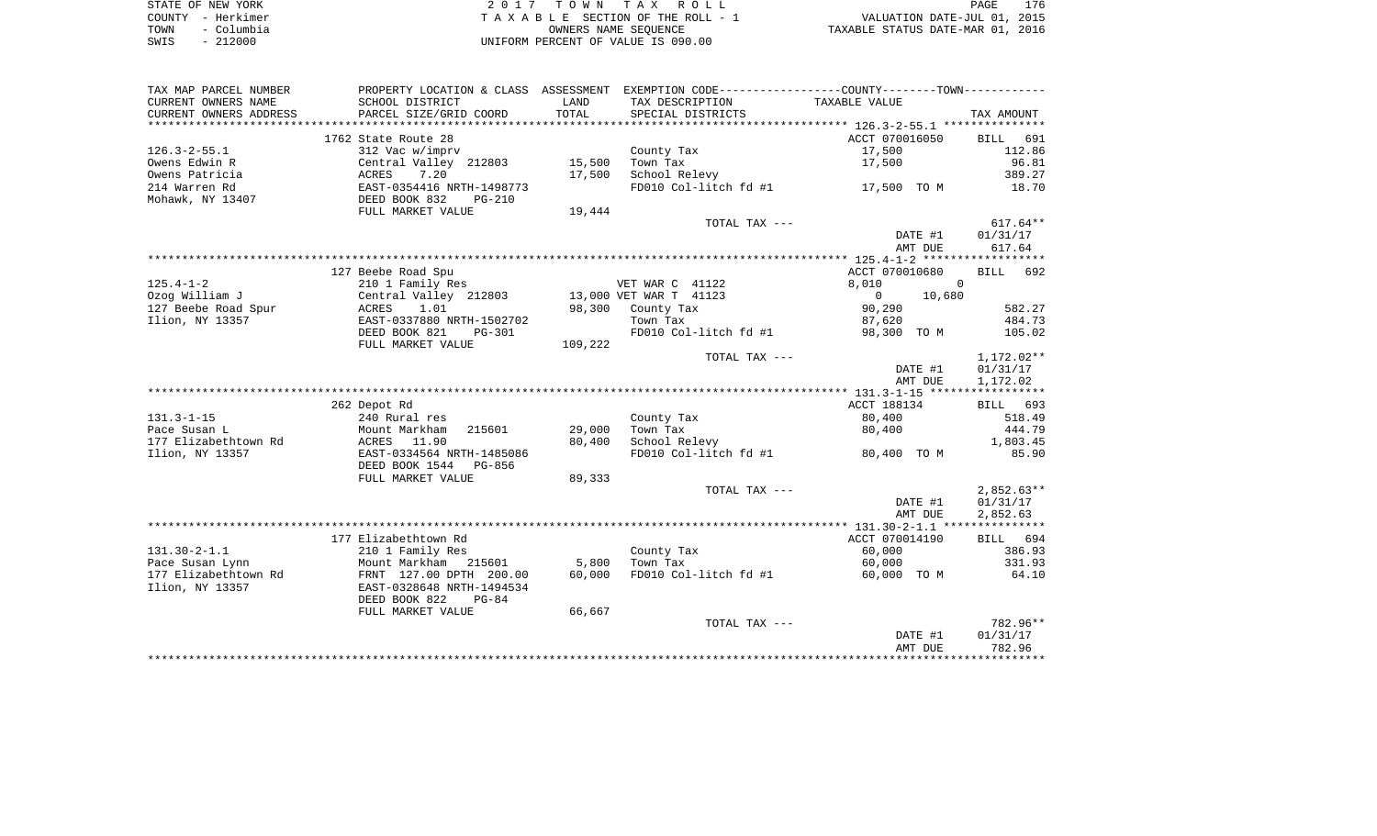|      | STATE OF NEW YORK | 2017 TOWN TAX ROLL                 | 176<br>PAGE                      |
|------|-------------------|------------------------------------|----------------------------------|
|      | COUNTY - Herkimer | TAXABLE SECTION OF THE ROLL - 1    | VALUATION DATE-JUL 01, 2015      |
| TOWN | – Columbia        | OWNERS NAME SEOUENCE               | TAXABLE STATUS DATE-MAR 01, 2016 |
| SWIS | $-212000$         | UNIFORM PERCENT OF VALUE IS 090.00 |                                  |

| TAX MAP PARCEL NUMBER  | PROPERTY LOCATION & CLASS ASSESSMENT |         | EXEMPTION CODE-----------------COUNTY-------TOWN----------- |                    |                      |
|------------------------|--------------------------------------|---------|-------------------------------------------------------------|--------------------|----------------------|
| CURRENT OWNERS NAME    | SCHOOL DISTRICT                      | LAND    | TAX DESCRIPTION                                             | TAXABLE VALUE      |                      |
| CURRENT OWNERS ADDRESS | PARCEL SIZE/GRID COORD               | TOTAL   | SPECIAL DISTRICTS                                           |                    | TAX AMOUNT           |
| *******************    |                                      |         |                                                             |                    |                      |
|                        | 1762 State Route 28                  |         |                                                             | ACCT 070016050     | <b>BILL</b><br>691   |
| $126.3 - 2 - 55.1$     | 312 Vac w/imprv                      |         | County Tax                                                  | 17,500             | 112.86               |
| Owens Edwin R          | Central Valley 212803                | 15,500  | Town Tax                                                    | 17,500             | 96.81                |
| Owens Patricia         | 7.20<br>ACRES                        | 17,500  | School Relevy                                               |                    | 389.27               |
| 214 Warren Rd          | EAST-0354416 NRTH-1498773            |         | FD010 Col-litch fd #1                                       | 17,500 TO M        | 18.70                |
| Mohawk, NY 13407       | DEED BOOK 832<br><b>PG-210</b>       |         |                                                             |                    |                      |
|                        | FULL MARKET VALUE                    | 19,444  |                                                             |                    |                      |
|                        |                                      |         | TOTAL TAX ---                                               |                    | $617.64**$           |
|                        |                                      |         |                                                             | DATE #1            | 01/31/17             |
|                        |                                      |         |                                                             | AMT DUE            | 617.64               |
|                        |                                      |         |                                                             |                    |                      |
|                        | 127 Beebe Road Spu                   |         |                                                             | ACCT 070010680     | BILL 692             |
| $125.4 - 1 - 2$        | 210 1 Family Res                     |         | VET WAR C 41122                                             | 8,010              | $\overline{0}$       |
| Ozog William J         | Central Valley 212803                |         | 13,000 VET WAR T 41123                                      | $\Omega$<br>10,680 |                      |
| 127 Beebe Road Spur    | ACRES<br>1.01                        | 98,300  | County Tax                                                  | 90,290             | 582.27               |
| Ilion, NY 13357        | EAST-0337880 NRTH-1502702            |         | Town Tax                                                    | 87,620             | 484.73               |
|                        | DEED BOOK 821<br>PG-301              |         | FD010 Col-litch fd #1                                       | 98,300 TO M        | 105.02               |
|                        | FULL MARKET VALUE                    | 109,222 |                                                             |                    |                      |
|                        |                                      |         | TOTAL TAX ---                                               |                    | 1,172.02**           |
|                        |                                      |         |                                                             | DATE #1            | 01/31/17             |
|                        |                                      |         |                                                             | AMT DUE            | 1,172.02             |
|                        |                                      |         |                                                             |                    |                      |
|                        | 262 Depot Rd                         |         |                                                             | ACCT 188134        | BILL<br>693          |
| $131.3 - 1 - 15$       | 240 Rural res                        |         | County Tax                                                  | 80,400             | 518.49               |
| Pace Susan L           | Mount Markham<br>215601              | 29,000  | Town Tax                                                    | 80,400             | 444.79               |
| 177 Elizabethtown Rd   | ACRES 11.90                          | 80,400  | School Relevy                                               |                    | 1,803.45             |
| Ilion, NY 13357        | EAST-0334564 NRTH-1485086            |         | FD010 Col-litch fd #1                                       | 80,400 TO M        | 85.90                |
|                        | DEED BOOK 1544<br>PG-856             |         |                                                             |                    |                      |
|                        | FULL MARKET VALUE                    | 89,333  |                                                             |                    |                      |
|                        |                                      |         | TOTAL TAX ---                                               |                    | $2,852.63**$         |
|                        |                                      |         |                                                             | DATE #1            | 01/31/17             |
|                        |                                      |         |                                                             | AMT DUE            | 2,852.63             |
|                        |                                      |         |                                                             |                    |                      |
|                        | 177 Elizabethtown Rd                 |         |                                                             | ACCT 070014190     | BILL 694             |
| $131.30 - 2 - 1.1$     | 210 1 Family Res                     |         | County Tax                                                  | 60,000             | 386.93               |
| Pace Susan Lynn        | Mount Markham 215601                 | 5,800   | Town Tax                                                    | 60,000             | 331.93               |
| 177 Elizabethtown Rd   | FRNT 127.00 DPTH 200.00              | 60,000  | FD010 Col-litch fd #1                                       | 60,000 TO M        | 64.10                |
| Ilion, NY 13357        | EAST-0328648 NRTH-1494534            |         |                                                             |                    |                      |
|                        | DEED BOOK 822<br>$PG-84$             |         |                                                             |                    |                      |
|                        | FULL MARKET VALUE                    | 66,667  |                                                             |                    |                      |
|                        |                                      |         | TOTAL TAX ---                                               |                    | 782.96**             |
|                        |                                      |         |                                                             | DATE #1            | 01/31/17             |
|                        |                                      |         |                                                             | AMT DUE            | 782.96<br>********** |
|                        |                                      |         |                                                             |                    |                      |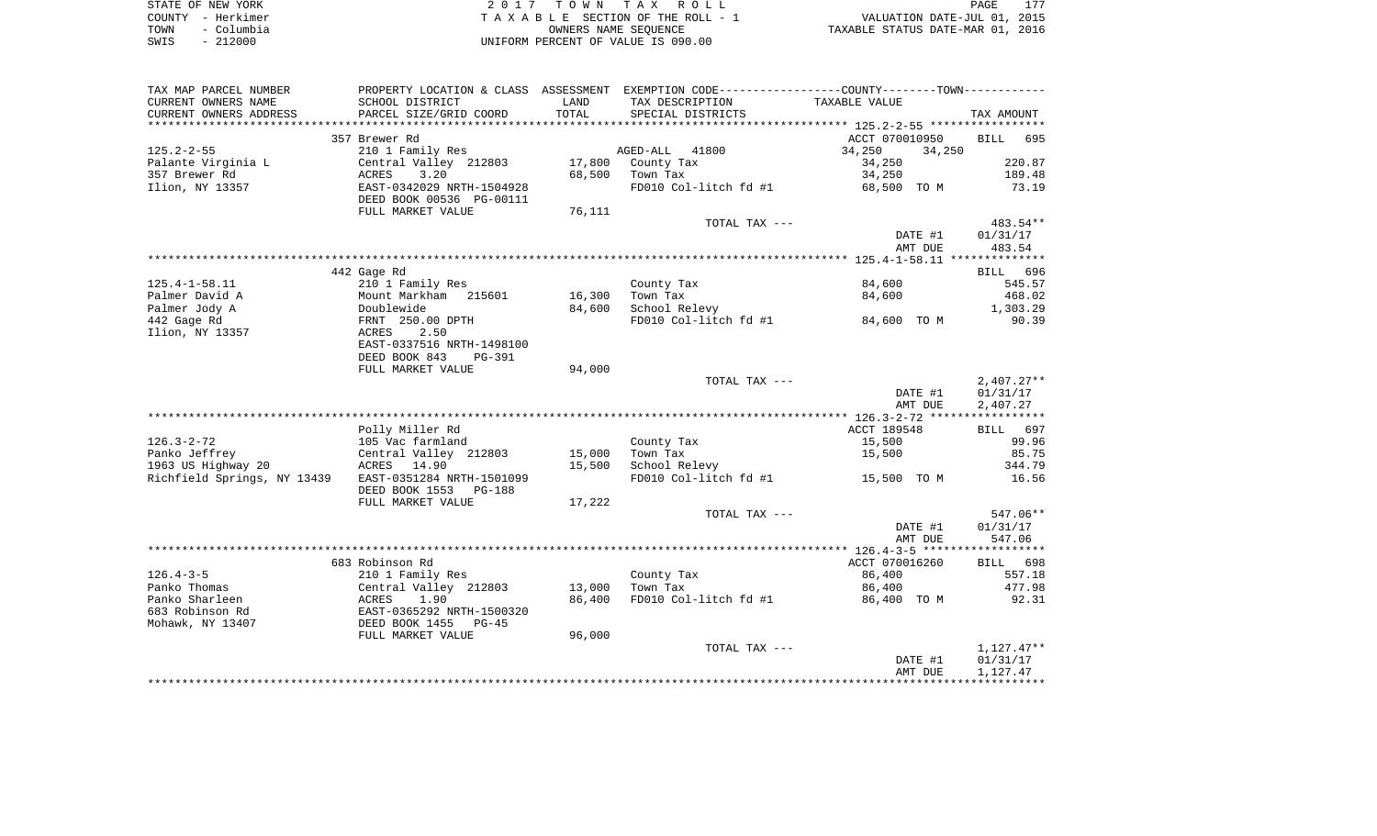|      | STATE OF NEW YORK | 2017 TOWN TAX ROLL                 | PAGE                             | 177 |
|------|-------------------|------------------------------------|----------------------------------|-----|
|      | COUNTY - Herkimer | TAXABLE SECTION OF THE ROLL - 1    | VALUATION DATE-JUL 01, 2015      |     |
| TOWN | – Columbia        | OWNERS NAME SEOUENCE               | TAXABLE STATUS DATE-MAR 01, 2016 |     |
| SWIS | $-212000$         | UNIFORM PERCENT OF VALUE IS 090.00 |                                  |     |

| TAX MAP PARCEL NUMBER       | PROPERTY LOCATION & CLASS ASSESSMENT EXEMPTION CODE----------------COUNTY-------TOWN---------- |        |                       |                    |                    |
|-----------------------------|------------------------------------------------------------------------------------------------|--------|-----------------------|--------------------|--------------------|
| CURRENT OWNERS NAME         | SCHOOL DISTRICT                                                                                | LAND   | TAX DESCRIPTION       | TAXABLE VALUE      |                    |
| CURRENT OWNERS ADDRESS      | PARCEL SIZE/GRID COORD                                                                         | TOTAL  | SPECIAL DISTRICTS     |                    | TAX AMOUNT         |
|                             |                                                                                                |        |                       |                    |                    |
|                             | 357 Brewer Rd                                                                                  |        |                       | ACCT 070010950     | <b>BILL</b><br>695 |
| $125.2 - 2 - 55$            | 210 1 Family Res                                                                               |        | AGED-ALL<br>41800     | 34,250<br>34,250   |                    |
| Palante Virginia L          | Central Valley 212803                                                                          | 17,800 | County Tax            | 34,250             | 220.87             |
| 357 Brewer Rd               | 3.20<br>ACRES                                                                                  | 68,500 | Town Tax              | 34,250             | 189.48             |
| Ilion, NY 13357             | EAST-0342029 NRTH-1504928                                                                      |        | FD010 Col-litch fd #1 | 68,500 TO M        | 73.19              |
|                             | DEED BOOK 00536 PG-00111                                                                       |        |                       |                    |                    |
|                             | FULL MARKET VALUE                                                                              | 76,111 |                       |                    |                    |
|                             |                                                                                                |        | TOTAL TAX ---         |                    | 483.54**           |
|                             |                                                                                                |        |                       | DATE #1<br>AMT DUE | 01/31/17<br>483.54 |
|                             |                                                                                                |        |                       |                    |                    |
|                             | 442 Gage Rd                                                                                    |        |                       |                    | 696<br>BILL        |
| $125.4 - 1 - 58.11$         | 210 1 Family Res                                                                               |        | County Tax            | 84,600             | 545.57             |
| Palmer David A              | Mount Markham<br>215601                                                                        | 16,300 | Town Tax              | 84,600             | 468.02             |
| Palmer Jody A               | Doublewide                                                                                     | 84,600 | School Relevy         |                    | 1,303.29           |
| 442 Gage Rd                 | FRNT 250.00 DPTH                                                                               |        | FD010 Col-litch fd #1 | 84,600 TO M        | 90.39              |
| Ilion, NY 13357             | ACRES<br>2.50                                                                                  |        |                       |                    |                    |
|                             | EAST-0337516 NRTH-1498100                                                                      |        |                       |                    |                    |
|                             | DEED BOOK 843<br>PG-391                                                                        |        |                       |                    |                    |
|                             | FULL MARKET VALUE                                                                              | 94,000 |                       |                    |                    |
|                             |                                                                                                |        | TOTAL TAX ---         |                    | $2,407.27**$       |
|                             |                                                                                                |        |                       | DATE #1            | 01/31/17           |
|                             |                                                                                                |        |                       | AMT DUE            | 2,407.27           |
|                             |                                                                                                |        |                       |                    |                    |
|                             | Polly Miller Rd                                                                                |        |                       | ACCT 189548        | 697<br>BILL        |
| $126.3 - 2 - 72$            | 105 Vac farmland                                                                               |        | County Tax            | 15,500             | 99.96              |
| Panko Jeffrey               | Central Valley 212803                                                                          | 15,000 | Town Tax              | 15,500             | 85.75              |
| 1963 US Highway 20          | ACRES 14.90                                                                                    | 15,500 | School Relevy         |                    | 344.79             |
| Richfield Springs, NY 13439 | EAST-0351284 NRTH-1501099                                                                      |        | FD010 Col-litch fd #1 | 15,500 TO M        | 16.56              |
|                             | DEED BOOK 1553<br>PG-188                                                                       |        |                       |                    |                    |
|                             | FULL MARKET VALUE                                                                              | 17,222 |                       |                    |                    |
|                             |                                                                                                |        | TOTAL TAX ---         |                    | 547.06**           |
|                             |                                                                                                |        |                       | DATE #1            | 01/31/17           |
|                             |                                                                                                |        |                       | AMT DUE            | 547.06             |
|                             |                                                                                                |        |                       |                    |                    |
|                             | 683 Robinson Rd                                                                                |        |                       | ACCT 070016260     | 698<br>BILL        |
| $126.4 - 3 - 5$             | 210 1 Family Res                                                                               |        | County Tax            | 86,400             | 557.18             |
| Panko Thomas                | Central Valley 212803                                                                          | 13,000 | Town Tax              | 86,400             | 477.98             |
| Panko Sharleen              | 1.90<br>ACRES                                                                                  | 86,400 | FD010 Col-litch fd #1 | 86,400 TO M        | 92.31              |
| 683 Robinson Rd             | EAST-0365292 NRTH-1500320                                                                      |        |                       |                    |                    |
| Mohawk, NY 13407            | DEED BOOK 1455<br>$PG-45$<br>FULL MARKET VALUE                                                 | 96,000 |                       |                    |                    |
|                             |                                                                                                |        | TOTAL TAX ---         |                    | $1,127.47**$       |
|                             |                                                                                                |        |                       | DATE #1            | 01/31/17           |
|                             |                                                                                                |        |                       | AMT DUE            | 1,127.47           |
|                             |                                                                                                |        |                       |                    |                    |
|                             |                                                                                                |        |                       |                    |                    |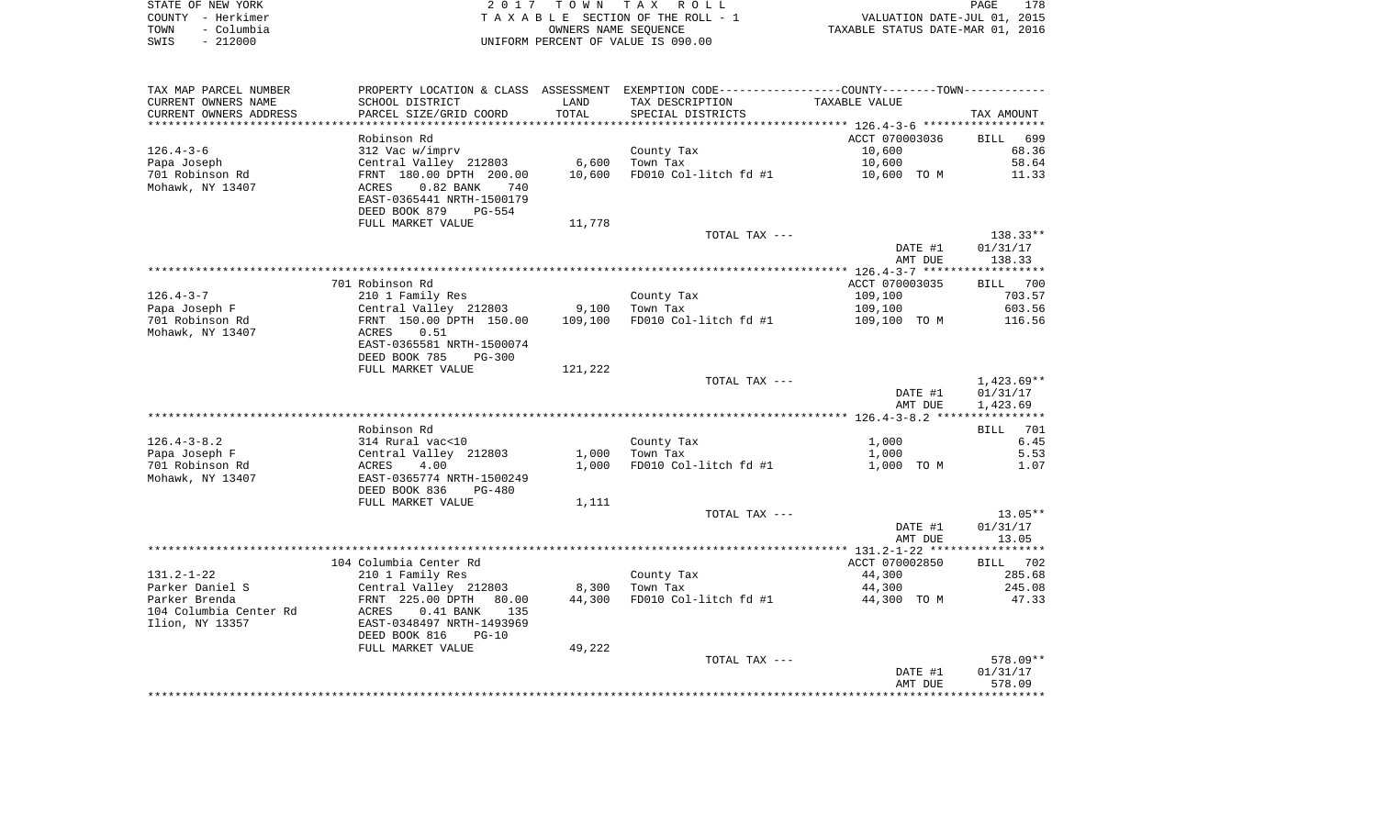| STATE OF NEW YORK |            |                                    | 2017 TOWN TAX ROLL              |                                  | <b>PAGE</b> | 178 |
|-------------------|------------|------------------------------------|---------------------------------|----------------------------------|-------------|-----|
| COUNTY - Herkimer |            |                                    | TAXABLE SECTION OF THE ROLL - 1 | VALUATION DATE-JUL 01, 2015      |             |     |
| TOWN              | - Columbia | OWNERS NAME SEOUENCE               |                                 | TAXABLE STATUS DATE-MAR 01, 2016 |             |     |
| $-212000$<br>SWIS |            | UNIFORM PERCENT OF VALUE IS 090.00 |                                 |                                  |             |     |

| TAX MAP PARCEL NUMBER  |                                |         | PROPERTY LOCATION & CLASS ASSESSMENT EXEMPTION CODE----------------COUNTY--------TOWN----------- |                |              |
|------------------------|--------------------------------|---------|--------------------------------------------------------------------------------------------------|----------------|--------------|
| CURRENT OWNERS NAME    | SCHOOL DISTRICT                | LAND    | TAX DESCRIPTION                                                                                  | TAXABLE VALUE  |              |
| CURRENT OWNERS ADDRESS | PARCEL SIZE/GRID COORD         | TOTAL   | SPECIAL DISTRICTS                                                                                |                | TAX AMOUNT   |
|                        |                                |         |                                                                                                  |                |              |
|                        | Robinson Rd                    |         |                                                                                                  | ACCT 070003036 | BILL<br>699  |
| $126.4 - 3 - 6$        | 312 Vac w/imprv                |         | County Tax                                                                                       | 10,600         | 68.36        |
| Papa Joseph            | Central Valley 212803          | 6,600   | Town Tax                                                                                         | 10,600         | 58.64        |
| 701 Robinson Rd        | FRNT 180.00 DPTH 200.00        | 10,600  | FD010 Col-litch fd #1                                                                            | 10,600 TO M    | 11.33        |
| Mohawk, NY 13407       | 0.82 BANK<br>ACRES<br>740      |         |                                                                                                  |                |              |
|                        | EAST-0365441 NRTH-1500179      |         |                                                                                                  |                |              |
|                        | DEED BOOK 879<br><b>PG-554</b> |         |                                                                                                  |                |              |
|                        | FULL MARKET VALUE              | 11,778  |                                                                                                  |                |              |
|                        |                                |         | TOTAL TAX ---                                                                                    |                | 138.33**     |
|                        |                                |         |                                                                                                  | DATE #1        | 01/31/17     |
|                        |                                |         |                                                                                                  | AMT DUE        | 138.33       |
|                        |                                |         |                                                                                                  |                |              |
|                        | 701 Robinson Rd                |         |                                                                                                  | ACCT 070003035 | BILL 700     |
| $126.4 - 3 - 7$        | 210 1 Family Res               |         | County Tax                                                                                       | 109,100        | 703.57       |
| Papa Joseph F          | Central Valley 212803          | 9,100   | Town Tax                                                                                         | 109,100        | 603.56       |
| 701 Robinson Rd        | FRNT 150.00 DPTH 150.00        | 109,100 | FD010 Col-litch fd #1                                                                            | 109,100 TO M   | 116.56       |
| Mohawk, NY 13407       | 0.51<br>ACRES                  |         |                                                                                                  |                |              |
|                        | EAST-0365581 NRTH-1500074      |         |                                                                                                  |                |              |
|                        | DEED BOOK 785<br><b>PG-300</b> |         |                                                                                                  |                |              |
|                        | FULL MARKET VALUE              | 121,222 |                                                                                                  |                |              |
|                        |                                |         | TOTAL TAX ---                                                                                    |                | $1,423.69**$ |
|                        |                                |         |                                                                                                  | DATE #1        | 01/31/17     |
|                        |                                |         |                                                                                                  | AMT DUE        | 1,423.69     |
|                        |                                |         |                                                                                                  |                |              |
|                        | Robinson Rd                    |         |                                                                                                  |                | BILL<br>701  |
| $126.4 - 3 - 8.2$      | 314 Rural vac<10               |         | County Tax                                                                                       | 1,000          | 6.45         |
| Papa Joseph F          | Central Valley 212803          | 1,000   | Town Tax                                                                                         | 1,000          | 5.53         |
| 701 Robinson Rd        | ACRES<br>4.00                  | 1,000   | FD010 Col-litch fd #1                                                                            | 1,000 TO M     | 1.07         |
| Mohawk, NY 13407       | EAST-0365774 NRTH-1500249      |         |                                                                                                  |                |              |
|                        | DEED BOOK 836<br>PG-480        |         |                                                                                                  |                |              |
|                        | FULL MARKET VALUE              | 1,111   |                                                                                                  |                |              |
|                        |                                |         | TOTAL TAX ---                                                                                    |                | $13.05**$    |
|                        |                                |         |                                                                                                  | DATE #1        | 01/31/17     |
|                        |                                |         |                                                                                                  | AMT DUE        | 13.05        |
|                        |                                |         |                                                                                                  |                |              |
|                        | 104 Columbia Center Rd         |         |                                                                                                  | ACCT 070002850 | BILL 702     |
| $131.2 - 1 - 22$       | 210 1 Family Res               |         | County Tax                                                                                       | 44,300         | 285.68       |
| Parker Daniel S        | Central Valley 212803          | 8,300   | Town Tax                                                                                         | 44,300         | 245.08       |
| Parker Brenda          | FRNT 225.00 DPTH<br>80.00      | 44,300  | FD010 Col-litch fd #1                                                                            | 44,300 TO M    | 47.33        |
| 104 Columbia Center Rd | $0.41$ BANK<br>135<br>ACRES    |         |                                                                                                  |                |              |
| Ilion, NY 13357        | EAST-0348497 NRTH-1493969      |         |                                                                                                  |                |              |
|                        | DEED BOOK 816<br>$PG-10$       |         |                                                                                                  |                |              |
|                        | FULL MARKET VALUE              | 49,222  |                                                                                                  |                |              |
|                        |                                |         | TOTAL TAX ---                                                                                    |                | 578.09**     |
|                        |                                |         |                                                                                                  | DATE #1        | 01/31/17     |
|                        |                                |         |                                                                                                  | AMT DUE        | 578.09       |
|                        |                                |         |                                                                                                  |                |              |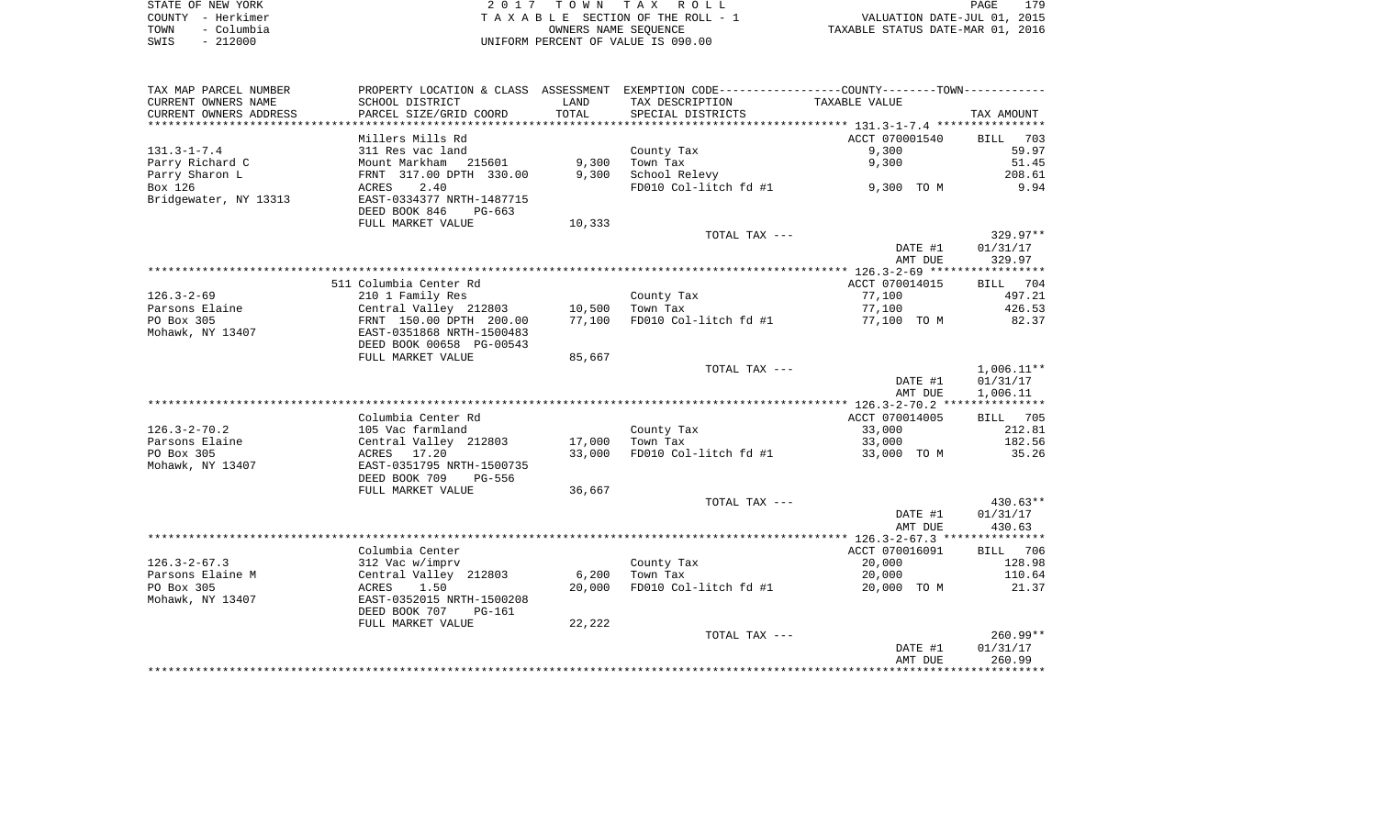|      | STATE OF NEW YORK | 2017 TOWN TAX ROLL                 | 179<br>PAGE                      |
|------|-------------------|------------------------------------|----------------------------------|
|      | COUNTY - Herkimer | TAXABLE SECTION OF THE ROLL - 1    | VALUATION DATE-JUL 01, 2015      |
| TOWN | – Columbia        | OWNERS NAME SEOUENCE               | TAXABLE STATUS DATE-MAR 01, 2016 |
| SWIS | $-212000$         | UNIFORM PERCENT OF VALUE IS 090.00 |                                  |

| TAX MAP PARCEL NUMBER  |                           |        | PROPERTY LOCATION & CLASS ASSESSMENT EXEMPTION CODE---------------COUNTY-------TOWN---------- |                |                    |
|------------------------|---------------------------|--------|-----------------------------------------------------------------------------------------------|----------------|--------------------|
| CURRENT OWNERS NAME    | SCHOOL DISTRICT           | LAND   | TAX DESCRIPTION                                                                               | TAXABLE VALUE  |                    |
| CURRENT OWNERS ADDRESS | PARCEL SIZE/GRID COORD    | TOTAL  | SPECIAL DISTRICTS                                                                             |                | TAX AMOUNT         |
|                        | *******************       |        |                                                                                               |                |                    |
|                        | Millers Mills Rd          |        |                                                                                               | ACCT 070001540 | <b>BILL</b><br>703 |
| $131.3 - 1 - 7.4$      | 311 Res vac land          |        | County Tax                                                                                    | 9,300          | 59.97              |
| Parry Richard C        | Mount Markham 215601      | 9,300  | Town Tax                                                                                      | 9,300          | 51.45              |
| Parry Sharon L         | FRNT 317.00 DPTH 330.00   | 9,300  | School Relevy                                                                                 |                | 208.61             |
| Box 126                | 2.40<br>ACRES             |        | FD010 Col-litch fd #1                                                                         | 9,300 TO M     | 9.94               |
| Bridgewater, NY 13313  | EAST-0334377 NRTH-1487715 |        |                                                                                               |                |                    |
|                        | DEED BOOK 846<br>PG-663   |        |                                                                                               |                |                    |
|                        | FULL MARKET VALUE         | 10,333 |                                                                                               |                |                    |
|                        |                           |        | TOTAL TAX ---                                                                                 |                | $329.97**$         |
|                        |                           |        |                                                                                               | DATE #1        | 01/31/17           |
|                        |                           |        |                                                                                               | AMT DUE        | 329.97             |
|                        |                           |        |                                                                                               |                |                    |
|                        | 511 Columbia Center Rd    |        |                                                                                               | ACCT 070014015 | BILL 704           |
| $126.3 - 2 - 69$       | 210 1 Family Res          |        | County Tax                                                                                    | 77,100         | 497.21             |
| Parsons Elaine         | Central Valley 212803     | 10,500 | Town Tax                                                                                      | 77,100         | 426.53             |
| PO Box 305             | FRNT 150.00 DPTH 200.00   | 77,100 | FD010 Col-litch fd #1                                                                         | 77,100 TO M    | 82.37              |
| Mohawk, NY 13407       | EAST-0351868 NRTH-1500483 |        |                                                                                               |                |                    |
|                        | DEED BOOK 00658 PG-00543  |        |                                                                                               |                |                    |
|                        | FULL MARKET VALUE         | 85,667 |                                                                                               |                |                    |
|                        |                           |        | TOTAL TAX ---                                                                                 |                | $1,006.11**$       |
|                        |                           |        |                                                                                               | DATE #1        | 01/31/17           |
|                        |                           |        |                                                                                               | AMT DUE        | 1,006.11           |
|                        |                           |        |                                                                                               |                |                    |
|                        | Columbia Center Rd        |        |                                                                                               | ACCT 070014005 |                    |
| $126.3 - 2 - 70.2$     |                           |        |                                                                                               |                | BILL 705<br>212.81 |
|                        | 105 Vac farmland          |        | County Tax                                                                                    | 33,000         | 182.56             |
| Parsons Elaine         | Central Valley 212803     | 17,000 | Town Tax                                                                                      | 33,000         |                    |
| PO Box 305             | ACRES 17.20               | 33,000 | FD010 Col-litch fd #1                                                                         | 33,000 TO M    | 35.26              |
| Mohawk, NY 13407       | EAST-0351795 NRTH-1500735 |        |                                                                                               |                |                    |
|                        | DEED BOOK 709<br>PG-556   |        |                                                                                               |                |                    |
|                        | FULL MARKET VALUE         | 36,667 |                                                                                               |                |                    |
|                        |                           |        | TOTAL TAX ---                                                                                 |                | $430.63**$         |
|                        |                           |        |                                                                                               | DATE #1        | 01/31/17           |
|                        |                           |        |                                                                                               | AMT DUE        | 430.63             |
|                        |                           |        |                                                                                               |                |                    |
|                        | Columbia Center           |        |                                                                                               | ACCT 070016091 | BILL 706           |
| $126.3 - 2 - 67.3$     | 312 Vac w/imprv           |        | County Tax                                                                                    | 20,000         | 128.98             |
| Parsons Elaine M       | Central Valley 212803     | 6,200  | Town Tax                                                                                      | 20,000         | 110.64             |
| PO Box 305             | ACRES<br>1.50             | 20,000 | FD010 Col-litch fd #1                                                                         | 20,000 TO M    | 21.37              |
| Mohawk, NY 13407       | EAST-0352015 NRTH-1500208 |        |                                                                                               |                |                    |
|                        | DEED BOOK 707<br>PG-161   |        |                                                                                               |                |                    |
|                        | FULL MARKET VALUE         | 22,222 |                                                                                               |                |                    |
|                        |                           |        | TOTAL TAX ---                                                                                 |                | $260.99**$         |
|                        |                           |        |                                                                                               | DATE #1        | 01/31/17           |
|                        |                           |        |                                                                                               | AMT DUE        | 260.99             |
|                        |                           |        |                                                                                               |                |                    |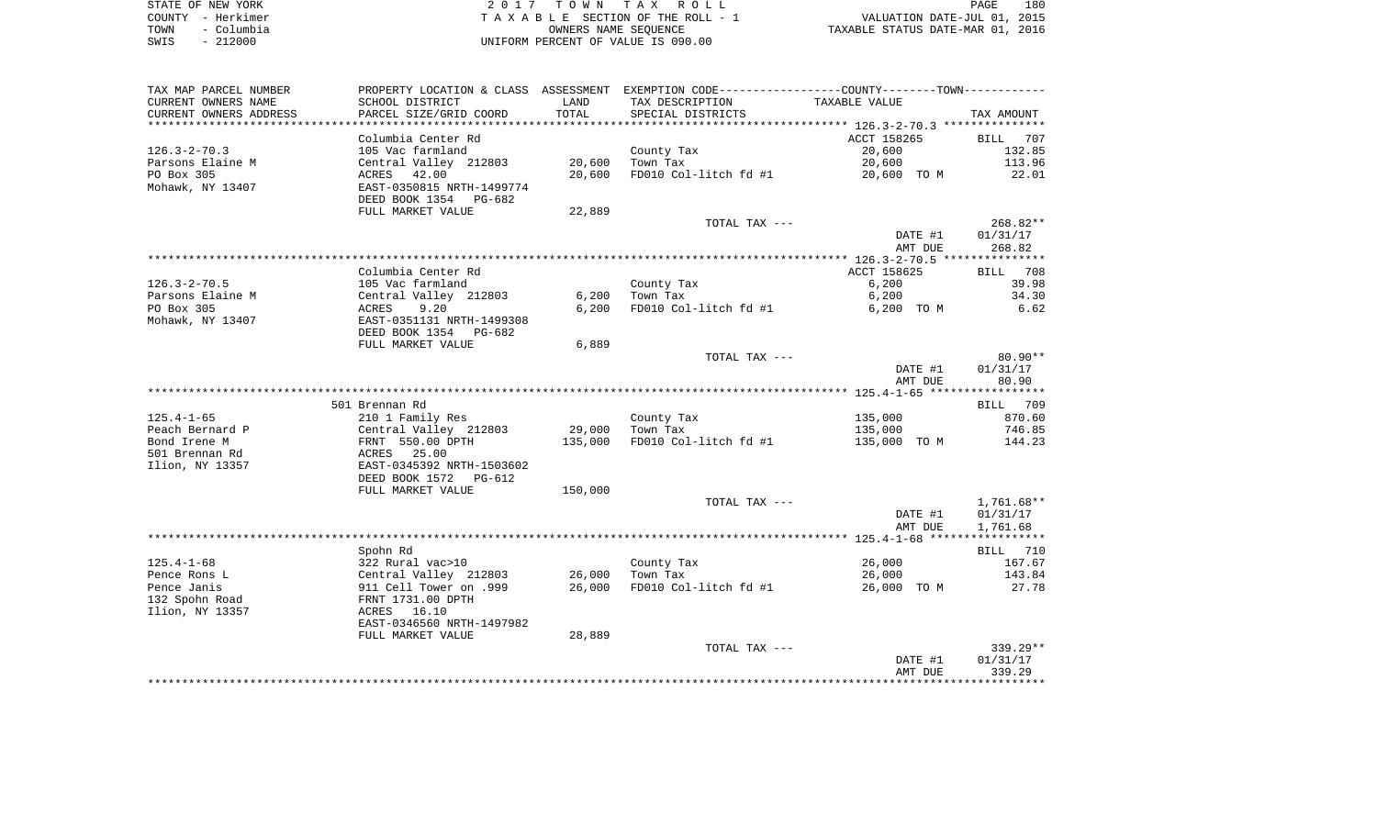|      | STATE OF NEW YORK | 2017 TOWN TAX ROLL                 | 180<br>PAGE                      |
|------|-------------------|------------------------------------|----------------------------------|
|      | COUNTY - Herkimer | TAXABLE SECTION OF THE ROLL - 1    | VALUATION DATE-JUL 01, 2015      |
| TOWN | – Columbia        | OWNERS NAME SEOUENCE               | TAXABLE STATUS DATE-MAR 01, 2016 |
| SWIS | $-212000$         | UNIFORM PERCENT OF VALUE IS 090.00 |                                  |

| SCHOOL DISTRICT<br>TAX DESCRIPTION<br>LAND<br>TAXABLE VALUE<br>PARCEL SIZE/GRID COORD<br>TOTAL<br>SPECIAL DISTRICTS<br>TAX AMOUNT<br>* * * * * * * * * * * * *<br>Columbia Center Rd<br>ACCT 158265<br>BILL 707<br>105 Vac farmland<br>County Tax<br>20,600<br>132.85<br>20,600<br>Town Tax<br>20,600<br>113.96<br>Central Valley 212803<br>ACRES 42.00<br>20,600<br>FD010 Col-litch fd #1<br>22.01<br>20,600 TO M<br>EAST-0350815 NRTH-1499774<br>DEED BOOK 1354 PG-682<br>FULL MARKET VALUE<br>22,889<br>268.82**<br>TOTAL TAX ---<br>DATE #1<br>01/31/17<br>AMT DUE<br>268.82<br>Columbia Center Rd<br>ACCT 158625<br>BILL 708<br>6,200<br>39.98<br>105 Vac farmland<br>County Tax<br>Central Valley 212803<br>6,200<br>6,200<br>34.30<br>Town Tax<br>9.20<br>6,200<br>FD010 Col-litch fd #1<br>6.62<br>ACRES<br>6,200 TO M<br>EAST-0351131 NRTH-1499308<br>DEED BOOK 1354 PG-682<br>6,889<br>FULL MARKET VALUE<br>$80.90**$<br>TOTAL TAX ---<br>DATE #1<br>01/31/17<br>AMT DUE<br>80.90<br>501 Brennan Rd<br>BILL 709<br>$125.4 - 1 - 65$<br>County Tax<br>135,000<br>870.60<br>210 1 Family Res<br>Central Valley 212803<br>29,000<br>Town Tax<br>Peach Bernard P<br>135,000<br>746.85<br>Bond Irene M<br>FRNT 550.00 DPTH<br>135,000<br>FD010 Col-litch fd #1<br>135,000 TO M<br>144.23<br>501 Brennan Rd<br>ACRES 25.00<br>Ilion, NY 13357<br>EAST-0345392 NRTH-1503602<br>DEED BOOK 1572<br>PG-612<br>FULL MARKET VALUE<br>150,000<br>1,761.68**<br>TOTAL TAX ---<br>DATE #1<br>01/31/17<br>AMT DUE<br>1,761.68<br>Spohn Rd<br>BILL 710<br>$125.4 - 1 - 68$<br>26,000<br>167.67<br>322 Rural vac>10<br>County Tax<br>Central Valley 212803<br>911 Cell Tower on .999<br>26,000<br>26,000<br>143.84<br>Pence Rons L<br>Town Tax<br>26,000<br>FD010 Col-litch fd #1<br>Pence Janis<br>26,000 TO M<br>27.78<br>132 Spohn Road<br>FRNT 1731.00 DPTH<br>Ilion, NY 13357<br>ACRES 16.10<br>EAST-0346560 NRTH-1497982<br>28,889<br>FULL MARKET VALUE<br>339.29**<br>TOTAL TAX ---<br>DATE #1<br>01/31/17<br>AMT DUE<br>339.29 | TAX MAP PARCEL NUMBER  |  | PROPERTY LOCATION & CLASS ASSESSMENT EXEMPTION CODE----------------COUNTY--------TOWN----------- |  |
|--------------------------------------------------------------------------------------------------------------------------------------------------------------------------------------------------------------------------------------------------------------------------------------------------------------------------------------------------------------------------------------------------------------------------------------------------------------------------------------------------------------------------------------------------------------------------------------------------------------------------------------------------------------------------------------------------------------------------------------------------------------------------------------------------------------------------------------------------------------------------------------------------------------------------------------------------------------------------------------------------------------------------------------------------------------------------------------------------------------------------------------------------------------------------------------------------------------------------------------------------------------------------------------------------------------------------------------------------------------------------------------------------------------------------------------------------------------------------------------------------------------------------------------------------------------------------------------------------------------------------------------------------------------------------------------------------------------------------------------------------------------------------------------------------------------------------------------------------------------------------------------------------------------------------------------------------------------------------------------------------------------------------------|------------------------|--|--------------------------------------------------------------------------------------------------|--|
|                                                                                                                                                                                                                                                                                                                                                                                                                                                                                                                                                                                                                                                                                                                                                                                                                                                                                                                                                                                                                                                                                                                                                                                                                                                                                                                                                                                                                                                                                                                                                                                                                                                                                                                                                                                                                                                                                                                                                                                                                                | CURRENT OWNERS NAME    |  |                                                                                                  |  |
|                                                                                                                                                                                                                                                                                                                                                                                                                                                                                                                                                                                                                                                                                                                                                                                                                                                                                                                                                                                                                                                                                                                                                                                                                                                                                                                                                                                                                                                                                                                                                                                                                                                                                                                                                                                                                                                                                                                                                                                                                                | CURRENT OWNERS ADDRESS |  |                                                                                                  |  |
|                                                                                                                                                                                                                                                                                                                                                                                                                                                                                                                                                                                                                                                                                                                                                                                                                                                                                                                                                                                                                                                                                                                                                                                                                                                                                                                                                                                                                                                                                                                                                                                                                                                                                                                                                                                                                                                                                                                                                                                                                                |                        |  |                                                                                                  |  |
|                                                                                                                                                                                                                                                                                                                                                                                                                                                                                                                                                                                                                                                                                                                                                                                                                                                                                                                                                                                                                                                                                                                                                                                                                                                                                                                                                                                                                                                                                                                                                                                                                                                                                                                                                                                                                                                                                                                                                                                                                                |                        |  |                                                                                                  |  |
|                                                                                                                                                                                                                                                                                                                                                                                                                                                                                                                                                                                                                                                                                                                                                                                                                                                                                                                                                                                                                                                                                                                                                                                                                                                                                                                                                                                                                                                                                                                                                                                                                                                                                                                                                                                                                                                                                                                                                                                                                                | $126.3 - 2 - 70.3$     |  |                                                                                                  |  |
|                                                                                                                                                                                                                                                                                                                                                                                                                                                                                                                                                                                                                                                                                                                                                                                                                                                                                                                                                                                                                                                                                                                                                                                                                                                                                                                                                                                                                                                                                                                                                                                                                                                                                                                                                                                                                                                                                                                                                                                                                                | Parsons Elaine M       |  |                                                                                                  |  |
|                                                                                                                                                                                                                                                                                                                                                                                                                                                                                                                                                                                                                                                                                                                                                                                                                                                                                                                                                                                                                                                                                                                                                                                                                                                                                                                                                                                                                                                                                                                                                                                                                                                                                                                                                                                                                                                                                                                                                                                                                                | PO Box 305             |  |                                                                                                  |  |
|                                                                                                                                                                                                                                                                                                                                                                                                                                                                                                                                                                                                                                                                                                                                                                                                                                                                                                                                                                                                                                                                                                                                                                                                                                                                                                                                                                                                                                                                                                                                                                                                                                                                                                                                                                                                                                                                                                                                                                                                                                | Mohawk, NY 13407       |  |                                                                                                  |  |
|                                                                                                                                                                                                                                                                                                                                                                                                                                                                                                                                                                                                                                                                                                                                                                                                                                                                                                                                                                                                                                                                                                                                                                                                                                                                                                                                                                                                                                                                                                                                                                                                                                                                                                                                                                                                                                                                                                                                                                                                                                |                        |  |                                                                                                  |  |
|                                                                                                                                                                                                                                                                                                                                                                                                                                                                                                                                                                                                                                                                                                                                                                                                                                                                                                                                                                                                                                                                                                                                                                                                                                                                                                                                                                                                                                                                                                                                                                                                                                                                                                                                                                                                                                                                                                                                                                                                                                |                        |  |                                                                                                  |  |
|                                                                                                                                                                                                                                                                                                                                                                                                                                                                                                                                                                                                                                                                                                                                                                                                                                                                                                                                                                                                                                                                                                                                                                                                                                                                                                                                                                                                                                                                                                                                                                                                                                                                                                                                                                                                                                                                                                                                                                                                                                |                        |  |                                                                                                  |  |
|                                                                                                                                                                                                                                                                                                                                                                                                                                                                                                                                                                                                                                                                                                                                                                                                                                                                                                                                                                                                                                                                                                                                                                                                                                                                                                                                                                                                                                                                                                                                                                                                                                                                                                                                                                                                                                                                                                                                                                                                                                |                        |  |                                                                                                  |  |
|                                                                                                                                                                                                                                                                                                                                                                                                                                                                                                                                                                                                                                                                                                                                                                                                                                                                                                                                                                                                                                                                                                                                                                                                                                                                                                                                                                                                                                                                                                                                                                                                                                                                                                                                                                                                                                                                                                                                                                                                                                |                        |  |                                                                                                  |  |
|                                                                                                                                                                                                                                                                                                                                                                                                                                                                                                                                                                                                                                                                                                                                                                                                                                                                                                                                                                                                                                                                                                                                                                                                                                                                                                                                                                                                                                                                                                                                                                                                                                                                                                                                                                                                                                                                                                                                                                                                                                |                        |  |                                                                                                  |  |
|                                                                                                                                                                                                                                                                                                                                                                                                                                                                                                                                                                                                                                                                                                                                                                                                                                                                                                                                                                                                                                                                                                                                                                                                                                                                                                                                                                                                                                                                                                                                                                                                                                                                                                                                                                                                                                                                                                                                                                                                                                |                        |  |                                                                                                  |  |
|                                                                                                                                                                                                                                                                                                                                                                                                                                                                                                                                                                                                                                                                                                                                                                                                                                                                                                                                                                                                                                                                                                                                                                                                                                                                                                                                                                                                                                                                                                                                                                                                                                                                                                                                                                                                                                                                                                                                                                                                                                | $126.3 - 2 - 70.5$     |  |                                                                                                  |  |
|                                                                                                                                                                                                                                                                                                                                                                                                                                                                                                                                                                                                                                                                                                                                                                                                                                                                                                                                                                                                                                                                                                                                                                                                                                                                                                                                                                                                                                                                                                                                                                                                                                                                                                                                                                                                                                                                                                                                                                                                                                | Parsons Elaine M       |  |                                                                                                  |  |
|                                                                                                                                                                                                                                                                                                                                                                                                                                                                                                                                                                                                                                                                                                                                                                                                                                                                                                                                                                                                                                                                                                                                                                                                                                                                                                                                                                                                                                                                                                                                                                                                                                                                                                                                                                                                                                                                                                                                                                                                                                | PO Box 305             |  |                                                                                                  |  |
|                                                                                                                                                                                                                                                                                                                                                                                                                                                                                                                                                                                                                                                                                                                                                                                                                                                                                                                                                                                                                                                                                                                                                                                                                                                                                                                                                                                                                                                                                                                                                                                                                                                                                                                                                                                                                                                                                                                                                                                                                                | Mohawk, NY 13407       |  |                                                                                                  |  |
|                                                                                                                                                                                                                                                                                                                                                                                                                                                                                                                                                                                                                                                                                                                                                                                                                                                                                                                                                                                                                                                                                                                                                                                                                                                                                                                                                                                                                                                                                                                                                                                                                                                                                                                                                                                                                                                                                                                                                                                                                                |                        |  |                                                                                                  |  |
|                                                                                                                                                                                                                                                                                                                                                                                                                                                                                                                                                                                                                                                                                                                                                                                                                                                                                                                                                                                                                                                                                                                                                                                                                                                                                                                                                                                                                                                                                                                                                                                                                                                                                                                                                                                                                                                                                                                                                                                                                                |                        |  |                                                                                                  |  |
|                                                                                                                                                                                                                                                                                                                                                                                                                                                                                                                                                                                                                                                                                                                                                                                                                                                                                                                                                                                                                                                                                                                                                                                                                                                                                                                                                                                                                                                                                                                                                                                                                                                                                                                                                                                                                                                                                                                                                                                                                                |                        |  |                                                                                                  |  |
|                                                                                                                                                                                                                                                                                                                                                                                                                                                                                                                                                                                                                                                                                                                                                                                                                                                                                                                                                                                                                                                                                                                                                                                                                                                                                                                                                                                                                                                                                                                                                                                                                                                                                                                                                                                                                                                                                                                                                                                                                                |                        |  |                                                                                                  |  |
|                                                                                                                                                                                                                                                                                                                                                                                                                                                                                                                                                                                                                                                                                                                                                                                                                                                                                                                                                                                                                                                                                                                                                                                                                                                                                                                                                                                                                                                                                                                                                                                                                                                                                                                                                                                                                                                                                                                                                                                                                                |                        |  |                                                                                                  |  |
|                                                                                                                                                                                                                                                                                                                                                                                                                                                                                                                                                                                                                                                                                                                                                                                                                                                                                                                                                                                                                                                                                                                                                                                                                                                                                                                                                                                                                                                                                                                                                                                                                                                                                                                                                                                                                                                                                                                                                                                                                                |                        |  |                                                                                                  |  |
|                                                                                                                                                                                                                                                                                                                                                                                                                                                                                                                                                                                                                                                                                                                                                                                                                                                                                                                                                                                                                                                                                                                                                                                                                                                                                                                                                                                                                                                                                                                                                                                                                                                                                                                                                                                                                                                                                                                                                                                                                                |                        |  |                                                                                                  |  |
|                                                                                                                                                                                                                                                                                                                                                                                                                                                                                                                                                                                                                                                                                                                                                                                                                                                                                                                                                                                                                                                                                                                                                                                                                                                                                                                                                                                                                                                                                                                                                                                                                                                                                                                                                                                                                                                                                                                                                                                                                                |                        |  |                                                                                                  |  |
|                                                                                                                                                                                                                                                                                                                                                                                                                                                                                                                                                                                                                                                                                                                                                                                                                                                                                                                                                                                                                                                                                                                                                                                                                                                                                                                                                                                                                                                                                                                                                                                                                                                                                                                                                                                                                                                                                                                                                                                                                                |                        |  |                                                                                                  |  |
|                                                                                                                                                                                                                                                                                                                                                                                                                                                                                                                                                                                                                                                                                                                                                                                                                                                                                                                                                                                                                                                                                                                                                                                                                                                                                                                                                                                                                                                                                                                                                                                                                                                                                                                                                                                                                                                                                                                                                                                                                                |                        |  |                                                                                                  |  |
|                                                                                                                                                                                                                                                                                                                                                                                                                                                                                                                                                                                                                                                                                                                                                                                                                                                                                                                                                                                                                                                                                                                                                                                                                                                                                                                                                                                                                                                                                                                                                                                                                                                                                                                                                                                                                                                                                                                                                                                                                                |                        |  |                                                                                                  |  |
|                                                                                                                                                                                                                                                                                                                                                                                                                                                                                                                                                                                                                                                                                                                                                                                                                                                                                                                                                                                                                                                                                                                                                                                                                                                                                                                                                                                                                                                                                                                                                                                                                                                                                                                                                                                                                                                                                                                                                                                                                                |                        |  |                                                                                                  |  |
|                                                                                                                                                                                                                                                                                                                                                                                                                                                                                                                                                                                                                                                                                                                                                                                                                                                                                                                                                                                                                                                                                                                                                                                                                                                                                                                                                                                                                                                                                                                                                                                                                                                                                                                                                                                                                                                                                                                                                                                                                                |                        |  |                                                                                                  |  |
|                                                                                                                                                                                                                                                                                                                                                                                                                                                                                                                                                                                                                                                                                                                                                                                                                                                                                                                                                                                                                                                                                                                                                                                                                                                                                                                                                                                                                                                                                                                                                                                                                                                                                                                                                                                                                                                                                                                                                                                                                                |                        |  |                                                                                                  |  |
|                                                                                                                                                                                                                                                                                                                                                                                                                                                                                                                                                                                                                                                                                                                                                                                                                                                                                                                                                                                                                                                                                                                                                                                                                                                                                                                                                                                                                                                                                                                                                                                                                                                                                                                                                                                                                                                                                                                                                                                                                                |                        |  |                                                                                                  |  |
|                                                                                                                                                                                                                                                                                                                                                                                                                                                                                                                                                                                                                                                                                                                                                                                                                                                                                                                                                                                                                                                                                                                                                                                                                                                                                                                                                                                                                                                                                                                                                                                                                                                                                                                                                                                                                                                                                                                                                                                                                                |                        |  |                                                                                                  |  |
|                                                                                                                                                                                                                                                                                                                                                                                                                                                                                                                                                                                                                                                                                                                                                                                                                                                                                                                                                                                                                                                                                                                                                                                                                                                                                                                                                                                                                                                                                                                                                                                                                                                                                                                                                                                                                                                                                                                                                                                                                                |                        |  |                                                                                                  |  |
|                                                                                                                                                                                                                                                                                                                                                                                                                                                                                                                                                                                                                                                                                                                                                                                                                                                                                                                                                                                                                                                                                                                                                                                                                                                                                                                                                                                                                                                                                                                                                                                                                                                                                                                                                                                                                                                                                                                                                                                                                                |                        |  |                                                                                                  |  |
|                                                                                                                                                                                                                                                                                                                                                                                                                                                                                                                                                                                                                                                                                                                                                                                                                                                                                                                                                                                                                                                                                                                                                                                                                                                                                                                                                                                                                                                                                                                                                                                                                                                                                                                                                                                                                                                                                                                                                                                                                                |                        |  |                                                                                                  |  |
|                                                                                                                                                                                                                                                                                                                                                                                                                                                                                                                                                                                                                                                                                                                                                                                                                                                                                                                                                                                                                                                                                                                                                                                                                                                                                                                                                                                                                                                                                                                                                                                                                                                                                                                                                                                                                                                                                                                                                                                                                                |                        |  |                                                                                                  |  |
|                                                                                                                                                                                                                                                                                                                                                                                                                                                                                                                                                                                                                                                                                                                                                                                                                                                                                                                                                                                                                                                                                                                                                                                                                                                                                                                                                                                                                                                                                                                                                                                                                                                                                                                                                                                                                                                                                                                                                                                                                                |                        |  |                                                                                                  |  |
|                                                                                                                                                                                                                                                                                                                                                                                                                                                                                                                                                                                                                                                                                                                                                                                                                                                                                                                                                                                                                                                                                                                                                                                                                                                                                                                                                                                                                                                                                                                                                                                                                                                                                                                                                                                                                                                                                                                                                                                                                                |                        |  |                                                                                                  |  |
|                                                                                                                                                                                                                                                                                                                                                                                                                                                                                                                                                                                                                                                                                                                                                                                                                                                                                                                                                                                                                                                                                                                                                                                                                                                                                                                                                                                                                                                                                                                                                                                                                                                                                                                                                                                                                                                                                                                                                                                                                                |                        |  |                                                                                                  |  |
|                                                                                                                                                                                                                                                                                                                                                                                                                                                                                                                                                                                                                                                                                                                                                                                                                                                                                                                                                                                                                                                                                                                                                                                                                                                                                                                                                                                                                                                                                                                                                                                                                                                                                                                                                                                                                                                                                                                                                                                                                                |                        |  |                                                                                                  |  |
|                                                                                                                                                                                                                                                                                                                                                                                                                                                                                                                                                                                                                                                                                                                                                                                                                                                                                                                                                                                                                                                                                                                                                                                                                                                                                                                                                                                                                                                                                                                                                                                                                                                                                                                                                                                                                                                                                                                                                                                                                                |                        |  |                                                                                                  |  |
|                                                                                                                                                                                                                                                                                                                                                                                                                                                                                                                                                                                                                                                                                                                                                                                                                                                                                                                                                                                                                                                                                                                                                                                                                                                                                                                                                                                                                                                                                                                                                                                                                                                                                                                                                                                                                                                                                                                                                                                                                                |                        |  |                                                                                                  |  |
|                                                                                                                                                                                                                                                                                                                                                                                                                                                                                                                                                                                                                                                                                                                                                                                                                                                                                                                                                                                                                                                                                                                                                                                                                                                                                                                                                                                                                                                                                                                                                                                                                                                                                                                                                                                                                                                                                                                                                                                                                                |                        |  |                                                                                                  |  |
|                                                                                                                                                                                                                                                                                                                                                                                                                                                                                                                                                                                                                                                                                                                                                                                                                                                                                                                                                                                                                                                                                                                                                                                                                                                                                                                                                                                                                                                                                                                                                                                                                                                                                                                                                                                                                                                                                                                                                                                                                                |                        |  |                                                                                                  |  |
|                                                                                                                                                                                                                                                                                                                                                                                                                                                                                                                                                                                                                                                                                                                                                                                                                                                                                                                                                                                                                                                                                                                                                                                                                                                                                                                                                                                                                                                                                                                                                                                                                                                                                                                                                                                                                                                                                                                                                                                                                                |                        |  |                                                                                                  |  |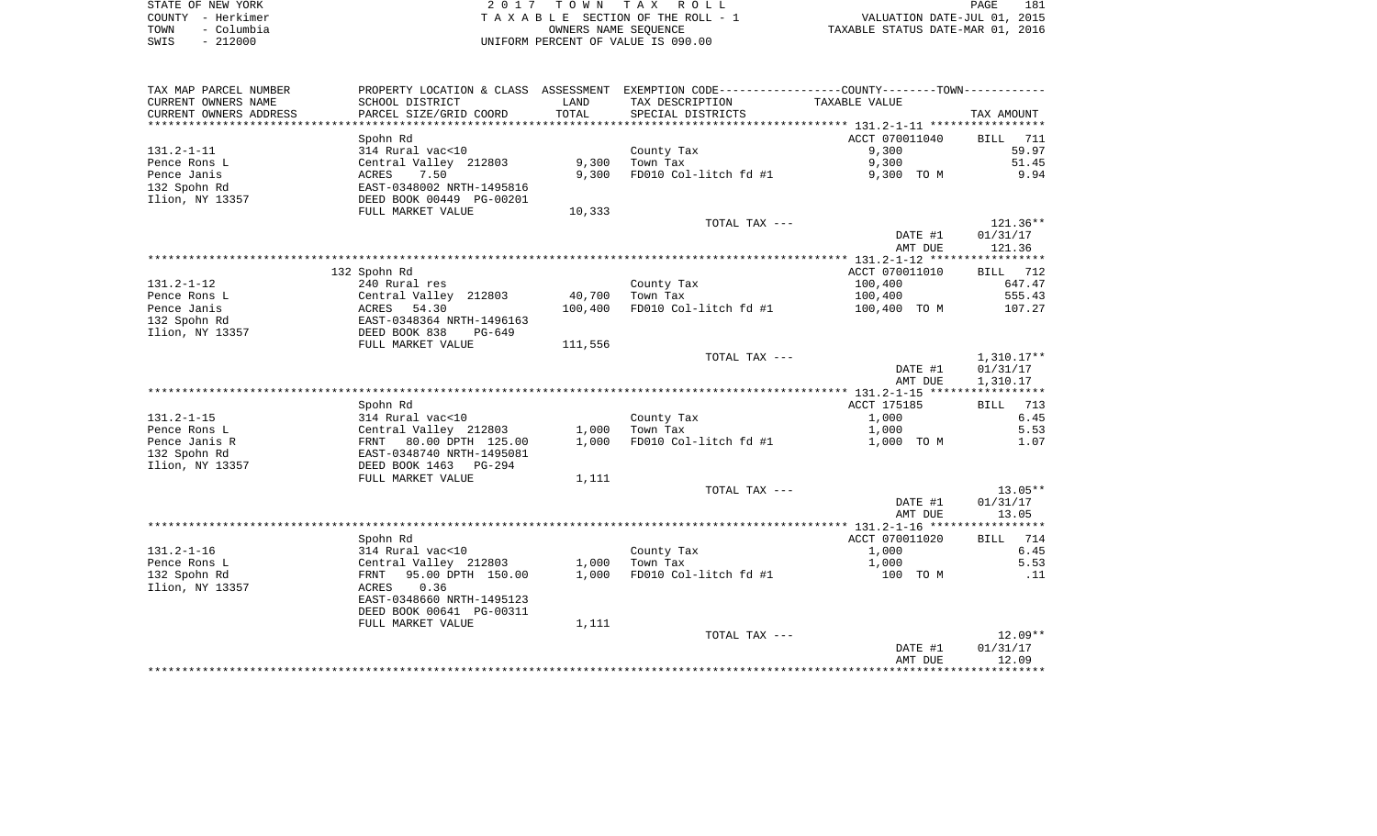| STATE OF NEW YORK  | 2017 TOWN TAX ROLL                 | 181<br>PAGE                      |
|--------------------|------------------------------------|----------------------------------|
| COUNTY - Herkimer  | TAXABLE SECTION OF THE ROLL - 1    | VALUATION DATE-JUL 01, 2015      |
| - Columbia<br>TOWN | OWNERS NAME SEOUENCE               | TAXABLE STATUS DATE-MAR 01, 2016 |
| $-212000$<br>SWIS  | UNIFORM PERCENT OF VALUE IS 090.00 |                                  |

| TAX MAP PARCEL NUMBER           | PROPERTY LOCATION & CLASS ASSESSMENT        |         | EXEMPTION CODE-----------------COUNTY-------TOWN----------- |                |                       |
|---------------------------------|---------------------------------------------|---------|-------------------------------------------------------------|----------------|-----------------------|
| CURRENT OWNERS NAME             | SCHOOL DISTRICT                             | LAND    | TAX DESCRIPTION                                             | TAXABLE VALUE  |                       |
| CURRENT OWNERS ADDRESS          | PARCEL SIZE/GRID COORD                      | TOTAL   | SPECIAL DISTRICTS                                           |                | TAX AMOUNT            |
|                                 |                                             |         |                                                             |                |                       |
|                                 | Spohn Rd                                    |         |                                                             | ACCT 070011040 | BILL<br>711           |
| $131.2 - 1 - 11$                | 314 Rural vac<10                            |         | County Tax                                                  | 9,300          | 59.97                 |
| Pence Rons L                    | Central Valley 212803                       | 9,300   | Town Tax                                                    | 9,300          | 51.45                 |
| Pence Janis                     | 7.50<br>ACRES                               | 9,300   | FD010 Col-litch fd #1                                       | 9,300 TO M     | 9.94                  |
| 132 Spohn Rd                    | EAST-0348002 NRTH-1495816                   |         |                                                             |                |                       |
| Ilion, NY 13357                 | DEED BOOK 00449 PG-00201                    |         |                                                             |                |                       |
|                                 | FULL MARKET VALUE                           | 10,333  |                                                             |                |                       |
|                                 |                                             |         | TOTAL TAX ---                                               |                | 121.36**              |
|                                 |                                             |         |                                                             | DATE #1        | 01/31/17              |
|                                 |                                             |         |                                                             | AMT DUE        | 121.36                |
|                                 |                                             |         |                                                             |                |                       |
|                                 | 132 Spohn Rd                                |         |                                                             | ACCT 070011010 | BILL 712              |
| $131.2 - 1 - 12$                | 240 Rural res                               |         | County Tax                                                  | 100,400        | 647.47                |
| Pence Rons L                    | Central Valley 212803                       | 40,700  | Town Tax                                                    | 100,400        | 555.43                |
| Pence Janis                     | ACRES<br>54.30<br>EAST-0348364 NRTH-1496163 | 100,400 | FD010 Col-litch fd #1                                       | 100,400 TO M   | 107.27                |
| 132 Spohn Rd<br>Ilion, NY 13357 | DEED BOOK 838<br>$PG-649$                   |         |                                                             |                |                       |
|                                 | FULL MARKET VALUE                           | 111,556 |                                                             |                |                       |
|                                 |                                             |         | TOTAL TAX ---                                               |                | $1,310.17**$          |
|                                 |                                             |         |                                                             | DATE #1        | 01/31/17              |
|                                 |                                             |         |                                                             | AMT DUE        | 1,310.17              |
|                                 |                                             |         |                                                             |                |                       |
|                                 | Spohn Rd                                    |         |                                                             | ACCT 175185    | BILL<br>713           |
| $131.2 - 1 - 15$                | 314 Rural vac<10                            |         | County Tax                                                  | 1,000          | 6.45                  |
| Pence Rons L                    | Central Valley 212803                       | 1,000   | Town Tax                                                    | 1,000          | 5.53                  |
| Pence Janis R                   | 80.00 DPTH 125.00<br>FRNT                   | 1,000   | FD010 Col-litch fd #1                                       | 1,000 TO M     | 1.07                  |
| 132 Spohn Rd                    | EAST-0348740 NRTH-1495081                   |         |                                                             |                |                       |
| Ilion, NY 13357                 | DEED BOOK 1463 PG-294                       |         |                                                             |                |                       |
|                                 | FULL MARKET VALUE                           | 1,111   |                                                             |                |                       |
|                                 |                                             |         | TOTAL TAX ---                                               |                | $13.05**$             |
|                                 |                                             |         |                                                             | DATE #1        | 01/31/17              |
|                                 |                                             |         |                                                             | AMT DUE        | 13.05                 |
|                                 |                                             |         |                                                             |                | ***********           |
|                                 | Spohn Rd                                    |         |                                                             | ACCT 070011020 | BILL 714              |
| $131.2 - 1 - 16$                | 314 Rural vac<10                            |         | County Tax                                                  | 1,000          | 6.45                  |
| Pence Rons L                    | Central Valley 212803                       | 1,000   | Town Tax                                                    | 1,000          | 5.53                  |
| 132 Spohn Rd                    | 95.00 DPTH 150.00<br>FRNT                   | 1,000   | FD010 Col-litch fd #1                                       | 100 TO M       | .11                   |
| Ilion, NY 13357                 | 0.36<br>ACRES                               |         |                                                             |                |                       |
|                                 | EAST-0348660 NRTH-1495123                   |         |                                                             |                |                       |
|                                 | DEED BOOK 00641 PG-00311                    |         |                                                             |                |                       |
|                                 | FULL MARKET VALUE                           | 1,111   |                                                             |                |                       |
|                                 |                                             |         | TOTAL TAX ---                                               | DATE #1        | $12.09**$<br>01/31/17 |
|                                 |                                             |         |                                                             | AMT DUE        | 12.09                 |
|                                 |                                             |         |                                                             |                |                       |
|                                 |                                             |         |                                                             |                |                       |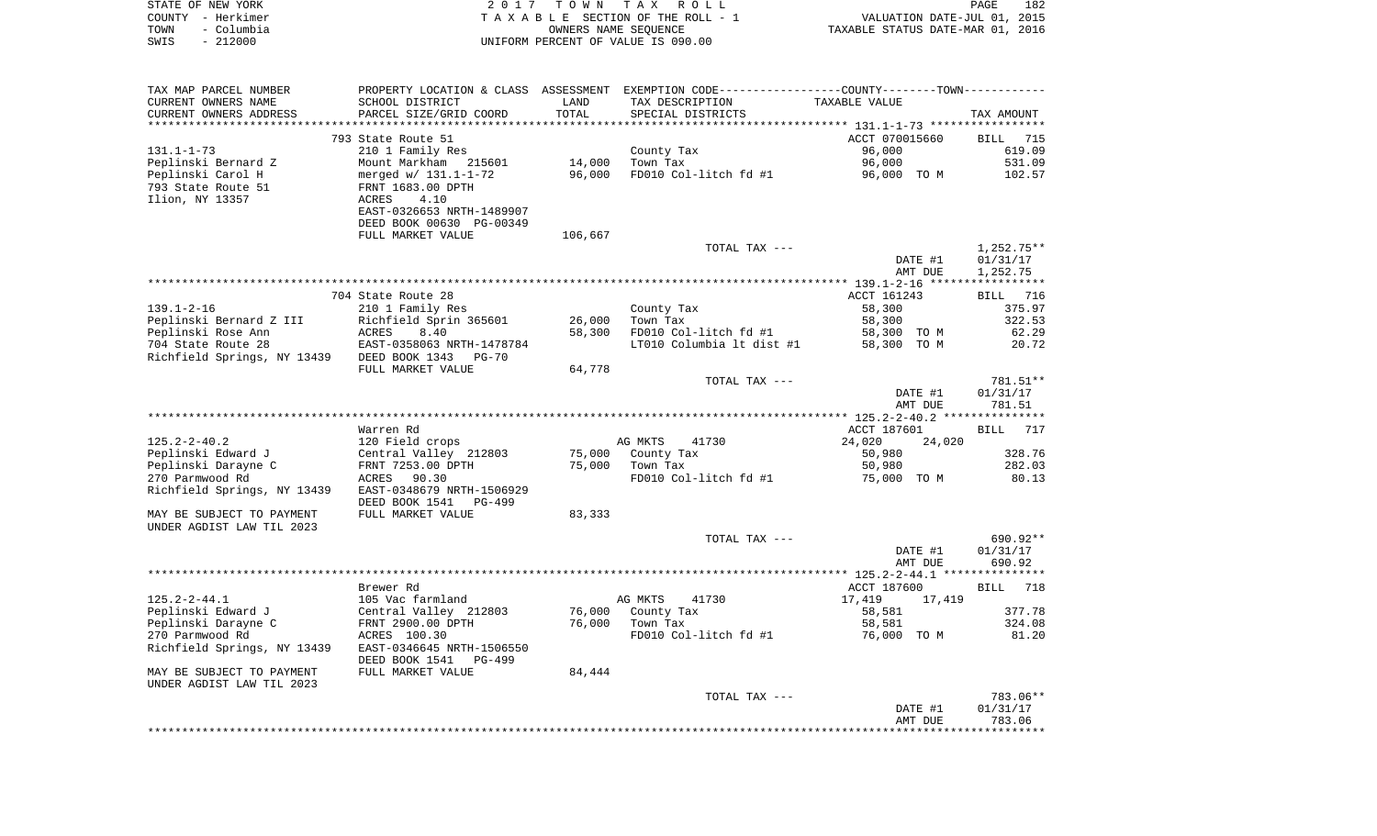|      | STATE OF NEW YORK | 2017 TOWN TAX ROLL                 | 182<br>PAGE                      |
|------|-------------------|------------------------------------|----------------------------------|
|      | COUNTY - Herkimer | TAXABLE SECTION OF THE ROLL - 1    | VALUATION DATE-JUL 01, 2015      |
| TOWN | – Columbia        | OWNERS NAME SEOUENCE               | TAXABLE STATUS DATE-MAR 01, 2016 |
| SWIS | $-212000$         | UNIFORM PERCENT OF VALUE IS 090.00 |                                  |

| CURRENT OWNERS NAME<br>CURRENT OWNERS ADDRESS | SCHOOL DISTRICT<br>PARCEL SIZE/GRID COORD | LAND<br>TOTAL | TAX DESCRIPTION<br>SPECIAL DISTRICTS | TAXABLE VALUE         | TAX AMOUNT           |
|-----------------------------------------------|-------------------------------------------|---------------|--------------------------------------|-----------------------|----------------------|
| **********************                        |                                           |               |                                      |                       |                      |
|                                               | 793 State Route 51                        |               |                                      | ACCT 070015660        | <b>BILL</b><br>715   |
| $131.1 - 1 - 73$                              | 210 1 Family Res                          |               | County Tax                           | 96,000                | 619.09               |
| Peplinski Bernard Z                           | Mount Markham<br>215601                   | 14,000        | Town Tax                             | 96,000                | 531.09               |
| Peplinski Carol H                             | merged w/ 131.1-1-72                      | 96,000        | FD010 Col-litch fd #1                | 96,000 TO M           | 102.57               |
| 793 State Route 51                            | FRNT 1683.00 DPTH                         |               |                                      |                       |                      |
| Ilion, NY 13357                               | 4.10<br>ACRES                             |               |                                      |                       |                      |
|                                               | EAST-0326653 NRTH-1489907                 |               |                                      |                       |                      |
|                                               | DEED BOOK 00630 PG-00349                  |               |                                      |                       |                      |
|                                               | FULL MARKET VALUE                         | 106,667       |                                      |                       |                      |
|                                               |                                           |               | TOTAL TAX ---                        |                       | $1,252.75**$         |
|                                               |                                           |               |                                      | DATE #1               | 01/31/17             |
|                                               |                                           |               |                                      | AMT DUE               | 1,252.75             |
|                                               |                                           |               |                                      |                       |                      |
| $139.1 - 2 - 16$                              | 704 State Route 28<br>210 1 Family Res    |               | County Tax                           | ACCT 161243<br>58,300 | BILL 716<br>375.97   |
| Peplinski Bernard Z III                       | Richfield Sprin 365601                    | 26,000        | Town Tax                             | 58,300                | 322.53               |
| Peplinski Rose Ann                            | 8.40<br><b>ACRES</b>                      | 58,300        | FD010 Col-litch fd #1                | 58,300 TO M           | 62.29                |
| 704 State Route 28                            | EAST-0358063 NRTH-1478784                 |               | LT010 Columbia 1t dist #1            | 58,300 TO M           | 20.72                |
| Richfield Springs, NY 13439                   | DEED BOOK 1343<br>PG-70                   |               |                                      |                       |                      |
|                                               | FULL MARKET VALUE                         | 64,778        |                                      |                       |                      |
|                                               |                                           |               | TOTAL TAX ---                        |                       | 781.51**             |
|                                               |                                           |               |                                      | DATE #1               | 01/31/17             |
|                                               |                                           |               |                                      | AMT DUE               | 781.51               |
|                                               |                                           |               |                                      |                       |                      |
|                                               | Warren Rd                                 |               |                                      | ACCT 187601           | 717<br>BILL          |
|                                               |                                           |               |                                      |                       |                      |
| $125.2 - 2 - 40.2$                            | 120 Field crops                           |               | AG MKTS<br>41730                     | 24,020<br>24,020      |                      |
| Peplinski Edward J                            | Central Valley 212803                     | 75,000        | County Tax                           | 50,980                | 328.76               |
| Peplinski Darayne C                           | FRNT 7253.00 DPTH                         | 75,000        | Town Tax                             | 50,980                | 282.03               |
| 270 Parmwood Rd                               | ACRES 90.30                               |               | FD010 Col-litch fd #1                | 75,000 TO M           | 80.13                |
| Richfield Springs, NY 13439                   | EAST-0348679 NRTH-1506929                 |               |                                      |                       |                      |
|                                               | DEED BOOK 1541<br>PG-499                  |               |                                      |                       |                      |
| MAY BE SUBJECT TO PAYMENT                     | FULL MARKET VALUE                         | 83,333        |                                      |                       |                      |
| UNDER AGDIST LAW TIL 2023                     |                                           |               |                                      |                       |                      |
|                                               |                                           |               | TOTAL TAX ---                        | DATE #1               | 690.92**<br>01/31/17 |
|                                               |                                           |               |                                      | AMT DUE               | 690.92               |
|                                               |                                           |               |                                      |                       |                      |
|                                               | Brewer Rd                                 |               |                                      | ACCT 187600           | <b>BILL</b><br>718   |
| $125.2 - 2 - 44.1$                            | 105 Vac farmland                          |               | AG MKTS<br>41730                     | 17,419<br>17,419      |                      |
| Peplinski Edward J                            | Central Valley 212803                     | 76,000        | County Tax                           | 58,581                | 377.78               |
| Peplinski Darayne C                           | FRNT 2900.00 DPTH                         | 76,000        | Town Tax                             | 58,581                | 324.08               |
| 270 Parmwood Rd                               | ACRES 100.30                              |               | FD010 Col-litch fd #1                | 76,000 TO M           | 81.20                |
| Richfield Springs, NY 13439                   | EAST-0346645 NRTH-1506550                 |               |                                      |                       |                      |
|                                               | DEED BOOK 1541<br>PG-499                  |               |                                      |                       |                      |
| MAY BE SUBJECT TO PAYMENT                     | FULL MARKET VALUE                         | 84,444        |                                      |                       |                      |
| UNDER AGDIST LAW TIL 2023                     |                                           |               | TOTAL TAX ---                        |                       | 783.06**             |
|                                               |                                           |               |                                      | DATE #1               | 01/31/17             |
|                                               |                                           |               |                                      | AMT DUE               | 783.06               |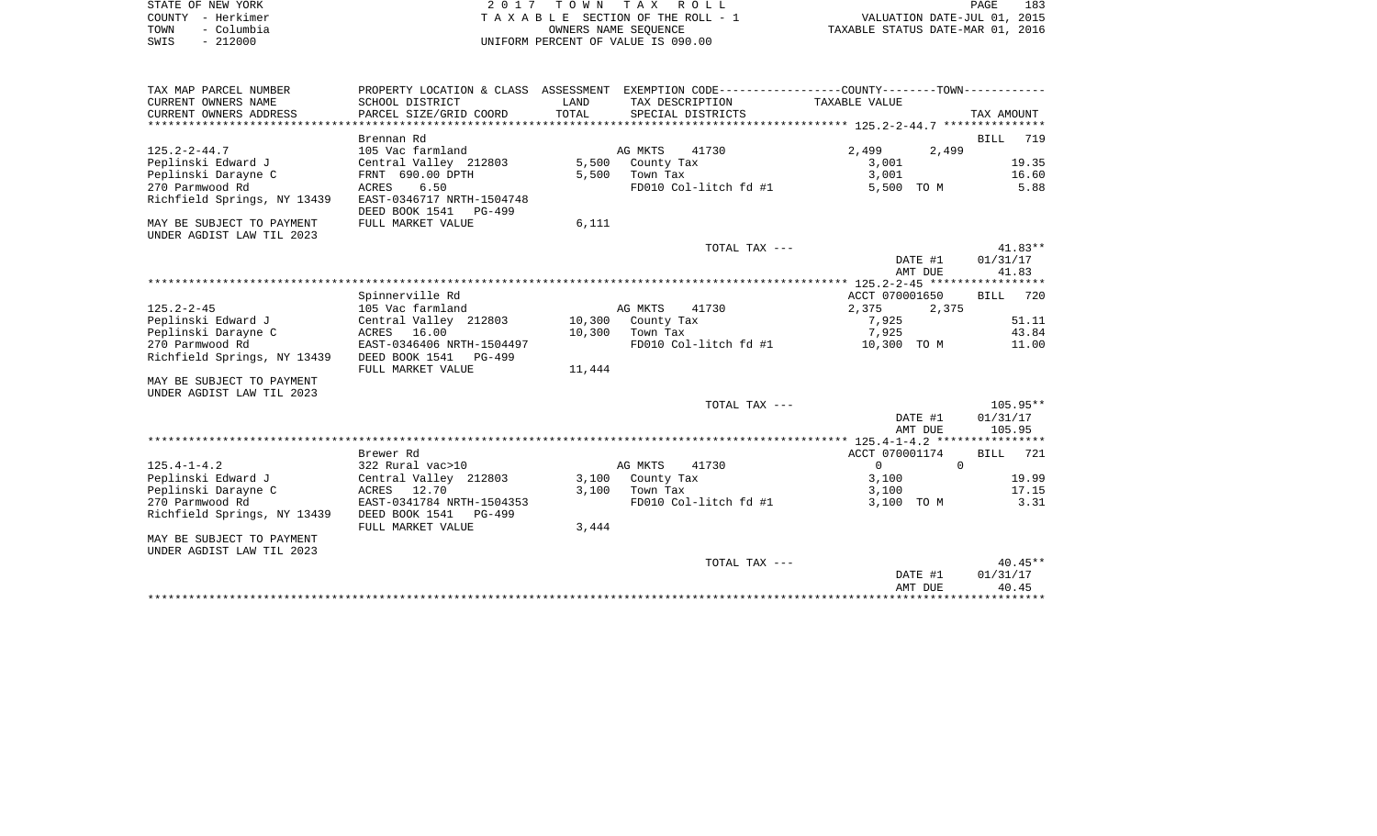|      | STATE OF NEW YORK | 2017 TOWN TAX ROLL                 | <b>PAGE</b>                      | 183 |
|------|-------------------|------------------------------------|----------------------------------|-----|
|      | COUNTY - Herkimer | TAXABLE SECTION OF THE ROLL - 1    | VALUATION DATE-JUL 01, 2015      |     |
| TOWN | – Columbia        | OWNERS NAME SEOUENCE               | TAXABLE STATUS DATE-MAR 01, 2016 |     |
| SWIS | $-212000$         | UNIFORM PERCENT OF VALUE IS 090.00 |                                  |     |

| TAX MAP PARCEL NUMBER<br>CURRENT OWNERS NAME | PROPERTY LOCATION & CLASS ASSESSMENT EXEMPTION CODE----------------COUNTY-------TOWN----------<br>SCHOOL DISTRICT | LAND   | TAX DESCRIPTION       | TAXABLE VALUE        |                    |
|----------------------------------------------|-------------------------------------------------------------------------------------------------------------------|--------|-----------------------|----------------------|--------------------|
| CURRENT OWNERS ADDRESS                       | PARCEL SIZE/GRID COORD                                                                                            | TOTAL  | SPECIAL DISTRICTS     |                      | TAX AMOUNT         |
|                                              |                                                                                                                   |        |                       |                      |                    |
|                                              | Brennan Rd                                                                                                        |        |                       |                      | <b>BILL</b><br>719 |
| $125.2 - 2 - 44.7$                           | 105 Vac farmland                                                                                                  |        | AG MKTS<br>41730      | 2,499<br>2,499       |                    |
| Peplinski Edward J                           | Central Valley 212803                                                                                             | 5,500  | County Tax            | 3,001                | 19.35              |
| Peplinski Darayne C                          | FRNT 690.00 DPTH                                                                                                  | 5,500  | Town Tax              | 3,001                | 16.60              |
| 270 Parmwood Rd                              | <b>ACRES</b><br>6.50                                                                                              |        | FD010 Col-litch fd #1 | 5,500 TO M           | 5.88               |
| Richfield Springs, NY 13439                  | EAST-0346717 NRTH-1504748                                                                                         |        |                       |                      |                    |
|                                              | DEED BOOK 1541 PG-499                                                                                             |        |                       |                      |                    |
| MAY BE SUBJECT TO PAYMENT                    | FULL MARKET VALUE                                                                                                 | 6,111  |                       |                      |                    |
| UNDER AGDIST LAW TIL 2023                    |                                                                                                                   |        |                       |                      |                    |
|                                              |                                                                                                                   |        | TOTAL TAX ---         |                      | $41.83**$          |
|                                              |                                                                                                                   |        |                       | DATE #1              | 01/31/17           |
|                                              |                                                                                                                   |        |                       | AMT DUE              | 41.83              |
|                                              |                                                                                                                   |        |                       |                      |                    |
|                                              | Spinnerville Rd                                                                                                   |        |                       | ACCT 070001650       | <b>BILL</b><br>720 |
| $125.2 - 2 - 45$                             | 105 Vac farmland                                                                                                  |        | AG MKTS<br>41730      | 2,375<br>2,375       |                    |
| Peplinski Edward J                           | Central Valley 212803                                                                                             | 10,300 | County Tax            | 7,925                | 51.11              |
| Peplinski Darayne C                          | ACRES 16.00                                                                                                       | 10,300 | Town Tax              | 7,925                | 43.84              |
| 270 Parmwood Rd                              | EAST-0346406 NRTH-1504497                                                                                         |        | FD010 Col-litch fd #1 | 10,300 TO M          | 11.00              |
| Richfield Springs, NY 13439                  | DEED BOOK 1541 PG-499                                                                                             |        |                       |                      |                    |
|                                              | FULL MARKET VALUE                                                                                                 | 11,444 |                       |                      |                    |
| MAY BE SUBJECT TO PAYMENT                    |                                                                                                                   |        |                       |                      |                    |
| UNDER AGDIST LAW TIL 2023                    |                                                                                                                   |        |                       |                      |                    |
|                                              |                                                                                                                   |        | TOTAL TAX ---         |                      | $105.95**$         |
|                                              |                                                                                                                   |        |                       | DATE #1              | 01/31/17           |
|                                              |                                                                                                                   |        |                       | AMT DUE              | 105.95             |
|                                              |                                                                                                                   |        |                       |                      |                    |
|                                              | Brewer Rd                                                                                                         |        |                       | ACCT 070001174       | <b>BILL</b><br>721 |
| $125.4 - 1 - 4.2$                            | 322 Rural vac>10                                                                                                  |        | AG MKTS<br>41730      | $\Omega$<br>$\Omega$ |                    |
| Peplinski Edward J                           | Central Valley 212803                                                                                             | 3,100  | County Tax            | 3,100                | 19.99              |
| Peplinski Darayne C                          | ACRES 12.70                                                                                                       | 3.100  | Town Tax              | 3,100                | 17.15              |
| 270 Parmwood Rd                              | EAST-0341784 NRTH-1504353                                                                                         |        | FD010 Col-litch fd #1 | 3,100 TO M           | 3.31               |
| Richfield Springs, NY 13439                  | DEED BOOK 1541<br>PG-499                                                                                          |        |                       |                      |                    |
|                                              | FULL MARKET VALUE                                                                                                 | 3,444  |                       |                      |                    |
| MAY BE SUBJECT TO PAYMENT                    |                                                                                                                   |        |                       |                      |                    |
| UNDER AGDIST LAW TIL 2023                    |                                                                                                                   |        |                       |                      |                    |
|                                              |                                                                                                                   |        | TOTAL TAX ---         |                      | $40.45**$          |
|                                              |                                                                                                                   |        |                       | DATE #1              | 01/31/17           |
|                                              |                                                                                                                   |        |                       | AMT DUE              | 40.45              |
|                                              |                                                                                                                   |        |                       |                      |                    |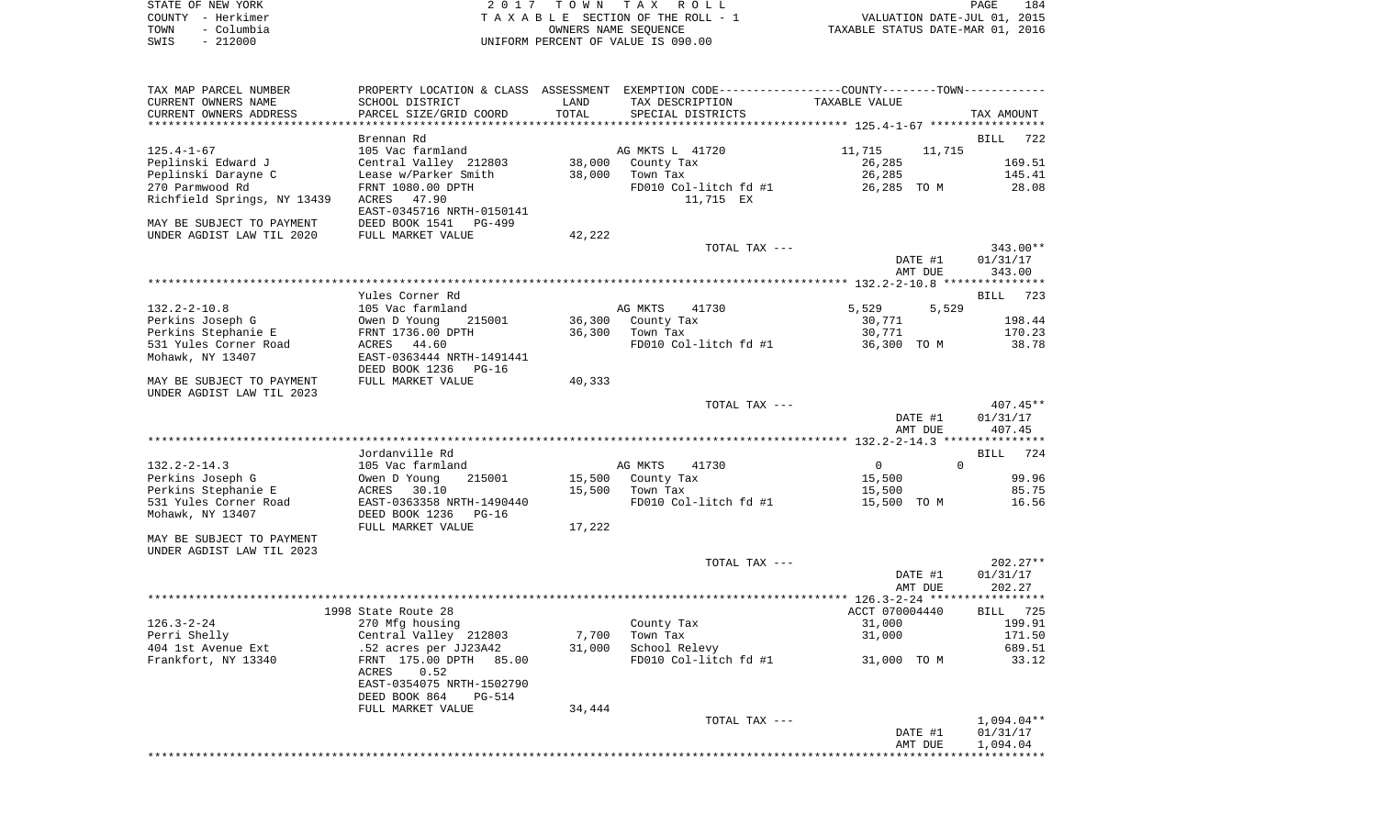| STATE OF NEW YORK  | 2017 TOWN TAX ROLL                 | 184<br><b>PAGE</b>               |
|--------------------|------------------------------------|----------------------------------|
| COUNTY - Herkimer  | TAXABLE SECTION OF THE ROLL - 1    | VALUATION DATE-JUL 01, 2015      |
| - Columbia<br>TOWN | OWNERS NAME SEOUENCE               | TAXABLE STATUS DATE-MAR 01, 2016 |
| $-212000$<br>SWIS  | UNIFORM PERCENT OF VALUE IS 090.00 |                                  |

| TAX MAP PARCEL NUMBER<br>CURRENT OWNERS NAME<br>CURRENT OWNERS ADDRESS | SCHOOL DISTRICT<br>PARCEL SIZE/GRID COORD | LAND<br>TOTAL | PROPERTY LOCATION & CLASS ASSESSMENT EXEMPTION CODE----------------COUNTY-------TOWN----------<br>TAX DESCRIPTION<br>SPECIAL DISTRICTS | TAXABLE VALUE    | TAX AMOUNT         |
|------------------------------------------------------------------------|-------------------------------------------|---------------|----------------------------------------------------------------------------------------------------------------------------------------|------------------|--------------------|
|                                                                        |                                           |               |                                                                                                                                        |                  |                    |
|                                                                        | Brennan Rd                                |               |                                                                                                                                        |                  | <b>BILL</b><br>722 |
| $125.4 - 1 - 67$                                                       | 105 Vac farmland                          |               | AG MKTS L 41720                                                                                                                        | 11,715<br>11,715 |                    |
| Peplinski Edward J                                                     | Central Valley 212803                     | 38,000        | County Tax                                                                                                                             | 26,285           | 169.51             |
| Peplinski Darayne C                                                    | Lease w/Parker Smith                      | 38,000        | Town Tax                                                                                                                               | 26,285           | 145.41             |
| 270 Parmwood Rd                                                        | FRNT 1080.00 DPTH                         |               | FD010 Col-litch fd #1                                                                                                                  | 26,285 TO M      | 28.08              |
| Richfield Springs, NY 13439                                            | ACRES 47.90                               |               | 11,715 EX                                                                                                                              |                  |                    |
|                                                                        | EAST-0345716 NRTH-0150141                 |               |                                                                                                                                        |                  |                    |
| MAY BE SUBJECT TO PAYMENT                                              | DEED BOOK 1541<br>PG-499                  |               |                                                                                                                                        |                  |                    |
| UNDER AGDIST LAW TIL 2020                                              | FULL MARKET VALUE                         | 42,222        |                                                                                                                                        |                  |                    |
|                                                                        |                                           |               | TOTAL TAX ---                                                                                                                          |                  | 343.00**           |
|                                                                        |                                           |               |                                                                                                                                        | DATE #1          | 01/31/17           |
|                                                                        |                                           |               |                                                                                                                                        | AMT DUE          | 343.00             |
|                                                                        |                                           |               |                                                                                                                                        |                  |                    |
|                                                                        | Yules Corner Rd                           |               |                                                                                                                                        |                  | BILL 723           |
| $132.2 - 2 - 10.8$                                                     | 105 Vac farmland                          |               | AG MKTS<br>41730                                                                                                                       | 5,529<br>5,529   |                    |
| Perkins Joseph G                                                       | Owen D Young<br>215001                    |               | 36,300 County Tax                                                                                                                      | 30,771           | 198.44             |
| Perkins Stephanie E                                                    | FRNT 1736.00 DPTH                         | 36,300        | Town Tax                                                                                                                               | 30,771           | 170.23             |
| 531 Yules Corner Road                                                  | ACRES 44.60                               |               | FD010 Col-litch fd #1                                                                                                                  | 36,300 TO M      | 38.78              |
|                                                                        |                                           |               |                                                                                                                                        |                  |                    |
| Mohawk, NY 13407                                                       | EAST-0363444 NRTH-1491441                 |               |                                                                                                                                        |                  |                    |
|                                                                        | DEED BOOK 1236<br>$PG-16$                 |               |                                                                                                                                        |                  |                    |
| MAY BE SUBJECT TO PAYMENT                                              | FULL MARKET VALUE                         | 40,333        |                                                                                                                                        |                  |                    |
| UNDER AGDIST LAW TIL 2023                                              |                                           |               |                                                                                                                                        |                  |                    |
|                                                                        |                                           |               | TOTAL TAX ---                                                                                                                          |                  | $407.45**$         |
|                                                                        |                                           |               |                                                                                                                                        | DATE #1          | 01/31/17           |
|                                                                        |                                           |               |                                                                                                                                        | AMT DUE          | 407.45             |
|                                                                        |                                           |               |                                                                                                                                        |                  |                    |
|                                                                        | Jordanville Rd                            |               |                                                                                                                                        |                  | <b>BILL</b><br>724 |
| $132.2 - 2 - 14.3$                                                     | 105 Vac farmland                          |               | AG MKTS<br>41730                                                                                                                       | $\mathsf{O}$     | $\Omega$           |
| Perkins Joseph G                                                       | Owen D Young<br>215001                    | 15,500        | County Tax                                                                                                                             | 15,500           | 99.96              |
| Perkins Stephanie E                                                    | ACRES 30.10                               | 15,500        | Town Tax                                                                                                                               | 15,500           | 85.75              |
| 531 Yules Corner Road                                                  | EAST-0363358 NRTH-1490440                 |               | FD010 Col-litch fd #1                                                                                                                  | 15,500 TO M      | 16.56              |
| Mohawk, NY 13407                                                       | DEED BOOK 1236<br>$PG-16$                 |               |                                                                                                                                        |                  |                    |
|                                                                        | FULL MARKET VALUE                         | 17,222        |                                                                                                                                        |                  |                    |
| MAY BE SUBJECT TO PAYMENT                                              |                                           |               |                                                                                                                                        |                  |                    |
| UNDER AGDIST LAW TIL 2023                                              |                                           |               |                                                                                                                                        |                  |                    |
|                                                                        |                                           |               | TOTAL TAX ---                                                                                                                          |                  | $202.27**$         |
|                                                                        |                                           |               |                                                                                                                                        | DATE #1          | 01/31/17           |
|                                                                        |                                           |               |                                                                                                                                        | AMT DUE          | 202.27             |
|                                                                        |                                           |               |                                                                                                                                        |                  |                    |
|                                                                        | 1998 State Route 28                       |               |                                                                                                                                        | ACCT 070004440   | BILL 725           |
| $126.3 - 2 - 24$                                                       | 270 Mfg housing                           |               | County Tax                                                                                                                             | 31,000           | 199.91             |
| Perri Shelly                                                           | Central Valley 212803                     | 7,700         | Town Tax                                                                                                                               | 31,000           | 171.50             |
| 404 1st Avenue Ext                                                     | .52 acres per JJ23A42                     | 31,000        | School Relevy                                                                                                                          |                  | 689.51             |
| Frankfort, NY 13340                                                    | FRNT 175.00 DPTH 85.00                    |               | FD010 Col-litch fd #1                                                                                                                  | 31,000 TO M      | 33.12              |
|                                                                        | ACRES<br>0.52                             |               |                                                                                                                                        |                  |                    |
|                                                                        | EAST-0354075 NRTH-1502790                 |               |                                                                                                                                        |                  |                    |
|                                                                        | DEED BOOK 864<br>PG-514                   |               |                                                                                                                                        |                  |                    |
|                                                                        | FULL MARKET VALUE                         | 34,444        |                                                                                                                                        |                  |                    |
|                                                                        |                                           |               | TOTAL TAX ---                                                                                                                          |                  | $1,094.04**$       |
|                                                                        |                                           |               |                                                                                                                                        | DATE #1          | 01/31/17           |
|                                                                        |                                           |               |                                                                                                                                        | AMT DUE          | 1,094.04           |
|                                                                        |                                           |               |                                                                                                                                        |                  |                    |
|                                                                        |                                           |               |                                                                                                                                        |                  |                    |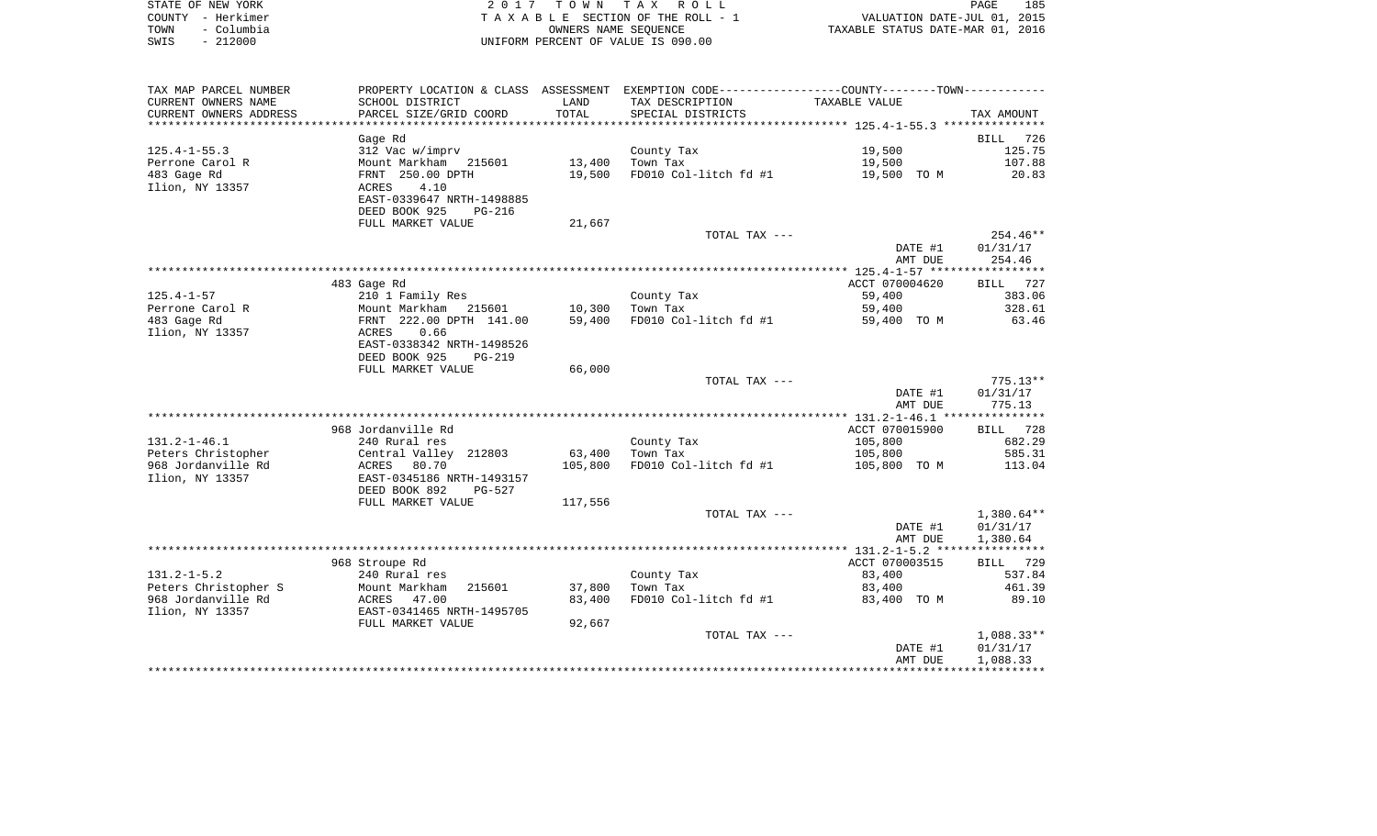| STATE OF NEW YORK  | 2017 TOWN TAX ROLL                 | PAGE                             | 185 |
|--------------------|------------------------------------|----------------------------------|-----|
| COUNTY – Herkimer  | TAXABLE SECTION OF THE ROLL - 1    | VALUATION DATE-JUL 01, 2015      |     |
| – Columbia<br>TOWN | OWNERS NAME SEOUENCE               | TAXABLE STATUS DATE-MAR 01, 2016 |     |
| $-212000$<br>SWIS  | UNIFORM PERCENT OF VALUE IS 090.00 |                                  |     |

| TAX MAP PARCEL NUMBER  |                                |         | PROPERTY LOCATION & CLASS ASSESSMENT EXEMPTION CODE---------------COUNTY-------TOWN---------- |                |                    |
|------------------------|--------------------------------|---------|-----------------------------------------------------------------------------------------------|----------------|--------------------|
| CURRENT OWNERS NAME    | SCHOOL DISTRICT                | LAND    | TAX DESCRIPTION                                                                               | TAXABLE VALUE  |                    |
| CURRENT OWNERS ADDRESS | PARCEL SIZE/GRID COORD         | TOTAL   | SPECIAL DISTRICTS                                                                             |                | TAX AMOUNT         |
| *******************    |                                |         |                                                                                               |                |                    |
|                        | Gage Rd                        |         |                                                                                               |                | BILL<br>726        |
| $125.4 - 1 - 55.3$     | 312 Vac w/imprv                |         | County Tax                                                                                    | 19,500         | 125.75             |
| Perrone Carol R        | Mount Markham 215601           | 13,400  | Town Tax                                                                                      | 19,500         | 107.88             |
| 483 Gage Rd            | FRNT 250.00 DPTH               | 19,500  | FD010 Col-litch fd #1                                                                         | 19,500 TO M    | 20.83              |
| Ilion, NY 13357        | 4.10<br>ACRES                  |         |                                                                                               |                |                    |
|                        | EAST-0339647 NRTH-1498885      |         |                                                                                               |                |                    |
|                        | DEED BOOK 925<br><b>PG-216</b> |         |                                                                                               |                |                    |
|                        | FULL MARKET VALUE              | 21,667  |                                                                                               |                |                    |
|                        |                                |         | TOTAL TAX ---                                                                                 |                | $254.46**$         |
|                        |                                |         |                                                                                               | DATE #1        | 01/31/17           |
|                        |                                |         |                                                                                               | AMT DUE        | 254.46             |
|                        |                                |         |                                                                                               |                |                    |
|                        | 483 Gage Rd                    |         |                                                                                               | ACCT 070004620 | <b>BILL</b><br>727 |
| $125.4 - 1 - 57$       | 210 1 Family Res               |         | County Tax                                                                                    | 59,400         | 383.06             |
| Perrone Carol R        | Mount Markham 215601           | 10,300  | Town Tax                                                                                      | 59,400         | 328.61             |
| 483 Gage Rd            | FRNT 222.00 DPTH 141.00        | 59,400  | FD010 Col-litch fd #1                                                                         | 59,400 TO M    | 63.46              |
| Ilion, NY 13357        | 0.66<br>ACRES                  |         |                                                                                               |                |                    |
|                        | EAST-0338342 NRTH-1498526      |         |                                                                                               |                |                    |
|                        | DEED BOOK 925<br>$PG-219$      |         |                                                                                               |                |                    |
|                        | FULL MARKET VALUE              | 66,000  |                                                                                               |                |                    |
|                        |                                |         | TOTAL TAX ---                                                                                 |                | $775.13**$         |
|                        |                                |         |                                                                                               | DATE #1        | 01/31/17           |
|                        |                                |         |                                                                                               | AMT DUE        | 775.13             |
|                        |                                |         |                                                                                               |                |                    |
|                        | 968 Jordanville Rd             |         |                                                                                               | ACCT 070015900 | BILL 728           |
| $131.2 - 1 - 46.1$     | 240 Rural res                  |         | County Tax                                                                                    | 105,800        | 682.29             |
| Peters Christopher     | Central Valley 212803          | 63,400  | Town Tax                                                                                      | 105,800        | 585.31             |
| 968 Jordanville Rd     | 80.70<br>ACRES                 | 105,800 | FD010 Col-litch fd #1                                                                         | 105,800 TO M   | 113.04             |
| Ilion, NY 13357        | EAST-0345186 NRTH-1493157      |         |                                                                                               |                |                    |
|                        | DEED BOOK 892<br><b>PG-527</b> |         |                                                                                               |                |                    |
|                        | FULL MARKET VALUE              | 117,556 |                                                                                               |                |                    |
|                        |                                |         | TOTAL TAX ---                                                                                 |                | 1,380.64**         |
|                        |                                |         |                                                                                               | DATE #1        | 01/31/17           |
|                        |                                |         |                                                                                               | AMT DUE        | 1,380.64           |
|                        |                                |         |                                                                                               |                |                    |
|                        | 968 Stroupe Rd                 |         |                                                                                               | ACCT 070003515 | BILL 729           |
| $131.2 - 1 - 5.2$      | 240 Rural res                  |         | County Tax                                                                                    | 83,400         | 537.84             |
| Peters Christopher S   | Mount Markham<br>215601        | 37,800  | Town Tax                                                                                      | 83,400         | 461.39             |
| 968 Jordanville Rd     | ACRES 47.00                    | 83,400  | FD010 Col-litch fd #1                                                                         | 83,400 TO M    | 89.10              |
| Ilion, NY 13357        | EAST-0341465 NRTH-1495705      |         |                                                                                               |                |                    |
|                        | FULL MARKET VALUE              | 92,667  |                                                                                               |                |                    |
|                        |                                |         | TOTAL TAX ---                                                                                 |                | $1,088.33**$       |
|                        |                                |         |                                                                                               | DATE #1        | 01/31/17           |
|                        |                                |         |                                                                                               | AMT DUE        | 1,088.33           |
|                        |                                |         |                                                                                               |                |                    |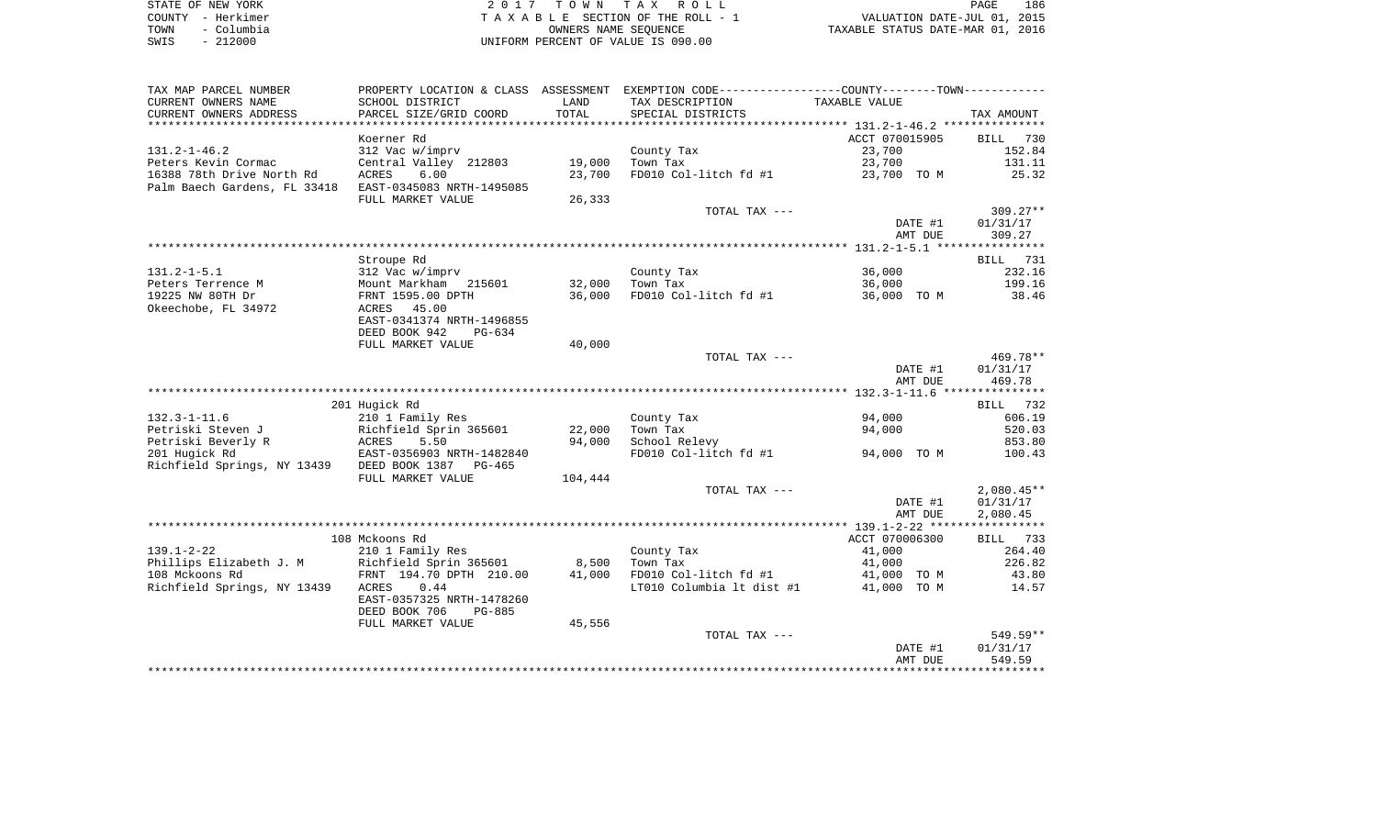| STATE OF NEW YORK                          | TOWN TAX ROLL                      | 186<br>PAGE                      |
|--------------------------------------------|------------------------------------|----------------------------------|
| COUNTY - Herkimer                          | TAXABLE SECTION OF THE ROLL - 1    | VALUATION DATE-JUL 01, 2015      |
| – Columbia<br>TOWN                         | OWNERS NAME SEOUENCE               | TAXABLE STATUS DATE-MAR 01, 2016 |
| 212000<br>SWIS<br>$\overline{\phantom{0}}$ | UNIFORM PERCENT OF VALUE IS 090.00 |                                  |

| TAX MAP PARCEL NUMBER        |                                         |         | PROPERTY LOCATION & CLASS ASSESSMENT EXEMPTION CODE---------------COUNTY-------TOWN---------- |                |              |
|------------------------------|-----------------------------------------|---------|-----------------------------------------------------------------------------------------------|----------------|--------------|
| CURRENT OWNERS NAME          | SCHOOL DISTRICT                         | LAND    | TAX DESCRIPTION                                                                               | TAXABLE VALUE  |              |
| CURRENT OWNERS ADDRESS       | PARCEL SIZE/GRID COORD                  | TOTAL   | SPECIAL DISTRICTS                                                                             |                | TAX AMOUNT   |
| **********************       | ****************************            |         |                                                                                               |                |              |
|                              | Koerner Rd                              |         |                                                                                               | ACCT 070015905 | BILL 730     |
| $131.2 - 1 - 46.2$           | 312 Vac w/imprv                         |         | County Tax                                                                                    | 23,700         | 152.84       |
| Peters Kevin Cormac          | Central Valley 212803                   | 19,000  | Town Tax                                                                                      | 23,700         | 131.11       |
| 16388 78th Drive North Rd    | 6.00<br>ACRES                           | 23,700  | FD010 Col-litch fd #1                                                                         | 23,700 TO M    | 25.32        |
| Palm Baech Gardens, FL 33418 | EAST-0345083 NRTH-1495085               |         |                                                                                               |                |              |
|                              | FULL MARKET VALUE                       | 26,333  |                                                                                               |                |              |
|                              |                                         |         | TOTAL TAX ---                                                                                 |                | $309.27**$   |
|                              |                                         |         |                                                                                               | DATE #1        | 01/31/17     |
|                              |                                         |         |                                                                                               | AMT DUE        | 309.27       |
|                              |                                         |         |                                                                                               |                |              |
|                              | Stroupe Rd                              |         |                                                                                               |                | BILL 731     |
| $131.2 - 1 - 5.1$            | 312 Vac w/imprv                         |         | County Tax                                                                                    | 36,000         | 232.16       |
| Peters Terrence M            | Mount Markham 215601                    | 32,000  | Town Tax                                                                                      | 36,000         | 199.16       |
| 19225 NW 80TH Dr             | FRNT 1595.00 DPTH                       | 36,000  | FD010 Col-litch fd #1                                                                         | 36,000 TO M    | 38.46        |
| Okeechobe, FL 34972          | ACRES 45.00                             |         |                                                                                               |                |              |
|                              | EAST-0341374 NRTH-1496855               |         |                                                                                               |                |              |
|                              | DEED BOOK 942<br>PG-634                 |         |                                                                                               |                |              |
|                              | FULL MARKET VALUE                       | 40,000  |                                                                                               |                |              |
|                              |                                         |         | TOTAL TAX ---                                                                                 |                | 469.78**     |
|                              |                                         |         |                                                                                               | DATE #1        | 01/31/17     |
|                              |                                         |         |                                                                                               | AMT DUE        | 469.78       |
|                              |                                         |         |                                                                                               |                |              |
|                              | 201 Hugick Rd                           |         |                                                                                               |                | BILL 732     |
| $132.3 - 1 - 11.6$           | 210 1 Family Res                        |         | County Tax                                                                                    | 94,000         | 606.19       |
| Petriski Steven J            | Richfield Sprin 365601                  | 22,000  | Town Tax                                                                                      | 94,000         | 520.03       |
| Petriski Beverly R           | ACRES 5.50<br>EAST-0356903 NRTH-1482840 | 94,000  | School Relevy                                                                                 |                | 853.80       |
| 201 Hugick Rd                |                                         |         | FD010 Col-litch fd #1                                                                         | 94,000 TO M    | 100.43       |
| Richfield Springs, NY 13439  | DEED BOOK 1387 PG-465                   |         |                                                                                               |                |              |
|                              | FULL MARKET VALUE                       | 104,444 |                                                                                               |                |              |
|                              |                                         |         | TOTAL TAX ---                                                                                 |                | $2,080.45**$ |
|                              |                                         |         |                                                                                               | DATE #1        | 01/31/17     |
|                              |                                         |         |                                                                                               | AMT DUE        | 2,080.45     |
|                              |                                         |         |                                                                                               |                |              |
|                              | 108 Mckoons Rd                          |         |                                                                                               | ACCT 070006300 | BILL 733     |
| $139.1 - 2 - 22$             | 210 1 Family Res                        |         | County Tax                                                                                    | 41,000         | 264.40       |
| Phillips Elizabeth J. M      | Richfield Sprin 365601                  | 8,500   | Town Tax                                                                                      | 41,000         | 226.82       |
| 108 Mckoons Rd               | FRNT 194.70 DPTH 210.00                 | 41,000  | FD010 Col-litch fd #1                                                                         | 41,000 TO M    | 43.80        |
| Richfield Springs, NY 13439  | ACRES<br>0.44                           |         | LT010 Columbia 1t dist #1                                                                     | 41,000 TO M    | 14.57        |
|                              | EAST-0357325 NRTH-1478260               |         |                                                                                               |                |              |
|                              | DEED BOOK 706<br>PG-885                 |         |                                                                                               |                |              |
|                              | FULL MARKET VALUE                       | 45,556  |                                                                                               |                |              |
|                              |                                         |         | TOTAL TAX ---                                                                                 |                | 549.59**     |
|                              |                                         |         |                                                                                               | DATE #1        | 01/31/17     |
|                              |                                         |         |                                                                                               | AMT DUE        | 549.59       |
|                              |                                         |         |                                                                                               |                |              |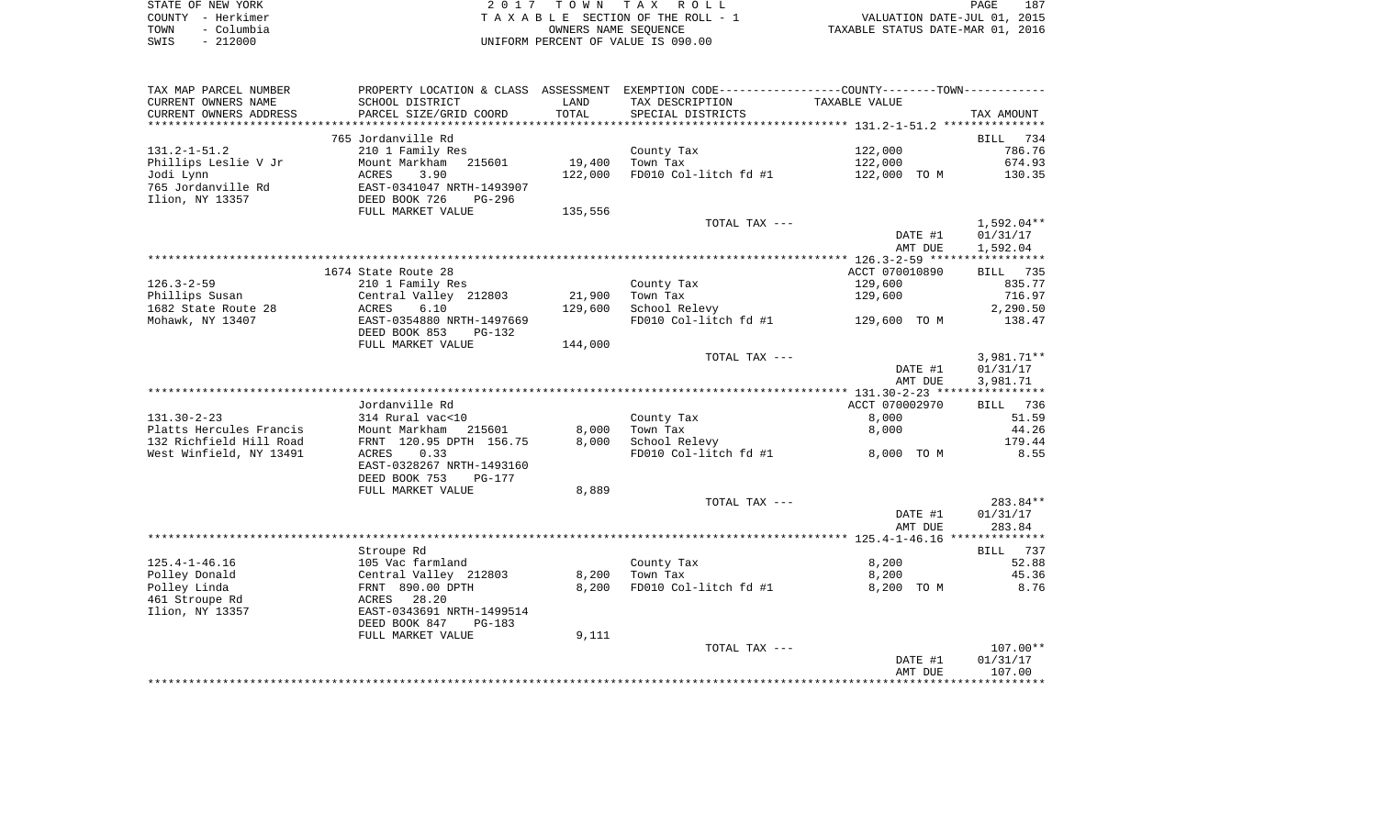| STATE OF NEW YORK  | 2017 TOWN TAX ROLL                 | 187<br><b>PAGE</b>               |
|--------------------|------------------------------------|----------------------------------|
| COUNTY - Herkimer  | TAXABLE SECTION OF THE ROLL - 1    | VALUATION DATE-JUL 01, 2015      |
| - Columbia<br>TOWN | OWNERS NAME SEOUENCE               | TAXABLE STATUS DATE-MAR 01, 2016 |
| $-212000$<br>SWIS  | UNIFORM PERCENT OF VALUE IS 090.00 |                                  |

| TAX MAP PARCEL NUMBER         | PROPERTY LOCATION & CLASS ASSESSMENT      |                | EXEMPTION CODE-----------------COUNTY-------TOWN-----------         |                     |                    |
|-------------------------------|-------------------------------------------|----------------|---------------------------------------------------------------------|---------------------|--------------------|
| CURRENT OWNERS NAME           | SCHOOL DISTRICT                           | LAND           | TAX DESCRIPTION                                                     | TAXABLE VALUE       |                    |
| CURRENT OWNERS ADDRESS        | PARCEL SIZE/GRID COORD                    | TOTAL          | SPECIAL DISTRICTS                                                   |                     | TAX AMOUNT         |
| ******************            | ******************                        | **********     | ************************************* 131.2-1-51.2 **************** |                     |                    |
|                               | 765 Jordanville Rd                        |                |                                                                     |                     | <b>BILL</b><br>734 |
| $131.2 - 1 - 51.2$            | 210 1 Family Res                          |                | County Tax                                                          | 122,000             | 786.76             |
| Phillips Leslie V Jr          | Mount Markham<br>215601                   | 19,400         | Town Tax                                                            | 122,000             | 674.93             |
| Jodi Lynn                     | <b>ACRES</b><br>3.90                      | 122,000        | FD010 Col-litch fd #1                                               | 122,000 TO M        | 130.35             |
| 765 Jordanville Rd            | EAST-0341047 NRTH-1493907                 |                |                                                                     |                     |                    |
| Ilion, NY 13357               | DEED BOOK 726<br>$PG-296$                 |                |                                                                     |                     |                    |
|                               | FULL MARKET VALUE                         | 135,556        |                                                                     |                     |                    |
|                               |                                           |                | TOTAL TAX ---                                                       |                     | 1,592.04**         |
|                               |                                           |                |                                                                     | DATE #1             | 01/31/17           |
|                               |                                           |                |                                                                     | AMT DUE             | 1,592.04           |
|                               | 1674 State Route 28                       |                |                                                                     | ACCT 070010890      | 735<br>BILL        |
| $126.3 - 2 - 59$              | 210 1 Family Res                          |                | County Tax                                                          | 129,600             | 835.77             |
| Phillips Susan                | Central Valley 212803                     | 21,900         | Town Tax                                                            | 129,600             | 716.97             |
| 1682 State Route 28           | ACRES<br>6.10                             | 129,600        | School Relevy                                                       |                     | 2,290.50           |
| Mohawk, NY 13407              | EAST-0354880 NRTH-1497669                 |                | FD010 Col-litch fd #1                                               | 129,600 TO M        | 138.47             |
|                               | DEED BOOK 853<br>$PG-132$                 |                |                                                                     |                     |                    |
|                               | FULL MARKET VALUE                         | 144,000        |                                                                     |                     |                    |
|                               |                                           |                | TOTAL TAX ---                                                       |                     | $3,981.71**$       |
|                               |                                           |                |                                                                     | DATE #1             | 01/31/17           |
|                               |                                           |                |                                                                     | AMT DUE             | 3,981.71           |
|                               |                                           |                |                                                                     |                     |                    |
|                               | Jordanville Rd                            |                |                                                                     | ACCT 070002970      | <b>BILL</b><br>736 |
| $131.30 - 2 - 23$             | 314 Rural vac<10                          |                | County Tax                                                          | 8,000               | 51.59              |
| Platts Hercules Francis       | Mount Markham<br>215601                   | 8,000          | Town Tax                                                            | 8,000               | 44.26              |
| 132 Richfield Hill Road       | FRNT 120.95 DPTH 156.75                   | 8,000          | School Relevy                                                       |                     | 179.44             |
| West Winfield, NY 13491       | 0.33<br>ACRES                             |                | FD010 Col-litch fd #1                                               | 8,000 TO M          | 8.55               |
|                               | EAST-0328267 NRTH-1493160                 |                |                                                                     |                     |                    |
|                               | DEED BOOK 753<br>$PG-177$                 |                |                                                                     |                     |                    |
|                               | FULL MARKET VALUE                         | 8,889          |                                                                     |                     |                    |
|                               |                                           |                | TOTAL TAX ---                                                       |                     | 283.84**           |
|                               |                                           |                |                                                                     | DATE #1             | 01/31/17           |
|                               |                                           |                |                                                                     | AMT DUE             | 283.84             |
|                               |                                           |                |                                                                     |                     |                    |
|                               | Stroupe Rd                                |                |                                                                     |                     | 737<br>BILL        |
| $125.4 - 1 - 46.16$           | 105 Vac farmland                          |                | County Tax                                                          | 8,200               | 52.88              |
| Polley Donald<br>Polley Linda | Central Valley 212803<br>FRNT 890.00 DPTH | 8,200<br>8,200 | Town Tax<br>FD010 Col-litch fd #1                                   | 8,200<br>8,200 TO M | 45.36<br>8.76      |
| 461 Stroupe Rd                | 28.20<br>ACRES                            |                |                                                                     |                     |                    |
| Ilion, NY 13357               | EAST-0343691 NRTH-1499514                 |                |                                                                     |                     |                    |
|                               | DEED BOOK 847<br>PG-183                   |                |                                                                     |                     |                    |
|                               | FULL MARKET VALUE                         | 9,111          |                                                                     |                     |                    |
|                               |                                           |                | TOTAL TAX ---                                                       |                     | $107.00**$         |
|                               |                                           |                |                                                                     | DATE #1             | 01/31/17           |
|                               |                                           |                |                                                                     | AMT DUE             | 107.00             |
|                               |                                           |                |                                                                     |                     |                    |
|                               |                                           |                |                                                                     |                     |                    |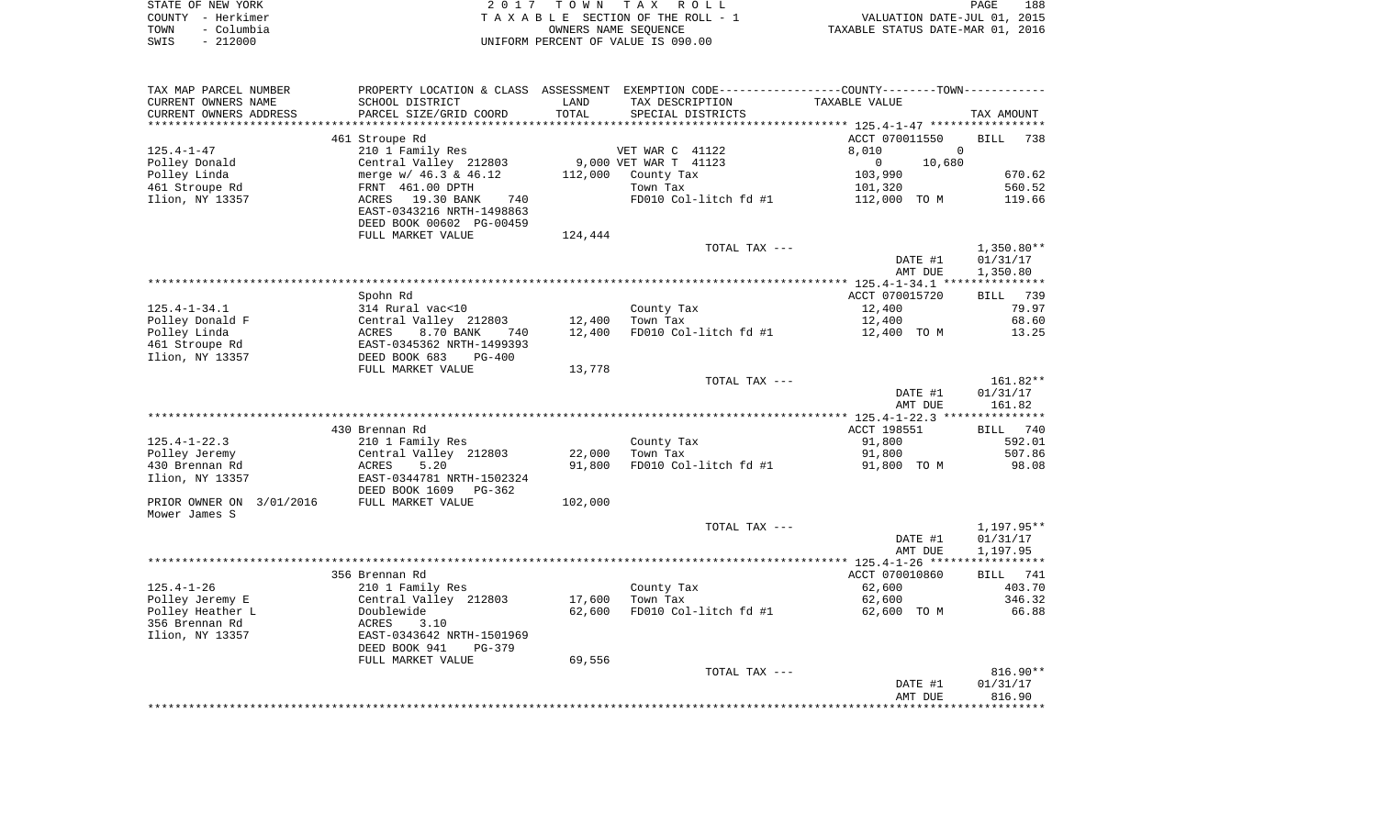| STATE OF NEW YORK  | 2017 TOWN TAX ROLL                 | 188<br>PAGE                      |
|--------------------|------------------------------------|----------------------------------|
| COUNTY - Herkimer  | TAXABLE SECTION OF THE ROLL - 1    | VALUATION DATE-JUL 01, 2015      |
| - Columbia<br>TOWN | OWNERS NAME SEOUENCE               | TAXABLE STATUS DATE-MAR 01, 2016 |
| SWIS<br>$-212000$  | UNIFORM PERCENT OF VALUE IS 090.00 |                                  |

| TAX MAP PARCEL NUMBER       | PROPERTY LOCATION & CLASS ASSESSMENT EXEMPTION CODE---------------COUNTY-------TOWN---------- |         |                       |                          |                    |
|-----------------------------|-----------------------------------------------------------------------------------------------|---------|-----------------------|--------------------------|--------------------|
| CURRENT OWNERS NAME         | SCHOOL DISTRICT                                                                               | LAND    | TAX DESCRIPTION       | TAXABLE VALUE            |                    |
| CURRENT OWNERS ADDRESS      | PARCEL SIZE/GRID COORD                                                                        | TOTAL   | SPECIAL DISTRICTS     |                          | TAX AMOUNT         |
|                             |                                                                                               |         |                       |                          |                    |
|                             | 461 Stroupe Rd                                                                                |         |                       | ACCT 070011550           | <b>BILL</b><br>738 |
| $125.4 - 1 - 47$            | 210 1 Family Res                                                                              |         | VET WAR C 41122       | 8,010<br>$\mathbf 0$     |                    |
| Polley Donald               | Central Valley 212803                                                                         |         | 9,000 VET WAR T 41123 | $\overline{0}$<br>10,680 |                    |
| Polley Linda                | merge w/ 46.3 & 46.12                                                                         | 112,000 | County Tax            | 103,990                  | 670.62             |
| 461 Stroupe Rd              | FRNT 461.00 DPTH                                                                              |         | Town Tax              | 101,320                  | 560.52             |
| Ilion, NY 13357             | ACRES<br>19.30 BANK<br>740                                                                    |         | FD010 Col-litch fd #1 | 112,000 TO M             | 119.66             |
|                             | EAST-0343216 NRTH-1498863                                                                     |         |                       |                          |                    |
|                             | DEED BOOK 00602 PG-00459                                                                      |         |                       |                          |                    |
|                             | FULL MARKET VALUE                                                                             | 124,444 |                       |                          |                    |
|                             |                                                                                               |         | TOTAL TAX ---         |                          | $1,350.80**$       |
|                             |                                                                                               |         |                       | DATE #1                  | 01/31/17           |
|                             |                                                                                               |         |                       | AMT DUE                  | 1,350.80           |
|                             |                                                                                               |         |                       |                          |                    |
|                             | Spohn Rd                                                                                      |         |                       | ACCT 070015720           | 739<br>BILL        |
| $125.4 - 1 - 34.1$          | 314 Rural vac<10                                                                              |         | County Tax            | 12,400                   | 79.97              |
| Polley Donald F             | Central Valley 212803                                                                         | 12,400  | Town Tax              | 12,400                   | 68.60              |
| Polley Linda                | ACRES<br>8.70 BANK<br>740                                                                     | 12,400  | FD010 Col-litch fd #1 | 12,400 TO M              | 13.25              |
| 461 Stroupe Rd              | EAST-0345362 NRTH-1499393                                                                     |         |                       |                          |                    |
| Ilion, NY 13357             | DEED BOOK 683<br>$PG-400$                                                                     |         |                       |                          |                    |
|                             | FULL MARKET VALUE                                                                             | 13,778  |                       |                          |                    |
|                             |                                                                                               |         | TOTAL TAX ---         |                          | 161.82**           |
|                             |                                                                                               |         |                       | DATE #1                  | 01/31/17           |
|                             |                                                                                               |         |                       | AMT DUE                  | 161.82             |
|                             |                                                                                               |         |                       |                          |                    |
|                             | 430 Brennan Rd                                                                                |         |                       | ACCT 198551              | 740<br>BILL        |
| $125.4 - 1 - 22.3$          | 210 1 Family Res                                                                              |         | County Tax            | 91,800                   | 592.01             |
| Polley Jeremy               | Central Valley 212803                                                                         | 22,000  | Town Tax              | 91,800                   | 507.86             |
| 430 Brennan Rd              | ACRES<br>5.20                                                                                 | 91,800  | FD010 Col-litch fd #1 | 91,800 TO M              | 98.08              |
| Ilion, NY 13357             | EAST-0344781 NRTH-1502324                                                                     |         |                       |                          |                    |
|                             | DEED BOOK 1609<br>$PG-362$                                                                    |         |                       |                          |                    |
| PRIOR OWNER ON<br>3/01/2016 | FULL MARKET VALUE                                                                             | 102,000 |                       |                          |                    |
| Mower James S               |                                                                                               |         |                       |                          |                    |
|                             |                                                                                               |         | TOTAL TAX ---         |                          | 1,197.95**         |
|                             |                                                                                               |         |                       | DATE #1                  | 01/31/17           |
|                             |                                                                                               |         |                       | AMT DUE                  | 1,197.95           |
|                             |                                                                                               |         |                       |                          |                    |
|                             | 356 Brennan Rd                                                                                |         |                       | ACCT 070010860           | <b>BILL</b> 741    |
| $125.4 - 1 - 26$            | 210 1 Family Res                                                                              |         | County Tax            | 62,600                   | 403.70             |
| Polley Jeremy E             | Central Valley 212803                                                                         | 17,600  | Town Tax              | 62,600                   | 346.32             |
| Polley Heather L            | Doublewide                                                                                    | 62,600  | FD010 Col-litch fd #1 | 62,600 TO M              | 66.88              |
| 356 Brennan Rd              | ACRES<br>3.10                                                                                 |         |                       |                          |                    |
| Ilion, NY 13357             | EAST-0343642 NRTH-1501969                                                                     |         |                       |                          |                    |
|                             |                                                                                               |         |                       |                          |                    |
|                             | DEED BOOK 941<br>$PG-379$                                                                     |         |                       |                          |                    |
|                             | FULL MARKET VALUE                                                                             | 69,556  |                       |                          |                    |
|                             |                                                                                               |         | TOTAL TAX ---         |                          | 816.90**           |
|                             |                                                                                               |         |                       | DATE #1                  | 01/31/17           |
|                             |                                                                                               |         |                       | AMT DUE                  | 816.90             |
|                             |                                                                                               |         |                       |                          |                    |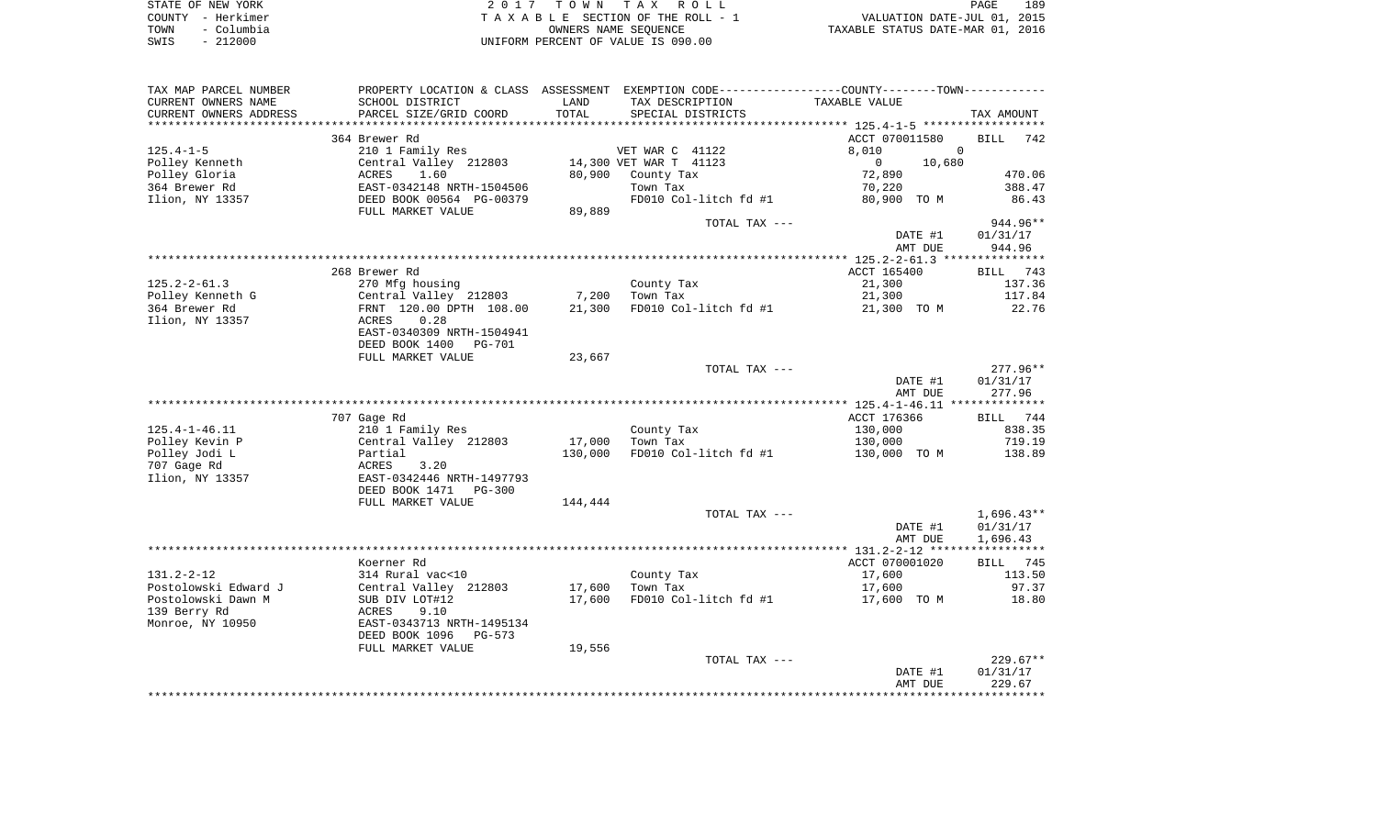| STATE OF NEW YORK  | 2017 TOWN TAX ROLL                 | 189<br><b>PAGE</b>               |
|--------------------|------------------------------------|----------------------------------|
| COUNTY - Herkimer  | TAXABLE SECTION OF THE ROLL - 1    | VALUATION DATE-JUL 01, 2015      |
| – Columbia<br>TOWN | OWNERS NAME SEOUENCE               | TAXABLE STATUS DATE-MAR 01, 2016 |
| $-212000$<br>SWIS  | UNIFORM PERCENT OF VALUE IS 090.00 |                                  |

| TAX MAP PARCEL NUMBER  |                                 |         | PROPERTY LOCATION & CLASS ASSESSMENT EXEMPTION CODE----------------COUNTY-------TOWN----------- |                       |                    |
|------------------------|---------------------------------|---------|-------------------------------------------------------------------------------------------------|-----------------------|--------------------|
| CURRENT OWNERS NAME    | SCHOOL DISTRICT                 | LAND    | TAX DESCRIPTION                                                                                 | TAXABLE VALUE         |                    |
| CURRENT OWNERS ADDRESS | PARCEL SIZE/GRID COORD          | TOTAL   | SPECIAL DISTRICTS                                                                               |                       | TAX AMOUNT         |
|                        |                                 |         |                                                                                                 |                       |                    |
|                        | 364 Brewer Rd                   |         |                                                                                                 | ACCT 070011580        | BILL<br>742        |
| $125.4 - 1 - 5$        | 210 1 Family Res                |         | VET WAR C 41122                                                                                 | 8,010                 | $\Omega$           |
| Polley Kenneth         | Central Valley 212803           |         | 14,300 VET WAR T 41123                                                                          | $\mathbf 0$<br>10,680 |                    |
| Polley Gloria          | ACRES<br>1.60                   | 80,900  | County Tax                                                                                      | 72,890                | 470.06             |
| 364 Brewer Rd          | EAST-0342148 NRTH-1504506       |         | Town Tax                                                                                        | 70,220                | 388.47             |
| Ilion, NY 13357        | DEED BOOK 00564 PG-00379        |         | FD010 Col-litch fd #1                                                                           | 80,900 TO M           | 86.43              |
|                        | FULL MARKET VALUE               | 89,889  |                                                                                                 |                       |                    |
|                        |                                 |         | TOTAL TAX ---                                                                                   |                       | 944.96**           |
|                        |                                 |         |                                                                                                 | DATE #1               | 01/31/17           |
|                        |                                 |         |                                                                                                 | AMT DUE               | 944.96             |
|                        |                                 |         |                                                                                                 |                       |                    |
|                        | 268 Brewer Rd                   |         |                                                                                                 | ACCT 165400           | BILL 743           |
| $125.2 - 2 - 61.3$     | 270 Mfg housing                 |         | County Tax                                                                                      | 21,300                | 137.36             |
| Polley Kenneth G       | Central Valley 212803           | 7,200   | Town Tax                                                                                        | 21,300                | 117.84             |
| 364 Brewer Rd          | FRNT 120.00 DPTH 108.00         | 21,300  | FD010 Col-litch fd #1                                                                           | 21,300 TO M           | 22.76              |
| Ilion, NY 13357        | 0.28<br>ACRES                   |         |                                                                                                 |                       |                    |
|                        | EAST-0340309 NRTH-1504941       |         |                                                                                                 |                       |                    |
|                        | DEED BOOK 1400<br><b>PG-701</b> |         |                                                                                                 |                       |                    |
|                        | FULL MARKET VALUE               | 23,667  |                                                                                                 |                       |                    |
|                        |                                 |         | TOTAL TAX ---                                                                                   |                       | $277.96**$         |
|                        |                                 |         |                                                                                                 | DATE #1               | 01/31/17           |
|                        |                                 |         |                                                                                                 | AMT DUE               | 277.96             |
|                        |                                 |         |                                                                                                 |                       |                    |
|                        | 707 Gage Rd                     |         |                                                                                                 | ACCT 176366           | BILL 744           |
| $125.4 - 1 - 46.11$    | 210 1 Family Res                |         | County Tax                                                                                      | 130,000               | 838.35             |
| Polley Kevin P         | Central Valley 212803           | 17,000  | Town Tax                                                                                        | 130,000               | 719.19             |
| Polley Jodi L          | Partial                         | 130,000 | FD010 Col-litch fd #1                                                                           | 130,000 TO M          | 138.89             |
| 707 Gage Rd            | ACRES<br>3.20                   |         |                                                                                                 |                       |                    |
| Ilion, NY 13357        | EAST-0342446 NRTH-1497793       |         |                                                                                                 |                       |                    |
|                        | DEED BOOK 1471<br><b>PG-300</b> |         |                                                                                                 |                       |                    |
|                        | FULL MARKET VALUE               | 144,444 |                                                                                                 |                       |                    |
|                        |                                 |         | TOTAL TAX ---                                                                                   |                       | $1,696.43**$       |
|                        |                                 |         |                                                                                                 | DATE #1               | 01/31/17           |
|                        |                                 |         |                                                                                                 | AMT DUE               | 1,696.43           |
|                        |                                 |         |                                                                                                 |                       |                    |
|                        | Koerner Rd                      |         |                                                                                                 | ACCT 070001020        | <b>BILL</b><br>745 |
| $131.2 - 2 - 12$       | 314 Rural vac<10                |         | County Tax                                                                                      | 17,600                | 113.50             |
| Postolowski Edward J   | Central Valley 212803           | 17,600  | Town Tax                                                                                        | 17,600                | 97.37              |
| Postolowski Dawn M     | SUB DIV LOT#12                  | 17,600  | FD010 Col-litch fd #1                                                                           | 17,600 TO M           | 18.80              |
| 139 Berry Rd           | 9.10<br>ACRES                   |         |                                                                                                 |                       |                    |
| Monroe, NY 10950       | EAST-0343713 NRTH-1495134       |         |                                                                                                 |                       |                    |
|                        | DEED BOOK 1096<br>PG-573        |         |                                                                                                 |                       |                    |
|                        | FULL MARKET VALUE               | 19,556  |                                                                                                 |                       |                    |
|                        |                                 |         | TOTAL TAX ---                                                                                   |                       | $229.67**$         |
|                        |                                 |         |                                                                                                 | DATE #1               | 01/31/17           |
|                        |                                 |         |                                                                                                 | AMT DUE               | 229.67             |
|                        |                                 |         |                                                                                                 |                       |                    |
|                        |                                 |         |                                                                                                 |                       |                    |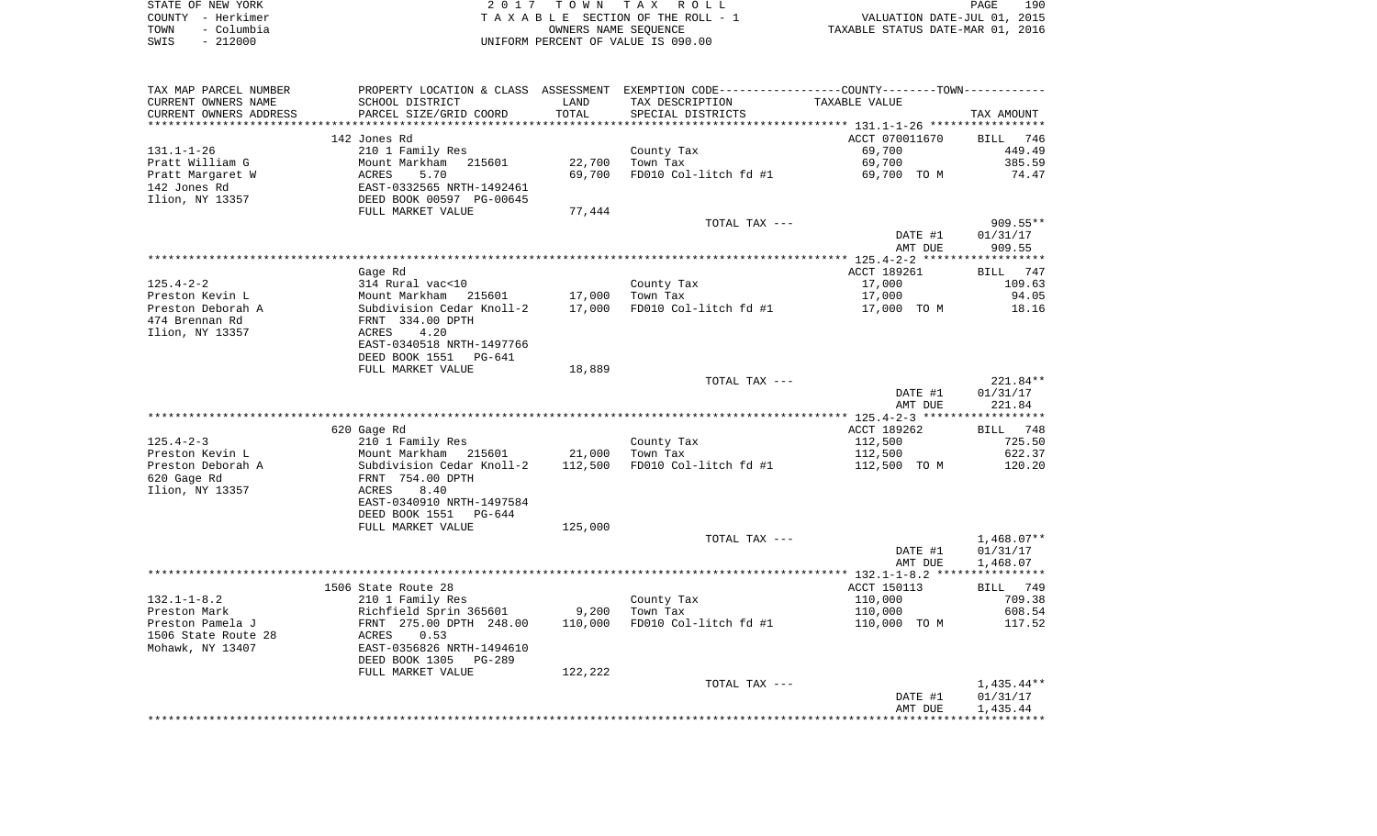|      | STATE OF NEW YORK | 2017 TOWN TAX ROLL                 | 190<br>PAGE                      |
|------|-------------------|------------------------------------|----------------------------------|
|      | COUNTY – Herkimer | TAXABLE SECTION OF THE ROLL - 1    | VALUATION DATE-JUL 01, 2015      |
| TOWN | - Columbia        | OWNERS NAME SEOUENCE               | TAXABLE STATUS DATE-MAR 01, 2016 |
| SWIS | $-212000$         | UNIFORM PERCENT OF VALUE IS 090.00 |                                  |

| TAX MAP PARCEL NUMBER         | PROPERTY LOCATION & CLASS ASSESSMENT EXEMPTION CODE---------------COUNTY--------TOWN---------- |         |                        |                  |                  |
|-------------------------------|------------------------------------------------------------------------------------------------|---------|------------------------|------------------|------------------|
| CURRENT OWNERS NAME           | SCHOOL DISTRICT                                                                                | LAND    | TAX DESCRIPTION        | TAXABLE VALUE    |                  |
| CURRENT OWNERS ADDRESS        | PARCEL SIZE/GRID COORD                                                                         | TOTAL   | SPECIAL DISTRICTS      |                  | TAX AMOUNT       |
|                               | 142 Jones Rd                                                                                   |         |                        | ACCT 070011670   | BILL 746         |
|                               |                                                                                                |         |                        |                  |                  |
| 131.1-1-26<br>Pratt William G | 210 1 Family Res<br>Mount Markham 215601                                                       | 22,700  | County Tax<br>Town Tax | 69,700<br>69,700 | 449.49<br>385.59 |
| Pratt Margaret W              |                                                                                                | 69,700  | FD010 Col-litch fd #1  | 69,700 TO M      | 74.47            |
| 142 Jones Rd                  |                                                                                                |         |                        |                  |                  |
| Ilion, NY 13357               | ACRES 5.70<br>EAST-0332565 NRTH-1492461<br>DEED BOOK 00597 PG-00645                            |         |                        |                  |                  |
|                               | FULL MARKET VALUE                                                                              | 77,444  |                        |                  |                  |
|                               |                                                                                                |         | TOTAL TAX ---          |                  | $909.55**$       |
|                               |                                                                                                |         |                        | DATE #1          | 01/31/17         |
|                               |                                                                                                |         |                        | AMT DUE          | 909.55           |
|                               |                                                                                                |         |                        |                  |                  |
|                               | Gage Rd                                                                                        |         |                        | ACCT 189261      | BILL 747         |
| $125.4 - 2 - 2$               | 314 Rural vac<10                                                                               |         | County Tax             | 17,000           | 109.63           |
| Preston Kevin L               |                                                                                                | 17,000  | Town Tax               | 17,000           | 94.05            |
| Preston Deborah A             | Mount Markham<br>Subdivision Cedar Knoll-2<br>EPNT 334 00 DPTH<br>Subdivision Cedar Knoll-2    | 17,000  | FD010 Col-litch fd #1  | 17,000 TO M      | 18.16            |
| 474 Brennan Rd                | FRNT 334.00 DPTH                                                                               |         |                        |                  |                  |
| Ilion, NY 13357               | ACRES<br>4.20                                                                                  |         |                        |                  |                  |
|                               | EAST-0340518 NRTH-1497766                                                                      |         |                        |                  |                  |
|                               | DEED BOOK 1551<br>PG-641                                                                       |         |                        |                  |                  |
|                               | FULL MARKET VALUE                                                                              | 18,889  |                        |                  |                  |
|                               |                                                                                                |         | TOTAL TAX ---          |                  | 221.84**         |
|                               |                                                                                                |         |                        | DATE #1          | 01/31/17         |
|                               |                                                                                                |         |                        | AMT DUE          | 221.84           |
|                               |                                                                                                |         |                        |                  |                  |
|                               | 620 Gage Rd                                                                                    |         |                        | ACCT 189262      | BILL 748         |
| 125.4-2-3                     | 210 1 Family Res                                                                               |         | County Tax             | 112,500          | 725.50           |
| Preston Kevin L               |                                                                                                | 21,000  | Town Tax               | 112,500          | 622.37           |
| Preston Deborah A             | Mount Markham 215601<br>Subdivision Cedar Knoll-2<br>FRNT 754.00 DPTH                          | 112,500 | FD010 Col-litch fd #1  | 112,500 TO M     | 120.20           |
| 620 Gage Rd                   |                                                                                                |         |                        |                  |                  |
| Ilion, NY 13357               | ACRES<br>8.40                                                                                  |         |                        |                  |                  |
|                               | EAST-0340910 NRTH-1497584                                                                      |         |                        |                  |                  |
|                               | DEED BOOK 1551 PG-644                                                                          |         |                        |                  |                  |
|                               | FULL MARKET VALUE                                                                              | 125,000 |                        |                  |                  |
|                               |                                                                                                |         | TOTAL TAX ---          |                  | 1,468.07**       |
|                               |                                                                                                |         |                        | DATE #1          | 01/31/17         |
|                               |                                                                                                |         |                        | AMT DUE          | 1,468.07         |
|                               | 1506 State Route 28                                                                            |         |                        | ACCT 150113      | BILL 749         |
| $132.1 - 1 - 8.2$             | 210 1 Family Res                                                                               |         | County Tax             | 110,000          | 709.38           |
| Preston Mark                  |                                                                                                | 9,200   | Town Tax               | 110,000          | 608.54           |
| Preston Pamela J              | Richfield Sprin 365601<br>FRNT 275.00 DPTH 248.00                                              | 110,000 | FD010 Col-litch fd #1  | 110,000 TO M     | 117.52           |
| 1506 State Route 28           | ACRES 0.53                                                                                     |         |                        |                  |                  |
| Mohawk, NY 13407              | EAST-0356826 NRTH-1494610                                                                      |         |                        |                  |                  |
|                               | DEED BOOK 1305<br>PG-289                                                                       |         |                        |                  |                  |
|                               | FULL MARKET VALUE                                                                              | 122,222 |                        |                  |                  |
|                               |                                                                                                |         | TOTAL TAX ---          |                  | 1,435.44**       |
|                               |                                                                                                |         |                        | DATE #1          | 01/31/17         |
|                               |                                                                                                |         |                        | AMT DUE          | 1,435.44         |
|                               |                                                                                                |         |                        |                  |                  |
|                               |                                                                                                |         |                        |                  |                  |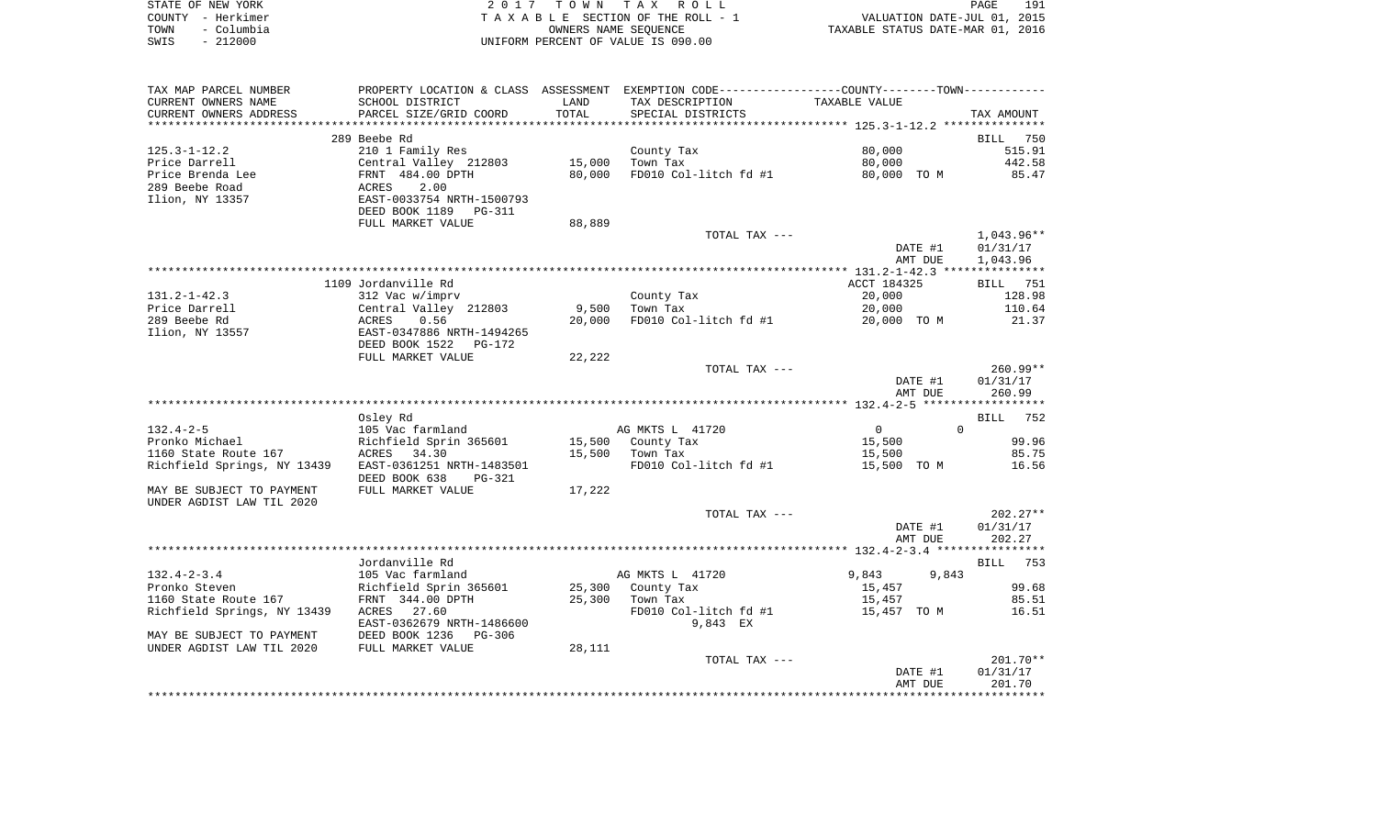|      | STATE OF NEW YORK | 2017 TOWN TAX ROLL                 | 191<br>PAGE                      |
|------|-------------------|------------------------------------|----------------------------------|
|      | COUNTY - Herkimer | TAXABLE SECTION OF THE ROLL - 1    | VALUATION DATE-JUL 01, 2015      |
| TOWN | – Columbia        | OWNERS NAME SEOUENCE               | TAXABLE STATUS DATE-MAR 01, 2016 |
| SWIS | $-212000$         | INIFORM PERCENT OF VALUE IS 090.00 |                                  |

| TAX MAP PARCEL NUMBER       |                           |        | PROPERTY LOCATION & CLASS ASSESSMENT EXEMPTION CODE---------------COUNTY-------TOWN---------- |                          |                    |
|-----------------------------|---------------------------|--------|-----------------------------------------------------------------------------------------------|--------------------------|--------------------|
| CURRENT OWNERS NAME         | SCHOOL DISTRICT           | LAND   | TAX DESCRIPTION                                                                               | TAXABLE VALUE            |                    |
| CURRENT OWNERS ADDRESS      | PARCEL SIZE/GRID COORD    | TOTAL  | SPECIAL DISTRICTS                                                                             |                          | TAX AMOUNT         |
|                             |                           |        |                                                                                               |                          |                    |
|                             | 289 Beebe Rd              |        |                                                                                               |                          | BILL<br>750        |
| $125.3 - 1 - 12.2$          | 210 1 Family Res          |        | County Tax                                                                                    | 80,000                   | 515.91             |
| Price Darrell               | Central Valley 212803     | 15,000 | Town Tax                                                                                      | 80,000                   | 442.58             |
| Price Brenda Lee            | FRNT 484.00 DPTH          | 80,000 | FD010 Col-litch fd #1                                                                         | 80,000 TO M              | 85.47              |
| 289 Beebe Road              | <b>ACRES</b><br>2.00      |        |                                                                                               |                          |                    |
| Ilion, NY 13357             | EAST-0033754 NRTH-1500793 |        |                                                                                               |                          |                    |
|                             | DEED BOOK 1189<br>PG-311  |        |                                                                                               |                          |                    |
|                             | FULL MARKET VALUE         | 88,889 |                                                                                               |                          |                    |
|                             |                           |        | TOTAL TAX ---                                                                                 |                          | 1,043.96**         |
|                             |                           |        |                                                                                               | DATE #1                  | 01/31/17           |
|                             |                           |        |                                                                                               | AMT DUE                  | 1,043.96           |
|                             |                           |        |                                                                                               |                          |                    |
|                             | 1109 Jordanville Rd       |        |                                                                                               | ACCT 184325              | BILL 751           |
| $131.2 - 1 - 42.3$          | 312 Vac w/imprv           |        | County Tax                                                                                    | 20,000                   | 128.98             |
| Price Darrell               | Central Valley 212803     | 9,500  | Town Tax                                                                                      | 20,000                   | 110.64             |
| 289 Beebe Rd                | ACRES<br>0.56             | 20,000 | FD010 Col-litch fd #1                                                                         | 20,000 TO M              | 21.37              |
|                             |                           |        |                                                                                               |                          |                    |
| Ilion, NY 13557             | EAST-0347886 NRTH-1494265 |        |                                                                                               |                          |                    |
|                             | DEED BOOK 1522<br>PG-172  |        |                                                                                               |                          |                    |
|                             | FULL MARKET VALUE         | 22,222 |                                                                                               |                          |                    |
|                             |                           |        | TOTAL TAX ---                                                                                 |                          | 260.99**           |
|                             |                           |        |                                                                                               | DATE #1                  | 01/31/17           |
|                             |                           |        |                                                                                               | AMT DUE                  | 260.99             |
|                             |                           |        |                                                                                               |                          |                    |
|                             | Osley Rd                  |        |                                                                                               |                          | <b>BILL</b><br>752 |
| $132.4 - 2 - 5$             | 105 Vac farmland          |        | AG MKTS L 41720                                                                               | $\Omega$<br>$\mathbf{0}$ |                    |
| Pronko Michael              | Richfield Sprin 365601    | 15,500 | County Tax                                                                                    | 15,500                   | 99.96              |
| 1160 State Route 167        | ACRES 34.30               | 15,500 | Town Tax                                                                                      | 15,500                   | 85.75              |
| Richfield Springs, NY 13439 | EAST-0361251 NRTH-1483501 |        | FD010 Col-litch fd #1                                                                         | 15,500 TO M              | 16.56              |
|                             | DEED BOOK 638<br>PG-321   |        |                                                                                               |                          |                    |
| MAY BE SUBJECT TO PAYMENT   | FULL MARKET VALUE         | 17,222 |                                                                                               |                          |                    |
| UNDER AGDIST LAW TIL 2020   |                           |        |                                                                                               |                          |                    |
|                             |                           |        | TOTAL TAX ---                                                                                 |                          | $202.27**$         |
|                             |                           |        |                                                                                               | DATE #1                  | 01/31/17           |
|                             |                           |        |                                                                                               | AMT DUE                  | 202.27             |
|                             |                           |        |                                                                                               |                          |                    |
|                             | Jordanville Rd            |        |                                                                                               |                          | 753<br>BILL        |
| $132.4 - 2 - 3.4$           | 105 Vac farmland          |        | AG MKTS L 41720                                                                               | 9,843<br>9,843           |                    |
| Pronko Steven               | Richfield Sprin 365601    | 25,300 | County Tax                                                                                    | 15,457                   | 99.68              |
| 1160 State Route 167        | FRNT 344.00 DPTH          | 25,300 | Town Tax                                                                                      | 15,457                   | 85.51              |
| Richfield Springs, NY 13439 | ACRES 27.60               |        | FD010 Col-litch fd #1                                                                         | 15,457 TO M              | 16.51              |
|                             | EAST-0362679 NRTH-1486600 |        | 9,843 EX                                                                                      |                          |                    |
| MAY BE SUBJECT TO PAYMENT   | DEED BOOK 1236<br>PG-306  |        |                                                                                               |                          |                    |
| UNDER AGDIST LAW TIL 2020   | FULL MARKET VALUE         | 28,111 |                                                                                               |                          |                    |
|                             |                           |        | TOTAL TAX ---                                                                                 |                          | 201.70**           |
|                             |                           |        |                                                                                               | DATE #1                  | 01/31/17           |
|                             |                           |        |                                                                                               | AMT DUE                  | 201.70             |
|                             |                           |        |                                                                                               |                          |                    |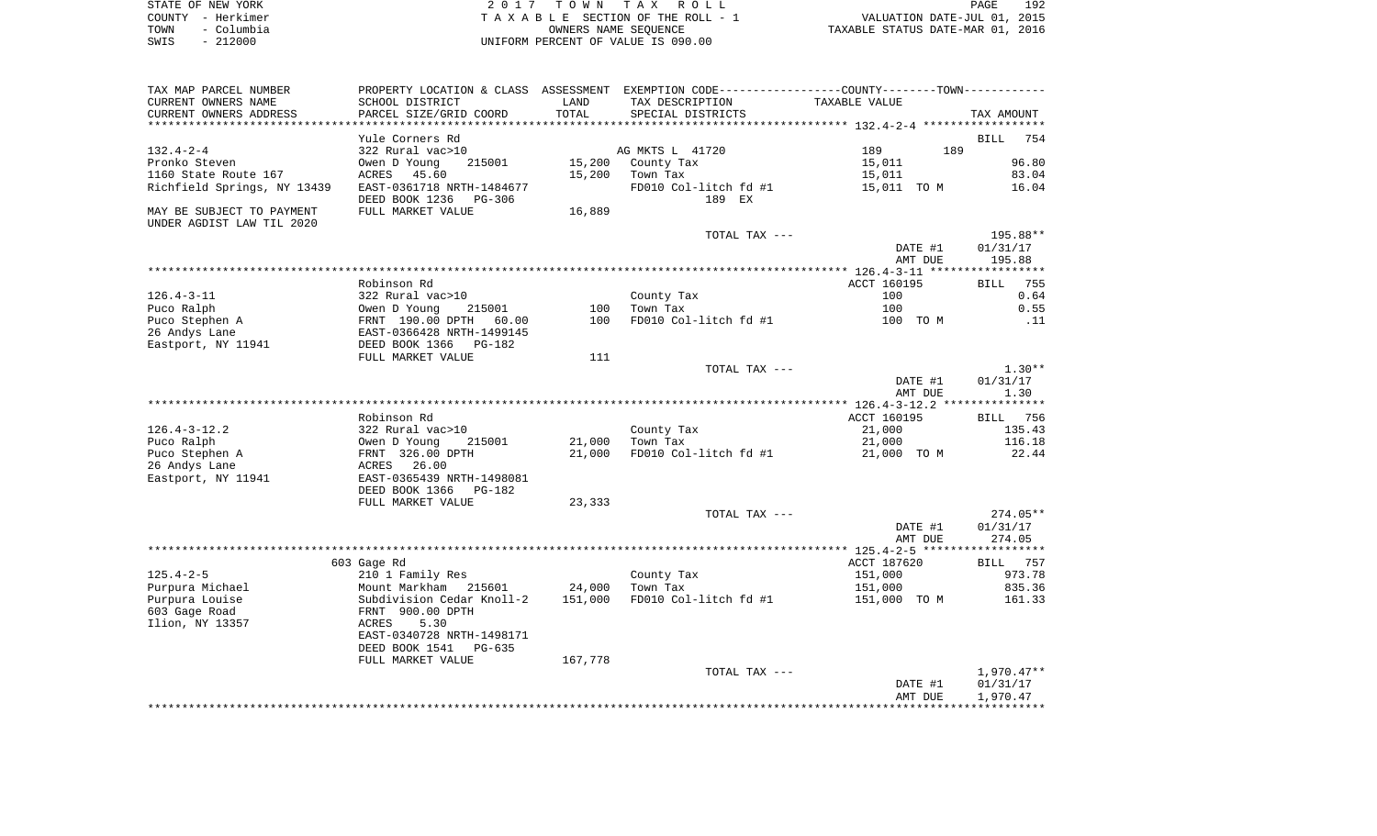| STATE OF NEW YORK  | 2017 TOWN TAX ROLL                 | 192<br>PAGE                      |
|--------------------|------------------------------------|----------------------------------|
| COUNTY – Herkimer  | TAXABLE SECTION OF THE ROLL - 1    | VALUATION DATE-JUL 01, 2015      |
| – Columbia<br>TOWN | OWNERS NAME SEOUENCE               | TAXABLE STATUS DATE-MAR 01, 2016 |
| $-212000$<br>SWIS  | UNIFORM PERCENT OF VALUE IS 090.00 |                                  |

| TAX MAP PARCEL NUMBER       | PROPERTY LOCATION & CLASS ASSESSMENT EXEMPTION CODE---------------COUNTY-------TOWN---------- |         |                       |               |                    |
|-----------------------------|-----------------------------------------------------------------------------------------------|---------|-----------------------|---------------|--------------------|
| CURRENT OWNERS NAME         | SCHOOL DISTRICT                                                                               | LAND    | TAX DESCRIPTION       | TAXABLE VALUE |                    |
| CURRENT OWNERS ADDRESS      | PARCEL SIZE/GRID COORD                                                                        | TOTAL   | SPECIAL DISTRICTS     |               | TAX AMOUNT         |
|                             |                                                                                               |         |                       |               |                    |
|                             | Yule Corners Rd                                                                               |         |                       |               | 754<br>BILL        |
| $132.4 - 2 - 4$             | 322 Rural vac>10                                                                              |         | AG MKTS L 41720       | 189<br>189    |                    |
| Pronko Steven               | Owen D Young<br>215001                                                                        | 15,200  | County Tax            | 15,011        | 96.80              |
| 1160 State Route 167        | 45.60<br>ACRES                                                                                | 15,200  | Town Tax              | 15,011        | 83.04              |
| Richfield Springs, NY 13439 | EAST-0361718 NRTH-1484677                                                                     |         | FD010 Col-litch fd #1 | 15,011 TO M   | 16.04              |
|                             | DEED BOOK 1236<br>PG-306                                                                      |         | 189 EX                |               |                    |
|                             |                                                                                               |         |                       |               |                    |
| MAY BE SUBJECT TO PAYMENT   | FULL MARKET VALUE                                                                             | 16,889  |                       |               |                    |
| UNDER AGDIST LAW TIL 2020   |                                                                                               |         |                       |               |                    |
|                             |                                                                                               |         | TOTAL TAX ---         |               | 195.88**           |
|                             |                                                                                               |         |                       | DATE #1       | 01/31/17           |
|                             |                                                                                               |         |                       | AMT DUE       | 195.88             |
|                             |                                                                                               |         |                       |               |                    |
|                             | Robinson Rd                                                                                   |         |                       | ACCT 160195   | 755<br><b>BILL</b> |
| $126.4 - 3 - 11$            | 322 Rural vac>10                                                                              |         | County Tax            | 100           | 0.64               |
| Puco Ralph                  | Owen D Young<br>215001                                                                        | 100     | Town Tax              | 100           | 0.55               |
| Puco Stephen A              | FRNT 190.00 DPTH 60.00                                                                        | 100     | FD010 Col-litch fd #1 | 100 TO M      | $\ldots$ 11        |
| 26 Andys Lane               | EAST-0366428 NRTH-1499145                                                                     |         |                       |               |                    |
| Eastport, NY 11941          | DEED BOOK 1366<br>PG-182                                                                      |         |                       |               |                    |
|                             | FULL MARKET VALUE                                                                             | 111     |                       |               |                    |
|                             |                                                                                               |         | TOTAL TAX ---         |               | $1.30**$           |
|                             |                                                                                               |         |                       | DATE #1       | 01/31/17           |
|                             |                                                                                               |         |                       | AMT DUE       | 1.30               |
|                             |                                                                                               |         |                       |               |                    |
|                             |                                                                                               |         |                       |               |                    |
|                             | Robinson Rd                                                                                   |         |                       | ACCT 160195   | BILL 756           |
| $126.4 - 3 - 12.2$          | 322 Rural vac>10                                                                              |         | County Tax            | 21,000        | 135.43             |
| Puco Ralph                  | Owen D Young<br>215001                                                                        | 21,000  | Town Tax              | 21,000        | 116.18             |
| Puco Stephen A              | FRNT 326.00 DPTH                                                                              | 21,000  | FD010 Col-litch fd #1 | 21,000 TO M   | 22.44              |
| 26 Andys Lane               | ACRES<br>26.00                                                                                |         |                       |               |                    |
| Eastport, NY 11941          | EAST-0365439 NRTH-1498081                                                                     |         |                       |               |                    |
|                             | DEED BOOK 1366<br>PG-182                                                                      |         |                       |               |                    |
|                             | FULL MARKET VALUE                                                                             | 23,333  |                       |               |                    |
|                             |                                                                                               |         | TOTAL TAX ---         |               | 274.05**           |
|                             |                                                                                               |         |                       | DATE #1       | 01/31/17           |
|                             |                                                                                               |         |                       | AMT DUE       | 274.05             |
|                             |                                                                                               |         |                       |               |                    |
|                             | 603 Gage Rd                                                                                   |         |                       | ACCT 187620   | BILL 757           |
| $125.4 - 2 - 5$             | 210 1 Family Res                                                                              |         | County Tax            | 151,000       | 973.78             |
| Purpura Michael             | Mount Markham 215601                                                                          | 24,000  | Town Tax              | 151,000       | 835.36             |
| Purpura Louise              | Subdivision Cedar Knoll-2                                                                     | 151,000 | FD010 Col-litch fd #1 | 151,000 TO M  | 161.33             |
| 603 Gage Road               | FRNT 900.00 DPTH                                                                              |         |                       |               |                    |
| Ilion, NY 13357             | 5.30<br>ACRES                                                                                 |         |                       |               |                    |
|                             |                                                                                               |         |                       |               |                    |
|                             | EAST-0340728 NRTH-1498171                                                                     |         |                       |               |                    |
|                             | DEED BOOK 1541<br>PG-635                                                                      |         |                       |               |                    |
|                             | FULL MARKET VALUE                                                                             | 167,778 |                       |               |                    |
|                             |                                                                                               |         | TOTAL TAX ---         |               | 1,970.47**         |
|                             |                                                                                               |         |                       | DATE #1       | 01/31/17           |
|                             |                                                                                               |         |                       | AMT DUE       | 1,970.47           |
|                             |                                                                                               |         |                       |               |                    |
|                             |                                                                                               |         |                       |               |                    |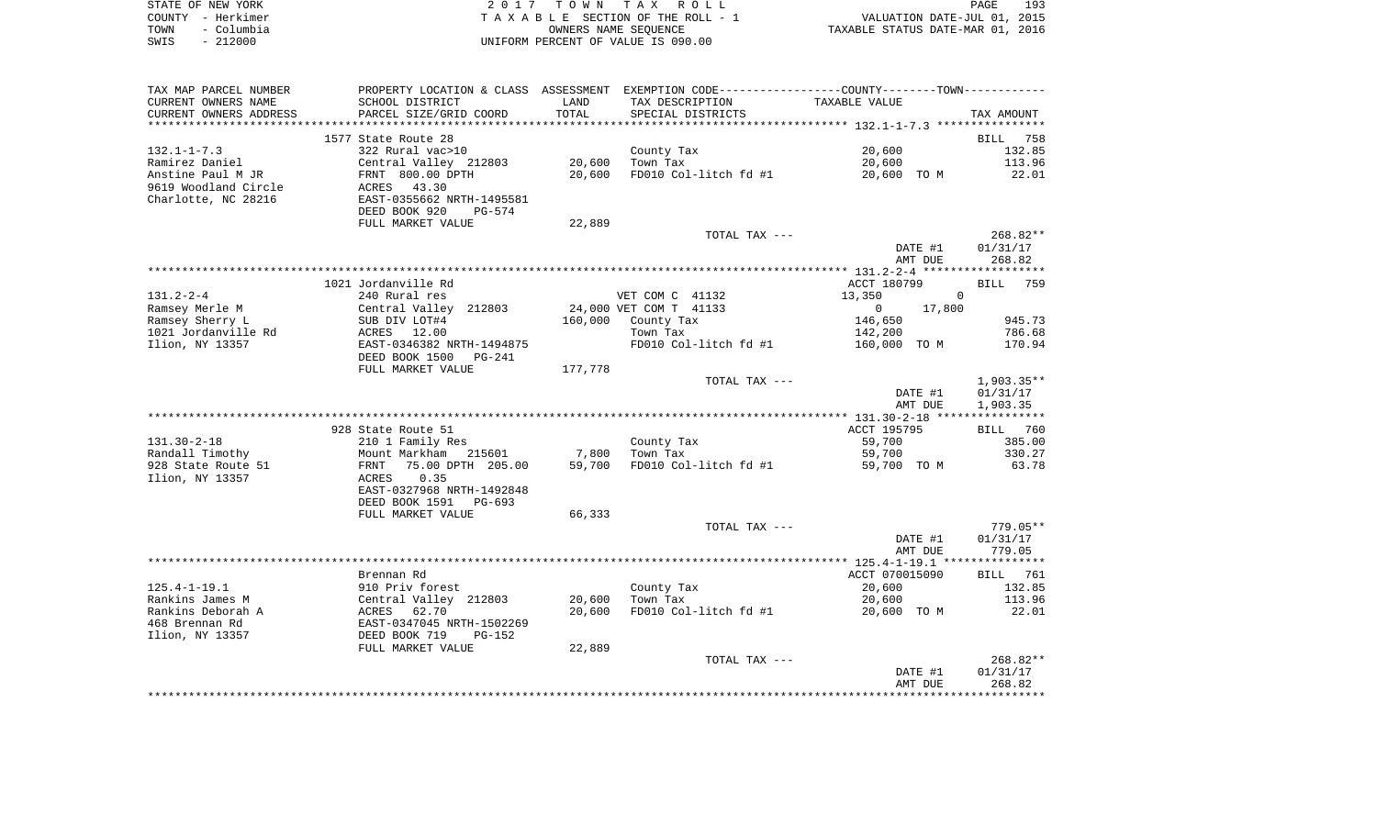|      | STATE OF NEW YORK | 2017 TOWN TAX ROLL                 | PAGE                             | 193 |
|------|-------------------|------------------------------------|----------------------------------|-----|
|      | COUNTY - Herkimer | TAXABLE SECTION OF THE ROLL - 1    | VALUATION DATE-JUL 01, 2015      |     |
| TOWN | - Columbia        | OWNERS NAME SEOUENCE               | TAXABLE STATUS DATE-MAR 01, 2016 |     |
| SWIS | - 212000          | UNIFORM PERCENT OF VALUE IS 090.00 |                                  |     |

| TAX MAP PARCEL NUMBER  |                                |         | PROPERTY LOCATION & CLASS ASSESSMENT EXEMPTION CODE----------------COUNTY--------TOWN-----------                                                                                                                                             |                          |              |
|------------------------|--------------------------------|---------|----------------------------------------------------------------------------------------------------------------------------------------------------------------------------------------------------------------------------------------------|--------------------------|--------------|
| CURRENT OWNERS NAME    | SCHOOL DISTRICT                | LAND    | TAX DESCRIPTION                                                                                                                                                                                                                              | TAXABLE VALUE            |              |
| CURRENT OWNERS ADDRESS | PARCEL SIZE/GRID COORD         | TOTAL   | SPECIAL DISTRICTS                                                                                                                                                                                                                            |                          | TAX AMOUNT   |
|                        |                                |         |                                                                                                                                                                                                                                              |                          |              |
|                        | 1577 State Route 28            |         |                                                                                                                                                                                                                                              |                          | BILL 758     |
| $132.1 - 1 - 7.3$      | 322 Rural vac>10               |         | County Tax                                                                                                                                                                                                                                   | 20,600                   | 132.85       |
| Ramirez Daniel         | Central Valley 212803          | 20,600  | Town Tax                                                                                                                                                                                                                                     | 20,600                   | 113.96       |
| Anstine Paul M JR      | FRNT 800.00 DPTH               | 20,600  | FD010 Col-litch fd #1                                                                                                                                                                                                                        | 20,600 TO M              | 22.01        |
| 9619 Woodland Circle   | ACRES<br>43.30                 |         |                                                                                                                                                                                                                                              |                          |              |
| Charlotte, NC 28216    | EAST-0355662 NRTH-1495581      |         |                                                                                                                                                                                                                                              |                          |              |
|                        | DEED BOOK 920<br>PG-574        |         |                                                                                                                                                                                                                                              |                          |              |
|                        | FULL MARKET VALUE              | 22,889  |                                                                                                                                                                                                                                              |                          |              |
|                        |                                |         | TOTAL TAX ---                                                                                                                                                                                                                                |                          | 268.82**     |
|                        |                                |         |                                                                                                                                                                                                                                              | DATE #1                  | 01/31/17     |
|                        |                                |         |                                                                                                                                                                                                                                              | AMT DUE                  | 268.82       |
|                        |                                |         |                                                                                                                                                                                                                                              |                          |              |
|                        | 1021 Jordanville Rd            |         |                                                                                                                                                                                                                                              | ACCT 180799              | BILL 759     |
| $131.2 - 2 - 4$        | 240 Rural res                  |         | VET COM C 41132                                                                                                                                                                                                                              | 13,350                   | $\Omega$     |
| Ramsey Merle M         | Central Valley 212803          |         | 24,000 VET COM T 41133                                                                                                                                                                                                                       | 17,800<br>$\overline{0}$ |              |
| Ramsey Sherry L        | SUB DIV LOT#4                  |         | 160,000 County Tax                                                                                                                                                                                                                           | 146,650                  | 945.73       |
| 1021 Jordanville Rd    | ACRES<br>12.00                 |         | Town Tax                                                                                                                                                                                                                                     | 142,200                  | 786.68       |
| Ilion, NY 13357        | EAST-0346382 NRTH-1494875      |         | FD010 Col-litch fd #1                                                                                                                                                                                                                        | 160,000 TO M             | 170.94       |
|                        | DEED BOOK 1500<br>PG-241       |         |                                                                                                                                                                                                                                              |                          |              |
|                        | FULL MARKET VALUE              | 177,778 |                                                                                                                                                                                                                                              |                          |              |
|                        |                                |         | TOTAL TAX ---                                                                                                                                                                                                                                |                          | $1,903.35**$ |
|                        |                                |         |                                                                                                                                                                                                                                              | DATE #1                  | 01/31/17     |
|                        |                                |         |                                                                                                                                                                                                                                              | AMT DUE                  | 1,903.35     |
|                        |                                |         |                                                                                                                                                                                                                                              |                          |              |
|                        | 928 State Route 51             |         |                                                                                                                                                                                                                                              | ACCT 195795              | BILL 760     |
| $131.30 - 2 - 18$      | 210 1 Family Res               |         | County Tax                                                                                                                                                                                                                                   | 59,700                   | 385.00       |
| Randall Timothy        | Mount Markham<br>215601        | 7,800   | en de la provincia de la provincia del provincia del provincia del provincia del provincia del provincia del p<br>En 1930, en 1930, en 1930, en 1930, en 1930, en 1930, en 1930, en 1930, en 1930, en 1930, en 1930, en 1930, en<br>Town Tax | 59,700                   | 330.27       |
| 928 State Route 51     | 75.00 DPTH 205.00<br>FRNT      | 59,700  | FD010 Col-litch fd #1                                                                                                                                                                                                                        | 59,700 TO M              | 63.78        |
| Ilion, NY 13357        | ACRES<br>0.35                  |         |                                                                                                                                                                                                                                              |                          |              |
|                        | EAST-0327968 NRTH-1492848      |         |                                                                                                                                                                                                                                              |                          |              |
|                        | DEED BOOK 1591<br>PG-693       |         |                                                                                                                                                                                                                                              |                          |              |
|                        | FULL MARKET VALUE              | 66,333  |                                                                                                                                                                                                                                              |                          |              |
|                        |                                |         | TOTAL TAX ---                                                                                                                                                                                                                                |                          | 779.05**     |
|                        |                                |         |                                                                                                                                                                                                                                              | DATE #1                  | 01/31/17     |
|                        |                                |         |                                                                                                                                                                                                                                              | AMT DUE                  | 779.05       |
|                        |                                |         |                                                                                                                                                                                                                                              |                          |              |
|                        | Brennan Rd                     |         |                                                                                                                                                                                                                                              | ACCT 070015090           | BILL 761     |
| $125.4 - 1 - 19.1$     | 910 Priv forest                |         | County Tax                                                                                                                                                                                                                                   | 20,600                   | 132.85       |
| Rankins James M        | Central Valley 212803          | 20,600  | Town Tax                                                                                                                                                                                                                                     | 20,600                   | 113.96       |
| Rankins Deborah A      | <b>ACRES</b><br>62.70          | 20,600  | FD010 Col-litch fd #1                                                                                                                                                                                                                        | 20,600 TO M              | 22.01        |
| 468 Brennan Rd         | EAST-0347045 NRTH-1502269      |         |                                                                                                                                                                                                                                              |                          |              |
| Ilion, NY 13357        | DEED BOOK 719<br><b>PG-152</b> |         |                                                                                                                                                                                                                                              |                          |              |
|                        | FULL MARKET VALUE              | 22,889  |                                                                                                                                                                                                                                              |                          |              |
|                        |                                |         | TOTAL TAX ---                                                                                                                                                                                                                                |                          | $268.82**$   |
|                        |                                |         |                                                                                                                                                                                                                                              | DATE #1                  | 01/31/17     |
|                        |                                |         |                                                                                                                                                                                                                                              | AMT DUE                  | 268.82       |
|                        |                                |         |                                                                                                                                                                                                                                              |                          |              |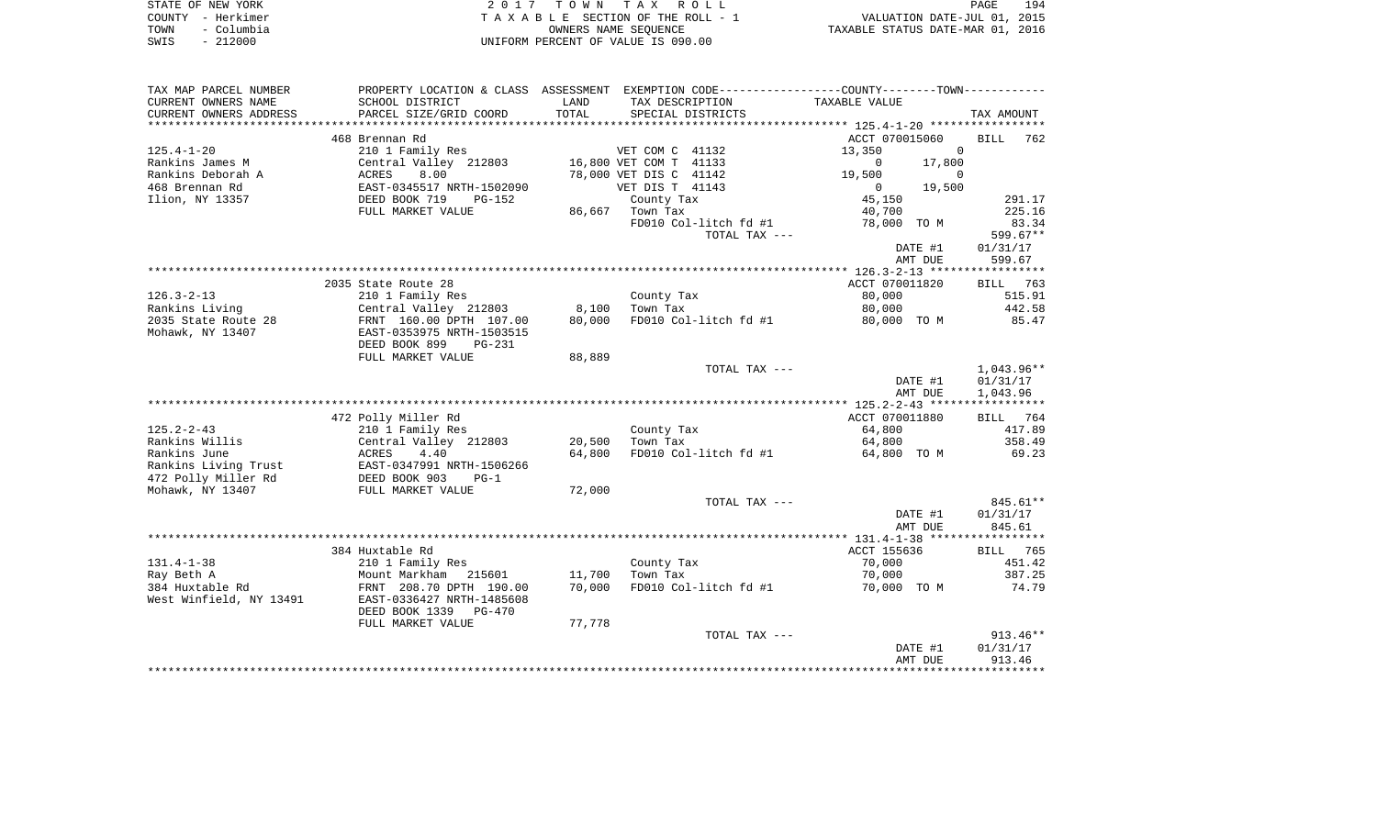| STATE OF NEW YORK |            | 2017 TOWN TAX ROLL                 | 194<br>PAGE                      |  |
|-------------------|------------|------------------------------------|----------------------------------|--|
| COUNTY - Herkimer |            | TAXABLE SECTION OF THE ROLL - 1    | VALUATION DATE-JUL 01, 2015      |  |
| TOWN              | - Columbia | OWNERS NAME SEOUENCE               | TAXABLE STATUS DATE-MAR 01, 2016 |  |
| SWIS              | $-212000$  | UNIFORM PERCENT OF VALUE IS 090.00 |                                  |  |

| TAX MAP PARCEL NUMBER   | PROPERTY LOCATION & CLASS ASSESSMENT EXEMPTION CODE---------------COUNTY-------TOWN---------- |        |                        |               |                |          |                    |
|-------------------------|-----------------------------------------------------------------------------------------------|--------|------------------------|---------------|----------------|----------|--------------------|
| CURRENT OWNERS NAME     | SCHOOL DISTRICT                                                                               | LAND   | TAX DESCRIPTION        |               | TAXABLE VALUE  |          |                    |
| CURRENT OWNERS ADDRESS  | PARCEL SIZE/GRID COORD                                                                        | TOTAL  | SPECIAL DISTRICTS      |               |                |          | TAX AMOUNT         |
| ******************      | ******************                                                                            |        |                        |               |                |          |                    |
|                         | 468 Brennan Rd                                                                                |        |                        |               | ACCT 070015060 |          | <b>BILL</b><br>762 |
| $125.4 - 1 - 20$        | 210 1 Family Res                                                                              |        | VET COM C 41132        |               | 13,350         | $\Omega$ |                    |
| Rankins James M         | Central Valley 212803                                                                         |        | 16,800 VET COM T 41133 |               | $\Omega$       | 17,800   |                    |
| Rankins Deborah A       | 8.00<br>ACRES                                                                                 |        | 78,000 VET DIS C 41142 |               | 19,500         | $\Omega$ |                    |
| 468 Brennan Rd          | EAST-0345517 NRTH-1502090                                                                     |        | VET DIS T 41143        |               | $\overline{0}$ | 19,500   |                    |
| Ilion, NY 13357         | DEED BOOK 719<br>$PG-152$                                                                     |        | County Tax             |               | 45,150         |          | 291.17             |
|                         | FULL MARKET VALUE                                                                             |        | 86,667 Town Tax        |               | 40,700         |          | 225.16             |
|                         |                                                                                               |        | FD010 Col-litch fd #1  |               | 78,000 TO M    |          | 83.34              |
|                         |                                                                                               |        |                        | TOTAL TAX --- |                |          | 599.67**           |
|                         |                                                                                               |        |                        |               |                | DATE #1  | 01/31/17           |
|                         |                                                                                               |        |                        |               |                | AMT DUE  | 599.67             |
|                         |                                                                                               |        |                        |               |                |          |                    |
|                         | 2035 State Route 28                                                                           |        |                        |               | ACCT 070011820 |          | 763<br>BILL        |
| $126.3 - 2 - 13$        | 210 1 Family Res                                                                              |        | County Tax             |               | 80,000         |          | 515.91             |
| Rankins Living          | Central Valley 212803                                                                         | 8,100  | Town Tax               |               | 80,000         |          | 442.58             |
| 2035 State Route 28     | FRNT 160.00 DPTH 107.00                                                                       | 80,000 | FD010 Col-litch fd #1  |               | 80,000 TO M    |          | 85.47              |
| Mohawk, NY 13407        | EAST-0353975 NRTH-1503515                                                                     |        |                        |               |                |          |                    |
|                         | DEED BOOK 899<br>$PG-231$                                                                     |        |                        |               |                |          |                    |
|                         | FULL MARKET VALUE                                                                             | 88,889 |                        |               |                |          |                    |
|                         |                                                                                               |        |                        | TOTAL TAX --- |                |          | $1,043.96**$       |
|                         |                                                                                               |        |                        |               |                | DATE #1  | 01/31/17           |
|                         |                                                                                               |        |                        |               |                | AMT DUE  | 1,043.96           |
|                         |                                                                                               |        |                        |               |                |          |                    |
|                         | 472 Polly Miller Rd                                                                           |        |                        |               | ACCT 070011880 |          | BILL 764           |
| $125.2 - 2 - 43$        | 210 1 Family Res                                                                              |        | County Tax             |               | 64,800         |          | 417.89             |
| Rankins Willis          | Central Valley 212803                                                                         | 20,500 | Town Tax               |               | 64,800         |          | 358.49             |
| Rankins June            | 4.40<br>ACRES                                                                                 | 64,800 | FD010 Col-litch fd #1  |               | 64,800 TO M    |          | 69.23              |
| Rankins Living Trust    | EAST-0347991 NRTH-1506266                                                                     |        |                        |               |                |          |                    |
| 472 Polly Miller Rd     | DEED BOOK 903<br>$PG-1$                                                                       |        |                        |               |                |          |                    |
| Mohawk, NY 13407        | FULL MARKET VALUE                                                                             | 72,000 |                        |               |                |          |                    |
|                         |                                                                                               |        |                        | TOTAL TAX --- |                |          | $845.61**$         |
|                         |                                                                                               |        |                        |               |                | DATE #1  | 01/31/17           |
|                         |                                                                                               |        |                        |               |                | AMT DUE  | 845.61             |
|                         |                                                                                               |        |                        |               |                |          |                    |
|                         | 384 Huxtable Rd                                                                               |        |                        |               | ACCT 155636    |          | 765<br>BILL        |
| $131.4 - 1 - 38$        | 210 1 Family Res                                                                              |        | County Tax             |               | 70,000         |          | 451.42             |
| Ray Beth A              | Mount Markham 215601                                                                          | 11,700 | Town Tax               |               | 70,000         |          | 387.25             |
| 384 Huxtable Rd         | FRNT 208.70 DPTH 190.00                                                                       | 70,000 | FD010 Col-litch fd #1  |               | 70,000 TO M    |          | 74.79              |
| West Winfield, NY 13491 | EAST-0336427 NRTH-1485608                                                                     |        |                        |               |                |          |                    |
|                         | DEED BOOK 1339 PG-470                                                                         |        |                        |               |                |          |                    |
|                         | FULL MARKET VALUE                                                                             | 77,778 |                        |               |                |          |                    |
|                         |                                                                                               |        |                        | TOTAL TAX --- |                |          | $913.46**$         |
|                         |                                                                                               |        |                        |               |                | DATE #1  | 01/31/17           |
|                         |                                                                                               |        |                        |               |                | AMT DUE  | 913.46             |
|                         |                                                                                               |        |                        |               |                |          |                    |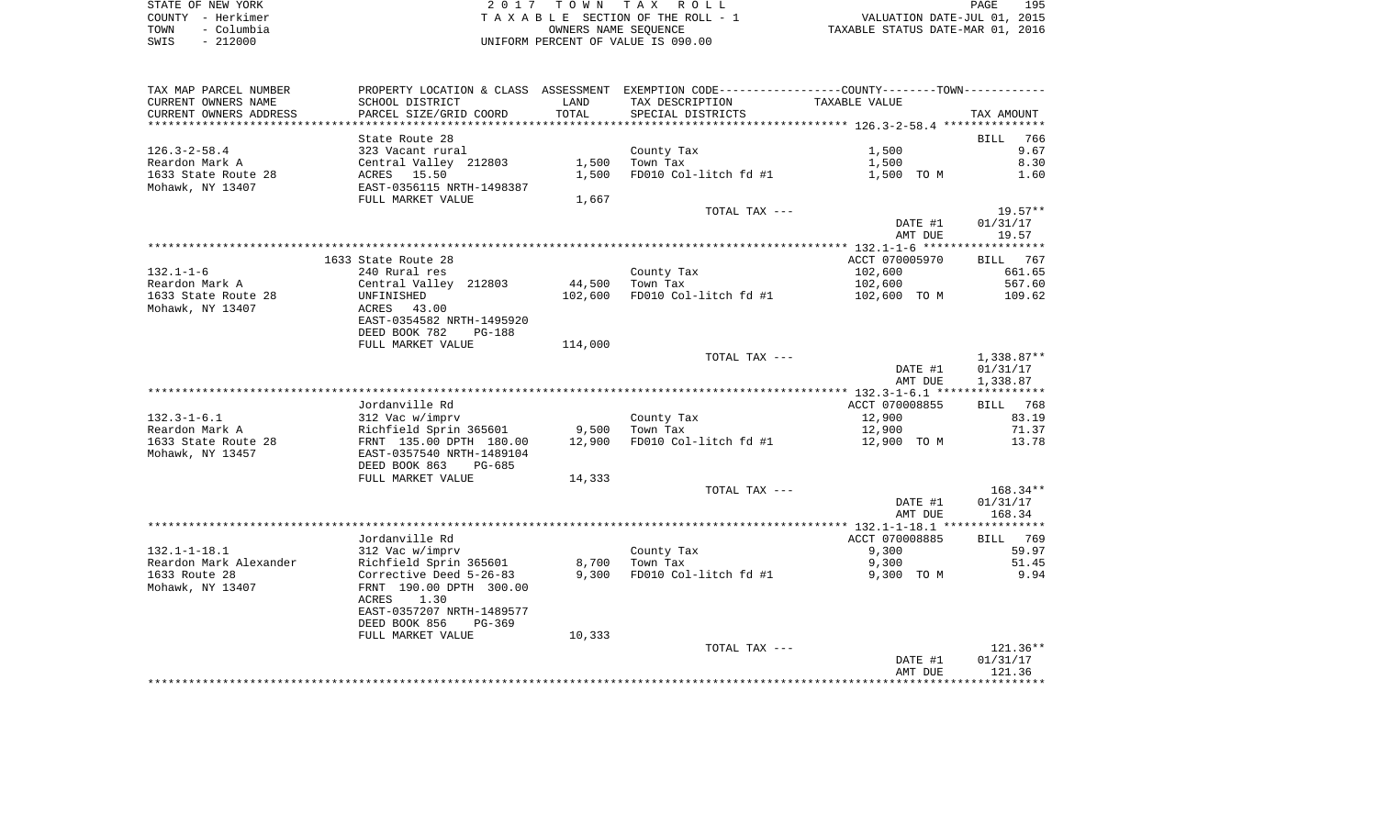| STATE OF NEW YORK  | 2017 TOWN TAX ROLL<br>PAGE                                     | 195 |
|--------------------|----------------------------------------------------------------|-----|
| COUNTY - Herkimer  | VALUATION DATE-JUL 01, 2015<br>TAXABLE SECTION OF THE ROLL - 1 |     |
| - Columbia<br>TOWN | TAXABLE STATUS DATE-MAR 01, 2016<br>OWNERS NAME SEOUENCE       |     |
| $-212000$<br>SWIS  | UNIFORM PERCENT OF VALUE IS 090.00                             |     |

| TAX MAP PARCEL NUMBER  |                                |         | PROPERTY LOCATION & CLASS ASSESSMENT EXEMPTION CODE----------------COUNTY-------TOWN---------- |                |                    |
|------------------------|--------------------------------|---------|------------------------------------------------------------------------------------------------|----------------|--------------------|
| CURRENT OWNERS NAME    | SCHOOL DISTRICT                | LAND    | TAX DESCRIPTION                                                                                | TAXABLE VALUE  |                    |
| CURRENT OWNERS ADDRESS | PARCEL SIZE/GRID COORD         | TOTAL   | SPECIAL DISTRICTS                                                                              |                | TAX AMOUNT         |
|                        |                                |         |                                                                                                |                |                    |
|                        | State Route 28                 |         |                                                                                                |                | <b>BILL</b><br>766 |
| $126.3 - 2 - 58.4$     | 323 Vacant rural               |         | County Tax                                                                                     | 1,500          | 9.67               |
| Reardon Mark A         | Central Valley 212803          | 1,500   | Town Tax                                                                                       | 1,500          | 8.30               |
| 1633 State Route 28    | ACRES 15.50                    | 1,500   | FD010 Col-litch fd #1                                                                          | 1,500 TO M     | 1.60               |
| Mohawk, NY 13407       | EAST-0356115 NRTH-1498387      |         |                                                                                                |                |                    |
|                        | FULL MARKET VALUE              | 1,667   |                                                                                                |                |                    |
|                        |                                |         | TOTAL TAX ---                                                                                  |                | $19.57**$          |
|                        |                                |         |                                                                                                | DATE #1        | 01/31/17           |
|                        |                                |         |                                                                                                | AMT DUE        | 19.57              |
|                        |                                |         |                                                                                                |                |                    |
|                        | 1633 State Route 28            |         |                                                                                                | ACCT 070005970 | BILL<br>767        |
| $132.1 - 1 - 6$        | 240 Rural res                  |         | County Tax                                                                                     | 102,600        | 661.65             |
| Reardon Mark A         | Central Valley 212803          | 44,500  | Town Tax                                                                                       | 102,600        | 567.60             |
| 1633 State Route 28    | UNFINISHED                     | 102,600 | FD010 Col-litch fd #1                                                                          | 102,600 TO M   | 109.62             |
| Mohawk, NY 13407       | 43.00<br>ACRES                 |         |                                                                                                |                |                    |
|                        | EAST-0354582 NRTH-1495920      |         |                                                                                                |                |                    |
|                        | DEED BOOK 782<br><b>PG-188</b> |         |                                                                                                |                |                    |
|                        | FULL MARKET VALUE              | 114,000 |                                                                                                |                |                    |
|                        |                                |         | TOTAL TAX ---                                                                                  |                | 1,338.87**         |
|                        |                                |         |                                                                                                | DATE #1        | 01/31/17           |
|                        |                                |         |                                                                                                | AMT DUE        | 1,338.87           |
|                        |                                |         |                                                                                                |                |                    |
|                        | Jordanville Rd                 |         |                                                                                                | ACCT 070008855 | BILL 768           |
| $132.3 - 1 - 6.1$      | 312 Vac w/imprv                |         | County Tax                                                                                     | 12,900         | 83.19              |
| Reardon Mark A         | Richfield Sprin 365601         | 9,500   | Town Tax                                                                                       | 12,900         | 71.37              |
| 1633 State Route 28    | FRNT 135.00 DPTH 180.00        | 12,900  | FD010 Col-litch fd #1                                                                          | 12,900 TO M    | 13.78              |
| Mohawk, NY 13457       | EAST-0357540 NRTH-1489104      |         |                                                                                                |                |                    |
|                        | DEED BOOK 863<br>PG-685        |         |                                                                                                |                |                    |
|                        | FULL MARKET VALUE              | 14,333  |                                                                                                |                |                    |
|                        |                                |         | TOTAL TAX ---                                                                                  |                | $168.34**$         |
|                        |                                |         |                                                                                                | DATE #1        | 01/31/17           |
|                        |                                |         |                                                                                                | AMT DUE        | 168.34             |
|                        |                                |         |                                                                                                |                |                    |
|                        | Jordanville Rd                 |         |                                                                                                | ACCT 070008885 | BILL 769           |
| $132.1 - 1 - 18.1$     | 312 Vac w/imprv                |         | County Tax                                                                                     | 9,300          | 59.97              |
| Reardon Mark Alexander | Richfield Sprin 365601         | 8,700   | Town Tax                                                                                       | 9,300          | 51.45              |
| 1633 Route 28          | Corrective Deed 5-26-83        | 9,300   | FD010 Col-litch fd #1                                                                          | 9,300 TO M     | 9.94               |
| Mohawk, NY 13407       | FRNT 190.00 DPTH 300.00        |         |                                                                                                |                |                    |
|                        | 1.30<br>ACRES                  |         |                                                                                                |                |                    |
|                        | EAST-0357207 NRTH-1489577      |         |                                                                                                |                |                    |
|                        | DEED BOOK 856<br>$PG-369$      |         |                                                                                                |                |                    |
|                        | FULL MARKET VALUE              | 10,333  |                                                                                                |                |                    |
|                        |                                |         | TOTAL TAX ---                                                                                  |                | $121.36**$         |
|                        |                                |         |                                                                                                | DATE #1        | 01/31/17           |
|                        |                                |         |                                                                                                | AMT DUE        | 121.36             |
|                        |                                |         |                                                                                                |                |                    |
|                        |                                |         |                                                                                                |                |                    |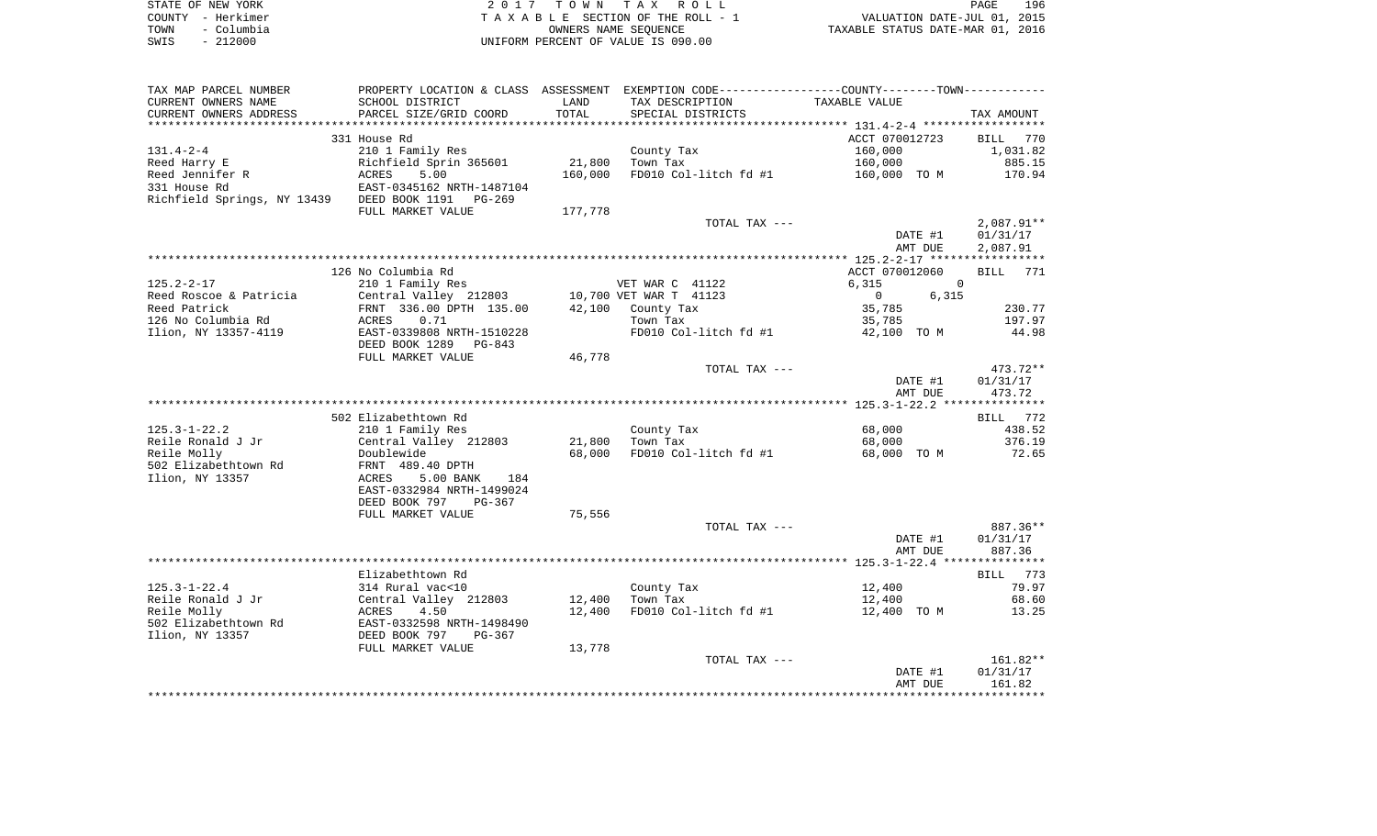| STATE OF NEW YORK  | 2017 TOWN TAX ROLL                 | 196<br>PAGE                      |
|--------------------|------------------------------------|----------------------------------|
| COUNTY - Herkimer  | TAXABLE SECTION OF THE ROLL - 1    | VALUATION DATE-JUL 01, 2015      |
| - Columbia<br>TOWN | OWNERS NAME SEOUENCE               | TAXABLE STATUS DATE-MAR 01, 2016 |
| $-212000$<br>SWIS  | UNIFORM PERCENT OF VALUE IS 090.00 |                                  |

TAX MAP PARCEL NUMBER PROPERTY LOCATION & CLASS ASSESSMENT EXEMPTION CODE------------------COUNTY--------TOWN------------

| CURRENT OWNERS NAME         | SCHOOL DISTRICT            | LAND    | TAX DESCRIPTION        | TAXABLE VALUE                           |              |
|-----------------------------|----------------------------|---------|------------------------|-----------------------------------------|--------------|
| CURRENT OWNERS ADDRESS      | PARCEL SIZE/GRID COORD     | TOTAL   | SPECIAL DISTRICTS      |                                         | TAX AMOUNT   |
|                             |                            |         |                        | **************** 131.4-2-4 ************ |              |
|                             | 331 House Rd               |         |                        | ACCT 070012723                          | 770<br>BILL  |
| $131.4 - 2 - 4$             | 210 1 Family Res           |         | County Tax             | 160,000                                 | 1,031.82     |
| Reed Harry E                | Richfield Sprin 365601     | 21,800  | Town Tax               | 160,000                                 | 885.15       |
| Reed Jennifer R             | 5.00<br>ACRES              | 160,000 | FD010 Col-litch fd #1  | 160,000 TO M                            | 170.94       |
| 331 House Rd                | EAST-0345162 NRTH-1487104  |         |                        |                                         |              |
| Richfield Springs, NY 13439 | DEED BOOK 1191<br>PG-269   |         |                        |                                         |              |
|                             | FULL MARKET VALUE          | 177,778 |                        |                                         |              |
|                             |                            |         | TOTAL TAX ---          |                                         | $2,087.91**$ |
|                             |                            |         |                        | DATE #1                                 | 01/31/17     |
|                             |                            |         |                        | AMT DUE                                 | 2,087.91     |
|                             |                            |         |                        |                                         |              |
|                             |                            |         |                        |                                         |              |
| $125.2 - 2 - 17$            | 126 No Columbia Rd         |         |                        | ACCT 070012060<br>$\Omega$              | BILL<br>771  |
|                             | 210 1 Family Res           |         | VET WAR C 41122        | 6,315                                   |              |
| Reed Roscoe & Patricia      | Central Valley 212803      |         | 10,700 VET WAR T 41123 | $\mathbf 0$<br>6,315                    |              |
| Reed Patrick                | FRNT 336.00 DPTH 135.00    | 42,100  | County Tax             | 35,785                                  | 230.77       |
| 126 No Columbia Rd          | ACRES<br>0.71              |         | Town Tax               | 35,785                                  | 197.97       |
| Ilion, NY 13357-4119        | EAST-0339808 NRTH-1510228  |         | FD010 Col-litch fd #1  | 42,100 TO M                             | 44.98        |
|                             | DEED BOOK 1289<br>$PG-843$ |         |                        |                                         |              |
|                             | FULL MARKET VALUE          | 46,778  |                        |                                         |              |
|                             |                            |         | TOTAL TAX ---          |                                         | 473.72**     |
|                             |                            |         |                        | DATE #1                                 | 01/31/17     |
|                             |                            |         |                        | AMT DUE                                 | 473.72       |
|                             |                            |         |                        |                                         |              |
|                             | 502 Elizabethtown Rd       |         |                        |                                         | 772<br>BILL  |
| $125.3 - 1 - 22.2$          | 210 1 Family Res           |         | County Tax             | 68,000                                  | 438.52       |
| Reile Ronald J Jr           | Central Valley 212803      | 21,800  | Town Tax               | 68,000                                  | 376.19       |
| Reile Molly                 | Doublewide                 | 68,000  | FD010 Col-litch fd #1  | 68,000 TO M                             | 72.65        |
| 502 Elizabethtown Rd        | FRNT 489.40 DPTH           |         |                        |                                         |              |
| Ilion, NY 13357             | 5.00 BANK<br>ACRES<br>184  |         |                        |                                         |              |
|                             | EAST-0332984 NRTH-1499024  |         |                        |                                         |              |
|                             | DEED BOOK 797<br>$PG-367$  |         |                        |                                         |              |
|                             | FULL MARKET VALUE          | 75,556  |                        |                                         |              |
|                             |                            |         | TOTAL TAX ---          |                                         | 887.36**     |
|                             |                            |         |                        | DATE #1                                 | 01/31/17     |
|                             |                            |         |                        | AMT DUE                                 | 887.36       |
|                             |                            |         |                        |                                         |              |
|                             | Elizabethtown Rd           |         |                        |                                         | 773<br>BILL  |
| $125.3 - 1 - 22.4$          | 314 Rural vac<10           |         | County Tax             | 12,400                                  | 79.97        |
| Reile Ronald J Jr           | Central Valley 212803      | 12,400  | Town Tax               | 12,400                                  | 68.60        |
|                             |                            |         |                        |                                         |              |
| Reile Molly                 | 4.50<br>ACRES              | 12,400  | FD010 Col-litch fd #1  | 12,400 TO M                             | 13.25        |
| 502 Elizabethtown Rd        | EAST-0332598 NRTH-1498490  |         |                        |                                         |              |
| Ilion, NY 13357             | DEED BOOK 797<br>PG-367    |         |                        |                                         |              |
|                             | FULL MARKET VALUE          | 13,778  |                        |                                         |              |
|                             |                            |         | TOTAL TAX ---          |                                         | 161.82**     |
|                             |                            |         |                        | DATE #1                                 | 01/31/17     |
|                             |                            |         |                        | AMT DUE                                 | 161.82       |
|                             |                            |         |                        |                                         |              |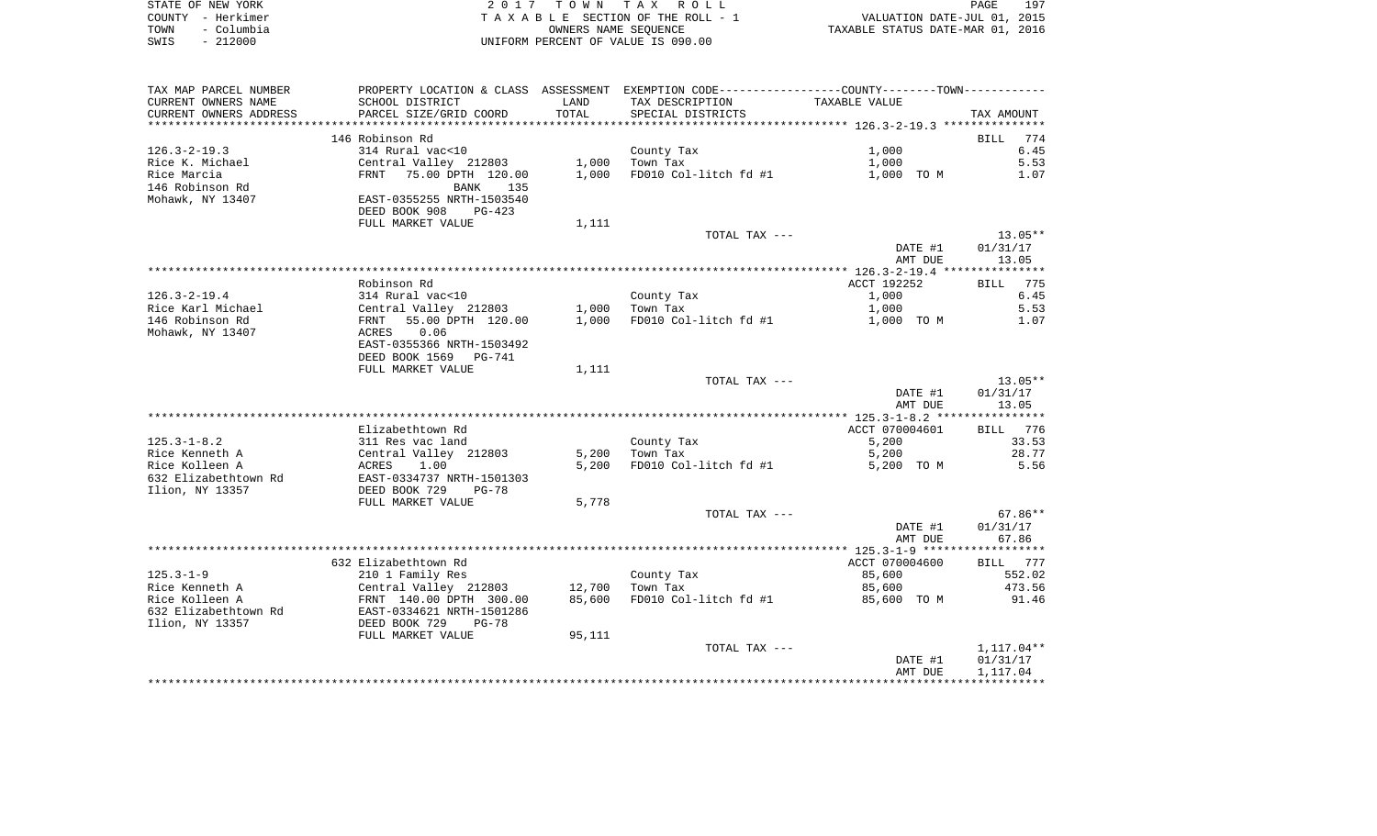|      | STATE OF NEW YORK | 2017 TOWN TAX ROLL                 | PAGE                             | 197 |
|------|-------------------|------------------------------------|----------------------------------|-----|
|      | COUNTY - Herkimer | TAXABLE SECTION OF THE ROLL - 1    | VALUATION DATE-JUL 01, 2015      |     |
| TOWN | - Columbia        | OWNERS NAME SEOUENCE               | TAXABLE STATUS DATE-MAR 01, 2016 |     |
| SWIS | - 212000          | UNIFORM PERCENT OF VALUE IS 090.00 |                                  |     |

| TAX MAP PARCEL NUMBER  |                           |        | PROPERTY LOCATION & CLASS ASSESSMENT EXEMPTION CODE---------------COUNTY-------TOWN--------- |                |                    |
|------------------------|---------------------------|--------|----------------------------------------------------------------------------------------------|----------------|--------------------|
| CURRENT OWNERS NAME    | SCHOOL DISTRICT           | LAND   | TAX DESCRIPTION                                                                              | TAXABLE VALUE  |                    |
| CURRENT OWNERS ADDRESS | PARCEL SIZE/GRID COORD    | TOTAL  | SPECIAL DISTRICTS                                                                            |                | TAX AMOUNT         |
|                        |                           |        |                                                                                              |                |                    |
|                        | 146 Robinson Rd           |        |                                                                                              |                | 774<br><b>BILL</b> |
| $126.3 - 2 - 19.3$     | 314 Rural vac<10          |        | County Tax                                                                                   | 1,000          | 6.45               |
| Rice K. Michael        | Central Valley 212803     | 1,000  | Town Tax                                                                                     | 1,000          | 5.53               |
| Rice Marcia            | 75.00 DPTH 120.00<br>FRNT | 1,000  | FD010 Col-litch fd #1                                                                        | 1,000 TO M     | 1.07               |
| 146 Robinson Rd        | BANK<br>135               |        |                                                                                              |                |                    |
| Mohawk, NY 13407       | EAST-0355255 NRTH-1503540 |        |                                                                                              |                |                    |
|                        | DEED BOOK 908<br>$PG-423$ |        |                                                                                              |                |                    |
|                        | FULL MARKET VALUE         | 1,111  |                                                                                              |                |                    |
|                        |                           |        | TOTAL TAX ---                                                                                |                | $13.05**$          |
|                        |                           |        |                                                                                              | DATE #1        | 01/31/17           |
|                        |                           |        |                                                                                              | AMT DUE        | 13.05              |
|                        |                           |        |                                                                                              |                |                    |
|                        | Robinson Rd               |        |                                                                                              | ACCT 192252    | BILL<br>775        |
| $126.3 - 2 - 19.4$     | 314 Rural vac<10          |        | County Tax                                                                                   | 1,000          | 6.45               |
| Rice Karl Michael      | Central Valley 212803     | 1,000  | Town Tax                                                                                     | 1,000          | 5.53               |
| 146 Robinson Rd        | 55.00 DPTH 120.00<br>FRNT | 1,000  | FD010 Col-litch fd #1                                                                        | 1,000 TO M     | 1.07               |
| Mohawk, NY 13407       | 0.06<br>ACRES             |        |                                                                                              |                |                    |
|                        | EAST-0355366 NRTH-1503492 |        |                                                                                              |                |                    |
|                        | DEED BOOK 1569<br>PG-741  |        |                                                                                              |                |                    |
|                        | FULL MARKET VALUE         | 1,111  |                                                                                              |                |                    |
|                        |                           |        | TOTAL TAX ---                                                                                |                | 13.05**            |
|                        |                           |        |                                                                                              | DATE #1        | 01/31/17           |
|                        |                           |        |                                                                                              | AMT DUE        | 13.05              |
|                        |                           |        |                                                                                              |                |                    |
|                        | Elizabethtown Rd          |        |                                                                                              | ACCT 070004601 | BILL 776           |
| $125.3 - 1 - 8.2$      | 311 Res vac land          |        | County Tax                                                                                   | 5,200          | 33.53              |
| Rice Kenneth A         | Central Valley 212803     | 5,200  | Town Tax                                                                                     | 5,200          | 28.77              |
| Rice Kolleen A         | ACRES<br>1.00             | 5,200  | FD010 Col-litch fd #1                                                                        | 5,200 TO M     | 5.56               |
| 632 Elizabethtown Rd   | EAST-0334737 NRTH-1501303 |        |                                                                                              |                |                    |
| Ilion, NY 13357        | DEED BOOK 729<br>PG-78    |        |                                                                                              |                |                    |
|                        | FULL MARKET VALUE         | 5,778  | TOTAL TAX ---                                                                                |                | $67.86**$          |
|                        |                           |        |                                                                                              | DATE #1        | 01/31/17           |
|                        |                           |        |                                                                                              | AMT DUE        | 67.86              |
|                        |                           |        |                                                                                              |                |                    |
|                        | 632 Elizabethtown Rd      |        |                                                                                              | ACCT 070004600 | BILL 777           |
| $125.3 - 1 - 9$        | 210 1 Family Res          |        | County Tax                                                                                   | 85,600         | 552.02             |
| Rice Kenneth A         | Central Valley 212803     | 12,700 | Town Tax                                                                                     | 85,600         | 473.56             |
| Rice Kolleen A         | FRNT 140.00 DPTH 300.00   | 85,600 | FD010 Col-litch fd #1                                                                        | 85,600 TO M    | 91.46              |
| 632 Elizabethtown Rd   | EAST-0334621 NRTH-1501286 |        |                                                                                              |                |                    |
| Ilion, NY 13357        | DEED BOOK 729<br>$PG-78$  |        |                                                                                              |                |                    |
|                        | FULL MARKET VALUE         | 95,111 |                                                                                              |                |                    |
|                        |                           |        | TOTAL TAX ---                                                                                |                | 1,117.04**         |
|                        |                           |        |                                                                                              | DATE #1        | 01/31/17           |
|                        |                           |        |                                                                                              | AMT DUE        | 1,117.04           |
|                        |                           |        |                                                                                              |                |                    |
|                        |                           |        |                                                                                              |                |                    |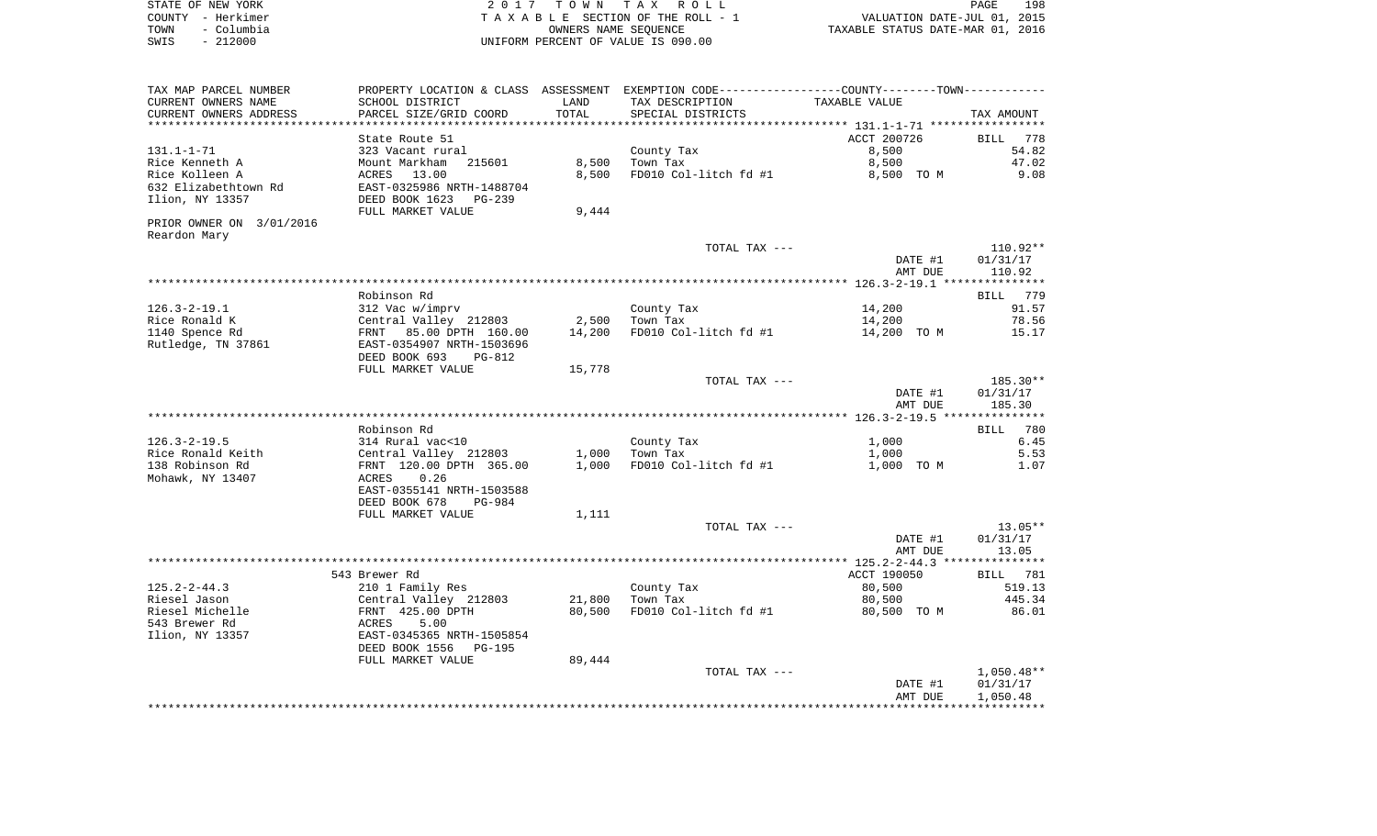| STATE OF NEW YORK |                   | 2017 TOWN TAX ROLL                 | 198<br>PAGE                      |
|-------------------|-------------------|------------------------------------|----------------------------------|
|                   | COUNTY - Herkimer | TAXABLE SECTION OF THE ROLL - 1    | VALUATION DATE-JUL 01, 2015      |
| TOWN              | - Columbia        | OWNERS NAME SEOUENCE               | TAXABLE STATUS DATE-MAR 01, 2016 |
| SWIS              | - 212000          | UNIFORM PERCENT OF VALUE IS 090.00 |                                  |

| TAX MAP PARCEL NUMBER    | PROPERTY LOCATION & CLASS ASSESSMENT EXEMPTION CODE---------------COUNTY-------TOWN---------- |        |                                   |                       |                           |
|--------------------------|-----------------------------------------------------------------------------------------------|--------|-----------------------------------|-----------------------|---------------------------|
| CURRENT OWNERS NAME      | SCHOOL DISTRICT                                                                               | LAND   | TAX DESCRIPTION                   | TAXABLE VALUE         |                           |
| CURRENT OWNERS ADDRESS   | PARCEL SIZE/GRID COORD                                                                        | TOTAL  | SPECIAL DISTRICTS                 |                       | TAX AMOUNT                |
| **********************   | ****************************                                                                  |        |                                   |                       |                           |
|                          | State Route 51                                                                                |        |                                   | ACCT 200726           | BILL<br>778               |
| 131.1-1-71               | 323 Vacant rural                                                                              |        | County Tax                        | 8,500                 | 54.82                     |
| Rice Kenneth A           | Mount Markham<br>215601                                                                       | 8,500  | Town Tax                          | 8,500                 | 47.02                     |
| Rice Kolleen A           | ACRES 13.00                                                                                   | 8,500  | FD010 Col-litch fd #1             | 8,500 TO M            | 9.08                      |
| 632 Elizabethtown Rd     | EAST-0325986 NRTH-1488704                                                                     |        |                                   |                       |                           |
| Ilion, NY 13357          | DEED BOOK 1623 PG-239                                                                         |        |                                   |                       |                           |
|                          | FULL MARKET VALUE                                                                             | 9,444  |                                   |                       |                           |
| PRIOR OWNER ON 3/01/2016 |                                                                                               |        |                                   |                       |                           |
| Reardon Mary             |                                                                                               |        |                                   |                       |                           |
|                          |                                                                                               |        | TOTAL TAX ---                     |                       | $110.92**$                |
|                          |                                                                                               |        |                                   | DATE #1               | 01/31/17                  |
|                          |                                                                                               |        |                                   | AMT DUE               | 110.92                    |
|                          |                                                                                               |        |                                   |                       |                           |
|                          | Robinson Rd                                                                                   |        |                                   |                       | BILL 779                  |
| 126.3-2-19.1             | 312 Vac w/imprv                                                                               |        | County Tax                        | 14,200                | 91.57                     |
| Rice Ronald K            | Central Valley 212803<br>FRNT 85.00 DPTH 160.00                                               |        | 2,500 Town Tax                    | 14,200                | 78.56                     |
| 1140 Spence Rd           |                                                                                               | 14,200 | FD010 Col-litch fd #1             | 14,200 TO M           | 15.17                     |
| Rutledge, TN 37861       | EAST-0354907 NRTH-1503696                                                                     |        |                                   |                       |                           |
|                          | DEED BOOK 693<br>PG-812                                                                       |        |                                   |                       |                           |
|                          | FULL MARKET VALUE                                                                             | 15,778 |                                   |                       |                           |
|                          |                                                                                               |        | TOTAL TAX ---                     |                       | 185.30**                  |
|                          |                                                                                               |        |                                   | DATE #1               | 01/31/17                  |
|                          |                                                                                               |        |                                   | AMT DUE               | 185.30                    |
|                          |                                                                                               |        |                                   |                       |                           |
|                          | Robinson Rd                                                                                   |        |                                   |                       | BILL 780                  |
| 126.3-2-19.5             | 314 Rural vac<10                                                                              |        | County Tax                        | 1,000                 | 6.45                      |
| Rice Ronald Keith        | Central Valley 212803<br>FRNT 120.00 DPTH 365.00                                              | 1,000  | Town Tax                          | 1,000                 | 5.53                      |
| 138 Robinson Rd          |                                                                                               | 1,000  | FD010 Col-litch fd #1             | 1,000 TO M            | 1.07                      |
| Mohawk, NY 13407         | ACRES<br>0.26                                                                                 |        |                                   |                       |                           |
|                          | EAST-0355141 NRTH-1503588                                                                     |        |                                   |                       |                           |
|                          | DEED BOOK 678<br>PG-984                                                                       |        |                                   |                       |                           |
|                          | FULL MARKET VALUE                                                                             | 1,111  |                                   |                       |                           |
|                          |                                                                                               |        | TOTAL TAX ---                     |                       | 13.05**                   |
|                          |                                                                                               |        |                                   | DATE #1               | 01/31/17                  |
|                          |                                                                                               |        |                                   | AMT DUE               | 13.05                     |
|                          |                                                                                               |        |                                   |                       |                           |
| $125.2 - 2 - 44.3$       | 543 Brewer Rd                                                                                 |        |                                   | ACCT 190050<br>80,500 | <b>BILL</b> 781<br>519.13 |
| Riesel Jason             | 210 1 Family Res                                                                              | 21,800 | County Tax                        | 80,500                | 445.34                    |
| Riesel Michelle          | Central Valley 212803<br>FRNT 425.00 DPTH<br>ACRES 5.00                                       | 80,500 | Town Tax<br>FD010 Col-litch fd #1 |                       |                           |
| 543 Brewer Rd            |                                                                                               |        |                                   | 80,500 TO M           | 86.01                     |
| Ilion, NY 13357          | EAST-0345365 NRTH-1505854                                                                     |        |                                   |                       |                           |
|                          | DEED BOOK 1556 PG-195                                                                         |        |                                   |                       |                           |
|                          |                                                                                               |        |                                   |                       |                           |
|                          | FULL MARKET VALUE                                                                             | 89,444 | TOTAL TAX ---                     |                       | $1,050.48**$              |
|                          |                                                                                               |        |                                   | DATE #1               |                           |
|                          |                                                                                               |        |                                   | AMT DUE               | 01/31/17<br>1,050.48      |
|                          |                                                                                               |        |                                   |                       |                           |
|                          |                                                                                               |        |                                   |                       |                           |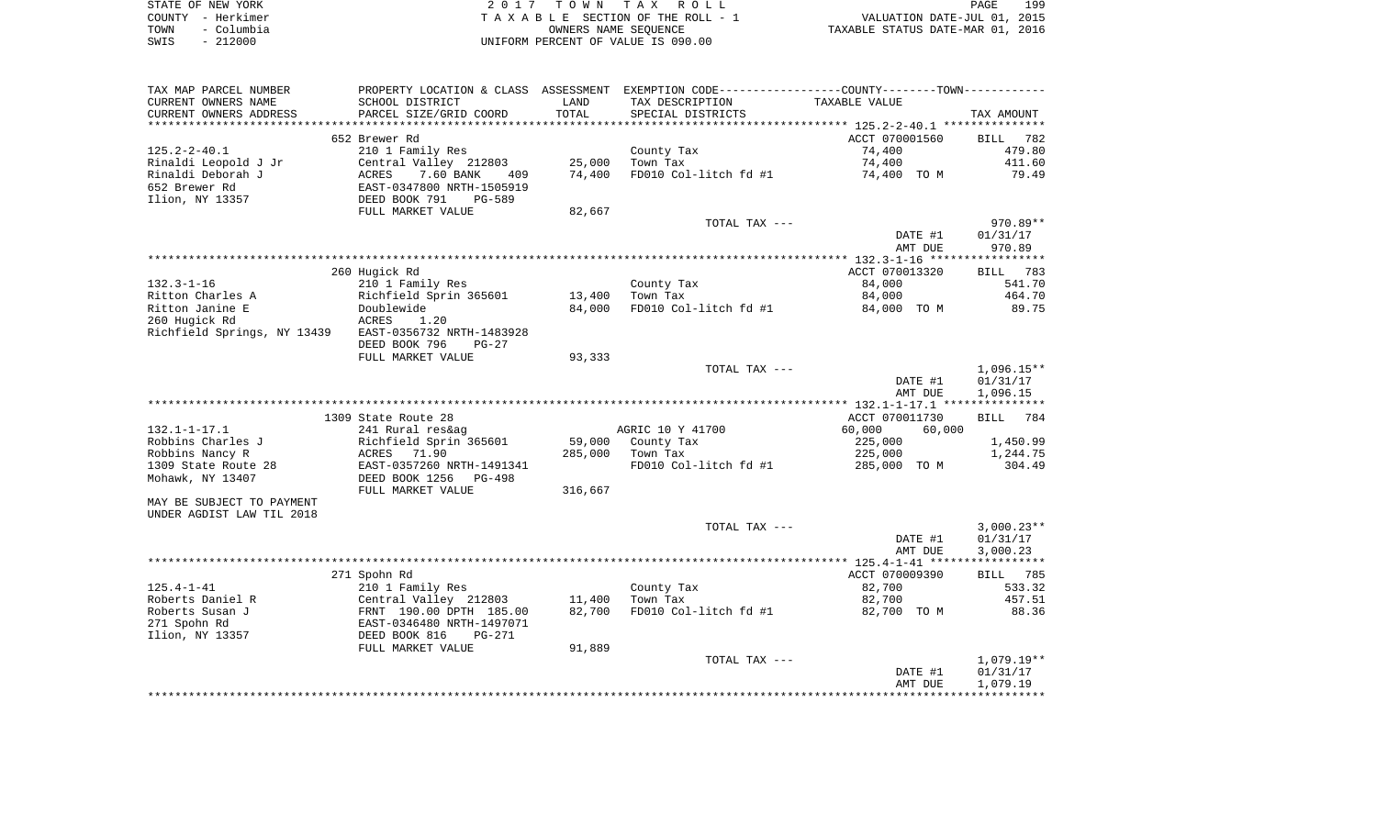| STATE OF NEW YORK |                   | 2017 TOWN TAX ROLL                 | 199<br><b>PAGE</b>               |
|-------------------|-------------------|------------------------------------|----------------------------------|
|                   | COUNTY - Herkimer | TAXABLE SECTION OF THE ROLL - 1    | VALUATION DATE-JUL 01, 2015      |
| TOWN              | - Columbia        | OWNERS NAME SEOUENCE               | TAXABLE STATUS DATE-MAR 01, 2016 |
| SWIS              | $-212000$         | UNIFORM PERCENT OF VALUE IS 090.00 |                                  |

| TAX MAP PARCEL NUMBER       |                               |         | PROPERTY LOCATION & CLASS ASSESSMENT EXEMPTION CODE----------------COUNTY--------TOWN----------- |                    |                    |
|-----------------------------|-------------------------------|---------|--------------------------------------------------------------------------------------------------|--------------------|--------------------|
| CURRENT OWNERS NAME         | SCHOOL DISTRICT               | LAND    | TAX DESCRIPTION                                                                                  | TAXABLE VALUE      |                    |
| CURRENT OWNERS ADDRESS      | PARCEL SIZE/GRID COORD        | TOTAL   | SPECIAL DISTRICTS                                                                                |                    | TAX AMOUNT         |
| **********************      | ***************************** |         |                                                                                                  |                    |                    |
|                             | 652 Brewer Rd                 |         |                                                                                                  | ACCT 070001560     | 782<br><b>BILL</b> |
| $125.2 - 2 - 40.1$          | 210 1 Family Res              |         | County Tax                                                                                       | 74,400             | 479.80             |
| Rinaldi Leopold J Jr        | Central Valley 212803         | 25,000  | Town Tax                                                                                         | 74,400             | 411.60             |
| Rinaldi Deborah J           | 7.60 BANK<br>ACRES<br>409     | 74,400  | FD010 Col-litch fd #1                                                                            | 74,400 TO M        | 79.49              |
| 652 Brewer Rd               | EAST-0347800 NRTH-1505919     |         |                                                                                                  |                    |                    |
| Ilion, NY 13357             | DEED BOOK 791<br>PG-589       |         |                                                                                                  |                    |                    |
|                             | FULL MARKET VALUE             | 82,667  |                                                                                                  |                    |                    |
|                             |                               |         | TOTAL TAX ---                                                                                    |                    | 970.89**           |
|                             |                               |         |                                                                                                  | DATE #1            | 01/31/17           |
|                             |                               |         |                                                                                                  | AMT DUE            | 970.89             |
|                             |                               |         |                                                                                                  |                    |                    |
|                             | 260 Hugick Rd                 |         |                                                                                                  | ACCT 070013320     | 783<br><b>BILL</b> |
| $132.3 - 1 - 16$            | 210 1 Family Res              |         | County Tax                                                                                       | 84,000             | 541.70             |
| Ritton Charles A            | Richfield Sprin 365601        | 13,400  | Town Tax                                                                                         | 84,000             | 464.70             |
| Ritton Janine E             | Doublewide                    | 84,000  | FD010 Col-litch fd #1                                                                            | 84,000 TO M        | 89.75              |
| 260 Hugick Rd               | ACRES<br>1.20                 |         |                                                                                                  |                    |                    |
| Richfield Springs, NY 13439 | EAST-0356732 NRTH-1483928     |         |                                                                                                  |                    |                    |
|                             | DEED BOOK 796<br>$PG-27$      |         |                                                                                                  |                    |                    |
|                             | FULL MARKET VALUE             | 93,333  |                                                                                                  |                    |                    |
|                             |                               |         | TOTAL TAX ---                                                                                    |                    | $1,096.15**$       |
|                             |                               |         |                                                                                                  | DATE #1<br>AMT DUE | 01/31/17           |
|                             |                               |         |                                                                                                  |                    | 1,096.15           |
|                             | 1309 State Route 28           |         |                                                                                                  | ACCT 070011730     | <b>BILL</b><br>784 |
| $132.1 - 1 - 17.1$          | 241 Rural res&ag              |         | AGRIC 10 Y 41700                                                                                 | 60,000<br>60,000   |                    |
| Robbins Charles J           | Richfield Sprin 365601        | 59,000  | County Tax                                                                                       | 225,000            | 1,450.99           |
| Robbins Nancy R             | 71.90<br><b>ACRES</b>         | 285,000 | Town Tax                                                                                         | 225,000            | 1,244.75           |
| 1309 State Route 28         | EAST-0357260 NRTH-1491341     |         | FD010 Col-litch fd #1                                                                            | 285,000 TO M       | 304.49             |
| Mohawk, NY 13407            | DEED BOOK 1256<br>PG-498      |         |                                                                                                  |                    |                    |
|                             | FULL MARKET VALUE             | 316,667 |                                                                                                  |                    |                    |
| MAY BE SUBJECT TO PAYMENT   |                               |         |                                                                                                  |                    |                    |
| UNDER AGDIST LAW TIL 2018   |                               |         |                                                                                                  |                    |                    |
|                             |                               |         | TOTAL TAX ---                                                                                    |                    | $3,000.23**$       |
|                             |                               |         |                                                                                                  | DATE #1            | 01/31/17           |
|                             |                               |         |                                                                                                  | AMT DUE            | 3,000.23           |
|                             |                               |         |                                                                                                  |                    |                    |
|                             | 271 Spohn Rd                  |         |                                                                                                  | ACCT 070009390     | 785<br>BILL        |
| $125.4 - 1 - 41$            | 210 1 Family Res              |         | County Tax                                                                                       | 82,700             | 533.32             |
| Roberts Daniel R            | Central Valley 212803         | 11,400  | Town Tax                                                                                         | 82,700             | 457.51             |
| Roberts Susan J             | FRNT 190.00 DPTH 185.00       | 82,700  | FD010 Col-litch fd #1                                                                            | 82,700 TO M        | 88.36              |
| 271 Spohn Rd                | EAST-0346480 NRTH-1497071     |         |                                                                                                  |                    |                    |
| Ilion, NY 13357             | DEED BOOK 816<br>$PG-271$     |         |                                                                                                  |                    |                    |
|                             | FULL MARKET VALUE             | 91,889  |                                                                                                  |                    |                    |
|                             |                               |         | TOTAL TAX ---                                                                                    |                    | $1,079.19**$       |
|                             |                               |         |                                                                                                  | DATE #1            | 01/31/17           |
|                             |                               |         |                                                                                                  | AMT DUE            | 1,079.19           |
|                             |                               |         |                                                                                                  |                    |                    |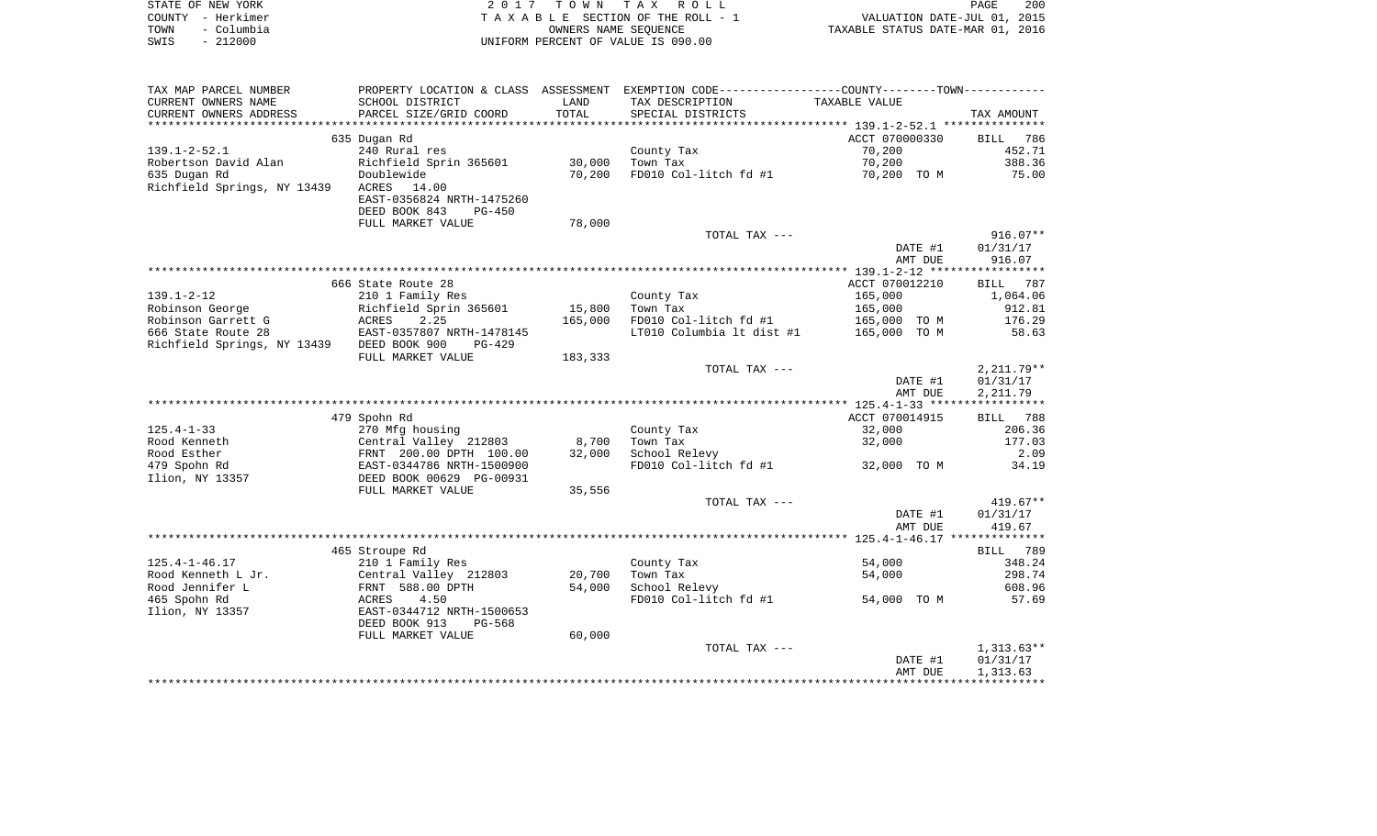| STATE OF NEW YORK |                   | 2017 TOWN TAX ROLL                 | PAGE                             | 200 |
|-------------------|-------------------|------------------------------------|----------------------------------|-----|
|                   | COUNTY - Herkimer | TAXABLE SECTION OF THE ROLL - 1    | VALUATION DATE-JUL 01, 2015      |     |
| TOWN              | – Columbia        | OWNERS NAME SEOUENCE               | TAXABLE STATUS DATE-MAR 01, 2016 |     |
| SWIS              | $-212000$         | UNIFORM PERCENT OF VALUE IS 090.00 |                                  |     |

| TAX MAP PARCEL NUMBER       |                                |         | PROPERTY LOCATION & CLASS ASSESSMENT EXEMPTION CODE---------------COUNTY-------TOWN---------- |                |                    |
|-----------------------------|--------------------------------|---------|-----------------------------------------------------------------------------------------------|----------------|--------------------|
| CURRENT OWNERS NAME         | SCHOOL DISTRICT                | LAND    | TAX DESCRIPTION                                                                               | TAXABLE VALUE  |                    |
| CURRENT OWNERS ADDRESS      | PARCEL SIZE/GRID COORD         | TOTAL   | SPECIAL DISTRICTS                                                                             |                | TAX AMOUNT         |
| ***********************     |                                |         |                                                                                               |                |                    |
|                             | 635 Dugan Rd                   |         |                                                                                               | ACCT 070000330 | 786<br><b>BILL</b> |
| $139.1 - 2 - 52.1$          | 240 Rural res                  |         | County Tax                                                                                    | 70,200         | 452.71             |
| Robertson David Alan        | Richfield Sprin 365601         | 30,000  | Town Tax                                                                                      | 70,200         | 388.36             |
| 635 Dugan Rd                | Doublewide                     | 70,200  | FD010 Col-litch fd #1                                                                         | 70,200 TO M    | 75.00              |
| Richfield Springs, NY 13439 | ACRES<br>14.00                 |         |                                                                                               |                |                    |
|                             | EAST-0356824 NRTH-1475260      |         |                                                                                               |                |                    |
|                             | DEED BOOK 843<br>$PG-450$      |         |                                                                                               |                |                    |
|                             | FULL MARKET VALUE              | 78,000  |                                                                                               |                |                    |
|                             |                                |         | TOTAL TAX ---                                                                                 |                | $916.07**$         |
|                             |                                |         |                                                                                               | DATE #1        | 01/31/17           |
|                             |                                |         |                                                                                               | AMT DUE        | 916.07             |
|                             |                                |         |                                                                                               |                |                    |
|                             | 666 State Route 28             |         |                                                                                               | ACCT 070012210 | BILL 787           |
| $139.1 - 2 - 12$            | 210 1 Family Res               |         | County Tax                                                                                    | 165,000        | 1,064.06           |
| Robinson George             | Richfield Sprin 365601         | 15,800  | Town Tax                                                                                      | 165,000        | 912.81             |
| Robinson Garrett G          | ACRES<br>2.25                  | 165,000 | FD010 Col-litch fd #1                                                                         | 165,000 TO M   | 176.29             |
| 666 State Route 28          | EAST-0357807 NRTH-1478145      |         | LT010 Columbia 1t dist #1                                                                     | 165,000 TO M   | 58.63              |
| Richfield Springs, NY 13439 | DEED BOOK 900<br>$PG-429$      |         |                                                                                               |                |                    |
|                             | FULL MARKET VALUE              | 183,333 |                                                                                               |                |                    |
|                             |                                |         | TOTAL TAX ---                                                                                 |                | $2,211.79**$       |
|                             |                                |         |                                                                                               | DATE #1        | 01/31/17           |
|                             |                                |         |                                                                                               | AMT DUE        | 2,211.79           |
|                             |                                |         |                                                                                               |                |                    |
|                             | 479 Spohn Rd                   |         |                                                                                               | ACCT 070014915 | BILL 788           |
| $125.4 - 1 - 33$            | 270 Mfg housing                |         | County Tax                                                                                    | 32,000         | 206.36             |
| Rood Kenneth                | Central Valley 212803          | 8,700   | Town Tax                                                                                      | 32,000         | 177.03             |
| Rood Esther                 | FRNT 200.00 DPTH 100.00        | 32,000  | School Relevy                                                                                 |                | 2.09               |
| 479 Spohn Rd                | EAST-0344786 NRTH-1500900      |         | FD010 Col-litch fd #1                                                                         | 32,000 TO M    | 34.19              |
| Ilion, NY 13357             | DEED BOOK 00629 PG-00931       |         |                                                                                               |                |                    |
|                             | FULL MARKET VALUE              | 35,556  |                                                                                               |                |                    |
|                             |                                |         | TOTAL TAX ---                                                                                 |                | $419.67**$         |
|                             |                                |         |                                                                                               | DATE #1        | 01/31/17           |
|                             |                                |         |                                                                                               | AMT DUE        | 419.67             |
|                             | 465 Stroupe Rd                 |         |                                                                                               |                | BILL 789           |
| $125.4 - 1 - 46.17$         | 210 1 Family Res               |         |                                                                                               | 54,000         | 348.24             |
| Rood Kenneth L Jr.          | Central Valley 212803          | 20,700  | County Tax<br>Town Tax                                                                        | 54,000         | 298.74             |
| Rood Jennifer L             | FRNT 588.00 DPTH               | 54,000  | School Relevy                                                                                 |                | 608.96             |
| 465 Spohn Rd                | 4.50<br>ACRES                  |         | FD010 Col-litch fd #1                                                                         | 54,000 TO M    | 57.69              |
| Ilion, NY 13357             | EAST-0344712 NRTH-1500653      |         |                                                                                               |                |                    |
|                             | DEED BOOK 913<br><b>PG-568</b> |         |                                                                                               |                |                    |
|                             | FULL MARKET VALUE              | 60,000  |                                                                                               |                |                    |
|                             |                                |         | TOTAL TAX ---                                                                                 |                | $1,313.63**$       |
|                             |                                |         |                                                                                               | DATE #1        | 01/31/17           |
|                             |                                |         |                                                                                               | AMT DUE        | 1,313.63           |
|                             |                                |         |                                                                                               |                |                    |
|                             |                                |         |                                                                                               |                |                    |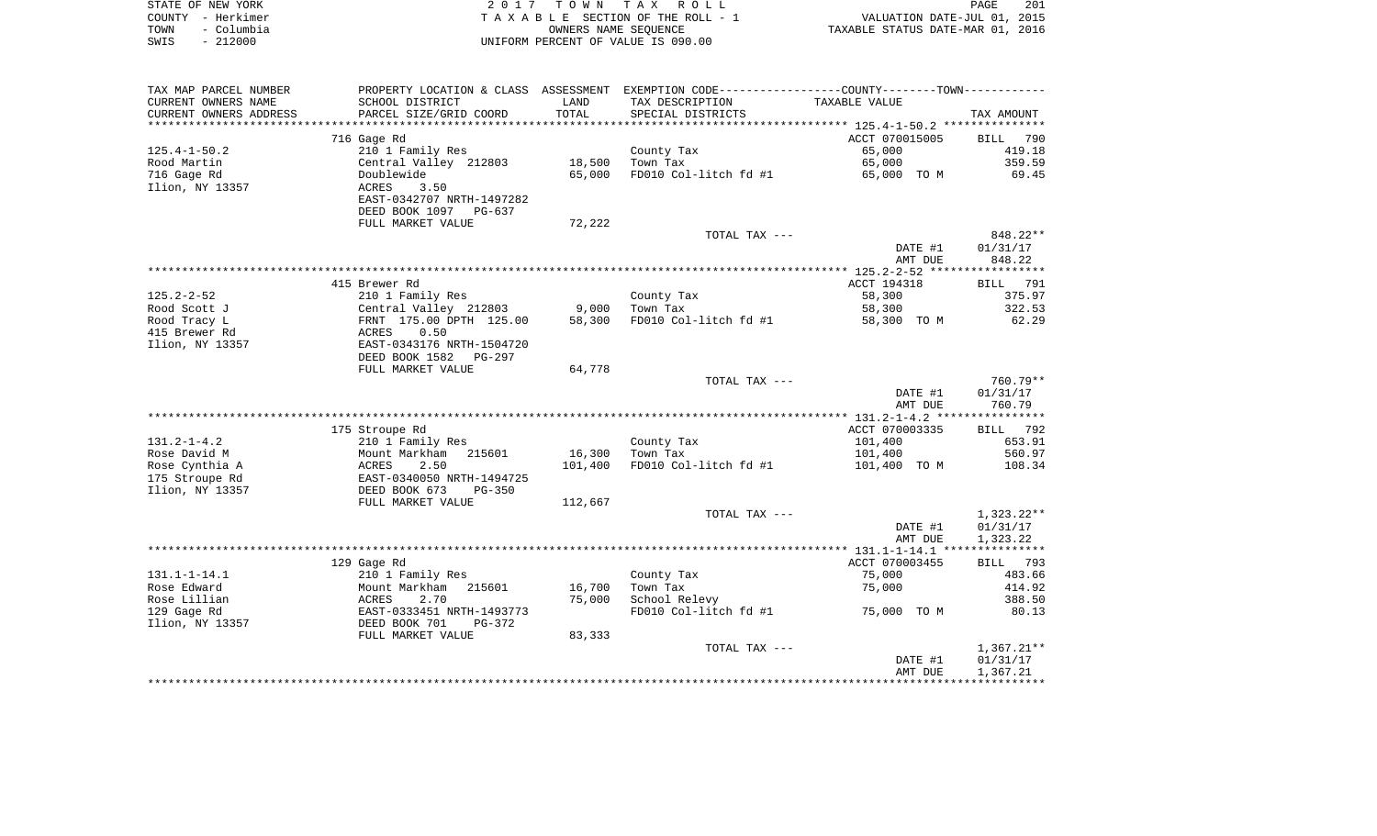| STATE OF NEW YORK  | 2017 TOWN TAX ROLL                 | 201<br>PAGE                      |
|--------------------|------------------------------------|----------------------------------|
| COUNTY – Herkimer  | TAXABLE SECTION OF THE ROLL - 1    | VALUATION DATE-JUL 01, 2015      |
| - Columbia<br>TOWN | OWNERS NAME SEOUENCE               | TAXABLE STATUS DATE-MAR 01, 2016 |
| $-212000$<br>SWIS  | UNIFORM PERCENT OF VALUE IS 090.00 |                                  |

| TAX MAP PARCEL NUMBER  | PROPERTY LOCATION & CLASS ASSESSMENT EXEMPTION CODE---------------COUNTY-------TOWN---------- |         |                       |                |              |
|------------------------|-----------------------------------------------------------------------------------------------|---------|-----------------------|----------------|--------------|
| CURRENT OWNERS NAME    | SCHOOL DISTRICT                                                                               | LAND    | TAX DESCRIPTION       | TAXABLE VALUE  |              |
| CURRENT OWNERS ADDRESS | PARCEL SIZE/GRID COORD                                                                        | TOTAL   | SPECIAL DISTRICTS     |                | TAX AMOUNT   |
| ********************** |                                                                                               |         |                       |                |              |
|                        | 716 Gage Rd                                                                                   |         |                       | ACCT 070015005 | BILL<br>790  |
| $125.4 - 1 - 50.2$     | 210 1 Family Res                                                                              |         | County Tax            | 65,000         | 419.18       |
| Rood Martin            | Central Valley 212803                                                                         | 18,500  | Town Tax              | 65,000         | 359.59       |
| 716 Gage Rd            | Doublewide                                                                                    | 65,000  | FD010 Col-litch fd #1 | 65,000 TO M    | 69.45        |
| Ilion, NY 13357        | 3.50<br>ACRES                                                                                 |         |                       |                |              |
|                        | EAST-0342707 NRTH-1497282                                                                     |         |                       |                |              |
|                        | DEED BOOK 1097<br>PG-637                                                                      |         |                       |                |              |
|                        | FULL MARKET VALUE                                                                             | 72,222  |                       |                |              |
|                        |                                                                                               |         | TOTAL TAX ---         |                | 848.22**     |
|                        |                                                                                               |         |                       | DATE #1        | 01/31/17     |
|                        |                                                                                               |         |                       | AMT DUE        | 848.22       |
|                        |                                                                                               |         |                       |                |              |
|                        | 415 Brewer Rd                                                                                 |         |                       | ACCT 194318    | BILL<br>791  |
| $125.2 - 2 - 52$       | 210 1 Family Res                                                                              |         | County Tax            | 58,300         | 375.97       |
| Rood Scott J           | Central Valley 212803                                                                         | 9,000   | Town Tax              | 58,300         | 322.53       |
| Rood Tracy L           | FRNT 175.00 DPTH 125.00                                                                       | 58,300  | FD010 Col-litch fd #1 | 58,300 TO M    | 62.29        |
| 415 Brewer Rd          | 0.50<br>ACRES                                                                                 |         |                       |                |              |
| Ilion, NY 13357        | EAST-0343176 NRTH-1504720                                                                     |         |                       |                |              |
|                        | DEED BOOK 1582<br>PG-297                                                                      |         |                       |                |              |
|                        | FULL MARKET VALUE                                                                             | 64,778  |                       |                |              |
|                        |                                                                                               |         | TOTAL TAX ---         |                | 760.79**     |
|                        |                                                                                               |         |                       | DATE #1        | 01/31/17     |
|                        |                                                                                               |         |                       | AMT DUE        | 760.79       |
|                        |                                                                                               |         |                       |                |              |
|                        | 175 Stroupe Rd                                                                                |         |                       | ACCT 070003335 | BILL 792     |
| $131.2 - 1 - 4.2$      | 210 1 Family Res                                                                              |         | County Tax            | 101,400        | 653.91       |
| Rose David M           | Mount Markham<br>215601                                                                       | 16,300  | Town Tax              | 101,400        | 560.97       |
| Rose Cynthia A         | ACRES<br>2.50                                                                                 | 101,400 | FD010 Col-litch fd #1 | 101,400 TO M   | 108.34       |
| 175 Stroupe Rd         | EAST-0340050 NRTH-1494725                                                                     |         |                       |                |              |
| Ilion, NY 13357        | DEED BOOK 673<br>$PG-350$                                                                     |         |                       |                |              |
|                        | FULL MARKET VALUE                                                                             | 112,667 |                       |                |              |
|                        |                                                                                               |         | TOTAL TAX ---         |                | 1,323.22**   |
|                        |                                                                                               |         |                       | DATE #1        | 01/31/17     |
|                        |                                                                                               |         |                       | AMT DUE        | 1,323.22     |
|                        |                                                                                               |         |                       |                |              |
|                        | 129 Gage Rd                                                                                   |         |                       | ACCT 070003455 | BILL 793     |
| $131.1 - 1 - 14.1$     | 210 1 Family Res                                                                              |         | County Tax            | 75,000         | 483.66       |
| Rose Edward            | Mount Markham<br>215601                                                                       | 16,700  | Town Tax              | 75,000         | 414.92       |
| Rose Lillian           | ACRES<br>2.70                                                                                 | 75,000  | School Relevy         |                | 388.50       |
| 129 Gage Rd            | EAST-0333451 NRTH-1493773                                                                     |         | FD010 Col-litch fd #1 | 75,000 TO M    | 80.13        |
| Ilion, NY 13357        | DEED BOOK 701<br>PG-372                                                                       |         |                       |                |              |
|                        | FULL MARKET VALUE                                                                             | 83,333  |                       |                |              |
|                        |                                                                                               |         | TOTAL TAX ---         |                | $1,367.21**$ |
|                        |                                                                                               |         |                       | DATE #1        | 01/31/17     |
|                        |                                                                                               |         |                       | AMT DUE        | 1,367.21     |
|                        |                                                                                               |         |                       |                |              |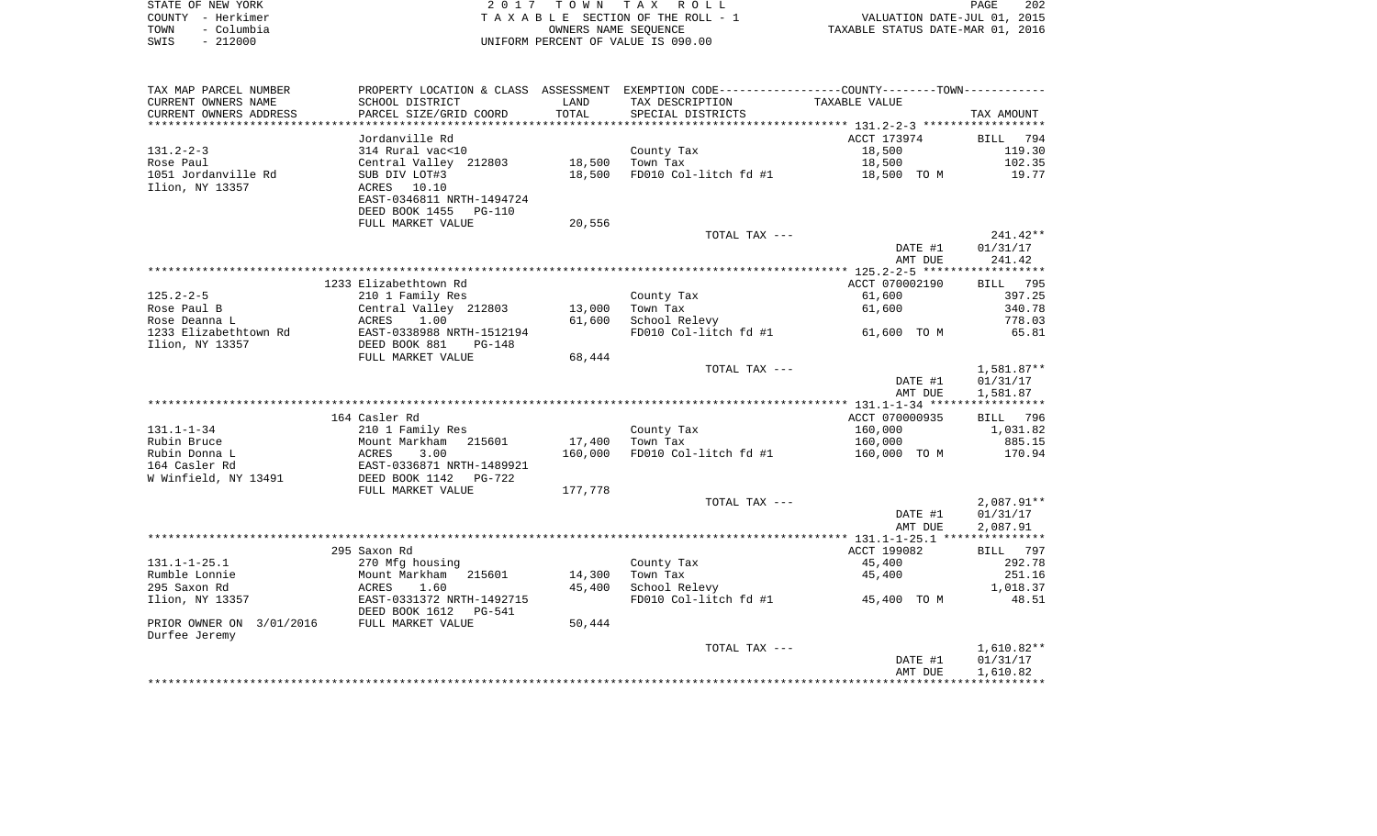|      | STATE OF NEW YORK | 2017 TOWN TAX ROLL                 | 202<br>PAGE                      |
|------|-------------------|------------------------------------|----------------------------------|
|      | COUNTY - Herkimer | TAXABLE SECTION OF THE ROLL - 1    | VALUATION DATE-JUL 01, 2015      |
| TOWN | – Columbia        | OWNERS NAME SEOUENCE               | TAXABLE STATUS DATE-MAR 01, 2016 |
| SWIS | $-212000$         | UNIFORM PERCENT OF VALUE IS 090.00 |                                  |

| TAX MAP PARCEL NUMBER                  |                                                       |                | PROPERTY LOCATION & CLASS ASSESSMENT EXEMPTION CODE---------------COUNTY-------TOWN---------- |                |                  |
|----------------------------------------|-------------------------------------------------------|----------------|-----------------------------------------------------------------------------------------------|----------------|------------------|
| CURRENT OWNERS NAME                    | SCHOOL DISTRICT                                       | LAND           | TAX DESCRIPTION                                                                               | TAXABLE VALUE  |                  |
| CURRENT OWNERS ADDRESS                 | PARCEL SIZE/GRID COORD                                | TOTAL          | SPECIAL DISTRICTS                                                                             |                | TAX AMOUNT       |
|                                        |                                                       | ************** |                                                                                               |                |                  |
|                                        | Jordanville Rd                                        |                |                                                                                               | ACCT 173974    | BILL 794         |
| $131.2 - 2 - 3$                        | 314 Rural vac<10                                      |                | County Tax                                                                                    | 18,500         | 119.30           |
| Rose Paul                              | Central Valley 212803                                 | 18,500         | Town Tax                                                                                      | 18,500         | 102.35           |
| 1051 Jordanville Rd                    | SUB DIV LOT#3                                         | 18,500         | FD010 Col-litch fd #1                                                                         | 18,500 TO M    | 19.77            |
| Ilion, NY 13357                        | ACRES 10.10                                           |                |                                                                                               |                |                  |
|                                        | EAST-0346811 NRTH-1494724                             |                |                                                                                               |                |                  |
|                                        | DEED BOOK 1455<br><b>PG-110</b>                       |                |                                                                                               |                |                  |
|                                        | FULL MARKET VALUE                                     | 20,556         |                                                                                               |                |                  |
|                                        |                                                       |                | TOTAL TAX ---                                                                                 |                | 241.42**         |
|                                        |                                                       |                |                                                                                               | DATE #1        | 01/31/17         |
|                                        |                                                       |                |                                                                                               | AMT DUE        | 241.42           |
|                                        | 1233 Elizabethtown Rd                                 |                |                                                                                               |                | 795              |
|                                        |                                                       |                |                                                                                               | ACCT 070002190 | BILL             |
| $125.2 - 2 - 5$                        | 210 1 Family Res                                      |                | County Tax                                                                                    | 61,600         | 397.25           |
| Rose Paul B                            | Central Valley 212803<br>ACRES                        | 13,000         | Town Tax                                                                                      | 61,600         | 340.78<br>778.03 |
| Rose Deanna L<br>1233 Elizabethtown Rd | 1.00<br>EAST-0338988 NRTH-1512194                     | 61,600         | School Relevy<br>FD010 Col-litch fd #1                                                        | 61,600 TO M    | 65.81            |
| Ilion, NY 13357                        | DEED BOOK 881<br><b>PG-148</b>                        |                |                                                                                               |                |                  |
|                                        | FULL MARKET VALUE                                     | 68,444         |                                                                                               |                |                  |
|                                        |                                                       |                | TOTAL TAX ---                                                                                 |                | $1,581.87**$     |
|                                        |                                                       |                |                                                                                               | DATE #1        | 01/31/17         |
|                                        |                                                       |                |                                                                                               | AMT DUE        | 1,581.87         |
|                                        |                                                       |                |                                                                                               |                |                  |
|                                        | 164 Casler Rd                                         |                |                                                                                               | ACCT 070000935 | BILL 796         |
| $131.1 - 1 - 34$                       | 210 1 Family Res                                      |                | County Tax                                                                                    | 160,000        | 1,031.82         |
| Rubin Bruce                            | Mount Markham<br>215601                               | 17,400         | Town Tax                                                                                      | 160,000        | 885.15           |
| Rubin Donna L                          | 3.00<br>ACRES                                         | 160,000        | FD010 Col-litch fd #1                                                                         | 160,000 TO M   | 170.94           |
| 164 Casler Rd                          | EAST-0336871 NRTH-1489921                             |                |                                                                                               |                |                  |
| W Winfield, NY 13491                   | DEED BOOK 1142<br>$PG-722$                            |                |                                                                                               |                |                  |
|                                        | FULL MARKET VALUE                                     | 177,778        |                                                                                               |                |                  |
|                                        |                                                       |                | TOTAL TAX ---                                                                                 |                | 2,087.91**       |
|                                        |                                                       |                |                                                                                               | DATE #1        | 01/31/17         |
|                                        |                                                       |                |                                                                                               | AMT DUE        | 2,087.91         |
|                                        |                                                       |                |                                                                                               |                |                  |
|                                        | 295 Saxon Rd                                          |                |                                                                                               | ACCT 199082    | BILL 797         |
| $131.1 - 1 - 25.1$                     | 270 Mfg housing                                       |                | County Tax                                                                                    | 45,400         | 292.78           |
| Rumble Lonnie                          | Mount Markham<br>215601                               | 14,300         | Town Tax                                                                                      | 45,400         | 251.16           |
| 295 Saxon Rd                           | ACRES<br>1.60                                         | 45,400         | School Relevy                                                                                 |                | 1,018.37         |
| Ilion, NY 13357                        | EAST-0331372 NRTH-1492715<br>DEED BOOK 1612<br>PG-541 |                | FD010 Col-litch fd #1                                                                         | 45,400 TO M    | 48.51            |
| PRIOR OWNER ON 3/01/2016               | FULL MARKET VALUE                                     | 50,444         |                                                                                               |                |                  |
| Durfee Jeremy                          |                                                       |                |                                                                                               |                |                  |
|                                        |                                                       |                | TOTAL TAX ---                                                                                 |                | $1,610.82**$     |
|                                        |                                                       |                |                                                                                               | DATE #1        | 01/31/17         |
|                                        |                                                       |                |                                                                                               | AMT DUE        | 1,610.82         |
|                                        |                                                       |                |                                                                                               |                |                  |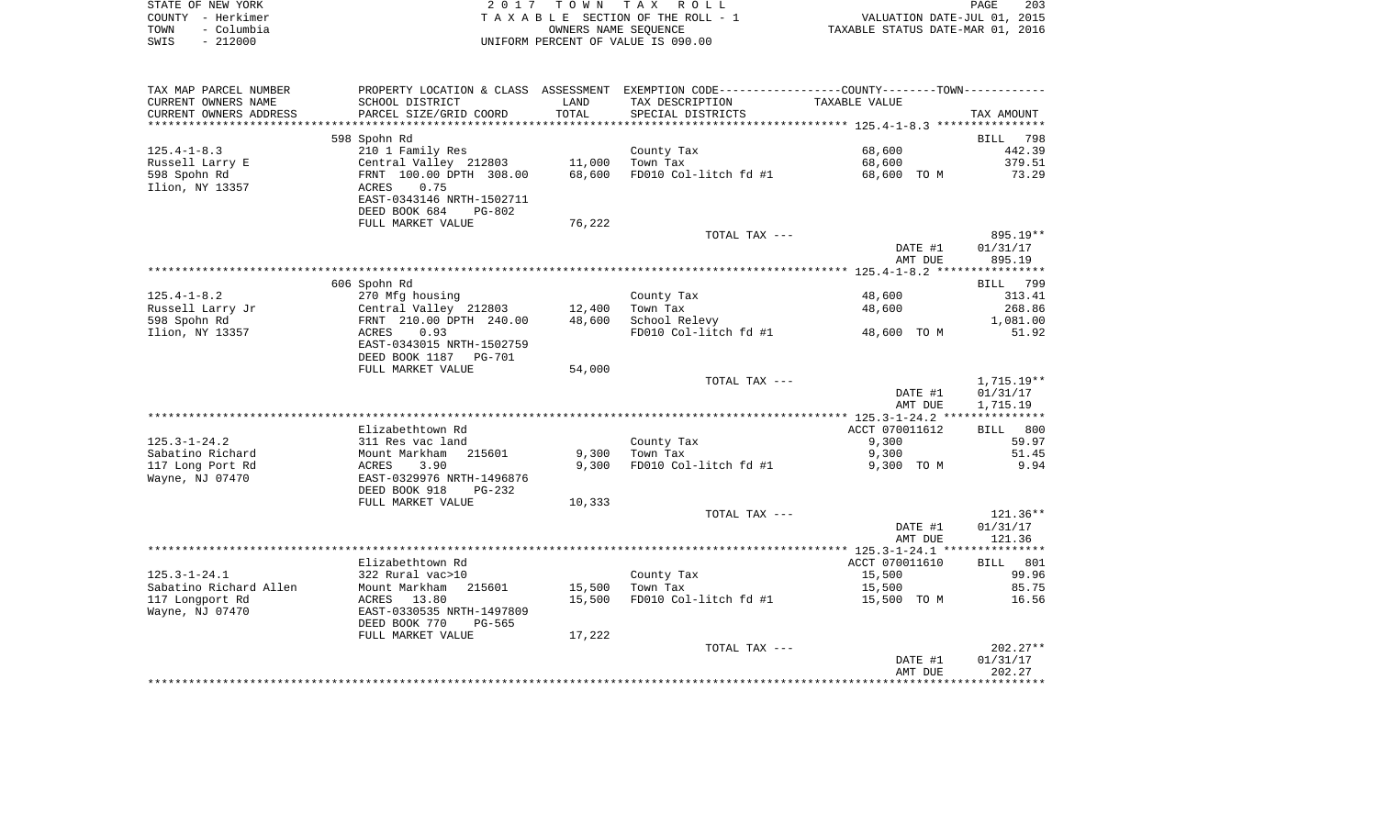| STATE OF NEW YORK  | 2017 TOWN TAX ROLL                 | PAGE                             | 203 |
|--------------------|------------------------------------|----------------------------------|-----|
| COUNTY - Herkimer  | TAXABLE SECTION OF THE ROLL - 1    | VALUATION DATE-JUL 01, 2015      |     |
| – Columbia<br>TOWN | OWNERS NAME SEOUENCE               | TAXABLE STATUS DATE-MAR 01, 2016 |     |
| $-212000$<br>SWIS  | INIFORM PERCENT OF VALUE IS 090.00 |                                  |     |

| TAX MAP PARCEL NUMBER                     |                                 |                  | PROPERTY LOCATION & CLASS ASSESSMENT EXEMPTION CODE---------------COUNTY-------TOWN---------- |                       |                    |
|-------------------------------------------|---------------------------------|------------------|-----------------------------------------------------------------------------------------------|-----------------------|--------------------|
| CURRENT OWNERS NAME                       | SCHOOL DISTRICT                 | LAND             | TAX DESCRIPTION                                                                               | TAXABLE VALUE         |                    |
| CURRENT OWNERS ADDRESS                    | PARCEL SIZE/GRID COORD          | TOTAL            | SPECIAL DISTRICTS                                                                             |                       | TAX AMOUNT         |
| * * * * * * * * * * * * * *               |                                 |                  |                                                                                               |                       |                    |
|                                           | 598 Spohn Rd                    |                  |                                                                                               |                       | BILL<br>798        |
| $125.4 - 1 - 8.3$                         | 210 1 Family Res                |                  | County Tax                                                                                    | 68,600                | 442.39             |
| Russell Larry E                           | Central Valley 212803           | 11,000           | Town Tax                                                                                      | 68,600                | 379.51             |
| 598 Spohn Rd                              | FRNT 100.00 DPTH 308.00         | 68,600           | FD010 Col-litch fd #1                                                                         | 68,600 TO M           | 73.29              |
| Ilion, NY 13357                           | 0.75<br>ACRES                   |                  |                                                                                               |                       |                    |
|                                           | EAST-0343146 NRTH-1502711       |                  |                                                                                               |                       |                    |
|                                           | DEED BOOK 684<br>PG-802         |                  |                                                                                               |                       |                    |
|                                           | FULL MARKET VALUE               | 76,222           |                                                                                               |                       |                    |
|                                           |                                 |                  | TOTAL TAX ---                                                                                 |                       | 895.19**           |
|                                           |                                 |                  |                                                                                               | DATE #1               | 01/31/17           |
|                                           |                                 |                  |                                                                                               | AMT DUE               | 895.19             |
|                                           |                                 |                  |                                                                                               |                       |                    |
| $125.4 - 1 - 8.2$                         | 606 Spohn Rd<br>270 Mfg housing |                  | County Tax                                                                                    | 48,600                | BILL 799<br>313.41 |
| Russell Larry Jr                          | Central Valley 212803           | 12,400           | Town Tax                                                                                      | 48,600                | 268.86             |
| 598 Spohn Rd                              | FRNT 210.00 DPTH 240.00         | 48,600           | School Relevy                                                                                 |                       | 1,081.00           |
| Ilion, NY 13357                           | ACRES<br>0.93                   |                  | FD010 Col-litch fd #1                                                                         | 48,600 TO M           | 51.92              |
|                                           | EAST-0343015 NRTH-1502759       |                  |                                                                                               |                       |                    |
|                                           | DEED BOOK 1187<br>PG-701        |                  |                                                                                               |                       |                    |
|                                           | FULL MARKET VALUE               | 54,000           |                                                                                               |                       |                    |
|                                           |                                 |                  | TOTAL TAX ---                                                                                 |                       | $1,715.19**$       |
|                                           |                                 |                  |                                                                                               | DATE #1               | 01/31/17           |
|                                           |                                 |                  |                                                                                               | AMT DUE               | 1,715.19           |
|                                           |                                 |                  |                                                                                               |                       |                    |
|                                           | Elizabethtown Rd                |                  |                                                                                               | ACCT 070011612        | BILL 800           |
| $125.3 - 1 - 24.2$                        | 311 Res vac land                |                  | County Tax                                                                                    | 9,300                 | 59.97              |
| Sabatino Richard                          | Mount Markham<br>215601         | 9,300            | Town Tax                                                                                      | 9,300                 | 51.45              |
| 117 Long Port Rd                          | ACRES<br>3.90                   | 9,300            | FD010 Col-litch fd #1                                                                         | 9,300 TO M            | 9.94               |
| Wayne, NJ 07470                           | EAST-0329976 NRTH-1496876       |                  |                                                                                               |                       |                    |
|                                           | DEED BOOK 918<br>$PG-232$       |                  |                                                                                               |                       |                    |
|                                           | FULL MARKET VALUE               | 10,333           |                                                                                               |                       |                    |
|                                           |                                 |                  | TOTAL TAX ---                                                                                 |                       | $121.36**$         |
|                                           |                                 |                  |                                                                                               | DATE #1               | 01/31/17           |
|                                           |                                 |                  |                                                                                               | AMT DUE               | 121.36             |
|                                           |                                 |                  |                                                                                               |                       |                    |
|                                           | Elizabethtown Rd                |                  |                                                                                               | ACCT 070011610        | BILL 801           |
| $125.3 - 1 - 24.1$                        | 322 Rural vac>10<br>215601      |                  | County Tax                                                                                    | 15,500                | 99.96<br>85.75     |
| Sabatino Richard Allen<br>117 Longport Rd | Mount Markham<br>ACRES 13.80    | 15,500<br>15,500 | Town Tax<br>FD010 Col-litch fd #1                                                             | 15,500<br>15,500 TO M | 16.56              |
| Wayne, NJ 07470                           | EAST-0330535 NRTH-1497809       |                  |                                                                                               |                       |                    |
|                                           | DEED BOOK 770<br>PG-565         |                  |                                                                                               |                       |                    |
|                                           | FULL MARKET VALUE               | 17,222           |                                                                                               |                       |                    |
|                                           |                                 |                  | TOTAL TAX ---                                                                                 |                       | $202.27**$         |
|                                           |                                 |                  |                                                                                               | DATE #1               | 01/31/17           |
|                                           |                                 |                  |                                                                                               | AMT DUE               | 202.27             |
|                                           |                                 |                  |                                                                                               |                       |                    |
|                                           |                                 |                  |                                                                                               |                       |                    |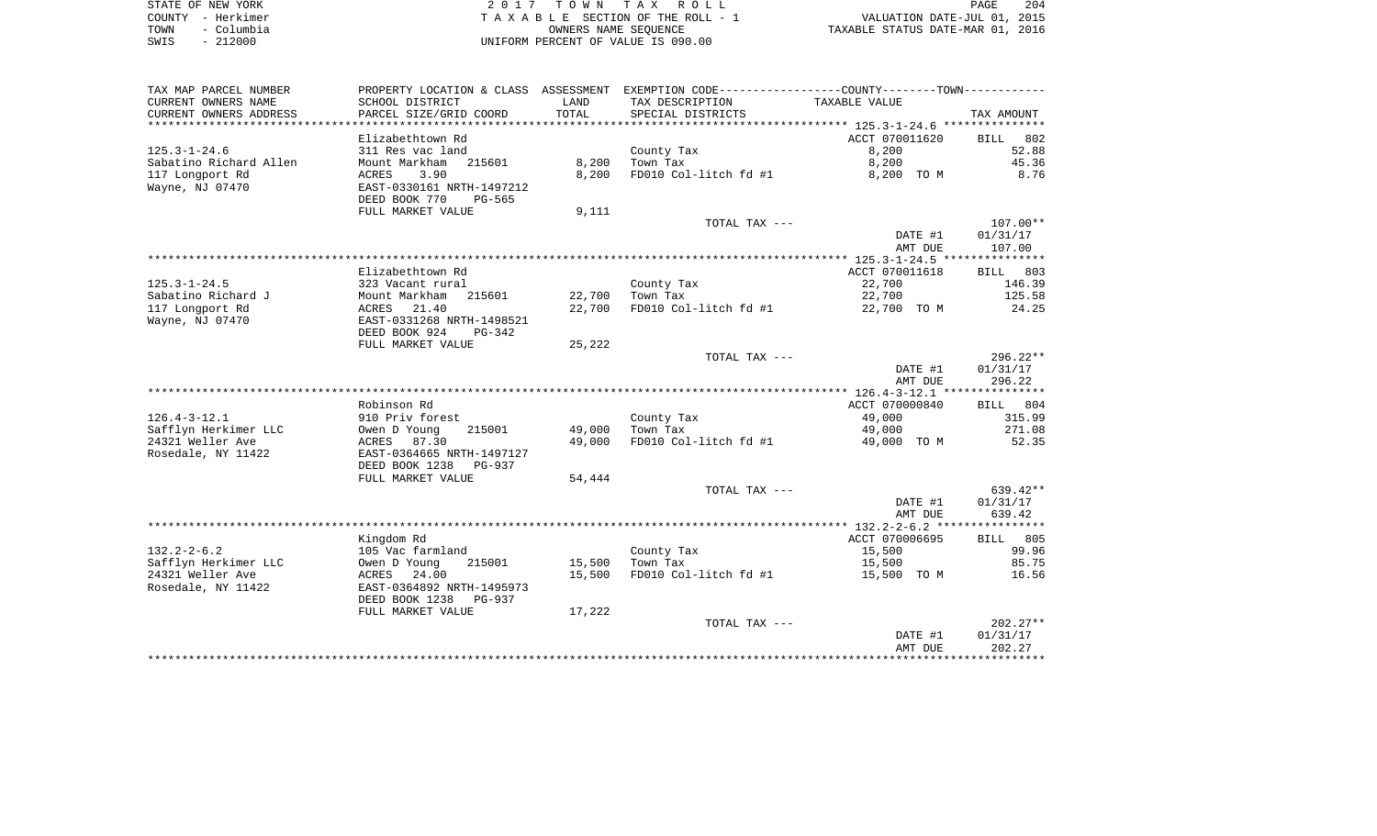|      | STATE OF NEW YORK | 2017 TOWN TAX ROLL                 | PAGE                             | 204 |
|------|-------------------|------------------------------------|----------------------------------|-----|
|      | COUNTY - Herkimer | TAXABLE SECTION OF THE ROLL - 1    | VALUATION DATE-JUL 01, 2015      |     |
| TOWN | – Columbia        | OWNERS NAME SEOUENCE               | TAXABLE STATUS DATE-MAR 01, 2016 |     |
| SWIS | $-212000$         | UNIFORM PERCENT OF VALUE IS 090.00 |                                  |     |

| TAX MAP PARCEL NUMBER              | PROPERTY LOCATION & CLASS ASSESSMENT EXEMPTION CODE----------------COUNTY-------TOWN---------- |        |                       |                          |                    |
|------------------------------------|------------------------------------------------------------------------------------------------|--------|-----------------------|--------------------------|--------------------|
| CURRENT OWNERS NAME                | SCHOOL DISTRICT                                                                                | LAND   | TAX DESCRIPTION       | TAXABLE VALUE            |                    |
| CURRENT OWNERS ADDRESS             | PARCEL SIZE/GRID COORD                                                                         | TOTAL  | SPECIAL DISTRICTS     |                          | TAX AMOUNT         |
| *************************          |                                                                                                |        |                       |                          |                    |
|                                    | Elizabethtown Rd                                                                               |        |                       | ACCT 070011620           | 802<br>BILL        |
| $125.3 - 1 - 24.6$                 | 311 Res vac land                                                                               |        | County Tax            | 8,200                    | 52.88              |
| Sabatino Richard Allen             | Mount Markham<br>215601                                                                        | 8,200  | Town Tax              | 8,200                    | 45.36              |
| 117 Longport Rd<br>Wayne, NJ 07470 | ACRES<br>3.90<br>EAST-0330161 NRTH-1497212                                                     | 8,200  | FD010 Col-litch fd #1 | 8,200 TO M               | 8.76               |
|                                    | DEED BOOK 770<br><b>PG-565</b>                                                                 |        |                       |                          |                    |
|                                    | FULL MARKET VALUE                                                                              | 9,111  |                       |                          |                    |
|                                    |                                                                                                |        | TOTAL TAX ---         |                          | $107.00**$         |
|                                    |                                                                                                |        |                       | DATE #1                  | 01/31/17           |
|                                    |                                                                                                |        |                       | AMT DUE                  | 107.00             |
|                                    |                                                                                                |        |                       |                          |                    |
| $125.3 - 1 - 24.5$                 | Elizabethtown Rd<br>323 Vacant rural                                                           |        | County Tax            | ACCT 070011618<br>22,700 | BILL 803<br>146.39 |
| Sabatino Richard J                 | Mount Markham<br>215601                                                                        | 22,700 | Town Tax              | 22,700                   | 125.58             |
| 117 Longport Rd                    | 21.40<br>ACRES                                                                                 | 22,700 | FD010 Col-litch fd #1 | 22,700 TO M              | 24.25              |
| Wayne, NJ 07470                    | EAST-0331268 NRTH-1498521                                                                      |        |                       |                          |                    |
|                                    | DEED BOOK 924<br>PG-342                                                                        |        |                       |                          |                    |
|                                    | FULL MARKET VALUE                                                                              | 25,222 |                       |                          |                    |
|                                    |                                                                                                |        | TOTAL TAX ---         |                          | $296.22**$         |
|                                    |                                                                                                |        |                       | DATE #1                  | 01/31/17           |
|                                    |                                                                                                |        |                       | AMT DUE                  | 296.22             |
|                                    |                                                                                                |        |                       |                          |                    |
|                                    | Robinson Rd                                                                                    |        |                       | ACCT 070000840           | BILL 804           |
| $126.4 - 3 - 12.1$                 | 910 Priv forest                                                                                |        | County Tax            | 49,000                   | 315.99             |
| Safflyn Herkimer LLC               | Owen D Young<br>215001                                                                         | 49,000 | Town Tax              | 49,000                   | 271.08             |
| 24321 Weller Ave                   | ACRES 87.30                                                                                    | 49,000 | FD010 Col-litch fd #1 | 49,000 TO M              | 52.35              |
| Rosedale, NY 11422                 | EAST-0364665 NRTH-1497127                                                                      |        |                       |                          |                    |
|                                    | DEED BOOK 1238<br>PG-937                                                                       |        |                       |                          |                    |
|                                    | FULL MARKET VALUE                                                                              | 54,444 |                       |                          |                    |
|                                    |                                                                                                |        | TOTAL TAX ---         |                          | 639.42**           |
|                                    |                                                                                                |        |                       | DATE #1                  | 01/31/17           |
|                                    |                                                                                                |        |                       | AMT DUE                  | 639.42             |
|                                    |                                                                                                |        |                       | ACCT 070006695           | 805<br>BILL        |
| $132.2 - 2 - 6.2$                  | Kingdom Rd<br>105 Vac farmland                                                                 |        | County Tax            | 15,500                   | 99.96              |
| Safflyn Herkimer LLC               | 215001<br>Owen D Young                                                                         | 15,500 | Town Tax              | 15,500                   | 85.75              |
| 24321 Weller Ave                   | ACRES 24.00                                                                                    | 15,500 | FD010 Col-litch fd #1 | 15,500 TO M              | 16.56              |
| Rosedale, NY 11422                 | EAST-0364892 NRTH-1495973                                                                      |        |                       |                          |                    |
|                                    | DEED BOOK 1238<br><b>PG-937</b>                                                                |        |                       |                          |                    |
|                                    | FULL MARKET VALUE                                                                              | 17,222 |                       |                          |                    |
|                                    |                                                                                                |        | TOTAL TAX ---         |                          | $202.27**$         |
|                                    |                                                                                                |        |                       | DATE #1                  | 01/31/17           |
|                                    |                                                                                                |        |                       | AMT DUE                  | 202.27             |
|                                    |                                                                                                |        |                       |                          |                    |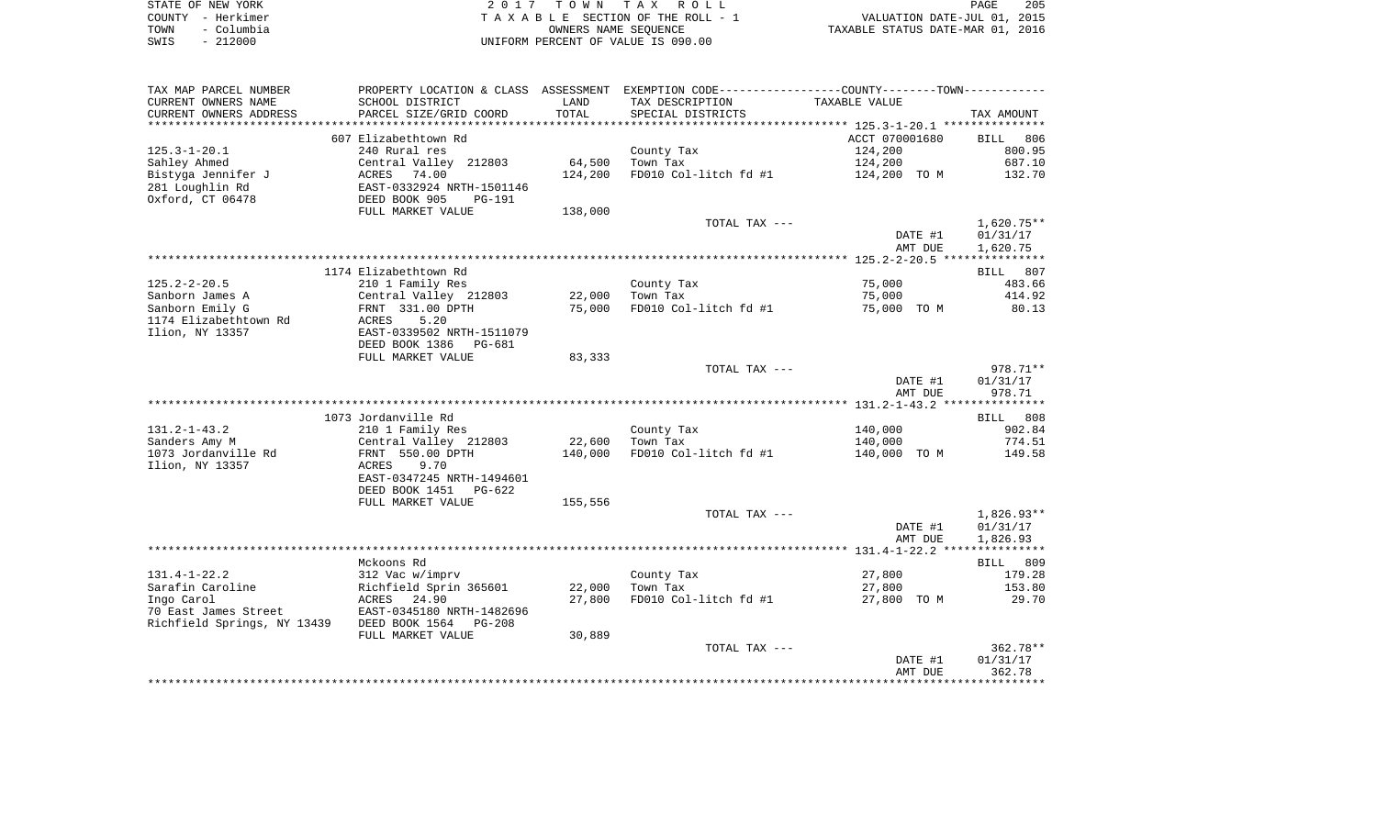|      | STATE OF NEW YORK | 2017 TOWN TAX ROLL                 | 205<br>PAGE                      |
|------|-------------------|------------------------------------|----------------------------------|
|      | COUNTY – Herkimer | TAXABLE SECTION OF THE ROLL - 1    | VALUATION DATE-JUL 01, 2015      |
| TOWN | - Columbia        | OWNERS NAME SEOUENCE               | TAXABLE STATUS DATE-MAR 01, 2016 |
| SWIS | $-212000$         | UNIFORM PERCENT OF VALUE IS 090.00 |                                  |

| TAX MAP PARCEL NUMBER                      |                                |         | PROPERTY LOCATION & CLASS ASSESSMENT EXEMPTION CODE---------------COUNTY-------TOWN---------- |                |                    |
|--------------------------------------------|--------------------------------|---------|-----------------------------------------------------------------------------------------------|----------------|--------------------|
| CURRENT OWNERS NAME                        | SCHOOL DISTRICT                | LAND    | TAX DESCRIPTION                                                                               | TAXABLE VALUE  |                    |
| CURRENT OWNERS ADDRESS                     | PARCEL SIZE/GRID COORD         | TOTAL   | SPECIAL DISTRICTS                                                                             |                | TAX AMOUNT         |
| ********************                       |                                |         |                                                                                               |                |                    |
|                                            | 607 Elizabethtown Rd           |         |                                                                                               | ACCT 070001680 | BILL 806           |
| $125.3 - 1 - 20.1$                         | 240 Rural res                  |         | County Tax                                                                                    | 124,200        | 800.95             |
| Sahley Ahmed                               | Central Valley 212803          | 64,500  | Town Tax                                                                                      | 124,200        | 687.10             |
| Bistyga Jennifer J                         | ACRES<br>74.00                 | 124,200 | FD010 Col-litch fd #1                                                                         | 124,200 TO M   | 132.70             |
| 281 Loughlin Rd                            | EAST-0332924 NRTH-1501146      |         |                                                                                               |                |                    |
| Oxford, CT 06478                           | DEED BOOK 905<br><b>PG-191</b> |         |                                                                                               |                |                    |
|                                            | FULL MARKET VALUE              | 138,000 |                                                                                               |                |                    |
|                                            |                                |         | TOTAL TAX ---                                                                                 |                | $1,620.75**$       |
|                                            |                                |         |                                                                                               | DATE #1        | 01/31/17           |
|                                            |                                |         |                                                                                               | AMT DUE        | 1,620.75           |
|                                            |                                |         |                                                                                               |                |                    |
|                                            | 1174 Elizabethtown Rd          |         |                                                                                               |                | BILL 807           |
| $125.2 - 2 - 20.5$                         | 210 1 Family Res               |         | County Tax                                                                                    | 75,000         | 483.66             |
| Sanborn James A                            | Central Valley 212803          | 22,000  | Town Tax                                                                                      | 75,000         | 414.92             |
| Sanborn Emily G                            | FRNT 331.00 DPTH               | 75,000  | FD010 Col-litch fd #1                                                                         | 75,000 TO M    | 80.13              |
| 1174 Elizabethtown Rd                      | ACRES<br>5.20                  |         |                                                                                               |                |                    |
| Ilion, NY 13357                            | EAST-0339502 NRTH-1511079      |         |                                                                                               |                |                    |
|                                            | DEED BOOK 1386<br>PG-681       |         |                                                                                               |                |                    |
|                                            | FULL MARKET VALUE              | 83,333  |                                                                                               |                |                    |
|                                            |                                |         | TOTAL TAX ---                                                                                 |                | 978.71**           |
|                                            |                                |         |                                                                                               | DATE #1        | 01/31/17           |
|                                            |                                |         |                                                                                               | AMT DUE        | 978.71             |
|                                            |                                |         |                                                                                               |                |                    |
|                                            | 1073 Jordanville Rd            |         |                                                                                               |                | <b>BILL</b><br>808 |
| $131.2 - 1 - 43.2$                         | 210 1 Family Res               |         | County Tax                                                                                    | 140,000        | 902.84             |
| Sanders Amy M                              | Central Valley 212803          | 22,600  | Town Tax                                                                                      | 140,000        | 774.51             |
| 1073 Jordanville Rd                        | FRNT 550.00 DPTH               | 140,000 | FD010 Col-litch fd #1                                                                         | 140,000 TO M   | 149.58             |
| Ilion, NY 13357                            | ACRES<br>9.70                  |         |                                                                                               |                |                    |
|                                            | EAST-0347245 NRTH-1494601      |         |                                                                                               |                |                    |
|                                            | DEED BOOK 1451<br>PG-622       |         |                                                                                               |                |                    |
|                                            | FULL MARKET VALUE              | 155,556 | TOTAL TAX ---                                                                                 |                | $1,826.93**$       |
|                                            |                                |         |                                                                                               | DATE #1        | 01/31/17           |
|                                            |                                |         |                                                                                               | AMT DUE        | 1,826.93           |
|                                            |                                |         |                                                                                               |                |                    |
|                                            | Mckoons Rd                     |         |                                                                                               |                | BILL 809           |
| $131.4 - 1 - 22.2$                         | 312 Vac w/imprv                |         | County Tax                                                                                    | 27,800         | 179.28             |
| Sarafin Caroline                           | Richfield Sprin 365601         | 22,000  | Town Tax                                                                                      | 27,800         | 153.80             |
| Ingo Carol                                 | ACRES<br>24.90                 | 27,800  | FD010 Col-litch fd #1                                                                         | 27,800 TO M    | 29.70              |
| 70 East James Street                       | EAST-0345180 NRTH-1482696      |         |                                                                                               |                |                    |
| Richfield Springs, NY 13439 DEED BOOK 1564 | PG-208                         |         |                                                                                               |                |                    |
|                                            | FULL MARKET VALUE              | 30,889  |                                                                                               |                |                    |
|                                            |                                |         | TOTAL TAX ---                                                                                 |                | $362.78**$         |
|                                            |                                |         |                                                                                               | DATE #1        | 01/31/17           |
|                                            |                                |         |                                                                                               | AMT DUE        | 362.78             |
|                                            |                                |         |                                                                                               |                |                    |
|                                            |                                |         |                                                                                               |                |                    |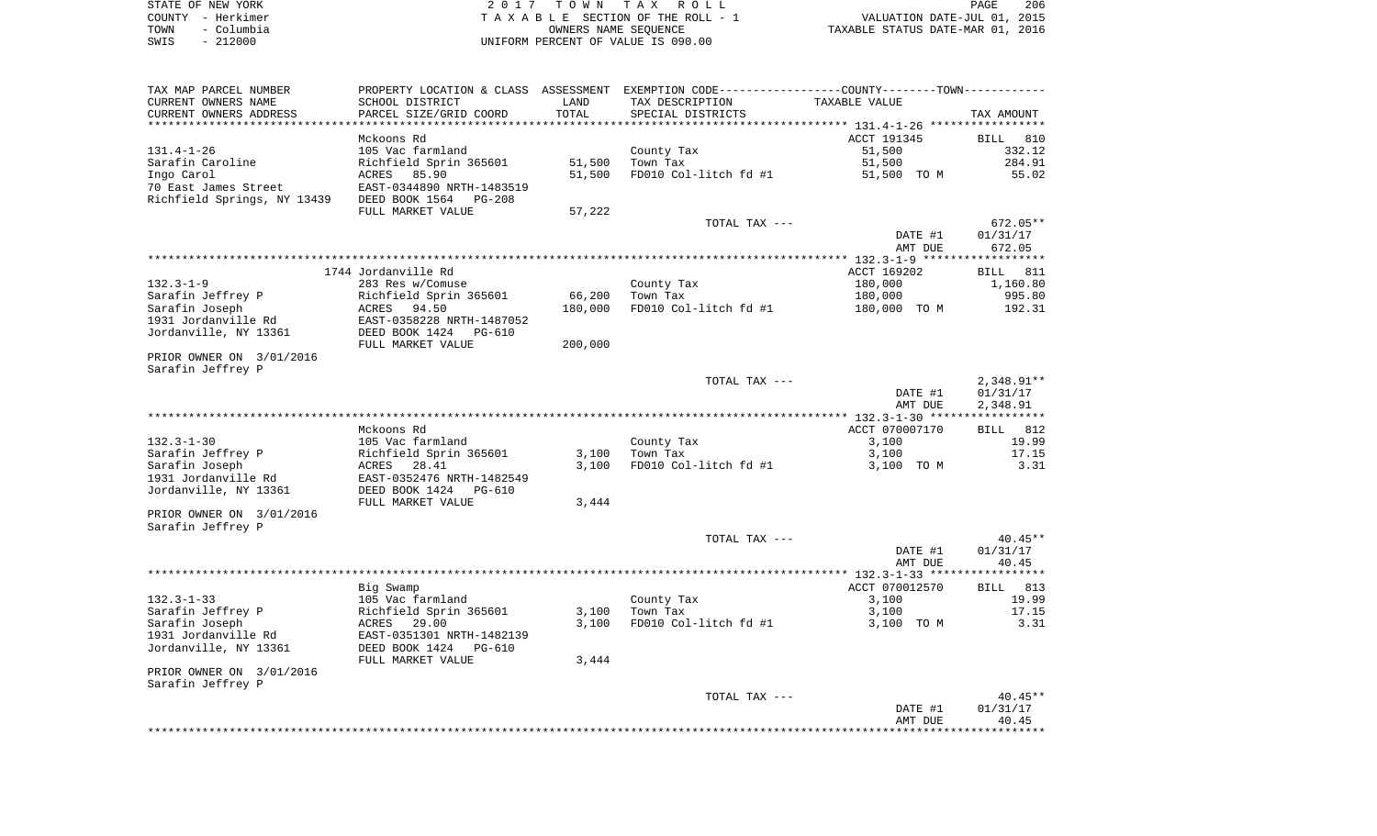|      | STATE OF NEW YORK | 2017 TOWN TAX ROLL                 | 206<br>PAGE                      |
|------|-------------------|------------------------------------|----------------------------------|
|      | COUNTY - Herkimer | TAXABLE SECTION OF THE ROLL - 1    | VALUATION DATE-JUL 01, 2015      |
| TOWN | - Columbia        | OWNERS NAME SEOUENCE               | TAXABLE STATUS DATE-MAR 01, 2016 |
| SWIS | $-212000$         | UNIFORM PERCENT OF VALUE IS 090.00 |                                  |

| TAX MAP PARCEL NUMBER                           |                                                    |                           | PROPERTY LOCATION & CLASS ASSESSMENT EXEMPTION CODE----------------COUNTY-------TOWN---------- |                |                           |
|-------------------------------------------------|----------------------------------------------------|---------------------------|------------------------------------------------------------------------------------------------|----------------|---------------------------|
| CURRENT OWNERS NAME                             | SCHOOL DISTRICT                                    | LAND                      | TAX DESCRIPTION                                                                                | TAXABLE VALUE  |                           |
| CURRENT OWNERS ADDRESS<br>********************* | PARCEL SIZE/GRID COORD<br>************************ | TOTAL<br>**************** | SPECIAL DISTRICTS                                                                              |                | TAX AMOUNT                |
|                                                 | Mckoons Rd                                         |                           |                                                                                                | ACCT 191345    | BILL<br>810               |
| $131.4 - 1 - 26$                                | 105 Vac farmland                                   |                           | County Tax                                                                                     | 51,500         | 332.12                    |
| Sarafin Caroline                                | Richfield Sprin 365601                             | 51,500                    | Town Tax                                                                                       | 51,500         | 284.91                    |
| Ingo Carol                                      | 85.90<br>ACRES                                     | 51,500                    | FD010 Col-litch fd #1                                                                          | 51,500 TO M    | 55.02                     |
| 70 East James Street                            | EAST-0344890 NRTH-1483519                          |                           |                                                                                                |                |                           |
| Richfield Springs, NY 13439                     | DEED BOOK 1564<br>PG-208                           |                           |                                                                                                |                |                           |
|                                                 | FULL MARKET VALUE                                  | 57,222                    |                                                                                                |                |                           |
|                                                 |                                                    |                           | TOTAL TAX ---                                                                                  |                | 672.05**                  |
|                                                 |                                                    |                           |                                                                                                | DATE #1        | 01/31/17                  |
|                                                 |                                                    |                           |                                                                                                | AMT DUE        | 672.05                    |
|                                                 |                                                    |                           |                                                                                                |                |                           |
|                                                 | 1744 Jordanville Rd                                |                           |                                                                                                | ACCT 169202    | BILL 811                  |
| $132.3 - 1 - 9$                                 | 283 Res w/Comuse                                   |                           | County Tax                                                                                     | 180,000        | 1,160.80                  |
| Sarafin Jeffrey P                               | Richfield Sprin 365601                             | 66,200                    | Town Tax                                                                                       | 180,000        | 995.80                    |
| Sarafin Joseph                                  | 94.50<br>ACRES                                     | 180,000                   | FD010 Col-litch fd #1                                                                          | 180,000 TO M   | 192.31                    |
| 1931 Jordanville Rd                             | EAST-0358228 NRTH-1487052                          |                           |                                                                                                |                |                           |
| Jordanville, NY 13361                           | DEED BOOK 1424<br>PG-610                           |                           |                                                                                                |                |                           |
|                                                 | FULL MARKET VALUE                                  | 200,000                   |                                                                                                |                |                           |
| PRIOR OWNER ON 3/01/2016                        |                                                    |                           |                                                                                                |                |                           |
| Sarafin Jeffrey P                               |                                                    |                           |                                                                                                |                |                           |
|                                                 |                                                    |                           | TOTAL TAX ---                                                                                  |                | $2,348.91**$              |
|                                                 |                                                    |                           |                                                                                                | DATE #1        | 01/31/17                  |
|                                                 |                                                    |                           |                                                                                                | AMT DUE        | 2,348.91                  |
|                                                 |                                                    |                           |                                                                                                |                | * * * * * * * * * * * * * |
|                                                 | Mckoons Rd                                         |                           |                                                                                                | ACCT 070007170 | <b>BILL</b><br>812        |
| $132.3 - 1 - 30$                                | 105 Vac farmland                                   |                           | County Tax                                                                                     | 3,100          | 19.99                     |
| Sarafin Jeffrey P                               | Richfield Sprin 365601                             | 3,100                     | Town Tax                                                                                       | 3,100          | 17.15                     |
| Sarafin Joseph                                  | ACRES<br>28.41                                     | 3,100                     | FD010 Col-litch fd #1                                                                          | 3,100 TO M     | 3.31                      |
| 1931 Jordanville Rd                             | EAST-0352476 NRTH-1482549                          |                           |                                                                                                |                |                           |
| Jordanville, NY 13361                           | DEED BOOK 1424<br><b>PG-610</b>                    |                           |                                                                                                |                |                           |
| PRIOR OWNER ON 3/01/2016                        | FULL MARKET VALUE                                  | 3,444                     |                                                                                                |                |                           |
| Sarafin Jeffrey P                               |                                                    |                           |                                                                                                |                |                           |
|                                                 |                                                    |                           | TOTAL TAX ---                                                                                  |                | $40.45**$                 |
|                                                 |                                                    |                           |                                                                                                | DATE #1        | 01/31/17                  |
|                                                 |                                                    |                           |                                                                                                | AMT DUE        | 40.45                     |
|                                                 |                                                    |                           |                                                                                                |                |                           |
|                                                 | Big Swamp                                          |                           |                                                                                                | ACCT 070012570 | <b>BILL</b><br>813        |
| $132.3 - 1 - 33$                                | 105 Vac farmland                                   |                           | County Tax                                                                                     | 3,100          | 19.99                     |
| Sarafin Jeffrey P                               | Richfield Sprin 365601                             | 3,100                     | Town Tax                                                                                       | 3,100          | 17.15                     |
| Sarafin Joseph                                  | 29.00<br>ACRES                                     | 3,100                     | FD010 Col-litch fd #1                                                                          | 3,100 TO M     | 3.31                      |
| 1931 Jordanville Rd                             | EAST-0351301 NRTH-1482139                          |                           |                                                                                                |                |                           |
| Jordanville, NY 13361                           | DEED BOOK 1424<br><b>PG-610</b>                    |                           |                                                                                                |                |                           |
|                                                 | FULL MARKET VALUE                                  | 3,444                     |                                                                                                |                |                           |
| PRIOR OWNER ON 3/01/2016                        |                                                    |                           |                                                                                                |                |                           |
| Sarafin Jeffrey P                               |                                                    |                           |                                                                                                |                |                           |
|                                                 |                                                    |                           | TOTAL TAX ---                                                                                  |                | $40.45**$                 |
|                                                 |                                                    |                           |                                                                                                | DATE #1        | 01/31/17                  |
|                                                 |                                                    |                           |                                                                                                | AMT DUE        | 40.45                     |
|                                                 |                                                    |                           |                                                                                                |                |                           |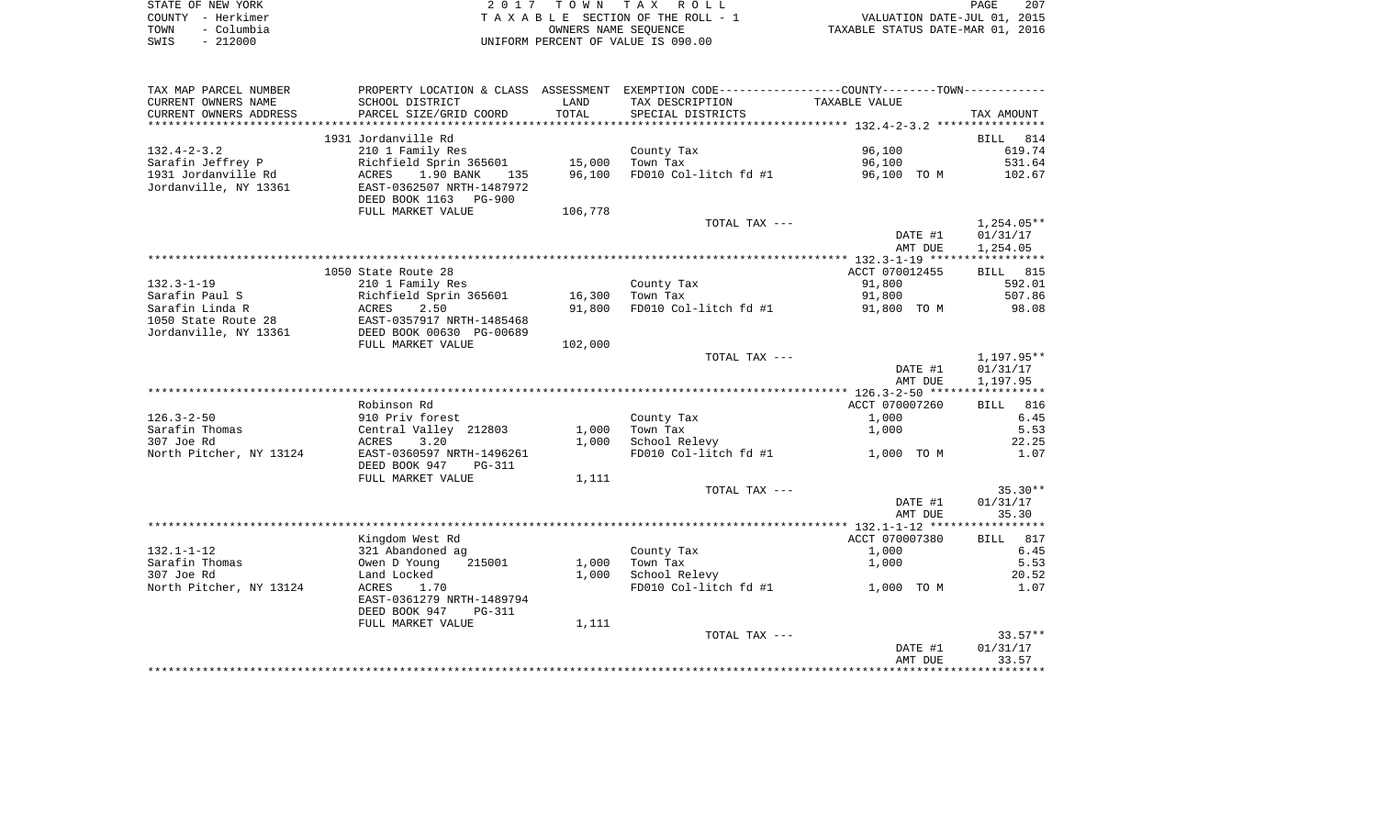| STATE OF NEW YORK  | 2017 TOWN TAX ROLL                 | 207<br><b>PAGE</b>               |
|--------------------|------------------------------------|----------------------------------|
| COUNTY - Herkimer  | TAXABLE SECTION OF THE ROLL - 1    | VALUATION DATE-JUL 01, 2015      |
| - Columbia<br>TOWN | OWNERS NAME SEOUENCE               | TAXABLE STATUS DATE-MAR 01, 2016 |
| $-212000$<br>SWIS  | UNIFORM PERCENT OF VALUE IS 090.00 |                                  |

| TAX MAP PARCEL NUMBER   | PROPERTY LOCATION & CLASS ASSESSMENT |         | EXEMPTION CODE-----------------COUNTY-------TOWN---------- |                |                 |
|-------------------------|--------------------------------------|---------|------------------------------------------------------------|----------------|-----------------|
| CURRENT OWNERS NAME     | SCHOOL DISTRICT                      | LAND    | TAX DESCRIPTION                                            | TAXABLE VALUE  |                 |
| CURRENT OWNERS ADDRESS  | PARCEL SIZE/GRID COORD               | TOTAL   | SPECIAL DISTRICTS                                          |                | TAX AMOUNT      |
|                         |                                      |         |                                                            |                |                 |
|                         | 1931 Jordanville Rd                  |         |                                                            |                | 814<br>BILL     |
| $132.4 - 2 - 3.2$       | 210 1 Family Res                     |         | County Tax                                                 | 96,100         | 619.74          |
| Sarafin Jeffrey P       | Richfield Sprin 365601               | 15,000  | Town Tax                                                   | 96,100         | 531.64          |
| 1931 Jordanville Rd     | ACRES<br>1.90 BANK<br>135            | 96,100  | FD010 Col-litch fd #1                                      | 96,100 TO M    | 102.67          |
| Jordanville, NY 13361   | EAST-0362507 NRTH-1487972            |         |                                                            |                |                 |
|                         | DEED BOOK 1163 PG-900                |         |                                                            |                |                 |
|                         |                                      |         |                                                            |                |                 |
|                         | FULL MARKET VALUE                    | 106,778 |                                                            |                |                 |
|                         |                                      |         | TOTAL TAX ---                                              |                | $1,254.05**$    |
|                         |                                      |         |                                                            | DATE #1        | 01/31/17        |
|                         |                                      |         |                                                            | AMT DUE        | 1,254.05        |
|                         |                                      |         |                                                            |                |                 |
|                         | 1050 State Route 28                  |         |                                                            | ACCT 070012455 | 815<br>BILL     |
| $132.3 - 1 - 19$        | 210 1 Family Res                     |         | County Tax                                                 | 91,800         | 592.01          |
| Sarafin Paul S          | Richfield Sprin 365601               | 16,300  | Town Tax                                                   | 91,800         | 507.86          |
| Sarafin Linda R         | ACRES<br>2.50                        | 91,800  | FD010 Col-litch fd #1                                      | 91,800 TO M    | 98.08           |
| 1050 State Route 28     | EAST-0357917 NRTH-1485468            |         |                                                            |                |                 |
| Jordanville, NY 13361   | DEED BOOK 00630 PG-00689             |         |                                                            |                |                 |
|                         | FULL MARKET VALUE                    | 102,000 |                                                            |                |                 |
|                         |                                      |         | TOTAL TAX ---                                              |                | 1,197.95**      |
|                         |                                      |         |                                                            | DATE #1        | 01/31/17        |
|                         |                                      |         |                                                            | AMT DUE        | 1,197.95        |
|                         |                                      |         |                                                            |                |                 |
|                         | Robinson Rd                          |         |                                                            | ACCT 070007260 | <b>BILL</b> 816 |
| $126.3 - 2 - 50$        | 910 Priv forest                      |         | County Tax                                                 | 1,000          | 6.45            |
| Sarafin Thomas          | Central Valley 212803                | 1,000   | Town Tax                                                   | 1,000          | 5.53            |
| 307 Joe Rd              | ACRES<br>3.20                        | 1,000   | School Relevy                                              |                | 22.25           |
| North Pitcher, NY 13124 | EAST-0360597 NRTH-1496261            |         | FD010 Col-litch fd #1                                      | 1,000 TO M     | 1.07            |
|                         | DEED BOOK 947<br>$PG-311$            |         |                                                            |                |                 |
|                         | FULL MARKET VALUE                    | 1,111   |                                                            |                |                 |
|                         |                                      |         | TOTAL TAX ---                                              |                | $35.30**$       |
|                         |                                      |         |                                                            | DATE #1        | 01/31/17        |
|                         |                                      |         |                                                            | AMT DUE        | 35.30           |
|                         |                                      |         |                                                            |                |                 |
|                         | Kingdom West Rd                      |         |                                                            | ACCT 070007380 | 817<br>BILL     |
| $132.1 - 1 - 12$        | 321 Abandoned ag                     |         | County Tax                                                 | 1,000          | 6.45            |
| Sarafin Thomas          | 215001<br>Owen D Young               | 1,000   | Town Tax                                                   | 1,000          | 5.53            |
| 307 Joe Rd              | Land Locked                          | 1,000   |                                                            |                |                 |
|                         |                                      |         | School Relevy                                              |                | 20.52           |
| North Pitcher, NY 13124 | ACRES<br>1.70                        |         | FD010 Col-litch fd #1                                      | 1,000 TO M     | 1.07            |
|                         | EAST-0361279 NRTH-1489794            |         |                                                            |                |                 |
|                         | DEED BOOK 947<br><b>PG-311</b>       |         |                                                            |                |                 |
|                         | FULL MARKET VALUE                    | 1,111   |                                                            |                |                 |
|                         |                                      |         | TOTAL TAX ---                                              |                | $33.57**$       |
|                         |                                      |         |                                                            | DATE #1        | 01/31/17        |
|                         |                                      |         |                                                            | AMT DUE        | 33.57           |
|                         |                                      |         |                                                            |                |                 |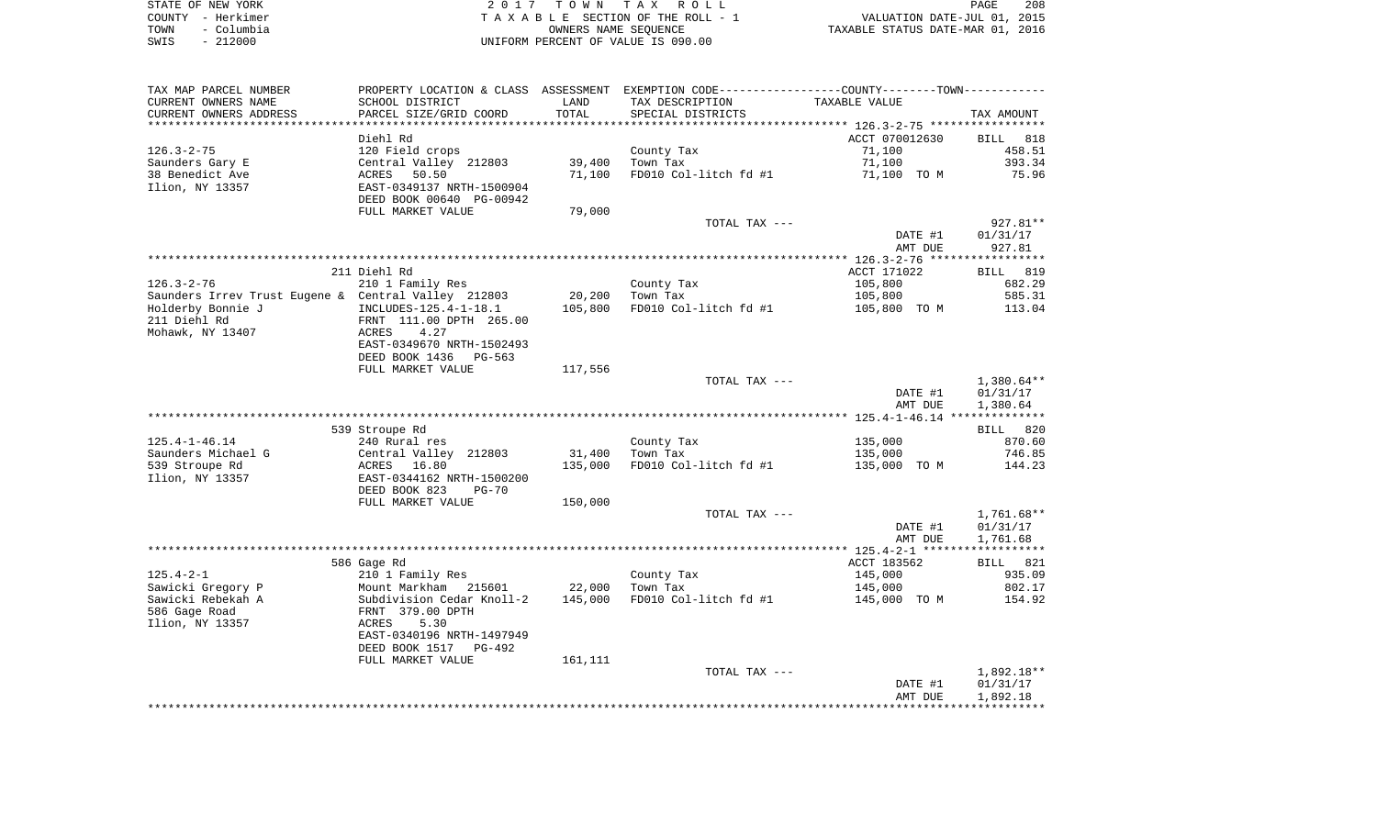| STATE OF NEW YORK  | 2017 TOWN TAX ROLL                 | 208<br>PAGE                      |
|--------------------|------------------------------------|----------------------------------|
| COUNTY - Herkimer  | TAXABLE SECTION OF THE ROLL - 1    | VALUATION DATE-JUL 01, 2015      |
| - Columbia<br>TOWN | OWNERS NAME SEOUENCE               | TAXABLE STATUS DATE-MAR 01, 2016 |
| $-212000$<br>SWIS  | UNIFORM PERCENT OF VALUE IS 090.00 |                                  |

| TAX MAP PARCEL NUMBER<br>CURRENT OWNERS NAME        | PROPERTY LOCATION & CLASS ASSESSMENT EXEMPTION CODE---------------COUNTY-------TOWN----------<br>SCHOOL DISTRICT | LAND    | TAX DESCRIPTION       | TAXABLE VALUE  |              |
|-----------------------------------------------------|------------------------------------------------------------------------------------------------------------------|---------|-----------------------|----------------|--------------|
| CURRENT OWNERS ADDRESS                              | PARCEL SIZE/GRID COORD                                                                                           | TOTAL   | SPECIAL DISTRICTS     |                | TAX AMOUNT   |
|                                                     |                                                                                                                  |         |                       |                |              |
|                                                     | Diehl Rd                                                                                                         |         |                       | ACCT 070012630 | BILL 818     |
| $126.3 - 2 - 75$                                    | 120 Field crops                                                                                                  |         | County Tax            | 71,100         | 458.51       |
| Saunders Gary E                                     | Central Valley 212803                                                                                            | 39,400  | Town Tax              | 71,100         | 393.34       |
| 38 Benedict Ave                                     | 50.50<br>ACRES                                                                                                   | 71,100  | FD010 Col-litch fd #1 | 71,100 TO M    | 75.96        |
| Ilion, NY 13357                                     | EAST-0349137 NRTH-1500904                                                                                        |         |                       |                |              |
|                                                     | DEED BOOK 00640 PG-00942                                                                                         |         |                       |                |              |
|                                                     | FULL MARKET VALUE                                                                                                | 79,000  |                       |                |              |
|                                                     |                                                                                                                  |         | TOTAL TAX ---         |                | 927.81**     |
|                                                     |                                                                                                                  |         |                       | DATE #1        | 01/31/17     |
|                                                     |                                                                                                                  |         |                       | AMT DUE        | 927.81       |
|                                                     |                                                                                                                  |         |                       |                |              |
|                                                     | 211 Diehl Rd                                                                                                     |         |                       | ACCT 171022    | BILL 819     |
| $126.3 - 2 - 76$                                    | 210 1 Family Res                                                                                                 |         | County Tax            | 105,800        | 682.29       |
| Saunders Irrev Trust Eugene & Central Valley 212803 |                                                                                                                  | 20,200  | Town Tax              | 105,800        | 585.31       |
| Holderby Bonnie J                                   |                                                                                                                  | 105,800 |                       |                |              |
|                                                     | INCLUDES-125.4-1-18.1                                                                                            |         | FD010 Col-litch fd #1 | 105,800 TO M   | 113.04       |
| 211 Diehl Rd                                        | FRNT 111.00 DPTH 265.00                                                                                          |         |                       |                |              |
| Mohawk, NY 13407                                    | 4.27<br>ACRES                                                                                                    |         |                       |                |              |
|                                                     | EAST-0349670 NRTH-1502493                                                                                        |         |                       |                |              |
|                                                     | DEED BOOK 1436<br>PG-563                                                                                         |         |                       |                |              |
|                                                     | FULL MARKET VALUE                                                                                                | 117,556 |                       |                |              |
|                                                     |                                                                                                                  |         | TOTAL TAX ---         |                | $1,380.64**$ |
|                                                     |                                                                                                                  |         |                       | DATE #1        | 01/31/17     |
|                                                     |                                                                                                                  |         |                       | AMT DUE        | 1,380.64     |
|                                                     |                                                                                                                  |         |                       |                |              |
|                                                     | 539 Stroupe Rd                                                                                                   |         |                       |                | BILL 820     |
| $125.4 - 1 - 46.14$                                 | 240 Rural res                                                                                                    |         | County Tax            | 135,000        | 870.60       |
| Saunders Michael G                                  | Central Valley 212803                                                                                            | 31,400  | Town Tax              | 135,000        | 746.85       |
| 539 Stroupe Rd                                      | ACRES 16.80                                                                                                      | 135,000 | FD010 Col-litch fd #1 | 135,000 TO M   | 144.23       |
| Ilion, NY 13357                                     | EAST-0344162 NRTH-1500200                                                                                        |         |                       |                |              |
|                                                     | DEED BOOK 823<br>$PG-70$                                                                                         |         |                       |                |              |
|                                                     | FULL MARKET VALUE                                                                                                | 150,000 |                       |                |              |
|                                                     |                                                                                                                  |         | TOTAL TAX ---         |                | 1,761.68**   |
|                                                     |                                                                                                                  |         |                       | DATE #1        | 01/31/17     |
|                                                     |                                                                                                                  |         |                       | AMT DUE        | 1,761.68     |
|                                                     |                                                                                                                  |         |                       |                |              |
|                                                     | 586 Gage Rd                                                                                                      |         |                       | ACCT 183562    | BILL 821     |
| 125.4-2-1                                           | 210 1 Family Res                                                                                                 |         | County Tax            | 145,000        | 935.09       |
| Sawicki Gregory P                                   | Mount Markham 215601                                                                                             | 22,000  | Town Tax              | 145,000        | 802.17       |
| Sawicki Rebekah A                                   | Subdivision Cedar Knoll-2                                                                                        | 145,000 | FD010 Col-litch fd #1 | 145,000 TO M   | 154.92       |
| 586 Gage Road                                       | FRNT 379.00 DPTH                                                                                                 |         |                       |                |              |
| Ilion, NY 13357                                     | ACRES<br>5.30                                                                                                    |         |                       |                |              |
|                                                     | EAST-0340196 NRTH-1497949                                                                                        |         |                       |                |              |
|                                                     | DEED BOOK 1517 PG-492                                                                                            |         |                       |                |              |
|                                                     | FULL MARKET VALUE                                                                                                | 161,111 |                       |                |              |
|                                                     |                                                                                                                  |         | TOTAL TAX ---         |                | 1,892.18**   |
|                                                     |                                                                                                                  |         |                       | DATE #1        | 01/31/17     |
|                                                     |                                                                                                                  |         |                       | AMT DUE        | 1,892.18     |
|                                                     |                                                                                                                  |         |                       |                |              |
|                                                     |                                                                                                                  |         |                       |                |              |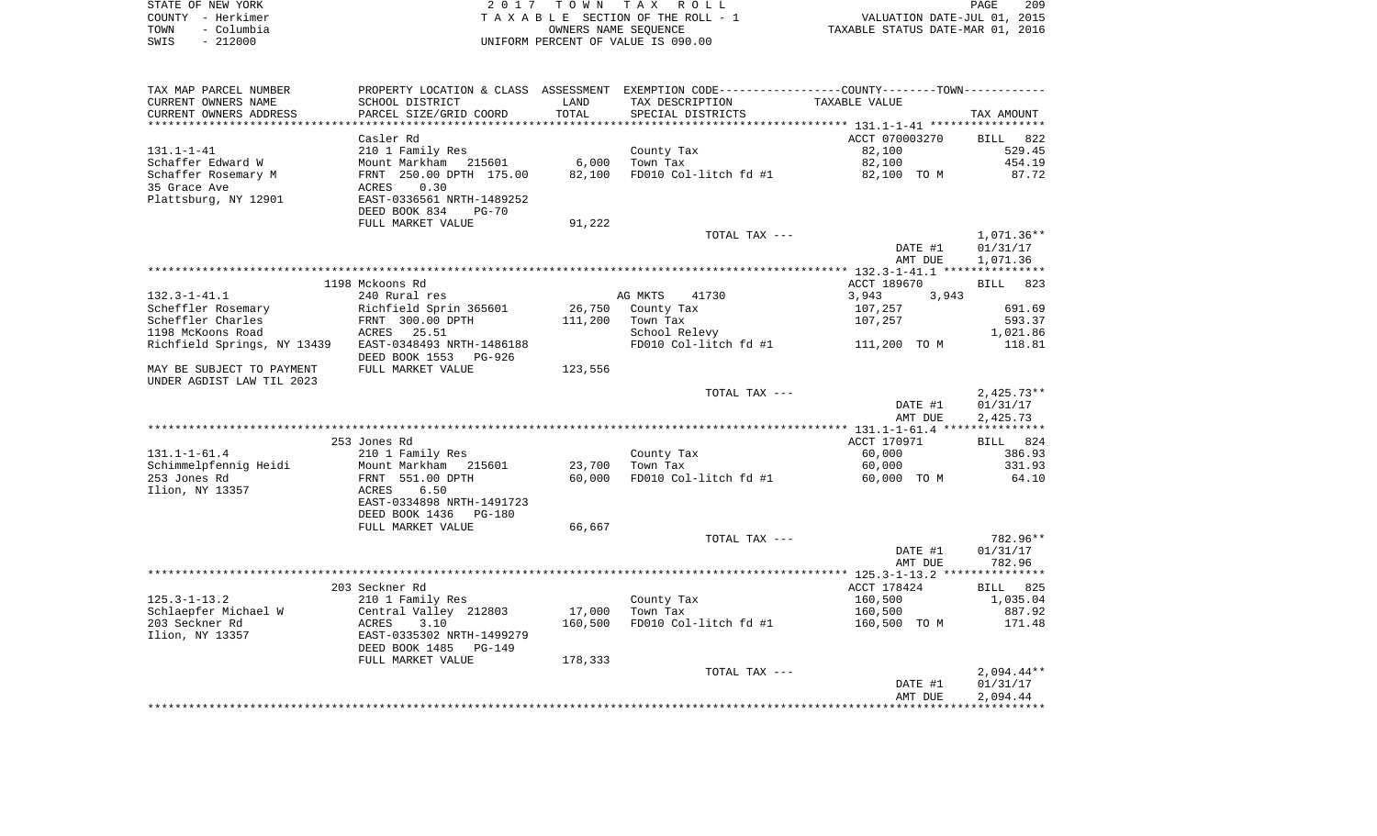| STATE OF NEW YORK |                   | 2017 TOWN TAX ROLL                 |                                  | PAGE | 209 |
|-------------------|-------------------|------------------------------------|----------------------------------|------|-----|
|                   | COUNTY - Herkimer | TAXABLE SECTION OF THE ROLL - 1    | VALUATION DATE-JUL 01, 2015      |      |     |
| TOWN              | - Columbia        | OWNERS NAME SEOUENCE               | TAXABLE STATUS DATE-MAR 01, 2016 |      |     |
| SWIS              | - 212000          | UNIFORM PERCENT OF VALUE IS 090.00 |                                  |      |     |

209<br>2015<br>2016

| TAX MAP PARCEL NUMBER<br>CURRENT OWNERS NAME          | PROPERTY LOCATION & CLASS ASSESSMENT EXEMPTION CODE----------------COUNTY--------TOWN-----------<br>SCHOOL DISTRICT | LAND    | TAX DESCRIPTION                                                                                 | TAXABLE VALUE  |                    |
|-------------------------------------------------------|---------------------------------------------------------------------------------------------------------------------|---------|-------------------------------------------------------------------------------------------------|----------------|--------------------|
| CURRENT OWNERS ADDRESS<br>***********************     | PARCEL SIZE/GRID COORD                                                                                              | TOTAL   | SPECIAL DISTRICTS                                                                               |                | TAX AMOUNT         |
|                                                       | Casler Rd                                                                                                           |         |                                                                                                 | ACCT 070003270 | BILL 822           |
| $131.1 - 1 - 41$                                      | 210 1 Family Res                                                                                                    |         | County Tax                                                                                      | 82,100         | 529.45             |
| Schaffer Edward W                                     | Mount Markham 215601                                                                                                |         | $6,000$ Town Tax                                                                                | 82,100         | 454.19             |
| Schaffer Rosemary M                                   | FRNT 250.00 DPTH 175.00                                                                                             |         | 82,100 FD010 Col-litch fd #1                                                                    | 82,100 TO M    | 87.72              |
| 35 Grace Ave                                          | 0.30<br>ACRES                                                                                                       |         |                                                                                                 |                |                    |
| Plattsburg, NY 12901                                  | EAST-0336561 NRTH-1489252                                                                                           |         |                                                                                                 |                |                    |
|                                                       | DEED BOOK 834<br>$PG-70$                                                                                            |         |                                                                                                 |                |                    |
|                                                       | FULL MARKET VALUE                                                                                                   | 91,222  |                                                                                                 |                |                    |
|                                                       |                                                                                                                     |         | TOTAL TAX ---                                                                                   |                | 1,071.36**         |
|                                                       |                                                                                                                     |         |                                                                                                 | DATE #1        | 01/31/17           |
|                                                       |                                                                                                                     |         |                                                                                                 | AMT DUE        | 1,071.36           |
|                                                       |                                                                                                                     |         |                                                                                                 |                |                    |
|                                                       | 1198 Mckoons Rd                                                                                                     |         |                                                                                                 | ACCT 189670    | BILL 823           |
| $132.3 - 1 - 41.1$                                    | 240 Rural res                                                                                                       |         | AG MKTS 41730                                                                                   | 3,943<br>3,943 |                    |
| Scheffler Rosemary                                    | Richfield Sprin 365601                                                                                              |         | 26,750 County Tax                                                                               | 107,257        | 691.69             |
| Scheffler Charles<br>1198 McKoons Road                | FRNT 300.00 DPTH<br>ACRES 25.51                                                                                     |         | 111,200 Town Tax                                                                                | 107,257        | 593.37             |
| Richfield Springs, NY 13439                           | EAST-0348493 NRTH-1486188                                                                                           |         | School Relevy<br>School Relevy<br>FD010 Col-litch fd #1                           111,200  TO M |                | 1,021.86<br>118.81 |
|                                                       | DEED BOOK 1553 PG-926                                                                                               |         |                                                                                                 |                |                    |
| MAY BE SUBJECT TO PAYMENT                             | FULL MARKET VALUE                                                                                                   | 123,556 |                                                                                                 |                |                    |
| UNDER AGDIST LAW TIL 2023                             |                                                                                                                     |         |                                                                                                 |                |                    |
|                                                       |                                                                                                                     |         | TOTAL TAX ---                                                                                   |                | $2,425.73**$       |
|                                                       |                                                                                                                     |         |                                                                                                 | DATE #1        | 01/31/17           |
|                                                       |                                                                                                                     |         |                                                                                                 | AMT DUE        | 2,425.73           |
|                                                       |                                                                                                                     |         |                                                                                                 |                |                    |
|                                                       | 253 Jones Rd                                                                                                        |         |                                                                                                 | ACCT 170971    | BILL 824           |
| $131.1 - 1 - 61.4$                                    | 210 1 Family Res                                                                                                    |         | County Tax                                                                                      | 60,000         | 386.93             |
| 131.1-1-61.4<br>Schimmelpfennig Heidi<br>253 Ieres Pd | Mount Markham 215601                                                                                                |         | 23,700 Town Tax                                                                                 | 60,000         | 331.93             |
| 253 Jones Rd                                          | FRNT 551.00 DPTH                                                                                                    |         | 60,000 FD010 Col-litch fd #1                                                                    | 60,000 TO M    | 64.10              |
| Ilion, NY 13357                                       | ACRES 6.50                                                                                                          |         |                                                                                                 |                |                    |
|                                                       | EAST-0334898 NRTH-1491723                                                                                           |         |                                                                                                 |                |                    |
|                                                       | DEED BOOK 1436 PG-180                                                                                               |         |                                                                                                 |                |                    |
|                                                       | FULL MARKET VALUE                                                                                                   | 66,667  |                                                                                                 |                |                    |
|                                                       |                                                                                                                     |         | TOTAL TAX ---                                                                                   |                | 782.96**           |
|                                                       |                                                                                                                     |         |                                                                                                 | DATE #1        | 01/31/17           |
|                                                       |                                                                                                                     |         |                                                                                                 | AMT DUE        | 782.96             |
|                                                       |                                                                                                                     |         |                                                                                                 |                |                    |
|                                                       | 203 Seckner Rd                                                                                                      |         |                                                                                                 | ACCT 178424    | BILL 825           |
| $125.3 - 1 - 13.2$                                    | 210 1 Family Res                                                                                                    |         | County Tax<br>17,000    Town Tax                                                                | 160,500        | 1,035.04           |
| Schlaepfer Michael W<br>203 Seckner Rd                | Central Valley 212803<br>3.10<br>ACRES                                                                              |         | 160,500 FD010 Col-litch fd #1 160,500 TO M                                                      | 160,500        | 887.92<br>171.48   |
| Ilion, NY 13357                                       | EAST-0335302 NRTH-1499279                                                                                           |         |                                                                                                 |                |                    |
|                                                       | DEED BOOK 1485 PG-149                                                                                               |         |                                                                                                 |                |                    |
|                                                       | FULL MARKET VALUE                                                                                                   | 178,333 |                                                                                                 |                |                    |
|                                                       |                                                                                                                     |         | TOTAL TAX ---                                                                                   |                | $2,094.44**$       |
|                                                       |                                                                                                                     |         |                                                                                                 | DATE #1        | 01/31/17           |
|                                                       |                                                                                                                     |         |                                                                                                 | AMT DUE        |                    |
|                                                       |                                                                                                                     |         |                                                                                                 |                | 2,094.44           |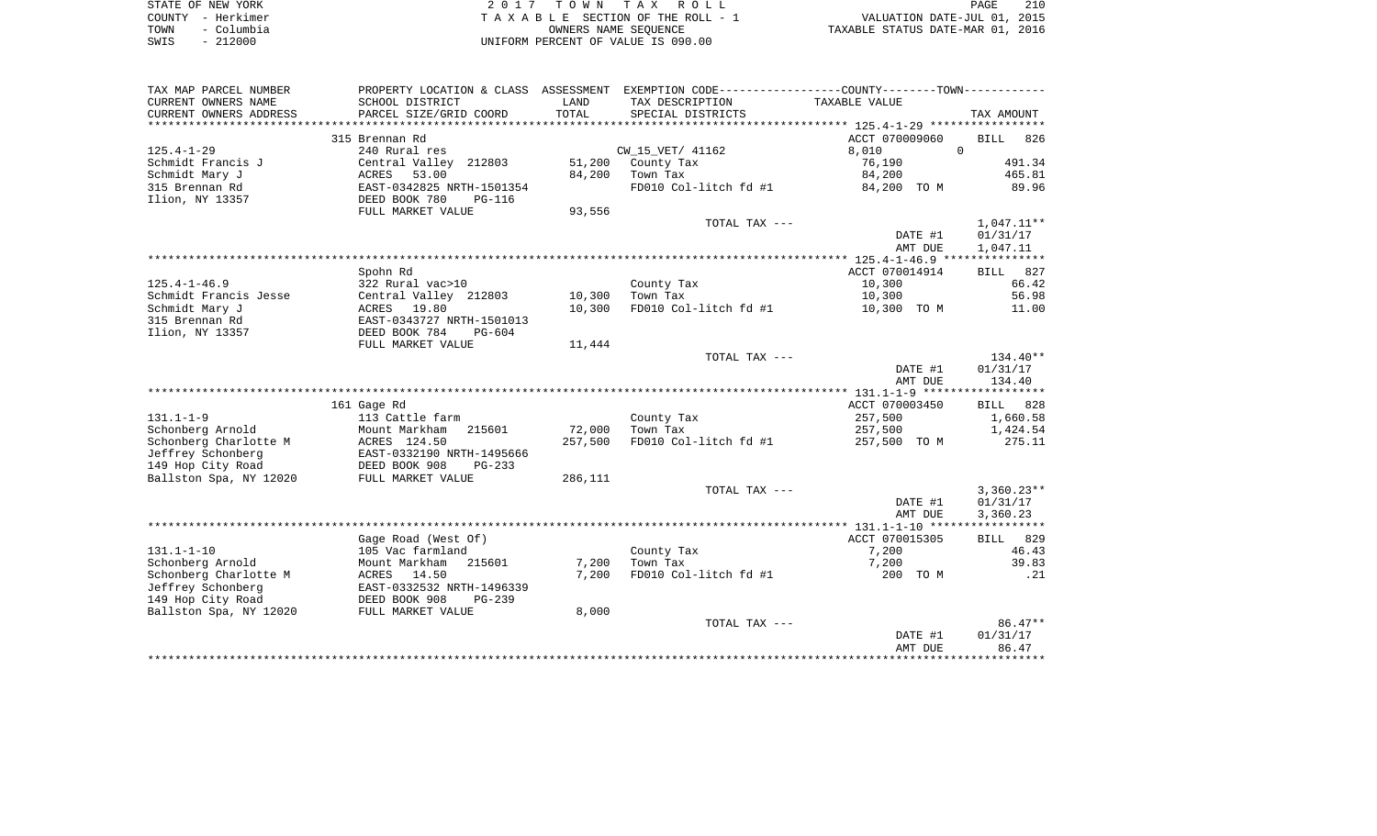|      | STATE OF NEW YORK | 2017 TOWN TAX ROLL                 | 210<br>PAGE                      |
|------|-------------------|------------------------------------|----------------------------------|
|      | COUNTY - Herkimer | TAXABLE SECTION OF THE ROLL - 1    | VALUATION DATE-JUL 01, 2015      |
| TOWN | - Columbia        | OWNERS NAME SEOUENCE               | TAXABLE STATUS DATE-MAR 01, 2016 |
| SWIS | $-212000$         | UNIFORM PERCENT OF VALUE IS 090.00 |                                  |

| TAX MAP PARCEL NUMBER  |                                |         | PROPERTY LOCATION & CLASS ASSESSMENT EXEMPTION CODE----------------COUNTY--------TOWN---------- |                |                    |
|------------------------|--------------------------------|---------|-------------------------------------------------------------------------------------------------|----------------|--------------------|
| CURRENT OWNERS NAME    | SCHOOL DISTRICT                | LAND    | TAX DESCRIPTION                                                                                 | TAXABLE VALUE  |                    |
| CURRENT OWNERS ADDRESS | PARCEL SIZE/GRID COORD         | TOTAL   | SPECIAL DISTRICTS                                                                               |                | TAX AMOUNT         |
|                        |                                |         |                                                                                                 |                |                    |
|                        | 315 Brennan Rd                 |         |                                                                                                 | ACCT 070009060 | <b>BILL</b><br>826 |
| $125.4 - 1 - 29$       | 240 Rural res                  |         | CW_15_VET/ 41162                                                                                | 8,010          | $\Omega$           |
| Schmidt Francis J      | Central Valley 212803          |         | 51,200 County Tax                                                                               | 76,190         | 491.34             |
| Schmidt Mary J         | 53.00<br>ACRES                 | 84,200  | Town Tax                                                                                        | 84,200         | 465.81             |
| 315 Brennan Rd         | EAST-0342825 NRTH-1501354      |         | FD010 Col-litch fd #1                                                                           | 84,200 TO M    | 89.96              |
| Ilion, NY 13357        | DEED BOOK 780<br><b>PG-116</b> |         |                                                                                                 |                |                    |
|                        | FULL MARKET VALUE              | 93,556  |                                                                                                 |                |                    |
|                        |                                |         | TOTAL TAX ---                                                                                   |                | $1,047.11**$       |
|                        |                                |         |                                                                                                 | DATE #1        | 01/31/17           |
|                        |                                |         |                                                                                                 | AMT DUE        | 1,047.11           |
|                        |                                |         |                                                                                                 |                |                    |
|                        | Spohn Rd                       |         |                                                                                                 | ACCT 070014914 | BILL 827           |
| $125.4 - 1 - 46.9$     | 322 Rural vac>10               |         | County Tax                                                                                      | 10,300         | 66.42              |
| Schmidt Francis Jesse  | Central Valley 212803          | 10,300  | Town Tax                                                                                        | 10,300         | 56.98              |
| Schmidt Mary J         | ACRES 19.80                    | 10,300  | FD010 Col-litch fd #1                                                                           | 10,300 TO M    | 11.00              |
| 315 Brennan Rd         | EAST-0343727 NRTH-1501013      |         |                                                                                                 |                |                    |
| Ilion, NY 13357        | DEED BOOK 784<br>PG-604        |         |                                                                                                 |                |                    |
|                        | FULL MARKET VALUE              | 11,444  |                                                                                                 |                |                    |
|                        |                                |         | TOTAL TAX ---                                                                                   |                | $134.40**$         |
|                        |                                |         |                                                                                                 | DATE #1        | 01/31/17           |
|                        |                                |         |                                                                                                 | AMT DUE        | 134.40             |
|                        |                                |         |                                                                                                 |                |                    |
|                        | 161 Gage Rd                    |         |                                                                                                 | ACCT 070003450 | BILL 828           |
| $131.1 - 1 - 9$        | 113 Cattle farm                |         | County Tax                                                                                      | 257,500        | 1,660.58           |
| Schonberg Arnold       | Mount Markham<br>215601        | 72,000  | Town Tax                                                                                        | 257,500        | 1,424.54           |
| Schonberg Charlotte M  | ACRES 124.50                   | 257,500 | FD010 Col-litch fd #1                                                                           | 257,500 TOM    | 275.11             |
| Jeffrey Schonberg      | EAST-0332190 NRTH-1495666      |         |                                                                                                 |                |                    |
| 149 Hop City Road      | DEED BOOK 908<br>$PG-233$      |         |                                                                                                 |                |                    |
| Ballston Spa, NY 12020 | FULL MARKET VALUE              | 286,111 |                                                                                                 |                |                    |
|                        |                                |         | TOTAL TAX ---                                                                                   |                | $3,360.23**$       |
|                        |                                |         |                                                                                                 | DATE #1        | 01/31/17           |
|                        |                                |         |                                                                                                 | AMT DUE        | 3,360.23           |
|                        |                                |         |                                                                                                 |                |                    |
|                        | Gage Road (West Of)            |         |                                                                                                 | ACCT 070015305 | 829<br>BILL        |
| $131.1 - 1 - 10$       | 105 Vac farmland               |         | County Tax                                                                                      | 7,200          | 46.43              |
| Schonberg Arnold       | 215601<br>Mount Markham        | 7,200   | Town Tax                                                                                        | 7,200          | 39.83              |
| Schonberg Charlotte M  | 14.50<br>ACRES                 | 7,200   | FD010 Col-litch fd #1                                                                           | 200 TO M       | $\ldots$ 21        |
| Jeffrey Schonberg      | EAST-0332532 NRTH-1496339      |         |                                                                                                 |                |                    |
| 149 Hop City Road      | DEED BOOK 908<br>$PG-239$      |         |                                                                                                 |                |                    |
| Ballston Spa, NY 12020 | FULL MARKET VALUE              | 8,000   |                                                                                                 |                |                    |
|                        |                                |         | TOTAL TAX ---                                                                                   |                | $86.47**$          |
|                        |                                |         |                                                                                                 | DATE #1        | 01/31/17           |
|                        |                                |         |                                                                                                 | AMT DUE        | 86.47              |
|                        |                                |         |                                                                                                 |                |                    |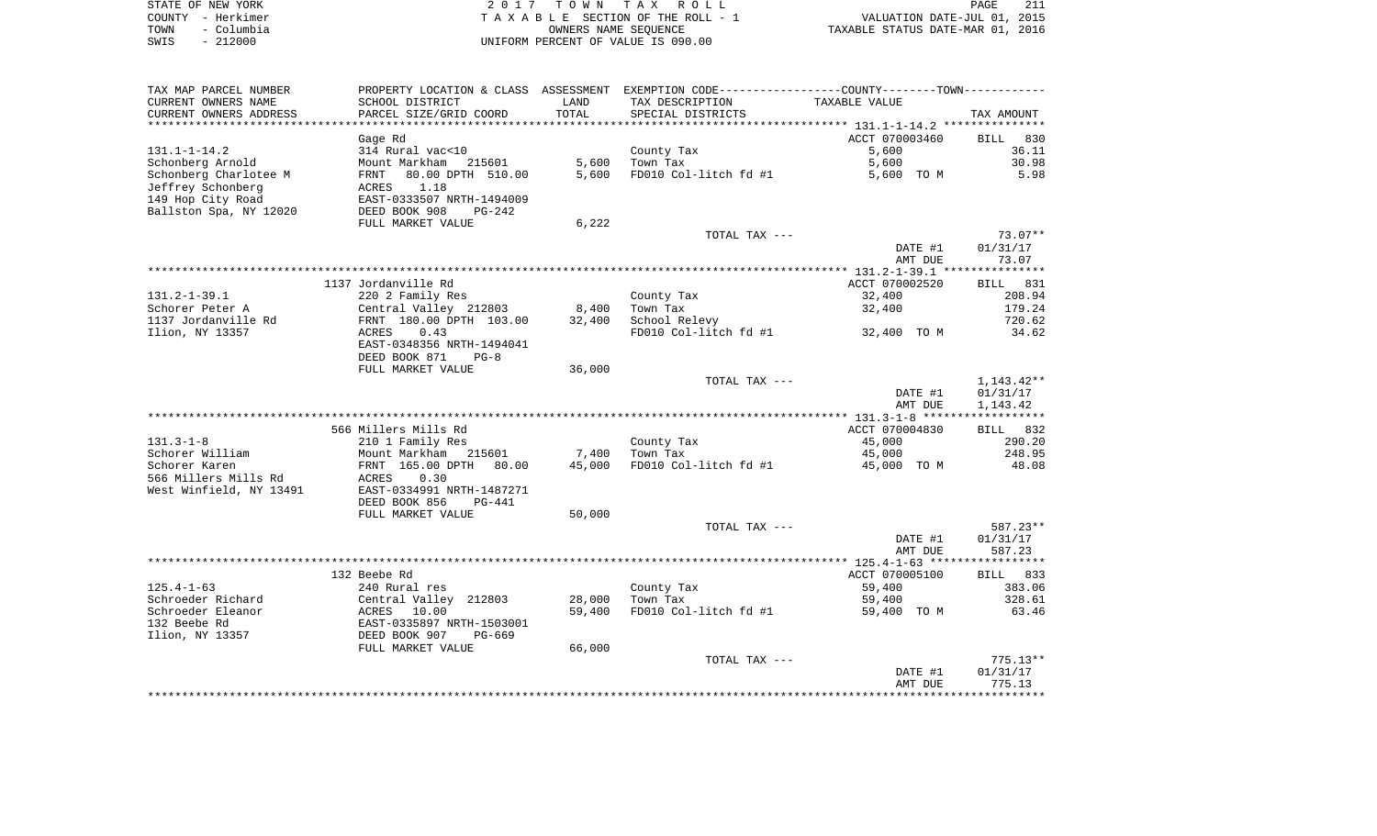| STATE OF NEW YORK  | 2017 TOWN TAX ROLL                 | 211<br><b>PAGE</b>               |
|--------------------|------------------------------------|----------------------------------|
| COUNTY - Herkimer  | TAXABLE SECTION OF THE ROLL - 1    | VALUATION DATE-JUL 01, 2015      |
| - Columbia<br>TOWN | OWNERS NAME SEOUENCE               | TAXABLE STATUS DATE-MAR 01, 2016 |
| $-212000$<br>SWIS  | UNIFORM PERCENT OF VALUE IS 090.00 |                                  |

| TAX MAP PARCEL NUMBER   |                                                        |        | PROPERTY LOCATION & CLASS ASSESSMENT EXEMPTION CODE---------------COUNTY-------TOWN---------- |                |                    |
|-------------------------|--------------------------------------------------------|--------|-----------------------------------------------------------------------------------------------|----------------|--------------------|
| CURRENT OWNERS NAME     | SCHOOL DISTRICT                                        | LAND   | TAX DESCRIPTION                                                                               | TAXABLE VALUE  |                    |
| CURRENT OWNERS ADDRESS  | PARCEL SIZE/GRID COORD                                 | TOTAL  | SPECIAL DISTRICTS                                                                             |                | TAX AMOUNT         |
|                         |                                                        |        |                                                                                               |                |                    |
|                         | Gage Rd                                                |        |                                                                                               | ACCT 070003460 | <b>BILL</b><br>830 |
| $131.1 - 1 - 14.2$      | 314 Rural vac<10                                       |        | County Tax                                                                                    | 5,600          | 36.11              |
| Schonberg Arnold        | Mount Markham<br>215601                                | 5,600  | Town Tax                                                                                      | 5,600          | 30.98              |
| Schonberg Charlotee M   | 80.00 DPTH 510.00<br>FRNT                              | 5,600  | FD010 Col-litch fd #1                                                                         | 5,600 TO M     | 5.98               |
| Jeffrey Schonberg       | 1.18<br>ACRES                                          |        |                                                                                               |                |                    |
| 149 Hop City Road       | EAST-0333507 NRTH-1494009                              |        |                                                                                               |                |                    |
| Ballston Spa, NY 12020  | DEED BOOK 908<br>$PG-242$                              | 6,222  |                                                                                               |                |                    |
|                         | FULL MARKET VALUE                                      |        | TOTAL TAX ---                                                                                 |                | $73.07**$          |
|                         |                                                        |        |                                                                                               | DATE #1        | 01/31/17           |
|                         |                                                        |        |                                                                                               | AMT DUE        | 73.07              |
|                         |                                                        |        |                                                                                               |                |                    |
|                         | 1137 Jordanville Rd                                    |        |                                                                                               | ACCT 070002520 | BILL 831           |
| $131.2 - 1 - 39.1$      | 220 2 Family Res                                       |        | County Tax                                                                                    | 32,400         | 208.94             |
| Schorer Peter A         | Central Valley 212803                                  | 8,400  | Town Tax                                                                                      | 32,400         | 179.24             |
| 1137 Jordanville Rd     | FRNT 180.00 DPTH 103.00                                | 32,400 | School Relevy                                                                                 |                | 720.62             |
| Ilion, NY 13357         | 0.43<br>ACRES                                          |        | FD010 Col-litch fd #1 32,400 TO M                                                             |                | 34.62              |
|                         | EAST-0348356 NRTH-1494041                              |        |                                                                                               |                |                    |
|                         | DEED BOOK 871<br>$PG-8$                                |        |                                                                                               |                |                    |
|                         | FULL MARKET VALUE                                      | 36,000 |                                                                                               |                |                    |
|                         |                                                        |        | TOTAL TAX ---                                                                                 |                | $1,143.42**$       |
|                         |                                                        |        |                                                                                               | DATE #1        | 01/31/17           |
|                         |                                                        |        |                                                                                               | AMT DUE        | 1,143.42           |
|                         |                                                        |        |                                                                                               |                |                    |
|                         | 566 Millers Mills Rd                                   |        |                                                                                               | ACCT 070004830 | BILL 832           |
| $131.3 - 1 - 8$         | 210 1 Family Res                                       |        | County Tax                                                                                    | 45,000         | 290.20             |
| Schorer William         | Mount Markham 215601                                   | 7,400  | Town Tax                                                                                      | 45,000         | 248.95             |
| Schorer Karen           | FRNT 165.00 DPTH 80.00                                 | 45,000 | FD010 Col-litch fd #1                                                                         | 45,000 TO M    | 48.08              |
| 566 Millers Mills Rd    | ACRES<br>0.30                                          |        |                                                                                               |                |                    |
| West Winfield, NY 13491 | EAST-0334991 NRTH-1487271<br>DEED BOOK 856<br>$PG-441$ |        |                                                                                               |                |                    |
|                         | FULL MARKET VALUE                                      | 50,000 |                                                                                               |                |                    |
|                         |                                                        |        | TOTAL TAX ---                                                                                 |                | 587.23**           |
|                         |                                                        |        |                                                                                               | DATE #1        | 01/31/17           |
|                         |                                                        |        |                                                                                               | AMT DUE        | 587.23             |
|                         |                                                        |        |                                                                                               |                |                    |
|                         | 132 Beebe Rd                                           |        |                                                                                               | ACCT 070005100 | BILL 833           |
| $125.4 - 1 - 63$        | 240 Rural res                                          |        | County Tax                                                                                    | 59,400         | 383.06             |
| Schroeder Richard       | Central Valley 212803                                  | 28,000 | Town Tax                                                                                      | 59,400         | 328.61             |
| Schroeder Eleanor       | 10.00<br>ACRES                                         | 59,400 | FD010 Col-litch fd #1                                                                         | 59,400 TO M    | 63.46              |
| 132 Beebe Rd            | EAST-0335897 NRTH-1503001                              |        |                                                                                               |                |                    |
| Ilion, NY 13357         | DEED BOOK 907<br>$PG-669$                              |        |                                                                                               |                |                    |
|                         | FULL MARKET VALUE                                      | 66,000 |                                                                                               |                |                    |
|                         |                                                        |        | TOTAL TAX ---                                                                                 |                | $775.13**$         |
|                         |                                                        |        |                                                                                               | DATE #1        | 01/31/17           |
|                         |                                                        |        |                                                                                               | AMT DUE        | 775.13             |
|                         |                                                        |        |                                                                                               |                |                    |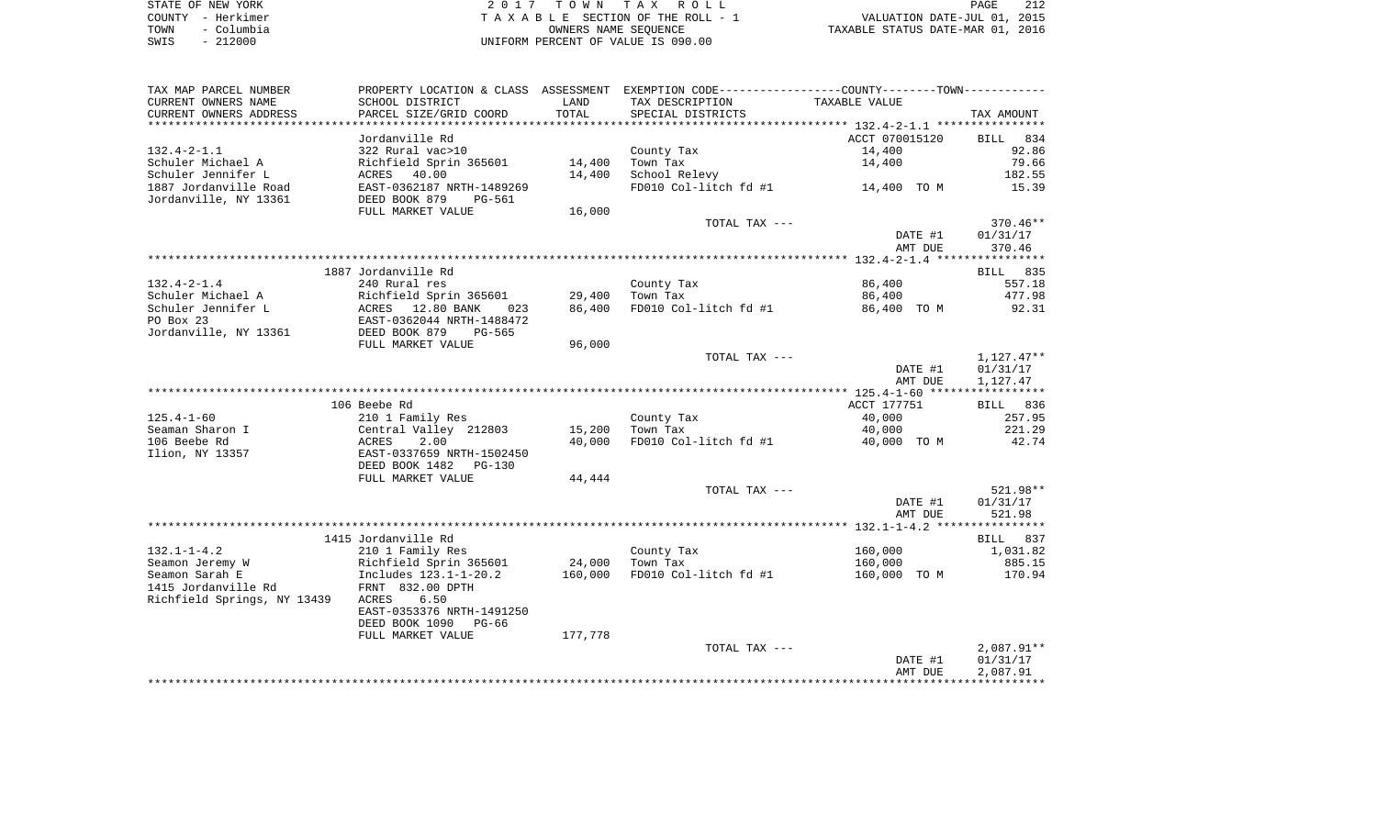| STATE OF NEW YORK  | 2017 TOWN TAX ROLL                 | PAGE                             |
|--------------------|------------------------------------|----------------------------------|
| COUNTY - Herkimer  | TAXABLE SECTION OF THE ROLL - 1    | VALUATION DATE-JUL 01, 2015      |
| - Columbia<br>TOWN | OWNERS NAME SEOUENCE               | TAXABLE STATUS DATE-MAR 01, 2016 |
| $-212000$<br>SWIS  | UNIFORM PERCENT OF VALUE IS 090.00 |                                  |

| TAX MAP PARCEL NUMBER       | PROPERTY LOCATION & CLASS ASSESSMENT EXEMPTION CODE---------------COUNTY--------TOWN---------- |                     |                                                                      |                |                    |
|-----------------------------|------------------------------------------------------------------------------------------------|---------------------|----------------------------------------------------------------------|----------------|--------------------|
| CURRENT OWNERS NAME         | SCHOOL DISTRICT                                                                                | LAND                | TAX DESCRIPTION                                                      | TAXABLE VALUE  |                    |
| CURRENT OWNERS ADDRESS      | PARCEL SIZE/GRID COORD                                                                         | TOTAL               | SPECIAL DISTRICTS                                                    |                | TAX AMOUNT         |
|                             |                                                                                                | * * * * * * * * * * | ************************************** 132.4-2-1.1 ***************** |                |                    |
|                             | Jordanville Rd                                                                                 |                     |                                                                      | ACCT 070015120 | <b>BILL</b><br>834 |
| $132.4 - 2 - 1.1$           | 322 Rural vac>10                                                                               |                     | County Tax                                                           | 14,400         | 92.86              |
| Schuler Michael A           | Richfield Sprin 365601                                                                         | 14,400              | Town Tax                                                             | 14,400         | 79.66              |
| Schuler Jennifer L          | 40.00<br>ACRES                                                                                 | 14,400              | School Relevy                                                        |                | 182.55             |
| 1887 Jordanville Road       | EAST-0362187 NRTH-1489269                                                                      |                     | FD010 Col-litch fd #1                                                | 14,400 TO M    | 15.39              |
| Jordanville, NY 13361       | DEED BOOK 879<br>PG-561                                                                        |                     |                                                                      |                |                    |
|                             | FULL MARKET VALUE                                                                              | 16,000              |                                                                      |                |                    |
|                             |                                                                                                |                     | TOTAL TAX ---                                                        |                | $370.46**$         |
|                             |                                                                                                |                     |                                                                      | DATE #1        | 01/31/17           |
|                             |                                                                                                |                     |                                                                      | AMT DUE        | 370.46             |
|                             |                                                                                                |                     |                                                                      |                |                    |
|                             | 1887 Jordanville Rd                                                                            |                     |                                                                      |                | BILL 835           |
| $132.4 - 2 - 1.4$           | 240 Rural res                                                                                  |                     | County Tax                                                           | 86,400         | 557.18             |
| Schuler Michael A           | Richfield Sprin 365601                                                                         | 29,400              | Town Tax                                                             | 86,400         | 477.98             |
| Schuler Jennifer L          | ACRES 12.80 BANK<br>023                                                                        | 86,400              | FD010 Col-litch fd #1                                                | 86,400 TO M    | 92.31              |
| PO Box 23                   | EAST-0362044 NRTH-1488472                                                                      |                     |                                                                      |                |                    |
| Jordanville, NY 13361       | DEED BOOK 879<br>$PG - 565$                                                                    |                     |                                                                      |                |                    |
|                             | FULL MARKET VALUE                                                                              | 96,000              | TOTAL TAX ---                                                        |                | 1,127.47**         |
|                             |                                                                                                |                     |                                                                      | DATE #1        | 01/31/17           |
|                             |                                                                                                |                     |                                                                      | AMT DUE        | 1,127.47           |
|                             |                                                                                                |                     |                                                                      |                |                    |
|                             | 106 Beebe Rd                                                                                   |                     |                                                                      | ACCT 177751    | BILL 836           |
| $125.4 - 1 - 60$            | 210 1 Family Res                                                                               |                     | County Tax                                                           | 40,000         | 257.95             |
| Seaman Sharon I             | Central Valley 212803                                                                          | 15,200              | Town Tax                                                             | 40,000         | 221.29             |
| 106 Beebe Rd                | 2.00<br>ACRES                                                                                  | 40,000              | FD010 Col-litch fd #1                                                | 40,000 TO M    | 42.74              |
| Ilion, NY 13357             | EAST-0337659 NRTH-1502450                                                                      |                     |                                                                      |                |                    |
|                             | DEED BOOK 1482<br>PG-130                                                                       |                     |                                                                      |                |                    |
|                             | FULL MARKET VALUE                                                                              | 44,444              |                                                                      |                |                    |
|                             |                                                                                                |                     | TOTAL TAX ---                                                        |                | 521.98**           |
|                             |                                                                                                |                     |                                                                      | DATE #1        | 01/31/17           |
|                             |                                                                                                |                     |                                                                      | AMT DUE        | 521.98             |
|                             |                                                                                                |                     |                                                                      |                |                    |
|                             | 1415 Jordanville Rd                                                                            |                     |                                                                      |                | BILL 837           |
| $132.1 - 1 - 4.2$           | 210 1 Family Res                                                                               |                     | County Tax                                                           | 160,000        | 1,031.82           |
| Seamon Jeremy W             | Richfield Sprin 365601                                                                         | 24,000              | Town Tax                                                             | 160,000        | 885.15             |
| Seamon Sarah E              | Includes 123.1-1-20.2                                                                          | 160,000             | FD010 Col-litch fd #1                                                | 160,000 TO M   | 170.94             |
| 1415 Jordanville Rd         | FRNT 832.00 DPTH                                                                               |                     |                                                                      |                |                    |
| Richfield Springs, NY 13439 | ACRES<br>6.50                                                                                  |                     |                                                                      |                |                    |
|                             | EAST-0353376 NRTH-1491250                                                                      |                     |                                                                      |                |                    |
|                             | DEED BOOK 1090<br>PG-66                                                                        |                     |                                                                      |                |                    |
|                             | FULL MARKET VALUE                                                                              | 177,778             |                                                                      |                |                    |
|                             |                                                                                                |                     | TOTAL TAX ---                                                        |                | $2,087.91**$       |
|                             |                                                                                                |                     |                                                                      | DATE #1        | 01/31/17           |
|                             |                                                                                                |                     |                                                                      | AMT DUE        | 2,087.91           |
|                             |                                                                                                |                     |                                                                      |                |                    |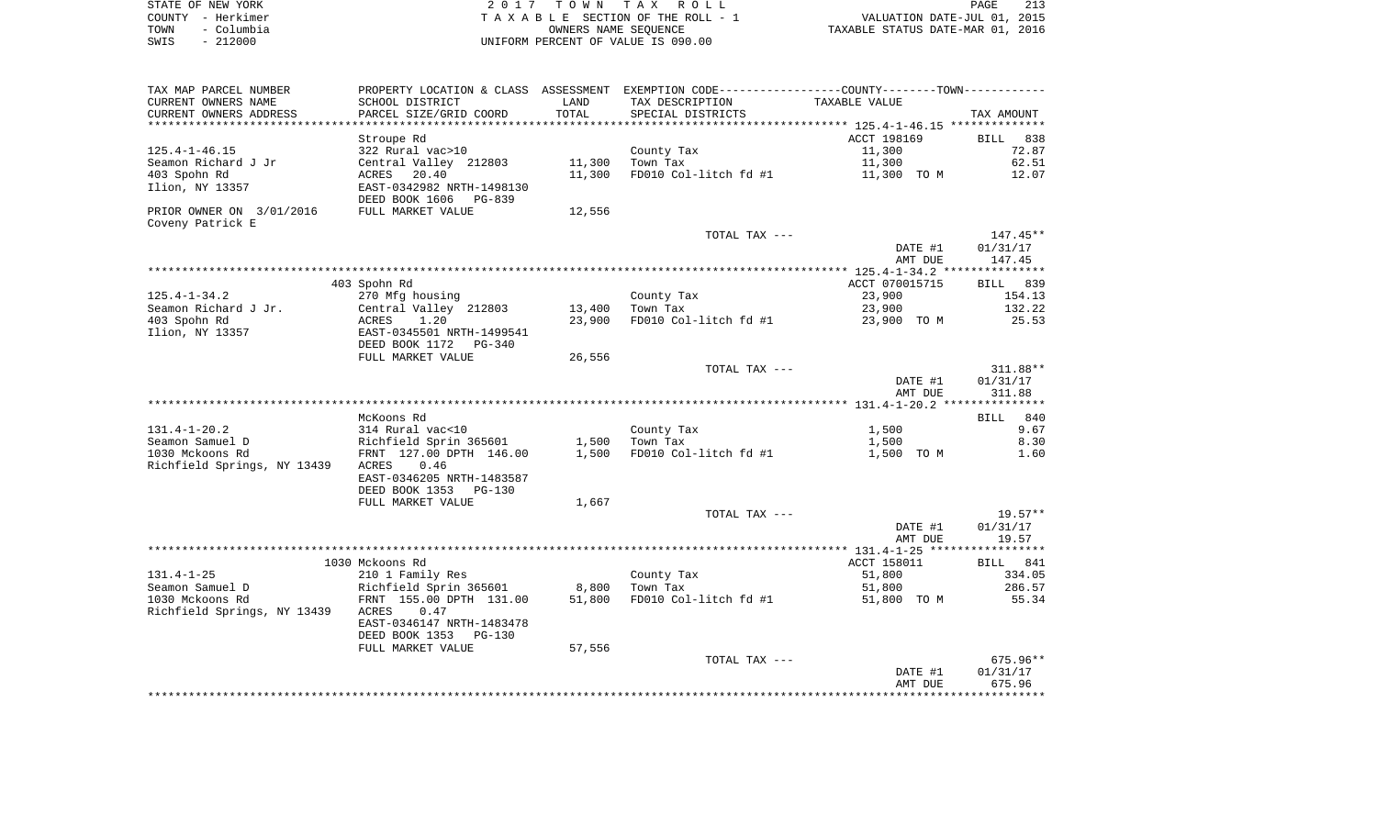| STATE OF NEW YORK  | 2017 TOWN TAX ROLL                 | 213<br>PAGE                      |
|--------------------|------------------------------------|----------------------------------|
| COUNTY - Herkimer  | TAXABLE SECTION OF THE ROLL - 1    | VALUATION DATE-JUL 01, 2015      |
| - Columbia<br>TOWN | OWNERS NAME SEOUENCE               | TAXABLE STATUS DATE-MAR 01, 2016 |
| - 212000<br>SWIS   | UNIFORM PERCENT OF VALUE IS 090.00 |                                  |

| TAX MAP PARCEL NUMBER                          | PROPERTY LOCATION & CLASS ASSESSMENT EXEMPTION CODE---------------COUNTY-------TOWN---------- |        |                       |                |                    |
|------------------------------------------------|-----------------------------------------------------------------------------------------------|--------|-----------------------|----------------|--------------------|
| CURRENT OWNERS NAME                            | SCHOOL DISTRICT                                                                               | LAND   | TAX DESCRIPTION       | TAXABLE VALUE  |                    |
| CURRENT OWNERS ADDRESS                         | PARCEL SIZE/GRID COORD                                                                        | TOTAL  | SPECIAL DISTRICTS     |                | TAX AMOUNT         |
| ***********************                        |                                                                                               |        |                       |                |                    |
|                                                | Stroupe Rd                                                                                    |        |                       | ACCT 198169    | <b>BILL</b><br>838 |
| $125.4 - 1 - 46.15$                            | 322 Rural vac>10                                                                              |        | County Tax            | 11,300         | 72.87              |
| Seamon Richard J Jr                            | Central Valley 212803                                                                         | 11,300 | Town Tax              | 11,300         | 62.51              |
| 403 Spohn Rd                                   | 20.40<br>ACRES                                                                                | 11,300 | FD010 Col-litch fd #1 | 11,300 TO M    | 12.07              |
| Ilion, NY 13357                                | EAST-0342982 NRTH-1498130<br>DEED BOOK 1606<br>PG-839                                         |        |                       |                |                    |
| PRIOR OWNER ON 3/01/2016<br>Coveny Patrick E   | FULL MARKET VALUE                                                                             | 12,556 |                       |                |                    |
|                                                |                                                                                               |        | TOTAL TAX ---         |                | $147.45**$         |
|                                                |                                                                                               |        |                       | DATE #1        | 01/31/17           |
|                                                |                                                                                               |        |                       | AMT DUE        | 147.45             |
|                                                |                                                                                               |        |                       |                |                    |
|                                                | 403 Spohn Rd                                                                                  |        |                       | ACCT 070015715 | BILL 839           |
| $125.4 - 1 - 34.2$                             | 270 Mfg housing                                                                               |        | County Tax            | 23,900         | 154.13             |
| Seamon Richard J Jr.                           | Central Valley 212803                                                                         | 13,400 | Town Tax              | 23,900         | 132.22             |
| 403 Spohn Rd                                   | ACRES<br>1.20                                                                                 | 23,900 | FD010 Col-litch fd #1 | 23,900 TO M    | 25.53              |
| Ilion, NY 13357                                | EAST-0345501 NRTH-1499541                                                                     |        |                       |                |                    |
|                                                | DEED BOOK 1172<br>PG-340                                                                      |        |                       |                |                    |
|                                                | FULL MARKET VALUE                                                                             | 26,556 |                       |                |                    |
|                                                |                                                                                               |        | TOTAL TAX ---         |                | 311.88**           |
|                                                |                                                                                               |        |                       | DATE #1        | 01/31/17           |
|                                                |                                                                                               |        |                       | AMT DUE        | 311.88             |
|                                                |                                                                                               |        |                       |                |                    |
|                                                | McKoons Rd                                                                                    |        |                       |                | BILL 840           |
| $131.4 - 1 - 20.2$                             | 314 Rural vac<10                                                                              |        | County Tax            | 1,500          | 9.67               |
| Seamon Samuel D                                | Richfield Sprin 365601                                                                        | 1,500  | Town Tax              | 1,500          | 8.30               |
| 1030 Mckoons Rd<br>Richfield Springs, NY 13439 | FRNT 127.00 DPTH 146.00<br>ACRES<br>0.46                                                      | 1,500  | FD010 Col-litch fd #1 | 1,500 TO M     | 1.60               |
|                                                | EAST-0346205 NRTH-1483587                                                                     |        |                       |                |                    |
|                                                | DEED BOOK 1353<br>PG-130                                                                      |        |                       |                |                    |
|                                                | FULL MARKET VALUE                                                                             | 1,667  |                       |                |                    |
|                                                |                                                                                               |        | TOTAL TAX ---         |                | $19.57**$          |
|                                                |                                                                                               |        |                       | DATE #1        | 01/31/17<br>19.57  |
|                                                |                                                                                               |        |                       | AMT DUE        |                    |
|                                                | 1030 Mckoons Rd                                                                               |        |                       | ACCT 158011    | BILL 841           |
| $131.4 - 1 - 25$                               | 210 1 Family Res                                                                              |        | County Tax            | 51,800         | 334.05             |
| Seamon Samuel D                                | Richfield Sprin 365601                                                                        | 8,800  | Town Tax              | 51,800         | 286.57             |
| 1030 Mckoons Rd                                | FRNT 155.00 DPTH 131.00                                                                       | 51,800 | FD010 Col-litch fd #1 | 51,800 TO M    | 55.34              |
| Richfield Springs, NY 13439                    | ACRES<br>0.47                                                                                 |        |                       |                |                    |
|                                                | EAST-0346147 NRTH-1483478                                                                     |        |                       |                |                    |
|                                                | DEED BOOK 1353<br>PG-130                                                                      |        |                       |                |                    |
|                                                | FULL MARKET VALUE                                                                             | 57,556 |                       |                |                    |
|                                                |                                                                                               |        | TOTAL TAX ---         |                | $675.96**$         |
|                                                |                                                                                               |        |                       | DATE #1        | 01/31/17           |
|                                                |                                                                                               |        |                       | AMT DUE        | 675.96             |
|                                                |                                                                                               |        |                       |                |                    |
|                                                |                                                                                               |        |                       |                |                    |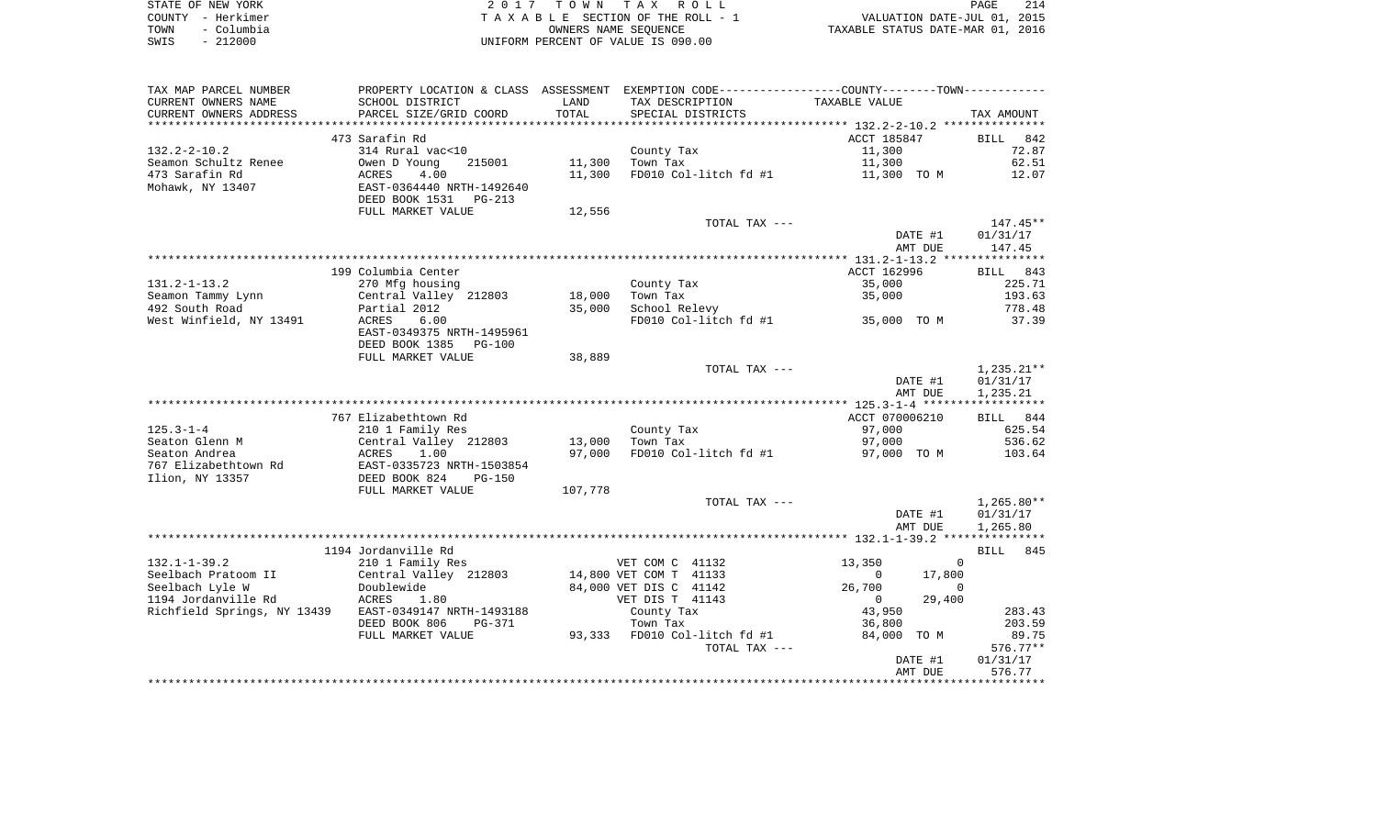|      | STATE OF NEW YORK | 2017 TOWN TAX ROLL                 | 214<br>PAGE                      |
|------|-------------------|------------------------------------|----------------------------------|
|      | COUNTY - Herkimer | TAXABLE SECTION OF THE ROLL - 1    | VALUATION DATE-JUL 01, 2015      |
| TOWN | - Columbia        | OWNERS NAME SEOUENCE               | TAXABLE STATUS DATE-MAR 01, 2016 |
| SWIS | $-212000$         | UNIFORM PERCENT OF VALUE IS 090.00 |                                  |

| TAX MAP PARCEL NUMBER       |                                 |         | PROPERTY LOCATION & CLASS ASSESSMENT EXEMPTION CODE---------------COUNTY-------TOWN---------- |                          |                    |
|-----------------------------|---------------------------------|---------|-----------------------------------------------------------------------------------------------|--------------------------|--------------------|
| CURRENT OWNERS NAME         | SCHOOL DISTRICT                 | LAND    | TAX DESCRIPTION                                                                               | TAXABLE VALUE            |                    |
| CURRENT OWNERS ADDRESS      | PARCEL SIZE/GRID COORD          | TOTAL   | SPECIAL DISTRICTS                                                                             |                          | TAX AMOUNT         |
| **********************      |                                 |         |                                                                                               |                          |                    |
|                             | 473 Sarafin Rd                  |         |                                                                                               | ACCT 185847              | 842<br><b>BILL</b> |
| $132.2 - 2 - 10.2$          | 314 Rural vac<10                |         | County Tax                                                                                    | 11,300                   | 72.87              |
| Seamon Schultz Renee        | Owen D Young<br>215001          | 11,300  | Town Tax                                                                                      | 11,300                   | 62.51              |
| 473 Sarafin Rd              | ACRES<br>4.00                   | 11,300  | FD010 Col-litch fd #1                                                                         | 11,300 TO M              | 12.07              |
| Mohawk, NY 13407            | EAST-0364440 NRTH-1492640       |         |                                                                                               |                          |                    |
|                             | DEED BOOK 1531<br>PG-213        |         |                                                                                               |                          |                    |
|                             | FULL MARKET VALUE               | 12,556  |                                                                                               |                          |                    |
|                             |                                 |         | TOTAL TAX ---                                                                                 |                          | 147.45**           |
|                             |                                 |         |                                                                                               | DATE #1                  | 01/31/17           |
|                             |                                 |         |                                                                                               | AMT DUE                  | 147.45             |
|                             |                                 |         |                                                                                               |                          |                    |
|                             | 199 Columbia Center             |         |                                                                                               | ACCT 162996              | BILL 843           |
| $131.2 - 1 - 13.2$          | 270 Mfg housing                 |         | County Tax                                                                                    | 35,000                   | 225.71             |
| Seamon Tammy Lynn           | Central Valley 212803           | 18,000  | Town Tax                                                                                      | 35,000                   | 193.63             |
| 492 South Road              | Partial 2012                    | 35,000  | School Relevy                                                                                 |                          | 778.48             |
| West Winfield, NY 13491     | ACRES<br>6.00                   |         | FD010 Col-litch fd #1                                                                         | 35,000 TO M              | 37.39              |
|                             | EAST-0349375 NRTH-1495961       |         |                                                                                               |                          |                    |
|                             | DEED BOOK 1385<br><b>PG-100</b> |         |                                                                                               |                          |                    |
|                             | FULL MARKET VALUE               | 38,889  |                                                                                               |                          |                    |
|                             |                                 |         | TOTAL TAX ---                                                                                 |                          | 1,235.21**         |
|                             |                                 |         |                                                                                               | DATE #1<br>AMT DUE       | 01/31/17           |
|                             |                                 |         |                                                                                               |                          | 1,235.21           |
|                             | 767 Elizabethtown Rd            |         |                                                                                               | ACCT 070006210           | BILL 844           |
| $125.3 - 1 - 4$             | 210 1 Family Res                |         | County Tax                                                                                    | 97,000                   | 625.54             |
| Seaton Glenn M              | Central Valley 212803           | 13,000  | Town Tax                                                                                      | 97,000                   | 536.62             |
| Seaton Andrea               | ACRES<br>1.00                   | 97,000  | FD010 Col-litch fd #1                                                                         | 97,000 TO M              | 103.64             |
| 767 Elizabethtown Rd        | EAST-0335723 NRTH-1503854       |         |                                                                                               |                          |                    |
| Ilion, NY 13357             | DEED BOOK 824<br>$PG-150$       |         |                                                                                               |                          |                    |
|                             | FULL MARKET VALUE               | 107,778 |                                                                                               |                          |                    |
|                             |                                 |         | TOTAL TAX ---                                                                                 |                          | $1,265.80**$       |
|                             |                                 |         |                                                                                               | DATE #1                  | 01/31/17           |
|                             |                                 |         |                                                                                               | AMT DUE                  | 1,265.80           |
|                             |                                 |         |                                                                                               |                          |                    |
|                             | 1194 Jordanville Rd             |         |                                                                                               |                          | BILL 845           |
| $132.1 - 1 - 39.2$          | 210 1 Family Res                |         | VET COM C 41132                                                                               | 13,350<br>$\mathbf 0$    |                    |
| Seelbach Pratoom II         | Central Valley 212803           |         | 14,800 VET COM T 41133                                                                        | 17,800<br>$\mathbf 0$    |                    |
| Seelbach Lyle W             | Doublewide                      |         | 84,000 VET DIS C 41142                                                                        | 26,700<br>0              |                    |
| 1194 Jordanville Rd         | ACRES<br>1.80                   |         | VET DIS T 41143                                                                               | 29,400<br>$\overline{0}$ |                    |
| Richfield Springs, NY 13439 | EAST-0349147 NRTH-1493188       |         | County Tax                                                                                    | 43,950                   | 283.43             |
|                             | DEED BOOK 806<br>PG-371         |         | Town Tax                                                                                      | 36,800                   | 203.59             |
|                             | FULL MARKET VALUE               |         | 93,333 FD010 Col-litch fd #1                                                                  | 84,000 TO M              | 89.75              |
|                             |                                 |         | TOTAL TAX ---                                                                                 |                          | $576.77**$         |
|                             |                                 |         |                                                                                               | DATE #1                  | 01/31/17           |
|                             |                                 |         |                                                                                               | AMT DUE                  | 576.77             |
|                             |                                 |         |                                                                                               |                          |                    |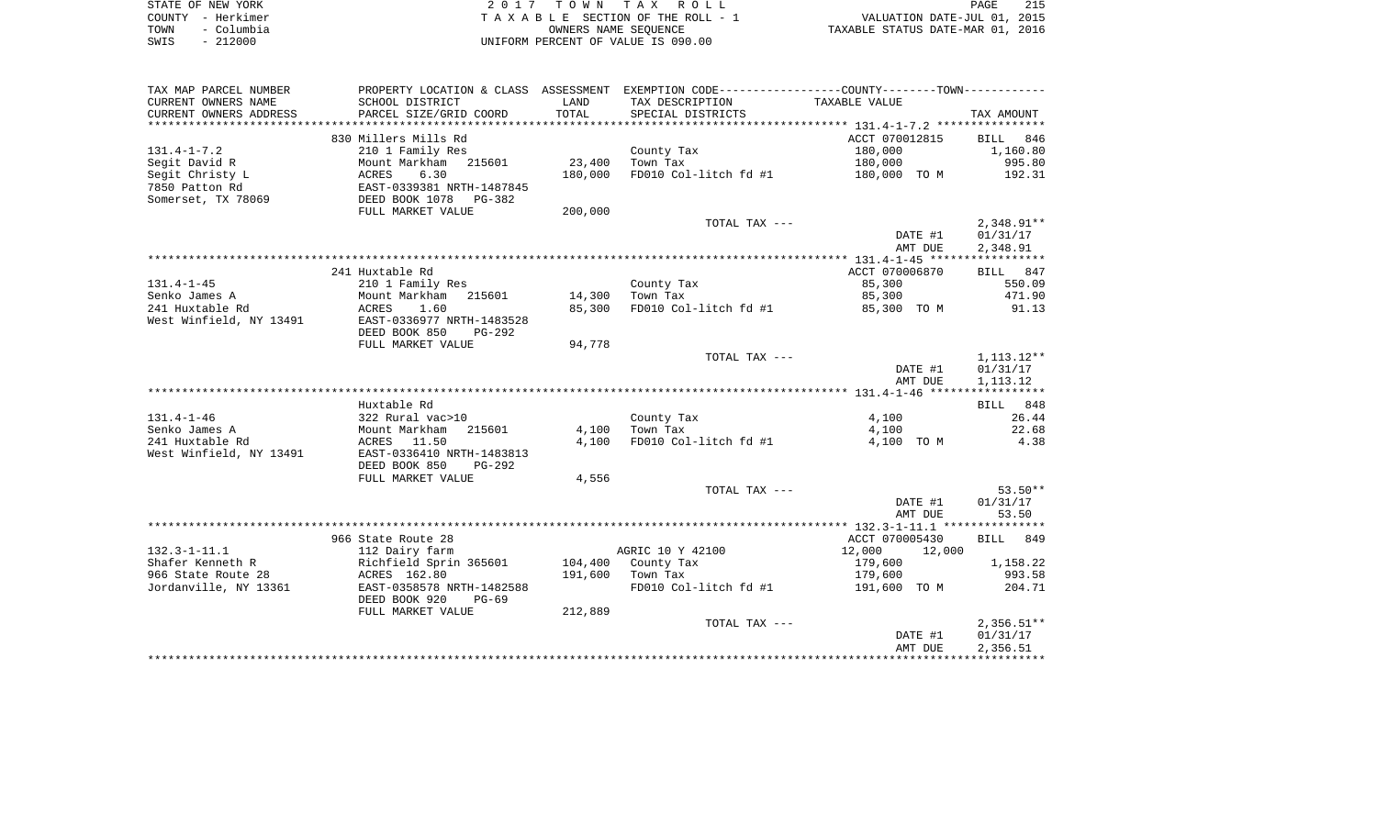| STATE OF NEW YORK  | 2017 TOWN TAX ROLL                 | 215<br>PAGE                      |
|--------------------|------------------------------------|----------------------------------|
| COUNTY - Herkimer  | TAXABLE SECTION OF THE ROLL - 1    | VALUATION DATE-JUL 01, 2015      |
| - Columbia<br>TOWN | OWNERS NAME SEOUENCE               | TAXABLE STATUS DATE-MAR 01, 2016 |
| $-212000$<br>SWIS  | UNIFORM PERCENT OF VALUE IS 090.00 |                                  |

| TAX MAP PARCEL NUMBER     |                           |         | PROPERTY LOCATION & CLASS ASSESSMENT EXEMPTION CODE----------------COUNTY--------TOWN---------- |                |              |
|---------------------------|---------------------------|---------|-------------------------------------------------------------------------------------------------|----------------|--------------|
| CURRENT OWNERS NAME       | SCHOOL DISTRICT           | LAND    | TAX DESCRIPTION                                                                                 | TAXABLE VALUE  |              |
| CURRENT OWNERS ADDRESS    | PARCEL SIZE/GRID COORD    | TOTAL   | SPECIAL DISTRICTS                                                                               |                | TAX AMOUNT   |
| ************************* |                           |         |                                                                                                 |                |              |
|                           | 830 Millers Mills Rd      |         |                                                                                                 | ACCT 070012815 | BILL 846     |
| $131.4 - 1 - 7.2$         | 210 1 Family Res          |         | County Tax                                                                                      | 180,000        | 1,160.80     |
| Segit David R             | 215601<br>Mount Markham   | 23,400  | Town Tax                                                                                        | 180,000        | 995.80       |
| Segit Christy L           | 6.30<br>ACRES             | 180,000 | FD010 Col-litch fd #1                                                                           | 180,000 TO M   | 192.31       |
| 7850 Patton Rd            | EAST-0339381 NRTH-1487845 |         |                                                                                                 |                |              |
| Somerset, TX 78069        | DEED BOOK 1078 PG-382     |         |                                                                                                 |                |              |
|                           | FULL MARKET VALUE         | 200,000 |                                                                                                 |                |              |
|                           |                           |         | TOTAL TAX ---                                                                                   |                | 2,348.91**   |
|                           |                           |         |                                                                                                 | DATE #1        | 01/31/17     |
|                           |                           |         |                                                                                                 | AMT DUE        | 2,348.91     |
|                           |                           |         |                                                                                                 |                |              |
|                           | 241 Huxtable Rd           |         |                                                                                                 | ACCT 070006870 | BILL 847     |
| $131.4 - 1 - 45$          | 210 1 Family Res          |         | County Tax                                                                                      | 85,300         | 550.09       |
| Senko James A             | 215601<br>Mount Markham   | 14,300  | Town Tax                                                                                        | 85,300         | 471.90       |
| 241 Huxtable Rd           | 1.60<br>ACRES             | 85,300  | FD010 Col-litch fd #1                                                                           | 85,300 TO M    | 91.13        |
| West Winfield, NY 13491   | EAST-0336977 NRTH-1483528 |         |                                                                                                 |                |              |
|                           | DEED BOOK 850<br>PG-292   |         |                                                                                                 |                |              |
|                           | FULL MARKET VALUE         | 94,778  |                                                                                                 |                |              |
|                           |                           |         | TOTAL TAX ---                                                                                   |                | $1,113.12**$ |
|                           |                           |         |                                                                                                 | DATE #1        | 01/31/17     |
|                           |                           |         |                                                                                                 | AMT DUE        | 1,113.12     |
|                           |                           |         |                                                                                                 |                |              |
|                           | Huxtable Rd               |         |                                                                                                 |                | BILL 848     |
| $131.4 - 1 - 46$          | 322 Rural vac>10          |         | County Tax                                                                                      | 4,100          | 26.44        |
| Senko James A             | Mount Markham<br>215601   | 4,100   | Town Tax                                                                                        | 4,100          | 22.68        |
| 241 Huxtable Rd           | ACRES 11.50               | 4,100   | FD010 Col-litch fd #1                                                                           | 4,100 TO M     | 4.38         |
| West Winfield, NY 13491   | EAST-0336410 NRTH-1483813 |         |                                                                                                 |                |              |
|                           | DEED BOOK 850<br>PG-292   |         |                                                                                                 |                |              |
|                           | FULL MARKET VALUE         | 4,556   |                                                                                                 |                |              |
|                           |                           |         | TOTAL TAX ---                                                                                   |                | $53.50**$    |
|                           |                           |         |                                                                                                 | DATE #1        | 01/31/17     |
|                           |                           |         |                                                                                                 | AMT DUE        | 53.50        |
|                           |                           |         |                                                                                                 |                |              |
|                           | 966 State Route 28        |         |                                                                                                 | ACCT 070005430 | BILL 849     |
| $132.3 - 1 - 11.1$        | 112 Dairy farm            |         | AGRIC 10 Y 42100                                                                                | 12,000 12,000  |              |
| Shafer Kenneth R          | Richfield Sprin 365601    |         | 104,400 County Tax                                                                              | 179,600        | 1,158.22     |
| 966 State Route 28        | ACRES 162.80              | 191,600 | Town Tax                                                                                        | 179,600        | 993.58       |
| Jordanville, NY 13361     | EAST-0358578 NRTH-1482588 |         | FD010 Col-litch fd #1                                                                           | 191,600 TO M   | 204.71       |
|                           | DEED BOOK 920<br>$PG-69$  |         |                                                                                                 |                |              |
|                           | FULL MARKET VALUE         | 212,889 |                                                                                                 |                |              |
|                           |                           |         | TOTAL TAX ---                                                                                   |                | $2,356.51**$ |
|                           |                           |         |                                                                                                 | DATE #1        | 01/31/17     |
|                           |                           |         |                                                                                                 | AMT DUE        | 2,356.51     |
|                           |                           |         |                                                                                                 |                |              |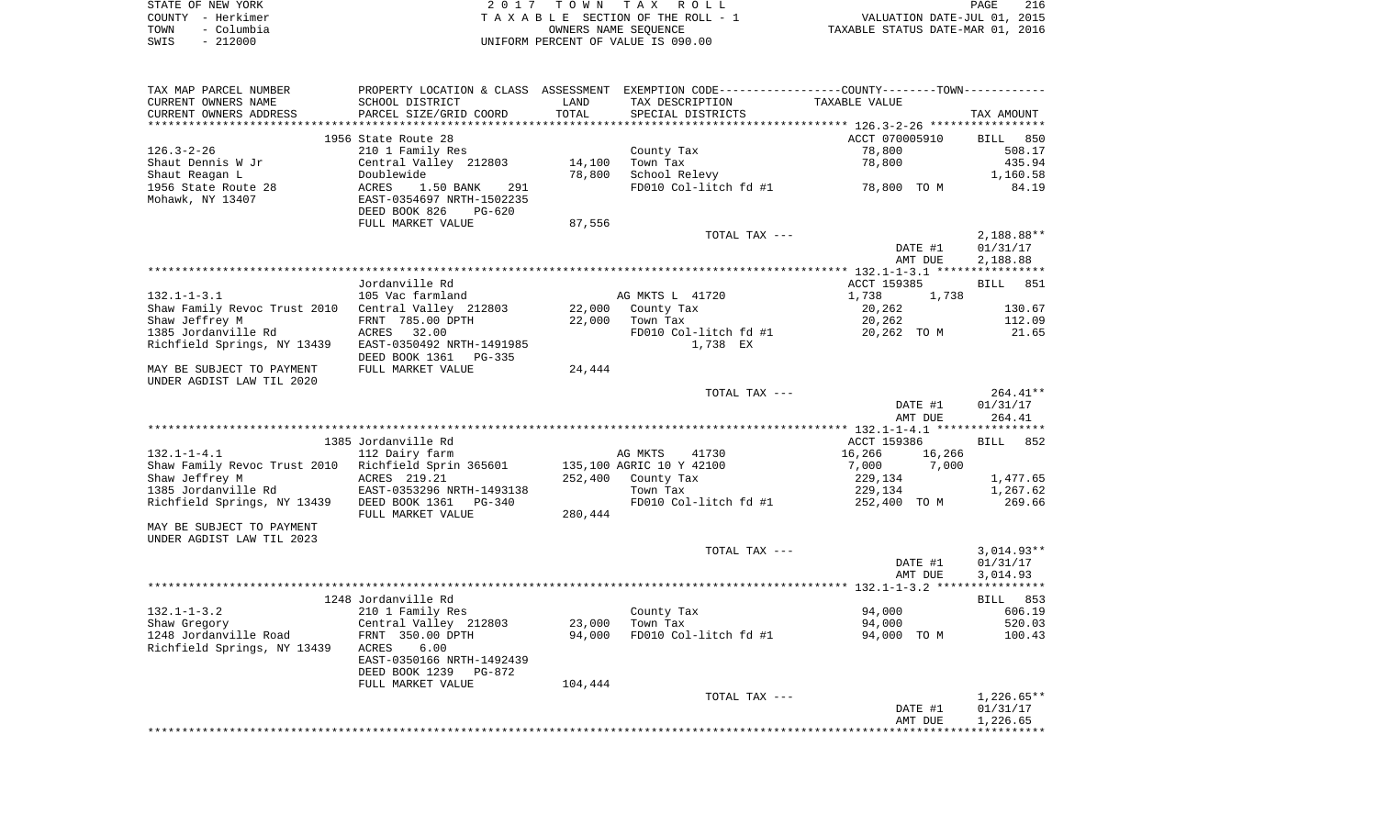| STATE OF NEW YORK  | 2017 TOWN TAX ROLL                 | 216<br>PAGE                      |
|--------------------|------------------------------------|----------------------------------|
| COUNTY - Herkimer  | TAXABLE SECTION OF THE ROLL - 1    | VALUATION DATE-JUL 01, 2015      |
| - Columbia<br>TOWN | OWNERS NAME SEOUENCE               | TAXABLE STATUS DATE-MAR 01, 2016 |
| $-212000$<br>SWIS  | UNIFORM PERCENT OF VALUE IS 090.00 |                                  |

| TAX MAP PARCEL NUMBER                               | PROPERTY LOCATION & CLASS ASSESSMENT EXEMPTION CODE----------------COUNTY--------TOWN---------- |         |                                     |                  |                 |
|-----------------------------------------------------|-------------------------------------------------------------------------------------------------|---------|-------------------------------------|------------------|-----------------|
| CURRENT OWNERS NAME                                 | SCHOOL DISTRICT                                                                                 | LAND    | TAX DESCRIPTION                     | TAXABLE VALUE    |                 |
| CURRENT OWNERS ADDRESS                              | PARCEL SIZE/GRID COORD                                                                          | TOTAL   | SPECIAL DISTRICTS                   |                  | TAX AMOUNT      |
|                                                     |                                                                                                 |         |                                     |                  |                 |
|                                                     | 1956 State Route 28                                                                             |         |                                     | ACCT 070005910   | BILL 850        |
| $126.3 - 2 - 26$                                    | 210 1 Family Res                                                                                |         | County Tax                          | 78,800           | 508.17          |
| Shaut Dennis W Jr                                   | Central Valley 212803                                                                           | 14,100  | Town Tax                            | 78,800           | 435.94          |
| Shaut Reagan L                                      | Doublewide                                                                                      | 78,800  | School Relevy                       |                  | 1,160.58        |
| 1956 State Route 28                                 | ACRES<br>1.50 BANK<br>291                                                                       |         | FD010 Col-litch fd $#1$ 78,800 TO M |                  | 84.19           |
| Mohawk, NY 13407                                    | EAST-0354697 NRTH-1502235                                                                       |         |                                     |                  |                 |
|                                                     | DEED BOOK 826<br>$PG-620$                                                                       |         |                                     |                  |                 |
|                                                     | FULL MARKET VALUE                                                                               | 87,556  |                                     |                  |                 |
|                                                     |                                                                                                 |         | TOTAL TAX ---                       |                  | $2,188.88**$    |
|                                                     |                                                                                                 |         |                                     | DATE #1          | 01/31/17        |
|                                                     |                                                                                                 |         |                                     | AMT DUE          | 2,188.88        |
|                                                     |                                                                                                 |         |                                     |                  |                 |
|                                                     | Jordanville Rd                                                                                  |         |                                     | ACCT 159385      | <b>BILL</b> 851 |
|                                                     |                                                                                                 |         |                                     |                  |                 |
| $132.1 - 1 - 3.1$                                   | 105 Vac farmland                                                                                |         | AG MKTS L 41720                     | 1,738<br>1,738   |                 |
| Shaw Family Revoc Trust 2010 Central Valley 212803  |                                                                                                 | 22,000  | County Tax                          | 20,262           | 130.67          |
| Shaw Jeffrey M                                      | FRNT 785.00 DPTH                                                                                | 22,000  | Town Tax                            | 20,262           | 112.09          |
| 1385 Jordanville Rd                                 | ACRES<br>32.00                                                                                  |         | FD010 Col-litch fd #1               | 20,262 TO M      | 21.65           |
| Richfield Springs, NY 13439                         | EAST-0350492 NRTH-1491985                                                                       |         | 1,738 EX                            |                  |                 |
|                                                     | DEED BOOK 1361<br>PG-335                                                                        |         |                                     |                  |                 |
| MAY BE SUBJECT TO PAYMENT                           | FULL MARKET VALUE                                                                               | 24,444  |                                     |                  |                 |
| UNDER AGDIST LAW TIL 2020                           |                                                                                                 |         |                                     |                  |                 |
|                                                     |                                                                                                 |         | TOTAL TAX ---                       |                  | 264.41**        |
|                                                     |                                                                                                 |         |                                     | DATE #1          | 01/31/17        |
|                                                     |                                                                                                 |         |                                     | AMT DUE          | 264.41          |
|                                                     |                                                                                                 |         |                                     |                  |                 |
|                                                     | 1385 Jordanville Rd                                                                             |         |                                     | ACCT 159386      | BILL 852        |
| $132.1 - 1 - 4.1$                                   | 112 Dairy farm                                                                                  |         | AG MKTS<br>41730                    | 16,266<br>16,266 |                 |
| Shaw Family Revoc Trust 2010 Richfield Sprin 365601 |                                                                                                 |         | 135,100 AGRIC 10 Y 42100            | 7,000<br>7,000   |                 |
| Shaw Jeffrey M                                      | ACRES 219.21                                                                                    | 252,400 | County Tax                          | 229,134          | 1,477.65        |
| 1385 Jordanville Rd                                 | EAST-0353296 NRTH-1493138                                                                       |         | Town Tax                            | 229,134          | 1,267.62        |
| Richfield Springs, NY 13439                         | DEED BOOK 1361<br>$PG-340$                                                                      |         | FD010 Col-litch fd #1 252,400 TO M  |                  | 269.66          |
|                                                     | FULL MARKET VALUE                                                                               | 280,444 |                                     |                  |                 |
| MAY BE SUBJECT TO PAYMENT                           |                                                                                                 |         |                                     |                  |                 |
| UNDER AGDIST LAW TIL 2023                           |                                                                                                 |         |                                     |                  |                 |
|                                                     |                                                                                                 |         | TOTAL TAX ---                       |                  | $3,014.93**$    |
|                                                     |                                                                                                 |         |                                     | DATE #1          | 01/31/17        |
|                                                     |                                                                                                 |         |                                     | AMT DUE          | 3,014.93        |
|                                                     |                                                                                                 |         |                                     |                  |                 |
|                                                     | 1248 Jordanville Rd                                                                             |         |                                     |                  | BILL 853        |
| $132.1 - 1 - 3.2$                                   | 210 1 Family Res                                                                                |         | County Tax                          | 94,000           | 606.19          |
| Shaw Gregory                                        | Central Valley 212803                                                                           | 23,000  | Town Tax                            | 94,000           | 520.03          |
| 1248 Jordanville Road                               | FRNT 350.00 DPTH                                                                                | 94,000  | FD010 Col-litch fd #1               | 94,000 TO M      | 100.43          |
| Richfield Springs, NY 13439                         | ACRES<br>6.00                                                                                   |         |                                     |                  |                 |
|                                                     | EAST-0350166 NRTH-1492439                                                                       |         |                                     |                  |                 |
|                                                     |                                                                                                 |         |                                     |                  |                 |
|                                                     | DEED BOOK 1239<br>PG-872                                                                        |         |                                     |                  |                 |
|                                                     | FULL MARKET VALUE                                                                               | 104,444 |                                     |                  |                 |
|                                                     |                                                                                                 |         | TOTAL TAX ---                       |                  | $1,226.65**$    |
|                                                     |                                                                                                 |         |                                     | DATE #1          | 01/31/17        |
|                                                     |                                                                                                 |         |                                     | AMT DUE          | 1,226.65        |
|                                                     |                                                                                                 |         |                                     |                  |                 |
|                                                     |                                                                                                 |         |                                     |                  |                 |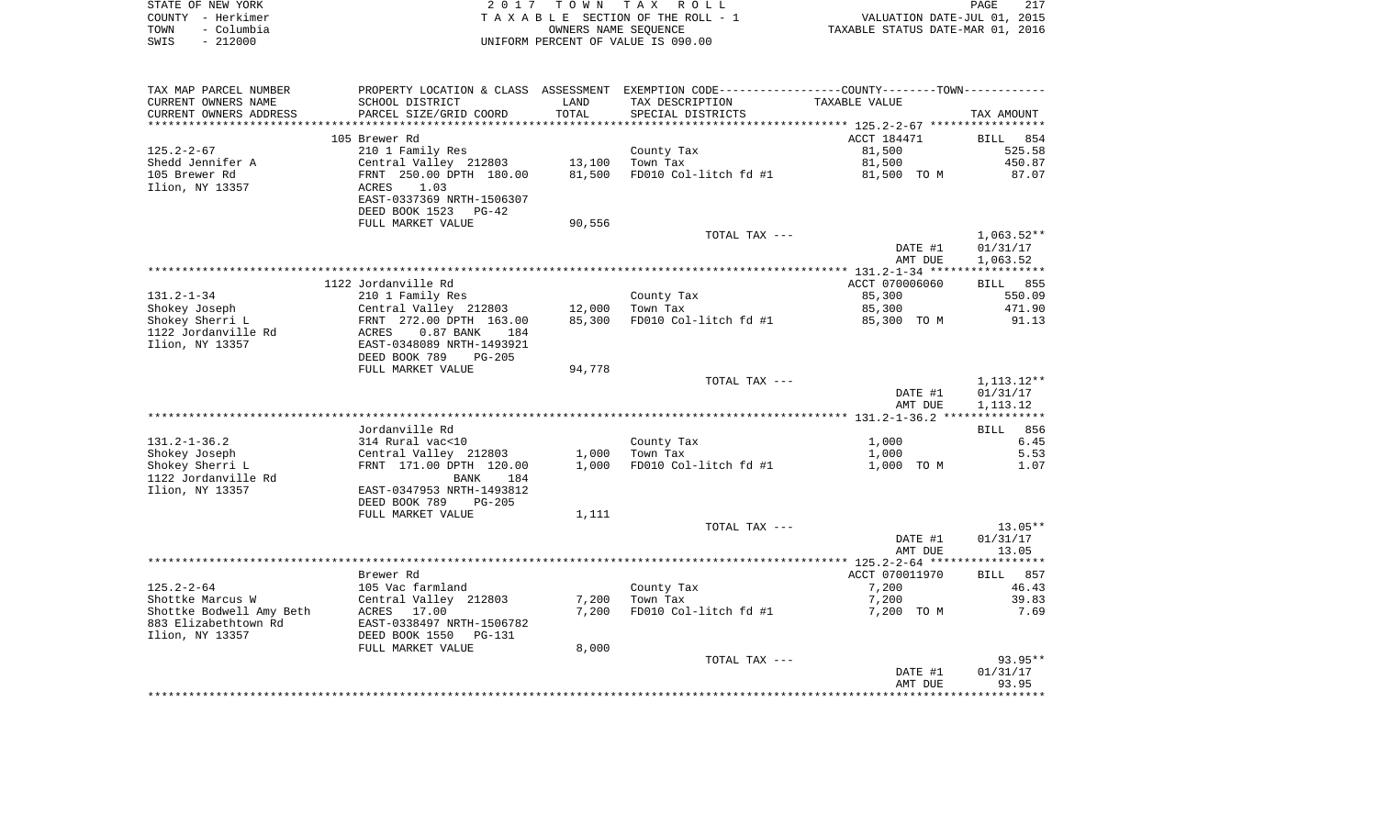|      | STATE OF NEW YORK | 2017 TOWN TAX ROLL                 | PAGE                             | 217 |
|------|-------------------|------------------------------------|----------------------------------|-----|
|      | COUNTY - Herkimer | TAXABLE SECTION OF THE ROLL - 1    | VALUATION DATE-JUL 01, 2015      |     |
| TOWN | - Columbia        | OWNERS NAME SEOUENCE               | TAXABLE STATUS DATE-MAR 01, 2016 |     |
| SWIS | - 212000          | UNIFORM PERCENT OF VALUE IS 090.00 |                                  |     |

| TAX MAP PARCEL NUMBER    | PROPERTY LOCATION & CLASS ASSESSMENT EXEMPTION CODE----------------COUNTY-------TOWN----------- |        |                       |                    |                   |
|--------------------------|-------------------------------------------------------------------------------------------------|--------|-----------------------|--------------------|-------------------|
| CURRENT OWNERS NAME      | SCHOOL DISTRICT                                                                                 | LAND   | TAX DESCRIPTION       | TAXABLE VALUE      |                   |
| CURRENT OWNERS ADDRESS   | PARCEL SIZE/GRID COORD                                                                          | TOTAL  | SPECIAL DISTRICTS     |                    | TAX AMOUNT        |
| **************           | *************************                                                                       |        |                       |                    |                   |
|                          | 105 Brewer Rd                                                                                   |        |                       | ACCT 184471        | BILL 854          |
| $125.2 - 2 - 67$         | 210 1 Family Res                                                                                |        | County Tax            | 81,500             | 525.58            |
| Shedd Jennifer A         | Central Valley 212803                                                                           | 13,100 | Town Tax              | 81,500             | 450.87            |
| 105 Brewer Rd            | FRNT 250.00 DPTH 180.00                                                                         | 81,500 | FD010 Col-litch fd #1 | 81,500 TO M        | 87.07             |
| Ilion, NY 13357          | 1.03<br>ACRES                                                                                   |        |                       |                    |                   |
|                          | EAST-0337369 NRTH-1506307                                                                       |        |                       |                    |                   |
|                          | DEED BOOK 1523<br>PG-42                                                                         |        |                       |                    |                   |
|                          | FULL MARKET VALUE                                                                               | 90,556 |                       |                    |                   |
|                          |                                                                                                 |        | TOTAL TAX ---         |                    | $1,063.52**$      |
|                          |                                                                                                 |        |                       | DATE #1            | 01/31/17          |
|                          |                                                                                                 |        |                       | AMT DUE            | 1,063.52          |
|                          |                                                                                                 |        |                       |                    |                   |
|                          | 1122 Jordanville Rd                                                                             |        |                       | ACCT 070006060     | <b>BILL</b> 855   |
| $131.2 - 1 - 34$         | 210 1 Family Res                                                                                |        | County Tax            | 85,300             | 550.09            |
| Shokey Joseph            | Central Valley 212803                                                                           | 12,000 | Town Tax              | 85,300             | 471.90            |
| Shokey Sherri L          | FRNT 272.00 DPTH 163.00                                                                         | 85,300 | FD010 Col-litch fd #1 | 85,300 TO M        | 91.13             |
| 1122 Jordanville Rd      | $0.87$ BANK<br>ACRES<br>184                                                                     |        |                       |                    |                   |
| Ilion, NY 13357          | EAST-0348089 NRTH-1493921                                                                       |        |                       |                    |                   |
|                          | DEED BOOK 789<br>$PG-205$                                                                       |        |                       |                    |                   |
|                          | FULL MARKET VALUE                                                                               | 94,778 |                       |                    |                   |
|                          |                                                                                                 |        | TOTAL TAX ---         |                    | $1,113.12**$      |
|                          |                                                                                                 |        |                       | DATE #1            | 01/31/17          |
|                          |                                                                                                 |        |                       | AMT DUE            | 1,113.12          |
|                          |                                                                                                 |        |                       |                    |                   |
|                          | Jordanville Rd                                                                                  |        |                       |                    | BILL 856          |
| $131.2 - 1 - 36.2$       | 314 Rural vac<10                                                                                |        | County Tax            | 1,000              | 6.45              |
| Shokey Joseph            | Central Valley 212803                                                                           | 1,000  | Town Tax              | 1,000              | 5.53              |
| Shokey Sherri L          | FRNT 171.00 DPTH 120.00                                                                         | 1,000  | FD010 Col-litch fd #1 | 1,000 TO M         | 1.07              |
| 1122 Jordanville Rd      | <b>BANK</b><br>184                                                                              |        |                       |                    |                   |
| Ilion, NY 13357          | EAST-0347953 NRTH-1493812                                                                       |        |                       |                    |                   |
|                          | DEED BOOK 789<br>$PG-205$                                                                       |        |                       |                    |                   |
|                          | FULL MARKET VALUE                                                                               | 1,111  |                       |                    |                   |
|                          |                                                                                                 |        | TOTAL TAX ---         |                    | $13.05**$         |
|                          |                                                                                                 |        |                       | DATE #1<br>AMT DUE | 01/31/17<br>13.05 |
|                          |                                                                                                 |        |                       |                    |                   |
|                          | Brewer Rd                                                                                       |        |                       | ACCT 070011970     | BILL 857          |
| $125.2 - 2 - 64$         | 105 Vac farmland                                                                                |        | County Tax            | 7,200              | 46.43             |
| Shottke Marcus W         | Central Valley 212803                                                                           | 7,200  | Town Tax              | 7,200              | 39.83             |
| Shottke Bodwell Amy Beth | ACRES<br>17.00                                                                                  | 7,200  | FD010 Col-litch fd #1 | 7,200 TO M         | 7.69              |
| 883 Elizabethtown Rd     | EAST-0338497 NRTH-1506782                                                                       |        |                       |                    |                   |
| Ilion, NY 13357          | DEED BOOK 1550<br>PG-131                                                                        |        |                       |                    |                   |
|                          | FULL MARKET VALUE                                                                               | 8,000  |                       |                    |                   |
|                          |                                                                                                 |        | TOTAL TAX ---         |                    | 93.95**           |
|                          |                                                                                                 |        |                       | DATE #1            | 01/31/17          |
|                          |                                                                                                 |        |                       |                    |                   |
|                          |                                                                                                 |        |                       | AMT DUE            | 93.95             |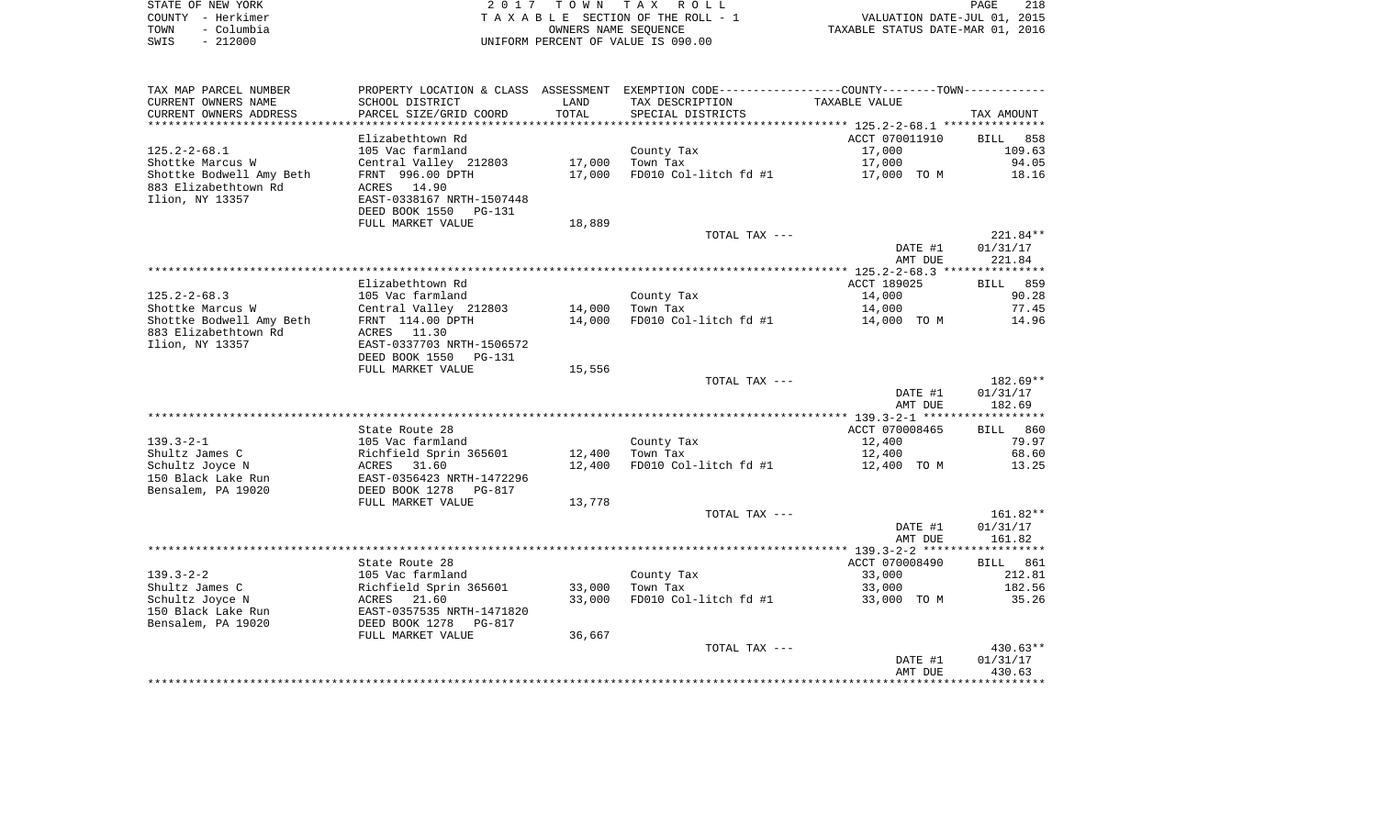|      | STATE OF NEW YORK | 2017 TOWN TAX ROLL                 | PAGE                             | 218 |
|------|-------------------|------------------------------------|----------------------------------|-----|
|      | COUNTY - Herkimer | TAXABLE SECTION OF THE ROLL - 1    | VALUATION DATE-JUL 01, 2015      |     |
| TOWN | - Columbia        | OWNERS NAME SEOUENCE               | TAXABLE STATUS DATE-MAR 01, 2016 |     |
| SWIS | - 212000          | UNIFORM PERCENT OF VALUE IS 090.00 |                                  |     |

| TAX MAP PARCEL NUMBER             |                                       |                  | PROPERTY LOCATION & CLASS ASSESSMENT EXEMPTION CODE---------------COUNTY-------TOWN---------- |                       |                |
|-----------------------------------|---------------------------------------|------------------|-----------------------------------------------------------------------------------------------|-----------------------|----------------|
| CURRENT OWNERS NAME               | SCHOOL DISTRICT                       | LAND             | TAX DESCRIPTION                                                                               | TAXABLE VALUE         |                |
| CURRENT OWNERS ADDRESS            | PARCEL SIZE/GRID COORD                | TOTAL            | SPECIAL DISTRICTS                                                                             |                       | TAX AMOUNT     |
|                                   |                                       |                  |                                                                                               |                       |                |
|                                   | Elizabethtown Rd                      |                  |                                                                                               | ACCT 070011910        | BILL 858       |
| $125.2 - 2 - 68.1$                | 105 Vac farmland                      |                  | County Tax                                                                                    | 17,000                | 109.63         |
| Shottke Marcus W                  | Central Valley 212803                 | 17,000 Town Tax  |                                                                                               | 17,000                | 94.05          |
| Shottke Bodwell Amy Beth          | FRNT 996.00 DPTH                      | 17,000           |                                                                                               |                       |                |
| 883 Elizabethtown Rd              | ACRES 14.90                           |                  |                                                                                               |                       |                |
| Ilion, NY 13357                   | EAST-0338167 NRTH-1507448             |                  |                                                                                               |                       |                |
|                                   | DEED BOOK 1550 PG-131                 |                  |                                                                                               |                       |                |
|                                   | FULL MARKET VALUE                     | 18,889           |                                                                                               |                       |                |
|                                   |                                       |                  | TOTAL TAX ---                                                                                 |                       | 221.84**       |
|                                   |                                       |                  |                                                                                               | DATE #1               | 01/31/17       |
|                                   |                                       |                  |                                                                                               | AMT DUE               | 221.84         |
|                                   |                                       |                  |                                                                                               |                       |                |
|                                   | Elizabethtown Rd                      |                  |                                                                                               | ACCT 189025           | BILL 859       |
| 125.2-2-68.3                      | 105 Vac farmland                      |                  | County Tax                                                                                    | 14,000                | 90.28          |
| Shottke Marcus W                  | Central Valley 212803                 | 14,000 Town Tax  |                                                                                               | 14,000                | 77.45          |
| Shottke Bodwell Amy Beth          | FRNT 114.00 DPTH                      | 14,000           | FD010 Col-litch fd $#1$ 14,000 TO M                                                           |                       | 14.96          |
| 883 Elizabethtown Rd              | ACRES 11.30                           |                  |                                                                                               |                       |                |
| Ilion, NY 13357                   | EAST-0337703 NRTH-1506572             |                  |                                                                                               |                       |                |
|                                   | DEED BOOK 1550 PG-131                 |                  |                                                                                               |                       |                |
|                                   | FULL MARKET VALUE                     | 15,556           |                                                                                               |                       |                |
|                                   |                                       |                  | TOTAL TAX ---                                                                                 |                       | 182.69**       |
|                                   |                                       |                  |                                                                                               | DATE #1               | 01/31/17       |
|                                   |                                       |                  |                                                                                               | AMT DUE               | 182.69         |
|                                   |                                       |                  |                                                                                               |                       |                |
|                                   | State Route 28                        |                  |                                                                                               | ACCT 070008465        | BILL 860       |
| 139.3–2–1                         | 105 Vac farmland                      |                  | County Tax                                                                                    | 12,400                | 79.97          |
| Shultz James C<br>Schultz Joyce N | Richfield Sprin 365601<br>ACRES 31.60 | 12,400<br>12,400 | Town Tax<br>FD010 Col-litch fd #1                                                             | 12,400<br>12,400 TO M | 68.60<br>13.25 |
| 150 Black Lake Run                | EAST-0356423 NRTH-1472296             |                  |                                                                                               |                       |                |
| Bensalem, PA 19020                | DEED BOOK 1278 PG-817                 |                  |                                                                                               |                       |                |
|                                   | FULL MARKET VALUE                     |                  |                                                                                               |                       |                |
|                                   |                                       | 13,778           | TOTAL TAX ---                                                                                 |                       | 161.82**       |
|                                   |                                       |                  |                                                                                               | DATE #1               | 01/31/17       |
|                                   |                                       |                  |                                                                                               | AMT DUE               | 161.82         |
|                                   |                                       |                  |                                                                                               |                       |                |
|                                   | State Route 28                        |                  |                                                                                               | ACCT 070008490        | BILL 861       |
| 139.3-2-2                         | 105 Vac farmland                      |                  | County Tax                                                                                    | 33,000                | 212.81         |
| Shultz James C                    | Richfield Sprin 365601                | 33,000           | Town Tax                                                                                      | 33,000                | 182.56         |
| Schultz Joyce N                   | ACRES 21.60                           | 33,000           | FD010 Col-litch fd #1 33,000 TO M                                                             |                       | 35.26          |
| 150 Black Lake Run                | EAST-0357535 NRTH-1471820             |                  |                                                                                               |                       |                |
| Bensalem, PA 19020                | DEED BOOK 1278 PG-817                 |                  |                                                                                               |                       |                |
|                                   | FULL MARKET VALUE                     | 36,667           |                                                                                               |                       |                |
|                                   |                                       |                  | TOTAL TAX ---                                                                                 |                       | $430.63**$     |
|                                   |                                       |                  |                                                                                               | DATE #1               | 01/31/17       |
|                                   |                                       |                  |                                                                                               | AMT DUE               | 430.63         |
|                                   |                                       |                  |                                                                                               |                       |                |
|                                   |                                       |                  |                                                                                               |                       |                |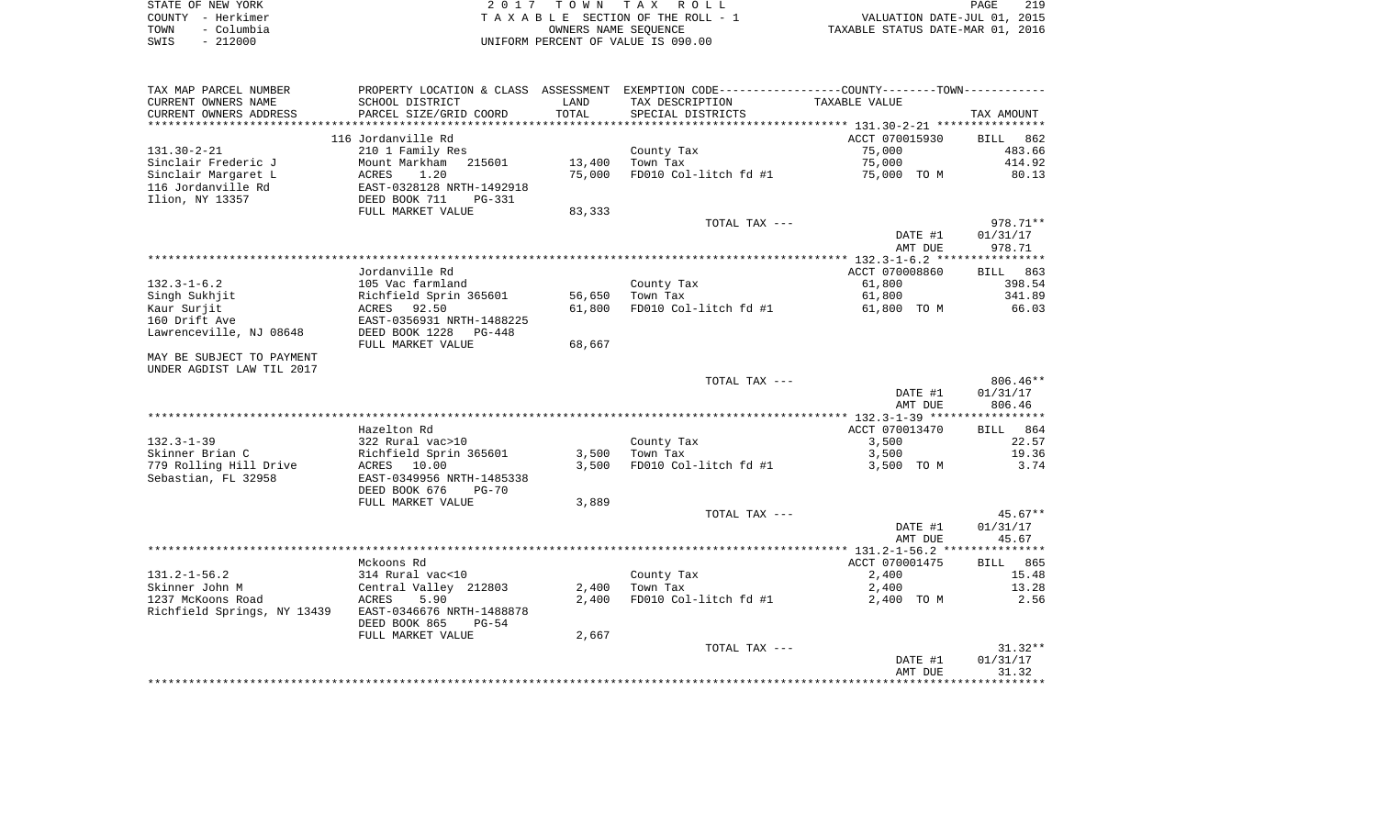|      | STATE OF NEW YORK | 2017 TOWN TAX ROLL                 | 219<br>PAGE                      |
|------|-------------------|------------------------------------|----------------------------------|
|      | COUNTY - Herkimer | TAXABLE SECTION OF THE ROLL - 1    | VALUATION DATE-JUL 01, 2015      |
| TOWN | – Columbia        | OWNERS NAME SEOUENCE               | TAXABLE STATUS DATE-MAR 01, 2016 |
| SWIS | - 212000          | UNIFORM PERCENT OF VALUE IS 090.00 |                                  |

| TAX MAP PARCEL NUMBER       |                                                       |                | PROPERTY LOCATION & CLASS ASSESSMENT EXEMPTION CODE---------------COUNTY-------TOWN--------- |                     |                    |
|-----------------------------|-------------------------------------------------------|----------------|----------------------------------------------------------------------------------------------|---------------------|--------------------|
| CURRENT OWNERS NAME         | SCHOOL DISTRICT                                       | LAND           | TAX DESCRIPTION                                                                              | TAXABLE VALUE       |                    |
| CURRENT OWNERS ADDRESS      | PARCEL SIZE/GRID COORD                                | TOTAL          | SPECIAL DISTRICTS                                                                            |                     | TAX AMOUNT         |
| *******************         | ***************************                           |                |                                                                                              |                     |                    |
|                             | 116 Jordanville Rd                                    |                |                                                                                              | ACCT 070015930      | 862<br>BILL        |
| $131.30 - 2 - 21$           | 210 1 Family Res                                      |                | County Tax                                                                                   | 75,000              | 483.66             |
| Sinclair Frederic J         | Mount Markham<br>215601                               | 13,400         | Town Tax                                                                                     | 75,000              | 414.92             |
| Sinclair Margaret L         | ACRES<br>1.20                                         | 75,000         | FD010 Col-litch fd #1                                                                        | 75,000 TO M         | 80.13              |
| 116 Jordanville Rd          | EAST-0328128 NRTH-1492918                             |                |                                                                                              |                     |                    |
| Ilion, NY 13357             | DEED BOOK 711<br><b>PG-331</b>                        |                |                                                                                              |                     |                    |
|                             | FULL MARKET VALUE                                     | 83,333         |                                                                                              |                     |                    |
|                             |                                                       |                | TOTAL TAX ---                                                                                |                     | 978.71**           |
|                             |                                                       |                |                                                                                              | DATE #1             | 01/31/17           |
|                             |                                                       |                |                                                                                              | AMT DUE             | 978.71             |
|                             |                                                       |                |                                                                                              |                     |                    |
|                             | Jordanville Rd                                        |                |                                                                                              | ACCT 070008860      | 863<br>BILL        |
| $132.3 - 1 - 6.2$           | 105 Vac farmland                                      |                | County Tax                                                                                   | 61,800              | 398.54             |
| Singh Sukhjit               | Richfield Sprin 365601                                | 56,650         | Town Tax                                                                                     | 61,800              | 341.89             |
| Kaur Surjit                 | 92.50<br>ACRES                                        | 61,800         | FD010 Col-litch fd #1                                                                        | 61,800 TO M         | 66.03              |
| 160 Drift Ave               | EAST-0356931 NRTH-1488225                             |                |                                                                                              |                     |                    |
| Lawrenceville, NJ 08648     | DEED BOOK 1228<br>PG-448                              |                |                                                                                              |                     |                    |
|                             | FULL MARKET VALUE                                     | 68,667         |                                                                                              |                     |                    |
| MAY BE SUBJECT TO PAYMENT   |                                                       |                |                                                                                              |                     |                    |
| UNDER AGDIST LAW TIL 2017   |                                                       |                |                                                                                              |                     |                    |
|                             |                                                       |                | TOTAL TAX ---                                                                                |                     | $806.46**$         |
|                             |                                                       |                |                                                                                              | DATE #1             | 01/31/17           |
|                             |                                                       |                |                                                                                              | AMT DUE             | 806.46             |
|                             |                                                       |                |                                                                                              |                     |                    |
|                             | Hazelton Rd                                           |                |                                                                                              | ACCT 070013470      | 864<br><b>BILL</b> |
| $132.3 - 1 - 39$            | 322 Rural vac>10                                      |                | County Tax                                                                                   | 3,500               | 22.57              |
| Skinner Brian C             | Richfield Sprin 365601<br>ACRES 10.00                 | 3,500<br>3,500 | Town Tax                                                                                     | 3,500<br>3,500 TO M | 19.36<br>3.74      |
| 779 Rolling Hill Drive      |                                                       |                | FD010 Col-litch fd #1                                                                        |                     |                    |
| Sebastian, FL 32958         | EAST-0349956 NRTH-1485338<br>DEED BOOK 676<br>$PG-70$ |                |                                                                                              |                     |                    |
|                             | FULL MARKET VALUE                                     | 3,889          |                                                                                              |                     |                    |
|                             |                                                       |                | TOTAL TAX ---                                                                                |                     | $45.67**$          |
|                             |                                                       |                |                                                                                              | DATE #1             | 01/31/17           |
|                             |                                                       |                |                                                                                              | AMT DUE             | 45.67              |
|                             |                                                       |                |                                                                                              |                     |                    |
|                             | Mckoons Rd                                            |                |                                                                                              | ACCT 070001475      | 865<br>BILL        |
| $131.2 - 1 - 56.2$          | 314 Rural vac<10                                      |                | County Tax                                                                                   | 2,400               | 15.48              |
| Skinner John M              | Central Valley 212803                                 | 2,400          | Town Tax                                                                                     | 2,400               | 13.28              |
| 1237 McKoons Road           | <b>ACRES</b><br>5.90                                  | 2,400          | FD010 Col-litch fd #1                                                                        | 2,400 TO M          | 2.56               |
| Richfield Springs, NY 13439 | EAST-0346676 NRTH-1488878                             |                |                                                                                              |                     |                    |
|                             | DEED BOOK 865<br>$PG-54$                              |                |                                                                                              |                     |                    |
|                             | FULL MARKET VALUE                                     | 2,667          |                                                                                              |                     |                    |
|                             |                                                       |                | TOTAL TAX ---                                                                                |                     | $31.32**$          |
|                             |                                                       |                |                                                                                              | DATE #1             | 01/31/17           |
|                             |                                                       |                |                                                                                              | AMT DUE             | 31.32              |
|                             |                                                       |                |                                                                                              |                     |                    |
|                             |                                                       |                |                                                                                              |                     |                    |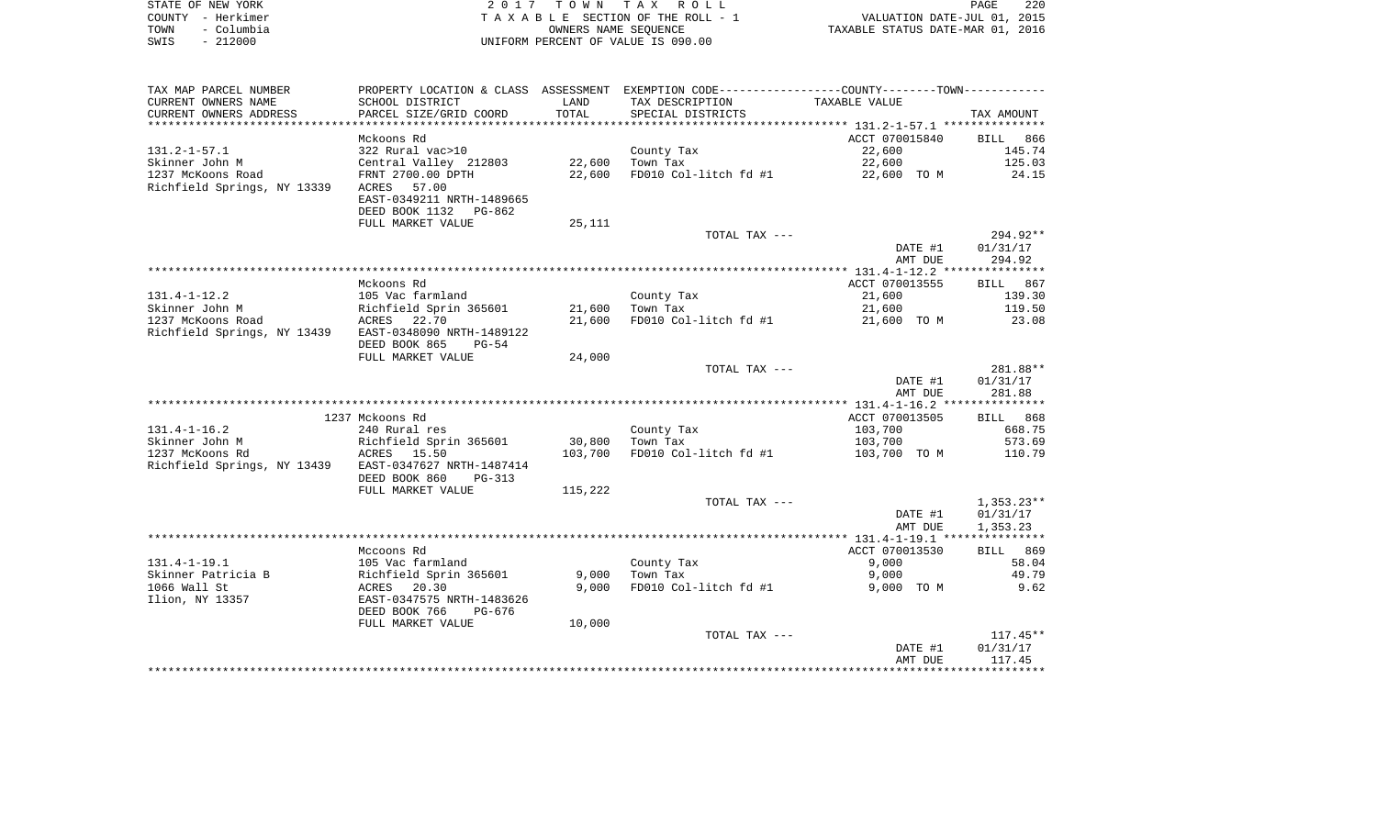| STATE OF NEW YORK  | 2017 TOWN TAX ROLL                 | 220<br>PAGE                      |
|--------------------|------------------------------------|----------------------------------|
| COUNTY – Herkimer  | TAXABLE SECTION OF THE ROLL - 1    | VALUATION DATE-JUL 01, 2015      |
| – Columbia<br>TOWN | OWNERS NAME SEOUENCE               | TAXABLE STATUS DATE-MAR 01, 2016 |
| $-212000$<br>SWIS  | UNIFORM PERCENT OF VALUE IS 090.00 |                                  |

| TAX MAP PARCEL NUMBER       |                           |         | PROPERTY LOCATION & CLASS ASSESSMENT EXEMPTION CODE---------------COUNTY-------TOWN---------- |                |                    |
|-----------------------------|---------------------------|---------|-----------------------------------------------------------------------------------------------|----------------|--------------------|
| CURRENT OWNERS NAME         | SCHOOL DISTRICT           | LAND    | TAX DESCRIPTION                                                                               | TAXABLE VALUE  |                    |
| CURRENT OWNERS ADDRESS      | PARCEL SIZE/GRID COORD    | TOTAL   | SPECIAL DISTRICTS                                                                             |                | TAX AMOUNT         |
|                             |                           |         |                                                                                               |                |                    |
|                             | Mckoons Rd                |         |                                                                                               | ACCT 070015840 | BILL<br>866        |
| $131.2 - 1 - 57.1$          | 322 Rural vac>10          |         | County Tax                                                                                    | 22,600         | 145.74             |
| Skinner John M              | Central Valley 212803     | 22,600  | Town Tax                                                                                      | 22,600         | 125.03             |
| 1237 McKoons Road           | FRNT 2700.00 DPTH         | 22,600  | FD010 Col-litch fd #1                                                                         | 22,600 TO M    | 24.15              |
| Richfield Springs, NY 13339 | ACRES<br>57.00            |         |                                                                                               |                |                    |
|                             | EAST-0349211 NRTH-1489665 |         |                                                                                               |                |                    |
|                             | DEED BOOK 1132 PG-862     |         |                                                                                               |                |                    |
|                             | FULL MARKET VALUE         | 25,111  |                                                                                               |                |                    |
|                             |                           |         | TOTAL TAX ---                                                                                 |                | $294.92**$         |
|                             |                           |         |                                                                                               | DATE #1        | 01/31/17<br>294.92 |
|                             |                           |         |                                                                                               | AMT DUE        |                    |
|                             | Mckoons Rd                |         |                                                                                               | ACCT 070013555 | BILL 867           |
| $131.4 - 1 - 12.2$          | 105 Vac farmland          |         | County Tax                                                                                    | 21,600         | 139.30             |
| Skinner John M              | Richfield Sprin 365601    | 21,600  | Town Tax                                                                                      | 21,600         | 119.50             |
| 1237 McKoons Road           | 22.70<br>ACRES            | 21,600  | FD010 Col-litch fd #1                                                                         | 21,600 TO M    | 23.08              |
| Richfield Springs, NY 13439 | EAST-0348090 NRTH-1489122 |         |                                                                                               |                |                    |
|                             | DEED BOOK 865<br>$PG-54$  |         |                                                                                               |                |                    |
|                             | FULL MARKET VALUE         | 24,000  |                                                                                               |                |                    |
|                             |                           |         | TOTAL TAX ---                                                                                 |                | 281.88**           |
|                             |                           |         |                                                                                               | DATE #1        | 01/31/17           |
|                             |                           |         |                                                                                               | AMT DUE        | 281.88             |
|                             |                           |         |                                                                                               |                |                    |
|                             | 1237 Mckoons Rd           |         |                                                                                               | ACCT 070013505 | BILL 868           |
| $131.4 - 1 - 16.2$          | 240 Rural res             |         | County Tax                                                                                    | 103,700        | 668.75             |
| Skinner John M              | Richfield Sprin 365601    | 30,800  | Town Tax                                                                                      | 103,700        | 573.69             |
| 1237 McKoons Rd             | 15.50<br>ACRES            | 103,700 | FD010 Col-litch fd #1                                                                         | 103,700 TO M   | 110.79             |
| Richfield Springs, NY 13439 | EAST-0347627 NRTH-1487414 |         |                                                                                               |                |                    |
|                             | DEED BOOK 860<br>$PG-313$ |         |                                                                                               |                |                    |
|                             | FULL MARKET VALUE         | 115,222 | TOTAL TAX ---                                                                                 |                | $1,353.23**$       |
|                             |                           |         |                                                                                               | DATE #1        | 01/31/17           |
|                             |                           |         |                                                                                               | AMT DUE        | 1,353.23           |
|                             |                           |         |                                                                                               |                |                    |
|                             | Mccoons Rd                |         |                                                                                               | ACCT 070013530 | BILL 869           |
| $131.4 - 1 - 19.1$          | 105 Vac farmland          |         | County Tax                                                                                    | 9,000          | 58.04              |
| Skinner Patricia B          | Richfield Sprin 365601    | 9,000   | Town Tax                                                                                      | 9,000          | 49.79              |
| 1066 Wall St                | ACRES<br>20.30            | 9.000   | FD010 Col-litch fd #1                                                                         | 9,000 TO M     | 9.62               |
| Ilion, NY 13357             | EAST-0347575 NRTH-1483626 |         |                                                                                               |                |                    |
|                             | DEED BOOK 766<br>PG-676   |         |                                                                                               |                |                    |
|                             | FULL MARKET VALUE         | 10,000  |                                                                                               |                |                    |
|                             |                           |         | TOTAL TAX ---                                                                                 |                | $117.45**$         |
|                             |                           |         |                                                                                               | DATE #1        | 01/31/17           |
|                             |                           |         |                                                                                               | AMT DUE        | 117.45             |
|                             |                           |         |                                                                                               |                |                    |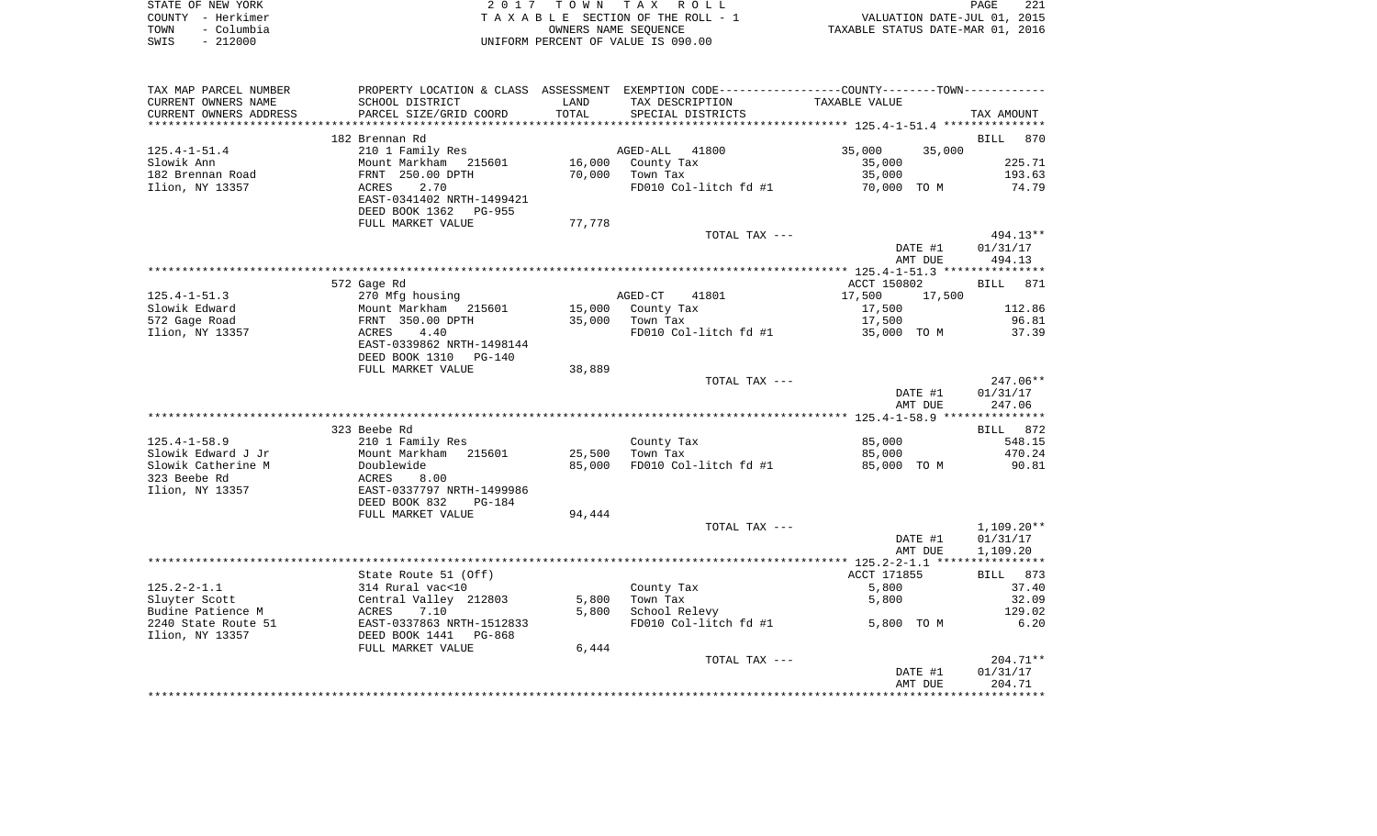| STATE OF NEW YORK |            | 2017 TOWN TAX ROLL                 | PAGE                             | 221 |
|-------------------|------------|------------------------------------|----------------------------------|-----|
| COUNTY - Herkimer |            | TAXABLE SECTION OF THE ROLL - 1    | VALUATION DATE-JUL 01, 2015      |     |
| TOWN              | – Columbia | OWNERS NAME SEOUENCE               | TAXABLE STATUS DATE-MAR 01, 2016 |     |
| SWIS              | $-212000$  | INIFORM PERCENT OF VALUE IS 090.00 |                                  |     |

| TAX MAP PARCEL NUMBER    |                                |        | PROPERTY LOCATION & CLASS ASSESSMENT EXEMPTION CODE---------------COUNTY-------TOWN---------- |                  |                    |
|--------------------------|--------------------------------|--------|-----------------------------------------------------------------------------------------------|------------------|--------------------|
| CURRENT OWNERS NAME      | SCHOOL DISTRICT                | LAND   | TAX DESCRIPTION                                                                               | TAXABLE VALUE    |                    |
| CURRENT OWNERS ADDRESS   | PARCEL SIZE/GRID COORD         | TOTAL  | SPECIAL DISTRICTS                                                                             |                  | TAX AMOUNT         |
| ************************ | ****************************** |        |                                                                                               |                  |                    |
|                          | 182 Brennan Rd                 |        |                                                                                               |                  | <b>BILL</b><br>870 |
| $125.4 - 1 - 51.4$       | 210 1 Family Res               |        | AGED-ALL 41800                                                                                | 35,000<br>35,000 |                    |
| Slowik Ann               | Mount Markham 215601           | 16,000 | County Tax                                                                                    | 35,000           | 225.71             |
| 182 Brennan Road         | FRNT 250.00 DPTH               | 70,000 | Town Tax                                                                                      | 35,000           | 193.63             |
| Ilion, NY 13357          | 2.70<br>ACRES                  |        | FD010 Col-litch fd #1                                                                         | 70,000 TO M      | 74.79              |
|                          | EAST-0341402 NRTH-1499421      |        |                                                                                               |                  |                    |
|                          | DEED BOOK 1362<br>PG-955       |        |                                                                                               |                  |                    |
|                          | FULL MARKET VALUE              | 77,778 |                                                                                               |                  |                    |
|                          |                                |        | TOTAL TAX ---                                                                                 |                  | $494.13**$         |
|                          |                                |        |                                                                                               | DATE #1          | 01/31/17           |
|                          |                                |        |                                                                                               | AMT DUE          | 494.13             |
|                          |                                |        |                                                                                               |                  |                    |
|                          | 572 Gage Rd                    |        |                                                                                               | ACCT 150802      | BILL 871           |
| $125.4 - 1 - 51.3$       | 270 Mfg housing                |        | AGED-CT<br>41801                                                                              | 17,500<br>17,500 |                    |
| Slowik Edward            | Mount Markham 215601           |        | 15,000 County Tax                                                                             | 17,500           | 112.86             |
| 572 Gage Road            | FRNT 350.00 DPTH               | 35,000 | Town Tax                                                                                      | 17,500           | 96.81              |
| Ilion, NY 13357          | ACRES<br>4.40                  |        | FD010 Col-litch fd #1                                                                         | 35,000 TO M      | 37.39              |
|                          | EAST-0339862 NRTH-1498144      |        |                                                                                               |                  |                    |
|                          | DEED BOOK 1310 PG-140          |        |                                                                                               |                  |                    |
|                          | FULL MARKET VALUE              | 38,889 |                                                                                               |                  |                    |
|                          |                                |        | TOTAL TAX ---                                                                                 |                  | $247.06**$         |
|                          |                                |        |                                                                                               | DATE #1          | 01/31/17           |
|                          |                                |        |                                                                                               | AMT DUE          | 247.06             |
|                          |                                |        |                                                                                               |                  |                    |
|                          | 323 Beebe Rd                   |        |                                                                                               |                  | BILL 872           |
| $125.4 - 1 - 58.9$       | 210 1 Family Res               |        | County Tax                                                                                    | 85,000           | 548.15             |
| Slowik Edward J Jr       | Mount Markham 215601           | 25,500 | Town Tax                                                                                      | 85,000           | 470.24             |
| Slowik Catherine M       | Doublewide                     | 85,000 | FD010 Col-litch fd #1                                                                         | 85,000 TO M      | 90.81              |
| 323 Beebe Rd             | ACRES<br>8.00                  |        |                                                                                               |                  |                    |
| Ilion, NY 13357          | EAST-0337797 NRTH-1499986      |        |                                                                                               |                  |                    |
|                          | DEED BOOK 832<br>$PG-184$      |        |                                                                                               |                  |                    |
|                          | FULL MARKET VALUE              | 94,444 |                                                                                               |                  |                    |
|                          |                                |        | TOTAL TAX ---                                                                                 |                  | $1,109.20**$       |
|                          |                                |        |                                                                                               | DATE #1          | 01/31/17           |
|                          |                                |        |                                                                                               | AMT DUE          | 1,109.20           |
|                          |                                |        |                                                                                               |                  |                    |
|                          | State Route 51 (Off)           |        |                                                                                               | ACCT 171855      | BILL 873           |
| $125.2 - 2 - 1.1$        | 314 Rural vac<10               |        | County Tax                                                                                    | 5,800            | 37.40              |
| Sluyter Scott            | Central Valley 212803          | 5,800  | Town Tax                                                                                      | 5,800            | 32.09              |
| Budine Patience M        | 7.10<br>ACRES                  | 5,800  | School Relevy                                                                                 |                  | 129.02             |
| 2240 State Route 51      | EAST-0337863 NRTH-1512833      |        | FD010 Col-litch fd #1                                                                         | 5,800 TO M       | 6.20               |
| Ilion, NY 13357          | DEED BOOK 1441 PG-868          |        |                                                                                               |                  |                    |
|                          | FULL MARKET VALUE              | 6,444  |                                                                                               |                  |                    |
|                          |                                |        | TOTAL TAX ---                                                                                 |                  | $204.71**$         |
|                          |                                |        |                                                                                               | DATE #1          | 01/31/17           |
|                          |                                |        |                                                                                               | AMT DUE          | 204.71             |
|                          |                                |        |                                                                                               |                  |                    |
|                          |                                |        |                                                                                               |                  |                    |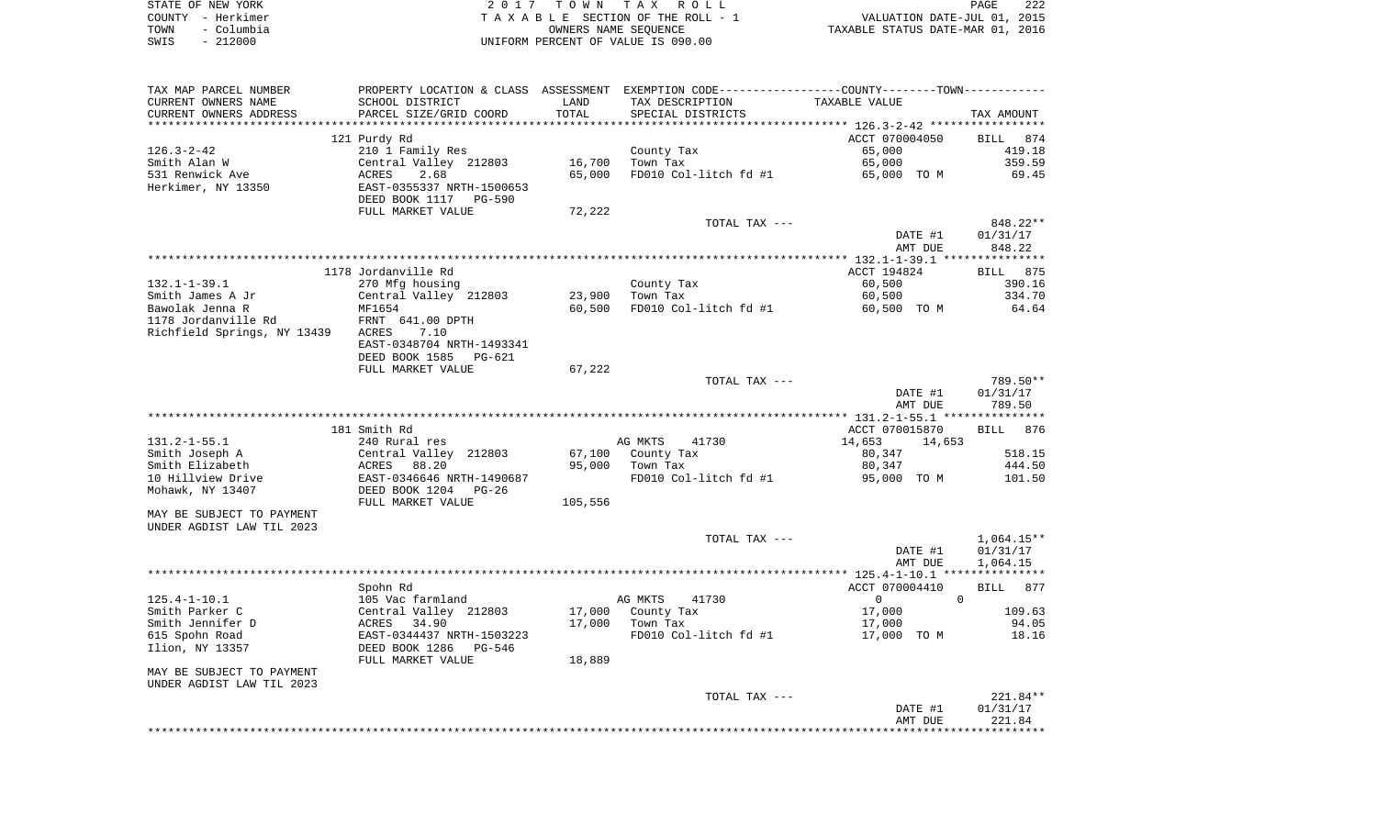| STATE OF NEW YORK |                   | 2017 TOWN TAX ROLL                 | PAGE                             | 222 |
|-------------------|-------------------|------------------------------------|----------------------------------|-----|
|                   | COUNTY - Herkimer | TAXABLE SECTION OF THE ROLL - 1    | VALUATION DATE-JUL 01, 2015      |     |
| TOWN              | - Columbia        | OWNERS NAME SEOUENCE               | TAXABLE STATUS DATE-MAR 01, 2016 |     |
| SWIS              | $-212000$         | UNIFORM PERCENT OF VALUE IS 090.00 |                                  |     |

| TAX MAP PARCEL NUMBER                |                                             |                  | PROPERTY LOCATION & CLASS ASSESSMENT EXEMPTION CODE---------------COUNTY-------TOWN---------- |                         |                    |
|--------------------------------------|---------------------------------------------|------------------|-----------------------------------------------------------------------------------------------|-------------------------|--------------------|
| CURRENT OWNERS NAME                  | SCHOOL DISTRICT                             | LAND             | TAX DESCRIPTION                                                                               | TAXABLE VALUE           |                    |
| CURRENT OWNERS ADDRESS               | PARCEL SIZE/GRID COORD                      | TOTAL            | SPECIAL DISTRICTS                                                                             |                         | TAX AMOUNT         |
| ************************             |                                             |                  |                                                                                               |                         |                    |
|                                      | 121 Purdy Rd                                |                  |                                                                                               | ACCT 070004050          | <b>BILL</b><br>874 |
| $126.3 - 2 - 42$                     | 210 1 Family Res                            |                  | County Tax                                                                                    | 65,000                  | 419.18             |
| Smith Alan W                         | Central Valley 212803                       | 16,700           | Town Tax                                                                                      | 65,000                  | 359.59             |
| 531 Renwick Ave                      | 2.68<br>ACRES                               | 65,000           | FD010 Col-litch fd #1                                                                         | 65,000 TO M             | 69.45              |
| Herkimer, NY 13350                   | EAST-0355337 NRTH-1500653<br>DEED BOOK 1117 |                  |                                                                                               |                         |                    |
|                                      | PG-590<br>FULL MARKET VALUE                 | 72,222           |                                                                                               |                         |                    |
|                                      |                                             |                  | TOTAL TAX ---                                                                                 |                         | 848.22**           |
|                                      |                                             |                  |                                                                                               | DATE #1                 | 01/31/17           |
|                                      |                                             |                  |                                                                                               | AMT DUE                 | 848.22             |
|                                      |                                             |                  |                                                                                               |                         |                    |
|                                      | 1178 Jordanville Rd                         |                  |                                                                                               | ACCT 194824             | 875<br>BILL        |
| $132.1 - 1 - 39.1$                   | 270 Mfg housing                             |                  | County Tax                                                                                    | 60,500                  | 390.16             |
| Smith James A Jr                     | Central Valley 212803                       | 23,900           | Town Tax                                                                                      | 60,500                  | 334.70             |
| Bawolak Jenna R                      | MF1654                                      | 60,500           | FD010 Col-litch fd #1                                                                         | 60,500 TO M             | 64.64              |
| 1178 Jordanville Rd                  | FRNT 641.00 DPTH                            |                  |                                                                                               |                         |                    |
| Richfield Springs, NY 13439          | 7.10<br>ACRES                               |                  |                                                                                               |                         |                    |
|                                      | EAST-0348704 NRTH-1493341<br>DEED BOOK 1585 |                  |                                                                                               |                         |                    |
|                                      | PG-621<br>FULL MARKET VALUE                 | 67,222           |                                                                                               |                         |                    |
|                                      |                                             |                  | TOTAL TAX ---                                                                                 |                         | 789.50**           |
|                                      |                                             |                  |                                                                                               | DATE #1                 | 01/31/17           |
|                                      |                                             |                  |                                                                                               | AMT DUE                 | 789.50             |
|                                      |                                             |                  |                                                                                               |                         |                    |
|                                      | 181 Smith Rd                                |                  |                                                                                               | ACCT 070015870          | <b>BILL</b><br>876 |
| $131.2 - 1 - 55.1$                   | 240 Rural res                               |                  | AG MKTS<br>41730                                                                              | 14,653<br>14,653        |                    |
| Smith Joseph A                       | Central Valley 212803                       | 67,100           | County Tax                                                                                    | 80,347                  | 518.15             |
| Smith Elizabeth<br>10 Hillview Drive | 88.20<br>ACRES<br>EAST-0346646 NRTH-1490687 | 95,000           | Town Tax<br>FD010 Col-litch fd #1                                                             | 80,347<br>95,000 TO M   | 444.50<br>101.50   |
| Mohawk, NY 13407                     | DEED BOOK 1204<br>PG-26                     |                  |                                                                                               |                         |                    |
|                                      | FULL MARKET VALUE                           | 105,556          |                                                                                               |                         |                    |
| MAY BE SUBJECT TO PAYMENT            |                                             |                  |                                                                                               |                         |                    |
| UNDER AGDIST LAW TIL 2023            |                                             |                  |                                                                                               |                         |                    |
|                                      |                                             |                  | TOTAL TAX ---                                                                                 |                         | 1,064.15**         |
|                                      |                                             |                  |                                                                                               | DATE #1                 | 01/31/17           |
|                                      |                                             |                  |                                                                                               | AMT DUE                 | 1,064.15           |
|                                      |                                             |                  |                                                                                               |                         |                    |
|                                      | Spohn Rd                                    |                  |                                                                                               | ACCT 070004410          | <b>BILL</b><br>877 |
| $125.4 - 1 - 10.1$                   | 105 Vac farmland                            |                  | AG MKTS<br>41730                                                                              | $\mathbf 0$<br>$\Omega$ |                    |
| Smith Parker C<br>Smith Jennifer D   | Central Valley 212803<br>34.90<br>ACRES     | 17,000<br>17,000 | County Tax<br>Town Tax                                                                        | 17,000<br>17,000        | 109.63<br>94.05    |
| 615 Spohn Road                       | EAST-0344437 NRTH-1503223                   |                  | FD010 Col-litch fd #1                                                                         | 17,000 TO M             | 18.16              |
| Ilion, NY 13357                      | DEED BOOK 1286<br>PG-546                    |                  |                                                                                               |                         |                    |
|                                      | FULL MARKET VALUE                           | 18,889           |                                                                                               |                         |                    |
| MAY BE SUBJECT TO PAYMENT            |                                             |                  |                                                                                               |                         |                    |
| UNDER AGDIST LAW TIL 2023            |                                             |                  |                                                                                               |                         |                    |
|                                      |                                             |                  | TOTAL TAX ---                                                                                 |                         | 221.84**           |
|                                      |                                             |                  |                                                                                               | DATE #1                 | 01/31/17           |
|                                      |                                             |                  |                                                                                               | AMT DUE                 | 221.84             |
|                                      |                                             |                  |                                                                                               |                         |                    |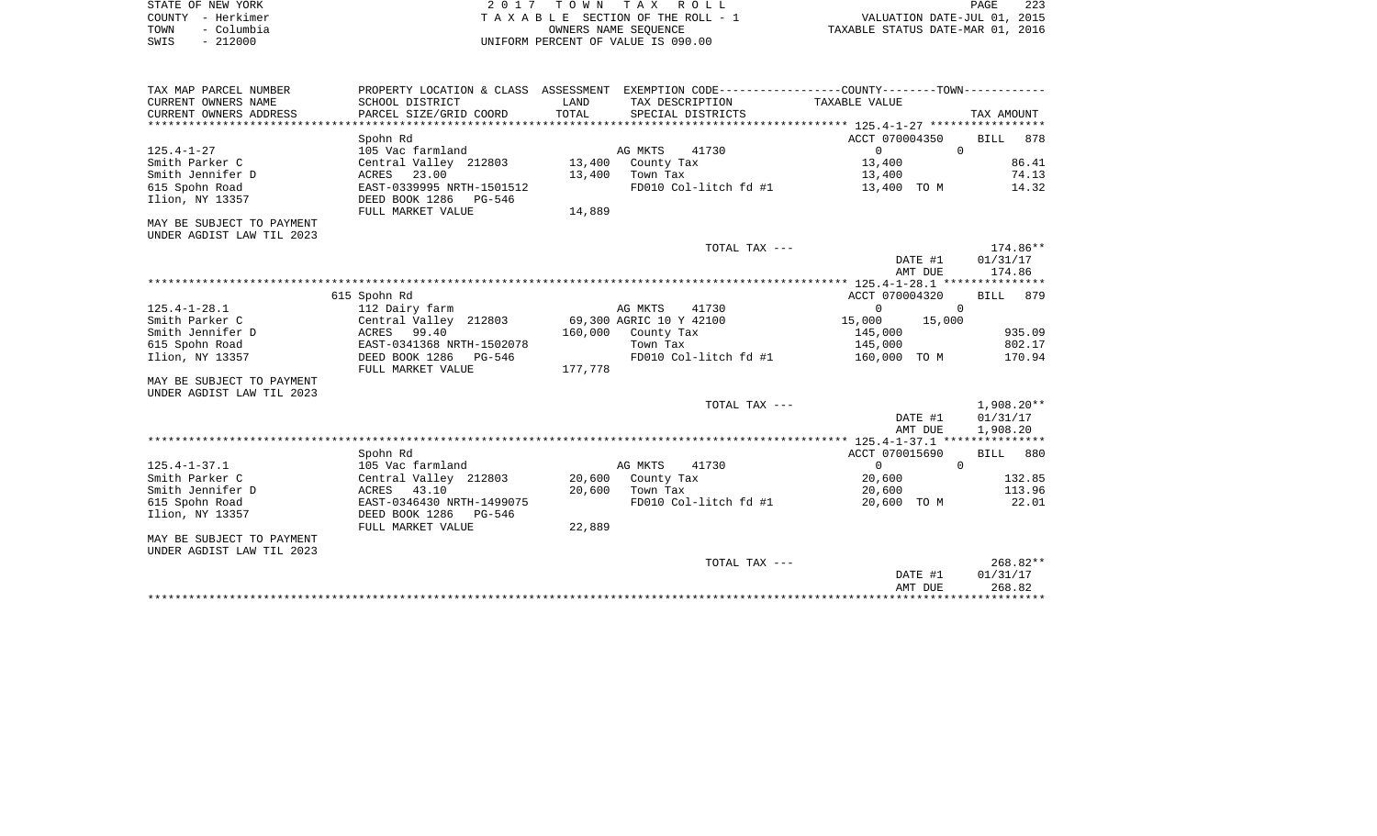|      | STATE OF NEW YORK | 2017 TOWN TAX ROLL                 | PAGE                             | 223 |
|------|-------------------|------------------------------------|----------------------------------|-----|
|      | COUNTY - Herkimer | TAXABLE SECTION OF THE ROLL - 1    | VALUATION DATE-JUL 01, 2015      |     |
| TOWN | - Columbia        | OWNERS NAME SEOUENCE               | TAXABLE STATUS DATE-MAR 01, 2016 |     |
| SWIS | $-212000$         | UNIFORM PERCENT OF VALUE IS 090.00 |                                  |     |

| TAX MAP PARCEL NUMBER     | PROPERTY LOCATION & CLASS ASSESSMENT EXEMPTION CODE----------------COUNTY--------TOWN---------- |         |                         |                  |                    |
|---------------------------|-------------------------------------------------------------------------------------------------|---------|-------------------------|------------------|--------------------|
| CURRENT OWNERS NAME       | SCHOOL DISTRICT                                                                                 | LAND    | TAX DESCRIPTION         | TAXABLE VALUE    |                    |
| CURRENT OWNERS ADDRESS    | PARCEL SIZE/GRID COORD                                                                          | TOTAL   | SPECIAL DISTRICTS       |                  | TAX AMOUNT         |
|                           |                                                                                                 |         |                         |                  |                    |
|                           | Spohn Rd                                                                                        |         |                         | ACCT 070004350   | BILL<br>878        |
| $125.4 - 1 - 27$          | 105 Vac farmland                                                                                |         | AG MKTS<br>41730        | $\Omega$         | $\Omega$           |
| Smith Parker C            | Central Valley 212803                                                                           | 13,400  | County Tax              | 13,400           | 86.41              |
| Smith Jennifer D          | 23.00<br>ACRES                                                                                  | 13,400  | Town Tax                | 13,400           | 74.13              |
| 615 Spohn Road            | EAST-0339995 NRTH-1501512                                                                       |         | FD010 Col-litch fd #1   | 13,400 TO M      | 14.32              |
| Ilion, NY 13357           | DEED BOOK 1286<br>PG-546                                                                        |         |                         |                  |                    |
|                           | FULL MARKET VALUE                                                                               | 14,889  |                         |                  |                    |
| MAY BE SUBJECT TO PAYMENT |                                                                                                 |         |                         |                  |                    |
| UNDER AGDIST LAW TIL 2023 |                                                                                                 |         |                         |                  |                    |
|                           |                                                                                                 |         | TOTAL TAX ---           |                  | $174.86**$         |
|                           |                                                                                                 |         |                         | DATE #1          | 01/31/17           |
|                           |                                                                                                 |         |                         | AMT DUE          | 174.86             |
|                           |                                                                                                 |         |                         |                  |                    |
|                           | 615 Spohn Rd                                                                                    |         |                         | ACCT 070004320   | <b>BILL</b><br>879 |
| $125.4 - 1 - 28.1$        | 112 Dairy farm                                                                                  |         | AG MKTS<br>41730        | $\mathbf 0$      | 0                  |
| Smith Parker C            | Central Valley 212803                                                                           |         | 69,300 AGRIC 10 Y 42100 | 15,000<br>15,000 |                    |
| Smith Jennifer D          | 99.40<br>ACRES                                                                                  | 160,000 | County Tax              | 145,000          | 935.09             |
| 615 Spohn Road            | EAST-0341368 NRTH-1502078                                                                       |         | Town Tax                | 145,000          | 802.17             |
| Ilion, NY 13357           | DEED BOOK 1286<br>PG-546                                                                        |         | FD010 Col-litch fd #1   | 160,000 TO M     | 170.94             |
|                           | FULL MARKET VALUE                                                                               | 177,778 |                         |                  |                    |
| MAY BE SUBJECT TO PAYMENT |                                                                                                 |         |                         |                  |                    |
| UNDER AGDIST LAW TIL 2023 |                                                                                                 |         |                         |                  |                    |
|                           |                                                                                                 |         | TOTAL TAX ---           |                  | $1,908.20**$       |
|                           |                                                                                                 |         |                         | DATE #1          | 01/31/17           |
|                           |                                                                                                 |         |                         | AMT DUE          | 1,908.20           |
|                           |                                                                                                 |         |                         |                  |                    |
|                           | Spohn Rd                                                                                        |         |                         | ACCT 070015690   | BILL 880           |
| $125.4 - 1 - 37.1$        | 105 Vac farmland                                                                                |         | AG MKTS<br>41730        | $\Omega$         | $\Omega$           |
| Smith Parker C            | Central Valley 212803                                                                           | 20,600  | County Tax              | 20,600           | 132.85             |
| Smith Jennifer D          | 43.10<br>ACRES                                                                                  | 20,600  | Town Tax                | 20,600           | 113.96             |
| 615 Spohn Road            | EAST-0346430 NRTH-1499075                                                                       |         | FD010 Col-litch fd #1   | 20,600 TO M      | 22.01              |
| Ilion, NY 13357           | DEED BOOK 1286<br>PG-546                                                                        |         |                         |                  |                    |
|                           | FULL MARKET VALUE                                                                               | 22,889  |                         |                  |                    |
| MAY BE SUBJECT TO PAYMENT |                                                                                                 |         |                         |                  |                    |
| UNDER AGDIST LAW TIL 2023 |                                                                                                 |         |                         |                  |                    |
|                           |                                                                                                 |         | TOTAL TAX ---           |                  | 268.82**           |
|                           |                                                                                                 |         |                         | DATE #1          | 01/31/17           |
|                           |                                                                                                 |         |                         | AMT DUE          | 268.82             |
|                           |                                                                                                 |         |                         |                  |                    |
|                           |                                                                                                 |         |                         |                  |                    |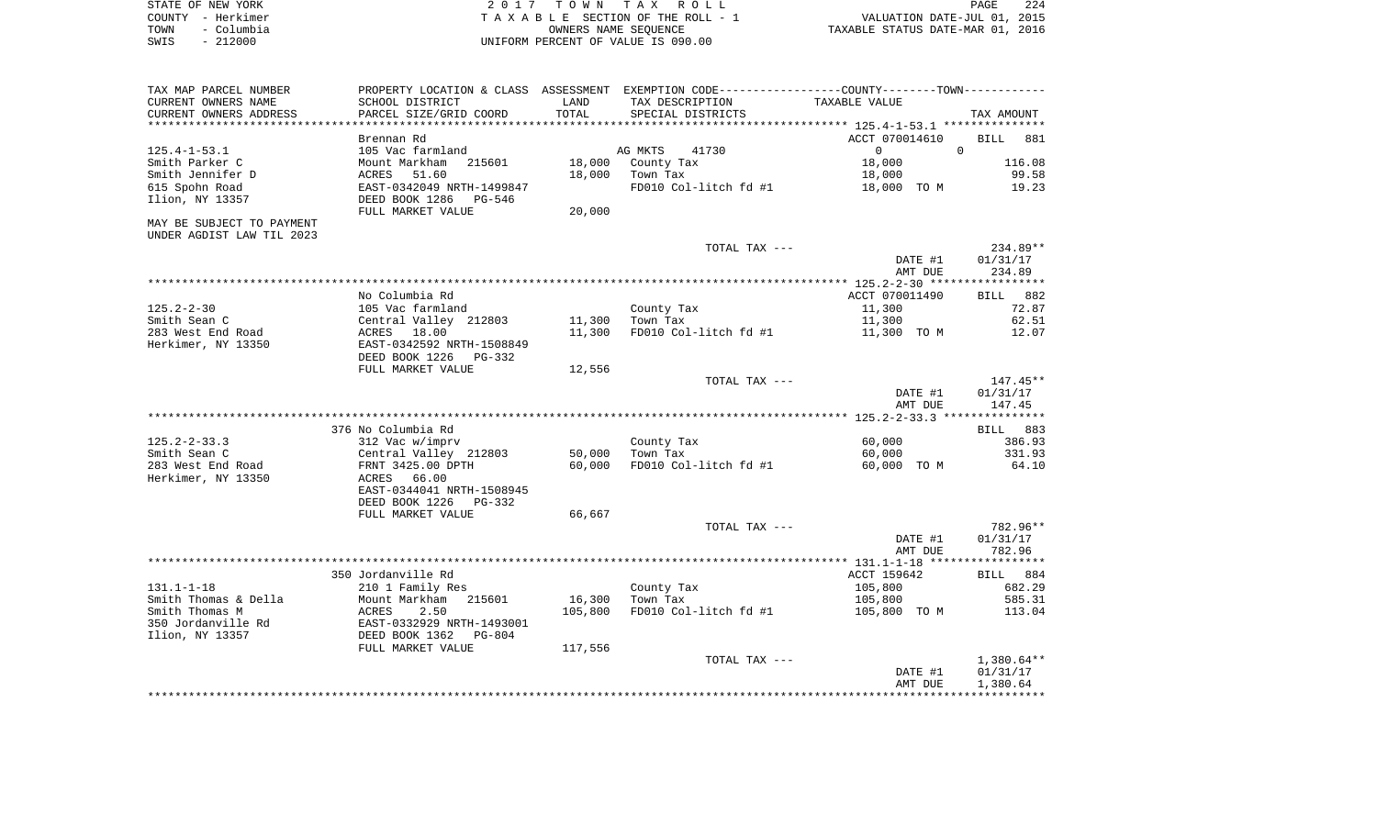| STATE OF NEW YORK  | 2017 TOWN TAX ROLL                 | 224<br>PAGE                      |
|--------------------|------------------------------------|----------------------------------|
| COUNTY - Herkimer  | TAXABLE SECTION OF THE ROLL - 1    | VALUATION DATE-JUL 01, 2015      |
| - Columbia<br>TOWN | OWNERS NAME SEOUENCE               | TAXABLE STATUS DATE-MAR 01, 2016 |
| - 212000<br>SWIS   | UNIFORM PERCENT OF VALUE IS 090.00 |                                  |

| TAX MAP PARCEL NUMBER                   | PROPERTY LOCATION & CLASS ASSESSMENT EXEMPTION CODE---------------COUNTY-------TOWN---------- |         |                                                                |                    |                      |
|-----------------------------------------|-----------------------------------------------------------------------------------------------|---------|----------------------------------------------------------------|--------------------|----------------------|
| CURRENT OWNERS NAME                     | SCHOOL DISTRICT                                                                               | LAND    | TAX DESCRIPTION                                                | TAXABLE VALUE      |                      |
| CURRENT OWNERS ADDRESS                  | PARCEL SIZE/GRID COORD                                                                        | TOTAL   | SPECIAL DISTRICTS                                              |                    | TAX AMOUNT           |
|                                         |                                                                                               |         | ********************************* 125.4-1-53.1 *************** |                    |                      |
|                                         | Brennan Rd                                                                                    |         |                                                                | ACCT 070014610     | <b>BILL</b><br>881   |
| $125.4 - 1 - 53.1$                      | 105 Vac farmland                                                                              |         | AG MKTS<br>41730                                               | $\mathbf{0}$       | 0                    |
| Smith Parker C                          | Mount Markham<br>215601                                                                       | 18,000  | County Tax                                                     | 18,000             | 116.08               |
| Smith Jennifer D                        | ACRES<br>51.60                                                                                | 18,000  | Town Tax                                                       | 18,000             | 99.58                |
| 615 Spohn Road                          | EAST-0342049 NRTH-1499847                                                                     |         | FD010 Col-litch fd #1                                          | 18,000 TO M        | 19.23                |
| Ilion, NY 13357                         | DEED BOOK 1286<br>PG-546<br>FULL MARKET VALUE                                                 | 20,000  |                                                                |                    |                      |
| MAY BE SUBJECT TO PAYMENT               |                                                                                               |         |                                                                |                    |                      |
| UNDER AGDIST LAW TIL 2023               |                                                                                               |         |                                                                |                    |                      |
|                                         |                                                                                               |         | TOTAL TAX ---                                                  |                    | 234.89**             |
|                                         |                                                                                               |         |                                                                | DATE #1            | 01/31/17             |
|                                         |                                                                                               |         |                                                                | AMT DUE            | 234.89               |
|                                         |                                                                                               |         |                                                                |                    |                      |
|                                         | No Columbia Rd                                                                                |         |                                                                | ACCT 070011490     | BILL 882             |
| $125.2 - 2 - 30$                        | 105 Vac farmland                                                                              |         | County Tax                                                     | 11,300             | 72.87                |
| Smith Sean C                            | Central Valley 212803                                                                         | 11,300  | Town Tax                                                       | 11,300             | 62.51                |
| 283 West End Road                       | 18.00<br>ACRES                                                                                | 11,300  | FD010 Col-litch fd #1                                          | 11,300 TO M        | 12.07                |
| Herkimer, NY 13350                      | EAST-0342592 NRTH-1508849                                                                     |         |                                                                |                    |                      |
|                                         | DEED BOOK 1226<br>PG-332                                                                      |         |                                                                |                    |                      |
|                                         | FULL MARKET VALUE                                                                             | 12,556  |                                                                |                    |                      |
|                                         |                                                                                               |         | TOTAL TAX ---                                                  |                    | $147.45**$           |
|                                         |                                                                                               |         |                                                                | DATE #1            | 01/31/17             |
|                                         |                                                                                               |         |                                                                | AMT DUE            | 147.45               |
|                                         |                                                                                               |         |                                                                |                    |                      |
|                                         | 376 No Columbia Rd                                                                            |         |                                                                |                    | BILL 883             |
| $125.2 - 2 - 33.3$                      | 312 Vac w/imprv                                                                               |         | County Tax                                                     | 60,000             | 386.93               |
| Smith Sean C                            | Central Valley 212803                                                                         | 50,000  | Town Tax                                                       | 60,000             | 331.93               |
| 283 West End Road<br>Herkimer, NY 13350 | FRNT 3425.00 DPTH<br>66.00<br>ACRES                                                           | 60,000  | FD010 Col-litch fd #1                                          | 60,000 TO M        | 64.10                |
|                                         | EAST-0344041 NRTH-1508945                                                                     |         |                                                                |                    |                      |
|                                         | DEED BOOK 1226<br>PG-332                                                                      |         |                                                                |                    |                      |
|                                         | FULL MARKET VALUE                                                                             | 66,667  |                                                                |                    |                      |
|                                         |                                                                                               |         | TOTAL TAX ---                                                  |                    | 782.96**             |
|                                         |                                                                                               |         |                                                                | DATE #1            | 01/31/17             |
|                                         |                                                                                               |         |                                                                | AMT DUE            | 782.96               |
|                                         |                                                                                               |         |                                                                |                    |                      |
|                                         | 350 Jordanville Rd                                                                            |         |                                                                | ACCT 159642        | BILL 884             |
| $131.1 - 1 - 18$                        | 210 1 Family Res                                                                              |         | County Tax                                                     | 105,800            | 682.29               |
| Smith Thomas & Della                    | 215601<br>Mount Markham                                                                       | 16,300  | Town Tax                                                       | 105,800            | 585.31               |
| Smith Thomas M                          | 2.50<br>ACRES                                                                                 | 105,800 | FD010 Col-litch fd #1                                          | 105,800 TO M       | 113.04               |
| 350 Jordanville Rd                      | EAST-0332929 NRTH-1493001                                                                     |         |                                                                |                    |                      |
| Ilion, NY 13357                         | DEED BOOK 1362<br>PG-804                                                                      |         |                                                                |                    |                      |
|                                         | FULL MARKET VALUE                                                                             | 117,556 | TOTAL TAX ---                                                  |                    |                      |
|                                         |                                                                                               |         |                                                                |                    | $1,380.64**$         |
|                                         |                                                                                               |         |                                                                | DATE #1<br>AMT DUE | 01/31/17<br>1,380.64 |
|                                         |                                                                                               |         |                                                                |                    |                      |
|                                         |                                                                                               |         |                                                                |                    |                      |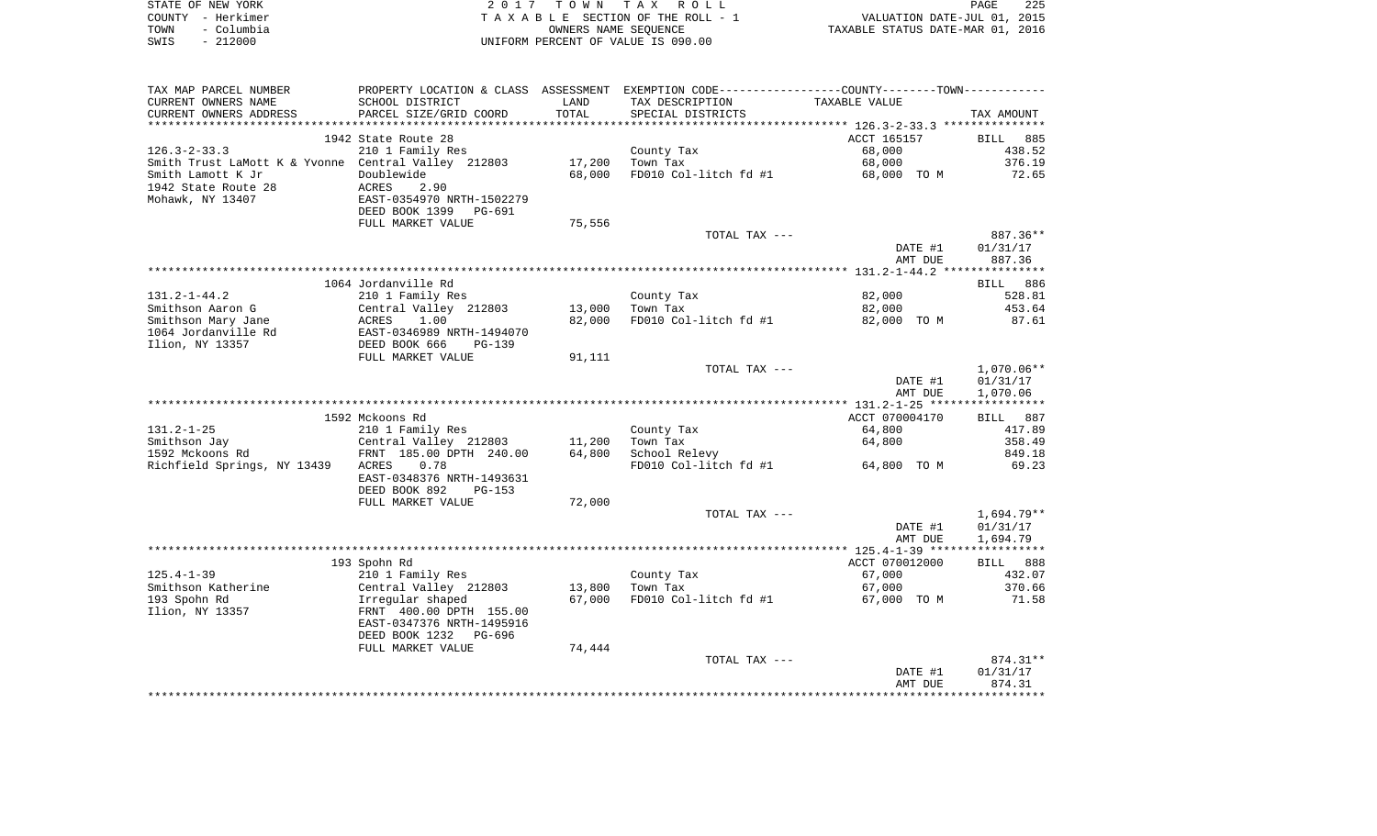| STATE OF NEW YORK  | 2017 TOWN TAX ROLL                 | 225<br>PAGE                      |
|--------------------|------------------------------------|----------------------------------|
| COUNTY – Herkimer  | TAXABLE SECTION OF THE ROLL - 1    | VALUATION DATE-JUL 01, 2015      |
| - Columbia<br>TOWN | OWNERS NAME SEOUENCE               | TAXABLE STATUS DATE-MAR 01, 2016 |
| $-212000$<br>SWIS  | UNIFORM PERCENT OF VALUE IS 090.00 |                                  |

| TAX MAP PARCEL NUMBER                               | PROPERTY LOCATION & CLASS ASSESSMENT EXEMPTION CODE----------------COUNTY--------TOWN--------- |        |                       |                |              |
|-----------------------------------------------------|------------------------------------------------------------------------------------------------|--------|-----------------------|----------------|--------------|
| CURRENT OWNERS NAME                                 | SCHOOL DISTRICT                                                                                | LAND   | TAX DESCRIPTION       | TAXABLE VALUE  |              |
| CURRENT OWNERS ADDRESS                              | PARCEL SIZE/GRID COORD                                                                         | TOTAL  | SPECIAL DISTRICTS     |                | TAX AMOUNT   |
|                                                     |                                                                                                |        |                       |                |              |
|                                                     | 1942 State Route 28                                                                            |        |                       | ACCT 165157    | BILL 885     |
| $126.3 - 2 - 33.3$                                  | 210 1 Family Res                                                                               |        | County Tax            | 68,000         | 438.52       |
| Smith Trust LaMott K & Yvonne Central Valley 212803 |                                                                                                | 17,200 | Town Tax              | 68,000         | 376.19       |
| Smith Lamott K Jr                                   | Doublewide                                                                                     | 68,000 | FD010 Col-litch fd #1 | 68,000 TO M    | 72.65        |
| 1942 State Route 28                                 | ACRES<br>2.90                                                                                  |        |                       |                |              |
| Mohawk, NY 13407                                    | EAST-0354970 NRTH-1502279                                                                      |        |                       |                |              |
|                                                     | DEED BOOK 1399 PG-691                                                                          |        |                       |                |              |
|                                                     | FULL MARKET VALUE                                                                              | 75,556 |                       |                |              |
|                                                     |                                                                                                |        | TOTAL TAX ---         |                | 887.36**     |
|                                                     |                                                                                                |        |                       | DATE #1        | 01/31/17     |
|                                                     |                                                                                                |        |                       | AMT DUE        | 887.36       |
|                                                     |                                                                                                |        |                       |                |              |
|                                                     | 1064 Jordanville Rd                                                                            |        |                       |                | BILL 886     |
| $131.2 - 1 - 44.2$                                  | 210 1 Family Res                                                                               |        | County Tax            | 82,000         | 528.81       |
| Smithson Aaron G                                    | Central Valley 212803                                                                          | 13,000 | Town Tax              | 82,000         | 453.64       |
| Smithson Mary Jane                                  | 1.00<br>ACRES                                                                                  | 82,000 | FD010 Col-litch fd #1 | 82,000 TO M    | 87.61        |
| 1064 Jordanville Rd                                 | EAST-0346989 NRTH-1494070                                                                      |        |                       |                |              |
| Ilion, NY 13357                                     | DEED BOOK 666<br>$PG-139$                                                                      |        |                       |                |              |
|                                                     | FULL MARKET VALUE                                                                              | 91,111 |                       |                |              |
|                                                     |                                                                                                |        | TOTAL TAX ---         |                | $1,070.06**$ |
|                                                     |                                                                                                |        |                       | DATE #1        | 01/31/17     |
|                                                     |                                                                                                |        |                       | AMT DUE        | 1,070.06     |
|                                                     |                                                                                                |        |                       |                |              |
|                                                     | 1592 Mckoons Rd                                                                                |        |                       | ACCT 070004170 | BILL 887     |
| $131.2 - 1 - 25$                                    | 210 1 Family Res                                                                               |        | County Tax            | 64,800         | 417.89       |
| Smithson Jay                                        | Central Valley 212803                                                                          | 11,200 | Town Tax              | 64,800         | 358.49       |
| 1592 Mckoons Rd                                     | FRNT 185.00 DPTH 240.00                                                                        | 64,800 | School Relevy         |                | 849.18       |
| Richfield Springs, NY 13439                         | ACRES<br>0.78                                                                                  |        | FD010 Col-litch fd #1 | 64,800 TO M    | 69.23        |
|                                                     | EAST-0348376 NRTH-1493631                                                                      |        |                       |                |              |
|                                                     | DEED BOOK 892<br>$PG-153$                                                                      |        |                       |                |              |
|                                                     | FULL MARKET VALUE                                                                              | 72,000 |                       |                |              |
|                                                     |                                                                                                |        | TOTAL TAX ---         |                | 1,694.79**   |
|                                                     |                                                                                                |        |                       | DATE #1        | 01/31/17     |
|                                                     |                                                                                                |        |                       | AMT DUE        | 1,694.79     |
|                                                     |                                                                                                |        |                       |                |              |
|                                                     | 193 Spohn Rd                                                                                   |        |                       | ACCT 070012000 | BILL 888     |
| $125.4 - 1 - 39$                                    | 210 1 Family Res                                                                               |        | County Tax            | 67,000         | 432.07       |
| Smithson Katherine                                  | Central Valley 212803                                                                          | 13,800 | Town Tax              | 67,000         | 370.66       |
| 193 Spohn Rd                                        | Irregular shaped                                                                               | 67,000 | FD010 Col-litch fd #1 | 67,000 TO M    | 71.58        |
| Ilion, NY 13357                                     | FRNT 400.00 DPTH 155.00                                                                        |        |                       |                |              |
|                                                     | EAST-0347376 NRTH-1495916                                                                      |        |                       |                |              |
|                                                     | DEED BOOK 1232 PG-696                                                                          |        |                       |                |              |
|                                                     | FULL MARKET VALUE                                                                              | 74,444 |                       |                |              |
|                                                     |                                                                                                |        | TOTAL TAX ---         |                | 874.31**     |
|                                                     |                                                                                                |        |                       | DATE #1        | 01/31/17     |
|                                                     |                                                                                                |        |                       | AMT DUE        | 874.31       |
|                                                     |                                                                                                |        |                       |                |              |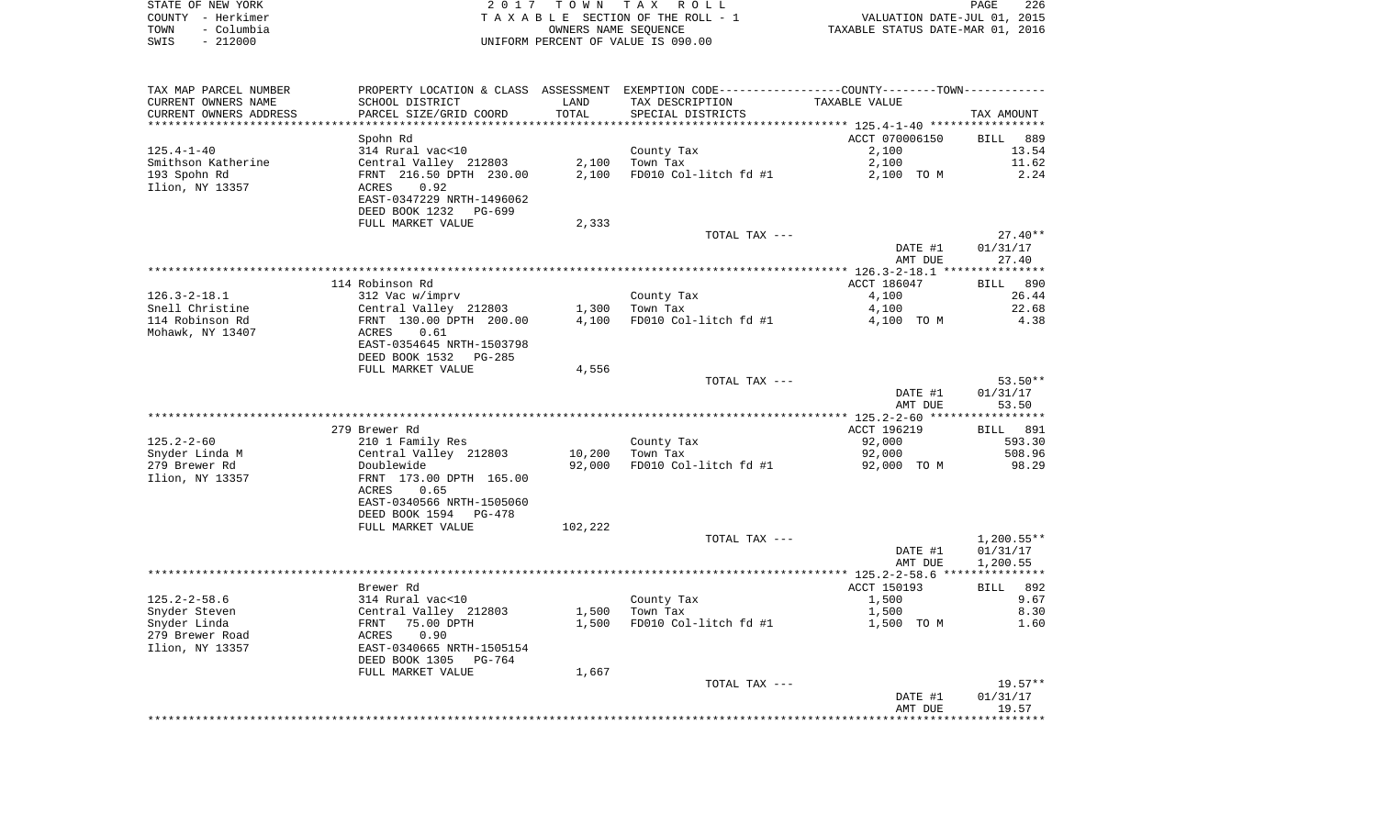| STATE OF NEW YORK  | 2017 TOWN TAX ROLL                 | 226<br><b>PAGE</b>               |
|--------------------|------------------------------------|----------------------------------|
| COUNTY - Herkimer  | TAXABLE SECTION OF THE ROLL - 1    | VALUATION DATE-JUL 01, 2015      |
| – Columbia<br>TOWN | OWNERS NAME SEOUENCE               | TAXABLE STATUS DATE-MAR 01, 2016 |
| $-212000$<br>SWIS  | UNIFORM PERCENT OF VALUE IS 090.00 |                                  |

| TAX MAP PARCEL NUMBER           |                                       |                  | PROPERTY LOCATION & CLASS ASSESSMENT EXEMPTION CODE---------------COUNTY-------TOWN---------- |                       |                 |
|---------------------------------|---------------------------------------|------------------|-----------------------------------------------------------------------------------------------|-----------------------|-----------------|
| CURRENT OWNERS NAME             | SCHOOL DISTRICT                       | LAND             | TAX DESCRIPTION                                                                               | TAXABLE VALUE         |                 |
| CURRENT OWNERS ADDRESS          | PARCEL SIZE/GRID COORD                | TOTAL            | SPECIAL DISTRICTS                                                                             |                       | TAX AMOUNT      |
|                                 |                                       |                  |                                                                                               |                       |                 |
|                                 | Spohn Rd                              |                  |                                                                                               | ACCT 070006150        | BILL 889        |
| $125.4 - 1 - 40$                | 314 Rural vac<10                      |                  | County Tax                                                                                    | 2,100                 | 13.54           |
| Smithson Katherine              | Central Valley 212803                 | 2,100            | Town Tax                                                                                      | 2,100                 | 11.62           |
| 193 Spohn Rd                    | FRNT 216.50 DPTH 230.00               | 2,100            | FD010 Col-litch fd #1                                                                         | 2,100 TO M            | 2.24            |
| Ilion, NY 13357                 | 0.92<br>ACRES                         |                  |                                                                                               |                       |                 |
|                                 | EAST-0347229 NRTH-1496062             |                  |                                                                                               |                       |                 |
|                                 | DEED BOOK 1232 PG-699                 |                  |                                                                                               |                       |                 |
|                                 | FULL MARKET VALUE                     | 2,333            |                                                                                               |                       | $27.40**$       |
|                                 |                                       |                  | TOTAL TAX ---                                                                                 | DATE #1               | 01/31/17        |
|                                 |                                       |                  |                                                                                               | AMT DUE               | 27.40           |
|                                 |                                       |                  |                                                                                               |                       |                 |
|                                 | 114 Robinson Rd                       |                  |                                                                                               | ACCT 186047           | BILL 890        |
| $126.3 - 2 - 18.1$              | 312 Vac w/imprv                       |                  | County Tax                                                                                    | 4,100                 | 26.44           |
| Snell Christine                 | Central Valley 212803                 | 1,300            | Town Tax                                                                                      | 4,100                 | 22.68           |
| 114 Robinson Rd                 | FRNT 130.00 DPTH 200.00               | 4,100            | FD010 Col-litch fd #1                                                                         | 4,100 TO M            | 4.38            |
| Mohawk, NY 13407                | ACRES<br>0.61                         |                  |                                                                                               |                       |                 |
|                                 | EAST-0354645 NRTH-1503798             |                  |                                                                                               |                       |                 |
|                                 | DEED BOOK 1532<br>PG-285              |                  |                                                                                               |                       |                 |
|                                 | FULL MARKET VALUE                     | 4,556            |                                                                                               |                       |                 |
|                                 |                                       |                  | TOTAL TAX ---                                                                                 |                       | $53.50**$       |
|                                 |                                       |                  |                                                                                               | DATE #1               | 01/31/17        |
|                                 |                                       |                  |                                                                                               | AMT DUE               | 53.50           |
|                                 |                                       |                  |                                                                                               |                       |                 |
|                                 | 279 Brewer Rd                         |                  |                                                                                               | ACCT 196219           | <b>BILL</b> 891 |
| $125.2 - 2 - 60$                | 210 1 Family Res                      |                  | County Tax                                                                                    | 92,000                | 593.30          |
| Snyder Linda M<br>279 Brewer Rd | Central Valley 212803                 | 10,200<br>92,000 | Town Tax<br>FD010 Col-litch fd #1                                                             | 92,000<br>92,000 TO M | 508.96<br>98.29 |
| Ilion, NY 13357                 | Doublewide<br>FRNT 173.00 DPTH 165.00 |                  |                                                                                               |                       |                 |
|                                 | ACRES<br>0.65                         |                  |                                                                                               |                       |                 |
|                                 | EAST-0340566 NRTH-1505060             |                  |                                                                                               |                       |                 |
|                                 | DEED BOOK 1594 PG-478                 |                  |                                                                                               |                       |                 |
|                                 | FULL MARKET VALUE                     | 102,222          |                                                                                               |                       |                 |
|                                 |                                       |                  | TOTAL TAX ---                                                                                 |                       | 1,200.55**      |
|                                 |                                       |                  |                                                                                               | DATE #1               | 01/31/17        |
|                                 |                                       |                  |                                                                                               | AMT DUE               | 1,200.55        |
|                                 |                                       |                  |                                                                                               |                       |                 |
|                                 | Brewer Rd                             |                  |                                                                                               | ACCT 150193           | BILL 892        |
| $125.2 - 2 - 58.6$              | 314 Rural vac<10                      |                  | County Tax                                                                                    | 1,500                 | 9.67            |
| Snyder Steven                   | Central Valley 212803                 | 1,500            | Town Tax                                                                                      | 1,500                 | 8.30            |
| Snyder Linda                    | 75.00 DPTH<br>FRNT                    | 1,500            | FD010 Col-litch fd #1                                                                         | 1,500 TO M            | 1.60            |
| 279 Brewer Road                 | 0.90<br>ACRES                         |                  |                                                                                               |                       |                 |
| Ilion, NY 13357                 | EAST-0340665 NRTH-1505154             |                  |                                                                                               |                       |                 |
|                                 | DEED BOOK 1305<br>PG-764              |                  |                                                                                               |                       |                 |
|                                 | FULL MARKET VALUE                     | 1,667            |                                                                                               |                       |                 |
|                                 |                                       |                  | TOTAL TAX ---                                                                                 |                       | $19.57**$       |
|                                 |                                       |                  |                                                                                               | DATE #1               | 01/31/17        |
|                                 |                                       |                  |                                                                                               | AMT DUE               | 19.57           |
|                                 |                                       |                  |                                                                                               |                       |                 |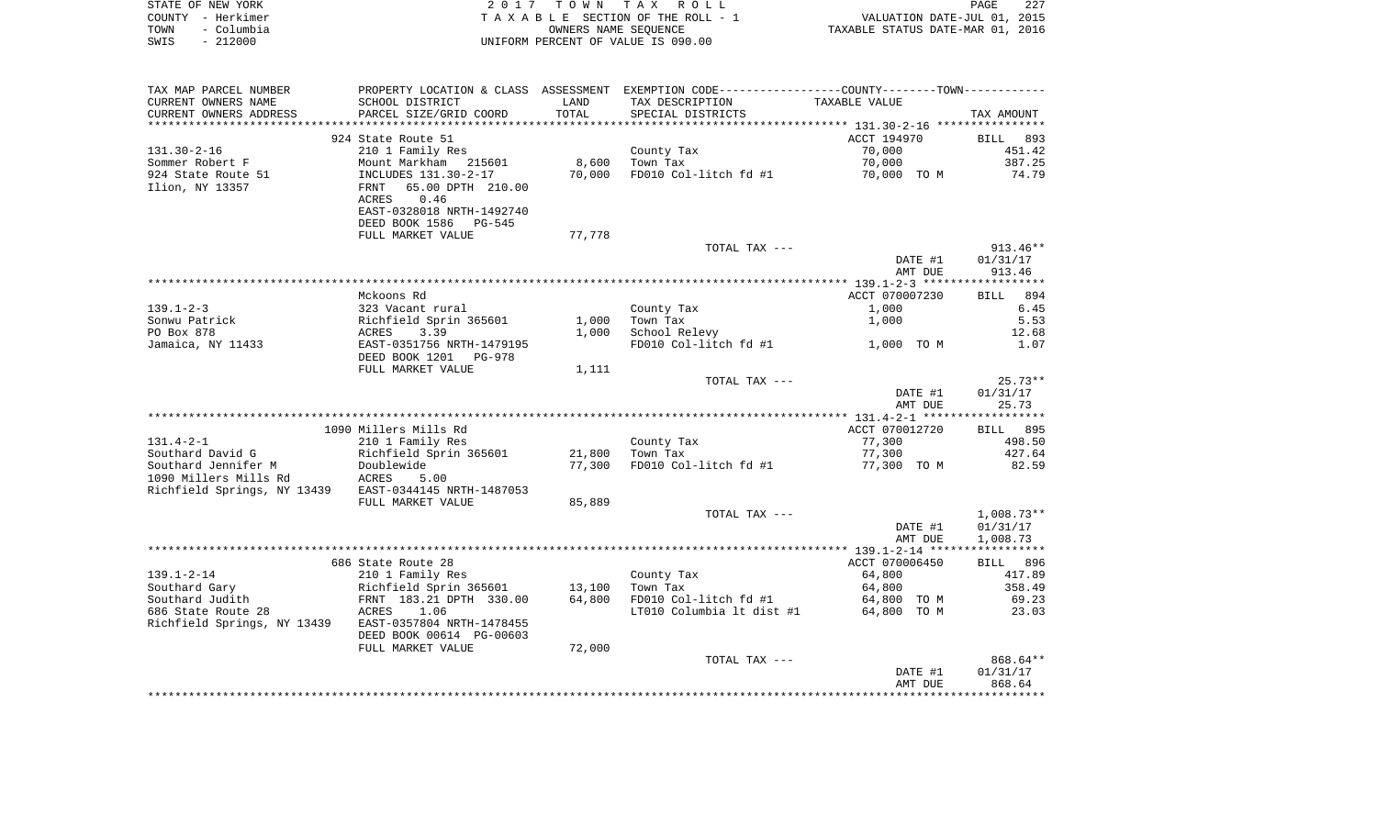| STATE OF NEW YORK  | 2017 TOWN TAX ROLL                 | 227<br>PAGE                      |
|--------------------|------------------------------------|----------------------------------|
| COUNTY - Herkimer  | TAXABLE SECTION OF THE ROLL - 1    | VALUATION DATE-JUL 01, 2015      |
| – Columbia<br>TOWN | OWNERS NAME SEOUENCE               | TAXABLE STATUS DATE-MAR 01, 2016 |
| $-212000$<br>SWIS  | UNIFORM PERCENT OF VALUE IS 090.00 |                                  |

| TAX MAP PARCEL NUMBER            |                                                   |        | PROPERTY LOCATION & CLASS ASSESSMENT EXEMPTION CODE----------------COUNTY--------TOWN---------- |                       |                    |
|----------------------------------|---------------------------------------------------|--------|-------------------------------------------------------------------------------------------------|-----------------------|--------------------|
| CURRENT OWNERS NAME              | SCHOOL DISTRICT                                   | LAND   | TAX DESCRIPTION                                                                                 | TAXABLE VALUE         |                    |
| CURRENT OWNERS ADDRESS           | PARCEL SIZE/GRID COORD                            | TOTAL  | SPECIAL DISTRICTS                                                                               |                       | TAX AMOUNT         |
| *******************              | ****************************                      |        |                                                                                                 |                       |                    |
|                                  | 924 State Route 51                                |        |                                                                                                 | ACCT 194970           | BILL<br>893        |
| $131.30 - 2 - 16$                | 210 1 Family Res                                  |        | County Tax                                                                                      | 70,000                | 451.42             |
| Sommer Robert F                  | Mount Markham 215601                              | 8,600  | Town Tax                                                                                        | 70,000                | 387.25             |
| 924 State Route 51               | INCLUDES 131.30-2-17                              | 70,000 | FD010 Col-litch fd #1                                                                           | 70,000 TO M           | 74.79              |
| Ilion, NY 13357                  | 65.00 DPTH 210.00<br>FRNT                         |        |                                                                                                 |                       |                    |
|                                  | 0.46<br>ACRES                                     |        |                                                                                                 |                       |                    |
|                                  | EAST-0328018 NRTH-1492740                         |        |                                                                                                 |                       |                    |
|                                  | DEED BOOK 1586<br>PG-545                          |        |                                                                                                 |                       |                    |
|                                  | FULL MARKET VALUE                                 | 77,778 |                                                                                                 |                       |                    |
|                                  |                                                   |        | TOTAL TAX ---                                                                                   |                       | $913.46**$         |
|                                  |                                                   |        |                                                                                                 | DATE #1               | 01/31/17           |
|                                  |                                                   |        |                                                                                                 | AMT DUE               | 913.46             |
|                                  |                                                   |        |                                                                                                 |                       |                    |
|                                  | Mckoons Rd                                        |        |                                                                                                 | ACCT 070007230        | 894<br><b>BILL</b> |
| $139.1 - 2 - 3$                  | 323 Vacant rural                                  |        | County Tax                                                                                      | 1,000                 | 6.45               |
| Sonwu Patrick                    | Richfield Sprin 365601                            | 1,000  | Town Tax                                                                                        | 1,000                 | 5.53               |
| PO Box 878                       | ACRES<br>3.39                                     | 1,000  | School Relevy                                                                                   |                       | 12.68              |
| Jamaica, NY 11433                | EAST-0351756 NRTH-1479195                         |        | FD010 Col-litch fd #1                                                                           | 1,000 TO M            | 1.07               |
|                                  | DEED BOOK 1201<br>PG-978                          |        |                                                                                                 |                       |                    |
|                                  | FULL MARKET VALUE                                 | 1,111  |                                                                                                 |                       |                    |
|                                  |                                                   |        | TOTAL TAX ---                                                                                   |                       | $25.73**$          |
|                                  |                                                   |        |                                                                                                 | DATE #1               | 01/31/17           |
|                                  |                                                   |        |                                                                                                 | AMT DUE               | 25.73              |
|                                  |                                                   |        |                                                                                                 |                       |                    |
|                                  | 1090 Millers Mills Rd                             |        |                                                                                                 | ACCT 070012720        | BILL 895           |
| $131.4 - 2 - 1$                  | 210 1 Family Res                                  |        | County Tax                                                                                      | 77,300                | 498.50             |
| Southard David G                 | Richfield Sprin 365601                            | 21,800 | Town Tax                                                                                        | 77,300                | 427.64             |
| Southard Jennifer M              | Doublewide                                        | 77,300 | FD010 Col-litch fd #1                                                                           | 77,300 TO M           | 82.59              |
| 1090 Millers Mills Rd            | <b>ACRES</b><br>5.00                              |        |                                                                                                 |                       |                    |
| Richfield Springs, NY 13439      | EAST-0344145 NRTH-1487053                         |        |                                                                                                 |                       |                    |
|                                  | FULL MARKET VALUE                                 | 85,889 |                                                                                                 |                       |                    |
|                                  |                                                   |        | TOTAL TAX ---                                                                                   |                       | $1,008.73**$       |
|                                  |                                                   |        |                                                                                                 | DATE #1               | 01/31/17           |
|                                  |                                                   |        |                                                                                                 | AMT DUE               | 1,008.73           |
|                                  | 686 State Route 28                                |        |                                                                                                 | ACCT 070006450        | BILL 896           |
| $139.1 - 2 - 14$                 |                                                   |        |                                                                                                 |                       | 417.89             |
|                                  | 210 1 Family Res                                  | 13,100 | County Tax<br>Town Tax                                                                          | 64,800                | 358.49             |
| Southard Gary<br>Southard Judith | Richfield Sprin 365601<br>FRNT 183.21 DPTH 330.00 | 64,800 | FD010 Col-litch fd #1                                                                           | 64,800<br>64,800 TO M | 69.23              |
| 686 State Route 28               | <b>ACRES</b><br>1.06                              |        |                                                                                                 | 64,800 TO M           | 23.03              |
| Richfield Springs, NY 13439      | EAST-0357804 NRTH-1478455                         |        | LT010 Columbia lt dist #1                                                                       |                       |                    |
|                                  | DEED BOOK 00614 PG-00603                          |        |                                                                                                 |                       |                    |
|                                  |                                                   | 72,000 |                                                                                                 |                       |                    |
|                                  | FULL MARKET VALUE                                 |        | TOTAL TAX ---                                                                                   |                       | 868.64**           |
|                                  |                                                   |        |                                                                                                 | DATE #1               | 01/31/17           |
|                                  |                                                   |        |                                                                                                 | AMT DUE               | 868.64             |
|                                  |                                                   |        |                                                                                                 |                       |                    |
|                                  |                                                   |        |                                                                                                 |                       |                    |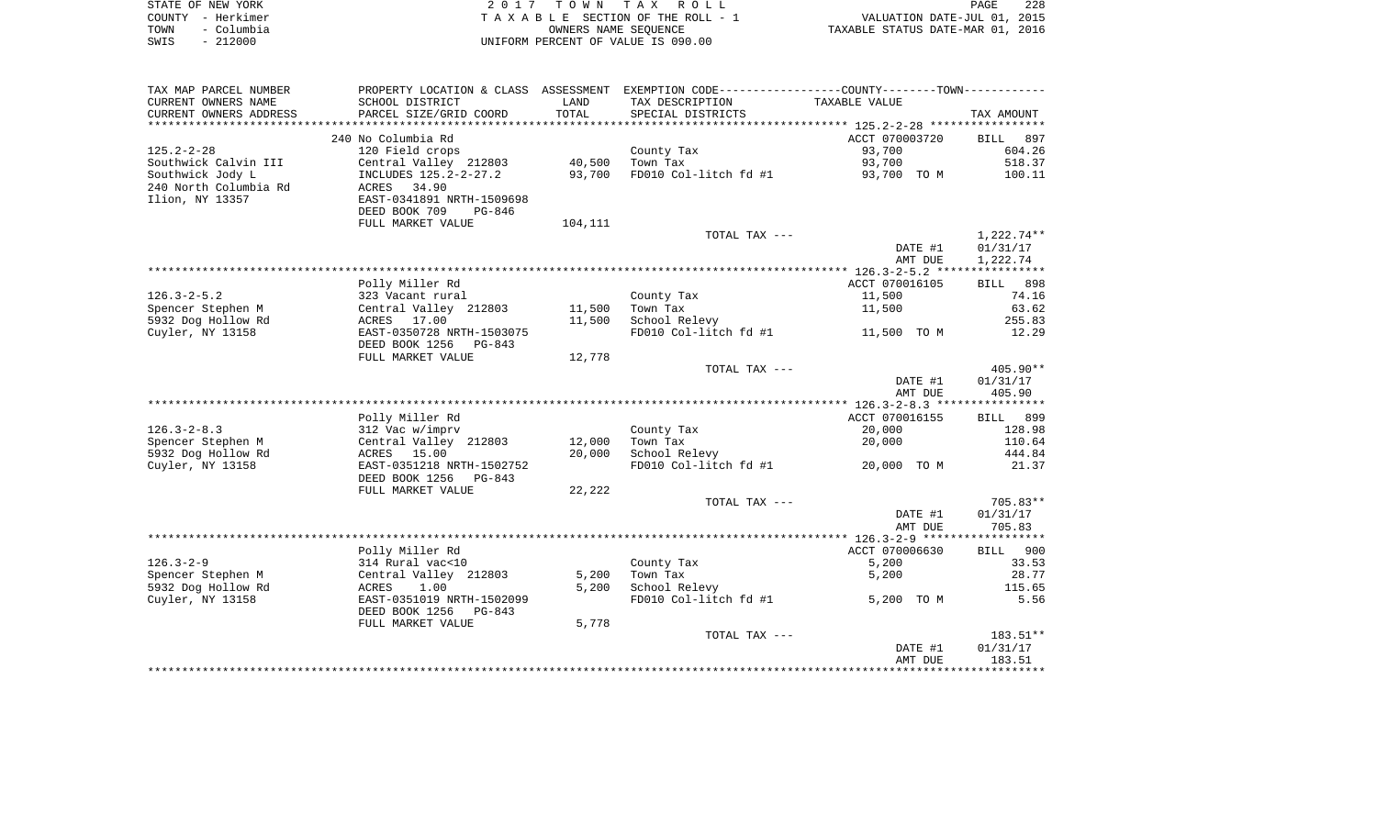|      | STATE OF NEW YORK | 2017 TOWN TAX ROLL                 | PAGE                             | 228 |
|------|-------------------|------------------------------------|----------------------------------|-----|
|      | COUNTY - Herkimer | TAXABLE SECTION OF THE ROLL - 1    | VALUATION DATE-JUL 01, 2015      |     |
| TOWN | - Columbia        | OWNERS NAME SEOUENCE               | TAXABLE STATUS DATE-MAR 01, 2016 |     |
| SWIS | - 212000          | UNIFORM PERCENT OF VALUE IS 090.00 |                                  |     |

| TAXABLE VALUE<br>CURRENT OWNERS NAME<br>SCHOOL DISTRICT<br>LAND<br>TAX DESCRIPTION<br>TOTAL<br>CURRENT OWNERS ADDRESS<br>PARCEL SIZE/GRID COORD<br>SPECIAL DISTRICTS<br>**************<br>*******************<br>240 No Columbia Rd<br>ACCT 070003720<br><b>BILL</b><br>$125.2 - 2 - 28$<br>120 Field crops<br>93,700<br>County Tax<br>Southwick Calvin III<br>Central Valley 212803<br>40,500<br>Town Tax<br>93,700<br>Southwick Jody L<br>INCLUDES 125.2-2-27.2<br>93,700<br>FD010 Col-litch fd #1<br>93,700 TO M<br>240 North Columbia Rd<br>ACRES<br>34.90<br>Ilion, NY 13357<br>EAST-0341891 NRTH-1509698<br>DEED BOOK 709<br>PG-846<br>FULL MARKET VALUE<br>104,111<br>TOTAL TAX ---<br>DATE #1<br>AMT DUE<br>Polly Miller Rd<br>ACCT 070016105<br><b>BILL</b><br>$126.3 - 2 - 5.2$<br>323 Vacant rural<br>11,500<br>County Tax<br>Spencer Stephen M<br>Central Valley 212803<br>11,500<br>Town Tax<br>11,500<br>5932 Dog Hollow Rd<br>ACRES 17.00<br>11,500<br>School Relevy<br>FD010 Col-litch fd #1<br>Cuyler, NY 13158<br>EAST-0350728 NRTH-1503075<br>11,500 TO M<br>DEED BOOK 1256<br>$PG-843$<br>FULL MARKET VALUE<br>12,778<br>TOTAL TAX ---<br>DATE #1<br>AMT DUE | TAX MAP PARCEL NUMBER | PROPERTY LOCATION & CLASS ASSESSMENT | EXEMPTION CODE-----------------COUNTY-------TOWN----------- |              |
|----------------------------------------------------------------------------------------------------------------------------------------------------------------------------------------------------------------------------------------------------------------------------------------------------------------------------------------------------------------------------------------------------------------------------------------------------------------------------------------------------------------------------------------------------------------------------------------------------------------------------------------------------------------------------------------------------------------------------------------------------------------------------------------------------------------------------------------------------------------------------------------------------------------------------------------------------------------------------------------------------------------------------------------------------------------------------------------------------------------------------------------------------------------------------------|-----------------------|--------------------------------------|-------------------------------------------------------------|--------------|
|                                                                                                                                                                                                                                                                                                                                                                                                                                                                                                                                                                                                                                                                                                                                                                                                                                                                                                                                                                                                                                                                                                                                                                                  |                       |                                      |                                                             |              |
|                                                                                                                                                                                                                                                                                                                                                                                                                                                                                                                                                                                                                                                                                                                                                                                                                                                                                                                                                                                                                                                                                                                                                                                  |                       |                                      |                                                             | TAX AMOUNT   |
|                                                                                                                                                                                                                                                                                                                                                                                                                                                                                                                                                                                                                                                                                                                                                                                                                                                                                                                                                                                                                                                                                                                                                                                  |                       |                                      |                                                             |              |
|                                                                                                                                                                                                                                                                                                                                                                                                                                                                                                                                                                                                                                                                                                                                                                                                                                                                                                                                                                                                                                                                                                                                                                                  |                       |                                      |                                                             | 897          |
|                                                                                                                                                                                                                                                                                                                                                                                                                                                                                                                                                                                                                                                                                                                                                                                                                                                                                                                                                                                                                                                                                                                                                                                  |                       |                                      |                                                             | 604.26       |
|                                                                                                                                                                                                                                                                                                                                                                                                                                                                                                                                                                                                                                                                                                                                                                                                                                                                                                                                                                                                                                                                                                                                                                                  |                       |                                      |                                                             | 518.37       |
|                                                                                                                                                                                                                                                                                                                                                                                                                                                                                                                                                                                                                                                                                                                                                                                                                                                                                                                                                                                                                                                                                                                                                                                  |                       |                                      |                                                             | 100.11       |
|                                                                                                                                                                                                                                                                                                                                                                                                                                                                                                                                                                                                                                                                                                                                                                                                                                                                                                                                                                                                                                                                                                                                                                                  |                       |                                      |                                                             |              |
|                                                                                                                                                                                                                                                                                                                                                                                                                                                                                                                                                                                                                                                                                                                                                                                                                                                                                                                                                                                                                                                                                                                                                                                  |                       |                                      |                                                             |              |
|                                                                                                                                                                                                                                                                                                                                                                                                                                                                                                                                                                                                                                                                                                                                                                                                                                                                                                                                                                                                                                                                                                                                                                                  |                       |                                      |                                                             |              |
|                                                                                                                                                                                                                                                                                                                                                                                                                                                                                                                                                                                                                                                                                                                                                                                                                                                                                                                                                                                                                                                                                                                                                                                  |                       |                                      |                                                             |              |
|                                                                                                                                                                                                                                                                                                                                                                                                                                                                                                                                                                                                                                                                                                                                                                                                                                                                                                                                                                                                                                                                                                                                                                                  |                       |                                      |                                                             | $1,222.74**$ |
|                                                                                                                                                                                                                                                                                                                                                                                                                                                                                                                                                                                                                                                                                                                                                                                                                                                                                                                                                                                                                                                                                                                                                                                  |                       |                                      |                                                             | 01/31/17     |
|                                                                                                                                                                                                                                                                                                                                                                                                                                                                                                                                                                                                                                                                                                                                                                                                                                                                                                                                                                                                                                                                                                                                                                                  |                       |                                      |                                                             | 1,222.74     |
|                                                                                                                                                                                                                                                                                                                                                                                                                                                                                                                                                                                                                                                                                                                                                                                                                                                                                                                                                                                                                                                                                                                                                                                  |                       |                                      |                                                             |              |
|                                                                                                                                                                                                                                                                                                                                                                                                                                                                                                                                                                                                                                                                                                                                                                                                                                                                                                                                                                                                                                                                                                                                                                                  |                       |                                      |                                                             | 898          |
|                                                                                                                                                                                                                                                                                                                                                                                                                                                                                                                                                                                                                                                                                                                                                                                                                                                                                                                                                                                                                                                                                                                                                                                  |                       |                                      |                                                             | 74.16        |
|                                                                                                                                                                                                                                                                                                                                                                                                                                                                                                                                                                                                                                                                                                                                                                                                                                                                                                                                                                                                                                                                                                                                                                                  |                       |                                      |                                                             | 63.62        |
|                                                                                                                                                                                                                                                                                                                                                                                                                                                                                                                                                                                                                                                                                                                                                                                                                                                                                                                                                                                                                                                                                                                                                                                  |                       |                                      |                                                             | 255.83       |
|                                                                                                                                                                                                                                                                                                                                                                                                                                                                                                                                                                                                                                                                                                                                                                                                                                                                                                                                                                                                                                                                                                                                                                                  |                       |                                      |                                                             | 12.29        |
|                                                                                                                                                                                                                                                                                                                                                                                                                                                                                                                                                                                                                                                                                                                                                                                                                                                                                                                                                                                                                                                                                                                                                                                  |                       |                                      |                                                             |              |
|                                                                                                                                                                                                                                                                                                                                                                                                                                                                                                                                                                                                                                                                                                                                                                                                                                                                                                                                                                                                                                                                                                                                                                                  |                       |                                      |                                                             |              |
|                                                                                                                                                                                                                                                                                                                                                                                                                                                                                                                                                                                                                                                                                                                                                                                                                                                                                                                                                                                                                                                                                                                                                                                  |                       |                                      |                                                             | 405.90**     |
|                                                                                                                                                                                                                                                                                                                                                                                                                                                                                                                                                                                                                                                                                                                                                                                                                                                                                                                                                                                                                                                                                                                                                                                  |                       |                                      |                                                             | 01/31/17     |
|                                                                                                                                                                                                                                                                                                                                                                                                                                                                                                                                                                                                                                                                                                                                                                                                                                                                                                                                                                                                                                                                                                                                                                                  |                       |                                      |                                                             | 405.90       |
|                                                                                                                                                                                                                                                                                                                                                                                                                                                                                                                                                                                                                                                                                                                                                                                                                                                                                                                                                                                                                                                                                                                                                                                  |                       |                                      |                                                             |              |
| Polly Miller Rd<br>ACCT 070016155<br>BILL                                                                                                                                                                                                                                                                                                                                                                                                                                                                                                                                                                                                                                                                                                                                                                                                                                                                                                                                                                                                                                                                                                                                        |                       |                                      |                                                             | 899          |
| $126.3 - 2 - 8.3$<br>20,000<br>312 Vac w/imprv<br>County Tax                                                                                                                                                                                                                                                                                                                                                                                                                                                                                                                                                                                                                                                                                                                                                                                                                                                                                                                                                                                                                                                                                                                     |                       |                                      |                                                             | 128.98       |
| Spencer Stephen M<br>12,000<br>Town Tax<br>20,000<br>Central Valley 212803                                                                                                                                                                                                                                                                                                                                                                                                                                                                                                                                                                                                                                                                                                                                                                                                                                                                                                                                                                                                                                                                                                       |                       |                                      |                                                             | 110.64       |
| 5932 Dog Hollow Rd<br>20,000<br>School Relevy<br>ACRES 15.00                                                                                                                                                                                                                                                                                                                                                                                                                                                                                                                                                                                                                                                                                                                                                                                                                                                                                                                                                                                                                                                                                                                     |                       |                                      |                                                             | 444.84       |
| Cuyler, NY 13158<br>EAST-0351218 NRTH-1502752<br>FD010 Col-litch fd #1<br>20,000 TO M                                                                                                                                                                                                                                                                                                                                                                                                                                                                                                                                                                                                                                                                                                                                                                                                                                                                                                                                                                                                                                                                                            |                       |                                      |                                                             | 21.37        |
| DEED BOOK 1256<br>PG-843                                                                                                                                                                                                                                                                                                                                                                                                                                                                                                                                                                                                                                                                                                                                                                                                                                                                                                                                                                                                                                                                                                                                                         |                       |                                      |                                                             |              |
| 22,222<br>FULL MARKET VALUE                                                                                                                                                                                                                                                                                                                                                                                                                                                                                                                                                                                                                                                                                                                                                                                                                                                                                                                                                                                                                                                                                                                                                      |                       |                                      |                                                             |              |
| TOTAL TAX ---                                                                                                                                                                                                                                                                                                                                                                                                                                                                                                                                                                                                                                                                                                                                                                                                                                                                                                                                                                                                                                                                                                                                                                    |                       |                                      |                                                             | 705.83**     |
| DATE #1                                                                                                                                                                                                                                                                                                                                                                                                                                                                                                                                                                                                                                                                                                                                                                                                                                                                                                                                                                                                                                                                                                                                                                          |                       |                                      |                                                             | 01/31/17     |
| AMT DUE                                                                                                                                                                                                                                                                                                                                                                                                                                                                                                                                                                                                                                                                                                                                                                                                                                                                                                                                                                                                                                                                                                                                                                          |                       |                                      |                                                             | 705.83       |
|                                                                                                                                                                                                                                                                                                                                                                                                                                                                                                                                                                                                                                                                                                                                                                                                                                                                                                                                                                                                                                                                                                                                                                                  |                       |                                      |                                                             |              |
| ACCT 070006630<br>Polly Miller Rd<br><b>BILL</b>                                                                                                                                                                                                                                                                                                                                                                                                                                                                                                                                                                                                                                                                                                                                                                                                                                                                                                                                                                                                                                                                                                                                 |                       |                                      |                                                             | 900          |
| $126.3 - 2 - 9$<br>314 Rural vac<10<br>County Tax<br>5,200                                                                                                                                                                                                                                                                                                                                                                                                                                                                                                                                                                                                                                                                                                                                                                                                                                                                                                                                                                                                                                                                                                                       |                       |                                      |                                                             | 33.53        |
| Spencer Stephen M<br>Central Valley 212803<br>5,200<br>Town Tax<br>5,200                                                                                                                                                                                                                                                                                                                                                                                                                                                                                                                                                                                                                                                                                                                                                                                                                                                                                                                                                                                                                                                                                                         |                       |                                      |                                                             | 28.77        |
| 5932 Dog Hollow Rd<br>5,200<br>School Relevy<br>ACRES<br>1.00                                                                                                                                                                                                                                                                                                                                                                                                                                                                                                                                                                                                                                                                                                                                                                                                                                                                                                                                                                                                                                                                                                                    |                       |                                      |                                                             | 115.65       |
| Cuyler, NY 13158<br>EAST-0351019 NRTH-1502099<br>FD010 Col-litch fd #1<br>5,200 TO M                                                                                                                                                                                                                                                                                                                                                                                                                                                                                                                                                                                                                                                                                                                                                                                                                                                                                                                                                                                                                                                                                             |                       |                                      |                                                             | 5.56         |
| DEED BOOK 1256<br>PG-843                                                                                                                                                                                                                                                                                                                                                                                                                                                                                                                                                                                                                                                                                                                                                                                                                                                                                                                                                                                                                                                                                                                                                         |                       |                                      |                                                             |              |
| 5,778<br>FULL MARKET VALUE                                                                                                                                                                                                                                                                                                                                                                                                                                                                                                                                                                                                                                                                                                                                                                                                                                                                                                                                                                                                                                                                                                                                                       |                       |                                      |                                                             |              |
| TOTAL TAX ---                                                                                                                                                                                                                                                                                                                                                                                                                                                                                                                                                                                                                                                                                                                                                                                                                                                                                                                                                                                                                                                                                                                                                                    |                       |                                      |                                                             | 183.51**     |
| DATE #1                                                                                                                                                                                                                                                                                                                                                                                                                                                                                                                                                                                                                                                                                                                                                                                                                                                                                                                                                                                                                                                                                                                                                                          |                       |                                      |                                                             | 01/31/17     |
| AMT DUE                                                                                                                                                                                                                                                                                                                                                                                                                                                                                                                                                                                                                                                                                                                                                                                                                                                                                                                                                                                                                                                                                                                                                                          |                       |                                      |                                                             | 183.51       |
|                                                                                                                                                                                                                                                                                                                                                                                                                                                                                                                                                                                                                                                                                                                                                                                                                                                                                                                                                                                                                                                                                                                                                                                  |                       |                                      |                                                             |              |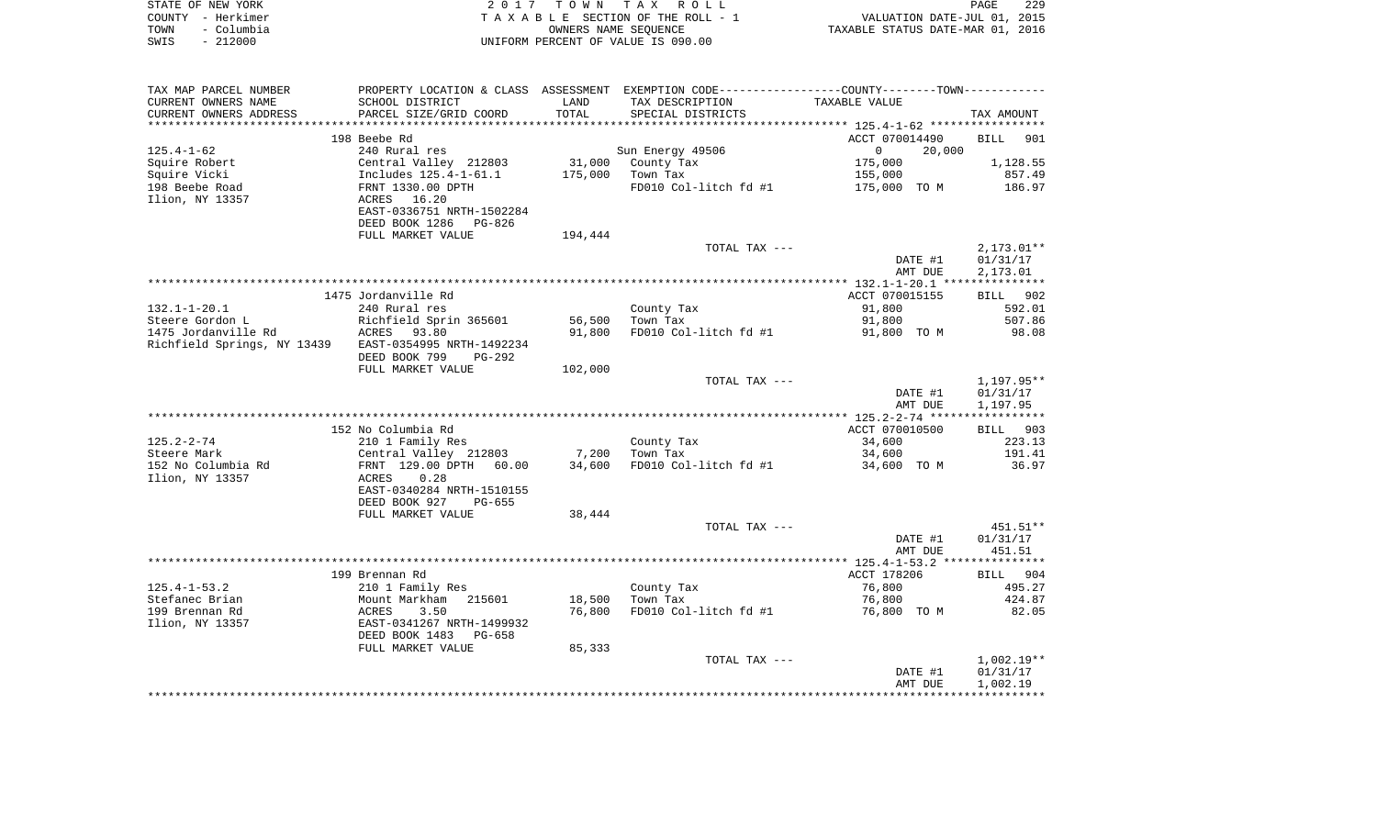| STATE OF NEW YORK  | 2017 TOWN TAX ROLL                 | 229<br>PAGE                      |
|--------------------|------------------------------------|----------------------------------|
| COUNTY - Herkimer  | TAXABLE SECTION OF THE ROLL - 1    | VALUATION DATE-JUL 01, 2015      |
| - Columbia<br>TOWN | OWNERS NAME SEOUENCE               | TAXABLE STATUS DATE-MAR 01, 2016 |
| $-212000$<br>SWIS  | UNIFORM PERCENT OF VALUE IS 090.00 |                                  |

| TAX MAP PARCEL NUMBER                                 | PROPERTY LOCATION & CLASS ASSESSMENT EXEMPTION CODE----------------COUNTY--------TOWN---------- |         |                                   |                                           |              |
|-------------------------------------------------------|-------------------------------------------------------------------------------------------------|---------|-----------------------------------|-------------------------------------------|--------------|
| CURRENT OWNERS NAME                                   | SCHOOL DISTRICT                                                                                 | LAND    | TAX DESCRIPTION                   | TAXABLE VALUE                             |              |
| CURRENT OWNERS ADDRESS                                | PARCEL SIZE/GRID COORD                                                                          | TOTAL   | SPECIAL DISTRICTS                 |                                           | TAX AMOUNT   |
|                                                       |                                                                                                 |         |                                   |                                           |              |
|                                                       | 198 Beebe Rd                                                                                    |         |                                   | ACCT 070014490                            | BILL<br>901  |
| 125.4-1-62                                            |                                                                                                 |         |                                   | $\overline{0}$<br>20,000                  |              |
| Squire Robert                                         | Central valley<br>Includes 125.4-1-61.1<br>FRNT 1330.00 DPTH<br>ACRES 16.20                     |         |                                   | 175,000                                   | 1,128.55     |
| Squire Vicki                                          |                                                                                                 |         |                                   | 155,000                                   | 857.49       |
| 198 Beebe Road                                        |                                                                                                 |         |                                   | FD010 Col-litch fd #1 175,000 TO M 186.97 |              |
| Ilion, NY 13357                                       |                                                                                                 |         |                                   |                                           |              |
|                                                       | EAST-0336751 NRTH-1502284                                                                       |         |                                   |                                           |              |
|                                                       | DEED BOOK 1286 PG-826                                                                           |         |                                   |                                           |              |
|                                                       | FULL MARKET VALUE                                                                               | 194,444 |                                   |                                           |              |
|                                                       |                                                                                                 |         | TOTAL TAX ---                     |                                           | $2,173.01**$ |
|                                                       |                                                                                                 |         |                                   | DATE #1                                   | 01/31/17     |
|                                                       |                                                                                                 |         |                                   | AMT DUE                                   | 2,173.01     |
|                                                       |                                                                                                 |         |                                   |                                           |              |
|                                                       | 1475 Jordanville Rd                                                                             |         |                                   | ACCT 070015155                            | BILL 902     |
| 132.1-1-20.1                                          | 240 Rural res                                                                                   |         | County Tax<br>Town Tax            | 91,800                                    | 592.01       |
| Steere Gordon L                                       | Richfield Sprin 365601 56,500<br>ACRES 93.80 91,800                                             |         | Town Tax                          | 91,800                                    | 507.86       |
| 1475 Jordanville Rd                                   |                                                                                                 |         | FD010 Col-litch fd #1             | 91,800 TO M                               | 98.08        |
| Richfield Springs, NY 13439 EAST-0354995 NRTH-1492234 |                                                                                                 |         |                                   |                                           |              |
|                                                       | DEED BOOK 799<br>PG-292                                                                         |         |                                   |                                           |              |
|                                                       | FULL MARKET VALUE                                                                               | 102,000 |                                   |                                           |              |
|                                                       |                                                                                                 |         | TOTAL TAX ---                     |                                           | 1,197.95**   |
|                                                       |                                                                                                 |         |                                   | DATE #1                                   | 01/31/17     |
|                                                       |                                                                                                 |         |                                   | AMT DUE                                   | 1,197.95     |
|                                                       |                                                                                                 |         |                                   |                                           |              |
|                                                       | 152 No Columbia Rd                                                                              |         |                                   | ACCT 070010500                            | BILL 903     |
| 125.2-2-74                                            | 210 1 Family Res                                                                                |         |                                   | 34,600                                    | 223.13       |
| Steere Mark                                           | Central Valley 212803 1,200<br>FRNT 129.00 DPTH 60.00 34,600                                    |         | County Tax<br>Town Tax            | 34,600                                    | 191.41       |
| 152 No Columbia Rd                                    |                                                                                                 |         | 34,600 FD010 Col-litch fd #1      | 34,600 TO M                               | 36.97        |
| Ilion, NY 13357                                       | 0.28<br>ACRES                                                                                   |         |                                   |                                           |              |
|                                                       | EAST-0340284 NRTH-1510155                                                                       |         |                                   |                                           |              |
|                                                       | DEED BOOK 927<br>PG-655                                                                         |         |                                   |                                           |              |
|                                                       | FULL MARKET VALUE                                                                               | 38,444  |                                   |                                           |              |
|                                                       |                                                                                                 |         | TOTAL TAX ---                     |                                           | 451.51**     |
|                                                       |                                                                                                 |         |                                   | DATE #1                                   | 01/31/17     |
|                                                       |                                                                                                 |         |                                   | AMT DUE                                   | 451.51       |
|                                                       |                                                                                                 |         |                                   |                                           |              |
|                                                       | 199 Brennan Rd                                                                                  |         |                                   | ACCT 178206                               | BILL 904     |
| 125.4-1-53.2                                          | 210 1 Family Res                                                                                |         | County Tax<br>Town Tax            | 76,800                                    | 495.27       |
| Stefanec Brian                                        |                                                                                                 |         | 18,500   Town Tax                 | 76,800                                    | 424.87       |
| 199 Brennan Rd                                        |                                                                                                 | 76,800  | FD010 Col-litch fd #1 76,800 TO M |                                           | 82.05        |
| Ilion, NY 13357                                       |                                                                                                 |         |                                   |                                           |              |
|                                                       | DEED BOOK 1483 PG-658                                                                           |         |                                   |                                           |              |
|                                                       | FULL MARKET VALUE                                                                               | 85,333  |                                   |                                           |              |
|                                                       |                                                                                                 |         | TOTAL TAX ---                     |                                           | $1,002.19**$ |
|                                                       |                                                                                                 |         |                                   | DATE #1                                   | 01/31/17     |
|                                                       |                                                                                                 |         |                                   | AMT DUE                                   | 1,002.19     |
|                                                       |                                                                                                 |         |                                   |                                           |              |
|                                                       |                                                                                                 |         |                                   |                                           |              |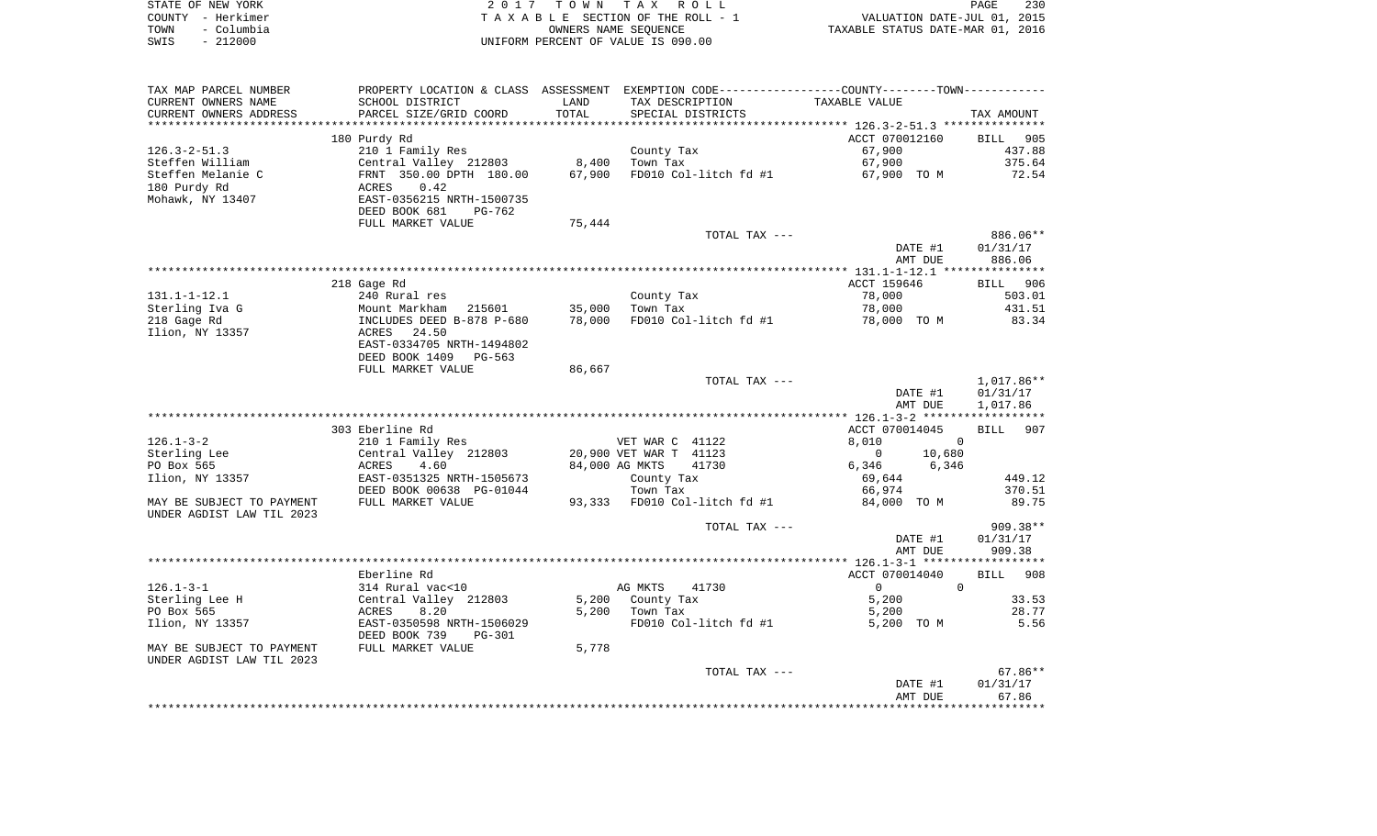| STATE OF NEW YORK  | 2017 TOWN TAX ROLL                 | 230<br>PAGE                      |
|--------------------|------------------------------------|----------------------------------|
| COUNTY - Herkimer  | TAXABLE SECTION OF THE ROLL - 1    | VALUATION DATE-JUL 01, 2015      |
| - Columbia<br>TOWN | OWNERS NAME SEOUENCE               | TAXABLE STATUS DATE-MAR 01, 2016 |
| $-212000$<br>SWIS  | UNIFORM PERCENT OF VALUE IS 090.00 |                                  |

| TAX MAP PARCEL NUMBER     |                                |        | PROPERTY LOCATION & CLASS ASSESSMENT EXEMPTION CODE----------------COUNTY--------TOWN----------- |                            |                    |
|---------------------------|--------------------------------|--------|--------------------------------------------------------------------------------------------------|----------------------------|--------------------|
| CURRENT OWNERS NAME       | SCHOOL DISTRICT                | LAND   | TAX DESCRIPTION                                                                                  | TAXABLE VALUE              |                    |
| CURRENT OWNERS ADDRESS    | PARCEL SIZE/GRID COORD         | TOTAL  | SPECIAL DISTRICTS                                                                                |                            | TAX AMOUNT         |
|                           |                                |        |                                                                                                  |                            |                    |
|                           | 180 Purdy Rd                   |        |                                                                                                  | ACCT 070012160             | <b>BILL</b><br>905 |
| $126.3 - 2 - 51.3$        | 210 1 Family Res               |        | County Tax                                                                                       | 67,900                     | 437.88             |
| Steffen William           | Central Valley 212803          | 8,400  | Town Tax                                                                                         | 67,900                     | 375.64             |
|                           |                                | 67,900 |                                                                                                  |                            | 72.54              |
| Steffen Melanie C         | FRNT 350.00 DPTH 180.00        |        | FD010 Col-litch fd #1                                                                            | 67,900 TO M                |                    |
| 180 Purdy Rd              | 0.42<br>ACRES                  |        |                                                                                                  |                            |                    |
| Mohawk, NY 13407          | EAST-0356215 NRTH-1500735      |        |                                                                                                  |                            |                    |
|                           | DEED BOOK 681<br><b>PG-762</b> |        |                                                                                                  |                            |                    |
|                           | FULL MARKET VALUE              | 75,444 |                                                                                                  |                            |                    |
|                           |                                |        | TOTAL TAX ---                                                                                    |                            | 886.06**           |
|                           |                                |        |                                                                                                  | DATE #1                    | 01/31/17           |
|                           |                                |        |                                                                                                  | AMT DUE                    | 886.06             |
|                           |                                |        |                                                                                                  |                            |                    |
|                           | 218 Gage Rd                    |        |                                                                                                  | ACCT 159646                | BILL<br>906        |
| $131.1 - 1 - 12.1$        | 240 Rural res                  |        | County Tax                                                                                       | 78,000                     | 503.01             |
| Sterling Iva G            | Mount Markham<br>215601        | 35,000 | Town Tax                                                                                         | 78,000                     | 431.51             |
| 218 Gage Rd               | INCLUDES DEED B-878 P-680      | 78,000 | FD010 Col-litch fd #1                                                                            | 78,000 TO M                | 83.34              |
| Ilion, NY 13357           | ACRES<br>24.50                 |        |                                                                                                  |                            |                    |
|                           | EAST-0334705 NRTH-1494802      |        |                                                                                                  |                            |                    |
|                           | DEED BOOK 1409<br>$PG-563$     |        |                                                                                                  |                            |                    |
|                           |                                |        |                                                                                                  |                            |                    |
|                           | FULL MARKET VALUE              | 86,667 |                                                                                                  |                            |                    |
|                           |                                |        | TOTAL TAX ---                                                                                    |                            | 1,017.86**         |
|                           |                                |        |                                                                                                  | DATE #1                    | 01/31/17           |
|                           |                                |        |                                                                                                  | AMT DUE                    | 1,017.86           |
|                           |                                |        |                                                                                                  |                            |                    |
|                           | 303 Eberline Rd                |        |                                                                                                  | ACCT 070014045             | <b>BILL</b><br>907 |
| $126.1 - 3 - 2$           | 210 1 Family Res               |        | VET WAR C 41122                                                                                  | 8,010<br>$\mathbf 0$       |                    |
| Sterling Lee              | Central Valley 212803          |        | 20,900 VET WAR T 41123                                                                           | $\Omega$<br>10,680         |                    |
| PO Box 565                | ACRES<br>4.60                  |        | 84,000 AG MKTS<br>41730                                                                          | 6,346<br>6,346             |                    |
| Ilion, NY 13357           | EAST-0351325 NRTH-1505673      |        | County Tax                                                                                       | 69,644                     | 449.12             |
|                           | DEED BOOK 00638 PG-01044       |        | Town Tax                                                                                         | 66,974                     | 370.51             |
| MAY BE SUBJECT TO PAYMENT | FULL MARKET VALUE              |        | 93,333 FD010 Col-litch fd #1                                                                     | 84,000 TO M                | 89.75              |
| UNDER AGDIST LAW TIL 2023 |                                |        |                                                                                                  |                            |                    |
|                           |                                |        | TOTAL TAX ---                                                                                    |                            | 909.38**           |
|                           |                                |        |                                                                                                  | DATE #1                    | 01/31/17           |
|                           |                                |        |                                                                                                  | AMT DUE                    | 909.38             |
|                           |                                |        |                                                                                                  |                            |                    |
|                           |                                |        |                                                                                                  |                            |                    |
|                           | Eberline Rd                    |        |                                                                                                  | ACCT 070014040<br>$\Omega$ | BILL<br>908        |
| $126.1 - 3 - 1$           | 314 Rural vac<10               |        | AG MKTS<br>41730                                                                                 | $\mathbf{0}$               |                    |
| Sterling Lee H            | Central Valley 212803          | 5,200  | County Tax                                                                                       | 5,200                      | 33.53              |
| PO Box 565                | ACRES<br>8.20                  | 5,200  | Town Tax                                                                                         | 5,200                      | 28.77              |
| Ilion, NY 13357           | EAST-0350598 NRTH-1506029      |        | FD010 Col-litch fd #1                                                                            | 5,200 TO M                 | 5.56               |
|                           | DEED BOOK 739<br><b>PG-301</b> |        |                                                                                                  |                            |                    |
| MAY BE SUBJECT TO PAYMENT | FULL MARKET VALUE              | 5,778  |                                                                                                  |                            |                    |
| UNDER AGDIST LAW TIL 2023 |                                |        |                                                                                                  |                            |                    |
|                           |                                |        | TOTAL TAX ---                                                                                    |                            | $67.86**$          |
|                           |                                |        |                                                                                                  | DATE #1                    | 01/31/17           |
|                           |                                |        |                                                                                                  | AMT DUE                    | 67.86              |
|                           |                                |        |                                                                                                  |                            |                    |
|                           |                                |        |                                                                                                  |                            |                    |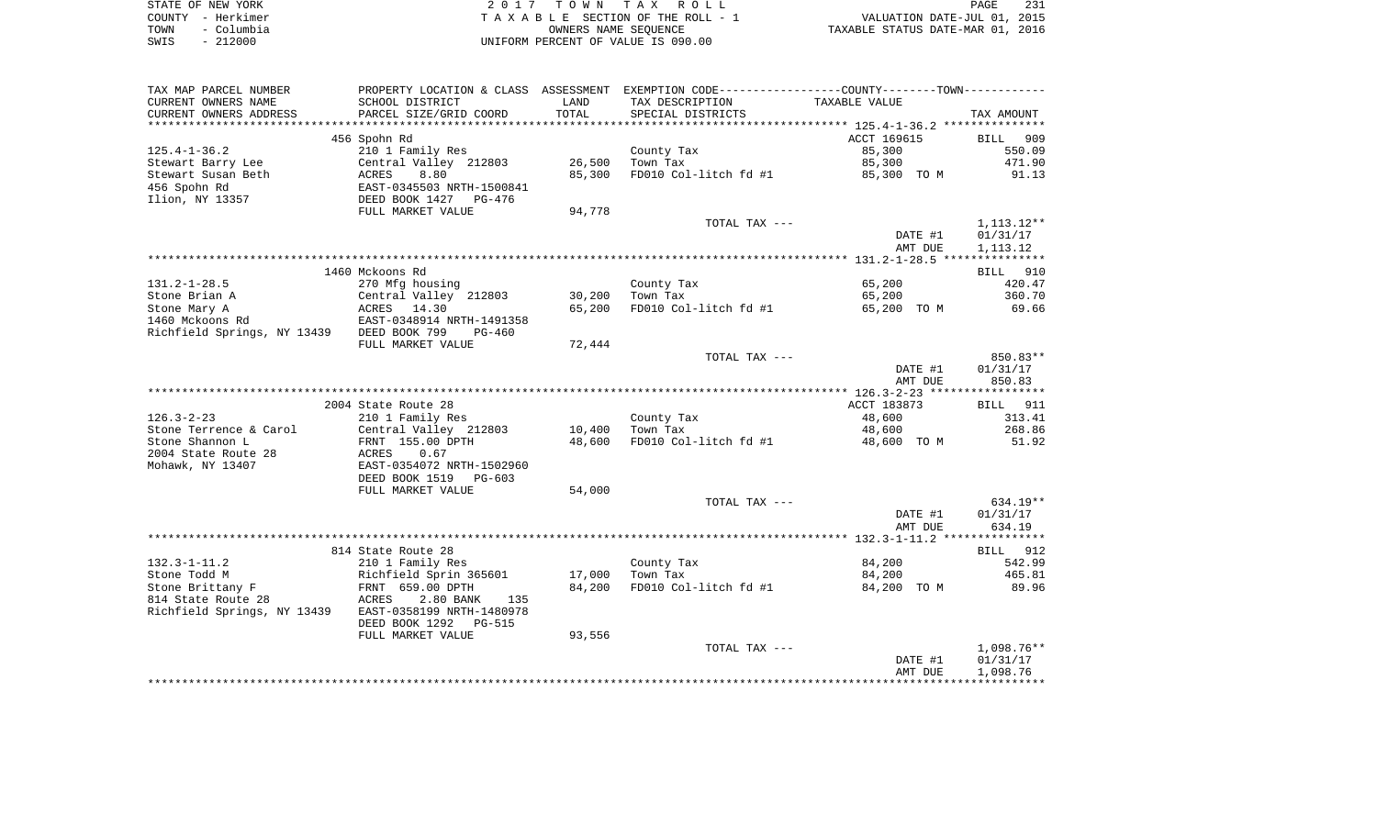|      | STATE OF NEW YORK | 2017 TOWN TAX ROLL                 | 231<br>PAGE                      |
|------|-------------------|------------------------------------|----------------------------------|
|      | COUNTY - Herkimer | TAXABLE SECTION OF THE ROLL - 1    | VALUATION DATE-JUL 01, 2015      |
| TOWN | - Columbia        | OWNERS NAME SEOUENCE               | TAXABLE STATUS DATE-MAR 01, 2016 |
| SWIS | $-212000$         | UNIFORM PERCENT OF VALUE IS 090.00 |                                  |

| TAX MAP PARCEL NUMBER                     |                           |        | PROPERTY LOCATION & CLASS ASSESSMENT EXEMPTION CODE---------------COUNTY-------TOWN---------- |                    |                    |
|-------------------------------------------|---------------------------|--------|-----------------------------------------------------------------------------------------------|--------------------|--------------------|
| CURRENT OWNERS NAME                       | SCHOOL DISTRICT           | LAND   | TAX DESCRIPTION                                                                               | TAXABLE VALUE      |                    |
| CURRENT OWNERS ADDRESS                    | PARCEL SIZE/GRID COORD    | TOTAL  | SPECIAL DISTRICTS                                                                             |                    | TAX AMOUNT         |
| **********************                    |                           |        |                                                                                               |                    |                    |
|                                           | 456 Spohn Rd              |        |                                                                                               | ACCT 169615        | <b>BILL</b><br>909 |
| $125.4 - 1 - 36.2$                        | 210 1 Family Res          |        | County Tax                                                                                    | 85,300             | 550.09             |
| Stewart Barry Lee                         | Central Valley 212803     | 26,500 | Town Tax                                                                                      | 85,300             | 471.90             |
| Stewart Susan Beth                        | 8.80<br>ACRES             | 85,300 | FD010 Col-litch fd #1                                                                         | 85,300 TO M        | 91.13              |
| 456 Spohn Rd                              | EAST-0345503 NRTH-1500841 |        |                                                                                               |                    |                    |
| Ilion, NY 13357                           | DEED BOOK 1427 PG-476     |        |                                                                                               |                    |                    |
|                                           | FULL MARKET VALUE         | 94,778 |                                                                                               |                    |                    |
|                                           |                           |        | TOTAL TAX ---                                                                                 |                    | 1,113.12**         |
|                                           |                           |        |                                                                                               | DATE #1            | 01/31/17           |
|                                           |                           |        |                                                                                               | AMT DUE            | 1,113.12           |
|                                           |                           |        |                                                                                               |                    |                    |
|                                           | 1460 Mckoons Rd           |        |                                                                                               |                    | BILL 910           |
| $131.2 - 1 - 28.5$                        | 270 Mfg housing           |        | County Tax                                                                                    | 65,200             | 420.47             |
| Stone Brian A                             | Central Valley 212803     | 30,200 | Town Tax                                                                                      | 65,200             | 360.70             |
| Stone Mary A                              | 14.30<br>ACRES            | 65,200 | FD010 Col-litch fd #1                                                                         | 65,200 TO M        | 69.66              |
| 1460 Mckoons Rd                           | EAST-0348914 NRTH-1491358 |        |                                                                                               |                    |                    |
| Richfield Springs, NY 13439 DEED BOOK 799 | <b>PG-460</b>             |        |                                                                                               |                    |                    |
|                                           | FULL MARKET VALUE         | 72,444 |                                                                                               |                    |                    |
|                                           |                           |        | TOTAL TAX ---                                                                                 |                    | 850.83**           |
|                                           |                           |        |                                                                                               | DATE #1<br>AMT DUE | 01/31/17<br>850.83 |
|                                           |                           |        |                                                                                               |                    |                    |
|                                           | 2004 State Route 28       |        |                                                                                               | ACCT 183873        | BILL 911           |
| $126.3 - 2 - 23$                          | 210 1 Family Res          |        | County Tax                                                                                    | 48,600             | 313.41             |
| Stone Terrence & Carol                    | Central Valley 212803     | 10,400 | Town Tax                                                                                      | 48,600             | 268.86             |
| Stone Shannon L                           | FRNT 155.00 DPTH          | 48,600 | FD010 Col-litch fd #1                                                                         | 48,600 TO M        | 51.92              |
| 2004 State Route 28                       | 0.67<br>ACRES             |        |                                                                                               |                    |                    |
| Mohawk, NY 13407                          | EAST-0354072 NRTH-1502960 |        |                                                                                               |                    |                    |
|                                           | DEED BOOK 1519<br>PG-603  |        |                                                                                               |                    |                    |
|                                           | FULL MARKET VALUE         | 54,000 |                                                                                               |                    |                    |
|                                           |                           |        | TOTAL TAX ---                                                                                 |                    | $634.19**$         |
|                                           |                           |        |                                                                                               | DATE #1            | 01/31/17           |
|                                           |                           |        |                                                                                               | AMT DUE            | 634.19             |
|                                           |                           |        |                                                                                               |                    |                    |
|                                           | 814 State Route 28        |        |                                                                                               |                    | BILL 912           |
| $132.3 - 1 - 11.2$                        | 210 1 Family Res          |        | County Tax                                                                                    | 84,200             | 542.99             |
| Stone Todd M                              | Richfield Sprin 365601    | 17,000 | Town Tax                                                                                      | 84,200             | 465.81             |
| Stone Brittany F                          | FRNT 659.00 DPTH          | 84,200 | FD010 Col-litch fd #1                                                                         | 84,200 TO M        | 89.96              |
| 814 State Route 28                        | ACRES<br>2.80 BANK<br>135 |        |                                                                                               |                    |                    |
| Richfield Springs, NY 13439               | EAST-0358199 NRTH-1480978 |        |                                                                                               |                    |                    |
|                                           | DEED BOOK 1292<br>PG-515  |        |                                                                                               |                    |                    |
|                                           | FULL MARKET VALUE         | 93,556 |                                                                                               |                    |                    |
|                                           |                           |        | TOTAL TAX ---                                                                                 |                    | 1,098.76**         |
|                                           |                           |        |                                                                                               | DATE #1            | 01/31/17           |
|                                           |                           |        |                                                                                               | AMT DUE            | 1,098.76           |
|                                           |                           |        |                                                                                               |                    |                    |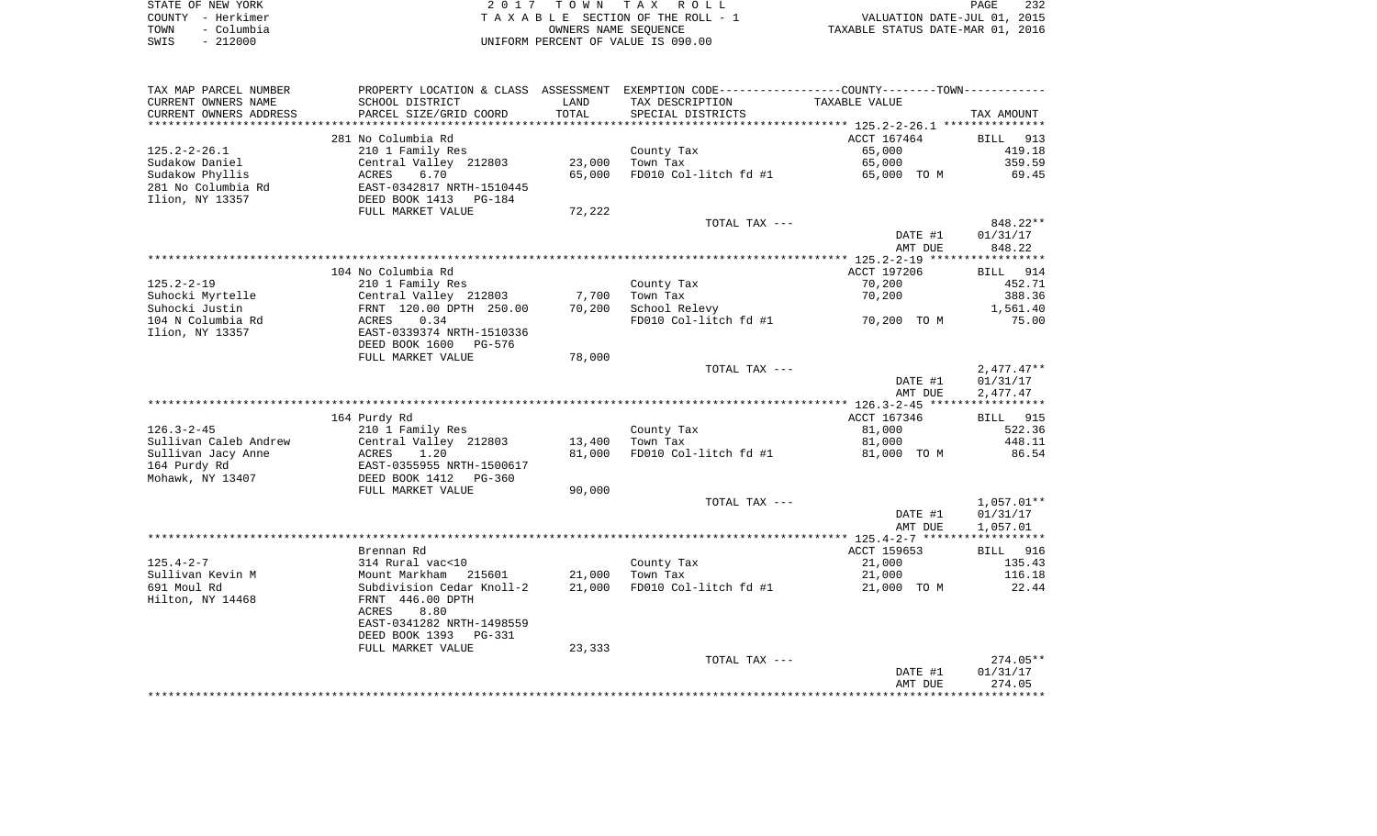|      | STATE OF NEW YORK | 2017 TOWN TAX ROLL                 | PAGE                             | 232 |
|------|-------------------|------------------------------------|----------------------------------|-----|
|      | COUNTY - Herkimer | TAXABLE SECTION OF THE ROLL - 1    | VALUATION DATE-JUL 01, 2015      |     |
| TOWN | – Columbia        | OWNERS NAME SEOUENCE               | TAXABLE STATUS DATE-MAR 01, 2016 |     |
| SWIS | - 212000          | UNIFORM PERCENT OF VALUE IS 090.00 |                                  |     |

| TAX MAP PARCEL NUMBER                       |                                            |                  | PROPERTY LOCATION & CLASS ASSESSMENT EXEMPTION CODE----------------COUNTY--------TOWN----------- |                  |                  |
|---------------------------------------------|--------------------------------------------|------------------|--------------------------------------------------------------------------------------------------|------------------|------------------|
| CURRENT OWNERS NAME                         | SCHOOL DISTRICT                            | LAND             | TAX DESCRIPTION                                                                                  | TAXABLE VALUE    |                  |
| CURRENT OWNERS ADDRESS<br>***************** | PARCEL SIZE/GRID COORD                     | TOTAL            | SPECIAL DISTRICTS                                                                                |                  | TAX AMOUNT       |
|                                             |                                            |                  |                                                                                                  |                  |                  |
|                                             | 281 No Columbia Rd                         |                  |                                                                                                  | ACCT 167464      | BILL 913         |
| $125.2 - 2 - 26.1$                          | 210 1 Family Res                           | 23,000           | County Tax<br>Town Tax                                                                           | 65,000<br>65,000 | 419.18<br>359.59 |
| Sudakow Daniel<br>Sudakow Phyllis           | Central Valley 212803<br>ACRES<br>6.70     | 65,000           | FD010 Col-litch fd #1                                                                            |                  | 69.45            |
| 281 No Columbia Rd                          | EAST-0342817 NRTH-1510445                  |                  |                                                                                                  | 65,000 TO M      |                  |
| Ilion, NY 13357                             | DEED BOOK 1413<br>PG-184                   |                  |                                                                                                  |                  |                  |
|                                             | FULL MARKET VALUE                          | 72,222           |                                                                                                  |                  |                  |
|                                             |                                            |                  | TOTAL TAX ---                                                                                    |                  | $848.22**$       |
|                                             |                                            |                  |                                                                                                  | DATE #1          | 01/31/17         |
|                                             |                                            |                  |                                                                                                  | AMT DUE          | 848.22           |
|                                             |                                            |                  |                                                                                                  |                  |                  |
|                                             | 104 No Columbia Rd                         |                  |                                                                                                  | ACCT 197206      | BILL 914         |
| $125.2 - 2 - 19$                            | 210 1 Family Res                           |                  | County Tax                                                                                       | 70,200           | 452.71           |
| Suhocki Myrtelle                            | Central Valley 212803                      | 7,700            | Town Tax                                                                                         | 70,200           | 388.36           |
| Suhocki Justin                              | FRNT 120.00 DPTH 250.00                    | 70,200           | School Relevy                                                                                    |                  | 1,561.40         |
| 104 N Columbia Rd                           | 0.34<br>ACRES                              |                  | FD010 Col-litch fd #1                                                                            | 70,200 TO M      | 75.00            |
| Ilion, NY 13357                             | EAST-0339374 NRTH-1510336                  |                  |                                                                                                  |                  |                  |
|                                             | DEED BOOK 1600<br>PG-576                   |                  |                                                                                                  |                  |                  |
|                                             | FULL MARKET VALUE                          | 78,000           |                                                                                                  |                  |                  |
|                                             |                                            |                  | TOTAL TAX ---                                                                                    |                  | $2,477.47**$     |
|                                             |                                            |                  |                                                                                                  | DATE #1          | 01/31/17         |
|                                             |                                            |                  |                                                                                                  | AMT DUE          | 2,477.47         |
|                                             |                                            |                  |                                                                                                  |                  |                  |
|                                             | 164 Purdy Rd                               |                  |                                                                                                  | ACCT 167346      | BILL 915         |
| $126.3 - 2 - 45$                            | 210 1 Family Res                           |                  | County Tax                                                                                       | 81,000           | 522.36           |
| Sullivan Caleb Andrew                       | Central Valley 212803                      | 13,400<br>81,000 | Town Tax                                                                                         | 81,000           | 448.11<br>86.54  |
| Sullivan Jacy Anne<br>164 Purdy Rd          | ACRES<br>1.20<br>EAST-0355955 NRTH-1500617 |                  | FD010 Col-litch fd #1                                                                            | 81,000 TO M      |                  |
| Mohawk, NY 13407                            | DEED BOOK 1412<br>PG-360                   |                  |                                                                                                  |                  |                  |
|                                             | FULL MARKET VALUE                          | 90,000           |                                                                                                  |                  |                  |
|                                             |                                            |                  | TOTAL TAX ---                                                                                    |                  | $1,057.01**$     |
|                                             |                                            |                  |                                                                                                  | DATE #1          | 01/31/17         |
|                                             |                                            |                  |                                                                                                  | AMT DUE          | 1,057.01         |
|                                             |                                            |                  |                                                                                                  |                  |                  |
|                                             | Brennan Rd                                 |                  |                                                                                                  | ACCT 159653      | BILL 916         |
| $125.4 - 2 - 7$                             | 314 Rural vac<10                           |                  | County Tax                                                                                       | 21,000           | 135.43           |
| Sullivan Kevin M                            | Mount Markham 215601                       | 21,000           | Town Tax                                                                                         | 21,000           | 116.18           |
| 691 Moul Rd                                 | Subdivision Cedar Knoll-2                  | 21,000           | FD010 Col-litch fd #1                                                                            | 21,000 TO M      | 22.44            |
| Hilton, NY 14468                            | FRNT 446.00 DPTH                           |                  |                                                                                                  |                  |                  |
|                                             | 8.80<br>ACRES                              |                  |                                                                                                  |                  |                  |
|                                             | EAST-0341282 NRTH-1498559                  |                  |                                                                                                  |                  |                  |
|                                             | DEED BOOK 1393<br>PG-331                   |                  |                                                                                                  |                  |                  |
|                                             | FULL MARKET VALUE                          | 23,333           |                                                                                                  |                  |                  |
|                                             |                                            |                  | TOTAL TAX ---                                                                                    |                  | $274.05**$       |
|                                             |                                            |                  |                                                                                                  | DATE #1          | 01/31/17         |
|                                             |                                            |                  |                                                                                                  | AMT DUE          | 274.05           |
|                                             |                                            |                  |                                                                                                  |                  |                  |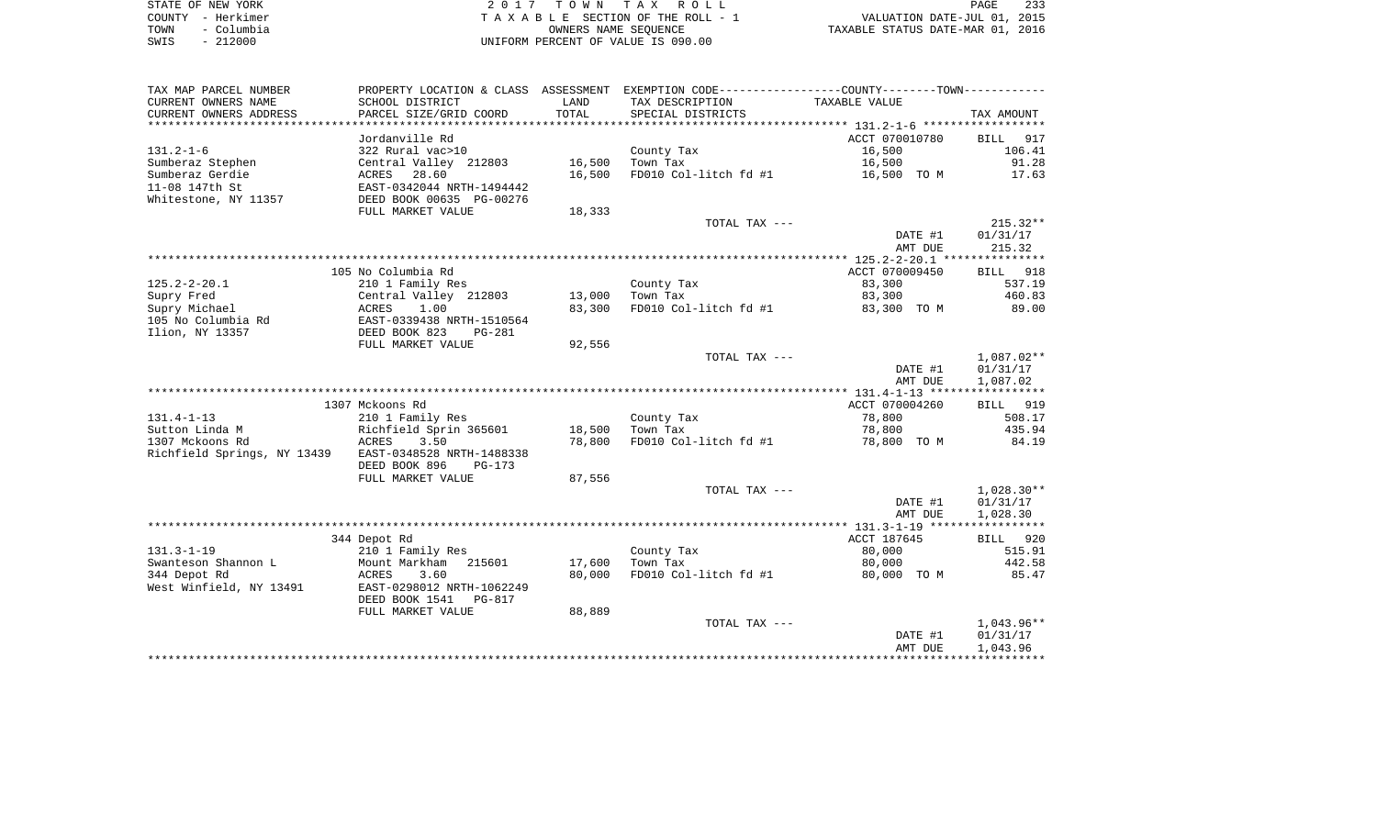| STATE OF NEW YORK  | 2017 TOWN TAX ROLL                 | 233<br>PAGE                      |
|--------------------|------------------------------------|----------------------------------|
| COUNTY - Herkimer  | TAXABLE SECTION OF THE ROLL - 1    | VALUATION DATE-JUL 01, 2015      |
| – Columbia<br>TOWN | OWNERS NAME SEOUENCE               | TAXABLE STATUS DATE-MAR 01, 2016 |
| $-212000$<br>SWIS  | UNIFORM PERCENT OF VALUE IS 090.00 |                                  |

| TAX MAP PARCEL NUMBER       | PROPERTY LOCATION & CLASS ASSESSMENT |        | EXEMPTION CODE-----------------COUNTY-------TOWN----------- |                |                    |
|-----------------------------|--------------------------------------|--------|-------------------------------------------------------------|----------------|--------------------|
| CURRENT OWNERS NAME         | SCHOOL DISTRICT                      | LAND   | TAX DESCRIPTION                                             | TAXABLE VALUE  |                    |
| CURRENT OWNERS ADDRESS      | PARCEL SIZE/GRID COORD               | TOTAL  | SPECIAL DISTRICTS                                           |                | TAX AMOUNT         |
|                             |                                      |        |                                                             |                |                    |
|                             | Jordanville Rd                       |        |                                                             | ACCT 070010780 | 917<br><b>BILL</b> |
| $131.2 - 1 - 6$             | 322 Rural vac>10                     |        | County Tax                                                  | 16,500         | 106.41             |
| Sumberaz Stephen            | Central Valley 212803                | 16,500 | Town Tax                                                    | 16,500         | 91.28              |
| Sumberaz Gerdie             | ACRES<br>28.60                       | 16,500 | FD010 Col-litch fd #1                                       | 16,500 TO M    | 17.63              |
| 11-08 147th St              | EAST-0342044 NRTH-1494442            |        |                                                             |                |                    |
| Whitestone, NY 11357        | DEED BOOK 00635 PG-00276             |        |                                                             |                |                    |
|                             | FULL MARKET VALUE                    | 18,333 |                                                             |                |                    |
|                             |                                      |        | TOTAL TAX ---                                               |                | $215.32**$         |
|                             |                                      |        |                                                             | DATE #1        | 01/31/17           |
|                             |                                      |        |                                                             | AMT DUE        | 215.32             |
|                             |                                      |        |                                                             |                |                    |
|                             | 105 No Columbia Rd                   |        |                                                             | ACCT 070009450 | BILL 918           |
| $125.2 - 2 - 20.1$          | 210 1 Family Res                     |        | County Tax                                                  | 83,300         | 537.19             |
| Supry Fred                  | Central Valley 212803                | 13,000 | Town Tax                                                    | 83,300         | 460.83             |
| Supry Michael               | ACRES<br>1.00                        | 83,300 | FD010 Col-litch fd #1                                       | 83,300 TO M    | 89.00              |
| 105 No Columbia Rd          | EAST-0339438 NRTH-1510564            |        |                                                             |                |                    |
| Ilion, NY 13357             | DEED BOOK 823<br>$PG-281$            |        |                                                             |                |                    |
|                             | FULL MARKET VALUE                    | 92,556 |                                                             |                |                    |
|                             |                                      |        | TOTAL TAX ---                                               |                | 1,087.02**         |
|                             |                                      |        |                                                             | DATE #1        | 01/31/17           |
|                             |                                      |        |                                                             | AMT DUE        | 1,087.02           |
|                             | 1307 Mckoons Rd                      |        |                                                             | ACCT 070004260 | 919<br>BILL        |
| $131.4 - 1 - 13$            | 210 1 Family Res                     |        | County Tax                                                  | 78,800         | 508.17             |
| Sutton Linda M              | Richfield Sprin 365601               | 18,500 | Town Tax                                                    | 78,800         | 435.94             |
| 1307 Mckoons Rd             | ACRES<br>3.50                        | 78,800 | FD010 Col-litch fd #1                                       | 78,800 TO M    | 84.19              |
| Richfield Springs, NY 13439 | EAST-0348528 NRTH-1488338            |        |                                                             |                |                    |
|                             | DEED BOOK 896<br>PG-173              |        |                                                             |                |                    |
|                             | FULL MARKET VALUE                    | 87,556 |                                                             |                |                    |
|                             |                                      |        | TOTAL TAX ---                                               |                | $1,028.30**$       |
|                             |                                      |        |                                                             | DATE #1        | 01/31/17           |
|                             |                                      |        |                                                             | AMT DUE        | 1,028.30           |
|                             |                                      |        |                                                             |                |                    |
|                             | 344 Depot Rd                         |        |                                                             | ACCT 187645    | 920<br>BILL        |
| $131.3 - 1 - 19$            | 210 1 Family Res                     |        | County Tax                                                  | 80,000         | 515.91             |
| Swanteson Shannon L         | Mount Markham<br>215601              | 17,600 | Town Tax                                                    | 80,000         | 442.58             |
| 344 Depot Rd                | <b>ACRES</b><br>3.60                 | 80,000 | FD010 Col-litch fd #1                                       | 80,000 TO M    | 85.47              |
| West Winfield, NY 13491     | EAST-0298012 NRTH-1062249            |        |                                                             |                |                    |
|                             | DEED BOOK 1541<br>PG-817             |        |                                                             |                |                    |
|                             | FULL MARKET VALUE                    | 88,889 |                                                             |                |                    |
|                             |                                      |        | TOTAL TAX ---                                               |                | $1,043.96**$       |
|                             |                                      |        |                                                             | DATE #1        | 01/31/17           |
|                             |                                      |        |                                                             | AMT DUE        | 1,043.96           |
|                             |                                      |        |                                                             |                |                    |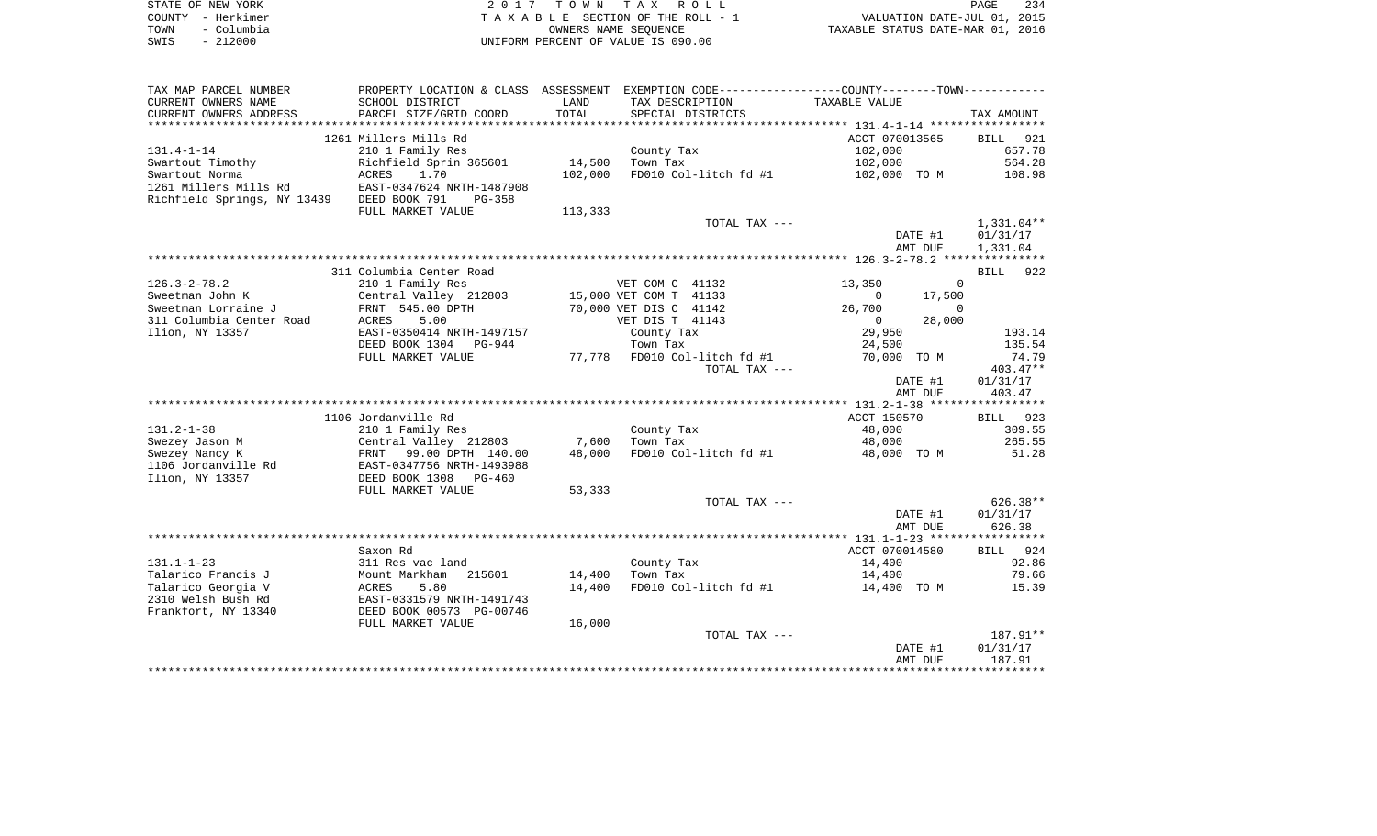|      | STATE OF NEW YORK | 2017 TOWN TAX ROLL                 | PAGE                             | 234 |
|------|-------------------|------------------------------------|----------------------------------|-----|
|      | COUNTY - Herkimer | TAXABLE SECTION OF THE ROLL - 1    | VALUATION DATE-JUL 01, 2015      |     |
| TOWN | – Columbia        | OWNERS NAME SEOUENCE               | TAXABLE STATUS DATE-MAR 01, 2016 |     |
| SWIS | $-212000$         | UNIFORM PERCENT OF VALUE IS 090.00 |                                  |     |

| TAX MAP PARCEL NUMBER       | PROPERTY LOCATION & CLASS ASSESSMENT |         |                              | EXEMPTION CODE-----------------COUNTY--------TOWN----------- |                    |
|-----------------------------|--------------------------------------|---------|------------------------------|--------------------------------------------------------------|--------------------|
| CURRENT OWNERS NAME         | SCHOOL DISTRICT                      | LAND    | TAX DESCRIPTION              | TAXABLE VALUE                                                |                    |
| CURRENT OWNERS ADDRESS      | PARCEL SIZE/GRID COORD               | TOTAL   | SPECIAL DISTRICTS            |                                                              | TAX AMOUNT         |
|                             |                                      |         |                              |                                                              |                    |
|                             | 1261 Millers Mills Rd                |         |                              | ACCT 070013565                                               | BILL<br>921        |
| $131.4 - 1 - 14$            | 210 1 Family Res                     |         | County Tax                   | 102,000                                                      | 657.78             |
| Swartout Timothy            | Richfield Sprin 365601               | 14,500  | Town Tax                     | 102,000                                                      | 564.28             |
| Swartout Norma              | ACRES<br>1.70                        | 102,000 | FD010 Col-litch fd #1        | 102,000 TO M                                                 | 108.98             |
| 1261 Millers Mills Rd       | EAST-0347624 NRTH-1487908            |         |                              |                                                              |                    |
| Richfield Springs, NY 13439 | DEED BOOK 791<br>$PG-358$            |         |                              |                                                              |                    |
|                             | FULL MARKET VALUE                    | 113,333 |                              |                                                              |                    |
|                             |                                      |         | TOTAL TAX ---                |                                                              | 1,331.04**         |
|                             |                                      |         |                              | DATE #1                                                      | 01/31/17           |
|                             |                                      |         |                              | AMT DUE                                                      | 1,331.04           |
|                             |                                      |         |                              |                                                              |                    |
|                             | 311 Columbia Center Road             |         |                              |                                                              | <b>BILL</b><br>922 |
| $126.3 - 2 - 78.2$          | 210 1 Family Res                     |         | VET COM C 41132              | $\mathbf 0$<br>13,350                                        |                    |
| Sweetman John K             | Central Valley 212803                |         | 15,000 VET COM T 41133       | $\Omega$<br>17,500                                           |                    |
| Sweetman Lorraine J         | FRNT 545.00 DPTH                     |         | 70,000 VET DIS C 41142       | 26,700<br>$\mathbf 0$                                        |                    |
| 311 Columbia Center Road    | 5.00<br>ACRES                        |         | VET DIS T 41143              | $\overline{0}$<br>28,000                                     |                    |
| Ilion, NY 13357             | EAST-0350414 NRTH-1497157            |         | County Tax                   | 29,950                                                       | 193.14             |
|                             | DEED BOOK 1304<br><b>PG-944</b>      |         | Town Tax                     | 24,500                                                       | 135.54             |
|                             | FULL MARKET VALUE                    |         | 77,778 FD010 Col-litch fd #1 | 70,000 TO M                                                  | 74.79              |
|                             |                                      |         | TOTAL TAX ---                |                                                              | $403.47**$         |
|                             |                                      |         |                              | DATE #1                                                      | 01/31/17           |
|                             |                                      |         |                              | AMT DUE                                                      | 403.47             |
|                             |                                      |         |                              |                                                              |                    |
|                             | 1106 Jordanville Rd                  |         |                              | ACCT 150570                                                  | BILL 923           |
| $131.2 - 1 - 38$            | 210 1 Family Res                     |         | County Tax                   | 48,000                                                       | 309.55             |
| Swezey Jason M              |                                      | 7,600   | Town Tax                     | 48,000                                                       | 265.55             |
|                             | Central Valley 212803                |         |                              |                                                              |                    |
| Swezey Nancy K              | FRNT<br>99.00 DPTH 140.00            | 48,000  | FD010 Col-litch fd #1        | 48,000 TO M                                                  | 51.28              |
| 1106 Jordanville Rd         | EAST-0347756 NRTH-1493988            |         |                              |                                                              |                    |
| Ilion, NY 13357             | DEED BOOK 1308<br>$PG-460$           |         |                              |                                                              |                    |
|                             | FULL MARKET VALUE                    | 53,333  |                              |                                                              |                    |
|                             |                                      |         | TOTAL TAX ---                |                                                              | 626.38**           |
|                             |                                      |         |                              | DATE #1                                                      | 01/31/17           |
|                             |                                      |         |                              | AMT DUE                                                      | 626.38             |
|                             |                                      |         |                              |                                                              |                    |
|                             | Saxon Rd                             |         |                              | ACCT 070014580                                               | BILL 924           |
| $131.1 - 1 - 23$            | 311 Res vac land                     |         | County Tax                   | 14,400                                                       | 92.86              |
| Talarico Francis J          | Mount Markham<br>215601              | 14,400  | Town Tax                     | 14,400                                                       | 79.66              |
| Talarico Georgia V          | 5.80<br>ACRES                        | 14,400  | FD010 Col-litch fd #1        | 14,400 TO M                                                  | 15.39              |
| 2310 Welsh Bush Rd          | EAST-0331579 NRTH-1491743            |         |                              |                                                              |                    |
| Frankfort, NY 13340         | DEED BOOK 00573 PG-00746             |         |                              |                                                              |                    |
|                             | FULL MARKET VALUE                    | 16,000  |                              |                                                              |                    |
|                             |                                      |         | TOTAL TAX ---                |                                                              | 187.91**           |
|                             |                                      |         |                              | DATE #1                                                      | 01/31/17           |
|                             |                                      |         |                              | AMT DUE                                                      | 187.91             |
|                             |                                      |         |                              |                                                              |                    |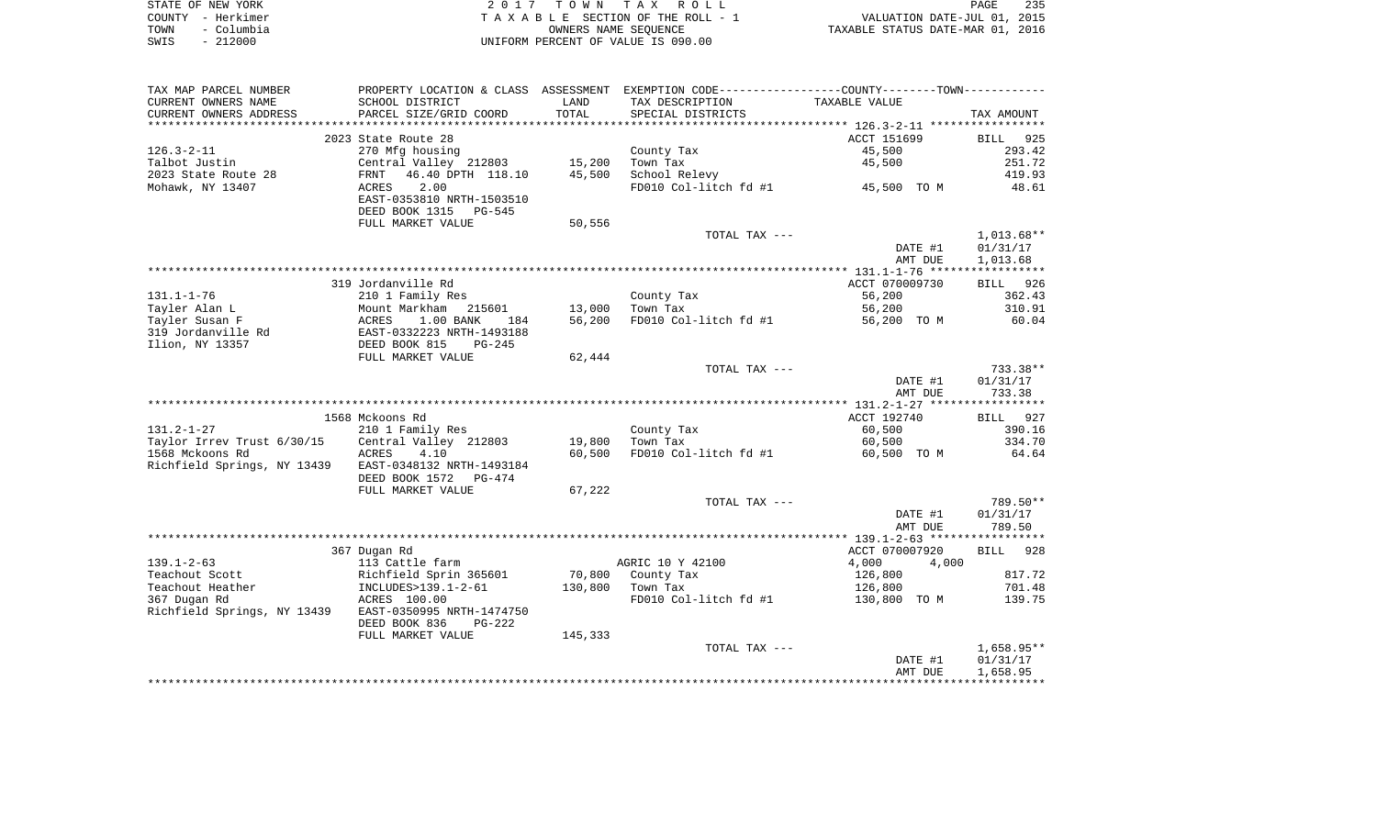| STATE OF NEW YORK |            | 2017 TOWN TAX ROLL                 | PAGE                             | 235 |
|-------------------|------------|------------------------------------|----------------------------------|-----|
| COUNTY - Herkimer |            | TAXABLE SECTION OF THE ROLL - 1    | VALUATION DATE-JUL 01, 2015      |     |
| TOWN              | - Columbia | OWNERS NAME SEOUENCE               | TAXABLE STATUS DATE-MAR 01, 2016 |     |
| SWIS              | $-212000$  | UNIFORM PERCENT OF VALUE IS 090.00 |                                  |     |

| TAX MAP PARCEL NUMBER       | PROPERTY LOCATION & CLASS ASSESSMENT EXEMPTION CODE---------------COUNTY-------TOWN---------- |         |                       |                |                    |
|-----------------------------|-----------------------------------------------------------------------------------------------|---------|-----------------------|----------------|--------------------|
| CURRENT OWNERS NAME         | SCHOOL DISTRICT                                                                               | LAND    | TAX DESCRIPTION       | TAXABLE VALUE  |                    |
| CURRENT OWNERS ADDRESS      | PARCEL SIZE/GRID COORD                                                                        | TOTAL   | SPECIAL DISTRICTS     |                | TAX AMOUNT         |
| ************************    | ***************************                                                                   |         |                       |                |                    |
|                             | 2023 State Route 28                                                                           |         |                       | ACCT 151699    | BILL 925           |
| $126.3 - 2 - 11$            | 270 Mfg housing                                                                               |         | County Tax            | 45,500         | 293.42             |
| Talbot Justin               | Central Valley 212803                                                                         | 15,200  | Town Tax              | 45,500         | 251.72             |
| 2023 State Route 28         | 46.40 DPTH 118.10<br>FRNT                                                                     | 45,500  | School Relevy         |                | 419.93             |
| Mohawk, NY 13407            | 2.00<br>ACRES                                                                                 |         | FD010 Col-litch fd #1 | 45,500 TO M    | 48.61              |
|                             | EAST-0353810 NRTH-1503510                                                                     |         |                       |                |                    |
|                             | DEED BOOK 1315<br>PG-545                                                                      |         |                       |                |                    |
|                             | FULL MARKET VALUE                                                                             | 50,556  |                       |                |                    |
|                             |                                                                                               |         | TOTAL TAX ---         |                | 1,013.68**         |
|                             |                                                                                               |         |                       | DATE #1        | 01/31/17           |
|                             |                                                                                               |         |                       | AMT DUE        | 1,013.68           |
|                             |                                                                                               |         |                       |                |                    |
|                             | 319 Jordanville Rd                                                                            |         |                       | ACCT 070009730 | BILL 926           |
| $131.1 - 1 - 76$            | 210 1 Family Res                                                                              |         | County Tax            | 56,200         | 362.43             |
| Tayler Alan L               | Mount Markham<br>215601                                                                       | 13,000  | Town Tax              | 56,200         | 310.91             |
| Tayler Susan F              | ACRES<br>1.00 BANK<br>184                                                                     | 56,200  | FD010 Col-litch fd #1 | 56,200 TO M    | 60.04              |
| 319 Jordanville Rd          | EAST-0332223 NRTH-1493188                                                                     |         |                       |                |                    |
| Ilion, NY 13357             | DEED BOOK 815<br>PG-245                                                                       |         |                       |                |                    |
|                             | FULL MARKET VALUE                                                                             | 62,444  |                       |                |                    |
|                             |                                                                                               |         | TOTAL TAX ---         |                | 733.38**           |
|                             |                                                                                               |         |                       | DATE #1        | 01/31/17           |
|                             |                                                                                               |         |                       | AMT DUE        | 733.38             |
|                             |                                                                                               |         |                       |                |                    |
|                             | 1568 Mckoons Rd                                                                               |         |                       | ACCT 192740    | BILL 927           |
| $131.2 - 1 - 27$            | 210 1 Family Res                                                                              |         | County Tax            | 60,500         | 390.16             |
| Taylor Irrev Trust 6/30/15  | Central Valley 212803                                                                         | 19,800  | Town Tax              | 60,500         | 334.70             |
| 1568 Mckoons Rd             | ACRES<br>4.10                                                                                 | 60,500  | FD010 Col-litch fd #1 | 60,500 TO M    | 64.64              |
| Richfield Springs, NY 13439 | EAST-0348132 NRTH-1493184                                                                     |         |                       |                |                    |
|                             | DEED BOOK 1572<br>PG-474                                                                      |         |                       |                |                    |
|                             | FULL MARKET VALUE                                                                             | 67,222  |                       |                |                    |
|                             |                                                                                               |         | TOTAL TAX ---         | DATE #1        | 789.50**           |
|                             |                                                                                               |         |                       | AMT DUE        | 01/31/17<br>789.50 |
|                             |                                                                                               |         |                       |                |                    |
|                             | 367 Dugan Rd                                                                                  |         |                       | ACCT 070007920 | BILL 928           |
| $139.1 - 2 - 63$            | 113 Cattle farm                                                                               |         | AGRIC 10 Y 42100      | 4,000<br>4,000 |                    |
| Teachout Scott              | Richfield Sprin 365601                                                                        | 70,800  | County Tax            | 126,800        | 817.72             |
| Teachout Heather            | INCLUDES>139.1-2-61                                                                           | 130,800 | Town Tax              | 126,800        | 701.48             |
| 367 Dugan Rd                | ACRES 100.00                                                                                  |         | FD010 Col-litch fd #1 | 130,800 TO M   | 139.75             |
| Richfield Springs, NY 13439 | EAST-0350995 NRTH-1474750                                                                     |         |                       |                |                    |
|                             | DEED BOOK 836<br>PG-222                                                                       |         |                       |                |                    |
|                             | FULL MARKET VALUE                                                                             | 145,333 |                       |                |                    |
|                             |                                                                                               |         | TOTAL TAX ---         |                | 1,658.95**         |
|                             |                                                                                               |         |                       | DATE #1        | 01/31/17           |
|                             |                                                                                               |         |                       | AMT DUE        | 1,658.95           |
|                             |                                                                                               |         |                       |                |                    |
|                             |                                                                                               |         |                       |                |                    |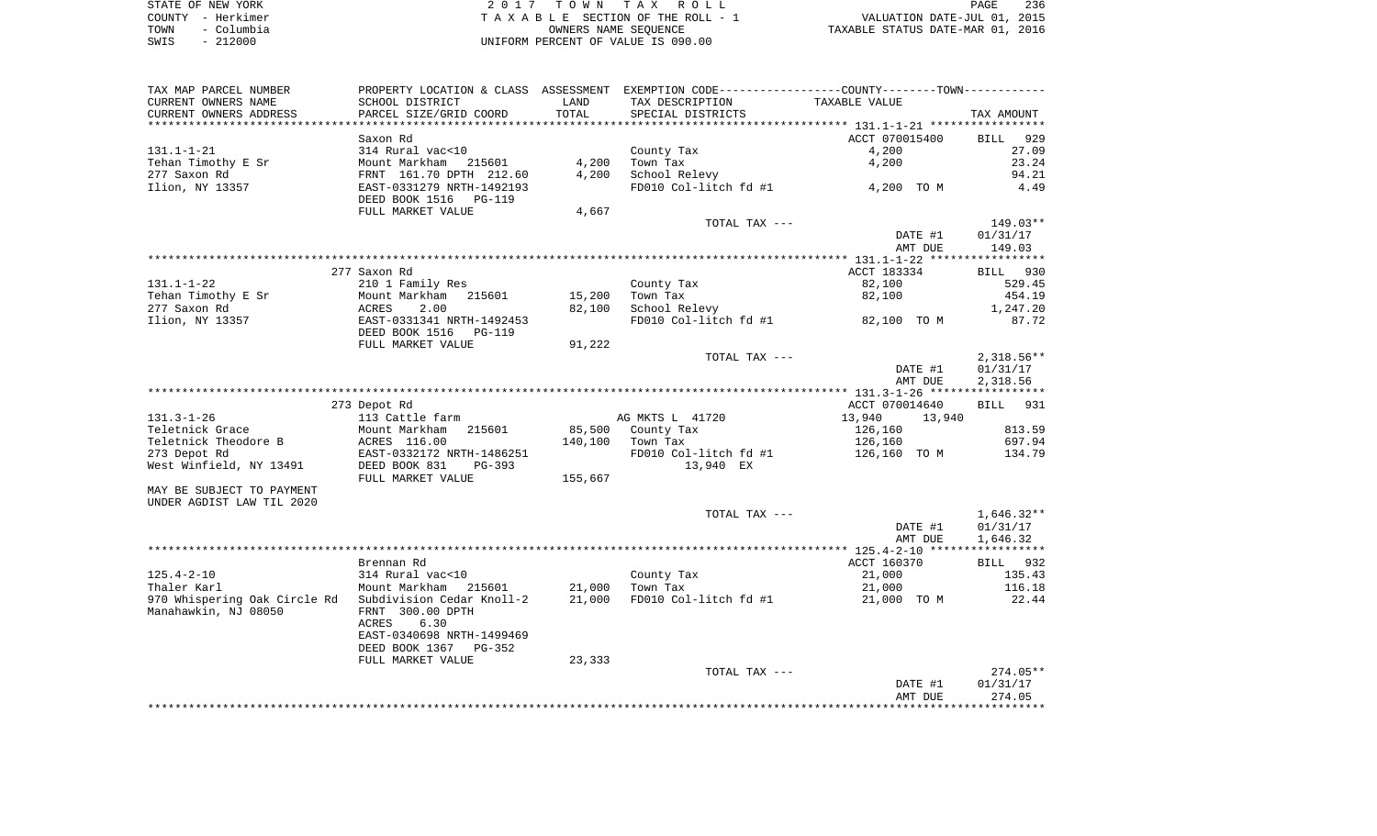| STATE OF NEW YORK  | 2017 TOWN TAX ROLL                 | 236<br>PAGE                      |
|--------------------|------------------------------------|----------------------------------|
| COUNTY - Herkimer  | TAXABLE SECTION OF THE ROLL - 1    | VALUATION DATE-JUL 01, 2015      |
| - Columbia<br>TOWN | OWNERS NAME SEOUENCE               | TAXABLE STATUS DATE-MAR 01, 2016 |
| $-212000$<br>SWIS  | UNIFORM PERCENT OF VALUE IS 090.00 |                                  |

| TAX MAP PARCEL NUMBER        | PROPERTY LOCATION & CLASS ASSESSMENT EXEMPTION CODE----------------COUNTY--------TOWN----------- |         |                       |                  |                    |
|------------------------------|--------------------------------------------------------------------------------------------------|---------|-----------------------|------------------|--------------------|
| CURRENT OWNERS NAME          | SCHOOL DISTRICT                                                                                  | LAND    | TAX DESCRIPTION       | TAXABLE VALUE    |                    |
| CURRENT OWNERS ADDRESS       | PARCEL SIZE/GRID COORD                                                                           | TOTAL   | SPECIAL DISTRICTS     |                  | TAX AMOUNT         |
|                              |                                                                                                  |         |                       |                  |                    |
|                              | Saxon Rd                                                                                         |         |                       | ACCT 070015400   | <b>BILL</b><br>929 |
| $131.1 - 1 - 21$             | 314 Rural vac<10                                                                                 |         | County Tax            | 4,200            | 27.09              |
| Tehan Timothy E Sr           | Mount Markham 215601                                                                             | 4,200   | Town Tax              | 4,200            | 23.24              |
| 277 Saxon Rd                 | FRNT 161.70 DPTH 212.60                                                                          | 4,200   | School Relevy         |                  | 94.21              |
| Ilion, NY 13357              | EAST-0331279 NRTH-1492193                                                                        |         | FD010 Col-litch fd #1 | 4,200 TO M       | 4.49               |
|                              | DEED BOOK 1516<br>PG-119                                                                         |         |                       |                  |                    |
|                              | FULL MARKET VALUE                                                                                | 4,667   |                       |                  |                    |
|                              |                                                                                                  |         | TOTAL TAX ---         |                  | 149.03**           |
|                              |                                                                                                  |         |                       | DATE #1          | 01/31/17           |
|                              |                                                                                                  |         |                       | AMT DUE          | 149.03             |
|                              |                                                                                                  |         |                       |                  |                    |
|                              | 277 Saxon Rd                                                                                     |         |                       | ACCT 183334      | BILL 930           |
| $131.1 - 1 - 22$             | 210 1 Family Res                                                                                 |         | County Tax            | 82,100           | 529.45             |
| Tehan Timothy E Sr           | Mount Markham<br>215601                                                                          | 15,200  | Town Tax              | 82,100           | 454.19             |
| 277 Saxon Rd                 | ACRES<br>2.00                                                                                    | 82,100  | School Relevy         |                  | 1,247.20           |
| Ilion, NY 13357              | EAST-0331341 NRTH-1492453                                                                        |         | FD010 Col-litch fd #1 | 82,100 TO M      | 87.72              |
|                              | DEED BOOK 1516<br><b>PG-119</b>                                                                  |         |                       |                  |                    |
|                              | FULL MARKET VALUE                                                                                | 91,222  |                       |                  |                    |
|                              |                                                                                                  |         | TOTAL TAX ---         |                  | $2,318.56**$       |
|                              |                                                                                                  |         |                       | DATE #1          | 01/31/17           |
|                              |                                                                                                  |         |                       | AMT DUE          | 2,318.56           |
|                              |                                                                                                  |         |                       |                  |                    |
|                              | 273 Depot Rd                                                                                     |         |                       | ACCT 070014640   | BILL 931           |
| $131.3 - 1 - 26$             | 113 Cattle farm                                                                                  |         | AG MKTS L 41720       | 13,940<br>13,940 |                    |
| Teletnick Grace              | 215601<br>Mount Markham                                                                          |         | 85,500 County Tax     | 126,160          | 813.59             |
| Teletnick Theodore B         | ACRES 116.00                                                                                     | 140,100 | Town Tax              | 126,160          | 697.94             |
| 273 Depot Rd                 | EAST-0332172 NRTH-1486251                                                                        |         | FD010 Col-litch fd #1 | 126,160 TO M     | 134.79             |
| West Winfield, NY 13491      | DEED BOOK 831<br>$PG-393$                                                                        |         | 13,940 EX             |                  |                    |
|                              | FULL MARKET VALUE                                                                                | 155,667 |                       |                  |                    |
| MAY BE SUBJECT TO PAYMENT    |                                                                                                  |         |                       |                  |                    |
| UNDER AGDIST LAW TIL 2020    |                                                                                                  |         |                       |                  |                    |
|                              |                                                                                                  |         | TOTAL TAX ---         |                  | $1,646.32**$       |
|                              |                                                                                                  |         |                       | DATE #1          | 01/31/17           |
|                              |                                                                                                  |         |                       | AMT DUE          | 1,646.32           |
|                              |                                                                                                  |         |                       |                  |                    |
|                              | Brennan Rd                                                                                       |         |                       | ACCT 160370      | BILL 932           |
| $125.4 - 2 - 10$             | 314 Rural vac<10                                                                                 |         | County Tax            | 21,000           | 135.43             |
| Thaler Karl                  | Mount Markham 215601                                                                             | 21,000  | Town Tax              | 21,000           | 116.18             |
| 970 Whispering Oak Circle Rd | Subdivision Cedar Knoll-2                                                                        | 21,000  | FD010 Col-litch fd #1 | 21,000 TO M      | 22.44              |
| Manahawkin, NJ 08050         | FRNT 300.00 DPTH                                                                                 |         |                       |                  |                    |
|                              | ACRES<br>6.30                                                                                    |         |                       |                  |                    |
|                              | EAST-0340698 NRTH-1499469                                                                        |         |                       |                  |                    |
|                              | DEED BOOK 1367<br>$PG-352$<br>FULL MARKET VALUE                                                  |         |                       |                  |                    |
|                              |                                                                                                  | 23,333  | TOTAL TAX ---         |                  | $274.05**$         |
|                              |                                                                                                  |         |                       | DATE #1          | 01/31/17           |
|                              |                                                                                                  |         |                       | AMT DUE          | 274.05             |
|                              |                                                                                                  |         |                       |                  |                    |
|                              |                                                                                                  |         |                       |                  |                    |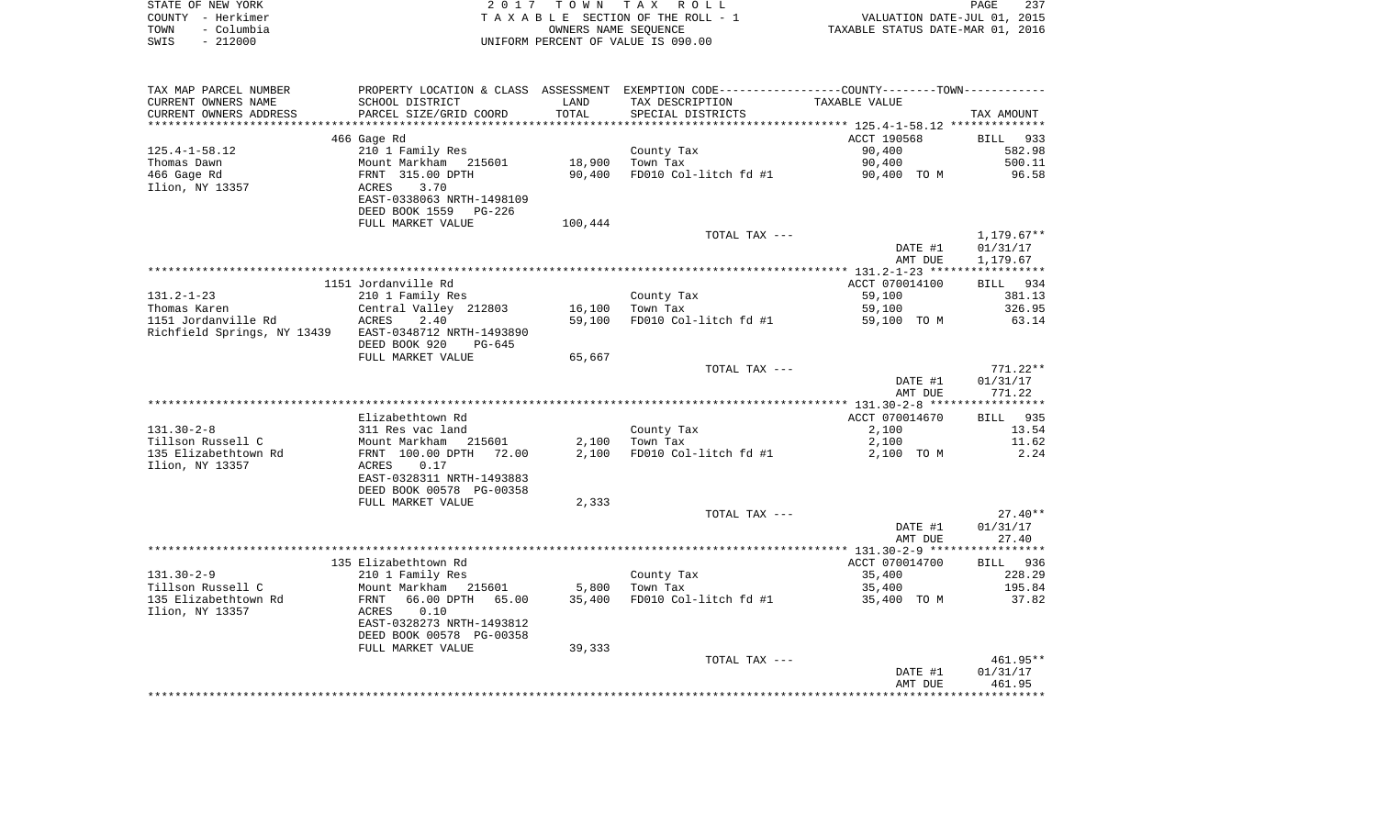| STATE OF NEW YORK |            | 2017 TOWN TAX ROLL                 | PAGE                             | 237 |
|-------------------|------------|------------------------------------|----------------------------------|-----|
| COUNTY - Herkimer |            | TAXABLE SECTION OF THE ROLL - 1    | VALUATION DATE-JUL 01, 2015      |     |
| TOWN              | – Columbia | OWNERS NAME SEOUENCE               | TAXABLE STATUS DATE-MAR 01, 2016 |     |
| SWIS              | $-212000$  | UNIFORM PERCENT OF VALUE IS 090.00 |                                  |     |

| TAX MAP PARCEL NUMBER                                 |                                          |         | PROPERTY LOCATION & CLASS ASSESSMENT EXEMPTION CODE----------------COUNTY--------TOWN---------- |                  |                  |
|-------------------------------------------------------|------------------------------------------|---------|-------------------------------------------------------------------------------------------------|------------------|------------------|
| CURRENT OWNERS NAME                                   | SCHOOL DISTRICT                          | LAND    | TAX DESCRIPTION                                                                                 | TAXABLE VALUE    |                  |
| CURRENT OWNERS ADDRESS<br>***********************     | PARCEL SIZE/GRID COORD                   | TOTAL   | SPECIAL DISTRICTS                                                                               |                  | TAX AMOUNT       |
|                                                       |                                          |         |                                                                                                 |                  |                  |
|                                                       | 466 Gage Rd                              |         |                                                                                                 | ACCT 190568      | BILL 933         |
| $125.4 - 1 - 58.12$                                   | 210 1 Family Res                         |         | County Tax                                                                                      | 90,400           | 582.98           |
| Thomas Dawn                                           | Mount Markham 215601                     | 18,900  | Town Tax                                                                                        | 90,400           | 500.11           |
| 466 Gage Rd                                           | FRNT 315.00 DPTH<br>3.70                 | 90,400  | FD010 Col-litch fd #1                                                                           | 90,400 TO M      | 96.58            |
| Ilion, NY 13357                                       | ACRES<br>EAST-0338063 NRTH-1498109       |         |                                                                                                 |                  |                  |
|                                                       | DEED BOOK 1559<br>PG-226                 |         |                                                                                                 |                  |                  |
|                                                       | FULL MARKET VALUE                        | 100,444 |                                                                                                 |                  |                  |
|                                                       |                                          |         | TOTAL TAX ---                                                                                   |                  | $1,179.67**$     |
|                                                       |                                          |         |                                                                                                 | DATE #1          | 01/31/17         |
|                                                       |                                          |         |                                                                                                 | AMT DUE          | 1,179.67         |
|                                                       |                                          |         |                                                                                                 |                  |                  |
|                                                       | 1151 Jordanville Rd                      |         |                                                                                                 | ACCT 070014100   | BILL 934         |
| $131.2 - 1 - 23$                                      | 210 1 Family Res                         |         | County Tax                                                                                      | 59,100           | 381.13           |
| Thomas Karen                                          | Central Valley 212803                    | 16,100  | Town Tax                                                                                        | 59,100           | 326.95           |
| 1151 Jordanville Rd                                   | ACRES<br>2.40                            | 59,100  | FD010 Col-litch fd #1                                                                           | 59,100 TO M      | 63.14            |
| Richfield Springs, NY 13439 EAST-0348712 NRTH-1493890 |                                          |         |                                                                                                 |                  |                  |
|                                                       | DEED BOOK 920<br>PG-645                  |         |                                                                                                 |                  |                  |
|                                                       | FULL MARKET VALUE                        | 65,667  |                                                                                                 |                  |                  |
|                                                       |                                          |         | TOTAL TAX ---                                                                                   |                  | $771.22**$       |
|                                                       |                                          |         |                                                                                                 | DATE #1          | 01/31/17         |
|                                                       |                                          |         |                                                                                                 | AMT DUE          | 771.22           |
|                                                       |                                          |         |                                                                                                 |                  |                  |
|                                                       | Elizabethtown Rd                         |         |                                                                                                 | ACCT 070014670   | BILL 935         |
| $131.30 - 2 - 8$                                      | 311 Res vac land                         |         | County Tax                                                                                      | 2,100            | 13.54            |
| Tillson Russell C                                     | Mount Markham 215601                     | 2,100   | Town Tax                                                                                        | 2,100            | 11.62            |
| 135 Elizabethtown Rd                                  | FRNT 100.00 DPTH<br>72.00                | 2,100   | FD010 Col-litch fd #1                                                                           | 2,100 TO M       | 2.24             |
| Ilion, NY 13357                                       | ACRES<br>0.17                            |         |                                                                                                 |                  |                  |
|                                                       | EAST-0328311 NRTH-1493883                |         |                                                                                                 |                  |                  |
|                                                       | DEED BOOK 00578 PG-00358                 |         |                                                                                                 |                  |                  |
|                                                       | FULL MARKET VALUE                        | 2,333   |                                                                                                 |                  |                  |
|                                                       |                                          |         | TOTAL TAX ---                                                                                   |                  | $27.40**$        |
|                                                       |                                          |         |                                                                                                 | DATE #1          | 01/31/17         |
|                                                       |                                          |         |                                                                                                 | AMT DUE          | 27.40            |
|                                                       |                                          |         |                                                                                                 | ACCT 070014700   |                  |
|                                                       | 135 Elizabethtown Rd                     |         |                                                                                                 |                  | BILL 936         |
| $131.30 - 2 - 9$<br>Tillson Russell C                 | 210 1 Family Res<br>Mount Markham 215601 | 5,800   | County Tax<br>Town Tax                                                                          | 35,400<br>35,400 | 228.29<br>195.84 |
| 135 Elizabethtown Rd                                  | FRNT<br>66.00 DPTH 65.00                 | 35,400  | FD010 Col-litch fd #1                                                                           | 35,400 TO M      | 37.82            |
| Ilion, NY 13357                                       | 0.10<br>ACRES                            |         |                                                                                                 |                  |                  |
|                                                       | EAST-0328273 NRTH-1493812                |         |                                                                                                 |                  |                  |
|                                                       | DEED BOOK 00578 PG-00358                 |         |                                                                                                 |                  |                  |
|                                                       | FULL MARKET VALUE                        | 39,333  |                                                                                                 |                  |                  |
|                                                       |                                          |         | TOTAL TAX ---                                                                                   |                  | 461.95**         |
|                                                       |                                          |         |                                                                                                 | DATE #1          | 01/31/17         |
|                                                       |                                          |         |                                                                                                 | AMT DUE          | 461.95           |
|                                                       |                                          |         |                                                                                                 |                  |                  |
|                                                       |                                          |         |                                                                                                 |                  |                  |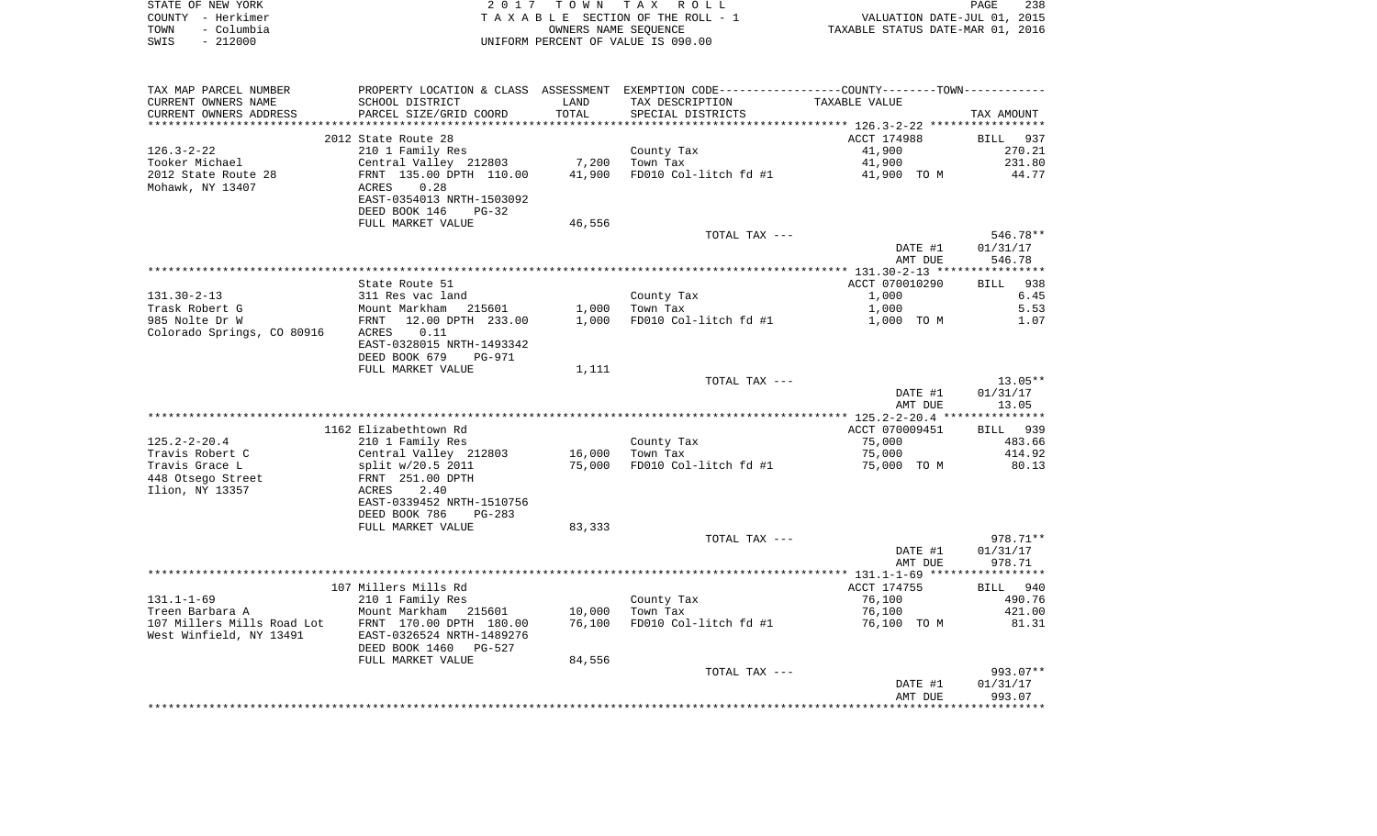| STATE OF NEW YORK  | 2017 TOWN TAX ROLL                 | 238<br>PAGE                      |
|--------------------|------------------------------------|----------------------------------|
| COUNTY - Herkimer  | TAXABLE SECTION OF THE ROLL - 1    | VALUATION DATE-JUL 01, 2015      |
| - Columbia<br>TOWN | OWNERS NAME SEOUENCE               | TAXABLE STATUS DATE-MAR 01, 2016 |
| - 212000<br>SWIS   | UNIFORM PERCENT OF VALUE IS 090.00 |                                  |

| TAX MAP PARCEL NUMBER<br>CURRENT OWNERS NAME          | SCHOOL DISTRICT                                          | LAND            | PROPERTY LOCATION & CLASS ASSESSMENT EXEMPTION CODE----------------COUNTY-------TOWN----------<br>TAX DESCRIPTION | TAXABLE VALUE      |                                                   |
|-------------------------------------------------------|----------------------------------------------------------|-----------------|-------------------------------------------------------------------------------------------------------------------|--------------------|---------------------------------------------------|
|                                                       |                                                          | TOTAL           |                                                                                                                   |                    |                                                   |
| CURRENT OWNERS ADDRESS                                | PARCEL SIZE/GRID COORD                                   |                 | SPECIAL DISTRICTS                                                                                                 |                    | TAX AMOUNT                                        |
|                                                       | 2012 State Route 28                                      |                 |                                                                                                                   | ACCT 174988        | BILL<br>937                                       |
| $126.3 - 2 - 22$                                      |                                                          |                 |                                                                                                                   |                    |                                                   |
|                                                       | 210 1 Family Res<br>Central Valley 212803 7,200 Town Tax |                 | County Tax                                                                                                        | 41,900<br>41,900   | 270.21<br>231.80                                  |
| Tooker Michael                                        |                                                          |                 |                                                                                                                   |                    |                                                   |
| 2012 State Route 28                                   | FRNT 135.00 DPTH 110.00                                  |                 | 41,900 FD010 Col-litch fd #1                                                                                      | 41,900 TO M        | 44.77                                             |
| Mohawk, NY 13407                                      | 0.28<br>ACRES<br>EAST-0354013 NRTH-1503092               |                 |                                                                                                                   |                    |                                                   |
|                                                       | DEED BOOK 146<br>$PG-32$                                 |                 |                                                                                                                   |                    |                                                   |
|                                                       |                                                          |                 |                                                                                                                   |                    |                                                   |
|                                                       | FULL MARKET VALUE                                        | 46,556          | TOTAL TAX ---                                                                                                     |                    | 546.78**                                          |
|                                                       |                                                          |                 |                                                                                                                   | DATE #1            | 01/31/17                                          |
|                                                       |                                                          |                 |                                                                                                                   | AMT DUE            | 546.78                                            |
|                                                       |                                                          |                 |                                                                                                                   |                    |                                                   |
|                                                       | State Route 51                                           |                 |                                                                                                                   | ACCT 070010290     | 938<br><b>BILL</b>                                |
| $131.30 - 2 - 13$                                     | 311 Res vac land                                         |                 | County Tax                                                                                                        | 1,000              | 6.45                                              |
| Trask Robert G                                        | Mount Markham 215601                                     |                 |                                                                                                                   |                    | 5.53                                              |
| 985 Nolte Dr W                                        | FRNT 12.00 DPTH 233.00                                   |                 | $1,000$ Town Tax<br>$1,000$ FD010 Col-litch fd #1                                                                 | 1,000              | 1.07                                              |
|                                                       |                                                          |                 |                                                                                                                   | 1,000 TO M         |                                                   |
| Colorado Springs, CO 80916                            | ACRES<br>0.11<br>EAST-0328015 NRTH-1493342               |                 |                                                                                                                   |                    |                                                   |
|                                                       | DEED BOOK 679<br>PG-971                                  |                 |                                                                                                                   |                    |                                                   |
|                                                       |                                                          |                 |                                                                                                                   |                    |                                                   |
|                                                       | FULL MARKET VALUE                                        | 1,111           | TOTAL TAX ---                                                                                                     |                    |                                                   |
|                                                       |                                                          |                 |                                                                                                                   |                    | 13.05**                                           |
|                                                       |                                                          |                 |                                                                                                                   |                    |                                                   |
|                                                       |                                                          |                 |                                                                                                                   | DATE #1            | 01/31/17                                          |
|                                                       |                                                          |                 |                                                                                                                   | AMT DUE            | 13.05                                             |
|                                                       |                                                          |                 |                                                                                                                   |                    |                                                   |
|                                                       | 1162 Elizabethtown Rd                                    |                 |                                                                                                                   | ACCT 070009451     | BILL 939                                          |
| $125.2 - 2 - 20.4$                                    | 210 1 Family Res                                         |                 | County Tax                                                                                                        | 75,000             |                                                   |
| Travis Robert C                                       | Central Valley 212803                                    | 16,000 Town Tax |                                                                                                                   | 75,000             |                                                   |
| Travis Grace L                                        | split w/20.5 2011                                        |                 | 75,000 FD010 Col-litch fd #1                                                                                      | 75,000 TO M        |                                                   |
| 448 Otsego Street                                     | FRNT 251.00 DPTH                                         |                 |                                                                                                                   |                    |                                                   |
| Ilion, NY 13357                                       | 2.40<br>ACRES                                            |                 |                                                                                                                   |                    | 483.66<br>414.92<br>80.13                         |
|                                                       | EAST-0339452 NRTH-1510756                                |                 |                                                                                                                   |                    |                                                   |
|                                                       | DEED BOOK 786<br>$PG-283$                                |                 |                                                                                                                   |                    |                                                   |
|                                                       | FULL MARKET VALUE                                        | 83,333          |                                                                                                                   |                    |                                                   |
|                                                       |                                                          |                 | TOTAL TAX ---                                                                                                     |                    | 978.71**                                          |
|                                                       |                                                          |                 |                                                                                                                   | DATE #1            |                                                   |
|                                                       |                                                          |                 |                                                                                                                   | AMT DUE            | 01/31/17<br>978.71                                |
|                                                       |                                                          |                 |                                                                                                                   |                    |                                                   |
|                                                       | 107 Millers Mills Rd                                     |                 |                                                                                                                   | ACCT 174755        |                                                   |
| $131.1 - 1 - 69$                                      | 210 1 Family Res                                         |                 | County Tax                                                                                                        | 76,100             |                                                   |
| Treen Barbara A                                       | Mount Markham 215601                                     | 10,000          | Town Tax                                                                                                          | 76,100             |                                                   |
|                                                       | FRNT 170.00 DPTH 180.00                                  |                 | 76,100 FD010 Col-litch fd #1                                                                                      | 76,100 TO M        |                                                   |
| 107 Millers Mills Road Lot<br>West Winfield, NY 13491 | EAST-0326524 NRTH-1489276                                |                 |                                                                                                                   |                    |                                                   |
|                                                       | DEED BOOK 1460 PG-527                                    |                 |                                                                                                                   |                    |                                                   |
|                                                       | FULL MARKET VALUE                                        | 84,556          |                                                                                                                   |                    |                                                   |
|                                                       |                                                          |                 | TOTAL TAX ---                                                                                                     |                    | BILL 940<br>490.76<br>421.00<br>81.31<br>993.07** |
|                                                       |                                                          |                 |                                                                                                                   | DATE #1<br>AMT DUE | 01/31/17<br>993.07                                |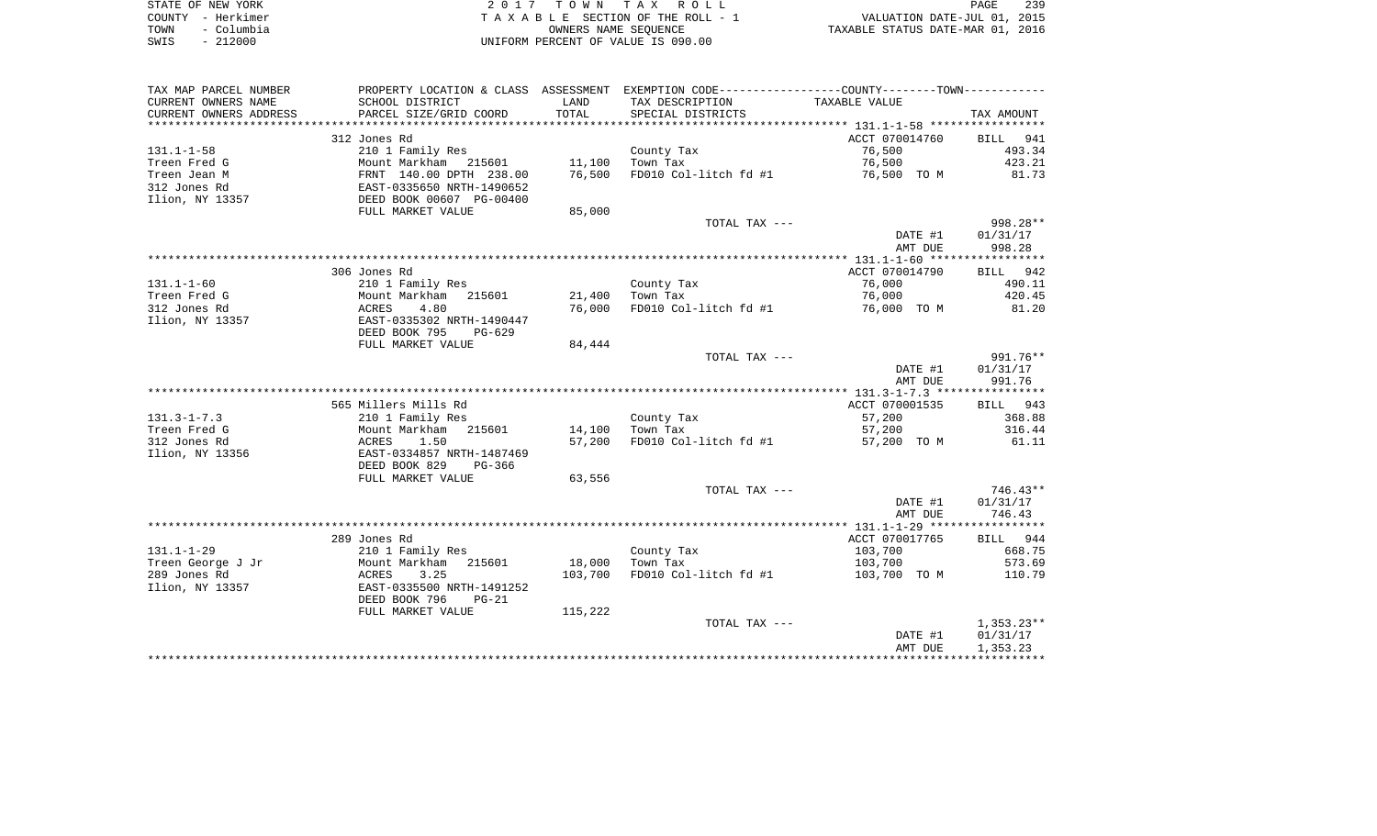|      | STATE OF NEW YORK | 2017 TOWN TAX ROLL                 | 239<br>PAGE                      |
|------|-------------------|------------------------------------|----------------------------------|
|      | COUNTY - Herkimer | TAXABLE SECTION OF THE ROLL - 1    | VALUATION DATE-JUL 01, 2015      |
| TOWN | – Columbia        | OWNERS NAME SEOUENCE               | TAXABLE STATUS DATE-MAR 01, 2016 |
| SWIS | $-212000$         | UNIFORM PERCENT OF VALUE IS 090.00 |                                  |

| TAX MAP PARCEL NUMBER             | PROPERTY LOCATION & CLASS ASSESSMENT EXEMPTION CODE---------------COUNTY-------TOWN---------- |                   |                                   |                         |                  |
|-----------------------------------|-----------------------------------------------------------------------------------------------|-------------------|-----------------------------------|-------------------------|------------------|
| CURRENT OWNERS NAME               | SCHOOL DISTRICT                                                                               | LAND              | TAX DESCRIPTION                   | TAXABLE VALUE           |                  |
| CURRENT OWNERS ADDRESS            | PARCEL SIZE/GRID COORD                                                                        | TOTAL             | SPECIAL DISTRICTS                 |                         | TAX AMOUNT       |
|                                   |                                                                                               |                   |                                   |                         |                  |
|                                   | 312 Jones Rd                                                                                  |                   |                                   | ACCT 070014760          | BILL 941         |
| 131.1-1-58                        | 210 1 Family Res                                                                              |                   | County Tax                        | 76,500                  | 493.34           |
| Treen Fred G                      | Mount Markham 215601                                                                          | 11,100            | Town Tax                          | 76,500                  | 423.21           |
| Treen Jean M                      | FRNT 140.00 DPTH 238.00<br>EAST-0335650 NRTH-1490652                                          | 76,500            | FD010 Col-litch fd #1             | 76,500 TO M             | 81.73            |
| 312 Jones Rd                      |                                                                                               |                   |                                   |                         |                  |
| Ilion, NY 13357                   | DEED BOOK 00607 PG-00400                                                                      |                   |                                   |                         |                  |
|                                   | FULL MARKET VALUE                                                                             | 85,000            |                                   |                         |                  |
|                                   |                                                                                               |                   | TOTAL TAX ---                     |                         | 998.28**         |
|                                   |                                                                                               |                   |                                   | DATE #1                 | 01/31/17         |
|                                   |                                                                                               |                   |                                   | AMT DUE                 | 998.28           |
|                                   | 306 Jones Rd                                                                                  |                   |                                   | ACCT 070014790          | BILL 942         |
| 131.1-1-60                        | 210 1 Family Res                                                                              |                   | County Tax                        | 76,000                  | 490.11           |
| Treen Fred G                      | Mount Markham    215601                                                                       | 21,400            | Town Tax                          | 76,000                  | 420.45           |
| 312 Jones Rd                      | ACRES<br>4.80                                                                                 | 76,000            | FD010 Col-litch fd #1 76,000 TO M |                         | 81.20            |
| Ilion, NY 13357                   | EAST-0335302 NRTH-1490447                                                                     |                   |                                   |                         |                  |
|                                   | DEED BOOK 795<br>PG-629                                                                       |                   |                                   |                         |                  |
|                                   | FULL MARKET VALUE                                                                             | 84,444            |                                   |                         |                  |
|                                   |                                                                                               |                   | TOTAL TAX ---                     |                         | 991.76**         |
|                                   |                                                                                               |                   |                                   | DATE #1                 | 01/31/17         |
|                                   |                                                                                               |                   |                                   | AMT DUE                 | 991.76           |
|                                   |                                                                                               |                   |                                   |                         |                  |
|                                   | 565 Millers Mills Rd                                                                          |                   |                                   | ACCT 070001535          | BILL 943         |
| 131.3-1-7.3                       | 210 1 Family Res                                                                              |                   | County Tax                        | 57,200                  | 368.88           |
| Treen Fred G                      | Mount Markham 215601                                                                          | 14,100            | Town Tax                          | 57,200                  | 316.44           |
| 312 Jones Rd                      | ACRES<br>1.50                                                                                 | 57,200            | FD010 Col-litch fd #1             | 57,200 TO M             | 61.11            |
| Ilion, NY 13356                   | EAST-0334857 NRTH-1487469                                                                     |                   |                                   |                         |                  |
|                                   | DEED BOOK 829<br>PG-366                                                                       |                   |                                   |                         |                  |
|                                   | FULL MARKET VALUE                                                                             | 63,556            |                                   |                         |                  |
|                                   |                                                                                               |                   | TOTAL TAX ---                     |                         | $746.43**$       |
|                                   |                                                                                               |                   |                                   | DATE #1                 | 01/31/17         |
|                                   |                                                                                               |                   |                                   | AMT DUE                 | 746.43           |
|                                   |                                                                                               |                   |                                   |                         |                  |
|                                   | 289 Jones Rd                                                                                  |                   |                                   | ACCT 070017765          | BILL 944         |
| 131.1-1-29                        | 210 1 Family Res<br>Mount Markham 215601                                                      |                   | County Tax<br>Town Tax            | 103,700                 | 668.75<br>573.69 |
| Treen George J Jr<br>289 Jones Rd |                                                                                               | 18,000<br>103,700 | FD010 Col-litch fd #1             | 103,700<br>103,700 TO M | 110.79           |
| Ilion, NY 13357                   | ACRES 3.25<br>EAST-0335500 NRTH-1491252                                                       |                   |                                   |                         |                  |
|                                   | DEED BOOK 796<br>$PG-21$                                                                      |                   |                                   |                         |                  |
|                                   | FULL MARKET VALUE                                                                             | 115,222           |                                   |                         |                  |
|                                   |                                                                                               |                   | TOTAL TAX ---                     |                         | $1,353.23**$     |
|                                   |                                                                                               |                   |                                   | DATE #1                 | 01/31/17         |
|                                   |                                                                                               |                   |                                   | AMT DUE                 | 1,353.23         |
|                                   |                                                                                               |                   |                                   |                         |                  |
|                                   |                                                                                               |                   |                                   |                         |                  |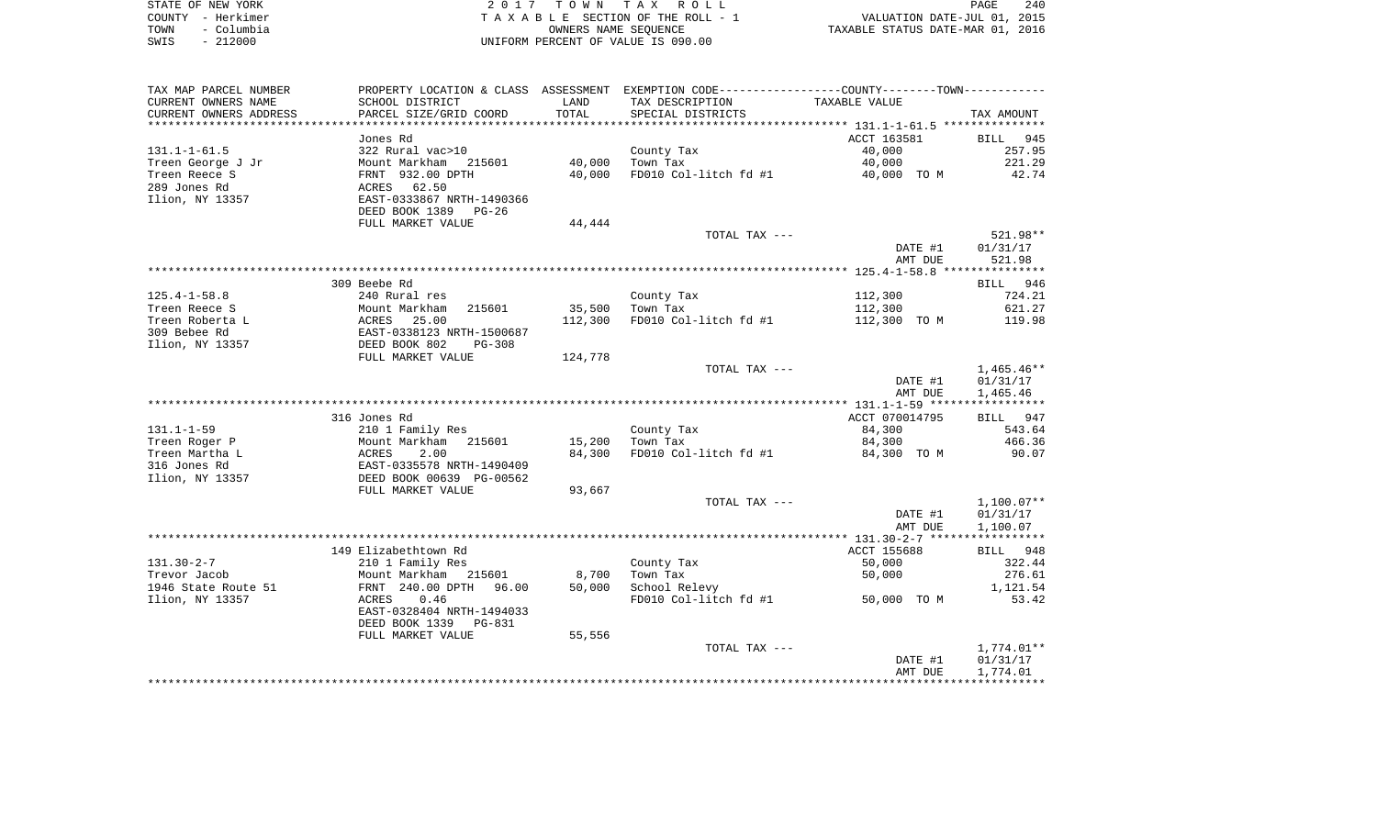| STATE OF NEW YORK  | 2017 TOWN TAX ROLL                 | 240<br><b>PAGE</b>               |
|--------------------|------------------------------------|----------------------------------|
| COUNTY - Herkimer  | TAXABLE SECTION OF THE ROLL - 1    | VALUATION DATE-JUL 01, 2015      |
| – Columbia<br>TOWN | OWNERS NAME SEOUENCE               | TAXABLE STATUS DATE-MAR 01, 2016 |
| $-212000$<br>SWIS  | UNIFORM PERCENT OF VALUE IS 090.00 |                                  |

| TAX MAP PARCEL NUMBER  | PROPERTY LOCATION & CLASS ASSESSMENT EXEMPTION CODE---------------COUNTY-------TOWN---------- |         |                       |                |              |
|------------------------|-----------------------------------------------------------------------------------------------|---------|-----------------------|----------------|--------------|
| CURRENT OWNERS NAME    | SCHOOL DISTRICT                                                                               | LAND    | TAX DESCRIPTION       | TAXABLE VALUE  |              |
| CURRENT OWNERS ADDRESS | PARCEL SIZE/GRID COORD                                                                        | TOTAL   | SPECIAL DISTRICTS     |                | TAX AMOUNT   |
|                        |                                                                                               |         |                       |                |              |
|                        | Jones Rd                                                                                      |         |                       | ACCT 163581    | BILL 945     |
| $131.1 - 1 - 61.5$     | 322 Rural vac>10                                                                              |         | County Tax            | 40,000         | 257.95       |
| Treen George J Jr      | Mount Markham<br>215601                                                                       | 40,000  | Town Tax              | 40,000         | 221.29       |
| Treen Reece S          | FRNT 932.00 DPTH                                                                              | 40,000  | FD010 Col-litch fd #1 | 40,000 TO M    | 42.74        |
| 289 Jones Rd           | 62.50<br>ACRES                                                                                |         |                       |                |              |
| Ilion, NY 13357        | EAST-0333867 NRTH-1490366                                                                     |         |                       |                |              |
|                        | DEED BOOK 1389<br>PG-26                                                                       |         |                       |                |              |
|                        | FULL MARKET VALUE                                                                             | 44,444  |                       |                |              |
|                        |                                                                                               |         | TOTAL TAX ---         |                | 521.98**     |
|                        |                                                                                               |         |                       | DATE #1        | 01/31/17     |
|                        |                                                                                               |         |                       | AMT DUE        | 521.98       |
|                        |                                                                                               |         |                       |                |              |
|                        | 309 Beebe Rd                                                                                  |         |                       |                | BILL 946     |
| $125.4 - 1 - 58.8$     | 240 Rural res                                                                                 |         | County Tax            | 112,300        | 724.21       |
| Treen Reece S          | Mount Markham<br>215601                                                                       | 35,500  | Town Tax              | 112,300        | 621.27       |
| Treen Roberta L        | 25.00<br>ACRES                                                                                | 112,300 | FD010 Col-litch fd #1 | 112,300 TO M   | 119.98       |
| 309 Bebee Rd           | EAST-0338123 NRTH-1500687                                                                     |         |                       |                |              |
| Ilion, NY 13357        | DEED BOOK 802<br>PG-308                                                                       |         |                       |                |              |
|                        | FULL MARKET VALUE                                                                             | 124,778 |                       |                |              |
|                        |                                                                                               |         | TOTAL TAX ---         |                | $1,465.46**$ |
|                        |                                                                                               |         |                       | DATE #1        | 01/31/17     |
|                        |                                                                                               |         |                       | AMT DUE        | 1,465.46     |
|                        |                                                                                               |         |                       |                |              |
|                        | 316 Jones Rd                                                                                  |         |                       | ACCT 070014795 | BILL 947     |
| $131.1 - 1 - 59$       | 210 1 Family Res                                                                              |         | County Tax            | 84,300         | 543.64       |
| Treen Roger P          | Mount Markham 215601                                                                          | 15,200  | Town Tax              | 84,300         | 466.36       |
| Treen Martha L         | ACRES<br>2.00                                                                                 | 84,300  | FD010 Col-litch fd #1 | 84,300 TO M    | 90.07        |
| 316 Jones Rd           | EAST-0335578 NRTH-1490409                                                                     |         |                       |                |              |
| Ilion, NY 13357        | DEED BOOK 00639 PG-00562                                                                      |         |                       |                |              |
|                        | FULL MARKET VALUE                                                                             | 93,667  |                       |                |              |
|                        |                                                                                               |         | TOTAL TAX ---         |                | $1,100.07**$ |
|                        |                                                                                               |         |                       | DATE #1        | 01/31/17     |
|                        |                                                                                               |         |                       | AMT DUE        | 1,100.07     |
|                        |                                                                                               |         |                       |                |              |
|                        | 149 Elizabethtown Rd                                                                          |         |                       | ACCT 155688    | BILL 948     |
| $131.30 - 2 - 7$       | 210 1 Family Res                                                                              |         | County Tax            | 50,000         | 322.44       |
| Trevor Jacob           | Mount Markham 215601                                                                          | 8,700   | Town Tax              | 50,000         | 276.61       |
| 1946 State Route 51    | FRNT 240.00 DPTH 96.00                                                                        | 50,000  | School Relevy         |                | 1,121.54     |
| Ilion, NY 13357        | 0.46<br>ACRES                                                                                 |         | FD010 Col-litch fd #1 | 50,000 TO M    | 53.42        |
|                        | EAST-0328404 NRTH-1494033                                                                     |         |                       |                |              |
|                        | DEED BOOK 1339<br>PG-831                                                                      |         |                       |                |              |
|                        | FULL MARKET VALUE                                                                             | 55,556  |                       |                |              |
|                        |                                                                                               |         | TOTAL TAX ---         |                | 1,774.01**   |
|                        |                                                                                               |         |                       | DATE #1        | 01/31/17     |
|                        |                                                                                               |         |                       | AMT DUE        | 1,774.01     |
|                        |                                                                                               |         |                       |                |              |
|                        |                                                                                               |         |                       |                |              |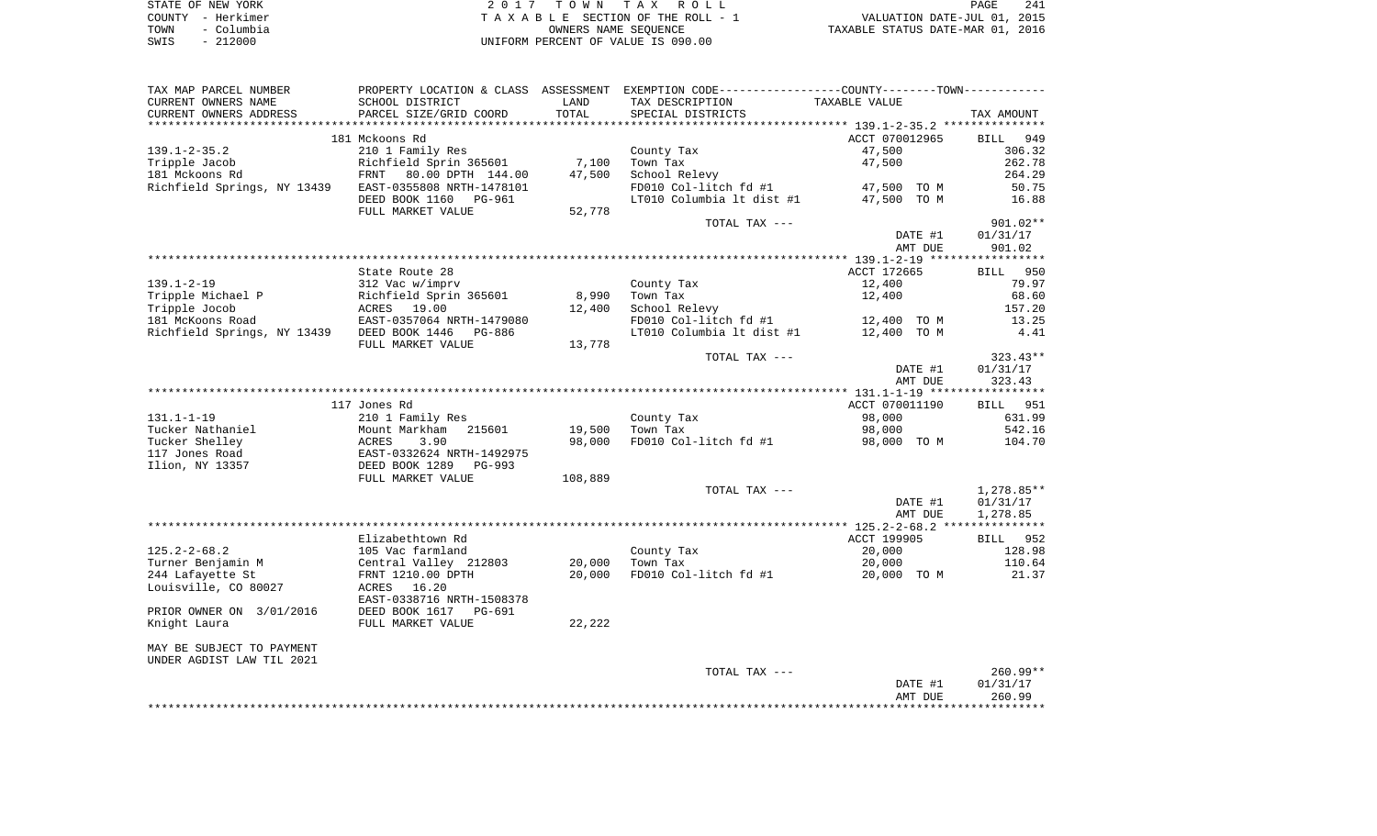| STATE OF NEW YORK  | 2017 TOWN TAX ROLL                 | 241<br>PAGE                      |
|--------------------|------------------------------------|----------------------------------|
| COUNTY - Herkimer  | TAXABLE SECTION OF THE ROLL - 1    | VALUATION DATE-JUL 01, 2015      |
| – Columbia<br>TOWN | OWNERS NAME SEOUENCE               | TAXABLE STATUS DATE-MAR 01, 2016 |
| $-212000$<br>SWIS  | UNIFORM PERCENT OF VALUE IS 090.00 |                                  |

| TAX MAP PARCEL NUMBER                                  |                           |         | PROPERTY LOCATION & CLASS ASSESSMENT EXEMPTION CODE----------------COUNTY--------TOWN---------- |                |                    |
|--------------------------------------------------------|---------------------------|---------|-------------------------------------------------------------------------------------------------|----------------|--------------------|
| CURRENT OWNERS NAME                                    | SCHOOL DISTRICT           | LAND    | TAX DESCRIPTION                                                                                 | TAXABLE VALUE  |                    |
| CURRENT OWNERS ADDRESS                                 | PARCEL SIZE/GRID COORD    | TOTAL   | SPECIAL DISTRICTS                                                                               |                | TAX AMOUNT         |
|                                                        |                           |         |                                                                                                 |                |                    |
|                                                        | 181 Mckoons Rd            |         |                                                                                                 | ACCT 070012965 | 949<br><b>BILL</b> |
| $139.1 - 2 - 35.2$                                     | 210 1 Family Res          |         | County Tax                                                                                      | 47,500         | 306.32             |
| Tripple Jacob                                          | Richfield Sprin 365601    | 7,100   | Town Tax                                                                                        | 47,500         | 262.78             |
| 181 Mckoons Rd                                         | FRNT 80.00 DPTH 144.00    | 47,500  | School Relevy                                                                                   |                | 264.29             |
| Richfield Springs, NY 13439                            | EAST-0355808 NRTH-1478101 |         | FD010 Col-litch fd #1                                                                           | 47,500 TO M    | 50.75              |
|                                                        | DEED BOOK 1160<br>PG-961  |         | LT010 Columbia 1t dist #1                                                                       | 47,500 TO M    | 16.88              |
|                                                        | FULL MARKET VALUE         | 52,778  |                                                                                                 |                |                    |
|                                                        |                           |         | TOTAL TAX ---                                                                                   |                | $901.02**$         |
|                                                        |                           |         |                                                                                                 | DATE #1        | 01/31/17           |
|                                                        |                           |         |                                                                                                 | AMT DUE        | 901.02             |
|                                                        |                           |         |                                                                                                 |                |                    |
|                                                        | State Route 28            |         |                                                                                                 | ACCT 172665    | BILL 950           |
| $139.1 - 2 - 19$                                       | 312 Vac w/imprv           |         | County Tax                                                                                      | 12,400         | 79.97              |
| Tripple Michael P                                      | Richfield Sprin 365601    | 8,990   | Town Tax                                                                                        | 12,400         | 68.60              |
| Tripple Jocob                                          | ACRES 19.00               | 12,400  | School Relevy                                                                                   |                | 157.20             |
| 181 McKoons Road                                       | EAST-0357064 NRTH-1479080 |         | FD010 Col-litch fd #1                                                                           | 12,400 TO M    | 13.25              |
| Richfield Springs, NY 13439                            | DEED BOOK 1446<br>PG-886  |         | LT010 Columbia 1t dist #1                                                                       | 12,400 TO M    | 4.41               |
|                                                        | FULL MARKET VALUE         | 13,778  |                                                                                                 |                |                    |
|                                                        |                           |         | TOTAL TAX ---                                                                                   |                | $323.43**$         |
|                                                        |                           |         |                                                                                                 | DATE #1        | 01/31/17           |
|                                                        |                           |         |                                                                                                 | AMT DUE        | 323.43             |
|                                                        |                           |         |                                                                                                 |                |                    |
|                                                        | 117 Jones Rd              |         |                                                                                                 | ACCT 070011190 | BILL 951           |
| $131.1 - 1 - 19$                                       | 210 1 Family Res          |         | County Tax                                                                                      | 98,000         | 631.99             |
| Tucker Nathaniel                                       | Mount Markham<br>215601   | 19,500  | Town Tax                                                                                        | 98,000         | 542.16             |
| Tucker Shelley                                         | ACRES<br>3.90             | 98,000  | FD010 Col-litch fd #1                                                                           | 98,000 TO M    | 104.70             |
| 117 Jones Road                                         | EAST-0332624 NRTH-1492975 |         |                                                                                                 |                |                    |
| Ilion, NY 13357                                        | DEED BOOK 1289<br>PG-993  |         |                                                                                                 |                |                    |
|                                                        | FULL MARKET VALUE         | 108,889 |                                                                                                 |                |                    |
|                                                        |                           |         | TOTAL TAX ---                                                                                   |                | 1,278.85**         |
|                                                        |                           |         |                                                                                                 | DATE #1        | 01/31/17           |
|                                                        |                           |         |                                                                                                 | AMT DUE        | 1,278.85           |
|                                                        |                           |         |                                                                                                 |                |                    |
|                                                        | Elizabethtown Rd          |         |                                                                                                 | ACCT 199905    | BILL 952           |
| $125.2 - 2 - 68.2$                                     | 105 Vac farmland          |         | County Tax                                                                                      | 20,000         | 128.98             |
| Turner Benjamin M                                      | Central Valley 212803     | 20,000  | Town Tax                                                                                        | 20,000         | 110.64             |
| 244 Lafayette St                                       | FRNT 1210.00 DPTH         | 20,000  | FD010 Col-litch fd #1                                                                           | 20,000 TO M    | 21.37              |
| Louisville, CO 80027                                   | 16.20<br>ACRES            |         |                                                                                                 |                |                    |
|                                                        | EAST-0338716 NRTH-1508378 |         |                                                                                                 |                |                    |
| PRIOR OWNER ON 3/01/2016                               | DEED BOOK 1617<br>PG-691  |         |                                                                                                 |                |                    |
| Knight Laura                                           | FULL MARKET VALUE         | 22,222  |                                                                                                 |                |                    |
|                                                        |                           |         |                                                                                                 |                |                    |
| MAY BE SUBJECT TO PAYMENT<br>UNDER AGDIST LAW TIL 2021 |                           |         |                                                                                                 |                |                    |
|                                                        |                           |         | TOTAL TAX ---                                                                                   |                | $260.99**$         |
|                                                        |                           |         |                                                                                                 | DATE #1        | 01/31/17           |
|                                                        |                           |         |                                                                                                 | AMT DUE        | 260.99             |
|                                                        |                           |         |                                                                                                 |                |                    |
|                                                        |                           |         |                                                                                                 |                |                    |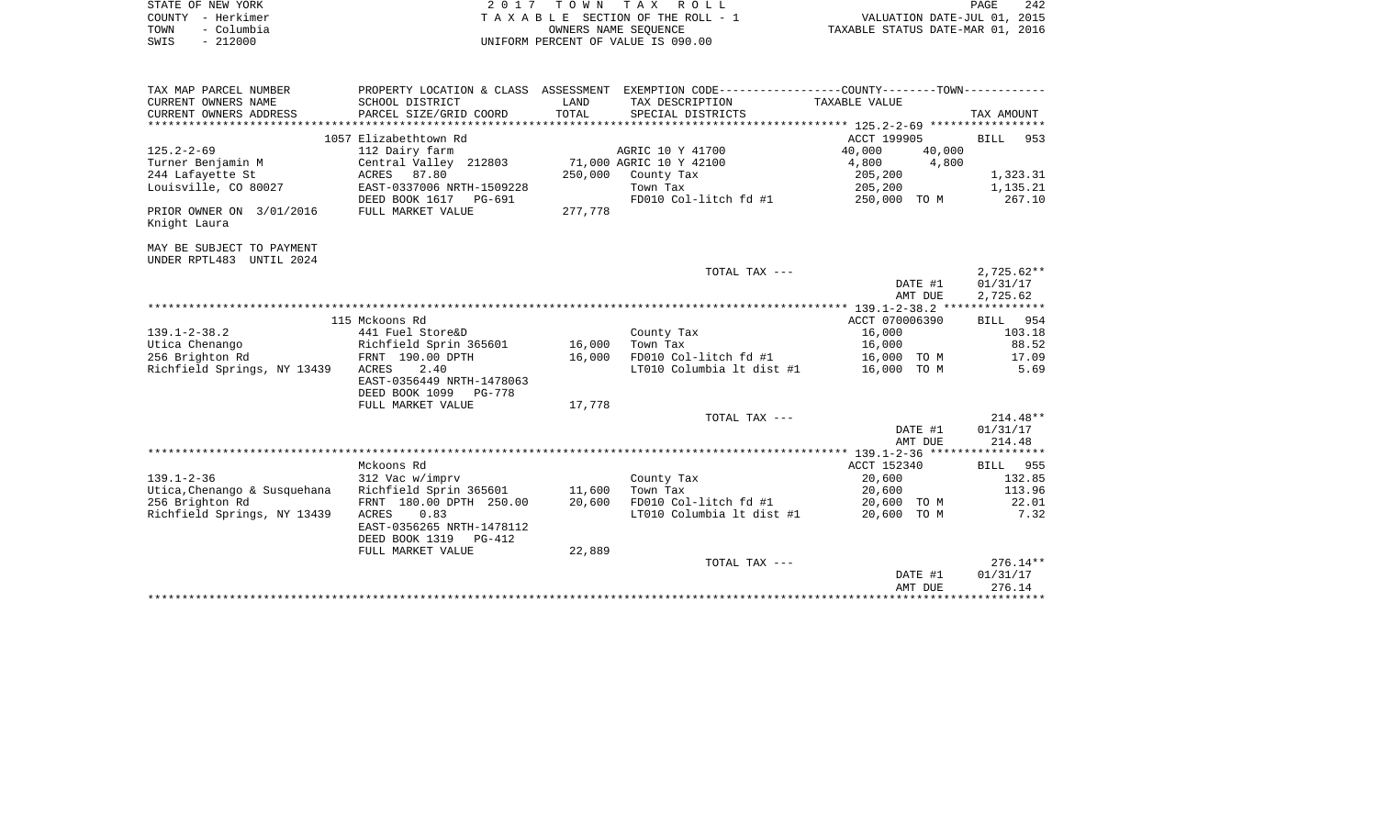| STATE OF NEW YORK            |                               |         | 2017 TOWN TAX ROLL                                                                                                   |                    | PAGE<br>242                                                                                |
|------------------------------|-------------------------------|---------|----------------------------------------------------------------------------------------------------------------------|--------------------|--------------------------------------------------------------------------------------------|
| COUNTY - Herkimer            |                               |         | TAXABLE SECTION OF THE ROLL - 1 VALUATION DATE-JUL 01, 2015<br>OWNERS NAME SEQUENCE TAXABLE STATUS DATE-MAR 01, 2016 |                    |                                                                                            |
| - Columbia<br>TOWN           |                               |         |                                                                                                                      |                    |                                                                                            |
| $-212000$<br>SWIS            |                               |         | UNIFORM PERCENT OF VALUE IS 090.00                                                                                   |                    |                                                                                            |
|                              |                               |         |                                                                                                                      |                    |                                                                                            |
| TAX MAP PARCEL NUMBER        |                               |         | PROPERTY LOCATION & CLASS ASSESSMENT EXEMPTION CODE---------------COUNTY-------TOWN----------                        |                    |                                                                                            |
| CURRENT OWNERS NAME          | SCHOOL DISTRICT               | LAND    | TAX DESCRIPTION                                                                                                      | TAXABLE VALUE      |                                                                                            |
| CURRENT OWNERS ADDRESS       | PARCEL SIZE/GRID COORD        | TOTAL   | SPECIAL DISTRICTS                                                                                                    |                    | TAX AMOUNT                                                                                 |
|                              | 1057 Elizabethtown Rd         |         |                                                                                                                      | ACCT 199905        | BILL 953                                                                                   |
| $125.2 - 2 - 69$             | 112 Dairy farm                |         | AGRIC 10 Y 41700                                                                                                     | 40,000<br>40,000   |                                                                                            |
| Turner Benjamin M            | Central Valley 212803         |         | 71,000 AGRIC 10 Y 42100                                                                                              | 4,800<br>4,800     |                                                                                            |
| 244 Lafayette St             | ACRES 87.80                   |         | 250,000 County Tax                                                                                                   | 205,200            | 1,323.31                                                                                   |
| Louisville, CO 80027         | EAST-0337006 NRTH-1509228     |         | Town Tax                                                                                                             | 205,200            | 1,135.21                                                                                   |
|                              | DEED BOOK 1617 PG-691         |         | FD010 Col-litch fd #1                                                                                                | 250,000 TO M       | 267.10                                                                                     |
| PRIOR OWNER ON 3/01/2016     | FULL MARKET VALUE             | 277,778 |                                                                                                                      |                    |                                                                                            |
| Knight Laura                 |                               |         |                                                                                                                      |                    |                                                                                            |
| MAY BE SUBJECT TO PAYMENT    |                               |         |                                                                                                                      |                    |                                                                                            |
| UNDER RPTL483 UNTIL 2024     |                               |         |                                                                                                                      |                    |                                                                                            |
|                              |                               |         | TOTAL TAX ---                                                                                                        |                    | $2,725.62**$                                                                               |
|                              |                               |         |                                                                                                                      | DATE #1            | 01/31/17                                                                                   |
|                              |                               |         |                                                                                                                      | AMT DUE            | 2,725.62                                                                                   |
|                              | 115 Mckoons Rd                |         |                                                                                                                      | ACCT 070006390     | BILL 954                                                                                   |
| $139.1 - 2 - 38.2$           | 441 Fuel Store&D              |         | County Tax                                                                                                           | 16,000             | 103.18                                                                                     |
| Utica Chenango               | Richfield Sprin 365601        | 16,000  | Town Tax                                                                                                             |                    | 88.52                                                                                      |
|                              |                               |         |                                                                                                                      |                    |                                                                                            |
|                              |                               |         |                                                                                                                      | 16,000             |                                                                                            |
| 256 Brighton Rd              | FRNT 190.00 DPTH              | 16,000  | FD010 Col-litch fd #1                                                                                                | 16,000 TO M        |                                                                                            |
| Richfield Springs, NY 13439  | 2.40<br>ACRES                 |         | LT010 Columbia 1t dist #1                                                                                            | 16,000 TO M        |                                                                                            |
|                              | EAST-0356449 NRTH-1478063     |         |                                                                                                                      |                    |                                                                                            |
|                              | DEED BOOK 1099 PG-778         |         |                                                                                                                      |                    |                                                                                            |
|                              | FULL MARKET VALUE             | 17,778  |                                                                                                                      |                    |                                                                                            |
|                              |                               |         | TOTAL TAX ---                                                                                                        |                    |                                                                                            |
|                              |                               |         |                                                                                                                      | DATE #1            | 01/31/17                                                                                   |
|                              |                               |         |                                                                                                                      | AMT DUE            | 214.48                                                                                     |
|                              | Mckoons Rd                    |         |                                                                                                                      | ACCT 152340        |                                                                                            |
| $139.1 - 2 - 36$             | 312 Vac w/imprv               |         | County Tax                                                                                                           | 20,600             |                                                                                            |
| Utica, Chenango & Susquehana | Richfield Sprin 365601 11,600 |         | Town Tax                                                                                                             | 20,600             |                                                                                            |
| 256 Brighton Rd              | FRNT 180.00 DPTH 250.00       | 20,600  | FD010 Col-litch fd #1                                                                                                | 20,600 TO M        |                                                                                            |
| Richfield Springs, NY 13439  | ACRES<br>0.83                 |         | LT010 Columbia 1t dist #1                                                                                            | 20,600 TO M        |                                                                                            |
|                              | EAST-0356265 NRTH-1478112     |         |                                                                                                                      |                    |                                                                                            |
|                              | DEED BOOK 1319 PG-412         |         |                                                                                                                      |                    |                                                                                            |
|                              | FULL MARKET VALUE             | 22,889  |                                                                                                                      |                    |                                                                                            |
|                              |                               |         | TOTAL TAX ---                                                                                                        |                    | 17.09<br>5.69<br>$214.48**$<br>BILL 955<br>132.85<br>113.96<br>22.01<br>7.32<br>$276.14**$ |
|                              |                               |         |                                                                                                                      | DATE #1<br>AMT DUE | 01/31/17<br>276.14                                                                         |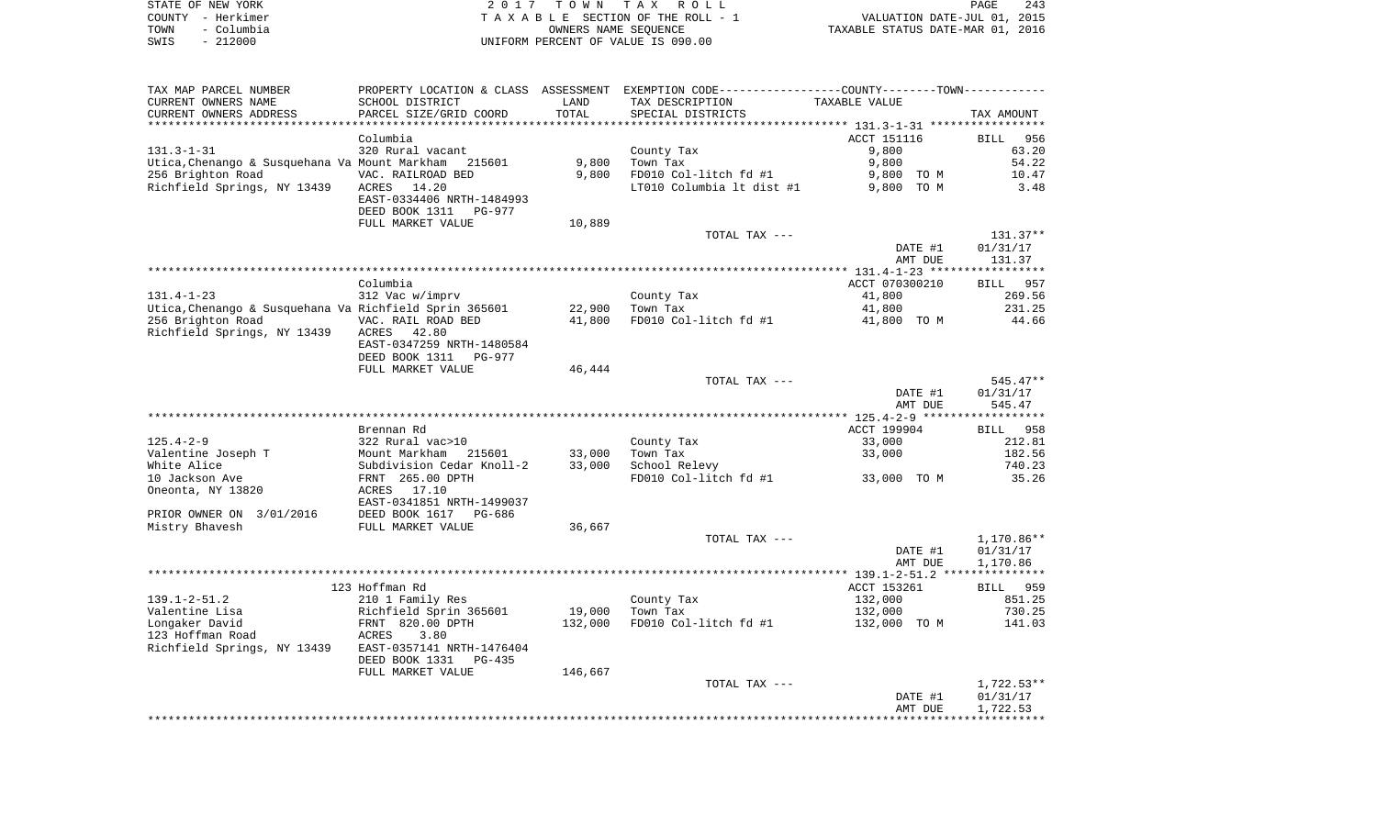|      | STATE OF NEW YORK | 2017 TOWN TAX ROLL                 | PAGE                             | 243 |
|------|-------------------|------------------------------------|----------------------------------|-----|
|      | COUNTY - Herkimer | TAXABLE SECTION OF THE ROLL - 1    | VALUATION DATE-JUL 01, 2015      |     |
| TOWN | - Columbia        | OWNERS NAME SEOUENCE               | TAXABLE STATUS DATE-MAR 01, 2016 |     |
| SWIS | - 212000          | UNIFORM PERCENT OF VALUE IS 090.00 |                                  |     |

| TAX MAP PARCEL NUMBER                                 |                           |         | PROPERTY LOCATION & CLASS ASSESSMENT EXEMPTION CODE---------------COUNTY--------TOWN---------- |                      |             |
|-------------------------------------------------------|---------------------------|---------|------------------------------------------------------------------------------------------------|----------------------|-------------|
| CURRENT OWNERS NAME                                   | SCHOOL DISTRICT           | LAND    | TAX DESCRIPTION                                                                                | <b>TAXABLE VALUE</b> |             |
| CURRENT OWNERS ADDRESS                                | PARCEL SIZE/GRID COORD    | TOTAL   | SPECIAL DISTRICTS                                                                              |                      | TAX AMOUNT  |
|                                                       |                           |         |                                                                                                |                      |             |
|                                                       | Columbia                  |         |                                                                                                | ACCT 151116          | BILL<br>956 |
| $131.3 - 1 - 31$                                      | 320 Rural vacant          |         | County Tax                                                                                     | 9,800                | 63.20       |
| Utica,Chenango & Susquehana Va Mount Markham          | 215601                    | 9,800   | Town Tax                                                                                       | 9,800                | 54.22       |
| 256 Brighton Road                                     | VAC. RAILROAD BED         | 9,800   | FD010 Col-litch fd #1                                                                          | 9,800 TO M           | 10.47       |
| Richfield Springs, NY 13439 ACRES 14.20               |                           |         | LT010 Columbia lt dist #1                                                                      | 9,800 TO M           | 3.48        |
|                                                       | EAST-0334406 NRTH-1484993 |         |                                                                                                |                      |             |
|                                                       | DEED BOOK 1311 PG-977     |         |                                                                                                |                      |             |
|                                                       | FULL MARKET VALUE         | 10,889  |                                                                                                |                      |             |
|                                                       |                           |         | TOTAL TAX ---                                                                                  |                      | $131.37**$  |
|                                                       |                           |         |                                                                                                | DATE #1              | 01/31/17    |
|                                                       |                           |         |                                                                                                | AMT DUE              | 131.37      |
|                                                       |                           |         |                                                                                                |                      |             |
|                                                       | Columbia                  |         |                                                                                                | ACCT 070300210       | BILL 957    |
| 131.4-1-23                                            | 312 Vac w/imprv           |         | County Tax                                                                                     | 41,800               | 269.56      |
| Utica,Chenango & Susquehana Va Richfield Sprin 365601 |                           | 22,900  | Town Tax                                                                                       | 41,800               | 231.25      |
| 256 Brighton Road                                     | VAC. RAIL ROAD BED        | 41,800  | FD010 Col-litch fd #1                                                                          | 41,800 TO M          | 44.66       |
| Richfield Springs, NY 13439 ACRES 42.80               |                           |         |                                                                                                |                      |             |
|                                                       | EAST-0347259 NRTH-1480584 |         |                                                                                                |                      |             |
|                                                       | DEED BOOK 1311 PG-977     |         |                                                                                                |                      |             |
|                                                       | FULL MARKET VALUE         | 46,444  |                                                                                                |                      |             |
|                                                       |                           |         | TOTAL TAX ---                                                                                  |                      | 545.47**    |
|                                                       |                           |         |                                                                                                | DATE #1              | 01/31/17    |
|                                                       |                           |         |                                                                                                | AMT DUE              | 545.47      |
|                                                       |                           |         |                                                                                                |                      |             |
|                                                       | Brennan Rd                |         |                                                                                                | ACCT 199904          | BILL 958    |
| $125.4 - 2 - 9$                                       | 322 Rural vac>10          |         | County Tax                                                                                     | 33,000               | 212.81      |
| Valentine Joseph T                                    | Mount Markham 215601      | 33,000  | Town Tax                                                                                       | 33,000               | 182.56      |
| White Alice                                           | Subdivision Cedar Knoll-2 | 33,000  | School Relevy                                                                                  |                      | 740.23      |
| 10 Jackson Ave                                        | FRNT 265.00 DPTH          |         | FD010 Col-litch fd #1                                                                          | 33,000 TO M          | 35.26       |
| Oneonta, NY 13820                                     | ACRES 17.10               |         |                                                                                                |                      |             |
|                                                       | EAST-0341851 NRTH-1499037 |         |                                                                                                |                      |             |
| PRIOR OWNER ON 3/01/2016                              | DEED BOOK 1617 PG-686     |         |                                                                                                |                      |             |
| Mistry Bhavesh                                        | FULL MARKET VALUE         | 36,667  |                                                                                                |                      |             |
|                                                       |                           |         | TOTAL TAX ---                                                                                  |                      | 1,170.86**  |
|                                                       |                           |         |                                                                                                | DATE #1              | 01/31/17    |
|                                                       |                           |         |                                                                                                | AMT DUE              | 1,170.86    |
|                                                       |                           |         |                                                                                                |                      |             |
|                                                       | 123 Hoffman Rd            |         |                                                                                                | ACCT 153261          | BILL 959    |
| $139.1 - 2 - 51.2$                                    | 210 1 Family Res          |         | County Tax                                                                                     | 132,000              | 851.25      |
| Valentine Lisa                                        | Richfield Sprin 365601    | 19,000  | Town Tax                                                                                       | 132,000              | 730.25      |
| Longaker David                                        | FRNT 820.00 DPTH          | 132,000 | FD010 Col-litch fd #1                                                                          | 132,000 TO M         | 141.03      |
| 123 Hoffman Road                                      | 3.80<br>ACRES             |         |                                                                                                |                      |             |
| Richfield Springs, NY 13439 EAST-0357141 NRTH-1476404 |                           |         |                                                                                                |                      |             |
|                                                       | DEED BOOK 1331<br>PG-435  |         |                                                                                                |                      |             |
|                                                       | FULL MARKET VALUE         | 146,667 |                                                                                                |                      |             |
|                                                       |                           |         | TOTAL TAX ---                                                                                  |                      | 1,722.53**  |
|                                                       |                           |         |                                                                                                | DATE #1              | 01/31/17    |
|                                                       |                           |         |                                                                                                | AMT DUE              | 1,722.53    |
|                                                       |                           |         |                                                                                                |                      |             |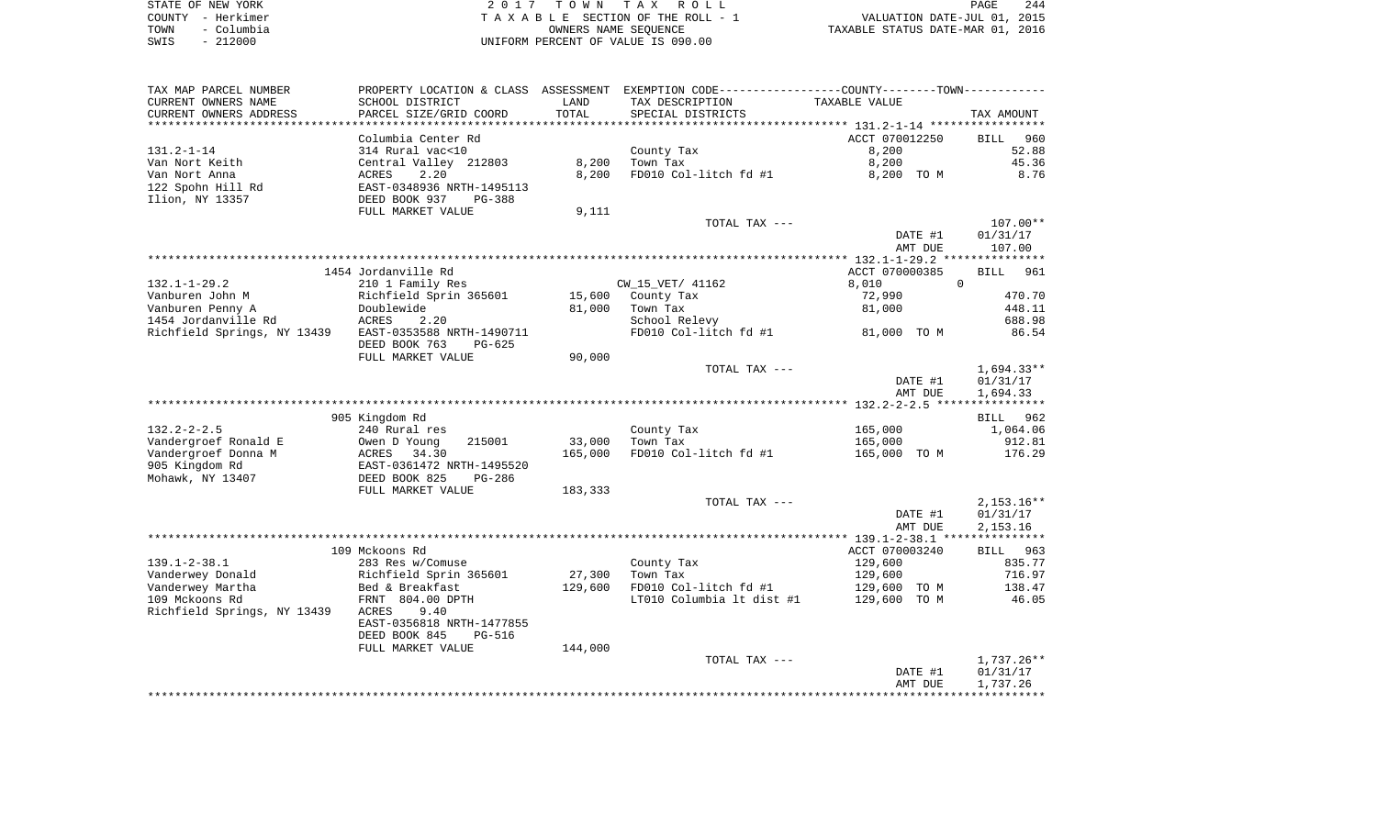| STATE OF NEW YORK  | 2017 TOWN TAX ROLL                 | 244<br>PAGE                      |
|--------------------|------------------------------------|----------------------------------|
| COUNTY - Herkimer  | TAXABLE SECTION OF THE ROLL - 1    | VALUATION DATE-JUL 01, 2015      |
| - Columbia<br>TOWN | OWNERS NAME SEOUENCE               | TAXABLE STATUS DATE-MAR 01, 2016 |
| $-212000$<br>SWIS  | UNIFORM PERCENT OF VALUE IS 090.00 |                                  |

| TAX MAP PARCEL NUMBER<br>CURRENT OWNERS NAME | PROPERTY LOCATION & CLASS ASSESSMENT<br>SCHOOL DISTRICT                     | LAND              | EXEMPTION CODE----------------COUNTY-------TOWN----------<br>TAX DESCRIPTION | TAXABLE VALUE              |                             |
|----------------------------------------------|-----------------------------------------------------------------------------|-------------------|------------------------------------------------------------------------------|----------------------------|-----------------------------|
| CURRENT OWNERS ADDRESS                       | PARCEL SIZE/GRID COORD                                                      | TOTAL             | SPECIAL DISTRICTS                                                            |                            | TAX AMOUNT                  |
|                                              | Columbia Center Rd<br>314 Rural vac<10                                      |                   |                                                                              | ACCT 070012250             | <b>BILL</b><br>960<br>52.88 |
| $131.2 - 1 - 14$<br>Van Nort Keith           | Central Valley 212803                                                       | 8,200             | County Tax<br>Town Tax                                                       | 8,200<br>8,200             | 45.36                       |
| Van Nort Anna                                | ACRES<br>2.20                                                               | 8,200             | FD010 Col-litch fd #1                                                        | 8,200 TO M                 | 8.76                        |
| 122 Spohn Hill Rd<br>Ilion, NY 13357         | EAST-0348936 NRTH-1495113<br>DEED BOOK 937<br>$PG-388$<br>FULL MARKET VALUE |                   |                                                                              |                            |                             |
|                                              |                                                                             | 9,111             | TOTAL TAX ---                                                                |                            | 107.00**                    |
|                                              |                                                                             |                   |                                                                              | DATE #1<br>AMT DUE         | 01/31/17<br>107.00          |
|                                              |                                                                             |                   |                                                                              |                            |                             |
|                                              | 1454 Jordanville Rd                                                         |                   |                                                                              | ACCT 070000385             | <b>BILL</b><br>961          |
| $132.1 - 1 - 29.2$                           | 210 1 Family Res                                                            |                   | CW_15_VET/ 41162                                                             | 8,010                      | 0                           |
| Vanburen John M<br>Vanburen Penny A          | Richfield Sprin 365601<br>Doublewide                                        | 15,600<br>81,000  | County Tax<br>Town Tax                                                       | 72,990<br>81,000           | 470.70<br>448.11            |
| 1454 Jordanville Rd                          | ACRES<br>2.20                                                               |                   | School Relevy                                                                |                            | 688.98                      |
| Richfield Springs, NY 13439                  | EAST-0353588 NRTH-1490711                                                   |                   | FD010 Col-litch fd #1                                                        | 81,000 TO M                | 86.54                       |
|                                              | DEED BOOK 763<br>$PG-625$                                                   |                   |                                                                              |                            |                             |
|                                              | FULL MARKET VALUE                                                           | 90,000            |                                                                              |                            |                             |
|                                              |                                                                             |                   | TOTAL TAX ---                                                                |                            | $1,694.33**$                |
|                                              |                                                                             |                   |                                                                              | DATE #1<br>AMT DUE         | 01/31/17<br>1,694.33        |
|                                              |                                                                             |                   |                                                                              |                            |                             |
|                                              | 905 Kingdom Rd                                                              |                   |                                                                              |                            | <b>BILL</b><br>962          |
| $132.2 - 2 - 2.5$                            | 240 Rural res                                                               |                   | County Tax                                                                   | 165,000                    | 1,064.06                    |
| Vandergroef Ronald E                         | Owen D Young<br>215001                                                      | 33,000            | Town Tax                                                                     | 165,000                    | 912.81                      |
| Vandergroef Donna M                          | ACRES<br>34.30                                                              | 165,000           | FD010 Col-litch fd #1                                                        | 165,000 TO M               | 176.29                      |
| 905 Kingdom Rd                               | EAST-0361472 NRTH-1495520                                                   |                   |                                                                              |                            |                             |
| Mohawk, NY 13407                             | DEED BOOK 825<br>$PG-286$<br>FULL MARKET VALUE                              | 183,333           |                                                                              |                            |                             |
|                                              |                                                                             |                   | TOTAL TAX ---                                                                |                            | $2,153.16**$                |
|                                              |                                                                             |                   |                                                                              | DATE #1                    | 01/31/17                    |
|                                              |                                                                             |                   |                                                                              | AMT DUE                    | 2,153.16                    |
|                                              |                                                                             |                   |                                                                              |                            |                             |
|                                              | 109 Mckoons Rd                                                              |                   |                                                                              | ACCT 070003240             | 963<br>BILL                 |
| $139.1 - 2 - 38.1$                           | 283 Res w/Comuse                                                            |                   | County Tax                                                                   | 129,600                    | 835.77                      |
| Vanderwey Donald<br>Vanderwey Martha         | Richfield Sprin 365601<br>Bed & Breakfast                                   | 27,300<br>129,600 | Town Tax<br>FD010 Col-litch fd #1                                            | 129,600<br>129,600<br>TO M | 716.97<br>138.47            |
| 109 Mckoons Rd                               | FRNT 804.00 DPTH                                                            |                   | LT010 Columbia 1t dist #1                                                    | 129,600 TO M               | 46.05                       |
| Richfield Springs, NY 13439                  | ACRES<br>9.40<br>EAST-0356818 NRTH-1477855                                  |                   |                                                                              |                            |                             |
|                                              | DEED BOOK 845<br><b>PG-516</b>                                              |                   |                                                                              |                            |                             |
|                                              | FULL MARKET VALUE                                                           | 144,000           |                                                                              |                            |                             |
|                                              |                                                                             |                   | TOTAL TAX ---                                                                |                            | 1,737.26**                  |
|                                              |                                                                             |                   |                                                                              | DATE #1                    | 01/31/17                    |
|                                              |                                                                             |                   |                                                                              | AMT DUE                    | 1,737.26                    |
|                                              |                                                                             |                   |                                                                              |                            |                             |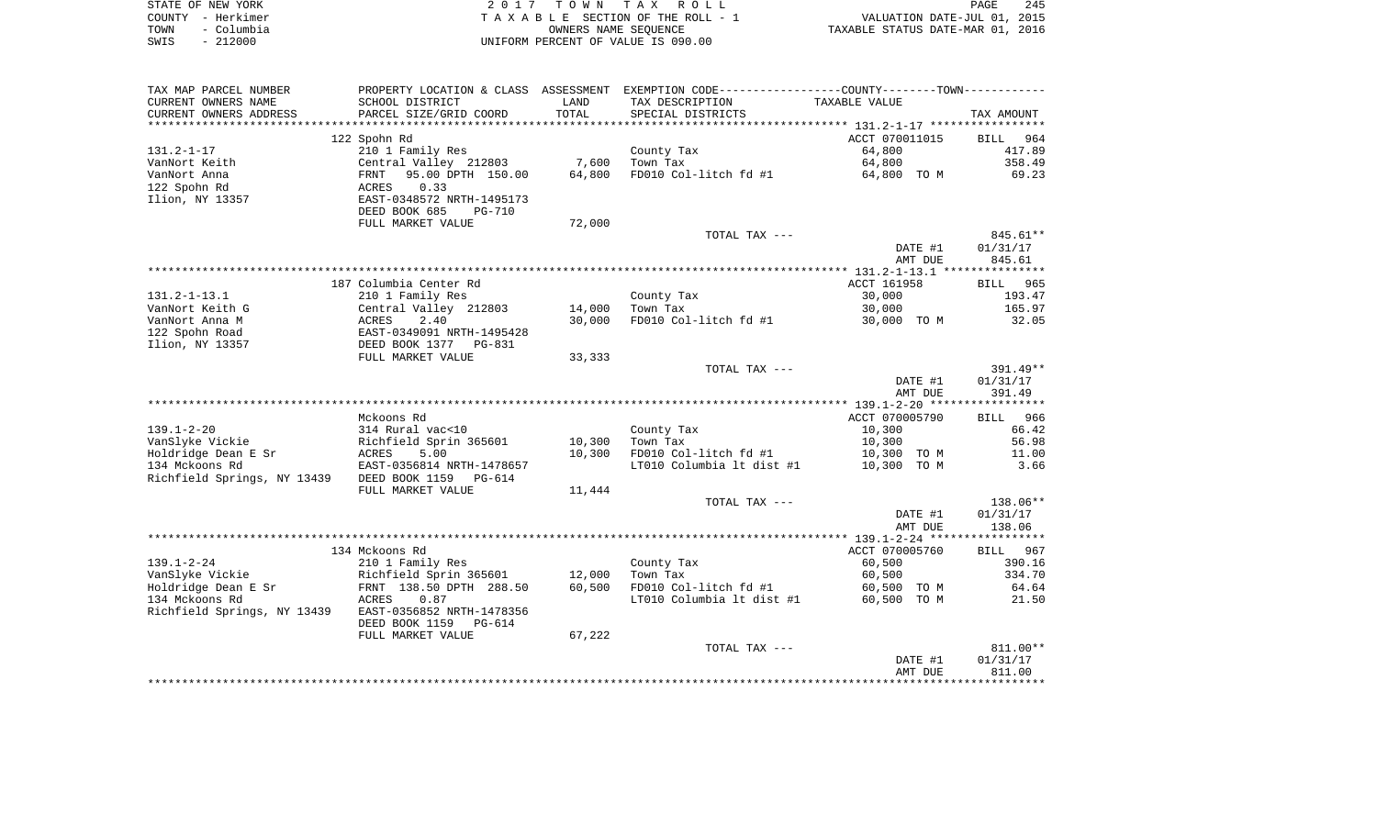| STATE OF NEW YORK |                   | 2017 TOWN TAX ROLL                 | PAGE                             | 245 |
|-------------------|-------------------|------------------------------------|----------------------------------|-----|
|                   | COUNTY - Herkimer | TAXABLE SECTION OF THE ROLL - 1    | VALUATION DATE-JUL 01, 2015      |     |
| TOWN              | - Columbia        | OWNERS NAME SEOUENCE               | TAXABLE STATUS DATE-MAR 01, 2016 |     |
| SWIS              | $-212000$         | UNIFORM PERCENT OF VALUE IS 090.00 |                                  |     |

| CURRENT OWNERS NAME<br>SCHOOL DISTRICT<br>LAND<br>TAX DESCRIPTION<br>TAXABLE VALUE<br>TOTAL<br>PARCEL SIZE/GRID COORD<br>CURRENT OWNERS ADDRESS<br>SPECIAL DISTRICTS<br>TAX AMOUNT<br>122 Spohn Rd<br>ACCT 070011015<br>964<br>BILL<br>210 1 Family Res<br>County Tax<br>64,800<br>417.89<br>7,600<br>64,800<br>358.49<br>Central Valley 212803<br>Town Tax<br>69.23<br>95.00 DPTH 150.00<br>64,800<br>FD010 Col-litch fd #1<br>64,800 TO M<br>FRNT<br>0.33<br>ACRES<br>EAST-0348572 NRTH-1495173<br>Ilion, NY 13357<br>DEED BOOK 685<br>$PG-710$<br>FULL MARKET VALUE<br>72,000<br>845.61**<br>TOTAL TAX ---<br>01/31/17<br>DATE #1<br>845.61<br>AMT DUE<br>187 Columbia Center Rd<br>ACCT 161958<br>965<br><b>BILL</b><br>County Tax<br>30,000<br>193.47<br>210 1 Family Res<br>30,000<br>165.97<br>VanNort Keith G<br>Central Valley 212803<br>14,000<br>Town Tax<br>30,000<br>FD010 Col-litch fd #1<br>32.05<br>ACRES<br>2.40<br>30,000 TO M<br>EAST-0349091 NRTH-1495428<br>122 Spohn Road<br>Ilion, NY 13357<br>DEED BOOK 1377<br>PG-831<br>FULL MARKET VALUE<br>33,333<br>$391.49**$<br>TOTAL TAX ---<br>DATE #1<br>01/31/17<br>391.49<br>AMT DUE<br>Mckoons Rd<br>ACCT 070005790<br>966<br>BILL<br>10,300<br>66.42<br>$139.1 - 2 - 20$<br>314 Rural vac<10<br>County Tax<br>56.98<br>VanSlyke Vickie<br>Richfield Sprin 365601<br>10,300<br>Town Tax<br>10,300<br>Holdridge Dean E Sr<br>ACRES<br>5.00<br>10,300<br>FD010 Col-litch fd #1<br>10,300 TO M<br>11.00<br>134 Mckoons Rd<br>EAST-0356814 NRTH-1478657<br>LT010 Columbia 1t dist #1<br>3.66<br>10,300 TO M<br>Richfield Springs, NY 13439<br>DEED BOOK 1159<br>$PG-614$<br>FULL MARKET VALUE<br>11,444<br>TOTAL TAX ---<br>138.06**<br>DATE #1<br>01/31/17<br>AMT DUE<br>138.06<br>134 Mckoons Rd<br>ACCT 070005760<br>BILL 967<br>$139.1 - 2 - 24$<br>60,500<br>390.16<br>210 1 Family Res<br>County Tax<br>VanSlyke Vickie<br>Richfield Sprin 365601<br>12,000<br>Town Tax<br>334.70<br>60,500<br>FD010 Col-litch fd #1<br>Holdridge Dean E Sr<br>FRNT 138.50 DPTH 288.50<br>60,500<br>60,500 TO M<br>64.64<br>134 Mckoons Rd<br>0.87<br>LT010 Columbia 1t dist #1<br>60,500 TO M<br>21.50<br>ACRES<br>Richfield Springs, NY 13439<br>EAST-0356852 NRTH-1478356<br>DEED BOOK 1159<br>PG-614<br>67,222<br>FULL MARKET VALUE<br>$811.00**$<br>TOTAL TAX ---<br>DATE #1<br>01/31/17<br>811.00<br>AMT DUE | TAX MAP PARCEL NUMBER | PROPERTY LOCATION & CLASS ASSESSMENT | EXEMPTION CODE-----------------COUNTY-------TOWN----------- |  |
|---------------------------------------------------------------------------------------------------------------------------------------------------------------------------------------------------------------------------------------------------------------------------------------------------------------------------------------------------------------------------------------------------------------------------------------------------------------------------------------------------------------------------------------------------------------------------------------------------------------------------------------------------------------------------------------------------------------------------------------------------------------------------------------------------------------------------------------------------------------------------------------------------------------------------------------------------------------------------------------------------------------------------------------------------------------------------------------------------------------------------------------------------------------------------------------------------------------------------------------------------------------------------------------------------------------------------------------------------------------------------------------------------------------------------------------------------------------------------------------------------------------------------------------------------------------------------------------------------------------------------------------------------------------------------------------------------------------------------------------------------------------------------------------------------------------------------------------------------------------------------------------------------------------------------------------------------------------------------------------------------------------------------------------------------------------------------------------------------------------------------------------------------------------------------------------------------------------------------------------------------------------------------------------------------------------------------------------------------------------------------|-----------------------|--------------------------------------|-------------------------------------------------------------|--|
|                                                                                                                                                                                                                                                                                                                                                                                                                                                                                                                                                                                                                                                                                                                                                                                                                                                                                                                                                                                                                                                                                                                                                                                                                                                                                                                                                                                                                                                                                                                                                                                                                                                                                                                                                                                                                                                                                                                                                                                                                                                                                                                                                                                                                                                                                                                                                                           |                       |                                      |                                                             |  |
|                                                                                                                                                                                                                                                                                                                                                                                                                                                                                                                                                                                                                                                                                                                                                                                                                                                                                                                                                                                                                                                                                                                                                                                                                                                                                                                                                                                                                                                                                                                                                                                                                                                                                                                                                                                                                                                                                                                                                                                                                                                                                                                                                                                                                                                                                                                                                                           |                       |                                      |                                                             |  |
|                                                                                                                                                                                                                                                                                                                                                                                                                                                                                                                                                                                                                                                                                                                                                                                                                                                                                                                                                                                                                                                                                                                                                                                                                                                                                                                                                                                                                                                                                                                                                                                                                                                                                                                                                                                                                                                                                                                                                                                                                                                                                                                                                                                                                                                                                                                                                                           |                       |                                      |                                                             |  |
|                                                                                                                                                                                                                                                                                                                                                                                                                                                                                                                                                                                                                                                                                                                                                                                                                                                                                                                                                                                                                                                                                                                                                                                                                                                                                                                                                                                                                                                                                                                                                                                                                                                                                                                                                                                                                                                                                                                                                                                                                                                                                                                                                                                                                                                                                                                                                                           |                       |                                      |                                                             |  |
|                                                                                                                                                                                                                                                                                                                                                                                                                                                                                                                                                                                                                                                                                                                                                                                                                                                                                                                                                                                                                                                                                                                                                                                                                                                                                                                                                                                                                                                                                                                                                                                                                                                                                                                                                                                                                                                                                                                                                                                                                                                                                                                                                                                                                                                                                                                                                                           | $131.2 - 1 - 17$      |                                      |                                                             |  |
|                                                                                                                                                                                                                                                                                                                                                                                                                                                                                                                                                                                                                                                                                                                                                                                                                                                                                                                                                                                                                                                                                                                                                                                                                                                                                                                                                                                                                                                                                                                                                                                                                                                                                                                                                                                                                                                                                                                                                                                                                                                                                                                                                                                                                                                                                                                                                                           | VanNort Keith         |                                      |                                                             |  |
|                                                                                                                                                                                                                                                                                                                                                                                                                                                                                                                                                                                                                                                                                                                                                                                                                                                                                                                                                                                                                                                                                                                                                                                                                                                                                                                                                                                                                                                                                                                                                                                                                                                                                                                                                                                                                                                                                                                                                                                                                                                                                                                                                                                                                                                                                                                                                                           | VanNort Anna          |                                      |                                                             |  |
|                                                                                                                                                                                                                                                                                                                                                                                                                                                                                                                                                                                                                                                                                                                                                                                                                                                                                                                                                                                                                                                                                                                                                                                                                                                                                                                                                                                                                                                                                                                                                                                                                                                                                                                                                                                                                                                                                                                                                                                                                                                                                                                                                                                                                                                                                                                                                                           | 122 Spohn Rd          |                                      |                                                             |  |
|                                                                                                                                                                                                                                                                                                                                                                                                                                                                                                                                                                                                                                                                                                                                                                                                                                                                                                                                                                                                                                                                                                                                                                                                                                                                                                                                                                                                                                                                                                                                                                                                                                                                                                                                                                                                                                                                                                                                                                                                                                                                                                                                                                                                                                                                                                                                                                           |                       |                                      |                                                             |  |
|                                                                                                                                                                                                                                                                                                                                                                                                                                                                                                                                                                                                                                                                                                                                                                                                                                                                                                                                                                                                                                                                                                                                                                                                                                                                                                                                                                                                                                                                                                                                                                                                                                                                                                                                                                                                                                                                                                                                                                                                                                                                                                                                                                                                                                                                                                                                                                           |                       |                                      |                                                             |  |
|                                                                                                                                                                                                                                                                                                                                                                                                                                                                                                                                                                                                                                                                                                                                                                                                                                                                                                                                                                                                                                                                                                                                                                                                                                                                                                                                                                                                                                                                                                                                                                                                                                                                                                                                                                                                                                                                                                                                                                                                                                                                                                                                                                                                                                                                                                                                                                           |                       |                                      |                                                             |  |
|                                                                                                                                                                                                                                                                                                                                                                                                                                                                                                                                                                                                                                                                                                                                                                                                                                                                                                                                                                                                                                                                                                                                                                                                                                                                                                                                                                                                                                                                                                                                                                                                                                                                                                                                                                                                                                                                                                                                                                                                                                                                                                                                                                                                                                                                                                                                                                           |                       |                                      |                                                             |  |
|                                                                                                                                                                                                                                                                                                                                                                                                                                                                                                                                                                                                                                                                                                                                                                                                                                                                                                                                                                                                                                                                                                                                                                                                                                                                                                                                                                                                                                                                                                                                                                                                                                                                                                                                                                                                                                                                                                                                                                                                                                                                                                                                                                                                                                                                                                                                                                           |                       |                                      |                                                             |  |
|                                                                                                                                                                                                                                                                                                                                                                                                                                                                                                                                                                                                                                                                                                                                                                                                                                                                                                                                                                                                                                                                                                                                                                                                                                                                                                                                                                                                                                                                                                                                                                                                                                                                                                                                                                                                                                                                                                                                                                                                                                                                                                                                                                                                                                                                                                                                                                           |                       |                                      |                                                             |  |
|                                                                                                                                                                                                                                                                                                                                                                                                                                                                                                                                                                                                                                                                                                                                                                                                                                                                                                                                                                                                                                                                                                                                                                                                                                                                                                                                                                                                                                                                                                                                                                                                                                                                                                                                                                                                                                                                                                                                                                                                                                                                                                                                                                                                                                                                                                                                                                           |                       |                                      |                                                             |  |
|                                                                                                                                                                                                                                                                                                                                                                                                                                                                                                                                                                                                                                                                                                                                                                                                                                                                                                                                                                                                                                                                                                                                                                                                                                                                                                                                                                                                                                                                                                                                                                                                                                                                                                                                                                                                                                                                                                                                                                                                                                                                                                                                                                                                                                                                                                                                                                           |                       |                                      |                                                             |  |
|                                                                                                                                                                                                                                                                                                                                                                                                                                                                                                                                                                                                                                                                                                                                                                                                                                                                                                                                                                                                                                                                                                                                                                                                                                                                                                                                                                                                                                                                                                                                                                                                                                                                                                                                                                                                                                                                                                                                                                                                                                                                                                                                                                                                                                                                                                                                                                           | $131.2 - 1 - 13.1$    |                                      |                                                             |  |
|                                                                                                                                                                                                                                                                                                                                                                                                                                                                                                                                                                                                                                                                                                                                                                                                                                                                                                                                                                                                                                                                                                                                                                                                                                                                                                                                                                                                                                                                                                                                                                                                                                                                                                                                                                                                                                                                                                                                                                                                                                                                                                                                                                                                                                                                                                                                                                           |                       |                                      |                                                             |  |
|                                                                                                                                                                                                                                                                                                                                                                                                                                                                                                                                                                                                                                                                                                                                                                                                                                                                                                                                                                                                                                                                                                                                                                                                                                                                                                                                                                                                                                                                                                                                                                                                                                                                                                                                                                                                                                                                                                                                                                                                                                                                                                                                                                                                                                                                                                                                                                           | VanNort Anna M        |                                      |                                                             |  |
|                                                                                                                                                                                                                                                                                                                                                                                                                                                                                                                                                                                                                                                                                                                                                                                                                                                                                                                                                                                                                                                                                                                                                                                                                                                                                                                                                                                                                                                                                                                                                                                                                                                                                                                                                                                                                                                                                                                                                                                                                                                                                                                                                                                                                                                                                                                                                                           |                       |                                      |                                                             |  |
|                                                                                                                                                                                                                                                                                                                                                                                                                                                                                                                                                                                                                                                                                                                                                                                                                                                                                                                                                                                                                                                                                                                                                                                                                                                                                                                                                                                                                                                                                                                                                                                                                                                                                                                                                                                                                                                                                                                                                                                                                                                                                                                                                                                                                                                                                                                                                                           |                       |                                      |                                                             |  |
|                                                                                                                                                                                                                                                                                                                                                                                                                                                                                                                                                                                                                                                                                                                                                                                                                                                                                                                                                                                                                                                                                                                                                                                                                                                                                                                                                                                                                                                                                                                                                                                                                                                                                                                                                                                                                                                                                                                                                                                                                                                                                                                                                                                                                                                                                                                                                                           |                       |                                      |                                                             |  |
|                                                                                                                                                                                                                                                                                                                                                                                                                                                                                                                                                                                                                                                                                                                                                                                                                                                                                                                                                                                                                                                                                                                                                                                                                                                                                                                                                                                                                                                                                                                                                                                                                                                                                                                                                                                                                                                                                                                                                                                                                                                                                                                                                                                                                                                                                                                                                                           |                       |                                      |                                                             |  |
|                                                                                                                                                                                                                                                                                                                                                                                                                                                                                                                                                                                                                                                                                                                                                                                                                                                                                                                                                                                                                                                                                                                                                                                                                                                                                                                                                                                                                                                                                                                                                                                                                                                                                                                                                                                                                                                                                                                                                                                                                                                                                                                                                                                                                                                                                                                                                                           |                       |                                      |                                                             |  |
|                                                                                                                                                                                                                                                                                                                                                                                                                                                                                                                                                                                                                                                                                                                                                                                                                                                                                                                                                                                                                                                                                                                                                                                                                                                                                                                                                                                                                                                                                                                                                                                                                                                                                                                                                                                                                                                                                                                                                                                                                                                                                                                                                                                                                                                                                                                                                                           |                       |                                      |                                                             |  |
|                                                                                                                                                                                                                                                                                                                                                                                                                                                                                                                                                                                                                                                                                                                                                                                                                                                                                                                                                                                                                                                                                                                                                                                                                                                                                                                                                                                                                                                                                                                                                                                                                                                                                                                                                                                                                                                                                                                                                                                                                                                                                                                                                                                                                                                                                                                                                                           |                       |                                      |                                                             |  |
|                                                                                                                                                                                                                                                                                                                                                                                                                                                                                                                                                                                                                                                                                                                                                                                                                                                                                                                                                                                                                                                                                                                                                                                                                                                                                                                                                                                                                                                                                                                                                                                                                                                                                                                                                                                                                                                                                                                                                                                                                                                                                                                                                                                                                                                                                                                                                                           |                       |                                      |                                                             |  |
|                                                                                                                                                                                                                                                                                                                                                                                                                                                                                                                                                                                                                                                                                                                                                                                                                                                                                                                                                                                                                                                                                                                                                                                                                                                                                                                                                                                                                                                                                                                                                                                                                                                                                                                                                                                                                                                                                                                                                                                                                                                                                                                                                                                                                                                                                                                                                                           |                       |                                      |                                                             |  |
|                                                                                                                                                                                                                                                                                                                                                                                                                                                                                                                                                                                                                                                                                                                                                                                                                                                                                                                                                                                                                                                                                                                                                                                                                                                                                                                                                                                                                                                                                                                                                                                                                                                                                                                                                                                                                                                                                                                                                                                                                                                                                                                                                                                                                                                                                                                                                                           |                       |                                      |                                                             |  |
|                                                                                                                                                                                                                                                                                                                                                                                                                                                                                                                                                                                                                                                                                                                                                                                                                                                                                                                                                                                                                                                                                                                                                                                                                                                                                                                                                                                                                                                                                                                                                                                                                                                                                                                                                                                                                                                                                                                                                                                                                                                                                                                                                                                                                                                                                                                                                                           |                       |                                      |                                                             |  |
|                                                                                                                                                                                                                                                                                                                                                                                                                                                                                                                                                                                                                                                                                                                                                                                                                                                                                                                                                                                                                                                                                                                                                                                                                                                                                                                                                                                                                                                                                                                                                                                                                                                                                                                                                                                                                                                                                                                                                                                                                                                                                                                                                                                                                                                                                                                                                                           |                       |                                      |                                                             |  |
|                                                                                                                                                                                                                                                                                                                                                                                                                                                                                                                                                                                                                                                                                                                                                                                                                                                                                                                                                                                                                                                                                                                                                                                                                                                                                                                                                                                                                                                                                                                                                                                                                                                                                                                                                                                                                                                                                                                                                                                                                                                                                                                                                                                                                                                                                                                                                                           |                       |                                      |                                                             |  |
|                                                                                                                                                                                                                                                                                                                                                                                                                                                                                                                                                                                                                                                                                                                                                                                                                                                                                                                                                                                                                                                                                                                                                                                                                                                                                                                                                                                                                                                                                                                                                                                                                                                                                                                                                                                                                                                                                                                                                                                                                                                                                                                                                                                                                                                                                                                                                                           |                       |                                      |                                                             |  |
|                                                                                                                                                                                                                                                                                                                                                                                                                                                                                                                                                                                                                                                                                                                                                                                                                                                                                                                                                                                                                                                                                                                                                                                                                                                                                                                                                                                                                                                                                                                                                                                                                                                                                                                                                                                                                                                                                                                                                                                                                                                                                                                                                                                                                                                                                                                                                                           |                       |                                      |                                                             |  |
|                                                                                                                                                                                                                                                                                                                                                                                                                                                                                                                                                                                                                                                                                                                                                                                                                                                                                                                                                                                                                                                                                                                                                                                                                                                                                                                                                                                                                                                                                                                                                                                                                                                                                                                                                                                                                                                                                                                                                                                                                                                                                                                                                                                                                                                                                                                                                                           |                       |                                      |                                                             |  |
|                                                                                                                                                                                                                                                                                                                                                                                                                                                                                                                                                                                                                                                                                                                                                                                                                                                                                                                                                                                                                                                                                                                                                                                                                                                                                                                                                                                                                                                                                                                                                                                                                                                                                                                                                                                                                                                                                                                                                                                                                                                                                                                                                                                                                                                                                                                                                                           |                       |                                      |                                                             |  |
|                                                                                                                                                                                                                                                                                                                                                                                                                                                                                                                                                                                                                                                                                                                                                                                                                                                                                                                                                                                                                                                                                                                                                                                                                                                                                                                                                                                                                                                                                                                                                                                                                                                                                                                                                                                                                                                                                                                                                                                                                                                                                                                                                                                                                                                                                                                                                                           |                       |                                      |                                                             |  |
|                                                                                                                                                                                                                                                                                                                                                                                                                                                                                                                                                                                                                                                                                                                                                                                                                                                                                                                                                                                                                                                                                                                                                                                                                                                                                                                                                                                                                                                                                                                                                                                                                                                                                                                                                                                                                                                                                                                                                                                                                                                                                                                                                                                                                                                                                                                                                                           |                       |                                      |                                                             |  |
|                                                                                                                                                                                                                                                                                                                                                                                                                                                                                                                                                                                                                                                                                                                                                                                                                                                                                                                                                                                                                                                                                                                                                                                                                                                                                                                                                                                                                                                                                                                                                                                                                                                                                                                                                                                                                                                                                                                                                                                                                                                                                                                                                                                                                                                                                                                                                                           |                       |                                      |                                                             |  |
|                                                                                                                                                                                                                                                                                                                                                                                                                                                                                                                                                                                                                                                                                                                                                                                                                                                                                                                                                                                                                                                                                                                                                                                                                                                                                                                                                                                                                                                                                                                                                                                                                                                                                                                                                                                                                                                                                                                                                                                                                                                                                                                                                                                                                                                                                                                                                                           |                       |                                      |                                                             |  |
|                                                                                                                                                                                                                                                                                                                                                                                                                                                                                                                                                                                                                                                                                                                                                                                                                                                                                                                                                                                                                                                                                                                                                                                                                                                                                                                                                                                                                                                                                                                                                                                                                                                                                                                                                                                                                                                                                                                                                                                                                                                                                                                                                                                                                                                                                                                                                                           |                       |                                      |                                                             |  |
|                                                                                                                                                                                                                                                                                                                                                                                                                                                                                                                                                                                                                                                                                                                                                                                                                                                                                                                                                                                                                                                                                                                                                                                                                                                                                                                                                                                                                                                                                                                                                                                                                                                                                                                                                                                                                                                                                                                                                                                                                                                                                                                                                                                                                                                                                                                                                                           |                       |                                      |                                                             |  |
|                                                                                                                                                                                                                                                                                                                                                                                                                                                                                                                                                                                                                                                                                                                                                                                                                                                                                                                                                                                                                                                                                                                                                                                                                                                                                                                                                                                                                                                                                                                                                                                                                                                                                                                                                                                                                                                                                                                                                                                                                                                                                                                                                                                                                                                                                                                                                                           |                       |                                      |                                                             |  |
|                                                                                                                                                                                                                                                                                                                                                                                                                                                                                                                                                                                                                                                                                                                                                                                                                                                                                                                                                                                                                                                                                                                                                                                                                                                                                                                                                                                                                                                                                                                                                                                                                                                                                                                                                                                                                                                                                                                                                                                                                                                                                                                                                                                                                                                                                                                                                                           |                       |                                      |                                                             |  |
|                                                                                                                                                                                                                                                                                                                                                                                                                                                                                                                                                                                                                                                                                                                                                                                                                                                                                                                                                                                                                                                                                                                                                                                                                                                                                                                                                                                                                                                                                                                                                                                                                                                                                                                                                                                                                                                                                                                                                                                                                                                                                                                                                                                                                                                                                                                                                                           |                       |                                      |                                                             |  |
|                                                                                                                                                                                                                                                                                                                                                                                                                                                                                                                                                                                                                                                                                                                                                                                                                                                                                                                                                                                                                                                                                                                                                                                                                                                                                                                                                                                                                                                                                                                                                                                                                                                                                                                                                                                                                                                                                                                                                                                                                                                                                                                                                                                                                                                                                                                                                                           |                       |                                      |                                                             |  |
|                                                                                                                                                                                                                                                                                                                                                                                                                                                                                                                                                                                                                                                                                                                                                                                                                                                                                                                                                                                                                                                                                                                                                                                                                                                                                                                                                                                                                                                                                                                                                                                                                                                                                                                                                                                                                                                                                                                                                                                                                                                                                                                                                                                                                                                                                                                                                                           |                       |                                      |                                                             |  |
|                                                                                                                                                                                                                                                                                                                                                                                                                                                                                                                                                                                                                                                                                                                                                                                                                                                                                                                                                                                                                                                                                                                                                                                                                                                                                                                                                                                                                                                                                                                                                                                                                                                                                                                                                                                                                                                                                                                                                                                                                                                                                                                                                                                                                                                                                                                                                                           |                       |                                      |                                                             |  |
|                                                                                                                                                                                                                                                                                                                                                                                                                                                                                                                                                                                                                                                                                                                                                                                                                                                                                                                                                                                                                                                                                                                                                                                                                                                                                                                                                                                                                                                                                                                                                                                                                                                                                                                                                                                                                                                                                                                                                                                                                                                                                                                                                                                                                                                                                                                                                                           |                       |                                      |                                                             |  |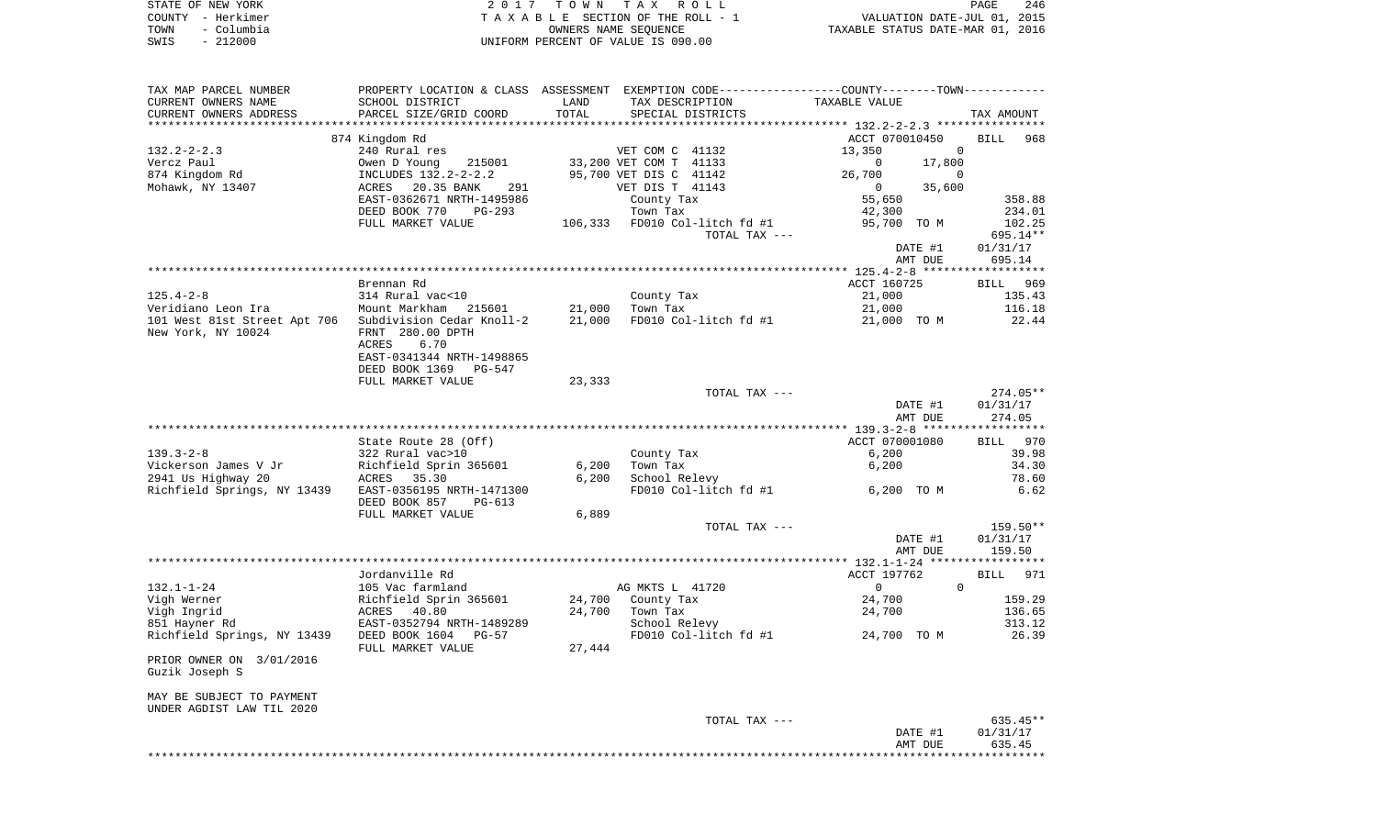| STATE OF NEW YORK  | 2017 TOWN TAX ROLL                 | 246<br>PAGE                      |
|--------------------|------------------------------------|----------------------------------|
| COUNTY - Herkimer  | TAXABLE SECTION OF THE ROLL - 1    | VALUATION DATE-JUL 01, 2015      |
| - Columbia<br>TOWN | OWNERS NAME SEOUENCE               | TAXABLE STATUS DATE-MAR 01, 2016 |
| SWIS<br>$-212000$  | UNIFORM PERCENT OF VALUE IS 090.00 |                                  |

| TAX MAP PARCEL NUMBER                                  |                                          |        |                                       | PROPERTY LOCATION & CLASS ASSESSMENT EXEMPTION CODE---------------COUNTY-------TOWN---------- |            |
|--------------------------------------------------------|------------------------------------------|--------|---------------------------------------|-----------------------------------------------------------------------------------------------|------------|
| CURRENT OWNERS NAME                                    | SCHOOL DISTRICT                          | LAND   | TAX DESCRIPTION                       | TAXABLE VALUE                                                                                 |            |
| CURRENT OWNERS ADDRESS                                 | PARCEL SIZE/GRID COORD                   | TOTAL  | SPECIAL DISTRICTS                     |                                                                                               | TAX AMOUNT |
|                                                        |                                          |        |                                       |                                                                                               |            |
|                                                        | 874 Kingdom Rd                           |        |                                       | ACCT 070010450                                                                                | BILL 968   |
| $132.2 - 2 - 2.3$                                      | 240 Rural res                            |        | VET COM C 41132                       | 13,350<br>$\Omega$                                                                            |            |
| Vercz Paul                                             | Owen D Young 215001                      |        | 33,200 VET COM T 41133                | 17,800<br>$\overline{0}$                                                                      |            |
| 874 Kingdom Rd                                         | INCLUDES 132.2-2-2.2                     |        | 95,700 VET DIS C 41142                | 26,700<br>$\overline{0}$                                                                      |            |
| Mohawk, NY 13407                                       | -<br>ACRES<br>20.35 BANK<br>291          |        | VET DIS T 41143                       | 35,600<br>$\overline{0}$                                                                      |            |
|                                                        | EAST-0362671 NRTH-1495986                |        | County Tax                            | 55,650                                                                                        | 358.88     |
|                                                        | DEED BOOK 770<br>PG-293                  |        | Town Tax                              | 42,300                                                                                        | 234.01     |
|                                                        | FULL MARKET VALUE                        |        | 106,333 FD010 Col-litch fd #1         | 95,700 TO M                                                                                   | 102.25     |
|                                                        |                                          |        | TOTAL TAX ---                         |                                                                                               | 695.14**   |
|                                                        |                                          |        |                                       | DATE #1                                                                                       | 01/31/17   |
|                                                        |                                          |        |                                       | AMT DUE                                                                                       | 695.14     |
|                                                        |                                          |        |                                       |                                                                                               |            |
|                                                        | Brennan Rd                               |        |                                       | ACCT 160725                                                                                   | BILL 969   |
| $125.4 - 2 - 8$                                        | 314 Rural vac<10                         |        | County Tax                            | 21,000                                                                                        | 135.43     |
| Veridiano Leon Ira                                     | Mount Markham 215601                     |        | 21,000 Town Tax                       | 21,000                                                                                        | 116.18     |
| 101 West 81st Street Apt 706 Subdivision Cedar Knoll-2 |                                          | 21,000 | FD010 Col-litch $fd$ #1 $21,000$ TO M |                                                                                               | 22.44      |
| New York, NY 10024                                     | FRNT 280.00 DPTH                         |        |                                       |                                                                                               |            |
|                                                        | ACRES<br>6.70                            |        |                                       |                                                                                               |            |
|                                                        | EAST-0341344 NRTH-1498865                |        |                                       |                                                                                               |            |
|                                                        | DEED BOOK 1369<br>PG-547                 |        |                                       |                                                                                               |            |
|                                                        | FULL MARKET VALUE                        | 23,333 |                                       |                                                                                               |            |
|                                                        |                                          |        | TOTAL TAX ---                         |                                                                                               | 274.05**   |
|                                                        |                                          |        |                                       | DATE #1                                                                                       | 01/31/17   |
|                                                        |                                          |        |                                       | AMT DUE                                                                                       | 274.05     |
|                                                        |                                          |        |                                       |                                                                                               |            |
|                                                        | State Route 28 (Off)                     |        |                                       | ACCT 070001080                                                                                | BILL 970   |
| $139.3 - 2 - 8$                                        | 322 Rural vac>10                         |        | County Tax                            | 6,200                                                                                         | 39.98      |
| Vickerson James V Jr                                   |                                          | 6,200  | Town Tax                              | 6,200                                                                                         | 34.30      |
| 2941 Us Highway 20                                     | Richfield Sprin 365601<br>ACRES 35.30    | 6,200  | School Relevy                         |                                                                                               | 78.60      |
| Richfield Springs, NY 13439 EAST-0356195 NRTH-1471300  |                                          |        |                                       | FD010 Col-litch fd #1 6,200 TO M                                                              | 6.62       |
|                                                        | DEED BOOK 857<br>PG-613                  |        |                                       |                                                                                               |            |
|                                                        | FULL MARKET VALUE                        | 6,889  |                                       |                                                                                               |            |
|                                                        |                                          |        | TOTAL TAX ---                         |                                                                                               | 159.50**   |
|                                                        |                                          |        |                                       | DATE #1                                                                                       | 01/31/17   |
|                                                        |                                          |        |                                       | AMT DUE                                                                                       | 159.50     |
|                                                        |                                          |        |                                       |                                                                                               |            |
|                                                        | Jordanville Rd                           |        |                                       | ACCT 197762                                                                                   | BILL 971   |
| $132.1 - 1 - 24$                                       | 105 Vac farmland                         |        | AG MKTS L 41720                       | $\Omega$<br>$\overline{0}$                                                                    |            |
| Vigh Werner                                            | Richfield Sprin 365601                   |        | 24,700 County Tax                     | 24,700                                                                                        | 159.29     |
| Vigh Ingrid                                            | ACRES 40.80<br>EAST-0352794 NRTH-1489289 |        | 24,700 Town Tax                       | 24,700                                                                                        | 136.65     |
| 851 Hayner Rd                                          |                                          |        | School Relevy                         |                                                                                               | 313.12     |
| Richfield Springs, NY 13439 DEED BOOK 1604 PG-57       |                                          |        |                                       | FD010 Col-litch $f d$ #1 24,700 TO M                                                          | 26.39      |
|                                                        | FULL MARKET VALUE                        | 27,444 |                                       |                                                                                               |            |
| PRIOR OWNER ON 3/01/2016                               |                                          |        |                                       |                                                                                               |            |
| Guzik Joseph S                                         |                                          |        |                                       |                                                                                               |            |
|                                                        |                                          |        |                                       |                                                                                               |            |
| MAY BE SUBJECT TO PAYMENT                              |                                          |        |                                       |                                                                                               |            |
| UNDER AGDIST LAW TIL 2020                              |                                          |        |                                       |                                                                                               |            |
|                                                        |                                          |        | TOTAL TAX ---                         |                                                                                               | $635.45**$ |
|                                                        |                                          |        |                                       | DATE #1                                                                                       | 01/31/17   |
|                                                        |                                          |        |                                       | AMT DUE                                                                                       | 635.45     |
|                                                        |                                          |        |                                       |                                                                                               |            |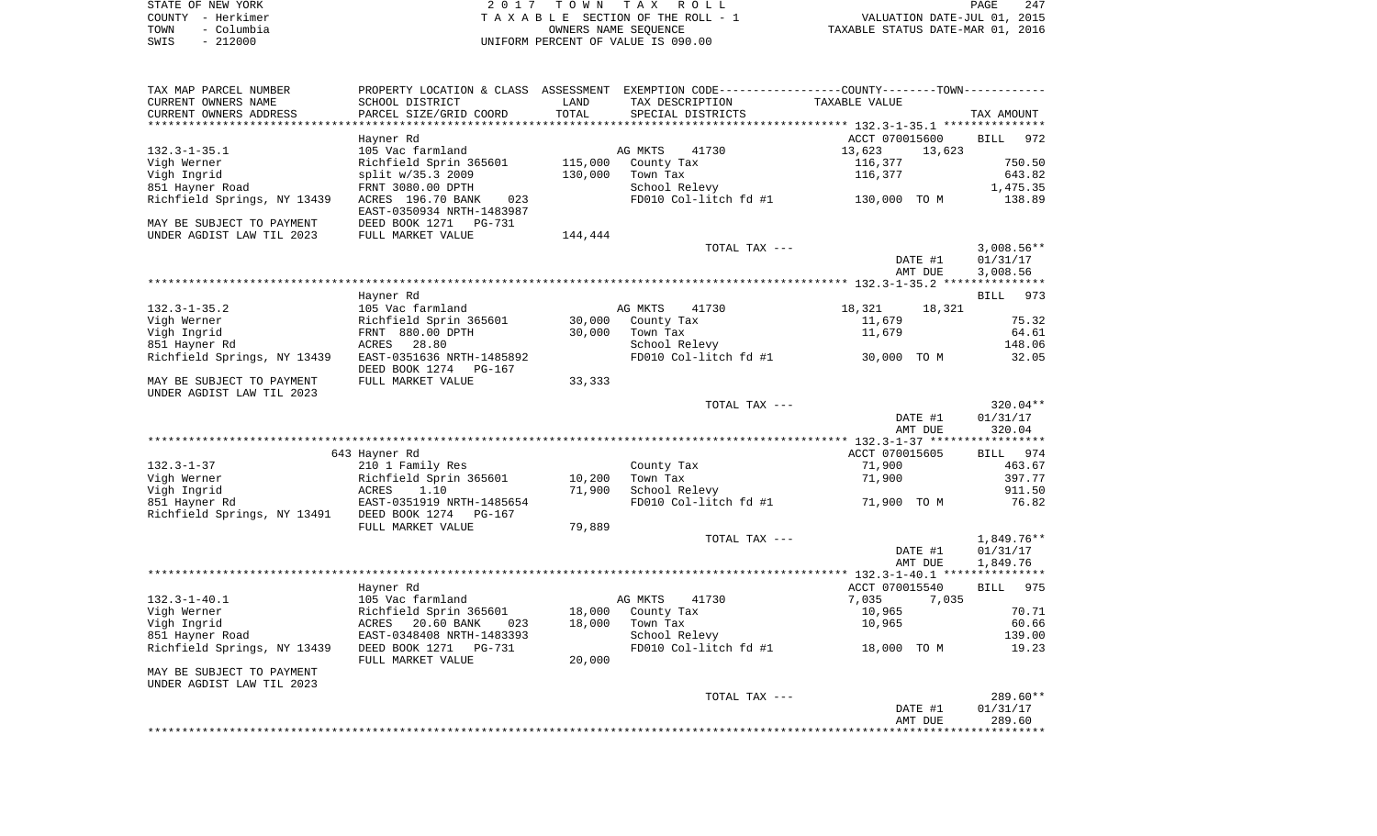|      | STATE OF NEW YORK | 2017 TOWN TAX ROLL                 | PAGE                             | 247 |
|------|-------------------|------------------------------------|----------------------------------|-----|
|      | COUNTY - Herkimer | TAXABLE SECTION OF THE ROLL - 1    | VALUATION DATE-JUL 01, 2015      |     |
| TOWN | - Columbia        | OWNERS NAME SEOUENCE               | TAXABLE STATUS DATE-MAR 01, 2016 |     |
| SWIS | $-212000$         | UNIFORM PERCENT OF VALUE IS 090.00 |                                  |     |

| TAX MAP PARCEL NUMBER<br>CURRENT OWNERS NAME | SCHOOL DISTRICT                                       | LAND              | PROPERTY LOCATION & CLASS ASSESSMENT EXEMPTION CODE---------------COUNTY-------TOWN---------<br>TAX DESCRIPTION | TAXABLE VALUE                                   |                    |
|----------------------------------------------|-------------------------------------------------------|-------------------|-----------------------------------------------------------------------------------------------------------------|-------------------------------------------------|--------------------|
| CURRENT OWNERS ADDRESS                       | PARCEL SIZE/GRID COORD                                | TOTAL<br>******** | SPECIAL DISTRICTS                                                                                               |                                                 | TAX AMOUNT         |
|                                              |                                                       |                   |                                                                                                                 | ***************** 132.3-1-35.1 **************** |                    |
|                                              | Hayner Rd                                             |                   |                                                                                                                 | ACCT 070015600                                  | 972<br><b>BILL</b> |
| $132.3 - 1 - 35.1$                           | 105 Vac farmland                                      |                   | AG MKTS<br>41730                                                                                                | 13,623<br>13,623                                |                    |
| Vigh Werner                                  | Richfield Sprin 365601                                | 115,000           | County Tax                                                                                                      | 116,377                                         | 750.50             |
| Vigh Ingrid                                  | split w/35.3 2009                                     | 130,000           | Town Tax                                                                                                        | 116,377                                         | 643.82             |
| 851 Hayner Road                              | FRNT 3080.00 DPTH                                     |                   | School Relevy                                                                                                   |                                                 | 1,475.35           |
| Richfield Springs, NY 13439                  | ACRES 196.70 BANK<br>023<br>EAST-0350934 NRTH-1483987 |                   | FD010 Col-litch fd #1                                                                                           | 130,000 TO M                                    | 138.89             |
| MAY BE SUBJECT TO PAYMENT                    | DEED BOOK 1271<br>PG-731                              |                   |                                                                                                                 |                                                 |                    |
| UNDER AGDIST LAW TIL 2023                    | FULL MARKET VALUE                                     | 144,444           |                                                                                                                 |                                                 |                    |
|                                              |                                                       |                   | TOTAL TAX ---                                                                                                   |                                                 | $3,008.56**$       |
|                                              |                                                       |                   |                                                                                                                 | DATE #1                                         | 01/31/17           |
|                                              |                                                       |                   |                                                                                                                 | AMT DUE                                         | 3,008.56           |
|                                              |                                                       |                   |                                                                                                                 |                                                 |                    |
|                                              | Hayner Rd                                             |                   |                                                                                                                 |                                                 | <b>BILL</b><br>973 |
| $132.3 - 1 - 35.2$                           | 105 Vac farmland                                      |                   | AG MKTS<br>41730                                                                                                | 18,321<br>18,321                                |                    |
| Vigh Werner                                  | Richfield Sprin 365601                                | 30,000            | County Tax                                                                                                      | 11,679                                          | 75.32              |
| Vigh Ingrid                                  | FRNT 880.00 DPTH                                      | 30,000            | Town Tax                                                                                                        | 11,679                                          | 64.61              |
| 851 Hayner Rd                                | 28.80<br>ACRES                                        |                   | School Relevy                                                                                                   |                                                 | 148.06             |
| Richfield Springs, NY 13439                  | EAST-0351636 NRTH-1485892                             |                   | FD010 Col-litch fd #1                                                                                           | 30,000 TO M                                     | 32.05              |
|                                              | DEED BOOK 1274<br>PG-167                              |                   |                                                                                                                 |                                                 |                    |
| MAY BE SUBJECT TO PAYMENT                    | FULL MARKET VALUE                                     | 33,333            |                                                                                                                 |                                                 |                    |
| UNDER AGDIST LAW TIL 2023                    |                                                       |                   |                                                                                                                 |                                                 |                    |
|                                              |                                                       |                   | TOTAL TAX ---                                                                                                   |                                                 | 320.04**           |
|                                              |                                                       |                   |                                                                                                                 | DATE #1                                         | 01/31/17           |
|                                              |                                                       |                   |                                                                                                                 | AMT DUE                                         | 320.04             |
|                                              |                                                       |                   |                                                                                                                 |                                                 |                    |
|                                              | 643 Hayner Rd                                         |                   |                                                                                                                 | ACCT 070015605                                  | BILL<br>974        |
| $132.3 - 1 - 37$                             | 210 1 Family Res                                      |                   | County Tax                                                                                                      | 71,900                                          | 463.67             |
| Vigh Werner                                  | Richfield Sprin 365601                                | 10,200            | Town Tax                                                                                                        | 71,900                                          | 397.77             |
| Vigh Ingrid                                  | 1.10<br>ACRES                                         | 71,900            | School Relevy                                                                                                   |                                                 | 911.50             |
| 851 Hayner Rd                                | EAST-0351919 NRTH-1485654                             |                   | FD010 Col-litch fd #1                                                                                           | 71,900 TO M                                     | 76.82              |
| Richfield Springs, NY 13491                  | DEED BOOK 1274<br>PG-167                              |                   |                                                                                                                 |                                                 |                    |
|                                              | FULL MARKET VALUE                                     | 79,889            |                                                                                                                 |                                                 |                    |
|                                              |                                                       |                   | TOTAL TAX ---                                                                                                   |                                                 | $1,849.76**$       |
|                                              |                                                       |                   |                                                                                                                 | DATE #1                                         | 01/31/17           |
|                                              |                                                       |                   |                                                                                                                 | AMT DUE                                         | 1,849.76           |
|                                              |                                                       |                   |                                                                                                                 |                                                 |                    |
|                                              | Hayner Rd                                             |                   |                                                                                                                 | ACCT 070015540                                  | <b>BILL</b><br>975 |
| $132.3 - 1 - 40.1$                           | 105 Vac farmland                                      |                   | AG MKTS<br>41730                                                                                                | 7,035<br>7,035                                  |                    |
| Vigh Werner                                  | Richfield Sprin 365601                                | 18,000            | County Tax                                                                                                      | 10,965                                          | 70.71              |
| Vigh Ingrid                                  | ACRES<br>20.60 BANK<br>023                            | 18,000            | Town Tax                                                                                                        | 10,965                                          | 60.66              |
| 851 Hayner Road                              | EAST-0348408 NRTH-1483393                             |                   | School Relevy                                                                                                   |                                                 | 139.00             |
| Richfield Springs, NY 13439                  | DEED BOOK 1271<br>PG-731<br>FULL MARKET VALUE         | 20,000            | FD010 Col-litch fd #1                                                                                           | 18,000 TO M                                     | 19.23              |
| MAY BE SUBJECT TO PAYMENT                    |                                                       |                   |                                                                                                                 |                                                 |                    |
| UNDER AGDIST LAW TIL 2023                    |                                                       |                   |                                                                                                                 |                                                 |                    |
|                                              |                                                       |                   | TOTAL TAX ---                                                                                                   |                                                 | 289.60**           |
|                                              |                                                       |                   |                                                                                                                 | DATE #1                                         | 01/31/17           |
|                                              |                                                       |                   |                                                                                                                 | AMT DUE                                         | 289.60             |
|                                              |                                                       |                   |                                                                                                                 |                                                 | ************       |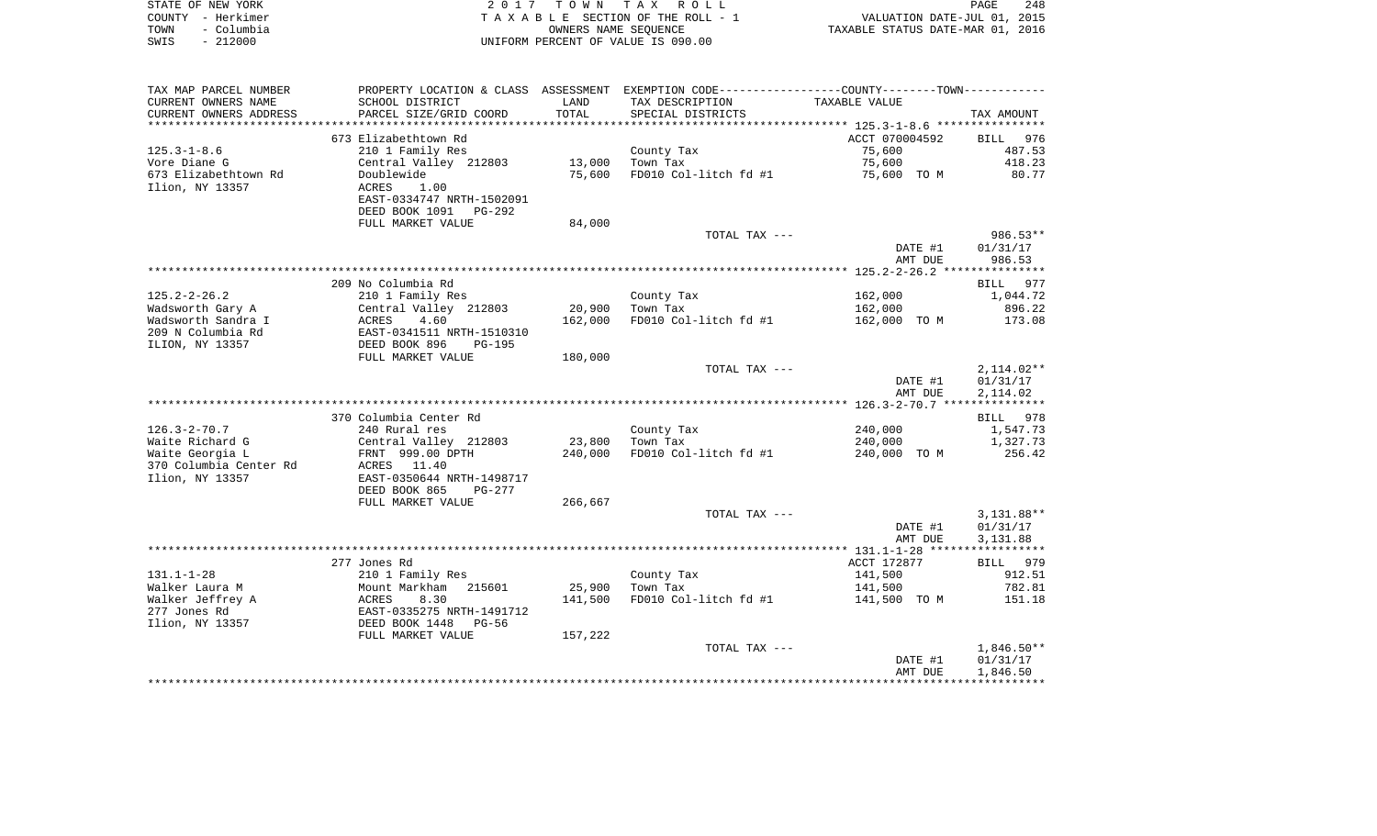|      | STATE OF NEW YORK | 2017 TOWN TAX ROLL                 | PAGE                             | 248 |
|------|-------------------|------------------------------------|----------------------------------|-----|
|      | COUNTY - Herkimer | TAXABLE SECTION OF THE ROLL - 1    | VALUATION DATE-JUL 01, 2015      |     |
| TOWN | – Columbia        | OWNERS NAME SEOUENCE               | TAXABLE STATUS DATE-MAR 01, 2016 |     |
| SWIS | $-212000$         | UNIFORM PERCENT OF VALUE IS 090.00 |                                  |     |

| TAX MAP PARCEL NUMBER  | PROPERTY LOCATION & CLASS ASSESSMENT EXEMPTION CODE--------------COUNTY-------TOWN--------- |         |                       |                |                          |
|------------------------|---------------------------------------------------------------------------------------------|---------|-----------------------|----------------|--------------------------|
| CURRENT OWNERS NAME    | SCHOOL DISTRICT                                                                             | LAND    | TAX DESCRIPTION       | TAXABLE VALUE  |                          |
| CURRENT OWNERS ADDRESS | PARCEL SIZE/GRID COORD                                                                      | TOTAL   | SPECIAL DISTRICTS     |                | TAX AMOUNT               |
|                        |                                                                                             |         |                       |                |                          |
|                        | 673 Elizabethtown Rd                                                                        |         |                       | ACCT 070004592 | BILL 976                 |
| $125.3 - 1 - 8.6$      | 210 1 Family Res                                                                            |         | County Tax            | 75,600         | 487.53                   |
| Vore Diane G           | Central Valley 212803                                                                       | 13,000  | Town Tax              | 75,600         | 418.23                   |
| 673 Elizabethtown Rd   | Doublewide                                                                                  | 75,600  | FD010 Col-litch fd #1 | 75,600 TO M    | 80.77                    |
| Ilion, NY 13357        | ACRES<br>1.00                                                                               |         |                       |                |                          |
|                        | EAST-0334747 NRTH-1502091                                                                   |         |                       |                |                          |
|                        | DEED BOOK 1091 PG-292                                                                       |         |                       |                |                          |
|                        | FULL MARKET VALUE                                                                           | 84,000  |                       |                |                          |
|                        |                                                                                             |         | TOTAL TAX ---         |                | 986.53**                 |
|                        |                                                                                             |         |                       | DATE #1        | 01/31/17                 |
|                        |                                                                                             |         |                       | AMT DUE        | 986.53                   |
|                        |                                                                                             |         |                       |                |                          |
|                        | 209 No Columbia Rd                                                                          |         |                       |                | BILL 977                 |
| $125.2 - 2 - 26.2$     | 210 1 Family Res                                                                            |         | County Tax            | 162,000        | 1,044.72                 |
| Wadsworth Gary A       | Central Valley 212803                                                                       | 20,900  | Town Tax              | 162,000        | 896.22                   |
| Wadsworth Sandra I     | ACRES<br>4.60                                                                               | 162,000 | FD010 Col-litch fd #1 | 162,000 TO M   | 173.08                   |
| 209 N Columbia Rd      | EAST-0341511 NRTH-1510310                                                                   |         |                       |                |                          |
| ILION, NY 13357        | DEED BOOK 896<br>PG-195                                                                     |         |                       |                |                          |
|                        | FULL MARKET VALUE                                                                           | 180,000 |                       |                |                          |
|                        |                                                                                             |         | TOTAL TAX ---         |                | $2,114.02**$             |
|                        |                                                                                             |         |                       | DATE #1        | 01/31/17                 |
|                        |                                                                                             |         |                       | AMT DUE        | 2,114.02                 |
|                        |                                                                                             |         |                       |                |                          |
|                        | 370 Columbia Center Rd                                                                      |         |                       |                | BILL 978                 |
| $126.3 - 2 - 70.7$     | 240 Rural res                                                                               |         | County Tax            | 240,000        | 1,547.73                 |
| Waite Richard G        | Central Valley 212803                                                                       | 23,800  | Town Tax              | 240,000        | 1,327.73                 |
| Waite Georgia L        | FRNT 999.00 DPTH                                                                            | 240,000 | FD010 Col-litch fd #1 | 240,000 TO M   | 256.42                   |
| 370 Columbia Center Rd | ACRES 11.40                                                                                 |         |                       |                |                          |
| Ilion, NY 13357        | EAST-0350644 NRTH-1498717                                                                   |         |                       |                |                          |
|                        | DEED BOOK 865<br>PG-277                                                                     |         |                       |                |                          |
|                        | FULL MARKET VALUE                                                                           | 266,667 |                       |                |                          |
|                        |                                                                                             |         | TOTAL TAX ---         |                | $3,131.88**$             |
|                        |                                                                                             |         |                       | DATE #1        | 01/31/17                 |
|                        |                                                                                             |         |                       | AMT DUE        | 3,131.88                 |
|                        |                                                                                             |         |                       |                |                          |
|                        | 277 Jones Rd                                                                                |         |                       | ACCT 172877    | BILL 979                 |
| $131.1 - 1 - 28$       | 210 1 Family Res                                                                            |         | County Tax            | 141,500        | 912.51                   |
| Walker Laura M         | Mount Markham 215601                                                                        | 25,900  | Town Tax              | 141,500        | 782.81                   |
| Walker Jeffrey A       |                                                                                             | 141,500 | FD010 Col-litch fd #1 |                | 151.18                   |
| 277 Jones Rd           | ACRES 8.30<br>EAST-0335275 NRTH-1491712                                                     |         |                       | 141,500 TO M   |                          |
| Ilion, NY 13357        | DEED BOOK 1448<br>PG-56                                                                     |         |                       |                |                          |
|                        |                                                                                             |         |                       |                |                          |
|                        | FULL MARKET VALUE                                                                           | 157,222 | TOTAL TAX ---         |                |                          |
|                        |                                                                                             |         |                       | DATE #1        | $1,846.50**$<br>01/31/17 |
|                        |                                                                                             |         |                       |                | 1,846.50                 |
|                        |                                                                                             |         |                       | AMT DUE        |                          |
|                        |                                                                                             |         |                       |                |                          |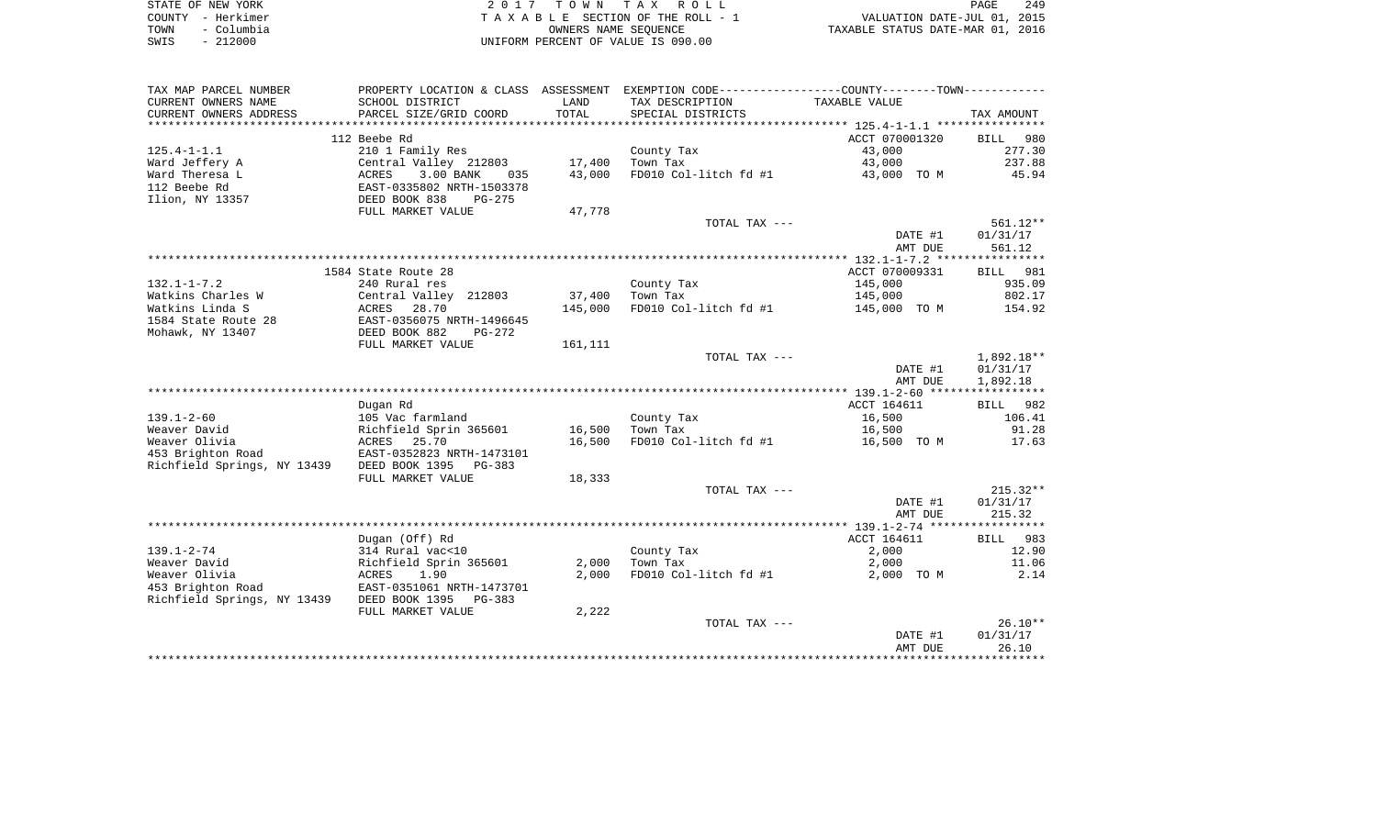|      | STATE OF NEW YORK | 2017 TOWN TAX ROLL                 | <b>PAGE</b>                      | 249 |
|------|-------------------|------------------------------------|----------------------------------|-----|
|      | COUNTY - Herkimer | TAXABLE SECTION OF THE ROLL - 1    | VALUATION DATE-JUL 01, 2015      |     |
| TOWN | - Columbia        | OWNERS NAME SEOUENCE               | TAXABLE STATUS DATE-MAR 01, 2016 |     |
| SWIS | - 212000          | UNIFORM PERCENT OF VALUE IS 090.00 |                                  |     |

| TAX MAP PARCEL NUMBER           |                                                        |         | PROPERTY LOCATION & CLASS ASSESSMENT EXEMPTION CODE---------------COUNTY-------TOWN---------- |                      |                      |
|---------------------------------|--------------------------------------------------------|---------|-----------------------------------------------------------------------------------------------|----------------------|----------------------|
| CURRENT OWNERS NAME             | SCHOOL DISTRICT                                        | LAND    | TAX DESCRIPTION                                                                               | TAXABLE VALUE        |                      |
| CURRENT OWNERS ADDRESS          | PARCEL SIZE/GRID COORD                                 | TOTAL   | SPECIAL DISTRICTS                                                                             |                      | TAX AMOUNT           |
|                                 |                                                        |         |                                                                                               |                      |                      |
|                                 | 112 Beebe Rd                                           |         |                                                                                               | ACCT 070001320       | 980<br>BILL          |
| $125.4 - 1 - 1.1$               | 210 1 Family Res                                       |         | County Tax                                                                                    | 43,000               | 277.30               |
| Ward Jeffery A                  | Central Valley 212803                                  | 17,400  | Town Tax                                                                                      | 43,000               | 237.88               |
| Ward Theresa L                  | 3.00 BANK<br>ACRES<br>035                              | 43,000  | FD010 Col-litch fd #1                                                                         | 43,000 TO M          | 45.94                |
| 112 Beebe Rd<br>Ilion, NY 13357 | EAST-0335802 NRTH-1503378<br>DEED BOOK 838<br>$PG-275$ |         |                                                                                               |                      |                      |
|                                 | FULL MARKET VALUE                                      | 47,778  |                                                                                               |                      |                      |
|                                 |                                                        |         | TOTAL TAX ---                                                                                 |                      | 561.12**             |
|                                 |                                                        |         |                                                                                               | DATE #1              | 01/31/17             |
|                                 |                                                        |         |                                                                                               | AMT DUE              | 561.12               |
|                                 |                                                        |         |                                                                                               |                      |                      |
|                                 | 1584 State Route 28                                    |         |                                                                                               | ACCT 070009331       | <b>BILL</b> 981      |
| $132.1 - 1 - 7.2$               | 240 Rural res                                          |         | County Tax                                                                                    | 145,000              | 935.09               |
| Watkins Charles W               | Central Valley 212803                                  | 37,400  | Town Tax                                                                                      | 145,000              | 802.17               |
| Watkins Linda S                 | ACRES<br>28.70                                         | 145,000 | FD010 Col-litch fd #1                                                                         | 145,000 TO M         | 154.92               |
| 1584 State Route 28             | EAST-0356075 NRTH-1496645                              |         |                                                                                               |                      |                      |
| Mohawk, NY 13407                | DEED BOOK 882<br>PG-272                                |         |                                                                                               |                      |                      |
|                                 | FULL MARKET VALUE                                      | 161,111 |                                                                                               |                      |                      |
|                                 |                                                        |         | TOTAL TAX ---                                                                                 |                      | $1,892.18**$         |
|                                 |                                                        |         |                                                                                               | DATE #1<br>AMT DUE   | 01/31/17<br>1,892.18 |
|                                 |                                                        |         |                                                                                               |                      |                      |
|                                 | Dugan Rd                                               |         |                                                                                               | ACCT 164611          | BILL 982             |
| $139.1 - 2 - 60$                | 105 Vac farmland                                       |         | County Tax                                                                                    | 16,500               | 106.41               |
| Weaver David                    | Richfield Sprin 365601                                 | 16,500  | Town Tax                                                                                      | 16,500               | 91.28                |
| Weaver Olivia                   | ACRES<br>25.70                                         | 16,500  | FD010 Col-litch fd #1                                                                         | 16,500 TO M          | 17.63                |
| 453 Brighton Road               | EAST-0352823 NRTH-1473101                              |         |                                                                                               |                      |                      |
| Richfield Springs, NY 13439     | DEED BOOK 1395<br>PG-383                               |         |                                                                                               |                      |                      |
|                                 | FULL MARKET VALUE                                      | 18,333  |                                                                                               |                      |                      |
|                                 |                                                        |         | TOTAL TAX ---                                                                                 |                      | $215.32**$           |
|                                 |                                                        |         |                                                                                               | DATE #1              | 01/31/17             |
|                                 |                                                        |         |                                                                                               | AMT DUE              | 215.32               |
|                                 |                                                        |         |                                                                                               |                      |                      |
| $139.1 - 2 - 74$                | Dugan (Off) Rd<br>314 Rural vac<10                     |         | County Tax                                                                                    | ACCT 164611<br>2,000 | 983<br>BILL<br>12.90 |
| Weaver David                    | Richfield Sprin 365601                                 | 2,000   | Town Tax                                                                                      | 2,000                | 11.06                |
| Weaver Olivia                   | 1.90<br>ACRES                                          | 2,000   | FD010 Col-litch fd #1                                                                         | 2,000 TO M           | 2.14                 |
| 453 Brighton Road               | EAST-0351061 NRTH-1473701                              |         |                                                                                               |                      |                      |
| Richfield Springs, NY 13439     | DEED BOOK 1395<br>$PG-383$                             |         |                                                                                               |                      |                      |
|                                 | FULL MARKET VALUE                                      | 2,222   |                                                                                               |                      |                      |
|                                 |                                                        |         | TOTAL TAX ---                                                                                 |                      | $26.10**$            |
|                                 |                                                        |         |                                                                                               | DATE #1              | 01/31/17             |
|                                 |                                                        |         |                                                                                               | AMT DUE              | 26.10                |
|                                 |                                                        |         |                                                                                               |                      |                      |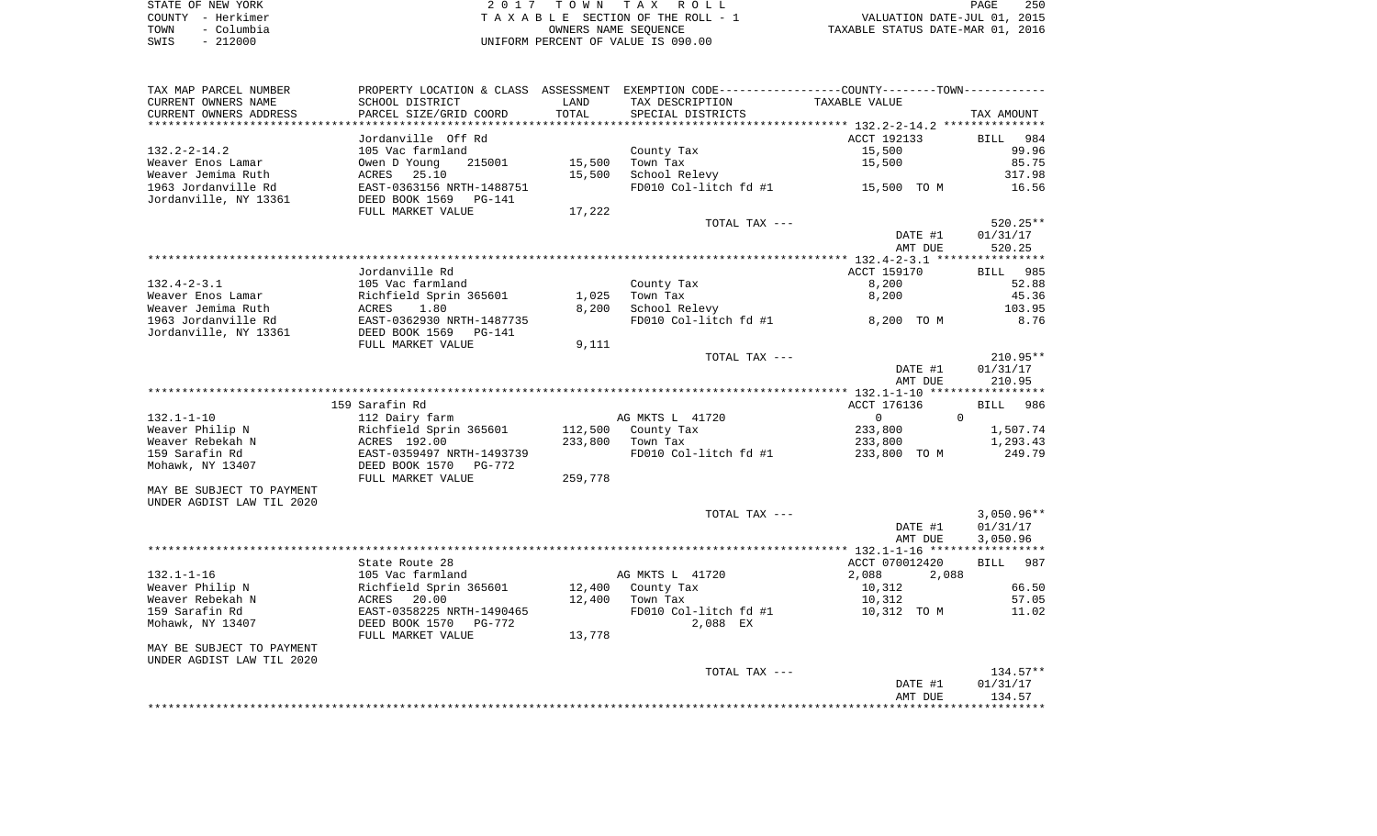| STATE OF NEW YORK  | 2017 TOWN TAX ROLL                 | 250<br>PAGE                      |
|--------------------|------------------------------------|----------------------------------|
| COUNTY - Herkimer  | TAXABLE SECTION OF THE ROLL - 1    | VALUATION DATE-JUL 01, 2015      |
| – Columbia<br>TOWN | OWNERS NAME SEOUENCE               | TAXABLE STATUS DATE-MAR 01, 2016 |
| $-212000$<br>SWIS  | UNIFORM PERCENT OF VALUE IS 090.00 |                                  |

| TAX MAP PARCEL NUMBER     |                           |         |                       | PROPERTY LOCATION & CLASS ASSESSMENT EXEMPTION CODE----------------COUNTY--------TOWN----------- |                    |
|---------------------------|---------------------------|---------|-----------------------|--------------------------------------------------------------------------------------------------|--------------------|
| CURRENT OWNERS NAME       | SCHOOL DISTRICT           | LAND    | TAX DESCRIPTION       | TAXABLE VALUE                                                                                    |                    |
| CURRENT OWNERS ADDRESS    | PARCEL SIZE/GRID COORD    | TOTAL   | SPECIAL DISTRICTS     |                                                                                                  | TAX AMOUNT         |
| ***********************   |                           |         |                       |                                                                                                  |                    |
|                           | Jordanville Off Rd        |         |                       | ACCT 192133                                                                                      | BILL<br>984        |
| $132.2 - 2 - 14.2$        | 105 Vac farmland          |         | County Tax            | 15,500                                                                                           | 99.96              |
| Weaver Enos Lamar         | 215001<br>Owen D Young    | 15,500  | Town Tax              | 15,500                                                                                           | 85.75              |
| Weaver Jemima Ruth        | ACRES<br>25.10            | 15,500  | School Relevy         |                                                                                                  | 317.98             |
| 1963 Jordanville Rd       | EAST-0363156 NRTH-1488751 |         | FD010 Col-litch fd #1 | 15,500 TO M                                                                                      | 16.56              |
| Jordanville, NY 13361     | DEED BOOK 1569<br>PG-141  |         |                       |                                                                                                  |                    |
|                           | FULL MARKET VALUE         | 17,222  |                       |                                                                                                  |                    |
|                           |                           |         | TOTAL TAX ---         |                                                                                                  | 520.25**           |
|                           |                           |         |                       | DATE #1                                                                                          | 01/31/17           |
|                           |                           |         |                       | AMT DUE                                                                                          | 520.25             |
|                           |                           |         |                       |                                                                                                  |                    |
|                           | Jordanville Rd            |         |                       | ACCT 159170                                                                                      | <b>BILL</b> 985    |
| $132.4 - 2 - 3.1$         | 105 Vac farmland          |         | County Tax            | 8,200                                                                                            | 52.88              |
| Weaver Enos Lamar         | Richfield Sprin 365601    | 1,025   | Town Tax              | 8,200                                                                                            | 45.36              |
| Weaver Jemima Ruth        | 1.80<br>ACRES             | 8,200   | School Relevy         |                                                                                                  | 103.95             |
| 1963 Jordanville Rd       | EAST-0362930 NRTH-1487735 |         | FD010 Col-litch fd #1 | 8,200 TO M                                                                                       | 8.76               |
| Jordanville, NY 13361     | DEED BOOK 1569<br>PG-141  |         |                       |                                                                                                  |                    |
|                           | FULL MARKET VALUE         | 9,111   |                       |                                                                                                  |                    |
|                           |                           |         | TOTAL TAX ---         |                                                                                                  | $210.95**$         |
|                           |                           |         |                       | DATE #1                                                                                          | 01/31/17           |
|                           |                           |         |                       | AMT DUE                                                                                          | 210.95             |
|                           |                           |         |                       |                                                                                                  |                    |
|                           | 159 Sarafin Rd            |         |                       | ACCT 176136                                                                                      | BILL 986           |
| $132.1 - 1 - 10$          | 112 Dairy farm            |         | AG MKTS L 41720       | $\overline{0}$<br>$\Omega$                                                                       |                    |
| Weaver Philip N           | Richfield Sprin 365601    | 112,500 | County Tax            | 233,800                                                                                          | 1,507.74           |
| Weaver Rebekah N          | ACRES 192.00              | 233,800 | Town Tax              | 233,800                                                                                          | 1,293.43           |
| 159 Sarafin Rd            | EAST-0359497 NRTH-1493739 |         | FD010 Col-litch fd #1 | 233,800 TO M                                                                                     | 249.79             |
| Mohawk, NY 13407          | DEED BOOK 1570<br>PG-772  |         |                       |                                                                                                  |                    |
|                           | FULL MARKET VALUE         | 259,778 |                       |                                                                                                  |                    |
| MAY BE SUBJECT TO PAYMENT |                           |         |                       |                                                                                                  |                    |
| UNDER AGDIST LAW TIL 2020 |                           |         |                       |                                                                                                  |                    |
|                           |                           |         | TOTAL TAX ---         |                                                                                                  | $3,050.96**$       |
|                           |                           |         |                       | DATE #1                                                                                          | 01/31/17           |
|                           |                           |         |                       | AMT DUE                                                                                          | 3,050.96           |
|                           |                           |         |                       |                                                                                                  |                    |
|                           | State Route 28            |         |                       | ACCT 070012420                                                                                   | <b>BILL</b><br>987 |
| $132.1 - 1 - 16$          | 105 Vac farmland          |         | AG MKTS L 41720       | 2,088<br>2,088                                                                                   |                    |
| Weaver Philip N           | Richfield Sprin 365601    | 12,400  | County Tax            | 10,312                                                                                           | 66.50              |
| Weaver Rebekah N          | ACRES<br>20.00            | 12,400  | Town Tax              | 10,312                                                                                           | 57.05              |
| 159 Sarafin Rd            | EAST-0358225 NRTH-1490465 |         | FD010 Col-litch fd #1 | 10,312 TO M                                                                                      | 11.02              |
| Mohawk, NY 13407          | DEED BOOK 1570<br>PG-772  |         | 2,088 EX              |                                                                                                  |                    |
|                           | FULL MARKET VALUE         | 13,778  |                       |                                                                                                  |                    |
| MAY BE SUBJECT TO PAYMENT |                           |         |                       |                                                                                                  |                    |
| UNDER AGDIST LAW TIL 2020 |                           |         |                       |                                                                                                  |                    |
|                           |                           |         | TOTAL TAX ---         |                                                                                                  | 134.57**           |
|                           |                           |         |                       | DATE #1                                                                                          | 01/31/17           |
|                           |                           |         |                       | AMT DUE                                                                                          | 134.57             |
|                           |                           |         |                       |                                                                                                  |                    |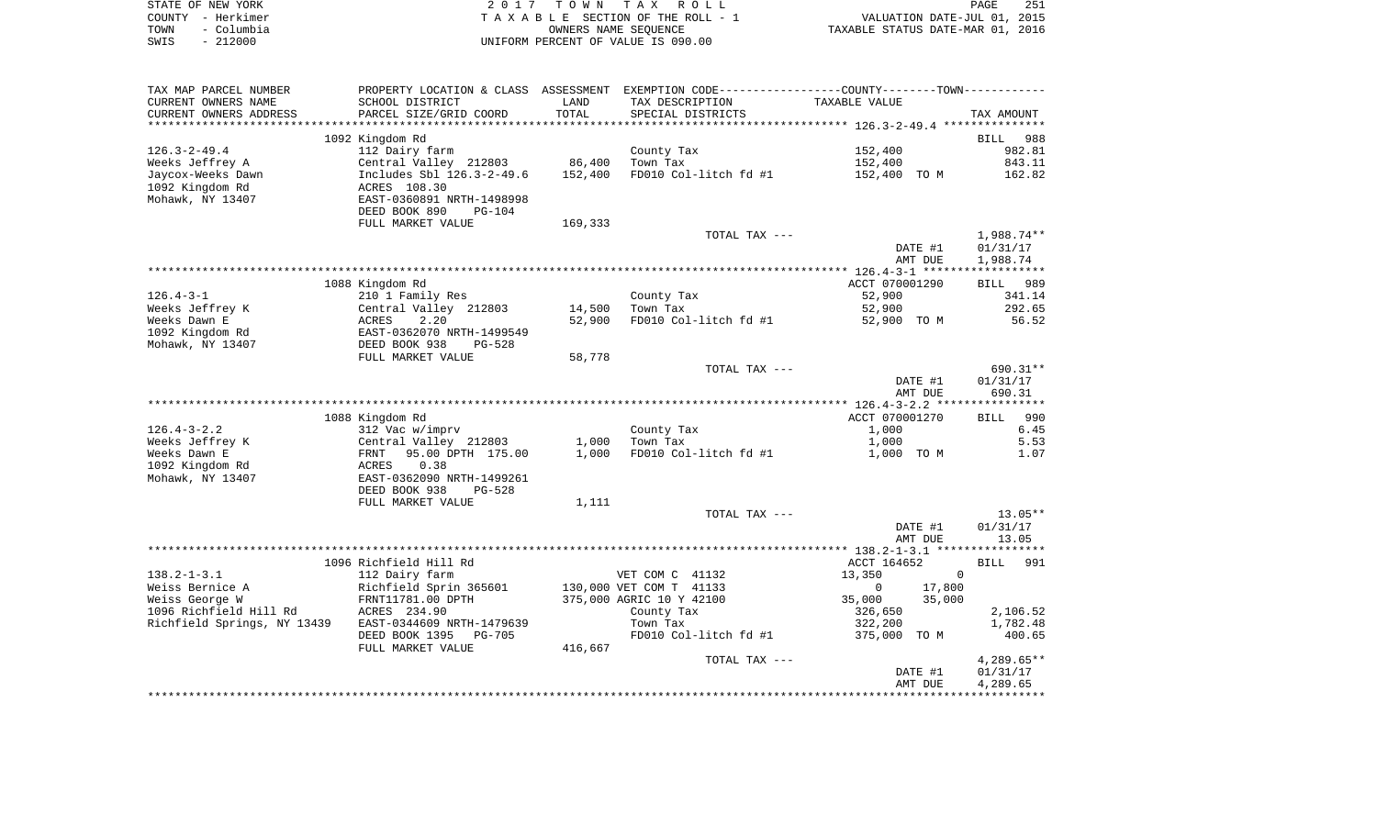| STATE OF NEW YORK  | 2017 TOWN TAX ROLL                 | 251<br>PAGE                      |
|--------------------|------------------------------------|----------------------------------|
| COUNTY - Herkimer  | TAXABLE SECTION OF THE ROLL - 1    | VALUATION DATE-JUL 01, 2015      |
| - Columbia<br>TOWN | OWNERS NAME SEOUENCE               | TAXABLE STATUS DATE-MAR 01, 2016 |
| $-212000$<br>SWIS  | UNIFORM PERCENT OF VALUE IS 090.00 |                                  |

| TAX MAP PARCEL NUMBER       |                                |         | PROPERTY LOCATION & CLASS ASSESSMENT EXEMPTION CODE----------------COUNTY--------TOWN----------- |                        |                    |
|-----------------------------|--------------------------------|---------|--------------------------------------------------------------------------------------------------|------------------------|--------------------|
| CURRENT OWNERS NAME         | SCHOOL DISTRICT                | LAND    | TAX DESCRIPTION                                                                                  | TAXABLE VALUE          |                    |
| CURRENT OWNERS ADDRESS      | PARCEL SIZE/GRID COORD         | TOTAL   | SPECIAL DISTRICTS                                                                                |                        | TAX AMOUNT         |
| ***********************     | ****************************** |         |                                                                                                  |                        |                    |
|                             | 1092 Kingdom Rd                |         |                                                                                                  |                        | <b>BILL</b><br>988 |
| $126.3 - 2 - 49.4$          | 112 Dairy farm                 |         | County Tax                                                                                       | 152,400                | 982.81             |
| Weeks Jeffrey A             | Central Valley 212803          | 86,400  | Town Tax                                                                                         | 152,400                | 843.11             |
| Jaycox-Weeks Dawn           | Includes Sbl 126.3-2-49.6      | 152,400 | FD010 Col-litch fd #1                                                                            | 152,400 TO M           | 162.82             |
| 1092 Kingdom Rd             | ACRES 108.30                   |         |                                                                                                  |                        |                    |
| Mohawk, NY 13407            | EAST-0360891 NRTH-1498998      |         |                                                                                                  |                        |                    |
|                             | DEED BOOK 890<br><b>PG-104</b> |         |                                                                                                  |                        |                    |
|                             | FULL MARKET VALUE              | 169,333 |                                                                                                  |                        |                    |
|                             |                                |         | TOTAL TAX ---                                                                                    |                        | 1,988.74**         |
|                             |                                |         |                                                                                                  | DATE #1                | 01/31/17           |
|                             |                                |         |                                                                                                  | AMT DUE                | 1,988.74           |
|                             |                                |         |                                                                                                  |                        |                    |
|                             | 1088 Kingdom Rd                |         |                                                                                                  | ACCT 070001290         | BILL 989           |
| $126.4 - 3 - 1$             | 210 1 Family Res               |         | County Tax                                                                                       | 52,900                 | 341.14             |
| Weeks Jeffrey K             | Central Valley 212803          | 14,500  | Town Tax                                                                                         | 52,900                 | 292.65             |
| Weeks Dawn E                | ACRES<br>2.20                  | 52,900  | FD010 Col-litch fd #1                                                                            | 52,900 TO M            | 56.52              |
| 1092 Kingdom Rd             | EAST-0362070 NRTH-1499549      |         |                                                                                                  |                        |                    |
| Mohawk, NY 13407            | DEED BOOK 938<br><b>PG-528</b> |         |                                                                                                  |                        |                    |
|                             | FULL MARKET VALUE              | 58,778  |                                                                                                  |                        |                    |
|                             |                                |         | TOTAL TAX ---                                                                                    |                        | 690.31**           |
|                             |                                |         |                                                                                                  | DATE #1                | 01/31/17           |
|                             |                                |         |                                                                                                  | AMT DUE                | 690.31             |
|                             |                                |         |                                                                                                  |                        |                    |
|                             | 1088 Kingdom Rd                |         |                                                                                                  | ACCT 070001270         | BILL 990           |
| $126.4 - 3 - 2.2$           | 312 Vac w/imprv                |         | County Tax                                                                                       | 1,000                  | 6.45               |
| Weeks Jeffrey K             | Central Valley 212803          | 1,000   | Town Tax                                                                                         | 1,000                  | 5.53               |
| Weeks Dawn E                | 95.00 DPTH 175.00<br>FRNT      | 1,000   | FD010 Col-litch fd #1                                                                            | 1,000 TO M             | 1.07               |
| 1092 Kingdom Rd             | 0.38<br>ACRES                  |         |                                                                                                  |                        |                    |
| Mohawk, NY 13407            | EAST-0362090 NRTH-1499261      |         |                                                                                                  |                        |                    |
|                             | DEED BOOK 938<br>PG-528        |         |                                                                                                  |                        |                    |
|                             | FULL MARKET VALUE              | 1,111   |                                                                                                  |                        |                    |
|                             |                                |         | TOTAL TAX ---                                                                                    |                        | $13.05**$          |
|                             |                                |         |                                                                                                  | DATE #1                | 01/31/17           |
|                             |                                |         |                                                                                                  | AMT DUE                | 13.05              |
|                             |                                |         |                                                                                                  |                        |                    |
|                             | 1096 Richfield Hill Rd         |         |                                                                                                  | ACCT 164652            | 991<br>BILL        |
| $138.2 - 1 - 3.1$           | 112 Dairy farm                 |         | VET COM C 41132                                                                                  | $\mathbf{0}$<br>13,350 |                    |
| Weiss Bernice A             | Richfield Sprin 365601         |         | 130,000 VET COM T 41133                                                                          | 17,800<br>$\mathbf{0}$ |                    |
| Weiss George W              | FRNT11781.00 DPTH              |         | 375,000 AGRIC 10 Y 42100                                                                         | 35,000<br>35,000       |                    |
| 1096 Richfield Hill Rd      | ACRES 234.90                   |         | County Tax                                                                                       | 326,650                | 2,106.52           |
| Richfield Springs, NY 13439 | EAST-0344609 NRTH-1479639      |         | Town Tax                                                                                         | 322,200                | 1,782.48           |
|                             | DEED BOOK 1395<br>PG-705       |         | FD010 Col-litch fd #1                                                                            | 375,000 TO M           | 400.65             |
|                             | FULL MARKET VALUE              | 416,667 |                                                                                                  |                        |                    |
|                             |                                |         | TOTAL TAX ---                                                                                    |                        | $4,289.65**$       |
|                             |                                |         |                                                                                                  | DATE #1                | 01/31/17           |
|                             |                                |         |                                                                                                  | AMT DUE                | 4,289.65           |
|                             |                                |         |                                                                                                  |                        |                    |
|                             |                                |         |                                                                                                  |                        |                    |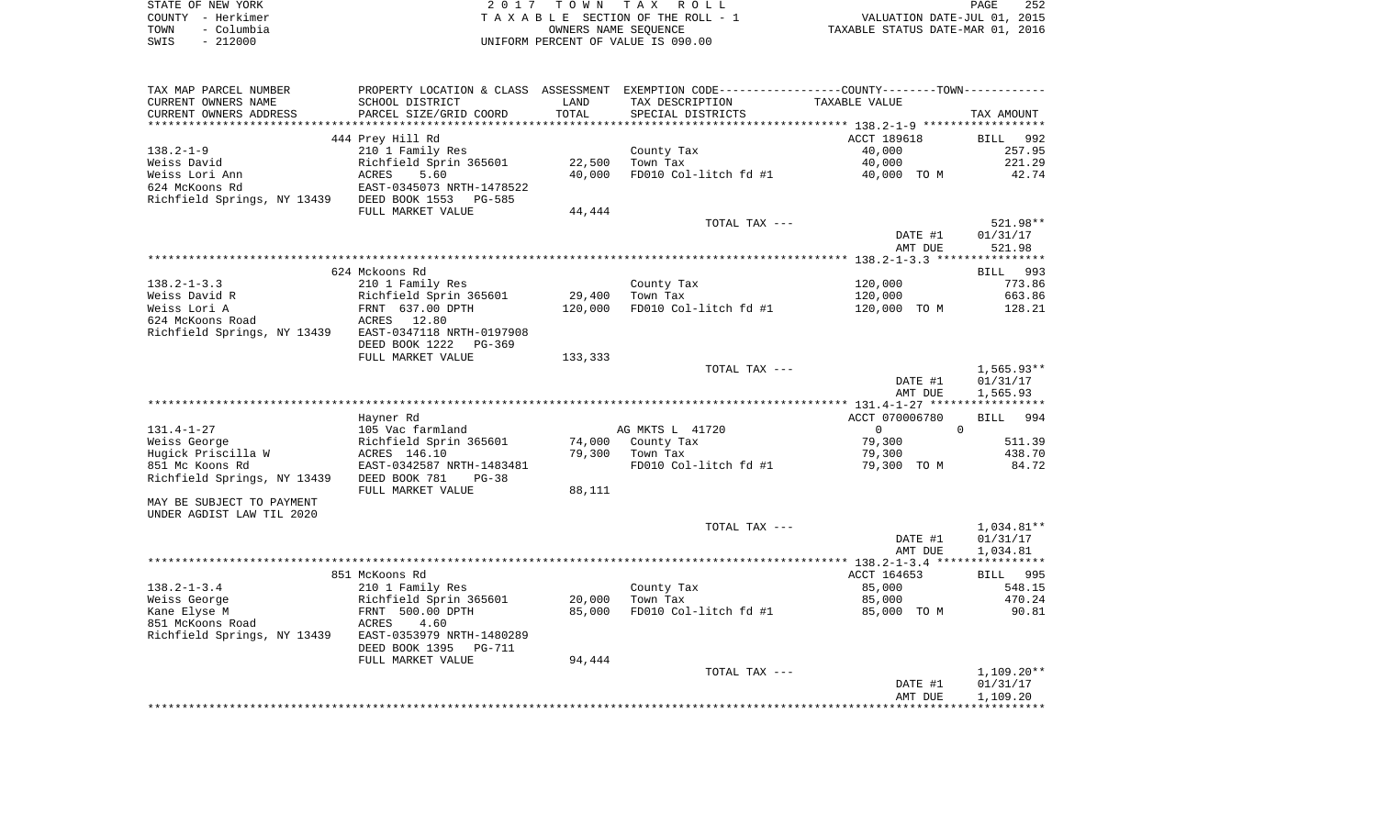|      | STATE OF NEW YORK | 2017 TOWN TAX ROLL                 | 252<br><b>PAGE</b>               |
|------|-------------------|------------------------------------|----------------------------------|
|      | COUNTY - Herkimer | TAXABLE SECTION OF THE ROLL - 1    | VALUATION DATE-JUL 01, 2015      |
| TOWN | - Columbia        | OWNERS NAME SEOUENCE               | TAXABLE STATUS DATE-MAR 01, 2016 |
| SWIS | - 212000          | UNIFORM PERCENT OF VALUE IS 090.00 |                                  |

| TAX MAP PARCEL NUMBER                                    | PROPERTY LOCATION & CLASS ASSESSMENT EXEMPTION CODE----------------COUNTY--------TOWN----------- |         |                       |                |              |
|----------------------------------------------------------|--------------------------------------------------------------------------------------------------|---------|-----------------------|----------------|--------------|
| CURRENT OWNERS NAME                                      | SCHOOL DISTRICT                                                                                  | LAND    | TAX DESCRIPTION       | TAXABLE VALUE  |              |
| CURRENT OWNERS ADDRESS                                   | PARCEL SIZE/GRID COORD                                                                           | TOTAL   | SPECIAL DISTRICTS     |                | TAX AMOUNT   |
|                                                          |                                                                                                  |         |                       |                |              |
|                                                          | 444 Prey Hill Rd                                                                                 |         |                       | ACCT 189618    | BILL 992     |
| 138.2-1-9                                                | 210 1 Family Res                                                                                 |         | County Tax            | 40,000         | 257.95       |
| Weiss David                                              | Richfield Sprin 365601                                                                           | 22,500  | Town Tax              | 40,000         | 221.29       |
| Weiss Lori Ann                                           | ACRES<br>5.60                                                                                    | 40,000  | FD010 Col-litch fd #1 | 40,000 TO M    | 42.74        |
| 624 McKoons Rd                                           | EAST-0345073 NRTH-1478522                                                                        |         |                       |                |              |
| Richfield Springs, NY 13439 DEED BOOK 1553 PG-585        |                                                                                                  |         |                       |                |              |
|                                                          | FULL MARKET VALUE                                                                                | 44,444  |                       |                |              |
|                                                          |                                                                                                  |         | TOTAL TAX ---         |                | 521.98**     |
|                                                          |                                                                                                  |         |                       | DATE #1        | 01/31/17     |
|                                                          |                                                                                                  |         |                       | AMT DUE        | 521.98       |
|                                                          |                                                                                                  |         |                       |                |              |
|                                                          | 624 Mckoons Rd                                                                                   |         |                       |                | BILL 993     |
| 138.2-1-3.3                                              | 210 1 Family Res                                                                                 |         | County Tax            | 120,000        | 773.86       |
| Weiss David R                                            | Richfield Sprin 365601                                                                           | 29,400  | Town Tax              | 120,000        | 663.86       |
| Weiss Lori A                                             | FRNT 637.00 DPTH                                                                                 | 120,000 | FD010 Col-litch fd #1 | 120,000 TO M   | 128.21       |
| 624 McKoons Road                                         | ACRES 12.80                                                                                      |         |                       |                |              |
| Richfield Springs, NY 13439 EAST-0347118 NRTH-0197908    |                                                                                                  |         |                       |                |              |
|                                                          | DEED BOOK 1222 PG-369                                                                            |         |                       |                |              |
|                                                          | FULL MARKET VALUE                                                                                | 133,333 |                       |                |              |
|                                                          |                                                                                                  |         | TOTAL TAX ---         |                | 1,565.93**   |
|                                                          |                                                                                                  |         |                       | DATE #1        | 01/31/17     |
|                                                          |                                                                                                  |         |                       | AMT DUE        | 1,565.93     |
|                                                          |                                                                                                  |         |                       |                |              |
|                                                          | Hayner Rd                                                                                        |         |                       | ACCT 070006780 | BILL 994     |
| 131.4-1-27                                               | 105 Vac farmland                                                                                 |         | AG MKTS L 41720       | $\overline{0}$ | $\Omega$     |
| Weiss George                                             | Richfield Sprin 365601<br>ACRES 146.10                                                           | 74,000  | County Tax            | 79,300         | 511.39       |
| Hugick Priscilla W                                       |                                                                                                  | 79,300  | Town Tax              | 79,300         | 438.70       |
| 851 Mc Koons Rd                                          | EAST-0342587 NRTH-1483481                                                                        |         | FD010 Col-litch fd #1 | 79,300 TO M    | 84.72        |
| Richfield Springs, NY 13439                              | DEED BOOK 781<br>$PG-38$                                                                         |         |                       |                |              |
|                                                          | FULL MARKET VALUE                                                                                | 88,111  |                       |                |              |
| MAY BE SUBJECT TO PAYMENT                                |                                                                                                  |         |                       |                |              |
| UNDER AGDIST LAW TIL 2020                                |                                                                                                  |         |                       |                |              |
|                                                          |                                                                                                  |         | TOTAL TAX ---         |                | 1,034.81**   |
|                                                          |                                                                                                  |         |                       | DATE #1        | 01/31/17     |
|                                                          |                                                                                                  |         |                       | AMT DUE        | 1,034.81     |
|                                                          |                                                                                                  |         |                       |                |              |
|                                                          | 851 McKoons Rd                                                                                   |         |                       | ACCT 164653    | BILL 995     |
| $138.2 - 1 - 3.4$                                        | 210 1 Family Res                                                                                 |         | County Tax            | 85,000         | 548.15       |
| Weiss George                                             | Richfield Sprin 365601                                                                           | 20,000  | Town Tax              | 85,000         | 470.24       |
| Kane Elyse M                                             | FRNT 500.00 DPTH                                                                                 | 85,000  | FD010 Col-litch fd #1 | 85,000 TO M    | 90.81        |
| 851 McKoons Road                                         | ACRES<br>4.60                                                                                    |         |                       |                |              |
| Richfield Springs, NY 13439    EAST-0353979 NRTH-1480289 |                                                                                                  |         |                       |                |              |
|                                                          | DEED BOOK 1395<br>PG-711                                                                         |         |                       |                |              |
|                                                          | FULL MARKET VALUE                                                                                | 94,444  |                       |                |              |
|                                                          |                                                                                                  |         | TOTAL TAX ---         |                | $1,109.20**$ |
|                                                          |                                                                                                  |         |                       | DATE #1        | 01/31/17     |
|                                                          |                                                                                                  |         |                       | AMT DUE        | 1,109.20     |
|                                                          |                                                                                                  |         |                       |                |              |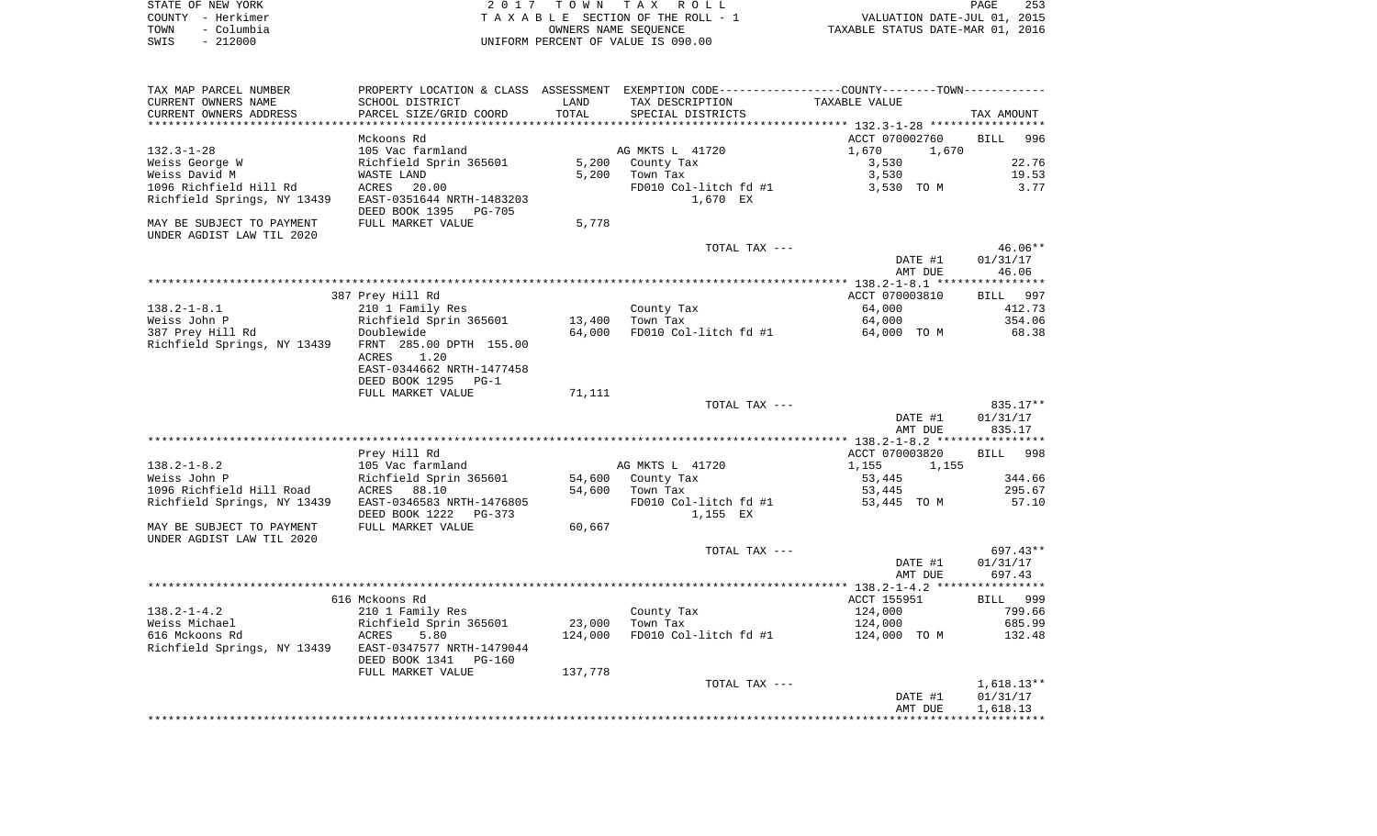| STATE OF NEW YORK  | 2017 TOWN TAX ROLL                 | PAGE                             | 253 |
|--------------------|------------------------------------|----------------------------------|-----|
| COUNTY - Herkimer  | TAXABLE SECTION OF THE ROLL - 1    | VALUATION DATE-JUL 01, 2015      |     |
| – Columbia<br>TOWN | OWNERS NAME SEOUENCE               | TAXABLE STATUS DATE-MAR 01, 2016 |     |
| $-212000$<br>SWIS  | UNIFORM PERCENT OF VALUE IS 090.00 |                                  |     |

| TAX MAP PARCEL NUMBER<br>CURRENT OWNERS NAME           | SCHOOL DISTRICT                                              | LAND    | PROPERTY LOCATION & CLASS ASSESSMENT EXEMPTION CODE---------------COUNTY-------TOWN----------<br>TAX DESCRIPTION | TAXABLE VALUE      |                    |
|--------------------------------------------------------|--------------------------------------------------------------|---------|------------------------------------------------------------------------------------------------------------------|--------------------|--------------------|
| CURRENT OWNERS ADDRESS                                 | PARCEL SIZE/GRID COORD                                       | TOTAL   | SPECIAL DISTRICTS                                                                                                |                    | TAX AMOUNT         |
|                                                        |                                                              |         |                                                                                                                  |                    |                    |
|                                                        | Mckoons Rd                                                   |         |                                                                                                                  | ACCT 070002760     | <b>BILL</b><br>996 |
| $132.3 - 1 - 28$                                       | 105 Vac farmland                                             |         | AG MKTS L 41720                                                                                                  | 1,670<br>1,670     |                    |
| Weiss George W                                         | Richfield Sprin 365601                                       | 5,200   | County Tax                                                                                                       | 3,530              | 22.76              |
| Weiss David M                                          | WASTE LAND                                                   | 5,200   | Town Tax                                                                                                         | 3,530              | 19.53              |
| 1096 Richfield Hill Rd                                 | ACRES<br>20.00                                               |         | FD010 Col-litch fd #1                                                                                            | 3,530 TO M         | 3.77               |
| Richfield Springs, NY 13439                            | EAST-0351644 NRTH-1483203<br>DEED BOOK 1395<br>PG-705        |         | 1,670 EX                                                                                                         |                    |                    |
| MAY BE SUBJECT TO PAYMENT<br>UNDER AGDIST LAW TIL 2020 | FULL MARKET VALUE                                            | 5,778   |                                                                                                                  |                    |                    |
|                                                        |                                                              |         | TOTAL TAX ---                                                                                                    |                    | $46.06**$          |
|                                                        |                                                              |         |                                                                                                                  | DATE #1            | 01/31/17           |
|                                                        |                                                              |         |                                                                                                                  | AMT DUE            | 46.06              |
|                                                        |                                                              |         |                                                                                                                  |                    |                    |
|                                                        | 387 Prey Hill Rd                                             |         |                                                                                                                  | ACCT 070003810     | <b>BILL</b><br>997 |
| $138.2 - 1 - 8.1$                                      | 210 1 Family Res                                             |         | County Tax                                                                                                       | 64,000             | 412.73             |
| Weiss John P                                           | Richfield Sprin 365601                                       | 13,400  | Town Tax                                                                                                         | 64,000             | 354.06             |
| 387 Prey Hill Rd                                       | Doublewide                                                   | 64,000  | FD010 Col-litch fd #1                                                                                            | 64,000 TO M        | 68.38              |
| Richfield Springs, NY 13439                            | FRNT 285.00 DPTH 155.00<br>ACRES<br>1.20                     |         |                                                                                                                  |                    |                    |
|                                                        | EAST-0344662 NRTH-1477458                                    |         |                                                                                                                  |                    |                    |
|                                                        | DEED BOOK 1295<br>$PG-1$                                     |         |                                                                                                                  |                    |                    |
|                                                        | FULL MARKET VALUE                                            | 71,111  |                                                                                                                  |                    |                    |
|                                                        |                                                              |         | TOTAL TAX ---                                                                                                    |                    | 835.17**           |
|                                                        |                                                              |         |                                                                                                                  | DATE #1<br>AMT DUE | 01/31/17<br>835.17 |
|                                                        |                                                              |         |                                                                                                                  |                    |                    |
|                                                        | Prey Hill Rd                                                 |         |                                                                                                                  | ACCT 070003820     | 998<br><b>BILL</b> |
| $138.2 - 1 - 8.2$                                      | 105 Vac farmland                                             |         | AG MKTS L 41720                                                                                                  | 1,155<br>1,155     |                    |
| Weiss John P                                           | Richfield Sprin 365601                                       | 54,600  | County Tax                                                                                                       | 53,445             | 344.66             |
| 1096 Richfield Hill Road                               | ACRES 88.10                                                  | 54,600  | Town Tax                                                                                                         | 53,445             | 295.67             |
| Richfield Springs, NY 13439                            | EAST-0346583 NRTH-1476805<br>DEED BOOK 1222<br>$PG-373$      |         | FD010 Col-litch fd #1<br>1,155 EX                                                                                | 53,445 TO M        | 57.10              |
| MAY BE SUBJECT TO PAYMENT<br>UNDER AGDIST LAW TIL 2020 | FULL MARKET VALUE                                            | 60,667  |                                                                                                                  |                    |                    |
|                                                        |                                                              |         | TOTAL TAX ---                                                                                                    |                    | 697.43**           |
|                                                        |                                                              |         |                                                                                                                  | DATE #1            | 01/31/17           |
|                                                        |                                                              |         |                                                                                                                  | AMT DUE            | 697.43             |
|                                                        |                                                              |         |                                                                                                                  |                    |                    |
|                                                        | 616 Mckoons Rd                                               |         |                                                                                                                  | ACCT 155951        | BILL 999           |
| $138.2 - 1 - 4.2$                                      | 210 1 Family Res                                             |         | County Tax                                                                                                       | 124,000            | 799.66             |
| Weiss Michael                                          | Richfield Sprin 365601                                       | 23,000  | Town Tax                                                                                                         | 124,000            | 685.99             |
| 616 Mckoons Rd                                         | 5.80<br>ACRES                                                | 124,000 | FD010 Col-litch fd #1                                                                                            | 124,000 TO M       | 132.48             |
| Richfield Springs, NY 13439                            | EAST-0347577 NRTH-1479044<br>DEED BOOK 1341<br><b>PG-160</b> |         |                                                                                                                  |                    |                    |
|                                                        | FULL MARKET VALUE                                            | 137,778 |                                                                                                                  |                    |                    |
|                                                        |                                                              |         | TOTAL TAX ---                                                                                                    |                    | $1,618.13**$       |
|                                                        |                                                              |         |                                                                                                                  | DATE #1            | 01/31/17           |
|                                                        |                                                              |         |                                                                                                                  | AMT DUE            | 1,618.13           |
|                                                        |                                                              |         |                                                                                                                  |                    |                    |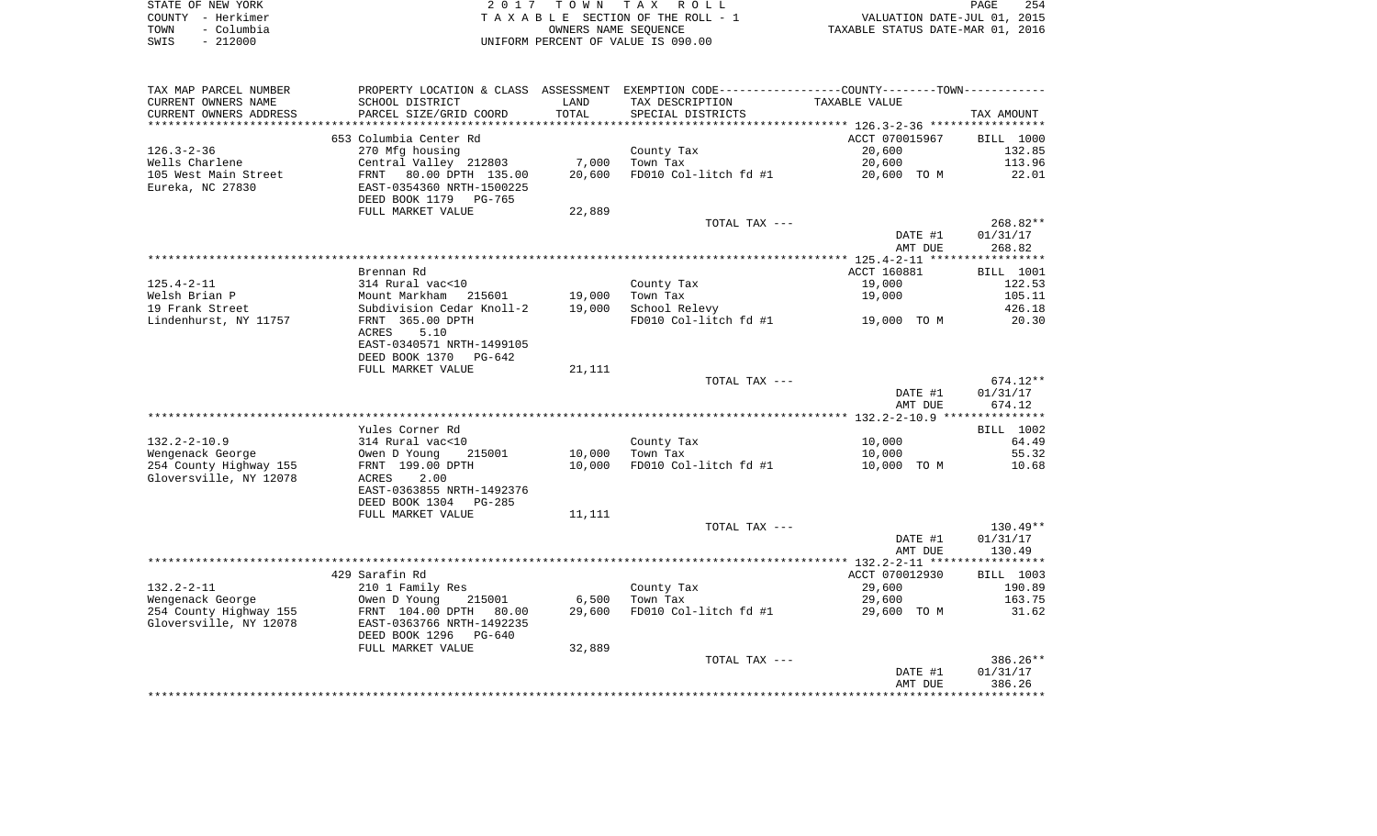| STATE OF NEW YORK  | 2017 TOWN TAX ROLL                 | 254<br>PAGE                      |
|--------------------|------------------------------------|----------------------------------|
| COUNTY - Herkimer  | TAXABLE SECTION OF THE ROLL - 1    | VALUATION DATE-JUL 01, 2015      |
| - Columbia<br>TOWN | OWNERS NAME SEOUENCE               | TAXABLE STATUS DATE-MAR 01, 2016 |
| - 212000<br>SWIS   | UNIFORM PERCENT OF VALUE IS 090.00 |                                  |

254<br>2015<br>2016

| TAX MAP PARCEL NUMBER<br>CURRENT OWNERS NAME        | SCHOOL DISTRICT                                                                         | LAND<br>TOTAL   | PROPERTY LOCATION & CLASS ASSESSMENT EXEMPTION CODE----------------COUNTY-------TOWN----------<br>TAX DESCRIPTION | TAXABLE VALUE            |                            |
|-----------------------------------------------------|-----------------------------------------------------------------------------------------|-----------------|-------------------------------------------------------------------------------------------------------------------|--------------------------|----------------------------|
| CURRENT OWNERS ADDRESS<br>************************* | PARCEL SIZE/GRID COORD                                                                  |                 | SPECIAL DISTRICTS                                                                                                 |                          | TAX AMOUNT                 |
| $126.3 - 2 - 36$                                    | 653 Columbia Center Rd<br>270 Mfg housing                                               |                 | County Tax                                                                                                        | ACCT 070015967<br>20,600 | <b>BILL</b> 1000<br>132.85 |
| Wells Charlene<br>105 West Main Street              | Central Valley 212803<br>FRNT 80.00 DPTH 135.00                                         | 7,000<br>20,600 | Town Tax<br>FD010 Col-litch fd #1                                                                                 | 20,600<br>20,600 TO M    | 113.96<br>22.01            |
| Eureka, NC 27830                                    | EAST-0354360 NRTH-1500225<br>DEED BOOK 1179 PG-765                                      |                 |                                                                                                                   |                          |                            |
|                                                     | FULL MARKET VALUE                                                                       | 22,889          | TOTAL TAX ---                                                                                                     |                          | 268.82**                   |
|                                                     |                                                                                         |                 |                                                                                                                   | DATE #1<br>AMT DUE       | 01/31/17<br>268.82         |
|                                                     | Brennan Rd                                                                              |                 |                                                                                                                   | ACCT 160881              | <b>BILL</b> 1001           |
| $125.4 - 2 - 11$                                    | 314 Rural vac<10                                                                        |                 | County Tax                                                                                                        | 19,000                   | 122.53                     |
| Welsh Brian P                                       | Mount Markham 215601                                                                    | 19,000          | Town Tax                                                                                                          | 19,000                   | 105.11                     |
| 19 Frank Street                                     | Subdivision Cedar Knoll-2                                                               | 19,000          | School Relevy                                                                                                     |                          | 426.18                     |
| Lindenhurst, NY 11757                               | FRNT 365.00 DPTH<br>5.10<br>ACRES<br>EAST-0340571 NRTH-1499105                          |                 | FD010 Col-litch fd #1                                                                                             | 19,000 TO M              | 20.30                      |
|                                                     | DEED BOOK 1370<br>PG-642<br>FULL MARKET VALUE                                           |                 |                                                                                                                   |                          |                            |
|                                                     |                                                                                         | 21,111          | TOTAL TAX ---                                                                                                     |                          | $674.12**$                 |
|                                                     |                                                                                         |                 |                                                                                                                   | DATE #1<br>AMT DUE       | 01/31/17<br>674.12         |
|                                                     |                                                                                         |                 |                                                                                                                   |                          | BILL 1002                  |
| $132.2 - 2 - 10.9$                                  | Yules Corner Rd<br>314 Rural vac<10                                                     |                 | County Tax                                                                                                        | 10,000                   | 64.49                      |
| Wengenack George                                    | Owen D Young<br>215001                                                                  |                 | 10,000 Town Tax                                                                                                   | 10,000                   | 55.32                      |
| 254 County Highway 155<br>Gloversville, NY 12078    | FRNT 199.00 DPTH<br>2.00<br>ACRES<br>EAST-0363855 NRTH-1492376<br>DEED BOOK 1304 PG-285 |                 | 10,000 FD010 Col-litch fd #1                                                                                      | 10,000 TO M              | 10.68                      |
|                                                     | FULL MARKET VALUE                                                                       | 11,111          |                                                                                                                   |                          |                            |
|                                                     |                                                                                         |                 | TOTAL TAX ---                                                                                                     |                          | $130.49**$                 |
|                                                     |                                                                                         |                 |                                                                                                                   | DATE #1<br>AMT DUE       | 01/31/17<br>130.49         |
|                                                     |                                                                                         |                 |                                                                                                                   |                          |                            |
| $132.2 - 2 - 11$                                    | 429 Sarafin Rd<br>210 1 Family Res                                                      |                 | County Tax                                                                                                        | ACCT 070012930<br>29,600 | BILL 1003<br>190.89        |
| Wengenack George                                    | Owen D Young<br>215001                                                                  | 6,500           | Town Tax                                                                                                          | 29,600                   | 163.75                     |
| 254 County Highway 155<br>Gloversville, NY 12078    | FRNT 104.00 DPTH<br>80.00<br>EAST-0363766 NRTH-1492235                                  | 29,600          | FD010 Col-litch fd #1                                                                                             | 29,600 TO M              | 31.62                      |
|                                                     | DEED BOOK 1296 PG-640                                                                   |                 |                                                                                                                   |                          |                            |
|                                                     | FULL MARKET VALUE                                                                       | 32,889          |                                                                                                                   |                          |                            |
|                                                     |                                                                                         |                 | TOTAL TAX ---                                                                                                     | DATE #1                  | 386.26**<br>01/31/17       |
|                                                     |                                                                                         |                 |                                                                                                                   | AMT DUE                  | 386.26                     |
|                                                     |                                                                                         |                 |                                                                                                                   |                          |                            |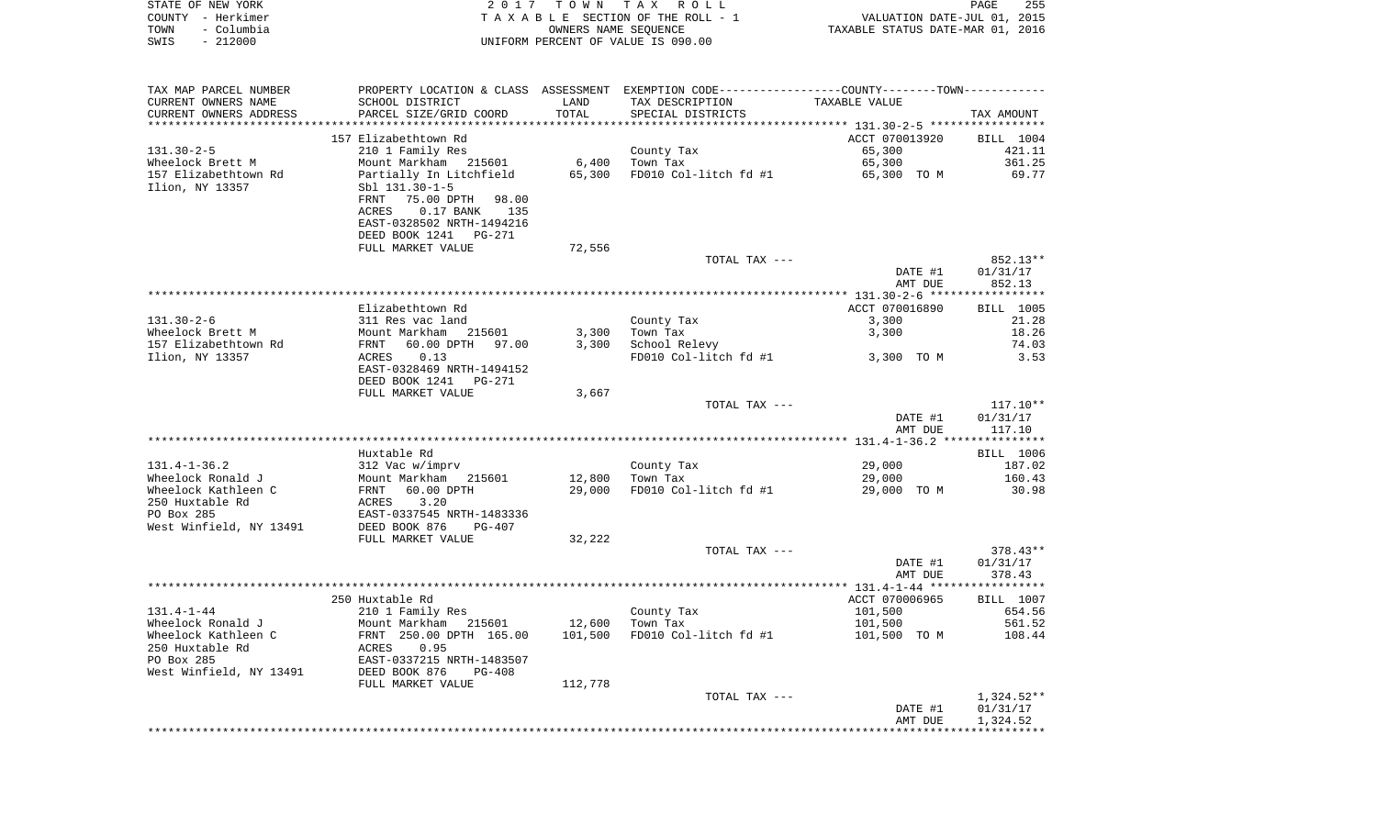|      | STATE OF NEW YORK | 2017 TOWN TAX ROLL                 |                                  | <b>PAGE</b> | 255 |
|------|-------------------|------------------------------------|----------------------------------|-------------|-----|
|      | COUNTY - Herkimer | TAXABLE SECTION OF THE ROLL - 1    | VALUATION DATE-JUL 01, 2015      |             |     |
| TOWN | - Columbia        | OWNERS NAME SEOUENCE               | TAXABLE STATUS DATE-MAR 01, 2016 |             |     |
| SWIS | - 212000          | UNIFORM PERCENT OF VALUE IS 090.00 |                                  |             |     |

| TAX MAP PARCEL NUMBER   | PROPERTY LOCATION & CLASS ASSESSMENT |         | EXEMPTION CODE-----------------COUNTY--------TOWN----------- |                         |                    |
|-------------------------|--------------------------------------|---------|--------------------------------------------------------------|-------------------------|--------------------|
| CURRENT OWNERS NAME     | SCHOOL DISTRICT                      | LAND    | TAX DESCRIPTION                                              | TAXABLE VALUE           |                    |
| CURRENT OWNERS ADDRESS  | PARCEL SIZE/GRID COORD               | TOTAL   | SPECIAL DISTRICTS                                            |                         | TAX AMOUNT         |
|                         |                                      |         |                                                              |                         |                    |
|                         | 157 Elizabethtown Rd                 |         |                                                              | ACCT 070013920          | BILL 1004          |
| $131.30 - 2 - 5$        | 210 1 Family Res                     |         | County Tax                                                   | 65,300                  | 421.11             |
| Wheelock Brett M        | Mount Markham 215601                 | 6,400   | Town Tax                                                     | 65,300                  | 361.25             |
| 157 Elizabethtown Rd    | Partially In Litchfield              | 65,300  | FD010 Col-litch fd #1                                        | 65,300 TO M             | 69.77              |
| Ilion, NY 13357         | Sbl 131.30-1-5                       |         |                                                              |                         |                    |
|                         | 75.00 DPTH<br>FRNT<br>98.00          |         |                                                              |                         |                    |
|                         | ACRES<br>$0.17$ BANK<br>135          |         |                                                              |                         |                    |
|                         | EAST-0328502 NRTH-1494216            |         |                                                              |                         |                    |
|                         | DEED BOOK 1241<br><b>PG-271</b>      |         |                                                              |                         |                    |
|                         | FULL MARKET VALUE                    | 72,556  |                                                              |                         |                    |
|                         |                                      |         | TOTAL TAX ---                                                |                         | 852.13**           |
|                         |                                      |         |                                                              | DATE #1                 | 01/31/17           |
|                         |                                      |         |                                                              | AMT DUE                 | 852.13             |
|                         |                                      |         |                                                              |                         |                    |
|                         |                                      |         |                                                              |                         |                    |
| $131.30 - 2 - 6$        | Elizabethtown Rd                     |         |                                                              | ACCT 070016890<br>3,300 | BILL 1005<br>21.28 |
|                         | 311 Res vac land                     |         | County Tax                                                   |                         |                    |
| Wheelock Brett M        | Mount Markham<br>215601              | 3,300   | Town Tax                                                     | 3,300                   | 18.26              |
| 157 Elizabethtown Rd    | 60.00 DPTH<br>97.00<br>FRNT          | 3,300   | School Relevy                                                |                         | 74.03              |
| Ilion, NY 13357         | ACRES<br>0.13                        |         | FD010 Col-litch fd #1                                        | 3,300 TO M              | 3.53               |
|                         | EAST-0328469 NRTH-1494152            |         |                                                              |                         |                    |
|                         | DEED BOOK 1241<br>PG-271             |         |                                                              |                         |                    |
|                         | FULL MARKET VALUE                    | 3,667   |                                                              |                         |                    |
|                         |                                      |         | TOTAL TAX ---                                                |                         | $117.10**$         |
|                         |                                      |         |                                                              | DATE #1                 | 01/31/17           |
|                         |                                      |         |                                                              | AMT DUE                 | 117.10             |
|                         |                                      |         |                                                              |                         |                    |
|                         | Huxtable Rd                          |         |                                                              |                         | BILL 1006          |
| $131.4 - 1 - 36.2$      | 312 Vac w/imprv                      |         | County Tax                                                   | 29,000                  | 187.02             |
| Wheelock Ronald J       | Mount Markham 215601                 | 12,800  | Town Tax                                                     | 29,000                  | 160.43             |
| Wheelock Kathleen C     | FRNT<br>60.00 DPTH                   | 29,000  | FD010 Col-litch fd #1                                        | 29,000 TO M             | 30.98              |
| 250 Huxtable Rd         | 3.20<br>ACRES                        |         |                                                              |                         |                    |
| PO Box 285              | EAST-0337545 NRTH-1483336            |         |                                                              |                         |                    |
| West Winfield, NY 13491 | DEED BOOK 876<br>$PG-407$            |         |                                                              |                         |                    |
|                         | FULL MARKET VALUE                    | 32,222  |                                                              |                         |                    |
|                         |                                      |         | TOTAL TAX ---                                                |                         | $378.43**$         |
|                         |                                      |         |                                                              | DATE #1                 | 01/31/17           |
|                         |                                      |         |                                                              | AMT DUE                 | 378.43             |
|                         |                                      |         |                                                              |                         |                    |
|                         | 250 Huxtable Rd                      |         |                                                              | ACCT 070006965          | BILL 1007          |
| $131.4 - 1 - 44$        | 210 1 Family Res                     |         | County Tax                                                   | 101,500                 | 654.56             |
| Wheelock Ronald J       | Mount Markham<br>215601              | 12,600  | Town Tax                                                     | 101,500                 | 561.52             |
| Wheelock Kathleen C     | FRNT 250.00 DPTH 165.00              | 101,500 | FD010 Col-litch fd #1                                        | 101,500 TO M            | 108.44             |
| 250 Huxtable Rd         | 0.95<br>ACRES                        |         |                                                              |                         |                    |
| PO Box 285              | EAST-0337215 NRTH-1483507            |         |                                                              |                         |                    |
| West Winfield, NY 13491 | DEED BOOK 876<br>PG-408              |         |                                                              |                         |                    |
|                         | FULL MARKET VALUE                    | 112,778 |                                                              |                         |                    |
|                         |                                      |         | TOTAL TAX ---                                                |                         | $1,324.52**$       |
|                         |                                      |         |                                                              | DATE #1                 | 01/31/17           |
|                         |                                      |         |                                                              | AMT DUE                 | 1,324.52           |
|                         |                                      |         |                                                              |                         |                    |
|                         |                                      |         |                                                              |                         |                    |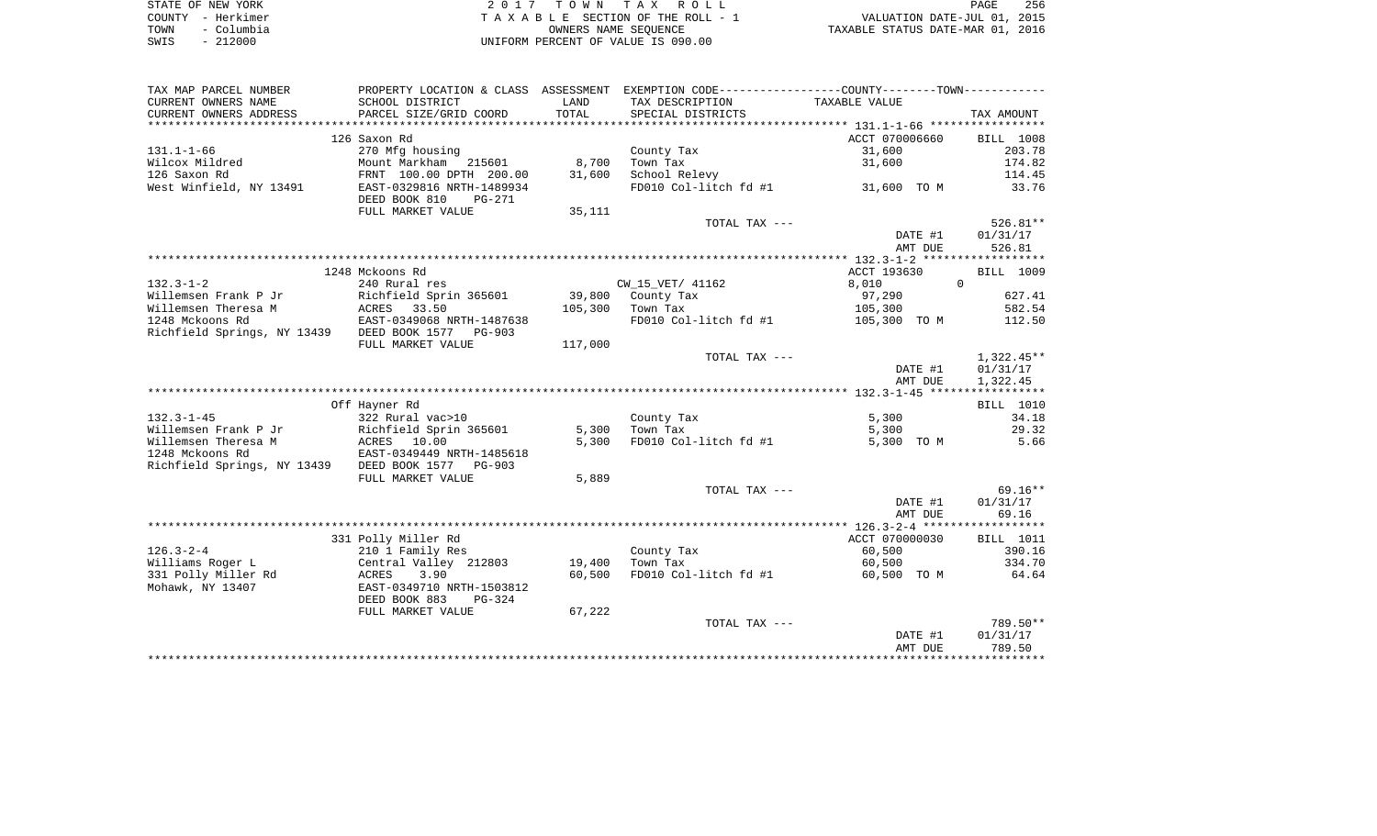| STATE OF NEW YORK  | 2017 TOWN TAX ROLL                 | 256<br>PAGE                      |
|--------------------|------------------------------------|----------------------------------|
| COUNTY - Herkimer  | TAXABLE SECTION OF THE ROLL - 1    | VALUATION DATE-JUL 01, 2015      |
| - Columbia<br>TOWN | OWNERS NAME SEOUENCE               | TAXABLE STATUS DATE-MAR 01, 2016 |
| $-212000$<br>SWIS  | UNIFORM PERCENT OF VALUE IS 090.00 |                                  |

| TAX MAP PARCEL NUMBER       |                                                        |         | PROPERTY LOCATION & CLASS ASSESSMENT EXEMPTION CODE---------------COUNTY-------TOWN---------- |                    |                    |
|-----------------------------|--------------------------------------------------------|---------|-----------------------------------------------------------------------------------------------|--------------------|--------------------|
| CURRENT OWNERS NAME         | SCHOOL DISTRICT                                        | LAND    | TAX DESCRIPTION                                                                               | TAXABLE VALUE      |                    |
| CURRENT OWNERS ADDRESS      | PARCEL SIZE/GRID COORD                                 | TOTAL   | SPECIAL DISTRICTS                                                                             |                    | TAX AMOUNT         |
|                             |                                                        |         |                                                                                               |                    |                    |
|                             | 126 Saxon Rd                                           |         |                                                                                               | ACCT 070006660     | BILL 1008          |
| $131.1 - 1 - 66$            | 270 Mfg housing                                        |         | County Tax                                                                                    | 31,600             | 203.78             |
| Wilcox Mildred              | Mount Markham 215601                                   | 8,700   | Town Tax                                                                                      | 31,600             | 174.82             |
| 126 Saxon Rd                | FRNT 100.00 DPTH 200.00                                | 31,600  | School Relevy                                                                                 |                    | 114.45             |
| West Winfield, NY 13491     | EAST-0329816 NRTH-1489934<br>DEED BOOK 810<br>$PG-271$ |         | FD010 Col-litch fd #1                                                                         | 31,600 TO M        | 33.76              |
|                             | FULL MARKET VALUE                                      | 35,111  |                                                                                               |                    |                    |
|                             |                                                        |         | TOTAL TAX ---                                                                                 |                    | 526.81**           |
|                             |                                                        |         |                                                                                               | DATE #1            | 01/31/17           |
|                             |                                                        |         |                                                                                               | AMT DUE            | 526.81             |
|                             |                                                        |         |                                                                                               |                    |                    |
|                             | 1248 Mckoons Rd                                        |         |                                                                                               | ACCT 193630        | BILL 1009          |
| $132.3 - 1 - 2$             | 240 Rural res                                          |         | CW_15_VET/ 41162                                                                              | 8,010              | $\Omega$           |
| Willemsen Frank P Jr        | Richfield Sprin 365601                                 | 39,800  | County Tax                                                                                    | 97,290             | 627.41             |
| Willemsen Theresa M         | ACRES 33.50                                            | 105,300 | Town Tax                                                                                      | 105,300            | 582.54             |
| 1248 Mckoons Rd             | EAST-0349068 NRTH-1487638                              |         | FD010 Col-litch fd #1                                                                         | 105,300 TO M       | 112.50             |
| Richfield Springs, NY 13439 | DEED BOOK 1577 PG-903                                  |         |                                                                                               |                    |                    |
|                             | FULL MARKET VALUE                                      | 117,000 |                                                                                               |                    |                    |
|                             |                                                        |         | TOTAL TAX ---                                                                                 |                    | $1,322.45**$       |
|                             |                                                        |         |                                                                                               | DATE #1            | 01/31/17           |
|                             |                                                        |         |                                                                                               | AMT DUE            | 1,322.45           |
|                             |                                                        |         |                                                                                               |                    |                    |
| $132.3 - 1 - 45$            | Off Hayner Rd                                          |         |                                                                                               | 5,300              | BILL 1010<br>34.18 |
| Willemsen Frank P Jr        | 322 Rural vac>10<br>Richfield Sprin 365601             | 5,300   | County Tax<br>Town Tax                                                                        | 5,300              | 29.32              |
| Willemsen Theresa M         | ACRES 10.00                                            | 5,300   | FD010 Col-litch fd #1                                                                         | 5,300 TO M         | 5.66               |
| 1248 Mckoons Rd             | EAST-0349449 NRTH-1485618                              |         |                                                                                               |                    |                    |
| Richfield Springs, NY 13439 | DEED BOOK 1577 PG-903                                  |         |                                                                                               |                    |                    |
|                             | FULL MARKET VALUE                                      | 5,889   |                                                                                               |                    |                    |
|                             |                                                        |         | TOTAL TAX ---                                                                                 |                    | 69.16**            |
|                             |                                                        |         |                                                                                               | DATE #1<br>AMT DUE | 01/31/17<br>69.16  |
|                             |                                                        |         |                                                                                               |                    |                    |
|                             | 331 Polly Miller Rd                                    |         |                                                                                               | ACCT 070000030     | BILL 1011          |
| $126.3 - 2 - 4$             | 210 1 Family Res                                       |         | County Tax                                                                                    | 60,500             | 390.16             |
| Williams Roger L            | Central Valley 212803                                  | 19,400  | Town Tax                                                                                      | 60,500             | 334.70             |
| 331 Polly Miller Rd         | 3.90<br>ACRES                                          | 60,500  | FD010 Col-litch fd #1                                                                         | 60,500 TO M        | 64.64              |
| Mohawk, NY 13407            | EAST-0349710 NRTH-1503812<br>DEED BOOK 883<br>$PG-324$ |         |                                                                                               |                    |                    |
|                             | FULL MARKET VALUE                                      | 67,222  |                                                                                               |                    |                    |
|                             |                                                        |         | TOTAL TAX ---                                                                                 |                    | 789.50**           |
|                             |                                                        |         |                                                                                               | DATE #1            | 01/31/17           |
|                             |                                                        |         |                                                                                               | AMT DUE            | 789.50             |
|                             |                                                        |         |                                                                                               |                    |                    |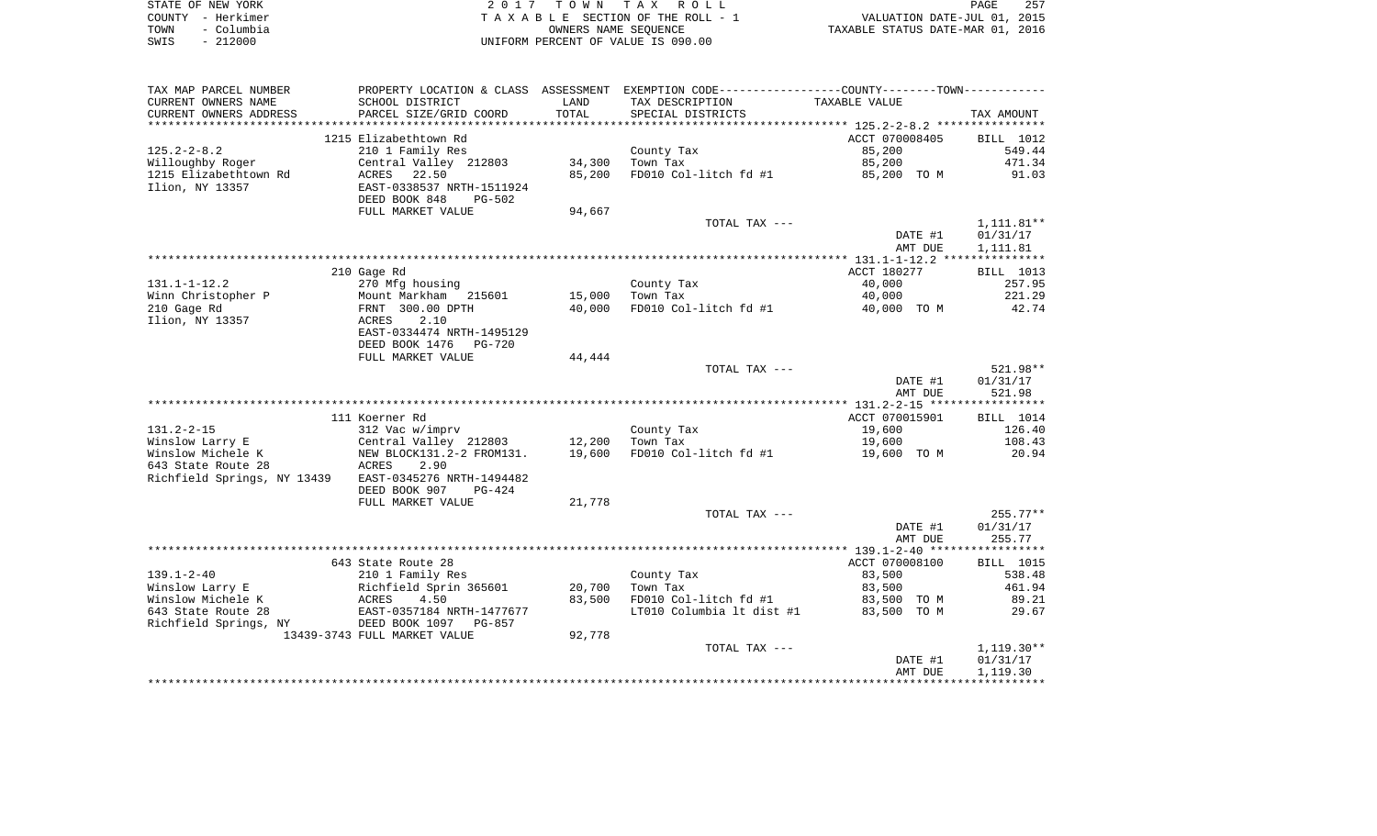| STATE OF NEW YORK  | 2017 TOWN TAX ROLL                 | 257<br>PAGE                      |
|--------------------|------------------------------------|----------------------------------|
| COUNTY – Herkimer  | TAXABLE SECTION OF THE ROLL - 1    | VALUATION DATE-JUL 01, 2015      |
| – Columbia<br>TOWN | OWNERS NAME SEOUENCE               | TAXABLE STATUS DATE-MAR 01, 2016 |
| $-212000$<br>SWIS  | UNIFORM PERCENT OF VALUE IS 090.00 |                                  |

| TAX MAP PARCEL NUMBER<br>CURRENT OWNERS NAME  | PROPERTY LOCATION & CLASS ASSESSMENT<br>SCHOOL DISTRICT     | LAND   | EXEMPTION CODE-----------------COUNTY-------TOWN-----------<br>TAX DESCRIPTION | TAXABLE VALUE  |              |
|-----------------------------------------------|-------------------------------------------------------------|--------|--------------------------------------------------------------------------------|----------------|--------------|
| CURRENT OWNERS ADDRESS<br>******************* | PARCEL SIZE/GRID COORD                                      | TOTAL  | SPECIAL DISTRICTS                                                              |                | TAX AMOUNT   |
|                                               | 1215 Elizabethtown Rd                                       |        |                                                                                | ACCT 070008405 | BILL 1012    |
| $125.2 - 2 - 8.2$                             | 210 1 Family Res                                            |        | County Tax                                                                     | 85,200         | 549.44       |
| Willoughby Roger                              | Central Valley 212803                                       | 34,300 | Town Tax                                                                       | 85,200         | 471.34       |
| 1215 Elizabethtown Rd                         | 22.50<br>ACRES                                              | 85,200 | FD010 Col-litch fd #1                                                          | 85,200 TO M    | 91.03        |
| Ilion, NY 13357                               | EAST-0338537 NRTH-1511924<br>DEED BOOK 848<br><b>PG-502</b> |        |                                                                                |                |              |
|                                               | FULL MARKET VALUE                                           | 94,667 |                                                                                |                |              |
|                                               |                                                             |        | TOTAL TAX ---                                                                  |                | $1,111.81**$ |
|                                               |                                                             |        |                                                                                | DATE #1        | 01/31/17     |
|                                               |                                                             |        |                                                                                | AMT DUE        | 1,111.81     |
|                                               |                                                             |        |                                                                                |                |              |
|                                               | 210 Gage Rd                                                 |        |                                                                                | ACCT 180277    | BILL 1013    |
| $131.1 - 1 - 12.2$                            | 270 Mfg housing                                             |        | County Tax                                                                     | 40,000         | 257.95       |
| Winn Christopher P                            | Mount Markham<br>215601                                     | 15,000 | Town Tax                                                                       | 40,000         | 221.29       |
| 210 Gage Rd                                   | FRNT 300.00 DPTH                                            | 40,000 | FD010 Col-litch fd #1                                                          | 40,000 TO M    | 42.74        |
| Ilion, NY 13357                               | ACRES<br>2.10                                               |        |                                                                                |                |              |
|                                               | EAST-0334474 NRTH-1495129                                   |        |                                                                                |                |              |
|                                               | DEED BOOK 1476<br>$PG-720$                                  | 44,444 |                                                                                |                |              |
|                                               | FULL MARKET VALUE                                           |        | TOTAL TAX ---                                                                  |                | 521.98**     |
|                                               |                                                             |        |                                                                                | DATE #1        | 01/31/17     |
|                                               |                                                             |        |                                                                                | AMT DUE        | 521.98       |
|                                               |                                                             |        |                                                                                |                |              |
|                                               | 111 Koerner Rd                                              |        |                                                                                | ACCT 070015901 | BILL 1014    |
| $131.2 - 2 - 15$                              | 312 Vac w/imprv                                             |        | County Tax                                                                     | 19,600         | 126.40       |
| Winslow Larry E                               | Central Valley 212803                                       | 12,200 | Town Tax                                                                       | 19,600         | 108.43       |
| Winslow Michele K                             | NEW BLOCK131.2-2 FROM131.                                   | 19,600 | FD010 Col-litch fd #1                                                          | 19,600 TO M    | 20.94        |
| 643 State Route 28                            | ACRES<br>2.90                                               |        |                                                                                |                |              |
| Richfield Springs, NY 13439                   | EAST-0345276 NRTH-1494482                                   |        |                                                                                |                |              |
|                                               | DEED BOOK 907<br>PG-424                                     |        |                                                                                |                |              |
|                                               | FULL MARKET VALUE                                           | 21,778 |                                                                                |                |              |
|                                               |                                                             |        | TOTAL TAX ---                                                                  |                | $255.77**$   |
|                                               |                                                             |        |                                                                                | DATE #1        | 01/31/17     |
|                                               |                                                             |        |                                                                                | AMT DUE        | 255.77       |
|                                               |                                                             |        |                                                                                |                |              |
|                                               | 643 State Route 28                                          |        |                                                                                | ACCT 070008100 | BILL 1015    |
| $139.1 - 2 - 40$                              | 210 1 Family Res                                            |        | County Tax                                                                     | 83,500         | 538.48       |
| Winslow Larry E                               | Richfield Sprin 365601                                      | 20,700 | Town Tax                                                                       | 83,500         | 461.94       |
| Winslow Michele K                             | ACRES<br>4.50                                               | 83,500 | FD010 Col-litch fd #1                                                          | 83,500 TO M    | 89.21        |
| 643 State Route 28                            | EAST-0357184 NRTH-1477677                                   |        | LT010 Columbia 1t dist #1                                                      | 83,500 TO M    | 29.67        |
| Richfield Springs, NY                         | DEED BOOK 1097<br><b>PG-857</b>                             |        |                                                                                |                |              |
|                                               | 13439-3743 FULL MARKET VALUE                                | 92,778 |                                                                                |                |              |
|                                               |                                                             |        | TOTAL TAX ---                                                                  |                | 1,119.30**   |
|                                               |                                                             |        |                                                                                | DATE #1        | 01/31/17     |
|                                               |                                                             |        |                                                                                | AMT DUE        | 1,119.30     |
|                                               |                                                             |        |                                                                                |                |              |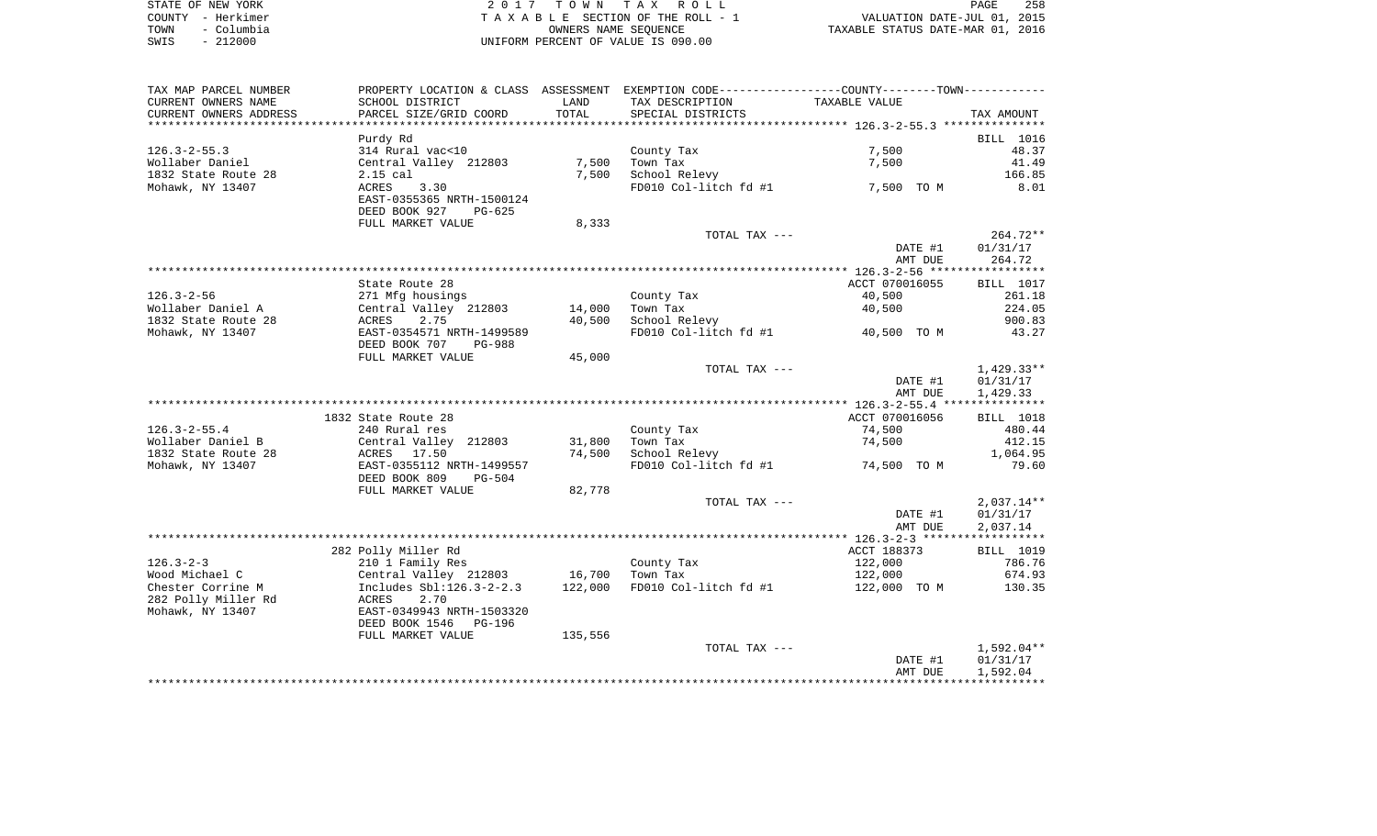| STATE OF NEW YORK |                   | 2017 TOWN TAX ROLL                 | <b>PAGE</b>                      | 258 |
|-------------------|-------------------|------------------------------------|----------------------------------|-----|
|                   | COUNTY - Herkimer | TAXABLE SECTION OF THE ROLL - 1    | VALUATION DATE-JUL 01, 2015      |     |
| TOWN              | - Columbia        | OWNERS NAME SEOUENCE               | TAXABLE STATUS DATE-MAR 01, 2016 |     |
| SWIS              | - 212000          | UNIFORM PERCENT OF VALUE IS 090.00 |                                  |     |

| TAX MAP PARCEL NUMBER  |                            |         | PROPERTY LOCATION & CLASS ASSESSMENT EXEMPTION CODE---------------COUNTY-------TOWN---------- |                |            |
|------------------------|----------------------------|---------|-----------------------------------------------------------------------------------------------|----------------|------------|
| CURRENT OWNERS NAME    | SCHOOL DISTRICT            | LAND    | TAX DESCRIPTION                                                                               | TAXABLE VALUE  |            |
| CURRENT OWNERS ADDRESS | PARCEL SIZE/GRID COORD     | TOTAL   | SPECIAL DISTRICTS                                                                             |                | TAX AMOUNT |
|                        |                            |         |                                                                                               |                |            |
|                        | Purdy Rd                   |         |                                                                                               |                | BILL 1016  |
| $126.3 - 2 - 55.3$     | 314 Rural vac<10           |         | County Tax                                                                                    | 7,500          | 48.37      |
| Wollaber Daniel        | Central Valley 212803      | 7,500   | Town Tax                                                                                      | 7,500          | 41.49      |
| 1832 State Route 28    | $2.15$ cal                 | 7,500   | School Relevy                                                                                 |                | 166.85     |
| Mohawk, NY 13407       | ACRES<br>3.30              |         | FD010 Col-litch fd #1                                                                         | 7,500 TO M     | 8.01       |
|                        | EAST-0355365 NRTH-1500124  |         |                                                                                               |                |            |
|                        | DEED BOOK 927<br>$PG-625$  |         |                                                                                               |                |            |
|                        | FULL MARKET VALUE          | 8,333   |                                                                                               |                |            |
|                        |                            |         | TOTAL TAX ---                                                                                 |                | 264.72**   |
|                        |                            |         |                                                                                               | DATE #1        | 01/31/17   |
|                        |                            |         |                                                                                               | AMT DUE        | 264.72     |
|                        |                            |         |                                                                                               |                |            |
|                        | State Route 28             |         |                                                                                               | ACCT 070016055 | BILL 1017  |
| $126.3 - 2 - 56$       | 271 Mfg housings           |         | County Tax                                                                                    | 40,500         | 261.18     |
| Wollaber Daniel A      | Central Valley 212803      | 14,000  | Town Tax                                                                                      | 40,500         | 224.05     |
| 1832 State Route 28    | 2.75<br>ACRES              | 40,500  | School Relevy                                                                                 |                | 900.83     |
| Mohawk, NY 13407       | EAST-0354571 NRTH-1499589  |         | FD010 Col-litch fd #1                                                                         | 40,500 TO M    | 43.27      |
|                        | DEED BOOK 707<br>PG-988    |         |                                                                                               |                |            |
|                        | FULL MARKET VALUE          | 45,000  |                                                                                               |                |            |
|                        |                            |         | TOTAL TAX ---                                                                                 |                | 1,429.33** |
|                        |                            |         |                                                                                               | DATE #1        | 01/31/17   |
|                        |                            |         |                                                                                               | AMT DUE        | 1,429.33   |
|                        |                            |         |                                                                                               |                |            |
|                        | 1832 State Route 28        |         |                                                                                               | ACCT 070016056 | BILL 1018  |
| $126.3 - 2 - 55.4$     | 240 Rural res              |         | County Tax                                                                                    | 74,500         | 480.44     |
| Wollaber Daniel B      | Central Valley 212803      | 31,800  | Town Tax                                                                                      | 74,500         | 412.15     |
| 1832 State Route 28    | ACRES 17.50                | 74,500  | School Relevy                                                                                 |                | 1,064.95   |
| Mohawk, NY 13407       | EAST-0355112 NRTH-1499557  |         | FD010 Col-litch fd #1                                                                         | 74,500 TO M    | 79.60      |
|                        | DEED BOOK 809<br>$PG-504$  |         |                                                                                               |                |            |
|                        | FULL MARKET VALUE          | 82,778  |                                                                                               |                |            |
|                        |                            |         | TOTAL TAX ---                                                                                 |                | 2,037.14** |
|                        |                            |         |                                                                                               | DATE #1        | 01/31/17   |
|                        |                            |         |                                                                                               | AMT DUE        | 2,037.14   |
|                        |                            |         |                                                                                               |                |            |
|                        | 282 Polly Miller Rd        |         |                                                                                               | ACCT 188373    | BILL 1019  |
| $126.3 - 2 - 3$        | 210 1 Family Res           |         | County Tax                                                                                    | 122,000        | 786.76     |
| Wood Michael C         | Central Valley 212803      | 16,700  | Town Tax                                                                                      | 122,000        | 674.93     |
| Chester Corrine M      | Includes $Sbl:126.3-2-2.3$ | 122,000 | FD010 Col-litch fd #1                                                                         | 122,000 TO M   | 130.35     |
| 282 Polly Miller Rd    | ACRES<br>2.70              |         |                                                                                               |                |            |
| Mohawk, NY 13407       | EAST-0349943 NRTH-1503320  |         |                                                                                               |                |            |
|                        | DEED BOOK 1546<br>PG-196   |         |                                                                                               |                |            |
|                        | FULL MARKET VALUE          | 135,556 |                                                                                               |                |            |
|                        |                            |         | TOTAL TAX ---                                                                                 |                | 1,592.04** |
|                        |                            |         |                                                                                               | DATE #1        | 01/31/17   |
|                        |                            |         |                                                                                               | AMT DUE        | 1,592.04   |
|                        |                            |         |                                                                                               |                |            |
|                        |                            |         |                                                                                               |                |            |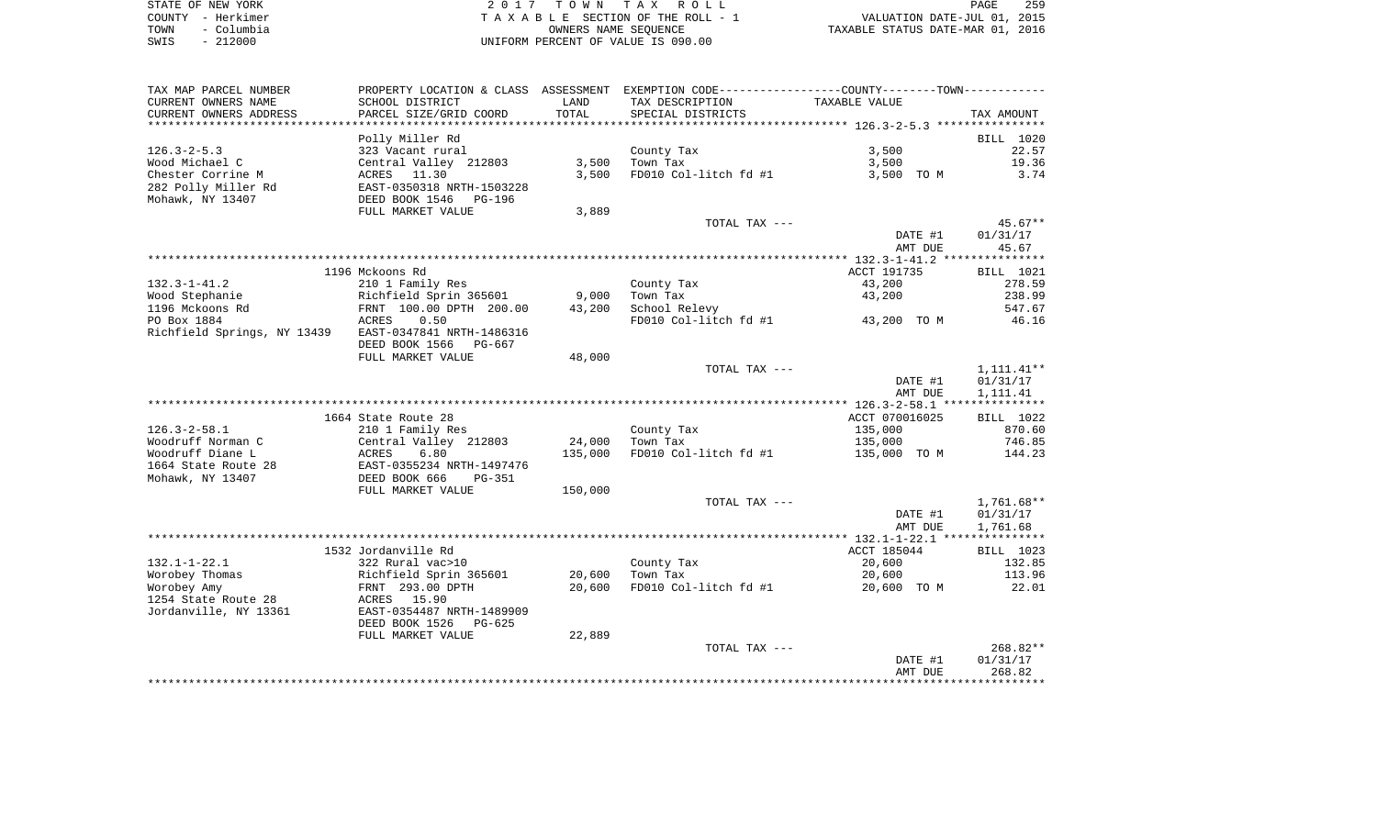| STATE OF NEW YORK  | 2017 TOWN TAX ROLL                 | 259<br>PAGE                      |
|--------------------|------------------------------------|----------------------------------|
| COUNTY - Herkimer  | TAXABLE SECTION OF THE ROLL - 1    | VALUATION DATE-JUL 01, 2015      |
| – Columbia<br>TOWN | OWNERS NAME SEOUENCE               | TAXABLE STATUS DATE-MAR 01, 2016 |
| $-212000$<br>SWIS  | UNIFORM PERCENT OF VALUE IS 090.00 |                                  |

| TAXABLE VALUE<br>SCHOOL DISTRICT<br>LAND<br>TAX DESCRIPTION<br>TOTAL<br>PARCEL SIZE/GRID COORD<br>SPECIAL DISTRICTS<br>TAX AMOUNT<br>**********************<br>Polly Miller Rd<br>BILL 1020<br>3,500<br>22.57<br>$126.3 - 2 - 5.3$<br>323 Vacant rural<br>County Tax<br>3,500<br>19.36<br>Wood Michael C<br>Central Valley 212803<br>Town Tax<br>3,500<br>Chester Corrine M<br>3,500<br>FD010 Col-litch fd #1<br>3.74<br>ACRES 11.30<br>3,500 TO M<br>282 Polly Miller Rd<br>EAST-0350318 NRTH-1503228<br>Mohawk, NY 13407<br>DEED BOOK 1546<br>PG-196<br>FULL MARKET VALUE<br>3,889<br>$45.67**$<br>TOTAL TAX ---<br>DATE #1<br>01/31/17<br>AMT DUE<br>45.67<br>1196 Mckoons Rd<br>ACCT 191735<br>BILL 1021<br>43,200<br>278.59<br>$132.3 - 1 - 41.2$<br>210 1 Family Res<br>County Tax<br>Richfield Sprin 365601<br>9,000<br>238.99<br>Wood Stephanie<br>Town Tax<br>43,200<br>1196 Mckoons Rd<br>FRNT 100.00 DPTH 200.00<br>School Relevy<br>547.67<br>43,200<br>43,200 TO M<br>PO Box 1884<br>ACRES<br>0.50<br>FD010 Col-litch fd #1<br>46.16<br>Richfield Springs, NY 13439 EAST-0347841 NRTH-1486316<br>DEED BOOK 1566<br>PG-667<br>FULL MARKET VALUE<br>48,000<br>TOTAL TAX ---<br>1,111.41**<br>DATE #1<br>01/31/17<br>AMT DUE<br>1,111.41<br>1664 State Route 28<br>ACCT 070016025<br>BILL 1022<br>County Tax<br>135,000<br>870.60<br>210 1 Family Res<br>Woodruff Norman C<br>Central Valley 212803<br>746.85<br>24,000<br>Town Tax<br>135,000<br>Woodruff Diane L<br>6.80<br>135,000<br>FD010 Col-litch fd #1<br>ACRES<br>135,000 TO M<br>144.23<br>1664 State Route 28<br>EAST-0355234 NRTH-1497476<br>Mohawk, NY 13407<br>DEED BOOK 666<br>PG-351<br>FULL MARKET VALUE<br>150,000<br>TOTAL TAX ---<br>$1,761.68**$<br>DATE #1<br>01/31/17<br>AMT DUE<br>1,761.68<br>1532 Jordanville Rd<br>ACCT 185044<br>BILL 1023<br>$132.1 - 1 - 22.1$<br>322 Rural vac>10<br>20,600<br>132.85<br>County Tax<br>Worobey Thomas<br>20,600<br>Town Tax<br>20,600<br>113.96<br>Richfield Sprin 365601<br>FD010 Col-litch fd #1<br>Worobey Amy<br>FRNT 293.00 DPTH<br>20,600<br>20,600 TO M<br>22.01<br>1254 State Route 28<br>ACRES 15.90<br>Jordanville, NY 13361<br>EAST-0354487 NRTH-1489909<br>DEED BOOK 1526<br>PG-625<br>22,889<br>FULL MARKET VALUE | TAX MAP PARCEL NUMBER  | PROPERTY LOCATION & CLASS ASSESSMENT EXEMPTION CODE---------------COUNTY--------TOWN---------- |               |          |
|---------------------------------------------------------------------------------------------------------------------------------------------------------------------------------------------------------------------------------------------------------------------------------------------------------------------------------------------------------------------------------------------------------------------------------------------------------------------------------------------------------------------------------------------------------------------------------------------------------------------------------------------------------------------------------------------------------------------------------------------------------------------------------------------------------------------------------------------------------------------------------------------------------------------------------------------------------------------------------------------------------------------------------------------------------------------------------------------------------------------------------------------------------------------------------------------------------------------------------------------------------------------------------------------------------------------------------------------------------------------------------------------------------------------------------------------------------------------------------------------------------------------------------------------------------------------------------------------------------------------------------------------------------------------------------------------------------------------------------------------------------------------------------------------------------------------------------------------------------------------------------------------------------------------------------------------------------------------------------------------------------------------------------------------------------------------------------------------------------------------------------------------------------------------------------------------------------------------------------------------------------|------------------------|------------------------------------------------------------------------------------------------|---------------|----------|
|                                                                                                                                                                                                                                                                                                                                                                                                                                                                                                                                                                                                                                                                                                                                                                                                                                                                                                                                                                                                                                                                                                                                                                                                                                                                                                                                                                                                                                                                                                                                                                                                                                                                                                                                                                                                                                                                                                                                                                                                                                                                                                                                                                                                                                                         | CURRENT OWNERS NAME    |                                                                                                |               |          |
|                                                                                                                                                                                                                                                                                                                                                                                                                                                                                                                                                                                                                                                                                                                                                                                                                                                                                                                                                                                                                                                                                                                                                                                                                                                                                                                                                                                                                                                                                                                                                                                                                                                                                                                                                                                                                                                                                                                                                                                                                                                                                                                                                                                                                                                         | CURRENT OWNERS ADDRESS |                                                                                                |               |          |
|                                                                                                                                                                                                                                                                                                                                                                                                                                                                                                                                                                                                                                                                                                                                                                                                                                                                                                                                                                                                                                                                                                                                                                                                                                                                                                                                                                                                                                                                                                                                                                                                                                                                                                                                                                                                                                                                                                                                                                                                                                                                                                                                                                                                                                                         |                        |                                                                                                |               |          |
|                                                                                                                                                                                                                                                                                                                                                                                                                                                                                                                                                                                                                                                                                                                                                                                                                                                                                                                                                                                                                                                                                                                                                                                                                                                                                                                                                                                                                                                                                                                                                                                                                                                                                                                                                                                                                                                                                                                                                                                                                                                                                                                                                                                                                                                         |                        |                                                                                                |               |          |
|                                                                                                                                                                                                                                                                                                                                                                                                                                                                                                                                                                                                                                                                                                                                                                                                                                                                                                                                                                                                                                                                                                                                                                                                                                                                                                                                                                                                                                                                                                                                                                                                                                                                                                                                                                                                                                                                                                                                                                                                                                                                                                                                                                                                                                                         |                        |                                                                                                |               |          |
|                                                                                                                                                                                                                                                                                                                                                                                                                                                                                                                                                                                                                                                                                                                                                                                                                                                                                                                                                                                                                                                                                                                                                                                                                                                                                                                                                                                                                                                                                                                                                                                                                                                                                                                                                                                                                                                                                                                                                                                                                                                                                                                                                                                                                                                         |                        |                                                                                                |               |          |
|                                                                                                                                                                                                                                                                                                                                                                                                                                                                                                                                                                                                                                                                                                                                                                                                                                                                                                                                                                                                                                                                                                                                                                                                                                                                                                                                                                                                                                                                                                                                                                                                                                                                                                                                                                                                                                                                                                                                                                                                                                                                                                                                                                                                                                                         |                        |                                                                                                |               |          |
|                                                                                                                                                                                                                                                                                                                                                                                                                                                                                                                                                                                                                                                                                                                                                                                                                                                                                                                                                                                                                                                                                                                                                                                                                                                                                                                                                                                                                                                                                                                                                                                                                                                                                                                                                                                                                                                                                                                                                                                                                                                                                                                                                                                                                                                         |                        |                                                                                                |               |          |
|                                                                                                                                                                                                                                                                                                                                                                                                                                                                                                                                                                                                                                                                                                                                                                                                                                                                                                                                                                                                                                                                                                                                                                                                                                                                                                                                                                                                                                                                                                                                                                                                                                                                                                                                                                                                                                                                                                                                                                                                                                                                                                                                                                                                                                                         |                        |                                                                                                |               |          |
|                                                                                                                                                                                                                                                                                                                                                                                                                                                                                                                                                                                                                                                                                                                                                                                                                                                                                                                                                                                                                                                                                                                                                                                                                                                                                                                                                                                                                                                                                                                                                                                                                                                                                                                                                                                                                                                                                                                                                                                                                                                                                                                                                                                                                                                         |                        |                                                                                                |               |          |
|                                                                                                                                                                                                                                                                                                                                                                                                                                                                                                                                                                                                                                                                                                                                                                                                                                                                                                                                                                                                                                                                                                                                                                                                                                                                                                                                                                                                                                                                                                                                                                                                                                                                                                                                                                                                                                                                                                                                                                                                                                                                                                                                                                                                                                                         |                        |                                                                                                |               |          |
|                                                                                                                                                                                                                                                                                                                                                                                                                                                                                                                                                                                                                                                                                                                                                                                                                                                                                                                                                                                                                                                                                                                                                                                                                                                                                                                                                                                                                                                                                                                                                                                                                                                                                                                                                                                                                                                                                                                                                                                                                                                                                                                                                                                                                                                         |                        |                                                                                                |               |          |
|                                                                                                                                                                                                                                                                                                                                                                                                                                                                                                                                                                                                                                                                                                                                                                                                                                                                                                                                                                                                                                                                                                                                                                                                                                                                                                                                                                                                                                                                                                                                                                                                                                                                                                                                                                                                                                                                                                                                                                                                                                                                                                                                                                                                                                                         |                        |                                                                                                |               |          |
|                                                                                                                                                                                                                                                                                                                                                                                                                                                                                                                                                                                                                                                                                                                                                                                                                                                                                                                                                                                                                                                                                                                                                                                                                                                                                                                                                                                                                                                                                                                                                                                                                                                                                                                                                                                                                                                                                                                                                                                                                                                                                                                                                                                                                                                         |                        |                                                                                                |               |          |
|                                                                                                                                                                                                                                                                                                                                                                                                                                                                                                                                                                                                                                                                                                                                                                                                                                                                                                                                                                                                                                                                                                                                                                                                                                                                                                                                                                                                                                                                                                                                                                                                                                                                                                                                                                                                                                                                                                                                                                                                                                                                                                                                                                                                                                                         |                        |                                                                                                |               |          |
|                                                                                                                                                                                                                                                                                                                                                                                                                                                                                                                                                                                                                                                                                                                                                                                                                                                                                                                                                                                                                                                                                                                                                                                                                                                                                                                                                                                                                                                                                                                                                                                                                                                                                                                                                                                                                                                                                                                                                                                                                                                                                                                                                                                                                                                         |                        |                                                                                                |               |          |
|                                                                                                                                                                                                                                                                                                                                                                                                                                                                                                                                                                                                                                                                                                                                                                                                                                                                                                                                                                                                                                                                                                                                                                                                                                                                                                                                                                                                                                                                                                                                                                                                                                                                                                                                                                                                                                                                                                                                                                                                                                                                                                                                                                                                                                                         |                        |                                                                                                |               |          |
|                                                                                                                                                                                                                                                                                                                                                                                                                                                                                                                                                                                                                                                                                                                                                                                                                                                                                                                                                                                                                                                                                                                                                                                                                                                                                                                                                                                                                                                                                                                                                                                                                                                                                                                                                                                                                                                                                                                                                                                                                                                                                                                                                                                                                                                         |                        |                                                                                                |               |          |
|                                                                                                                                                                                                                                                                                                                                                                                                                                                                                                                                                                                                                                                                                                                                                                                                                                                                                                                                                                                                                                                                                                                                                                                                                                                                                                                                                                                                                                                                                                                                                                                                                                                                                                                                                                                                                                                                                                                                                                                                                                                                                                                                                                                                                                                         |                        |                                                                                                |               |          |
|                                                                                                                                                                                                                                                                                                                                                                                                                                                                                                                                                                                                                                                                                                                                                                                                                                                                                                                                                                                                                                                                                                                                                                                                                                                                                                                                                                                                                                                                                                                                                                                                                                                                                                                                                                                                                                                                                                                                                                                                                                                                                                                                                                                                                                                         |                        |                                                                                                |               |          |
|                                                                                                                                                                                                                                                                                                                                                                                                                                                                                                                                                                                                                                                                                                                                                                                                                                                                                                                                                                                                                                                                                                                                                                                                                                                                                                                                                                                                                                                                                                                                                                                                                                                                                                                                                                                                                                                                                                                                                                                                                                                                                                                                                                                                                                                         |                        |                                                                                                |               |          |
|                                                                                                                                                                                                                                                                                                                                                                                                                                                                                                                                                                                                                                                                                                                                                                                                                                                                                                                                                                                                                                                                                                                                                                                                                                                                                                                                                                                                                                                                                                                                                                                                                                                                                                                                                                                                                                                                                                                                                                                                                                                                                                                                                                                                                                                         |                        |                                                                                                |               |          |
|                                                                                                                                                                                                                                                                                                                                                                                                                                                                                                                                                                                                                                                                                                                                                                                                                                                                                                                                                                                                                                                                                                                                                                                                                                                                                                                                                                                                                                                                                                                                                                                                                                                                                                                                                                                                                                                                                                                                                                                                                                                                                                                                                                                                                                                         |                        |                                                                                                |               |          |
|                                                                                                                                                                                                                                                                                                                                                                                                                                                                                                                                                                                                                                                                                                                                                                                                                                                                                                                                                                                                                                                                                                                                                                                                                                                                                                                                                                                                                                                                                                                                                                                                                                                                                                                                                                                                                                                                                                                                                                                                                                                                                                                                                                                                                                                         |                        |                                                                                                |               |          |
|                                                                                                                                                                                                                                                                                                                                                                                                                                                                                                                                                                                                                                                                                                                                                                                                                                                                                                                                                                                                                                                                                                                                                                                                                                                                                                                                                                                                                                                                                                                                                                                                                                                                                                                                                                                                                                                                                                                                                                                                                                                                                                                                                                                                                                                         |                        |                                                                                                |               |          |
|                                                                                                                                                                                                                                                                                                                                                                                                                                                                                                                                                                                                                                                                                                                                                                                                                                                                                                                                                                                                                                                                                                                                                                                                                                                                                                                                                                                                                                                                                                                                                                                                                                                                                                                                                                                                                                                                                                                                                                                                                                                                                                                                                                                                                                                         |                        |                                                                                                |               |          |
|                                                                                                                                                                                                                                                                                                                                                                                                                                                                                                                                                                                                                                                                                                                                                                                                                                                                                                                                                                                                                                                                                                                                                                                                                                                                                                                                                                                                                                                                                                                                                                                                                                                                                                                                                                                                                                                                                                                                                                                                                                                                                                                                                                                                                                                         | $126.3 - 2 - 58.1$     |                                                                                                |               |          |
|                                                                                                                                                                                                                                                                                                                                                                                                                                                                                                                                                                                                                                                                                                                                                                                                                                                                                                                                                                                                                                                                                                                                                                                                                                                                                                                                                                                                                                                                                                                                                                                                                                                                                                                                                                                                                                                                                                                                                                                                                                                                                                                                                                                                                                                         |                        |                                                                                                |               |          |
|                                                                                                                                                                                                                                                                                                                                                                                                                                                                                                                                                                                                                                                                                                                                                                                                                                                                                                                                                                                                                                                                                                                                                                                                                                                                                                                                                                                                                                                                                                                                                                                                                                                                                                                                                                                                                                                                                                                                                                                                                                                                                                                                                                                                                                                         |                        |                                                                                                |               |          |
|                                                                                                                                                                                                                                                                                                                                                                                                                                                                                                                                                                                                                                                                                                                                                                                                                                                                                                                                                                                                                                                                                                                                                                                                                                                                                                                                                                                                                                                                                                                                                                                                                                                                                                                                                                                                                                                                                                                                                                                                                                                                                                                                                                                                                                                         |                        |                                                                                                |               |          |
|                                                                                                                                                                                                                                                                                                                                                                                                                                                                                                                                                                                                                                                                                                                                                                                                                                                                                                                                                                                                                                                                                                                                                                                                                                                                                                                                                                                                                                                                                                                                                                                                                                                                                                                                                                                                                                                                                                                                                                                                                                                                                                                                                                                                                                                         |                        |                                                                                                |               |          |
|                                                                                                                                                                                                                                                                                                                                                                                                                                                                                                                                                                                                                                                                                                                                                                                                                                                                                                                                                                                                                                                                                                                                                                                                                                                                                                                                                                                                                                                                                                                                                                                                                                                                                                                                                                                                                                                                                                                                                                                                                                                                                                                                                                                                                                                         |                        |                                                                                                |               |          |
|                                                                                                                                                                                                                                                                                                                                                                                                                                                                                                                                                                                                                                                                                                                                                                                                                                                                                                                                                                                                                                                                                                                                                                                                                                                                                                                                                                                                                                                                                                                                                                                                                                                                                                                                                                                                                                                                                                                                                                                                                                                                                                                                                                                                                                                         |                        |                                                                                                |               |          |
|                                                                                                                                                                                                                                                                                                                                                                                                                                                                                                                                                                                                                                                                                                                                                                                                                                                                                                                                                                                                                                                                                                                                                                                                                                                                                                                                                                                                                                                                                                                                                                                                                                                                                                                                                                                                                                                                                                                                                                                                                                                                                                                                                                                                                                                         |                        |                                                                                                |               |          |
|                                                                                                                                                                                                                                                                                                                                                                                                                                                                                                                                                                                                                                                                                                                                                                                                                                                                                                                                                                                                                                                                                                                                                                                                                                                                                                                                                                                                                                                                                                                                                                                                                                                                                                                                                                                                                                                                                                                                                                                                                                                                                                                                                                                                                                                         |                        |                                                                                                |               |          |
|                                                                                                                                                                                                                                                                                                                                                                                                                                                                                                                                                                                                                                                                                                                                                                                                                                                                                                                                                                                                                                                                                                                                                                                                                                                                                                                                                                                                                                                                                                                                                                                                                                                                                                                                                                                                                                                                                                                                                                                                                                                                                                                                                                                                                                                         |                        |                                                                                                |               |          |
|                                                                                                                                                                                                                                                                                                                                                                                                                                                                                                                                                                                                                                                                                                                                                                                                                                                                                                                                                                                                                                                                                                                                                                                                                                                                                                                                                                                                                                                                                                                                                                                                                                                                                                                                                                                                                                                                                                                                                                                                                                                                                                                                                                                                                                                         |                        |                                                                                                |               |          |
|                                                                                                                                                                                                                                                                                                                                                                                                                                                                                                                                                                                                                                                                                                                                                                                                                                                                                                                                                                                                                                                                                                                                                                                                                                                                                                                                                                                                                                                                                                                                                                                                                                                                                                                                                                                                                                                                                                                                                                                                                                                                                                                                                                                                                                                         |                        |                                                                                                |               |          |
|                                                                                                                                                                                                                                                                                                                                                                                                                                                                                                                                                                                                                                                                                                                                                                                                                                                                                                                                                                                                                                                                                                                                                                                                                                                                                                                                                                                                                                                                                                                                                                                                                                                                                                                                                                                                                                                                                                                                                                                                                                                                                                                                                                                                                                                         |                        |                                                                                                |               |          |
|                                                                                                                                                                                                                                                                                                                                                                                                                                                                                                                                                                                                                                                                                                                                                                                                                                                                                                                                                                                                                                                                                                                                                                                                                                                                                                                                                                                                                                                                                                                                                                                                                                                                                                                                                                                                                                                                                                                                                                                                                                                                                                                                                                                                                                                         |                        |                                                                                                |               |          |
|                                                                                                                                                                                                                                                                                                                                                                                                                                                                                                                                                                                                                                                                                                                                                                                                                                                                                                                                                                                                                                                                                                                                                                                                                                                                                                                                                                                                                                                                                                                                                                                                                                                                                                                                                                                                                                                                                                                                                                                                                                                                                                                                                                                                                                                         |                        |                                                                                                |               |          |
|                                                                                                                                                                                                                                                                                                                                                                                                                                                                                                                                                                                                                                                                                                                                                                                                                                                                                                                                                                                                                                                                                                                                                                                                                                                                                                                                                                                                                                                                                                                                                                                                                                                                                                                                                                                                                                                                                                                                                                                                                                                                                                                                                                                                                                                         |                        |                                                                                                |               |          |
|                                                                                                                                                                                                                                                                                                                                                                                                                                                                                                                                                                                                                                                                                                                                                                                                                                                                                                                                                                                                                                                                                                                                                                                                                                                                                                                                                                                                                                                                                                                                                                                                                                                                                                                                                                                                                                                                                                                                                                                                                                                                                                                                                                                                                                                         |                        |                                                                                                |               |          |
|                                                                                                                                                                                                                                                                                                                                                                                                                                                                                                                                                                                                                                                                                                                                                                                                                                                                                                                                                                                                                                                                                                                                                                                                                                                                                                                                                                                                                                                                                                                                                                                                                                                                                                                                                                                                                                                                                                                                                                                                                                                                                                                                                                                                                                                         |                        |                                                                                                | TOTAL TAX --- | 268.82** |
| 01/31/17<br>DATE #1                                                                                                                                                                                                                                                                                                                                                                                                                                                                                                                                                                                                                                                                                                                                                                                                                                                                                                                                                                                                                                                                                                                                                                                                                                                                                                                                                                                                                                                                                                                                                                                                                                                                                                                                                                                                                                                                                                                                                                                                                                                                                                                                                                                                                                     |                        |                                                                                                |               |          |
| 268.82<br>AMT DUE                                                                                                                                                                                                                                                                                                                                                                                                                                                                                                                                                                                                                                                                                                                                                                                                                                                                                                                                                                                                                                                                                                                                                                                                                                                                                                                                                                                                                                                                                                                                                                                                                                                                                                                                                                                                                                                                                                                                                                                                                                                                                                                                                                                                                                       |                        |                                                                                                |               |          |
|                                                                                                                                                                                                                                                                                                                                                                                                                                                                                                                                                                                                                                                                                                                                                                                                                                                                                                                                                                                                                                                                                                                                                                                                                                                                                                                                                                                                                                                                                                                                                                                                                                                                                                                                                                                                                                                                                                                                                                                                                                                                                                                                                                                                                                                         |                        |                                                                                                |               |          |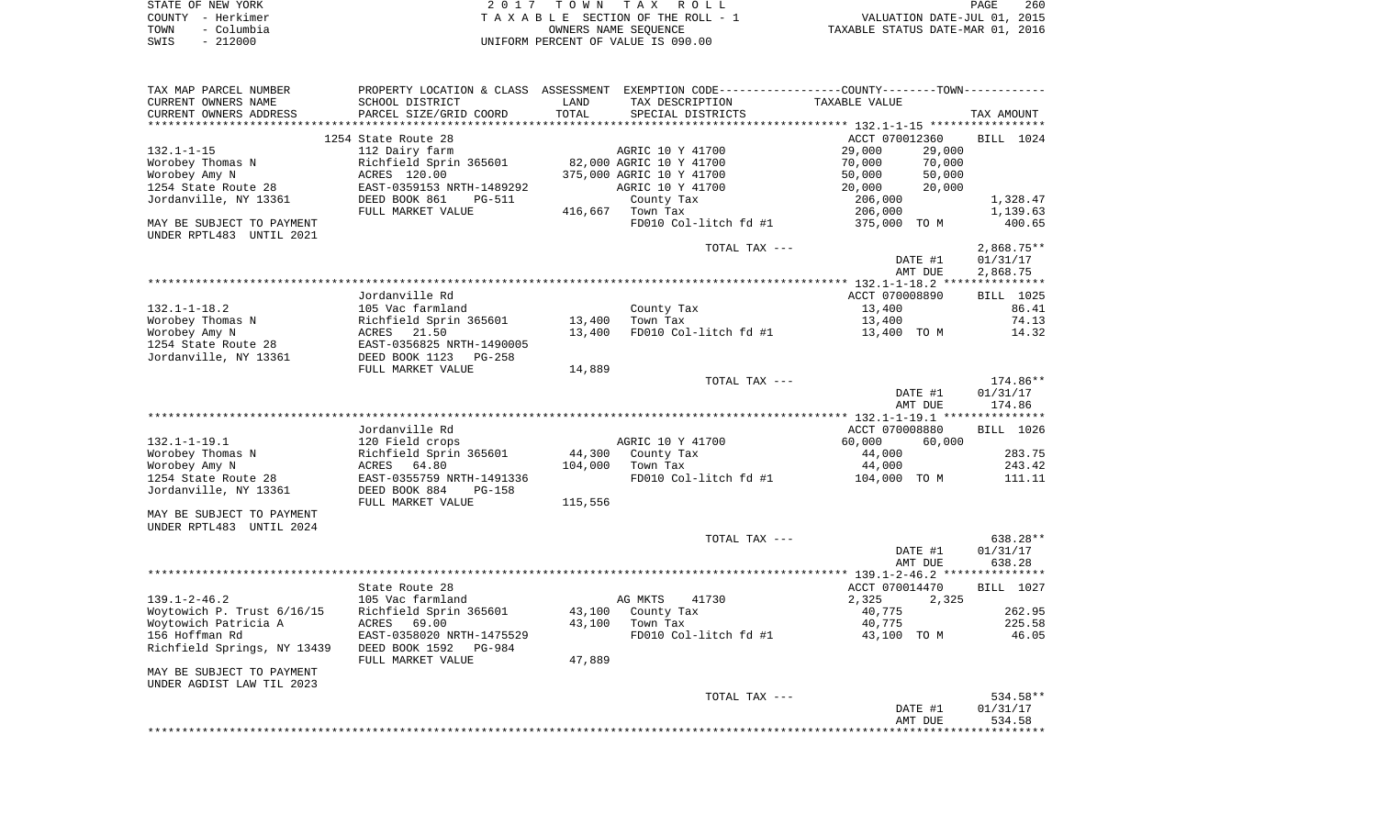| STATE OF NEW YORK  | 2017 TOWN TAX ROLL                 |                      |                                  | PAGE | 260 |
|--------------------|------------------------------------|----------------------|----------------------------------|------|-----|
| COUNTY – Herkimer  | TAXABLE SECTION OF THE ROLL - 1    |                      | VALUATION DATE-JUL 01, 2015      |      |     |
| - Columbia<br>TOWN |                                    | OWNERS NAME SEOUENCE | TAXABLE STATUS DATE-MAR 01, 2016 |      |     |
| $-212000$<br>SWIS  | UNIFORM PERCENT OF VALUE IS 090.00 |                      |                                  |      |     |

| TAX MAP PARCEL NUMBER<br>CURRENT OWNERS NAME<br>CURRENT OWNERS ADDRESS<br>************************ | PROPERTY LOCATION & CLASS<br>SCHOOL DISTRICT<br>PARCEL SIZE/GRID COORD          | ASSESSMENT<br>LAND<br>TOTAL | EXEMPTION CODE-----------------COUNTY-------TOWN-----------<br>TAX DESCRIPTION<br>SPECIAL DISTRICTS | TAXABLE VALUE                                                              | TAX AMOUNT                           |
|----------------------------------------------------------------------------------------------------|---------------------------------------------------------------------------------|-----------------------------|-----------------------------------------------------------------------------------------------------|----------------------------------------------------------------------------|--------------------------------------|
|                                                                                                    |                                                                                 |                             |                                                                                                     |                                                                            |                                      |
| $132.1 - 1 - 15$<br>Worobey Thomas N<br>Worobey Amy N                                              | 1254 State Route 28<br>112 Dairy farm<br>Richfield Sprin 365601<br>ACRES 120.00 |                             | AGRIC 10 Y 41700<br>82,000 AGRIC 10 Y 41700<br>375,000 AGRIC 10 Y 41700                             | ACCT 070012360<br>29,000<br>29,000<br>70,000<br>70,000<br>50,000<br>50,000 | BILL 1024                            |
| 1254 State Route 28                                                                                | EAST-0359153 NRTH-1489292                                                       |                             | AGRIC 10 Y 41700                                                                                    | 20,000<br>20,000                                                           |                                      |
| Jordanville, NY 13361                                                                              | DEED BOOK 861<br><b>PG-511</b>                                                  |                             | County Tax                                                                                          | 206,000                                                                    | 1,328.47                             |
|                                                                                                    | FULL MARKET VALUE                                                               | 416,667                     | Town Tax                                                                                            | 206,000                                                                    | 1,139.63                             |
| MAY BE SUBJECT TO PAYMENT                                                                          |                                                                                 |                             | FD010 Col-litch fd #1                                                                               | 375,000 TO M                                                               | 400.65                               |
| UNDER RPTL483 UNTIL 2021                                                                           |                                                                                 |                             |                                                                                                     |                                                                            |                                      |
|                                                                                                    |                                                                                 |                             | TOTAL TAX ---                                                                                       | DATE #1<br>AMT DUE                                                         | $2,868.75**$<br>01/31/17<br>2,868.75 |
|                                                                                                    |                                                                                 |                             |                                                                                                     |                                                                            |                                      |
|                                                                                                    | Jordanville Rd                                                                  |                             |                                                                                                     | ACCT 070008890                                                             | BILL 1025                            |
| $132.1 - 1 - 18.2$                                                                                 | 105 Vac farmland                                                                |                             | County Tax                                                                                          | 13,400                                                                     | 86.41                                |
| Worobey Thomas N                                                                                   | Richfield Sprin 365601                                                          | 13,400                      | Town Tax                                                                                            | 13,400                                                                     | 74.13                                |
| Worobey Amy N                                                                                      | 21.50<br>ACRES                                                                  | 13,400                      | FD010 Col-litch fd #1                                                                               | 13,400 TO M                                                                | 14.32                                |
| 1254 State Route 28<br>Jordanville, NY 13361                                                       | EAST-0356825 NRTH-1490005<br>DEED BOOK 1123<br>$PG-258$                         |                             |                                                                                                     |                                                                            |                                      |
|                                                                                                    | FULL MARKET VALUE                                                               | 14,889                      |                                                                                                     |                                                                            |                                      |
|                                                                                                    |                                                                                 |                             | TOTAL TAX ---                                                                                       |                                                                            | 174.86**                             |
|                                                                                                    |                                                                                 |                             |                                                                                                     | DATE #1<br>AMT DUE                                                         | 01/31/17<br>174.86                   |
|                                                                                                    |                                                                                 |                             |                                                                                                     |                                                                            |                                      |
|                                                                                                    | Jordanville Rd                                                                  |                             |                                                                                                     | ACCT 070008880                                                             | BILL 1026                            |
| $132.1 - 1 - 19.1$                                                                                 | 120 Field crops                                                                 |                             | AGRIC 10 Y 41700                                                                                    | 60,000<br>60,000                                                           |                                      |
| Worobey Thomas N                                                                                   | Richfield Sprin 365601                                                          | 44,300                      | County Tax                                                                                          | 44,000                                                                     | 283.75                               |
| Worobey Amy N                                                                                      | 64.80<br>ACRES                                                                  | 104,000                     | Town Tax                                                                                            | 44,000                                                                     | 243.42                               |
| 1254 State Route 28                                                                                | EAST-0355759 NRTH-1491336                                                       |                             | FD010 Col-litch fd #1                                                                               | 104,000 TO M                                                               | 111.11                               |
| Jordanville, NY 13361                                                                              | DEED BOOK 884<br><b>PG-158</b><br>FULL MARKET VALUE                             | 115,556                     |                                                                                                     |                                                                            |                                      |
| MAY BE SUBJECT TO PAYMENT<br>UNDER RPTL483 UNTIL 2024                                              |                                                                                 |                             |                                                                                                     |                                                                            |                                      |
|                                                                                                    |                                                                                 |                             | TOTAL TAX ---                                                                                       |                                                                            | 638.28**                             |
|                                                                                                    |                                                                                 |                             |                                                                                                     | DATE #1<br>AMT DUE                                                         | 01/31/17<br>638.28                   |
|                                                                                                    |                                                                                 |                             |                                                                                                     | ******** 139.1-2-46.2 ***************                                      |                                      |
| $139.1 - 2 - 46.2$                                                                                 | State Route 28<br>105 Vac farmland                                              |                             | AG MKTS<br>41730                                                                                    | ACCT 070014470<br>2,325<br>2,325                                           | BILL 1027                            |
| Woytowich P. Trust 6/16/15                                                                         | Richfield Sprin 365601                                                          | 43,100                      | County Tax                                                                                          | 40,775                                                                     | 262.95                               |
| Woytowich Patricia A                                                                               | ACRES<br>69.00                                                                  | 43,100                      | Town Tax                                                                                            | 40,775                                                                     | 225.58                               |
| 156 Hoffman Rd                                                                                     | EAST-0358020 NRTH-1475529                                                       |                             | FD010 Col-litch fd #1                                                                               | 43,100 TO M                                                                | 46.05                                |
| Richfield Springs, NY 13439                                                                        | DEED BOOK 1592<br><b>PG-984</b><br>FULL MARKET VALUE                            | 47,889                      |                                                                                                     |                                                                            |                                      |
| MAY BE SUBJECT TO PAYMENT<br>UNDER AGDIST LAW TIL 2023                                             |                                                                                 |                             |                                                                                                     |                                                                            |                                      |
|                                                                                                    |                                                                                 |                             |                                                                                                     |                                                                            | 534.58**                             |
|                                                                                                    |                                                                                 |                             | TOTAL TAX ---                                                                                       |                                                                            |                                      |
|                                                                                                    |                                                                                 |                             |                                                                                                     | DATE #1<br>AMT DUE                                                         | 01/31/17<br>534.58                   |
|                                                                                                    |                                                                                 |                             |                                                                                                     |                                                                            |                                      |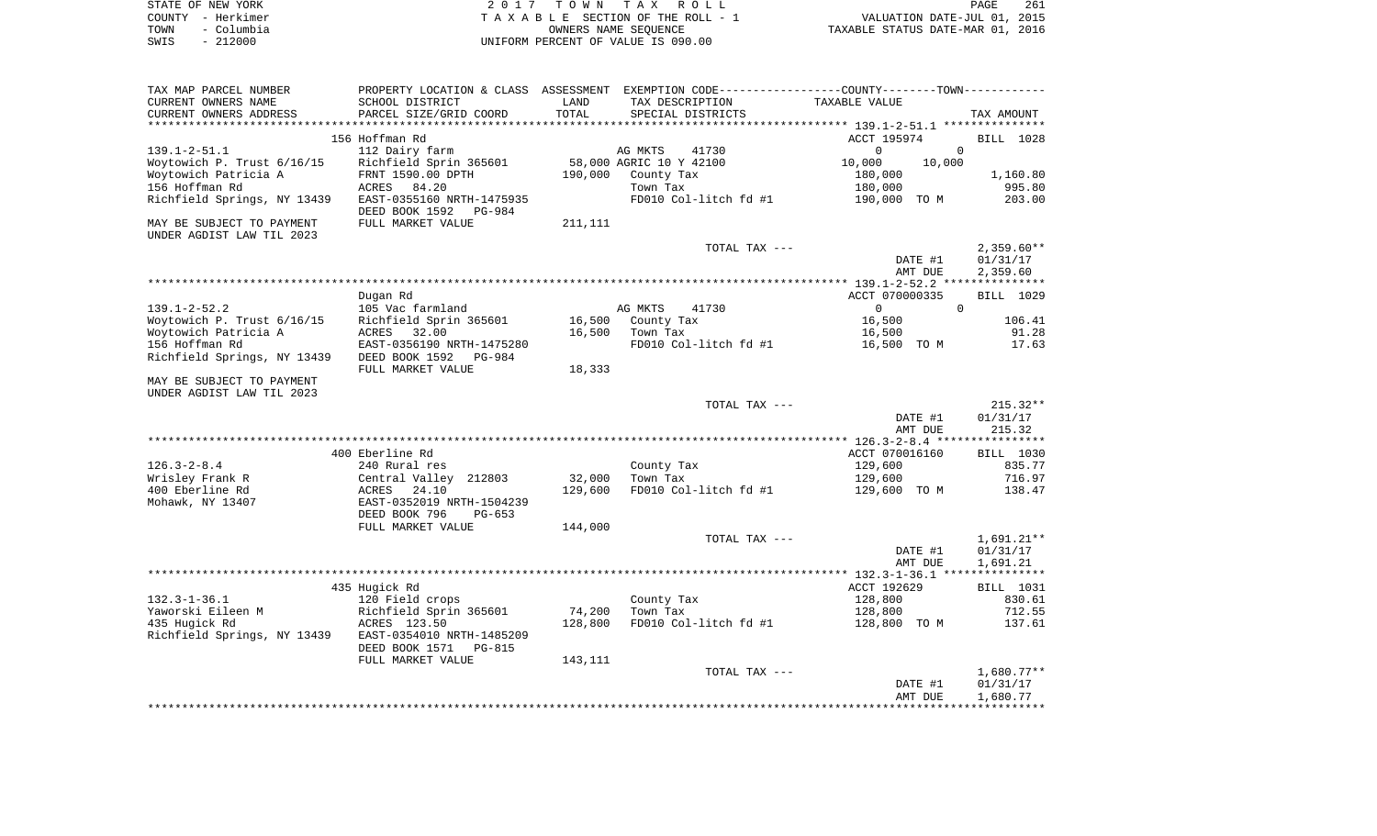| STATE OF NEW YORK  | 2017 TOWN TAX ROLL                 | PAGE                             | 261 |
|--------------------|------------------------------------|----------------------------------|-----|
| COUNTY - Herkimer  | TAXABLE SECTION OF THE ROLL - 1    | VALUATION DATE-JUL 01, 2015      |     |
| – Columbia<br>TOWN | OWNERS NAME SEOUENCE               | TAXABLE STATUS DATE-MAR 01, 2016 |     |
| $-212000$<br>SWIS  | INIFORM PERCENT OF VALUE IS 090.00 |                                  |     |

| TAX MAP PARCEL NUMBER                                  |                                                         |                   |                                   | PROPERTY LOCATION & CLASS ASSESSMENT EXEMPTION CODE---------------COUNTY-------TOWN---------- |                    |
|--------------------------------------------------------|---------------------------------------------------------|-------------------|-----------------------------------|-----------------------------------------------------------------------------------------------|--------------------|
| CURRENT OWNERS NAME                                    | SCHOOL DISTRICT                                         | LAND              | TAX DESCRIPTION                   | TAXABLE VALUE                                                                                 |                    |
| CURRENT OWNERS ADDRESS                                 | PARCEL SIZE/GRID COORD<br>***************************** | TOTAL             | SPECIAL DISTRICTS                 |                                                                                               | TAX AMOUNT         |
| **********************                                 |                                                         |                   |                                   |                                                                                               |                    |
|                                                        | 156 Hoffman Rd                                          |                   |                                   | ACCT 195974                                                                                   | BILL 1028          |
| $139.1 - 2 - 51.1$                                     | 112 Dairy farm                                          |                   | AG MKTS<br>41730                  | $\Omega$<br>$\Omega$                                                                          |                    |
| Woytowich P. Trust 6/16/15                             | Richfield Sprin 365601<br>FRNT 1590.00 DPTH             | 190,000           | 58,000 AGRIC 10 Y 42100           | 10,000<br>10,000                                                                              |                    |
| Woytowich Patricia A<br>156 Hoffman Rd                 | <b>ACRES</b><br>84.20                                   |                   | County Tax<br>Town Tax            | 180,000<br>180,000                                                                            | 1,160.80<br>995.80 |
| Richfield Springs, NY 13439                            | EAST-0355160 NRTH-1475935                               |                   | FD010 Col-litch fd #1             | 190,000 TO M                                                                                  | 203.00             |
|                                                        | DEED BOOK 1592<br>PG-984                                |                   |                                   |                                                                                               |                    |
| MAY BE SUBJECT TO PAYMENT                              | FULL MARKET VALUE                                       | 211,111           |                                   |                                                                                               |                    |
| UNDER AGDIST LAW TIL 2023                              |                                                         |                   |                                   |                                                                                               |                    |
|                                                        |                                                         |                   | TOTAL TAX ---                     |                                                                                               | $2,359.60**$       |
|                                                        |                                                         |                   |                                   | DATE #1                                                                                       | 01/31/17           |
|                                                        |                                                         |                   |                                   | AMT DUE                                                                                       | 2,359.60           |
|                                                        |                                                         |                   |                                   |                                                                                               |                    |
|                                                        | Dugan Rd                                                |                   |                                   | ACCT 070000335                                                                                | BILL 1029          |
| $139.1 - 2 - 52.2$                                     | 105 Vac farmland                                        |                   | 41730<br>AG MKTS                  | $\overline{0}$<br>$\Omega$                                                                    |                    |
| Woytowich P. Trust 6/16/15                             | Richfield Sprin 365601                                  | 16,500            | County Tax                        | 16,500                                                                                        | 106.41             |
| Woytowich Patricia A                                   | ACRES<br>32.00                                          | 16,500            | Town Tax                          | 16,500                                                                                        | 91.28              |
| 156 Hoffman Rd                                         | EAST-0356190 NRTH-1475280                               |                   | FD010 Col-litch fd #1             | 16,500 TO M                                                                                   | 17.63              |
| Richfield Springs, NY 13439                            | DEED BOOK 1592<br>PG-984                                |                   |                                   |                                                                                               |                    |
|                                                        | FULL MARKET VALUE                                       | 18,333            |                                   |                                                                                               |                    |
| MAY BE SUBJECT TO PAYMENT<br>UNDER AGDIST LAW TIL 2023 |                                                         |                   |                                   |                                                                                               |                    |
|                                                        |                                                         |                   | TOTAL TAX ---                     |                                                                                               | $215.32**$         |
|                                                        |                                                         |                   |                                   | DATE #1                                                                                       | 01/31/17           |
|                                                        |                                                         |                   |                                   | AMT DUE                                                                                       | 215.32             |
|                                                        |                                                         |                   |                                   |                                                                                               |                    |
|                                                        | 400 Eberline Rd                                         |                   |                                   | ACCT 070016160                                                                                | BILL 1030          |
| $126.3 - 2 - 8.4$                                      | 240 Rural res                                           |                   | County Tax                        | 129,600                                                                                       | 835.77             |
| Wrisley Frank R<br>400 Eberline Rd                     | Central Valley 212803<br>24.10                          | 32,000<br>129,600 | Town Tax<br>FD010 Col-litch fd #1 | 129,600<br>129,600 TO M                                                                       | 716.97<br>138.47   |
| Mohawk, NY 13407                                       | ACRES<br>EAST-0352019 NRTH-1504239                      |                   |                                   |                                                                                               |                    |
|                                                        | DEED BOOK 796<br>$PG-653$                               |                   |                                   |                                                                                               |                    |
|                                                        | FULL MARKET VALUE                                       | 144,000           |                                   |                                                                                               |                    |
|                                                        |                                                         |                   | TOTAL TAX ---                     |                                                                                               | $1,691.21**$       |
|                                                        |                                                         |                   |                                   | DATE #1                                                                                       | 01/31/17           |
|                                                        |                                                         |                   |                                   | AMT DUE                                                                                       | 1,691.21           |
|                                                        |                                                         |                   |                                   |                                                                                               |                    |
|                                                        | 435 Hugick Rd                                           |                   |                                   | ACCT 192629                                                                                   | <b>BILL</b> 1031   |
| $132.3 - 1 - 36.1$                                     | 120 Field crops                                         |                   | County Tax                        | 128,800                                                                                       | 830.61             |
| Yaworski Eileen M                                      | Richfield Sprin 365601                                  | 74,200            | Town Tax                          | 128,800                                                                                       | 712.55             |
| 435 Hugick Rd                                          | ACRES 123.50                                            | 128,800           | FD010 Col-litch fd #1             | 128,800 TO M                                                                                  | 137.61             |
| Richfield Springs, NY 13439                            | EAST-0354010 NRTH-1485209                               |                   |                                   |                                                                                               |                    |
|                                                        | DEED BOOK 1571<br>PG-815                                |                   |                                   |                                                                                               |                    |
|                                                        | FULL MARKET VALUE                                       | 143,111           |                                   |                                                                                               |                    |
|                                                        |                                                         |                   | TOTAL TAX ---                     |                                                                                               | $1,680.77**$       |
|                                                        |                                                         |                   |                                   | DATE #1                                                                                       | 01/31/17           |
|                                                        |                                                         |                   |                                   | AMT DUE                                                                                       | 1,680.77           |
|                                                        |                                                         |                   |                                   |                                                                                               |                    |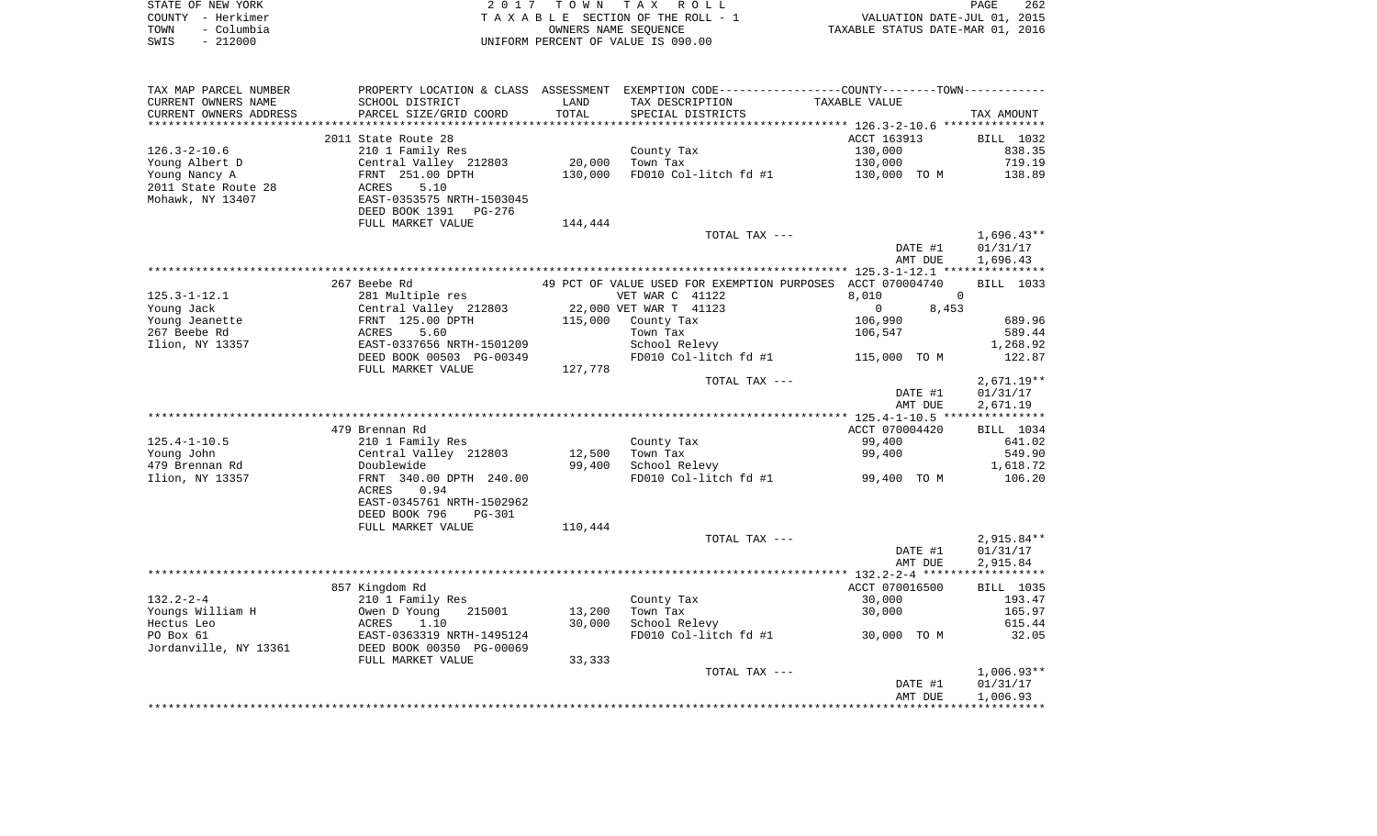|      | STATE OF NEW YORK | 2017 TOWN TAX ROLL                 | PAGE                             | 262 |
|------|-------------------|------------------------------------|----------------------------------|-----|
|      | COUNTY - Herkimer | TAXABLE SECTION OF THE ROLL - 1    | VALUATION DATE-JUL 01, 2015      |     |
| TOWN | – Columbia        | OWNERS NAME SEOUENCE               | TAXABLE STATUS DATE-MAR 01, 2016 |     |
| SWIS | $-212000$         | UNIFORM PERCENT OF VALUE IS 090.00 |                                  |     |

| TAX MAP PARCEL NUMBER  |                                |         | PROPERTY LOCATION & CLASS ASSESSMENT EXEMPTION CODE---------------COUNTY-------TOWN--------- |                   |              |
|------------------------|--------------------------------|---------|----------------------------------------------------------------------------------------------|-------------------|--------------|
| CURRENT OWNERS NAME    | SCHOOL DISTRICT                | LAND    | TAX DESCRIPTION                                                                              | TAXABLE VALUE     |              |
| CURRENT OWNERS ADDRESS | PARCEL SIZE/GRID COORD         | TOTAL   | SPECIAL DISTRICTS                                                                            |                   | TAX AMOUNT   |
|                        |                                |         |                                                                                              |                   |              |
|                        | 2011 State Route 28            |         |                                                                                              | ACCT 163913       | BILL 1032    |
| $126.3 - 2 - 10.6$     | 210 1 Family Res               |         | County Tax                                                                                   | 130,000           | 838.35       |
| Young Albert D         | Central Valley 212803          | 20,000  | Town Tax                                                                                     | 130,000           | 719.19       |
| Young Nancy A          | FRNT 251.00 DPTH               | 130,000 | FD010 Col-litch fd #1                                                                        | 130,000 TO M      | 138.89       |
| 2011 State Route 28    | 5.10<br>ACRES                  |         |                                                                                              |                   |              |
| Mohawk, NY 13407       | EAST-0353575 NRTH-1503045      |         |                                                                                              |                   |              |
|                        | DEED BOOK 1391 PG-276          |         |                                                                                              |                   |              |
|                        |                                |         |                                                                                              |                   |              |
|                        | FULL MARKET VALUE              | 144,444 |                                                                                              |                   |              |
|                        |                                |         | TOTAL TAX ---                                                                                |                   | $1,696.43**$ |
|                        |                                |         |                                                                                              | DATE #1           | 01/31/17     |
|                        |                                |         |                                                                                              | AMT DUE           | 1,696.43     |
|                        |                                |         |                                                                                              |                   |              |
|                        | 267 Beebe Rd                   |         | 49 PCT OF VALUE USED FOR EXEMPTION PURPOSES ACCT 070004740                                   |                   | BILL 1033    |
| $125.3 - 1 - 12.1$     | 281 Multiple res               |         | VET WAR C 41122                                                                              | 8,010<br>$\Omega$ |              |
| Young Jack             | Central Valley 212803          |         | 22,000 VET WAR T 41123                                                                       | 8,453<br>$\circ$  |              |
| Young Jeanette         | FRNT 125.00 DPTH               |         | $115,000$ County Tax                                                                         | 106,990           | 689.96       |
| 267 Beebe Rd           | ACRES<br>5.60                  |         | Town Tax                                                                                     | 106,547           | 589.44       |
| Ilion, NY 13357        | EAST-0337656 NRTH-1501209      |         | School Relevy                                                                                |                   | 1,268.92     |
|                        | DEED BOOK 00503 PG-00349       |         | FD010 Col-litch fd #1 115,000 TO M                                                           |                   | 122.87       |
|                        | FULL MARKET VALUE              | 127,778 |                                                                                              |                   |              |
|                        |                                |         | TOTAL TAX ---                                                                                |                   | $2,671.19**$ |
|                        |                                |         |                                                                                              | DATE #1           | 01/31/17     |
|                        |                                |         |                                                                                              | AMT DUE           | 2,671.19     |
|                        |                                |         |                                                                                              |                   |              |
|                        | 479 Brennan Rd                 |         |                                                                                              | ACCT 070004420    | BILL 1034    |
|                        |                                |         |                                                                                              |                   |              |
| $125.4 - 1 - 10.5$     | 210 1 Family Res               |         | County Tax                                                                                   | 99,400            | 641.02       |
| Young John             | Central Valley 212803          | 12,500  | Town Tax                                                                                     | 99,400            | 549.90       |
| 479 Brennan Rd         | Doublewide                     | 99,400  | School Relevy                                                                                |                   | 1,618.72     |
| Ilion, NY 13357        | FRNT 340.00 DPTH 240.00        |         | FD010 Col-litch fd #1 99,400 TO M                                                            |                   | 106.20       |
|                        | ACRES<br>0.94                  |         |                                                                                              |                   |              |
|                        | EAST-0345761 NRTH-1502962      |         |                                                                                              |                   |              |
|                        | DEED BOOK 796<br><b>PG-301</b> |         |                                                                                              |                   |              |
|                        | FULL MARKET VALUE              | 110,444 |                                                                                              |                   |              |
|                        |                                |         | TOTAL TAX ---                                                                                |                   | $2,915.84**$ |
|                        |                                |         |                                                                                              | DATE #1           | 01/31/17     |
|                        |                                |         |                                                                                              | AMT DUE           | 2,915.84     |
|                        |                                |         |                                                                                              |                   |              |
|                        | 857 Kingdom Rd                 |         |                                                                                              | ACCT 070016500    | BILL 1035    |
| $132.2 - 2 - 4$        | 210 1 Family Res               |         | County Tax                                                                                   | 30,000            | 193.47       |
| Youngs William H       | Owen D Young<br>215001         | 13,200  | Town Tax                                                                                     | 30,000            | 165.97       |
| Hectus Leo             | 1.10<br>ACRES                  | 30,000  | School Relevy                                                                                |                   | 615.44       |
| PO Box 61              | EAST-0363319 NRTH-1495124      |         | FD010 Col-litch $fd$ #1 30,000 TO M                                                          |                   | 32.05        |
| Jordanville, NY 13361  | DEED BOOK 00350 PG-00069       |         |                                                                                              |                   |              |
|                        |                                |         |                                                                                              |                   |              |
|                        | FULL MARKET VALUE              | 33,333  |                                                                                              |                   |              |
|                        |                                |         | TOTAL TAX ---                                                                                |                   | $1,006.93**$ |
|                        |                                |         |                                                                                              | DATE #1           | 01/31/17     |
|                        |                                |         |                                                                                              | AMT DUE           | 1,006.93     |
|                        |                                |         |                                                                                              |                   |              |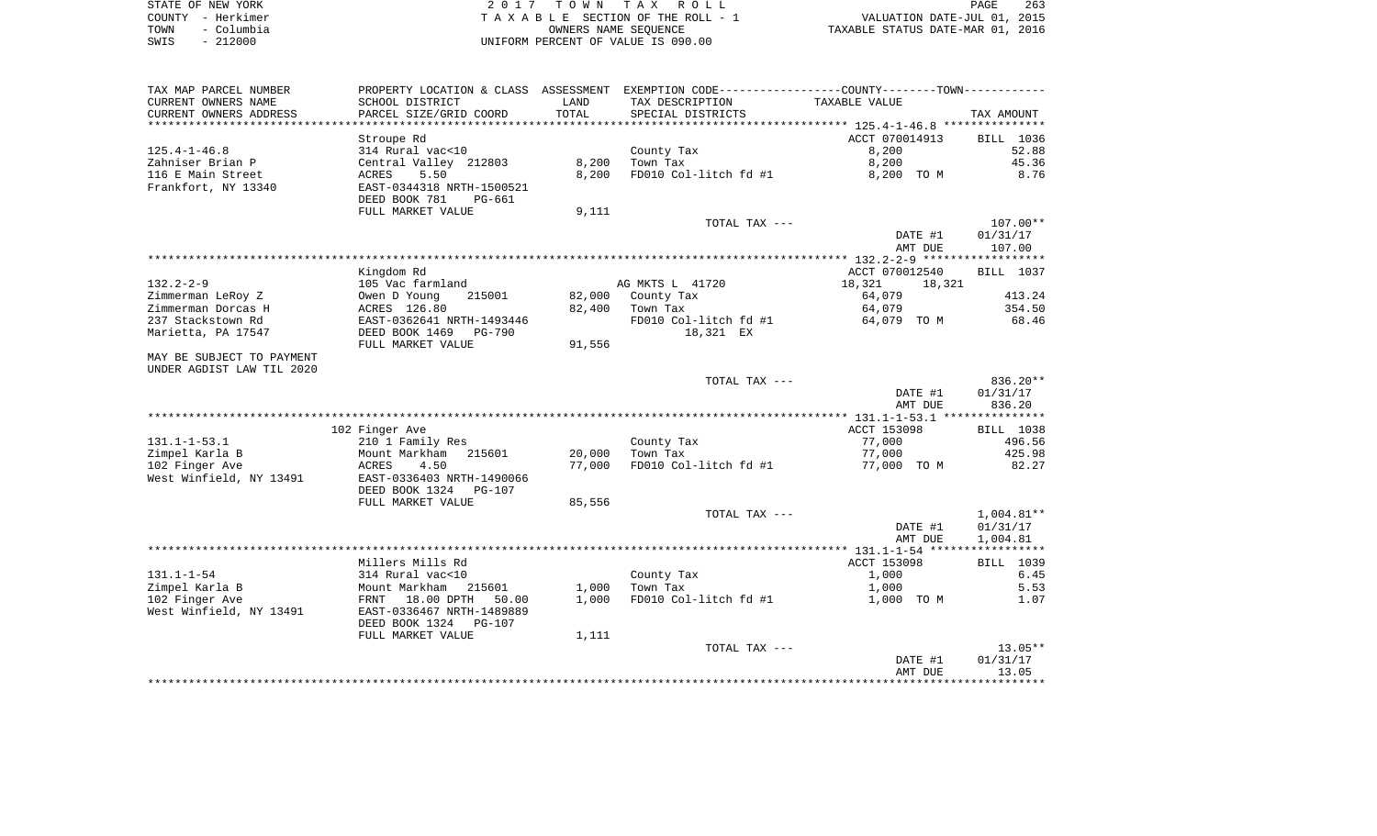| STATE OF NEW YORK  | 2017 TOWN TAX ROLL                 | 263<br>PAGE                      |
|--------------------|------------------------------------|----------------------------------|
| COUNTY - Herkimer  | TAXABLE SECTION OF THE ROLL - 1    | VALUATION DATE-JUL 01, 2015      |
| – Columbia<br>TOWN | OWNERS NAME SEOUENCE               | TAXABLE STATUS DATE-MAR 01, 2016 |
| $-212000$<br>SWIS  | UNIFORM PERCENT OF VALUE IS 090.00 |                                  |

| TAX MAP PARCEL NUMBER     | PROPERTY LOCATION & CLASS ASSESSMENT EXEMPTION CODE---------------COUNTY-------TOWN---------- |        |                       |                  |            |
|---------------------------|-----------------------------------------------------------------------------------------------|--------|-----------------------|------------------|------------|
| CURRENT OWNERS NAME       | SCHOOL DISTRICT                                                                               | LAND   | TAX DESCRIPTION       | TAXABLE VALUE    |            |
| CURRENT OWNERS ADDRESS    | PARCEL SIZE/GRID COORD                                                                        | TOTAL  | SPECIAL DISTRICTS     |                  | TAX AMOUNT |
|                           |                                                                                               |        |                       |                  |            |
|                           | Stroupe Rd                                                                                    |        |                       | ACCT 070014913   | BILL 1036  |
| $125.4 - 1 - 46.8$        | 314 Rural vac<10                                                                              |        | County Tax            | 8,200            | 52.88      |
| Zahniser Brian P          | Central Valley 212803                                                                         | 8,200  | Town Tax              | 8,200            | 45.36      |
| 116 E Main Street         | 5.50<br>ACRES                                                                                 | 8,200  | FD010 Col-litch fd #1 | 8,200 TO M       | 8.76       |
| Frankfort, NY 13340       | EAST-0344318 NRTH-1500521<br>DEED BOOK 781<br>PG-661                                          |        |                       |                  |            |
|                           | FULL MARKET VALUE                                                                             | 9,111  |                       |                  |            |
|                           |                                                                                               |        | TOTAL TAX ---         |                  | $107.00**$ |
|                           |                                                                                               |        |                       | DATE #1          | 01/31/17   |
|                           |                                                                                               |        |                       | AMT DUE          | 107.00     |
|                           |                                                                                               |        |                       |                  |            |
|                           | Kingdom Rd                                                                                    |        |                       | ACCT 070012540   | BILL 1037  |
| $132.2 - 2 - 9$           | 105 Vac farmland                                                                              |        | AG MKTS L 41720       | 18,321<br>18,321 |            |
| Zimmerman LeRoy Z         | Owen D Young<br>215001                                                                        |        | 82,000 County Tax     | 64,079           | 413.24     |
| Zimmerman Dorcas H        | ACRES 126.80                                                                                  | 82,400 | Town Tax              | 64,079           | 354.50     |
| 237 Stackstown Rd         | EAST-0362641 NRTH-1493446                                                                     |        | FD010 Col-litch fd #1 | 64,079 TO M      | 68.46      |
| Marietta, PA 17547        | DEED BOOK 1469<br>PG-790                                                                      |        | 18,321 EX             |                  |            |
|                           | FULL MARKET VALUE                                                                             | 91,556 |                       |                  |            |
| MAY BE SUBJECT TO PAYMENT |                                                                                               |        |                       |                  |            |
| UNDER AGDIST LAW TIL 2020 |                                                                                               |        |                       |                  |            |
|                           |                                                                                               |        | TOTAL TAX ---         |                  | 836.20**   |
|                           |                                                                                               |        |                       | DATE #1          | 01/31/17   |
|                           |                                                                                               |        |                       | AMT DUE          | 836.20     |
|                           |                                                                                               |        |                       |                  |            |
|                           | 102 Finger Ave                                                                                |        |                       | ACCT 153098      | BILL 1038  |
| $131.1 - 1 - 53.1$        | 210 1 Family Res                                                                              |        | County Tax            | 77,000           | 496.56     |
| Zimpel Karla B            | Mount Markham 215601                                                                          | 20,000 | Town Tax              | 77,000           | 425.98     |
| 102 Finger Ave            | ACRES<br>4.50                                                                                 | 77,000 | FD010 Col-litch fd #1 | 77,000 TO M      | 82.27      |
| West Winfield, NY 13491   | EAST-0336403 NRTH-1490066<br>DEED BOOK 1324 PG-107                                            |        |                       |                  |            |
|                           | FULL MARKET VALUE                                                                             | 85,556 |                       |                  |            |
|                           |                                                                                               |        | TOTAL TAX ---         |                  | 1,004.81** |
|                           |                                                                                               |        |                       | DATE #1          | 01/31/17   |
|                           |                                                                                               |        |                       | AMT DUE          | 1,004.81   |
|                           |                                                                                               |        |                       |                  |            |
|                           | Millers Mills Rd                                                                              |        |                       | ACCT 153098      | BILL 1039  |
| $131.1 - 1 - 54$          | 314 Rural vac<10                                                                              |        | County Tax            | 1,000            | 6.45       |
| Zimpel Karla B            | Mount Markham 215601                                                                          | 1,000  | Town Tax              | 1,000            | 5.53       |
| 102 Finger Ave            | FRNT 18.00 DPTH 50.00                                                                         | 1,000  | FD010 Col-litch fd #1 | 1,000 TO M       | 1.07       |
| West Winfield, NY 13491   | EAST-0336467 NRTH-1489889                                                                     |        |                       |                  |            |
|                           | DEED BOOK 1324 PG-107                                                                         |        |                       |                  |            |
|                           | FULL MARKET VALUE                                                                             | 1,111  |                       |                  |            |
|                           |                                                                                               |        | TOTAL TAX ---         |                  | $13.05**$  |
|                           |                                                                                               |        |                       | DATE #1          | 01/31/17   |
|                           |                                                                                               |        |                       | AMT DUE          | 13.05      |
|                           |                                                                                               |        |                       |                  |            |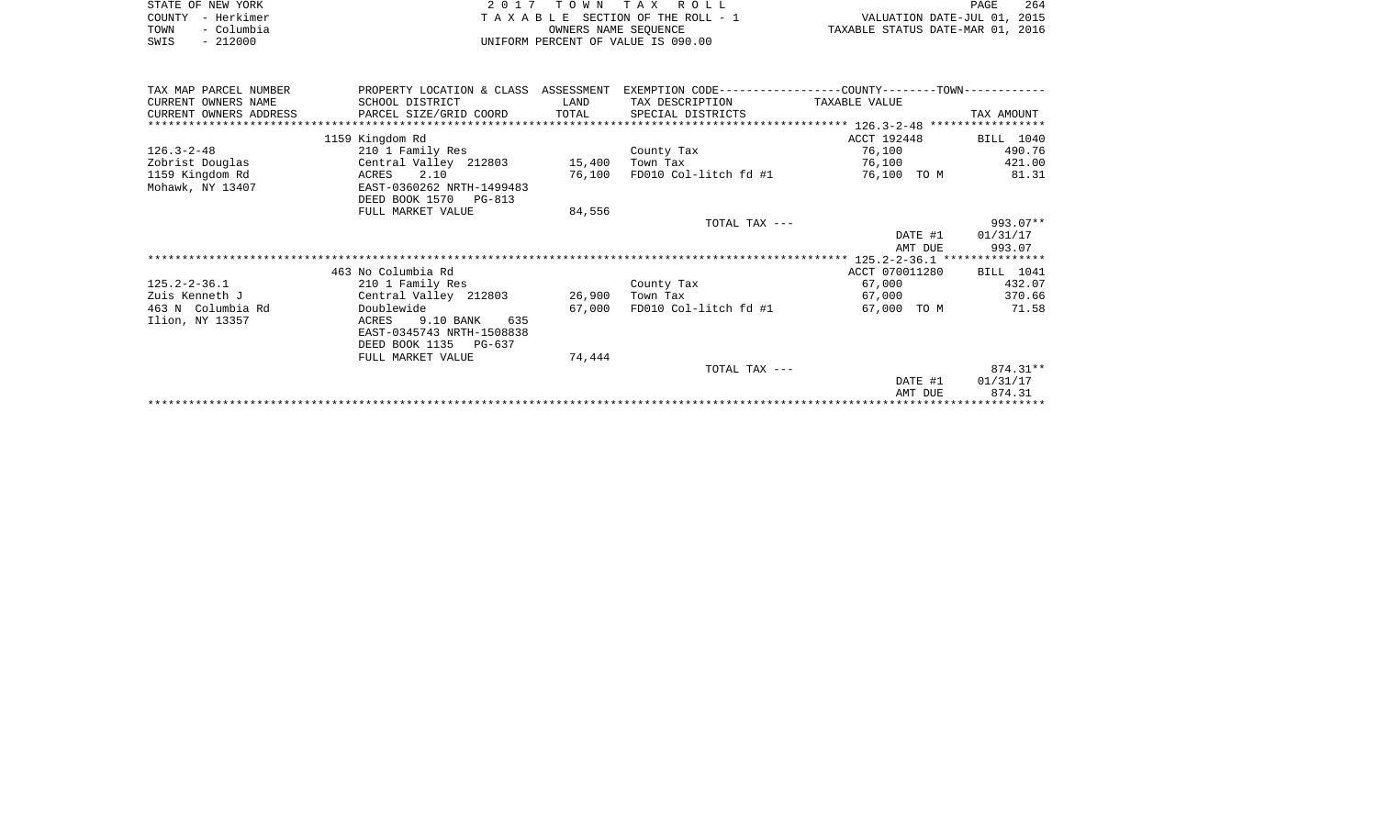| STATE OF NEW YORK  | 2017 TOWN TAX ROLL                 | 264<br>PAGE                      |
|--------------------|------------------------------------|----------------------------------|
| COUNTY - Herkimer  | TAXABLE SECTION OF THE ROLL - 1    | VALUATION DATE-JUL 01, 2015      |
| - Columbia<br>TOWN | OWNERS NAME SEOUENCE               | TAXABLE STATUS DATE-MAR 01, 2016 |
| $-212000$<br>SWIS  | UNIFORM PERCENT OF VALUE IS 090.00 |                                  |

| TAX MAP PARCEL NUMBER  | PROPERTY LOCATION & CLASS ASSESSMENT |        |                       |                |            |
|------------------------|--------------------------------------|--------|-----------------------|----------------|------------|
| CURRENT OWNERS NAME    | SCHOOL DISTRICT                      | LAND   | TAX DESCRIPTION       | TAXABLE VALUE  |            |
| CURRENT OWNERS ADDRESS | PARCEL SIZE/GRID COORD               | TOTAL  | SPECIAL DISTRICTS     |                | TAX AMOUNT |
|                        |                                      |        |                       |                |            |
|                        | 1159 Kingdom Rd                      |        |                       | ACCT 192448    | BILL 1040  |
| $126.3 - 2 - 48$       | 210 1 Family Res                     |        | County Tax            | 76,100         | 490.76     |
| Zobrist Douglas        | Central Valley 212803                | 15,400 | Town Tax              | 76,100         | 421.00     |
| 1159 Kingdom Rd        | 2.10<br>ACRES                        | 76,100 | FD010 Col-litch fd #1 | 76,100 TO M    | 81.31      |
| Mohawk, NY 13407       | EAST-0360262 NRTH-1499483            |        |                       |                |            |
|                        | DEED BOOK 1570 PG-813                |        |                       |                |            |
|                        | FULL MARKET VALUE                    | 84,556 |                       |                |            |
|                        |                                      |        | TOTAL TAX ---         |                | 993.07**   |
|                        |                                      |        |                       | DATE #1        | 01/31/17   |
|                        |                                      |        |                       | AMT DUE        | 993.07     |
|                        |                                      |        |                       |                |            |
|                        | 463 No Columbia Rd                   |        |                       | ACCT 070011280 | BILL 1041  |
| $125.2 - 2 - 36.1$     | 210 1 Family Res                     |        | County Tax            | 67,000         | 432.07     |
| Zuis Kenneth J         | Central Valley 212803                | 26,900 | Town Tax              | 67,000         | 370.66     |
| 463 N Columbia Rd      | Doublewide                           | 67,000 | FD010 Col-litch fd #1 | 67,000 TO M    | 71.58      |
| Ilion, NY 13357        | 9.10 BANK<br>ACRES<br>635            |        |                       |                |            |
|                        | EAST-0345743 NRTH-1508838            |        |                       |                |            |
|                        | DEED BOOK 1135<br>PG-637             |        |                       |                |            |
|                        | FULL MARKET VALUE                    | 74,444 |                       |                |            |
|                        |                                      |        | TOTAL TAX ---         |                | $874.31**$ |
|                        |                                      |        |                       | DATE #1        | 01/31/17   |
|                        |                                      |        |                       | AMT DUE        | 874.31     |
|                        |                                      |        |                       |                |            |
|                        |                                      |        |                       |                |            |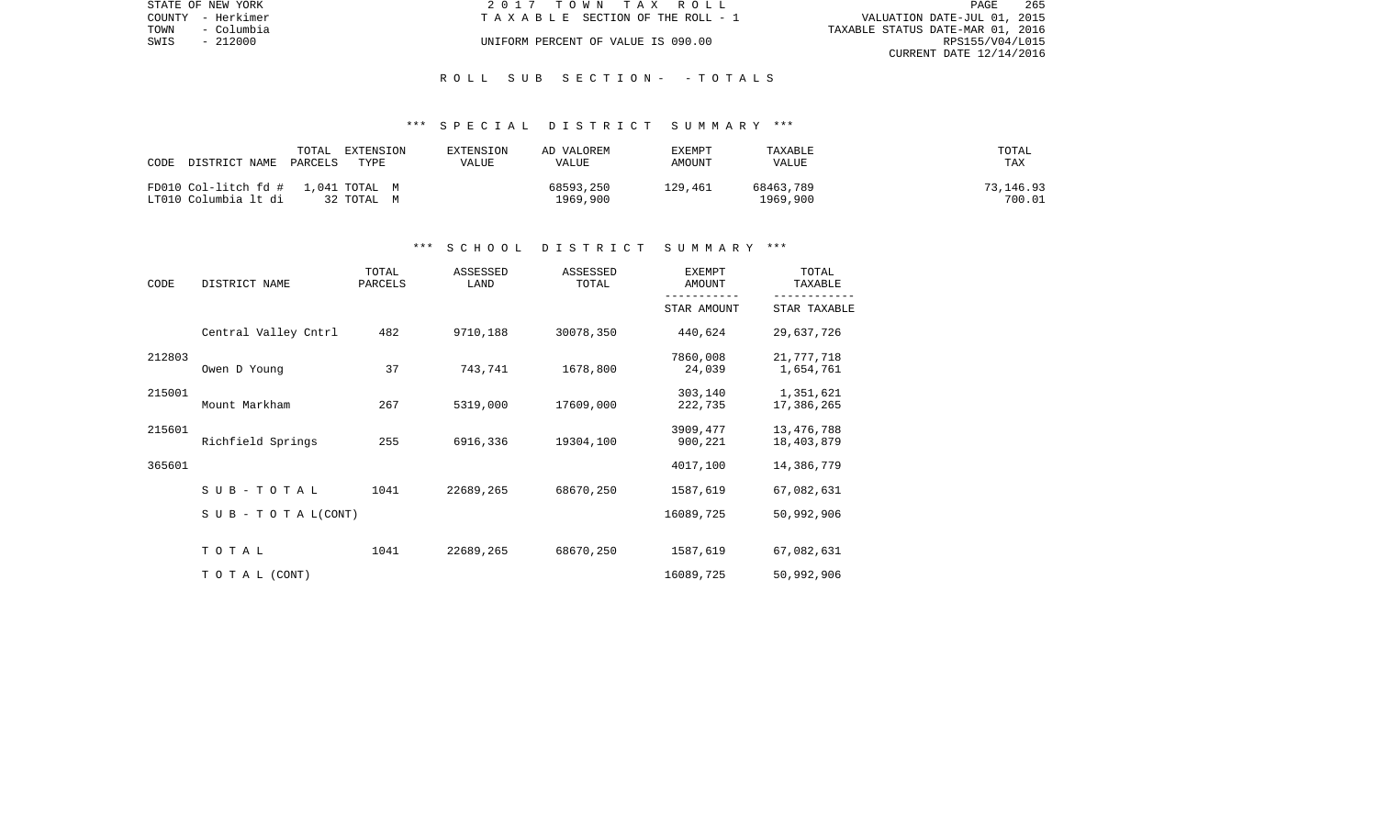|      | STATE OF NEW YORK | 2017 TOWN TAX ROLL                 | PAGE                             | 265 |
|------|-------------------|------------------------------------|----------------------------------|-----|
|      | COUNTY - Herkimer | TAXABLE SECTION OF THE ROLL - 1    | VALUATION DATE-JUL 01, 2015      |     |
| TOWN | - Columbia        |                                    | TAXABLE STATUS DATE-MAR 01, 2016 |     |
| SWIS | $-212000$         | UNIFORM PERCENT OF VALUE IS 090.00 | RPS155/V04/L015                  |     |
|      |                   |                                    | CURRENT DATE 12/14/2016          |     |

#### R O L L S U B S E C T I O N - - T O T A L S

#### \*\*\* S P E C I A L D I S T R I C T S U M M A R Y \*\*\*

| TOTAL<br>CODE<br>DISTRICT NAME<br>PARCELS                  | EXTENSION<br>TYPE | EXTENSION<br>VALUE | AD VALOREM<br>VALUE   | EXEMPT<br>AMOUNT | TAXABLE<br>VALUE      | TOTAL<br>TAX        |
|------------------------------------------------------------|-------------------|--------------------|-----------------------|------------------|-----------------------|---------------------|
| FD010 Col-litch fd # 1,041 TOTAL M<br>LT010 Columbia lt di | 32 TOTAL M        |                    | 68593,250<br>1969,900 | 129,461          | 68463,789<br>1969,900 | 73,146.93<br>700.01 |

#### \*\*\* S C H O O L D I S T R I C T S U M M A R Y \*\*\*

| CODE   | DISTRICT NAME                    | TOTAL<br>PARCELS | ASSESSED<br>LAND | ASSESSED<br>TOTAL | <b>EXEMPT</b><br>AMOUNT | TOTAL<br>TAXABLE |
|--------|----------------------------------|------------------|------------------|-------------------|-------------------------|------------------|
|        |                                  |                  |                  |                   | STAR AMOUNT             | STAR TAXABLE     |
|        | Central Valley Cntrl             | 482              | 9710,188         | 30078,350         | 440,624                 | 29,637,726       |
| 212803 |                                  |                  |                  |                   | 7860,008                | 21,777,718       |
|        | Owen D Young                     | 37               | 743,741          | 1678,800          | 24,039                  | 1,654,761        |
| 215001 |                                  |                  |                  |                   | 303,140                 | 1,351,621        |
|        | Mount Markham                    | 267              | 5319,000         | 17609,000         | 222,735                 | 17,386,265       |
| 215601 |                                  |                  |                  |                   | 3909,477                | 13,476,788       |
|        | Richfield Springs                | 255              | 6916,336         | 19304,100         | 900,221                 | 18,403,879       |
| 365601 |                                  |                  |                  |                   | 4017,100                | 14,386,779       |
|        | SUB-TOTAL                        | 1041             | 22689,265        | 68670,250         | 1587,619                | 67,082,631       |
|        | $S \cup B - T \cup T A L (CONT)$ |                  |                  |                   | 16089,725               | 50,992,906       |
|        |                                  |                  |                  |                   |                         |                  |
|        | TOTAL                            | 1041             | 22689,265        | 68670,250         | 1587,619                | 67,082,631       |
|        | TO TAL (CONT)                    |                  |                  |                   | 16089,725               | 50,992,906       |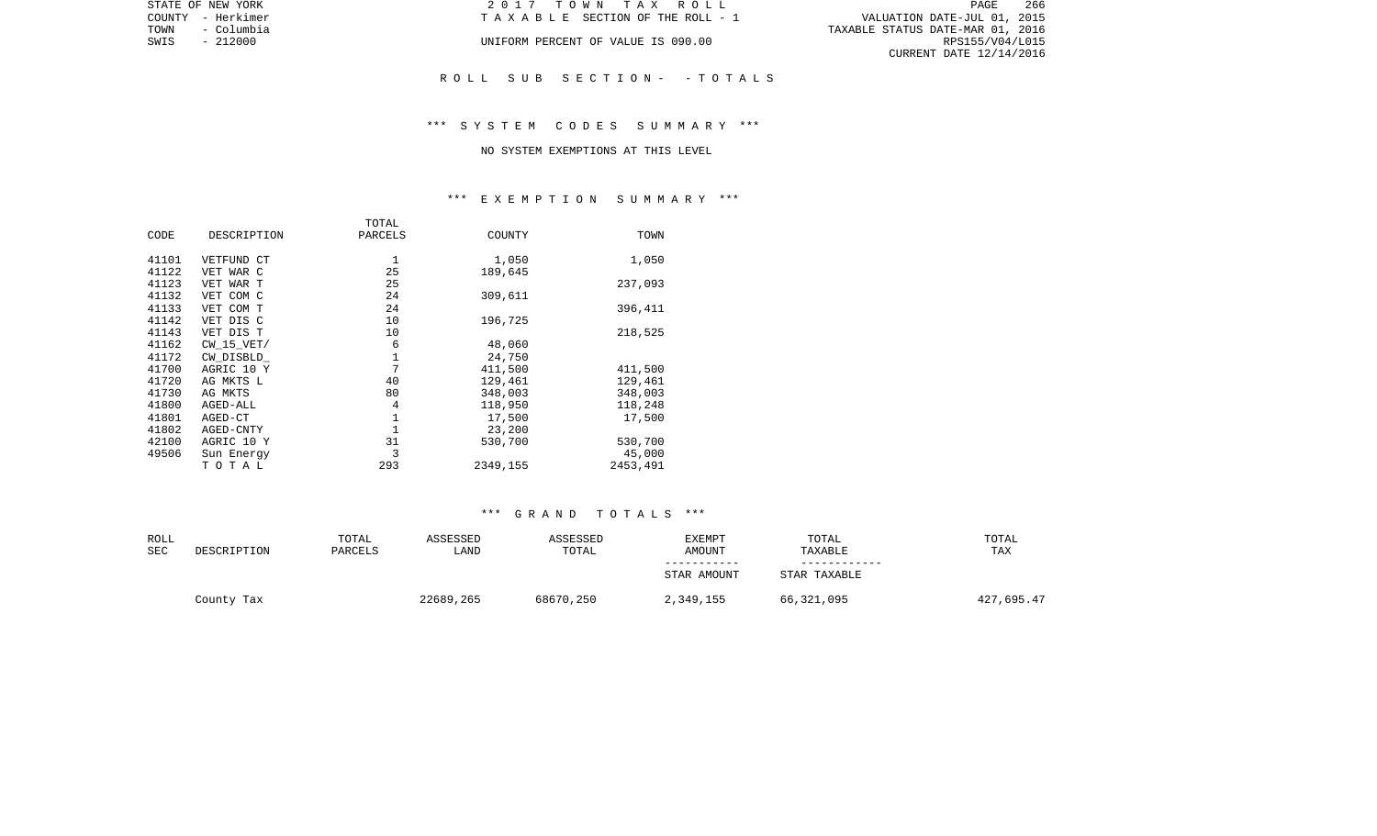|                                  | PAGE                        | 266 |
|----------------------------------|-----------------------------|-----|
|                                  | VALUATION DATE-JUL 01, 2015 |     |
| TAXABLE STATUS DATE-MAR 01, 2016 |                             |     |
|                                  | RPS155/V04/L015             |     |
|                                  | CURRENT DATE 12/14/2016     |     |

STATE OF NEW YORK **2017** TOWN TAX ROLL COUNTY - Herkimer  $T A X A B L E$  SECTION OF THE ROLL - 1

UNIFORM PERCENT OF VALUE IS 090.00

### R O L L S U B S E C T I O N - - T O T A L S

## \*\*\* S Y S T E M C O D E S S U M M A R Y \*\*\*

#### NO SYSTEM EXEMPTIONS AT THIS LEVEL

# \*\*\* E X E M P T I O N S U M M A R Y \*\*\*

|       |              | TOTAL        |          |          |
|-------|--------------|--------------|----------|----------|
| CODE  | DESCRIPTION  | PARCELS      | COUNTY   | TOWN     |
| 41101 | VETFUND CT   | 1            | 1,050    | 1,050    |
| 41122 | VET WAR C    | 25           | 189,645  |          |
| 41123 | VET WAR T    | 25           |          | 237,093  |
| 41132 | VET COM C    | 24           | 309,611  |          |
| 41133 | VET COM T    | 24           |          | 396,411  |
| 41142 | VET DIS C    | 10           | 196,725  |          |
| 41143 | VET DIS T    | 10           |          | 218,525  |
| 41162 | $CW_15_VET/$ | 6            | 48,060   |          |
| 41172 | CW DISBLD    | 1            | 24,750   |          |
| 41700 | AGRIC 10 Y   | 7            | 411,500  | 411,500  |
| 41720 | AG MKTS L    | 40           | 129,461  | 129,461  |
| 41730 | AG MKTS      | 80           | 348,003  | 348,003  |
| 41800 | AGED-ALL     | 4            | 118,950  | 118,248  |
| 41801 | AGED-CT      | 1            | 17,500   | 17,500   |
| 41802 | AGED-CNTY    | $\mathbf{1}$ | 23,200   |          |
| 42100 | AGRIC 10 Y   | 31           | 530,700  | 530,700  |
| 49506 | Sun Energy   | 3            |          | 45,000   |
|       | TOTAL        | 293          | 2349,155 | 2453,491 |
|       |              |              |          |          |

| ROLL<br><b>SEC</b> | DESCRIPTION | TOTAL<br>PARCELS | ASSESSED<br>LAND | ASSESSED<br>TOTAL | EXEMPT<br>AMOUNT           | TOTAL<br>TAXABLE | TOTAL<br>TAX |
|--------------------|-------------|------------------|------------------|-------------------|----------------------------|------------------|--------------|
|                    |             |                  |                  |                   | -----------<br>STAR AMOUNT | STAR TAXABLE     |              |
|                    | County Tax  |                  | 22689,265        | 68670,250         | 2,349,155                  | 66,321,095       | 427,695.47   |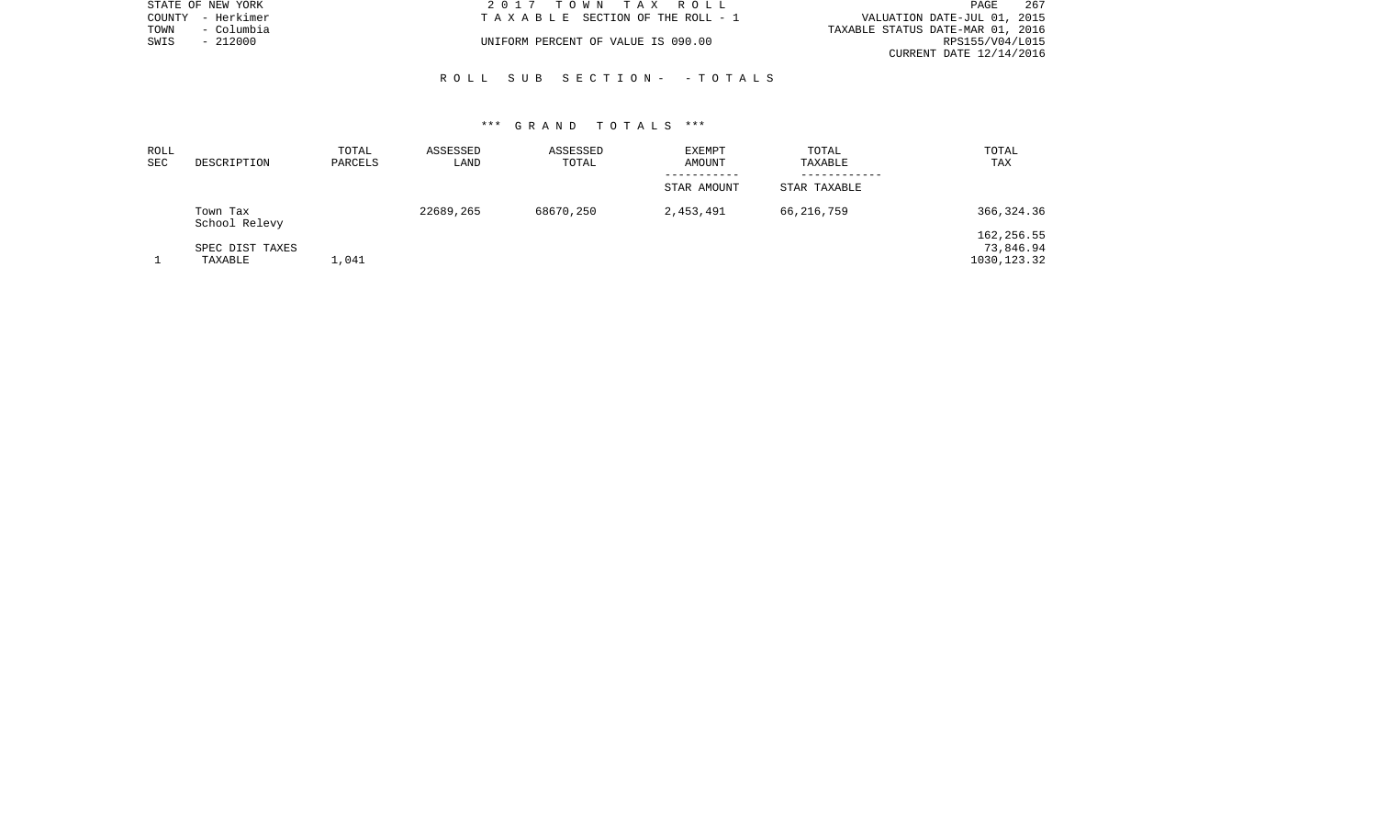|      | STATE OF NEW YORK | 2017 TOWN TAX ROLL                 |                                  | PAGE            | - 267 |
|------|-------------------|------------------------------------|----------------------------------|-----------------|-------|
|      | COUNTY - Herkimer | TAXABLE SECTION OF THE ROLL - 1    | VALUATION DATE-JUL 01, 2015      |                 |       |
| TOWN | - Columbia        |                                    | TAXABLE STATUS DATE-MAR 01, 2016 |                 |       |
| SWIS | - 212000          | UNIFORM PERCENT OF VALUE IS 090.00 |                                  | RPS155/V04/L015 |       |
|      |                   |                                    | CURRENT DATE 12/14/2016          |                 |       |

### R O L L S U B S E C T I O N - - T O T A L S

| ROLL |                           | TOTAL   | ASSESSED  | ASSESSED  | EXEMPT      | TOTAL        | TOTAL       |
|------|---------------------------|---------|-----------|-----------|-------------|--------------|-------------|
| SEC  | DESCRIPTION               | PARCELS | LAND      | TOTAL     | AMOUNT      | TAXABLE      | TAX         |
|      |                           |         |           |           |             |              |             |
|      |                           |         |           |           | STAR AMOUNT | STAR TAXABLE |             |
|      | Town Tax<br>School Relevy |         | 22689,265 | 68670,250 | 2,453,491   | 66,216,759   | 366,324.36  |
|      |                           |         |           |           |             |              | 162,256.55  |
|      | SPEC DIST TAXES           |         |           |           |             |              | 73,846.94   |
|      | TAXABLE                   | 1,041   |           |           |             |              | 1030,123.32 |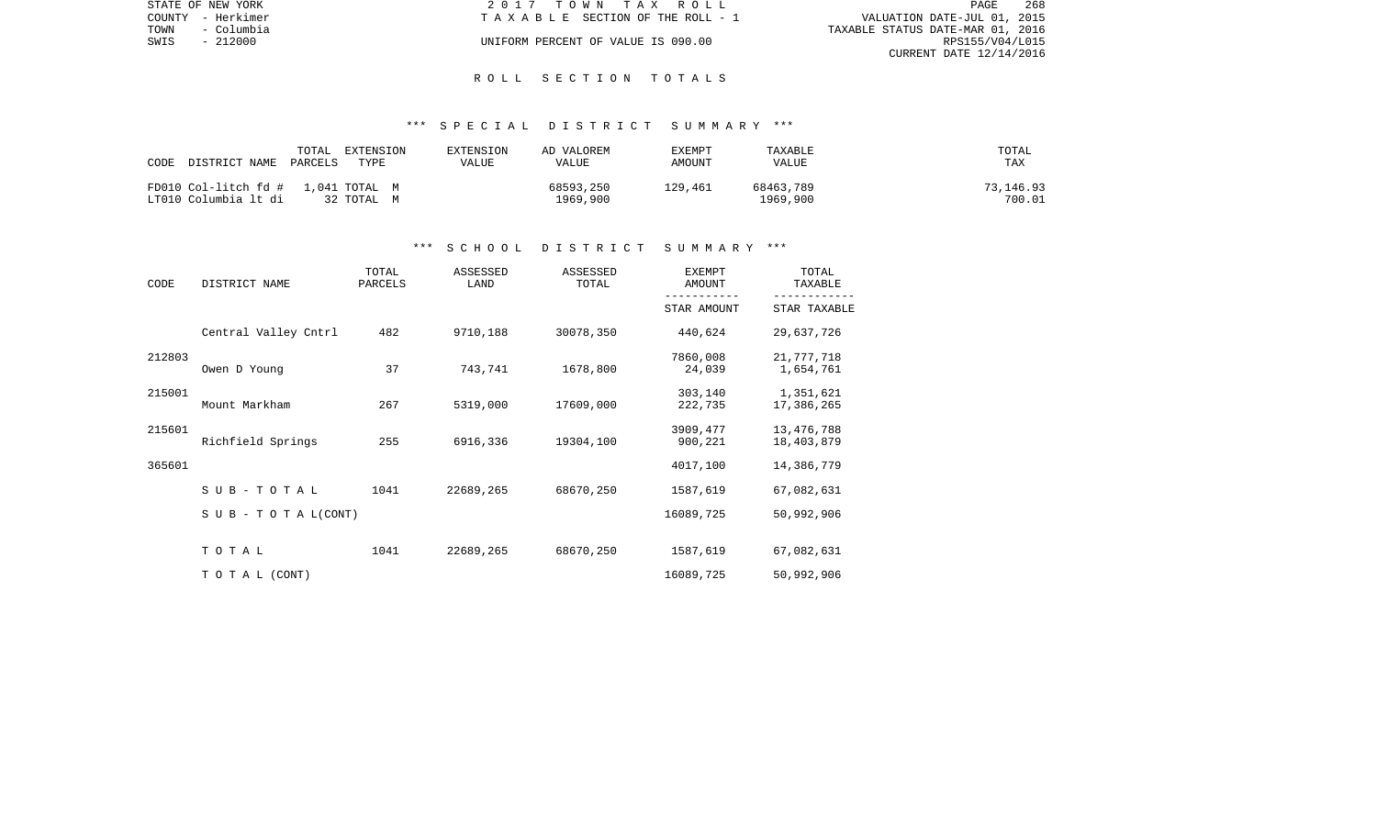|      | STATE OF NEW YORK | 2017 TOWN TAX ROLL                 |                                  | PAGE            | - 268 |
|------|-------------------|------------------------------------|----------------------------------|-----------------|-------|
|      | COUNTY - Herkimer | TAXABLE SECTION OF THE ROLL - 1    | VALUATION DATE-JUL 01, 2015      |                 |       |
| TOWN | - Columbia        |                                    | TAXABLE STATUS DATE-MAR 01, 2016 |                 |       |
| SWIS | - 212000          | UNIFORM PERCENT OF VALUE IS 090.00 |                                  | RPS155/V04/L015 |       |
|      |                   |                                    | CURRENT DATE 12/14/2016          |                 |       |

#### R O L L S E C T I O N T O T A L S

#### \*\*\* S P E C I A L D I S T R I C T S U M M A R Y \*\*\*

| CODE<br>DISTRICT NAME                                      | TOTAL<br>EXTENSION<br>PARCELS<br>TYPE | EXTENSION<br>VALUE | AD VALOREM<br>VALUE   | EXEMPT<br>AMOUNT | TAXABLE<br>VALUE      | TOTAL<br>TAX        |
|------------------------------------------------------------|---------------------------------------|--------------------|-----------------------|------------------|-----------------------|---------------------|
| FD010 Col-litch fd # 1,041 TOTAL M<br>LT010 Columbia lt di | 32 TOTAL M                            |                    | 68593,250<br>1969,900 | 129.461          | 68463,789<br>1969.900 | 73,146.93<br>700.01 |

#### \*\*\* S C H O O L D I S T R I C T S U M M A R Y \*\*\*

| CODE<br>DISTRICT NAME |                            | TOTAL<br>PARCELS | ASSESSED<br>LAND | ASSESSED<br>TOTAL | <b>EXEMPT</b><br>AMOUNT | TOTAL<br>TAXABLE         |
|-----------------------|----------------------------|------------------|------------------|-------------------|-------------------------|--------------------------|
|                       |                            |                  |                  |                   | STAR AMOUNT             | STAR TAXABLE             |
|                       | Central Valley Cntrl       | 482              | 9710,188         | 30078,350         | 440,624                 | 29,637,726               |
| 212803                | Owen D Young               | 37               | 743,741          | 1678,800          | 7860,008<br>24,039      | 21,777,718<br>1,654,761  |
| 215001                | Mount Markham              | 267              | 5319,000         | 17609,000         | 303,140<br>222,735      | 1,351,621<br>17,386,265  |
| 215601                | Richfield Springs          | 255              | 6916,336         | 19304,100         | 3909,477<br>900,221     | 13,476,788<br>18,403,879 |
| 365601                |                            |                  |                  |                   | 4017,100                | 14,386,779               |
|                       | $S$ U B - T O T A L        | 1041             | 22689,265        | 68670,250         | 1587,619                | 67,082,631               |
|                       | S U B - T O T A $L$ (CONT) |                  |                  |                   | 16089,725               | 50,992,906               |
|                       | TOTAL                      | 1041             | 22689,265        | 68670,250         | 1587,619                | 67,082,631               |
|                       | TO TAL (CONT)              |                  |                  |                   | 16089,725               | 50,992,906               |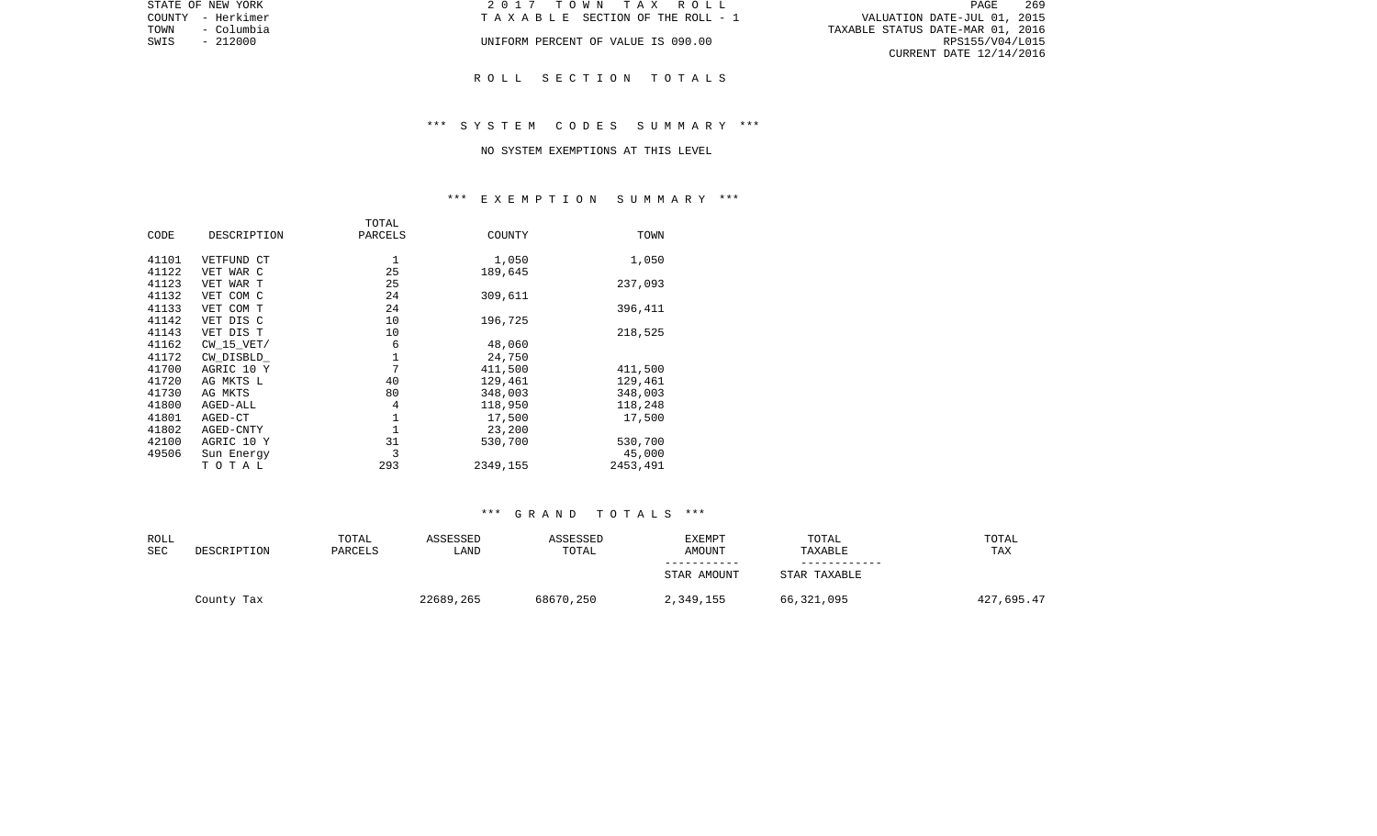|      | STATE OF NEW YORK | 2017 TOWN TAX ROLL                 | 269<br>PAGE                      |
|------|-------------------|------------------------------------|----------------------------------|
|      | COUNTY - Herkimer | TAXABLE SECTION OF THE ROLL - 1    | VALUATION DATE-JUL 01, 2015      |
| TOWN | – Columbia        |                                    | TAXABLE STATUS DATE-MAR 01, 2016 |
| SWIS | $-212000$         | UNIFORM PERCENT OF VALUE IS 090.00 | RPS155/V04/L015                  |
|      |                   |                                    | CURRENT DATE 12/14/2016          |
|      |                   |                                    |                                  |
|      |                   | ROLL SECTION TOTALS                |                                  |

# \*\*\* S Y S T E M C O D E S S U M M A R Y \*\*\*

#### NO SYSTEM EXEMPTIONS AT THIS LEVEL

# \*\*\* E X E M P T I O N S U M M A R Y \*\*\*

|       |                | TOTAL        |          |          |
|-------|----------------|--------------|----------|----------|
| CODE  | DESCRIPTION    | PARCELS      | COUNTY   | TOWN     |
| 41101 | VETFUND CT     | 1            | 1,050    | 1,050    |
| 41122 | VET WAR C      | 25           | 189,645  |          |
| 41123 | VET WAR T      | 25           |          | 237,093  |
| 41132 | VET COM C      | 24           | 309,611  |          |
| 41133 | VET COM T      | 24           |          | 396,411  |
| 41142 | VET DIS C      | 10           | 196,725  |          |
| 41143 | VET DIS T      | 10           |          | 218,525  |
| 41162 | $CW$ 15 $VET/$ | 6            | 48,060   |          |
| 41172 | CW DISBLD      | 1            | 24,750   |          |
| 41700 | AGRIC 10 Y     | 7            | 411,500  | 411,500  |
| 41720 | AG MKTS L      | 40           | 129,461  | 129,461  |
| 41730 | AG MKTS        | 80           | 348,003  | 348,003  |
| 41800 | AGED-ALL       | 4            | 118,950  | 118,248  |
| 41801 | AGED-CT        | 1            | 17,500   | 17,500   |
| 41802 | AGED-CNTY      | $\mathbf{1}$ | 23,200   |          |
| 42100 | AGRIC 10 Y     | 31           | 530,700  | 530,700  |
| 49506 | Sun Energy     | 3            |          | 45,000   |
|       | TOTAL          | 293          | 2349,155 | 2453,491 |
|       |                |              |          |          |

| ROLL<br><b>SEC</b> | DESCRIPTION | TOTAL<br>ASSESSED<br>PARCELS |           | ASSESSED<br>TOTAL | <b>EXEMPT</b><br>AMOUNT | TOTAL<br>TAXABLE | TOTAL<br>TAX |
|--------------------|-------------|------------------------------|-----------|-------------------|-------------------------|------------------|--------------|
|                    |             |                              |           |                   | STAR AMOUNT             | STAR TAXABLE     |              |
|                    | County Tax  |                              | 22689,265 | 68670,250         | 2,349,155               | 66,321,095       | 427,695.47   |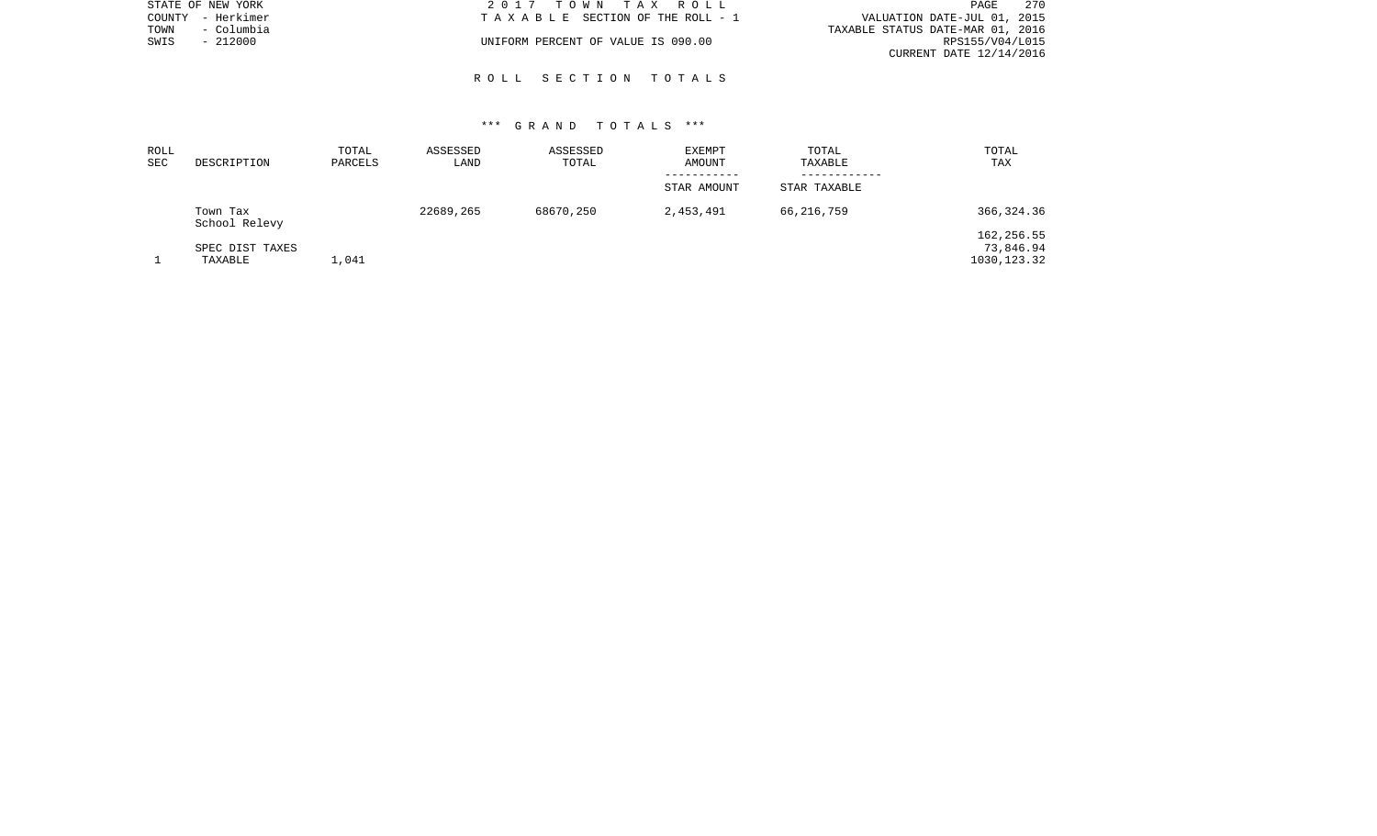|      | STATE OF NEW YORK | 2017 TOWN TAX ROLL                 | PAGE                             | 270 |
|------|-------------------|------------------------------------|----------------------------------|-----|
|      | COUNTY - Herkimer | TAXABLE SECTION OF THE ROLL - 1    | VALUATION DATE-JUL 01, 2015      |     |
| TOWN | – Columbia        |                                    | TAXABLE STATUS DATE-MAR 01, 2016 |     |
| SWIS | - 212000          | UNIFORM PERCENT OF VALUE IS 090.00 | RPS155/V04/L015                  |     |
|      |                   |                                    | CURRENT DATE 12/14/2016          |     |

### R O L L S E C T I O N T O T A L S

| ROLL<br>SEC | DESCRIPTION                | TOTAL<br>PARCELS | ASSESSED<br>LAND | ASSESSED<br>TOTAL |                            | TOTAL<br>TAXABLE | TOTAL<br>TAX                            |
|-------------|----------------------------|------------------|------------------|-------------------|----------------------------|------------------|-----------------------------------------|
|             |                            |                  |                  |                   | -----------<br>STAR AMOUNT | STAR TAXABLE     |                                         |
|             | Town Tax<br>School Relevy  |                  | 22689,265        | 68670,250         | 2,453,491                  | 66,216,759       | 366, 324.36                             |
|             | SPEC DIST TAXES<br>TAXABLE | 1,041            |                  |                   |                            |                  | 162,256.55<br>73,846.94<br>1030, 123.32 |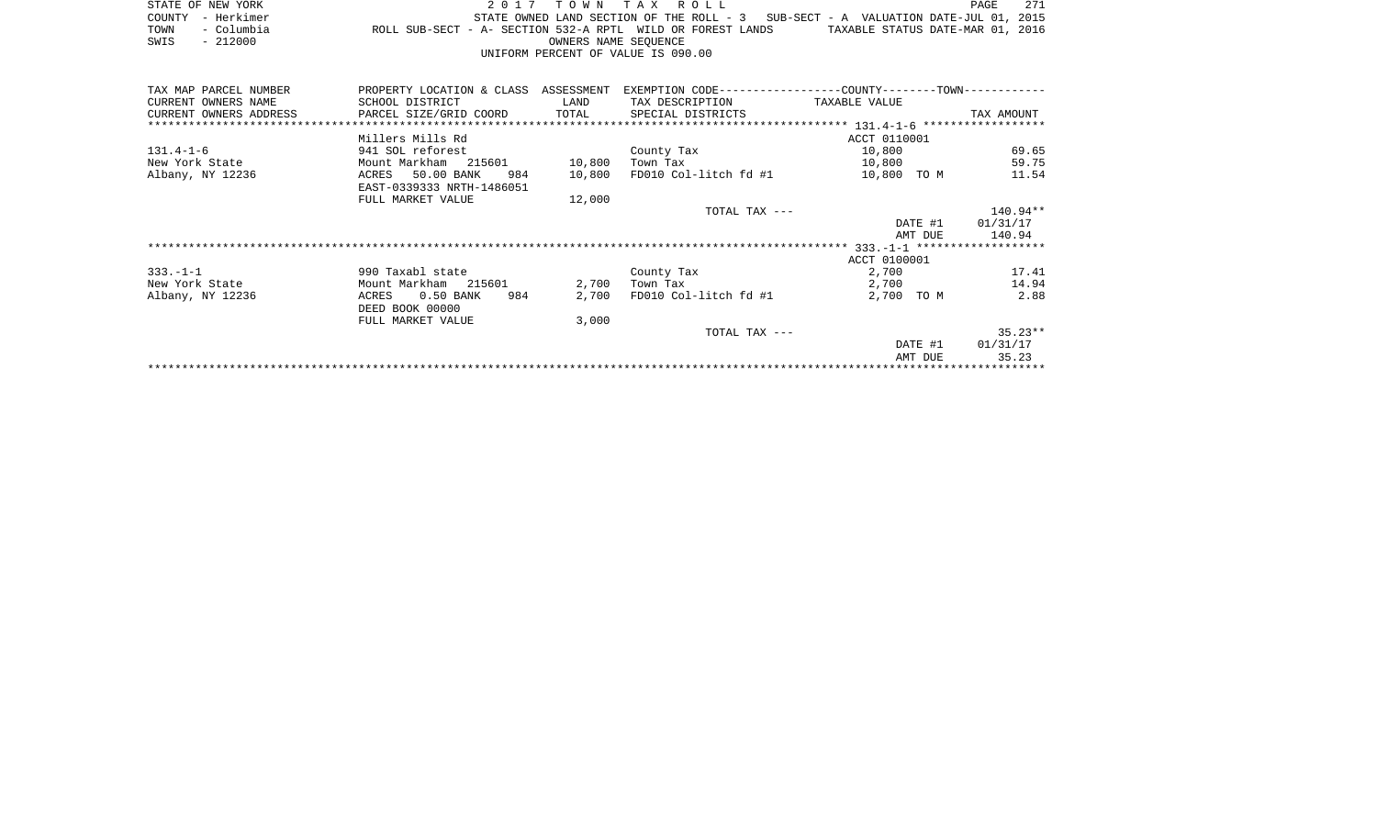|      | STATE OF NEW YORK                  |                                                            | 2017 TOWN TAX ROLL |  |                      |  |  |  |                                                                                   |  |                                  | PAGE | 271 |
|------|------------------------------------|------------------------------------------------------------|--------------------|--|----------------------|--|--|--|-----------------------------------------------------------------------------------|--|----------------------------------|------|-----|
|      | COUNTY - Herkimer                  |                                                            |                    |  |                      |  |  |  | STATE OWNED LAND SECTION OF THE ROLL - 3 SUB-SECT - A VALUATION DATE-JUL 01, 2015 |  |                                  |      |     |
| TOWN | - Columbia                         | ROLL SUB-SECT - A- SECTION 532-A RPTL WILD OR FOREST LANDS |                    |  |                      |  |  |  |                                                                                   |  | TAXABLE STATUS DATE-MAR 01, 2016 |      |     |
| SWIS | - 212000                           |                                                            |                    |  | OWNERS NAME SEOUENCE |  |  |  |                                                                                   |  |                                  |      |     |
|      | UNIFORM PERCENT OF VALUE IS 090.00 |                                                            |                    |  |                      |  |  |  |                                                                                   |  |                                  |      |     |

| TAX MAP PARCEL NUMBER  | PROPERTY LOCATION & CLASS ASSESSMENT           |                                            |                               | EXEMPTION CODE-----------------COUNTY-------TOWN----------- |                  |
|------------------------|------------------------------------------------|--------------------------------------------|-------------------------------|-------------------------------------------------------------|------------------|
| CURRENT OWNERS NAME    | SCHOOL DISTRICT                                | <b>EXAMPLE THE STATE OF STATE OF STATE</b> | TAX DESCRIPTION TAXABLE VALUE |                                                             |                  |
| CURRENT OWNERS ADDRESS | PARCEL SIZE/GRID COORD TOTAL SPECIAL DISTRICTS |                                            |                               |                                                             | TAX AMOUNT       |
|                        |                                                |                                            |                               |                                                             |                  |
|                        | Millers Mills Rd                               |                                            |                               | ACCT 0110001                                                |                  |
| $131.4 - 1 - 6$        | 941 SOL reforest                               |                                            | County Tax                    | 10,800                                                      | 69.65            |
| New York State         | Mount Markham 215601                           | 10,800                                     | Town Tax                      | 10,800                                                      | 59.75            |
| Albany, NY 12236       | ACRES 50.00 BANK<br>984                        | 10,800                                     | FD010 Col-litch fd #1         | 10,800 TO M                                                 | 11.54            |
|                        | EAST-0339333 NRTH-1486051                      |                                            |                               |                                                             |                  |
|                        | FULL MARKET VALUE                              | 12,000                                     |                               |                                                             |                  |
|                        |                                                |                                            | TOTAL TAX ---                 |                                                             | 140.94**         |
|                        |                                                |                                            |                               |                                                             | DATE #1 01/31/17 |
|                        |                                                |                                            |                               | AMT DUE                                                     | 140.94           |
|                        |                                                |                                            |                               |                                                             |                  |
|                        |                                                |                                            |                               | ACCT 0100001                                                |                  |
| $333. -1 - 1$          | 990 Taxabl state                               |                                            | County Tax                    | 2,700                                                       | 17.41            |
| New York State         | Mount Markham 215601                           | 2,700                                      | Town Tax                      | 2,700                                                       | 14.94            |
| Albany, NY 12236       | $0.50$ BANK<br>984<br>ACRES                    | 2,700                                      | FD010 Col-litch fd #1         | 2,700 TO M                                                  | 2.88             |
|                        | DEED BOOK 00000                                |                                            |                               |                                                             |                  |
|                        | FULL MARKET VALUE                              | 3,000                                      |                               |                                                             |                  |
|                        |                                                |                                            | TOTAL TAX ---                 |                                                             | $35.23**$        |
|                        |                                                |                                            |                               |                                                             | DATE #1 01/31/17 |
|                        |                                                |                                            |                               | AMT DUE                                                     | 35.23            |
|                        |                                                |                                            |                               |                                                             |                  |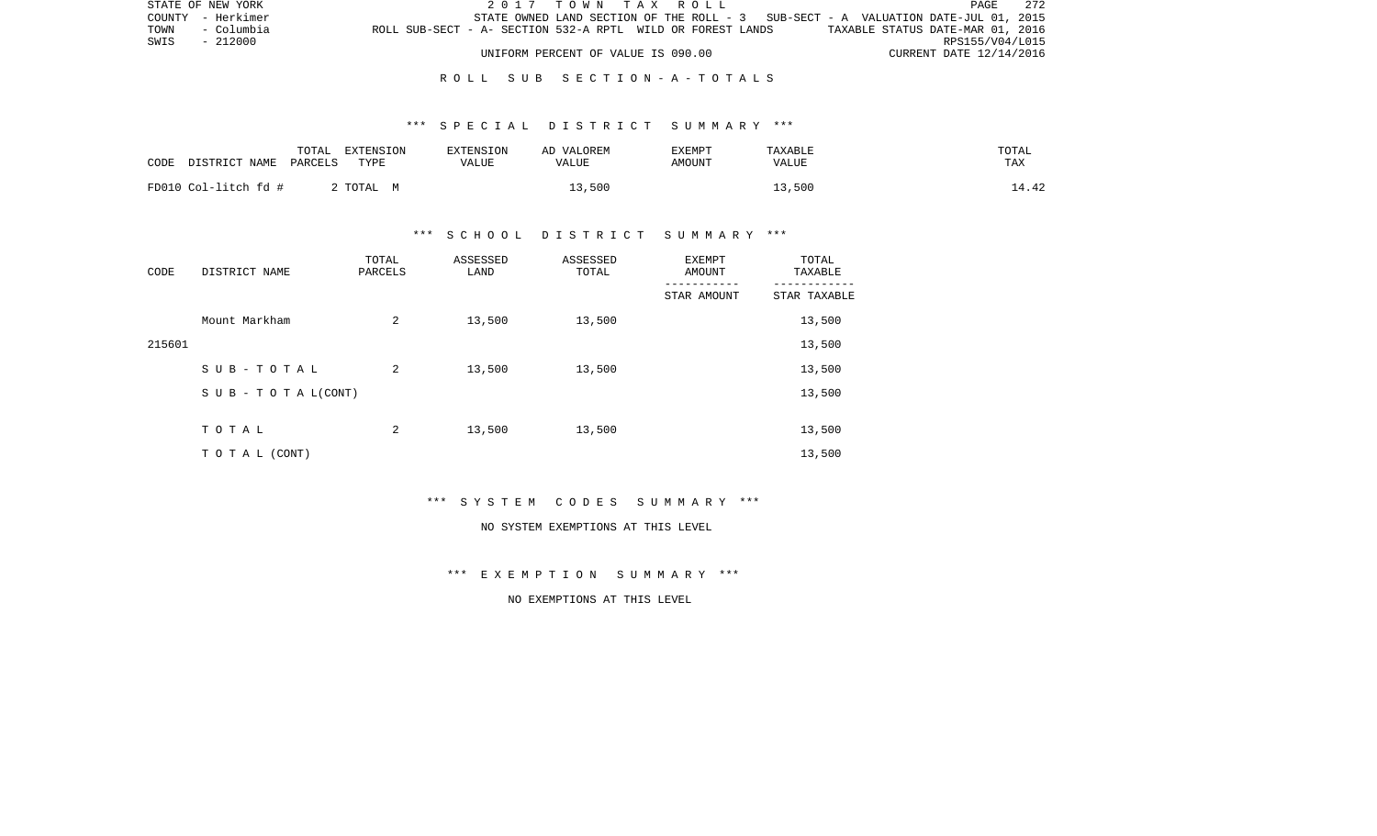|      | STATE OF NEW YORK |                                                            |                                    |  |  | 2017 TOWN TAX ROLL |                                                                                   |                                  | <b>PAGE</b>     | -272 |
|------|-------------------|------------------------------------------------------------|------------------------------------|--|--|--------------------|-----------------------------------------------------------------------------------|----------------------------------|-----------------|------|
|      | COUNTY - Herkimer |                                                            |                                    |  |  |                    | STATE OWNED LAND SECTION OF THE ROLL - 3 SUB-SECT - A VALUATION DATE-JUL 01, 2015 |                                  |                 |      |
| TOWN | - Columbia        | ROLL SUB-SECT - A- SECTION 532-A RPTL WILD OR FOREST LANDS |                                    |  |  |                    |                                                                                   | TAXABLE STATUS DATE-MAR 01, 2016 |                 |      |
| SWIS | - 212000          |                                                            |                                    |  |  |                    |                                                                                   |                                  | RPS155/V04/L015 |      |
|      |                   |                                                            | UNIFORM PERCENT OF VALUE IS 090.00 |  |  |                    |                                                                                   | CURRENT DATE 12/14/2016          |                 |      |

### R O L L S U B S E C T I O N - A - T O T A L S

## \*\*\* S P E C I A L D I S T R I C T S U M M A R Y \*\*\*

| CODE | DISTRICT NAME        | TOTAL<br>PARCELS | EXTENSION<br>TYPE | <b>EXTENSION</b><br>VALUE | AD VALOREM<br>VALUE | <b>EXEMPT</b><br>AMOUNT | TAXABLE<br><b>VALUE</b> | TOTAL<br>TAX |
|------|----------------------|------------------|-------------------|---------------------------|---------------------|-------------------------|-------------------------|--------------|
|      | FD010 Col-litch fd # |                  | TOTAL M           |                           | 13,500              |                         | 13,500                  | 14.42        |

# \*\*\* S C H O O L D I S T R I C T S U M M A R Y \*\*\*

| CODE   | DISTRICT NAME                    | TOTAL<br>PARCELS | ASSESSED<br>LAND |        | EXEMPT<br>AMOUNT | TOTAL<br>TAXABLE |
|--------|----------------------------------|------------------|------------------|--------|------------------|------------------|
|        |                                  |                  |                  |        | STAR AMOUNT      | STAR TAXABLE     |
|        | Mount Markham                    | 2                | 13,500           | 13,500 |                  | 13,500           |
| 215601 |                                  |                  |                  |        |                  | 13,500           |
|        | SUB-TOTAL                        | 2                | 13,500           | 13,500 |                  | 13,500           |
|        | $S \cup B - T \cup T A L (CONT)$ |                  |                  |        |                  | 13,500           |
|        |                                  |                  |                  |        |                  |                  |
|        | TOTAL                            | 2                | 13,500           | 13,500 |                  | 13,500           |
|        | T O T A L (CONT)                 |                  |                  |        |                  | 13,500           |

\*\*\* S Y S T E M C O D E S S U M M A R Y \*\*\*

#### NO SYSTEM EXEMPTIONS AT THIS LEVEL

\*\*\* E X E M P T I O N S U M M A R Y \*\*\*

NO EXEMPTIONS AT THIS LEVEL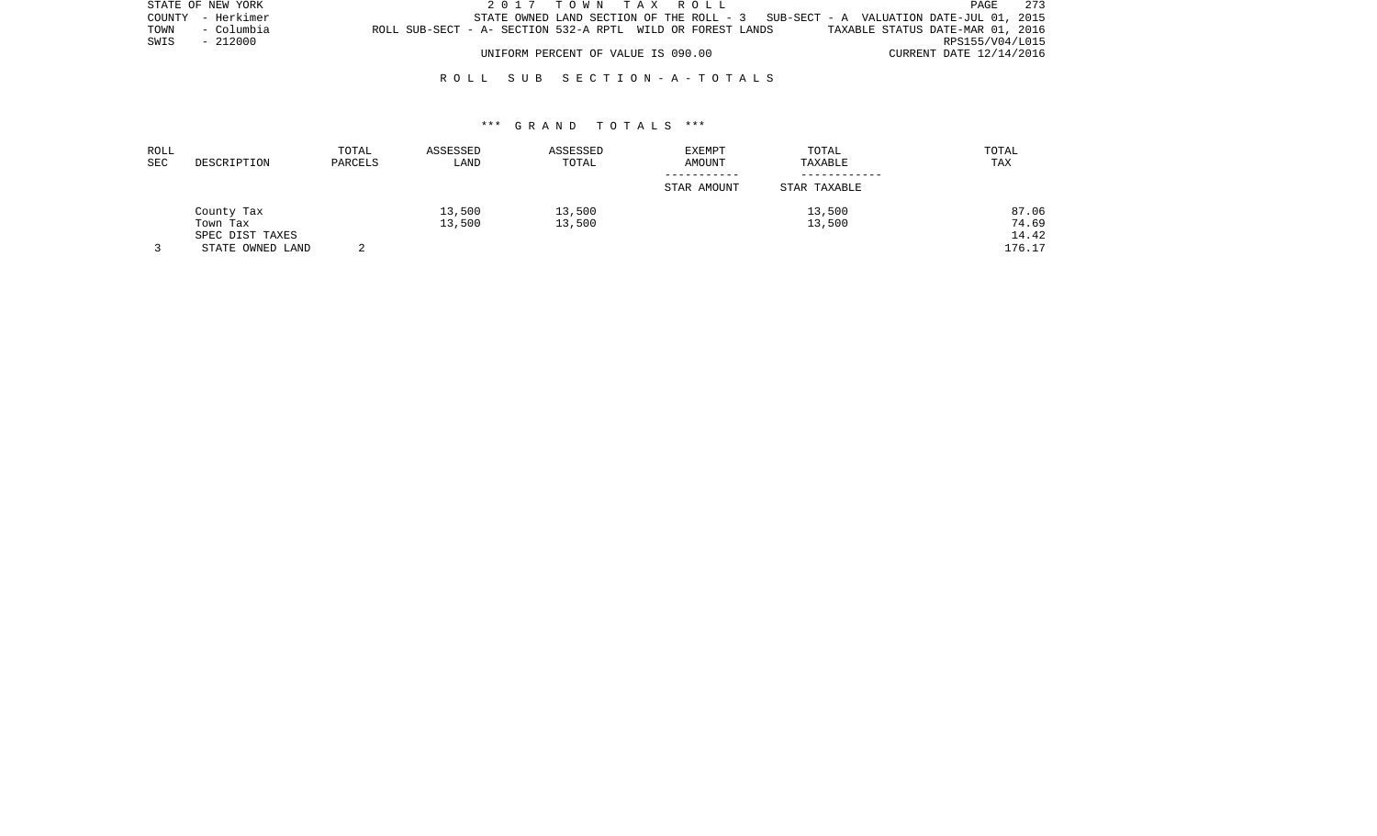|      | STATE OF NEW YORK |                                                            | 2017 TOWN TAX ROLL                                                                |  |  |  |  |                                  |                         | PAGE            | - 273 |
|------|-------------------|------------------------------------------------------------|-----------------------------------------------------------------------------------|--|--|--|--|----------------------------------|-------------------------|-----------------|-------|
|      | COUNTY - Herkimer |                                                            | STATE OWNED LAND SECTION OF THE ROLL - 3 SUB-SECT - A VALUATION DATE-JUL 01, 2015 |  |  |  |  |                                  |                         |                 |       |
| TOWN | - Columbia        | ROLL SUB-SECT - A- SECTION 532-A RPTL WILD OR FOREST LANDS |                                                                                   |  |  |  |  | TAXABLE STATUS DATE-MAR 01, 2016 |                         |                 |       |
| SWIS | - 212000          |                                                            |                                                                                   |  |  |  |  |                                  |                         | RPS155/V04/L015 |       |
|      |                   |                                                            | UNIFORM PERCENT OF VALUE IS 090.00                                                |  |  |  |  |                                  | CURRENT DATE 12/14/2016 |                 |       |

## R O L L S U B S E C T I O N - A - T O T A L S

| ROLL<br>SEC | DESCRIPTION      | TOTAL<br>PARCELS | ASSESSED<br>LAND | ASSESSED<br>TOTAL | <b>EXEMPT</b><br>AMOUNT | TOTAL<br>TAXABLE | TOTAL<br>TAX |
|-------------|------------------|------------------|------------------|-------------------|-------------------------|------------------|--------------|
|             |                  |                  |                  |                   | STAR AMOUNT             | STAR TAXABLE     |              |
|             | County Tax       |                  | 13,500           | 13,500            |                         | 13,500           | 87.06        |
|             | Town Tax         |                  | 13,500           | 13,500            |                         | 13,500           | 74.69        |
|             | SPEC DIST TAXES  |                  |                  |                   |                         |                  | 14.42        |
|             | STATE OWNED LAND |                  |                  |                   |                         |                  | 176.17       |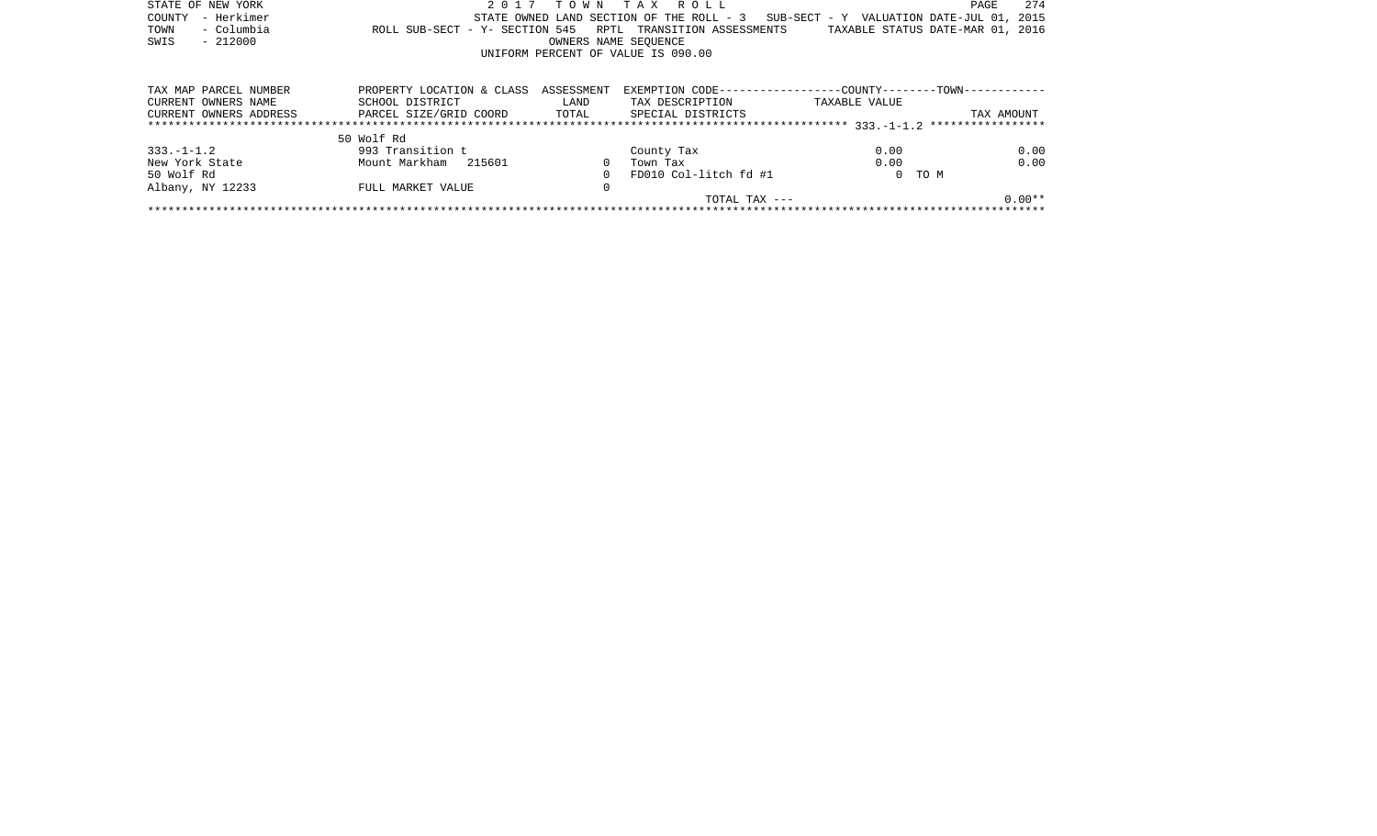| 274<br>TOWN TAX ROLL<br>STATE OF NEW YORK<br>2017<br>PAGE |                                                            |            |                                                                                |               |                                  |  |
|-----------------------------------------------------------|------------------------------------------------------------|------------|--------------------------------------------------------------------------------|---------------|----------------------------------|--|
| – Herkimer<br>COUNTY                                      |                                                            |            | STATE OWNED LAND SECTION OF THE ROLL - $3$ SUB-SECT - Y VALUATION DATE-JUL 01, |               | 2015                             |  |
| - Columbia<br>TOWN                                        | ROLL SUB-SECT - Y- SECTION 545 RPTL TRANSITION ASSESSMENTS |            |                                                                                |               | TAXABLE STATUS DATE-MAR 01, 2016 |  |
| SWIS<br>$-212000$                                         | OWNERS NAME SEOUENCE                                       |            |                                                                                |               |                                  |  |
|                                                           |                                                            |            | UNIFORM PERCENT OF VALUE IS 090.00                                             |               |                                  |  |
|                                                           |                                                            |            |                                                                                |               |                                  |  |
| TAX MAP PARCEL NUMBER                                     | PROPERTY LOCATION & CLASS                                  | ASSESSMENT | EXEMPTION CODE-----------------COUNTY-------TOWN-----------                    |               |                                  |  |
| CURRENT OWNERS NAME                                       | SCHOOL DISTRICT                                            | LAND       | TAX DESCRIPTION                                                                | TAXABLE VALUE |                                  |  |
| CURRENT OWNERS ADDRESS                                    | PARCEL SIZE/GRID COORD TOTAL SPECIAL DISTRICTS             |            |                                                                                |               | TAX AMOUNT                       |  |
|                                                           |                                                            |            |                                                                                |               |                                  |  |
|                                                           | 50 Wolf Rd                                                 |            |                                                                                |               |                                  |  |
| $333. - 1 - 1.2$                                          | 993 Transition t                                           |            | County Tax                                                                     | 0.00          | 0.00                             |  |
| New York State                                            | Mount Markham 215601                                       |            | Town Tax                                                                       | 0.00          | 0.00                             |  |
| 50 Wolf Rd                                                |                                                            |            | FD010 Col-litch fd #1                                                          | $0$ TOM       |                                  |  |
| Albany, NY 12233                                          | FULL MARKET VALUE                                          |            |                                                                                |               |                                  |  |
|                                                           |                                                            |            | TOTAL TAX $---$                                                                |               | $0.00**$                         |  |
|                                                           |                                                            |            |                                                                                |               |                                  |  |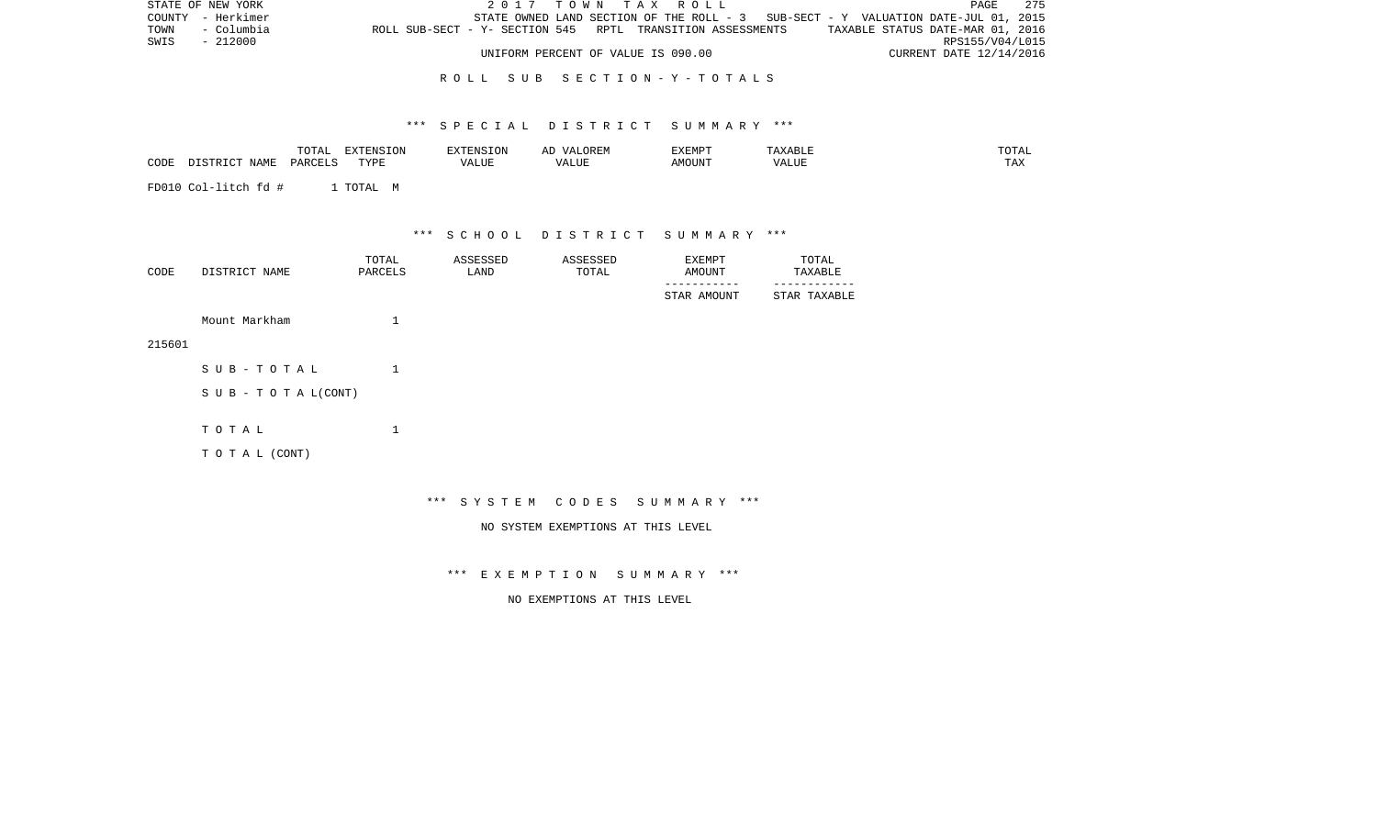| STATE OF NEW YORK |            |                                                            |  | 2017 TOWN TAX ROLL                 |  |                                                                                   |                                  |                         | <b>PAGE</b> | 275 |
|-------------------|------------|------------------------------------------------------------|--|------------------------------------|--|-----------------------------------------------------------------------------------|----------------------------------|-------------------------|-------------|-----|
| COUNTY - Herkimer |            |                                                            |  |                                    |  | STATE OWNED LAND SECTION OF THE ROLL - 3 SUB-SECT - Y VALUATION DATE-JUL 01, 2015 |                                  |                         |             |     |
| TOWN              | - Columbia | ROLL SUB-SECT - Y- SECTION 545 RPTL TRANSITION ASSESSMENTS |  |                                    |  |                                                                                   | TAXABLE STATUS DATE-MAR 01, 2016 |                         |             |     |
| SWIS              | - 212000   |                                                            |  |                                    |  |                                                                                   |                                  | RPS155/V04/L015         |             |     |
|                   |            |                                                            |  | UNIFORM PERCENT OF VALUE IS 090.00 |  |                                                                                   |                                  | CURRENT DATE 12/14/2016 |             |     |

## R O L L S U B S E C T I O N - Y - T O T A L S

# \*\*\* S P E C I A L D I S T R I C T S U M M A R Y \*\*\*

|      |                   | <b>TOTA</b><br>TATAT | <b>TON</b><br>---<br>- יה דאים יו <sub>י</sub> |        | $\triangleright$ | $\rightarrow$<br>دونها بر<br>- ۱۰۲۰ تا ۱۰ |       | ™UTAL              |
|------|-------------------|----------------------|------------------------------------------------|--------|------------------|-------------------------------------------|-------|--------------------|
| CODE | NTAM <sup>T</sup> | ، ب ۱۵ ب             | $m \times r$                                   | ת טעב. |                  | MOUN'                                     | ′ALU⊥ | $m \times r$<br>∸⊷ |

FD010 Col-litch fd # 1 TOTAL M

\*\*\* S C H O O L D I S T R I C T S U M M A R Y \*\*\*

| CODE | DISTRICT NAME | TOTAL<br>PARCELS | ASSESSED<br>∟AND | ASSESSED<br>TOTAL | EXEMPT<br>AMOUNT           | TOTAL<br>TAXABLE |
|------|---------------|------------------|------------------|-------------------|----------------------------|------------------|
|      |               |                  |                  |                   | -----------<br>STAR AMOUNT | STAR TAXABLE     |

Mount Markham 1

215601

| SUB-TOTAL                        |  |
|----------------------------------|--|
| $S \cup B - T \cup T A L (CONT)$ |  |
|                                  |  |
| тотаь                            |  |
|                                  |  |

T O T A L (CONT)

# \*\*\* S Y S T E M C O D E S S U M M A R Y \*\*\*

NO SYSTEM EXEMPTIONS AT THIS LEVEL

\*\*\* E X E M P T I O N S U M M A R Y \*\*\*

NO EXEMPTIONS AT THIS LEVEL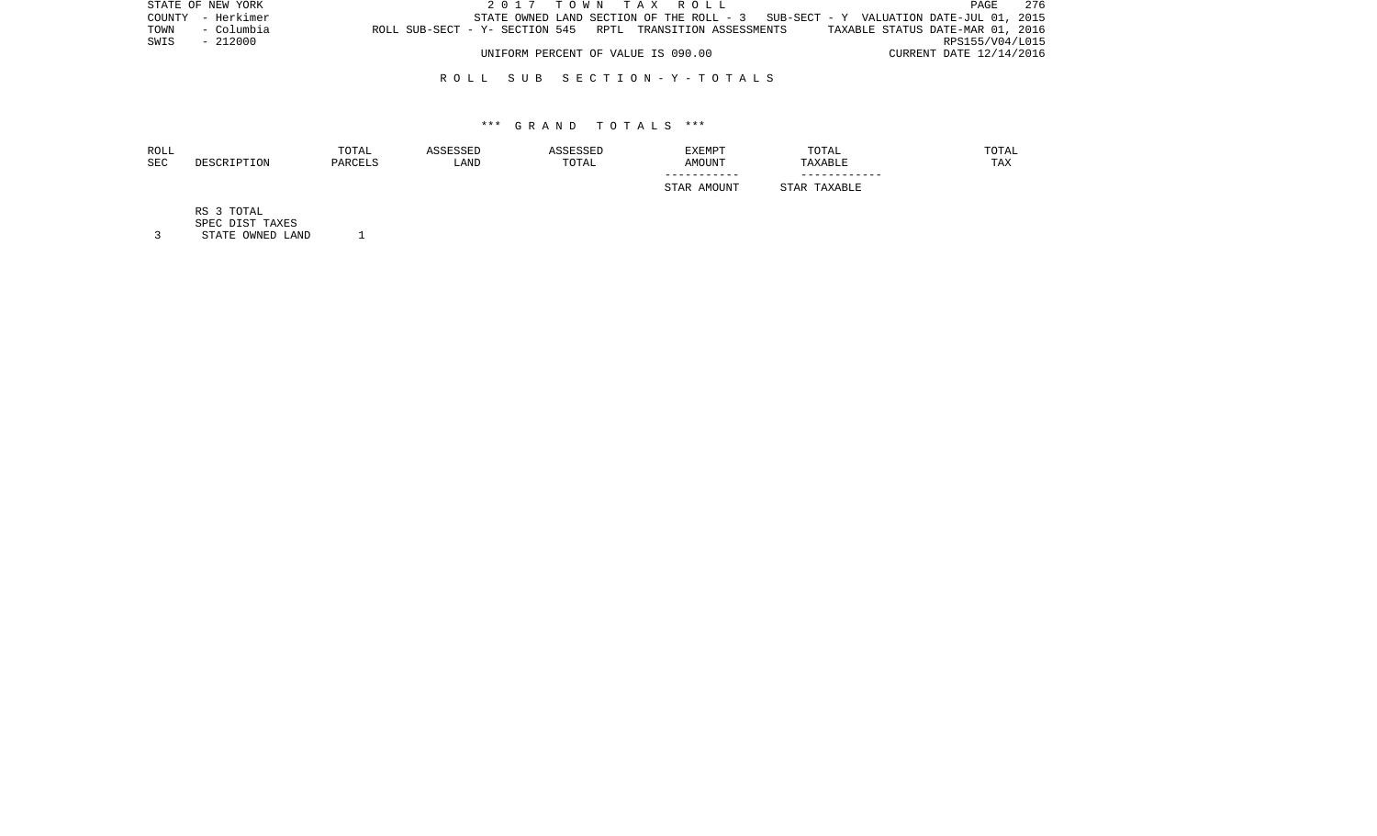|      | STATE OF NEW YORK |                                                            | 2017 TOWN TAX ROLL                                                                |  |  |  |                                  | PAGE                    | 276 |
|------|-------------------|------------------------------------------------------------|-----------------------------------------------------------------------------------|--|--|--|----------------------------------|-------------------------|-----|
|      | COUNTY - Herkimer |                                                            | STATE OWNED LAND SECTION OF THE ROLL - 3 SUB-SECT - Y VALUATION DATE-JUL 01, 2015 |  |  |  |                                  |                         |     |
| TOWN | - Columbia        | ROLL SUB-SECT - Y- SECTION 545 RPTL TRANSITION ASSESSMENTS |                                                                                   |  |  |  | TAXABLE STATUS DATE-MAR 01, 2016 |                         |     |
| SWIS | - 212000          |                                                            |                                                                                   |  |  |  |                                  | RPS155/V04/L015         |     |
|      |                   |                                                            | UNIFORM PERCENT OF VALUE IS 090.00                                                |  |  |  |                                  | CURRENT DATE 12/14/2016 |     |

### R O L L S U B S E C T I O N - Y - T O T A L S

#### \*\*\* G R A N D T O T A L S \*\*\*

| ROLL |               | TOTAL   | ASSESSED | ASSESSED | EXEMPT      | TOTAL        | TOTAL |
|------|---------------|---------|----------|----------|-------------|--------------|-------|
| SEC  | DESCRIPTION   | PARCELS | LAND     | TOTAL    | AMOUNT      | TAXABLE      | TAX   |
|      |               |         |          |          |             |              |       |
|      |               |         |          |          | STAR AMOUNT | STAR TAXABLE |       |
|      | 3 TOTAL<br>RS |         |          |          |             |              |       |

SPEC DIST TAXES

3 STATE OWNED LAND 1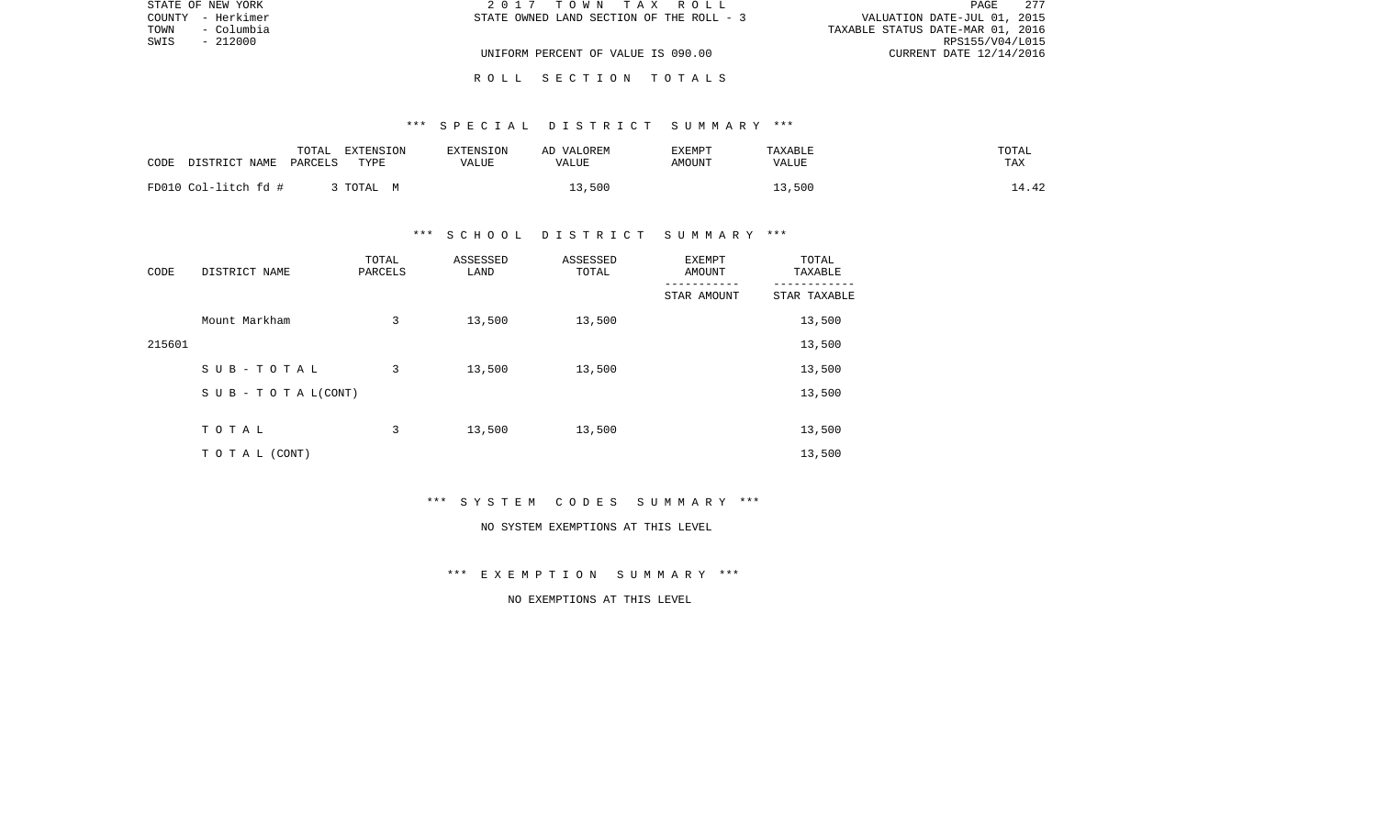|      | STATE OF NEW YORK | 2017 TOWN TAX ROLL                       | 2.77<br>PAGE                     |
|------|-------------------|------------------------------------------|----------------------------------|
|      | COUNTY - Herkimer | STATE OWNED LAND SECTION OF THE ROLL - 3 | VALUATION DATE-JUL 01, 2015      |
| TOWN | - Columbia        |                                          | TAXABLE STATUS DATE-MAR 01, 2016 |
| SWIS | $-212000$         |                                          | RPS155/V04/L015                  |
|      |                   | UNIFORM PERCENT OF VALUE IS 090.00       | CURRENT DATE 12/14/2016          |
|      |                   |                                          |                                  |

#### R O L L S E C T I O N T O T A L S

# \*\*\* S P E C I A L D I S T R I C T S U M M A R Y \*\*\*

| CODE<br>DISTRICT NAME | TOTAL<br>EXTENSION<br>PARCELS<br>TYPE | EXTENSION<br>VALUE | AD VALOREM<br>VALUE | <b>EXEMPT</b><br>AMOUNT | TAXABLE<br>VALUE | TOTAL<br>TAX |
|-----------------------|---------------------------------------|--------------------|---------------------|-------------------------|------------------|--------------|
| FD010 Col-litch fd #  | 3 TOTAL M                             |                    | 13,500              |                         | 13,500           | 14.42        |

# \*\*\* S C H O O L D I S T R I C T S U M M A R Y \*\*\*

| CODE   | DISTRICT NAME                    | TOTAL<br>PARCELS | ASSESSED<br>LAND | ASSESSED<br>TOTAL | EXEMPT<br>AMOUNT | TOTAL<br>TAXABLE |
|--------|----------------------------------|------------------|------------------|-------------------|------------------|------------------|
|        |                                  |                  |                  |                   | STAR AMOUNT      | STAR TAXABLE     |
|        | Mount Markham                    | 3                | 13,500           | 13,500            |                  | 13,500           |
| 215601 |                                  |                  |                  |                   |                  | 13,500           |
|        | SUB-TOTAL                        | 3                | 13,500           | 13,500            |                  | 13,500           |
|        | $S \cup B - T \cup T A L (CONT)$ |                  |                  |                   |                  | 13,500           |
|        |                                  |                  |                  |                   |                  |                  |
|        | TOTAL                            | 3                | 13,500           | 13,500            |                  | 13,500           |
|        | T O T A L (CONT)                 |                  |                  |                   |                  | 13,500           |

\*\*\* S Y S T E M C O D E S S U M M A R Y \*\*\*

#### NO SYSTEM EXEMPTIONS AT THIS LEVEL

\*\*\* E X E M P T I O N S U M M A R Y \*\*\*

NO EXEMPTIONS AT THIS LEVEL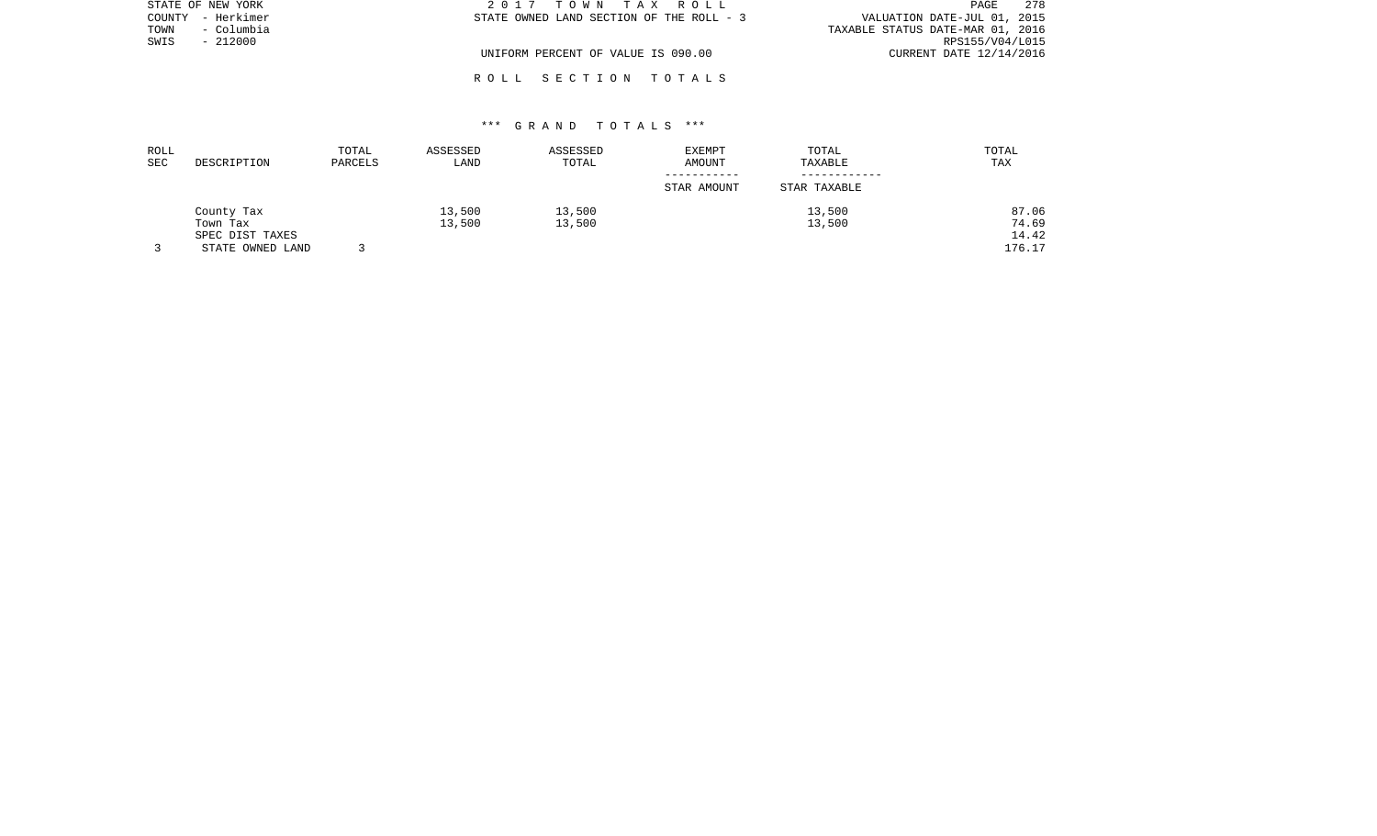| STATE OF NEW YORK    | 2017 TOWN TAX ROLL                       | 278<br>PAGE                      |
|----------------------|------------------------------------------|----------------------------------|
| – Herkimer<br>COUNTY | STATE OWNED LAND SECTION OF THE ROLL - 3 | VALUATION DATE-JUL 01, 2015      |
| - Columbia<br>TOWN   |                                          | TAXABLE STATUS DATE-MAR 01, 2016 |
| $-212000$<br>SWIS    |                                          | RPS155/V04/L015                  |
|                      | UNIFORM PERCENT OF VALUE IS 090.00       | CURRENT DATE 12/14/2016          |
|                      |                                          |                                  |

# \*\*\* G R A N D T O T A L S \*\*\*

R O L L S E C T I O N T O T A L S

| ROLL |                  | TOTAL   | ASSESSED | ASSESSED | EXEMPT      | TOTAL        | TOTAL  |
|------|------------------|---------|----------|----------|-------------|--------------|--------|
| SEC  | DESCRIPTION      | PARCELS | LAND     | TOTAL    | AMOUNT      | TAXABLE      | TAX    |
|      |                  |         |          |          | STAR AMOUNT | STAR TAXABLE |        |
|      | County Tax       |         | 13,500   | 13,500   |             | 13,500       | 87.06  |
|      | Town Tax         |         | 13,500   | 13,500   |             | 13,500       | 74.69  |
|      | SPEC DIST TAXES  |         |          |          |             |              | 14.42  |
|      | STATE OWNED LAND |         |          |          |             |              | 176.17 |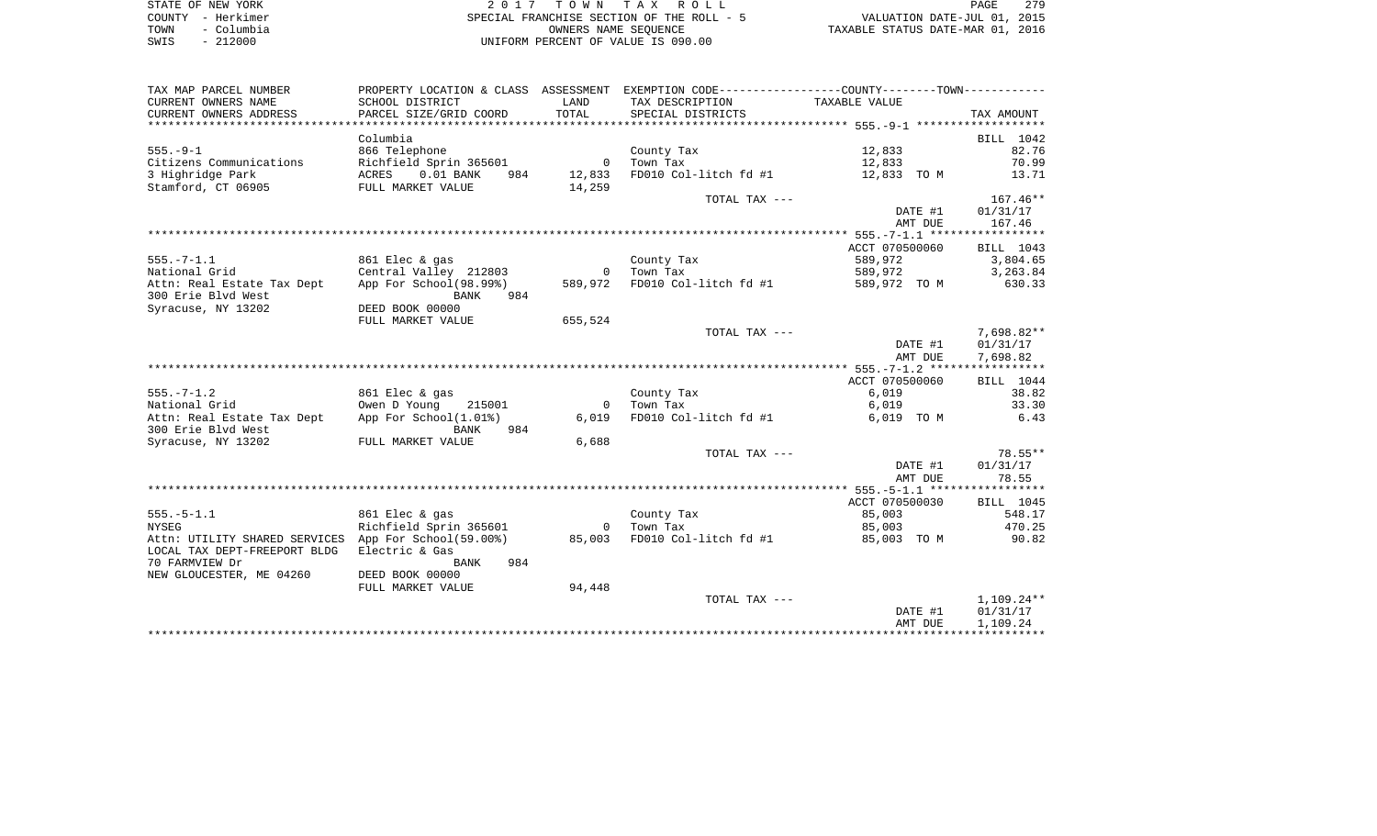|      | STATE OF NEW YORK | 2017 TOWN TAX ROLL                        | PAGE                             | 279 |
|------|-------------------|-------------------------------------------|----------------------------------|-----|
|      | COUNTY - Herkimer | SPECIAL FRANCHISE SECTION OF THE ROLL - 5 | VALUATION DATE-JUL 01, 2015      |     |
| TOWN | – Columbia        | OWNERS NAME SEOUENCE                      | TAXABLE STATUS DATE-MAR 01, 2016 |     |
| SWIS | - 212000          | UNIFORM PERCENT OF VALUE IS 090.00        |                                  |     |

| TAX MAP PARCEL NUMBER                                       | PROPERTY LOCATION & CLASS ASSESSMENT EXEMPTION CODE----------------COUNTY--------TOWN----------                |                |                                           |                           |                  |
|-------------------------------------------------------------|----------------------------------------------------------------------------------------------------------------|----------------|-------------------------------------------|---------------------------|------------------|
| CURRENT OWNERS NAME                                         | SCHOOL DISTRICT                                                                                                | LAND           | TAX DESCRIPTION TAXABLE VALUE             |                           |                  |
| CURRENT OWNERS ADDRESS                                      | PARCEL SIZE/GRID COORD                                                                                         | TOTAL          | SPECIAL DISTRICTS                         |                           | TAX AMOUNT       |
|                                                             |                                                                                                                |                |                                           |                           |                  |
|                                                             | Columbia                                                                                                       |                |                                           |                           | BILL 1042        |
| $555. - 9 - 1$                                              | 866 Telephone                                                                                                  |                | County Tax                                | 12,833<br>12,833<br>70.99 |                  |
| Citizens Communications                                     | Richfield Sprin 365601 0 Town Tax                                                                              |                |                                           |                           |                  |
| 3 Highridge Park                                            | ACRES 0.01 BANK                                                                                                | 984 12,833     | FD010 Col-litch fd $#1$ 12,833 TO M       |                           | 13.71            |
| Stamford, CT 06905                                          | FULL MARKET VALUE                                                                                              | 14,259         |                                           |                           |                  |
|                                                             |                                                                                                                |                | TOTAL TAX ---                             |                           | $167.46**$       |
|                                                             |                                                                                                                |                |                                           |                           | DATE #1 01/31/17 |
|                                                             |                                                                                                                |                |                                           | AMT DUE                   | 167.46           |
|                                                             |                                                                                                                |                |                                           |                           |                  |
|                                                             |                                                                                                                |                |                                           | ACCT 070500060            | BILL 1043        |
| $555. - 7 - 1.1$                                            | 861 Elec & gas                                                                                                 |                | County Tax                                | 589,972                   | 3,804.65         |
| National Grid                                               |                                                                                                                |                | Town Tax                                  | 589,972                   | 3,263.84         |
| Attn: Real Estate Tax Dept                                  | Central Valley 212803 0<br>App For School(98.99%) 589,972                                                      | 589,972        | FD010 Col-litch fd #1 589,972 TO M 630.33 |                           |                  |
| 300 Erie Blvd West                                          | <b>EXAMPLE AND READ PROPERTY</b><br>984                                                                        |                |                                           |                           |                  |
| Syracuse, NY 13202                                          | DEED BOOK 00000                                                                                                |                |                                           |                           |                  |
|                                                             | FULL MARKET VALUE                                                                                              | 655,524        |                                           |                           |                  |
|                                                             |                                                                                                                |                | TOTAL TAX ---                             |                           | 7,698.82**       |
|                                                             |                                                                                                                |                |                                           | DATE #1                   | 01/31/17         |
|                                                             |                                                                                                                |                |                                           | AMT DUE                   | 7,698.82         |
|                                                             |                                                                                                                |                |                                           |                           |                  |
|                                                             |                                                                                                                |                |                                           | ACCT 070500060            | BILL 1044        |
| $555. - 7 - 1.2$                                            | 861 Elec & gas                                                                                                 |                | County Tax                                | 6,019                     | 38.82            |
| National Grid                                               | Owen D Young 215001                                                                                            | $\overline{0}$ | Town Tax                                  | 6,019                     | 33.30            |
| Attn: Real Estate Tax Dept                                  | App For School(1.01%)                                                                                          | 6,019          | FD010 Col-litch fd #1                     | 6,019 TO M                | 6.43             |
| 300 Erie Blvd West<br>Syracuse, NY 13202 FULL MARKET        | BANK<br>984                                                                                                    | 6,688          |                                           |                           |                  |
|                                                             | FULL MARKET VALUE                                                                                              |                | TOTAL TAX ---                             |                           | 78.55**          |
|                                                             |                                                                                                                |                |                                           | DATE #1                   | 01/31/17         |
|                                                             |                                                                                                                |                |                                           | AMT DUE                   | 78.55            |
|                                                             |                                                                                                                |                |                                           |                           |                  |
|                                                             |                                                                                                                |                |                                           | ACCT 070500030            | BILL 1045        |
| $555. - 5 - 1.1$                                            | 861 Elec & gas                                                                                                 |                |                                           |                           | 548.17           |
| <b>NYSEG</b>                                                | Example 1988 and 1989 and 1999 and 1999 and 1999 and 1999 and 1999 and 1999 and 1999 and 1999 and 1999 and 199 |                | County Tax<br>Town Tax                    | 85,003<br>85,003          | 470.25           |
| Attn: UTILITY SHARED SERVICES App For School(59.00%) 85,003 |                                                                                                                |                | FD010 Col-litch fd #1 85,003 TO M 90.82   |                           |                  |
| LOCAL TAX DEPT-FREEPORT BLDG                                | Electric & Gas                                                                                                 |                |                                           |                           |                  |
| 70 FARMVIEW Dr                                              | 984<br>BANK                                                                                                    |                |                                           |                           |                  |
| NEW GLOUCESTER, ME 04260                                    | DEED BOOK 00000                                                                                                |                |                                           |                           |                  |
|                                                             | FULL MARKET VALUE                                                                                              | 94,448         |                                           |                           |                  |
|                                                             |                                                                                                                |                | TOTAL TAX ---                             |                           | 1,109.24**       |
|                                                             |                                                                                                                |                |                                           | DATE #1                   | 01/31/17         |
|                                                             |                                                                                                                |                |                                           | AMT DUE                   | 1,109.24         |
|                                                             |                                                                                                                |                |                                           |                           |                  |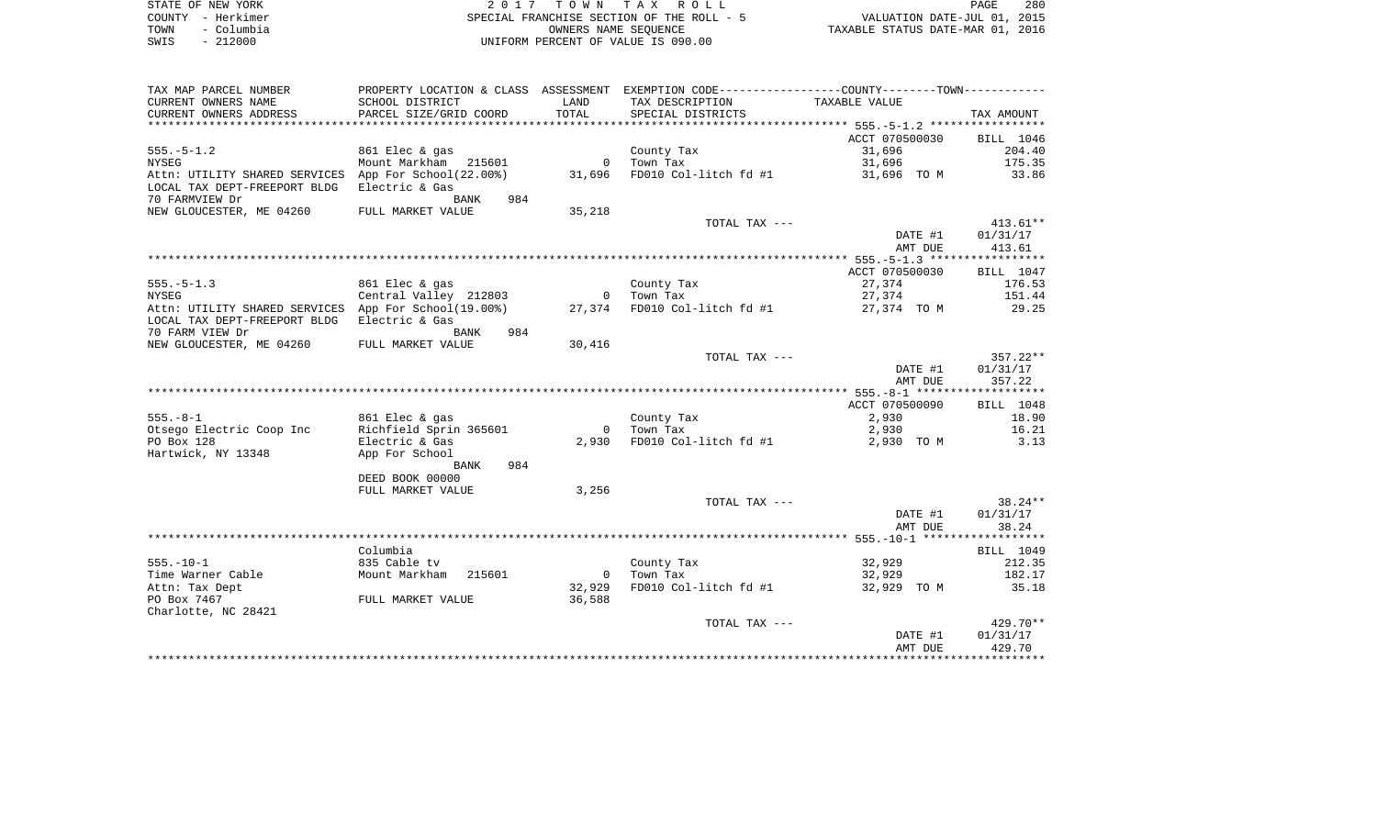|      | STATE OF NEW YORK | 2017 TOWN TAX ROLL                        |                                  | PAGE | 280 |
|------|-------------------|-------------------------------------------|----------------------------------|------|-----|
|      | COUNTY - Herkimer | SPECIAL FRANCHISE SECTION OF THE ROLL - 5 | VALUATION DATE-JUL 01, 2015      |      |     |
| TOWN | - Columbia        | OWNERS NAME SEOUENCE                      | TAXABLE STATUS DATE-MAR 01, 2016 |      |     |
| SWIS | $-212000$         | UNIFORM PERCENT OF VALUE IS 090.00        |                                  |      |     |
|      |                   |                                           |                                  |      |     |

| TAX MAP PARCEL NUMBER<br>CURRENT OWNERS NAME | PROPERTY LOCATION & CLASS ASSESSMENT<br>SCHOOL DISTRICT | LAND           | EXEMPTION CODE-----------------COUNTY-------TOWN-----------<br>TAX DESCRIPTION | TAXABLE VALUE  |            |
|----------------------------------------------|---------------------------------------------------------|----------------|--------------------------------------------------------------------------------|----------------|------------|
| CURRENT OWNERS ADDRESS                       | PARCEL SIZE/GRID COORD                                  | TOTAL          | SPECIAL DISTRICTS                                                              |                | TAX AMOUNT |
|                                              |                                                         |                |                                                                                | ACCT 070500030 | BILL 1046  |
| $555. - 5 - 1.2$                             | 861 Elec & gas                                          |                | County Tax                                                                     | 31,696         | 204.40     |
| <b>NYSEG</b>                                 | 215601<br>Mount Markham                                 |                | 0 Town Tax                                                                     | 31,696         | 175.35     |
| Attn: UTILITY SHARED SERVICES                | App For School(22.00%)                                  |                | 31,696 FD010 Col-litch fd #1                                                   | 31,696 TO M    | 33.86      |
| LOCAL TAX DEPT-FREEPORT BLDG                 | Electric & Gas                                          |                |                                                                                |                |            |
| 70 FARMVIEW Dr                               | BANK<br>984                                             |                |                                                                                |                |            |
| NEW GLOUCESTER, ME 04260                     | FULL MARKET VALUE                                       | 35,218         |                                                                                |                |            |
|                                              |                                                         |                | TOTAL TAX ---                                                                  |                | $413.61**$ |
|                                              |                                                         |                |                                                                                | DATE #1        | 01/31/17   |
|                                              |                                                         |                |                                                                                | AMT DUE        | 413.61     |
|                                              |                                                         |                |                                                                                | ACCT 070500030 | BILL 1047  |
| $555. - 5 - 1.3$                             | 861 Elec & gas                                          |                | County Tax                                                                     | 27,374         | 176.53     |
| <b>NYSEG</b>                                 | Central Valley 212803                                   |                | 0 Town Tax                                                                     | 27,374         | 151.44     |
| Attn: UTILITY SHARED SERVICES                | App For School(19.00%)                                  |                | 27,374 FD010 Col-litch fd #1                                                   | 27,374 TO M    | 29.25      |
| LOCAL TAX DEPT-FREEPORT BLDG                 | Electric & Gas                                          |                |                                                                                |                |            |
| 70 FARM VIEW Dr                              | BANK<br>984                                             |                |                                                                                |                |            |
| NEW GLOUCESTER, ME 04260                     | FULL MARKET VALUE                                       | 30,416         |                                                                                |                |            |
|                                              |                                                         |                | TOTAL TAX ---                                                                  |                | $357.22**$ |
|                                              |                                                         |                |                                                                                | DATE #1        | 01/31/17   |
|                                              |                                                         |                |                                                                                | AMT DUE        | 357.22     |
|                                              |                                                         |                |                                                                                |                |            |
|                                              |                                                         |                |                                                                                | ACCT 070500090 | BILL 1048  |
| $555. - 8 - 1$                               | 861 Elec & gas                                          |                | County Tax                                                                     | 2,930          | 18.90      |
| Otsego Electric Coop Inc                     | Richfield Sprin 365601                                  | $\overline{0}$ | Town Tax                                                                       | 2,930          | 16.21      |
| PO Box 128<br>Hartwick, NY 13348             | Electric & Gas                                          | 2,930          | FD010 Col-litch fd #1                                                          | 2,930 TO M     | 3.13       |
|                                              | App For School<br>BANK<br>984                           |                |                                                                                |                |            |
|                                              | DEED BOOK 00000                                         |                |                                                                                |                |            |
|                                              | FULL MARKET VALUE                                       | 3,256          |                                                                                |                |            |
|                                              |                                                         |                | TOTAL TAX ---                                                                  |                | 38.24 **   |
|                                              |                                                         |                |                                                                                | DATE #1        | 01/31/17   |
|                                              |                                                         |                |                                                                                | AMT DUE        | 38.24      |
|                                              |                                                         |                |                                                                                |                |            |
|                                              | Columbia                                                |                |                                                                                |                | BILL 1049  |
| $555. - 10 - 1$                              | 835 Cable tv                                            |                | County Tax                                                                     | 32,929         | 212.35     |
| Time Warner Cable                            | Mount Markham<br>215601                                 | $\overline{0}$ | Town Tax                                                                       | 32,929         | 182.17     |
| Attn: Tax Dept                               |                                                         | 32,929         | FD010 Col-litch fd #1                                                          | 32,929 TO M    | 35.18      |
| PO Box 7467                                  | FULL MARKET VALUE                                       | 36,588         |                                                                                |                |            |
| Charlotte, NC 28421                          |                                                         |                |                                                                                |                |            |
|                                              |                                                         |                | TOTAL TAX ---                                                                  |                | 429.70**   |
|                                              |                                                         |                |                                                                                | DATE #1        | 01/31/17   |
|                                              |                                                         |                |                                                                                | AMT DUE        | 429.70     |
|                                              |                                                         |                |                                                                                |                |            |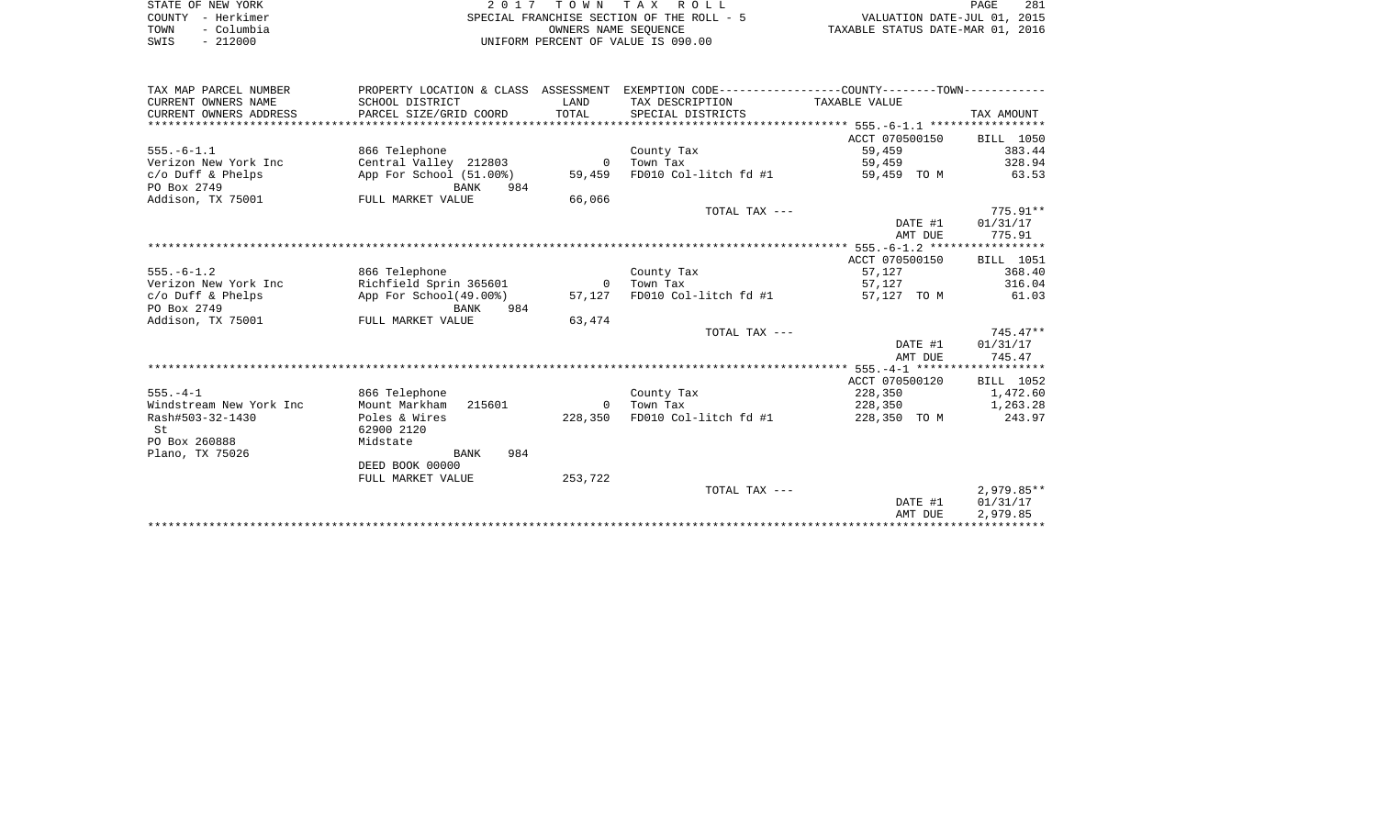| 2017 TOWN TAX ROLL<br>PAGE<br>STATE OF NEW YORK                                               | 281 |
|-----------------------------------------------------------------------------------------------|-----|
| COUNTY - Herkimer<br>VALUATION DATE-JUL 01, 2015<br>SPECIAL FRANCHISE SECTION OF THE ROLL - 5 |     |
| - Columbia<br>TOWN<br>TAXABLE STATUS DATE-MAR 01, 2016<br>OWNERS NAME SEOUENCE                |     |
| UNIFORM PERCENT OF VALUE IS 090.00<br>SWIS<br>$-212000$                                       |     |
|                                                                                               |     |
|                                                                                               |     |

| TAX MAP PARCEL NUMBER   | PROPERTY LOCATION & CLASS ASSESSMENT |                | EXEMPTION CODE------------------COUNTY--------TOWN----------- |                |                  |
|-------------------------|--------------------------------------|----------------|---------------------------------------------------------------|----------------|------------------|
| CURRENT OWNERS NAME     | SCHOOL DISTRICT                      | LAND           | TAX DESCRIPTION TAXABLE VALUE                                 |                |                  |
| CURRENT OWNERS ADDRESS  | PARCEL SIZE/GRID COORD               | TOTAL          | SPECIAL DISTRICTS                                             |                | TAX AMOUNT       |
|                         |                                      |                |                                                               |                |                  |
|                         |                                      |                |                                                               | ACCT 070500150 | BILL 1050        |
| $555. - 6 - 1.1$        | 866 Telephone                        |                | County Tax                                                    | 59,459         | 383.44           |
| Verizon New York Inc    | Central Valley 212803                | $\overline{0}$ | Town Tax                                                      | 59,459         | 328.94           |
| $c/O$ Duff & Phelps     | App For School (51.00%)              | 59,459         | FD010 Col-litch fd #1                                         | 59,459 TO M    | 63.53            |
| PO Box 2749             | 984<br>BANK                          |                |                                                               |                |                  |
| Addison, TX 75001       | FULL MARKET VALUE                    |                |                                                               |                |                  |
|                         |                                      | 66,066         |                                                               |                |                  |
|                         |                                      |                | TOTAL TAX ---                                                 |                | $775.91**$       |
|                         |                                      |                |                                                               | DATE #1        | 01/31/17         |
|                         |                                      |                |                                                               | AMT DUE        | 775.91           |
|                         |                                      |                |                                                               |                |                  |
|                         |                                      |                |                                                               | ACCT 070500150 | <b>BILL</b> 1051 |
| $555. - 6 - 1.2$        | 866 Telephone                        |                | County Tax                                                    | 57,127         | 368.40           |
| Verizon New York Inc    | Richfield Sprin 365601               | $\overline{0}$ | Town Tax                                                      | 57,127         | 316.04           |
| $c/O$ Duff & Phelps     | App For School(49.00%)               | 57,127         | FD010 Col-litch fd #1                                         | 57,127 TO M    | 61.03            |
| PO Box 2749             | <b>BANK</b><br>984                   |                |                                                               |                |                  |
| Addison, TX 75001       | FULL MARKET VALUE                    | 63,474         |                                                               |                |                  |
|                         |                                      |                | TOTAL TAX ---                                                 |                | $745.47**$       |
|                         |                                      |                |                                                               | DATE #1        | 01/31/17         |
|                         |                                      |                |                                                               | AMT DUE        | 745.47           |
|                         |                                      |                |                                                               |                |                  |
|                         |                                      |                |                                                               | ACCT 070500120 | <b>BILL</b> 1052 |
| $555. - 4 - 1$          | 866 Telephone                        |                | County Tax                                                    | 228,350        | 1,472.60         |
| Windstream New York Inc | Mount Markham 215601                 | $\Omega$       | Town Tax                                                      | 228,350        | 1,263.28         |
| Rash#503-32-1430        | Poles & Wires                        | 228,350        | FD010 Col-litch fd #1                                         | 228,350 TO M   | 243.97           |
| St                      | 62900 2120                           |                |                                                               |                |                  |
| PO Box 260888           | Midstate                             |                |                                                               |                |                  |
| Plano, TX 75026         | 984<br><b>BANK</b>                   |                |                                                               |                |                  |
|                         | DEED BOOK 00000                      |                |                                                               |                |                  |
|                         | FULL MARKET VALUE                    | 253,722        |                                                               |                |                  |
|                         |                                      |                | TOTAL TAX ---                                                 |                | $2,979.85**$     |
|                         |                                      |                |                                                               |                |                  |
|                         |                                      |                |                                                               | DATE #1        | 01/31/17         |
|                         |                                      |                |                                                               | AMT DUE        | 2,979.85         |
|                         |                                      |                |                                                               |                |                  |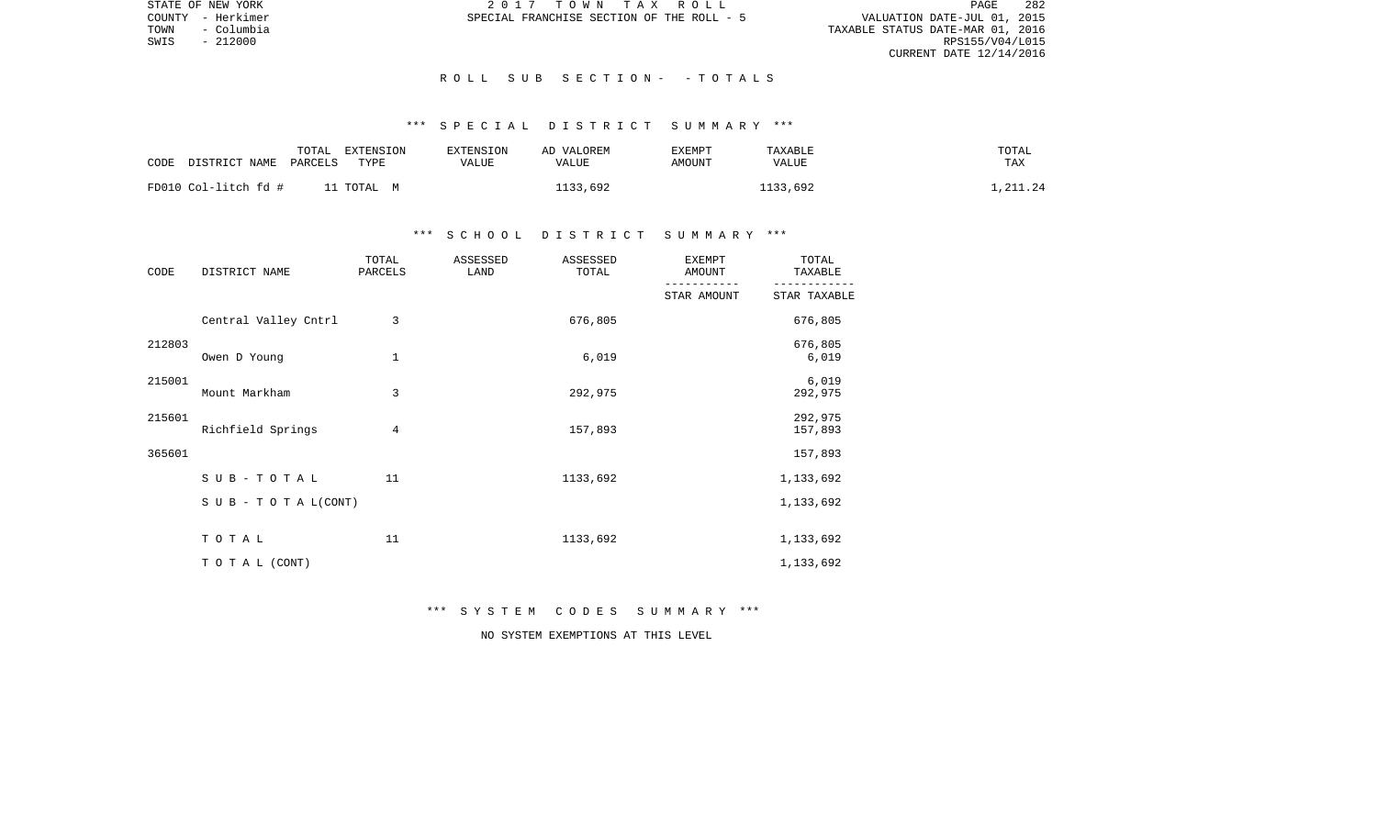PAGE 282 TOWN - Columbia TAXABLE STATUS DATE-MAR 01, 2016 CURRENT DATE 12/14/2016

STATE OF NEW YORK 2 0 1 7 T O W N T A X R O L L PAGE 282COUNTY - Herkimer SPECIAL FRANCHISE SECTION OF THE ROLL - 5

 $SWIS$  - 212000

### R O L L S U B S E C T I O N - - T O T A L S

# \*\*\* S P E C I A L D I S T R I C T S U M M A R Y \*\*\*

| CODE                 | TOTAL   | EXTENSION | EXTENSION | AD VALOREM | <b>EXEMPT</b> | TAXABLE  | TOTAL   |
|----------------------|---------|-----------|-----------|------------|---------------|----------|---------|
| DISTRICT NAME        | PARCELS | TYPE      | VALUE     | VALUE      | AMOUNT        | VALUE    | TAX     |
| FD010 Col-litch fd # |         | TOTAL M   |           | 1133,692   |               | 1133,692 | .211.24 |

# \*\*\* S C H O O L D I S T R I C T S U M M A R Y \*\*\*

| CODE   | DISTRICT NAME             | TOTAL<br>PARCELS | ASSESSED<br>LAND | ASSESSED<br>TOTAL | <b>EXEMPT</b><br>AMOUNT | TOTAL<br>TAXABLE   |
|--------|---------------------------|------------------|------------------|-------------------|-------------------------|--------------------|
|        |                           |                  |                  |                   | STAR AMOUNT             | STAR TAXABLE       |
|        | Central Valley Cntrl      | 3                |                  | 676,805           |                         | 676,805            |
| 212803 | Owen D Young              | 1                |                  | 6,019             |                         | 676,805<br>6,019   |
| 215001 | Mount Markham             | 3                |                  | 292,975           |                         | 6,019<br>292,975   |
| 215601 | Richfield Springs         | 4                |                  | 157,893           |                         | 292,975<br>157,893 |
| 365601 |                           |                  |                  |                   |                         | 157,893            |
|        | $S$ U B - T O T A L       | 11               |                  | 1133,692          |                         | 1,133,692          |
|        | S U B - T O T A $L(CONT)$ |                  |                  |                   |                         | 1,133,692          |
|        | TOTAL                     | 11               |                  | 1133,692          |                         | 1,133,692          |
|        | TO TAL (CONT)             |                  |                  |                   |                         | 1,133,692          |

\*\*\* S Y S T E M C O D E S S U M M A R Y \*\*\*

NO SYSTEM EXEMPTIONS AT THIS LEVEL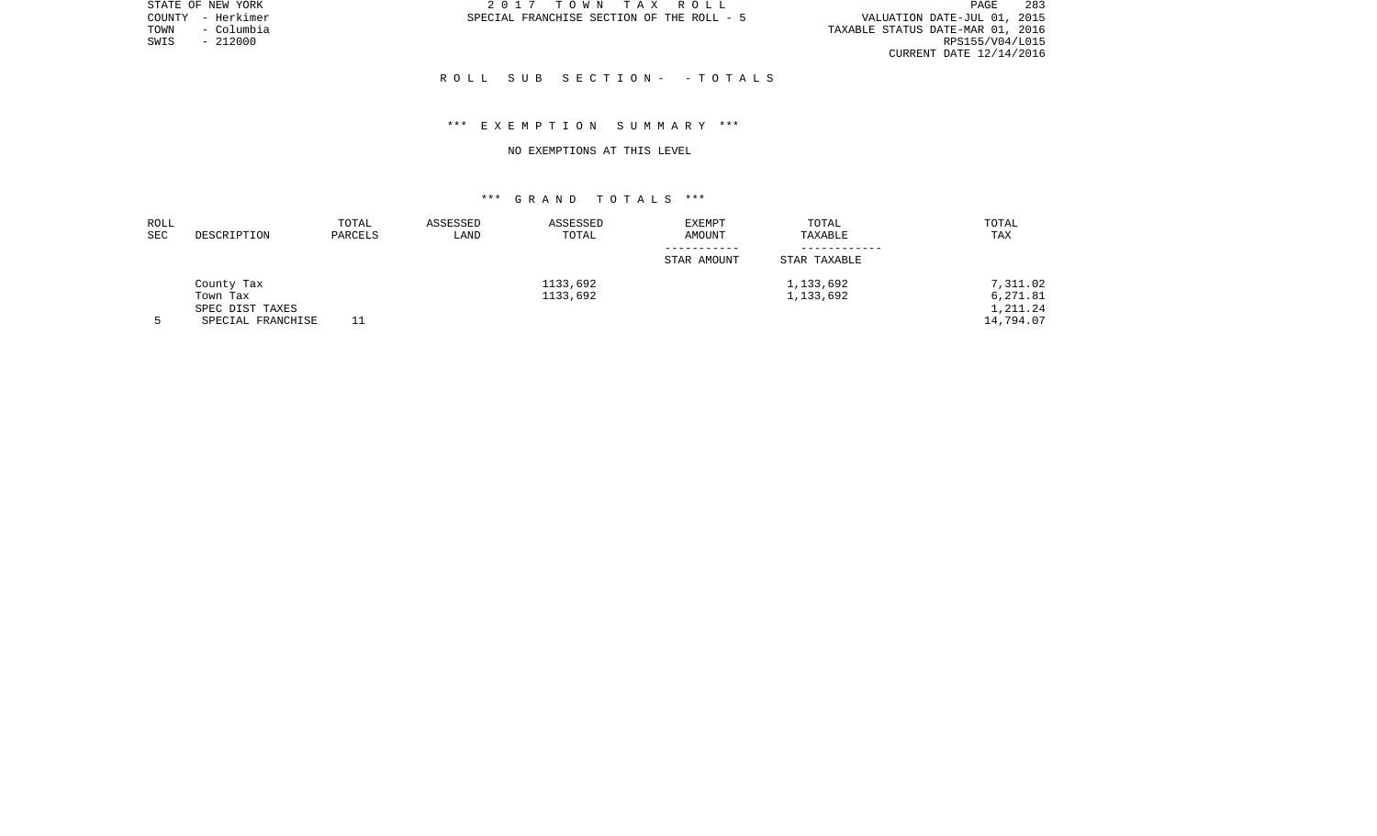STATE OF NEW YORK 2 0 1 7 T O W N T A X R O L L PAGE 283VALUATION DATE-JUL 01, 2015 TOWN - Columbia TAXABLE STATUS DATE-MAR 01, 2016 CURRENT DATE 12/14/2016

COUNTY - Herkimer SPECIAL FRANCHISE SECTION OF THE ROLL - 5

 $SWIS$  - 212000

#### R O L L S U B S E C T I O N - - T O T A L S

# \*\*\* E X E M P T I O N S U M M A R Y \*\*\*

#### NO EXEMPTIONS AT THIS LEVEL

| ROLL |                   | TOTAL   | ASSESSED | ASSESSED | <b>EXEMPT</b> | TOTAL        | TOTAL     |
|------|-------------------|---------|----------|----------|---------------|--------------|-----------|
| SEC  | DESCRIPTION       | PARCELS | LAND     | TOTAL    | AMOUNT        | TAXABLE      | TAX       |
|      |                   |         |          |          |               |              |           |
|      |                   |         |          |          | STAR AMOUNT   | STAR TAXABLE |           |
|      | County Tax        |         |          | 1133,692 |               | 1,133,692    | 7,311.02  |
|      | Town Tax          |         |          | 1133,692 |               | 1,133,692    | 6,271.81  |
|      | SPEC DIST TAXES   |         |          |          |               |              | 1,211.24  |
|      | SPECIAL FRANCHISE |         |          |          |               |              | 14,794.07 |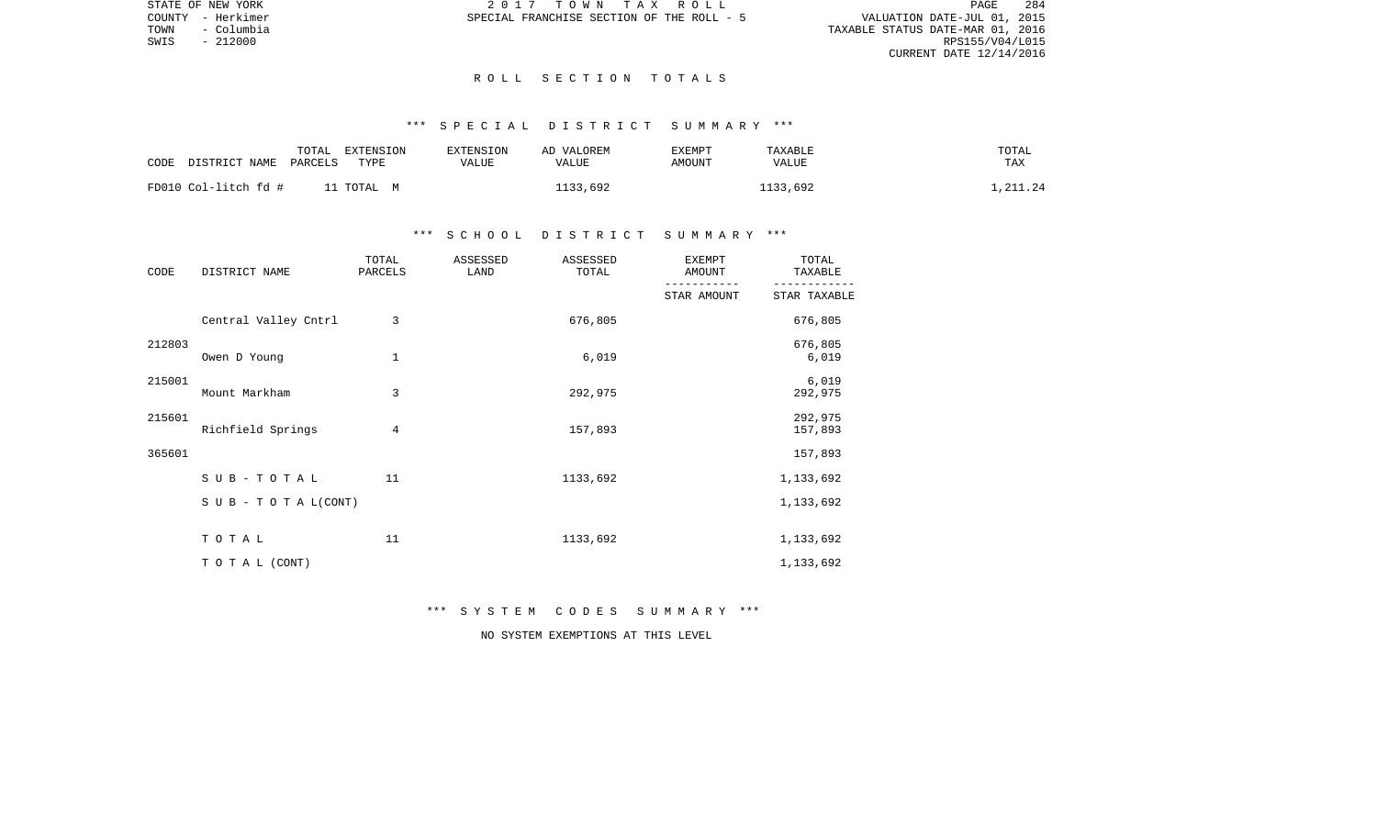PAGE 284 TOWN - Herkimer (1991) SPECIAL FRANCHISE SECTION OF THE ROLL - 5 WALUATION DATE-JUL 01, 2015<br>TOWN - Columbia (1991) SPECIAL FRANCHISE SECTION OF THE ROLL - 5 WALUATION DATE-MAR 01, 2016<br>SWIS - 212000 RPS155/V04/L015 CURRENT DATE 12/14/2016

STATE OF NEW YORK **2017 TOWN TAX ROLL** COUNTY - Herkimer SPECIAL FRANCHISE SECTION OF THE ROLL - 5

 $SWIS$  - 212000

#### R O L L S E C T I O N T O T A L S

# \*\*\* S P E C I A L D I S T R I C T S U M M A R Y \*\*\*

| CODE                 | TOTAL   | EXTENSION | EXTENSION | AD VALOREM | EXEMPT | TAXABLE  | TOTAL      |
|----------------------|---------|-----------|-----------|------------|--------|----------|------------|
| DISTRICT NAME        | PARCELS | TYPE      | VALUE     | VALUE      | AMOUNT | VALUE    | <b>TAX</b> |
| FD010 Col-litch fd # |         | TOTAL M   |           | 1133,692   |        | 1133,692 | .211.24    |

# \*\*\* S C H O O L D I S T R I C T S U M M A R Y \*\*\*

| CODE   | DISTRICT NAME             | TOTAL<br>PARCELS | ASSESSED<br>LAND | ASSESSED<br>TOTAL | <b>EXEMPT</b><br>AMOUNT | TOTAL<br>TAXABLE   |
|--------|---------------------------|------------------|------------------|-------------------|-------------------------|--------------------|
|        |                           |                  |                  |                   | STAR AMOUNT             | STAR TAXABLE       |
|        | Central Valley Cntrl      | 3                |                  | 676,805           |                         | 676,805            |
| 212803 | Owen D Young              | 1                |                  | 6,019             |                         | 676,805<br>6,019   |
| 215001 | Mount Markham             | 3                |                  | 292,975           |                         | 6,019<br>292,975   |
| 215601 | Richfield Springs         | 4                |                  | 157,893           |                         | 292,975<br>157,893 |
| 365601 |                           |                  |                  |                   |                         | 157,893            |
|        | SUB-TOTAL                 | 11               |                  | 1133,692          |                         | 1,133,692          |
|        | S U B - T O T A $L(CONT)$ |                  |                  |                   |                         | 1,133,692          |
|        | TOTAL                     | 11               |                  | 1133,692          |                         | 1,133,692          |
|        | TO TAL (CONT)             |                  |                  |                   |                         | 1,133,692          |

\*\*\* S Y S T E M C O D E S S U M M A R Y \*\*\*

NO SYSTEM EXEMPTIONS AT THIS LEVEL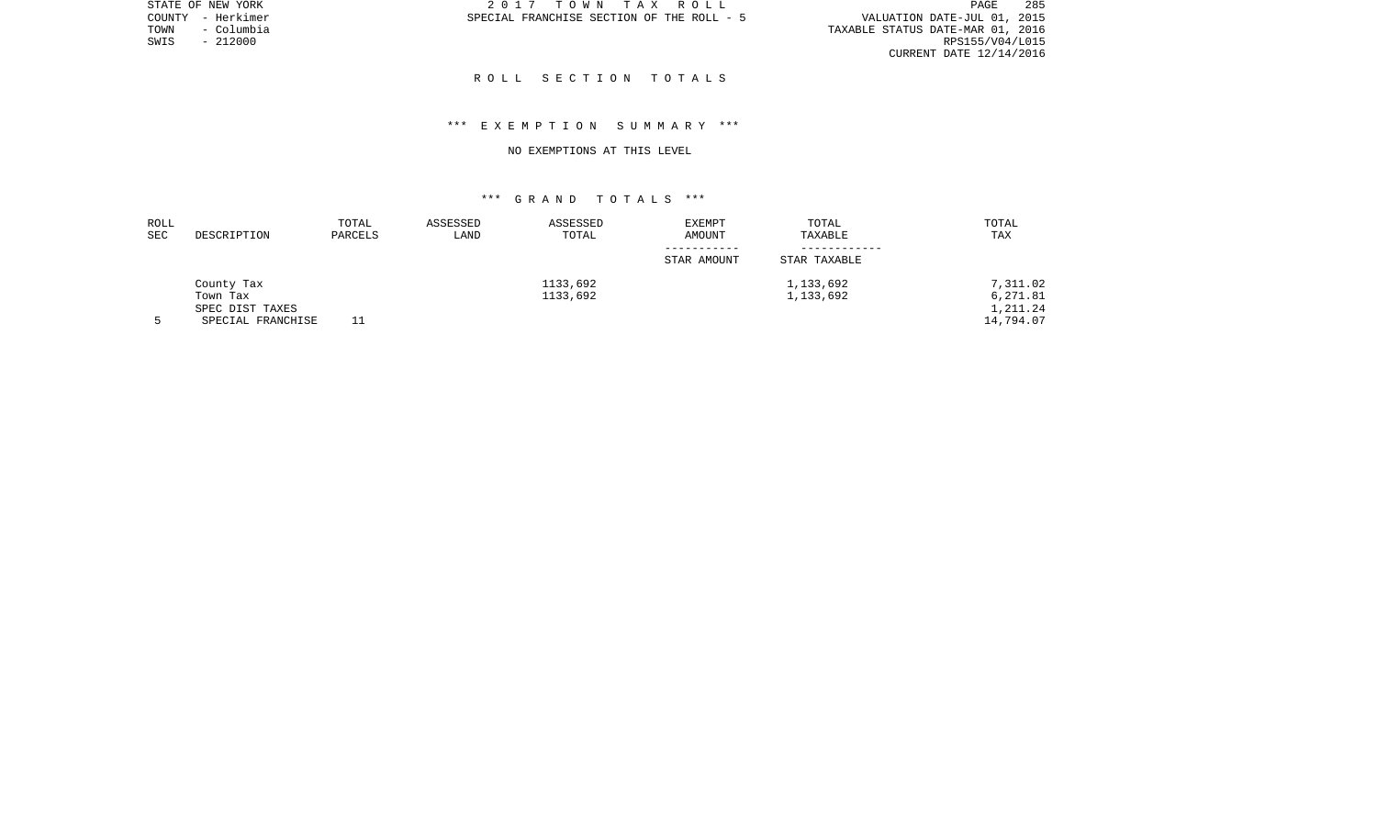STATE OF NEW YORK 2 0 1 7 T O W N T A X R O L L PAGE 285VALUATION DATE-JUL 01, 2015 TOWN - Columbia TAXABLE STATUS DATE-MAR 01, 2016 CURRENT DATE 12/14/2016

COUNTY - Herkimer SPECIAL FRANCHISE SECTION OF THE ROLL - 5

 $SWIS$  - 212000

#### R O L L S E C T I O N T O T A L S

# \*\*\* E X E M P T I O N S U M M A R Y \*\*\*

#### NO EXEMPTIONS AT THIS LEVEL

| ROLL |                   | TOTAL   | ASSESSED | ASSESSED | <b>EXEMPT</b> | TOTAL        | TOTAL     |
|------|-------------------|---------|----------|----------|---------------|--------------|-----------|
| SEC  | DESCRIPTION       | PARCELS | LAND     | TOTAL    | AMOUNT        | TAXABLE      | TAX       |
|      |                   |         |          |          |               |              |           |
|      |                   |         |          |          | STAR AMOUNT   | STAR TAXABLE |           |
|      | County Tax        |         |          | 1133,692 |               | 1,133,692    | 7,311.02  |
|      | Town Tax          |         |          | 1133,692 |               | 1,133,692    | 6,271.81  |
|      | SPEC DIST TAXES   |         |          |          |               |              | 1,211.24  |
|      | SPECIAL FRANCHISE |         |          |          |               |              | 14,794.07 |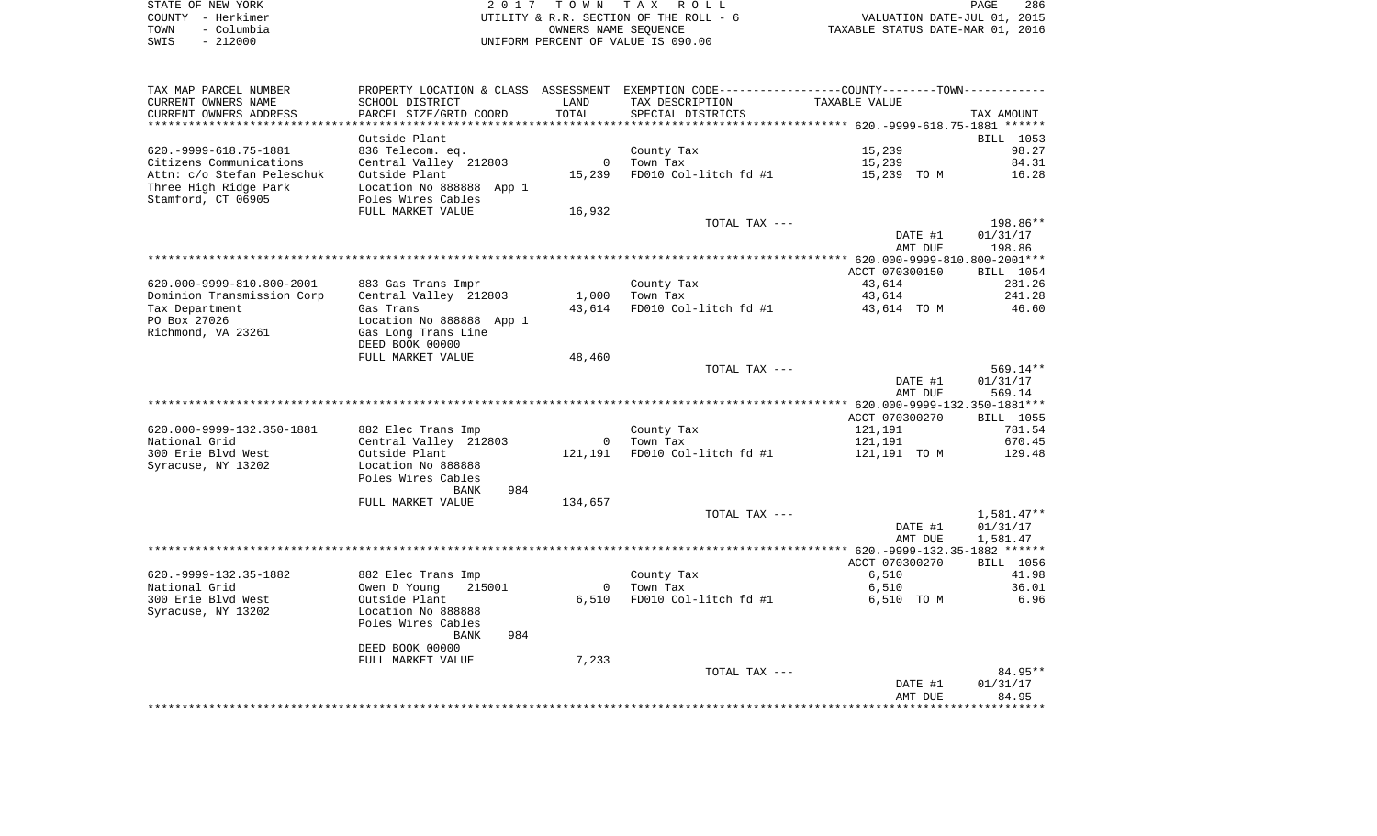|      | STATE OF NEW YORK | 2017 TOWN TAX ROLL                     | 286<br>PAGE                      |
|------|-------------------|----------------------------------------|----------------------------------|
|      | COUNTY - Herkimer | UTILITY & R.R. SECTION OF THE ROLL - 6 | VALUATION DATE-JUL 01, 2015      |
| TOWN | - Columbia        | OWNERS NAME SEOUENCE                   | TAXABLE STATUS DATE-MAR 01, 2016 |
| SWIS | $-212000$         | UNIFORM PERCENT OF VALUE IS 090.00     |                                  |

| TAX MAP PARCEL NUMBER                                 | PROPERTY LOCATION & CLASS ASSESSMENT EXEMPTION CODE---------------COUNTY-------TOWN---------- |              |                        |                       |                |
|-------------------------------------------------------|-----------------------------------------------------------------------------------------------|--------------|------------------------|-----------------------|----------------|
| CURRENT OWNERS NAME                                   | SCHOOL DISTRICT                                                                               | LAND         | TAX DESCRIPTION        | TAXABLE VALUE         |                |
| CURRENT OWNERS ADDRESS                                | PARCEL SIZE/GRID COORD                                                                        | TOTAL        | SPECIAL DISTRICTS      |                       | TAX AMOUNT     |
|                                                       |                                                                                               |              |                        |                       |                |
|                                                       | Outside Plant                                                                                 |              |                        |                       | BILL 1053      |
| 620. - 9999 - 618. 75 - 1881                          | 836 Telecom. eq.                                                                              | $\Omega$     | County Tax<br>Town Tax | 15,239                | 98.27          |
| Citizens Communications<br>Attn: c/o Stefan Peleschuk | Central Valley 212803<br>Outside Plant                                                        | 15,239       | FD010 Col-litch fd #1  | 15,239<br>15,239 TO M | 84.31<br>16.28 |
| Three High Ridge Park                                 | Location No 888888 App 1                                                                      |              |                        |                       |                |
| Stamford, CT 06905                                    | Poles Wires Cables                                                                            |              |                        |                       |                |
|                                                       | FULL MARKET VALUE                                                                             | 16,932       |                        |                       |                |
|                                                       |                                                                                               |              | TOTAL TAX ---          |                       | 198.86**       |
|                                                       |                                                                                               |              |                        | DATE #1               | 01/31/17       |
|                                                       |                                                                                               |              |                        | AMT DUE               | 198.86         |
|                                                       |                                                                                               |              |                        |                       |                |
|                                                       |                                                                                               |              |                        | ACCT 070300150        | BILL 1054      |
| 620.000-9999-810.800-2001                             | 883 Gas Trans Impr                                                                            |              | County Tax             | 43,614                | 281.26         |
| Dominion Transmission Corp                            | Central Valley 212803                                                                         | 1,000        | Town Tax               | 43,614                | 241.28         |
| Tax Department                                        | Gas Trans                                                                                     | 43,614       | FD010 Col-litch fd #1  | 43,614 TO M           | 46.60          |
| PO Box 27026                                          | Location No 888888 App 1                                                                      |              |                        |                       |                |
| Richmond, VA 23261                                    | Gas Long Trans Line                                                                           |              |                        |                       |                |
|                                                       | DEED BOOK 00000                                                                               |              |                        |                       |                |
|                                                       | FULL MARKET VALUE                                                                             | 48,460       |                        |                       |                |
|                                                       |                                                                                               |              | TOTAL TAX ---          |                       | 569.14**       |
|                                                       |                                                                                               |              |                        | DATE #1               | 01/31/17       |
|                                                       |                                                                                               |              |                        | AMT DUE               | 569.14         |
|                                                       |                                                                                               |              |                        | ACCT 070300270        | BILL 1055      |
| 620.000-9999-132.350-1881                             | 882 Elec Trans Imp                                                                            |              | County Tax             | 121,191               | 781.54         |
| National Grid                                         | Central Valley 212803                                                                         | $\Omega$     | Town Tax               | 121,191               | 670.45         |
| 300 Erie Blyd West                                    | Outside Plant                                                                                 | 121,191      | FD010 Col-litch fd #1  | 121,191 TO M          | 129.48         |
| Syracuse, NY 13202                                    | Location No 888888                                                                            |              |                        |                       |                |
|                                                       | Poles Wires Cables                                                                            |              |                        |                       |                |
|                                                       | 984<br>BANK                                                                                   |              |                        |                       |                |
|                                                       | FULL MARKET VALUE                                                                             | 134,657      |                        |                       |                |
|                                                       |                                                                                               |              | TOTAL TAX ---          |                       | 1,581.47**     |
|                                                       |                                                                                               |              |                        | DATE #1               | 01/31/17       |
|                                                       |                                                                                               |              |                        | AMT DUE               | 1,581.47       |
|                                                       |                                                                                               |              |                        |                       |                |
|                                                       |                                                                                               |              |                        | ACCT 070300270        | BILL 1056      |
| 620. - 9999 - 132. 35 - 1882                          | 882 Elec Trans Imp                                                                            |              | County Tax             | 6,510                 | 41.98          |
| National Grid                                         | Owen D Young<br>215001                                                                        | $\mathbf{0}$ | Town Tax               | 6,510                 | 36.01          |
| 300 Erie Blvd West                                    | Outside Plant                                                                                 | 6,510        | FD010 Col-litch fd #1  | 6,510 TO M            | 6.96           |
| Syracuse, NY 13202                                    | Location No 888888                                                                            |              |                        |                       |                |
|                                                       | Poles Wires Cables                                                                            |              |                        |                       |                |
|                                                       | 984<br>BANK                                                                                   |              |                        |                       |                |
|                                                       | DEED BOOK 00000                                                                               |              |                        |                       |                |
|                                                       | FULL MARKET VALUE                                                                             | 7,233        | TOTAL TAX ---          |                       | 84.95**        |
|                                                       |                                                                                               |              |                        | DATE #1               | 01/31/17       |
|                                                       |                                                                                               |              |                        | AMT DUE               | 84.95          |
|                                                       |                                                                                               |              |                        |                       |                |
|                                                       |                                                                                               |              |                        |                       |                |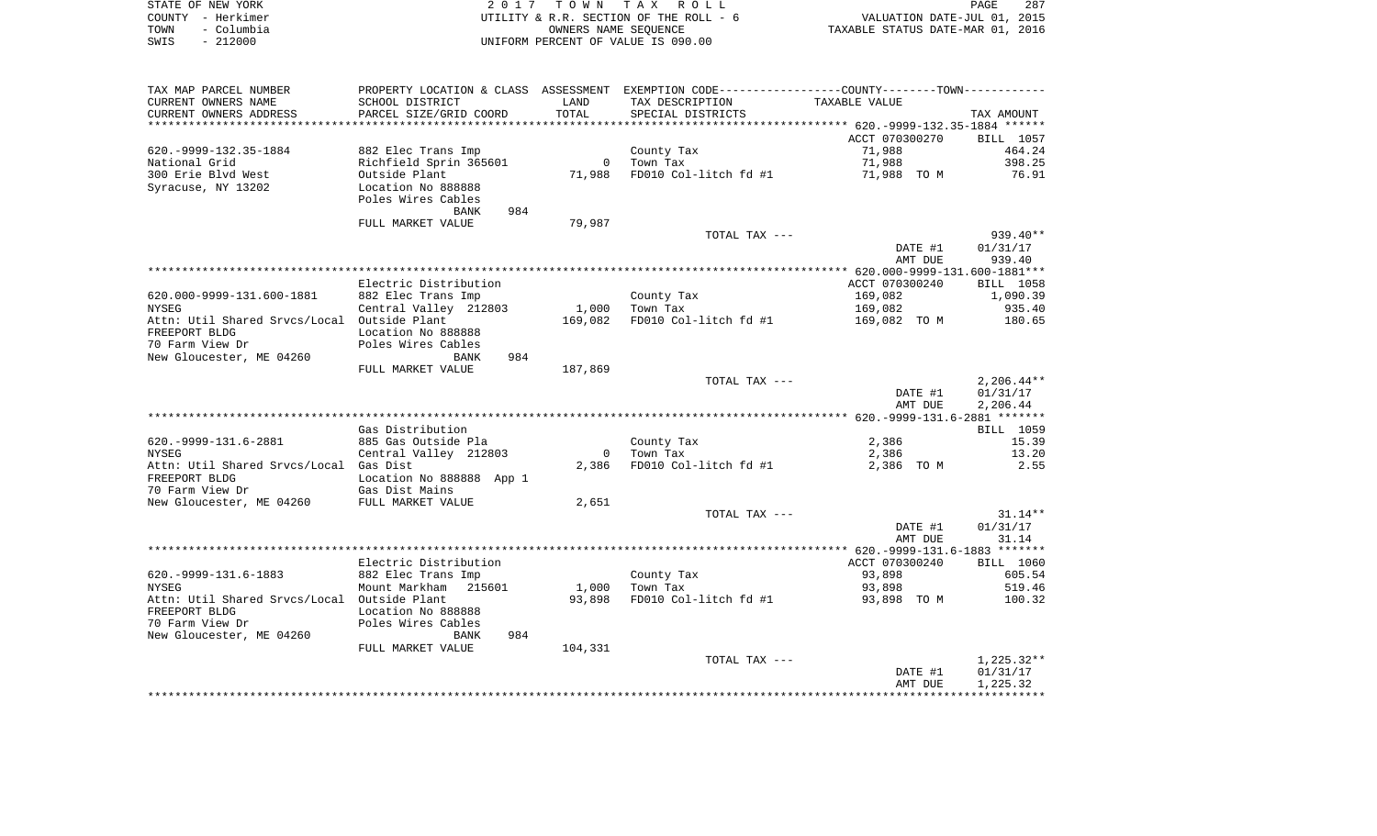| STATE OF NEW YORK                           |                                          | 2017 TOWN                                                  | TAX ROLL                                                                                       | 287<br>PAGE<br>VALUATION DATE-JUL 01, 2015    |                   |  |
|---------------------------------------------|------------------------------------------|------------------------------------------------------------|------------------------------------------------------------------------------------------------|-----------------------------------------------|-------------------|--|
| COUNTY - Herkimer<br>TOWN<br>- Columbia     | UTILITY & R.R. SECTION OF THE ROLL - 6   |                                                            |                                                                                                | TAXABLE STATUS DATE-MAR 01, 2016              |                   |  |
| $-212000$<br>SWIS                           |                                          | OWNERS NAME SEOUENCE<br>UNIFORM PERCENT OF VALUE IS 090.00 |                                                                                                |                                               |                   |  |
|                                             |                                          |                                                            |                                                                                                |                                               |                   |  |
| TAX MAP PARCEL NUMBER                       |                                          |                                                            | PROPERTY LOCATION & CLASS ASSESSMENT EXEMPTION CODE----------------COUNTY-------TOWN---------- |                                               |                   |  |
| CURRENT OWNERS NAME                         | SCHOOL DISTRICT                          | LAND                                                       | TAX DESCRIPTION                                                                                | TAXABLE VALUE                                 |                   |  |
| CURRENT OWNERS ADDRESS                      | PARCEL SIZE/GRID COORD                   | TOTAL                                                      | SPECIAL DISTRICTS                                                                              |                                               | TAX AMOUNT        |  |
|                                             |                                          |                                                            |                                                                                                |                                               |                   |  |
|                                             |                                          |                                                            |                                                                                                | ACCT 070300270                                | BILL 1057         |  |
| 620. - 9999 - 132. 35 - 1884                | 882 Elec Trans Imp                       |                                                            | County Tax                                                                                     | 71,988                                        | 464.24            |  |
| National Grid                               | Richfield Sprin 365601                   | $\overline{0}$                                             | Town Tax                                                                                       | 71,988                                        | 398.25            |  |
| 300 Erie Blvd West                          | Outside Plant<br>Location No 888888      | 71,988                                                     | FD010 Col-litch fd #1                                                                          | 71,988 TO M                                   | 76.91             |  |
| Syracuse, NY 13202                          | Poles Wires Cables<br>984<br><b>BANK</b> |                                                            |                                                                                                |                                               |                   |  |
|                                             | FULL MARKET VALUE                        | 79,987                                                     |                                                                                                |                                               |                   |  |
|                                             |                                          |                                                            | TOTAL TAX ---                                                                                  |                                               | 939.40**          |  |
|                                             |                                          |                                                            |                                                                                                | DATE #1                                       | 01/31/17          |  |
|                                             |                                          |                                                            |                                                                                                | AMT DUE                                       | 939.40            |  |
|                                             |                                          |                                                            |                                                                                                |                                               |                   |  |
|                                             | Electric Distribution                    |                                                            |                                                                                                | ACCT 070300240                                | BILL 1058         |  |
| 620.000-9999-131.600-1881                   | 882 Elec Trans Imp                       |                                                            | County Tax                                                                                     | 169,082                                       | 1,090.39          |  |
| <b>NYSEG</b>                                | Central Valley 212803                    | 1,000                                                      | Town Tax                                                                                       | 169,082                                       | 935.40            |  |
| Attn: Util Shared Srvcs/Local Outside Plant |                                          | 169,082                                                    | FD010 Col-litch fd #1                                                                          | 169,082 TO M                                  | 180.65            |  |
| FREEPORT BLDG                               | Location No 888888                       |                                                            |                                                                                                |                                               |                   |  |
| 70 Farm View Dr                             | Poles Wires Cables                       |                                                            |                                                                                                |                                               |                   |  |
| New Gloucester, ME 04260                    | <b>BANK</b><br>984                       |                                                            |                                                                                                |                                               |                   |  |
|                                             | FULL MARKET VALUE                        | 187,869                                                    | TOTAL TAX ---                                                                                  |                                               | $2,206.44**$      |  |
|                                             |                                          |                                                            |                                                                                                | DATE #1                                       | 01/31/17          |  |
|                                             |                                          |                                                            |                                                                                                | AMT DUE                                       | 2,206.44          |  |
|                                             |                                          |                                                            |                                                                                                |                                               |                   |  |
|                                             | Gas Distribution                         |                                                            |                                                                                                |                                               | BILL 1059         |  |
| $620.-9999-131.6-2881$                      | 885 Gas Outside Pla                      |                                                            | County Tax                                                                                     | 2,386                                         | 15.39             |  |
| <b>NYSEG</b>                                | Central Valley 212803                    | $\overline{0}$                                             | Town Tax                                                                                       | 2,386                                         | 13.20             |  |
| Attn: Util Shared Srvcs/Local Gas Dist      |                                          | 2,386                                                      | FD010 Col-litch fd #1                                                                          | 2,386 TO M                                    | 2.55              |  |
| FREEPORT BLDG                               | Location No 888888 App 1                 |                                                            |                                                                                                |                                               |                   |  |
| 70 Farm View Dr                             | Gas Dist Mains                           |                                                            |                                                                                                |                                               |                   |  |
| New Gloucester, ME 04260                    | FULL MARKET VALUE                        | 2,651                                                      |                                                                                                |                                               |                   |  |
|                                             |                                          |                                                            | TOTAL TAX ---                                                                                  |                                               | $31.14**$         |  |
|                                             |                                          |                                                            |                                                                                                | DATE #1<br>AMT DUE                            | 01/31/17<br>31.14 |  |
| *********************                       |                                          |                                                            |                                                                                                | **************** 620.-9999-131.6-1883 ******* |                   |  |
|                                             | Electric Distribution                    |                                                            |                                                                                                | ACCT 070300240                                | BILL 1060         |  |
| 620. - 9999 - 131. 6 - 1883                 | 882 Elec Trans Imp                       |                                                            | County Tax                                                                                     | 93,898                                        | 605.54            |  |
| <b>NYSEG</b>                                | Mount Markham 215601                     | 1,000                                                      | Town Tax                                                                                       | 93,898                                        | 519.46            |  |
| Attn: Util Shared Srvcs/Local Outside Plant |                                          | 93,898                                                     | FD010 Col-litch fd #1                                                                          | 93,898 TO M                                   | 100.32            |  |
| FREEPORT BLDG                               | Location No 888888                       |                                                            |                                                                                                |                                               |                   |  |
| 70 Farm View Dr                             | Poles Wires Cables                       |                                                            |                                                                                                |                                               |                   |  |
| New Gloucester, ME 04260                    | 984<br><b>BANK</b>                       |                                                            |                                                                                                |                                               |                   |  |

| FULL MARKET VALUE | 104,331 |               |         |              |
|-------------------|---------|---------------|---------|--------------|
|                   |         | TOTAL TAX --- |         | $1,225.32**$ |
|                   |         |               | DATE #1 | 01/31/17     |
|                   |         |               | AMT DUE | .225.32      |
|                   |         |               |         |              |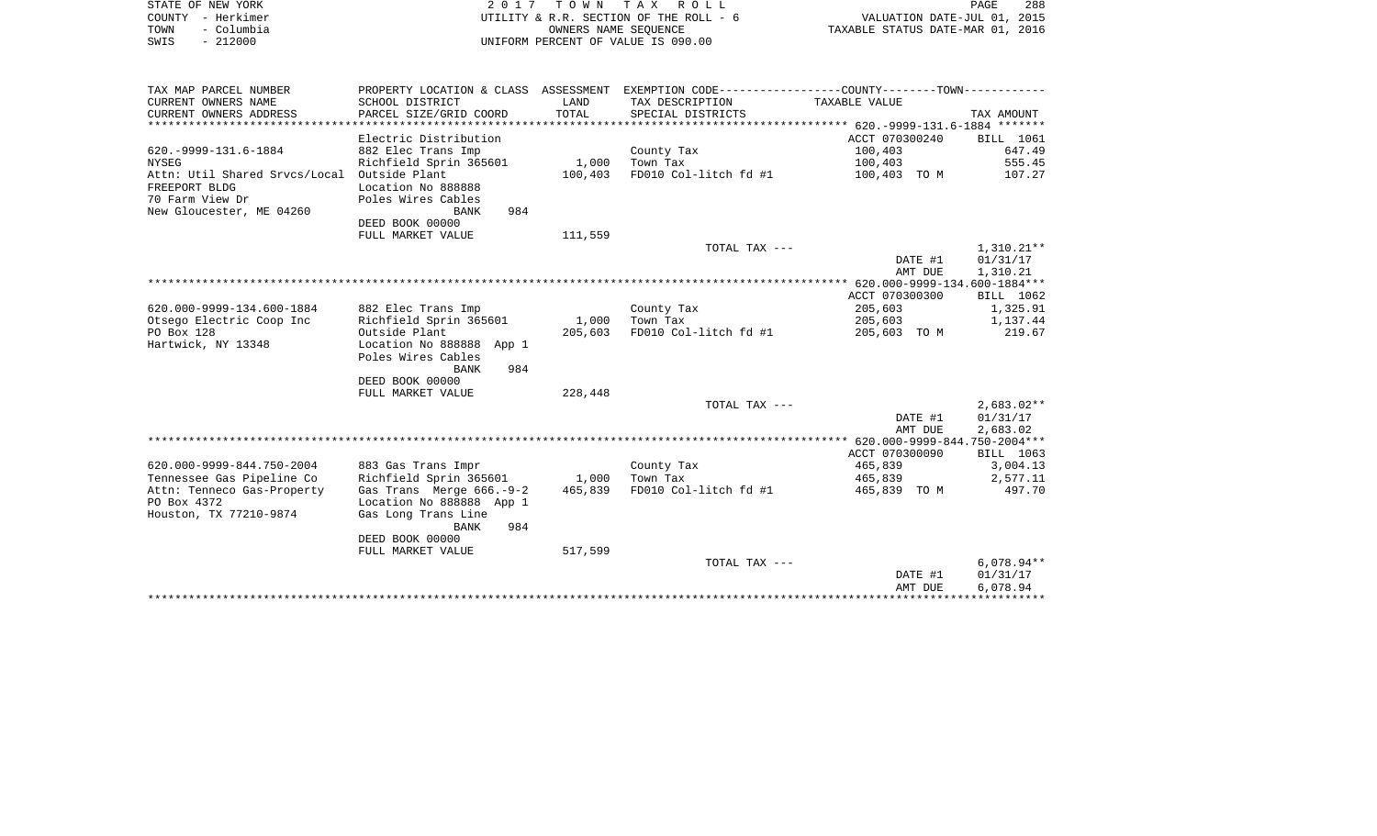| STATE OF NEW YORK<br>COUNTY - Herkimer<br>- Columbia<br>TOWN<br>$-212000$<br>SWIS |                                                      | OWNERS NAME SEOUENCE | 2017 TOWN TAX ROLL<br>UTILITY & R.R. SECTION OF THE ROLL - 6<br>UNIFORM PERCENT OF VALUE IS 090.00 | PAGE<br>288<br>VALUATION DATE-JUL 01, 2015<br>TAXABLE STATUS DATE-MAR 01, 2016 |                    |  |
|-----------------------------------------------------------------------------------|------------------------------------------------------|----------------------|----------------------------------------------------------------------------------------------------|--------------------------------------------------------------------------------|--------------------|--|
| TAX MAP PARCEL NUMBER                                                             |                                                      |                      | PROPERTY LOCATION & CLASS ASSESSMENT EXEMPTION CODE---------------COUNTY-------TOWN----------      |                                                                                |                    |  |
| CURRENT OWNERS NAME                                                               | SCHOOL DISTRICT                                      | LAND                 | TAX DESCRIPTION                                                                                    | TAXABLE VALUE                                                                  |                    |  |
| CURRENT OWNERS ADDRESS                                                            | PARCEL SIZE/GRID COORD                               | TOTAL                | SPECIAL DISTRICTS                                                                                  |                                                                                | TAX AMOUNT         |  |
|                                                                                   |                                                      |                      |                                                                                                    |                                                                                |                    |  |
|                                                                                   | Electric Distribution                                |                      |                                                                                                    | ACCT 070300240                                                                 | BILL 1061          |  |
| 620. - 9999 - 131. 6 - 1884                                                       | 882 Elec Trans Imp                                   |                      | County Tax                                                                                         | 100,403                                                                        | 647.49             |  |
| <b>NYSEG</b>                                                                      | Richfield Sprin 365601                               | 1,000                | Town Tax                                                                                           | 100,403                                                                        | 555.45             |  |
| Attn: Util Shared Srvcs/Local                                                     | Outside Plant                                        | 100,403              | FD010 Col-litch fd #1                                                                              | 100,403 TO M                                                                   | 107.27             |  |
| FREEPORT BLDG<br>70 Farm View Dr                                                  | Location No 888888<br>Poles Wires Cables             |                      |                                                                                                    |                                                                                |                    |  |
| New Gloucester, ME 04260                                                          | 984<br><b>BANK</b>                                   |                      |                                                                                                    |                                                                                |                    |  |
|                                                                                   | DEED BOOK 00000                                      |                      |                                                                                                    |                                                                                |                    |  |
|                                                                                   | FULL MARKET VALUE                                    | 111,559              |                                                                                                    |                                                                                |                    |  |
|                                                                                   |                                                      |                      | TOTAL TAX ---                                                                                      |                                                                                | $1,310.21**$       |  |
|                                                                                   |                                                      |                      |                                                                                                    | DATE #1                                                                        | 01/31/17           |  |
|                                                                                   |                                                      |                      |                                                                                                    | AMT DUE                                                                        | 1,310.21           |  |
|                                                                                   |                                                      |                      |                                                                                                    |                                                                                |                    |  |
|                                                                                   |                                                      |                      |                                                                                                    | ACCT 070300300                                                                 | BILL 1062          |  |
| 620.000-9999-134.600-1884                                                         | 882 Elec Trans Imp                                   |                      | County Tax                                                                                         | 205,603                                                                        | 1,325.91           |  |
| Otsego Electric Coop Inc                                                          | Richfield Sprin 365601                               | 1,000                | Town Tax                                                                                           | 205,603                                                                        | 1,137.44           |  |
| PO Box 128                                                                        | Outside Plant                                        | 205,603              | FD010 Col-litch fd #1                                                                              | 205,603 TO M                                                                   | 219.67             |  |
| Hartwick, NY 13348                                                                | Location No 888888 App 1                             |                      |                                                                                                    |                                                                                |                    |  |
|                                                                                   | Poles Wires Cables                                   |                      |                                                                                                    |                                                                                |                    |  |
|                                                                                   | BANK<br>984                                          |                      |                                                                                                    |                                                                                |                    |  |
|                                                                                   | DEED BOOK 00000                                      |                      |                                                                                                    |                                                                                |                    |  |
|                                                                                   | FULL MARKET VALUE                                    | 228,448              |                                                                                                    |                                                                                |                    |  |
|                                                                                   |                                                      |                      | TOTAL TAX ---                                                                                      |                                                                                | $2,683.02**$       |  |
|                                                                                   |                                                      |                      |                                                                                                    | DATE #1                                                                        | 01/31/17           |  |
|                                                                                   |                                                      |                      |                                                                                                    | AMT DUE                                                                        | 2,683.02           |  |
|                                                                                   |                                                      |                      |                                                                                                    |                                                                                |                    |  |
|                                                                                   |                                                      |                      |                                                                                                    | ACCT 070300090                                                                 | BILL 1063          |  |
| 620.000-9999-844.750-2004                                                         | 883 Gas Trans Impr                                   |                      | County Tax                                                                                         | 465,839                                                                        | 3,004.13           |  |
| Tennessee Gas Pipeline Co                                                         | Richfield Sprin 365601                               | 1,000<br>465,839     | Town Tax                                                                                           | 465,839                                                                        | 2,577.11<br>497.70 |  |
| Attn: Tenneco Gas-Property<br>PO Box 4372                                         | Gas Trans Merge 666.-9-2<br>Location No 888888 App 1 |                      | FD010 Col-litch fd #1                                                                              | 465,839 TO M                                                                   |                    |  |
| Houston, TX 77210-9874                                                            | Gas Long Trans Line                                  |                      |                                                                                                    |                                                                                |                    |  |
|                                                                                   | <b>BANK</b><br>984                                   |                      |                                                                                                    |                                                                                |                    |  |
|                                                                                   | DEED BOOK 00000                                      |                      |                                                                                                    |                                                                                |                    |  |
|                                                                                   | FULL MARKET VALUE                                    | 517,599              |                                                                                                    |                                                                                |                    |  |
|                                                                                   |                                                      |                      | TOTAL TAX ---                                                                                      |                                                                                | $6,078.94**$       |  |
|                                                                                   |                                                      |                      |                                                                                                    | DATE #1                                                                        | 01/31/17           |  |
|                                                                                   |                                                      |                      |                                                                                                    | AMT DUE                                                                        | 6,078.94           |  |
|                                                                                   |                                                      |                      |                                                                                                    |                                                                                |                    |  |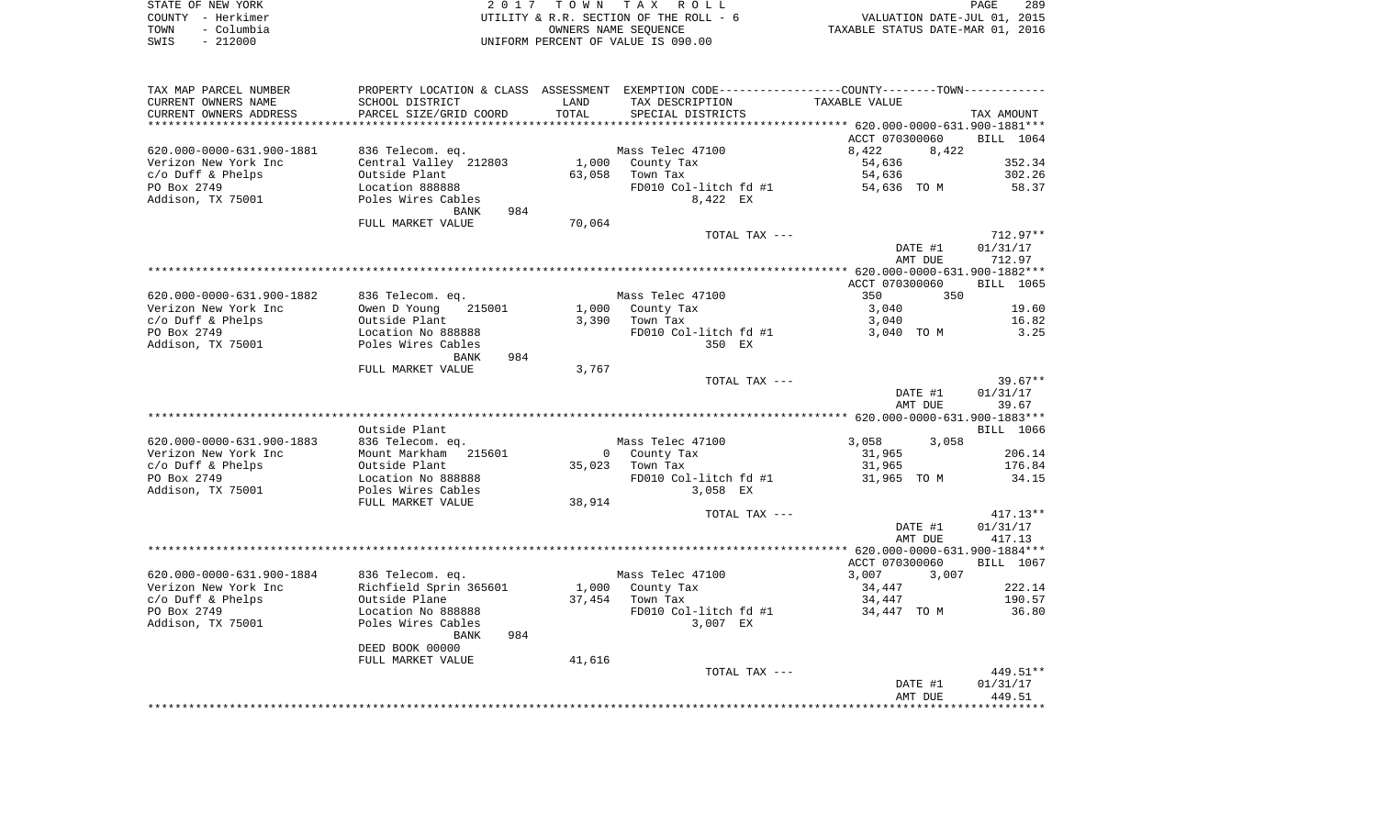| COUNTY - Herkimer<br>TOWN                                                                                                                                                                                 |                                                           |        | UTILITY & R.R. SECTION OF THE ROLL - 6                                                        | VALUATION DATE-JUL 01, 2015<br>TAXABLE STATUS DATE-MAR 01, 2016 |         |                    |  |
|-----------------------------------------------------------------------------------------------------------------------------------------------------------------------------------------------------------|-----------------------------------------------------------|--------|-----------------------------------------------------------------------------------------------|-----------------------------------------------------------------|---------|--------------------|--|
| - Columbia<br>SWIS<br>$-212000$                                                                                                                                                                           |                                                           |        | OWNERS NAME SEQUENCE<br>UNIFORM PERCENT OF VALUE IS 090.00                                    |                                                                 |         |                    |  |
|                                                                                                                                                                                                           |                                                           |        |                                                                                               |                                                                 |         |                    |  |
| TAX MAP PARCEL NUMBER                                                                                                                                                                                     |                                                           |        | PROPERTY LOCATION & CLASS ASSESSMENT EXEMPTION CODE---------------COUNTY-------TOWN---------- |                                                                 |         |                    |  |
| CURRENT OWNERS NAME                                                                                                                                                                                       | SCHOOL DISTRICT                                           | LAND   | TAX DESCRIPTION                                                                               | TAXABLE VALUE                                                   |         |                    |  |
| CURRENT OWNERS ADDRESS                                                                                                                                                                                    | PARCEL SIZE/GRID COORD                                    | TOTAL  | SPECIAL DISTRICTS                                                                             |                                                                 |         | TAX AMOUNT         |  |
|                                                                                                                                                                                                           |                                                           |        |                                                                                               | ACCT 070300060                                                  |         | BILL 1064          |  |
| 620.000-0000-631.900-1881                                                                                                                                                                                 | 836 Telecom. eq.                                          |        | Mass Telec 47100                                                                              | 8,422 8,422                                                     |         |                    |  |
| Verizon New York Inc                                                                                                                                                                                      | Central Valley 212803                                     |        | 1,000 County Tax                                                                              | 54,636                                                          |         | 352.34             |  |
| c/o Duff & Phelps                                                                                                                                                                                         | Outside Plant                                             |        | 63,058 Town Tax                                                                               | 54,636                                                          |         | 302.26             |  |
| PO Box 2749                                                                                                                                                                                               | Location 888888<br>Poles Wires Cables                     |        | FD010 Col-litch fd #1                                                                         | 54,636 TO M                                                     |         | 58.37              |  |
| Addison, TX 75001                                                                                                                                                                                         |                                                           |        | 8,422 EX                                                                                      |                                                                 |         |                    |  |
|                                                                                                                                                                                                           | 984<br>BANK                                               |        |                                                                                               |                                                                 |         |                    |  |
|                                                                                                                                                                                                           | FULL MARKET VALUE                                         | 70,064 |                                                                                               |                                                                 |         |                    |  |
|                                                                                                                                                                                                           |                                                           |        | TOTAL TAX ---                                                                                 |                                                                 |         | $712.97**$         |  |
|                                                                                                                                                                                                           |                                                           |        |                                                                                               |                                                                 | DATE #1 | 01/31/17           |  |
|                                                                                                                                                                                                           |                                                           |        |                                                                                               |                                                                 | AMT DUE | 712.97             |  |
|                                                                                                                                                                                                           |                                                           |        |                                                                                               |                                                                 |         |                    |  |
|                                                                                                                                                                                                           |                                                           |        |                                                                                               | ACCT 070300060<br>350 350                                       |         | BILL 1065          |  |
| 620.000-0000-631.900-1882 836 Telecom. eq.<br>Verizon New York Inc                                                                                                                                        | 215001                                                    |        | Mass Telec 47100<br>1,000 County Tax                                                          | 3,040                                                           |         | 19.60              |  |
| c/o Duff & Phelps                                                                                                                                                                                         | Owen D Young<br>Outside Plant                             | 3,390  | Town Tax                                                                                      | 3,040                                                           |         | 16.82              |  |
| PO Box 2749                                                                                                                                                                                               |                                                           |        | FD010 Col-litch fd #1                                                                         | 3,040 TO M                                                      |         | 3.25               |  |
| Addison, TX 75001                                                                                                                                                                                         | Outside Plant<br>Location No 888888<br>Poles Wires Cables |        | 350 EX                                                                                        |                                                                 |         |                    |  |
|                                                                                                                                                                                                           | 984<br>BANK                                               |        |                                                                                               |                                                                 |         |                    |  |
|                                                                                                                                                                                                           | FULL MARKET VALUE                                         | 3,767  |                                                                                               |                                                                 |         |                    |  |
|                                                                                                                                                                                                           |                                                           |        | TOTAL TAX ---                                                                                 |                                                                 |         | $39.67**$          |  |
|                                                                                                                                                                                                           |                                                           |        |                                                                                               |                                                                 | DATE #1 | 01/31/17           |  |
|                                                                                                                                                                                                           |                                                           |        |                                                                                               |                                                                 | AMT DUE | 39.67              |  |
|                                                                                                                                                                                                           |                                                           |        |                                                                                               |                                                                 |         |                    |  |
| 620.000-0000-631.900-1883<br>Verizon New York Inc Mount Markham 215601<br>C/o Duff & Phelps Outside Plant<br>PO Box 2749 Location No 888888<br>Addison, TX 75001 Poles Wires Cables<br>Poles Wires Cables | Outside Plant                                             |        |                                                                                               |                                                                 |         | BILL 1066          |  |
|                                                                                                                                                                                                           |                                                           |        | Mass Telec 47100                                                                              | 3,058                                                           | 3,058   |                    |  |
|                                                                                                                                                                                                           |                                                           |        | 0 County Tax                                                                                  | 31,965                                                          |         | 206.14             |  |
|                                                                                                                                                                                                           |                                                           |        | 35,023 Town Tax                                                                               | 31,965                                                          |         | 176.84             |  |
|                                                                                                                                                                                                           |                                                           |        | FD010 Col-litch fd #1                                                                         | 31,965 TO M                                                     |         | 34.15              |  |
|                                                                                                                                                                                                           |                                                           |        | 3,058 EX                                                                                      |                                                                 |         |                    |  |
|                                                                                                                                                                                                           | FULL MARKET VALUE                                         | 38,914 |                                                                                               |                                                                 |         |                    |  |
|                                                                                                                                                                                                           |                                                           |        | TOTAL TAX ---                                                                                 |                                                                 |         | $417.13**$         |  |
|                                                                                                                                                                                                           |                                                           |        |                                                                                               |                                                                 | DATE #1 | 01/31/17<br>417.13 |  |
|                                                                                                                                                                                                           |                                                           |        |                                                                                               |                                                                 | AMT DUE |                    |  |
|                                                                                                                                                                                                           |                                                           |        |                                                                                               | ACCT 070300060                                                  |         | BILL 1067          |  |
|                                                                                                                                                                                                           | 836 Telecom. eq.                                          |        | Mass Telec 47100                                                                              | 3,007 3,007                                                     |         |                    |  |
| $620.000 - 0000 - 631.900 - 1884$<br>Verizon New York Inc                                                                                                                                                 | Richfield Sprin 365601                                    |        | 1,000 County Tax                                                                              | 34,447                                                          |         | 222.14             |  |
| c/o Duff & Phelps                                                                                                                                                                                         | Outside Plane                                             |        | 37,454 Town Tax                                                                               | 34,447                                                          |         | 190.57             |  |
| PO Box 2749                                                                                                                                                                                               | Location No 888888                                        |        | FD010 Col-litch fd #1                                                                         | 34,447 TO M                                                     |         | 36.80              |  |
| Addison, TX 75001                                                                                                                                                                                         | Docation No 000000                                        |        | 3,007 EX                                                                                      |                                                                 |         |                    |  |
|                                                                                                                                                                                                           | 984<br>BANK                                               |        |                                                                                               |                                                                 |         |                    |  |
|                                                                                                                                                                                                           | DEED BOOK 00000                                           |        |                                                                                               |                                                                 |         |                    |  |
|                                                                                                                                                                                                           | FULL MARKET VALUE                                         | 41,616 |                                                                                               |                                                                 |         |                    |  |
|                                                                                                                                                                                                           |                                                           |        | TOTAL TAX ---                                                                                 |                                                                 |         | 449.51**           |  |
|                                                                                                                                                                                                           |                                                           |        |                                                                                               |                                                                 | DATE #1 | 01/31/17           |  |
|                                                                                                                                                                                                           |                                                           |        |                                                                                               |                                                                 | AMT DUE | 449.51             |  |
|                                                                                                                                                                                                           |                                                           |        |                                                                                               |                                                                 |         | ************       |  |

PAGE 289

STATE OF NEW YORK **EXECUTE:**  $2017$  TOWN TAX ROLL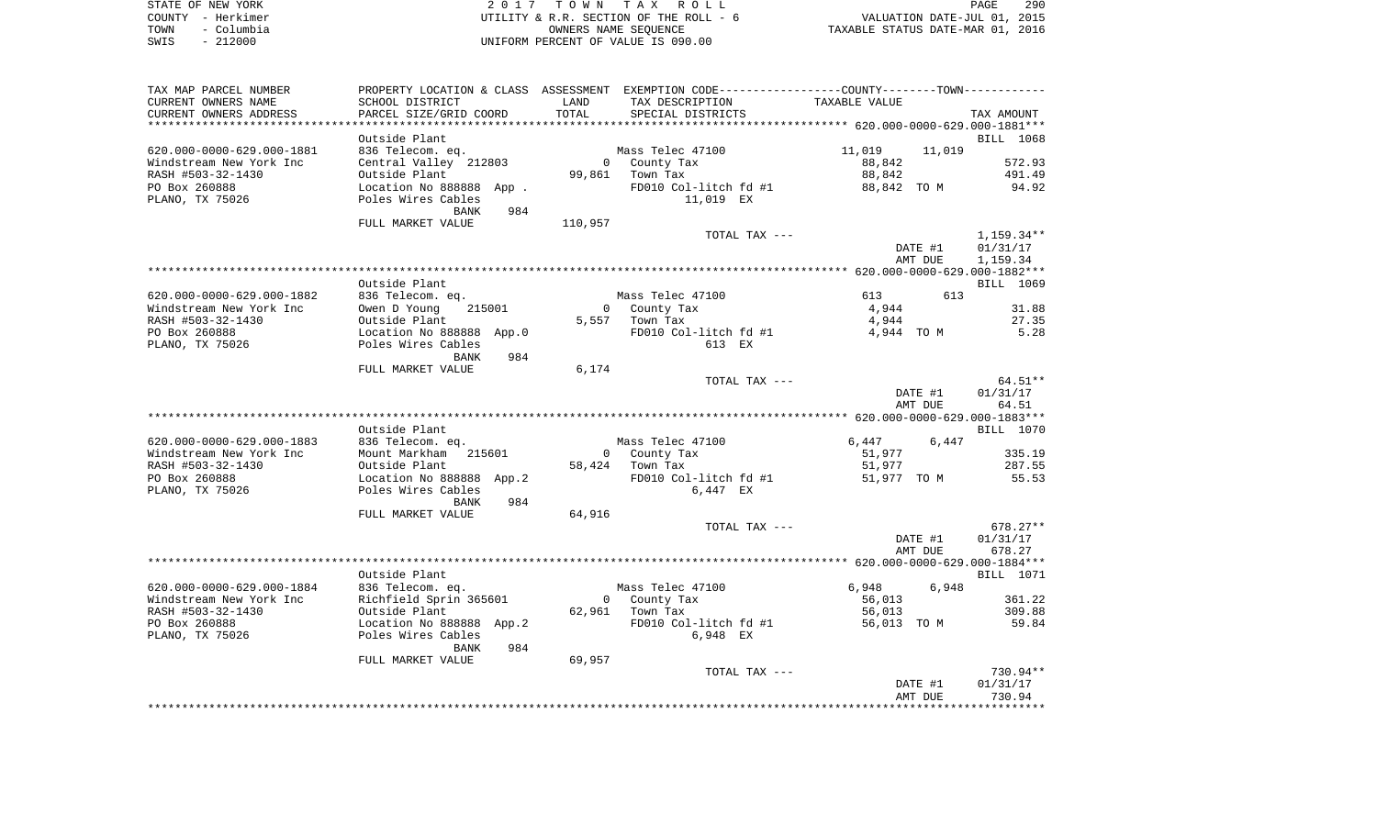| STATE OF NEW YORK<br>COUNTY - Herkimer | 2017                     | T O W N      | T A X<br>R O L L<br>UTILITY & R.R. SECTION OF THE ROLL - 6                                     |                                                                 |                     | 290<br>PAGE         |
|----------------------------------------|--------------------------|--------------|------------------------------------------------------------------------------------------------|-----------------------------------------------------------------|---------------------|---------------------|
| TOWN<br>- Columbia                     |                          |              | OWNERS NAME SEQUENCE                                                                           | VALUATION DATE-JUL 01, 2015<br>TAXABLE STATUS DATE-MAR 01, 2016 |                     |                     |
| $-212000$<br>SWIS                      |                          |              | UNIFORM PERCENT OF VALUE IS 090.00                                                             |                                                                 |                     |                     |
|                                        |                          |              |                                                                                                |                                                                 |                     |                     |
| TAX MAP PARCEL NUMBER                  |                          |              | PROPERTY LOCATION & CLASS ASSESSMENT EXEMPTION CODE----------------COUNTY-------TOWN---------- |                                                                 |                     |                     |
| CURRENT OWNERS NAME                    | SCHOOL DISTRICT          | LAND         | TAX DESCRIPTION                                                                                | TAXABLE VALUE                                                   |                     |                     |
| CURRENT OWNERS ADDRESS                 | PARCEL SIZE/GRID COORD   | TOTAL        | SPECIAL DISTRICTS                                                                              |                                                                 |                     | TAX AMOUNT          |
|                                        |                          | **********   |                                                                                                |                                                                 |                     |                     |
|                                        | Outside Plant            |              |                                                                                                |                                                                 |                     | BILL 1068           |
| 620.000-0000-629.000-1881              | 836 Telecom. eq.         |              | Mass Telec 47100                                                                               | 11,019                                                          | 11,019              |                     |
| Windstream New York Inc                | Central Valley 212803    | $\circ$      | County Tax                                                                                     | 88,842                                                          |                     | 572.93              |
| RASH #503-32-1430                      | Outside Plant            | 99,861       | Town Tax                                                                                       | 88,842                                                          |                     | 491.49              |
| PO Box 260888                          | Location No 888888 App.  |              | FD010 Col-litch fd #1                                                                          | 88,842 TO M                                                     |                     | 94.92               |
| PLANO, TX 75026                        | Poles Wires Cables       |              | 11,019 EX                                                                                      |                                                                 |                     |                     |
|                                        | BANK<br>984              | 110,957      |                                                                                                |                                                                 |                     |                     |
|                                        | FULL MARKET VALUE        |              | TOTAL TAX ---                                                                                  |                                                                 |                     | 1,159.34**          |
|                                        |                          |              |                                                                                                |                                                                 | DATE #1             | 01/31/17            |
|                                        |                          |              |                                                                                                |                                                                 | AMT DUE             | 1,159.34            |
|                                        |                          |              |                                                                                                |                                                                 |                     |                     |
|                                        | Outside Plant            |              |                                                                                                |                                                                 |                     | BILL 1069           |
| 620.000-0000-629.000-1882              | 836 Telecom. eq.         |              | Mass Telec 47100                                                                               | 613                                                             | 613                 |                     |
| Windstream New York Inc                | Owen D Young<br>215001   | $\mathbf{0}$ | County Tax                                                                                     | 4,944                                                           |                     | 31.88               |
| RASH #503-32-1430                      | Outside Plant            | 5,557        | Town Tax                                                                                       | 4,944                                                           |                     | 27.35               |
| PO Box 260888                          | Location No 888888 App.0 |              | FD010 Col-litch fd #1                                                                          | 4,944 TO M                                                      |                     | 5.28                |
| PLANO, TX 75026                        | Poles Wires Cables       |              | 613 EX                                                                                         |                                                                 |                     |                     |
|                                        | 984<br>BANK              |              |                                                                                                |                                                                 |                     |                     |
|                                        | FULL MARKET VALUE        | 6,174        |                                                                                                |                                                                 |                     |                     |
|                                        |                          |              | TOTAL TAX ---                                                                                  |                                                                 | DATE #1             | 64.51**<br>01/31/17 |
|                                        |                          |              |                                                                                                |                                                                 | AMT DUE             | 64.51               |
|                                        |                          |              |                                                                                                |                                                                 |                     |                     |
|                                        | Outside Plant            |              |                                                                                                |                                                                 |                     | BILL 1070           |
| 620.000-0000-629.000-1883              | 836 Telecom. eq.         |              | Mass Telec 47100                                                                               | 6,447                                                           | 6,447               |                     |
| Windstream New York Inc                | Mount Markham<br>215601  | $\mathbf{0}$ | County Tax                                                                                     | 51,977                                                          |                     | 335.19              |
| RASH #503-32-1430                      | Outside Plant            |              | 58,424 Town Tax                                                                                | 51,977                                                          |                     | 287.55              |
| PO Box 260888                          | Location No 888888 App.2 |              | FD010 Col-litch fd #1                                                                          | 51,977 TO M                                                     |                     | 55.53               |
| PLANO, TX 75026                        | Poles Wires Cables       |              | 6,447 EX                                                                                       |                                                                 |                     |                     |
|                                        | 984<br>BANK              |              |                                                                                                |                                                                 |                     |                     |
|                                        | FULL MARKET VALUE        | 64,916       |                                                                                                |                                                                 |                     |                     |
|                                        |                          |              | TOTAL TAX ---                                                                                  |                                                                 |                     | $678.27**$          |
|                                        |                          |              |                                                                                                |                                                                 | DATE #1<br>AMT DUE  | 01/31/17<br>678.27  |
|                                        |                          |              |                                                                                                |                                                                 |                     |                     |
|                                        | Outside Plant            |              |                                                                                                |                                                                 |                     | BILL 1071           |
| 620.000-0000-629.000-1884              | 836 Telecom. eq.         |              | Mass Telec 47100                                                                               | 6,948                                                           | 6,948               |                     |
| Windstream New York Inc                | Richfield Sprin 365601   | $\mathbf 0$  | County Tax                                                                                     | 56,013                                                          |                     | 361.22              |
| RASH #503-32-1430                      | Outside Plant            | 62,961       | Town Tax                                                                                       | 56,013                                                          |                     | 309.88              |
| PO Box 260888                          | Location No 888888 App.2 |              | FD010 Col-litch fd #1                                                                          | 56,013 TO M                                                     |                     | 59.84               |
| PLANO, TX 75026                        | Poles Wires Cables       |              | 6,948 EX                                                                                       |                                                                 |                     |                     |
|                                        | <b>BANK</b><br>984       |              |                                                                                                |                                                                 |                     |                     |
|                                        | FULL MARKET VALUE        | 69,957       |                                                                                                |                                                                 |                     |                     |
|                                        |                          |              | TOTAL TAX ---                                                                                  |                                                                 |                     | 730.94**            |
|                                        |                          |              |                                                                                                |                                                                 | DATE #1             | 01/31/17            |
|                                        |                          |              |                                                                                                |                                                                 | AMT DUE<br>******** | 730.94<br>********* |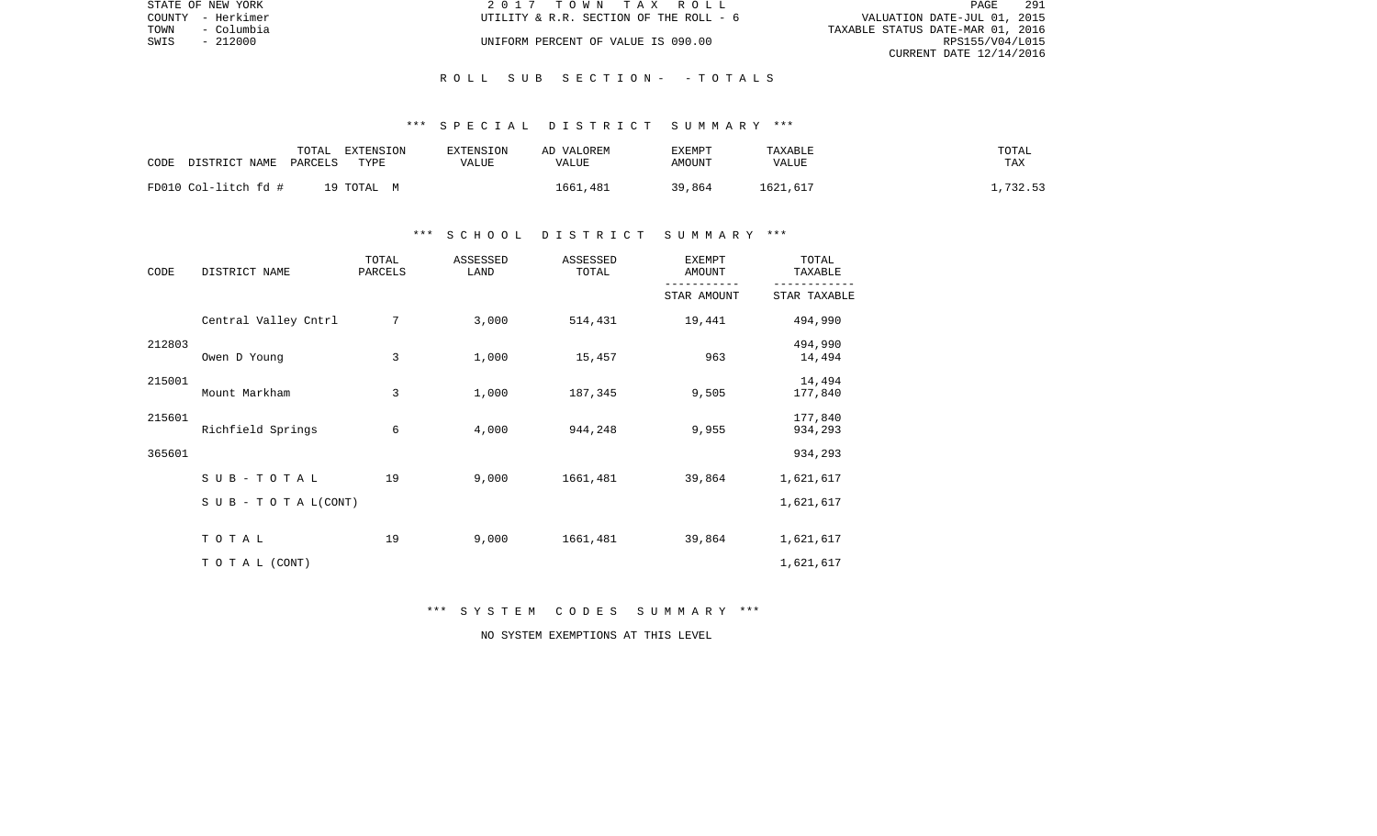| STATE OF NEW YORK  | 2017 TOWN TAX ROLL                     | 291<br>PAGE                      |
|--------------------|----------------------------------------|----------------------------------|
| COUNTY - Herkimer  | UTILITY & R.R. SECTION OF THE ROLL - 6 | VALUATION DATE-JUL 01, 2015      |
| TOWN<br>– Columbia |                                        | TAXABLE STATUS DATE-MAR 01, 2016 |
| SWIS<br>- 212000   | UNIFORM PERCENT OF VALUE IS 090.00     | RPS155/V04/L015                  |
|                    |                                        | CURRENT DATE 12/14/2016          |

## R O L L S U B S E C T I O N - - T O T A L S

## \*\*\* S P E C I A L D I S T R I C T S U M M A R Y \*\*\*

| CODE                 | TOTAL   | EXTENSION  | EXTENSION | AD VALOREM | <b>EXEMPT</b> | TAXABLE  | TOTAL   |
|----------------------|---------|------------|-----------|------------|---------------|----------|---------|
| DISTRICT NAME        | PARCELS | TYPE       | VALUE     | VALUE      | AMOUNT        | VALUE    | TAX     |
| FD010 Col-litch fd # |         | 19 TOTAL M |           | 1661.481   | 39,864        | 1621,617 | ,732.53 |

## \*\*\* S C H O O L D I S T R I C T S U M M A R Y \*\*\*

| CODE   | DISTRICT NAME                    | TOTAL<br>PARCELS | ASSESSED<br>LAND | ASSESSED<br>TOTAL | <b>EXEMPT</b><br>AMOUNT | TOTAL<br>TAXABLE   |
|--------|----------------------------------|------------------|------------------|-------------------|-------------------------|--------------------|
|        |                                  |                  |                  |                   | STAR AMOUNT             | STAR TAXABLE       |
|        | Central Valley Cntrl             | 7                | 3,000            | 514,431           | 19,441                  | 494,990            |
| 212803 | Owen D Young                     | 3                | 1,000            | 15,457            | 963                     | 494,990<br>14,494  |
| 215001 | Mount Markham                    | 3                | 1,000            | 187,345           | 9,505                   | 14,494<br>177,840  |
| 215601 | Richfield Springs                | 6                | 4,000            | 944,248           | 9,955                   | 177,840<br>934,293 |
| 365601 |                                  |                  |                  |                   |                         | 934,293            |
|        | SUB-TOTAL                        | 19               | 9,000            | 1661,481          | 39,864                  | 1,621,617          |
|        | $S \cup B - T \cup T A L (CONT)$ |                  |                  |                   |                         | 1,621,617          |
|        | TOTAL                            | 19               | 9,000            | 1661,481          | 39,864                  | 1,621,617          |
|        | TO TAL (CONT)                    |                  |                  |                   |                         | 1,621,617          |

\*\*\* S Y S T E M C O D E S S U M M A R Y \*\*\*

NO SYSTEM EXEMPTIONS AT THIS LEVEL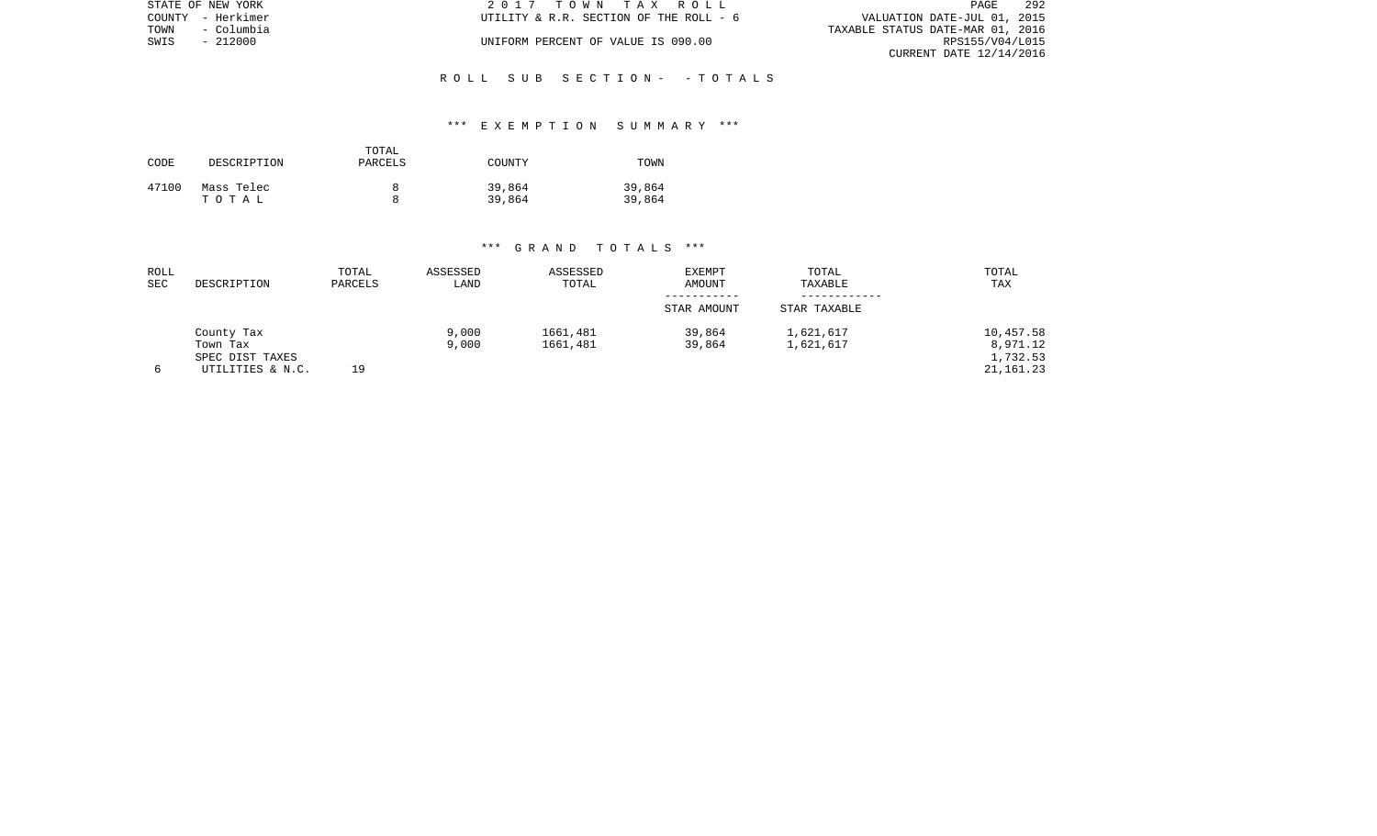|      | STATE OF NEW YORK | 2017 TOWN TAX ROLL                     | 292<br>PAGE                      |
|------|-------------------|----------------------------------------|----------------------------------|
|      | COUNTY - Herkimer | UTILITY & R.R. SECTION OF THE ROLL - 6 | VALUATION DATE-JUL 01, 2015      |
| TOWN | - Columbia        |                                        | TAXABLE STATUS DATE-MAR 01, 2016 |
| SWIS | - 212000          | UNIFORM PERCENT OF VALUE IS 090.00     | RPS155/V04/L015                  |
|      |                   |                                        | CURRENT DATE 12/14/2016          |

## R O L L S U B S E C T I O N - - T O T A L S

## \*\*\* E X E M P T I O N S U M M A R Y \*\*\*

| CODE  | DESCRIPTION         | TOTAL<br>PARCELS | COUNTY           | TOWN             |
|-------|---------------------|------------------|------------------|------------------|
| 47100 | Mass Telec<br>тотаь |                  | 39,864<br>39,864 | 39,864<br>39,864 |

| ROLL<br><b>SEC</b> | DESCRIPTION      | TOTAL<br>PARCELS | ASSESSED<br>LAND | ASSESSED<br>TOTAL | <b>EXEMPT</b><br>AMOUNT | TOTAL<br>TAXABLE | TOTAL<br>TAX |
|--------------------|------------------|------------------|------------------|-------------------|-------------------------|------------------|--------------|
|                    |                  |                  |                  |                   | STAR AMOUNT             | STAR TAXABLE     |              |
|                    | County Tax       |                  | 9,000            | 1661,481          | 39,864                  | 1,621,617        | 10,457.58    |
|                    | Town Tax         |                  | 9.000            | 1661,481          | 39,864                  | 1,621,617        | 8,971.12     |
|                    | SPEC DIST TAXES  |                  |                  |                   |                         |                  | 1,732.53     |
| 6                  | UTILITIES & N.C. | 19               |                  |                   |                         |                  | 21,161.23    |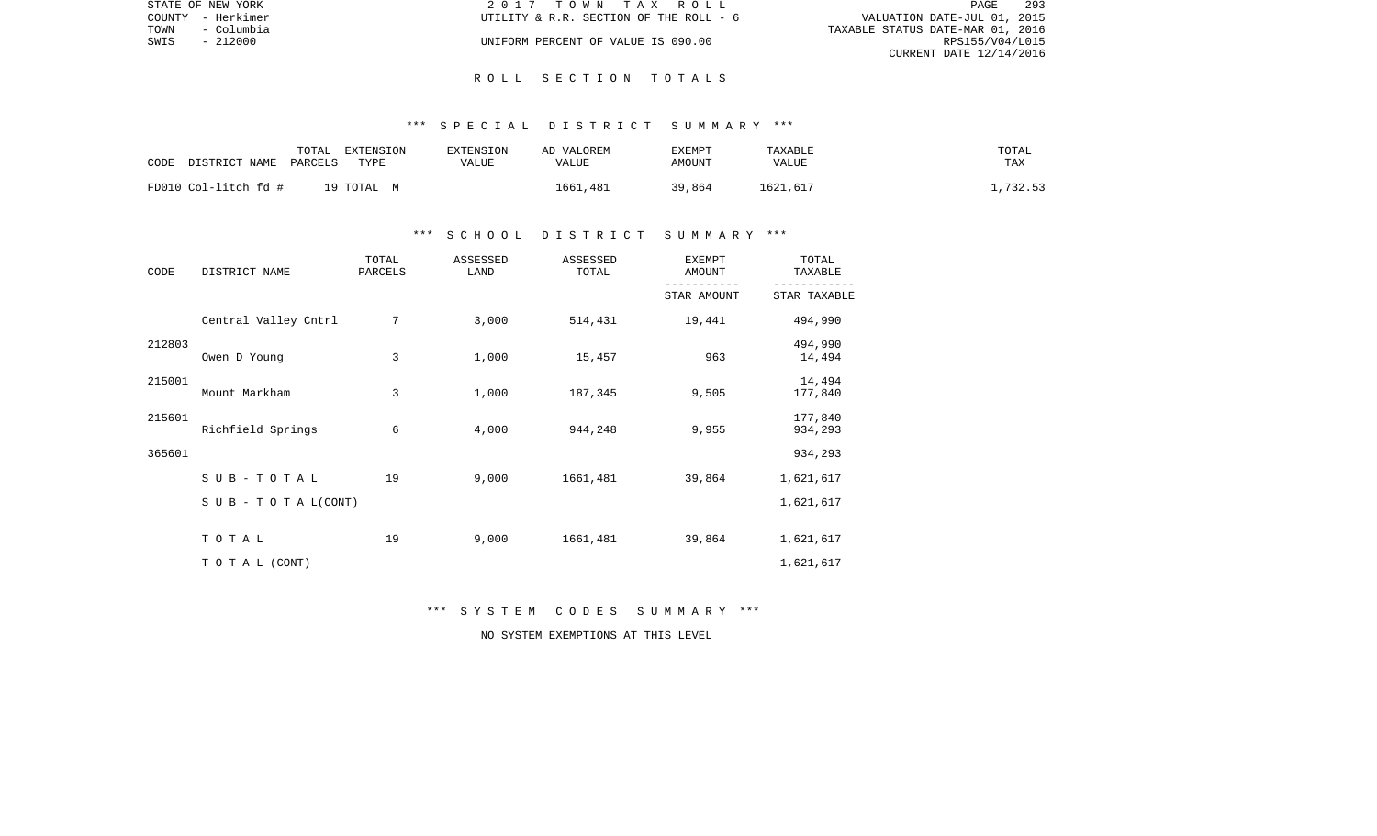|      | STATE OF NEW YORK | 2017 TOWN TAX ROLL                     | PAGE                             | 293 |
|------|-------------------|----------------------------------------|----------------------------------|-----|
|      | COUNTY - Herkimer | UTILITY & R.R. SECTION OF THE ROLL - 6 | VALUATION DATE-JUL 01, 2015      |     |
| TOWN | - Columbia        |                                        | TAXABLE STATUS DATE-MAR 01, 2016 |     |
| SWIS | - 212000          | UNIFORM PERCENT OF VALUE IS 090.00     | RPS155/V04/L015                  |     |
|      |                   |                                        | CURRENT DATE 12/14/2016          |     |

#### R O L L S E C T I O N T O T A L S

## \*\*\* S P E C I A L D I S T R I C T S U M M A R Y \*\*\*

| CODE                 | TOTAL   | EXTENSION  | <b>EXTENSION</b> | AD VALOREM | <b>EXEMPT</b> | TAXABLE  | TOTAL   |
|----------------------|---------|------------|------------------|------------|---------------|----------|---------|
| DISTRICT NAME        | PARCELS | TYPE       | VALUE            | VALUE      | AMOUNT        | VALUE    | TAX     |
| FD010 Col-litch fd # |         | 19 ТОТАL М |                  | 1661.481   | 39,864        | 1621,617 | ,732.53 |

## \*\*\* S C H O O L D I S T R I C T S U M M A R Y \*\*\*

| CODE   | DISTRICT NAME                    | TOTAL<br>PARCELS | ASSESSED<br>LAND | ASSESSED<br>TOTAL | <b>EXEMPT</b><br>AMOUNT | TOTAL<br>TAXABLE   |
|--------|----------------------------------|------------------|------------------|-------------------|-------------------------|--------------------|
|        |                                  |                  |                  |                   | STAR AMOUNT             | STAR TAXABLE       |
|        | Central Valley Cntrl             | 7                | 3,000            | 514,431           | 19,441                  | 494,990            |
| 212803 | Owen D Young                     | 3                | 1,000            | 15,457            | 963                     | 494,990<br>14,494  |
| 215001 | Mount Markham                    | 3                | 1,000            | 187,345           | 9,505                   | 14,494<br>177,840  |
| 215601 | Richfield Springs                | 6                | 4,000            | 944,248           | 9,955                   | 177,840<br>934,293 |
| 365601 |                                  |                  |                  |                   |                         | 934,293            |
|        | SUB-TOTAL                        | 19               | 9,000            | 1661,481          | 39,864                  | 1,621,617          |
|        | $S \cup B - T \cup T A L (CONT)$ |                  |                  |                   |                         | 1,621,617          |
|        | TOTAL                            | 19               | 9,000            | 1661,481          | 39,864                  | 1,621,617          |
|        | TO TAL (CONT)                    |                  |                  |                   |                         | 1,621,617          |

\*\*\* S Y S T E M C O D E S S U M M A R Y \*\*\*

NO SYSTEM EXEMPTIONS AT THIS LEVEL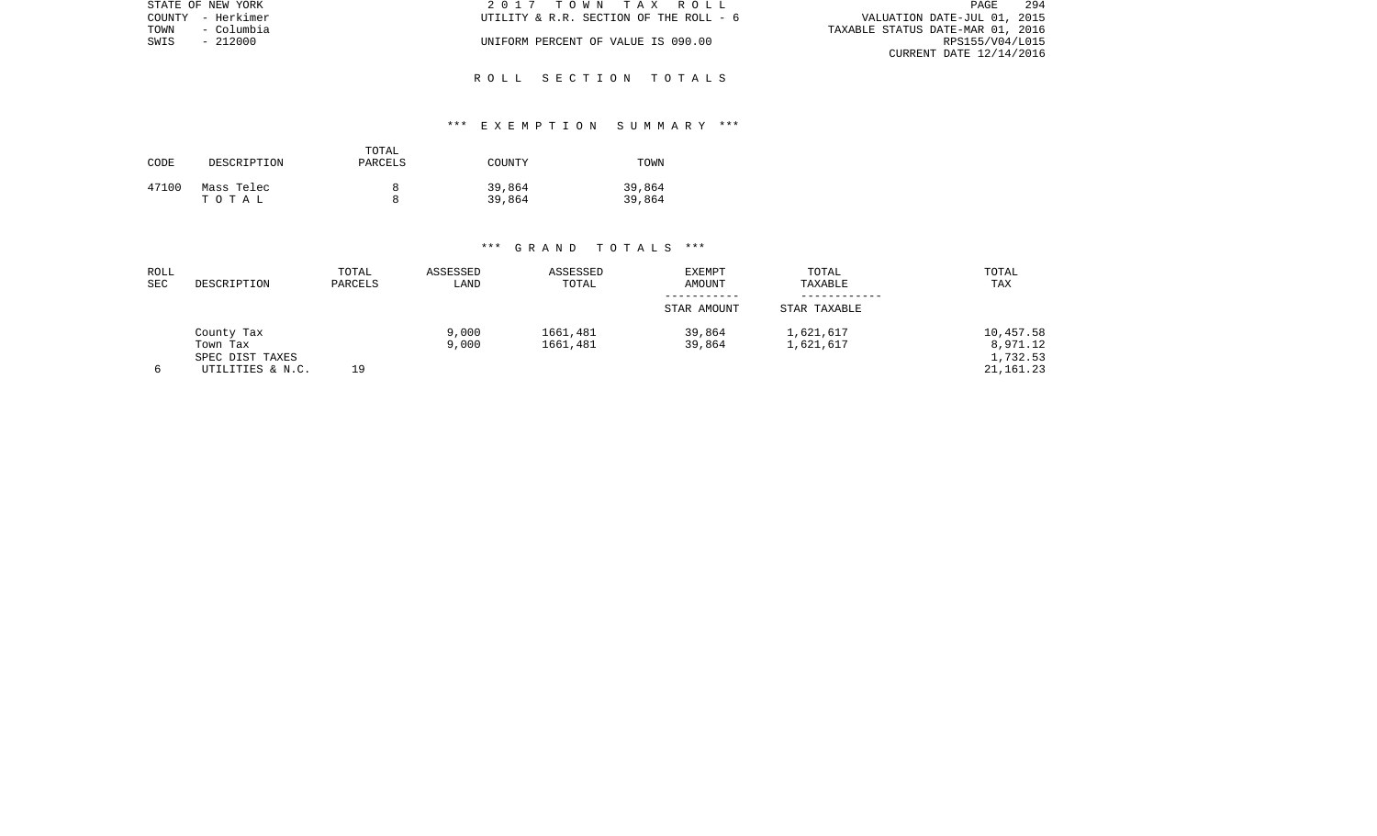|      | STATE OF NEW YORK | 2017 TOWN TAX ROLL                     | PAGE                             | 294 |
|------|-------------------|----------------------------------------|----------------------------------|-----|
|      | COUNTY - Herkimer | UTILITY & R.R. SECTION OF THE ROLL - 6 | VALUATION DATE-JUL 01, 2015      |     |
| TOWN | - Columbia        |                                        | TAXABLE STATUS DATE-MAR 01, 2016 |     |
| SWIS | $-212000$         | UNIFORM PERCENT OF VALUE IS 090.00     | RPS155/V04/L015                  |     |
|      |                   |                                        | CURRENT DATE 12/14/2016          |     |

#### R O L L S E C T I O N T O T A L S

## \*\*\* E X E M P T I O N S U M M A R Y \*\*\*

| CODE  | DESCRIPTION         | TOTAL<br>PARCELS | COUNTY           | TOWN             |
|-------|---------------------|------------------|------------------|------------------|
| 47100 | Mass Telec<br>тотаь |                  | 39,864<br>39,864 | 39,864<br>39,864 |

| ROLL<br>SEC | DESCRIPTION                                                   | TOTAL<br>PARCELS | ASSESSED<br>LAND | ASSESSED<br>TOTAL    | <b>EXEMPT</b><br>AMOUNT<br>STAR AMOUNT | TOTAL<br>TAXABLE<br>STAR TAXABLE | TOTAL<br>TAX                                     |
|-------------|---------------------------------------------------------------|------------------|------------------|----------------------|----------------------------------------|----------------------------------|--------------------------------------------------|
| 6           | County Tax<br>Town Tax<br>SPEC DIST TAXES<br>UTILITIES & N.C. | 19               | 9,000<br>9,000   | 1661,481<br>1661,481 | 39,864<br>39,864                       | 1,621,617<br>1,621,617           | 10,457.58<br>8,971.12<br>1,732.53<br>21, 161. 23 |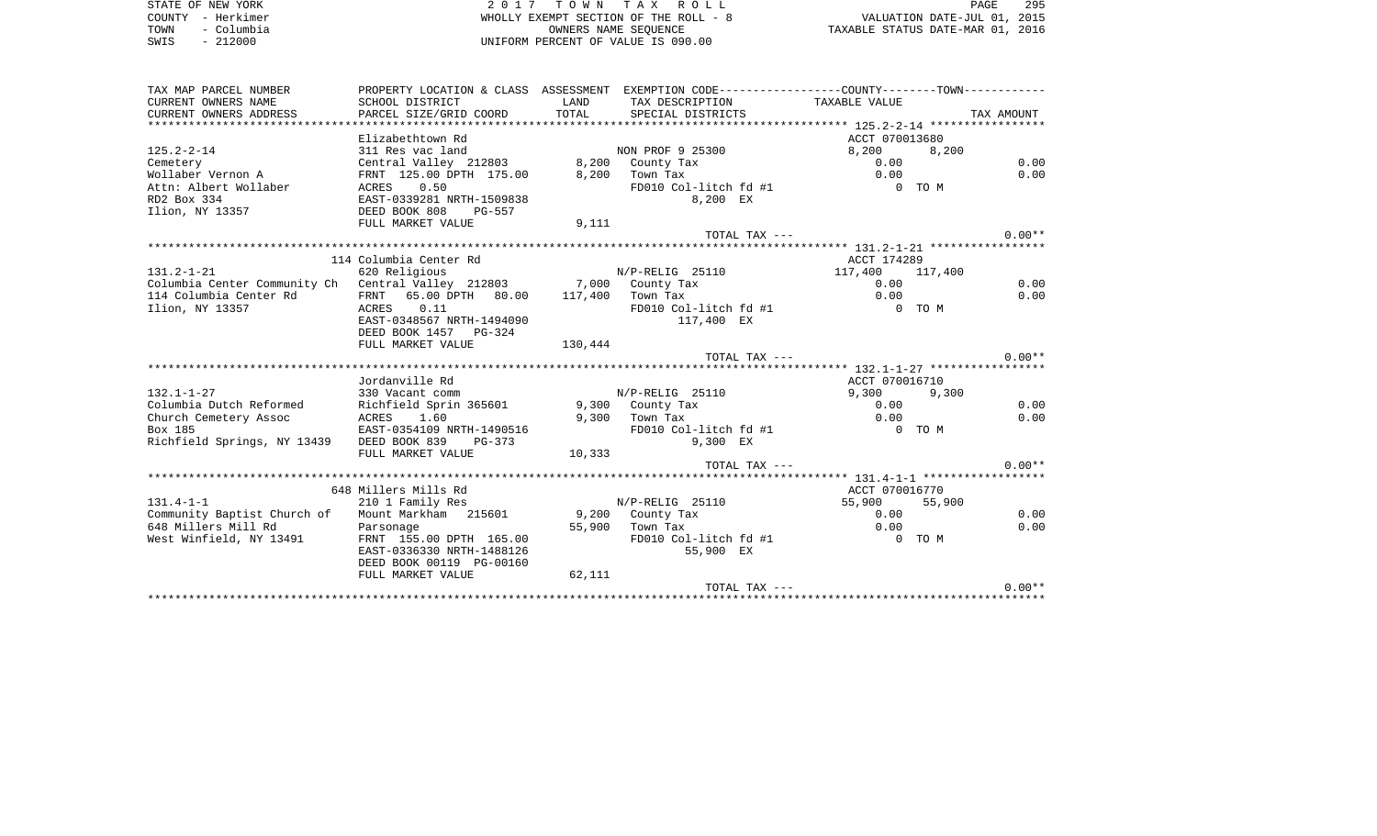STATE OF NEW YORK **EXECUTE:**  $2017$  TOWN TAX ROLL COUNTY - Herkimer (COUNTY - Herkimer ) and the state of the ROLL - 8 VALUATION OF THE ROLL - 8 VALUATION DATES<br>TOWN - Columbia (COUNTY - 212000 ) and the state of value is 090.00 TOWN - Columbia OWNERS NAME SEQUENCE TAXABLE STATUS DATE-MAR 01, 2016 SWIS - 212000 UNIFORM PERCENT OF VALUE IS 090.00

| TAX MAP PARCEL NUMBER                                               | PROPERTY LOCATION & CLASS ASSESSMENT EXEMPTION CODE---------------COUNTY-------TOWN---------- |         |                       |                 |            |
|---------------------------------------------------------------------|-----------------------------------------------------------------------------------------------|---------|-----------------------|-----------------|------------|
| CURRENT OWNERS NAME                                                 | SCHOOL DISTRICT                                                                               | LAND    | TAX DESCRIPTION       | TAXABLE VALUE   |            |
| CURRENT OWNERS ADDRESS                                              | PARCEL SIZE/GRID COORD                                                                        | TOTAL   | SPECIAL DISTRICTS     |                 | TAX AMOUNT |
|                                                                     |                                                                                               |         |                       |                 |            |
|                                                                     | Elizabethtown Rd                                                                              |         |                       | ACCT 070013680  |            |
| $125.2 - 2 - 14$                                                    | 311 Res vac land                                                                              |         | NON PROF 9 25300      | 8,200           | 8,200      |
| Cemetery                                                            | Central Valley 212803 8,200 County Tax                                                        |         |                       | 0.00            | 0.00       |
| Wollaber Vernon A                                                   | FRNT 125.00 DPTH 175.00                                                                       |         | 8,200 Town Tax        | 0.00            | 0.00       |
| Attn: Albert Wollaber                                               | ACRES 0.50                                                                                    |         | FD010 Col-litch fd #1 |                 | 0 TO M     |
| RD2 Box 334                                                         | EAST-0339281 NRTH-1509838                                                                     |         | 8,200 EX              |                 |            |
| Ilion, NY 13357                                                     | DEED BOOK 808<br>PG-557                                                                       |         |                       |                 |            |
|                                                                     | FULL MARKET VALUE                                                                             | 9,111   |                       |                 |            |
|                                                                     |                                                                                               |         | TOTAL TAX ---         |                 | $0.00**$   |
|                                                                     |                                                                                               |         |                       |                 |            |
|                                                                     | 114 Columbia Center Rd                                                                        |         |                       | ACCT 174289     |            |
| $131.2 - 1 - 21$                                                    | 620 Religious                                                                                 |         | N/P-RELIG 25110       | 117,400 117,400 |            |
| Columbia Center Community Ch Central Valley 212803 7,000 County Tax |                                                                                               |         |                       | 0.00            | 0.00       |
| 114 Columbia Center Rd                                              | FRNT 65.00 DPTH 80.00 117,400 Town Tax                                                        |         |                       | 0.00            | 0.00       |
| Ilion, NY 13357                                                     | ACRES 0.11                                                                                    |         | FD010 Col-litch fd #1 | 0 TO M          |            |
|                                                                     | EAST-0348567 NRTH-1494090                                                                     |         | 117,400 EX            |                 |            |
|                                                                     | DEED BOOK 1457 PG-324                                                                         |         |                       |                 |            |
|                                                                     |                                                                                               |         |                       |                 |            |
|                                                                     | FULL MARKET VALUE                                                                             | 130,444 | TOTAL TAX ---         |                 | $0.00**$   |
|                                                                     |                                                                                               |         |                       |                 |            |
|                                                                     |                                                                                               |         |                       |                 |            |
| $132.1 - 1 - 27$                                                    | Jordanville Rd                                                                                |         |                       | ACCT 070016710  |            |
|                                                                     | 330 Vacant comm                                                                               |         | N/P-RELIG 25110       | 9,300           | 9,300      |
| Columbia Dutch Reformed                                             | Richfield Sprin 365601                                                                        |         | 9,300 County Tax      | 0.00            | 0.00       |
| Church Cemetery Assoc                                               | ACRES<br>1.60                                                                                 |         | $9,300$ Town Tax      | 0.00            | 0.00       |
| Box 185                                                             | EAST-0354109 NRTH-1490516                                                                     |         | FD010 Col-litch fd #1 | $0$ TOM         |            |
| Richfield Springs, NY 13439                                         | DEED BOOK 839 PG-373                                                                          |         | 9,300 EX              |                 |            |
|                                                                     | FULL MARKET VALUE                                                                             | 10,333  |                       |                 |            |
|                                                                     |                                                                                               |         | TOTAL TAX ---         |                 | $0.00**$   |
|                                                                     |                                                                                               |         |                       |                 |            |
|                                                                     | 648 Millers Mills Rd                                                                          |         |                       | ACCT 070016770  |            |
| $131.4 - 1 - 1$                                                     | 210 1 Family Res                                                                              |         | $N/P-RELLIG$ 25110    | 55,900 55,900   |            |
| Community Baptist Church of                                         | Mount Markham 215601                                                                          |         | 9,200 County Tax      | 0.00            | 0.00       |
| 648 Millers Mill Rd                                                 | Parsonage                                                                                     |         | 55,900 Town Tax       | 0.00            | 0.00       |
| West Winfield, NY 13491                                             | FRNT 155.00 DPTH 165.00                                                                       |         | FD010 Col-litch fd #1 |                 | 0 TO M     |
|                                                                     | EAST-0336330 NRTH-1488126                                                                     |         | 55,900 EX             |                 |            |
|                                                                     | DEED BOOK 00119 PG-00160                                                                      |         |                       |                 |            |
|                                                                     | FULL MARKET VALUE                                                                             | 62,111  |                       |                 |            |
|                                                                     |                                                                                               |         | TOTAL TAX ---         |                 | $0.00**$   |
|                                                                     |                                                                                               |         |                       |                 |            |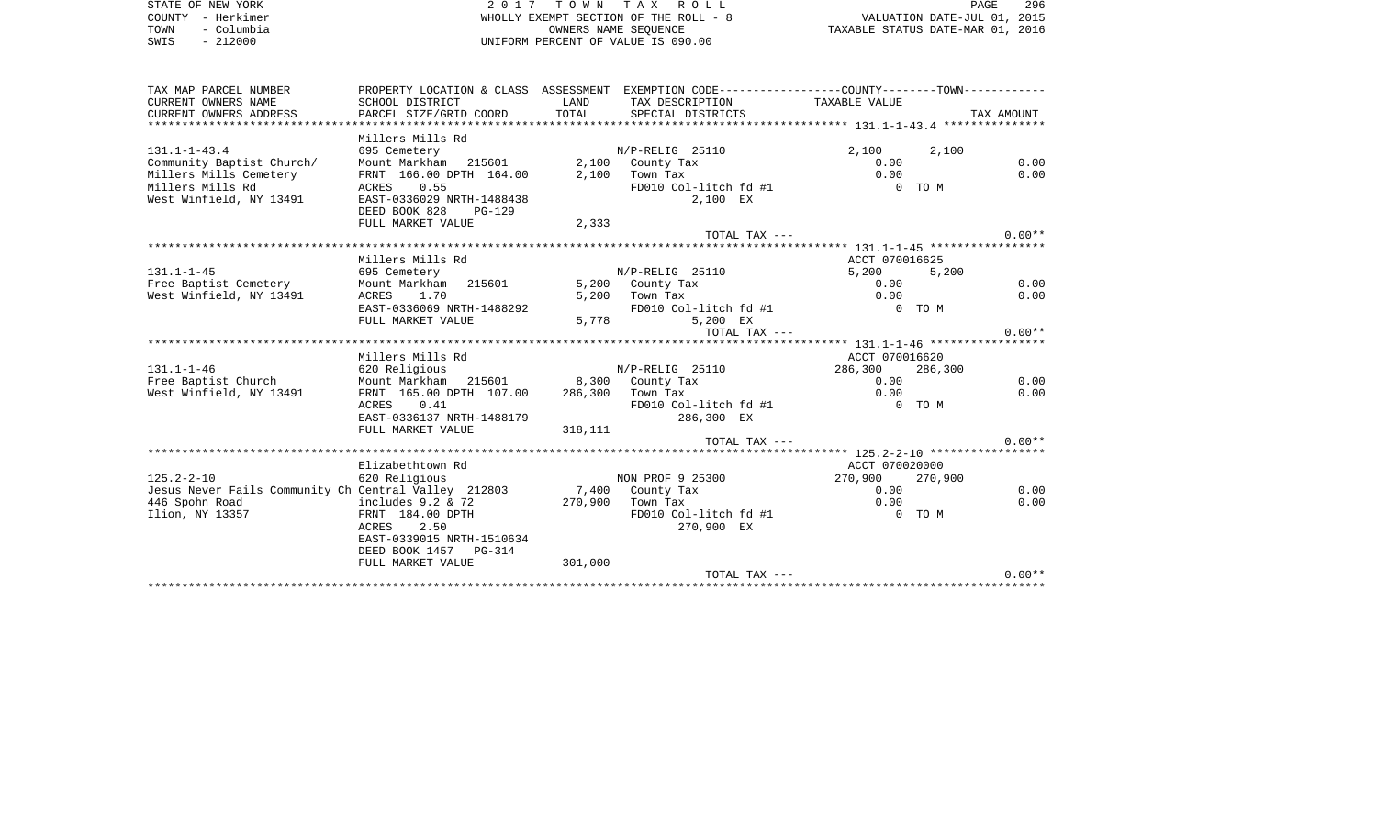| STATE OF NEW YORK<br>COUNTY - Herkimer<br>- Columbia<br>TOWN |                                                                                               |               | 2017 TOWN TAX ROLL<br>WHOLLY EXEMPT SECTION OF THE ROLL - 8<br>OWNERS NAME SEQUENCE | TAXABLE STATUS DATE-MAR 01, 2016       | PAGE<br>VALUATION DATE-JUL 01, 2015 | 296        |
|--------------------------------------------------------------|-----------------------------------------------------------------------------------------------|---------------|-------------------------------------------------------------------------------------|----------------------------------------|-------------------------------------|------------|
| $-212000$<br>SWIS                                            |                                                                                               |               | UNIFORM PERCENT OF VALUE IS 090.00                                                  |                                        |                                     |            |
| TAX MAP PARCEL NUMBER                                        | PROPERTY LOCATION & CLASS ASSESSMENT EXEMPTION CODE---------------COUNTY-------TOWN---------- |               |                                                                                     |                                        |                                     |            |
| CURRENT OWNERS NAME<br>CURRENT OWNERS ADDRESS                | SCHOOL DISTRICT<br>PARCEL SIZE/GRID COORD                                                     | LAND<br>TOTAL | TAX DESCRIPTION<br>SPECIAL DISTRICTS                                                | TAXABLE VALUE                          |                                     | TAX AMOUNT |
|                                                              | Millers Mills Rd                                                                              |               |                                                                                     |                                        |                                     |            |
| $131.1 - 1 - 43.4$                                           | 695 Cemetery                                                                                  |               | N/P-RELIG 25110                                                                     | 2,100                                  | 2,100                               |            |
| Community Baptist Church/                                    | Mount Markham 215601                                                                          |               | 2,100 County Tax                                                                    | 0.00                                   |                                     | 0.00       |
| Millers Mills Cemetery                                       | FRNT 166.00 DPTH 164.00                                                                       |               | $2,100$ Town Tax                                                                    | 0.00                                   |                                     | 0.00       |
| Millers Mills Rd                                             | ACRES 0.55                                                                                    |               | FD010 Col-litch fd #1                                                               |                                        | $0$ TOM                             |            |
| West Winfield, NY 13491                                      | EAST-0336029 NRTH-1488438                                                                     |               | 2,100 EX                                                                            |                                        |                                     |            |
|                                                              | DEED BOOK 828<br>PG-129                                                                       |               |                                                                                     |                                        |                                     |            |
|                                                              | FULL MARKET VALUE                                                                             | 2,333         |                                                                                     |                                        |                                     | $0.00**$   |
|                                                              |                                                                                               |               | TOTAL TAX ---                                                                       |                                        |                                     |            |
|                                                              | Millers Mills Rd                                                                              |               |                                                                                     | ACCT 070016625                         |                                     |            |
| $131.1 - 1 - 45$                                             | 695 Cemetery                                                                                  |               | N/P-RELIG 25110                                                                     | 5,200                                  | 5,200                               |            |
| Free Baptist Cemetery                                        | Mount Markham 215601                                                                          |               | 5,200 County Tax                                                                    | 0.00                                   |                                     | 0.00       |
| West Winfield, NY 13491                                      | ACRES<br>1.70                                                                                 | 5,200         | Town Tax                                                                            | 0.00                                   |                                     | 0.00       |
|                                                              | EAST-0336069 NRTH-1488292                                                                     |               | FD010 Col-litch fd #1                                                               | 0 TO M                                 |                                     |            |
|                                                              | FULL MARKET VALUE                                                                             | 5,778         | 5,200 EX                                                                            |                                        |                                     |            |
|                                                              |                                                                                               |               | TOTAL TAX ---                                                                       |                                        |                                     | $0.00**$   |
|                                                              |                                                                                               |               |                                                                                     |                                        |                                     |            |
|                                                              | Millers Mills Rd                                                                              |               |                                                                                     | ACCT 070016620                         |                                     |            |
| $131.1 - 1 - 46$                                             | 620 Religious                                                                                 |               | N/P-RELIG 25110                                                                     | 286,300<br>0.00                        | 286,300                             | 0.00       |
| Free Baptist Church<br>West Winfield, NY 13491               | Mount Markham<br>215601<br>FRNT 165.00 DPTH 107.00                                            |               | 8,300 County Tax<br>286,300 Town Tax                                                | 0.00                                   |                                     | 0.00       |
|                                                              | 0.41<br>ACRES                                                                                 |               | FD010 Col-litch fd #1                                                               |                                        | 0 TO M                              |            |
|                                                              | EAST-0336137 NRTH-1488179                                                                     |               | 286,300 EX                                                                          |                                        |                                     |            |
|                                                              | FULL MARKET VALUE                                                                             | 318,111       |                                                                                     |                                        |                                     |            |
|                                                              |                                                                                               |               | TOTAL TAX ---                                                                       |                                        |                                     | $0.00**$   |
|                                                              |                                                                                               |               |                                                                                     |                                        |                                     |            |
|                                                              | Elizabethtown Rd                                                                              |               |                                                                                     | ACCT 070020000                         |                                     |            |
| $125.2 - 2 - 10$                                             | 620 Religious                                                                                 |               | NON PROF 9 25300                                                                    | 270,900                                | 270,900                             |            |
| Jesus Never Fails Community Ch Central Valley 212803         |                                                                                               |               | 7,400 County Tax                                                                    | 0.00                                   |                                     | 0.00       |
| 446 Spohn Road                                               | includes $9.2$ & 72                                                                           | 270,900       | Town Tax                                                                            | 0.00                                   |                                     | 0.00       |
| Ilion, NY 13357                                              | FRNT 184.00 DPTH<br>ACRES<br>2.50                                                             |               | FD010 Col-litch fd #1<br>270,900 EX                                                 | $0$ TOM                                |                                     |            |
|                                                              | EAST-0339015 NRTH-1510634                                                                     |               |                                                                                     |                                        |                                     |            |
|                                                              | DEED BOOK 1457 PG-314                                                                         |               |                                                                                     |                                        |                                     |            |
|                                                              | FULL MARKET VALUE                                                                             | 301,000       |                                                                                     |                                        |                                     |            |
|                                                              |                                                                                               |               | TOTAL TAX ---                                                                       |                                        |                                     | $0.00**$   |
|                                                              |                                                                                               |               |                                                                                     | ************************************** |                                     |            |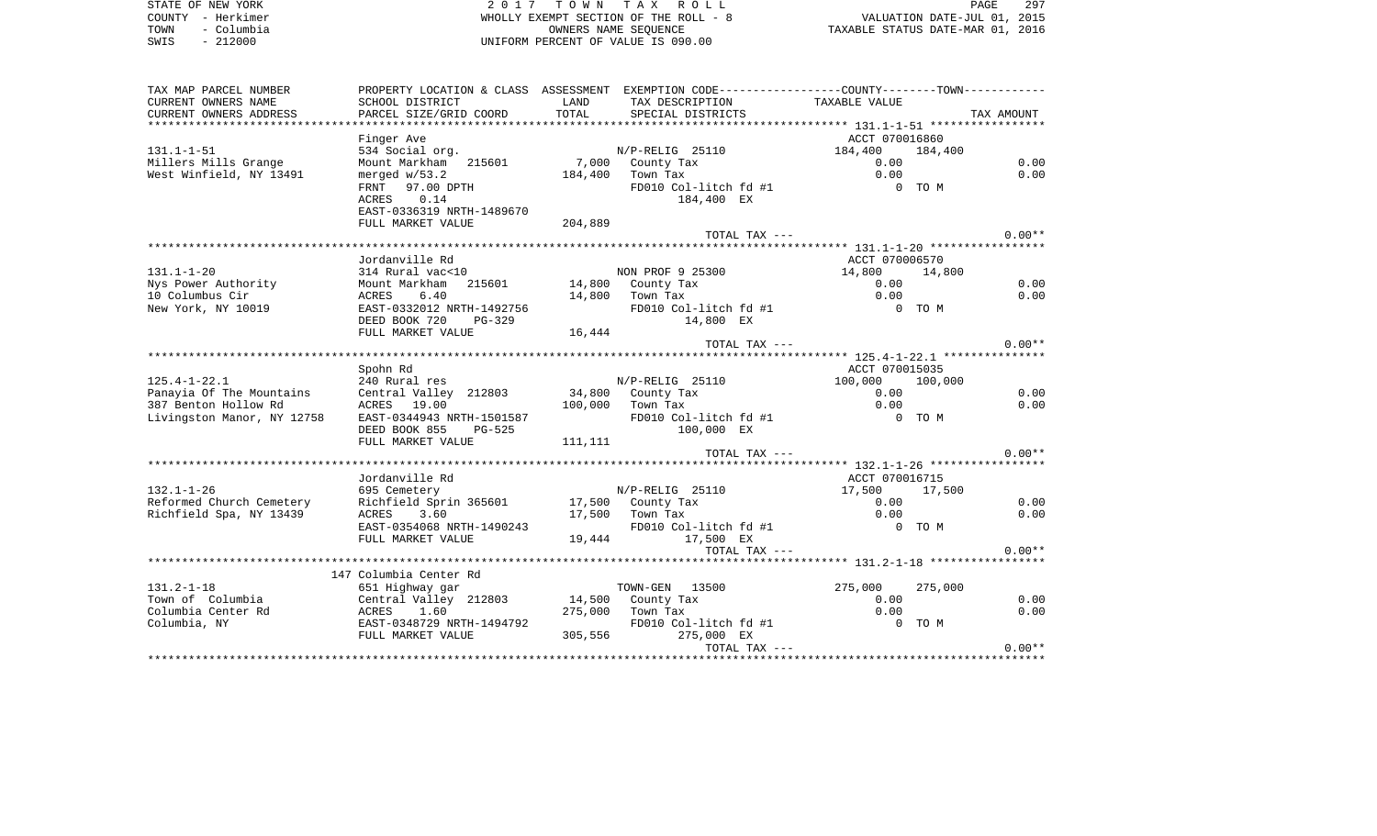STATE OF NEW YORK 2 0 1 7 T O W N T A X R O L L PAGE 297COUNTY - Herkimer WHOLLY EXEMPT SECTION OF THE ROLL - 8 VALUATION DATE-JUL 01, 2015 TOWN - Columbia OWNERS NAME SEQUENCE TAXABLE STATUS DATE-MAR 01, 2016 SWIS - 212000 UNIFORM PERCENT OF VALUE IS 090.00

TAX MAP PARCEL NUMBER PROPERTY LOCATION & CLASS ASSESSMENT EXEMPTION CODE------------------COUNTY--------TOWN------------ CURRENT OWNERS NAME SCHOOL DISTRICT LAND TAX DESCRIPTION TAXABLE VALUECURRENT OWNERS ADDRESS PARCEL SIZE/GRID COORD TOTAL SPECIAL DISTRICTS TAX AMOUNT \*\*\*\*\*\*\*\*\*\*\*\*\*\*\*\*\*\*\*\*\*\*\*\*\*\*\*\*\*\*\*\*\*\*\*\*\*\*\*\*\*\*\*\*\*\*\*\*\*\*\*\*\*\*\*\*\*\*\*\*\*\*\*\*\*\*\*\*\*\*\*\*\*\*\*\*\*\*\*\*\*\*\*\*\*\*\*\*\*\*\*\*\*\*\*\*\*\*\*\*\*\*\* 131.1-1-51 \*\*\*\*\*\*\*\*\*\*\*\*\*\*\*\*\*Finger Ave ACCT 070016860 131.1-1-51 534 Social org. N/P-RELIG 25110 184,400 184,400 Millers Mills Grange Mount Markham 215601 7,000 County Tax 0.00 0.00 0.00 0.00 West Winfield, NY 13491 merged w/53.2 184,400 Town Tax 0.00 0.00 FRNT 97.00 DPTH FD010 Col-litch fd #1 0 TO M ACRES 0.14 184,400 EX EAST-0336319 NRTH-1489670FULL MARKET VALUE 204,889 TOTAL TAX  $---$  0.00\*\* \*\*\*\*\*\*\*\*\*\*\*\*\*\*\*\*\*\*\*\*\*\*\*\*\*\*\*\*\*\*\*\*\*\*\*\*\*\*\*\*\*\*\*\*\*\*\*\*\*\*\*\*\*\*\*\*\*\*\*\*\*\*\*\*\*\*\*\*\*\*\*\*\*\*\*\*\*\*\*\*\*\*\*\*\*\*\*\*\*\*\*\*\*\*\*\*\*\*\*\*\*\*\* 131.1-1-20 \*\*\*\*\*\*\*\*\*\*\*\*\*\*\*\*\*Jordanville Rd **ACCT** 070006570 131.1-1-20 314 Rural vac<10 NON PROF 9 25300 14,800 14,800 Nys Power Authority and Mount Markham 215601 14,800 County Tax 0.00 0.00 0.00 0.00 10 Columbus Cir ACRES 6.40 14,800 Town Tax 0.00 0.00 New York, NY 10019 **EAST-0332012 NRTH-1492756** FD010 Col-litch fd #1 0 TO M DEED BOOK 720 PG-329 14,800 EX FULL MARKET VALUE 16,444 TOTAL TAX  $---$  0.00\*\* \*\*\*\*\*\*\*\*\*\*\*\*\*\*\*\*\*\*\*\*\*\*\*\*\*\*\*\*\*\*\*\*\*\*\*\*\*\*\*\*\*\*\*\*\*\*\*\*\*\*\*\*\*\*\*\*\*\*\*\*\*\*\*\*\*\*\*\*\*\*\*\*\*\*\*\*\*\*\*\*\*\*\*\*\*\*\*\*\*\*\*\*\*\*\*\*\*\*\*\*\*\*\* 125.4-1-22.1 \*\*\*\*\*\*\*\*\*\*\*\*\*\*\* Spohn Rd ACCT 070015035 125.4-1-22.1 240 Rural res N/P-RELIG 25110 100,000 100,000 Panayia Of The Mountains Central Valley 212803 34,800 County Tax 0.00 0.00 0.00 0.00 387 Benton Hollow Rd ACRES 19.00 100,000 Town Tax 0.00 0.00 Livingston Manor, NY 12758 EAST-0344943 NRTH-1501587 FD010 Col-litch fd #1 0 TO M<br>DEED BOOK 855 PG-525 100.000 EX DEED BOOK 855 PG-525 FULL MARKET VALUE 111,111 TOTAL TAX  $---$  0.00\*\* \*\*\*\*\*\*\*\*\*\*\*\*\*\*\*\*\*\*\*\*\*\*\*\*\*\*\*\*\*\*\*\*\*\*\*\*\*\*\*\*\*\*\*\*\*\*\*\*\*\*\*\*\*\*\*\*\*\*\*\*\*\*\*\*\*\*\*\*\*\*\*\*\*\*\*\*\*\*\*\*\*\*\*\*\*\*\*\*\*\*\*\*\*\*\*\*\*\*\*\*\*\*\* 132.1-1-26 \*\*\*\*\*\*\*\*\*\*\*\*\*\*\*\*\*Jordanville Rd and Accredit Research Contract of the ACCT 070016715 132.1-1-26 695 Cemetery 695 Cemetery 17,500 N/P-RELIG 25110 17,500 17,500<br>Reformed Church Cemetery Richfield Sprin 365601 17,500 County Tax 0.00 Reformed Church Cemetery and Richfield Sprin 365601 17,500 County Tax 0.00 0.00 0.00 0.00 Richfield Spa, NY 13439 ACRES 3.60 17,500 Town Tax 0.00 0.00 0.00 EAST-0354068 NRTH-1490243 FD010 Col-litch fd #1 0 TO M FULL MARKET VALUE 19,444 17,500 EX TOTAL TAX --- 0.00\*\* \*\*\*\*\*\*\*\*\*\*\*\*\*\*\*\*\*\*\*\*\*\*\*\*\*\*\*\*\*\*\*\*\*\*\*\*\*\*\*\*\*\*\*\*\*\*\*\*\*\*\*\*\*\*\*\*\*\*\*\*\*\*\*\*\*\*\*\*\*\*\*\*\*\*\*\*\*\*\*\*\*\*\*\*\*\*\*\*\*\*\*\*\*\*\*\*\*\*\*\*\*\*\* 131.2-1-18 \*\*\*\*\*\*\*\*\*\*\*\*\*\*\*\*\* 147 Columbia Center Rd131.2-1-18 651 Highway gar TOWN-GEN 13500 275,000 275,000 Town of Columbia Central Valley 212803 14,500 County Tax 0.00 0.00 Columbia Center Rd ACRES 1.60 275,000 Town Tax 0.00 0.00 Columbia, NY EAST-0348729 NRTH-1494792 FD010 Col-litch fd #1 0 TO M FULL MARKET VALUE 305,556 275,000 EX TOTAL TAX  $---$  0.00\*\* \*\*\*\*\*\*\*\*\*\*\*\*\*\*\*\*\*\*\*\*\*\*\*\*\*\*\*\*\*\*\*\*\*\*\*\*\*\*\*\*\*\*\*\*\*\*\*\*\*\*\*\*\*\*\*\*\*\*\*\*\*\*\*\*\*\*\*\*\*\*\*\*\*\*\*\*\*\*\*\*\*\*\*\*\*\*\*\*\*\*\*\*\*\*\*\*\*\*\*\*\*\*\*\*\*\*\*\*\*\*\*\*\*\*\*\*\*\*\*\*\*\*\*\*\*\*\*\*\*\*\*\*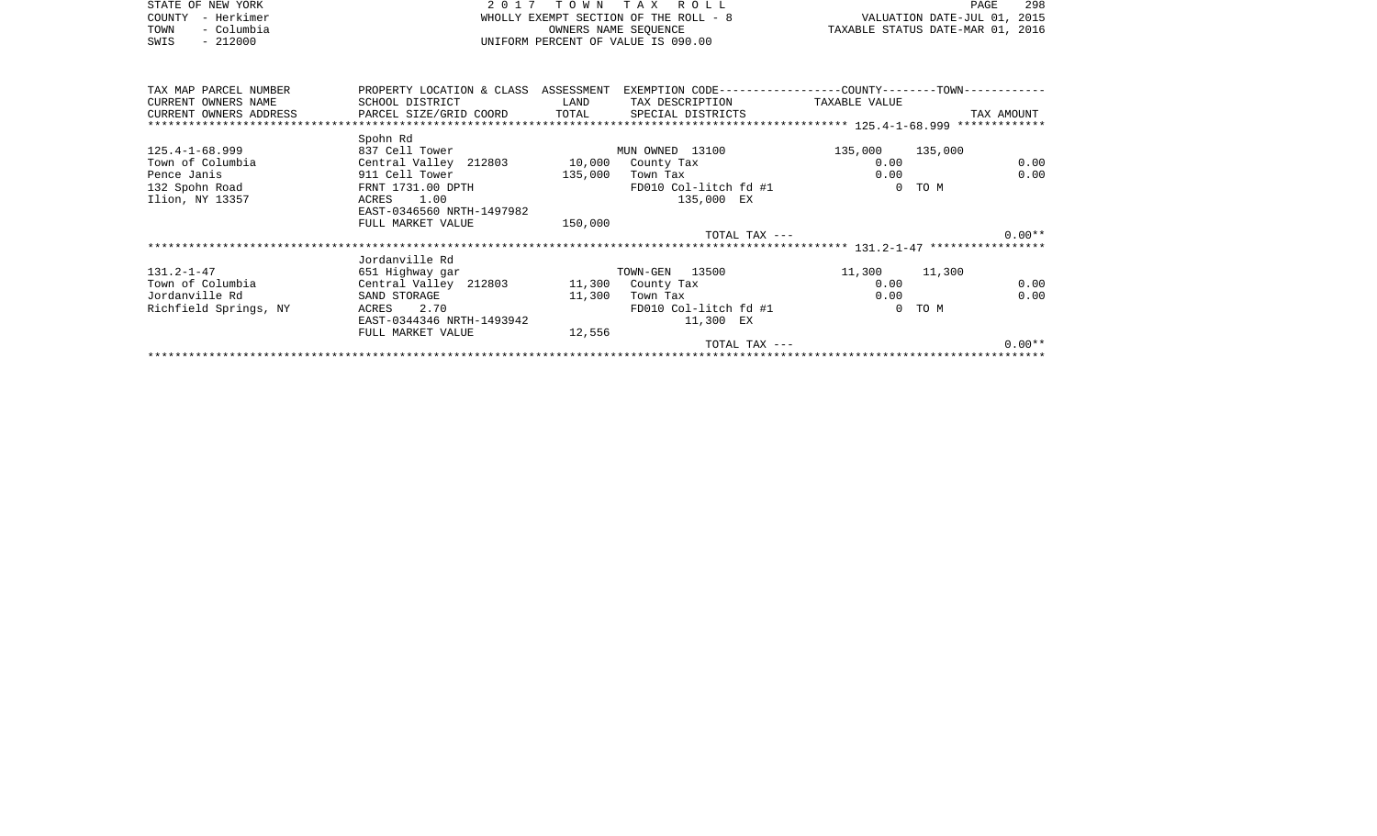| STATE OF NEW YORK<br>- Herkimer<br>COUNTY<br>- Columbia<br>TOWN<br>$-212000$<br>SWIS                                                                                                                                                                                                                                                                                                                                                                                                             | 2017                                                                                                                             | T O W N     | R O L L<br>T A X<br>WHOLLY EXEMPT SECTION OF THE ROLL - 8<br>OWNERS NAME SEOUENCE<br>UNIFORM PERCENT OF VALUE IS 090.00 |                                 | PAGE<br>VALUATION DATE-JUL 01, 2015<br>TAXABLE STATUS DATE-MAR 01, 2016 | 298          |
|--------------------------------------------------------------------------------------------------------------------------------------------------------------------------------------------------------------------------------------------------------------------------------------------------------------------------------------------------------------------------------------------------------------------------------------------------------------------------------------------------|----------------------------------------------------------------------------------------------------------------------------------|-------------|-------------------------------------------------------------------------------------------------------------------------|---------------------------------|-------------------------------------------------------------------------|--------------|
| TAX MAP PARCEL NUMBER<br>CURRENT OWNERS NAME<br>$\begin{tabular}{lllll} \textbf{CURENT} & \textbf{OWNERS} & \textbf{PARCEL SIZE/GRID COORD & \textbf{TOTAL} & \textbf{SPECIAL DISTRICTS} & \textbf{TAS} & \textbf{MOUNT} \\ & \textbf{****}{\textbf{****}} & \textbf{0.999} & \textbf{****}{\textbf{****}} & \textbf{0.999} & \textbf{****}{\textbf{****}} & \textbf{0.999} & \textbf{****}{\textbf{****}} & \textbf{0.999} & \textbf{0.999} & \textbf{0.999} & \textbf{0.999} & \textbf{0.999}$ | PROPERTY LOCATION & CLASS ASSESSMENT<br>SCHOOL DISTRICT                                                                          | <b>LAND</b> | EXEMPTION CODE-----------------COUNTY--------TOWN-----------<br>TAX DESCRIPTION                                         | TAXABLE VALUE                   |                                                                         |              |
|                                                                                                                                                                                                                                                                                                                                                                                                                                                                                                  | Spohn Rd                                                                                                                         |             |                                                                                                                         |                                 |                                                                         |              |
| $125.4 - 1 - 68.999$<br>Town of Columbia<br>Pence Janis<br>132 Spohn Road<br>Ilion, NY 13357                                                                                                                                                                                                                                                                                                                                                                                                     | 837 Cell Tower<br>Central Valley 212803 10,000<br>911 Cell Tower<br>FRNT 1731.00 DPTH<br>ACRES 1.00<br>EAST-0346560 NRTH-1497982 | 135,000     | MUN OWNED 13100<br>County Tax<br>Town Tax<br>FD010 Col-litch fd #1<br>135,000 EX                                        | 135,000 135,000<br>0.00<br>0.00 | 0 TO M                                                                  | 0.00<br>0.00 |
|                                                                                                                                                                                                                                                                                                                                                                                                                                                                                                  | FULL MARKET VALUE                                                                                                                | 150,000     |                                                                                                                         |                                 |                                                                         |              |
|                                                                                                                                                                                                                                                                                                                                                                                                                                                                                                  |                                                                                                                                  |             | TOTAL TAX $---$                                                                                                         |                                 |                                                                         | $0.00**$     |
|                                                                                                                                                                                                                                                                                                                                                                                                                                                                                                  | Jordanville Rd                                                                                                                   |             |                                                                                                                         |                                 |                                                                         |              |
| $131.2 - 1 - 47$<br>Town of Columbia                                                                                                                                                                                                                                                                                                                                                                                                                                                             | 651 Highway gar<br>Central Valley 212803 11,300 County Tax                                                                       |             | TOWN-GEN 13500                                                                                                          | 11,300<br>0.00                  | 11,300                                                                  | 0.00         |

| Town of Columbia      | Central Valley<br>212803  | 11,300 | County Tax            | 0.00 |        | 0.00     |
|-----------------------|---------------------------|--------|-----------------------|------|--------|----------|
| Jordanville Rd        | SAND STORAGE              | 11,300 | Town Tax              | 0.00 |        | 0.00     |
| Richfield Springs, NY | 2.70<br>ACRES             |        | FD010 Col-litch fd #1 |      | 0 TO M |          |
|                       | EAST-0344346 NRTH-1493942 |        | 11,300 EX             |      |        |          |
|                       | FULL MARKET VALUE         | 12,556 |                       |      |        |          |
|                       |                           |        | TOTAL TAX ---         |      |        | $0.00**$ |
|                       |                           |        |                       |      |        |          |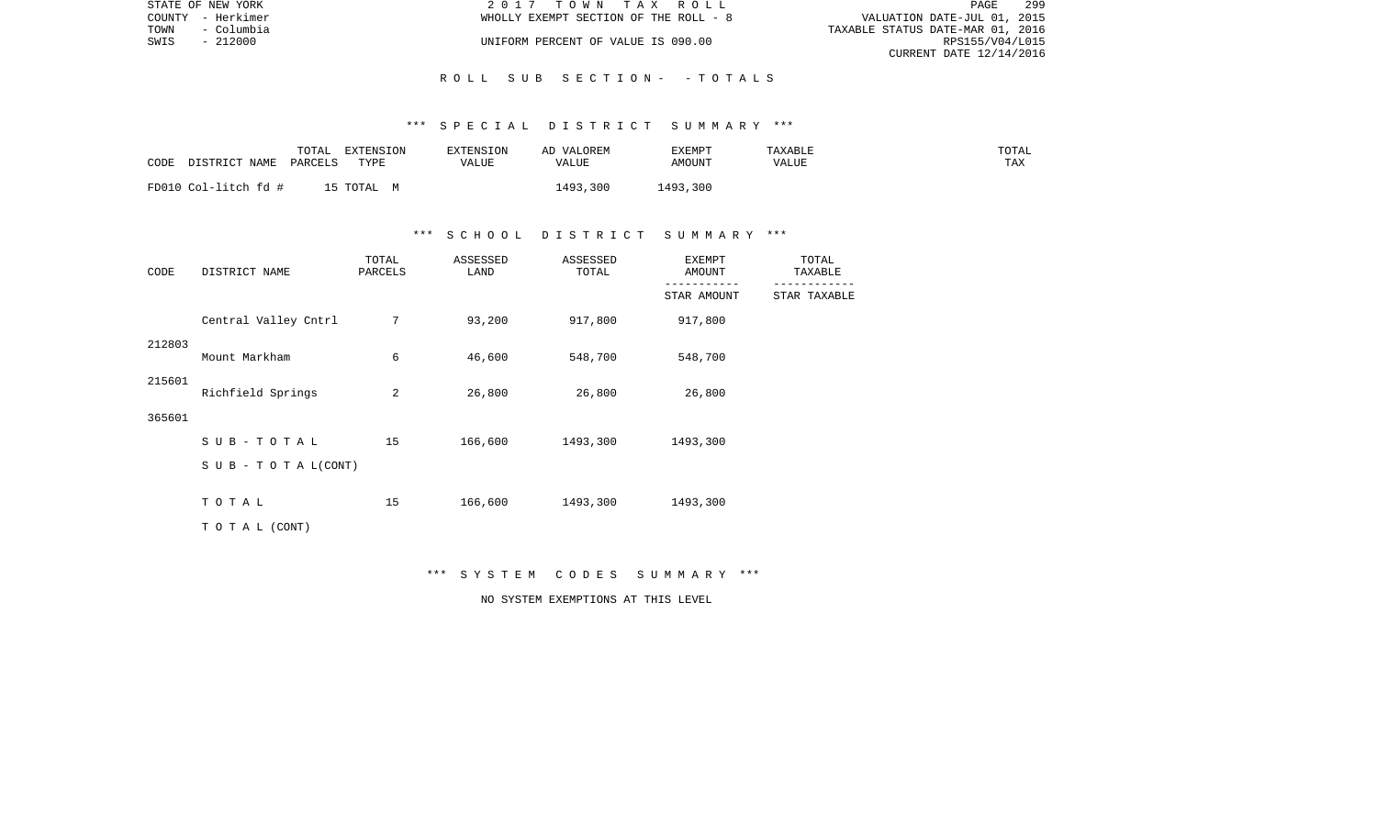| STATE OF NEW YORK  | 2017 TOWN TAX ROLL                    | 299<br>PAGE                      |
|--------------------|---------------------------------------|----------------------------------|
| COUNTY - Herkimer  | WHOLLY EXEMPT SECTION OF THE ROLL - 8 | VALUATION DATE-JUL 01, 2015      |
| TOWN<br>- Columbia |                                       | TAXABLE STATUS DATE-MAR 01, 2016 |
| SWIS<br>- 212000   | UNIFORM PERCENT OF VALUE IS 090.00    | RPS155/V04/L015                  |
|                    |                                       | CURRENT DATE 12/14/2016          |

## R O L L S U B S E C T I O N - - T O T A L S

#### \*\*\* S P E C I A L D I S T R I C T S U M M A R Y \*\*\*

| CODE | DISTRICT NAME        | TOTAL<br>PARCELS | EXTENSION<br><b>TYPE</b> | EXTENSION<br>VALUE | AD VALOREM<br>VALUE | EXEMPT<br>AMOUNT | TAXABLE<br>VALUE | TOTAL<br>TAX |
|------|----------------------|------------------|--------------------------|--------------------|---------------------|------------------|------------------|--------------|
|      | FD010 Col-litch fd # |                  | 15 TOTAL                 |                    | 1493,300            | 1493,300         |                  |              |

## \*\*\* S C H O O L D I S T R I C T S U M M A R Y \*\*\*

| CODE   | DISTRICT NAME             | TOTAL<br>PARCELS | ASSESSED<br>LAND | ASSESSED<br>TOTAL | <b>EXEMPT</b><br>AMOUNT | TOTAL<br>TAXABLE |
|--------|---------------------------|------------------|------------------|-------------------|-------------------------|------------------|
|        |                           |                  |                  |                   | STAR AMOUNT             | STAR TAXABLE     |
|        | Central Valley Cntrl      | 7                | 93,200           | 917,800           | 917,800                 |                  |
| 212803 | Mount Markham             | 6                | 46,600           | 548,700           | 548,700                 |                  |
| 215601 | Richfield Springs         | 2                | 26,800           | 26,800            | 26,800                  |                  |
| 365601 |                           |                  |                  |                   |                         |                  |
|        | $SUB - TO T AL$           | 15               | 166,600          | 1493,300          | 1493,300                |                  |
|        | S U B - T O T A $L(CONT)$ |                  |                  |                   |                         |                  |
|        | TOTAL                     | 15               | 166,600          | 1493,300          | 1493,300                |                  |
|        | TO TAL (CONT)             |                  |                  |                   |                         |                  |

\*\*\* S Y S T E M C O D E S S U M M A R Y \*\*\*

NO SYSTEM EXEMPTIONS AT THIS LEVEL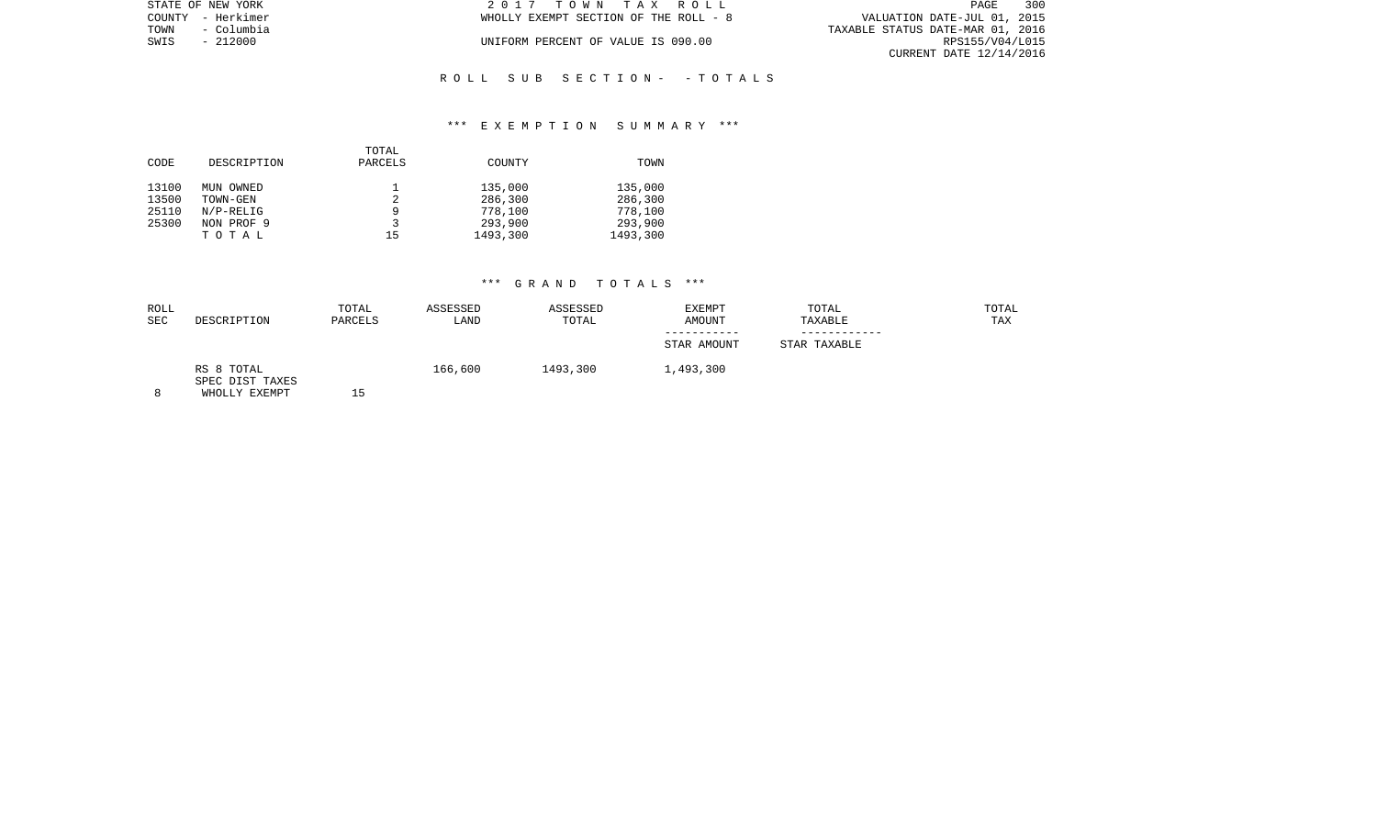| STATE OF NEW YORK  | 2017 TOWN TAX ROLL                    | 300<br>PAGE                      |
|--------------------|---------------------------------------|----------------------------------|
| COUNTY - Herkimer  | WHOLLY EXEMPT SECTION OF THE ROLL - 8 | VALUATION DATE-JUL 01, 2015      |
| – Columbia<br>TOWN |                                       | TAXABLE STATUS DATE-MAR 01, 2016 |
| - 212000<br>SWIS   | UNIFORM PERCENT OF VALUE IS 090.00    | RPS155/V04/L015                  |
|                    |                                       | CURRENT DATE 12/14/2016          |
|                    |                                       |                                  |

## R O L L S U B S E C T I O N - - T O T A L S

## \*\*\* E X E M P T I O N S U M M A R Y \*\*\*

|             | TOTAL   |          |          |
|-------------|---------|----------|----------|
| DESCRIPTION | PARCELS | COUNTY   | TOWN     |
|             |         |          |          |
| MUN OWNED   |         |          | 135,000  |
| TOWN-GEN    |         | 286,300  | 286,300  |
| $N/P-RELIG$ |         | 778,100  | 778,100  |
| NON PROF 9  |         | 293,900  | 293,900  |
| TOTAL       | 15      | 1493,300 | 1493,300 |
|             |         |          | 135,000  |

## \*\*\* G R A N D T O T A L S \*\*\*

| ROLL<br>SEC | DESCRIPTION                                    | TOTAL<br>PARCELS | ASSESSED<br>LAND | ASSESSED<br>TOTAL | <b>EXEMPT</b><br><b>AMOUNT</b> | TOTAL<br>TAXABLE | TOTAL<br>TAX |
|-------------|------------------------------------------------|------------------|------------------|-------------------|--------------------------------|------------------|--------------|
|             |                                                |                  |                  |                   | STAR AMOUNT                    | STAR TAXABLE     |              |
| $\Omega$    | RS 8 TOTAL<br>SPEC DIST TAXES<br>WHOLLY FYFMDT | ь                | 166,600          | 1493,300          | 1,493,300                      |                  |              |

8 WHOLLY EXEMPT 15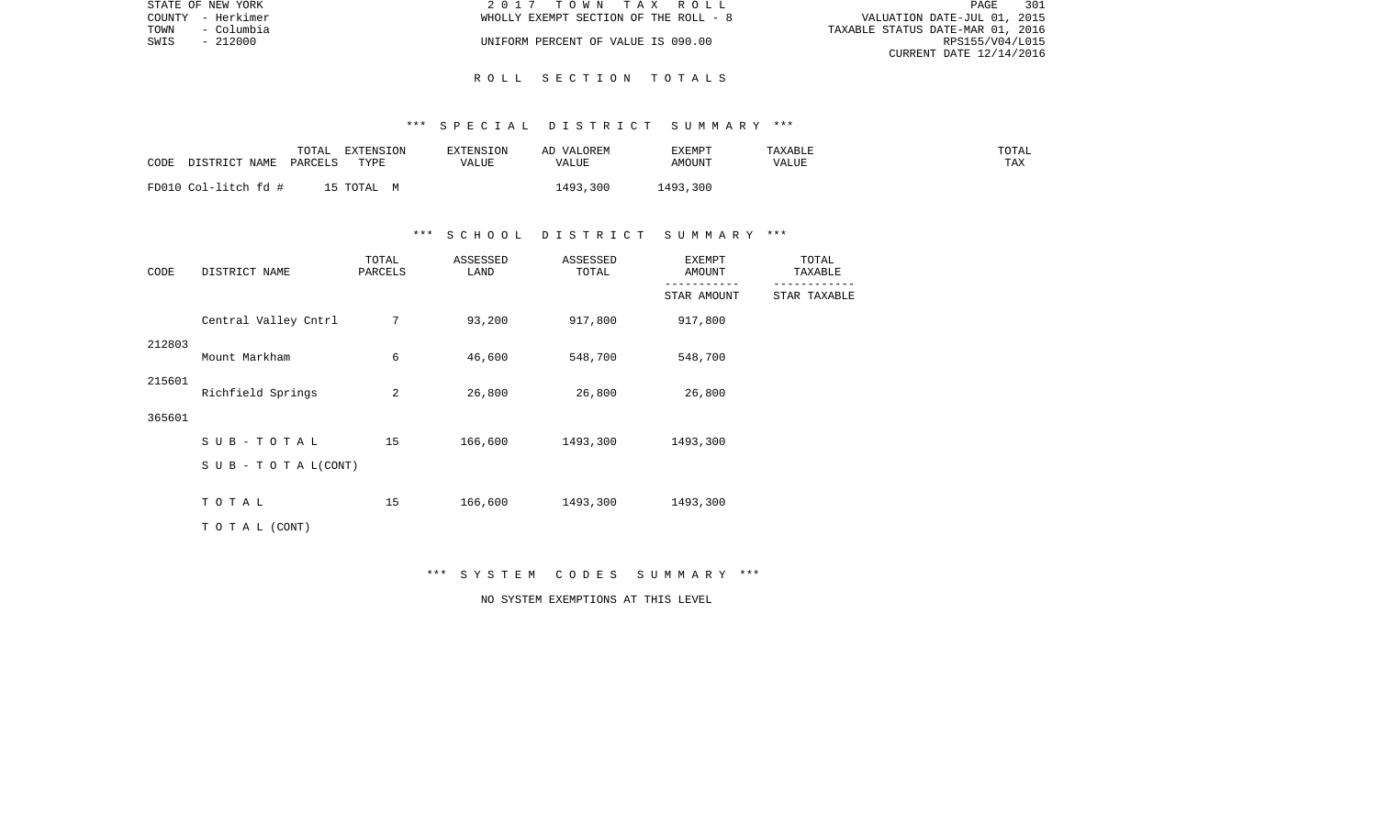|      | STATE OF NEW YORK | 2017 TOWN TAX ROLL                    | PAGE                             | 301 |
|------|-------------------|---------------------------------------|----------------------------------|-----|
|      | COUNTY - Herkimer | WHOLLY EXEMPT SECTION OF THE ROLL - 8 | VALUATION DATE-JUL 01, 2015      |     |
| TOWN | - Columbia        |                                       | TAXABLE STATUS DATE-MAR 01, 2016 |     |
| SWIS | - 212000          | UNIFORM PERCENT OF VALUE IS 090.00    | RPS155/V04/L015                  |     |
|      |                   |                                       | CURRENT DATE 12/14/2016          |     |

## R O L L S E C T I O N T O T A L S

## \*\*\* S P E C I A L D I S T R I C T S U M M A R Y \*\*\*

| CODE | DISTRICT NAME        | TOTAL<br>PARCELS | EXTENSION<br><b>TYPE</b> | EXTENSION<br>VALUE | AD VALOREM<br>VALUE | EXEMPT<br>AMOUNT | TAXABLE<br>VALUE | TOTAL<br>TAX |
|------|----------------------|------------------|--------------------------|--------------------|---------------------|------------------|------------------|--------------|
|      | FD010 Col-litch fd # |                  | 15 TOTAL                 |                    | 1493,300            | 1493,300         |                  |              |

## \*\*\* S C H O O L D I S T R I C T S U M M A R Y \*\*\*

| CODE   | DISTRICT NAME             | TOTAL<br>PARCELS | ASSESSED<br>LAND | ASSESSED<br>TOTAL | <b>EXEMPT</b><br>AMOUNT | TOTAL<br>TAXABLE |  |
|--------|---------------------------|------------------|------------------|-------------------|-------------------------|------------------|--|
|        |                           |                  |                  |                   | STAR AMOUNT             | STAR TAXABLE     |  |
|        | Central Valley Cntrl      | 7                | 93,200           | 917,800           | 917,800                 |                  |  |
| 212803 | Mount Markham             | 6                | 46,600           | 548,700           | 548,700                 |                  |  |
| 215601 | Richfield Springs         | 2                | 26,800           | 26,800            | 26,800                  |                  |  |
| 365601 |                           |                  |                  |                   |                         |                  |  |
|        | SUB-TOTAL                 | 15               | 166,600          | 1493,300          | 1493,300                |                  |  |
|        | S U B - T O T A $L(CONT)$ |                  |                  |                   |                         |                  |  |
|        | TOTAL                     | 15               | 166,600          | 1493,300          | 1493,300                |                  |  |
|        | TO TAL (CONT)             |                  |                  |                   |                         |                  |  |

\*\*\* S Y S T E M C O D E S S U M M A R Y \*\*\*

NO SYSTEM EXEMPTIONS AT THIS LEVEL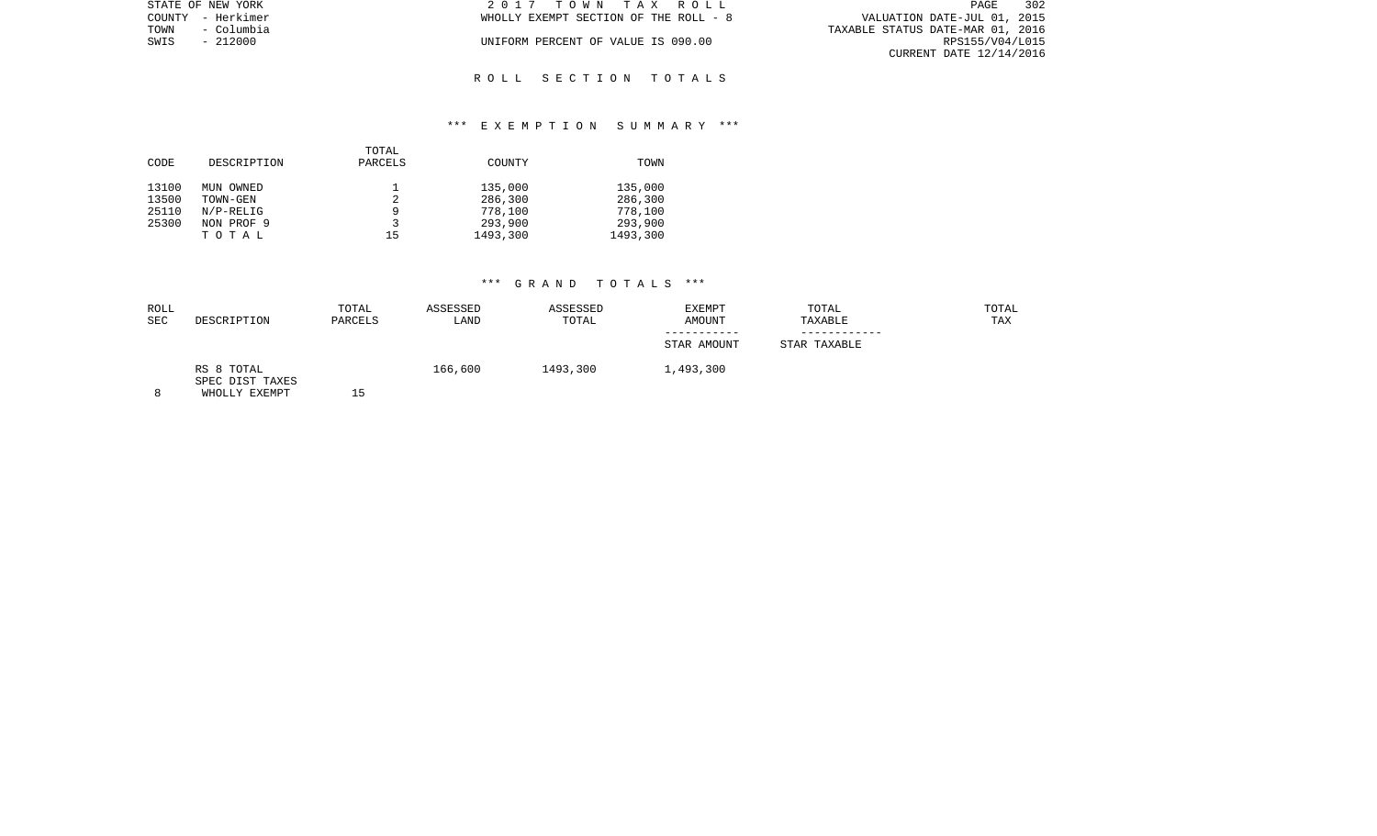| STATE OF NEW YORK  | 2017 TOWN TAX ROLL                    | 302<br>PAGE                      |
|--------------------|---------------------------------------|----------------------------------|
| COUNTY - Herkimer  | WHOLLY EXEMPT SECTION OF THE ROLL - 8 | VALUATION DATE-JUL 01, 2015      |
| – Columbia<br>TOWN |                                       | TAXABLE STATUS DATE-MAR 01, 2016 |
| - 212000<br>SWIS   | UNIFORM PERCENT OF VALUE IS 090.00    | RPS155/V04/L015                  |
|                    |                                       | CURRENT DATE 12/14/2016          |

## R O L L S E C T I O N T O T A L S

## \*\*\* E X E M P T I O N S U M M A R Y \*\*\*

|       |              | TOTAL   |          |          |
|-------|--------------|---------|----------|----------|
| CODE  | DESCRIPTION  | PARCELS | COUNTY   | TOWN     |
| 13100 | MUN OWNED    |         | 135,000  | 135,000  |
| 13500 | TOWN-GEN     | 2       | 286,300  | 286,300  |
| 25110 | $N/P-RELLIG$ | 9       | 778,100  | 778,100  |
| 25300 | NON PROF 9   |         | 293,900  | 293,900  |
|       | TOTAL        | 15      | 1493,300 | 1493,300 |

## \*\*\* G R A N D T O T A L S \*\*\*

| ROLL<br><b>SEC</b> | DESCRIPTION                                    | TOTAL<br>PARCELS | ASSESSED<br>LAND | ASSESSED<br>TOTAL | EXEMPT<br><b>AMOUNT</b> | TOTAL<br>TAXABLE | TOTAL<br>TAX |
|--------------------|------------------------------------------------|------------------|------------------|-------------------|-------------------------|------------------|--------------|
|                    |                                                |                  |                  |                   | STAR AMOUNT             | STAR TAXABLE     |              |
|                    | RS 8 TOTAL<br>SPEC DIST TAXES<br>WHOLLY FYFMOT | ' ⊏              | 166,600          | 1493,300          | 1,493,300               |                  |              |

8 WHOLLY EXEMPT 15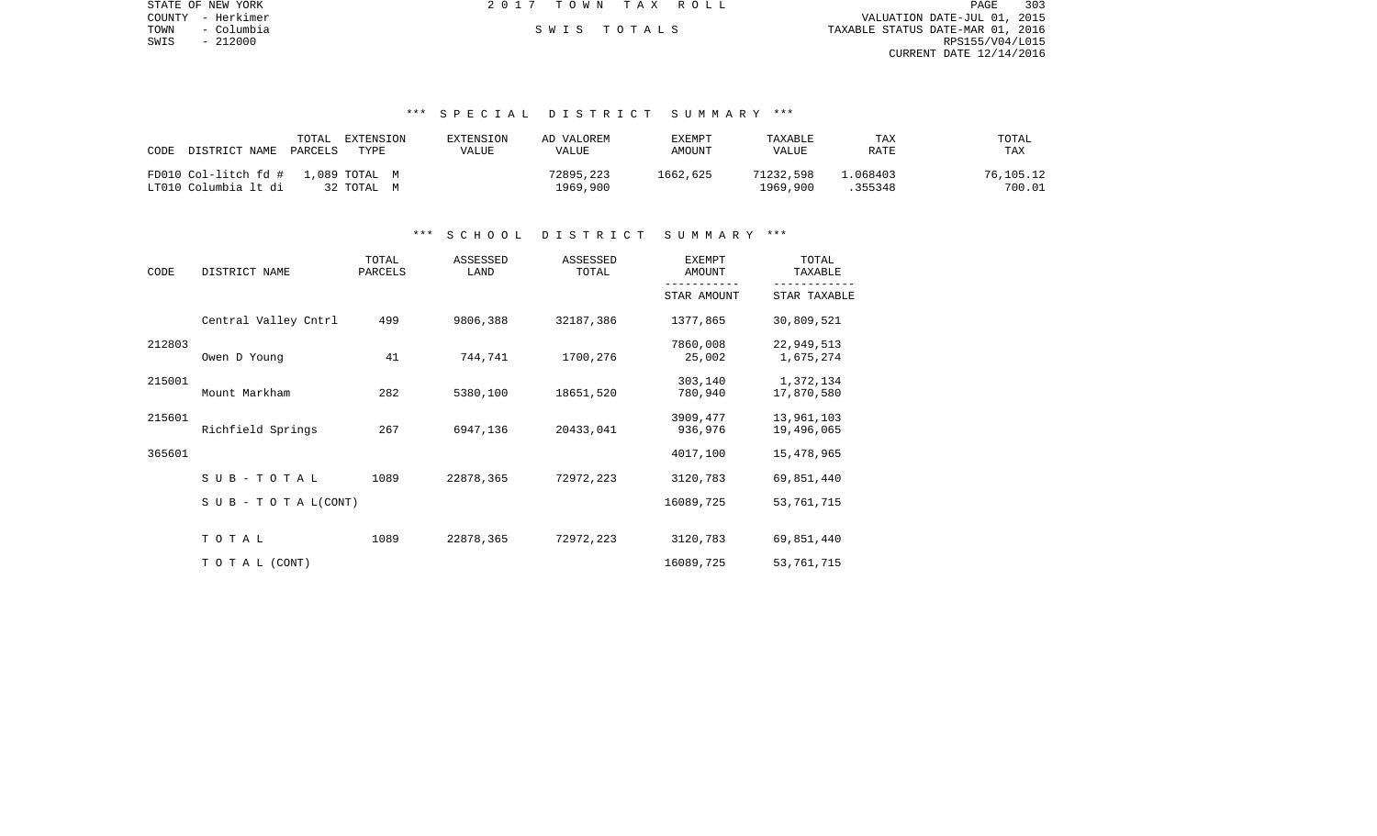| STATE OF NEW YORK  | 2017 TOWN TAX ROLL | 303<br>PAGE                      |
|--------------------|--------------------|----------------------------------|
| COUNTY - Herkimer  |                    | VALUATION DATE-JUL 01, 2015      |
| TOWN<br>- Columbia | SWIS TOTALS        | TAXABLE STATUS DATE-MAR 01, 2016 |
| SWIS<br>$-212000$  |                    | RPS155/V04/L015                  |
|                    |                    | CURRENT DATE 12/14/2016          |
|                    |                    |                                  |
|                    |                    |                                  |

## \*\*\* S P E C I A L D I S T R I C T S U M M A R Y \*\*\*

| TOTAL<br>CODE<br>DISTRICT NAME PARCELS                                      | EXTENSION<br>EXTENSION<br>TYPE.<br>VALUE | AD VALOREM<br>VALUE   | EXEMPT<br>AMOUNT | TAXABLE<br><b>VALUE</b> | TAX<br>RATE        | TOTAL<br>TAX        |
|-----------------------------------------------------------------------------|------------------------------------------|-----------------------|------------------|-------------------------|--------------------|---------------------|
| FD010 Col-litch fd #<br>1,089 TOTAL M<br>LT010 Columbia lt di<br>32 TOTAL M |                                          | 72895,223<br>1969.900 | 1662,625         | 71232,598<br>1969,900   | 1.068403<br>355348 | 76,105.12<br>700.01 |

## \*\*\* S C H O O L D I S T R I C T S U M M A R Y \*\*\*

| CODE   | DISTRICT NAME                    | TOTAL<br>PARCELS | ASSESSED<br>LAND | ASSESSED<br>TOTAL | <b>EXEMPT</b><br>AMOUNT | TOTAL<br>TAXABLE         |  |
|--------|----------------------------------|------------------|------------------|-------------------|-------------------------|--------------------------|--|
|        |                                  |                  |                  |                   | STAR AMOUNT             | STAR TAXABLE             |  |
|        | Central Valley Cntrl             | 499              | 9806,388         | 32187,386         | 1377,865                | 30,809,521               |  |
| 212803 | Owen D Young                     | 41               | 744,741          | 1700,276          | 7860,008<br>25,002      | 22,949,513<br>1,675,274  |  |
| 215001 | Mount Markham                    | 282              | 5380,100         | 18651,520         | 303,140<br>780,940      | 1,372,134<br>17,870,580  |  |
| 215601 | Richfield Springs                | 267              | 6947,136         | 20433,041         | 3909,477<br>936,976     | 13,961,103<br>19,496,065 |  |
| 365601 |                                  |                  |                  |                   | 4017,100                | 15,478,965               |  |
|        | SUB-TOTAL                        | 1089             | 22878,365        | 72972,223         | 3120,783                | 69,851,440               |  |
|        | $S \cup B - T \cup T A L (CONT)$ |                  |                  |                   | 16089,725               | 53,761,715               |  |
|        | TOTAL                            | 1089             | 22878,365        | 72972,223         | 3120,783                | 69,851,440               |  |
|        | T O T A L (CONT)                 |                  |                  |                   | 16089,725               | 53,761,715               |  |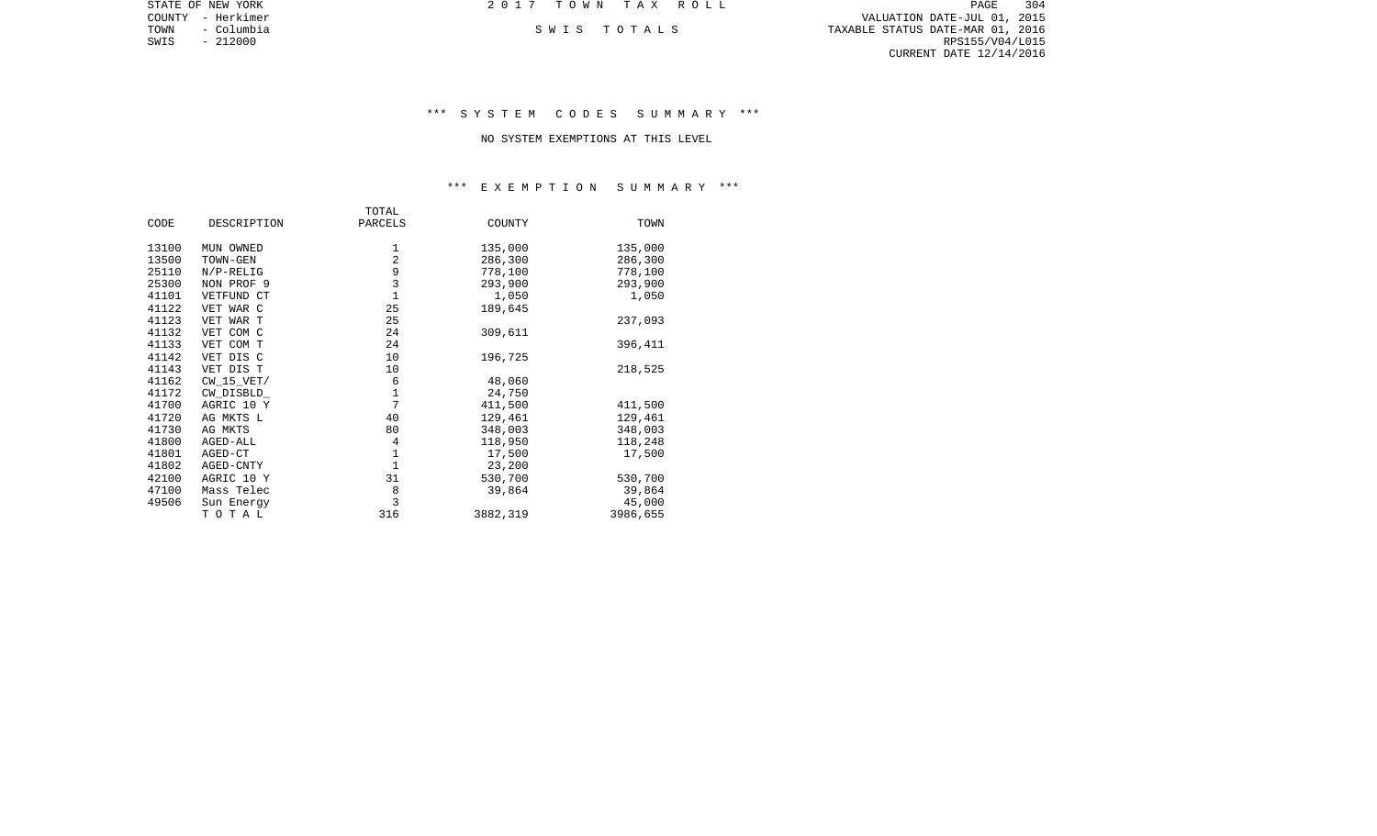PAGE 304 COUNTY - Herkimer VALUATION DATE-JUL 01, 2015 TOWN - Columbia S W I S T O T A L S TAXABLE STATUS DATE-MAR 01, 2016 CURRENT DATE 12/14/2016

STATE OF NEW YORK **2017 TOWN TAX ROLL** 

# \*\*\* S Y S T E M C O D E S S U M M A R Y \*\*\*

#### NO SYSTEM EXEMPTIONS AT THIS LEVEL

## \*\*\* E X E M P T I O N S U M M A R Y \*\*\*

|       |             | TOTAL         |          |          |
|-------|-------------|---------------|----------|----------|
| CODE  | DESCRIPTION | PARCELS       | COUNTY   | TOWN     |
| 13100 | MUN OWNED   | $\mathbf{1}$  | 135,000  | 135,000  |
| 13500 | TOWN-GEN    | $\sqrt{2}$    | 286,300  | 286,300  |
| 25110 | $N/P-RELIG$ |               | 778,100  | 778,100  |
| 25300 | NON PROF 9  | $\frac{9}{3}$ | 293,900  | 293,900  |
| 41101 | VETFUND CT  | $\mathbf{1}$  | 1,050    | 1,050    |
| 41122 | VET WAR C   | 25            | 189,645  |          |
| 41123 | VET WAR T   | 25            |          | 237,093  |
| 41132 | VET COM C   | 24            | 309,611  |          |
| 41133 | VET COM T   | 24            |          | 396,411  |
| 41142 | VET DIS C   | 10            | 196,725  |          |
| 41143 | VET DIS T   | 10            |          | 218,525  |
| 41162 | CW 15 VET/  | 6             | 48,060   |          |
| 41172 | CW DISBLD   | $\mathbf{1}$  | 24,750   |          |
| 41700 | AGRIC 10 Y  | 7             | 411,500  | 411,500  |
| 41720 | AG MKTS L   | 40            | 129,461  | 129,461  |
| 41730 | AG MKTS     | 80            | 348,003  | 348,003  |
| 41800 | AGED-ALL    | 4             | 118,950  | 118,248  |
| 41801 | AGED-CT     | $\mathbf 1$   | 17,500   | 17,500   |
| 41802 | AGED-CNTY   | $1\,$         | 23,200   |          |
| 42100 | AGRIC 10 Y  | 31            | 530,700  | 530,700  |
| 47100 | Mass Telec  | 8             | 39,864   | 39,864   |
| 49506 | Sun Energy  | 3             |          | 45,000   |
|       | TOTAL       | 316           | 3882,319 | 3986,655 |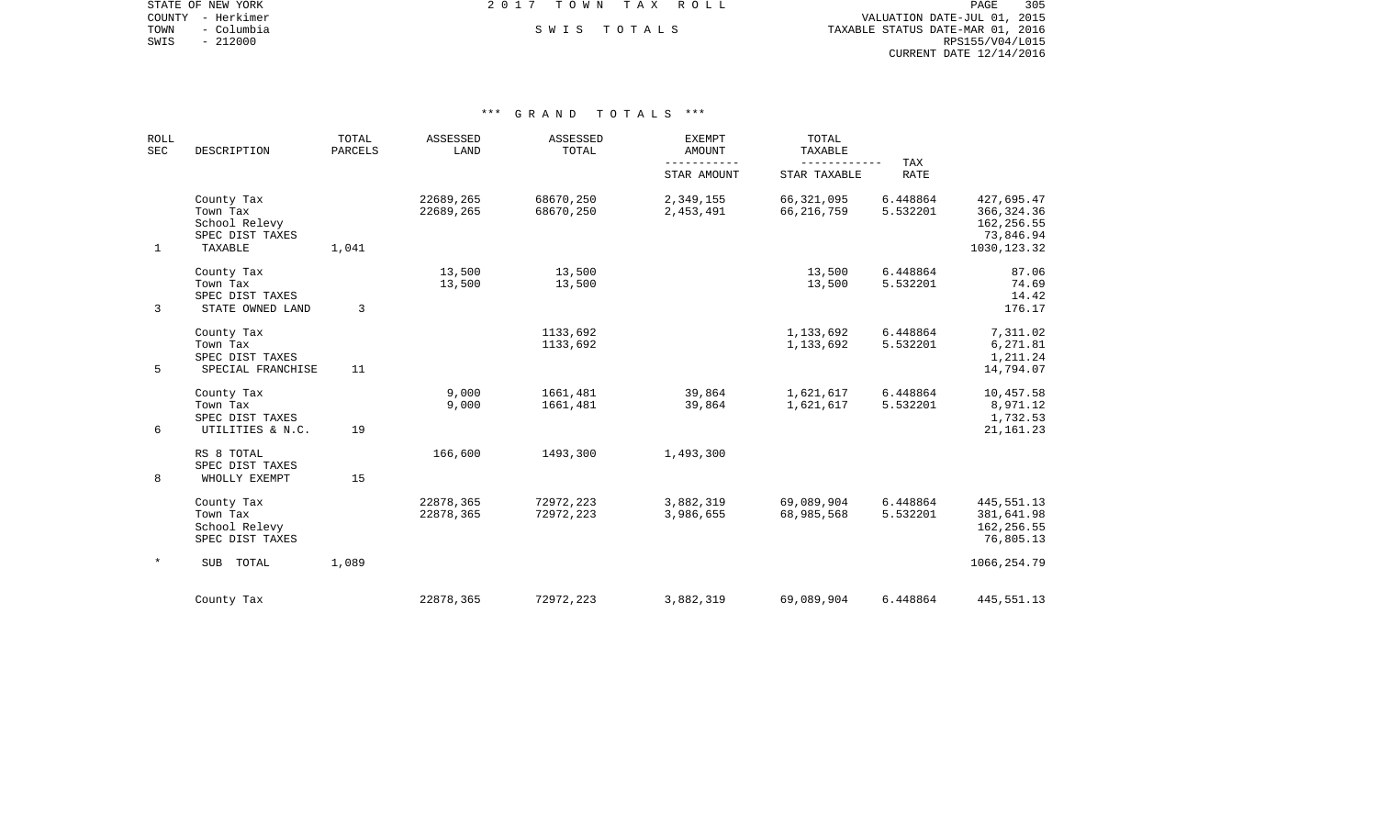COUNTY - Herkimer VALUATION DATE-JUL 01, 2015 TOWN - Columbia S W I S T O T A L S TAXABLE STATUS DATE-MAR 01, 2016 SWIS - 212000<br>SWIS - 212000<br>SWIS - 212000 RPS155/V04/L015 CURRENT DATE 12/14/2016

STATE OF NEW YORK **EXECUTE:**  $2017$  TOWN TAX ROLL

| <b>ROLL</b><br>SEC | DESCRIPTION                                                           | TOTAL<br>PARCELS | ASSESSED<br>LAND       | ASSESSED<br>TOTAL      | <b>EXEMPT</b><br><b>AMOUNT</b> | TOTAL<br>TAXABLE             |                      |                                                                       |
|--------------------|-----------------------------------------------------------------------|------------------|------------------------|------------------------|--------------------------------|------------------------------|----------------------|-----------------------------------------------------------------------|
|                    |                                                                       |                  |                        |                        | STAR AMOUNT                    | STAR TAXABLE                 | TAX<br><b>RATE</b>   |                                                                       |
| 1                  | County Tax<br>Town Tax<br>School Relevy<br>SPEC DIST TAXES<br>TAXABLE | 1,041            | 22689,265<br>22689,265 | 68670,250<br>68670,250 | 2,349,155<br>2,453,491         | 66, 321, 095<br>66, 216, 759 | 6.448864<br>5.532201 | 427,695.47<br>366, 324.36<br>162, 256.55<br>73,846.94<br>1030, 123.32 |
| $\overline{3}$     | County Tax<br>Town Tax<br>SPEC DIST TAXES<br>STATE OWNED LAND         | 3                | 13,500<br>13,500       | 13,500<br>13,500       |                                | 13,500<br>13,500             | 6.448864<br>5.532201 | 87.06<br>74.69<br>14.42<br>176.17                                     |
| 5                  | County Tax<br>Town Tax<br>SPEC DIST TAXES<br>SPECIAL FRANCHISE        | 11               |                        | 1133,692<br>1133,692   |                                | 1,133,692<br>1,133,692       | 6.448864<br>5.532201 | 7,311.02<br>6,271.81<br>1,211.24<br>14,794.07                         |
| 6                  | County Tax<br>Town Tax<br>SPEC DIST TAXES<br>UTILITIES & N.C.         | 19               | 9,000<br>9,000         | 1661,481<br>1661,481   | 39,864<br>39,864               | 1,621,617<br>1,621,617       | 6.448864<br>5.532201 | 10,457.58<br>8,971.12<br>1,732.53<br>21, 161. 23                      |
| 8                  | RS 8 TOTAL<br>SPEC DIST TAXES<br>WHOLLY EXEMPT                        | 15               | 166,600                | 1493,300               | 1,493,300                      |                              |                      |                                                                       |
|                    | County Tax<br>Town Tax<br>School Relevy<br>SPEC DIST TAXES            |                  | 22878,365<br>22878,365 | 72972,223<br>72972,223 | 3,882,319<br>3,986,655         | 69,089,904<br>68,985,568     | 6.448864<br>5.532201 | 445,551.13<br>381,641.98<br>162,256.55<br>76,805.13                   |
| $\ast$             | SUB TOTAL                                                             | 1,089            |                        |                        |                                |                              |                      | 1066, 254.79                                                          |
|                    | County Tax                                                            |                  | 22878,365              | 72972,223              | 3,882,319                      | 69,089,904                   | 6.448864             | 445,551.13                                                            |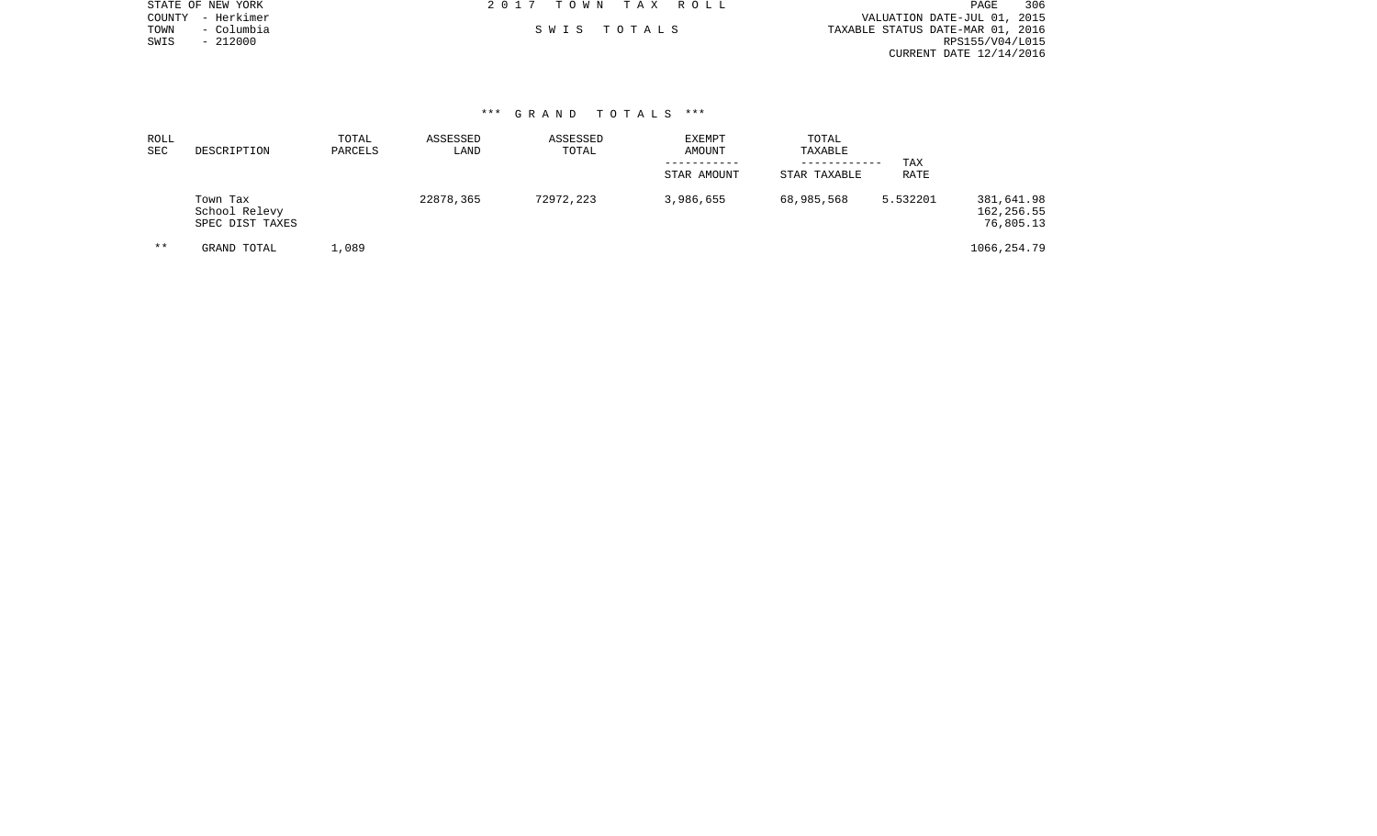|      | STATE OF NEW YORK | 2017 TOWN TAX ROLL |  | PAGE                             | 306 |
|------|-------------------|--------------------|--|----------------------------------|-----|
|      | COUNTY - Herkimer |                    |  | VALUATION DATE-JUL 01, 2015      |     |
| TOWN | – Columbia        | SWIS TOTALS        |  | TAXABLE STATUS DATE-MAR 01, 2016 |     |
| SWIS | $-212000$         |                    |  | RPS155/V04/L015                  |     |
|      |                   |                    |  | CURRENT DATE 12/14/2016          |     |
|      |                   |                    |  |                                  |     |

| ROLL<br><b>SEC</b> | DESCRIPTION                                  | TOTAL<br>PARCELS | ASSESSED<br>LAND | ASSESSED<br>TOTAL | <b>EXEMPT</b><br>AMOUNT<br>-----------<br>STAR AMOUNT | TOTAL<br>TAXABLE<br>------------<br>STAR TAXABLE | <b>TAX</b><br>RATE |                                       |
|--------------------|----------------------------------------------|------------------|------------------|-------------------|-------------------------------------------------------|--------------------------------------------------|--------------------|---------------------------------------|
|                    | Town Tax<br>School Relevy<br>SPEC DIST TAXES |                  | 22878,365        | 72972,223         | 3,986,655                                             | 68,985,568                                       | 5.532201           | 381,641.98<br>162,256.55<br>76,805.13 |
| $* *$              | GRAND TOTAL                                  | 1,089            |                  |                   |                                                       |                                                  |                    | 1066,254.79                           |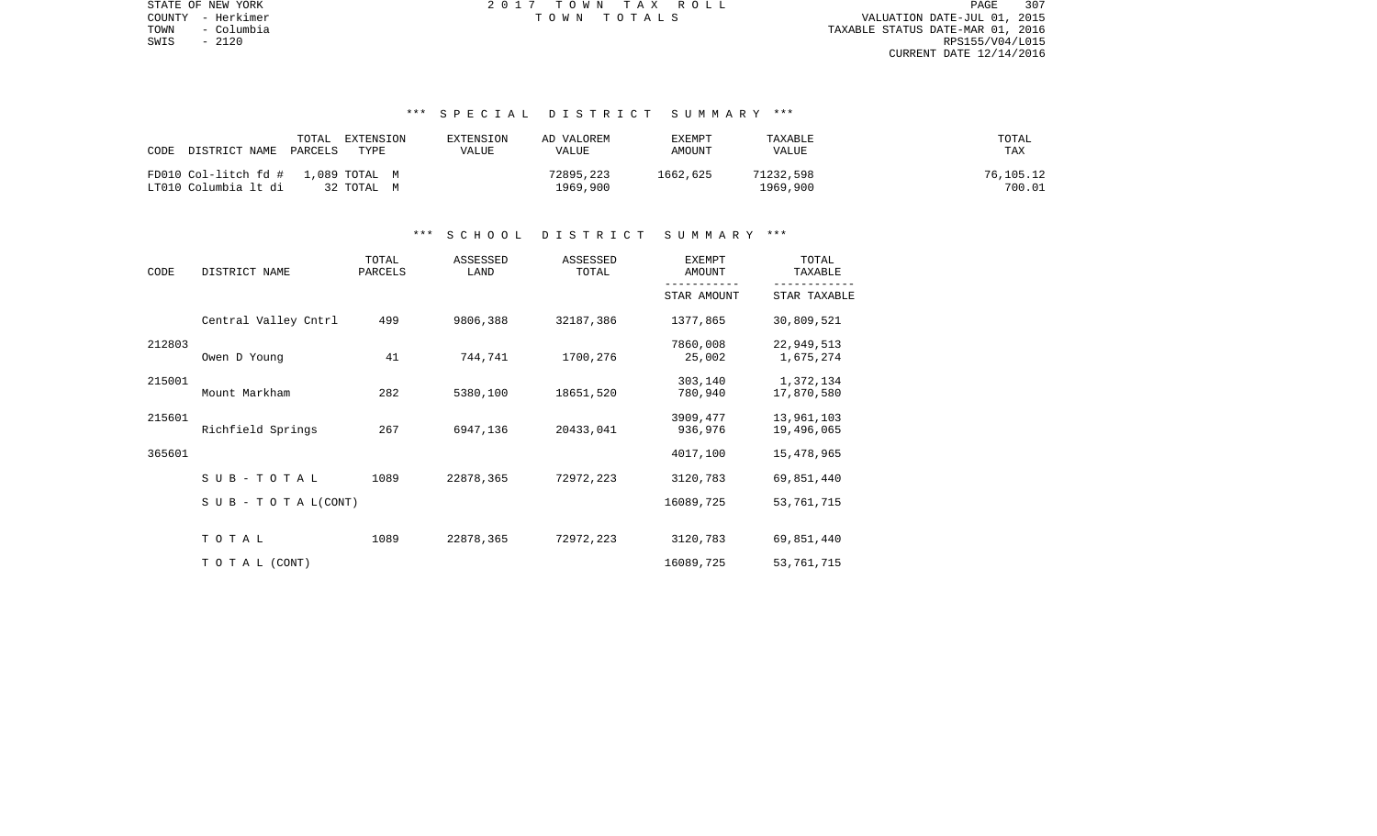TOWN - Columbia TAXABLE STATUS DATE-MAR 01, 2016 SWIS - 2120<br>SWIS - 2120<br>SWIS - 2120<br>RPS155/V04/L015 CURRENT DATE 12/14/2016

STATE OF NEW YORK 2 0 1 7 T O W N T A X R O L L PAGE 307COUNTY - Herkimer T O W N T O T A L S VALUATION DATE-JUL 01, 2015

# \*\*\* S P E C I A L D I S T R I C T S U M M A R Y \*\*\*

| DISTRICT NAME<br>CODE                        | TOTAL<br>EXTENSION<br>TYPE<br>PARCELS | EXTENSION<br>VALUE | AD VALOREM<br>VALUE   | EXEMPT<br>AMOUNT | TAXABLE<br>VALUE      | TOTAL<br>TAX        |
|----------------------------------------------|---------------------------------------|--------------------|-----------------------|------------------|-----------------------|---------------------|
| FD010 Col-litch fd #<br>LT010 Columbia lt di | 1,089 TOTAL M<br>32 ТОТАЬ М           |                    | 72895,223<br>1969,900 | 1662,625         | 71232,598<br>1969.900 | 76,105.12<br>700.01 |

## \*\*\* S C H O O L D I S T R I C T S U M M A R Y \*\*\*

| CODE   | DISTRICT NAME                    | TOTAL<br>PARCELS | ASSESSED<br>LAND | ASSESSED<br>TOTAL | <b>EXEMPT</b><br>AMOUNT | TOTAL<br>TAXABLE         |
|--------|----------------------------------|------------------|------------------|-------------------|-------------------------|--------------------------|
|        |                                  |                  |                  |                   | STAR AMOUNT             | STAR TAXABLE             |
|        | Central Valley Cntrl             | 499              | 9806,388         | 32187,386         | 1377,865                | 30,809,521               |
| 212803 | Owen D Young                     | 41               | 744,741          | 1700,276          | 7860,008<br>25,002      | 22,949,513<br>1,675,274  |
| 215001 | Mount Markham                    | 282              | 5380,100         | 18651,520         | 303,140<br>780,940      | 1,372,134<br>17,870,580  |
| 215601 | Richfield Springs                | 267              | 6947,136         | 20433,041         | 3909,477<br>936,976     | 13,961,103<br>19,496,065 |
| 365601 |                                  |                  |                  |                   | 4017,100                | 15,478,965               |
|        | $SUB - TO T AL$                  | 1089             | 22878,365        | 72972,223         | 3120,783                | 69,851,440               |
|        | $S \cup B - T \cup T A L (CONT)$ |                  |                  |                   | 16089,725               | 53,761,715               |
|        | TOTAL                            | 1089             | 22878,365        | 72972,223         | 3120,783                | 69,851,440               |
|        | TO TAL (CONT)                    |                  |                  |                   | 16089,725               | 53,761,715               |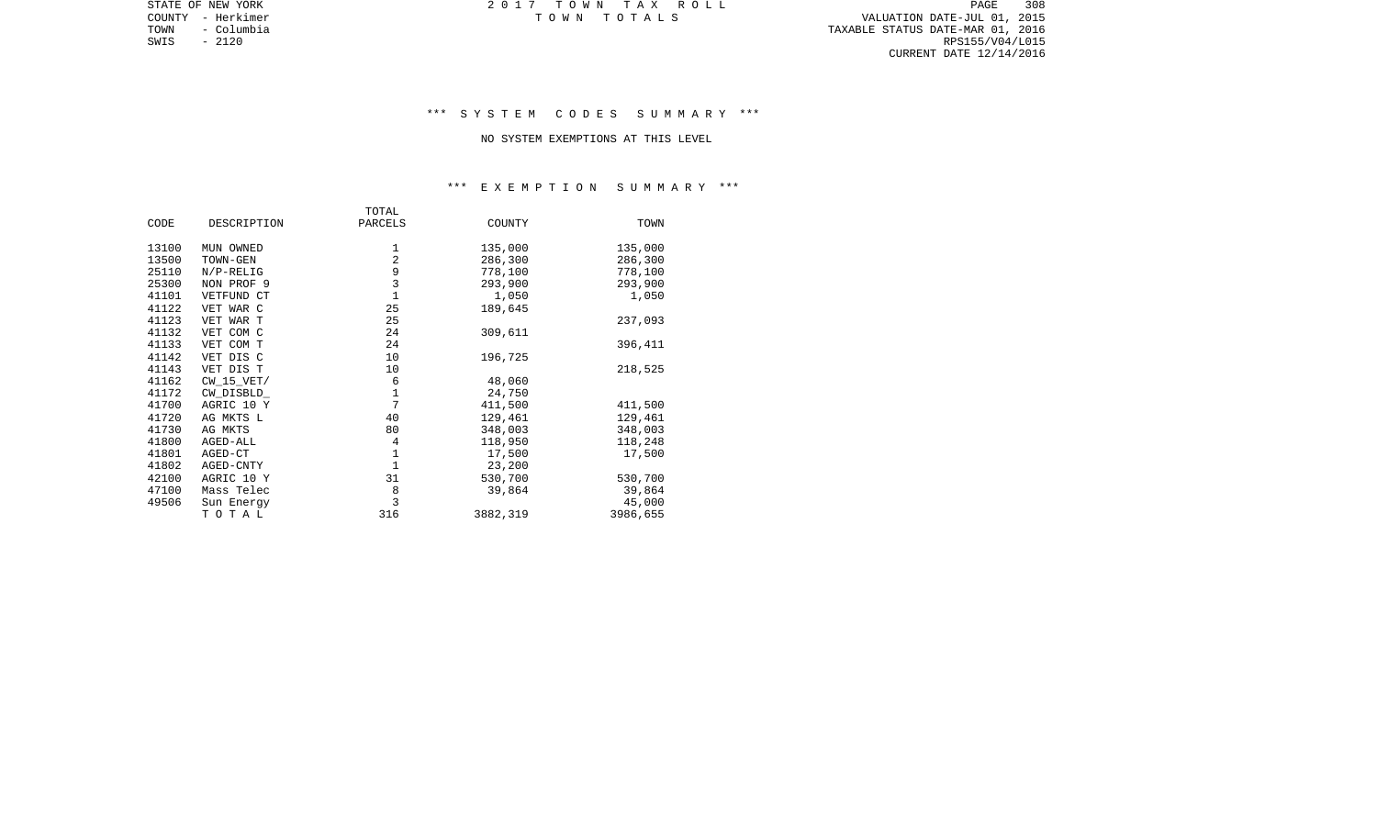PAGE 308 TOWN - Columbia TAXABLE STATUS DATE-MAR 01, 2016 RPS155/V04/L015 CURRENT DATE 12/14/2016

STATE OF NEW YORK **EXECUTE:** TOWN TAX ROLL COUNTY - Herkimer T O W N T O T A L S VALUATION DATE-JUL 01, 2015

# \*\*\* S Y S T E M C O D E S S U M M A R Y \*\*\*

#### NO SYSTEM EXEMPTIONS AT THIS LEVEL

## \*\*\* E X E M P T I O N S U M M A R Y \*\*\*

|       |              | TOTAL          |          |          |
|-------|--------------|----------------|----------|----------|
| CODE  | DESCRIPTION  | PARCELS        | COUNTY   | TOWN     |
| 13100 | MUN OWNED    | 1              | 135,000  | 135,000  |
| 13500 | TOWN-GEN     | $\mathbf 2$    | 286,300  | 286,300  |
| 25110 | $N/P-RELIG$  |                | 778,100  | 778,100  |
| 25300 | NON PROF 9   | $\frac{9}{3}$  | 293,900  | 293,900  |
| 41101 | VETFUND CT   | $\mathbf{1}$   | 1,050    | 1,050    |
| 41122 | VET WAR C    | 25             | 189,645  |          |
| 41123 | VET WAR T    | 25             |          | 237,093  |
| 41132 | VET COM C    | 24             | 309,611  |          |
| 41133 | VET COM T    | 24             |          | 396,411  |
| 41142 | VET DIS C    | 10             | 196,725  |          |
| 41143 | VET DIS T    | 10             |          | 218,525  |
| 41162 | $CW_15_VET/$ | 6              | 48,060   |          |
| 41172 | CW DISBLD    | $\mathbf 1$    | 24,750   |          |
| 41700 | AGRIC 10 Y   | $\overline{7}$ | 411,500  | 411,500  |
| 41720 | AG MKTS L    | 40             | 129,461  | 129,461  |
| 41730 | AG MKTS      | 80             | 348,003  | 348,003  |
| 41800 | AGED-ALL     | 4              | 118,950  | 118,248  |
| 41801 | AGED-CT      | $\mathbf 1$    | 17,500   | 17,500   |
| 41802 | AGED-CNTY    | $1\,$          | 23,200   |          |
| 42100 | AGRIC 10 Y   | 31             | 530,700  | 530,700  |
| 47100 | Mass Telec   | 8              | 39,864   | 39,864   |
| 49506 | Sun Energy   | 3              |          | 45,000   |
|       | TOTAL        | 316            | 3882,319 | 3986,655 |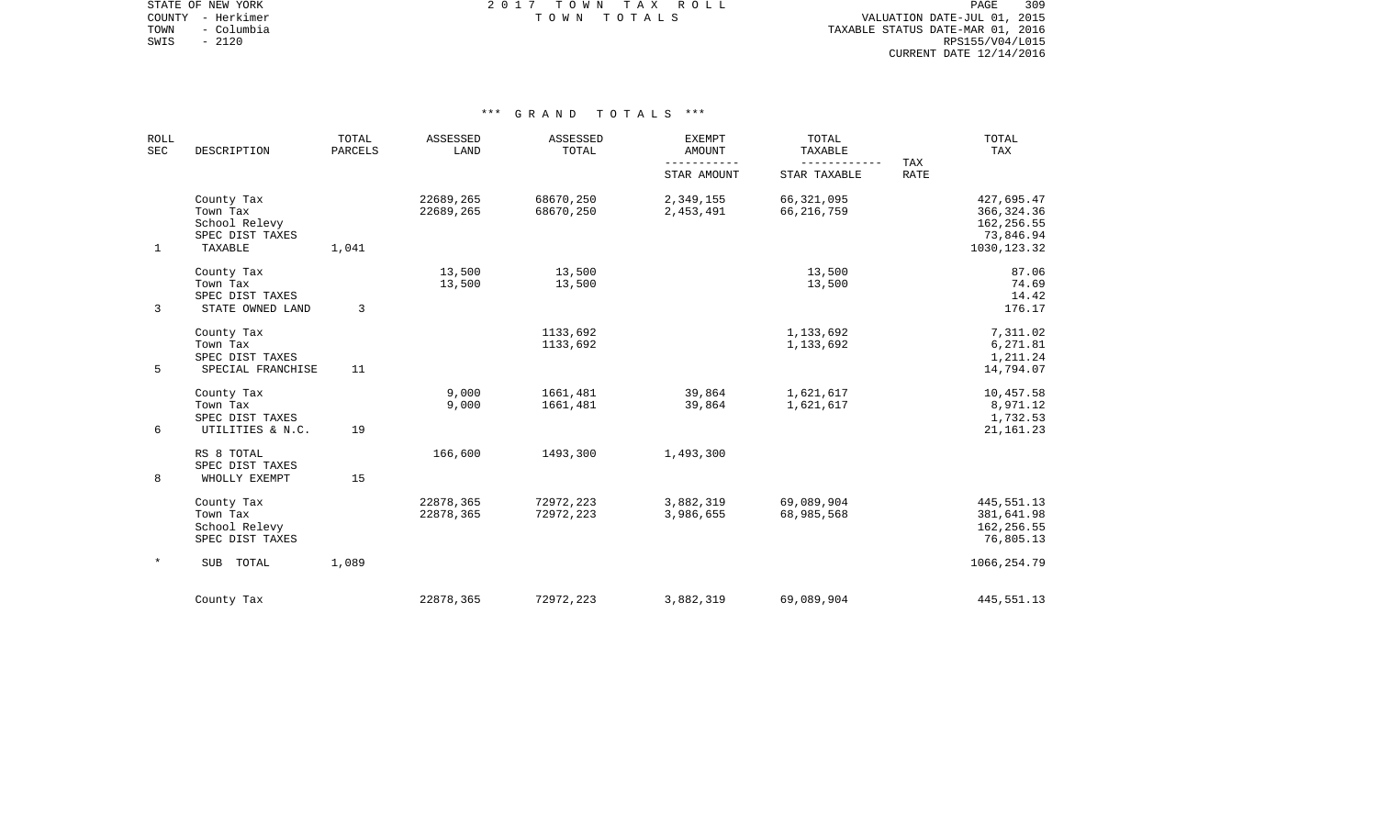STATE OF NEW YORK **EXECUTE:** A 2 0 1 7 T O W N T A X R O L L COUNTY - Herkimer T O W N T O T A L S VALUATION DATE-JUL 01, 2015

TOWN - Columbia TAXABLE STATUS DATE-MAR 01, 2016 SWIS - 2120<br>
SWIS - 2120<br>
SWIS - 2120<br>
RPS155/V04/L015 CURRENT DATE 12/14/2016

| ROLL<br>SEC  | DESCRIPTION                                                           | TOTAL<br><b>PARCELS</b> | ASSESSED<br>LAND       | ASSESSED<br>TOTAL      | <b>EXEMPT</b><br>AMOUNT<br>---------- | TOTAL<br>TAXABLE<br>------------ | TAX         | TOTAL<br>TAX                                                         |
|--------------|-----------------------------------------------------------------------|-------------------------|------------------------|------------------------|---------------------------------------|----------------------------------|-------------|----------------------------------------------------------------------|
|              |                                                                       |                         |                        |                        | STAR AMOUNT                           | STAR TAXABLE                     | <b>RATE</b> |                                                                      |
| $\mathbf{1}$ | County Tax<br>Town Tax<br>School Relevy<br>SPEC DIST TAXES<br>TAXABLE | 1,041                   | 22689,265<br>22689,265 | 68670,250<br>68670,250 | 2,349,155<br>2,453,491                | 66, 321, 095<br>66,216,759       |             | 427,695.47<br>366, 324.36<br>162,256.55<br>73,846.94<br>1030, 123.32 |
| 3            | County Tax<br>Town Tax<br>SPEC DIST TAXES<br>STATE OWNED LAND         | 3                       | 13,500<br>13,500       | 13,500<br>13,500       |                                       | 13,500<br>13,500                 |             | 87.06<br>74.69<br>14.42<br>176.17                                    |
| 5            | County Tax<br>Town Tax<br>SPEC DIST TAXES<br>SPECIAL FRANCHISE        | 11                      |                        | 1133,692<br>1133,692   |                                       | 1,133,692<br>1,133,692           |             | 7,311.02<br>6,271.81<br>1,211.24<br>14,794.07                        |
| 6            | County Tax<br>Town Tax<br>SPEC DIST TAXES<br>UTILITIES & N.C.         | 19                      | 9,000<br>9,000         | 1661,481<br>1661,481   | 39,864<br>39,864                      | 1,621,617<br>1,621,617           |             | 10,457.58<br>8,971.12<br>1,732.53<br>21, 161. 23                     |
| 8            | RS 8 TOTAL<br>SPEC DIST TAXES<br>WHOLLY EXEMPT                        | 15                      | 166,600                | 1493,300               | 1,493,300                             |                                  |             |                                                                      |
|              | County Tax<br>Town Tax<br>School Relevy<br>SPEC DIST TAXES            |                         | 22878,365<br>22878,365 | 72972,223<br>72972,223 | 3,882,319<br>3,986,655                | 69,089,904<br>68,985,568         |             | 445,551.13<br>381,641.98<br>162,256.55<br>76,805.13                  |
| $\star$      | TOTAL<br><b>SUB</b>                                                   | 1,089                   |                        |                        |                                       |                                  |             | 1066, 254.79                                                         |
|              | County Tax                                                            |                         | 22878,365              | 72972,223              | 3,882,319                             | 69,089,904                       |             | 445,551.13                                                           |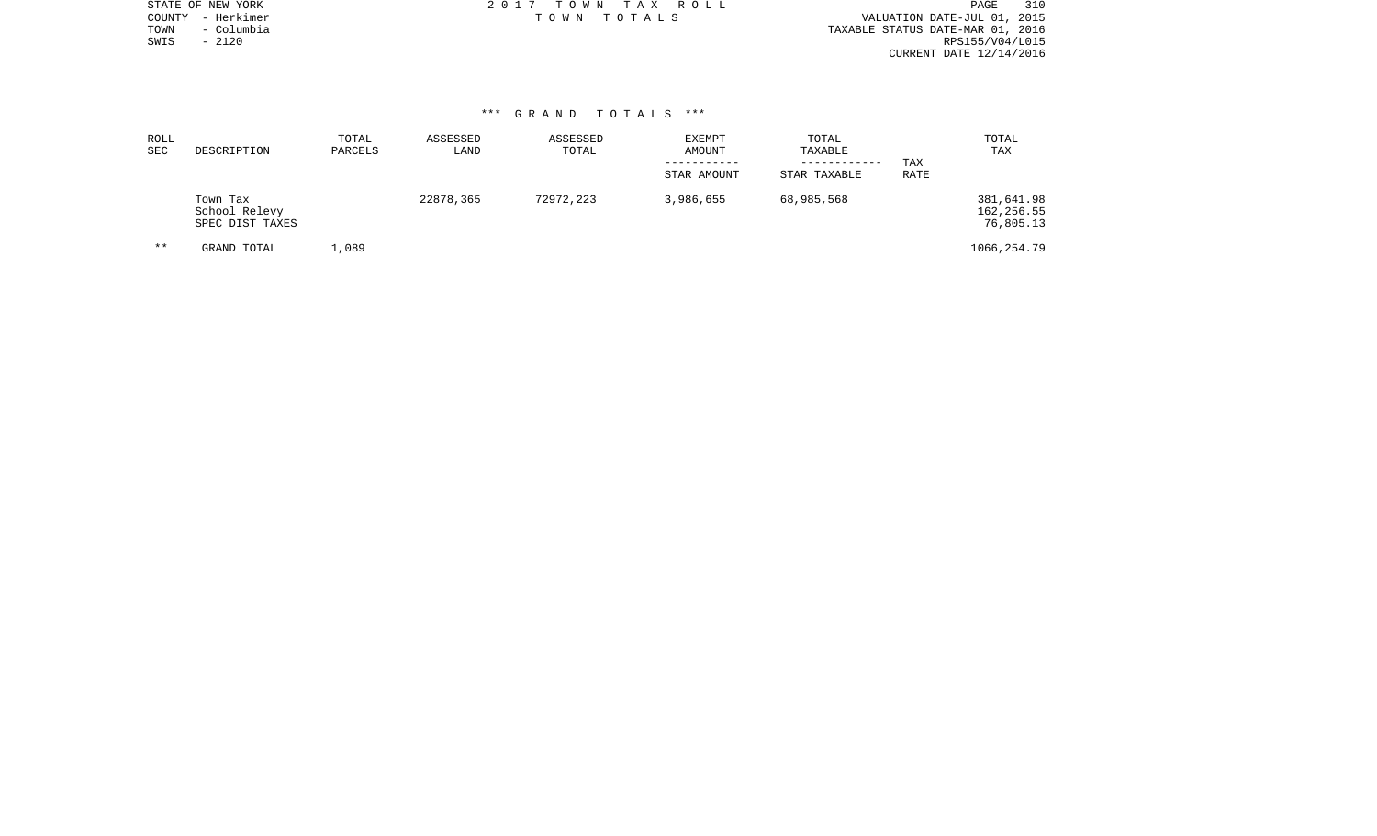| STATE OF NEW YORK  | 2017 TOWN TAX ROLL | 310<br>PAGE                      |
|--------------------|--------------------|----------------------------------|
| COUNTY - Herkimer  | TOWN TOTALS        | VALUATION DATE-JUL 01, 2015      |
| TOWN<br>- Columbia |                    | TAXABLE STATUS DATE-MAR 01, 2016 |
| SWIS<br>$-2120$    |                    | RPS155/V04/L015                  |
|                    |                    | CURRENT DATE 12/14/2016          |
|                    |                    |                                  |
|                    |                    |                                  |

| ROLL<br><b>SEC</b> | DESCRIPTION                                  | TOTAL<br>PARCELS | ASSESSED<br>LAND | ASSESSED<br>TOTAL | <b>EXEMPT</b><br>AMOUNT<br>STAR AMOUNT | TOTAL<br>TAXABLE<br>STAR TAXABLE | TAX<br>RATE | TOTAL<br>TAX                          |
|--------------------|----------------------------------------------|------------------|------------------|-------------------|----------------------------------------|----------------------------------|-------------|---------------------------------------|
|                    | Town Tax<br>School Relevy<br>SPEC DIST TAXES |                  | 22878,365        | 72972,223         | 3,986,655                              | 68,985,568                       |             | 381,641.98<br>162,256.55<br>76,805.13 |
| $* *$              | GRAND TOTAL                                  | .,089            |                  |                   |                                        |                                  |             | 1066,254.79                           |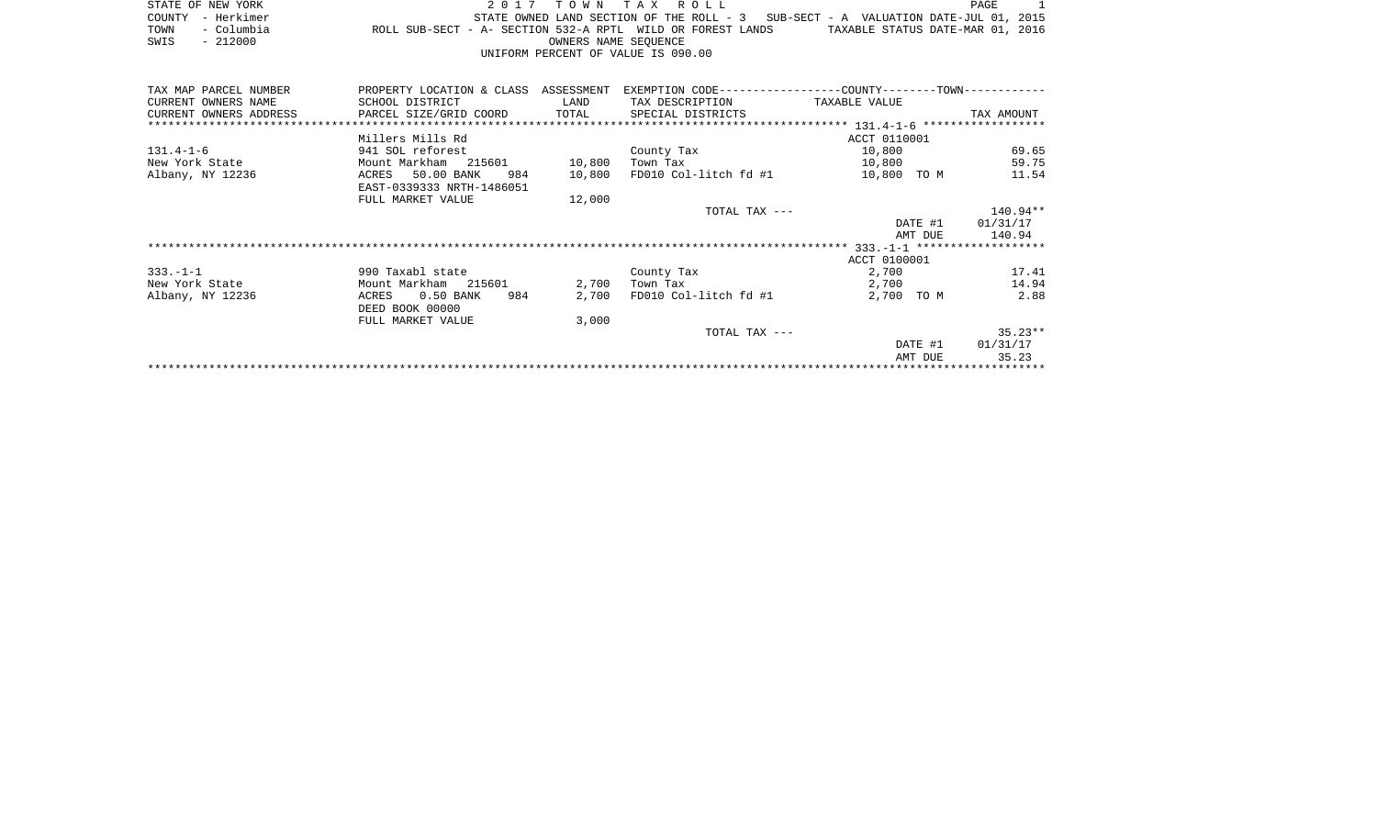|      | STATE OF NEW YORK |                                                            | 2017 TOWN TAX ROLL                 |                      |  |  |  |                                                                                   | PAGE |  |
|------|-------------------|------------------------------------------------------------|------------------------------------|----------------------|--|--|--|-----------------------------------------------------------------------------------|------|--|
|      | COUNTY - Herkimer |                                                            |                                    |                      |  |  |  | STATE OWNED LAND SECTION OF THE ROLL - 3 SUB-SECT - A VALUATION DATE-JUL 01, 2015 |      |  |
| TOWN | - Columbia        | ROLL SUB-SECT - A- SECTION 532-A RPTL WILD OR FOREST LANDS |                                    |                      |  |  |  | TAXABLE STATUS DATE-MAR 01, 2016                                                  |      |  |
| SWIS | - 212000          |                                                            |                                    | OWNERS NAME SEOUENCE |  |  |  |                                                                                   |      |  |
|      |                   |                                                            | UNIFORM PERCENT OF VALUE IS 090.00 |                      |  |  |  |                                                                                   |      |  |

| TAX MAP PARCEL NUMBER  | PROPERTY LOCATION & CLASS ASSESSMENT           |                                            |                               | EXEMPTION CODE-----------------COUNTY-------TOWN----------- |                  |
|------------------------|------------------------------------------------|--------------------------------------------|-------------------------------|-------------------------------------------------------------|------------------|
| CURRENT OWNERS NAME    | SCHOOL DISTRICT                                | <b>EXAMPLE THE STATE OF STATE OF STATE</b> | TAX DESCRIPTION TAXABLE VALUE |                                                             |                  |
| CURRENT OWNERS ADDRESS | PARCEL SIZE/GRID COORD TOTAL SPECIAL DISTRICTS |                                            |                               |                                                             | TAX AMOUNT       |
|                        |                                                |                                            |                               |                                                             |                  |
|                        | Millers Mills Rd                               |                                            |                               | ACCT 0110001                                                |                  |
| $131.4 - 1 - 6$        | 941 SOL reforest                               |                                            | County Tax                    | 10,800                                                      | 69.65            |
| New York State         | Mount Markham 215601                           | 10,800                                     | Town Tax                      | 10,800                                                      | 59.75            |
| Albany, NY 12236       | ACRES 50.00 BANK<br>984                        | 10,800                                     | FD010 Col-litch fd #1         | 10,800 TO M                                                 | 11.54            |
|                        | EAST-0339333 NRTH-1486051                      |                                            |                               |                                                             |                  |
|                        | FULL MARKET VALUE                              | 12,000                                     |                               |                                                             |                  |
|                        |                                                |                                            | TOTAL TAX ---                 |                                                             | 140.94**         |
|                        |                                                |                                            |                               |                                                             | DATE #1 01/31/17 |
|                        |                                                |                                            |                               | AMT DUE                                                     | 140.94           |
|                        |                                                |                                            |                               |                                                             |                  |
|                        |                                                |                                            |                               | ACCT 0100001                                                |                  |
| $333. - 1 - 1$         | 990 Taxabl state                               |                                            | County Tax                    | 2,700                                                       | 17.41            |
| New York State         | Mount Markham 215601                           | 2,700                                      | Town Tax                      | 2,700                                                       | 14.94            |
| Albany, NY 12236       | $0.50$ BANK<br>984<br>ACRES                    | 2,700                                      | FD010 Col-litch fd #1         | 2,700 TO M                                                  | 2.88             |
|                        | DEED BOOK 00000                                |                                            |                               |                                                             |                  |
|                        | FULL MARKET VALUE                              | 3,000                                      |                               |                                                             |                  |
|                        |                                                |                                            | TOTAL TAX ---                 |                                                             | $35.23**$        |
|                        |                                                |                                            |                               |                                                             | DATE #1 01/31/17 |
|                        |                                                |                                            |                               | AMT DUE                                                     | 35.23            |
|                        |                                                |                                            |                               |                                                             |                  |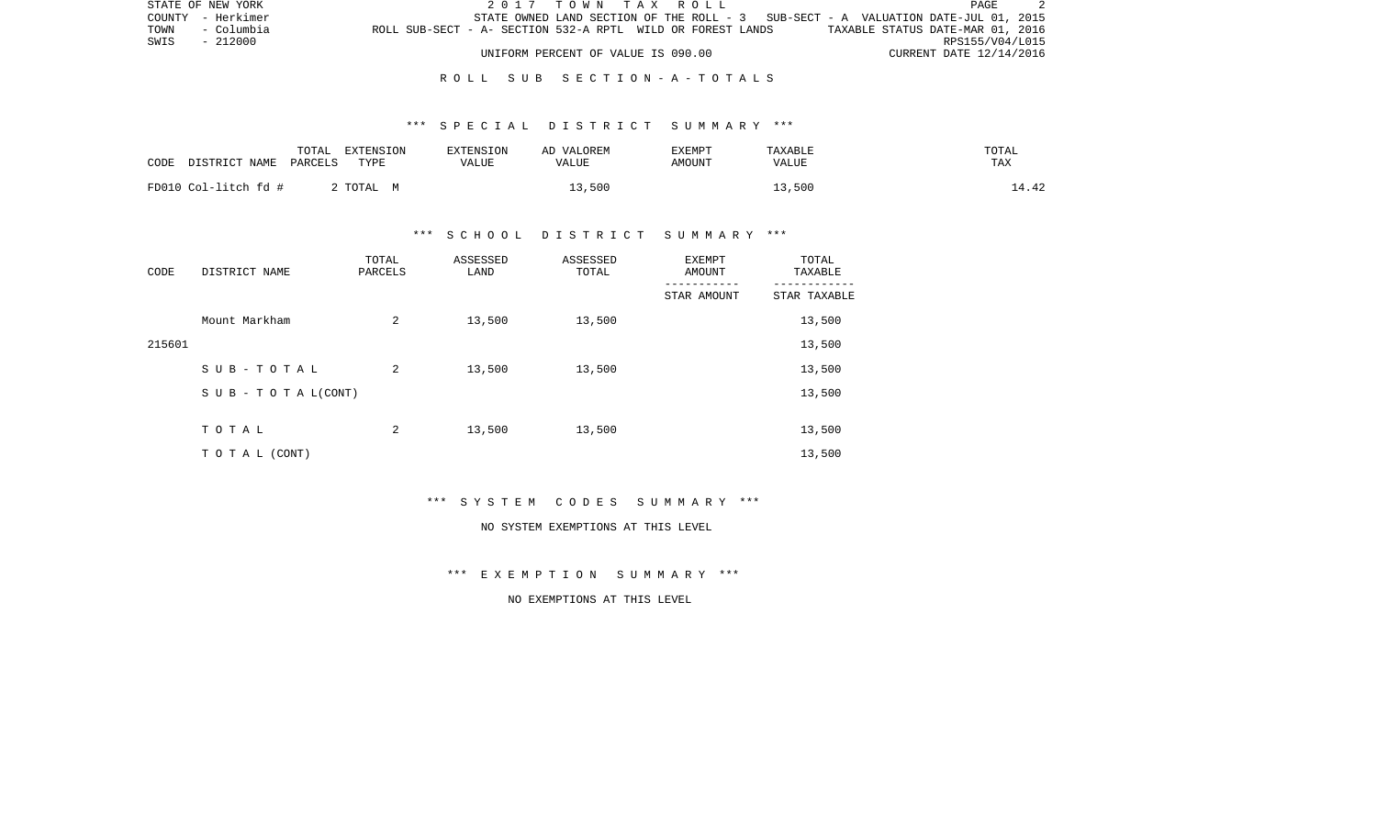|      | STATE OF NEW YORK |                                                            | 2017 TOWN TAX ROLL                 |  |  |                                                                                   | PAGE                    |  |
|------|-------------------|------------------------------------------------------------|------------------------------------|--|--|-----------------------------------------------------------------------------------|-------------------------|--|
|      | COUNTY - Herkimer |                                                            |                                    |  |  | STATE OWNED LAND SECTION OF THE ROLL - 3 SUB-SECT - A VALUATION DATE-JUL 01, 2015 |                         |  |
| TOWN | - Columbia        | ROLL SUB-SECT - A- SECTION 532-A RPTL WILD OR FOREST LANDS |                                    |  |  | TAXABLE STATUS DATE-MAR 01, 2016                                                  |                         |  |
| SWIS | $-212000$         |                                                            |                                    |  |  |                                                                                   | RPS155/V04/L015         |  |
|      |                   |                                                            | UNIFORM PERCENT OF VALUE IS 090.00 |  |  |                                                                                   | CURRENT DATE 12/14/2016 |  |

## R O L L S U B S E C T I O N - A - T O T A L S

## \*\*\* S P E C I A L D I S T R I C T S U M M A R Y \*\*\*

| CODE<br>DISTRICT NAME | TOTAL<br>EXTENSION<br>PARCELS<br>TYPE | <b>EXTENSION</b><br>VALUE | AD VALOREM<br>VALUE | EXEMPT<br>AMOUNT | TAXABLE<br>VALUE | TOTAL<br><b>TAX</b> |
|-----------------------|---------------------------------------|---------------------------|---------------------|------------------|------------------|---------------------|
| FD010 Col-litch fd #  | 2 ТОТАL М                             |                           | 13,500              |                  | 13,500           | L4.42               |

## \*\*\* S C H O O L D I S T R I C T S U M M A R Y \*\*\*

| CODE   | DISTRICT NAME                    | TOTAL<br>PARCELS | ASSESSED<br>LAND | ASSESSED<br>TOTAL | <b>EXEMPT</b><br>AMOUNT<br>--------- | TOTAL<br>TAXABLE |
|--------|----------------------------------|------------------|------------------|-------------------|--------------------------------------|------------------|
|        |                                  |                  |                  |                   | STAR AMOUNT                          | STAR TAXABLE     |
|        | Mount Markham                    | 2                | 13,500           | 13,500            |                                      | 13,500           |
| 215601 |                                  |                  |                  |                   |                                      | 13,500           |
|        | SUB-TOTAL                        | 2                | 13,500           | 13,500            |                                      | 13,500           |
|        | $S \cup B - T \cup T A L (CONT)$ |                  |                  |                   |                                      | 13,500           |
|        | TOTAL                            |                  |                  |                   |                                      |                  |
|        |                                  | 2                | 13,500           | 13,500            |                                      | 13,500           |
|        | T O T A L (CONT)                 |                  |                  |                   |                                      | 13,500           |

\*\*\* S Y S T E M C O D E S S U M M A R Y \*\*\*

#### NO SYSTEM EXEMPTIONS AT THIS LEVEL

\*\*\* E X E M P T I O N S U M M A R Y \*\*\*

NO EXEMPTIONS AT THIS LEVEL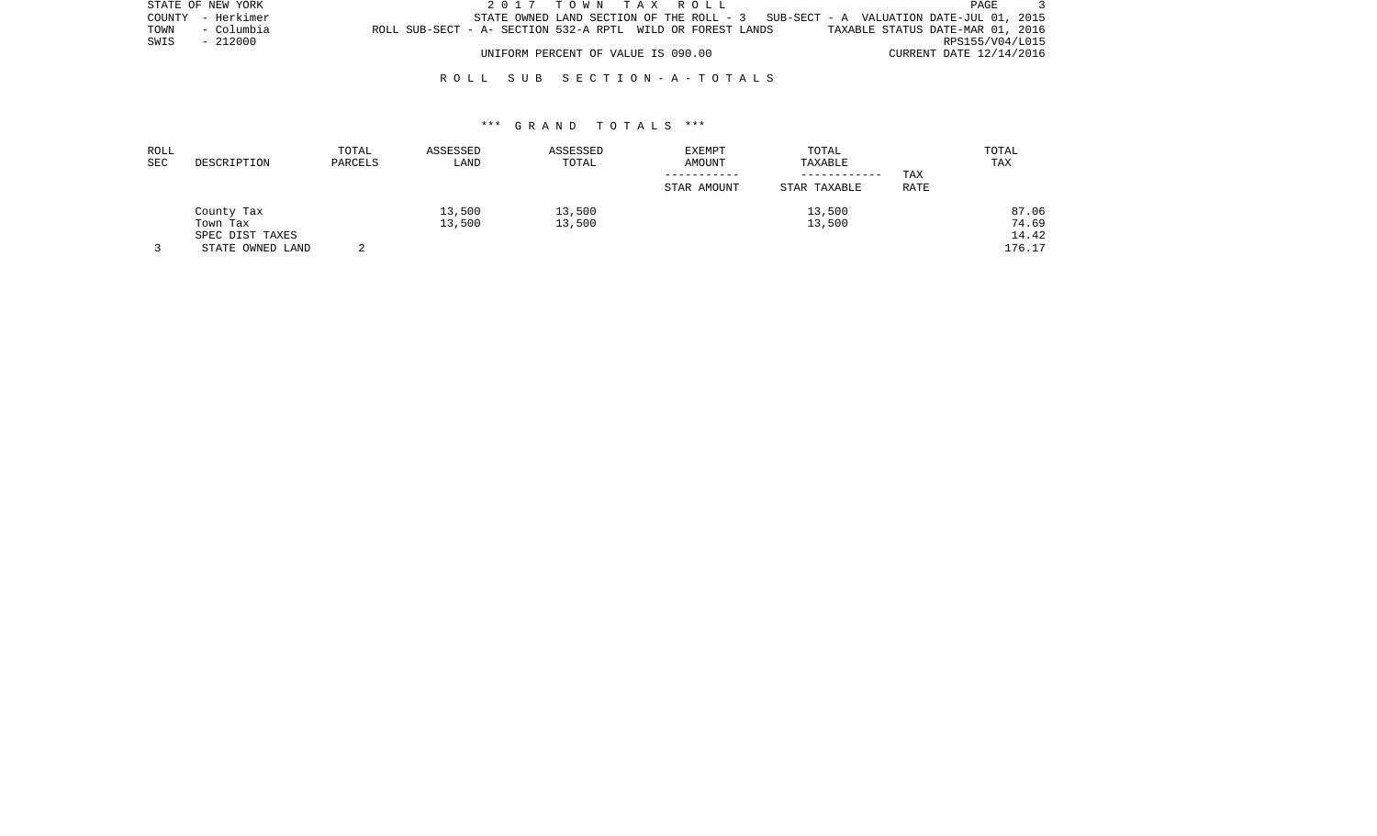|      | STATE OF NEW YORK |                                                            |  | 2017 TOWN TAX ROLL                 |  |  |                                                                                   |  |                                  | PAGE |  |
|------|-------------------|------------------------------------------------------------|--|------------------------------------|--|--|-----------------------------------------------------------------------------------|--|----------------------------------|------|--|
|      | COUNTY - Herkimer |                                                            |  |                                    |  |  | STATE OWNED LAND SECTION OF THE ROLL - 3 SUB-SECT - A VALUATION DATE-JUL 01, 2015 |  |                                  |      |  |
| TOWN | - Columbia        | ROLL SUB-SECT - A- SECTION 532-A RPTL WILD OR FOREST LANDS |  |                                    |  |  |                                                                                   |  | TAXABLE STATUS DATE-MAR 01, 2016 |      |  |
| SWIS | $-212000$         |                                                            |  |                                    |  |  |                                                                                   |  | RPS155/V04/L015                  |      |  |
|      |                   |                                                            |  | UNIFORM PERCENT OF VALUE IS 090.00 |  |  |                                                                                   |  | CURRENT DATE 12/14/2016          |      |  |

## R O L L S U B S E C T I O N - A - T O T A L S

| ROLL |                  | TOTAL   | ASSESSED | ASSESSED | <b>EXEMPT</b> | TOTAL        |      | TOTAL  |
|------|------------------|---------|----------|----------|---------------|--------------|------|--------|
| SEC  | DESCRIPTION      | PARCELS | LAND     | TOTAL    | AMOUNT        | TAXABLE      |      | TAX    |
|      |                  |         |          |          |               | ------------ | TAX  |        |
|      |                  |         |          |          | STAR AMOUNT   | STAR TAXABLE | RATE |        |
|      | County Tax       |         | 13,500   | 13,500   |               | 13,500       |      | 87.06  |
|      | Town Tax         |         | 13,500   | 13,500   |               | 13,500       |      | 74.69  |
|      | SPEC DIST TAXES  |         |          |          |               |              |      | 14.42  |
|      | STATE OWNED LAND |         |          |          |               |              |      | 176.17 |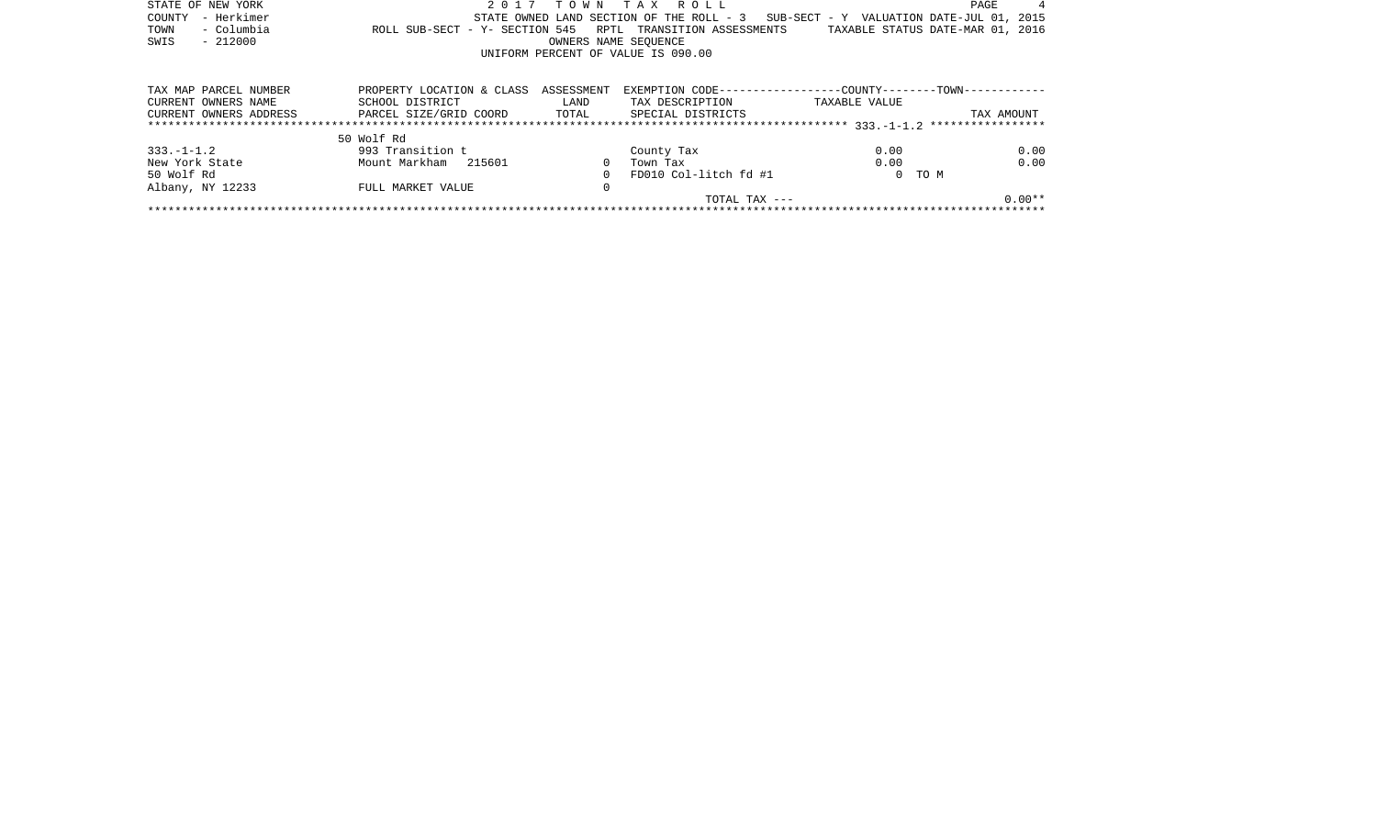| STATE OF NEW YORK      | 2017                                           | T O W N              | TAX ROLL                                                                          |               | PAGE                             |
|------------------------|------------------------------------------------|----------------------|-----------------------------------------------------------------------------------|---------------|----------------------------------|
| - Herkimer<br>COUNTY   |                                                |                      | STATE OWNED LAND SECTION OF THE ROLL - 3 SUB-SECT - Y VALUATION DATE-JUL 01, 2015 |               |                                  |
| - Columbia<br>TOWN     | ROLL SUB-SECT - Y- SECTION 545                 |                      | RPTL TRANSITION ASSESSMENTS                                                       |               | TAXABLE STATUS DATE-MAR 01, 2016 |
| $-212000$<br>SWIS      |                                                | OWNERS NAME SEOUENCE |                                                                                   |               |                                  |
|                        |                                                |                      | UNIFORM PERCENT OF VALUE IS 090.00                                                |               |                                  |
|                        |                                                |                      |                                                                                   |               |                                  |
| TAX MAP PARCEL NUMBER  | PROPERTY LOCATION & CLASS                      | ASSESSMENT           | EXEMPTION CODE-----------------COUNTY-------TOWN----------                        |               |                                  |
| CURRENT OWNERS NAME    | SCHOOL DISTRICT                                | LAND                 | TAX DESCRIPTION                                                                   | TAXABLE VALUE |                                  |
| CURRENT OWNERS ADDRESS | PARCEL SIZE/GRID COORD TOTAL SPECIAL DISTRICTS |                      |                                                                                   |               | TAX AMOUNT                       |
|                        |                                                |                      |                                                                                   |               |                                  |
|                        | 50 Wolf Rd                                     |                      |                                                                                   |               |                                  |
| $333. - 1 - 1.2$       | 993 Transition t                               |                      | County Tax                                                                        | 0.00          | 0.00                             |
| New York State         | Mount Markham 215601                           |                      | Town Tax                                                                          | 0.00          | 0.00                             |
| 50 Wolf Rd             |                                                |                      | FD010 Col-litch fd #1                                                             | 0 TO M        |                                  |
| Albany, NY 12233       | FULL MARKET VALUE                              | 0                    |                                                                                   |               |                                  |
|                        |                                                |                      | TOTAL TAX $---$                                                                   |               | $0.00**$                         |
|                        |                                                |                      |                                                                                   |               |                                  |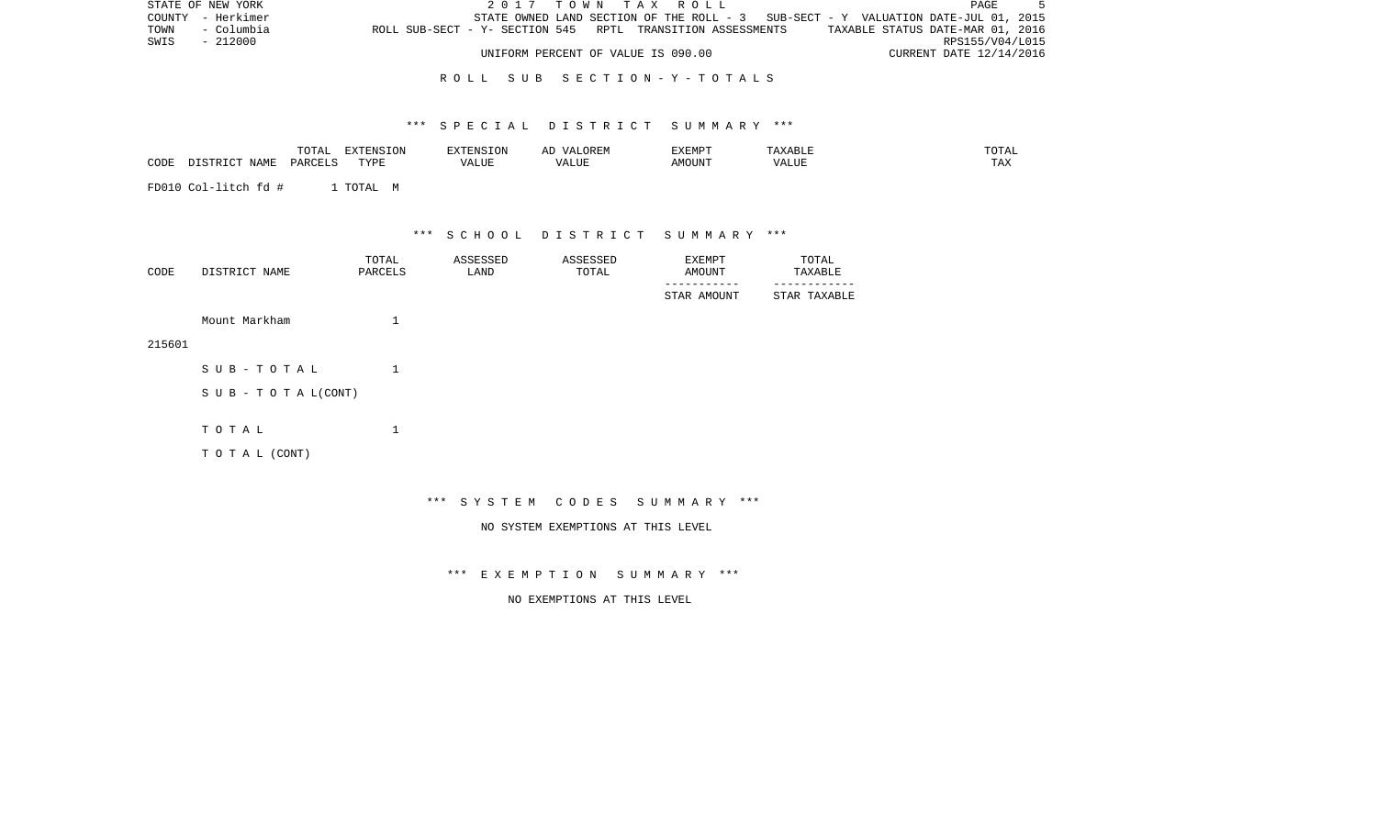| STATE OF NEW YORK | 2017 TOWN TAX ROLL                                         |                                                                                   | PAGE                             |
|-------------------|------------------------------------------------------------|-----------------------------------------------------------------------------------|----------------------------------|
| COUNTY - Herkimer |                                                            | STATE OWNED LAND SECTION OF THE ROLL - 3 SUB-SECT - Y VALUATION DATE-JUL 01, 2015 |                                  |
| TOWN - Columbia   | ROLL SUB-SECT - Y- SECTION 545 RPTL TRANSITION ASSESSMENTS |                                                                                   | TAXABLE STATUS DATE-MAR 01, 2016 |
| SWIS<br>- 212000  |                                                            |                                                                                   | RPS155/V04/L015                  |
|                   | UNIFORM PERCENT OF VALUE IS 090.00                         |                                                                                   | CURRENT DATE 12/14/2016          |

## R O L L S U B S E C T I O N - Y - T O T A L S

## \*\*\* S P E C I A L D I S T R I C T S U M M A R Y \*\*\*

|                          | $- - -$<br>$\overline{\phantom{a}}$<br>◡∸⊷                                                | $\sim$ $\sim$ $\sim$<br><b>DIVER</b><br>$\cdots$ | ENSION | $\lambda$<br>ᇊ | <b>YFMDT</b><br>. |              |                    |
|--------------------------|-------------------------------------------------------------------------------------------|--------------------------------------------------|--------|----------------|-------------------|--------------|--------------------|
| C <sub>CDE</sub><br>ישט- | $\overline{D}$ $\overline{D}$ $\overline{D}$ $\overline{D}$ $\overline{D}$ $\overline{D}$ | <b>TVDL</b><br>.                                 | VALUL  | / △            | <b>MOUNT</b>      | - ---<br>, Δ | $- - - -$<br>L H.A |

FD010 Col-litch fd # 1 TOTAL M

\*\*\* S C H O O L D I S T R I C T S U M M A R Y \*\*\*

| CODE | DISTRICT NAME | TOTAL<br>PARCELS | ASSESSED<br>LAND | ASSESSED<br>TOTAL | EXEMPT<br>AMOUNT | TOTAL<br>TAXABLE |
|------|---------------|------------------|------------------|-------------------|------------------|------------------|
|      |               |                  |                  |                   | STAR AMOUNT      | STAR TAXABLE     |

215601

| SUB-TOTAL                 |  |
|---------------------------|--|
| S U B - T O T A $L(CONT)$ |  |
| тотаь                     |  |

Mount Markham 1

T O T A L (CONT)

\*\*\* S Y S T E M C O D E S S U M M A R Y \*\*\*

NO SYSTEM EXEMPTIONS AT THIS LEVEL

\*\*\* E X E M P T I O N S U M M A R Y \*\*\*

NO EXEMPTIONS AT THIS LEVEL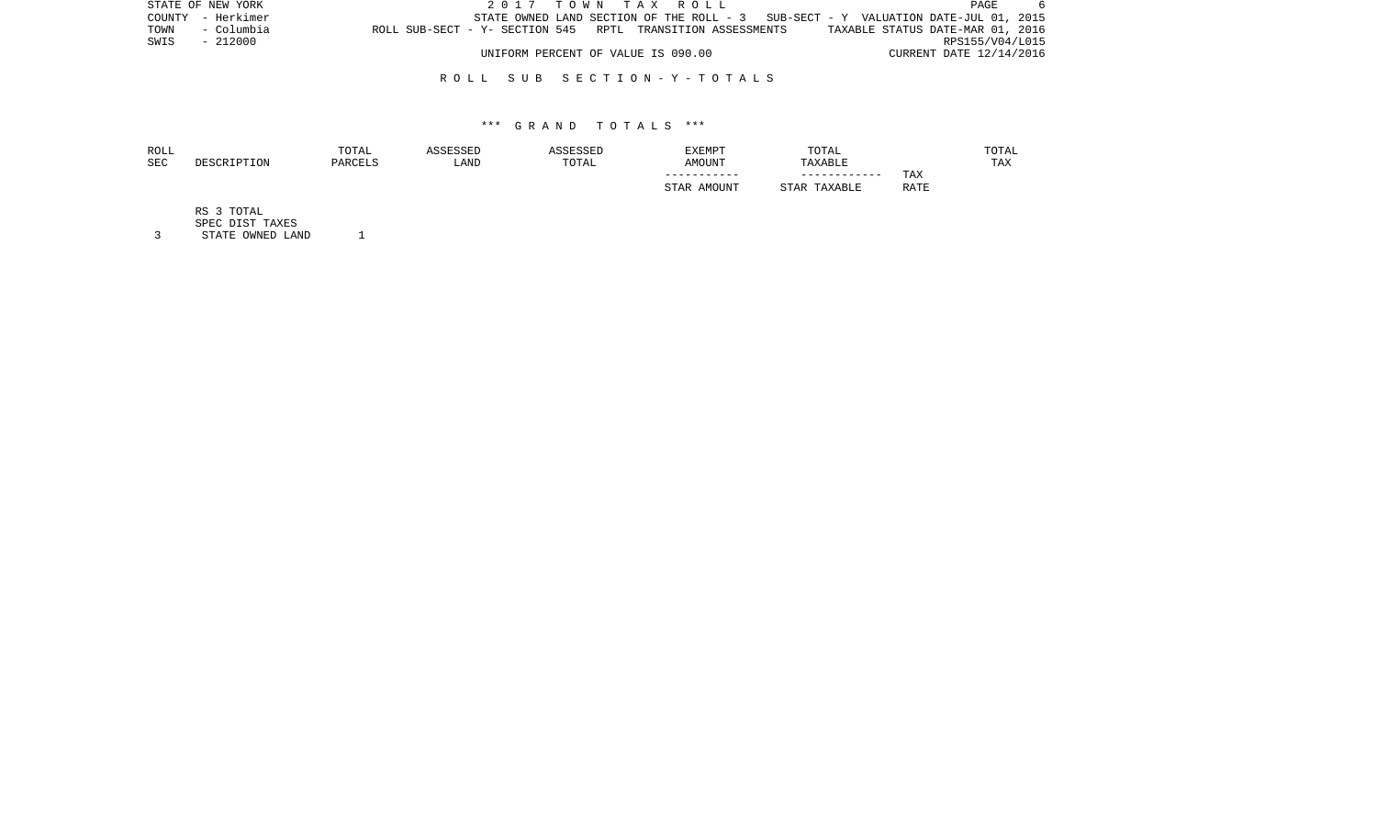|      | STATE OF NEW YORK |                                                            | 2017 TOWN TAX ROLL                 |  |  |  |  | PAGE                                                                               |  |
|------|-------------------|------------------------------------------------------------|------------------------------------|--|--|--|--|------------------------------------------------------------------------------------|--|
|      | COUNTY - Herkimer |                                                            |                                    |  |  |  |  | STATE OWNED LAND SECTION OF THE ROLL $-3$ SUB-SECT - Y VALUATION DATE-JUL 01, 2015 |  |
| TOWN | - Columbia        | ROLL SUB-SECT - Y- SECTION 545 RPTL TRANSITION ASSESSMENTS |                                    |  |  |  |  | TAXABLE STATUS DATE-MAR 01, 2016                                                   |  |
| SWIS | - 212000          |                                                            |                                    |  |  |  |  | RPS155/V04/L015                                                                    |  |
|      |                   |                                                            | UNIFORM PERCENT OF VALUE IS 090.00 |  |  |  |  | CURRENT DATE 12/14/2016                                                            |  |

## R O L L S U B S E C T I O N - Y - T O T A L S

### \*\*\* G R A N D T O T A L S \*\*\*

| ROLL |             | TOTAL   | ASSESSED | <b>SSESSED</b> | <b>EXEMPT</b>  | TOTAL           |      | TOTAL |
|------|-------------|---------|----------|----------------|----------------|-----------------|------|-------|
| SEC  | DESCRIPTION | PARCELS | LAND     | TOTAL          | <b>AMOUNT</b>  | TAXABLE         |      | TAX   |
|      |             |         |          |                | -----------    | ------------    | TAX  |       |
|      |             |         |          |                | AMOUNT<br>STAR | TAXABLE<br>STAR | RATE |       |
|      |             |         |          |                |                |                 |      |       |

RS 3 TOTAL

SPEC DIST TAXES

3 STATE OWNED LAND 1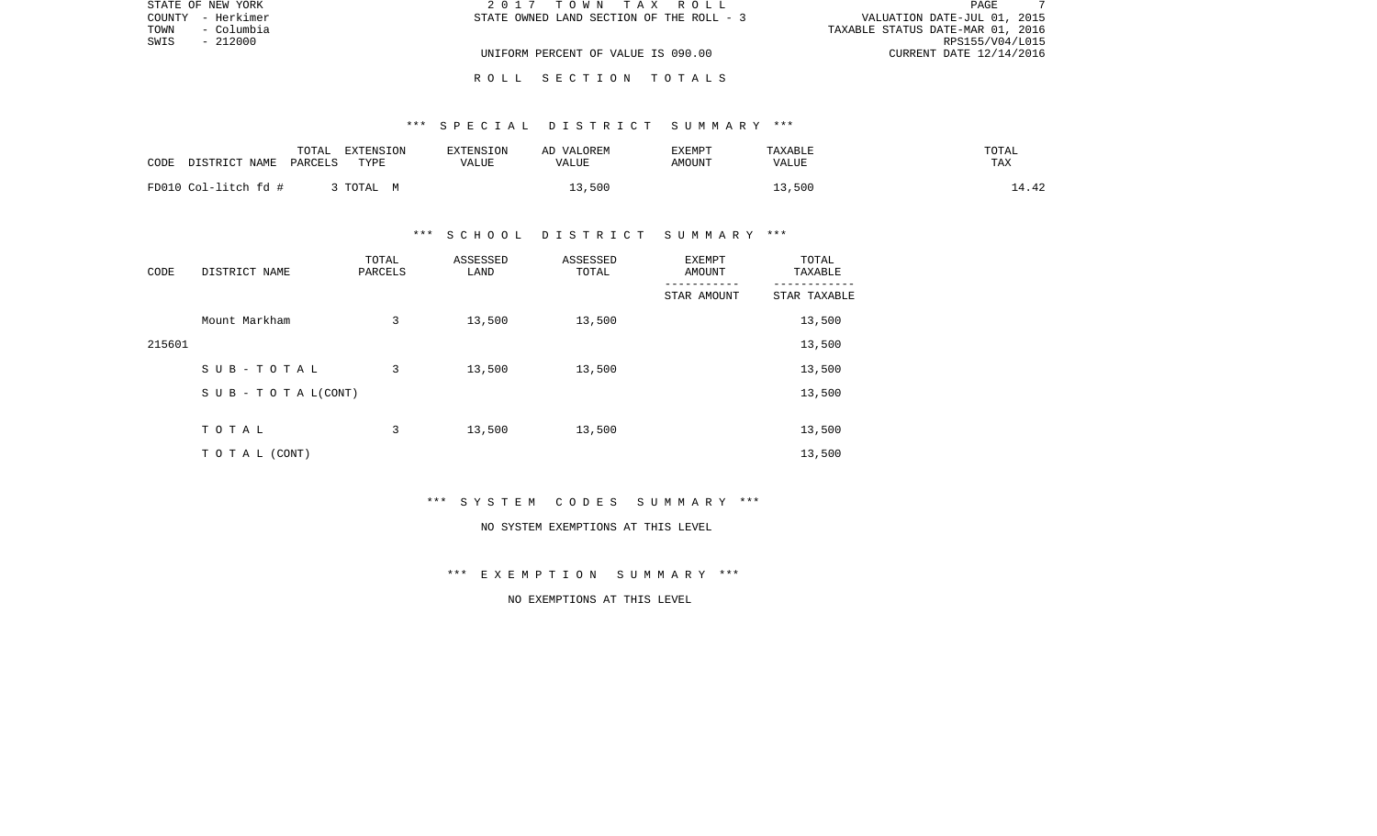| STATE OF NEW YORK  | 2017 TOWN TAX ROLL                       | PAGE                             |
|--------------------|------------------------------------------|----------------------------------|
| COUNTY - Herkimer  | STATE OWNED LAND SECTION OF THE ROLL - 3 | VALUATION DATE-JUL 01, 2015      |
| TOWN<br>- Columbia |                                          | TAXABLE STATUS DATE-MAR 01, 2016 |
| SWIS<br>- 212000   |                                          | RPS155/V04/L015                  |
|                    | UNIFORM PERCENT OF VALUE IS 090.00       | CURRENT DATE 12/14/2016          |
|                    |                                          |                                  |

# R O L L S E C T I O N T O T A L S

#### \*\*\* S P E C I A L D I S T R I C T S U M M A R Y \*\*\*

| CODE<br>DISTRICT NAME | TOTAL<br>EXTENSION<br>PARCELS<br>TYPE | EXTENSION<br>VALUE | AD VALOREM<br>VALUE | EXEMPT<br>AMOUNT | TAXABLE<br>VALUE | TOTAL<br>TAX |
|-----------------------|---------------------------------------|--------------------|---------------------|------------------|------------------|--------------|
| FD010 Col-litch fd #  | TOTAL M                               |                    | 13,500              |                  | 13,500           | 14.42        |

## \*\*\* S C H O O L D I S T R I C T S U M M A R Y \*\*\*

| CODE   | DISTRICT NAME                    | TOTAL<br>PARCELS | ASSESSED<br>LAND | ASSESSED<br>TOTAL | <b>EXEMPT</b><br>AMOUNT | TOTAL<br>TAXABLE |
|--------|----------------------------------|------------------|------------------|-------------------|-------------------------|------------------|
|        |                                  |                  |                  |                   | STAR AMOUNT             | STAR TAXABLE     |
|        | Mount Markham                    | 3                | 13,500           | 13,500            |                         | 13,500           |
| 215601 |                                  |                  |                  |                   |                         | 13,500           |
|        | SUB-TOTAL                        | 3                | 13,500           | 13,500            |                         | 13,500           |
|        | $S \cup B - T \cup T A L (CONT)$ |                  |                  |                   |                         | 13,500           |
|        |                                  |                  |                  |                   |                         |                  |
|        | TOTAL                            | 3                | 13,500           | 13,500            |                         | 13,500           |
|        | T O T A L (CONT)                 |                  |                  |                   |                         | 13,500           |

\*\*\* S Y S T E M C O D E S S U M M A R Y \*\*\*

#### NO SYSTEM EXEMPTIONS AT THIS LEVEL

\*\*\* E X E M P T I O N S U M M A R Y \*\*\*

NO EXEMPTIONS AT THIS LEVEL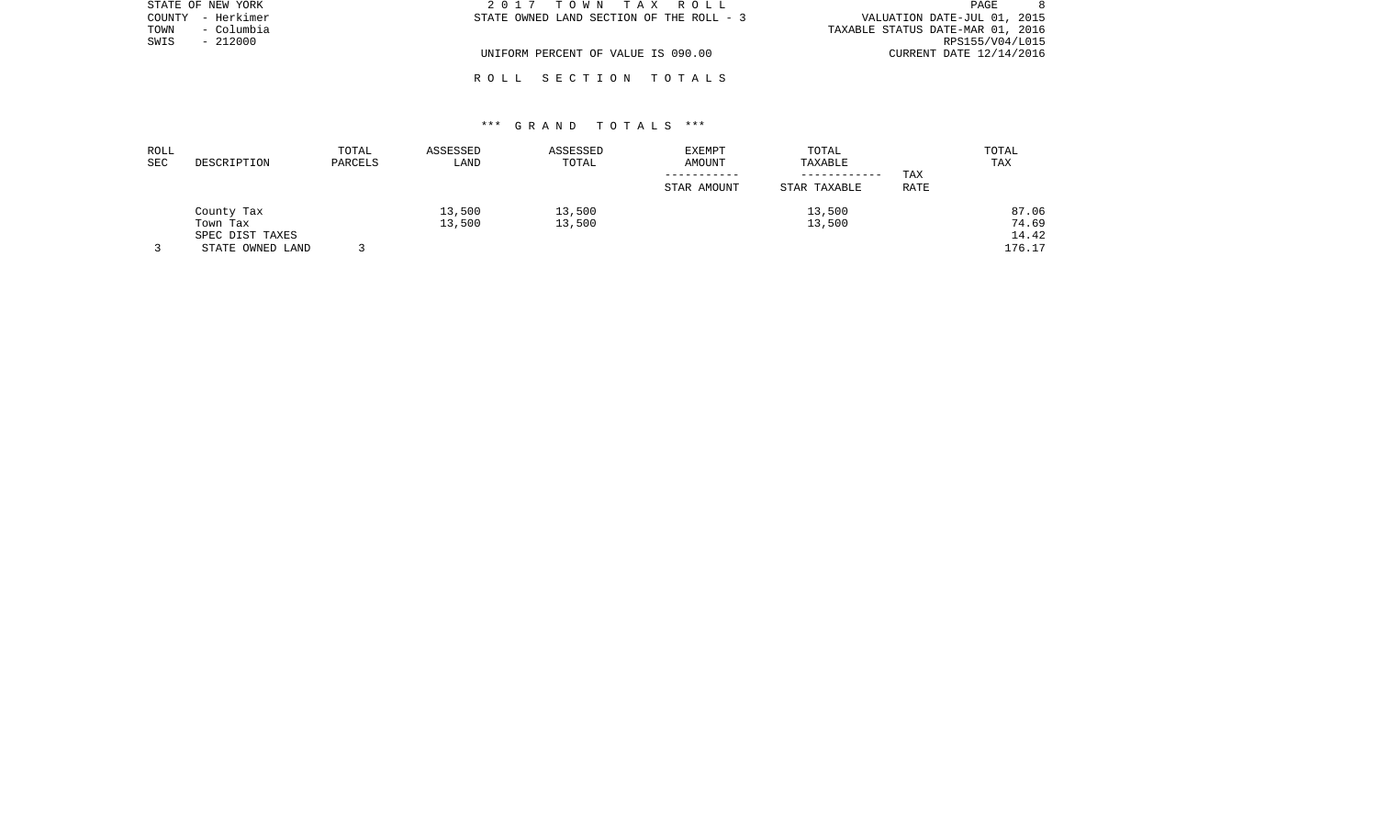| STATE OF NEW YORK  | 2017 TOWN TAX ROLL                       | PAGE                             |
|--------------------|------------------------------------------|----------------------------------|
| COUNTY - Herkimer  | STATE OWNED LAND SECTION OF THE ROLL - 3 | VALUATION DATE-JUL 01, 2015      |
| – Columbia<br>TOWN |                                          | TAXABLE STATUS DATE-MAR 01, 2016 |
| SWIS<br>- 212000   |                                          | RPS155/V04/L015                  |
|                    | UNIFORM PERCENT OF VALUE IS 090.00       | CURRENT DATE 12/14/2016          |
|                    |                                          |                                  |

# \*\*\* G R A N D T O T A L S \*\*\*

R O L L S E C T I O N T O T A L S

| ROLL<br>SEC | DESCRIPTION                                                   | TOTAL<br>PARCELS | ASSESSED<br>LAND | ASSESSED<br>TOTAL | <b>EXEMPT</b><br><b>AMOUNT</b><br>STAR AMOUNT | TOTAL<br>TAXABLE<br>------------<br>STAR TAXABLE | TAX<br><b>RATE</b> | TOTAL<br>TAX                      |
|-------------|---------------------------------------------------------------|------------------|------------------|-------------------|-----------------------------------------------|--------------------------------------------------|--------------------|-----------------------------------|
|             | County Tax<br>Town Tax<br>SPEC DIST TAXES<br>STATE OWNED LAND |                  | 13,500<br>13,500 | 13,500<br>13,500  |                                               | 13,500<br>13,500                                 |                    | 87.06<br>74.69<br>14.42<br>176.17 |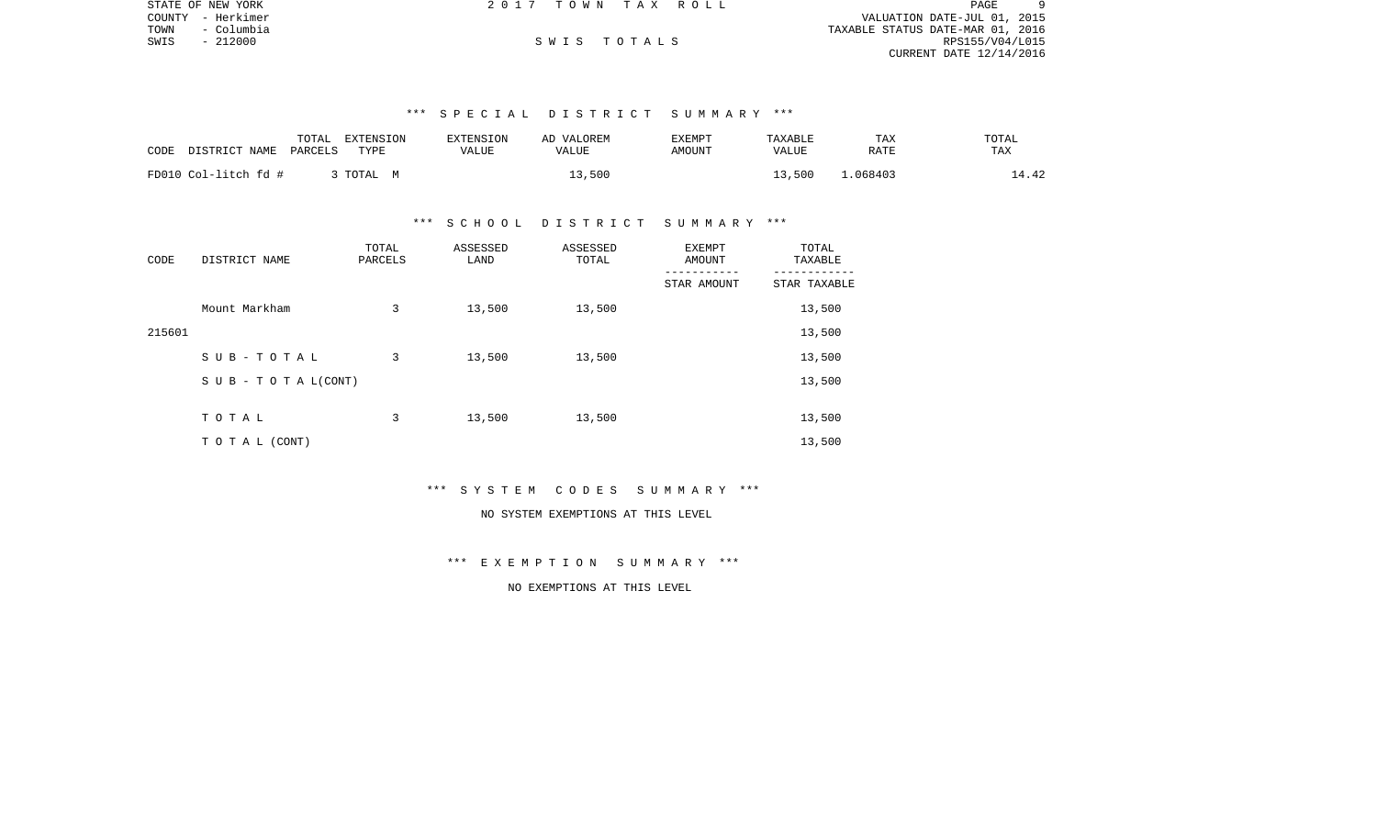|      | STATE OF NEW YORK | 2017 TOWN TAX ROLL |  |                                  | PAGE            |  |
|------|-------------------|--------------------|--|----------------------------------|-----------------|--|
|      | COUNTY - Herkimer |                    |  | VALUATION DATE-JUL 01, 2015      |                 |  |
| TOWN | - Columbia        |                    |  | TAXABLE STATUS DATE-MAR 01, 2016 |                 |  |
| SWIS | - 212000          | SWIS TOTALS        |  |                                  | RPS155/V04/L015 |  |
|      |                   |                    |  | CURRENT DATE 12/14/2016          |                 |  |

# \*\*\* S P E C I A L D I S T R I C T S U M M A R Y \*\*\*

| CODE<br>DISTRICT NAME | TOTAL<br>EXTENSION<br>PARCELS<br>TYPE | <b>EXTENSION</b><br>VALUE | AD VALOREM<br>VALUE | <b>EXEMPT</b><br>AMOUNT | TAXABLE<br>VALUE | TAX<br>RATE | TOTAL<br><b>TAX</b> |
|-----------------------|---------------------------------------|---------------------------|---------------------|-------------------------|------------------|-------------|---------------------|
| FD010 Col-litch fd #  | 3 ТОТАL М                             |                           | 13,500              |                         | 13,500           | .068403     | 14.42               |

#### \*\*\* S C H O O L D I S T R I C T S U M M A R Y \*\*\*

| CODE   | DISTRICT NAME      | TOTAL<br>PARCELS | ASSESSED<br>LAND | ASSESSED<br>TOTAL | <b>EXEMPT</b><br>AMOUNT | TOTAL<br>TAXABLE |  |
|--------|--------------------|------------------|------------------|-------------------|-------------------------|------------------|--|
|        |                    |                  |                  |                   | STAR AMOUNT             | STAR TAXABLE     |  |
|        | Mount Markham      | 3                | 13,500           | 13,500            |                         | 13,500           |  |
| 215601 |                    |                  |                  |                   |                         | 13,500           |  |
|        | SUB-TOTAL          | 3                | 13,500           | 13,500            |                         | 13,500           |  |
|        | SUB - TO TAL(CONT) |                  |                  |                   |                         | 13,500           |  |
|        |                    |                  |                  |                   |                         |                  |  |
|        | TOTAL              | 3                | 13,500           | 13,500            |                         | 13,500           |  |
|        | T O T A L (CONT)   |                  |                  |                   |                         | 13,500           |  |

## \*\*\* S Y S T E M C O D E S S U M M A R Y \*\*\*

# NO SYSTEM EXEMPTIONS AT THIS LEVEL

## \*\*\* E X E M P T I O N S U M M A R Y \*\*\*

# NO EXEMPTIONS AT THIS LEVEL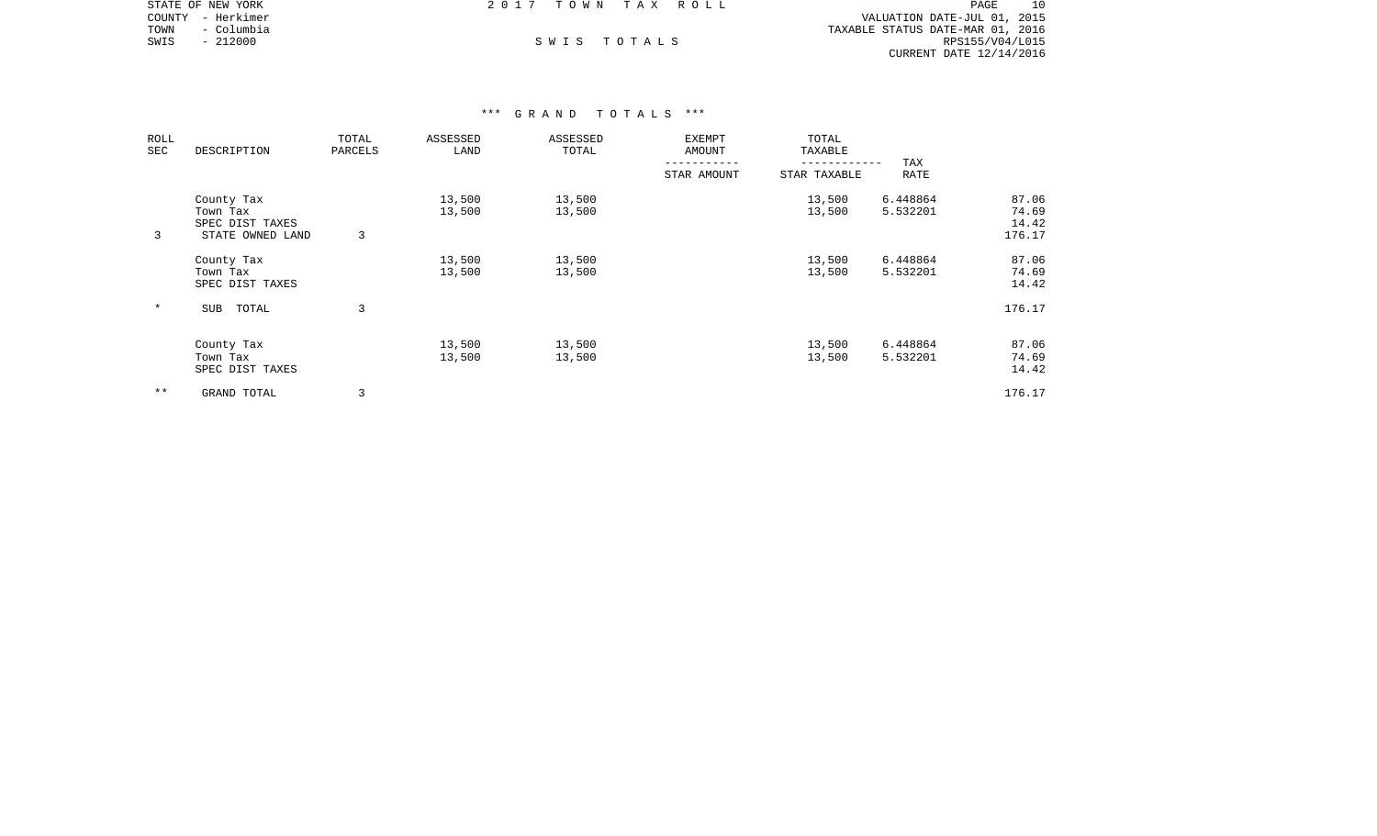|      | STATE OF NEW YORK | 2017 TOWN TAX ROLL |             | PAGE                             | 10 |
|------|-------------------|--------------------|-------------|----------------------------------|----|
|      | COUNTY - Herkimer |                    |             | VALUATION DATE-JUL 01, 2015      |    |
| TOWN | - Columbia        |                    |             | TAXABLE STATUS DATE-MAR 01, 2016 |    |
| SWIS | $-212000$         |                    | SWIS TOTALS | RPS155/V04/L015                  |    |
|      |                   |                    |             | CURRENT DATE 12/14/2016          |    |

| ROLL<br>SEC | DESCRIPTION                                                   | TOTAL<br>PARCELS | ASSESSED<br>LAND | ASSESSED<br>TOTAL | <b>EXEMPT</b><br>AMOUNT | TOTAL<br>TAXABLE |                      |                                   |
|-------------|---------------------------------------------------------------|------------------|------------------|-------------------|-------------------------|------------------|----------------------|-----------------------------------|
|             |                                                               |                  |                  |                   | STAR AMOUNT             | STAR TAXABLE     | TAX<br><b>RATE</b>   |                                   |
| 3           | County Tax<br>Town Tax<br>SPEC DIST TAXES<br>STATE OWNED LAND | 3                | 13,500<br>13,500 | 13,500<br>13,500  |                         | 13,500<br>13,500 | 6.448864<br>5.532201 | 87.06<br>74.69<br>14.42<br>176.17 |
|             | County Tax<br>Town Tax<br>SPEC DIST TAXES                     |                  | 13,500<br>13,500 | 13,500<br>13,500  |                         | 13,500<br>13,500 | 6.448864<br>5.532201 | 87.06<br>74.69<br>14.42           |
| $\ast$      | TOTAL<br><b>SUB</b>                                           | 3                |                  |                   |                         |                  |                      | 176.17                            |
|             | County Tax<br>Town Tax<br>SPEC DIST TAXES                     |                  | 13,500<br>13,500 | 13,500<br>13,500  |                         | 13,500<br>13,500 | 6.448864<br>5.532201 | 87.06<br>74.69<br>14.42           |
| $* *$       | GRAND TOTAL                                                   | 3                |                  |                   |                         |                  |                      | 176.17                            |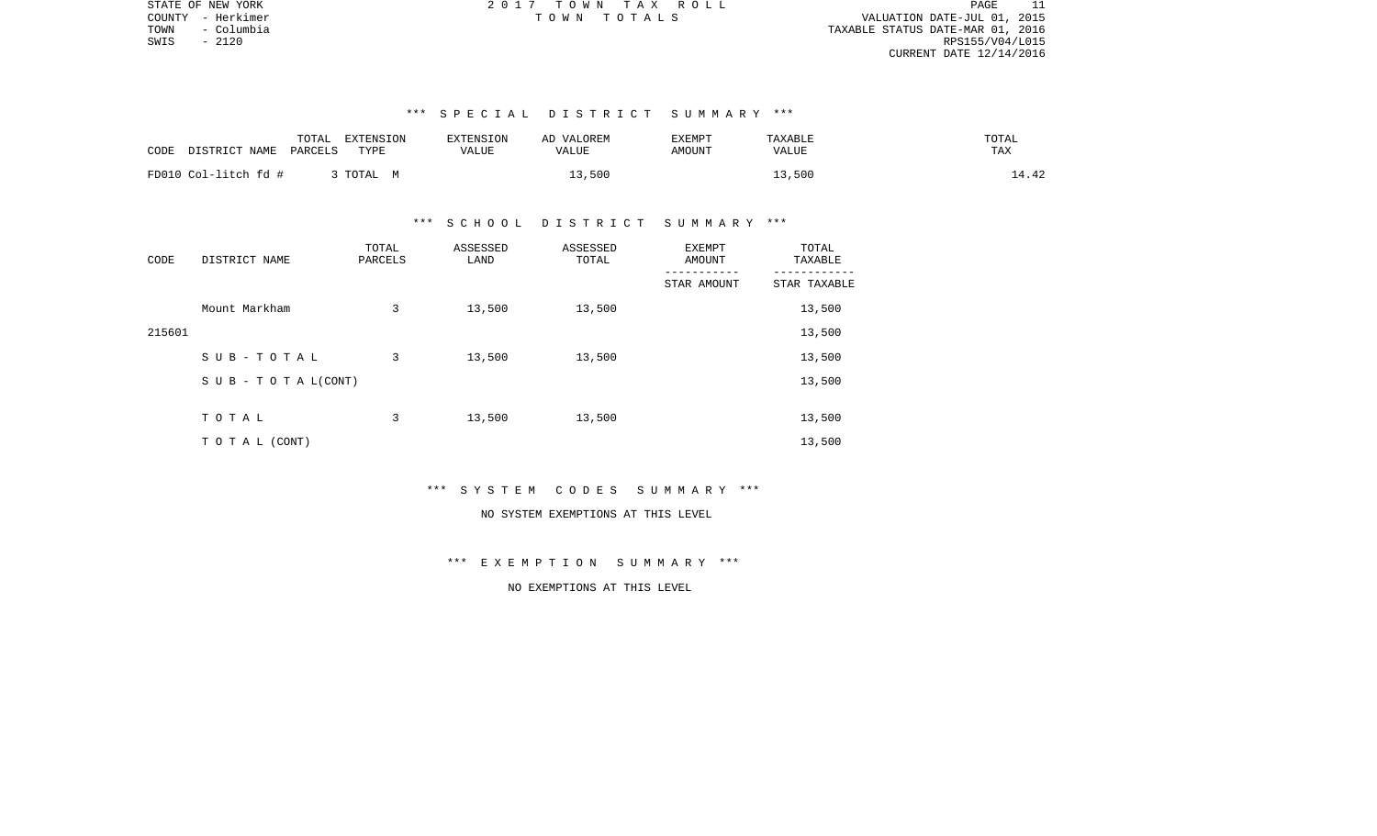PAGE 11 COUNTY - Herkimer T O W N T O T A L S VALUATION DATE-JUL 01, 2015 TAXABLE STATUS DATE-MAR 01, 2016 SWIS - 2120 RPS155/V04/L015 CURRENT DATE 12/14/2016

STATE OF NEW YORK **EXECUTE:**  $2017$  TOWN TAX ROLL

# \*\*\* S P E C I A L D I S T R I C T S U M M A R Y \*\*\*

| CODE<br>DISTRICT NAME | TOTAL<br>EXTENSION<br>PARCELS<br>TYPE | EXTENSION<br>VALUE | AD VALOREM<br>VALUE | <b>EXEMPT</b><br>AMOUNT | TAXABLE<br><b>VALUE</b> | TOTAL<br>TAX |
|-----------------------|---------------------------------------|--------------------|---------------------|-------------------------|-------------------------|--------------|
| FD010 Col-litch fd #  | 3 TOTAL M                             |                    | 13,500              |                         | 13,500                  | 14.42        |

#### \*\*\* S C H O O L D I S T R I C T S U M M A R Y \*\*\*

| CODE   | DISTRICT NAME      | TOTAL<br>PARCELS | ASSESSED<br>LAND | ASSESSED<br>TOTAL | EXEMPT<br>AMOUNT | TOTAL<br>TAXABLE |  |
|--------|--------------------|------------------|------------------|-------------------|------------------|------------------|--|
|        |                    |                  |                  |                   | STAR AMOUNT      | STAR TAXABLE     |  |
|        | Mount Markham      | 3                | 13,500           | 13,500            |                  | 13,500           |  |
| 215601 |                    |                  |                  |                   |                  | 13,500           |  |
|        | SUB-TOTAL          | 3                | 13,500           | 13,500            |                  | 13,500           |  |
|        | SUB - TO TAL(CONT) |                  |                  |                   |                  | 13,500           |  |
|        |                    |                  |                  |                   |                  |                  |  |
|        | TOTAL              | 3                | 13,500           | 13,500            |                  | 13,500           |  |
|        | T O T A L (CONT)   |                  |                  |                   |                  | 13,500           |  |

\*\*\* S Y S T E M C O D E S S U M M A R Y \*\*\*

NO SYSTEM EXEMPTIONS AT THIS LEVEL

\*\*\* E X E M P T I O N S U M M A R Y \*\*\*

NO EXEMPTIONS AT THIS LEVEL